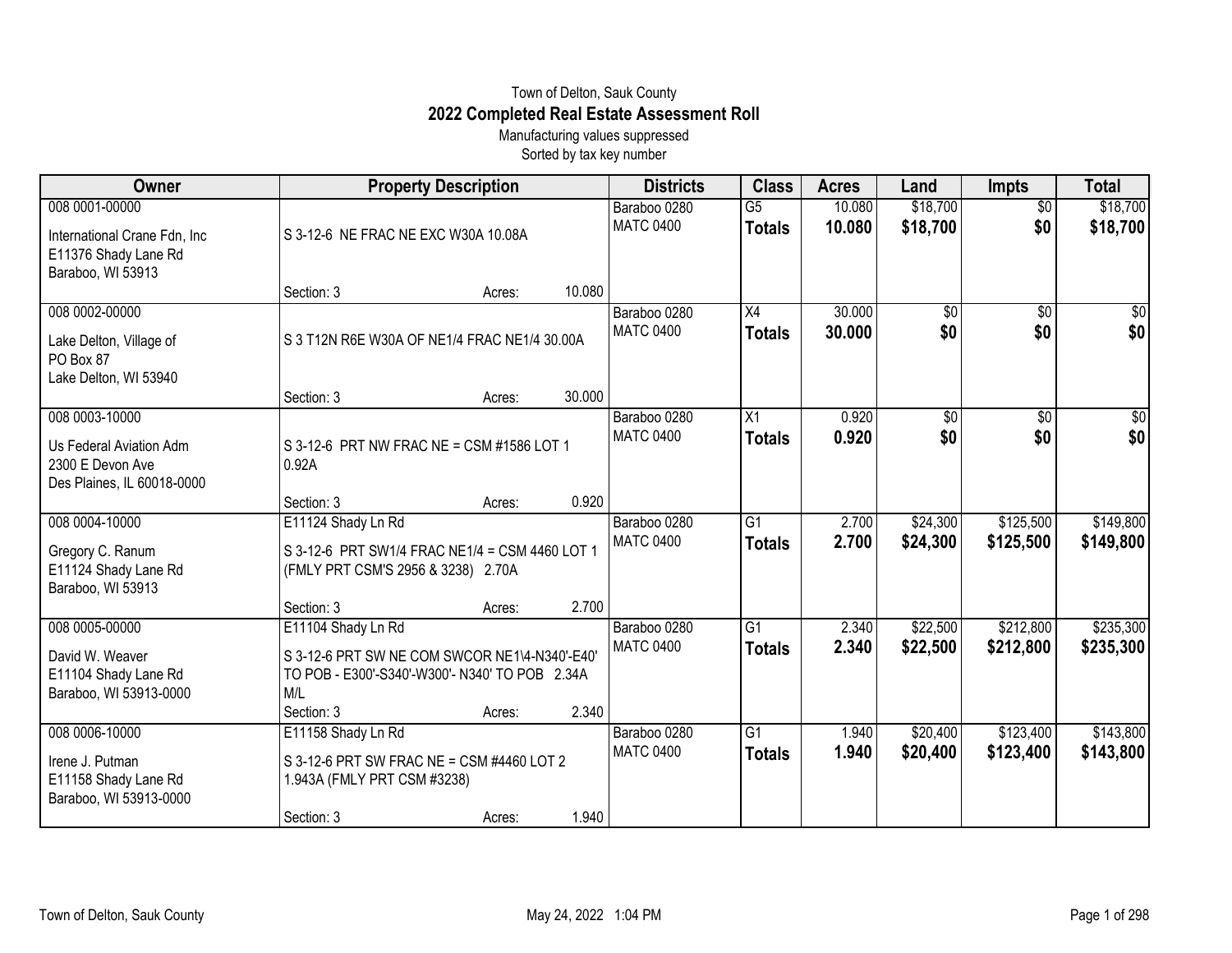## Town of Delton, Sauk County **2022 Completed Real Estate Assessment Roll**

Manufacturing values suppressed Sorted by tax key number

| Owner                                                                                        | <b>Property Description</b>                                                                                                                |        |        | <b>Districts</b>                 | <b>Class</b>                     | <b>Acres</b>     | Land                   | <b>Impts</b>           | <b>Total</b>           |
|----------------------------------------------------------------------------------------------|--------------------------------------------------------------------------------------------------------------------------------------------|--------|--------|----------------------------------|----------------------------------|------------------|------------------------|------------------------|------------------------|
| 008 0001-00000<br>International Crane Fdn, Inc.<br>E11376 Shady Lane Rd<br>Baraboo, WI 53913 | S 3-12-6 NE FRAC NE EXC W30A 10.08A                                                                                                        |        |        | Baraboo 0280<br><b>MATC 0400</b> | $\overline{G5}$<br><b>Totals</b> | 10.080<br>10.080 | \$18,700<br>\$18,700   | $\overline{50}$<br>\$0 | \$18,700<br>\$18,700   |
|                                                                                              | Section: 3                                                                                                                                 | Acres: | 10.080 |                                  |                                  |                  |                        |                        |                        |
| 008 0002-00000<br>Lake Delton, Village of<br>PO Box 87<br>Lake Delton, WI 53940              | S 3 T12N R6E W30A OF NE1/4 FRAC NE1/4 30.00A                                                                                               |        |        | Baraboo 0280<br><b>MATC 0400</b> | X4<br><b>Totals</b>              | 30.000<br>30.000 | $\overline{50}$<br>\$0 | $\overline{50}$<br>\$0 | \$0<br>\$0             |
|                                                                                              | Section: 3                                                                                                                                 | Acres: | 30.000 |                                  |                                  |                  |                        |                        |                        |
| 008 0003-10000<br>Us Federal Aviation Adm<br>2300 E Devon Ave<br>Des Plaines, IL 60018-0000  | S 3-12-6 PRT NW FRAC NE = CSM #1586 LOT 1<br>0.92A                                                                                         |        |        | Baraboo 0280<br><b>MATC 0400</b> | X1<br><b>Totals</b>              | 0.920<br>0.920   | \$0<br>\$0             | $\overline{50}$<br>\$0 | $\sqrt{50}$<br>\$0     |
|                                                                                              | Section: 3                                                                                                                                 | Acres: | 0.920  |                                  |                                  |                  |                        |                        |                        |
| 008 0004-10000<br>Gregory C. Ranum<br>E11124 Shady Lane Rd<br>Baraboo, WI 53913              | E11124 Shady Ln Rd<br>S 3-12-6 PRT SW1/4 FRAC NE1/4 = CSM 4460 LOT 1<br>(FMLY PRT CSM'S 2956 & 3238) 2.70A                                 |        |        | Baraboo 0280<br><b>MATC 0400</b> | $\overline{G1}$<br><b>Totals</b> | 2.700<br>2.700   | \$24,300<br>\$24,300   | \$125,500<br>\$125,500 | \$149,800<br>\$149,800 |
|                                                                                              | Section: 3                                                                                                                                 | Acres: | 2.700  |                                  |                                  |                  |                        |                        |                        |
| 008 0005-00000<br>David W. Weaver<br>E11104 Shady Lane Rd<br>Baraboo, WI 53913-0000          | E11104 Shady Ln Rd<br>S 3-12-6 PRT SW NE COM SWCOR NE1\4-N340'-E40'<br>TO POB - E300'-S340'-W300'- N340' TO POB 2.34A<br>M/L<br>Section: 3 |        | 2.340  | Baraboo 0280<br><b>MATC 0400</b> | G1<br><b>Totals</b>              | 2.340<br>2.340   | \$22,500<br>\$22,500   | \$212,800<br>\$212,800 | \$235,300<br>\$235,300 |
| 008 0006-10000                                                                               | E11158 Shady Ln Rd                                                                                                                         | Acres: |        | Baraboo 0280                     | $\overline{G1}$                  | 1.940            | \$20,400               | \$123,400              | \$143,800              |
| Irene J. Putman<br>E11158 Shady Lane Rd<br>Baraboo, WI 53913-0000                            | S 3-12-6 PRT SW FRAC NE = CSM #4460 LOT 2<br>1.943A (FMLY PRT CSM #3238)<br>Section: 3                                                     | Acres: | 1.940  | <b>MATC 0400</b>                 | <b>Totals</b>                    | 1.940            | \$20,400               | \$123,400              | \$143,800              |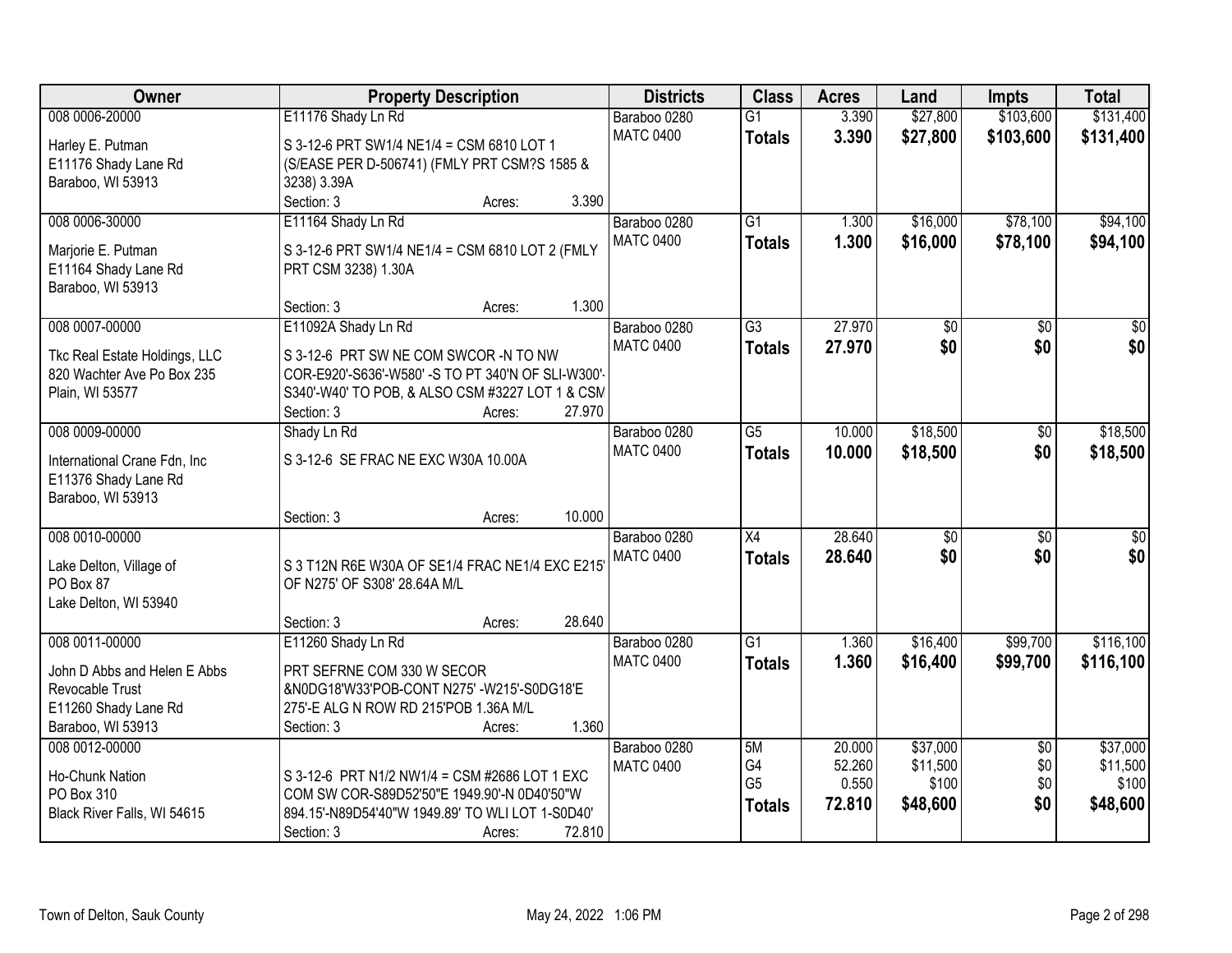| Owner                                | <b>Property Description</b>                        |        | <b>Districts</b> | <b>Class</b>    | <b>Acres</b> | Land            | <b>Impts</b>    | <b>Total</b>    |
|--------------------------------------|----------------------------------------------------|--------|------------------|-----------------|--------------|-----------------|-----------------|-----------------|
| 008 0006-20000                       | E11176 Shady Ln Rd                                 |        | Baraboo 0280     | $\overline{G1}$ | 3.390        | \$27,800        | \$103,600       | \$131,400       |
| Harley E. Putman                     | S 3-12-6 PRT SW1/4 NE1/4 = CSM 6810 LOT 1          |        | <b>MATC 0400</b> | <b>Totals</b>   | 3.390        | \$27,800        | \$103,600       | \$131,400       |
| E11176 Shady Lane Rd                 | (S/EASE PER D-506741) (FMLY PRT CSM?S 1585 &       |        |                  |                 |              |                 |                 |                 |
| Baraboo, WI 53913                    | 3238) 3.39A                                        |        |                  |                 |              |                 |                 |                 |
|                                      | Section: 3                                         | Acres: | 3.390            |                 |              |                 |                 |                 |
| 008 0006-30000                       | E11164 Shady Ln Rd                                 |        | Baraboo 0280     | $\overline{G1}$ | 1.300        | \$16,000        | \$78,100        | \$94,100        |
| Marjorie E. Putman                   | S 3-12-6 PRT SW1/4 NE1/4 = CSM 6810 LOT 2 (FMLY    |        | <b>MATC 0400</b> | <b>Totals</b>   | 1.300        | \$16,000        | \$78,100        | \$94,100        |
| E11164 Shady Lane Rd                 | PRT CSM 3238) 1.30A                                |        |                  |                 |              |                 |                 |                 |
| Baraboo, WI 53913                    |                                                    |        |                  |                 |              |                 |                 |                 |
|                                      | Section: 3                                         | Acres: | 1.300            |                 |              |                 |                 |                 |
| 008 0007-00000                       | E11092A Shady Ln Rd                                |        | Baraboo 0280     | $\overline{G3}$ | 27.970       | $\overline{50}$ | $\overline{50}$ | $\overline{50}$ |
| Tkc Real Estate Holdings, LLC        | S 3-12-6 PRT SW NE COM SWCOR -N TO NW              |        | <b>MATC 0400</b> | <b>Totals</b>   | 27.970       | \$0             | \$0             | \$0             |
| 820 Wachter Ave Po Box 235           | COR-E920'-S636'-W580' -S TO PT 340'N OF SLI-W300'- |        |                  |                 |              |                 |                 |                 |
| Plain, WI 53577                      | S340'-W40' TO POB, & ALSO CSM #3227 LOT 1 & CSM    |        |                  |                 |              |                 |                 |                 |
|                                      | Section: 3                                         | Acres: | 27.970           |                 |              |                 |                 |                 |
| 008 0009-00000                       | Shady Ln Rd                                        |        | Baraboo 0280     | $\overline{G5}$ | 10.000       | \$18,500        | \$0             | \$18,500        |
| International Crane Fdn, Inc.        | S 3-12-6 SE FRAC NE EXC W30A 10.00A                |        | <b>MATC 0400</b> | <b>Totals</b>   | 10.000       | \$18,500        | \$0             | \$18,500        |
| E11376 Shady Lane Rd                 |                                                    |        |                  |                 |              |                 |                 |                 |
| Baraboo, WI 53913                    |                                                    |        |                  |                 |              |                 |                 |                 |
|                                      | Section: 3                                         | Acres: | 10.000           |                 |              |                 |                 |                 |
| 008 0010-00000                       |                                                    |        | Baraboo 0280     | $\overline{X4}$ | 28.640       | $\overline{50}$ | $\overline{50}$ | \$0             |
|                                      | S 3 T12N R6E W30A OF SE1/4 FRAC NE1/4 EXC E215     |        | <b>MATC 0400</b> | <b>Totals</b>   | 28.640       | \$0             | \$0             | \$0             |
| Lake Delton, Village of<br>PO Box 87 | OF N275' OF S308' 28.64A M/L                       |        |                  |                 |              |                 |                 |                 |
| Lake Delton, WI 53940                |                                                    |        |                  |                 |              |                 |                 |                 |
|                                      | Section: 3                                         | Acres: | 28.640           |                 |              |                 |                 |                 |
| 008 0011-00000                       | E11260 Shady Ln Rd                                 |        | Baraboo 0280     | $\overline{G1}$ | 1.360        | \$16,400        | \$99,700        | \$116,100       |
| John D Abbs and Helen E Abbs         | PRT SEFRNE COM 330 W SECOR                         |        | <b>MATC 0400</b> | <b>Totals</b>   | 1.360        | \$16,400        | \$99,700        | \$116,100       |
| Revocable Trust                      | &N0DG18'W33'POB-CONT N275' -W215'-S0DG18'E         |        |                  |                 |              |                 |                 |                 |
| E11260 Shady Lane Rd                 | 275'-E ALG N ROW RD 215'POB 1.36A M/L              |        |                  |                 |              |                 |                 |                 |
| Baraboo, WI 53913                    | Section: 3                                         | Acres: | 1.360            |                 |              |                 |                 |                 |
| 008 0012-00000                       |                                                    |        | Baraboo 0280     | 5M              | 20.000       | \$37,000        | $\overline{50}$ | \$37,000        |
| Ho-Chunk Nation                      | S 3-12-6 PRT N1/2 NW1/4 = CSM #2686 LOT 1 EXC      |        | <b>MATC 0400</b> | G4              | 52.260       | \$11,500        | \$0             | \$11,500        |
| PO Box 310                           | COM SW COR-S89D52'50"E 1949.90'-N 0D40'50"W        |        |                  | G <sub>5</sub>  | 0.550        | \$100           | \$0             | \$100           |
| Black River Falls, WI 54615          | 894.15'-N89D54'40"W 1949.89' TO WLI LOT 1-S0D40'   |        |                  | <b>Totals</b>   | 72.810       | \$48,600        | \$0             | \$48,600        |
|                                      | Section: 3                                         | Acres: | 72.810           |                 |              |                 |                 |                 |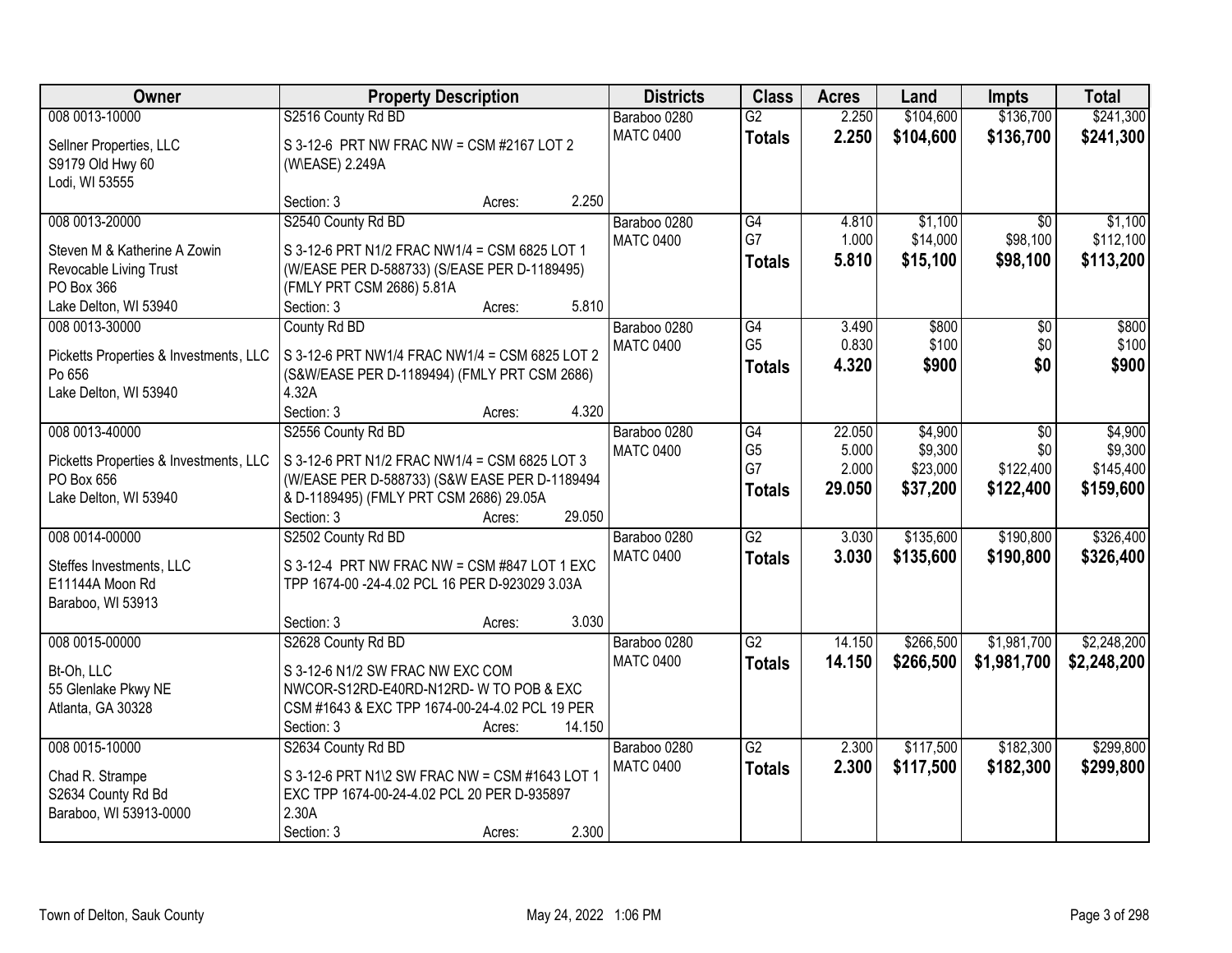| Owner                                  | <b>Property Description</b>                    |        |        | <b>Districts</b> | <b>Class</b>    | <b>Acres</b> | Land      | <b>Impts</b>    | <b>Total</b> |
|----------------------------------------|------------------------------------------------|--------|--------|------------------|-----------------|--------------|-----------|-----------------|--------------|
| 008 0013-10000                         | S2516 County Rd BD                             |        |        | Baraboo 0280     | $\overline{G2}$ | 2.250        | \$104,600 | \$136,700       | \$241,300    |
| Sellner Properties, LLC                | S 3-12-6 PRT NW FRAC NW = CSM #2167 LOT 2      |        |        | <b>MATC 0400</b> | <b>Totals</b>   | 2.250        | \$104,600 | \$136,700       | \$241,300    |
| S9179 Old Hwy 60                       | (W\EASE) 2.249A                                |        |        |                  |                 |              |           |                 |              |
| Lodi, WI 53555                         |                                                |        |        |                  |                 |              |           |                 |              |
|                                        | Section: 3                                     | Acres: | 2.250  |                  |                 |              |           |                 |              |
| 008 0013-20000                         | S2540 County Rd BD                             |        |        | Baraboo 0280     | G4<br>G7        | 4.810        | \$1,100   | $\overline{50}$ | \$1,100      |
| Steven M & Katherine A Zowin           | S 3-12-6 PRT N1/2 FRAC NW1/4 = CSM 6825 LOT 1  |        |        | <b>MATC 0400</b> |                 | 1.000        | \$14,000  | \$98,100        | \$112,100    |
| Revocable Living Trust                 | (W/EASE PER D-588733) (S/EASE PER D-1189495)   |        |        |                  | <b>Totals</b>   | 5.810        | \$15,100  | \$98,100        | \$113,200    |
| PO Box 366                             | (FMLY PRT CSM 2686) 5.81A                      |        |        |                  |                 |              |           |                 |              |
| Lake Delton, WI 53940                  | Section: 3                                     | Acres: | 5.810  |                  |                 |              |           |                 |              |
| 008 0013-30000                         | County Rd BD                                   |        |        | Baraboo 0280     | G4              | 3.490        | \$800     | \$0             | \$800        |
| Picketts Properties & Investments, LLC | S 3-12-6 PRT NW1/4 FRAC NW1/4 = CSM 6825 LOT 2 |        |        | <b>MATC 0400</b> | G <sub>5</sub>  | 0.830        | \$100     | \$0             | \$100        |
| Po 656                                 | (S&W/EASE PER D-1189494) (FMLY PRT CSM 2686)   |        |        |                  | <b>Totals</b>   | 4.320        | \$900     | \$0             | \$900        |
| Lake Delton, WI 53940                  | 4.32A                                          |        |        |                  |                 |              |           |                 |              |
|                                        | Section: 3                                     | Acres: | 4.320  |                  |                 |              |           |                 |              |
| 008 0013-40000                         | S2556 County Rd BD                             |        |        | Baraboo 0280     | G4              | 22.050       | \$4,900   | \$0             | \$4,900      |
| Picketts Properties & Investments, LLC | S 3-12-6 PRT N1/2 FRAC NW1/4 = CSM 6825 LOT 3  |        |        | <b>MATC 0400</b> | G <sub>5</sub>  | 5.000        | \$9,300   | \$0             | \$9,300      |
| PO Box 656                             | (W/EASE PER D-588733) (S&W EASE PER D-1189494  |        |        |                  | G7              | 2.000        | \$23,000  | \$122,400       | \$145,400    |
| Lake Delton, WI 53940                  | & D-1189495) (FMLY PRT CSM 2686) 29.05A        |        |        |                  | <b>Totals</b>   | 29.050       | \$37,200  | \$122,400       | \$159,600    |
|                                        | Section: 3                                     | Acres: | 29.050 |                  |                 |              |           |                 |              |
| 008 0014-00000                         | S2502 County Rd BD                             |        |        | Baraboo 0280     | $\overline{G2}$ | 3.030        | \$135,600 | \$190,800       | \$326,400    |
| Steffes Investments, LLC               | S 3-12-4 PRT NW FRAC NW = CSM #847 LOT 1 EXC   |        |        | <b>MATC 0400</b> | <b>Totals</b>   | 3.030        | \$135,600 | \$190,800       | \$326,400    |
| E11144A Moon Rd                        | TPP 1674-00 -24-4.02 PCL 16 PER D-923029 3.03A |        |        |                  |                 |              |           |                 |              |
| Baraboo, WI 53913                      |                                                |        |        |                  |                 |              |           |                 |              |
|                                        | Section: 3                                     | Acres: | 3.030  |                  |                 |              |           |                 |              |
| 008 0015-00000                         | S2628 County Rd BD                             |        |        | Baraboo 0280     | $\overline{G2}$ | 14.150       | \$266,500 | \$1,981,700     | \$2,248,200  |
| Bt-Oh, LLC                             | S 3-12-6 N1/2 SW FRAC NW EXC COM               |        |        | <b>MATC 0400</b> | <b>Totals</b>   | 14.150       | \$266,500 | \$1,981,700     | \$2,248,200  |
| 55 Glenlake Pkwy NE                    | NWCOR-S12RD-E40RD-N12RD-W TO POB & EXC         |        |        |                  |                 |              |           |                 |              |
| Atlanta, GA 30328                      | CSM #1643 & EXC TPP 1674-00-24-4.02 PCL 19 PER |        |        |                  |                 |              |           |                 |              |
|                                        | Section: 3                                     | Acres: | 14.150 |                  |                 |              |           |                 |              |
| 008 0015-10000                         | S2634 County Rd BD                             |        |        | Baraboo 0280     | $\overline{G2}$ | 2.300        | \$117,500 | \$182,300       | \$299,800    |
| Chad R. Strampe                        | S 3-12-6 PRT N1\2 SW FRAC NW = CSM #1643 LOT 1 |        |        | <b>MATC 0400</b> | <b>Totals</b>   | 2.300        | \$117,500 | \$182,300       | \$299,800    |
| S2634 County Rd Bd                     | EXC TPP 1674-00-24-4.02 PCL 20 PER D-935897    |        |        |                  |                 |              |           |                 |              |
| Baraboo, WI 53913-0000                 | 2.30A                                          |        |        |                  |                 |              |           |                 |              |
|                                        | Section: 3                                     | Acres: | 2.300  |                  |                 |              |           |                 |              |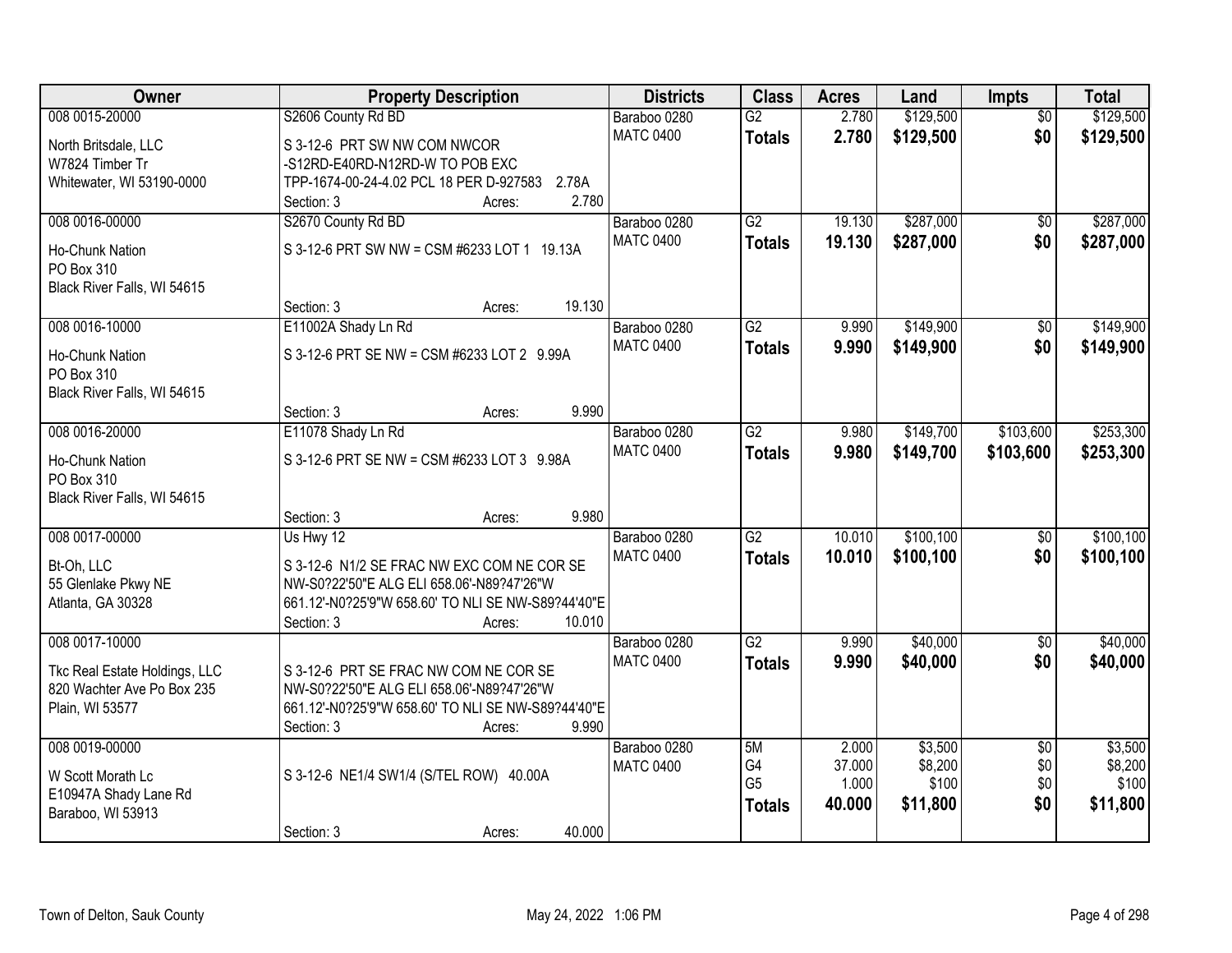| Owner                         | <b>Property Description</b>                        | <b>Districts</b>                 | <b>Class</b>    | <b>Acres</b> | Land       | Impts           | <b>Total</b> |
|-------------------------------|----------------------------------------------------|----------------------------------|-----------------|--------------|------------|-----------------|--------------|
| 008 0015-20000                | S2606 County Rd BD                                 | Baraboo 0280                     | $\overline{G2}$ | 2.780        | \$129,500  | $\overline{50}$ | \$129,500    |
| North Britsdale, LLC          | S 3-12-6 PRT SW NW COM NWCOR                       | <b>MATC 0400</b>                 | <b>Totals</b>   | 2.780        | \$129,500  | \$0             | \$129,500    |
| W7824 Timber Tr               | -S12RD-E40RD-N12RD-W TO POB EXC                    |                                  |                 |              |            |                 |              |
| Whitewater, WI 53190-0000     | TPP-1674-00-24-4.02 PCL 18 PER D-927583<br>2.78A   |                                  |                 |              |            |                 |              |
|                               | 2.780<br>Section: 3<br>Acres:                      |                                  |                 |              |            |                 |              |
| 008 0016-00000                | S2670 County Rd BD                                 | Baraboo 0280                     | $\overline{G2}$ | 19.130       | \$287,000  | $\overline{50}$ | \$287,000    |
| <b>Ho-Chunk Nation</b>        | S 3-12-6 PRT SW NW = CSM #6233 LOT 1 19.13A        | <b>MATC 0400</b>                 | <b>Totals</b>   | 19.130       | \$287,000  | \$0             | \$287,000    |
| PO Box 310                    |                                                    |                                  |                 |              |            |                 |              |
| Black River Falls, WI 54615   |                                                    |                                  |                 |              |            |                 |              |
|                               | 19.130<br>Section: 3<br>Acres:                     |                                  |                 |              |            |                 |              |
| 008 0016-10000                | E11002A Shady Ln Rd                                | Baraboo 0280                     | $\overline{G2}$ | 9.990        | \$149,900  | $\overline{50}$ | \$149,900    |
|                               |                                                    | <b>MATC 0400</b>                 | <b>Totals</b>   | 9.990        | \$149,900  | \$0             | \$149,900    |
| Ho-Chunk Nation               | S 3-12-6 PRT SE NW = CSM #6233 LOT 2 9.99A         |                                  |                 |              |            |                 |              |
| PO Box 310                    |                                                    |                                  |                 |              |            |                 |              |
| Black River Falls, WI 54615   | 9.990                                              |                                  |                 |              |            |                 |              |
|                               | Section: 3<br>Acres:                               |                                  | $\overline{G2}$ | 9.980        |            |                 |              |
| 008 0016-20000                | E11078 Shady Ln Rd                                 | Baraboo 0280<br><b>MATC 0400</b> |                 |              | \$149,700  | \$103,600       | \$253,300    |
| Ho-Chunk Nation               | S 3-12-6 PRT SE NW = CSM #6233 LOT 3 9.98A         |                                  | <b>Totals</b>   | 9.980        | \$149,700  | \$103,600       | \$253,300    |
| PO Box 310                    |                                                    |                                  |                 |              |            |                 |              |
| Black River Falls, WI 54615   |                                                    |                                  |                 |              |            |                 |              |
|                               | 9.980<br>Section: 3<br>Acres:                      |                                  |                 |              |            |                 |              |
| 008 0017-00000                | Us Hwy 12                                          | Baraboo 0280                     | $\overline{G2}$ | 10.010       | \$100, 100 | $\overline{50}$ | \$100, 100   |
| Bt-Oh, LLC                    | S 3-12-6 N1/2 SE FRAC NW EXC COM NE COR SE         | <b>MATC 0400</b>                 | <b>Totals</b>   | 10.010       | \$100,100  | \$0             | \$100,100    |
| 55 Glenlake Pkwy NE           | NW-S0?22'50"E ALG ELI 658.06'-N89?47'26"W          |                                  |                 |              |            |                 |              |
| Atlanta, GA 30328             | 661.12'-N0?25'9"W 658.60' TO NLI SE NW-S89?44'40"E |                                  |                 |              |            |                 |              |
|                               | 10.010<br>Section: 3<br>Acres:                     |                                  |                 |              |            |                 |              |
| 008 0017-10000                |                                                    | Baraboo 0280                     | G2              | 9.990        | \$40,000   | $\overline{50}$ | \$40,000     |
| Tkc Real Estate Holdings, LLC | S 3-12-6 PRT SE FRAC NW COM NE COR SE              | <b>MATC 0400</b>                 | <b>Totals</b>   | 9.990        | \$40,000   | \$0             | \$40,000     |
| 820 Wachter Ave Po Box 235    | NW-S0?22'50"E ALG ELI 658.06'-N89?47'26"W          |                                  |                 |              |            |                 |              |
| Plain, WI 53577               | 661.12'-N0?25'9"W 658.60' TO NLI SE NW-S89?44'40"E |                                  |                 |              |            |                 |              |
|                               | 9.990<br>Section: 3<br>Acres:                      |                                  |                 |              |            |                 |              |
| 008 0019-00000                |                                                    | Baraboo 0280                     | 5M              | 2.000        | \$3,500    | $\overline{50}$ | \$3,500      |
|                               |                                                    | <b>MATC 0400</b>                 | G4              | 37.000       | \$8,200    | \$0             | \$8,200      |
| W Scott Morath Lc             | S 3-12-6 NE1/4 SW1/4 (S/TEL ROW) 40.00A            |                                  | G <sub>5</sub>  | 1.000        | \$100      | \$0             | \$100        |
| E10947A Shady Lane Rd         |                                                    |                                  | <b>Totals</b>   | 40.000       | \$11,800   | \$0             | \$11,800     |
| Baraboo, WI 53913             | 40.000                                             |                                  |                 |              |            |                 |              |
|                               | Section: 3<br>Acres:                               |                                  |                 |              |            |                 |              |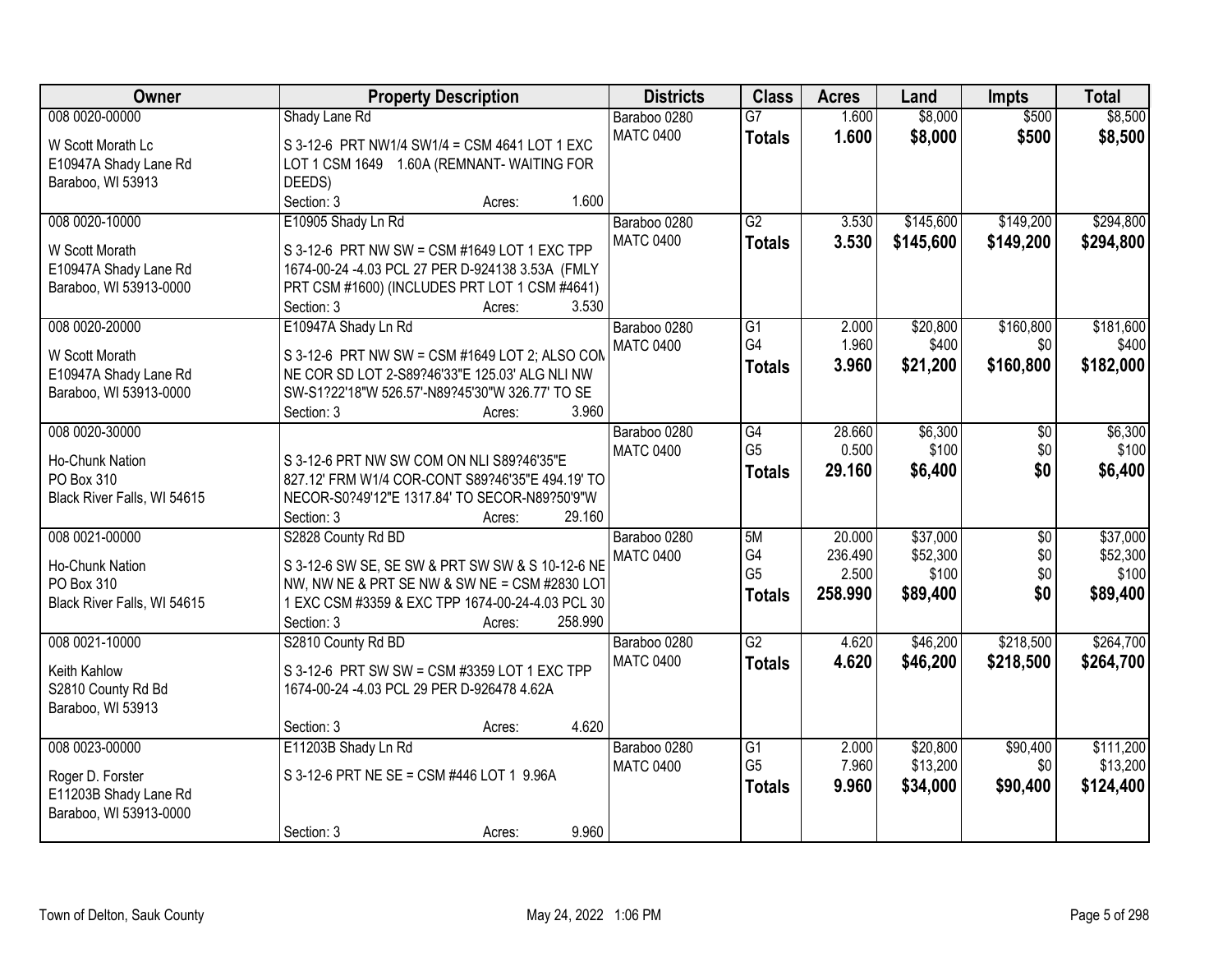| <b>Owner</b>                              | <b>Property Description</b>                                                                       | <b>Districts</b>                 | <b>Class</b>    | <b>Acres</b>   | Land      | <b>Impts</b>    | <b>Total</b> |
|-------------------------------------------|---------------------------------------------------------------------------------------------------|----------------------------------|-----------------|----------------|-----------|-----------------|--------------|
| 008 0020-00000                            | Shady Lane Rd                                                                                     | Baraboo 0280                     | $\overline{G}$  | 1.600          | \$8,000   | \$500           | \$8,500      |
| W Scott Morath Lc                         | S 3-12-6 PRT NW1/4 SW1/4 = CSM 4641 LOT 1 EXC                                                     | <b>MATC 0400</b>                 | <b>Totals</b>   | 1.600          | \$8,000   | \$500           | \$8,500      |
| E10947A Shady Lane Rd                     | LOT 1 CSM 1649 1.60A (REMNANT-WAITING FOR                                                         |                                  |                 |                |           |                 |              |
| Baraboo, WI 53913                         | DEEDS)                                                                                            |                                  |                 |                |           |                 |              |
|                                           | 1.600<br>Section: 3<br>Acres:                                                                     |                                  |                 |                |           |                 |              |
| 008 0020-10000                            | E10905 Shady Ln Rd                                                                                | Baraboo 0280                     | G2              | 3.530          | \$145,600 | \$149,200       | \$294,800    |
| W Scott Morath                            | S 3-12-6 PRT NW SW = CSM #1649 LOT 1 EXC TPP                                                      | <b>MATC 0400</b>                 | <b>Totals</b>   | 3.530          | \$145,600 | \$149,200       | \$294,800    |
| E10947A Shady Lane Rd                     | 1674-00-24 -4.03 PCL 27 PER D-924138 3.53A (FMLY                                                  |                                  |                 |                |           |                 |              |
| Baraboo, WI 53913-0000                    | PRT CSM #1600) (INCLUDES PRT LOT 1 CSM #4641)                                                     |                                  |                 |                |           |                 |              |
|                                           | 3.530<br>Section: 3<br>Acres:                                                                     |                                  |                 |                |           |                 |              |
| 008 0020-20000                            | E10947A Shady Ln Rd                                                                               | Baraboo 0280                     | G1              | 2.000          | \$20,800  | \$160,800       | \$181,600    |
|                                           |                                                                                                   | <b>MATC 0400</b>                 | G4              | 1.960          | \$400     | \$0             | \$400        |
| W Scott Morath<br>E10947A Shady Lane Rd   | S 3-12-6 PRT NW SW = CSM #1649 LOT 2; ALSO COM<br>NE COR SD LOT 2-S89?46'33"E 125.03' ALG NLI NW  |                                  | <b>Totals</b>   | 3.960          | \$21,200  | \$160,800       | \$182,000    |
| Baraboo, WI 53913-0000                    | SW-S1?22'18"W 526.57'-N89?45'30"W 326.77' TO SE                                                   |                                  |                 |                |           |                 |              |
|                                           | 3.960<br>Section: 3<br>Acres:                                                                     |                                  |                 |                |           |                 |              |
| 008 0020-30000                            |                                                                                                   | Baraboo 0280                     | G4              | 28.660         | \$6,300   | \$0             | \$6,300      |
|                                           |                                                                                                   | <b>MATC 0400</b>                 | G <sub>5</sub>  | 0.500          | \$100     | \$0             | \$100        |
| Ho-Chunk Nation                           | S 3-12-6 PRT NW SW COM ON NLI S89?46'35"E                                                         |                                  | <b>Totals</b>   | 29.160         | \$6,400   | \$0             | \$6,400      |
| PO Box 310<br>Black River Falls, WI 54615 | 827.12' FRM W1/4 COR-CONT S89?46'35"E 494.19' TO<br>NECOR-S0?49'12"E 1317.84' TO SECOR-N89?50'9"W |                                  |                 |                |           |                 |              |
|                                           | 29.160<br>Section: 3<br>Acres:                                                                    |                                  |                 |                |           |                 |              |
| 008 0021-00000                            | S2828 County Rd BD                                                                                | Baraboo 0280                     | 5M              | 20.000         | \$37,000  | $\overline{50}$ | \$37,000     |
|                                           |                                                                                                   | <b>MATC 0400</b>                 | G4              | 236.490        | \$52,300  | \$0             | \$52,300     |
| Ho-Chunk Nation                           | S 3-12-6 SW SE, SE SW & PRT SW SW & S 10-12-6 NE                                                  |                                  | G <sub>5</sub>  | 2.500          | \$100     | \$0             | \$100        |
| PO Box 310                                | NW, NW NE & PRT SE NW & SW NE = CSM #2830 LOT                                                     |                                  | <b>Totals</b>   | 258.990        | \$89,400  | \$0             | \$89,400     |
| Black River Falls, WI 54615               | 1 EXC CSM #3359 & EXC TPP 1674-00-24-4.03 PCL 30                                                  |                                  |                 |                |           |                 |              |
|                                           | 258.990<br>Section: 3<br>Acres:                                                                   |                                  | $\overline{G2}$ |                |           |                 | \$264,700    |
| 008 0021-10000                            | S2810 County Rd BD                                                                                | Baraboo 0280<br><b>MATC 0400</b> |                 | 4.620<br>4.620 | \$46,200  | \$218,500       |              |
| Keith Kahlow                              | S 3-12-6 PRT SW SW = CSM #3359 LOT 1 EXC TPP                                                      |                                  | <b>Totals</b>   |                | \$46,200  | \$218,500       | \$264,700    |
| S2810 County Rd Bd                        | 1674-00-24 -4.03 PCL 29 PER D-926478 4.62A                                                        |                                  |                 |                |           |                 |              |
| Baraboo, WI 53913                         |                                                                                                   |                                  |                 |                |           |                 |              |
|                                           | 4.620<br>Section: 3<br>Acres:                                                                     |                                  |                 |                |           |                 |              |
| 008 0023-00000                            | E11203B Shady Ln Rd                                                                               | Baraboo 0280                     | $\overline{G1}$ | 2.000          | \$20,800  | \$90,400        | \$111,200    |
| Roger D. Forster                          | S 3-12-6 PRT NE SE = CSM #446 LOT 1 9.96A                                                         | <b>MATC 0400</b>                 | G <sub>5</sub>  | 7.960          | \$13,200  | \$0             | \$13,200     |
| E11203B Shady Lane Rd                     |                                                                                                   |                                  | <b>Totals</b>   | 9.960          | \$34,000  | \$90,400        | \$124,400    |
| Baraboo, WI 53913-0000                    |                                                                                                   |                                  |                 |                |           |                 |              |
|                                           | 9.960<br>Section: 3<br>Acres:                                                                     |                                  |                 |                |           |                 |              |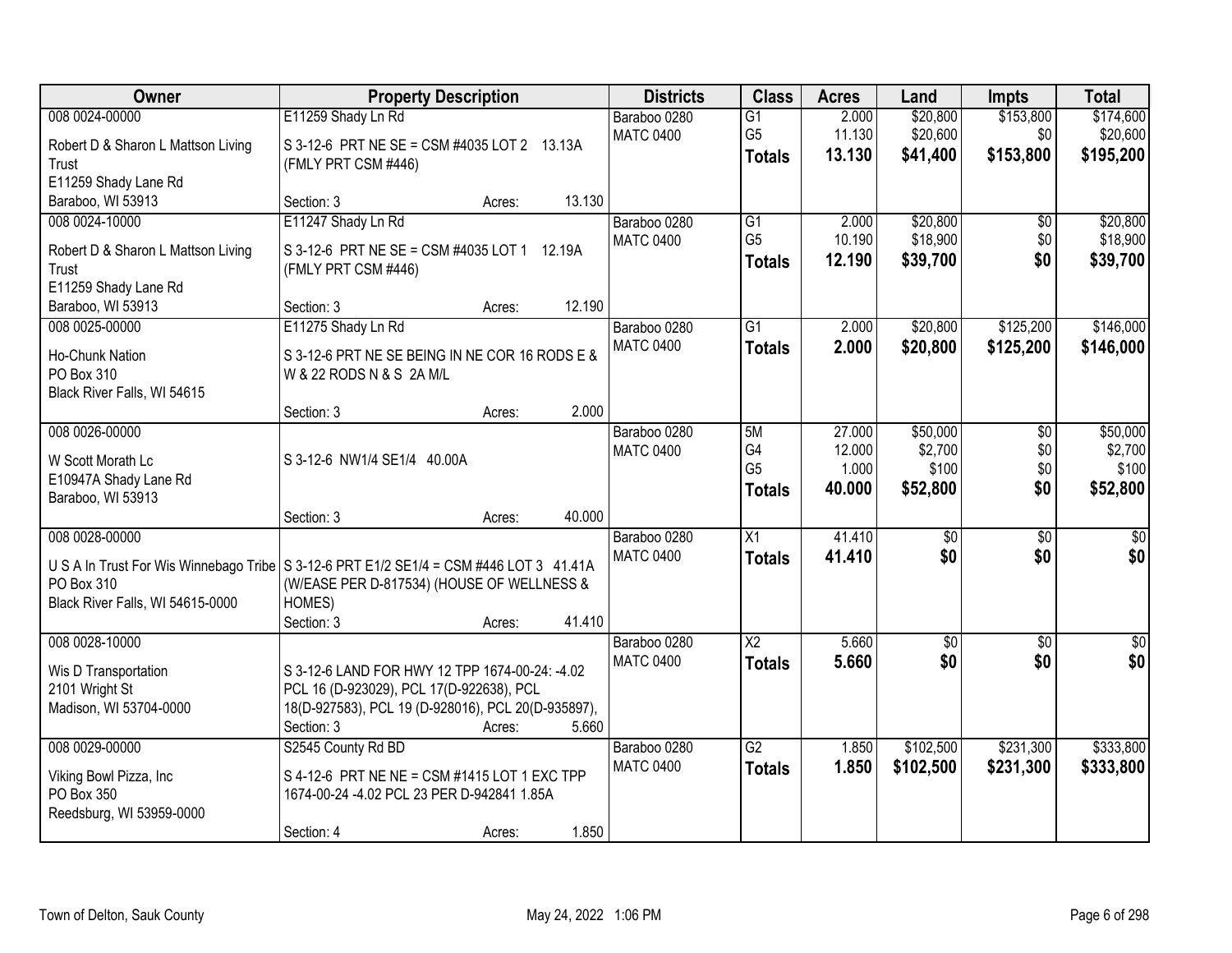| Owner                                                | <b>Property Description</b>                                                                   |        | <b>Districts</b>                 | <b>Class</b>         | <b>Acres</b>    | Land                 | <b>Impts</b>    | <b>Total</b>         |
|------------------------------------------------------|-----------------------------------------------------------------------------------------------|--------|----------------------------------|----------------------|-----------------|----------------------|-----------------|----------------------|
| 008 0024-00000                                       | E11259 Shady Ln Rd                                                                            |        | Baraboo 0280                     | $\overline{G1}$      | 2.000           | \$20,800             | \$153,800       | \$174,600            |
| Robert D & Sharon L Mattson Living                   | S 3-12-6 PRT NE SE = CSM #4035 LOT 2 13.13A                                                   |        | <b>MATC 0400</b>                 | G <sub>5</sub>       | 11.130          | \$20,600             | \$0             | \$20,600             |
| Trust                                                | (FMLY PRT CSM #446)                                                                           |        |                                  | <b>Totals</b>        | 13.130          | \$41,400             | \$153,800       | \$195,200            |
| E11259 Shady Lane Rd                                 |                                                                                               |        |                                  |                      |                 |                      |                 |                      |
| Baraboo, WI 53913                                    | Section: 3<br>Acres:                                                                          | 13.130 |                                  |                      |                 |                      |                 |                      |
| 008 0024-10000                                       | E11247 Shady Ln Rd                                                                            |        | Baraboo 0280<br><b>MATC 0400</b> | G1<br>G <sub>5</sub> | 2.000<br>10.190 | \$20,800<br>\$18,900 | \$0<br>\$0      | \$20,800<br>\$18,900 |
| Robert D & Sharon L Mattson Living                   | S 3-12-6 PRT NE SE = CSM #4035 LOT 1 12.19A                                                   |        |                                  | <b>Totals</b>        | 12.190          | \$39,700             | \$0             | \$39,700             |
| Trust                                                | (FMLY PRT CSM #446)                                                                           |        |                                  |                      |                 |                      |                 |                      |
| E11259 Shady Lane Rd                                 | Section: 3                                                                                    | 12.190 |                                  |                      |                 |                      |                 |                      |
| Baraboo, WI 53913<br>008 0025-00000                  | Acres:<br>E11275 Shady Ln Rd                                                                  |        | Baraboo 0280                     | $\overline{G1}$      | 2.000           | \$20,800             | \$125,200       | \$146,000            |
|                                                      |                                                                                               |        | <b>MATC 0400</b>                 | <b>Totals</b>        | 2.000           | \$20,800             | \$125,200       | \$146,000            |
| Ho-Chunk Nation                                      | S 3-12-6 PRT NE SE BEING IN NE COR 16 RODS E &                                                |        |                                  |                      |                 |                      |                 |                      |
| PO Box 310                                           | W & 22 RODS N & S 2A M/L                                                                      |        |                                  |                      |                 |                      |                 |                      |
| Black River Falls, WI 54615                          | Section: 3<br>Acres:                                                                          | 2.000  |                                  |                      |                 |                      |                 |                      |
| 008 0026-00000                                       |                                                                                               |        | Baraboo 0280                     | 5M                   | 27.000          | \$50,000             | $\overline{50}$ | \$50,000             |
|                                                      |                                                                                               |        | <b>MATC 0400</b>                 | G4                   | 12.000          | \$2,700              | \$0             | \$2,700              |
| W Scott Morath Lc                                    | S 3-12-6 NW1/4 SE1/4 40.00A                                                                   |        |                                  | G <sub>5</sub>       | 1.000           | \$100                | \$0             | \$100                |
| E10947A Shady Lane Rd<br>Baraboo, WI 53913           |                                                                                               |        |                                  | <b>Totals</b>        | 40.000          | \$52,800             | \$0             | \$52,800             |
|                                                      | Section: 3<br>Acres:                                                                          | 40.000 |                                  |                      |                 |                      |                 |                      |
| 008 0028-00000                                       |                                                                                               |        | Baraboo 0280                     | X1                   | 41.410          | \$0                  | \$0             | \$0                  |
|                                                      |                                                                                               |        | <b>MATC 0400</b>                 | <b>Totals</b>        | 41.410          | \$0                  | \$0             | \$0                  |
| U S A In Trust For Wis Winnebago Tribe<br>PO Box 310 | S 3-12-6 PRT E1/2 SE1/4 = CSM #446 LOT 3 41.41A<br>(W/EASE PER D-817534) (HOUSE OF WELLNESS & |        |                                  |                      |                 |                      |                 |                      |
| Black River Falls, WI 54615-0000                     | HOMES)                                                                                        |        |                                  |                      |                 |                      |                 |                      |
|                                                      | Section: 3<br>Acres:                                                                          | 41.410 |                                  |                      |                 |                      |                 |                      |
| 008 0028-10000                                       |                                                                                               |        | Baraboo 0280                     | $\overline{X2}$      | 5.660           | \$0                  | $\overline{50}$ | $\sqrt{60}$          |
| Wis D Transportation                                 | S 3-12-6 LAND FOR HWY 12 TPP 1674-00-24: -4.02                                                |        | <b>MATC 0400</b>                 | <b>Totals</b>        | 5.660           | \$0                  | \$0             | \$0                  |
| 2101 Wright St                                       | PCL 16 (D-923029), PCL 17(D-922638), PCL                                                      |        |                                  |                      |                 |                      |                 |                      |
| Madison, WI 53704-0000                               | 18(D-927583), PCL 19 (D-928016), PCL 20(D-935897),                                            |        |                                  |                      |                 |                      |                 |                      |
|                                                      | Section: 3<br>Acres:                                                                          | 5.660  |                                  |                      |                 |                      |                 |                      |
| 008 0029-00000                                       | S2545 County Rd BD                                                                            |        | Baraboo 0280                     | $\overline{G2}$      | 1.850           | \$102,500            | \$231,300       | \$333,800            |
| Viking Bowl Pizza, Inc.                              | S 4-12-6 PRT NE NE = CSM #1415 LOT 1 EXC TPP                                                  |        | <b>MATC 0400</b>                 | <b>Totals</b>        | 1.850           | \$102,500            | \$231,300       | \$333,800            |
| PO Box 350                                           | 1674-00-24 -4.02 PCL 23 PER D-942841 1.85A                                                    |        |                                  |                      |                 |                      |                 |                      |
| Reedsburg, WI 53959-0000                             |                                                                                               |        |                                  |                      |                 |                      |                 |                      |
|                                                      | Section: 4<br>Acres:                                                                          | 1.850  |                                  |                      |                 |                      |                 |                      |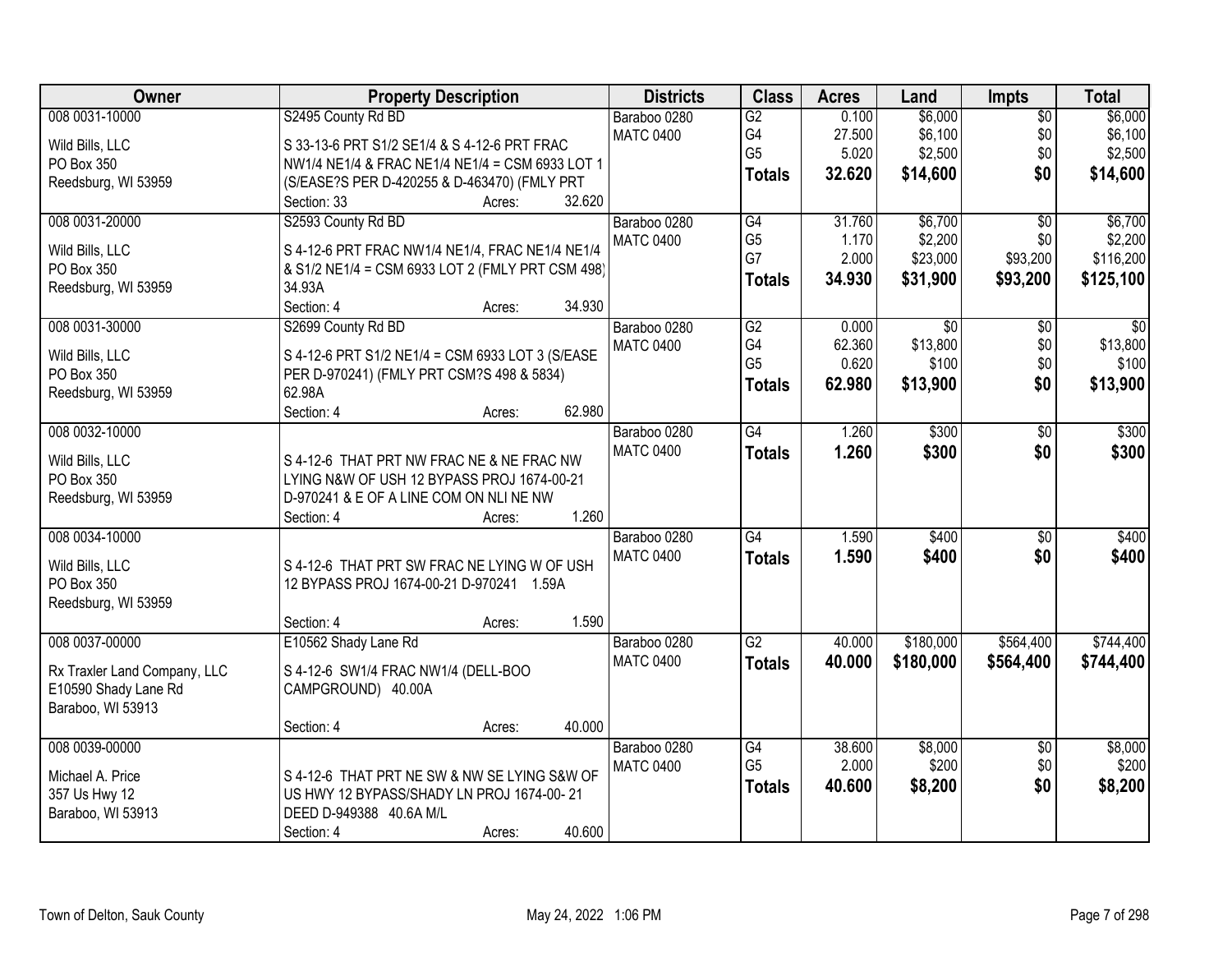| Owner                        | <b>Property Description</b>                      | <b>Districts</b> | <b>Class</b>    | <b>Acres</b> | Land              | <b>Impts</b>    | <b>Total</b>    |
|------------------------------|--------------------------------------------------|------------------|-----------------|--------------|-------------------|-----------------|-----------------|
| 008 0031-10000               | S2495 County Rd BD                               | Baraboo 0280     | $\overline{G2}$ | 0.100        | \$6,000           | $\overline{50}$ | \$6,000         |
| Wild Bills, LLC              | S 33-13-6 PRT S1/2 SE1/4 & S 4-12-6 PRT FRAC     | <b>MATC 0400</b> | G4              | 27.500       | \$6,100           | \$0             | \$6,100         |
| PO Box 350                   | NW1/4 NE1/4 & FRAC NE1/4 NE1/4 = CSM 6933 LOT 1  |                  | G <sub>5</sub>  | 5.020        | \$2,500           | \$0             | \$2,500         |
| Reedsburg, WI 53959          | (S/EASE?S PER D-420255 & D-463470) (FMLY PRT     |                  | <b>Totals</b>   | 32.620       | \$14,600          | \$0             | \$14,600        |
|                              | 32.620<br>Section: 33<br>Acres:                  |                  |                 |              |                   |                 |                 |
| 008 0031-20000               | S2593 County Rd BD                               | Baraboo 0280     | G4              | 31.760       | \$6,700           | $\overline{30}$ | \$6,700         |
|                              |                                                  | <b>MATC 0400</b> | G <sub>5</sub>  | 1.170        | \$2,200           | \$0             | \$2,200         |
| Wild Bills, LLC              | S 4-12-6 PRT FRAC NW1/4 NE1/4, FRAC NE1/4 NE1/4  |                  | G7              | 2.000        | \$23,000          | \$93,200        | \$116,200       |
| PO Box 350                   | & S1/2 NE1/4 = CSM 6933 LOT 2 (FMLY PRT CSM 498) |                  | <b>Totals</b>   | 34.930       | \$31,900          | \$93,200        | \$125,100       |
| Reedsburg, WI 53959          | 34.93A<br>34.930                                 |                  |                 |              |                   |                 |                 |
| 008 0031-30000               | Section: 4<br>Acres:                             |                  |                 |              |                   |                 |                 |
|                              | S2699 County Rd BD                               | Baraboo 0280     | G2<br>G4        | 0.000        | $\overline{50}$   | $\overline{50}$ | $\overline{30}$ |
| Wild Bills, LLC              | S 4-12-6 PRT S1/2 NE1/4 = CSM 6933 LOT 3 (S/EASE | <b>MATC 0400</b> | G <sub>5</sub>  | 62.360       | \$13,800<br>\$100 | \$0<br>\$0      | \$13,800        |
| PO Box 350                   | PER D-970241) (FMLY PRT CSM?S 498 & 5834)        |                  |                 | 0.620        |                   |                 | \$100           |
| Reedsburg, WI 53959          | 62.98A                                           |                  | <b>Totals</b>   | 62.980       | \$13,900          | \$0             | \$13,900        |
|                              | 62.980<br>Section: 4<br>Acres:                   |                  |                 |              |                   |                 |                 |
| 008 0032-10000               |                                                  | Baraboo 0280     | $\overline{G4}$ | 1.260        | \$300             | \$0             | \$300           |
|                              |                                                  | <b>MATC 0400</b> | <b>Totals</b>   | 1.260        | \$300             | \$0             | \$300           |
| Wild Bills, LLC              | S 4-12-6 THAT PRT NW FRAC NE & NE FRAC NW        |                  |                 |              |                   |                 |                 |
| PO Box 350                   | LYING N&W OF USH 12 BYPASS PROJ 1674-00-21       |                  |                 |              |                   |                 |                 |
| Reedsburg, WI 53959          | D-970241 & E OF A LINE COM ON NLI NE NW<br>1.260 |                  |                 |              |                   |                 |                 |
|                              | Section: 4<br>Acres:                             |                  | $\overline{G4}$ |              |                   |                 |                 |
| 008 0034-10000               |                                                  | Baraboo 0280     |                 | 1.590        | \$400             | $\overline{50}$ | \$400           |
| Wild Bills, LLC              | S 4-12-6 THAT PRT SW FRAC NE LYING W OF USH      | <b>MATC 0400</b> | <b>Totals</b>   | 1.590        | \$400             | \$0             | \$400           |
| PO Box 350                   | 12 BYPASS PROJ 1674-00-21 D-970241 1.59A         |                  |                 |              |                   |                 |                 |
| Reedsburg, WI 53959          |                                                  |                  |                 |              |                   |                 |                 |
|                              | 1.590<br>Section: 4<br>Acres:                    |                  |                 |              |                   |                 |                 |
| 008 0037-00000               | E10562 Shady Lane Rd                             | Baraboo 0280     | $\overline{G2}$ | 40.000       | \$180,000         | \$564,400       | \$744,400       |
| Rx Traxler Land Company, LLC | S 4-12-6 SW1/4 FRAC NW1/4 (DELL-BOO              | <b>MATC 0400</b> | <b>Totals</b>   | 40.000       | \$180,000         | \$564,400       | \$744,400       |
| E10590 Shady Lane Rd         | CAMPGROUND) 40.00A                               |                  |                 |              |                   |                 |                 |
| Baraboo, WI 53913            |                                                  |                  |                 |              |                   |                 |                 |
|                              | 40.000<br>Section: 4<br>Acres:                   |                  |                 |              |                   |                 |                 |
| 008 0039-00000               |                                                  | Baraboo 0280     | G4              | 38.600       | \$8,000           | $\overline{30}$ | \$8,000         |
|                              |                                                  | <b>MATC 0400</b> | G <sub>5</sub>  | 2.000        | \$200             | \$0             | \$200           |
| Michael A. Price             | S 4-12-6 THAT PRT NE SW & NW SE LYING S&W OF     |                  | <b>Totals</b>   | 40.600       | \$8,200           | \$0             | \$8,200         |
| 357 Us Hwy 12                | US HWY 12 BYPASS/SHADY LN PROJ 1674-00-21        |                  |                 |              |                   |                 |                 |
| Baraboo, WI 53913            | DEED D-949388 40.6A M/L                          |                  |                 |              |                   |                 |                 |
|                              | 40.600<br>Section: 4<br>Acres:                   |                  |                 |              |                   |                 |                 |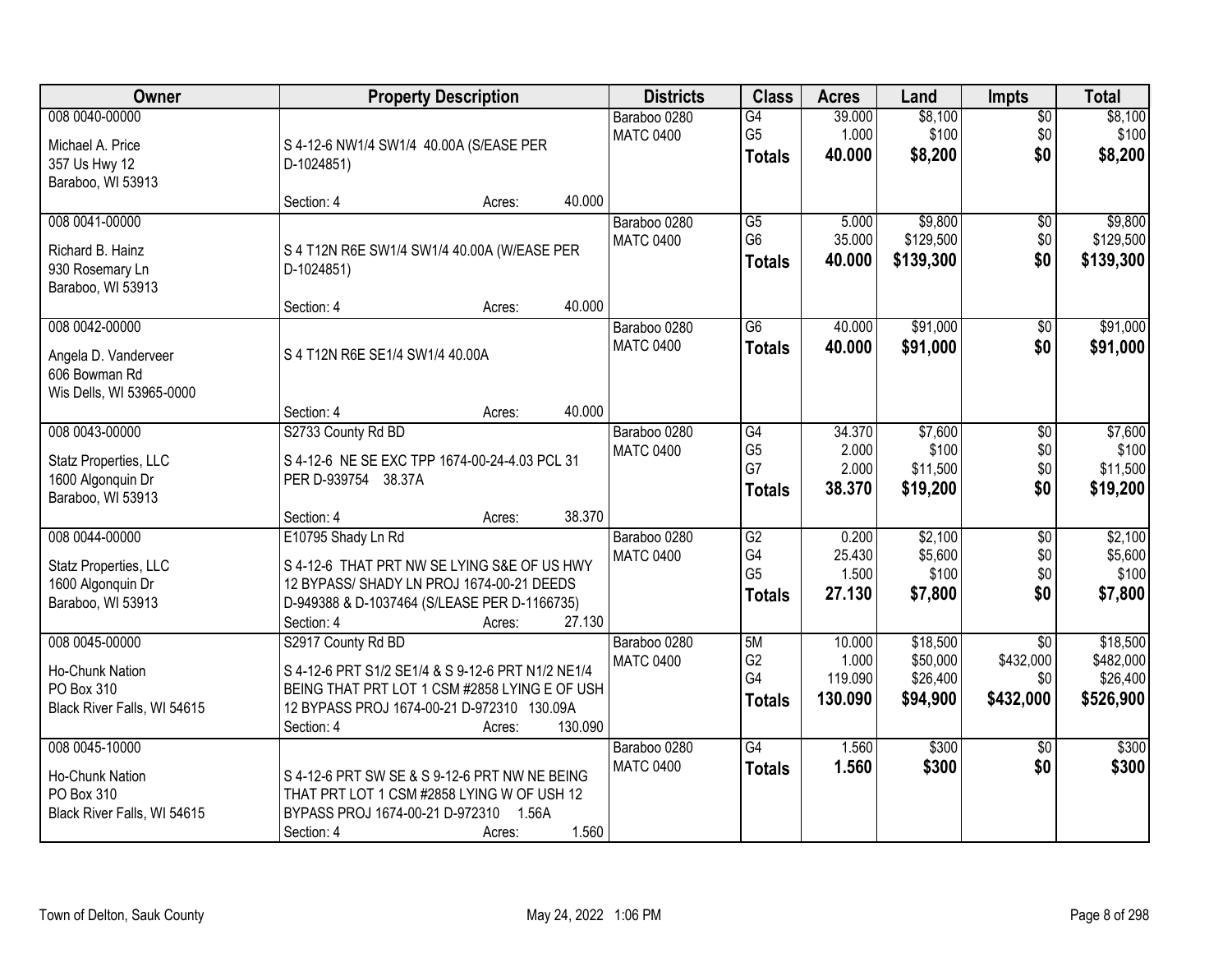| Owner                                                                             | <b>Property Description</b>                                                                                                                                                                    |         | <b>Districts</b>                 | <b>Class</b>                                             | <b>Acres</b>                          | Land                                         | <b>Impts</b>                                     | <b>Total</b>                                   |
|-----------------------------------------------------------------------------------|------------------------------------------------------------------------------------------------------------------------------------------------------------------------------------------------|---------|----------------------------------|----------------------------------------------------------|---------------------------------------|----------------------------------------------|--------------------------------------------------|------------------------------------------------|
| 008 0040-00000<br>Michael A. Price<br>357 Us Hwy 12<br>Baraboo, WI 53913          | S 4-12-6 NW1/4 SW1/4 40.00A (S/EASE PER<br>D-1024851)                                                                                                                                          |         | Baraboo 0280<br><b>MATC 0400</b> | G4<br>G <sub>5</sub><br><b>Totals</b>                    | 39.000<br>1.000<br>40.000             | \$8,100<br>\$100<br>\$8,200                  | $\sqrt{$0}$<br>\$0<br>\$0                        | \$8,100<br>\$100<br>\$8,200                    |
|                                                                                   | Section: 4<br>Acres:                                                                                                                                                                           | 40.000  |                                  |                                                          |                                       |                                              |                                                  |                                                |
| 008 0041-00000<br>Richard B. Hainz<br>930 Rosemary Ln<br>Baraboo, WI 53913        | S 4 T12N R6E SW1/4 SW1/4 40.00A (W/EASE PER<br>D-1024851)                                                                                                                                      |         | Baraboo 0280<br><b>MATC 0400</b> | $\overline{G5}$<br>G <sub>6</sub><br><b>Totals</b>       | 5.000<br>35.000<br>40.000             | \$9,800<br>\$129,500<br>\$139,300            | \$0<br>\$0<br>\$0                                | \$9,800<br>\$129,500<br>\$139,300              |
| 008 0042-00000                                                                    | Section: 4<br>Acres:                                                                                                                                                                           | 40.000  | Baraboo 0280                     | $\overline{G6}$                                          | 40.000                                | \$91,000                                     | \$0                                              | \$91,000                                       |
| Angela D. Vanderveer<br>606 Bowman Rd<br>Wis Dells, WI 53965-0000                 | S 4 T12N R6E SE1/4 SW1/4 40.00A                                                                                                                                                                | 40.000  | <b>MATC 0400</b>                 | <b>Totals</b>                                            | 40.000                                | \$91,000                                     | \$0                                              | \$91,000                                       |
| 008 0043-00000                                                                    | Section: 4<br>Acres:<br>S2733 County Rd BD                                                                                                                                                     |         | Baraboo 0280                     | G4                                                       | 34.370                                | \$7,600                                      | $\sqrt[6]{3}$                                    | \$7,600                                        |
| Statz Properties, LLC<br>1600 Algonquin Dr<br>Baraboo, WI 53913                   | S 4-12-6 NE SE EXC TPP 1674-00-24-4.03 PCL 31<br>PER D-939754 38.37A                                                                                                                           |         | <b>MATC 0400</b>                 | G <sub>5</sub><br>G7<br><b>Totals</b>                    | 2.000<br>2.000<br>38.370              | \$100<br>\$11,500<br>\$19,200                | \$0<br>\$0<br>\$0                                | \$100<br>\$11,500<br>\$19,200                  |
|                                                                                   | Section: 4<br>Acres:                                                                                                                                                                           | 38.370  |                                  |                                                          |                                       |                                              |                                                  |                                                |
| 008 0044-00000<br>Statz Properties, LLC<br>1600 Algonquin Dr<br>Baraboo, WI 53913 | E10795 Shady Ln Rd<br>S 4-12-6 THAT PRT NW SE LYING S&E OF US HWY<br>12 BYPASS/ SHADY LN PROJ 1674-00-21 DEEDS<br>D-949388 & D-1037464 (S/LEASE PER D-1166735)<br>Section: 4<br>Acres:         | 27.130  | Baraboo 0280<br><b>MATC 0400</b> | $\overline{G2}$<br>G4<br>G <sub>5</sub><br><b>Totals</b> | 0.200<br>25.430<br>1.500<br>27.130    | \$2,100<br>\$5,600<br>\$100<br>\$7,800       | $\overline{50}$<br>\$0<br>\$0<br>\$0             | \$2,100<br>\$5,600<br>\$100<br>\$7,800         |
| 008 0045-00000<br>Ho-Chunk Nation<br>PO Box 310<br>Black River Falls, WI 54615    | S2917 County Rd BD<br>S 4-12-6 PRT S1/2 SE1/4 & S 9-12-6 PRT N1/2 NE1/4<br>BEING THAT PRT LOT 1 CSM #2858 LYING E OF USH<br>12 BYPASS PROJ 1674-00-21 D-972310 130.09A<br>Section: 4<br>Acres: | 130.090 | Baraboo 0280<br><b>MATC 0400</b> | 5M<br>G <sub>2</sub><br>G4<br>Totals                     | 10.000<br>1.000<br>119.090<br>130.090 | \$18,500<br>\$50,000<br>\$26,400<br>\$94,900 | $\overline{50}$<br>\$432,000<br>\$0<br>\$432,000 | \$18,500<br>\$482,000<br>\$26,400<br>\$526,900 |
| 008 0045-10000<br>Ho-Chunk Nation<br>PO Box 310<br>Black River Falls, WI 54615    | S 4-12-6 PRT SW SE & S 9-12-6 PRT NW NE BEING<br>THAT PRT LOT 1 CSM #2858 LYING W OF USH 12<br>BYPASS PROJ 1674-00-21 D-972310 1.56A<br>Section: 4<br>Acres:                                   | 1.560   | Baraboo 0280<br><b>MATC 0400</b> | G4<br><b>Totals</b>                                      | 1.560<br>1.560                        | \$300<br>\$300                               | $\overline{30}$<br>\$0                           | \$300<br>\$300                                 |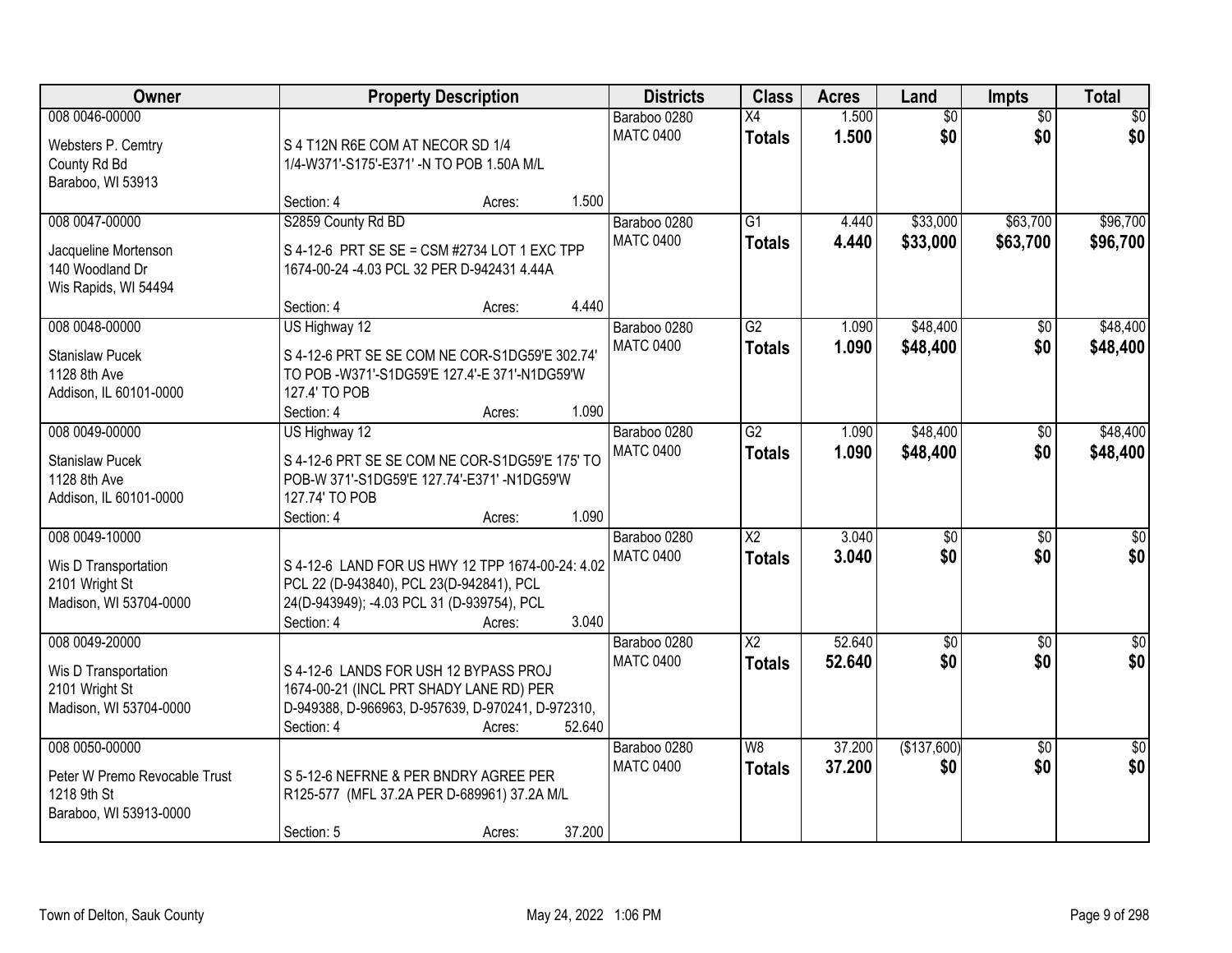| <b>Owner</b>                             |                                                                                               | <b>Property Description</b> |        | <b>Districts</b> | <b>Class</b>    | <b>Acres</b> | Land            | <b>Impts</b>    | <b>Total</b>     |
|------------------------------------------|-----------------------------------------------------------------------------------------------|-----------------------------|--------|------------------|-----------------|--------------|-----------------|-----------------|------------------|
| 008 0046-00000                           |                                                                                               |                             |        | Baraboo 0280     | X4              | 1.500        | $\overline{50}$ | $\overline{30}$ | $\overline{50}$  |
| Websters P. Cemtry                       | S 4 T12N R6E COM AT NECOR SD 1/4                                                              |                             |        | <b>MATC 0400</b> | <b>Totals</b>   | 1.500        | \$0             | \$0             | \$0              |
| County Rd Bd                             | 1/4-W371'-S175'-E371' -N TO POB 1.50A M/L                                                     |                             |        |                  |                 |              |                 |                 |                  |
| Baraboo, WI 53913                        |                                                                                               |                             |        |                  |                 |              |                 |                 |                  |
|                                          | Section: 4                                                                                    | Acres:                      | 1.500  |                  |                 |              |                 |                 |                  |
| 008 0047-00000                           | S2859 County Rd BD                                                                            |                             |        | Baraboo 0280     | $\overline{G1}$ | 4.440        | \$33,000        | \$63,700        | \$96,700         |
| Jacqueline Mortenson                     | S 4-12-6 PRT SE SE = CSM #2734 LOT 1 EXC TPP                                                  |                             |        | <b>MATC 0400</b> | <b>Totals</b>   | 4.440        | \$33,000        | \$63,700        | \$96,700         |
| 140 Woodland Dr                          | 1674-00-24 -4.03 PCL 32 PER D-942431 4.44A                                                    |                             |        |                  |                 |              |                 |                 |                  |
| Wis Rapids, WI 54494                     |                                                                                               |                             |        |                  |                 |              |                 |                 |                  |
|                                          | Section: 4                                                                                    | Acres:                      | 4.440  |                  |                 |              |                 |                 |                  |
| 008 0048-00000                           | US Highway 12                                                                                 |                             |        | Baraboo 0280     | $\overline{G2}$ | 1.090        | \$48,400        | $\overline{50}$ | \$48,400         |
| <b>Stanislaw Pucek</b>                   | S 4-12-6 PRT SE SE COM NE COR-S1DG59'E 302.74'                                                |                             |        | <b>MATC 0400</b> | <b>Totals</b>   | 1.090        | \$48,400        | \$0             | \$48,400         |
| 1128 8th Ave                             | TO POB -W371'-S1DG59'E 127.4'-E 371'-N1DG59'W                                                 |                             |        |                  |                 |              |                 |                 |                  |
| Addison, IL 60101-0000                   | 127.4' TO POB                                                                                 |                             |        |                  |                 |              |                 |                 |                  |
|                                          | Section: 4                                                                                    | Acres:                      | 1.090  |                  |                 |              |                 |                 |                  |
| 008 0049-00000                           | US Highway 12                                                                                 |                             |        | Baraboo 0280     | $\overline{G2}$ | 1.090        | \$48,400        | \$0             | \$48,400         |
|                                          |                                                                                               |                             |        | <b>MATC 0400</b> | <b>Totals</b>   | 1.090        | \$48,400        | \$0             | \$48,400         |
| <b>Stanislaw Pucek</b><br>1128 8th Ave   | S 4-12-6 PRT SE SE COM NE COR-S1DG59'E 175' TO<br>POB-W 371'-S1DG59'E 127.74'-E371' -N1DG59'W |                             |        |                  |                 |              |                 |                 |                  |
| Addison, IL 60101-0000                   | 127.74' TO POB                                                                                |                             |        |                  |                 |              |                 |                 |                  |
|                                          | Section: 4                                                                                    | Acres:                      | 1.090  |                  |                 |              |                 |                 |                  |
| 008 0049-10000                           |                                                                                               |                             |        | Baraboo 0280     | $\overline{X2}$ | 3.040        | $\overline{50}$ | $\overline{50}$ | $\overline{\$0}$ |
|                                          |                                                                                               |                             |        | <b>MATC 0400</b> | <b>Totals</b>   | 3.040        | \$0             | \$0             | \$0              |
| Wis D Transportation                     | S 4-12-6 LAND FOR US HWY 12 TPP 1674-00-24: 4.02                                              |                             |        |                  |                 |              |                 |                 |                  |
| 2101 Wright St<br>Madison, WI 53704-0000 | PCL 22 (D-943840), PCL 23(D-942841), PCL<br>24(D-943949); -4.03 PCL 31 (D-939754), PCL        |                             |        |                  |                 |              |                 |                 |                  |
|                                          | Section: 4                                                                                    | Acres:                      | 3.040  |                  |                 |              |                 |                 |                  |
| 008 0049-20000                           |                                                                                               |                             |        | Baraboo 0280     | $\overline{X2}$ | 52.640       | $\sqrt{$0}$     | $\overline{50}$ | $\frac{6}{3}$    |
|                                          |                                                                                               |                             |        | <b>MATC 0400</b> | <b>Totals</b>   | 52.640       | \$0             | \$0             | \$0              |
| Wis D Transportation                     | S 4-12-6 LANDS FOR USH 12 BYPASS PROJ                                                         |                             |        |                  |                 |              |                 |                 |                  |
| 2101 Wright St                           | 1674-00-21 (INCL PRT SHADY LANE RD) PER                                                       |                             |        |                  |                 |              |                 |                 |                  |
| Madison, WI 53704-0000                   | D-949388, D-966963, D-957639, D-970241, D-972310,                                             |                             | 52.640 |                  |                 |              |                 |                 |                  |
| 008 0050-00000                           | Section: 4                                                                                    | Acres:                      |        | Baraboo 0280     | W8              | 37.200       | (\$137,600)     | $\overline{50}$ | $\overline{50}$  |
|                                          |                                                                                               |                             |        | <b>MATC 0400</b> | <b>Totals</b>   | 37.200       | \$0             | \$0             | \$0              |
| Peter W Premo Revocable Trust            | S 5-12-6 NEFRNE & PER BNDRY AGREE PER                                                         |                             |        |                  |                 |              |                 |                 |                  |
| 1218 9th St                              | R125-577 (MFL 37.2A PER D-689961) 37.2A M/L                                                   |                             |        |                  |                 |              |                 |                 |                  |
| Baraboo, WI 53913-0000                   |                                                                                               |                             |        |                  |                 |              |                 |                 |                  |
|                                          | Section: 5                                                                                    | Acres:                      | 37.200 |                  |                 |              |                 |                 |                  |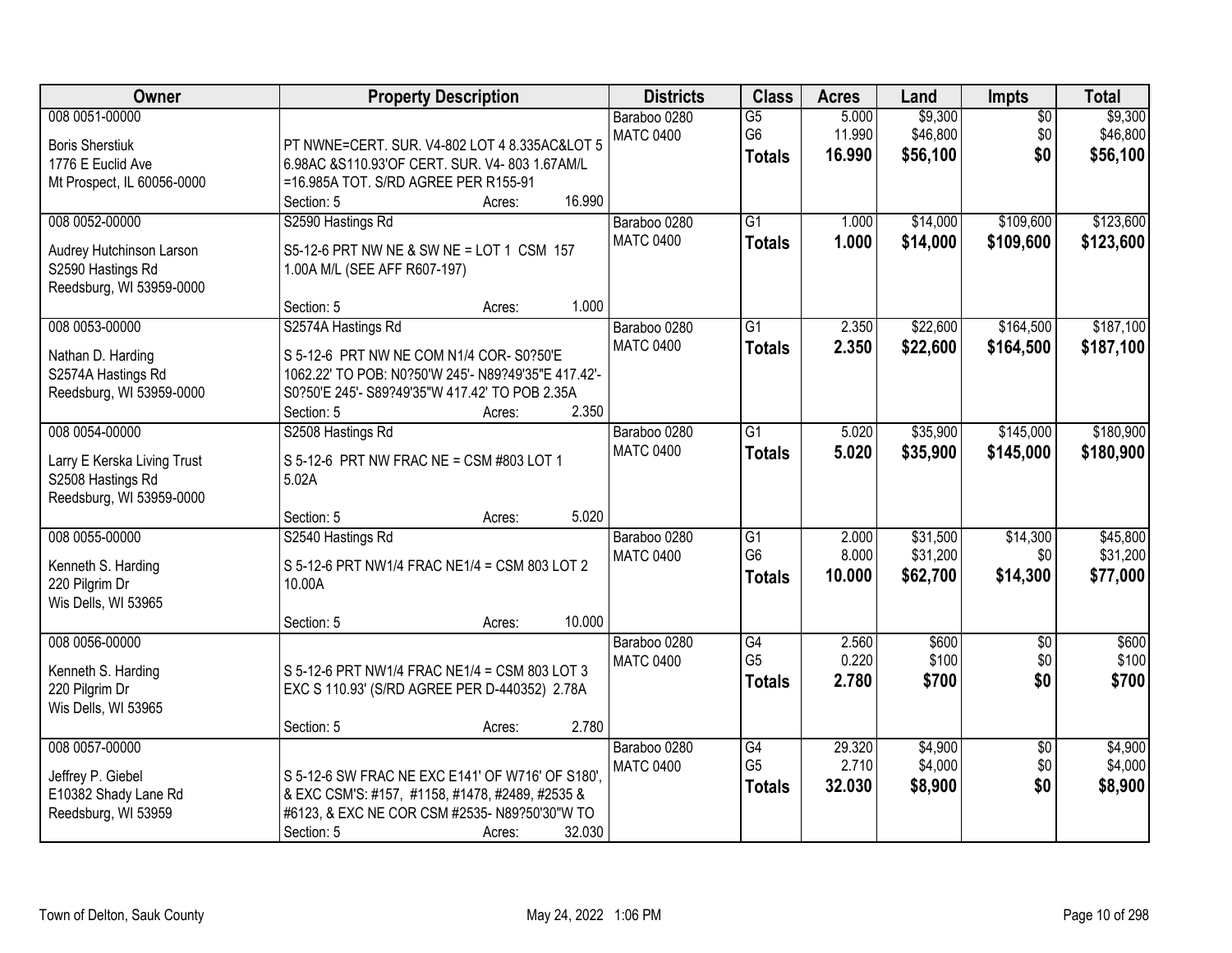| Owner                                                                                          | <b>Property Description</b>                                                                                                                                                                              | <b>Districts</b>                 | <b>Class</b>                                       | <b>Acres</b>              | Land                             | <b>Impts</b>                  | <b>Total</b>                     |
|------------------------------------------------------------------------------------------------|----------------------------------------------------------------------------------------------------------------------------------------------------------------------------------------------------------|----------------------------------|----------------------------------------------------|---------------------------|----------------------------------|-------------------------------|----------------------------------|
| 008 0051-00000<br><b>Boris Sherstiuk</b><br>1776 E Euclid Ave<br>Mt Prospect, IL 60056-0000    | PT NWNE=CERT. SUR. V4-802 LOT 4 8.335AC&LOT 5<br>6.98AC &S110.93'OF CERT. SUR. V4- 803 1.67AM/L<br>=16.985A TOT. S/RD AGREE PER R155-91<br>16.990<br>Section: 5<br>Acres:                                | Baraboo 0280<br><b>MATC 0400</b> | $\overline{G5}$<br>G <sub>6</sub><br><b>Totals</b> | 5.000<br>11.990<br>16.990 | \$9,300<br>\$46,800<br>\$56,100  | $\overline{50}$<br>\$0<br>\$0 | \$9,300<br>\$46,800<br>\$56,100  |
| 008 0052-00000<br>Audrey Hutchinson Larson<br>S2590 Hastings Rd<br>Reedsburg, WI 53959-0000    | S2590 Hastings Rd<br>S5-12-6 PRT NW NE & SW NE = LOT 1 CSM 157<br>1.00A M/L (SEE AFF R607-197)<br>1.000<br>Section: 5<br>Acres:                                                                          | Baraboo 0280<br><b>MATC 0400</b> | $\overline{G1}$<br><b>Totals</b>                   | 1.000<br>1.000            | \$14,000<br>\$14,000             | \$109,600<br>\$109,600        | \$123,600<br>\$123,600           |
| 008 0053-00000<br>Nathan D. Harding<br>S2574A Hastings Rd<br>Reedsburg, WI 53959-0000          | S2574A Hastings Rd<br>S 5-12-6 PRT NW NE COM N1/4 COR- S0?50'E<br>1062.22' TO POB: N0?50'W 245'- N89?49'35"E 417.42'-<br>S0?50'E 245'- S89?49'35"W 417.42' TO POB 2.35A<br>2.350<br>Section: 5<br>Acres: | Baraboo 0280<br><b>MATC 0400</b> | $\overline{G1}$<br><b>Totals</b>                   | 2.350<br>2.350            | \$22,600<br>\$22,600             | \$164,500<br>\$164,500        | \$187,100<br>\$187,100           |
| 008 0054-00000<br>Larry E Kerska Living Trust<br>S2508 Hastings Rd<br>Reedsburg, WI 53959-0000 | S2508 Hastings Rd<br>S 5-12-6 PRT NW FRAC NE = CSM #803 LOT 1<br>5.02A<br>5.020<br>Section: 5<br>Acres:                                                                                                  | Baraboo 0280<br><b>MATC 0400</b> | $\overline{G1}$<br><b>Totals</b>                   | 5.020<br>5.020            | \$35,900<br>\$35,900             | \$145,000<br>\$145,000        | \$180,900<br>\$180,900           |
| 008 0055-00000<br>Kenneth S. Harding<br>220 Pilgrim Dr<br>Wis Dells, WI 53965                  | S2540 Hastings Rd<br>S 5-12-6 PRT NW1/4 FRAC NE1/4 = CSM 803 LOT 2<br>10.00A<br>10.000<br>Section: 5<br>Acres:                                                                                           | Baraboo 0280<br><b>MATC 0400</b> | G1<br>G <sub>6</sub><br><b>Totals</b>              | 2.000<br>8.000<br>10.000  | \$31,500<br>\$31,200<br>\$62,700 | \$14,300<br>\$0<br>\$14,300   | \$45,800<br>\$31,200<br>\$77,000 |
| 008 0056-00000<br>Kenneth S. Harding<br>220 Pilgrim Dr<br>Wis Dells, WI 53965                  | S 5-12-6 PRT NW1/4 FRAC NE1/4 = CSM 803 LOT 3<br>EXC S 110.93' (S/RD AGREE PER D-440352) 2.78A<br>2.780<br>Section: 5<br>Acres:                                                                          | Baraboo 0280<br><b>MATC 0400</b> | G4<br>G <sub>5</sub><br><b>Totals</b>              | 2.560<br>0.220<br>2.780   | \$600<br>\$100<br>\$700          | $\overline{50}$<br>\$0<br>\$0 | \$600<br>\$100<br>\$700          |
| 008 0057-00000<br>Jeffrey P. Giebel<br>E10382 Shady Lane Rd<br>Reedsburg, WI 53959             | S 5-12-6 SW FRAC NE EXC E141' OF W716' OF S180',<br>& EXC CSM'S: #157, #1158, #1478, #2489, #2535 &<br>#6123, & EXC NE COR CSM #2535- N89?50'30"W TO<br>32.030<br>Section: 5<br>Acres:                   | Baraboo 0280<br><b>MATC 0400</b> | G4<br>G <sub>5</sub><br><b>Totals</b>              | 29.320<br>2.710<br>32.030 | \$4,900<br>\$4,000<br>\$8,900    | $\overline{50}$<br>\$0<br>\$0 | \$4,900<br>\$4,000<br>\$8,900    |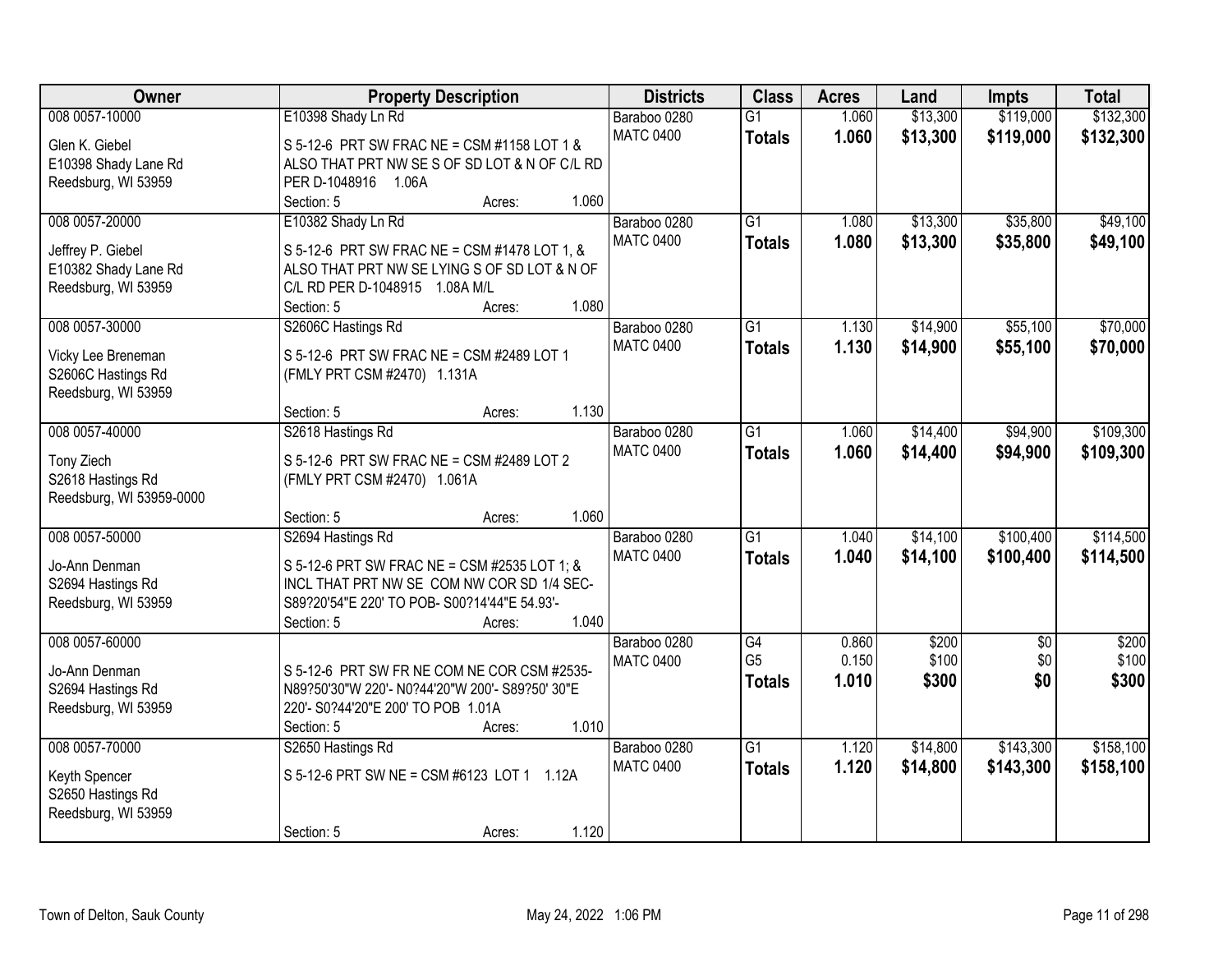| Owner                                    | <b>Property Description</b>                                              | <b>Districts</b> | <b>Class</b>    | <b>Acres</b> | Land     | Impts           | <b>Total</b> |
|------------------------------------------|--------------------------------------------------------------------------|------------------|-----------------|--------------|----------|-----------------|--------------|
| 008 0057-10000                           | E10398 Shady Ln Rd                                                       | Baraboo 0280     | $\overline{G1}$ | 1.060        | \$13,300 | \$119,000       | \$132,300    |
| Glen K. Giebel                           | S 5-12-6 PRT SW FRAC NE = CSM #1158 LOT 1 &                              | <b>MATC 0400</b> | <b>Totals</b>   | 1.060        | \$13,300 | \$119,000       | \$132,300    |
| E10398 Shady Lane Rd                     | ALSO THAT PRT NW SES OF SD LOT & N OF C/L RD                             |                  |                 |              |          |                 |              |
| Reedsburg, WI 53959                      | PER D-1048916 1.06A                                                      |                  |                 |              |          |                 |              |
|                                          | Section: 5<br>Acres:                                                     | 1.060            |                 |              |          |                 |              |
| 008 0057-20000                           | E10382 Shady Ln Rd                                                       | Baraboo 0280     | $\overline{G1}$ | 1.080        | \$13,300 | \$35,800        | \$49,100     |
| Jeffrey P. Giebel                        | S 5-12-6 PRT SW FRAC NE = CSM #1478 LOT 1, &                             | <b>MATC 0400</b> | <b>Totals</b>   | 1.080        | \$13,300 | \$35,800        | \$49,100     |
| E10382 Shady Lane Rd                     | ALSO THAT PRT NW SE LYING S OF SD LOT & N OF                             |                  |                 |              |          |                 |              |
| Reedsburg, WI 53959                      | C/L RD PER D-1048915 1.08A M/L                                           |                  |                 |              |          |                 |              |
|                                          | Section: 5<br>Acres:                                                     | 1.080            |                 |              |          |                 |              |
| 008 0057-30000                           | S2606C Hastings Rd                                                       | Baraboo 0280     | $\overline{G1}$ | 1.130        | \$14,900 | \$55,100        | \$70,000     |
|                                          |                                                                          | <b>MATC 0400</b> | <b>Totals</b>   | 1.130        | \$14,900 | \$55,100        | \$70,000     |
| Vicky Lee Breneman<br>S2606C Hastings Rd | S 5-12-6 PRT SW FRAC NE = CSM #2489 LOT 1<br>(FMLY PRT CSM #2470) 1.131A |                  |                 |              |          |                 |              |
| Reedsburg, WI 53959                      |                                                                          |                  |                 |              |          |                 |              |
|                                          | Section: 5<br>Acres:                                                     | 1.130            |                 |              |          |                 |              |
| 008 0057-40000                           | S2618 Hastings Rd                                                        | Baraboo 0280     | $\overline{G1}$ | 1.060        | \$14,400 | \$94,900        | \$109,300    |
|                                          |                                                                          | <b>MATC 0400</b> | <b>Totals</b>   | 1.060        | \$14,400 | \$94,900        | \$109,300    |
| Tony Ziech                               | S 5-12-6 PRT SW FRAC NE = CSM #2489 LOT 2                                |                  |                 |              |          |                 |              |
| S2618 Hastings Rd                        | (FMLY PRT CSM #2470) 1.061A                                              |                  |                 |              |          |                 |              |
| Reedsburg, WI 53959-0000                 | Section: 5                                                               | 1.060            |                 |              |          |                 |              |
| 008 0057-50000                           | Acres:<br>S2694 Hastings Rd                                              | Baraboo 0280     | $\overline{G1}$ | 1.040        | \$14,100 | \$100,400       | \$114,500    |
|                                          |                                                                          | <b>MATC 0400</b> | <b>Totals</b>   | 1.040        | \$14,100 | \$100,400       | \$114,500    |
| Jo-Ann Denman                            | S 5-12-6 PRT SW FRAC NE = CSM #2535 LOT 1; &                             |                  |                 |              |          |                 |              |
| S2694 Hastings Rd                        | INCL THAT PRT NW SE COM NW COR SD 1/4 SEC-                               |                  |                 |              |          |                 |              |
| Reedsburg, WI 53959                      | S89?20'54"E 220' TO POB- S00?14'44"E 54.93'-                             |                  |                 |              |          |                 |              |
|                                          | 1.040<br>Section: 5<br>Acres:                                            |                  |                 |              |          |                 |              |
| 008 0057-60000                           |                                                                          | Baraboo 0280     | G4              | 0.860        | \$200    | $\overline{50}$ | \$200        |
| Jo-Ann Denman                            | S 5-12-6 PRT SW FR NE COM NE COR CSM #2535-                              | <b>MATC 0400</b> | G <sub>5</sub>  | 0.150        | \$100    | \$0             | \$100        |
| S2694 Hastings Rd                        | N89?50'30"W 220'- N0?44'20"W 200'- S89?50' 30"E                          |                  | <b>Totals</b>   | 1.010        | \$300    | \$0             | \$300        |
| Reedsburg, WI 53959                      | 220'- S0?44'20"E 200' TO POB 1.01A                                       |                  |                 |              |          |                 |              |
|                                          | 1.010<br>Section: 5<br>Acres:                                            |                  |                 |              |          |                 |              |
| 008 0057-70000                           | S2650 Hastings Rd                                                        | Baraboo 0280     | $\overline{G1}$ | 1.120        | \$14,800 | \$143,300       | \$158,100    |
| Keyth Spencer                            | S 5-12-6 PRT SW NE = CSM #6123 LOT 1 1.12A                               | <b>MATC 0400</b> | <b>Totals</b>   | 1.120        | \$14,800 | \$143,300       | \$158,100    |
| S2650 Hastings Rd                        |                                                                          |                  |                 |              |          |                 |              |
| Reedsburg, WI 53959                      |                                                                          |                  |                 |              |          |                 |              |
|                                          | Section: 5<br>Acres:                                                     | 1.120            |                 |              |          |                 |              |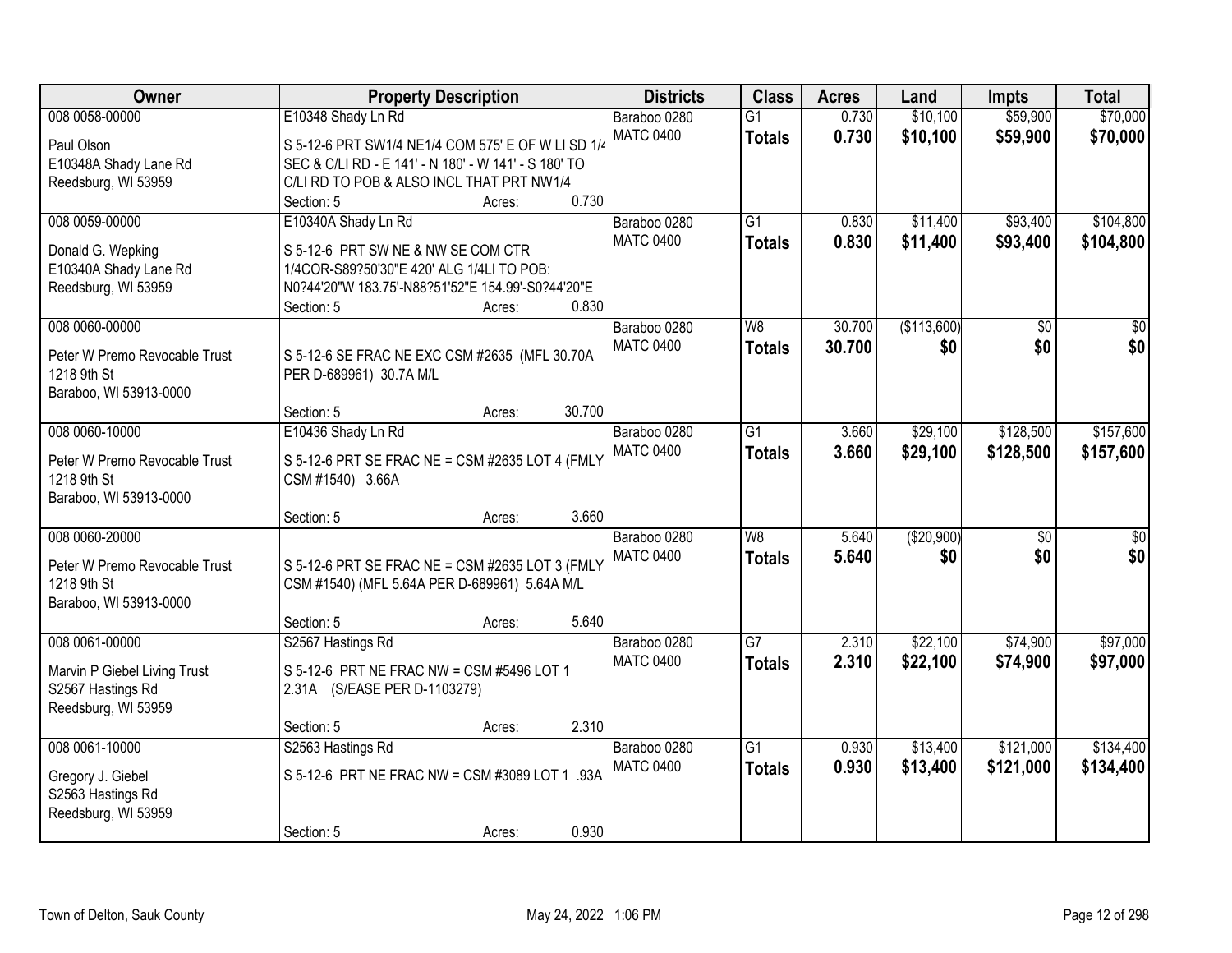| Owner                                                                                      | <b>Property Description</b>                                                                                                                                                                  | <b>Districts</b>                 | <b>Class</b>                              | <b>Acres</b>     | Land                 | <b>Impts</b>           | <b>Total</b>           |
|--------------------------------------------------------------------------------------------|----------------------------------------------------------------------------------------------------------------------------------------------------------------------------------------------|----------------------------------|-------------------------------------------|------------------|----------------------|------------------------|------------------------|
| 008 0058-00000<br>Paul Olson                                                               | E10348 Shady Ln Rd<br>S 5-12-6 PRT SW1/4 NE1/4 COM 575' E OF W LI SD 1/4                                                                                                                     | Baraboo 0280<br><b>MATC 0400</b> | $\overline{G1}$<br><b>Totals</b>          | 0.730<br>0.730   | \$10,100<br>\$10,100 | \$59,900<br>\$59,900   | \$70,000<br>\$70,000   |
| E10348A Shady Lane Rd<br>Reedsburg, WI 53959                                               | SEC & C/LI RD - E 141' - N 180' - W 141' - S 180' TO<br>C/LI RD TO POB & ALSO INCL THAT PRT NW1/4<br>0.730<br>Section: 5<br>Acres:                                                           |                                  |                                           |                  |                      |                        |                        |
| 008 0059-00000<br>Donald G. Wepking<br>E10340A Shady Lane Rd<br>Reedsburg, WI 53959        | E10340A Shady Ln Rd<br>S 5-12-6 PRT SW NE & NW SE COM CTR<br>1/4COR-S89?50'30"E 420' ALG 1/4LI TO POB:<br>N0?44'20"W 183.75'-N88?51'52"E 154.99'-S0?44'20"E<br>0.830<br>Section: 5<br>Acres: | Baraboo 0280<br><b>MATC 0400</b> | $\overline{G1}$<br><b>Totals</b>          | 0.830<br>0.830   | \$11,400<br>\$11,400 | \$93,400<br>\$93,400   | \$104,800<br>\$104,800 |
| 008 0060-00000<br>Peter W Premo Revocable Trust<br>1218 9th St<br>Baraboo, WI 53913-0000   | S 5-12-6 SE FRAC NE EXC CSM #2635 (MFL 30.70A<br>PER D-689961) 30.7A M/L<br>30.700<br>Section: 5<br>Acres:                                                                                   | Baraboo 0280<br><b>MATC 0400</b> | W8<br><b>Totals</b>                       | 30.700<br>30.700 | (\$113,600)<br>\$0   | $\overline{50}$<br>\$0 | $\overline{50}$<br>\$0 |
| 008 0060-10000<br>Peter W Premo Revocable Trust<br>1218 9th St<br>Baraboo, WI 53913-0000   | E10436 Shady Ln Rd<br>S 5-12-6 PRT SE FRAC NE = CSM #2635 LOT 4 (FMLY<br>CSM #1540) 3.66A<br>3.660<br>Section: 5<br>Acres:                                                                   | Baraboo 0280<br><b>MATC 0400</b> | $\overline{G1}$<br><b>Totals</b>          | 3.660<br>3.660   | \$29,100<br>\$29,100 | \$128,500<br>\$128,500 | \$157,600<br>\$157,600 |
| 008 0060-20000<br>Peter W Premo Revocable Trust<br>1218 9th St<br>Baraboo, WI 53913-0000   | S 5-12-6 PRT SE FRAC NE = CSM #2635 LOT 3 (FMLY<br>CSM #1540) (MFL 5.64A PER D-689961) 5.64A M/L<br>5.640<br>Section: 5<br>Acres:                                                            | Baraboo 0280<br><b>MATC 0400</b> | $\overline{\mathsf{W}8}$<br><b>Totals</b> | 5.640<br>5.640   | (\$20,900)<br>\$0    | $\overline{50}$<br>\$0 | \$0<br>\$0             |
| 008 0061-00000<br>Marvin P Giebel Living Trust<br>S2567 Hastings Rd<br>Reedsburg, WI 53959 | S2567 Hastings Rd<br>S 5-12-6 PRT NE FRAC NW = CSM #5496 LOT 1<br>2.31A (S/EASE PER D-1103279)<br>2.310<br>Section: 5<br>Acres:                                                              | Baraboo 0280<br><b>MATC 0400</b> | G7<br><b>Totals</b>                       | 2.310<br>2.310   | \$22,100<br>\$22,100 | \$74,900<br>\$74,900   | \$97,000<br>\$97,000   |
| 008 0061-10000<br>Gregory J. Giebel<br>S2563 Hastings Rd<br>Reedsburg, WI 53959            | S2563 Hastings Rd<br>S 5-12-6 PRT NE FRAC NW = CSM #3089 LOT 1 .93A<br>0.930<br>Section: 5<br>Acres:                                                                                         | Baraboo 0280<br><b>MATC 0400</b> | $\overline{G1}$<br><b>Totals</b>          | 0.930<br>0.930   | \$13,400<br>\$13,400 | \$121,000<br>\$121,000 | \$134,400<br>\$134,400 |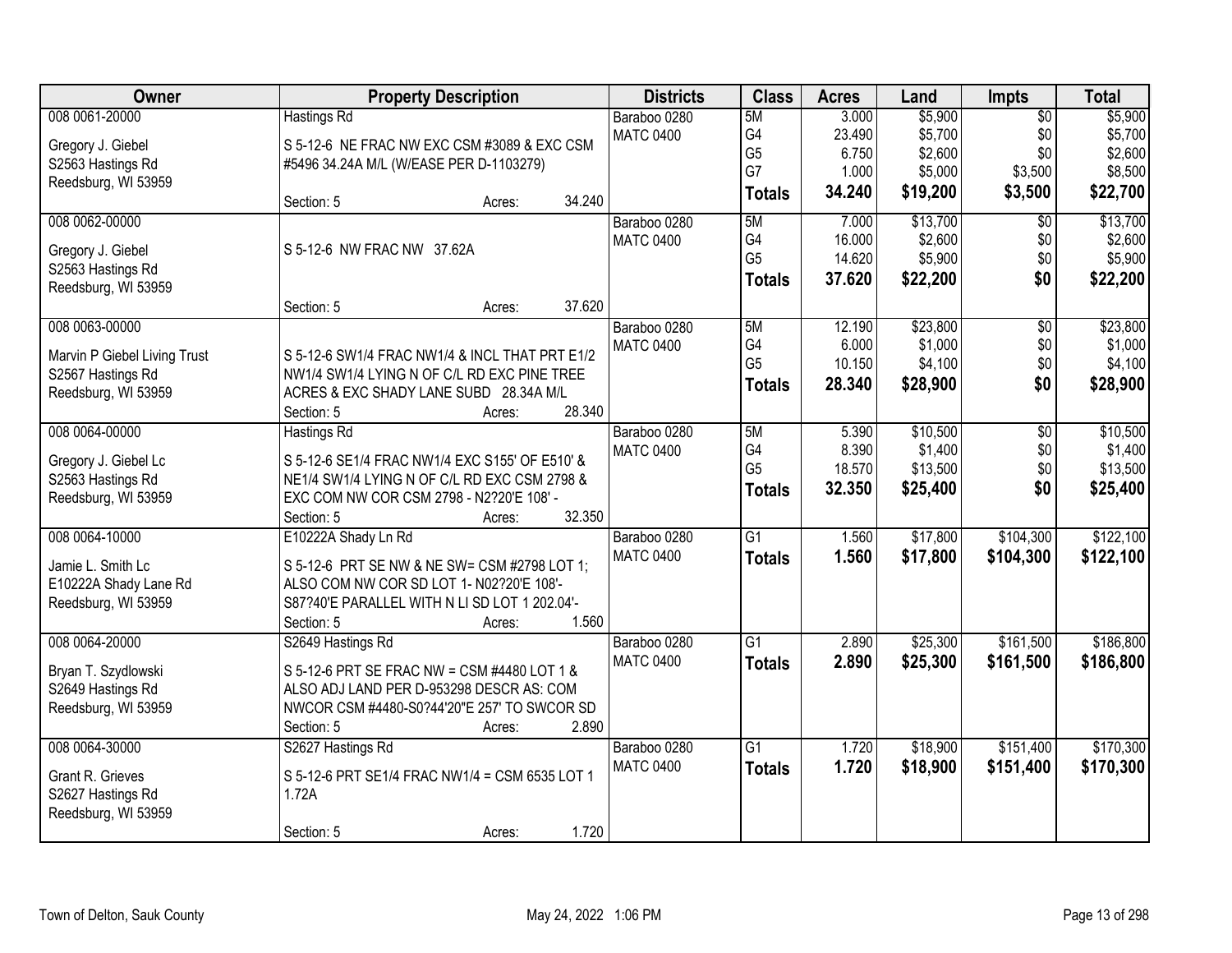| <b>Owner</b>                                 | <b>Property Description</b>                                                               | <b>Districts</b> | <b>Class</b>    | <b>Acres</b> | Land     | <b>Impts</b>    | <b>Total</b> |
|----------------------------------------------|-------------------------------------------------------------------------------------------|------------------|-----------------|--------------|----------|-----------------|--------------|
| 008 0061-20000                               | <b>Hastings Rd</b>                                                                        | Baraboo 0280     | 5M              | 3.000        | \$5,900  | $\overline{50}$ | \$5,900      |
| Gregory J. Giebel                            | S 5-12-6 NE FRAC NW EXC CSM #3089 & EXC CSM                                               | <b>MATC 0400</b> | G4              | 23.490       | \$5,700  | \$0             | \$5,700      |
| S2563 Hastings Rd                            | #5496 34.24A M/L (W/EASE PER D-1103279)                                                   |                  | G <sub>5</sub>  | 6.750        | \$2,600  | \$0             | \$2,600      |
| Reedsburg, WI 53959                          |                                                                                           |                  | G7              | 1.000        | \$5,000  | \$3,500         | \$8,500      |
|                                              | 34.240<br>Section: 5<br>Acres:                                                            |                  | <b>Totals</b>   | 34.240       | \$19,200 | \$3,500         | \$22,700     |
| 008 0062-00000                               |                                                                                           | Baraboo 0280     | 5M              | 7.000        | \$13,700 | \$0             | \$13,700     |
|                                              | S 5-12-6 NW FRAC NW 37.62A                                                                | <b>MATC 0400</b> | G4              | 16.000       | \$2,600  | \$0             | \$2,600      |
| Gregory J. Giebel<br>S2563 Hastings Rd       |                                                                                           |                  | G <sub>5</sub>  | 14.620       | \$5,900  | \$0             | \$5,900      |
| Reedsburg, WI 53959                          |                                                                                           |                  | <b>Totals</b>   | 37.620       | \$22,200 | \$0             | \$22,200     |
|                                              | 37.620<br>Section: 5<br>Acres:                                                            |                  |                 |              |          |                 |              |
| 008 0063-00000                               |                                                                                           | Baraboo 0280     | 5M              | 12.190       | \$23,800 | $\overline{50}$ | \$23,800     |
|                                              |                                                                                           | <b>MATC 0400</b> | G4              | 6.000        | \$1,000  | \$0             | \$1,000      |
| Marvin P Giebel Living Trust                 | S 5-12-6 SW1/4 FRAC NW1/4 & INCL THAT PRT E1/2                                            |                  | G <sub>5</sub>  | 10.150       | \$4,100  | \$0             | \$4,100      |
| S2567 Hastings Rd                            | NW1/4 SW1/4 LYING N OF C/L RD EXC PINE TREE                                               |                  | <b>Totals</b>   | 28.340       | \$28,900 | \$0             | \$28,900     |
| Reedsburg, WI 53959                          | ACRES & EXC SHADY LANE SUBD 28.34A M/L<br>28.340                                          |                  |                 |              |          |                 |              |
|                                              | Section: 5<br>Acres:                                                                      |                  |                 |              |          |                 |              |
| 008 0064-00000                               | <b>Hastings Rd</b>                                                                        | Baraboo 0280     | 5M              | 5.390        | \$10,500 | \$0             | \$10,500     |
| Gregory J. Giebel Lc                         | S 5-12-6 SE1/4 FRAC NW1/4 EXC S155' OF E510' &                                            | <b>MATC 0400</b> | G4              | 8.390        | \$1,400  | \$0             | \$1,400      |
| S2563 Hastings Rd                            | NE1/4 SW1/4 LYING N OF C/L RD EXC CSM 2798 &                                              |                  | G <sub>5</sub>  | 18.570       | \$13,500 | \$0             | \$13,500     |
| Reedsburg, WI 53959                          | EXC COM NW COR CSM 2798 - N2?20'E 108' -                                                  |                  | <b>Totals</b>   | 32.350       | \$25,400 | \$0             | \$25,400     |
|                                              | 32.350<br>Section: 5<br>Acres:                                                            |                  |                 |              |          |                 |              |
| 008 0064-10000                               | E10222A Shady Ln Rd                                                                       | Baraboo 0280     | $\overline{G1}$ | 1.560        | \$17,800 | \$104,300       | \$122,100    |
|                                              |                                                                                           | <b>MATC 0400</b> | <b>Totals</b>   | 1.560        | \$17,800 | \$104,300       | \$122,100    |
| Jamie L. Smith Lc                            | S 5-12-6 PRT SE NW & NE SW= CSM #2798 LOT 1;                                              |                  |                 |              |          |                 |              |
| E10222A Shady Lane Rd<br>Reedsburg, WI 53959 | ALSO COM NW COR SD LOT 1- N02?20'E 108'-<br>S87?40'E PARALLEL WITH N LI SD LOT 1 202.04'- |                  |                 |              |          |                 |              |
|                                              | 1.560<br>Section: 5<br>Acres:                                                             |                  |                 |              |          |                 |              |
| 008 0064-20000                               | S2649 Hastings Rd                                                                         | Baraboo 0280     | G1              | 2.890        | \$25,300 | \$161,500       | \$186,800    |
|                                              |                                                                                           | <b>MATC 0400</b> |                 | 2.890        | \$25,300 |                 |              |
| Bryan T. Szydlowski                          | S 5-12-6 PRT SE FRAC NW = CSM #4480 LOT 1 &                                               |                  | <b>Totals</b>   |              |          | \$161,500       | \$186,800    |
| S2649 Hastings Rd                            | ALSO ADJ LAND PER D-953298 DESCR AS: COM                                                  |                  |                 |              |          |                 |              |
| Reedsburg, WI 53959                          | NWCOR CSM #4480-S0?44'20"E 257' TO SWCOR SD                                               |                  |                 |              |          |                 |              |
|                                              | 2.890<br>Section: 5<br>Acres:                                                             |                  |                 |              |          |                 |              |
| 008 0064-30000                               | S2627 Hastings Rd                                                                         | Baraboo 0280     | $\overline{G1}$ | 1.720        | \$18,900 | \$151,400       | \$170,300    |
| Grant R. Grieves                             | S 5-12-6 PRT SE1/4 FRAC NW1/4 = CSM 6535 LOT 1                                            | <b>MATC 0400</b> | <b>Totals</b>   | 1.720        | \$18,900 | \$151,400       | \$170,300    |
| S2627 Hastings Rd                            | 1.72A                                                                                     |                  |                 |              |          |                 |              |
| Reedsburg, WI 53959                          |                                                                                           |                  |                 |              |          |                 |              |
|                                              | 1.720<br>Section: 5<br>Acres:                                                             |                  |                 |              |          |                 |              |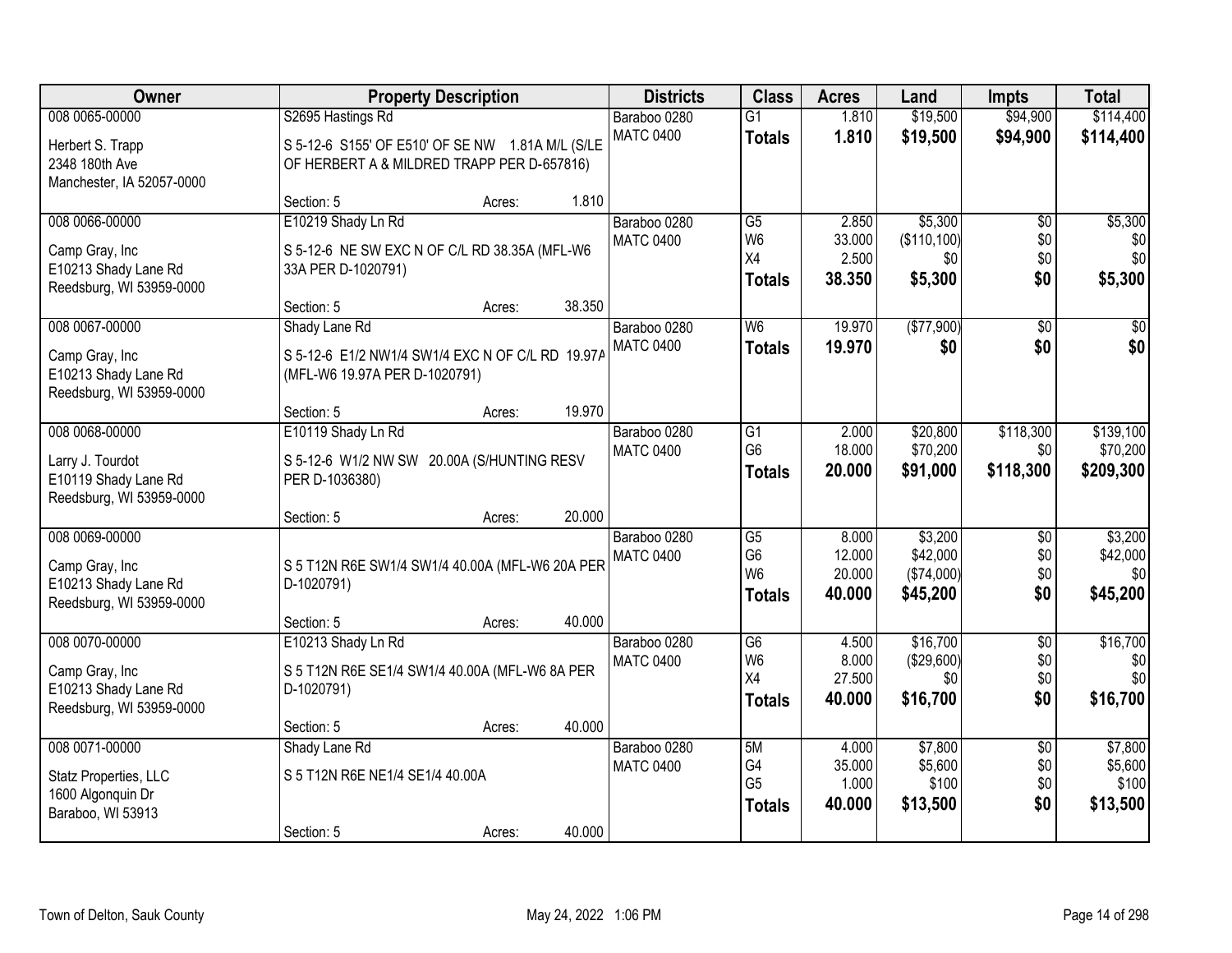| Owner                     | <b>Property Description</b>                      |        |        | <b>Districts</b> | <b>Class</b>                     | <b>Acres</b>     | Land                   | <b>Impts</b>    | <b>Total</b>     |
|---------------------------|--------------------------------------------------|--------|--------|------------------|----------------------------------|------------------|------------------------|-----------------|------------------|
| 008 0065-00000            | S2695 Hastings Rd                                |        |        | Baraboo 0280     | $\overline{G1}$                  | 1.810            | \$19,500               | \$94,900        | \$114,400        |
| Herbert S. Trapp          | S 5-12-6 S155' OF E510' OF SE NW 1.81A M/L (S/LE |        |        | <b>MATC 0400</b> | <b>Totals</b>                    | 1.810            | \$19,500               | \$94,900        | \$114,400        |
| 2348 180th Ave            | OF HERBERT A & MILDRED TRAPP PER D-657816)       |        |        |                  |                                  |                  |                        |                 |                  |
| Manchester, IA 52057-0000 |                                                  |        |        |                  |                                  |                  |                        |                 |                  |
|                           | Section: 5                                       | Acres: | 1.810  |                  |                                  |                  |                        |                 |                  |
| 008 0066-00000            | E10219 Shady Ln Rd                               |        |        | Baraboo 0280     | $\overline{G5}$                  | 2.850            | \$5,300                | $\overline{50}$ | \$5,300          |
| Camp Gray, Inc            | S 5-12-6 NE SW EXC N OF C/L RD 38.35A (MFL-W6    |        |        | <b>MATC 0400</b> | W <sub>6</sub><br>X4             | 33.000<br>2.500  | (\$110, 100)           | \$0<br>\$0      | \$0<br>\$0       |
| E10213 Shady Lane Rd      | 33A PER D-1020791)                               |        |        |                  |                                  | 38.350           | \$0<br>\$5,300         | \$0             |                  |
| Reedsburg, WI 53959-0000  |                                                  |        |        |                  | <b>Totals</b>                    |                  |                        |                 | \$5,300          |
|                           | Section: 5                                       | Acres: | 38.350 |                  |                                  |                  |                        |                 |                  |
| 008 0067-00000            | Shady Lane Rd                                    |        |        | Baraboo 0280     | W <sub>6</sub>                   | 19.970           | (\$77,900)             | $\overline{50}$ | \$0              |
| Camp Gray, Inc            | S 5-12-6 E1/2 NW1/4 SW1/4 EXC N OF C/L RD 19.97A |        |        | <b>MATC 0400</b> | <b>Totals</b>                    | 19.970           | \$0                    | \$0             | \$0              |
| E10213 Shady Lane Rd      | (MFL-W6 19.97A PER D-1020791)                    |        |        |                  |                                  |                  |                        |                 |                  |
| Reedsburg, WI 53959-0000  |                                                  |        |        |                  |                                  |                  |                        |                 |                  |
|                           | Section: 5                                       | Acres: | 19.970 |                  |                                  |                  |                        |                 |                  |
| 008 0068-00000            | E10119 Shady Ln Rd                               |        |        | Baraboo 0280     | G1                               | 2.000            | \$20,800               | \$118,300       | \$139,100        |
| Larry J. Tourdot          | S 5-12-6 W1/2 NW SW 20.00A (S/HUNTING RESV       |        |        | <b>MATC 0400</b> | G <sub>6</sub>                   | 18.000           | \$70,200               | \$0             | \$70,200         |
| E10119 Shady Lane Rd      | PER D-1036380)                                   |        |        |                  | <b>Totals</b>                    | 20.000           | \$91,000               | \$118,300       | \$209,300        |
| Reedsburg, WI 53959-0000  |                                                  |        |        |                  |                                  |                  |                        |                 |                  |
|                           | Section: 5                                       | Acres: | 20.000 |                  |                                  |                  |                        |                 |                  |
| 008 0069-00000            |                                                  |        |        | Baraboo 0280     | G5                               | 8.000            | \$3,200                | \$0             | \$3,200          |
| Camp Gray, Inc            | S 5 T12N R6E SW1/4 SW1/4 40.00A (MFL-W6 20A PER  |        |        | <b>MATC 0400</b> | G <sub>6</sub><br>W <sub>6</sub> | 12.000           | \$42,000               | \$0             | \$42,000         |
| E10213 Shady Lane Rd      | D-1020791)                                       |        |        |                  | <b>Totals</b>                    | 20.000<br>40.000 | (\$74,000)<br>\$45,200 | \$0<br>\$0      | \$0<br>\$45,200  |
| Reedsburg, WI 53959-0000  |                                                  |        |        |                  |                                  |                  |                        |                 |                  |
|                           | Section: 5                                       | Acres: | 40.000 |                  |                                  |                  |                        |                 |                  |
| 008 0070-00000            | E10213 Shady Ln Rd                               |        |        | Baraboo 0280     | $\overline{G6}$                  | 4.500            | \$16,700               | $\overline{50}$ | \$16,700         |
| Camp Gray, Inc            | S 5 T12N R6E SE1/4 SW1/4 40.00A (MFL-W6 8A PER   |        |        | <b>MATC 0400</b> | W <sub>6</sub><br>X4             | 8.000<br>27.500  | (\$29,600)<br>\$0      | \$0<br>\$0      | \$0<br>\$0       |
| E10213 Shady Lane Rd      | D-1020791)                                       |        |        |                  | <b>Totals</b>                    | 40.000           | \$16,700               | \$0             | \$16,700         |
| Reedsburg, WI 53959-0000  |                                                  |        |        |                  |                                  |                  |                        |                 |                  |
|                           | Section: 5                                       | Acres: | 40.000 |                  |                                  |                  |                        |                 |                  |
| 008 0071-00000            | Shady Lane Rd                                    |        |        | Baraboo 0280     | 5M                               | 4.000            | \$7,800                | $\overline{30}$ | \$7,800          |
| Statz Properties, LLC     | S 5 T12N R6E NE1/4 SE1/4 40.00A                  |        |        | <b>MATC 0400</b> | G4<br>G <sub>5</sub>             | 35.000<br>1.000  | \$5,600<br>\$100       | \$0<br>\$0      | \$5,600<br>\$100 |
| 1600 Algonquin Dr         |                                                  |        |        |                  | <b>Totals</b>                    | 40.000           | \$13,500               | \$0             | \$13,500         |
| Baraboo, WI 53913         |                                                  |        |        |                  |                                  |                  |                        |                 |                  |
|                           | Section: 5                                       | Acres: | 40.000 |                  |                                  |                  |                        |                 |                  |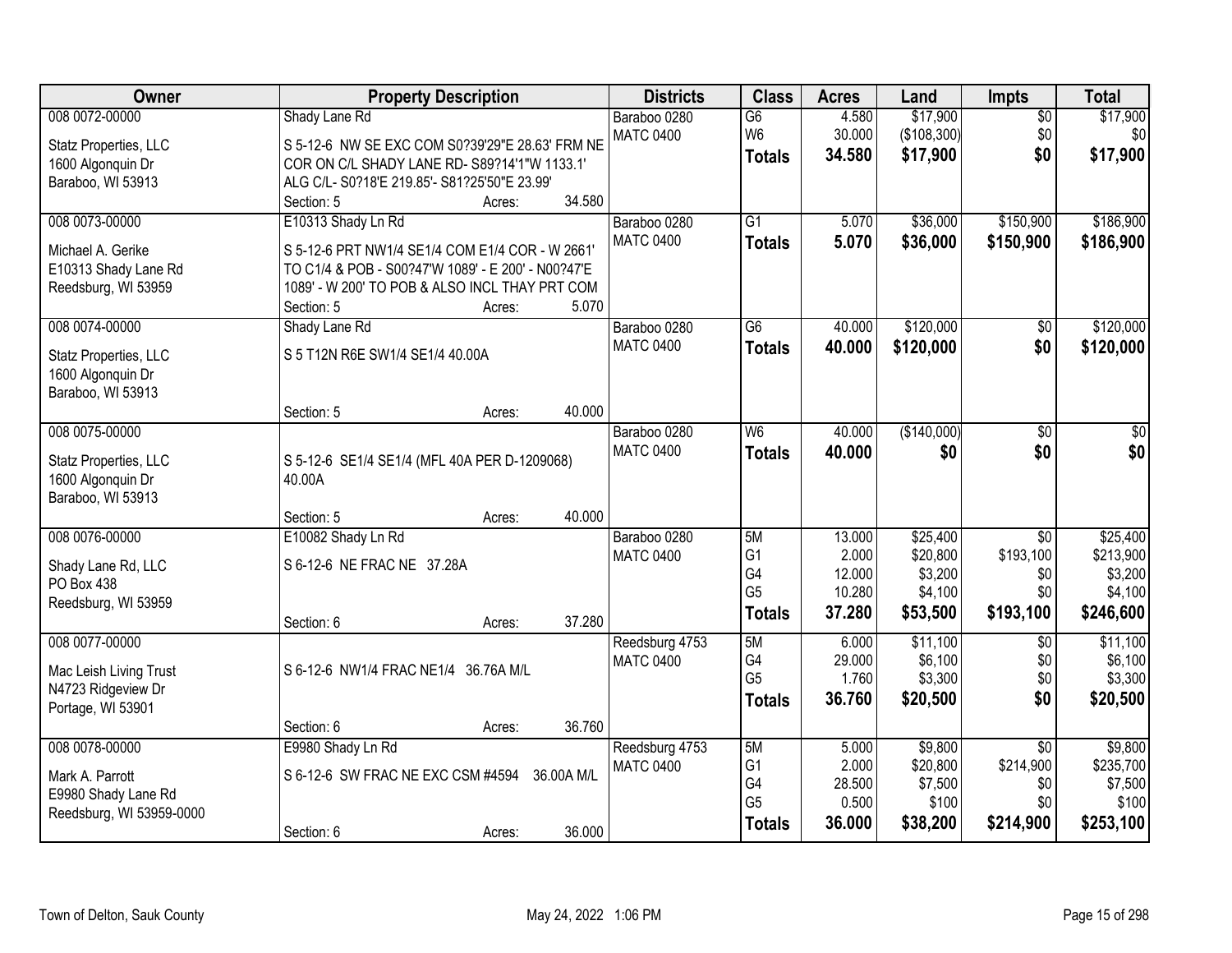| Owner                    |                                                                                                      | <b>Property Description</b> |            |                  | <b>Class</b>    | <b>Acres</b> | Land        | Impts           | <b>Total</b> |
|--------------------------|------------------------------------------------------------------------------------------------------|-----------------------------|------------|------------------|-----------------|--------------|-------------|-----------------|--------------|
| 008 0072-00000           | Shady Lane Rd                                                                                        |                             |            | Baraboo 0280     | $\overline{G6}$ | 4.580        | \$17,900    | $\overline{50}$ | \$17,900     |
| Statz Properties, LLC    | S 5-12-6 NW SE EXC COM S0?39'29"E 28.63' FRM NE                                                      |                             |            | <b>MATC 0400</b> | W <sub>6</sub>  | 30.000       | (\$108,300) | \$0             | \$0          |
| 1600 Algonquin Dr        | COR ON C/L SHADY LANE RD- S89?14'1"W 1133.1'                                                         |                             |            |                  | <b>Totals</b>   | 34.580       | \$17,900    | \$0             | \$17,900     |
| Baraboo, WI 53913        | ALG C/L- S0?18'E 219.85'- S81?25'50"E 23.99'                                                         |                             |            |                  |                 |              |             |                 |              |
|                          | Section: 5                                                                                           | Acres:                      | 34.580     |                  |                 |              |             |                 |              |
| 008 0073-00000           | E10313 Shady Ln Rd                                                                                   |                             |            | Baraboo 0280     | $\overline{G1}$ | 5.070        | \$36,000    | \$150,900       | \$186,900    |
|                          |                                                                                                      |                             |            | <b>MATC 0400</b> | <b>Totals</b>   | 5.070        | \$36,000    | \$150,900       | \$186,900    |
| Michael A. Gerike        | S 5-12-6 PRT NW1/4 SE1/4 COM E1/4 COR - W 2661<br>TO C1/4 & POB - S00?47'W 1089' - E 200' - N00?47'E |                             |            |                  |                 |              |             |                 |              |
| E10313 Shady Lane Rd     | 1089' - W 200' TO POB & ALSO INCL THAY PRT COM                                                       |                             |            |                  |                 |              |             |                 |              |
| Reedsburg, WI 53959      | Section: 5                                                                                           | Acres:                      | 5.070      |                  |                 |              |             |                 |              |
| 008 0074-00000           | Shady Lane Rd                                                                                        |                             |            | Baraboo 0280     | $\overline{G6}$ | 40.000       | \$120,000   | \$0             | \$120,000    |
|                          |                                                                                                      |                             |            | <b>MATC 0400</b> | <b>Totals</b>   | 40.000       | \$120,000   | \$0             | \$120,000    |
| Statz Properties, LLC    | S 5 T12N R6E SW1/4 SE1/4 40.00A                                                                      |                             |            |                  |                 |              |             |                 |              |
| 1600 Algonquin Dr        |                                                                                                      |                             |            |                  |                 |              |             |                 |              |
| Baraboo, WI 53913        |                                                                                                      |                             |            |                  |                 |              |             |                 |              |
|                          | Section: 5                                                                                           | Acres:                      | 40.000     |                  |                 |              |             |                 |              |
| 008 0075-00000           |                                                                                                      |                             |            | Baraboo 0280     | W6              | 40.000       | (\$140,000) | $\overline{50}$ | \$0          |
| Statz Properties, LLC    | S 5-12-6 SE1/4 SE1/4 (MFL 40A PER D-1209068)                                                         |                             |            | <b>MATC 0400</b> | <b>Totals</b>   | 40.000       | \$0         | \$0             | \$0          |
| 1600 Algonquin Dr        | 40.00A                                                                                               |                             |            |                  |                 |              |             |                 |              |
| Baraboo, WI 53913        |                                                                                                      |                             |            |                  |                 |              |             |                 |              |
|                          | Section: 5                                                                                           | Acres:                      | 40.000     |                  |                 |              |             |                 |              |
| 008 0076-00000           | E10082 Shady Ln Rd                                                                                   |                             |            | Baraboo 0280     | 5M              | 13.000       | \$25,400    | $\overline{30}$ | \$25,400     |
| Shady Lane Rd, LLC       | S 6-12-6 NE FRAC NE 37.28A                                                                           |                             |            | <b>MATC 0400</b> | G <sub>1</sub>  | 2.000        | \$20,800    | \$193,100       | \$213,900    |
| PO Box 438               |                                                                                                      |                             |            |                  | G4              | 12.000       | \$3,200     | \$0             | \$3,200      |
| Reedsburg, WI 53959      |                                                                                                      |                             |            |                  | G <sub>5</sub>  | 10.280       | \$4,100     | \$0             | \$4,100      |
|                          | Section: 6                                                                                           | Acres:                      | 37.280     |                  | <b>Totals</b>   | 37.280       | \$53,500    | \$193,100       | \$246,600    |
| 008 0077-00000           |                                                                                                      |                             |            | Reedsburg 4753   | 5M              | 6.000        | \$11,100    | $\sqrt{6}$      | \$11,100     |
|                          |                                                                                                      |                             |            | <b>MATC 0400</b> | G4              | 29.000       | \$6,100     | \$0             | \$6,100      |
| Mac Leish Living Trust   | S 6-12-6 NW1/4 FRAC NE1/4 36.76A M/L                                                                 |                             |            |                  | G <sub>5</sub>  | 1.760        | \$3,300     | \$0             | \$3,300      |
| N4723 Ridgeview Dr       |                                                                                                      |                             |            |                  | <b>Totals</b>   | 36.760       | \$20,500    | \$0             | \$20,500     |
| Portage, WI 53901        | Section: 6                                                                                           | Acres:                      | 36.760     |                  |                 |              |             |                 |              |
| 008 0078-00000           | E9980 Shady Ln Rd                                                                                    |                             |            | Reedsburg 4753   | 5M              | 5.000        | \$9,800     | $\overline{50}$ | \$9,800      |
|                          |                                                                                                      |                             |            | <b>MATC 0400</b> | G <sub>1</sub>  | 2.000        | \$20,800    | \$214,900       | \$235,700    |
| Mark A. Parrott          | S 6-12-6 SW FRAC NE EXC CSM #4594                                                                    |                             | 36.00A M/L |                  | G4              | 28.500       | \$7,500     | \$0             | \$7,500      |
| E9980 Shady Lane Rd      |                                                                                                      |                             |            |                  | G <sub>5</sub>  | 0.500        | \$100       | \$0             | \$100        |
| Reedsburg, WI 53959-0000 |                                                                                                      |                             |            |                  | <b>Totals</b>   | 36.000       | \$38,200    | \$214,900       | \$253,100    |
|                          | Section: 6                                                                                           | Acres:                      | 36.000     |                  |                 |              |             |                 |              |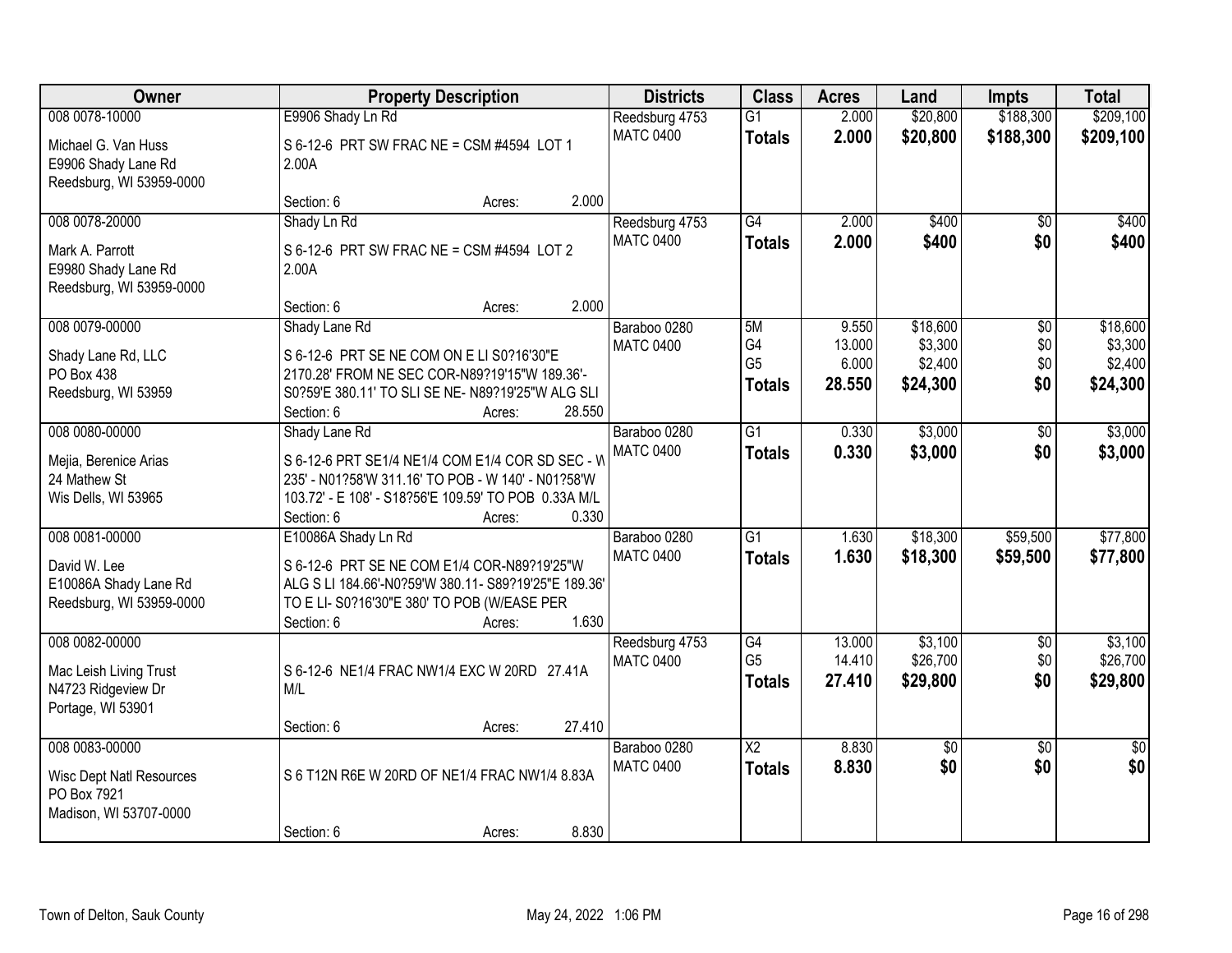| Owner                                                                                      | <b>Property Description</b>                                                                                                                                                                        | <b>Districts</b>                 | <b>Class</b>                                | <b>Acres</b>                       | Land                                       | <b>Impts</b>                         | <b>Total</b>                               |
|--------------------------------------------------------------------------------------------|----------------------------------------------------------------------------------------------------------------------------------------------------------------------------------------------------|----------------------------------|---------------------------------------------|------------------------------------|--------------------------------------------|--------------------------------------|--------------------------------------------|
| 008 0078-10000                                                                             | E9906 Shady Ln Rd                                                                                                                                                                                  | Reedsburg 4753                   | $\overline{G1}$                             | 2.000                              | \$20,800                                   | \$188,300                            | \$209,100                                  |
| Michael G. Van Huss<br>E9906 Shady Lane Rd<br>Reedsburg, WI 53959-0000                     | S 6-12-6 PRT SW FRAC NE = CSM #4594 LOT 1<br>2.00A                                                                                                                                                 | <b>MATC 0400</b>                 | <b>Totals</b>                               | 2.000                              | \$20,800                                   | \$188,300                            | \$209,100                                  |
|                                                                                            | 2.000<br>Section: 6<br>Acres:                                                                                                                                                                      |                                  |                                             |                                    |                                            |                                      |                                            |
| 008 0078-20000                                                                             | Shady Ln Rd                                                                                                                                                                                        | Reedsburg 4753                   | $\overline{G4}$                             | 2.000                              | \$400                                      | \$0                                  | \$400                                      |
| Mark A. Parrott<br>E9980 Shady Lane Rd<br>Reedsburg, WI 53959-0000                         | S 6-12-6 PRT SW FRAC NE = CSM #4594 LOT 2<br>2.00A                                                                                                                                                 | <b>MATC 0400</b>                 | <b>Totals</b>                               | 2.000                              | \$400                                      | \$0                                  | \$400                                      |
|                                                                                            | 2.000<br>Section: 6<br>Acres:                                                                                                                                                                      |                                  |                                             |                                    |                                            |                                      |                                            |
| 008 0079-00000<br>Shady Lane Rd, LLC<br>PO Box 438<br>Reedsburg, WI 53959                  | Shady Lane Rd<br>S 6-12-6 PRT SE NE COM ON E LI S0?16'30"E<br>2170.28' FROM NE SEC COR-N89?19'15"W 189.36'-<br>S0?59'E 380.11' TO SLI SE NE- N89?19'25"W ALG SLI<br>28.550<br>Section: 6<br>Acres: | Baraboo 0280<br><b>MATC 0400</b> | 5M<br>G4<br>G <sub>5</sub><br><b>Totals</b> | 9.550<br>13.000<br>6.000<br>28.550 | \$18,600<br>\$3,300<br>\$2,400<br>\$24,300 | $\overline{50}$<br>\$0<br>\$0<br>\$0 | \$18,600<br>\$3,300<br>\$2,400<br>\$24,300 |
| 008 0080-00000                                                                             | Shady Lane Rd                                                                                                                                                                                      | Baraboo 0280                     | $\overline{G1}$                             | 0.330                              | \$3,000                                    | \$0                                  | \$3,000                                    |
| Mejia, Berenice Arias<br>24 Mathew St<br>Wis Dells, WI 53965                               | S 6-12-6 PRT SE1/4 NE1/4 COM E1/4 COR SD SEC - W<br>235' - N01?58'W 311.16' TO POB - W 140' - N01?58'W<br>103.72' - E 108' - S18?56'E 109.59' TO POB 0.33A M/L<br>Section: 6<br>0.330<br>Acres:    | <b>MATC 0400</b>                 | <b>Totals</b>                               | 0.330                              | \$3,000                                    | \$0                                  | \$3,000                                    |
| 008 0081-00000                                                                             | E10086A Shady Ln Rd                                                                                                                                                                                | Baraboo 0280                     | $\overline{G1}$                             | 1.630                              | \$18,300                                   | \$59,500                             | \$77,800                                   |
| David W. Lee<br>E10086A Shady Lane Rd<br>Reedsburg, WI 53959-0000                          | S 6-12-6 PRT SE NE COM E1/4 COR-N89?19'25"W<br>ALG S LI 184.66'-N0?59'W 380.11- S89?19'25"E 189.36'<br>TO E LI- S0?16'30"E 380' TO POB (W/EASE PER<br>1.630<br>Section: 6<br>Acres:                | <b>MATC 0400</b>                 | <b>Totals</b>                               | 1.630                              | \$18,300                                   | \$59,500                             | \$77,800                                   |
| 008 0082-00000                                                                             |                                                                                                                                                                                                    | Reedsburg 4753                   | G4                                          | 13.000                             | \$3,100                                    | $\sqrt{6}$                           | \$3,100                                    |
| Mac Leish Living Trust<br>N4723 Ridgeview Dr<br>Portage, WI 53901                          | S 6-12-6 NE1/4 FRAC NW1/4 EXC W 20RD 27.41A<br>M/L                                                                                                                                                 | <b>MATC 0400</b>                 | G <sub>5</sub><br><b>Totals</b>             | 14.410<br>27.410                   | \$26,700<br>\$29,800                       | \$0<br>\$0                           | \$26,700<br>\$29,800                       |
|                                                                                            | Section: 6<br>27.410<br>Acres:                                                                                                                                                                     |                                  |                                             |                                    |                                            |                                      |                                            |
| 008 0083-00000<br><b>Wisc Dept Natl Resources</b><br>PO Box 7921<br>Madison, WI 53707-0000 | S 6 T12N R6E W 20RD OF NE1/4 FRAC NW1/4 8.83A                                                                                                                                                      | Baraboo 0280<br><b>MATC 0400</b> | $\overline{\text{X2}}$<br><b>Totals</b>     | 8.830<br>8.830                     | $\overline{60}$<br>\$0                     | $\overline{30}$<br>\$0               | $\overline{30}$<br>\$0                     |
|                                                                                            | 8.830<br>Section: 6<br>Acres:                                                                                                                                                                      |                                  |                                             |                                    |                                            |                                      |                                            |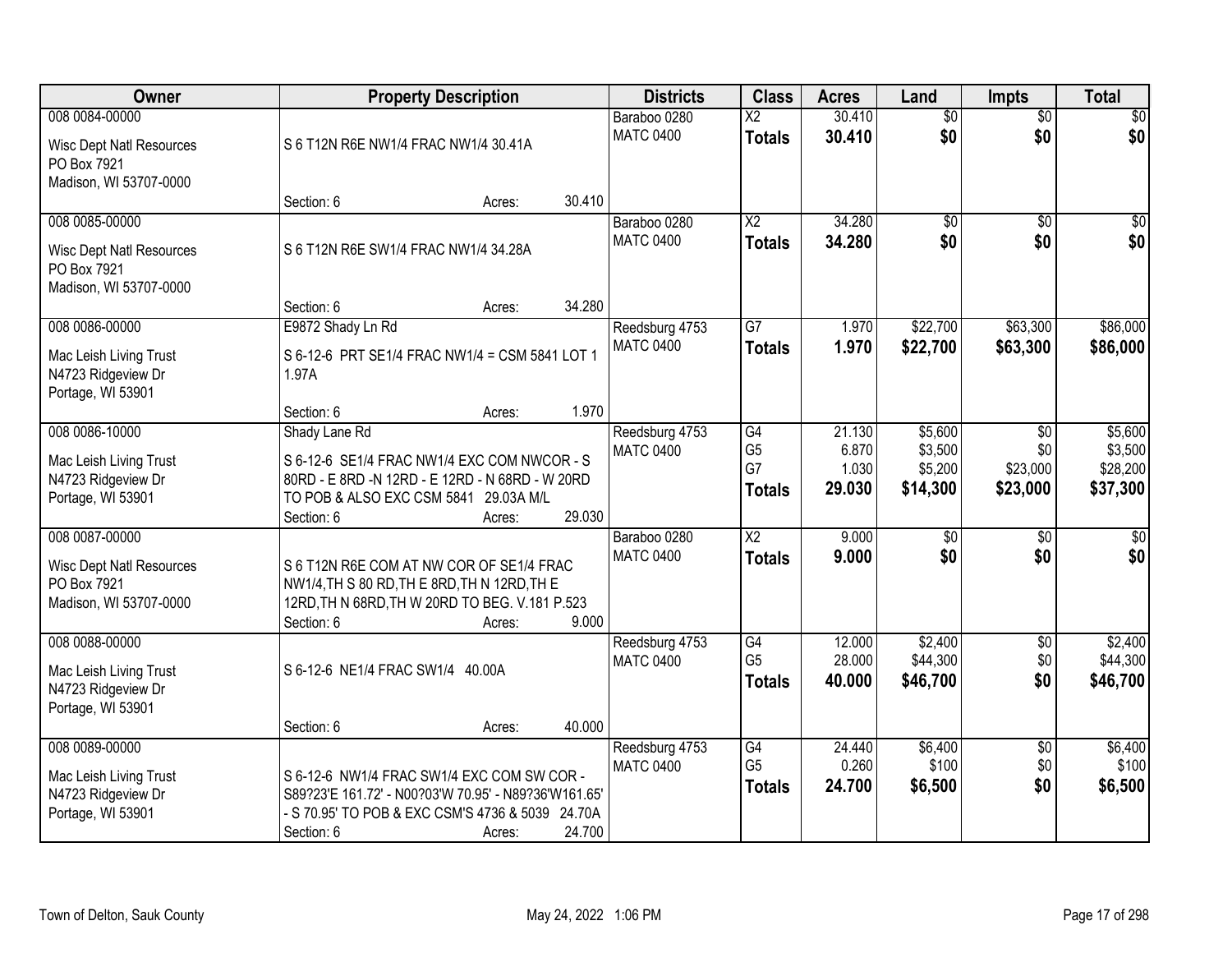| Owner                                                                                      | <b>Property Description</b>                                                                                                                                                                | <b>Districts</b>                   | <b>Class</b>                                | <b>Acres</b>                       | Land                                      | <b>Impts</b>                                 | <b>Total</b>                               |
|--------------------------------------------------------------------------------------------|--------------------------------------------------------------------------------------------------------------------------------------------------------------------------------------------|------------------------------------|---------------------------------------------|------------------------------------|-------------------------------------------|----------------------------------------------|--------------------------------------------|
| 008 0084-00000<br><b>Wisc Dept Natl Resources</b><br>PO Box 7921<br>Madison, WI 53707-0000 | S 6 T12N R6E NW1/4 FRAC NW1/4 30.41A                                                                                                                                                       | Baraboo 0280<br><b>MATC 0400</b>   | $\overline{\text{X2}}$<br><b>Totals</b>     | 30.410<br>30.410                   | $\overline{50}$<br>\$0                    | $\overline{$0}$<br>\$0                       | $\overline{30}$<br>\$0                     |
|                                                                                            | 30.410<br>Section: 6<br>Acres:                                                                                                                                                             |                                    |                                             |                                    |                                           |                                              |                                            |
| 008 0085-00000<br><b>Wisc Dept Natl Resources</b><br>PO Box 7921<br>Madison, WI 53707-0000 | S 6 T12N R6E SW1/4 FRAC NW1/4 34.28A<br>34.280<br>Section: 6<br>Acres:                                                                                                                     | Baraboo 0280<br><b>MATC 0400</b>   | $\overline{X2}$<br><b>Totals</b>            | 34.280<br>34.280                   | $\overline{50}$<br>\$0                    | \$0<br>\$0                                   | \$0<br>\$0                                 |
| 008 0086-00000                                                                             | E9872 Shady Ln Rd                                                                                                                                                                          | Reedsburg 4753                     | $\overline{G7}$                             | 1.970                              | \$22,700                                  | \$63,300                                     | \$86,000                                   |
| Mac Leish Living Trust<br>N4723 Ridgeview Dr<br>Portage, WI 53901                          | S 6-12-6 PRT SE1/4 FRAC NW1/4 = CSM 5841 LOT 1<br>1.97A                                                                                                                                    | <b>MATC 0400</b>                   | <b>Totals</b>                               | 1.970                              | \$22,700                                  | \$63,300                                     | \$86,000                                   |
|                                                                                            | 1.970<br>Section: 6<br>Acres:                                                                                                                                                              |                                    |                                             |                                    |                                           |                                              |                                            |
| 008 0086-10000<br>Mac Leish Living Trust<br>N4723 Ridgeview Dr<br>Portage, WI 53901        | Shady Lane Rd<br>S 6-12-6 SE1/4 FRAC NW1/4 EXC COM NWCOR - S<br>80RD - E 8RD -N 12RD - E 12RD - N 68RD - W 20RD<br>TO POB & ALSO EXC CSM 5841 29.03A M/L<br>29.030<br>Section: 6<br>Acres: | Reedsburg 4753<br><b>MATC 0400</b> | G4<br>G <sub>5</sub><br>G7<br><b>Totals</b> | 21.130<br>6.870<br>1.030<br>29.030 | \$5,600<br>\$3,500<br>\$5,200<br>\$14,300 | $\sqrt[6]{3}$<br>\$0<br>\$23,000<br>\$23,000 | \$5,600<br>\$3,500<br>\$28,200<br>\$37,300 |
| 008 0087-00000<br><b>Wisc Dept Natl Resources</b><br>PO Box 7921<br>Madison, WI 53707-0000 | S 6 T12N R6E COM AT NW COR OF SE1/4 FRAC<br>NW1/4, TH S 80 RD, TH E 8RD, TH N 12RD, TH E<br>12RD, TH N 68RD, TH W 20RD TO BEG. V.181 P.523<br>9.000<br>Section: 6<br>Acres:                | Baraboo 0280<br><b>MATC 0400</b>   | $\overline{X2}$<br><b>Totals</b>            | 9.000<br>9.000                     | $\overline{50}$<br>\$0                    | $\overline{50}$<br>\$0                       | $\overline{50}$<br>\$0                     |
| 008 0088-00000<br>Mac Leish Living Trust<br>N4723 Ridgeview Dr<br>Portage, WI 53901        | S 6-12-6 NE1/4 FRAC SW1/4 40.00A<br>40.000<br>Section: 6<br>Acres:                                                                                                                         | Reedsburg 4753<br><b>MATC 0400</b> | G4<br>G <sub>5</sub><br><b>Totals</b>       | 12.000<br>28.000<br>40,000         | \$2,400<br>\$44,300<br>\$46,700           | $\sqrt{6}$<br>\$0<br>\$0                     | \$2,400<br>\$44,300<br>\$46,700            |
| 008 0089-00000<br>Mac Leish Living Trust<br>N4723 Ridgeview Dr<br>Portage, WI 53901        | S 6-12-6 NW1/4 FRAC SW1/4 EXC COM SW COR -<br>S89?23'E 161.72' - N00?03'W 70.95' - N89?36'W161.65'<br>- S 70.95' TO POB & EXC CSM'S 4736 & 5039 24.70A<br>24.700<br>Section: 6<br>Acres:   | Reedsburg 4753<br><b>MATC 0400</b> | G4<br>G <sub>5</sub><br><b>Totals</b>       | 24.440<br>0.260<br>24.700          | \$6,400<br>\$100<br>\$6,500               | $\overline{60}$<br>\$0<br>\$0                | \$6,400<br>\$100<br>\$6,500                |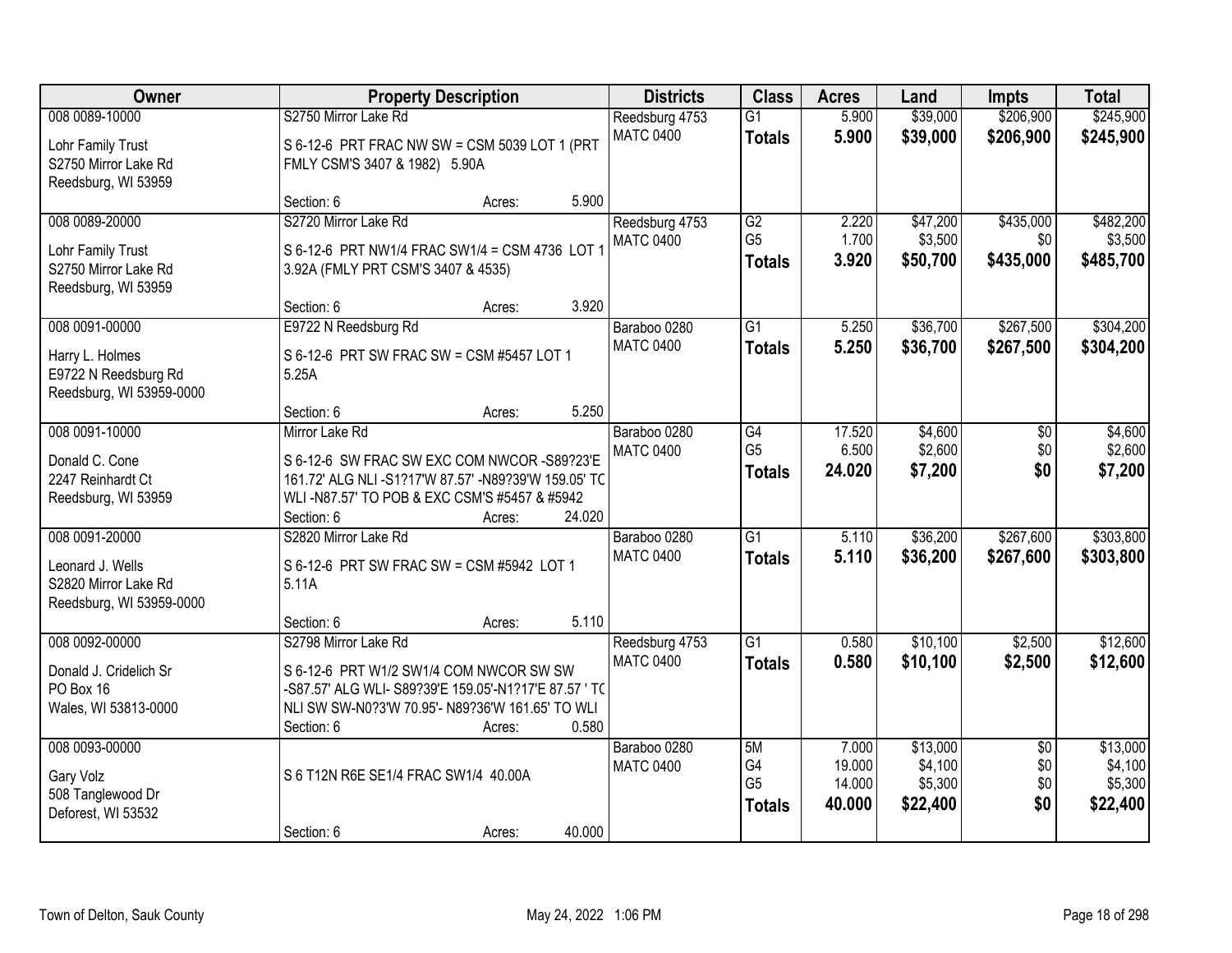| Owner                    |                                                       | <b>Property Description</b> |                  |                      | <b>Acres</b>     | Land               | <b>Impts</b>    | <b>Total</b>       |
|--------------------------|-------------------------------------------------------|-----------------------------|------------------|----------------------|------------------|--------------------|-----------------|--------------------|
| 008 0089-10000           | S2750 Mirror Lake Rd                                  |                             | Reedsburg 4753   | $\overline{G1}$      | 5.900            | \$39,000           | \$206,900       | \$245,900          |
| Lohr Family Trust        | S 6-12-6 PRT FRAC NW SW = CSM 5039 LOT 1 (PRT         |                             | <b>MATC 0400</b> | <b>Totals</b>        | 5.900            | \$39,000           | \$206,900       | \$245,900          |
| S2750 Mirror Lake Rd     | FMLY CSM'S 3407 & 1982) 5.90A                         |                             |                  |                      |                  |                    |                 |                    |
| Reedsburg, WI 53959      |                                                       |                             |                  |                      |                  |                    |                 |                    |
|                          | Section: 6                                            | 5.900<br>Acres:             |                  |                      |                  |                    |                 |                    |
| 008 0089-20000           | S2720 Mirror Lake Rd                                  |                             | Reedsburg 4753   | $\overline{G2}$      | 2.220            | \$47,200           | \$435,000       | \$482,200          |
| Lohr Family Trust        | S 6-12-6 PRT NW1/4 FRAC SW1/4 = CSM 4736 LOT 1        |                             | <b>MATC 0400</b> | G <sub>5</sub>       | 1.700            | \$3,500            | \$0             | \$3,500            |
| S2750 Mirror Lake Rd     | 3.92A (FMLY PRT CSM'S 3407 & 4535)                    |                             |                  | <b>Totals</b>        | 3.920            | \$50,700           | \$435,000       | \$485,700          |
| Reedsburg, WI 53959      |                                                       |                             |                  |                      |                  |                    |                 |                    |
|                          | Section: 6                                            | 3.920<br>Acres:             |                  |                      |                  |                    |                 |                    |
| 008 0091-00000           | E9722 N Reedsburg Rd                                  |                             | Baraboo 0280     | G1                   | 5.250            | \$36,700           | \$267,500       | \$304,200          |
| Harry L. Holmes          | S 6-12-6 PRT SW FRAC SW = CSM #5457 LOT 1             |                             | <b>MATC 0400</b> | <b>Totals</b>        | 5.250            | \$36,700           | \$267,500       | \$304,200          |
| E9722 N Reedsburg Rd     | 5.25A                                                 |                             |                  |                      |                  |                    |                 |                    |
| Reedsburg, WI 53959-0000 |                                                       |                             |                  |                      |                  |                    |                 |                    |
|                          | Section: 6                                            | 5.250<br>Acres:             |                  |                      |                  |                    |                 |                    |
| 008 0091-10000           | Mirror Lake Rd                                        |                             | Baraboo 0280     | G4                   | 17.520           | \$4,600            | \$0             | \$4,600            |
| Donald C. Cone           | S 6-12-6 SW FRAC SW EXC COM NWCOR -S89?23'E           |                             | <b>MATC 0400</b> | G <sub>5</sub>       | 6.500            | \$2,600            | \$0             | \$2,600            |
| 2247 Reinhardt Ct        | 161.72' ALG NLI-S1?17'W 87.57' -N89?39'W 159.05' TC   |                             |                  | <b>Totals</b>        | 24.020           | \$7,200            | \$0             | \$7,200            |
| Reedsburg, WI 53959      | WLI-N87.57' TO POB & EXC CSM'S #5457 & #5942          |                             |                  |                      |                  |                    |                 |                    |
|                          | Section: 6                                            | 24.020<br>Acres:            |                  |                      |                  |                    |                 |                    |
| 008 0091-20000           | S2820 Mirror Lake Rd                                  |                             | Baraboo 0280     | $\overline{G1}$      | 5.110            | \$36,200           | \$267,600       | \$303,800          |
| Leonard J. Wells         | S 6-12-6 PRT SW FRAC SW = CSM #5942 LOT 1             |                             | <b>MATC 0400</b> | <b>Totals</b>        | 5.110            | \$36,200           | \$267,600       | \$303,800          |
| S2820 Mirror Lake Rd     | 5.11A                                                 |                             |                  |                      |                  |                    |                 |                    |
| Reedsburg, WI 53959-0000 |                                                       |                             |                  |                      |                  |                    |                 |                    |
|                          | Section: 6                                            | 5.110<br>Acres:             |                  |                      |                  |                    |                 |                    |
| 008 0092-00000           | S2798 Mirror Lake Rd                                  |                             | Reedsburg 4753   | $\overline{G1}$      | 0.580            | \$10,100           | \$2,500         | \$12,600           |
| Donald J. Cridelich Sr   | S 6-12-6 PRT W1/2 SW1/4 COM NWCOR SW SW               |                             | <b>MATC 0400</b> | <b>Totals</b>        | 0.580            | \$10,100           | \$2,500         | \$12,600           |
| PO Box 16                | -S87.57' ALG WLI- S89?39'E 159.05'-N1?17'E 87.57 ' TO |                             |                  |                      |                  |                    |                 |                    |
| Wales, WI 53813-0000     | NLI SW SW-N0?3'W 70.95'- N89?36'W 161.65' TO WLI      |                             |                  |                      |                  |                    |                 |                    |
|                          | Section: 6                                            | 0.580<br>Acres:             |                  |                      |                  |                    |                 |                    |
| 008 0093-00000           |                                                       |                             | Baraboo 0280     | 5M                   | 7.000            | \$13,000           | $\overline{50}$ | \$13,000           |
| Gary Volz                | S 6 T12N R6E SE1/4 FRAC SW1/4 40.00A                  |                             | <b>MATC 0400</b> | G4<br>G <sub>5</sub> | 19.000<br>14.000 | \$4,100<br>\$5,300 | \$0<br>\$0      | \$4,100<br>\$5,300 |
| 508 Tanglewood Dr        |                                                       |                             |                  | <b>Totals</b>        | 40.000           | \$22,400           | \$0             | \$22,400           |
| Deforest, WI 53532       |                                                       |                             |                  |                      |                  |                    |                 |                    |
|                          | Section: 6                                            | 40.000<br>Acres:            |                  |                      |                  |                    |                 |                    |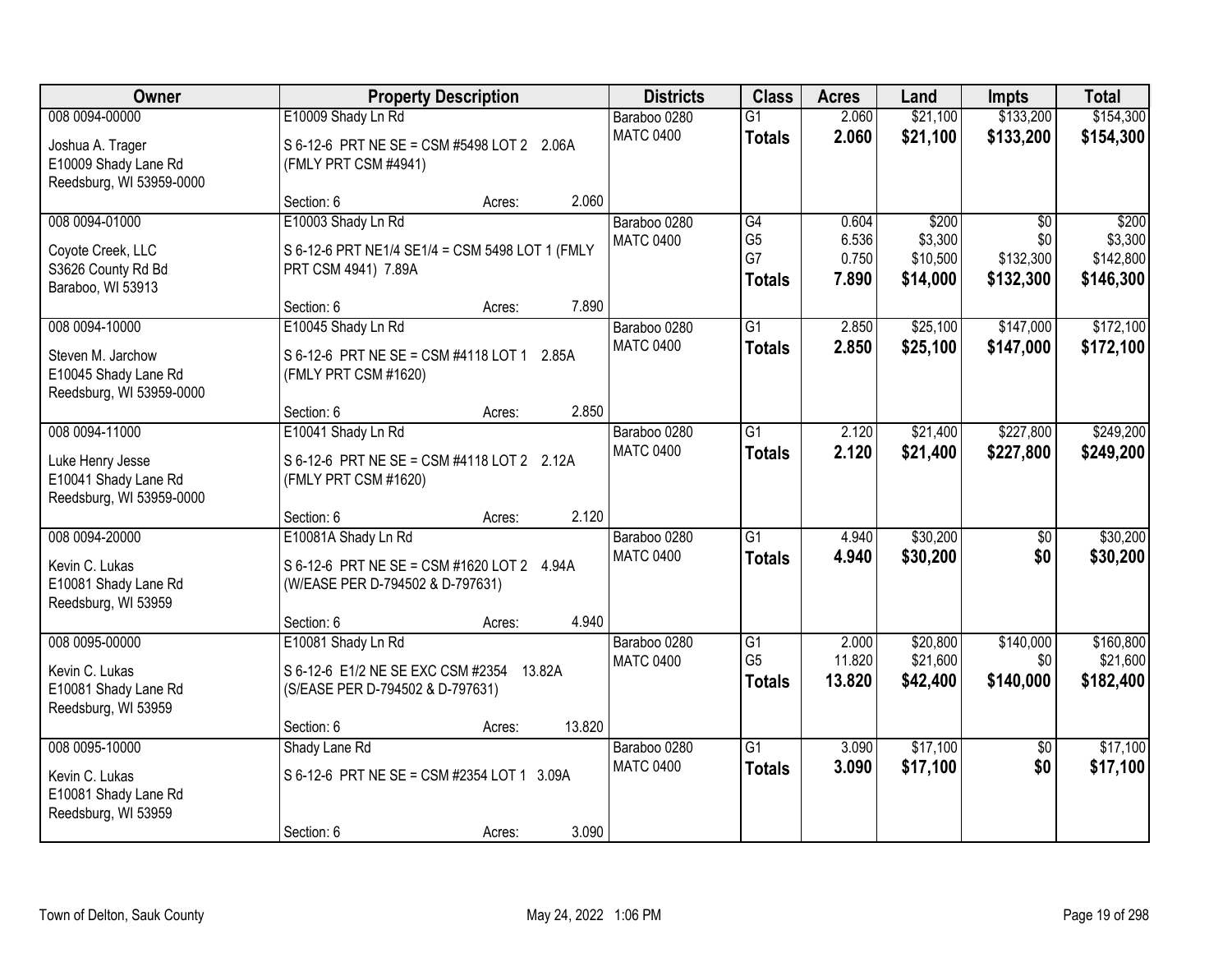| Owner                                                                           |                                                                                                            | <b>Property Description</b> |        |                                  | <b>Class</b>                                       | <b>Acres</b>                     | Land                                     | <b>Impts</b>                                     | <b>Total</b>                               |
|---------------------------------------------------------------------------------|------------------------------------------------------------------------------------------------------------|-----------------------------|--------|----------------------------------|----------------------------------------------------|----------------------------------|------------------------------------------|--------------------------------------------------|--------------------------------------------|
| 008 0094-00000                                                                  | E10009 Shady Ln Rd                                                                                         |                             |        | Baraboo 0280                     | $\overline{G1}$                                    | 2.060                            | \$21,100                                 | \$133,200                                        | \$154,300                                  |
| Joshua A. Trager<br>E10009 Shady Lane Rd<br>Reedsburg, WI 53959-0000            | S 6-12-6 PRT NE SE = CSM #5498 LOT 2 2.06A<br>(FMLY PRT CSM #4941)                                         |                             |        | <b>MATC 0400</b>                 | <b>Totals</b>                                      | 2.060                            | \$21,100                                 | \$133,200                                        | \$154,300                                  |
|                                                                                 | Section: 6                                                                                                 | Acres:                      | 2.060  |                                  |                                                    |                                  |                                          |                                                  |                                            |
| 008 0094-01000<br>Coyote Creek, LLC<br>S3626 County Rd Bd<br>Baraboo, WI 53913  | E10003 Shady Ln Rd<br>S 6-12-6 PRT NE1/4 SE1/4 = CSM 5498 LOT 1 (FMLY<br>PRT CSM 4941) 7.89A<br>Section: 6 |                             | 7.890  | Baraboo 0280<br><b>MATC 0400</b> | G4<br>G <sub>5</sub><br>G7<br><b>Totals</b>        | 0.604<br>6.536<br>0.750<br>7.890 | \$200<br>\$3,300<br>\$10,500<br>\$14,000 | $\overline{50}$<br>\$0<br>\$132,300<br>\$132,300 | \$200<br>\$3,300<br>\$142,800<br>\$146,300 |
| 008 0094-10000                                                                  | E10045 Shady Ln Rd                                                                                         | Acres:                      |        | Baraboo 0280                     | G1                                                 | 2.850                            | \$25,100                                 | \$147,000                                        | \$172,100                                  |
| Steven M. Jarchow<br>E10045 Shady Lane Rd<br>Reedsburg, WI 53959-0000           | S 6-12-6 PRT NE SE = CSM #4118 LOT 1 2.85A<br>(FMLY PRT CSM #1620)                                         |                             |        | <b>MATC 0400</b>                 | <b>Totals</b>                                      | 2.850                            | \$25,100                                 | \$147,000                                        | \$172,100                                  |
|                                                                                 | Section: 6                                                                                                 | Acres:                      | 2.850  |                                  |                                                    |                                  |                                          |                                                  |                                            |
| 008 0094-11000                                                                  | E10041 Shady Ln Rd                                                                                         |                             |        | Baraboo 0280                     | $\overline{G1}$                                    | 2.120                            | \$21,400                                 | \$227,800                                        | \$249,200                                  |
| Luke Henry Jesse<br>E10041 Shady Lane Rd<br>Reedsburg, WI 53959-0000            | S 6-12-6 PRT NE SE = CSM #4118 LOT 2 2.12A<br>(FMLY PRT CSM #1620)                                         |                             |        | <b>MATC 0400</b>                 | <b>Totals</b>                                      | 2.120                            | \$21,400                                 | \$227,800                                        | \$249,200                                  |
|                                                                                 | Section: 6                                                                                                 | Acres:                      | 2.120  |                                  |                                                    |                                  |                                          |                                                  |                                            |
| 008 0094-20000<br>Kevin C. Lukas<br>E10081 Shady Lane Rd<br>Reedsburg, WI 53959 | E10081A Shady Ln Rd<br>S 6-12-6 PRT NE SE = CSM #1620 LOT 2 4.94A<br>(W/EASE PER D-794502 & D-797631)      |                             |        | Baraboo 0280<br><b>MATC 0400</b> | $\overline{G1}$<br><b>Totals</b>                   | 4.940<br>4.940                   | \$30,200<br>\$30,200                     | $\overline{50}$<br>\$0                           | \$30,200<br>\$30,200                       |
|                                                                                 | Section: 6                                                                                                 | Acres:                      | 4.940  |                                  |                                                    |                                  |                                          |                                                  |                                            |
| 008 0095-00000<br>Kevin C. Lukas<br>E10081 Shady Lane Rd<br>Reedsburg, WI 53959 | E10081 Shady Ln Rd<br>S 6-12-6 E1/2 NE SE EXC CSM #2354 13.82A<br>(S/EASE PER D-794502 & D-797631)         |                             |        | Baraboo 0280<br><b>MATC 0400</b> | $\overline{G1}$<br>G <sub>5</sub><br><b>Totals</b> | 2.000<br>11.820<br>13.820        | \$20,800<br>\$21,600<br>\$42,400         | \$140,000<br>\$0<br>\$140,000                    | \$160,800<br>\$21,600<br>\$182,400         |
|                                                                                 | Section: 6                                                                                                 | Acres:                      | 13.820 |                                  |                                                    |                                  |                                          |                                                  |                                            |
| 008 0095-10000<br>Kevin C. Lukas<br>E10081 Shady Lane Rd<br>Reedsburg, WI 53959 | Shady Lane Rd<br>S 6-12-6 PRT NE SE = CSM #2354 LOT 1 3.09A<br>Section: 6                                  | Acres:                      | 3.090  | Baraboo 0280<br><b>MATC 0400</b> | $\overline{G1}$<br><b>Totals</b>                   | 3.090<br>3.090                   | \$17,100<br>\$17,100                     | $\overline{50}$<br>\$0                           | \$17,100<br>\$17,100                       |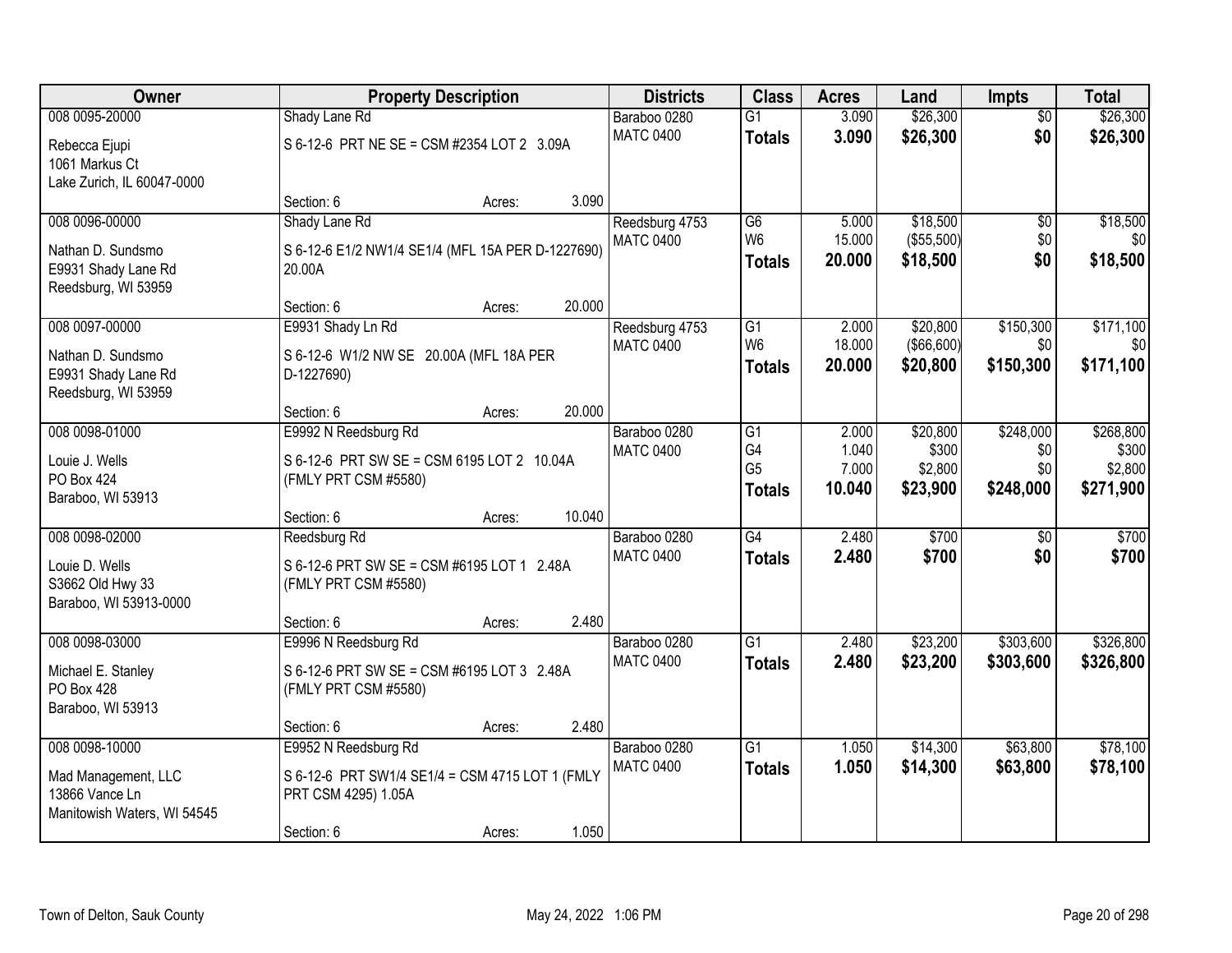| <b>Owner</b>                | <b>Property Description</b>                       | <b>Districts</b> | <b>Class</b>     | <b>Acres</b>         | Land           | <b>Impts</b>     | <b>Total</b>    |                  |
|-----------------------------|---------------------------------------------------|------------------|------------------|----------------------|----------------|------------------|-----------------|------------------|
| 008 0095-20000              | Shady Lane Rd                                     |                  | Baraboo 0280     | $\overline{G1}$      | 3.090          | \$26,300         | $\overline{30}$ | \$26,300         |
| Rebecca Ejupi               | S 6-12-6 PRT NE SE = CSM #2354 LOT 2 3.09A        |                  | <b>MATC 0400</b> | <b>Totals</b>        | 3.090          | \$26,300         | \$0             | \$26,300         |
| 1061 Markus Ct              |                                                   |                  |                  |                      |                |                  |                 |                  |
| Lake Zurich, IL 60047-0000  |                                                   |                  |                  |                      |                |                  |                 |                  |
|                             | Section: 6                                        | 3.090<br>Acres:  |                  |                      |                |                  |                 |                  |
| 008 0096-00000              | Shady Lane Rd                                     |                  | Reedsburg 4753   | $\overline{G6}$      | 5.000          | \$18,500         | $\overline{50}$ | \$18,500         |
| Nathan D. Sundsmo           | S 6-12-6 E1/2 NW1/4 SE1/4 (MFL 15A PER D-1227690) |                  | <b>MATC 0400</b> | W <sub>6</sub>       | 15.000         | (\$55,500)       | \$0             | \$0              |
| E9931 Shady Lane Rd         | 20.00A                                            |                  |                  | <b>Totals</b>        | 20.000         | \$18,500         | \$0             | \$18,500         |
| Reedsburg, WI 53959         |                                                   |                  |                  |                      |                |                  |                 |                  |
|                             | Section: 6                                        | 20.000<br>Acres: |                  |                      |                |                  |                 |                  |
| 008 0097-00000              | E9931 Shady Ln Rd                                 |                  | Reedsburg 4753   | G1                   | 2.000          | \$20,800         | \$150,300       | \$171,100        |
| Nathan D. Sundsmo           | S 6-12-6 W1/2 NW SE 20.00A (MFL 18A PER           |                  | <b>MATC 0400</b> | W <sub>6</sub>       | 18.000         | (\$66,600)       | \$0             | \$0              |
| E9931 Shady Lane Rd         | D-1227690)                                        |                  |                  | <b>Totals</b>        | 20.000         | \$20,800         | \$150,300       | \$171,100        |
| Reedsburg, WI 53959         |                                                   |                  |                  |                      |                |                  |                 |                  |
|                             | Section: 6                                        | 20.000<br>Acres: |                  |                      |                |                  |                 |                  |
| 008 0098-01000              | E9992 N Reedsburg Rd                              |                  | Baraboo 0280     | G1                   | 2.000          | \$20,800         | \$248,000       | \$268,800        |
| Louie J. Wells              | S 6-12-6 PRT SW SE = CSM 6195 LOT 2 10.04A        |                  | <b>MATC 0400</b> | G4<br>G <sub>5</sub> | 1.040<br>7.000 | \$300<br>\$2,800 | \$0<br>\$0      | \$300<br>\$2,800 |
| PO Box 424                  | (FMLY PRT CSM #5580)                              |                  |                  | <b>Totals</b>        | 10.040         | \$23,900         | \$248,000       | \$271,900        |
| Baraboo, WI 53913           |                                                   |                  |                  |                      |                |                  |                 |                  |
|                             | Section: 6                                        | 10.040<br>Acres: |                  |                      |                |                  |                 |                  |
| 008 0098-02000              | Reedsburg Rd                                      |                  | Baraboo 0280     | $\overline{G4}$      | 2.480          | \$700            | $\overline{50}$ | \$700            |
| Louie D. Wells              | S 6-12-6 PRT SW SE = CSM #6195 LOT 1 2.48A        |                  | <b>MATC 0400</b> | <b>Totals</b>        | 2.480          | \$700            | \$0             | \$700            |
| S3662 Old Hwy 33            | (FMLY PRT CSM #5580)                              |                  |                  |                      |                |                  |                 |                  |
| Baraboo, WI 53913-0000      |                                                   |                  |                  |                      |                |                  |                 |                  |
|                             | Section: 6                                        | 2.480<br>Acres:  |                  |                      |                |                  |                 |                  |
| 008 0098-03000              | E9996 N Reedsburg Rd                              |                  | Baraboo 0280     | $\overline{G1}$      | 2.480          | \$23,200         | \$303,600       | \$326,800        |
| Michael E. Stanley          | S 6-12-6 PRT SW SE = CSM #6195 LOT 3 2.48A        |                  | <b>MATC 0400</b> | <b>Totals</b>        | 2.480          | \$23,200         | \$303,600       | \$326,800        |
| PO Box 428                  | (FMLY PRT CSM #5580)                              |                  |                  |                      |                |                  |                 |                  |
| Baraboo, WI 53913           |                                                   |                  |                  |                      |                |                  |                 |                  |
|                             | Section: 6                                        | 2.480<br>Acres:  |                  |                      |                |                  |                 |                  |
| 008 0098-10000              | E9952 N Reedsburg Rd                              |                  | Baraboo 0280     | $\overline{G1}$      | 1.050          | \$14,300         | \$63,800        | \$78,100         |
| Mad Management, LLC         | S 6-12-6 PRT SW1/4 SE1/4 = CSM 4715 LOT 1 (FMLY   |                  | <b>MATC 0400</b> | <b>Totals</b>        | 1.050          | \$14,300         | \$63,800        | \$78,100         |
| 13866 Vance Ln              | PRT CSM 4295) 1.05A                               |                  |                  |                      |                |                  |                 |                  |
| Manitowish Waters, WI 54545 |                                                   |                  |                  |                      |                |                  |                 |                  |
|                             | Section: 6                                        | 1.050<br>Acres:  |                  |                      |                |                  |                 |                  |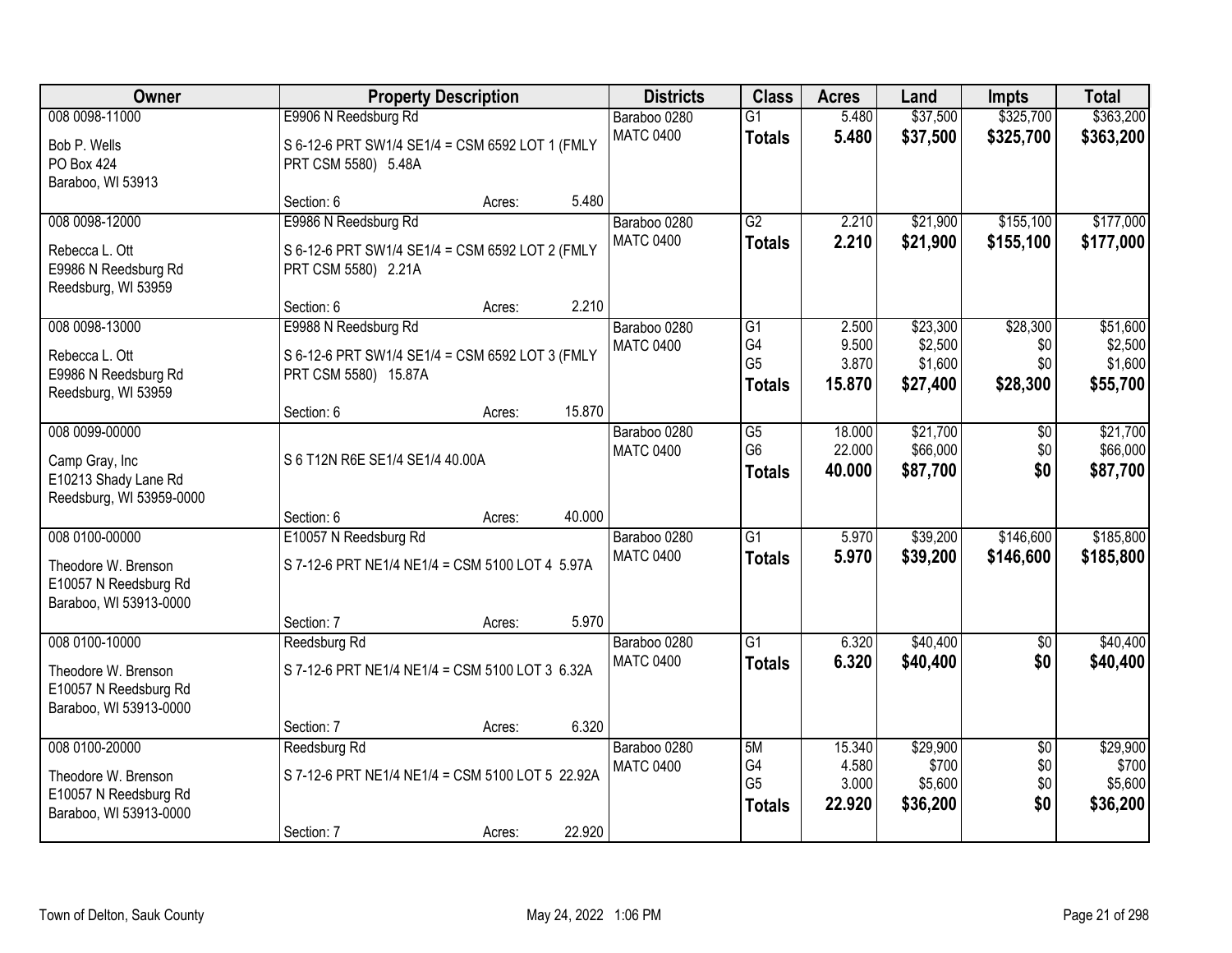| Owner                                                                                    | <b>Property Description</b>                                                                                  |        |        | <b>Districts</b>                 | <b>Class</b>                                | <b>Acres</b>                       | Land                                       | <b>Impts</b>                         | <b>Total</b>                               |
|------------------------------------------------------------------------------------------|--------------------------------------------------------------------------------------------------------------|--------|--------|----------------------------------|---------------------------------------------|------------------------------------|--------------------------------------------|--------------------------------------|--------------------------------------------|
| 008 0098-11000<br>Bob P. Wells<br>PO Box 424<br>Baraboo, WI 53913                        | E9906 N Reedsburg Rd<br>S 6-12-6 PRT SW1/4 SE1/4 = CSM 6592 LOT 1 (FMLY<br>PRT CSM 5580) 5.48A               |        |        | Baraboo 0280<br><b>MATC 0400</b> | $\overline{G1}$<br><b>Totals</b>            | 5.480<br>5.480                     | \$37,500<br>\$37,500                       | \$325,700<br>\$325,700               | \$363,200<br>\$363,200                     |
|                                                                                          | Section: 6                                                                                                   | Acres: | 5.480  |                                  |                                             |                                    |                                            |                                      |                                            |
| 008 0098-12000<br>Rebecca L. Ott<br>E9986 N Reedsburg Rd<br>Reedsburg, WI 53959          | E9986 N Reedsburg Rd<br>S 6-12-6 PRT SW1/4 SE1/4 = CSM 6592 LOT 2 (FMLY<br>PRT CSM 5580) 2.21A<br>Section: 6 |        | 2.210  | Baraboo 0280<br><b>MATC 0400</b> | G2<br><b>Totals</b>                         | 2.210<br>2.210                     | \$21,900<br>\$21,900                       | \$155,100<br>\$155,100               | \$177,000<br>\$177,000                     |
| 008 0098-13000<br>Rebecca L. Ott<br>E9986 N Reedsburg Rd<br>Reedsburg, WI 53959          | E9988 N Reedsburg Rd<br>S 6-12-6 PRT SW1/4 SE1/4 = CSM 6592 LOT 3 (FMLY<br>PRT CSM 5580) 15.87A              | Acres: |        | Baraboo 0280<br><b>MATC 0400</b> | G1<br>G4<br>G <sub>5</sub><br><b>Totals</b> | 2.500<br>9.500<br>3.870<br>15.870  | \$23,300<br>\$2,500<br>\$1,600<br>\$27,400 | \$28,300<br>\$0<br>\$0<br>\$28,300   | \$51,600<br>\$2,500<br>\$1,600<br>\$55,700 |
|                                                                                          | Section: 6                                                                                                   | Acres: | 15.870 |                                  |                                             |                                    |                                            |                                      |                                            |
| 008 0099-00000<br>Camp Gray, Inc<br>E10213 Shady Lane Rd<br>Reedsburg, WI 53959-0000     | S 6 T12N R6E SE1/4 SE1/4 40.00A                                                                              |        |        | Baraboo 0280<br><b>MATC 0400</b> | G5<br>G <sub>6</sub><br><b>Totals</b>       | 18.000<br>22.000<br>40.000         | \$21,700<br>\$66,000<br>\$87,700           | \$0<br>\$0<br>\$0                    | \$21,700<br>\$66,000<br>\$87,700           |
|                                                                                          | Section: 6                                                                                                   | Acres: | 40.000 |                                  |                                             |                                    |                                            |                                      |                                            |
| 008 0100-00000<br>Theodore W. Brenson<br>E10057 N Reedsburg Rd<br>Baraboo, WI 53913-0000 | E10057 N Reedsburg Rd<br>S 7-12-6 PRT NE1/4 NE1/4 = CSM 5100 LOT 4 5.97A                                     |        | 5.970  | Baraboo 0280<br><b>MATC 0400</b> | $\overline{G1}$<br><b>Totals</b>            | 5.970<br>5.970                     | \$39,200<br>\$39,200                       | \$146,600<br>\$146,600               | \$185,800<br>\$185,800                     |
| 008 0100-10000                                                                           | Section: 7<br>Reedsburg Rd                                                                                   | Acres: |        | Baraboo 0280                     | $\overline{G1}$                             | 6.320                              | \$40,400                                   | $\overline{50}$                      | \$40,400                                   |
| Theodore W. Brenson<br>E10057 N Reedsburg Rd<br>Baraboo, WI 53913-0000                   | S 7-12-6 PRT NE1/4 NE1/4 = CSM 5100 LOT 3 6.32A                                                              |        |        | <b>MATC 0400</b>                 | <b>Totals</b>                               | 6.320                              | \$40,400                                   | \$0                                  | \$40,400                                   |
|                                                                                          | Section: 7                                                                                                   | Acres: | 6.320  |                                  |                                             |                                    |                                            |                                      |                                            |
| 008 0100-20000<br>Theodore W. Brenson<br>E10057 N Reedsburg Rd<br>Baraboo, WI 53913-0000 | Reedsburg Rd<br>S 7-12-6 PRT NE1/4 NE1/4 = CSM 5100 LOT 5 22.92A<br>Section: 7                               | Acres: | 22.920 | Baraboo 0280<br><b>MATC 0400</b> | 5M<br>G4<br>G <sub>5</sub><br><b>Totals</b> | 15.340<br>4.580<br>3.000<br>22.920 | \$29,900<br>\$700<br>\$5,600<br>\$36,200   | $\overline{50}$<br>\$0<br>\$0<br>\$0 | \$29,900<br>\$700<br>\$5,600<br>\$36,200   |
|                                                                                          |                                                                                                              |        |        |                                  |                                             |                                    |                                            |                                      |                                            |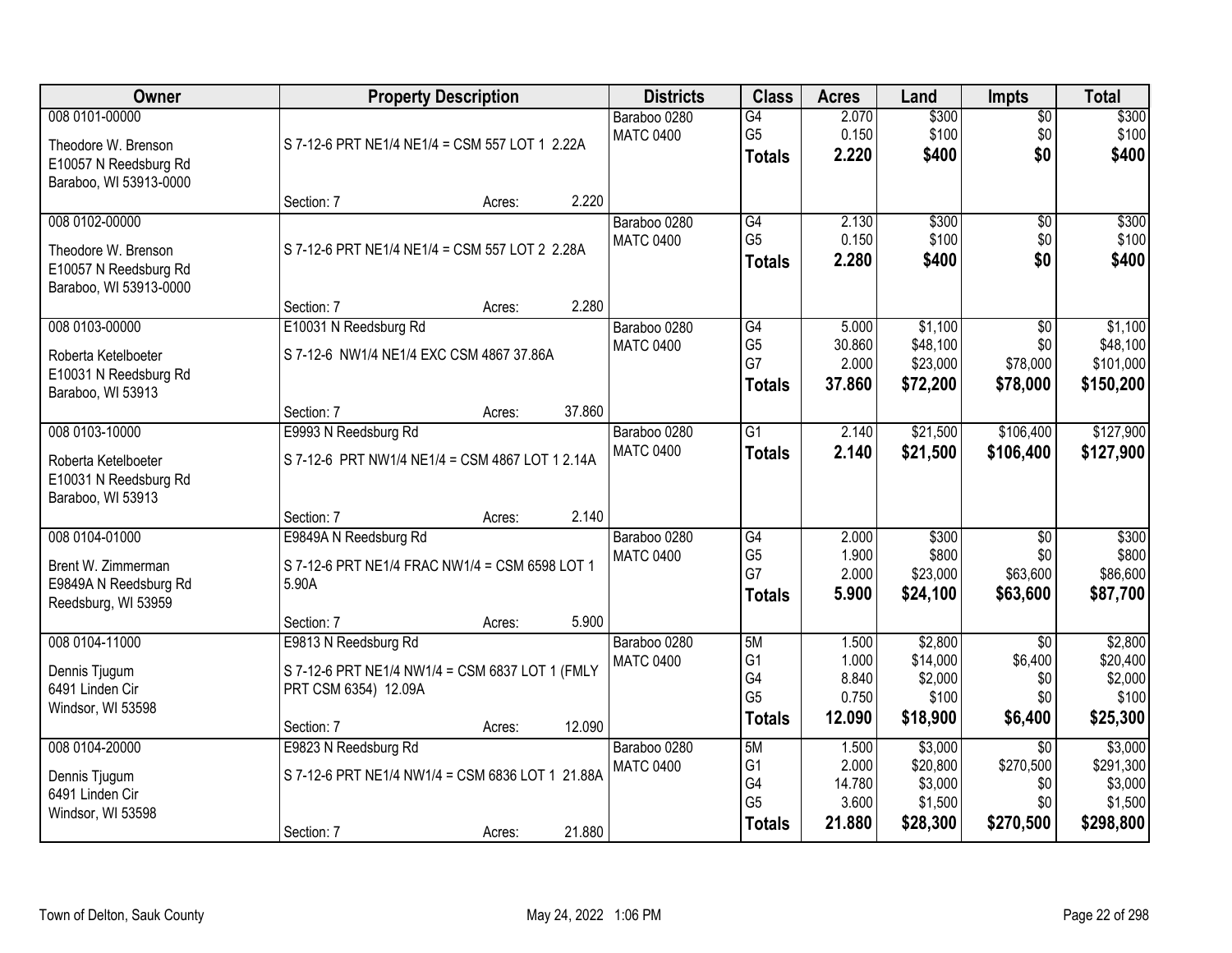| Owner                                                                                    | <b>Property Description</b>                                                                                       | <b>Districts</b>                 | <b>Class</b>                                             | <b>Acres</b>                       | Land                                       | <b>Impts</b>                                   | <b>Total</b>                                 |
|------------------------------------------------------------------------------------------|-------------------------------------------------------------------------------------------------------------------|----------------------------------|----------------------------------------------------------|------------------------------------|--------------------------------------------|------------------------------------------------|----------------------------------------------|
| 008 0101-00000<br>Theodore W. Brenson<br>E10057 N Reedsburg Rd<br>Baraboo, WI 53913-0000 | S 7-12-6 PRT NE1/4 NE1/4 = CSM 557 LOT 1 2.22A                                                                    | Baraboo 0280<br><b>MATC 0400</b> | G4<br>G <sub>5</sub><br><b>Totals</b>                    | 2.070<br>0.150<br>2.220            | \$300<br>\$100<br>\$400                    | $\overline{50}$<br>\$0<br>\$0                  | \$300<br>\$100<br>\$400                      |
|                                                                                          | 2.220<br>Section: 7<br>Acres:                                                                                     |                                  |                                                          |                                    |                                            |                                                |                                              |
| 008 0102-00000<br>Theodore W. Brenson<br>E10057 N Reedsburg Rd<br>Baraboo, WI 53913-0000 | S 7-12-6 PRT NE1/4 NE1/4 = CSM 557 LOT 2 2.28A                                                                    | Baraboo 0280<br><b>MATC 0400</b> | G4<br>G <sub>5</sub><br><b>Totals</b>                    | 2.130<br>0.150<br>2.280            | \$300<br>\$100<br>\$400                    | $\overline{50}$<br>\$0<br>\$0                  | \$300<br>\$100<br>\$400                      |
| 008 0103-00000                                                                           | 2.280<br>Section: 7<br>Acres:<br>E10031 N Reedsburg Rd                                                            | Baraboo 0280                     | G4                                                       | 5.000                              | \$1,100                                    | \$0                                            | \$1,100                                      |
| Roberta Ketelboeter<br>E10031 N Reedsburg Rd<br>Baraboo, WI 53913                        | S 7-12-6 NW1/4 NE1/4 EXC CSM 4867 37.86A                                                                          | <b>MATC 0400</b>                 | G <sub>5</sub><br>G7<br><b>Totals</b>                    | 30.860<br>2.000<br>37,860          | \$48,100<br>\$23,000<br>\$72,200           | \$0<br>\$78,000<br>\$78,000                    | \$48,100<br>\$101,000<br>\$150,200           |
|                                                                                          | 37.860<br>Section: 7<br>Acres:                                                                                    |                                  |                                                          |                                    |                                            |                                                |                                              |
| 008 0103-10000<br>Roberta Ketelboeter<br>E10031 N Reedsburg Rd<br>Baraboo, WI 53913      | E9993 N Reedsburg Rd<br>S 7-12-6 PRT NW1/4 NE1/4 = CSM 4867 LOT 1 2.14A                                           | Baraboo 0280<br><b>MATC 0400</b> | G1<br><b>Totals</b>                                      | 2.140<br>2.140                     | \$21,500<br>\$21,500                       | \$106,400<br>\$106,400                         | \$127,900<br>\$127,900                       |
|                                                                                          | 2.140<br>Section: 7<br>Acres:                                                                                     |                                  |                                                          |                                    |                                            |                                                |                                              |
| 008 0104-01000<br>Brent W. Zimmerman<br>E9849A N Reedsburg Rd<br>Reedsburg, WI 53959     | E9849A N Reedsburg Rd<br>S 7-12-6 PRT NE1/4 FRAC NW1/4 = CSM 6598 LOT 1<br>5.90A<br>5.900<br>Section: 7<br>Acres: | Baraboo 0280<br><b>MATC 0400</b> | $\overline{G4}$<br>G <sub>5</sub><br>G7<br><b>Totals</b> | 2.000<br>1.900<br>2.000<br>5.900   | \$300<br>\$800<br>\$23,000<br>\$24,100     | $\overline{30}$<br>\$0<br>\$63,600<br>\$63,600 | \$300<br>\$800<br>\$86,600<br>\$87,700       |
| 008 0104-11000                                                                           | E9813 N Reedsburg Rd                                                                                              | Baraboo 0280                     | 5M                                                       | 1.500                              | \$2,800                                    | $\overline{30}$                                | \$2,800                                      |
| Dennis Tjugum<br>6491 Linden Cir<br>Windsor, WI 53598                                    | S 7-12-6 PRT NE1/4 NW1/4 = CSM 6837 LOT 1 (FMLY<br>PRT CSM 6354) 12.09A<br>12.090<br>Section: 7<br>Acres:         | <b>MATC 0400</b>                 | G <sub>1</sub><br>G4<br>G <sub>5</sub><br><b>Totals</b>  | 1.000<br>8.840<br>0.750<br>12.090  | \$14,000<br>\$2,000<br>\$100<br>\$18,900   | \$6,400<br>\$0<br>\$0<br>\$6,400               | \$20,400<br>\$2,000<br>\$100<br>\$25,300     |
| 008 0104-20000                                                                           | E9823 N Reedsburg Rd                                                                                              | Baraboo 0280                     | 5M                                                       | 1.500                              | \$3,000                                    | $\overline{30}$                                | \$3,000                                      |
| Dennis Tjugum<br>6491 Linden Cir<br>Windsor, WI 53598                                    | S 7-12-6 PRT NE1/4 NW1/4 = CSM 6836 LOT 1 21.88A<br>21.880<br>Section: 7<br>Acres:                                | <b>MATC 0400</b>                 | G <sub>1</sub><br>G4<br>G <sub>5</sub><br><b>Totals</b>  | 2.000<br>14.780<br>3.600<br>21.880 | \$20,800<br>\$3,000<br>\$1,500<br>\$28,300 | \$270,500<br>\$0<br>\$0<br>\$270,500           | \$291,300<br>\$3,000<br>\$1,500<br>\$298,800 |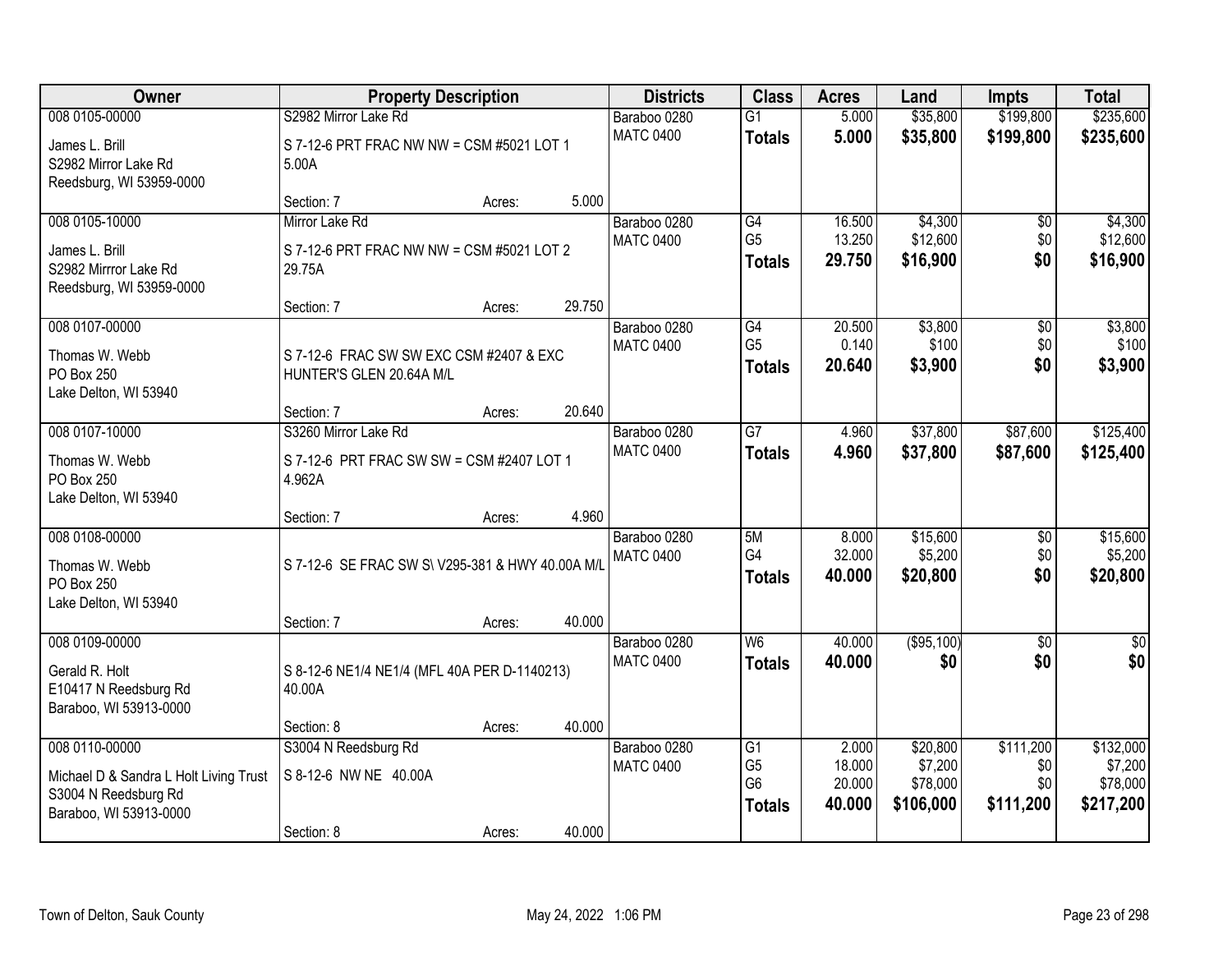| Owner                                                                                    | <b>Property Description</b>                                         |        |        | <b>Districts</b>                 | <b>Class</b>                                      | <b>Acres</b>               | Land                             | <b>Impts</b>            | <b>Total</b>                     |
|------------------------------------------------------------------------------------------|---------------------------------------------------------------------|--------|--------|----------------------------------|---------------------------------------------------|----------------------------|----------------------------------|-------------------------|----------------------------------|
| 008 0105-00000                                                                           | S2982 Mirror Lake Rd                                                |        |        | Baraboo 0280                     | $\overline{G1}$                                   | 5.000                      | \$35,800                         | \$199,800               | \$235,600                        |
| James L. Brill<br>S2982 Mirror Lake Rd<br>Reedsburg, WI 53959-0000                       | S 7-12-6 PRT FRAC NW NW = CSM #5021 LOT 1<br>5.00A                  |        |        | <b>MATC 0400</b>                 | <b>Totals</b>                                     | 5.000                      | \$35,800                         | \$199,800               | \$235,600                        |
|                                                                                          | Section: 7                                                          | Acres: | 5.000  |                                  |                                                   |                            |                                  |                         |                                  |
| 008 0105-10000                                                                           | Mirror Lake Rd                                                      |        |        | Baraboo 0280                     | G4                                                | 16.500                     | \$4,300                          | \$0                     | \$4,300                          |
| James L. Brill<br>S2982 Mirrror Lake Rd                                                  | S 7-12-6 PRT FRAC NW NW = CSM #5021 LOT 2<br>29.75A                 |        |        | <b>MATC 0400</b>                 | G <sub>5</sub><br><b>Totals</b>                   | 13.250<br>29.750           | \$12,600<br>\$16,900             | \$0<br>\$0              | \$12,600<br>\$16,900             |
| Reedsburg, WI 53959-0000                                                                 | Section: 7                                                          | Acres: | 29.750 |                                  |                                                   |                            |                                  |                         |                                  |
| 008 0107-00000                                                                           |                                                                     |        |        | Baraboo 0280                     | G4                                                | 20.500                     | \$3,800                          | $\overline{50}$         | \$3,800                          |
| Thomas W. Webb<br>PO Box 250<br>Lake Delton, WI 53940                                    | S 7-12-6 FRAC SW SW EXC CSM #2407 & EXC<br>HUNTER'S GLEN 20.64A M/L |        |        | <b>MATC 0400</b>                 | G <sub>5</sub><br><b>Totals</b>                   | 0.140<br>20.640            | \$100<br>\$3,900                 | \$0<br>\$0              | \$100<br>\$3,900                 |
|                                                                                          | Section: 7                                                          | Acres: | 20.640 |                                  |                                                   |                            |                                  |                         |                                  |
| 008 0107-10000                                                                           | S3260 Mirror Lake Rd                                                |        |        | Baraboo 0280                     | $\overline{G}$                                    | 4.960                      | \$37,800                         | \$87,600                | \$125,400                        |
| Thomas W. Webb<br>PO Box 250<br>Lake Delton, WI 53940                                    | S 7-12-6 PRT FRAC SW SW = CSM #2407 LOT 1<br>4.962A                 |        |        | <b>MATC 0400</b>                 | <b>Totals</b>                                     | 4.960                      | \$37,800                         | \$87,600                | \$125,400                        |
|                                                                                          | Section: 7                                                          | Acres: | 4.960  |                                  |                                                   |                            |                                  |                         |                                  |
| 008 0108-00000<br>Thomas W. Webb<br>PO Box 250<br>Lake Delton, WI 53940                  | S 7-12-6 SE FRAC SW S\ V295-381 & HWY 40.00A M/L                    |        |        | Baraboo 0280<br><b>MATC 0400</b> | 5M<br>G4<br><b>Totals</b>                         | 8.000<br>32.000<br>40.000  | \$15,600<br>\$5,200<br>\$20,800  | \$0<br>\$0<br>\$0       | \$15,600<br>\$5,200<br>\$20,800  |
|                                                                                          | Section: 7                                                          | Acres: | 40.000 |                                  |                                                   |                            |                                  |                         |                                  |
| 008 0109-00000<br>Gerald R. Holt<br>E10417 N Reedsburg Rd<br>Baraboo, WI 53913-0000      | S 8-12-6 NE1/4 NE1/4 (MFL 40A PER D-1140213)<br>40.00A              |        |        | Baraboo 0280<br><b>MATC 0400</b> | W6<br><b>Totals</b>                               | 40.000<br>40.000           | (\$95,100)<br>\$0                | $\overline{50}$<br>\$0  | \$0<br>\$0                       |
|                                                                                          | Section: 8                                                          | Acres: | 40.000 |                                  |                                                   |                            |                                  |                         |                                  |
| 008 0110-00000                                                                           | S3004 N Reedsburg Rd                                                |        |        | Baraboo 0280                     | $\overline{G1}$                                   | 2.000                      | \$20,800                         | \$111,200               | \$132,000                        |
| Michael D & Sandra L Holt Living Trust<br>S3004 N Reedsburg Rd<br>Baraboo, WI 53913-0000 | S 8-12-6 NW NE 40.00A                                               |        |        | <b>MATC 0400</b>                 | G <sub>5</sub><br>G <sub>6</sub><br><b>Totals</b> | 18.000<br>20.000<br>40.000 | \$7,200<br>\$78,000<br>\$106,000 | \$0<br>\$0<br>\$111,200 | \$7,200<br>\$78,000<br>\$217,200 |
|                                                                                          | Section: 8                                                          | Acres: | 40.000 |                                  |                                                   |                            |                                  |                         |                                  |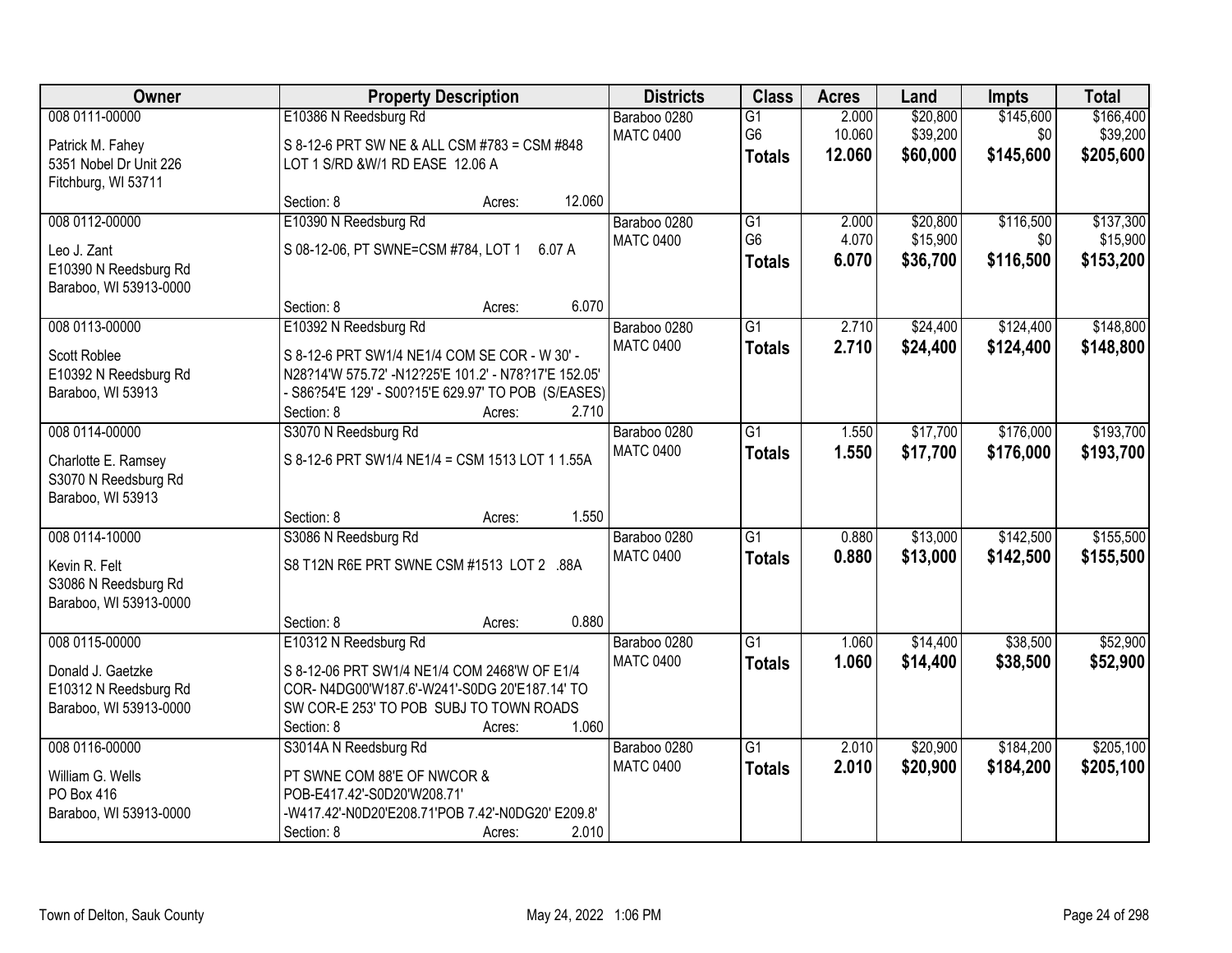| Owner                  | <b>Property Description</b>                          | <b>Districts</b> | <b>Class</b>    | <b>Acres</b> | Land     | <b>Impts</b> | <b>Total</b> |
|------------------------|------------------------------------------------------|------------------|-----------------|--------------|----------|--------------|--------------|
| 008 0111-00000         | E10386 N Reedsburg Rd                                | Baraboo 0280     | $\overline{G1}$ | 2.000        | \$20,800 | \$145,600    | \$166,400    |
| Patrick M. Fahey       | S 8-12-6 PRT SW NE & ALL CSM #783 = CSM #848         | <b>MATC 0400</b> | G <sub>6</sub>  | 10.060       | \$39,200 | \$0          | \$39,200     |
| 5351 Nobel Dr Unit 226 | LOT 1 S/RD &W/1 RD EASE 12.06 A                      |                  | <b>Totals</b>   | 12.060       | \$60,000 | \$145,600    | \$205,600    |
| Fitchburg, WI 53711    |                                                      |                  |                 |              |          |              |              |
|                        | 12.060<br>Section: 8<br>Acres:                       |                  |                 |              |          |              |              |
| 008 0112-00000         | E10390 N Reedsburg Rd                                | Baraboo 0280     | $\overline{G1}$ | 2.000        | \$20,800 | \$116,500    | \$137,300    |
| Leo J. Zant            | S 08-12-06, PT SWNE=CSM #784, LOT 1 6.07 A           | <b>MATC 0400</b> | G <sub>6</sub>  | 4.070        | \$15,900 | \$0          | \$15,900     |
| E10390 N Reedsburg Rd  |                                                      |                  | <b>Totals</b>   | 6.070        | \$36,700 | \$116,500    | \$153,200    |
| Baraboo, WI 53913-0000 |                                                      |                  |                 |              |          |              |              |
|                        | 6.070<br>Section: 8<br>Acres:                        |                  |                 |              |          |              |              |
| 008 0113-00000         | E10392 N Reedsburg Rd                                | Baraboo 0280     | $\overline{G1}$ | 2.710        | \$24,400 | \$124,400    | \$148,800    |
| Scott Roblee           | S 8-12-6 PRT SW1/4 NE1/4 COM SE COR - W 30' -        | <b>MATC 0400</b> | <b>Totals</b>   | 2.710        | \$24,400 | \$124,400    | \$148,800    |
| E10392 N Reedsburg Rd  | N28?14'W 575.72' -N12?25'E 101.2' - N78?17'E 152.05' |                  |                 |              |          |              |              |
| Baraboo, WI 53913      | - S86?54'E 129' - S00?15'E 629.97' TO POB (S/EASES)  |                  |                 |              |          |              |              |
|                        | Section: 8<br>2.710<br>Acres:                        |                  |                 |              |          |              |              |
| 008 0114-00000         | S3070 N Reedsburg Rd                                 | Baraboo 0280     | $\overline{G1}$ | 1.550        | \$17,700 | \$176,000    | \$193,700    |
| Charlotte E. Ramsey    | S 8-12-6 PRT SW1/4 NE1/4 = CSM 1513 LOT 1 1.55A      | <b>MATC 0400</b> | <b>Totals</b>   | 1.550        | \$17,700 | \$176,000    | \$193,700    |
| S3070 N Reedsburg Rd   |                                                      |                  |                 |              |          |              |              |
| Baraboo, WI 53913      |                                                      |                  |                 |              |          |              |              |
|                        | 1.550<br>Section: 8<br>Acres:                        |                  |                 |              |          |              |              |
| 008 0114-10000         | S3086 N Reedsburg Rd                                 | Baraboo 0280     | $\overline{G1}$ | 0.880        | \$13,000 | \$142,500    | \$155,500    |
| Kevin R. Felt          | S8 T12N R6E PRT SWNE CSM #1513 LOT 2 .88A            | <b>MATC 0400</b> | <b>Totals</b>   | 0.880        | \$13,000 | \$142,500    | \$155,500    |
| S3086 N Reedsburg Rd   |                                                      |                  |                 |              |          |              |              |
| Baraboo, WI 53913-0000 |                                                      |                  |                 |              |          |              |              |
|                        | 0.880<br>Section: 8<br>Acres:                        |                  |                 |              |          |              |              |
| 008 0115-00000         | E10312 N Reedsburg Rd                                | Baraboo 0280     | $\overline{G1}$ | 1.060        | \$14,400 | \$38,500     | \$52,900     |
| Donald J. Gaetzke      | S 8-12-06 PRT SW1/4 NE1/4 COM 2468'W OF E1/4         | <b>MATC 0400</b> | <b>Totals</b>   | 1.060        | \$14,400 | \$38,500     | \$52,900     |
| E10312 N Reedsburg Rd  | COR-N4DG00'W187.6'-W241'-S0DG 20'E187.14' TO         |                  |                 |              |          |              |              |
| Baraboo, WI 53913-0000 | SW COR-E 253' TO POB SUBJ TO TOWN ROADS              |                  |                 |              |          |              |              |
|                        | 1.060<br>Section: 8<br>Acres:                        |                  |                 |              |          |              |              |
| 008 0116-00000         | S3014A N Reedsburg Rd                                | Baraboo 0280     | $\overline{G1}$ | 2.010        | \$20,900 | \$184,200    | \$205,100    |
| William G. Wells       | PT SWNE COM 88'E OF NWCOR &                          | <b>MATC 0400</b> | <b>Totals</b>   | 2.010        | \$20,900 | \$184,200    | \$205,100    |
| PO Box 416             | POB-E417.42'-S0D20'W208.71'                          |                  |                 |              |          |              |              |
| Baraboo, WI 53913-0000 | -W417.42'-N0D20'E208.71'POB 7.42'-N0DG20' E209.8'    |                  |                 |              |          |              |              |
|                        | 2.010<br>Section: 8<br>Acres:                        |                  |                 |              |          |              |              |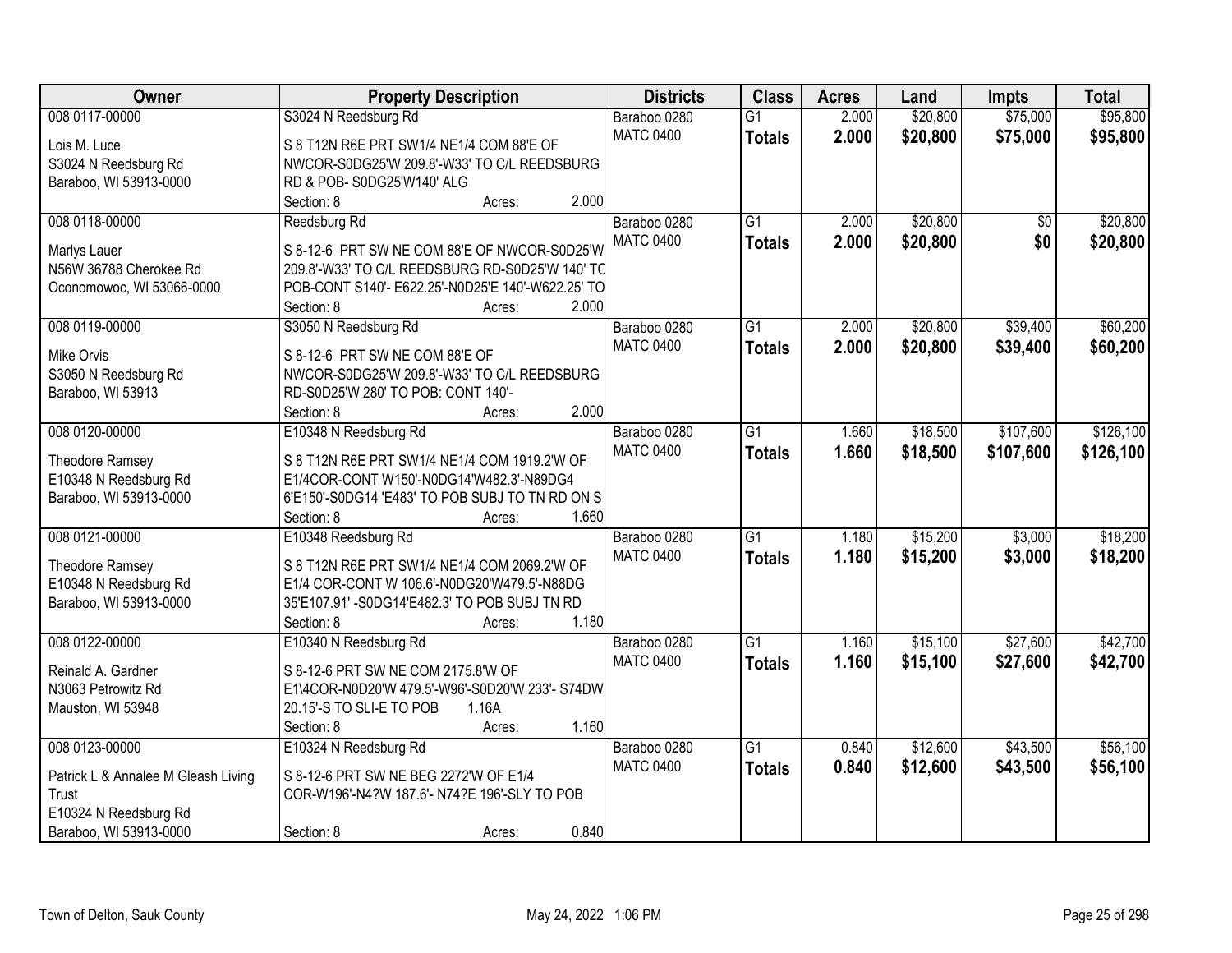| Owner                                           | <b>Property Description</b>                                                                 | <b>Districts</b> | <b>Class</b>    | <b>Acres</b> | Land     | <b>Impts</b>    | <b>Total</b> |
|-------------------------------------------------|---------------------------------------------------------------------------------------------|------------------|-----------------|--------------|----------|-----------------|--------------|
| 008 0117-00000                                  | S3024 N Reedsburg Rd                                                                        | Baraboo 0280     | $\overline{G1}$ | 2.000        | \$20,800 | \$75,000        | \$95,800     |
| Lois M. Luce                                    | S 8 T12N R6E PRT SW1/4 NE1/4 COM 88'E OF                                                    | <b>MATC 0400</b> | <b>Totals</b>   | 2.000        | \$20,800 | \$75,000        | \$95,800     |
| S3024 N Reedsburg Rd                            | NWCOR-S0DG25'W 209.8'-W33' TO C/L REEDSBURG                                                 |                  |                 |              |          |                 |              |
| Baraboo, WI 53913-0000                          | RD & POB-S0DG25'W140' ALG                                                                   |                  |                 |              |          |                 |              |
|                                                 | 2.000<br>Section: 8<br>Acres:                                                               |                  |                 |              |          |                 |              |
| 008 0118-00000                                  | Reedsburg Rd                                                                                | Baraboo 0280     | $\overline{G1}$ | 2.000        | \$20,800 | $\overline{30}$ | \$20,800     |
|                                                 |                                                                                             | <b>MATC 0400</b> | <b>Totals</b>   | 2.000        | \$20,800 | \$0             | \$20,800     |
| Marlys Lauer                                    | S 8-12-6 PRT SW NE COM 88'E OF NWCOR-S0D25'W                                                |                  |                 |              |          |                 |              |
| N56W 36788 Cherokee Rd                          | 209.8'-W33' TO C/L REEDSBURG RD-S0D25'W 140' TC                                             |                  |                 |              |          |                 |              |
| Oconomowoc, WI 53066-0000                       | POB-CONT S140'- E622.25'-N0D25'E 140'-W622.25' TO                                           |                  |                 |              |          |                 |              |
|                                                 | 2.000<br>Section: 8<br>Acres:                                                               |                  |                 |              |          |                 |              |
| 008 0119-00000                                  | S3050 N Reedsburg Rd                                                                        | Baraboo 0280     | $\overline{G1}$ | 2.000        | \$20,800 | \$39,400        | \$60,200     |
| Mike Orvis                                      | S 8-12-6 PRT SW NE COM 88'E OF                                                              | <b>MATC 0400</b> | <b>Totals</b>   | 2.000        | \$20,800 | \$39,400        | \$60,200     |
| S3050 N Reedsburg Rd                            | NWCOR-S0DG25'W 209.8'-W33' TO C/L REEDSBURG                                                 |                  |                 |              |          |                 |              |
| Baraboo, WI 53913                               | RD-S0D25'W 280' TO POB: CONT 140'-                                                          |                  |                 |              |          |                 |              |
|                                                 | 2.000<br>Section: 8<br>Acres:                                                               |                  |                 |              |          |                 |              |
| 008 0120-00000                                  | E10348 N Reedsburg Rd                                                                       | Baraboo 0280     | $\overline{G1}$ | 1.660        | \$18,500 | \$107,600       | \$126,100    |
|                                                 |                                                                                             | <b>MATC 0400</b> | <b>Totals</b>   | 1.660        | \$18,500 | \$107,600       | \$126,100    |
| Theodore Ramsey                                 | S 8 T12N R6E PRT SW1/4 NE1/4 COM 1919.2'W OF                                                |                  |                 |              |          |                 |              |
| E10348 N Reedsburg Rd<br>Baraboo, WI 53913-0000 | E1/4COR-CONT W150'-N0DG14'W482.3'-N89DG4<br>6'E150'-S0DG14 'E483' TO POB SUBJ TO TN RD ON S |                  |                 |              |          |                 |              |
|                                                 | Section: 8<br>1.660                                                                         |                  |                 |              |          |                 |              |
| 008 0121-00000                                  | Acres:<br>E10348 Reedsburg Rd                                                               | Baraboo 0280     | $\overline{G1}$ | 1.180        | \$15,200 | \$3,000         | \$18,200     |
|                                                 |                                                                                             | <b>MATC 0400</b> |                 | 1.180        |          |                 |              |
| <b>Theodore Ramsey</b>                          | S 8 T12N R6E PRT SW1/4 NE1/4 COM 2069.2'W OF                                                |                  | <b>Totals</b>   |              | \$15,200 | \$3,000         | \$18,200     |
| E10348 N Reedsburg Rd                           | E1/4 COR-CONT W 106.6'-N0DG20'W479.5'-N88DG                                                 |                  |                 |              |          |                 |              |
| Baraboo, WI 53913-0000                          | 35'E107.91' -S0DG14'E482.3' TO POB SUBJ TN RD                                               |                  |                 |              |          |                 |              |
|                                                 | 1.180<br>Section: 8<br>Acres:                                                               |                  |                 |              |          |                 |              |
| 008 0122-00000                                  | E10340 N Reedsburg Rd                                                                       | Baraboo 0280     | $\overline{G1}$ | 1.160        | \$15,100 | \$27,600        | \$42,700     |
| Reinald A. Gardner                              | S 8-12-6 PRT SW NE COM 2175.8'W OF                                                          | <b>MATC 0400</b> | <b>Totals</b>   | 1.160        | \$15,100 | \$27,600        | \$42,700     |
| N3063 Petrowitz Rd                              | E1\4COR-N0D20'W 479.5'-W96'-S0D20'W 233'- S74DW                                             |                  |                 |              |          |                 |              |
| Mauston, WI 53948                               | 20.15'-S TO SLI-E TO POB<br>1.16A                                                           |                  |                 |              |          |                 |              |
|                                                 | 1.160<br>Section: 8<br>Acres:                                                               |                  |                 |              |          |                 |              |
| 008 0123-00000                                  | E10324 N Reedsburg Rd                                                                       | Baraboo 0280     | $\overline{G1}$ | 0.840        | \$12,600 | \$43,500        | \$56,100     |
|                                                 |                                                                                             | <b>MATC 0400</b> | <b>Totals</b>   | 0.840        | \$12,600 | \$43,500        | \$56,100     |
| Patrick L & Annalee M Gleash Living             | S 8-12-6 PRT SW NE BEG 2272'W OF E1/4                                                       |                  |                 |              |          |                 |              |
| Trust                                           | COR-W196'-N4?W 187.6'- N74?E 196'-SLY TO POB                                                |                  |                 |              |          |                 |              |
| E10324 N Reedsburg Rd                           |                                                                                             |                  |                 |              |          |                 |              |
| Baraboo, WI 53913-0000                          | 0.840<br>Section: 8<br>Acres:                                                               |                  |                 |              |          |                 |              |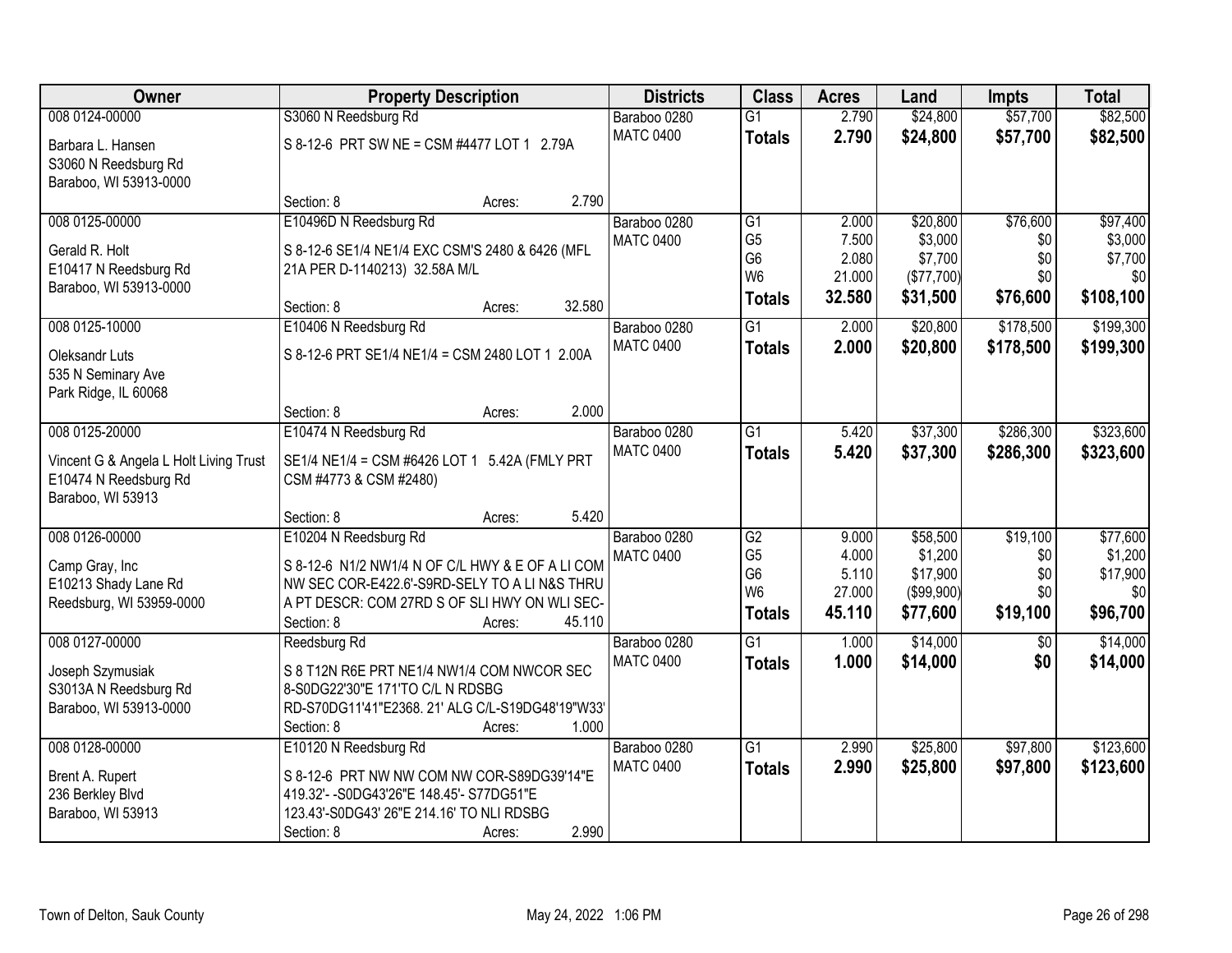| Owner                                            | <b>Property Description</b>                                                                   | <b>Districts</b>                 | <b>Class</b>                     | <b>Acres</b>    | Land                  | <b>Impts</b>           | <b>Total</b>   |
|--------------------------------------------------|-----------------------------------------------------------------------------------------------|----------------------------------|----------------------------------|-----------------|-----------------------|------------------------|----------------|
| 008 0124-00000                                   | S3060 N Reedsburg Rd                                                                          | Baraboo 0280                     | $\overline{G1}$                  | 2.790           | \$24,800              | \$57,700               | \$82,500       |
| Barbara L. Hansen<br>S3060 N Reedsburg Rd        | S 8-12-6 PRT SW NE = CSM #4477 LOT 1 2.79A                                                    | <b>MATC 0400</b>                 | <b>Totals</b>                    | 2.790           | \$24,800              | \$57,700               | \$82,500       |
| Baraboo, WI 53913-0000                           |                                                                                               |                                  |                                  |                 |                       |                        |                |
|                                                  | 2.790<br>Section: 8<br>Acres:                                                                 |                                  |                                  |                 |                       |                        |                |
| 008 0125-00000                                   | E10496D N Reedsburg Rd                                                                        | Baraboo 0280                     | G1                               | 2.000           | \$20,800              | \$76,600               | \$97,400       |
| Gerald R. Holt                                   | S 8-12-6 SE1/4 NE1/4 EXC CSM'S 2480 & 6426 (MFL                                               | <b>MATC 0400</b>                 | G <sub>5</sub>                   | 7.500           | \$3,000               | \$0                    | \$3,000        |
| E10417 N Reedsburg Rd                            | 21A PER D-1140213) 32.58A M/L                                                                 |                                  | G <sub>6</sub><br>W <sub>6</sub> | 2.080<br>21.000 | \$7,700<br>(\$77,700) | \$0<br>\$0             | \$7,700<br>\$0 |
| Baraboo, WI 53913-0000                           |                                                                                               |                                  | <b>Totals</b>                    | 32.580          | \$31,500              | \$76,600               | \$108,100      |
|                                                  | 32.580<br>Section: 8<br>Acres:                                                                |                                  |                                  |                 |                       |                        |                |
| 008 0125-10000                                   | E10406 N Reedsburg Rd                                                                         | Baraboo 0280                     | $\overline{G1}$                  | 2.000           | \$20,800              | \$178,500              | \$199,300      |
| Oleksandr Luts                                   | S 8-12-6 PRT SE1/4 NE1/4 = CSM 2480 LOT 1 2.00A                                               | <b>MATC 0400</b>                 | <b>Totals</b>                    | 2.000           | \$20,800              | \$178,500              | \$199,300      |
| 535 N Seminary Ave                               |                                                                                               |                                  |                                  |                 |                       |                        |                |
| Park Ridge, IL 60068                             |                                                                                               |                                  |                                  |                 |                       |                        |                |
|                                                  | 2.000<br>Section: 8<br>Acres:                                                                 |                                  |                                  |                 |                       |                        |                |
| 008 0125-20000                                   | E10474 N Reedsburg Rd                                                                         | Baraboo 0280<br><b>MATC 0400</b> | G1                               | 5.420<br>5.420  | \$37,300<br>\$37,300  | \$286,300<br>\$286,300 | \$323,600      |
| Vincent G & Angela L Holt Living Trust           | SE1/4 NE1/4 = CSM #6426 LOT 1 5.42A (FMLY PRT                                                 |                                  | <b>Totals</b>                    |                 |                       |                        | \$323,600      |
| E10474 N Reedsburg Rd                            | CSM #4773 & CSM #2480)                                                                        |                                  |                                  |                 |                       |                        |                |
| Baraboo, WI 53913                                | 5.420<br>Section: 8                                                                           |                                  |                                  |                 |                       |                        |                |
| 008 0126-00000                                   | Acres:<br>E10204 N Reedsburg Rd                                                               | Baraboo 0280                     | $\overline{G2}$                  | 9.000           | \$58,500              | \$19,100               | \$77,600       |
|                                                  |                                                                                               | <b>MATC 0400</b>                 | G <sub>5</sub>                   | 4.000           | \$1,200               | \$0                    | \$1,200        |
| Camp Gray, Inc                                   | S 8-12-6 N1/2 NW1/4 N OF C/L HWY & E OF A LI COM                                              |                                  | G <sub>6</sub>                   | 5.110           | \$17,900              | \$0                    | \$17,900       |
| E10213 Shady Lane Rd<br>Reedsburg, WI 53959-0000 | NW SEC COR-E422.6'-S9RD-SELY TO A LIN&S THRU<br>A PT DESCR: COM 27RD S OF SLI HWY ON WLI SEC- |                                  | W <sub>6</sub>                   | 27.000          | (\$99,900)            | \$0                    | \$0            |
|                                                  | Section: 8<br>45.110<br>Acres:                                                                |                                  | <b>Totals</b>                    | 45.110          | \$77,600              | \$19,100               | \$96,700       |
| 008 0127-00000                                   | Reedsburg Rd                                                                                  | Baraboo 0280                     | $\overline{G1}$                  | 1.000           | \$14,000              | $\sqrt{6}$             | \$14,000       |
| Joseph Szymusiak                                 | S 8 T12N R6E PRT NE1/4 NW1/4 COM NWCOR SEC                                                    | <b>MATC 0400</b>                 | <b>Totals</b>                    | 1.000           | \$14,000              | \$0                    | \$14,000       |
| S3013A N Reedsburg Rd                            | 8-S0DG22'30"E 171'TO C/L N RDSBG                                                              |                                  |                                  |                 |                       |                        |                |
| Baraboo, WI 53913-0000                           | RD-S70DG11'41"E2368. 21' ALG C/L-S19DG48'19"W33'                                              |                                  |                                  |                 |                       |                        |                |
|                                                  | 1.000<br>Section: 8<br>Acres:                                                                 |                                  |                                  |                 |                       |                        |                |
| 008 0128-00000                                   | E10120 N Reedsburg Rd                                                                         | Baraboo 0280                     | $\overline{G1}$                  | 2.990           | \$25,800              | \$97,800               | \$123,600      |
| Brent A. Rupert                                  | S 8-12-6 PRT NW NW COM NW COR-S89DG39'14"E                                                    | <b>MATC 0400</b>                 | <b>Totals</b>                    | 2.990           | \$25,800              | \$97,800               | \$123,600      |
| 236 Berkley Blvd                                 | 419.32'- - S0DG43'26"E 148.45'- S77DG51"E                                                     |                                  |                                  |                 |                       |                        |                |
| Baraboo, WI 53913                                | 123.43'-S0DG43' 26"E 214.16' TO NLI RDSBG                                                     |                                  |                                  |                 |                       |                        |                |
|                                                  | 2.990<br>Section: 8<br>Acres:                                                                 |                                  |                                  |                 |                       |                        |                |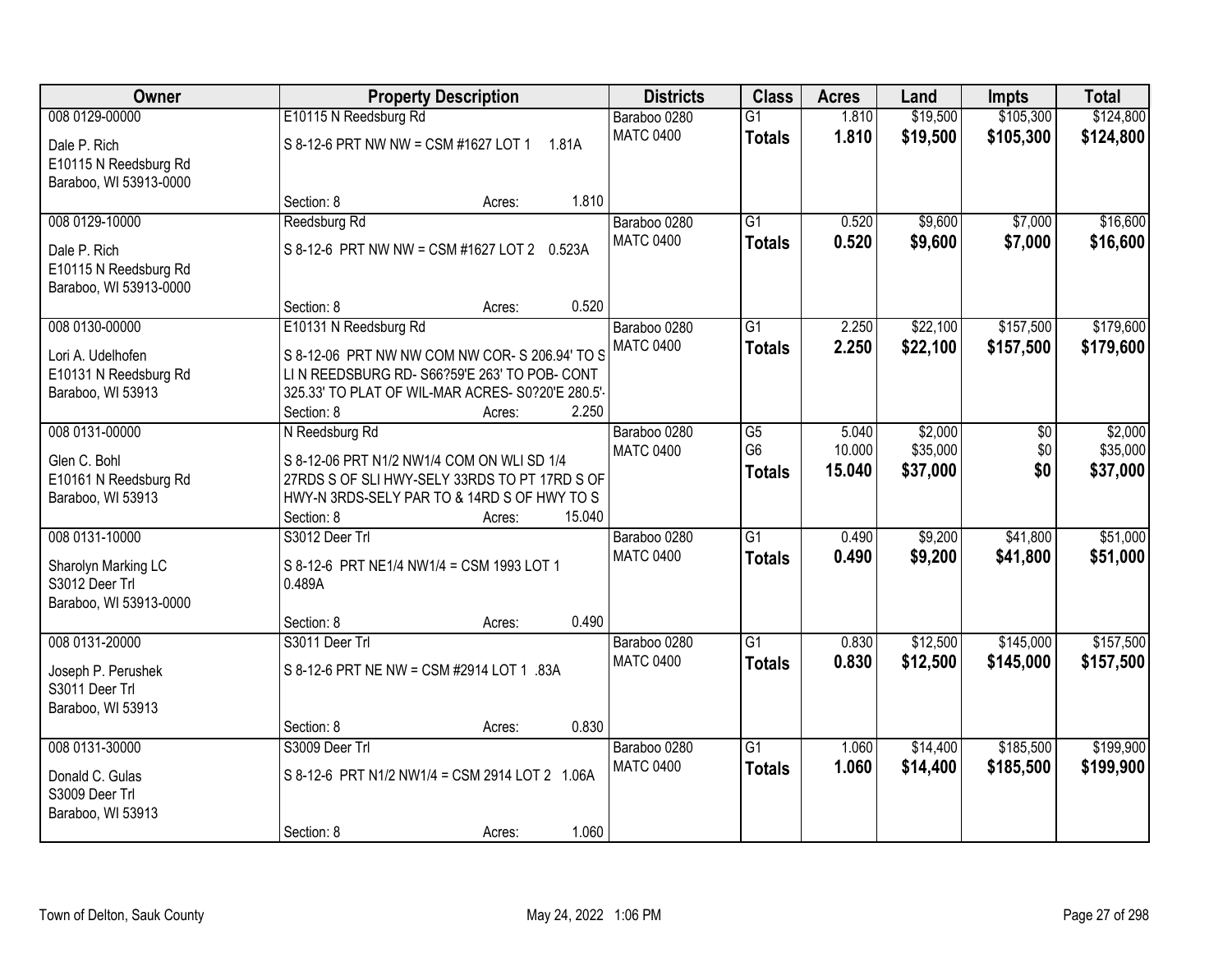| Owner                                                                             | <b>Property Description</b>                                                                                                                                                                         | <b>Districts</b>                          | <b>Class</b>                     | <b>Acres</b>     | Land                 | <b>Impts</b>           | <b>Total</b>           |
|-----------------------------------------------------------------------------------|-----------------------------------------------------------------------------------------------------------------------------------------------------------------------------------------------------|-------------------------------------------|----------------------------------|------------------|----------------------|------------------------|------------------------|
| 008 0129-00000                                                                    | E10115 N Reedsburg Rd                                                                                                                                                                               | Baraboo 0280                              | $\overline{G1}$                  | 1.810            | \$19,500             | \$105,300              | \$124,800              |
| Dale P. Rich<br>E10115 N Reedsburg Rd<br>Baraboo, WI 53913-0000                   | S 8-12-6 PRT NW NW = CSM #1627 LOT 1<br>1.81A                                                                                                                                                       | <b>MATC 0400</b>                          | <b>Totals</b>                    | 1.810            | \$19,500             | \$105,300              | \$124,800              |
|                                                                                   | Section: 8<br>Acres:                                                                                                                                                                                | 1.810                                     |                                  |                  |                      |                        |                        |
| 008 0129-10000                                                                    | Reedsburg Rd                                                                                                                                                                                        | Baraboo 0280                              | $\overline{G1}$                  | 0.520            | \$9,600              | \$7,000                | \$16,600               |
| Dale P. Rich<br>E10115 N Reedsburg Rd<br>Baraboo, WI 53913-0000                   | S 8-12-6 PRT NW NW = CSM #1627 LOT 2 0.523A                                                                                                                                                         | <b>MATC 0400</b>                          | <b>Totals</b>                    | 0.520            | \$9,600              | \$7,000                | \$16,600               |
|                                                                                   | Section: 8<br>Acres:                                                                                                                                                                                | 0.520                                     |                                  |                  |                      |                        |                        |
| 008 0130-00000<br>Lori A. Udelhofen<br>E10131 N Reedsburg Rd<br>Baraboo, WI 53913 | E10131 N Reedsburg Rd<br>S 8-12-06 PRT NW NW COM NW COR- S 206.94' TO S<br>LIN REEDSBURG RD-S66?59'E 263' TO POB- CONT<br>325.33' TO PLAT OF WIL-MAR ACRES- S0?20'E 280.5'-<br>Section: 8<br>Acres: | Baraboo 0280<br><b>MATC 0400</b><br>2.250 | $\overline{G1}$<br><b>Totals</b> | 2.250<br>2.250   | \$22,100<br>\$22,100 | \$157,500<br>\$157,500 | \$179,600<br>\$179,600 |
| 008 0131-00000                                                                    | N Reedsburg Rd                                                                                                                                                                                      | Baraboo 0280                              | $\overline{G5}$                  | 5.040            | \$2,000              | $\overline{50}$        | \$2,000                |
| Glen C. Bohl<br>E10161 N Reedsburg Rd<br>Baraboo, WI 53913                        | S 8-12-06 PRT N1/2 NW1/4 COM ON WLI SD 1/4<br>27RDS S OF SLI HWY-SELY 33RDS TO PT 17RD S OF<br>HWY-N 3RDS-SELY PAR TO & 14RD S OF HWY TO S<br>Section: 8<br>Acres:                                  | <b>MATC 0400</b><br>15.040                | G <sub>6</sub><br><b>Totals</b>  | 10.000<br>15.040 | \$35,000<br>\$37,000 | \$0<br>\$0             | \$35,000<br>\$37,000   |
| 008 0131-10000                                                                    | S3012 Deer Trl                                                                                                                                                                                      | Baraboo 0280                              | $\overline{G1}$                  | 0.490            | \$9,200              | \$41,800               | \$51,000               |
| Sharolyn Marking LC<br>S3012 Deer Trl<br>Baraboo, WI 53913-0000                   | S 8-12-6 PRT NE1/4 NW1/4 = CSM 1993 LOT 1<br>0.489A<br>Section: 8<br>Acres:                                                                                                                         | <b>MATC 0400</b><br>0.490                 | <b>Totals</b>                    | 0.490            | \$9,200              | \$41,800               | \$51,000               |
| 008 0131-20000                                                                    | S3011 Deer Trl                                                                                                                                                                                      | Baraboo 0280                              | $\overline{G1}$                  | 0.830            | \$12,500             | \$145,000              | \$157,500              |
| Joseph P. Perushek<br>S3011 Deer Trl<br>Baraboo, WI 53913                         | S 8-12-6 PRT NE NW = CSM #2914 LOT 1 .83A                                                                                                                                                           | <b>MATC 0400</b>                          | <b>Totals</b>                    | 0.830            | \$12,500             | \$145,000              | \$157,500              |
|                                                                                   | Section: 8<br>Acres:                                                                                                                                                                                | 0.830                                     |                                  |                  |                      |                        |                        |
| 008 0131-30000                                                                    | S3009 Deer Trl                                                                                                                                                                                      | Baraboo 0280                              | $\overline{G1}$                  | 1.060            | \$14,400             | \$185,500              | \$199,900              |
| Donald C. Gulas<br>S3009 Deer Trl<br>Baraboo, WI 53913                            | S 8-12-6 PRT N1/2 NW1/4 = CSM 2914 LOT 2 1.06A                                                                                                                                                      | <b>MATC 0400</b>                          | <b>Totals</b>                    | 1.060            | \$14,400             | \$185,500              | \$199,900              |
|                                                                                   | Section: 8<br>Acres:                                                                                                                                                                                | 1.060                                     |                                  |                  |                      |                        |                        |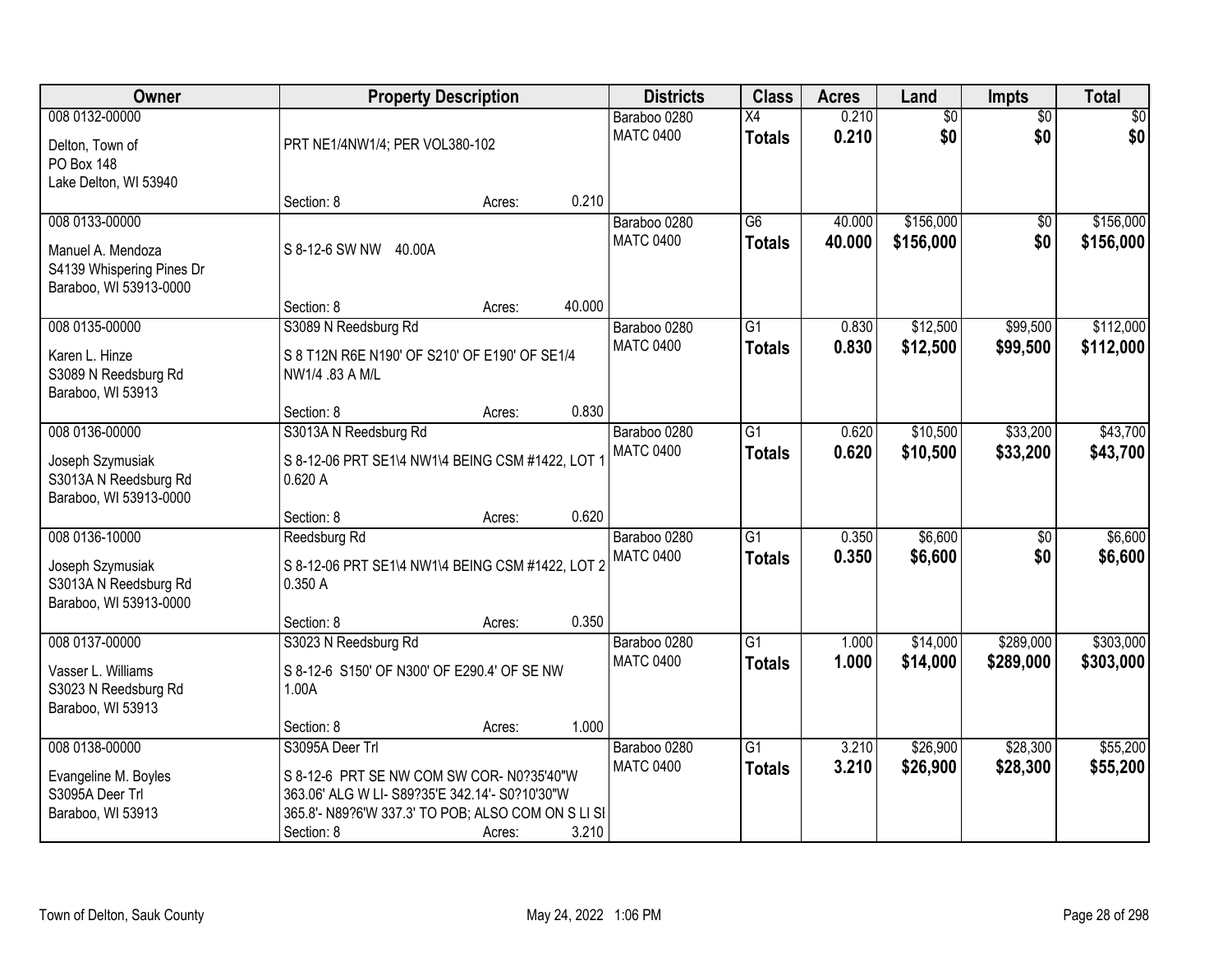| Owner                                                                    | <b>Property Description</b>                                                                 |        |        | <b>Districts</b>                 | <b>Class</b>        | <b>Acres</b>   | Land                   | <b>Impts</b>           | <b>Total</b> |
|--------------------------------------------------------------------------|---------------------------------------------------------------------------------------------|--------|--------|----------------------------------|---------------------|----------------|------------------------|------------------------|--------------|
| 008 0132-00000                                                           |                                                                                             |        |        | Baraboo 0280<br><b>MATC 0400</b> | Χ4<br><b>Totals</b> | 0.210<br>0.210 | $\overline{60}$<br>\$0 | $\overline{50}$<br>\$0 | \$0<br>\$0   |
| Delton, Town of<br><b>PO Box 148</b>                                     | PRT NE1/4NW1/4; PER VOL380-102                                                              |        |        |                                  |                     |                |                        |                        |              |
| Lake Delton, WI 53940                                                    | Section: 8                                                                                  | Acres: | 0.210  |                                  |                     |                |                        |                        |              |
| 008 0133-00000                                                           |                                                                                             |        |        | Baraboo 0280                     | $\overline{G6}$     | 40.000         | \$156,000              | $\overline{50}$        | \$156,000    |
| Manuel A. Mendoza<br>S4139 Whispering Pines Dr<br>Baraboo, WI 53913-0000 | S 8-12-6 SW NW<br>40.00A                                                                    |        |        | <b>MATC 0400</b>                 | <b>Totals</b>       | 40.000         | \$156,000              | \$0                    | \$156,000    |
|                                                                          | Section: 8                                                                                  | Acres: | 40.000 |                                  |                     |                |                        |                        |              |
| 008 0135-00000                                                           | S3089 N Reedsburg Rd                                                                        |        |        | Baraboo 0280                     | $\overline{G1}$     | 0.830          | \$12,500               | \$99,500               | \$112,000    |
| Karen L. Hinze<br>S3089 N Reedsburg Rd<br>Baraboo, WI 53913              | S 8 T12N R6E N190' OF S210' OF E190' OF SE1/4<br>NW1/4 .83 A M/L                            |        |        | <b>MATC 0400</b>                 | <b>Totals</b>       | 0.830          | \$12,500               | \$99,500               | \$112,000    |
|                                                                          | Section: 8                                                                                  | Acres: | 0.830  |                                  |                     |                |                        |                        |              |
| 008 0136-00000                                                           | S3013A N Reedsburg Rd                                                                       |        |        | Baraboo 0280                     | G1                  | 0.620          | \$10,500               | \$33,200               | \$43,700     |
| Joseph Szymusiak<br>S3013A N Reedsburg Rd<br>Baraboo, WI 53913-0000      | S 8-12-06 PRT SE1\4 NW1\4 BEING CSM #1422, LOT 1<br>0.620A                                  |        |        | <b>MATC 0400</b>                 | <b>Totals</b>       | 0.620          | \$10,500               | \$33,200               | \$43,700     |
|                                                                          | Section: 8                                                                                  | Acres: | 0.620  |                                  |                     |                |                        |                        |              |
| 008 0136-10000                                                           | Reedsburg Rd                                                                                |        |        | Baraboo 0280                     | $\overline{G1}$     | 0.350          | \$6,600                | $\overline{50}$        | \$6,600      |
| Joseph Szymusiak<br>S3013A N Reedsburg Rd<br>Baraboo, WI 53913-0000      | S 8-12-06 PRT SE1\4 NW1\4 BEING CSM #1422, LOT 2<br>0.350 A                                 |        |        | <b>MATC 0400</b>                 | <b>Totals</b>       | 0.350          | \$6,600                | \$0                    | \$6,600      |
|                                                                          | Section: 8                                                                                  | Acres: | 0.350  |                                  |                     |                |                        |                        |              |
| 008 0137-00000                                                           | S3023 N Reedsburg Rd                                                                        |        |        | Baraboo 0280                     | $\overline{G1}$     | 1.000          | \$14,000               | \$289,000              | \$303,000    |
| Vasser L. Williams<br>S3023 N Reedsburg Rd<br>Baraboo, WI 53913          | S 8-12-6 S150' OF N300' OF E290.4' OF SE NW<br>1.00A                                        |        |        | <b>MATC 0400</b>                 | <b>Totals</b>       | 1.000          | \$14,000               | \$289,000              | \$303,000    |
|                                                                          | Section: 8                                                                                  | Acres: | 1.000  |                                  |                     |                |                        |                        |              |
| 008 0138-00000                                                           | S3095A Deer Trl                                                                             |        |        | Baraboo 0280                     | $\overline{G1}$     | 3.210          | \$26,900               | \$28,300               | \$55,200     |
| Evangeline M. Boyles<br>S3095A Deer Trl                                  | S 8-12-6 PRT SE NW COM SW COR- N0?35'40"W<br>363.06' ALG W LI- S89?35'E 342.14'- S0?10'30"W |        |        | <b>MATC 0400</b>                 | <b>Totals</b>       | 3.210          | \$26,900               | \$28,300               | \$55,200     |
| Baraboo, WI 53913                                                        | 365.8'- N89?6'W 337.3' TO POB; ALSO COM ON S LI SI                                          |        |        |                                  |                     |                |                        |                        |              |
|                                                                          | Section: 8                                                                                  | Acres: | 3.210  |                                  |                     |                |                        |                        |              |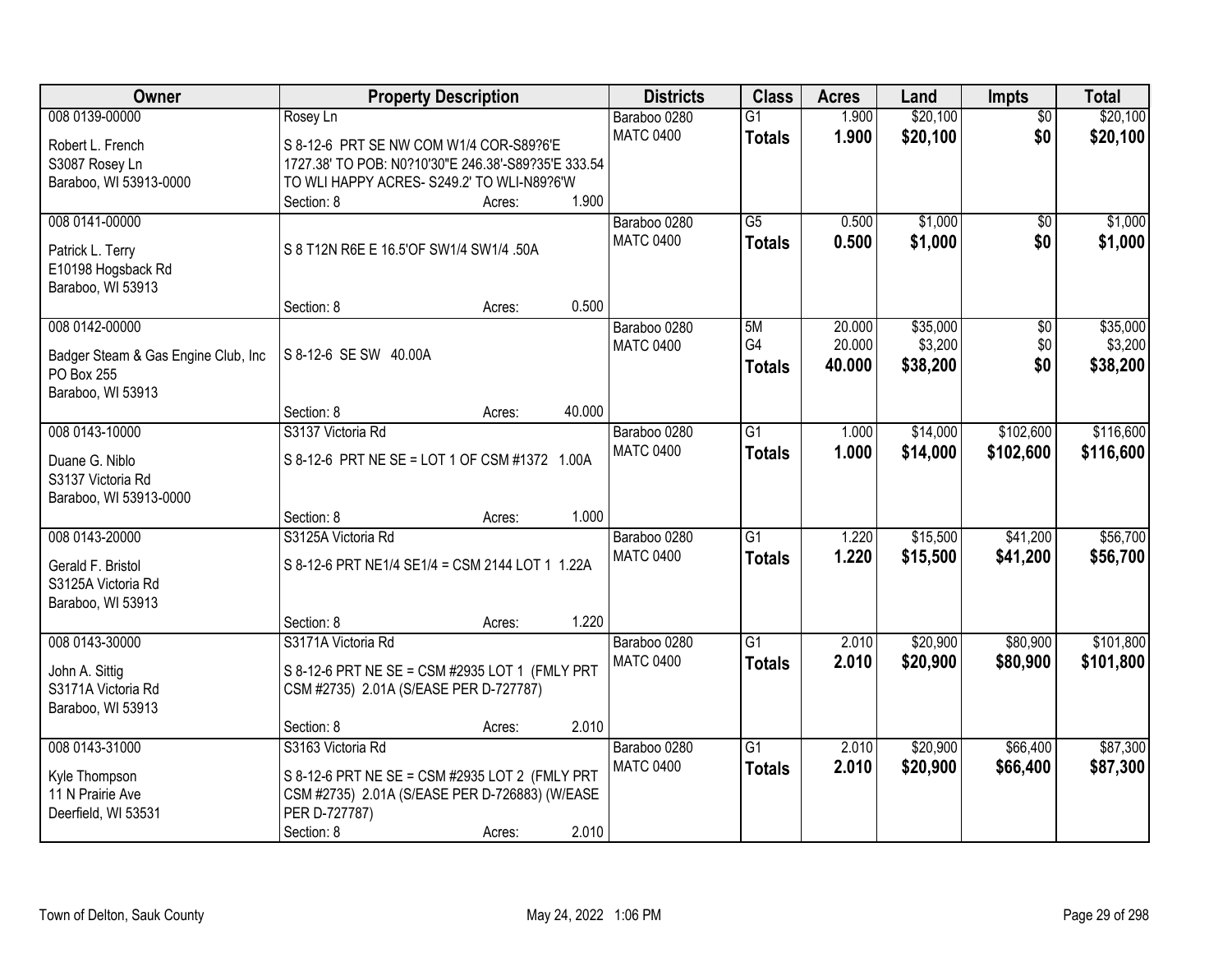| Owner                                   | <b>Property Description</b>                         | <b>Districts</b> | <b>Class</b>    | <b>Acres</b> | Land     | Impts           | <b>Total</b> |
|-----------------------------------------|-----------------------------------------------------|------------------|-----------------|--------------|----------|-----------------|--------------|
| 008 0139-00000                          | Rosey Ln                                            | Baraboo 0280     | $\overline{G1}$ | 1.900        | \$20,100 | $\overline{50}$ | \$20,100     |
| Robert L. French                        | S 8-12-6 PRT SE NW COM W1/4 COR-S89?6'E             | <b>MATC 0400</b> | <b>Totals</b>   | 1.900        | \$20,100 | \$0             | \$20,100     |
| S3087 Rosey Ln                          | 1727.38' TO POB: N0?10'30"E 246.38'-S89?35'E 333.54 |                  |                 |              |          |                 |              |
| Baraboo, WI 53913-0000                  | TO WLI HAPPY ACRES- S249.2' TO WLI-N89?6'W          |                  |                 |              |          |                 |              |
|                                         | Section: 8<br>Acres:                                | 1.900            |                 |              |          |                 |              |
| 008 0141-00000                          |                                                     | Baraboo 0280     | $\overline{G5}$ | 0.500        | \$1,000  | \$0             | \$1,000      |
|                                         | S 8 T12N R6E E 16.5'OF SW1/4 SW1/4 .50A             | <b>MATC 0400</b> | <b>Totals</b>   | 0.500        | \$1,000  | \$0             | \$1,000      |
| Patrick L. Terry                        |                                                     |                  |                 |              |          |                 |              |
| E10198 Hogsback Rd<br>Baraboo, WI 53913 |                                                     |                  |                 |              |          |                 |              |
|                                         | Section: 8<br>Acres:                                | 0.500            |                 |              |          |                 |              |
| 008 0142-00000                          |                                                     | Baraboo 0280     | 5M              | 20.000       | \$35,000 | $\overline{50}$ | \$35,000     |
|                                         |                                                     | <b>MATC 0400</b> | G4              | 20.000       | \$3,200  | \$0             | \$3,200      |
| Badger Steam & Gas Engine Club, Inc     | S 8-12-6 SE SW 40.00A                               |                  | <b>Totals</b>   | 40.000       | \$38,200 | \$0             | \$38,200     |
| PO Box 255                              |                                                     |                  |                 |              |          |                 |              |
| Baraboo, WI 53913                       |                                                     |                  |                 |              |          |                 |              |
|                                         | Section: 8<br>40.000<br>Acres:                      |                  |                 |              |          |                 |              |
| 008 0143-10000                          | S3137 Victoria Rd                                   | Baraboo 0280     | $\overline{G1}$ | 1.000        | \$14,000 | \$102,600       | \$116,600    |
| Duane G. Niblo                          | S 8-12-6 PRT NE SE = LOT 1 OF CSM #1372 1.00A       | <b>MATC 0400</b> | <b>Totals</b>   | 1.000        | \$14,000 | \$102,600       | \$116,600    |
| S3137 Victoria Rd                       |                                                     |                  |                 |              |          |                 |              |
| Baraboo, WI 53913-0000                  |                                                     |                  |                 |              |          |                 |              |
|                                         | Section: 8<br>Acres:                                | 1.000            |                 |              |          |                 |              |
| 008 0143-20000                          | S3125A Victoria Rd                                  | Baraboo 0280     | $\overline{G1}$ | 1.220        | \$15,500 | \$41,200        | \$56,700     |
| Gerald F. Bristol                       | S 8-12-6 PRT NE1/4 SE1/4 = CSM 2144 LOT 1 1.22A     | <b>MATC 0400</b> | <b>Totals</b>   | 1.220        | \$15,500 | \$41,200        | \$56,700     |
| S3125A Victoria Rd                      |                                                     |                  |                 |              |          |                 |              |
| Baraboo, WI 53913                       |                                                     |                  |                 |              |          |                 |              |
|                                         | Section: 8<br>Acres:                                | 1.220            |                 |              |          |                 |              |
| 008 0143-30000                          | S3171A Victoria Rd                                  | Baraboo 0280     | $\overline{G1}$ | 2.010        | \$20,900 | \$80,900        | \$101,800    |
|                                         |                                                     | <b>MATC 0400</b> | <b>Totals</b>   | 2.010        | \$20,900 | \$80,900        | \$101,800    |
| John A. Sittig                          | S 8-12-6 PRT NE SE = CSM #2935 LOT 1 (FMLY PRT      |                  |                 |              |          |                 |              |
| S3171A Victoria Rd                      | CSM #2735) 2.01A (S/EASE PER D-727787)              |                  |                 |              |          |                 |              |
| Baraboo, WI 53913                       |                                                     | 2.010            |                 |              |          |                 |              |
| 008 0143-31000                          | Section: 8<br>Acres:<br>S3163 Victoria Rd           | Baraboo 0280     | $\overline{G1}$ | 2.010        | \$20,900 | \$66,400        | \$87,300     |
|                                         |                                                     | <b>MATC 0400</b> |                 |              |          |                 |              |
| Kyle Thompson                           | S 8-12-6 PRT NE SE = CSM #2935 LOT 2 (FMLY PRT      |                  | <b>Totals</b>   | 2.010        | \$20,900 | \$66,400        | \$87,300     |
| 11 N Prairie Ave                        | CSM #2735) 2.01A (S/EASE PER D-726883) (W/EASE      |                  |                 |              |          |                 |              |
| Deerfield, WI 53531                     | PER D-727787)                                       |                  |                 |              |          |                 |              |
|                                         | Section: 8<br>Acres:                                | 2.010            |                 |              |          |                 |              |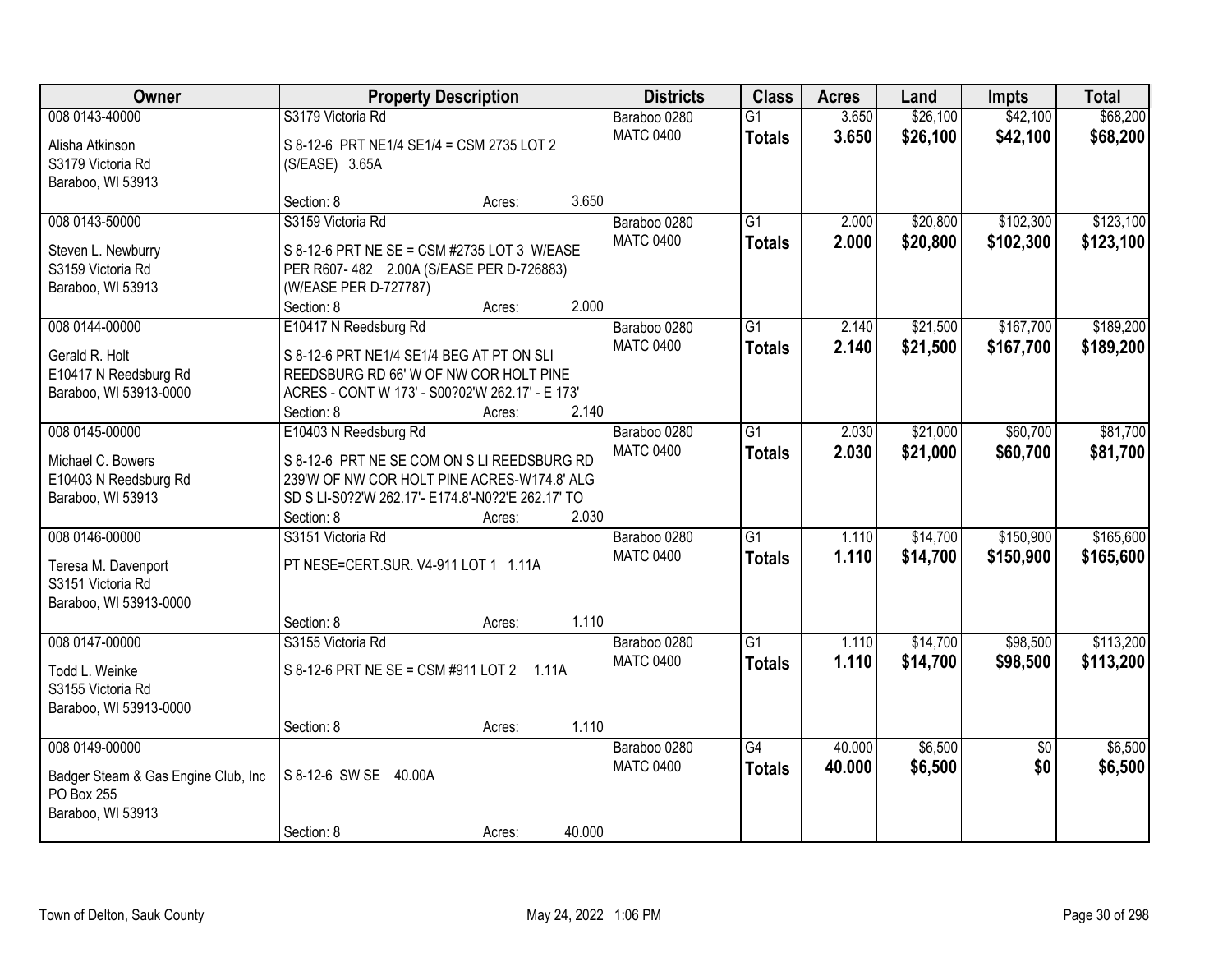| Owner                                                                                    | <b>Property Description</b>                                                                                                                                                                               | <b>Districts</b>                 | <b>Class</b>                     | <b>Acres</b>     | Land                 | <b>Impts</b>           | <b>Total</b>           |
|------------------------------------------------------------------------------------------|-----------------------------------------------------------------------------------------------------------------------------------------------------------------------------------------------------------|----------------------------------|----------------------------------|------------------|----------------------|------------------------|------------------------|
| 008 0143-40000<br>Alisha Atkinson<br>S3179 Victoria Rd                                   | S3179 Victoria Rd<br>S 8-12-6 PRT NE1/4 SE1/4 = CSM 2735 LOT 2<br>(S/EASE) 3.65A                                                                                                                          | Baraboo 0280<br><b>MATC 0400</b> | G1<br><b>Totals</b>              | 3.650<br>3.650   | \$26,100<br>\$26,100 | \$42,100<br>\$42,100   | \$68,200<br>\$68,200   |
| Baraboo, WI 53913                                                                        | 3.650<br>Section: 8<br>Acres:                                                                                                                                                                             |                                  |                                  |                  |                      |                        |                        |
| 008 0143-50000<br>Steven L. Newburry<br>S3159 Victoria Rd<br>Baraboo, WI 53913           | S3159 Victoria Rd<br>S 8-12-6 PRT NE SE = CSM #2735 LOT 3 W/EASE<br>PER R607-482 2.00A (S/EASE PER D-726883)<br>(W/EASE PER D-727787)<br>2.000<br>Section: 8<br>Acres:                                    | Baraboo 0280<br><b>MATC 0400</b> | $\overline{G1}$<br><b>Totals</b> | 2.000<br>2.000   | \$20,800<br>\$20,800 | \$102,300<br>\$102,300 | \$123,100<br>\$123,100 |
| 008 0144-00000<br>Gerald R. Holt<br>E10417 N Reedsburg Rd<br>Baraboo, WI 53913-0000      | E10417 N Reedsburg Rd<br>S 8-12-6 PRT NE1/4 SE1/4 BEG AT PT ON SLI<br>REEDSBURG RD 66' W OF NW COR HOLT PINE<br>ACRES - CONT W 173' - S00?02'W 262.17' - E 173'<br>2.140<br>Section: 8<br>Acres:          | Baraboo 0280<br><b>MATC 0400</b> | G <sub>1</sub><br><b>Totals</b>  | 2.140<br>2.140   | \$21,500<br>\$21,500 | \$167,700<br>\$167,700 | \$189,200<br>\$189,200 |
| 008 0145-00000<br>Michael C. Bowers<br>E10403 N Reedsburg Rd<br>Baraboo, WI 53913        | E10403 N Reedsburg Rd<br>S 8-12-6 PRT NE SE COM ON S LI REEDSBURG RD<br>239'W OF NW COR HOLT PINE ACRES-W174.8' ALG<br>SD S LI-S0?2'W 262.17'- E174.8'-N0?2'E 262.17' TO<br>2.030<br>Section: 8<br>Acres: | Baraboo 0280<br><b>MATC 0400</b> | G1<br><b>Totals</b>              | 2.030<br>2.030   | \$21,000<br>\$21,000 | \$60,700<br>\$60,700   | \$81,700<br>\$81,700   |
| 008 0146-00000<br>Teresa M. Davenport<br>S3151 Victoria Rd<br>Baraboo, WI 53913-0000     | S3151 Victoria Rd<br>PT NESE=CERT.SUR. V4-911 LOT 1 1.11A<br>1.110<br>Section: 8<br>Acres:                                                                                                                | Baraboo 0280<br><b>MATC 0400</b> | $\overline{G1}$<br><b>Totals</b> | 1.110<br>1.110   | \$14,700<br>\$14,700 | \$150,900<br>\$150,900 | \$165,600<br>\$165,600 |
| 008 0147-00000<br>Todd L. Weinke<br>S3155 Victoria Rd<br>Baraboo, WI 53913-0000          | S3155 Victoria Rd<br>S 8-12-6 PRT NE SE = CSM #911 LOT 2 1.11A<br>1.110<br>Section: 8<br>Acres:                                                                                                           | Baraboo 0280<br><b>MATC 0400</b> | $\overline{G1}$<br><b>Totals</b> | 1.110<br>1.110   | \$14,700<br>\$14,700 | \$98,500<br>\$98,500   | \$113,200<br>\$113,200 |
| 008 0149-00000<br>Badger Steam & Gas Engine Club, Inc<br>PO Box 255<br>Baraboo, WI 53913 | S 8-12-6 SW SE 40.00A<br>40.000<br>Section: 8<br>Acres:                                                                                                                                                   | Baraboo 0280<br><b>MATC 0400</b> | G4<br><b>Totals</b>              | 40.000<br>40.000 | \$6,500<br>\$6,500   | $\overline{50}$<br>\$0 | \$6,500<br>\$6,500     |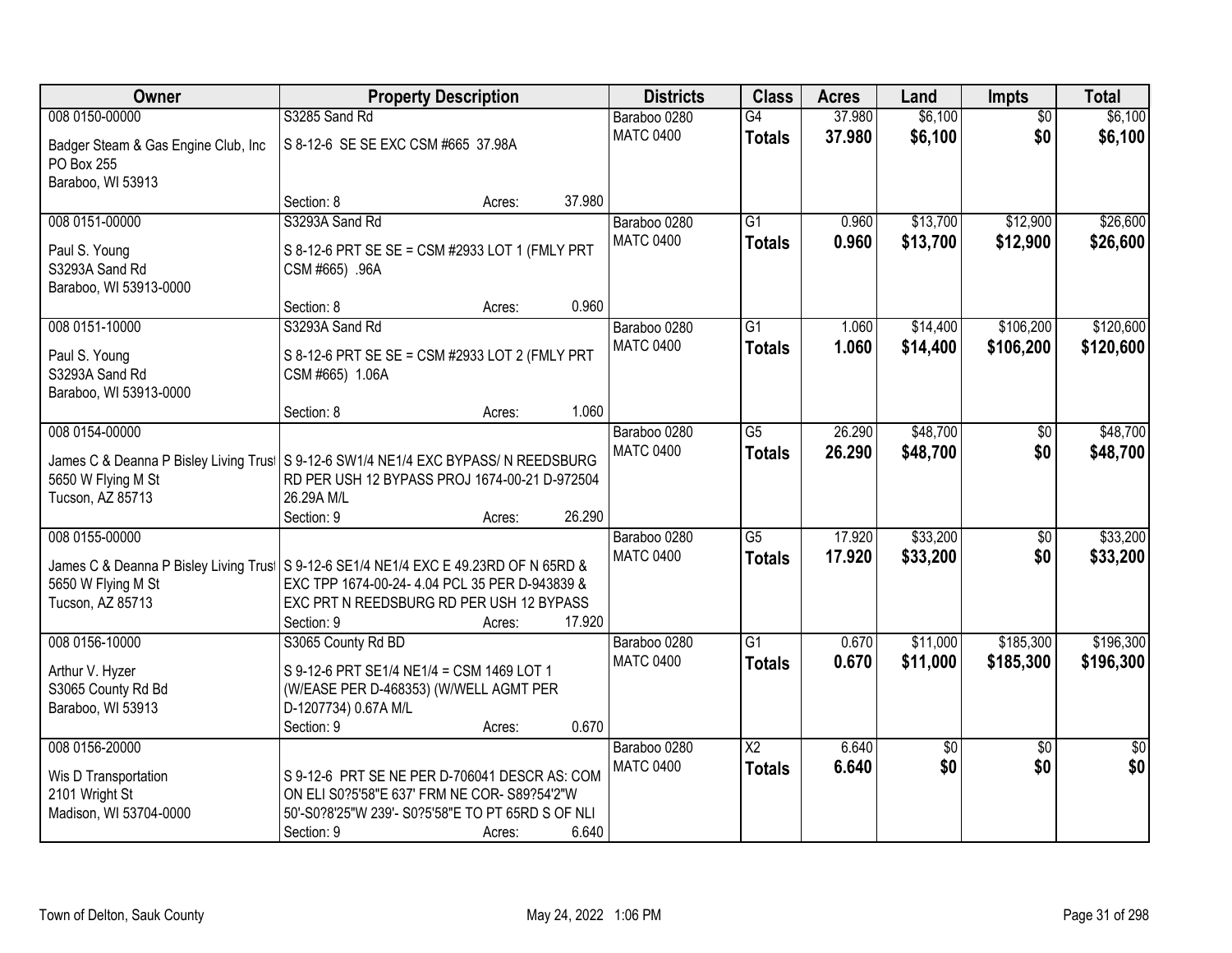| Owner                                                                                                      | <b>Property Description</b>                                       |        |        | <b>Districts</b>                 | <b>Class</b>           | <b>Acres</b> | Land        | <b>Impts</b>    | <b>Total</b>    |
|------------------------------------------------------------------------------------------------------------|-------------------------------------------------------------------|--------|--------|----------------------------------|------------------------|--------------|-------------|-----------------|-----------------|
| 008 0150-00000                                                                                             | S3285 Sand Rd                                                     |        |        | Baraboo 0280                     | $\overline{G4}$        | 37.980       | \$6,100     | $\overline{50}$ | \$6,100         |
| Badger Steam & Gas Engine Club, Inc<br>PO Box 255                                                          | S 8-12-6 SE SE EXC CSM #665 37.98A                                |        |        | <b>MATC 0400</b>                 | <b>Totals</b>          | 37.980       | \$6,100     | \$0             | \$6,100         |
| Baraboo, WI 53913                                                                                          |                                                                   |        |        |                                  |                        |              |             |                 |                 |
|                                                                                                            | Section: 8                                                        | Acres: | 37.980 |                                  |                        |              |             |                 |                 |
| 008 0151-00000                                                                                             | S3293A Sand Rd                                                    |        |        | Baraboo 0280                     | $\overline{G1}$        | 0.960        | \$13,700    | \$12,900        | \$26,600        |
| Paul S. Young<br>S3293A Sand Rd<br>Baraboo, WI 53913-0000                                                  | S 8-12-6 PRT SE SE = CSM #2933 LOT 1 (FMLY PRT<br>CSM #665) .96A  |        |        | <b>MATC 0400</b>                 | <b>Totals</b>          | 0.960        | \$13,700    | \$12,900        | \$26,600        |
|                                                                                                            | Section: 8                                                        | Acres: | 0.960  |                                  |                        |              |             |                 |                 |
| 008 0151-10000                                                                                             | S3293A Sand Rd                                                    |        |        | Baraboo 0280                     | G1                     | 1.060        | \$14,400    | \$106,200       | \$120,600       |
| Paul S. Young<br>S3293A Sand Rd<br>Baraboo, WI 53913-0000                                                  | S 8-12-6 PRT SE SE = CSM #2933 LOT 2 (FMLY PRT<br>CSM #665) 1.06A |        |        | <b>MATC 0400</b>                 | <b>Totals</b>          | 1.060        | \$14,400    | \$106,200       | \$120,600       |
|                                                                                                            | Section: 8                                                        | Acres: | 1.060  |                                  |                        |              |             |                 |                 |
| 008 0154-00000                                                                                             |                                                                   |        |        | Baraboo 0280                     | $\overline{G5}$        | 26.290       | \$48,700    | \$0             | \$48,700        |
| James C & Deanna P Bisley Living Trus   S 9-12-6 SW1/4 NE1/4 EXC BYPASS/ N REEDSBURG<br>5650 W Flying M St | RD PER USH 12 BYPASS PROJ 1674-00-21 D-972504                     |        |        | <b>MATC 0400</b>                 | <b>Totals</b>          | 26.290       | \$48,700    | \$0             | \$48,700        |
| Tucson, AZ 85713                                                                                           | 26.29A M/L                                                        |        |        |                                  |                        |              |             |                 |                 |
|                                                                                                            | Section: 9                                                        | Acres: | 26.290 |                                  |                        |              |             |                 |                 |
| 008 0155-00000                                                                                             |                                                                   |        |        | Baraboo 0280                     | $\overline{G5}$        | 17.920       | \$33,200    | $\overline{50}$ | \$33,200        |
|                                                                                                            |                                                                   |        |        | <b>MATC 0400</b>                 | <b>Totals</b>          | 17.920       | \$33,200    | \$0             | \$33,200        |
| James C & Deanna P Bisley Living Trus   S 9-12-6 SE1/4 NE1/4 EXC E 49.23RD OF N 65RD &                     |                                                                   |        |        |                                  |                        |              |             |                 |                 |
| 5650 W Flying M St                                                                                         | EXC TPP 1674-00-24- 4.04 PCL 35 PER D-943839 &                    |        |        |                                  |                        |              |             |                 |                 |
| Tucson, AZ 85713                                                                                           | EXC PRT N REEDSBURG RD PER USH 12 BYPASS                          |        | 17.920 |                                  |                        |              |             |                 |                 |
| 008 0156-10000                                                                                             | Section: 9<br>S3065 County Rd BD                                  | Acres: |        |                                  | $\overline{G1}$        | 0.670        | \$11,000    | \$185,300       | \$196,300       |
|                                                                                                            |                                                                   |        |        | Baraboo 0280<br><b>MATC 0400</b> |                        | 0.670        |             |                 |                 |
| Arthur V. Hyzer                                                                                            | S 9-12-6 PRT SE1/4 NE1/4 = CSM 1469 LOT 1                         |        |        |                                  | <b>Totals</b>          |              | \$11,000    | \$185,300       | \$196,300       |
| S3065 County Rd Bd                                                                                         | (W/EASE PER D-468353) (W/WELL AGMT PER                            |        |        |                                  |                        |              |             |                 |                 |
| Baraboo, WI 53913                                                                                          | D-1207734) 0.67A M/L                                              |        |        |                                  |                        |              |             |                 |                 |
|                                                                                                            | Section: 9                                                        | Acres: | 0.670  |                                  |                        |              |             |                 |                 |
| 008 0156-20000                                                                                             |                                                                   |        |        | Baraboo 0280                     | $\overline{\text{X2}}$ | 6.640        | $\sqrt{50}$ | $\overline{50}$ | $\overline{50}$ |
| Wis D Transportation                                                                                       | S 9-12-6 PRT SE NE PER D-706041 DESCR AS: COM                     |        |        | <b>MATC 0400</b>                 | <b>Totals</b>          | 6.640        | \$0         | \$0             | \$0             |
| 2101 Wright St                                                                                             | ON ELI S0?5'58"E 637' FRM NE COR- S89?54'2"W                      |        |        |                                  |                        |              |             |                 |                 |
| Madison, WI 53704-0000                                                                                     | 50'-S0?8'25"W 239'- S0?5'58"E TO PT 65RD S OF NLI                 |        |        |                                  |                        |              |             |                 |                 |
|                                                                                                            | Section: 9                                                        | Acres: | 6.640  |                                  |                        |              |             |                 |                 |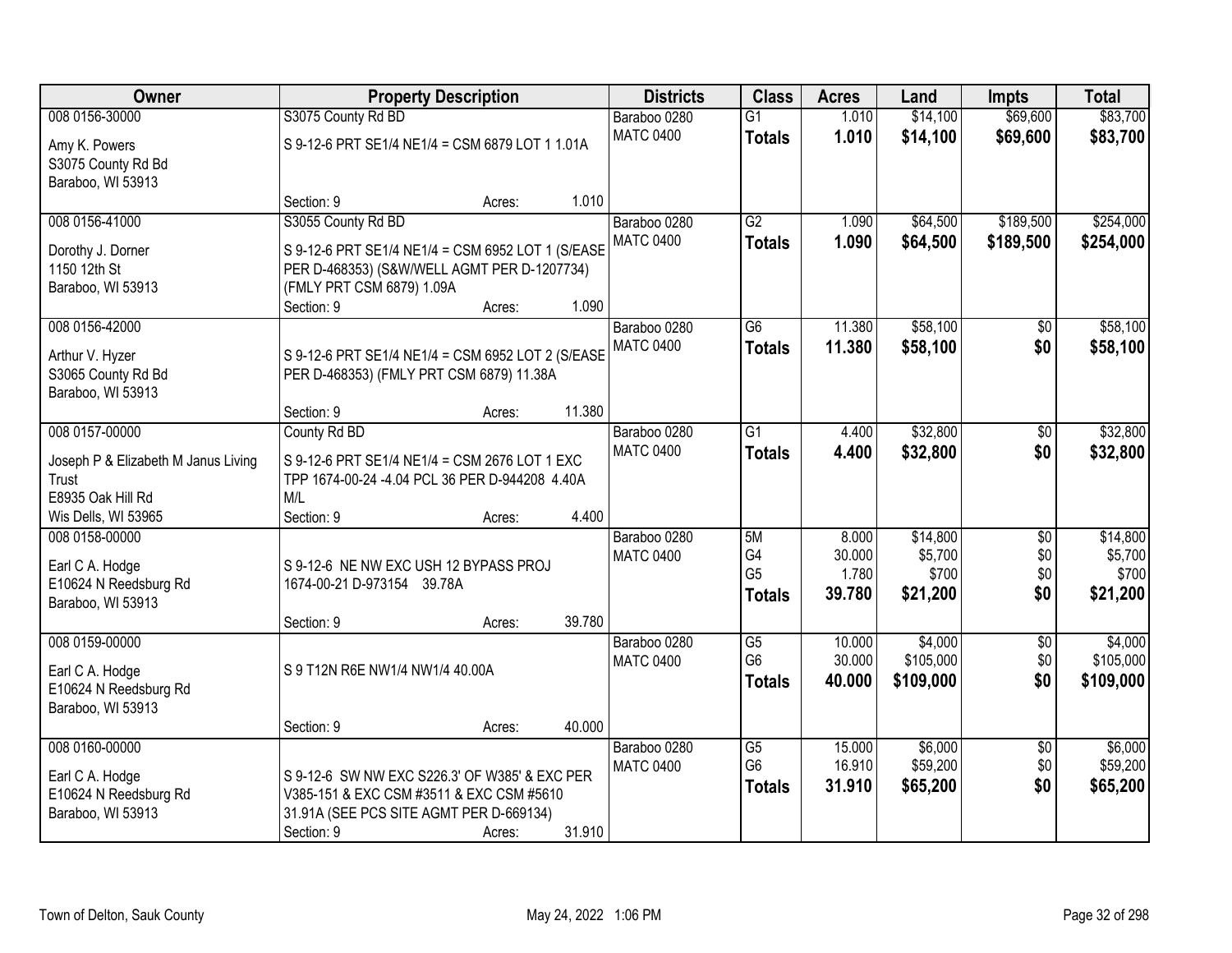| <b>Owner</b>                        |                                                   | <b>Property Description</b> |        | <b>Districts</b> | <b>Class</b>    | <b>Acres</b> | Land      | <b>Impts</b>    | <b>Total</b> |
|-------------------------------------|---------------------------------------------------|-----------------------------|--------|------------------|-----------------|--------------|-----------|-----------------|--------------|
| 008 0156-30000                      | S3075 County Rd BD                                |                             |        | Baraboo 0280     | $\overline{G1}$ | 1.010        | \$14,100  | \$69,600        | \$83,700     |
| Amy K. Powers                       | S 9-12-6 PRT SE1/4 NE1/4 = CSM 6879 LOT 1 1.01A   |                             |        | <b>MATC 0400</b> | <b>Totals</b>   | 1.010        | \$14,100  | \$69,600        | \$83,700     |
| S3075 County Rd Bd                  |                                                   |                             |        |                  |                 |              |           |                 |              |
| Baraboo, WI 53913                   |                                                   |                             |        |                  |                 |              |           |                 |              |
|                                     | Section: 9                                        | Acres:                      | 1.010  |                  |                 |              |           |                 |              |
| 008 0156-41000                      | S3055 County Rd BD                                |                             |        | Baraboo 0280     | $\overline{G2}$ | 1.090        | \$64,500  | \$189,500       | \$254,000    |
| Dorothy J. Dorner                   | S 9-12-6 PRT SE1/4 NE1/4 = CSM 6952 LOT 1 (S/EASE |                             |        | <b>MATC 0400</b> | <b>Totals</b>   | 1.090        | \$64,500  | \$189,500       | \$254,000    |
| 1150 12th St                        | PER D-468353) (S&W/WELL AGMT PER D-1207734)       |                             |        |                  |                 |              |           |                 |              |
| Baraboo, WI 53913                   | (FMLY PRT CSM 6879) 1.09A                         |                             |        |                  |                 |              |           |                 |              |
|                                     | Section: 9                                        | Acres:                      | 1.090  |                  |                 |              |           |                 |              |
| 008 0156-42000                      |                                                   |                             |        | Baraboo 0280     | G6              | 11.380       | \$58,100  | \$0             | \$58,100     |
| Arthur V. Hyzer                     | S 9-12-6 PRT SE1/4 NE1/4 = CSM 6952 LOT 2 (S/EASE |                             |        | <b>MATC 0400</b> | <b>Totals</b>   | 11.380       | \$58,100  | \$0             | \$58,100     |
| S3065 County Rd Bd                  | PER D-468353) (FMLY PRT CSM 6879) 11.38A          |                             |        |                  |                 |              |           |                 |              |
| Baraboo, WI 53913                   |                                                   |                             |        |                  |                 |              |           |                 |              |
|                                     | Section: 9                                        | Acres:                      | 11.380 |                  |                 |              |           |                 |              |
| 008 0157-00000                      | County Rd BD                                      |                             |        | Baraboo 0280     | $\overline{G1}$ | 4.400        | \$32,800  | \$0             | \$32,800     |
| Joseph P & Elizabeth M Janus Living | S 9-12-6 PRT SE1/4 NE1/4 = CSM 2676 LOT 1 EXC     |                             |        | <b>MATC 0400</b> | <b>Totals</b>   | 4.400        | \$32,800  | \$0             | \$32,800     |
| Trust                               | TPP 1674-00-24 -4.04 PCL 36 PER D-944208 4.40A    |                             |        |                  |                 |              |           |                 |              |
| E8935 Oak Hill Rd                   | M/L                                               |                             |        |                  |                 |              |           |                 |              |
| Wis Dells, WI 53965                 | Section: 9                                        | Acres:                      | 4.400  |                  |                 |              |           |                 |              |
| 008 0158-00000                      |                                                   |                             |        | Baraboo 0280     | 5M              | 8.000        | \$14,800  | $\overline{50}$ | \$14,800     |
| Earl C A. Hodge                     | S 9-12-6 NE NW EXC USH 12 BYPASS PROJ             |                             |        | <b>MATC 0400</b> | G4              | 30.000       | \$5,700   | \$0             | \$5,700      |
| E10624 N Reedsburg Rd               | 1674-00-21 D-973154 39.78A                        |                             |        |                  | G <sub>5</sub>  | 1.780        | \$700     | \$0             | \$700        |
| Baraboo, WI 53913                   |                                                   |                             |        |                  | <b>Totals</b>   | 39.780       | \$21,200  | \$0             | \$21,200     |
|                                     | Section: 9                                        | Acres:                      | 39.780 |                  |                 |              |           |                 |              |
| 008 0159-00000                      |                                                   |                             |        | Baraboo 0280     | $\overline{G5}$ | 10.000       | \$4,000   | $\overline{50}$ | \$4,000      |
| Earl C A. Hodge                     | S 9 T12N R6E NW1/4 NW1/4 40.00A                   |                             |        | <b>MATC 0400</b> | G <sub>6</sub>  | 30.000       | \$105,000 | \$0             | \$105,000    |
| E10624 N Reedsburg Rd               |                                                   |                             |        |                  | <b>Totals</b>   | 40.000       | \$109,000 | \$0             | \$109,000    |
| Baraboo, WI 53913                   |                                                   |                             |        |                  |                 |              |           |                 |              |
|                                     | Section: 9                                        | Acres:                      | 40.000 |                  |                 |              |           |                 |              |
| 008 0160-00000                      |                                                   |                             |        | Baraboo 0280     | $\overline{G5}$ | 15.000       | \$6,000   | $\overline{50}$ | \$6,000      |
| Earl C A. Hodge                     | S 9-12-6 SW NW EXC S226.3' OF W385' & EXC PER     |                             |        | <b>MATC 0400</b> | G <sub>6</sub>  | 16.910       | \$59,200  | \$0             | \$59,200     |
| E10624 N Reedsburg Rd               | V385-151 & EXC CSM #3511 & EXC CSM #5610          |                             |        |                  | <b>Totals</b>   | 31.910       | \$65,200  | \$0             | \$65,200     |
| Baraboo, WI 53913                   | 31.91A (SEE PCS SITE AGMT PER D-669134)           |                             |        |                  |                 |              |           |                 |              |
|                                     | Section: 9                                        | Acres:                      | 31.910 |                  |                 |              |           |                 |              |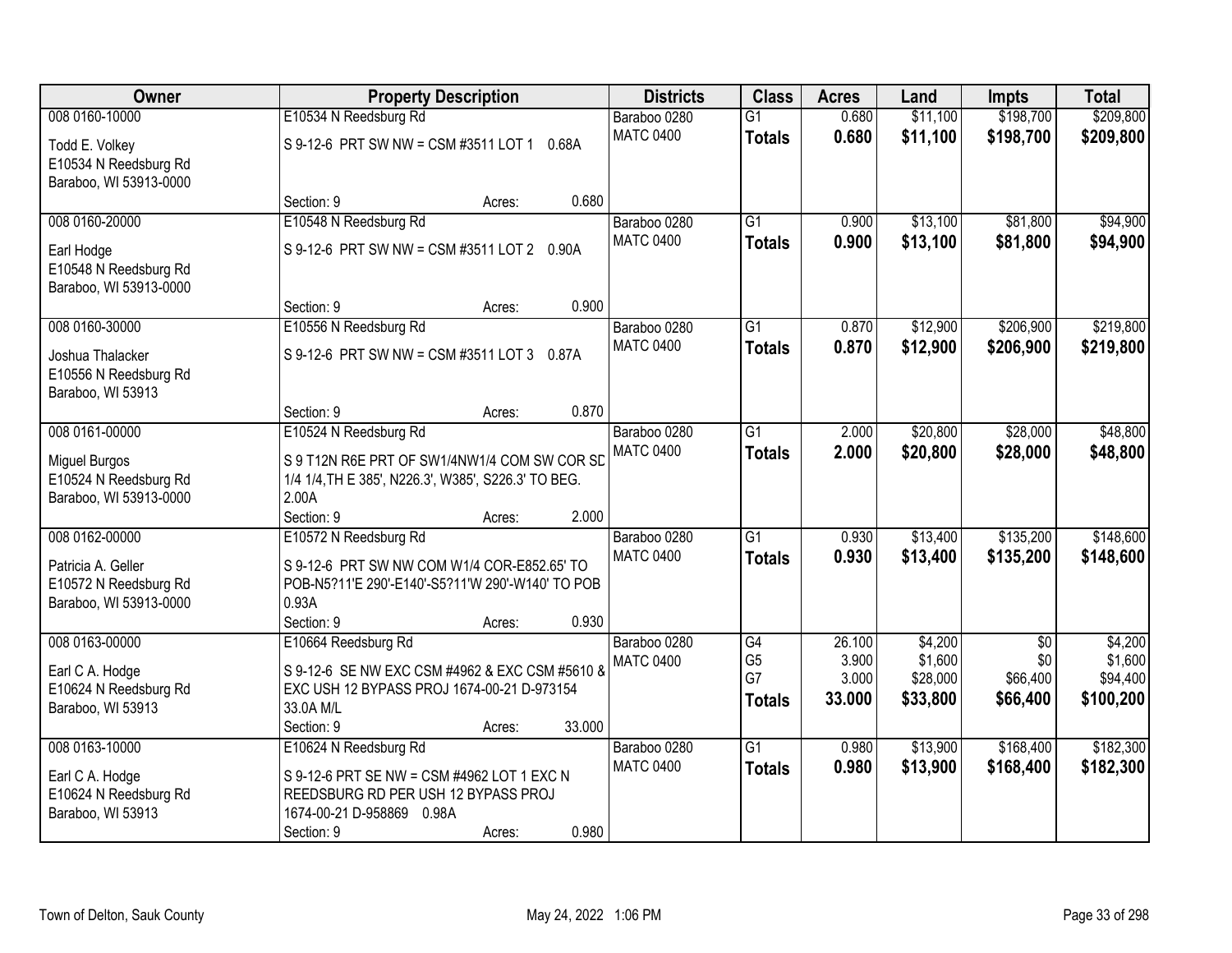| Owner                                                                   | <b>Property Description</b>                                                                                                                     | <b>Districts</b>                 | <b>Class</b>                          | <b>Acres</b>             | Land                            | <b>Impts</b>                | <b>Total</b>                     |
|-------------------------------------------------------------------------|-------------------------------------------------------------------------------------------------------------------------------------------------|----------------------------------|---------------------------------------|--------------------------|---------------------------------|-----------------------------|----------------------------------|
| 008 0160-10000                                                          | E10534 N Reedsburg Rd                                                                                                                           | Baraboo 0280                     | $\overline{G1}$                       | 0.680                    | \$11,100                        | \$198,700                   | \$209,800                        |
| Todd E. Volkey<br>E10534 N Reedsburg Rd<br>Baraboo, WI 53913-0000       | S 9-12-6 PRT SW NW = CSM #3511 LOT 1 0.68A                                                                                                      | <b>MATC 0400</b>                 | <b>Totals</b>                         | 0.680                    | \$11,100                        | \$198,700                   | \$209,800                        |
|                                                                         | 0.680<br>Section: 9<br>Acres:                                                                                                                   |                                  |                                       |                          |                                 |                             |                                  |
| 008 0160-20000                                                          | E10548 N Reedsburg Rd                                                                                                                           | Baraboo 0280                     | G1                                    | 0.900                    | \$13,100                        | \$81,800                    | \$94,900                         |
| Earl Hodge<br>E10548 N Reedsburg Rd<br>Baraboo, WI 53913-0000           | S 9-12-6 PRT SW NW = CSM #3511 LOT 2 0.90A                                                                                                      | <b>MATC 0400</b>                 | <b>Totals</b>                         | 0.900                    | \$13,100                        | \$81,800                    | \$94,900                         |
|                                                                         | 0.900<br>Section: 9<br>Acres:                                                                                                                   |                                  |                                       |                          |                                 |                             |                                  |
| 008 0160-30000                                                          | E10556 N Reedsburg Rd                                                                                                                           | Baraboo 0280                     | $\overline{G1}$                       | 0.870                    | \$12,900                        | \$206,900                   | \$219,800                        |
| Joshua Thalacker<br>E10556 N Reedsburg Rd<br>Baraboo, WI 53913          | S 9-12-6 PRT SW NW = CSM #3511 LOT 3<br>0.87A                                                                                                   | <b>MATC 0400</b>                 | <b>Totals</b>                         | 0.870                    | \$12,900                        | \$206,900                   | \$219,800                        |
|                                                                         | 0.870<br>Section: 9<br>Acres:                                                                                                                   |                                  |                                       |                          |                                 |                             |                                  |
| 008 0161-00000                                                          | E10524 N Reedsburg Rd                                                                                                                           | Baraboo 0280                     | $\overline{G1}$                       | 2.000                    | \$20,800                        | \$28,000                    | \$48,800                         |
| <b>Miguel Burgos</b><br>E10524 N Reedsburg Rd<br>Baraboo, WI 53913-0000 | S 9 T12N R6E PRT OF SW1/4NW1/4 COM SW COR SD<br>1/4 1/4, TH E 385', N226.3', W385', S226.3' TO BEG.<br>2.00A                                    | <b>MATC 0400</b>                 | <b>Totals</b>                         | 2.000                    | \$20,800                        | \$28,000                    | \$48,800                         |
| 008 0162-00000                                                          | 2.000<br>Section: 9<br>Acres:<br>E10572 N Reedsburg Rd                                                                                          |                                  | $\overline{G1}$                       | 0.930                    | \$13,400                        | \$135,200                   | \$148,600                        |
|                                                                         |                                                                                                                                                 | Baraboo 0280<br><b>MATC 0400</b> |                                       | 0.930                    | \$13,400                        | \$135,200                   | \$148,600                        |
| Patricia A. Geller<br>E10572 N Reedsburg Rd<br>Baraboo, WI 53913-0000   | S 9-12-6 PRT SW NW COM W1/4 COR-E852.65' TO<br>POB-N5?11'E 290'-E140'-S5?11'W 290'-W140' TO POB<br>0.93A<br>Section: 9<br>0.930<br>Acres:       |                                  | <b>Totals</b>                         |                          |                                 |                             |                                  |
| 008 0163-00000                                                          | E10664 Reedsburg Rd                                                                                                                             | Baraboo 0280                     | $\overline{G4}$                       | 26.100                   | \$4,200                         | $\overline{50}$             | \$4,200                          |
| Earl C A. Hodge<br>E10624 N Reedsburg Rd<br>Baraboo, WI 53913           | S 9-12-6 SE NW EXC CSM #4962 & EXC CSM #5610 &<br>EXC USH 12 BYPASS PROJ 1674-00-21 D-973154<br>33.0A M/L<br>33.000<br>Section: 9<br>Acres:     | <b>MATC 0400</b>                 | G <sub>5</sub><br>G7<br><b>Totals</b> | 3.900<br>3.000<br>33.000 | \$1,600<br>\$28,000<br>\$33,800 | \$0<br>\$66,400<br>\$66,400 | \$1,600<br>\$94,400<br>\$100,200 |
| 008 0163-10000                                                          | E10624 N Reedsburg Rd                                                                                                                           | Baraboo 0280                     | $\overline{G1}$                       | 0.980                    | \$13,900                        | \$168,400                   | \$182,300                        |
| Earl C A. Hodge<br>E10624 N Reedsburg Rd<br>Baraboo, WI 53913           | S 9-12-6 PRT SE NW = CSM #4962 LOT 1 EXC N<br>REEDSBURG RD PER USH 12 BYPASS PROJ<br>1674-00-21 D-958869 0.98A<br>0.980<br>Section: 9<br>Acres: | <b>MATC 0400</b>                 | <b>Totals</b>                         | 0.980                    | \$13,900                        | \$168,400                   | \$182,300                        |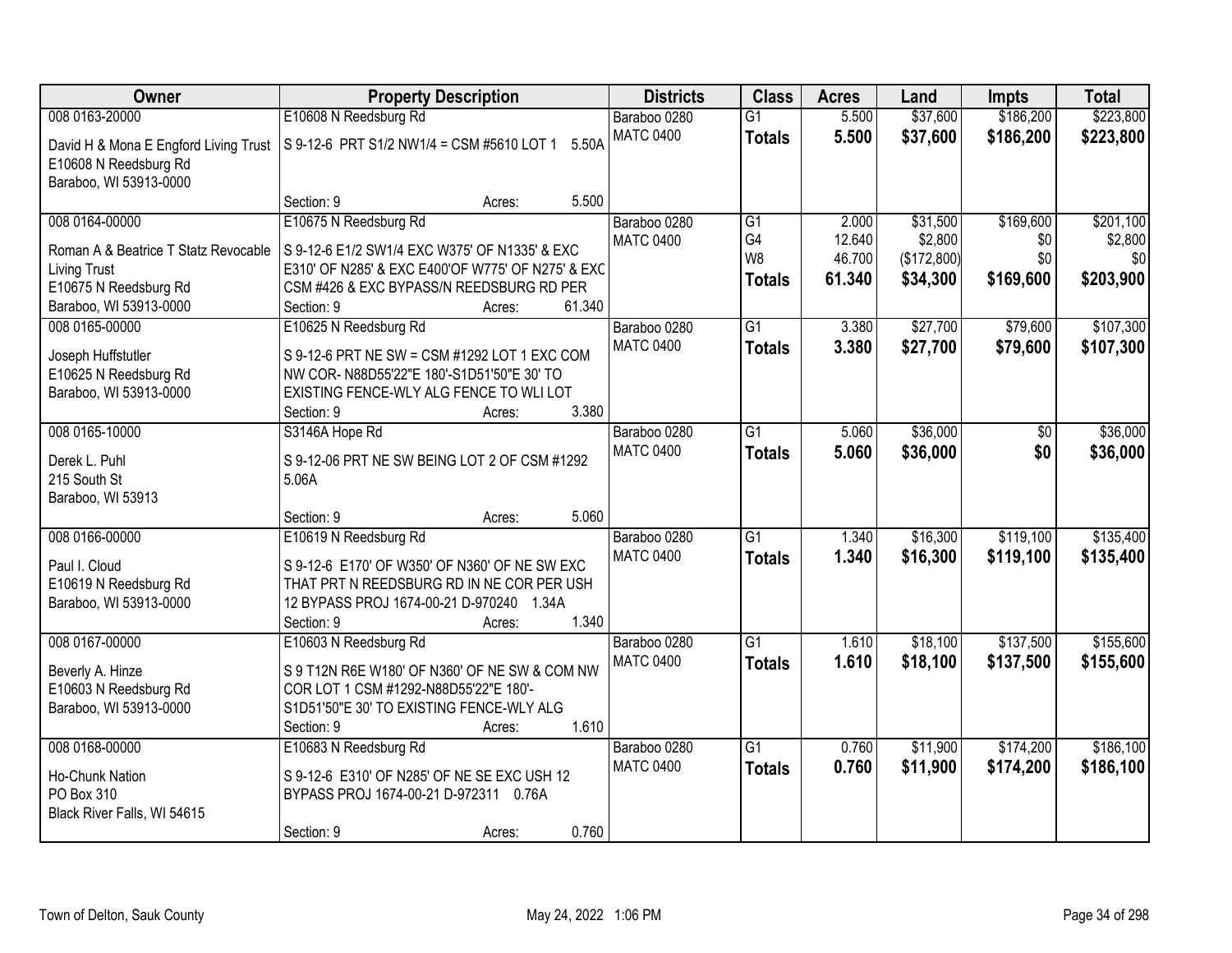| \$186,200<br>\$223,800<br>008 0163-20000<br>E10608 N Reedsburg Rd<br>\$37,600<br>Baraboo 0280<br>$\overline{G1}$<br>5.500<br><b>MATC 0400</b><br>5.500<br>\$37,600<br>\$186,200<br>\$223,800<br><b>Totals</b><br>S 9-12-6 PRT S1/2 NW1/4 = CSM #5610 LOT 1<br>5.50A<br>David H & Mona E Engford Living Trust<br>E10608 N Reedsburg Rd<br>Baraboo, WI 53913-0000<br>5.500<br>Section: 9<br>Acres:<br>E10675 N Reedsburg Rd<br>\$169,600<br>008 0164-00000<br>$\overline{G1}$<br>2.000<br>\$31,500<br>Baraboo 0280<br>G <sub>4</sub><br>12.640<br>\$2,800<br>\$0<br><b>MATC 0400</b><br>Roman A & Beatrice T Statz Revocable<br>S 9-12-6 E1/2 SW1/4 EXC W375' OF N1335' & EXC<br>W <sub>8</sub><br>\$0<br>46.700<br>(\$172,800)<br>\$0<br>E310' OF N285' & EXC E400'OF W775' OF N275' & EXC<br>Living Trust<br>\$169,600<br>\$203,900<br>61.340<br>\$34,300<br><b>Totals</b><br>E10675 N Reedsburg Rd<br>CSM #426 & EXC BYPASS/N REEDSBURG RD PER<br>61.340<br>Baraboo, WI 53913-0000<br>Section: 9<br>Acres:<br>\$27,700<br>$\overline{G1}$<br>\$79,600<br>008 0165-00000<br>E10625 N Reedsburg Rd<br>Baraboo 0280<br>3.380<br><b>MATC 0400</b><br>3.380<br>\$27,700<br>\$79,600<br><b>Totals</b><br>S 9-12-6 PRT NE SW = CSM #1292 LOT 1 EXC COM<br>Joseph Huffstutler<br>E10625 N Reedsburg Rd<br>NW COR- N88D55'22"E 180'-S1D51'50"E 30' TO<br>Baraboo, WI 53913-0000<br>EXISTING FENCE-WLY ALG FENCE TO WLI LOT<br>3.380<br>Section: 9<br>Acres:<br>008 0165-10000<br>\$36,000<br>Baraboo 0280<br>$\overline{G1}$<br>S3146A Hope Rd<br>5.060<br>\$0<br><b>MATC 0400</b><br>\$0<br>5.060<br>\$36,000<br><b>Totals</b><br>S 9-12-06 PRT NE SW BEING LOT 2 OF CSM #1292<br>Derek L. Puhl<br>5.06A<br>215 South St |
|-------------------------------------------------------------------------------------------------------------------------------------------------------------------------------------------------------------------------------------------------------------------------------------------------------------------------------------------------------------------------------------------------------------------------------------------------------------------------------------------------------------------------------------------------------------------------------------------------------------------------------------------------------------------------------------------------------------------------------------------------------------------------------------------------------------------------------------------------------------------------------------------------------------------------------------------------------------------------------------------------------------------------------------------------------------------------------------------------------------------------------------------------------------------------------------------------------------------------------------------------------------------------------------------------------------------------------------------------------------------------------------------------------------------------------------------------------------------------------------------------------------------------------------------------------------------------------------------------------------------------------------------------------------------------------------------------------------------|
|                                                                                                                                                                                                                                                                                                                                                                                                                                                                                                                                                                                                                                                                                                                                                                                                                                                                                                                                                                                                                                                                                                                                                                                                                                                                                                                                                                                                                                                                                                                                                                                                                                                                                                                   |
| \$201,100<br>\$2,800<br>\$107,300<br>\$107,300<br>\$36,000<br>\$36,000                                                                                                                                                                                                                                                                                                                                                                                                                                                                                                                                                                                                                                                                                                                                                                                                                                                                                                                                                                                                                                                                                                                                                                                                                                                                                                                                                                                                                                                                                                                                                                                                                                            |
|                                                                                                                                                                                                                                                                                                                                                                                                                                                                                                                                                                                                                                                                                                                                                                                                                                                                                                                                                                                                                                                                                                                                                                                                                                                                                                                                                                                                                                                                                                                                                                                                                                                                                                                   |
|                                                                                                                                                                                                                                                                                                                                                                                                                                                                                                                                                                                                                                                                                                                                                                                                                                                                                                                                                                                                                                                                                                                                                                                                                                                                                                                                                                                                                                                                                                                                                                                                                                                                                                                   |
|                                                                                                                                                                                                                                                                                                                                                                                                                                                                                                                                                                                                                                                                                                                                                                                                                                                                                                                                                                                                                                                                                                                                                                                                                                                                                                                                                                                                                                                                                                                                                                                                                                                                                                                   |
|                                                                                                                                                                                                                                                                                                                                                                                                                                                                                                                                                                                                                                                                                                                                                                                                                                                                                                                                                                                                                                                                                                                                                                                                                                                                                                                                                                                                                                                                                                                                                                                                                                                                                                                   |
|                                                                                                                                                                                                                                                                                                                                                                                                                                                                                                                                                                                                                                                                                                                                                                                                                                                                                                                                                                                                                                                                                                                                                                                                                                                                                                                                                                                                                                                                                                                                                                                                                                                                                                                   |
|                                                                                                                                                                                                                                                                                                                                                                                                                                                                                                                                                                                                                                                                                                                                                                                                                                                                                                                                                                                                                                                                                                                                                                                                                                                                                                                                                                                                                                                                                                                                                                                                                                                                                                                   |
|                                                                                                                                                                                                                                                                                                                                                                                                                                                                                                                                                                                                                                                                                                                                                                                                                                                                                                                                                                                                                                                                                                                                                                                                                                                                                                                                                                                                                                                                                                                                                                                                                                                                                                                   |
|                                                                                                                                                                                                                                                                                                                                                                                                                                                                                                                                                                                                                                                                                                                                                                                                                                                                                                                                                                                                                                                                                                                                                                                                                                                                                                                                                                                                                                                                                                                                                                                                                                                                                                                   |
|                                                                                                                                                                                                                                                                                                                                                                                                                                                                                                                                                                                                                                                                                                                                                                                                                                                                                                                                                                                                                                                                                                                                                                                                                                                                                                                                                                                                                                                                                                                                                                                                                                                                                                                   |
|                                                                                                                                                                                                                                                                                                                                                                                                                                                                                                                                                                                                                                                                                                                                                                                                                                                                                                                                                                                                                                                                                                                                                                                                                                                                                                                                                                                                                                                                                                                                                                                                                                                                                                                   |
|                                                                                                                                                                                                                                                                                                                                                                                                                                                                                                                                                                                                                                                                                                                                                                                                                                                                                                                                                                                                                                                                                                                                                                                                                                                                                                                                                                                                                                                                                                                                                                                                                                                                                                                   |
|                                                                                                                                                                                                                                                                                                                                                                                                                                                                                                                                                                                                                                                                                                                                                                                                                                                                                                                                                                                                                                                                                                                                                                                                                                                                                                                                                                                                                                                                                                                                                                                                                                                                                                                   |
|                                                                                                                                                                                                                                                                                                                                                                                                                                                                                                                                                                                                                                                                                                                                                                                                                                                                                                                                                                                                                                                                                                                                                                                                                                                                                                                                                                                                                                                                                                                                                                                                                                                                                                                   |
|                                                                                                                                                                                                                                                                                                                                                                                                                                                                                                                                                                                                                                                                                                                                                                                                                                                                                                                                                                                                                                                                                                                                                                                                                                                                                                                                                                                                                                                                                                                                                                                                                                                                                                                   |
|                                                                                                                                                                                                                                                                                                                                                                                                                                                                                                                                                                                                                                                                                                                                                                                                                                                                                                                                                                                                                                                                                                                                                                                                                                                                                                                                                                                                                                                                                                                                                                                                                                                                                                                   |
|                                                                                                                                                                                                                                                                                                                                                                                                                                                                                                                                                                                                                                                                                                                                                                                                                                                                                                                                                                                                                                                                                                                                                                                                                                                                                                                                                                                                                                                                                                                                                                                                                                                                                                                   |
| Baraboo, WI 53913                                                                                                                                                                                                                                                                                                                                                                                                                                                                                                                                                                                                                                                                                                                                                                                                                                                                                                                                                                                                                                                                                                                                                                                                                                                                                                                                                                                                                                                                                                                                                                                                                                                                                                 |
| 5.060<br>Section: 9<br>Acres:                                                                                                                                                                                                                                                                                                                                                                                                                                                                                                                                                                                                                                                                                                                                                                                                                                                                                                                                                                                                                                                                                                                                                                                                                                                                                                                                                                                                                                                                                                                                                                                                                                                                                     |
| 008 0166-00000<br>\$16,300<br>\$119,100<br>\$135,400<br>E10619 N Reedsburg Rd<br>G1<br>1.340<br>Baraboo 0280                                                                                                                                                                                                                                                                                                                                                                                                                                                                                                                                                                                                                                                                                                                                                                                                                                                                                                                                                                                                                                                                                                                                                                                                                                                                                                                                                                                                                                                                                                                                                                                                      |
| 1.340<br>\$16,300<br><b>MATC 0400</b><br>\$119,100<br>\$135,400<br><b>Totals</b>                                                                                                                                                                                                                                                                                                                                                                                                                                                                                                                                                                                                                                                                                                                                                                                                                                                                                                                                                                                                                                                                                                                                                                                                                                                                                                                                                                                                                                                                                                                                                                                                                                  |
| Paul I. Cloud<br>S 9-12-6 E170' OF W350' OF N360' OF NE SW EXC<br>E10619 N Reedsburg Rd<br>THAT PRT N REEDSBURG RD IN NE COR PER USH                                                                                                                                                                                                                                                                                                                                                                                                                                                                                                                                                                                                                                                                                                                                                                                                                                                                                                                                                                                                                                                                                                                                                                                                                                                                                                                                                                                                                                                                                                                                                                              |
| Baraboo, WI 53913-0000<br>12 BYPASS PROJ 1674-00-21 D-970240 1.34A                                                                                                                                                                                                                                                                                                                                                                                                                                                                                                                                                                                                                                                                                                                                                                                                                                                                                                                                                                                                                                                                                                                                                                                                                                                                                                                                                                                                                                                                                                                                                                                                                                                |
| 1.340<br>Section: 9<br>Acres:                                                                                                                                                                                                                                                                                                                                                                                                                                                                                                                                                                                                                                                                                                                                                                                                                                                                                                                                                                                                                                                                                                                                                                                                                                                                                                                                                                                                                                                                                                                                                                                                                                                                                     |
| $\overline{G1}$<br>\$18,100<br>\$137,500<br>\$155,600<br>008 0167-00000<br>E10603 N Reedsburg Rd<br>Baraboo 0280<br>1.610                                                                                                                                                                                                                                                                                                                                                                                                                                                                                                                                                                                                                                                                                                                                                                                                                                                                                                                                                                                                                                                                                                                                                                                                                                                                                                                                                                                                                                                                                                                                                                                         |
| 1.610<br>\$18,100<br><b>MATC 0400</b><br>\$137,500<br>\$155,600<br><b>Totals</b>                                                                                                                                                                                                                                                                                                                                                                                                                                                                                                                                                                                                                                                                                                                                                                                                                                                                                                                                                                                                                                                                                                                                                                                                                                                                                                                                                                                                                                                                                                                                                                                                                                  |
| Beverly A. Hinze<br>S 9 T12N R6E W180' OF N360' OF NE SW & COM NW<br>E10603 N Reedsburg Rd<br>COR LOT 1 CSM #1292-N88D55'22"E 180'-                                                                                                                                                                                                                                                                                                                                                                                                                                                                                                                                                                                                                                                                                                                                                                                                                                                                                                                                                                                                                                                                                                                                                                                                                                                                                                                                                                                                                                                                                                                                                                               |
| Baraboo, WI 53913-0000<br>S1D51'50"E 30' TO EXISTING FENCE-WLY ALG                                                                                                                                                                                                                                                                                                                                                                                                                                                                                                                                                                                                                                                                                                                                                                                                                                                                                                                                                                                                                                                                                                                                                                                                                                                                                                                                                                                                                                                                                                                                                                                                                                                |
| 1.610<br>Section: 9<br>Acres:                                                                                                                                                                                                                                                                                                                                                                                                                                                                                                                                                                                                                                                                                                                                                                                                                                                                                                                                                                                                                                                                                                                                                                                                                                                                                                                                                                                                                                                                                                                                                                                                                                                                                     |
| 008 0168-00000<br>$\overline{G1}$<br>\$174,200<br>\$186,100<br>E10683 N Reedsburg Rd<br>0.760<br>\$11,900<br>Baraboo 0280                                                                                                                                                                                                                                                                                                                                                                                                                                                                                                                                                                                                                                                                                                                                                                                                                                                                                                                                                                                                                                                                                                                                                                                                                                                                                                                                                                                                                                                                                                                                                                                         |
| <b>MATC 0400</b><br>0.760<br>\$11,900<br>\$174,200<br>\$186,100<br><b>Totals</b>                                                                                                                                                                                                                                                                                                                                                                                                                                                                                                                                                                                                                                                                                                                                                                                                                                                                                                                                                                                                                                                                                                                                                                                                                                                                                                                                                                                                                                                                                                                                                                                                                                  |
| S 9-12-6 E310' OF N285' OF NE SE EXC USH 12<br>Ho-Chunk Nation                                                                                                                                                                                                                                                                                                                                                                                                                                                                                                                                                                                                                                                                                                                                                                                                                                                                                                                                                                                                                                                                                                                                                                                                                                                                                                                                                                                                                                                                                                                                                                                                                                                    |
| PO Box 310<br>BYPASS PROJ 1674-00-21 D-972311 0.76A<br>Black River Falls, WI 54615                                                                                                                                                                                                                                                                                                                                                                                                                                                                                                                                                                                                                                                                                                                                                                                                                                                                                                                                                                                                                                                                                                                                                                                                                                                                                                                                                                                                                                                                                                                                                                                                                                |
| 0.760<br>Section: 9<br>Acres:                                                                                                                                                                                                                                                                                                                                                                                                                                                                                                                                                                                                                                                                                                                                                                                                                                                                                                                                                                                                                                                                                                                                                                                                                                                                                                                                                                                                                                                                                                                                                                                                                                                                                     |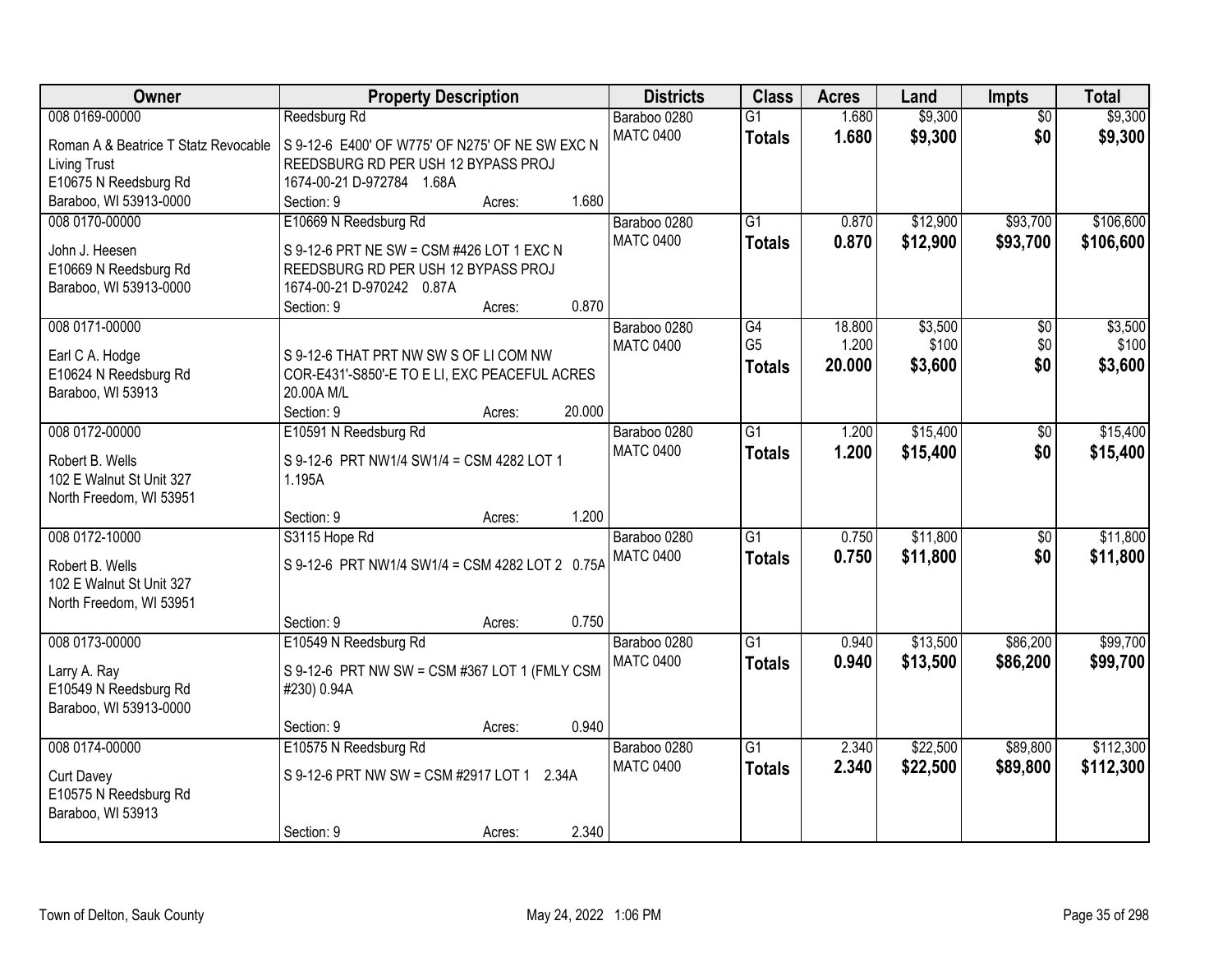| Owner                                           | <b>Property Description</b>                                      | <b>Districts</b> | <b>Class</b>    | <b>Acres</b> | Land     | Impts           | <b>Total</b> |
|-------------------------------------------------|------------------------------------------------------------------|------------------|-----------------|--------------|----------|-----------------|--------------|
| 008 0169-00000                                  | Reedsburg Rd                                                     | Baraboo 0280     | $\overline{G1}$ | 1.680        | \$9,300  | $\overline{50}$ | \$9,300      |
| Roman A & Beatrice T Statz Revocable            | S 9-12-6 E400' OF W775' OF N275' OF NE SW EXC N                  | <b>MATC 0400</b> | <b>Totals</b>   | 1.680        | \$9,300  | \$0             | \$9,300      |
| <b>Living Trust</b>                             | REEDSBURG RD PER USH 12 BYPASS PROJ                              |                  |                 |              |          |                 |              |
| E10675 N Reedsburg Rd                           | 1674-00-21 D-972784 1.68A                                        |                  |                 |              |          |                 |              |
| Baraboo, WI 53913-0000                          | 1.680<br>Section: 9<br>Acres:                                    |                  |                 |              |          |                 |              |
| 008 0170-00000                                  | E10669 N Reedsburg Rd                                            | Baraboo 0280     | $\overline{G1}$ | 0.870        | \$12,900 | \$93,700        | \$106,600    |
|                                                 |                                                                  | <b>MATC 0400</b> | <b>Totals</b>   | 0.870        | \$12,900 | \$93,700        | \$106,600    |
| John J. Heesen                                  | S 9-12-6 PRT NE SW = CSM #426 LOT 1 EXC N                        |                  |                 |              |          |                 |              |
| E10669 N Reedsburg Rd<br>Baraboo, WI 53913-0000 | REEDSBURG RD PER USH 12 BYPASS PROJ<br>1674-00-21 D-970242 0.87A |                  |                 |              |          |                 |              |
|                                                 | 0.870<br>Section: 9<br>Acres:                                    |                  |                 |              |          |                 |              |
| 008 0171-00000                                  |                                                                  | Baraboo 0280     | G4              | 18.800       | \$3,500  | \$0             | \$3,500      |
|                                                 |                                                                  | <b>MATC 0400</b> | G <sub>5</sub>  | 1.200        | \$100    | \$0             | \$100        |
| Earl C A. Hodge                                 | S 9-12-6 THAT PRT NW SW S OF LI COM NW                           |                  | <b>Totals</b>   | 20.000       | \$3,600  | \$0             | \$3,600      |
| E10624 N Reedsburg Rd                           | COR-E431'-S850'-E TO E LI, EXC PEACEFUL ACRES                    |                  |                 |              |          |                 |              |
| Baraboo, WI 53913                               | 20.00A M/L                                                       |                  |                 |              |          |                 |              |
|                                                 | 20.000<br>Section: 9<br>Acres:                                   |                  |                 |              |          |                 |              |
| 008 0172-00000                                  | E10591 N Reedsburg Rd                                            | Baraboo 0280     | $\overline{G1}$ | 1.200        | \$15,400 | \$0             | \$15,400     |
| Robert B. Wells                                 | S 9-12-6 PRT NW1/4 SW1/4 = CSM 4282 LOT 1                        | <b>MATC 0400</b> | <b>Totals</b>   | 1.200        | \$15,400 | \$0             | \$15,400     |
| 102 E Walnut St Unit 327                        | 1.195A                                                           |                  |                 |              |          |                 |              |
| North Freedom, WI 53951                         |                                                                  |                  |                 |              |          |                 |              |
|                                                 | 1.200<br>Section: 9<br>Acres:                                    |                  |                 |              |          |                 |              |
| 008 0172-10000                                  | S3115 Hope Rd                                                    | Baraboo 0280     | $\overline{G1}$ | 0.750        | \$11,800 | $\overline{50}$ | \$11,800     |
|                                                 |                                                                  | <b>MATC 0400</b> | <b>Totals</b>   | 0.750        | \$11,800 | \$0             | \$11,800     |
| Robert B. Wells                                 | S 9-12-6 PRT NW1/4 SW1/4 = CSM 4282 LOT 2 0.75A                  |                  |                 |              |          |                 |              |
| 102 E Walnut St Unit 327                        |                                                                  |                  |                 |              |          |                 |              |
| North Freedom, WI 53951                         | 0.750<br>Section: 9                                              |                  |                 |              |          |                 |              |
| 008 0173-00000                                  | Acres:<br>E10549 N Reedsburg Rd                                  | Baraboo 0280     | $\overline{G1}$ | 0.940        | \$13,500 | \$86,200        | \$99,700     |
|                                                 |                                                                  | <b>MATC 0400</b> |                 | 0.940        |          |                 |              |
| Larry A. Ray                                    | S 9-12-6 PRT NW SW = CSM #367 LOT 1 (FMLY CSM                    |                  | <b>Totals</b>   |              | \$13,500 | \$86,200        | \$99,700     |
| E10549 N Reedsburg Rd                           | #230) 0.94A                                                      |                  |                 |              |          |                 |              |
| Baraboo, WI 53913-0000                          |                                                                  |                  |                 |              |          |                 |              |
|                                                 | 0.940<br>Section: 9<br>Acres:                                    |                  |                 |              |          |                 |              |
| 008 0174-00000                                  | E10575 N Reedsburg Rd                                            | Baraboo 0280     | $\overline{G1}$ | 2.340        | \$22,500 | \$89,800        | \$112,300    |
| <b>Curt Davey</b>                               | S 9-12-6 PRT NW SW = CSM #2917 LOT 1 2.34A                       | <b>MATC 0400</b> | <b>Totals</b>   | 2.340        | \$22,500 | \$89,800        | \$112,300    |
| E10575 N Reedsburg Rd                           |                                                                  |                  |                 |              |          |                 |              |
| Baraboo, WI 53913                               |                                                                  |                  |                 |              |          |                 |              |
|                                                 | 2.340<br>Section: 9<br>Acres:                                    |                  |                 |              |          |                 |              |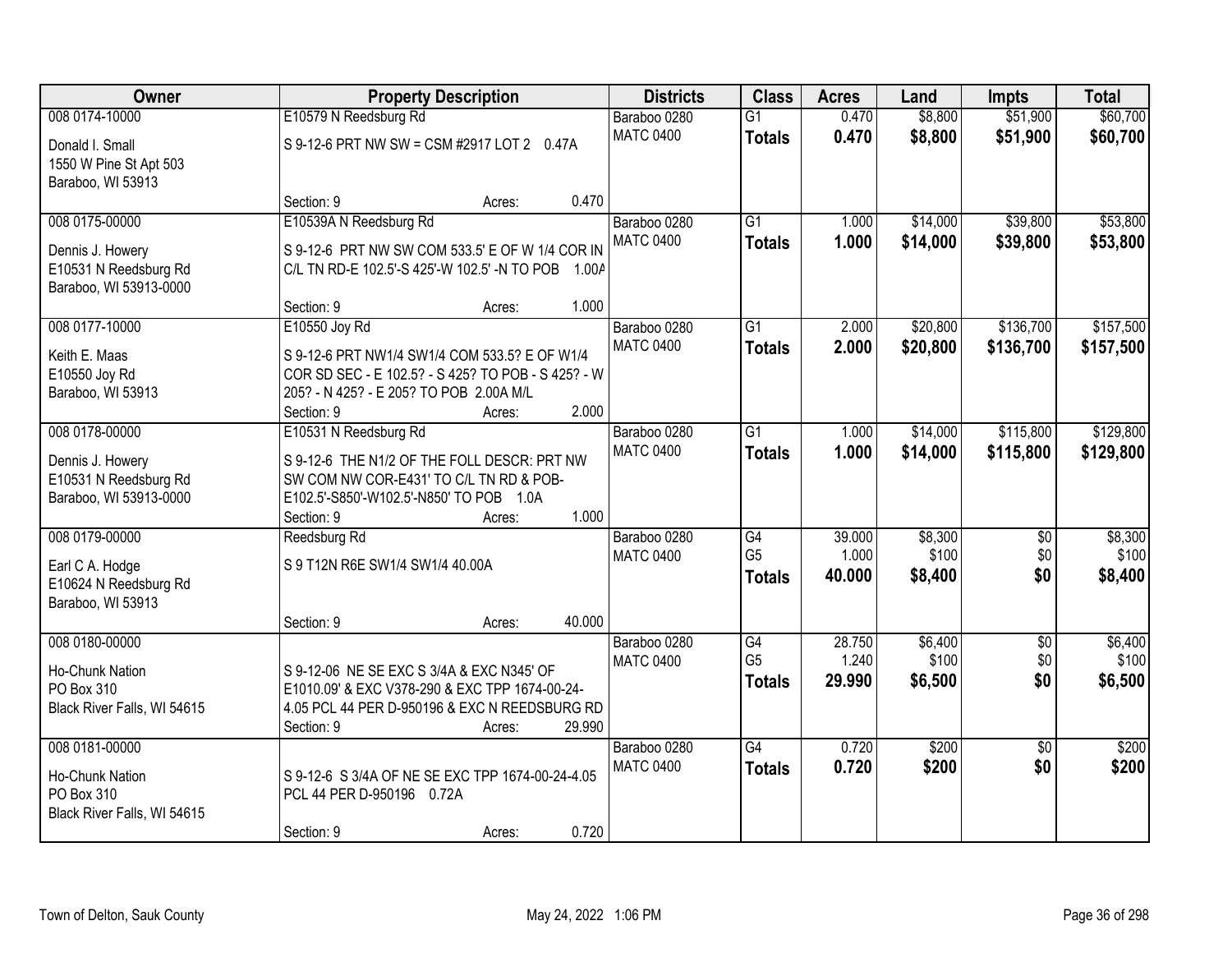| Owner                       |                                                    | <b>Property Description</b> |        | <b>Districts</b> | <b>Class</b>    | <b>Acres</b> | Land     | <b>Impts</b>    | <b>Total</b> |
|-----------------------------|----------------------------------------------------|-----------------------------|--------|------------------|-----------------|--------------|----------|-----------------|--------------|
| 008 0174-10000              | E10579 N Reedsburg Rd                              |                             |        | Baraboo 0280     | $\overline{G1}$ | 0.470        | \$8,800  | \$51,900        | \$60,700     |
| Donald I. Small             | S 9-12-6 PRT NW SW = CSM #2917 LOT 2 0.47A         |                             |        | <b>MATC 0400</b> | <b>Totals</b>   | 0.470        | \$8,800  | \$51,900        | \$60,700     |
| 1550 W Pine St Apt 503      |                                                    |                             |        |                  |                 |              |          |                 |              |
| Baraboo, WI 53913           |                                                    |                             |        |                  |                 |              |          |                 |              |
|                             | Section: 9                                         | Acres:                      | 0.470  |                  |                 |              |          |                 |              |
| 008 0175-00000              | E10539A N Reedsburg Rd                             |                             |        | Baraboo 0280     | $\overline{G1}$ | 1.000        | \$14,000 | \$39,800        | \$53,800     |
| Dennis J. Howery            | S 9-12-6 PRT NW SW COM 533.5' E OF W 1/4 COR IN    |                             |        | <b>MATC 0400</b> | <b>Totals</b>   | 1.000        | \$14,000 | \$39,800        | \$53,800     |
| E10531 N Reedsburg Rd       | C/L TN RD-E 102.5'-S 425'-W 102.5' -N TO POB 1.00A |                             |        |                  |                 |              |          |                 |              |
| Baraboo, WI 53913-0000      |                                                    |                             |        |                  |                 |              |          |                 |              |
|                             | Section: 9                                         | Acres:                      | 1.000  |                  |                 |              |          |                 |              |
| 008 0177-10000              | E10550 Joy Rd                                      |                             |        | Baraboo 0280     | $\overline{G1}$ | 2.000        | \$20,800 | \$136,700       | \$157,500    |
| Keith E. Maas               | S 9-12-6 PRT NW1/4 SW1/4 COM 533.5? E OF W1/4      |                             |        | <b>MATC 0400</b> | <b>Totals</b>   | 2.000        | \$20,800 | \$136,700       | \$157,500    |
| E10550 Joy Rd               | COR SD SEC - E 102.5? - S 425? TO POB - S 425? - W |                             |        |                  |                 |              |          |                 |              |
| Baraboo, WI 53913           | 205? - N 425? - E 205? TO POB 2.00A M/L            |                             |        |                  |                 |              |          |                 |              |
|                             | Section: 9                                         | Acres:                      | 2.000  |                  |                 |              |          |                 |              |
| 008 0178-00000              | E10531 N Reedsburg Rd                              |                             |        | Baraboo 0280     | G1              | 1.000        | \$14,000 | \$115,800       | \$129,800    |
| Dennis J. Howery            | S 9-12-6 THE N1/2 OF THE FOLL DESCR: PRT NW        |                             |        | <b>MATC 0400</b> | <b>Totals</b>   | 1.000        | \$14,000 | \$115,800       | \$129,800    |
| E10531 N Reedsburg Rd       | SW COM NW COR-E431' TO C/L TN RD & POB-            |                             |        |                  |                 |              |          |                 |              |
| Baraboo, WI 53913-0000      | E102.5'-S850'-W102.5'-N850' TO POB 1.0A            |                             |        |                  |                 |              |          |                 |              |
|                             | Section: 9                                         | Acres:                      | 1.000  |                  |                 |              |          |                 |              |
| 008 0179-00000              | Reedsburg Rd                                       |                             |        | Baraboo 0280     | $\overline{G4}$ | 39.000       | \$8,300  | $\overline{30}$ | \$8,300      |
| Earl C A. Hodge             | S 9 T12N R6E SW1/4 SW1/4 40.00A                    |                             |        | <b>MATC 0400</b> | G <sub>5</sub>  | 1.000        | \$100    | \$0             | \$100        |
| E10624 N Reedsburg Rd       |                                                    |                             |        |                  | <b>Totals</b>   | 40.000       | \$8,400  | \$0             | \$8,400      |
| Baraboo, WI 53913           |                                                    |                             |        |                  |                 |              |          |                 |              |
|                             | Section: 9                                         | Acres:                      | 40.000 |                  |                 |              |          |                 |              |
| 008 0180-00000              |                                                    |                             |        | Baraboo 0280     | G4              | 28.750       | \$6,400  | $\sqrt{6}$      | \$6,400      |
| Ho-Chunk Nation             | S 9-12-06 NE SE EXC S 3/4A & EXC N345' OF          |                             |        | <b>MATC 0400</b> | G <sub>5</sub>  | 1.240        | \$100    | \$0             | \$100        |
| PO Box 310                  | E1010.09' & EXC V378-290 & EXC TPP 1674-00-24-     |                             |        |                  | <b>Totals</b>   | 29,990       | \$6,500  | \$0             | \$6,500      |
| Black River Falls, WI 54615 | 4.05 PCL 44 PER D-950196 & EXC N REEDSBURG RD      |                             |        |                  |                 |              |          |                 |              |
|                             | Section: 9                                         | Acres:                      | 29.990 |                  |                 |              |          |                 |              |
| 008 0181-00000              |                                                    |                             |        | Baraboo 0280     | $\overline{G4}$ | 0.720        | \$200    | $\overline{50}$ | \$200        |
| Ho-Chunk Nation             | S 9-12-6 S 3/4A OF NE SE EXC TPP 1674-00-24-4.05   |                             |        | <b>MATC 0400</b> | <b>Totals</b>   | 0.720        | \$200    | \$0             | \$200        |
| PO Box 310                  | PCL 44 PER D-950196 0.72A                          |                             |        |                  |                 |              |          |                 |              |
| Black River Falls, WI 54615 |                                                    |                             |        |                  |                 |              |          |                 |              |
|                             | Section: 9                                         | Acres:                      | 0.720  |                  |                 |              |          |                 |              |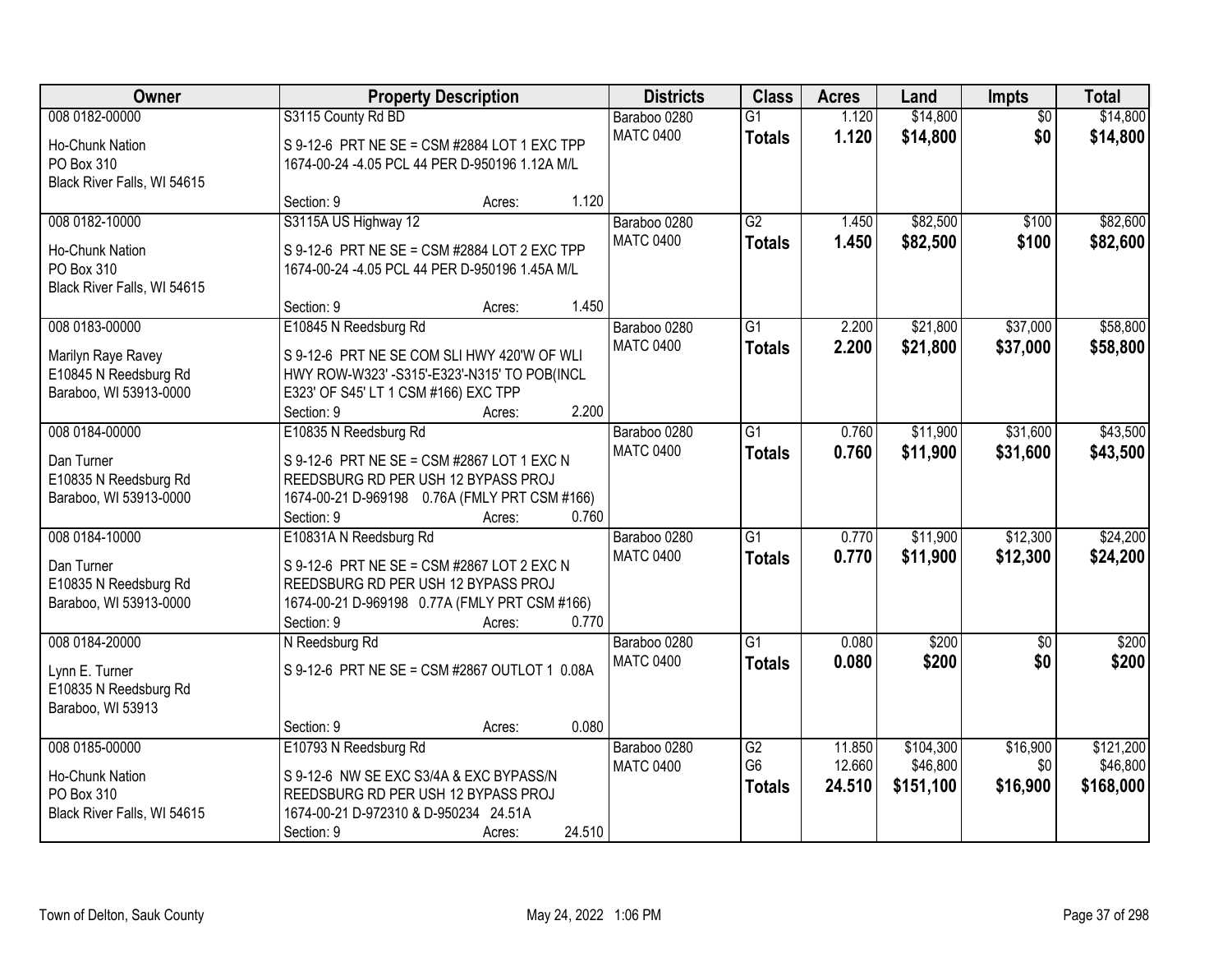| Owner                       |                                                | <b>Property Description</b> |        | <b>Districts</b> | <b>Class</b>    | <b>Acres</b> | Land      | <b>Impts</b>    | <b>Total</b> |
|-----------------------------|------------------------------------------------|-----------------------------|--------|------------------|-----------------|--------------|-----------|-----------------|--------------|
| 008 0182-00000              | S3115 County Rd BD                             |                             |        | Baraboo 0280     | $\overline{G1}$ | 1.120        | \$14,800  | $\overline{50}$ | \$14,800     |
| Ho-Chunk Nation             | S 9-12-6 PRT NE SE = CSM #2884 LOT 1 EXC TPP   |                             |        | <b>MATC 0400</b> | <b>Totals</b>   | 1.120        | \$14,800  | \$0             | \$14,800     |
| PO Box 310                  | 1674-00-24 -4.05 PCL 44 PER D-950196 1.12A M/L |                             |        |                  |                 |              |           |                 |              |
| Black River Falls, WI 54615 |                                                |                             |        |                  |                 |              |           |                 |              |
|                             | Section: 9                                     | Acres:                      | 1.120  |                  |                 |              |           |                 |              |
| 008 0182-10000              | S3115A US Highway 12                           |                             |        | Baraboo 0280     | G2              | 1.450        | \$82,500  | \$100           | \$82,600     |
| <b>Ho-Chunk Nation</b>      | S 9-12-6 PRT NE SE = CSM #2884 LOT 2 EXC TPP   |                             |        | <b>MATC 0400</b> | <b>Totals</b>   | 1.450        | \$82,500  | \$100           | \$82,600     |
| PO Box 310                  | 1674-00-24 -4.05 PCL 44 PER D-950196 1.45A M/L |                             |        |                  |                 |              |           |                 |              |
| Black River Falls, WI 54615 |                                                |                             |        |                  |                 |              |           |                 |              |
|                             | Section: 9                                     | Acres:                      | 1.450  |                  |                 |              |           |                 |              |
| 008 0183-00000              | E10845 N Reedsburg Rd                          |                             |        | Baraboo 0280     | G1              | 2.200        | \$21,800  | \$37,000        | \$58,800     |
| Marilyn Raye Ravey          | S 9-12-6 PRT NE SE COM SLI HWY 420'W OF WLI    |                             |        | <b>MATC 0400</b> | <b>Totals</b>   | 2.200        | \$21,800  | \$37,000        | \$58,800     |
| E10845 N Reedsburg Rd       | HWY ROW-W323' - S315'-E323'-N315' TO POB(INCL  |                             |        |                  |                 |              |           |                 |              |
| Baraboo, WI 53913-0000      | E323' OF S45' LT 1 CSM #166) EXC TPP           |                             |        |                  |                 |              |           |                 |              |
|                             | Section: 9                                     | Acres:                      | 2.200  |                  |                 |              |           |                 |              |
| 008 0184-00000              | E10835 N Reedsburg Rd                          |                             |        | Baraboo 0280     | G1              | 0.760        | \$11,900  | \$31,600        | \$43,500     |
| Dan Turner                  | S 9-12-6 PRT NE SE = CSM #2867 LOT 1 EXC N     |                             |        | <b>MATC 0400</b> | <b>Totals</b>   | 0.760        | \$11,900  | \$31,600        | \$43,500     |
| E10835 N Reedsburg Rd       | REEDSBURG RD PER USH 12 BYPASS PROJ            |                             |        |                  |                 |              |           |                 |              |
| Baraboo, WI 53913-0000      | 1674-00-21 D-969198 0.76A (FMLY PRT CSM #166)  |                             |        |                  |                 |              |           |                 |              |
|                             | Section: 9                                     | Acres:                      | 0.760  |                  |                 |              |           |                 |              |
| 008 0184-10000              | E10831A N Reedsburg Rd                         |                             |        | Baraboo 0280     | $\overline{G1}$ | 0.770        | \$11,900  | \$12,300        | \$24,200     |
| Dan Turner                  | S 9-12-6 PRT NE SE = CSM #2867 LOT 2 EXC N     |                             |        | <b>MATC 0400</b> | <b>Totals</b>   | 0.770        | \$11,900  | \$12,300        | \$24,200     |
| E10835 N Reedsburg Rd       | REEDSBURG RD PER USH 12 BYPASS PROJ            |                             |        |                  |                 |              |           |                 |              |
| Baraboo, WI 53913-0000      | 1674-00-21 D-969198 0.77A (FMLY PRT CSM #166)  |                             |        |                  |                 |              |           |                 |              |
|                             | Section: 9                                     | Acres:                      | 0.770  |                  |                 |              |           |                 |              |
| 008 0184-20000              | N Reedsburg Rd                                 |                             |        | Baraboo 0280     | $\overline{G1}$ | 0.080        | \$200     | $\overline{50}$ | \$200        |
| Lynn E. Turner              | S 9-12-6 PRT NE SE = CSM #2867 OUTLOT 1 0.08A  |                             |        | <b>MATC 0400</b> | <b>Totals</b>   | 0.080        | \$200     | \$0             | \$200        |
| E10835 N Reedsburg Rd       |                                                |                             |        |                  |                 |              |           |                 |              |
| Baraboo, WI 53913           |                                                |                             |        |                  |                 |              |           |                 |              |
|                             | Section: 9                                     | Acres:                      | 0.080  |                  |                 |              |           |                 |              |
| 008 0185-00000              | E10793 N Reedsburg Rd                          |                             |        | Baraboo 0280     | $\overline{G2}$ | 11.850       | \$104,300 | \$16,900        | \$121,200    |
| Ho-Chunk Nation             | S 9-12-6 NW SE EXC S3/4A & EXC BYPASS/N        |                             |        | <b>MATC 0400</b> | G <sub>6</sub>  | 12.660       | \$46,800  | \$0             | \$46,800     |
| PO Box 310                  | REEDSBURG RD PER USH 12 BYPASS PROJ            |                             |        |                  | <b>Totals</b>   | 24.510       | \$151,100 | \$16,900        | \$168,000    |
| Black River Falls, WI 54615 | 1674-00-21 D-972310 & D-950234 24.51A          |                             |        |                  |                 |              |           |                 |              |
|                             | Section: 9                                     | Acres:                      | 24.510 |                  |                 |              |           |                 |              |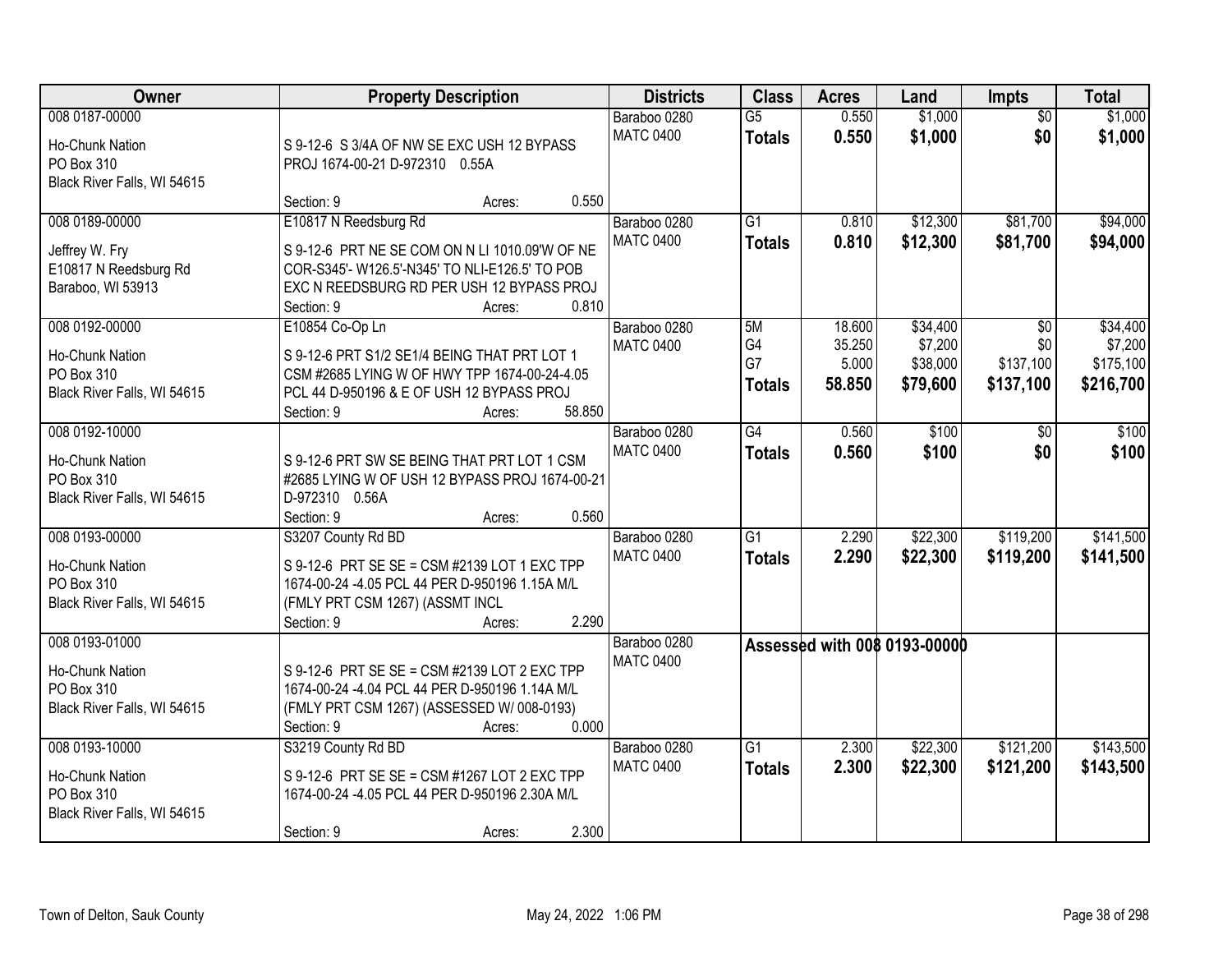| Owner                                                                                 | <b>Property Description</b>                                                                                                                                                                             | <b>Districts</b>                 | <b>Class</b>                     | <b>Acres</b>                        | Land                                        | <b>Impts</b>                         | <b>Total</b>                                  |
|---------------------------------------------------------------------------------------|---------------------------------------------------------------------------------------------------------------------------------------------------------------------------------------------------------|----------------------------------|----------------------------------|-------------------------------------|---------------------------------------------|--------------------------------------|-----------------------------------------------|
| 008 0187-00000<br>Ho-Chunk Nation<br>PO Box 310<br>Black River Falls, WI 54615        | S 9-12-6 S 3/4A OF NW SE EXC USH 12 BYPASS<br>PROJ 1674-00-21 D-972310 0.55A                                                                                                                            | Baraboo 0280<br><b>MATC 0400</b> | $\overline{G5}$<br><b>Totals</b> | 0.550<br>0.550                      | \$1,000<br>\$1,000                          | $\overline{30}$<br>\$0               | \$1,000<br>\$1,000                            |
|                                                                                       | 0.550<br>Section: 9<br>Acres:                                                                                                                                                                           |                                  |                                  |                                     |                                             |                                      |                                               |
| 008 0189-00000<br>Jeffrey W. Fry<br>E10817 N Reedsburg Rd<br>Baraboo, WI 53913        | E10817 N Reedsburg Rd<br>S 9-12-6 PRT NE SE COM ON N LI 1010.09'W OF NE<br>COR-S345'- W126.5'-N345' TO NLI-E126.5' TO POB<br>EXC N REEDSBURG RD PER USH 12 BYPASS PROJ<br>0.810<br>Section: 9<br>Acres: | Baraboo 0280<br><b>MATC 0400</b> | $\overline{G1}$<br><b>Totals</b> | 0.810<br>0.810                      | \$12,300<br>\$12,300                        | \$81,700<br>\$81,700                 | \$94,000<br>\$94,000                          |
| 008 0192-00000<br>Ho-Chunk Nation<br>PO Box 310<br>Black River Falls, WI 54615        | E10854 Co-Op Ln<br>S 9-12-6 PRT S1/2 SE1/4 BEING THAT PRT LOT 1<br>CSM #2685 LYING W OF HWY TPP 1674-00-24-4.05<br>PCL 44 D-950196 & E OF USH 12 BYPASS PROJ<br>58.850<br>Section: 9<br>Acres:          | Baraboo 0280<br><b>MATC 0400</b> | 5M<br>G4<br>G7<br><b>Totals</b>  | 18.600<br>35.250<br>5.000<br>58.850 | \$34,400<br>\$7,200<br>\$38,000<br>\$79,600 | \$0<br>\$0<br>\$137,100<br>\$137,100 | \$34,400<br>\$7,200<br>\$175,100<br>\$216,700 |
| 008 0192-10000<br>Ho-Chunk Nation<br>PO Box 310<br>Black River Falls, WI 54615        | S 9-12-6 PRT SW SE BEING THAT PRT LOT 1 CSM<br>#2685 LYING W OF USH 12 BYPASS PROJ 1674-00-21<br>D-972310 0.56A<br>0.560<br>Section: 9<br>Acres:                                                        | Baraboo 0280<br><b>MATC 0400</b> | $\overline{G4}$<br><b>Totals</b> | 0.560<br>0.560                      | \$100<br>\$100                              | \$0<br>\$0                           | \$100<br>\$100                                |
| 008 0193-00000<br><b>Ho-Chunk Nation</b><br>PO Box 310<br>Black River Falls, WI 54615 | S3207 County Rd BD<br>S 9-12-6 PRT SE SE = CSM #2139 LOT 1 EXC TPP<br>1674-00-24 -4.05 PCL 44 PER D-950196 1.15A M/L<br>(FMLY PRT CSM 1267) (ASSMT INCL<br>2.290<br>Section: 9<br>Acres:                | Baraboo 0280<br><b>MATC 0400</b> | $\overline{G1}$<br><b>Totals</b> | 2.290<br>2.290                      | \$22,300<br>\$22,300                        | \$119,200<br>\$119,200               | \$141,500<br>\$141,500                        |
| 008 0193-01000<br>Ho-Chunk Nation<br>PO Box 310<br>Black River Falls, WI 54615        | S 9-12-6 PRT SE SE = CSM #2139 LOT 2 EXC TPP<br>1674-00-24 -4.04 PCL 44 PER D-950196 1.14A M/L<br>(FMLY PRT CSM 1267) (ASSESSED W/ 008-0193)<br>0.000<br>Section: 9<br>Acres:                           | Baraboo 0280<br><b>MATC 0400</b> |                                  |                                     | Assessed with 008 0193-00000                |                                      |                                               |
| 008 0193-10000<br>Ho-Chunk Nation<br>PO Box 310<br>Black River Falls, WI 54615        | S3219 County Rd BD<br>S 9-12-6 PRT SE SE = CSM #1267 LOT 2 EXC TPP<br>1674-00-24 -4.05 PCL 44 PER D-950196 2.30A M/L<br>2.300<br>Section: 9<br>Acres:                                                   | Baraboo 0280<br><b>MATC 0400</b> | $\overline{G1}$<br><b>Totals</b> | 2.300<br>2.300                      | \$22,300<br>\$22,300                        | \$121,200<br>\$121,200               | \$143,500<br>\$143,500                        |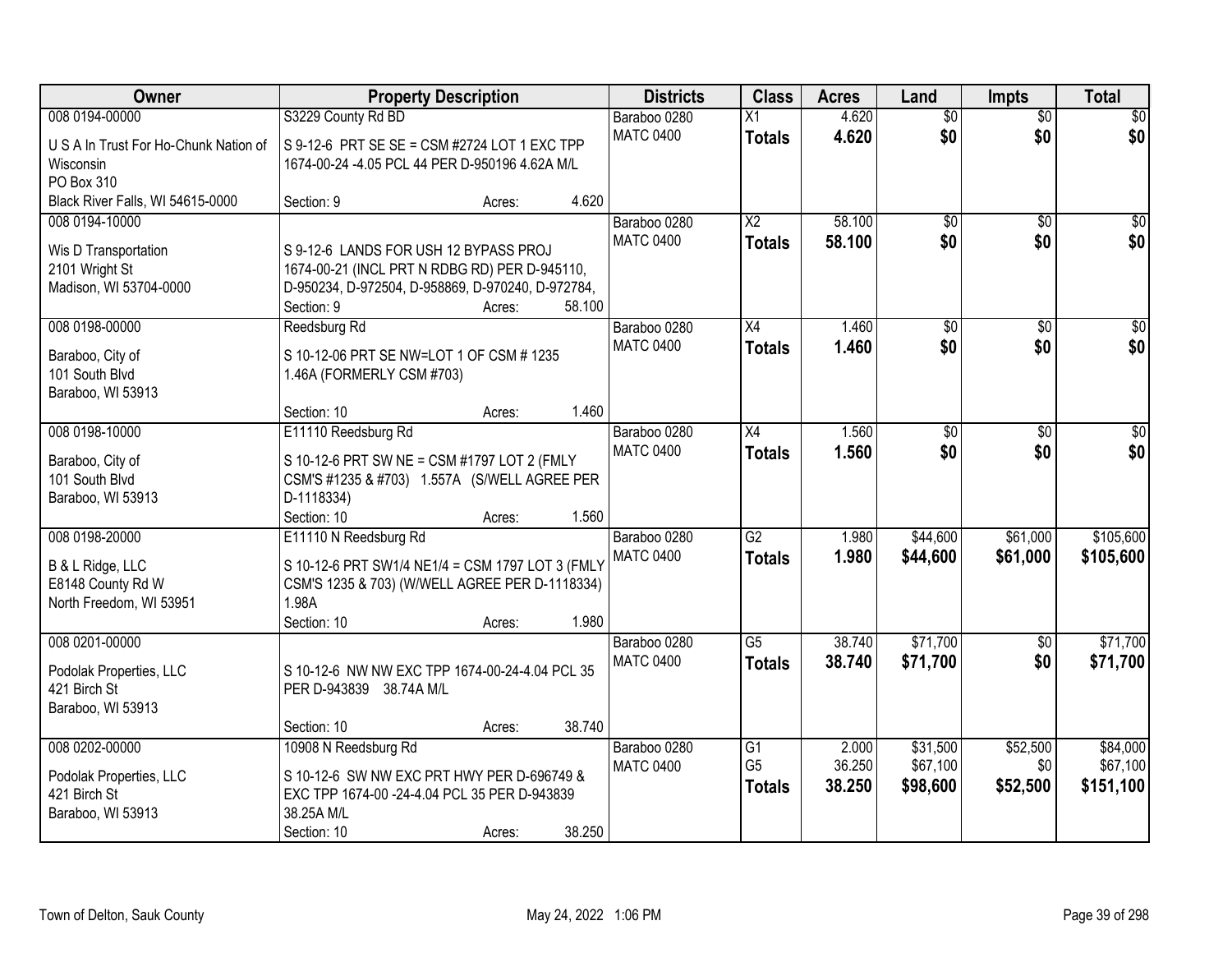| Owner                                        | <b>Property Description</b>                             |        |        | <b>Districts</b> | <b>Class</b>           | <b>Acres</b> | Land            | <b>Impts</b>    | <b>Total</b>    |
|----------------------------------------------|---------------------------------------------------------|--------|--------|------------------|------------------------|--------------|-----------------|-----------------|-----------------|
| 008 0194-00000                               | S3229 County Rd BD                                      |        |        | Baraboo 0280     | $\overline{X1}$        | 4.620        | $\overline{60}$ | $\overline{60}$ | \$0             |
| U S A In Trust For Ho-Chunk Nation of        | S 9-12-6 PRT SE SE = CSM #2724 LOT 1 EXC TPP            |        |        | <b>MATC 0400</b> | <b>Totals</b>          | 4.620        | \$0             | \$0             | \$0             |
| Wisconsin                                    | 1674-00-24 -4.05 PCL 44 PER D-950196 4.62A M/L          |        |        |                  |                        |              |                 |                 |                 |
| PO Box 310                                   |                                                         |        |        |                  |                        |              |                 |                 |                 |
| Black River Falls, WI 54615-0000             | Section: 9                                              | Acres: | 4.620  |                  |                        |              |                 |                 |                 |
| 008 0194-10000                               |                                                         |        |        | Baraboo 0280     | $\overline{\text{X2}}$ | 58.100       | $\overline{50}$ | \$0             | \$0             |
| Wis D Transportation                         | S 9-12-6 LANDS FOR USH 12 BYPASS PROJ                   |        |        | <b>MATC 0400</b> | <b>Totals</b>          | 58.100       | \$0             | \$0             | \$0             |
| 2101 Wright St                               | 1674-00-21 (INCL PRT N RDBG RD) PER D-945110,           |        |        |                  |                        |              |                 |                 |                 |
| Madison, WI 53704-0000                       | D-950234, D-972504, D-958869, D-970240, D-972784,       |        |        |                  |                        |              |                 |                 |                 |
|                                              | Section: 9                                              | Acres: | 58.100 |                  |                        |              |                 |                 |                 |
| 008 0198-00000                               | Reedsburg Rd                                            |        |        | Baraboo 0280     | X4                     | 1.460        | $\overline{50}$ | \$0             | $\overline{50}$ |
| Baraboo, City of                             | S 10-12-06 PRT SE NW=LOT 1 OF CSM # 1235                |        |        | <b>MATC 0400</b> | <b>Totals</b>          | 1.460        | \$0             | \$0             | \$0             |
| 101 South Blvd                               | 1.46A (FORMERLY CSM #703)                               |        |        |                  |                        |              |                 |                 |                 |
| Baraboo, WI 53913                            |                                                         |        |        |                  |                        |              |                 |                 |                 |
|                                              | Section: 10                                             | Acres: | 1.460  |                  |                        |              |                 |                 |                 |
| 008 0198-10000                               | E11110 Reedsburg Rd                                     |        |        | Baraboo 0280     | X4                     | 1.560        | \$0             | $\sqrt[6]{3}$   | $\sqrt{50}$     |
|                                              | S 10-12-6 PRT SW NE = CSM #1797 LOT 2 (FMLY             |        |        | <b>MATC 0400</b> | <b>Totals</b>          | 1.560        | \$0             | \$0             | \$0             |
| Baraboo, City of<br>101 South Blvd           | CSM'S #1235 & #703) 1.557A (S/WELL AGREE PER            |        |        |                  |                        |              |                 |                 |                 |
| Baraboo, WI 53913                            | D-1118334)                                              |        |        |                  |                        |              |                 |                 |                 |
|                                              | Section: 10                                             | Acres: | 1.560  |                  |                        |              |                 |                 |                 |
| 008 0198-20000                               | E11110 N Reedsburg Rd                                   |        |        | Baraboo 0280     | $\overline{G2}$        | 1.980        | \$44,600        | \$61,000        | \$105,600       |
|                                              |                                                         |        |        | <b>MATC 0400</b> | <b>Totals</b>          | 1.980        | \$44,600        | \$61,000        | \$105,600       |
| B & L Ridge, LLC                             | S 10-12-6 PRT SW1/4 NE1/4 = CSM 1797 LOT 3 (FMLY        |        |        |                  |                        |              |                 |                 |                 |
| E8148 County Rd W<br>North Freedom, WI 53951 | CSM'S 1235 & 703) (W/WELL AGREE PER D-1118334)<br>1.98A |        |        |                  |                        |              |                 |                 |                 |
|                                              | Section: 10                                             | Acres: | 1.980  |                  |                        |              |                 |                 |                 |
| 008 0201-00000                               |                                                         |        |        | Baraboo 0280     | $\overline{G5}$        | 38.740       | \$71,700        | \$0             | \$71,700        |
|                                              |                                                         |        |        | <b>MATC 0400</b> | <b>Totals</b>          | 38.740       | \$71,700        | \$0             | \$71,700        |
| Podolak Properties, LLC                      | S 10-12-6 NW NW EXC TPP 1674-00-24-4.04 PCL 35          |        |        |                  |                        |              |                 |                 |                 |
| 421 Birch St                                 | PER D-943839 38.74A M/L                                 |        |        |                  |                        |              |                 |                 |                 |
| Baraboo, WI 53913                            | Section: 10                                             | Acres: | 38.740 |                  |                        |              |                 |                 |                 |
| 008 0202-00000                               | 10908 N Reedsburg Rd                                    |        |        | Baraboo 0280     | G1                     | 2.000        | \$31,500        | \$52,500        | \$84,000        |
|                                              |                                                         |        |        | <b>MATC 0400</b> | G <sub>5</sub>         | 36.250       | \$67,100        | \$0             | \$67,100        |
| Podolak Properties, LLC                      | S 10-12-6 SW NW EXC PRT HWY PER D-696749 &              |        |        |                  | <b>Totals</b>          | 38.250       | \$98,600        | \$52,500        | \$151,100       |
| 421 Birch St                                 | EXC TPP 1674-00 -24-4.04 PCL 35 PER D-943839            |        |        |                  |                        |              |                 |                 |                 |
| Baraboo, WI 53913                            | 38.25A M/L                                              |        |        |                  |                        |              |                 |                 |                 |
|                                              | Section: 10                                             | Acres: | 38.250 |                  |                        |              |                 |                 |                 |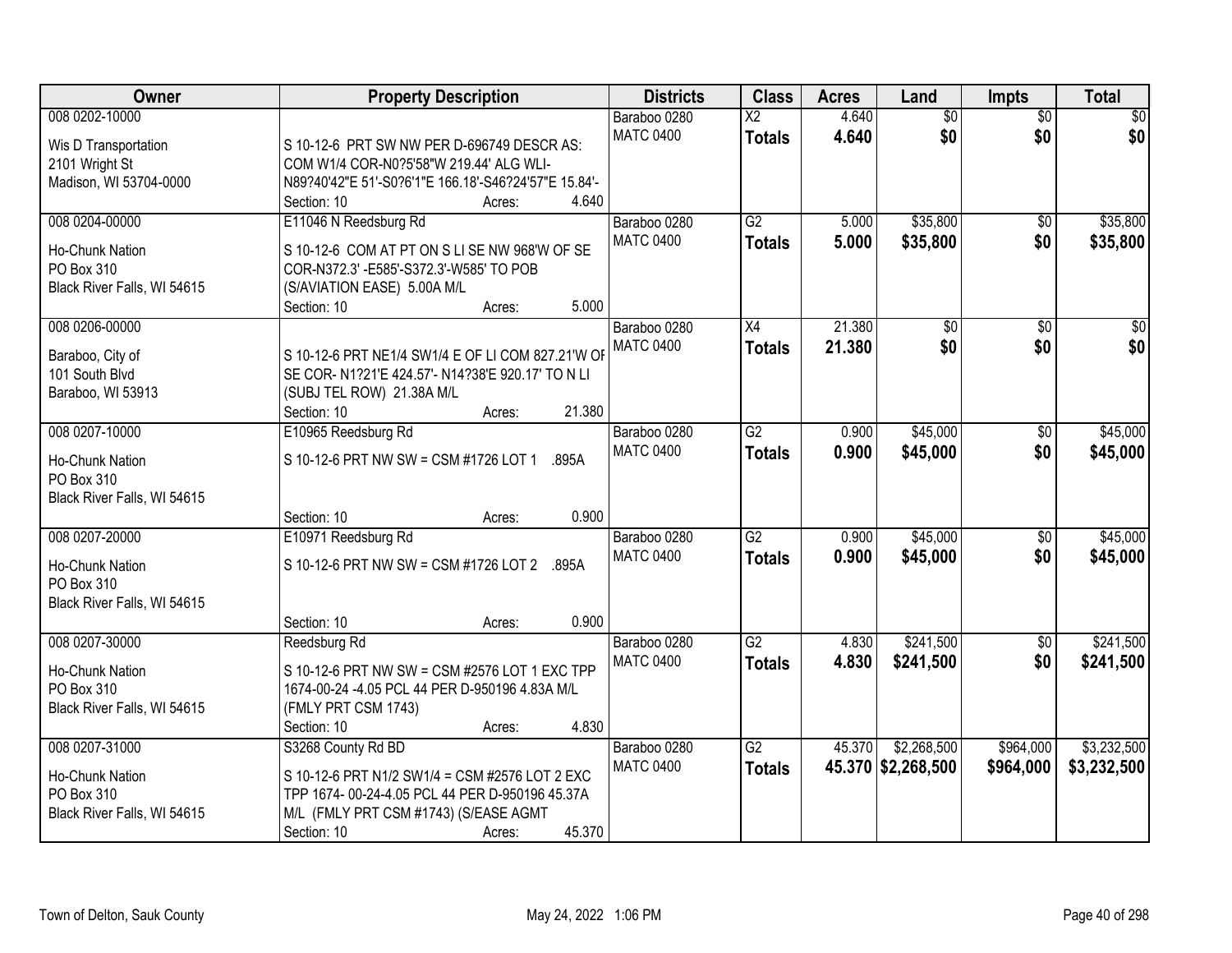| Owner                       | <b>Property Description</b>                                                               | <b>Districts</b>                 | <b>Class</b>           | <b>Acres</b> | Land               | <b>Impts</b>    | <b>Total</b>    |
|-----------------------------|-------------------------------------------------------------------------------------------|----------------------------------|------------------------|--------------|--------------------|-----------------|-----------------|
| 008 0202-10000              |                                                                                           | Baraboo 0280                     | $\overline{\text{X2}}$ | 4.640        | $\overline{50}$    | $\overline{50}$ | \$0             |
| Wis D Transportation        | S 10-12-6 PRT SW NW PER D-696749 DESCR AS:                                                | <b>MATC 0400</b>                 | <b>Totals</b>          | 4.640        | \$0                | \$0             | \$0             |
| 2101 Wright St              | COM W1/4 COR-N0?5'58"W 219.44' ALG WLI-                                                   |                                  |                        |              |                    |                 |                 |
| Madison, WI 53704-0000      | N89?40'42"E 51'-S0?6'1"E 166.18'-S46?24'57"E 15.84'-                                      |                                  |                        |              |                    |                 |                 |
|                             | 4.640<br>Section: 10<br>Acres:                                                            |                                  |                        |              |                    |                 |                 |
| 008 0204-00000              | E11046 N Reedsburg Rd                                                                     | Baraboo 0280                     | $\overline{G2}$        | 5.000        | \$35,800           | \$0             | \$35,800        |
| <b>Ho-Chunk Nation</b>      |                                                                                           | <b>MATC 0400</b>                 | <b>Totals</b>          | 5.000        | \$35,800           | \$0             | \$35,800        |
| PO Box 310                  | S 10-12-6 COM AT PT ON S LI SE NW 968'W OF SE<br>COR-N372.3' - E585'-S372.3'-W585' TO POB |                                  |                        |              |                    |                 |                 |
| Black River Falls, WI 54615 | (S/AVIATION EASE) 5.00A M/L                                                               |                                  |                        |              |                    |                 |                 |
|                             | 5.000<br>Section: 10<br>Acres:                                                            |                                  |                        |              |                    |                 |                 |
| 008 0206-00000              |                                                                                           | Baraboo 0280                     | X4                     | 21.380       | $\overline{50}$    | \$0             | $\overline{30}$ |
|                             |                                                                                           | <b>MATC 0400</b>                 | <b>Totals</b>          | 21.380       | \$0                | \$0             | \$0             |
| Baraboo, City of            | S 10-12-6 PRT NE1/4 SW1/4 E OF LI COM 827.21'W OF                                         |                                  |                        |              |                    |                 |                 |
| 101 South Blvd              | SE COR- N1?21'E 424.57'- N14?38'E 920.17' TO N LI                                         |                                  |                        |              |                    |                 |                 |
| Baraboo, WI 53913           | (SUBJ TEL ROW) 21.38A M/L                                                                 |                                  |                        |              |                    |                 |                 |
|                             | 21.380<br>Section: 10<br>Acres:                                                           |                                  |                        |              |                    |                 |                 |
| 008 0207-10000              | E10965 Reedsburg Rd                                                                       | Baraboo 0280<br><b>MATC 0400</b> | $\overline{G2}$        | 0.900        | \$45,000           | $\sqrt[6]{}$    | \$45,000        |
| Ho-Chunk Nation             | S 10-12-6 PRT NW SW = CSM #1726 LOT 1<br>.895A                                            |                                  | <b>Totals</b>          | 0.900        | \$45,000           | \$0             | \$45,000        |
| PO Box 310                  |                                                                                           |                                  |                        |              |                    |                 |                 |
| Black River Falls, WI 54615 |                                                                                           |                                  |                        |              |                    |                 |                 |
|                             | 0.900<br>Section: 10<br>Acres:                                                            |                                  |                        |              |                    |                 |                 |
| 008 0207-20000              | E10971 Reedsburg Rd                                                                       | Baraboo 0280                     | $\overline{G2}$        | 0.900        | \$45,000           | $\overline{50}$ | \$45,000        |
| Ho-Chunk Nation             | S 10-12-6 PRT NW SW = CSM #1726 LOT 2 .895A                                               | <b>MATC 0400</b>                 | <b>Totals</b>          | 0.900        | \$45,000           | \$0             | \$45,000        |
| PO Box 310                  |                                                                                           |                                  |                        |              |                    |                 |                 |
| Black River Falls, WI 54615 |                                                                                           |                                  |                        |              |                    |                 |                 |
|                             | 0.900<br>Section: 10<br>Acres:                                                            |                                  |                        |              |                    |                 |                 |
| 008 0207-30000              | Reedsburg Rd                                                                              | Baraboo 0280                     | G2                     | 4.830        | \$241,500          | \$0             | \$241,500       |
| Ho-Chunk Nation             | S 10-12-6 PRT NW SW = CSM #2576 LOT 1 EXC TPP                                             | <b>MATC 0400</b>                 | <b>Totals</b>          | 4.830        | \$241,500          | \$0             | \$241,500       |
| PO Box 310                  | 1674-00-24 -4.05 PCL 44 PER D-950196 4.83A M/L                                            |                                  |                        |              |                    |                 |                 |
| Black River Falls, WI 54615 | (FMLY PRT CSM 1743)                                                                       |                                  |                        |              |                    |                 |                 |
|                             | 4.830<br>Section: 10<br>Acres:                                                            |                                  |                        |              |                    |                 |                 |
| 008 0207-31000              | S3268 County Rd BD                                                                        | Baraboo 0280                     | G2                     | 45.370       | \$2,268,500        | \$964,000       | \$3,232,500     |
| Ho-Chunk Nation             | S 10-12-6 PRT N1/2 SW1/4 = CSM #2576 LOT 2 EXC                                            | <b>MATC 0400</b>                 | <b>Totals</b>          |              | 45.370 \$2,268,500 | \$964,000       | \$3,232,500     |
| PO Box 310                  | TPP 1674- 00-24-4.05 PCL 44 PER D-950196 45.37A                                           |                                  |                        |              |                    |                 |                 |
| Black River Falls, WI 54615 | M/L (FMLY PRT CSM #1743) (S/EASE AGMT                                                     |                                  |                        |              |                    |                 |                 |
|                             | 45.370<br>Section: 10<br>Acres:                                                           |                                  |                        |              |                    |                 |                 |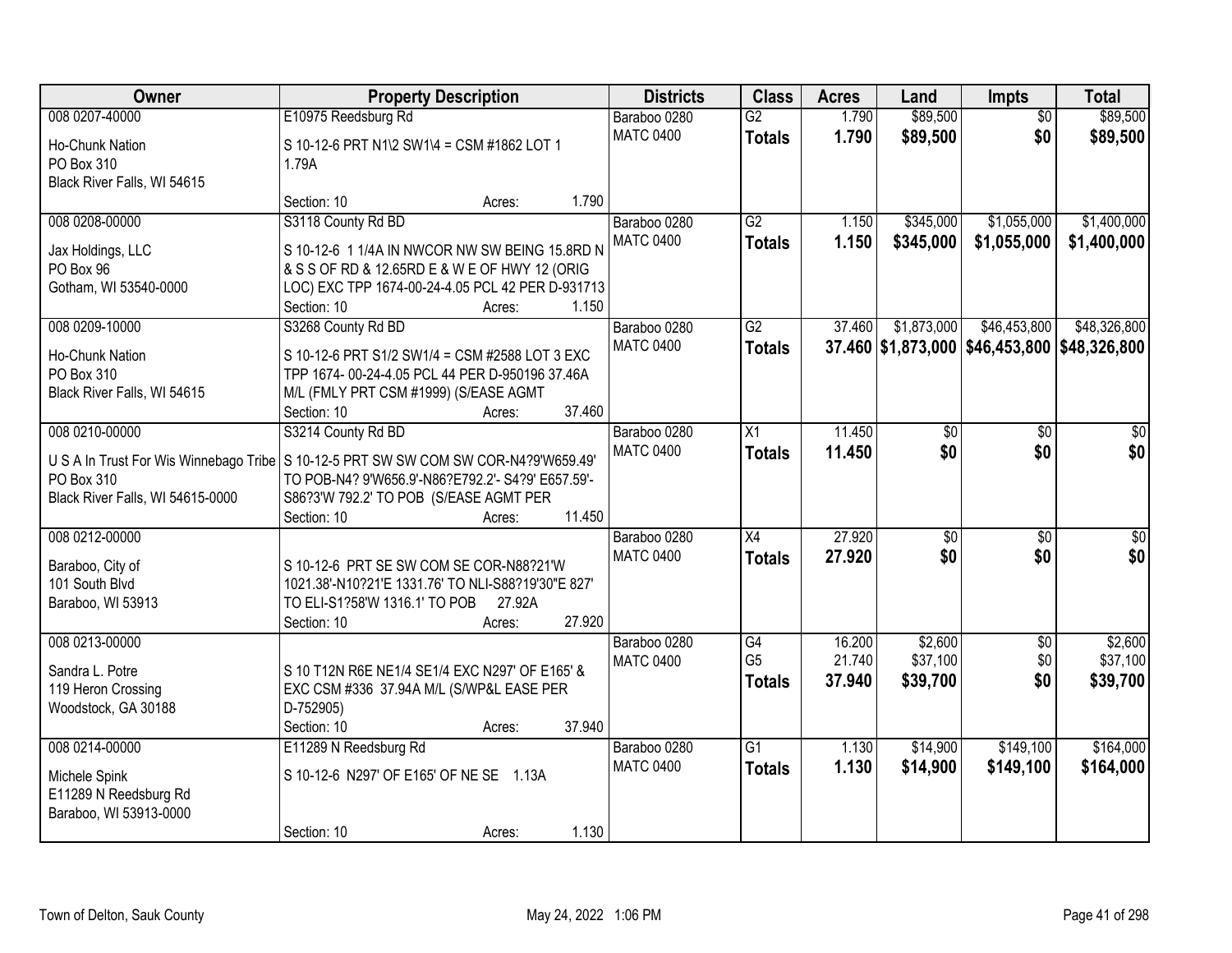| <b>Owner</b>                                         | <b>Property Description</b>                                                                       |                  | <b>Districts</b> | <b>Class</b>    | <b>Acres</b> | Land        | Impts           | <b>Total</b>                                 |
|------------------------------------------------------|---------------------------------------------------------------------------------------------------|------------------|------------------|-----------------|--------------|-------------|-----------------|----------------------------------------------|
| 008 0207-40000                                       | E10975 Reedsburg Rd                                                                               |                  | Baraboo 0280     | $\overline{G2}$ | 1.790        | \$89,500    | $\overline{50}$ | \$89,500                                     |
| Ho-Chunk Nation                                      | S 10-12-6 PRT N1\2 SW1\4 = CSM #1862 LOT 1                                                        |                  | <b>MATC 0400</b> | <b>Totals</b>   | 1.790        | \$89,500    | \$0             | \$89,500                                     |
| PO Box 310                                           | 1.79A                                                                                             |                  |                  |                 |              |             |                 |                                              |
| Black River Falls, WI 54615                          |                                                                                                   |                  |                  |                 |              |             |                 |                                              |
|                                                      | Section: 10                                                                                       | 1.790<br>Acres:  |                  |                 |              |             |                 |                                              |
| 008 0208-00000                                       | S3118 County Rd BD                                                                                |                  | Baraboo 0280     | G2              | 1.150        | \$345,000   | \$1,055,000     | \$1,400,000                                  |
| Jax Holdings, LLC                                    | S 10-12-6 1 1/4A IN NWCOR NW SW BEING 15.8RD N                                                    |                  | <b>MATC 0400</b> | <b>Totals</b>   | 1.150        | \$345,000   | \$1,055,000     | \$1,400,000                                  |
| PO Box 96                                            | & S S OF RD & 12.65RD E & W E OF HWY 12 (ORIG                                                     |                  |                  |                 |              |             |                 |                                              |
| Gotham, WI 53540-0000                                | LOC) EXC TPP 1674-00-24-4.05 PCL 42 PER D-931713                                                  |                  |                  |                 |              |             |                 |                                              |
|                                                      | Section: 10                                                                                       | 1.150<br>Acres:  |                  |                 |              |             |                 |                                              |
| 008 0209-10000                                       | S3268 County Rd BD                                                                                |                  | Baraboo 0280     | G2              | 37.460       | \$1,873,000 | \$46,453,800    | \$48,326,800                                 |
| Ho-Chunk Nation                                      | S 10-12-6 PRT S1/2 SW1/4 = CSM #2588 LOT 3 EXC                                                    |                  | <b>MATC 0400</b> | <b>Totals</b>   |              |             |                 | 37.460 \$1,873,000 \$46,453,800 \$48,326,800 |
| PO Box 310                                           | TPP 1674- 00-24-4.05 PCL 44 PER D-950196 37.46A                                                   |                  |                  |                 |              |             |                 |                                              |
| Black River Falls, WI 54615                          | M/L (FMLY PRT CSM #1999) (S/EASE AGMT                                                             |                  |                  |                 |              |             |                 |                                              |
|                                                      | Section: 10                                                                                       | 37.460<br>Acres: |                  |                 |              |             |                 |                                              |
| 008 0210-00000                                       | S3214 County Rd BD                                                                                |                  | Baraboo 0280     | X1              | 11.450       | \$0         | \$0             | \$0                                          |
|                                                      |                                                                                                   |                  | <b>MATC 0400</b> | <b>Totals</b>   | 11.450       | \$0         | \$0             | \$0                                          |
| U S A In Trust For Wis Winnebago Tribe<br>PO Box 310 | S 10-12-5 PRT SW SW COM SW COR-N4?9'W659.49'<br>TO POB-N4? 9'W656.9'-N86?E792.2'- S4?9' E657.59'- |                  |                  |                 |              |             |                 |                                              |
| Black River Falls, WI 54615-0000                     | S86?3'W 792.2' TO POB (S/EASE AGMT PER                                                            |                  |                  |                 |              |             |                 |                                              |
|                                                      | Section: 10                                                                                       | 11.450<br>Acres: |                  |                 |              |             |                 |                                              |
| 008 0212-00000                                       |                                                                                                   |                  | Baraboo 0280     | $\overline{X4}$ | 27.920       | \$0         | $\overline{50}$ | $\overline{50}$                              |
|                                                      |                                                                                                   |                  | <b>MATC 0400</b> | <b>Totals</b>   | 27.920       | \$0         | \$0             | \$0                                          |
| Baraboo, City of                                     | S 10-12-6 PRT SE SW COM SE COR-N88?21'W                                                           |                  |                  |                 |              |             |                 |                                              |
| 101 South Blvd<br>Baraboo, WI 53913                  | 1021.38'-N10?21'E 1331.76' TO NLI-S88?19'30"E 827'<br>TO ELI-S1?58'W 1316.1' TO POB               | 27.92A           |                  |                 |              |             |                 |                                              |
|                                                      | Section: 10                                                                                       | 27.920<br>Acres: |                  |                 |              |             |                 |                                              |
| 008 0213-00000                                       |                                                                                                   |                  | Baraboo 0280     | G4              | 16.200       | \$2,600     | $\sqrt{6}$      | \$2,600                                      |
|                                                      |                                                                                                   |                  | <b>MATC 0400</b> | G <sub>5</sub>  | 21.740       | \$37,100    | \$0             | \$37,100                                     |
| Sandra L. Potre                                      | S 10 T12N R6E NE1/4 SE1/4 EXC N297' OF E165' &                                                    |                  |                  | <b>Totals</b>   | 37.940       | \$39,700    | \$0             | \$39,700                                     |
| 119 Heron Crossing                                   | EXC CSM #336 37.94A M/L (S/WP&L EASE PER                                                          |                  |                  |                 |              |             |                 |                                              |
| Woodstock, GA 30188                                  | D-752905)                                                                                         | 37.940           |                  |                 |              |             |                 |                                              |
| 008 0214-00000                                       | Section: 10<br>E11289 N Reedsburg Rd                                                              | Acres:           | Baraboo 0280     | $\overline{G1}$ | 1.130        | \$14,900    | \$149,100       | \$164,000                                    |
|                                                      |                                                                                                   |                  | <b>MATC 0400</b> |                 | 1.130        |             | \$149,100       |                                              |
| Michele Spink                                        | S 10-12-6 N297' OF E165' OF NE SE 1.13A                                                           |                  |                  | <b>Totals</b>   |              | \$14,900    |                 | \$164,000                                    |
| E11289 N Reedsburg Rd                                |                                                                                                   |                  |                  |                 |              |             |                 |                                              |
| Baraboo, WI 53913-0000                               |                                                                                                   |                  |                  |                 |              |             |                 |                                              |
|                                                      | Section: 10                                                                                       | 1.130<br>Acres:  |                  |                 |              |             |                 |                                              |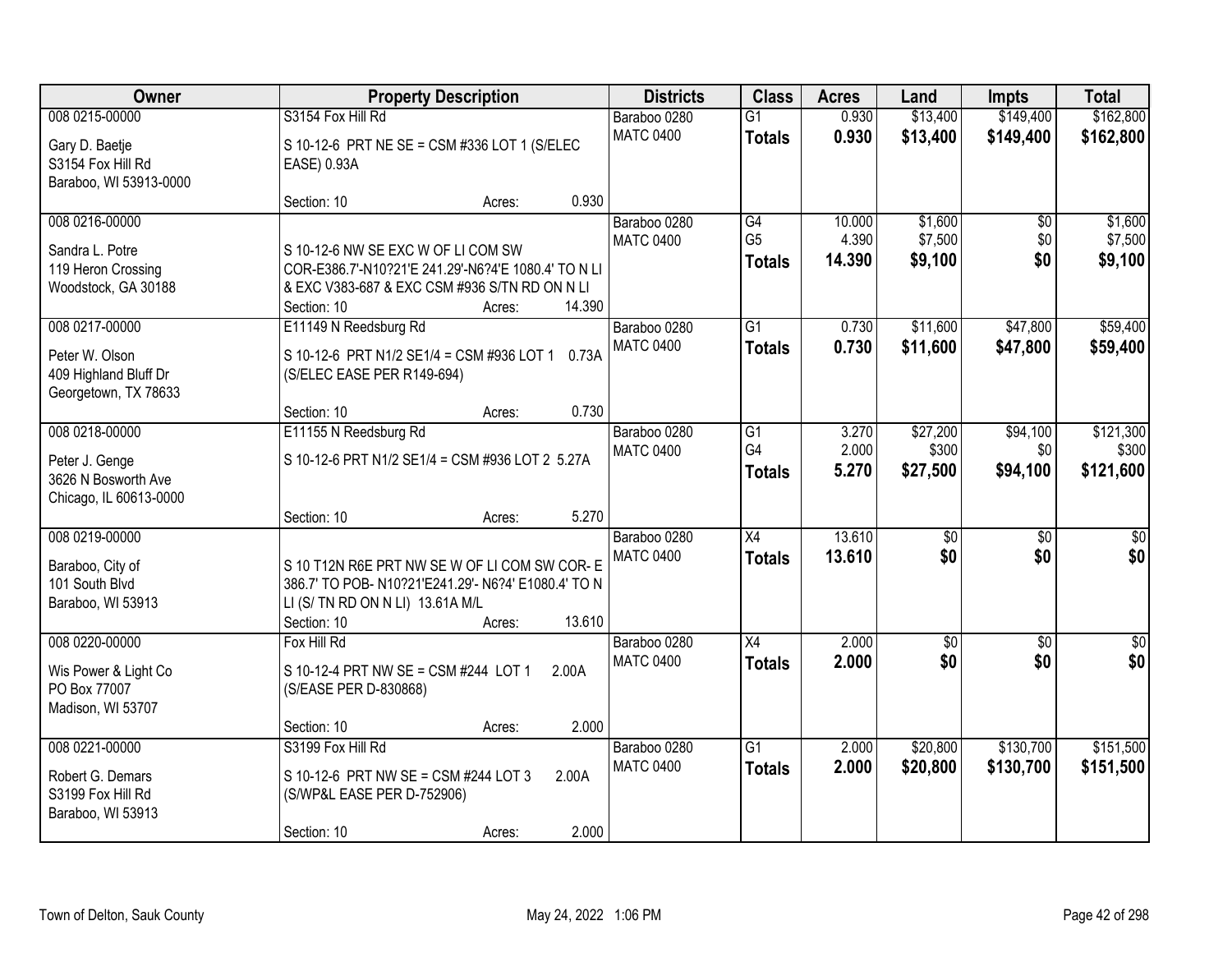| Owner                                                                             | <b>Property Description</b>                                                                                                                                                   | <b>Districts</b>                 | <b>Class</b>                           | <b>Acres</b>              | Land                          | <b>Impts</b>                  | <b>Total</b>                    |
|-----------------------------------------------------------------------------------|-------------------------------------------------------------------------------------------------------------------------------------------------------------------------------|----------------------------------|----------------------------------------|---------------------------|-------------------------------|-------------------------------|---------------------------------|
| 008 0215-00000<br>Gary D. Baetje<br>S3154 Fox Hill Rd                             | S3154 Fox Hill Rd<br>S 10-12-6 PRT NE SE = CSM #336 LOT 1 (S/ELEC<br>EASE) 0.93A                                                                                              | Baraboo 0280<br><b>MATC 0400</b> | $\overline{G1}$<br><b>Totals</b>       | 0.930<br>0.930            | \$13,400<br>\$13,400          | \$149,400<br>\$149,400        | \$162,800<br>\$162,800          |
| Baraboo, WI 53913-0000                                                            | 0.930<br>Section: 10<br>Acres:                                                                                                                                                |                                  |                                        |                           |                               |                               |                                 |
| 008 0216-00000<br>Sandra L. Potre<br>119 Heron Crossing<br>Woodstock, GA 30188    | S 10-12-6 NW SE EXC W OF LI COM SW<br>COR-E386.7'-N10?21'E 241.29'-N6?4'E 1080.4' TO N LI<br>& EXC V383-687 & EXC CSM #936 S/TN RD ON N LI<br>14.390<br>Section: 10<br>Acres: | Baraboo 0280<br><b>MATC 0400</b> | G4<br>G <sub>5</sub><br>Totals         | 10.000<br>4.390<br>14.390 | \$1,600<br>\$7,500<br>\$9,100 | $\overline{30}$<br>\$0<br>\$0 | \$1,600<br>\$7,500<br>\$9,100   |
| 008 0217-00000<br>Peter W. Olson<br>409 Highland Bluff Dr<br>Georgetown, TX 78633 | E11149 N Reedsburg Rd<br>S 10-12-6 PRT N1/2 SE1/4 = CSM #936 LOT 1 0.73A<br>(S/ELEC EASE PER R149-694)<br>0.730<br>Section: 10<br>Acres:                                      | Baraboo 0280<br><b>MATC 0400</b> | $\overline{G1}$<br><b>Totals</b>       | 0.730<br>0.730            | \$11,600<br>\$11,600          | \$47,800<br>\$47,800          | \$59,400<br>\$59,400            |
| 008 0218-00000<br>Peter J. Genge<br>3626 N Bosworth Ave<br>Chicago, IL 60613-0000 | E11155 N Reedsburg Rd<br>S 10-12-6 PRT N1/2 SE1/4 = CSM #936 LOT 2 5.27A<br>5.270<br>Section: 10<br>Acres:                                                                    | Baraboo 0280<br><b>MATC 0400</b> | $\overline{G1}$<br>G4<br><b>Totals</b> | 3.270<br>2.000<br>5.270   | \$27,200<br>\$300<br>\$27,500 | \$94,100<br>\$0<br>\$94,100   | \$121,300<br>\$300<br>\$121,600 |
| 008 0219-00000<br>Baraboo, City of<br>101 South Blvd<br>Baraboo, WI 53913         | S 10 T12N R6E PRT NW SE W OF LI COM SW COR-E<br>386.7' TO POB- N10?21'E241.29'- N6?4' E1080.4' TO N<br>LI (S/ TN RD ON N LI) 13.61A M/L<br>13.610<br>Section: 10<br>Acres:    | Baraboo 0280<br><b>MATC 0400</b> | $\overline{X4}$<br><b>Totals</b>       | 13.610<br>13.610          | \$0<br>\$0                    | $\overline{50}$<br>\$0        | \$0<br>\$0                      |
| 008 0220-00000<br>Wis Power & Light Co<br>PO Box 77007<br>Madison, WI 53707       | Fox Hill Rd<br>S 10-12-4 PRT NW SE = CSM #244 LOT 1<br>2.00A<br>(S/EASE PER D-830868)<br>2.000<br>Section: 10<br>Acres:                                                       | Baraboo 0280<br><b>MATC 0400</b> | X4<br><b>Totals</b>                    | 2.000<br>2.000            | $\overline{50}$<br>\$0        | $\overline{50}$<br>\$0        | $\overline{\$0}$<br>\$0         |
| 008 0221-00000<br>Robert G. Demars<br>S3199 Fox Hill Rd<br>Baraboo, WI 53913      | S3199 Fox Hill Rd<br>S 10-12-6 PRT NW SE = CSM #244 LOT 3<br>2.00A<br>(S/WP&L EASE PER D-752906)<br>2.000<br>Section: 10<br>Acres:                                            | Baraboo 0280<br><b>MATC 0400</b> | $\overline{G1}$<br><b>Totals</b>       | 2.000<br>2.000            | \$20,800<br>\$20,800          | \$130,700<br>\$130,700        | \$151,500<br>\$151,500          |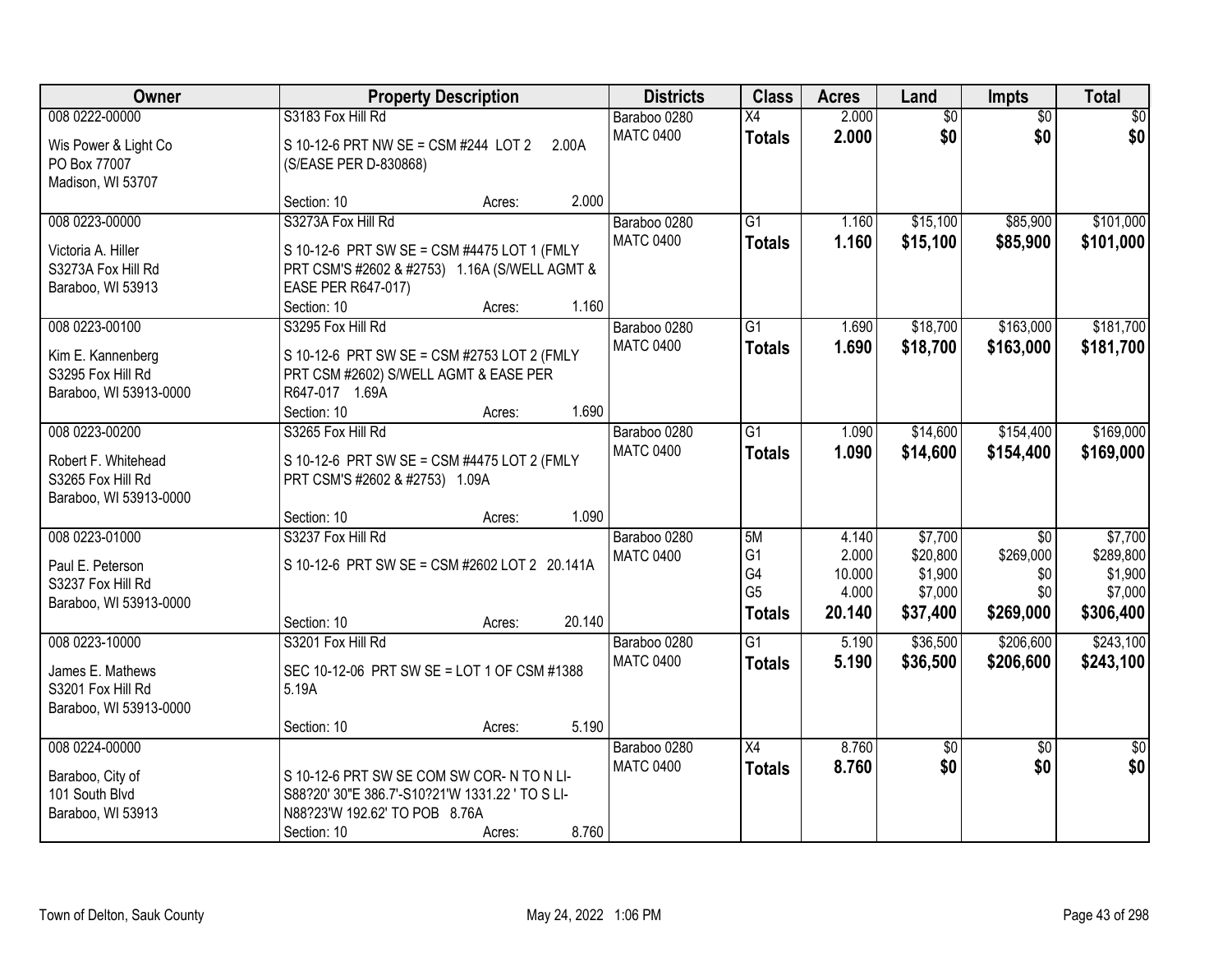| Owner                                                                             |                                                                                                                                                         | <b>Property Description</b> |        | <b>Districts</b>                 | <b>Class</b>                                                  | <b>Acres</b>                                | Land                                                  | Impts                                                   | <b>Total</b>                                            |
|-----------------------------------------------------------------------------------|---------------------------------------------------------------------------------------------------------------------------------------------------------|-----------------------------|--------|----------------------------------|---------------------------------------------------------------|---------------------------------------------|-------------------------------------------------------|---------------------------------------------------------|---------------------------------------------------------|
| 008 0222-00000<br>Wis Power & Light Co<br>PO Box 77007<br>Madison, WI 53707       | S3183 Fox Hill Rd<br>S 10-12-6 PRT NW SE = CSM #244 LOT 2<br>(S/EASE PER D-830868)                                                                      |                             | 2.00A  | Baraboo 0280<br><b>MATC 0400</b> | X4<br><b>Totals</b>                                           | 2.000<br>2.000                              | $\overline{60}$<br>\$0                                | $\overline{50}$<br>\$0                                  | \$0<br>\$0                                              |
|                                                                                   | Section: 10                                                                                                                                             | Acres:                      | 2.000  |                                  |                                                               |                                             |                                                       |                                                         |                                                         |
| 008 0223-00000<br>Victoria A. Hiller<br>S3273A Fox Hill Rd<br>Baraboo, WI 53913   | S3273A Fox Hill Rd<br>S 10-12-6 PRT SW SE = CSM #4475 LOT 1 (FMLY<br>PRT CSM'S #2602 & #2753) 1.16A (S/WELL AGMT &<br>EASE PER R647-017)<br>Section: 10 | Acres:                      | 1.160  | Baraboo 0280<br><b>MATC 0400</b> | $\overline{G1}$<br><b>Totals</b>                              | 1.160<br>1.160                              | \$15,100<br>\$15,100                                  | \$85,900<br>\$85,900                                    | \$101,000<br>\$101,000                                  |
| 008 0223-00100                                                                    | S3295 Fox Hill Rd                                                                                                                                       |                             |        | Baraboo 0280                     | $\overline{G1}$                                               | 1.690                                       | \$18,700                                              | \$163,000                                               | \$181,700                                               |
| Kim E. Kannenberg<br>S3295 Fox Hill Rd<br>Baraboo, WI 53913-0000                  | S 10-12-6 PRT SW SE = CSM #2753 LOT 2 (FMLY<br>PRT CSM #2602) S/WELL AGMT & EASE PER<br>R647-017 1.69A<br>Section: 10                                   | Acres:                      | 1.690  | <b>MATC 0400</b>                 | <b>Totals</b>                                                 | 1.690                                       | \$18,700                                              | \$163,000                                               | \$181,700                                               |
| 008 0223-00200                                                                    | S3265 Fox Hill Rd                                                                                                                                       |                             |        | Baraboo 0280                     | $\overline{G1}$                                               | 1.090                                       | \$14,600                                              | \$154,400                                               | \$169,000                                               |
| Robert F. Whitehead<br>S3265 Fox Hill Rd<br>Baraboo, WI 53913-0000                | S 10-12-6 PRT SW SE = CSM #4475 LOT 2 (FMLY<br>PRT CSM'S #2602 & #2753) 1.09A                                                                           |                             |        | <b>MATC 0400</b>                 | <b>Totals</b>                                                 | 1.090                                       | \$14,600                                              | \$154,400                                               | \$169,000                                               |
|                                                                                   | Section: 10                                                                                                                                             | Acres:                      | 1.090  |                                  |                                                               |                                             |                                                       |                                                         |                                                         |
| 008 0223-01000<br>Paul E. Peterson<br>S3237 Fox Hill Rd<br>Baraboo, WI 53913-0000 | S3237 Fox Hill Rd<br>S 10-12-6 PRT SW SE = CSM #2602 LOT 2 20.141A<br>Section: 10                                                                       | Acres:                      | 20.140 | Baraboo 0280<br><b>MATC 0400</b> | 5M<br>G <sub>1</sub><br>G4<br>G <sub>5</sub><br><b>Totals</b> | 4.140<br>2.000<br>10.000<br>4.000<br>20.140 | \$7,700<br>\$20,800<br>\$1,900<br>\$7,000<br>\$37,400 | $\overline{50}$<br>\$269,000<br>\$0<br>\$0<br>\$269,000 | \$7,700<br>\$289,800<br>\$1,900<br>\$7,000<br>\$306,400 |
| 008 0223-10000                                                                    | S3201 Fox Hill Rd                                                                                                                                       |                             |        | Baraboo 0280                     | $\overline{G1}$                                               | 5.190                                       | \$36,500                                              | \$206,600                                               | \$243,100                                               |
| James E. Mathews<br>S3201 Fox Hill Rd<br>Baraboo, WI 53913-0000                   | SEC 10-12-06 PRT SW SE = LOT 1 OF CSM #1388<br>5.19A                                                                                                    |                             |        | <b>MATC 0400</b>                 | <b>Totals</b>                                                 | 5.190                                       | \$36,500                                              | \$206,600                                               | \$243,100                                               |
|                                                                                   | Section: 10                                                                                                                                             | Acres:                      | 5.190  |                                  |                                                               |                                             |                                                       |                                                         |                                                         |
| 008 0224-00000<br>Baraboo, City of<br>101 South Blvd<br>Baraboo, WI 53913         | S 10-12-6 PRT SW SE COM SW COR-N TO N LI-<br>S88?20' 30"E 386.7'-S10?21'W 1331.22 ' TO S LI-<br>N88?23'W 192.62' TO POB 8.76A<br>Section: 10            | Acres:                      | 8.760  | Baraboo 0280<br><b>MATC 0400</b> | X4<br><b>Totals</b>                                           | 8.760<br>8.760                              | $\overline{50}$<br>\$0                                | $\overline{50}$<br>\$0                                  | $\overline{50}$<br>\$0                                  |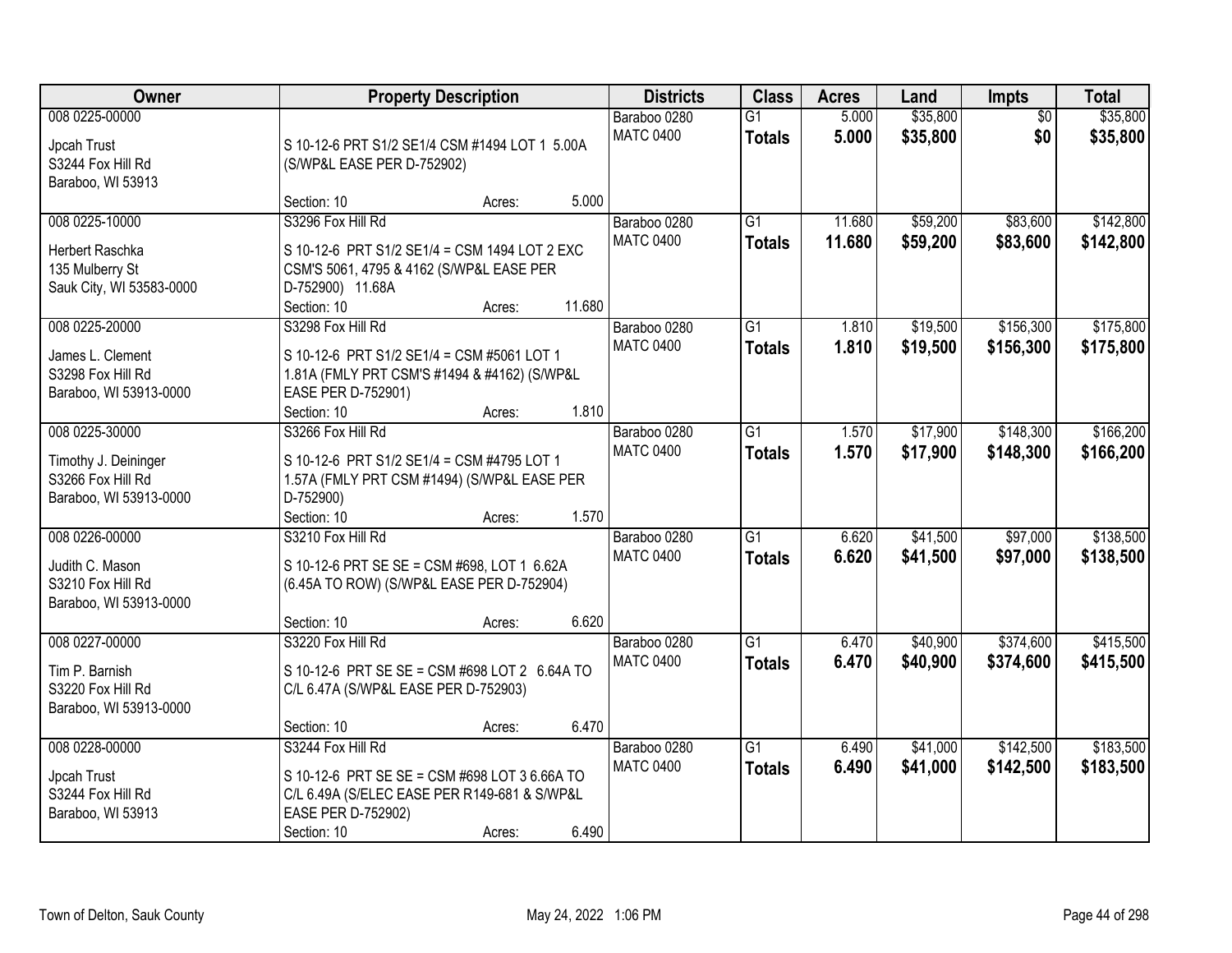| <b>Owner</b>                                                                            |                                                                                                                                                         | <b>Property Description</b> |        | <b>Districts</b>                 | <b>Class</b>                     | <b>Acres</b>     | Land                 | Impts                  | <b>Total</b>           |
|-----------------------------------------------------------------------------------------|---------------------------------------------------------------------------------------------------------------------------------------------------------|-----------------------------|--------|----------------------------------|----------------------------------|------------------|----------------------|------------------------|------------------------|
| 008 0225-00000<br>Jpcah Trust<br>S3244 Fox Hill Rd<br>Baraboo, WI 53913                 | S 10-12-6 PRT S1/2 SE1/4 CSM #1494 LOT 1 5.00A<br>(S/WP&L EASE PER D-752902)                                                                            |                             |        | Baraboo 0280<br><b>MATC 0400</b> | $\overline{G1}$<br><b>Totals</b> | 5.000<br>5.000   | \$35,800<br>\$35,800 | $\overline{50}$<br>\$0 | \$35,800<br>\$35,800   |
|                                                                                         | Section: 10                                                                                                                                             | Acres:                      | 5.000  |                                  |                                  |                  |                      |                        |                        |
| 008 0225-10000<br><b>Herbert Raschka</b><br>135 Mulberry St<br>Sauk City, WI 53583-0000 | S3296 Fox Hill Rd<br>S 10-12-6 PRT S1/2 SE1/4 = CSM 1494 LOT 2 EXC<br>CSM'S 5061, 4795 & 4162 (S/WP&L EASE PER<br>D-752900) 11.68A<br>Section: 10       | Acres:                      | 11.680 | Baraboo 0280<br><b>MATC 0400</b> | $\overline{G1}$<br><b>Totals</b> | 11.680<br>11.680 | \$59,200<br>\$59,200 | \$83,600<br>\$83,600   | \$142,800<br>\$142,800 |
| 008 0225-20000                                                                          | S3298 Fox Hill Rd                                                                                                                                       |                             |        | Baraboo 0280                     | G1                               | 1.810            | \$19,500             | \$156,300              | \$175,800              |
| James L. Clement<br>S3298 Fox Hill Rd<br>Baraboo, WI 53913-0000                         | S 10-12-6 PRT S1/2 SE1/4 = CSM #5061 LOT 1<br>1.81A (FMLY PRT CSM'S #1494 & #4162) (S/WP&L<br>EASE PER D-752901)<br>Section: 10                         | Acres:                      | 1.810  | <b>MATC 0400</b>                 | <b>Totals</b>                    | 1.810            | \$19,500             | \$156,300              | \$175,800              |
| 008 0225-30000                                                                          | S3266 Fox Hill Rd                                                                                                                                       |                             |        | Baraboo 0280                     | $\overline{G1}$                  | 1.570            | \$17,900             | \$148,300              | \$166,200              |
| Timothy J. Deininger<br>S3266 Fox Hill Rd<br>Baraboo, WI 53913-0000                     | S 10-12-6 PRT S1/2 SE1/4 = CSM #4795 LOT 1<br>1.57A (FMLY PRT CSM #1494) (S/WP&L EASE PER<br>D-752900)                                                  |                             |        | <b>MATC 0400</b>                 | <b>Totals</b>                    | 1.570            | \$17,900             | \$148,300              | \$166,200              |
|                                                                                         | Section: 10                                                                                                                                             | Acres:                      | 1.570  |                                  |                                  |                  |                      |                        |                        |
| 008 0226-00000<br>Judith C. Mason<br>S3210 Fox Hill Rd<br>Baraboo, WI 53913-0000        | S3210 Fox Hill Rd<br>S 10-12-6 PRT SE SE = CSM #698, LOT 1 6.62A<br>(6.45A TO ROW) (S/WP&L EASE PER D-752904)<br>Section: 10                            | Acres:                      | 6.620  | Baraboo 0280<br><b>MATC 0400</b> | $\overline{G1}$<br><b>Totals</b> | 6.620<br>6.620   | \$41,500<br>\$41,500 | \$97,000<br>\$97,000   | \$138,500<br>\$138,500 |
| 008 0227-00000                                                                          | S3220 Fox Hill Rd                                                                                                                                       |                             |        | Baraboo 0280                     | $\overline{G1}$                  | 6.470            | \$40,900             | \$374,600              | \$415,500              |
| Tim P. Barnish<br>S3220 Fox Hill Rd<br>Baraboo, WI 53913-0000                           | S 10-12-6 PRT SE SE = CSM #698 LOT 2 6.64A TO<br>C/L 6.47A (S/WP&L EASE PER D-752903)                                                                   |                             |        | <b>MATC 0400</b>                 | <b>Totals</b>                    | 6.470            | \$40,900             | \$374,600              | \$415,500              |
|                                                                                         | Section: 10                                                                                                                                             | Acres:                      | 6.470  |                                  |                                  |                  |                      |                        |                        |
| 008 0228-00000<br>Jpcah Trust<br>S3244 Fox Hill Rd<br>Baraboo, WI 53913                 | S3244 Fox Hill Rd<br>S 10-12-6 PRT SE SE = CSM #698 LOT 3 6.66A TO<br>C/L 6.49A (S/ELEC EASE PER R149-681 & S/WP&L<br>EASE PER D-752902)<br>Section: 10 | Acres:                      | 6.490  | Baraboo 0280<br><b>MATC 0400</b> | $\overline{G1}$<br><b>Totals</b> | 6.490<br>6.490   | \$41,000<br>\$41,000 | \$142,500<br>\$142,500 | \$183,500<br>\$183,500 |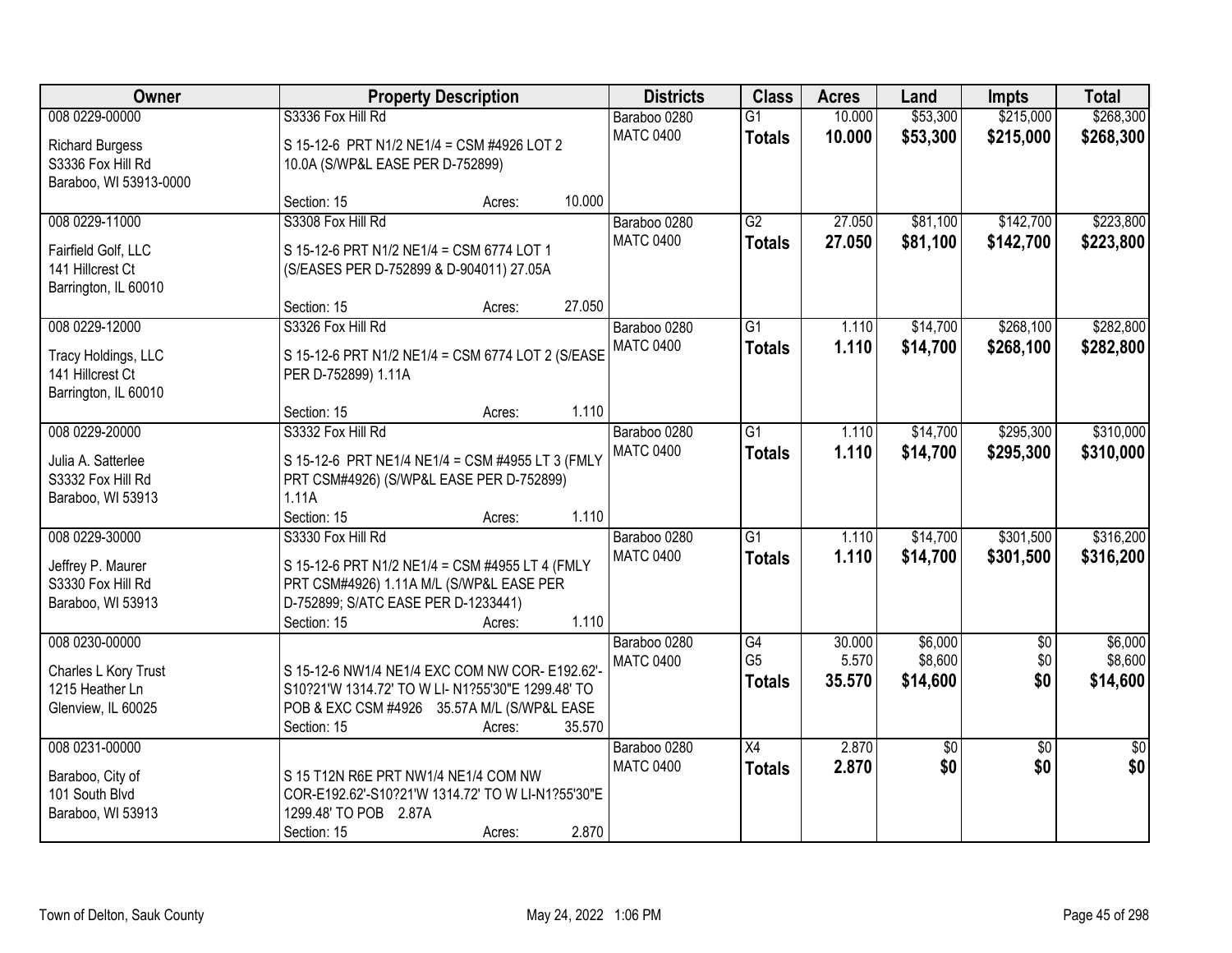| Owner                                                                                   | <b>Property Description</b>                                                                                                                                            |                  | <b>Districts</b>                 | <b>Class</b>                          | <b>Acres</b>              | Land                           | <b>Impts</b>             | <b>Total</b>                   |
|-----------------------------------------------------------------------------------------|------------------------------------------------------------------------------------------------------------------------------------------------------------------------|------------------|----------------------------------|---------------------------------------|---------------------------|--------------------------------|--------------------------|--------------------------------|
| 008 0229-00000<br><b>Richard Burgess</b><br>S3336 Fox Hill Rd<br>Baraboo, WI 53913-0000 | S3336 Fox Hill Rd<br>S 15-12-6 PRT N1/2 NE1/4 = CSM #4926 LOT 2<br>10.0A (S/WP&L EASE PER D-752899)                                                                    |                  | Baraboo 0280<br><b>MATC 0400</b> | $\overline{G1}$<br><b>Totals</b>      | 10.000<br>10.000          | \$53,300<br>\$53,300           | \$215,000<br>\$215,000   | \$268,300<br>\$268,300         |
|                                                                                         | Section: 15                                                                                                                                                            | 10.000<br>Acres: |                                  |                                       |                           |                                |                          |                                |
| 008 0229-11000<br>Fairfield Golf, LLC<br>141 Hillcrest Ct<br>Barrington, IL 60010       | S3308 Fox Hill Rd<br>S 15-12-6 PRT N1/2 NE1/4 = CSM 6774 LOT 1<br>(S/EASES PER D-752899 & D-904011) 27.05A<br>Section: 15                                              | 27.050<br>Acres: | Baraboo 0280<br><b>MATC 0400</b> | $\overline{G2}$<br><b>Totals</b>      | 27.050<br>27.050          | \$81,100<br>\$81,100           | \$142,700<br>\$142,700   | \$223,800<br>\$223,800         |
| 008 0229-12000                                                                          | S3326 Fox Hill Rd                                                                                                                                                      |                  | Baraboo 0280                     | $\overline{G1}$                       | 1.110                     | \$14,700                       | \$268,100                | \$282,800                      |
| Tracy Holdings, LLC<br>141 Hillcrest Ct<br>Barrington, IL 60010                         | S 15-12-6 PRT N1/2 NE1/4 = CSM 6774 LOT 2 (S/EASE<br>PER D-752899) 1.11A                                                                                               |                  | <b>MATC 0400</b>                 | <b>Totals</b>                         | 1.110                     | \$14,700                       | \$268,100                | \$282,800                      |
|                                                                                         | Section: 15                                                                                                                                                            | 1.110<br>Acres:  |                                  |                                       |                           |                                |                          |                                |
| 008 0229-20000<br>Julia A. Satterlee<br>S3332 Fox Hill Rd<br>Baraboo, WI 53913          | S3332 Fox Hill Rd<br>S 15-12-6 PRT NE1/4 NE1/4 = CSM #4955 LT 3 (FMLY<br>PRT CSM#4926) (S/WP&L EASE PER D-752899)<br>1.11A                                             |                  | Baraboo 0280<br><b>MATC 0400</b> | G1<br><b>Totals</b>                   | 1.110<br>1.110            | \$14,700<br>\$14,700           | \$295,300<br>\$295,300   | \$310,000<br>\$310,000         |
|                                                                                         | Section: 15                                                                                                                                                            | 1.110<br>Acres:  |                                  |                                       |                           |                                |                          |                                |
| 008 0229-30000<br>Jeffrey P. Maurer<br>S3330 Fox Hill Rd<br>Baraboo, WI 53913           | S3330 Fox Hill Rd<br>S 15-12-6 PRT N1/2 NE1/4 = CSM #4955 LT 4 (FMLY<br>PRT CSM#4926) 1.11A M/L (S/WP&L EASE PER<br>D-752899; S/ATC EASE PER D-1233441)<br>Section: 15 | 1.110<br>Acres:  | Baraboo 0280<br><b>MATC 0400</b> | $\overline{G1}$<br><b>Totals</b>      | 1.110<br>1.110            | \$14,700<br>\$14,700           | \$301,500<br>\$301,500   | \$316,200<br>\$316,200         |
| 008 0230-00000<br>Charles L Kory Trust<br>1215 Heather Ln<br>Glenview, IL 60025         | S 15-12-6 NW1/4 NE1/4 EXC COM NW COR- E192.62'-<br>S10?21'W 1314.72' TO W LI- N1?55'30"E 1299.48' TO<br>POB & EXC CSM #4926 35.57A M/L (S/WP&L EASE<br>Section: 15     | 35.570<br>Acres: | Baraboo 0280<br><b>MATC 0400</b> | G4<br>G <sub>5</sub><br><b>Totals</b> | 30.000<br>5.570<br>35.570 | \$6,000<br>\$8,600<br>\$14,600 | $\sqrt{6}$<br>\$0<br>\$0 | \$6,000<br>\$8,600<br>\$14,600 |
| 008 0231-00000<br>Baraboo, City of<br>101 South Blvd<br>Baraboo, WI 53913               | S 15 T12N R6E PRT NW1/4 NE1/4 COM NW<br>COR-E192.62'-S10?21'W 1314.72' TO W LI-N1?55'30"E<br>1299.48' TO POB 2.87A<br>Section: 15                                      | 2.870<br>Acres:  | Baraboo 0280<br><b>MATC 0400</b> | $\overline{X4}$<br><b>Totals</b>      | 2.870<br>2.870            | \$0<br>\$0                     | $\overline{50}$<br>\$0   | $\overline{50}$<br>\$0         |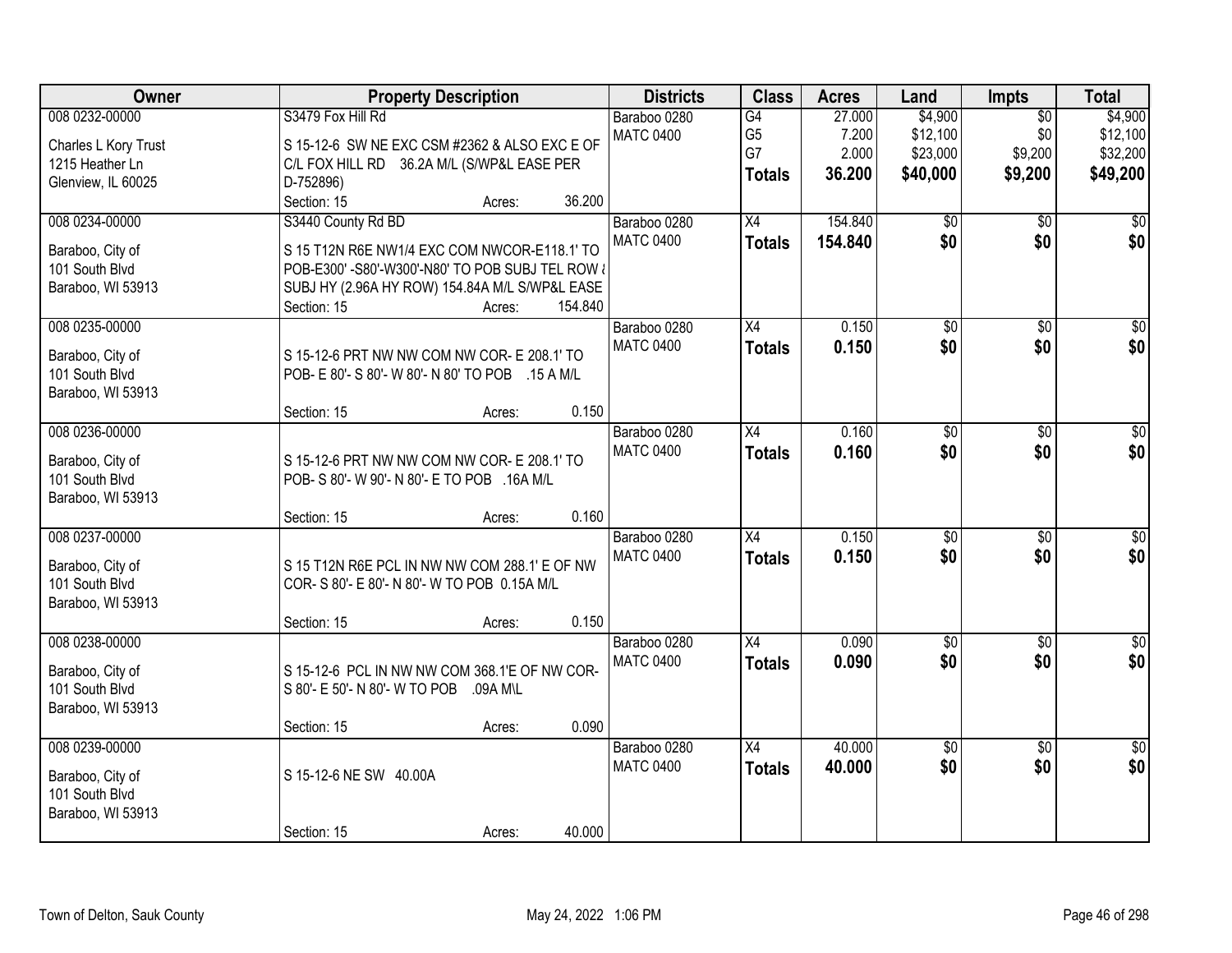| Owner                                                                           | <b>Property Description</b>                                                                                                                                                                                                                     | <b>Districts</b>                 | <b>Class</b>                                | <b>Acres</b>                       | Land                                        | Impts                                        | <b>Total</b>                                |
|---------------------------------------------------------------------------------|-------------------------------------------------------------------------------------------------------------------------------------------------------------------------------------------------------------------------------------------------|----------------------------------|---------------------------------------------|------------------------------------|---------------------------------------------|----------------------------------------------|---------------------------------------------|
| 008 0232-00000<br>Charles L Kory Trust<br>1215 Heather Ln<br>Glenview, IL 60025 | S3479 Fox Hill Rd<br>S 15-12-6 SW NE EXC CSM #2362 & ALSO EXC E OF<br>C/L FOX HILL RD 36.2A M/L (S/WP&L EASE PER<br>D-752896)                                                                                                                   | Baraboo 0280<br><b>MATC 0400</b> | G4<br>G <sub>5</sub><br>G7<br><b>Totals</b> | 27.000<br>7.200<br>2.000<br>36.200 | \$4,900<br>\$12,100<br>\$23,000<br>\$40,000 | $\overline{50}$<br>\$0<br>\$9,200<br>\$9,200 | \$4,900<br>\$12,100<br>\$32,200<br>\$49,200 |
| 008 0234-00000<br>Baraboo, City of<br>101 South Blvd<br>Baraboo, WI 53913       | 36.200<br>Section: 15<br>Acres:<br>S3440 County Rd BD<br>S 15 T12N R6E NW1/4 EXC COM NWCOR-E118.1' TO<br>POB-E300' -S80'-W300'-N80' TO POB SUBJ TEL ROW &<br>SUBJ HY (2.96A HY ROW) 154.84A M/L S/WP&L EASE<br>154.840<br>Section: 15<br>Acres: | Baraboo 0280<br><b>MATC 0400</b> | X4<br><b>Totals</b>                         | 154.840<br>154.840                 | $\overline{50}$<br>\$0                      | $\overline{50}$<br>\$0                       | $\overline{50}$<br>\$0                      |
| 008 0235-00000<br>Baraboo, City of<br>101 South Blvd<br>Baraboo, WI 53913       | S 15-12-6 PRT NW NW COM NW COR- E 208.1' TO<br>POB- E 80'- S 80'- W 80'- N 80' TO POB .15 A M/L<br>0.150<br>Section: 15<br>Acres:                                                                                                               | Baraboo 0280<br><b>MATC 0400</b> | X4<br><b>Totals</b>                         | 0.150<br>0.150                     | \$0<br>\$0                                  | \$0<br>\$0                                   | \$0<br>\$0                                  |
| 008 0236-00000<br>Baraboo, City of<br>101 South Blvd<br>Baraboo, WI 53913       | S 15-12-6 PRT NW NW COM NW COR- E 208.1' TO<br>POB- S 80'- W 90'- N 80'- E TO POB .16A M/L<br>0.160<br>Section: 15<br>Acres:                                                                                                                    | Baraboo 0280<br><b>MATC 0400</b> | X4<br><b>Totals</b>                         | 0.160<br>0.160                     | \$0<br>\$0                                  | \$0<br>\$0                                   | \$0<br>\$0                                  |
| 008 0237-00000<br>Baraboo, City of<br>101 South Blvd<br>Baraboo, WI 53913       | S 15 T12N R6E PCL IN NW NW COM 288.1' E OF NW<br>COR- S 80'- E 80'- N 80'- W TO POB 0.15A M/L<br>0.150<br>Section: 15<br>Acres:                                                                                                                 | Baraboo 0280<br><b>MATC 0400</b> | $\overline{X4}$<br><b>Totals</b>            | 0.150<br>0.150                     | $\overline{50}$<br>\$0                      | $\overline{50}$<br>\$0                       | $\overline{50}$<br>\$0                      |
| 008 0238-00000<br>Baraboo, City of<br>101 South Blvd<br>Baraboo, WI 53913       | S 15-12-6 PCL IN NW NW COM 368.1'E OF NW COR-<br>S 80'- E 50'- N 80'- W TO POB<br>.09A M\L<br>0.090<br>Section: 15<br>Acres:                                                                                                                    | Baraboo 0280<br><b>MATC 0400</b> | $\overline{X4}$<br><b>Totals</b>            | 0.090<br>0.090                     | $\overline{50}$<br>\$0                      | $\overline{50}$<br>\$0                       | $\overline{\$0}$<br>\$0                     |
| 008 0239-00000<br>Baraboo, City of<br>101 South Blvd<br>Baraboo, WI 53913       | S 15-12-6 NE SW 40.00A<br>40.000<br>Section: 15<br>Acres:                                                                                                                                                                                       | Baraboo 0280<br><b>MATC 0400</b> | $\overline{X4}$<br><b>Totals</b>            | 40.000<br>40.000                   | \$0<br>\$0                                  | $\overline{50}$<br>\$0                       | $\overline{50}$<br>\$0                      |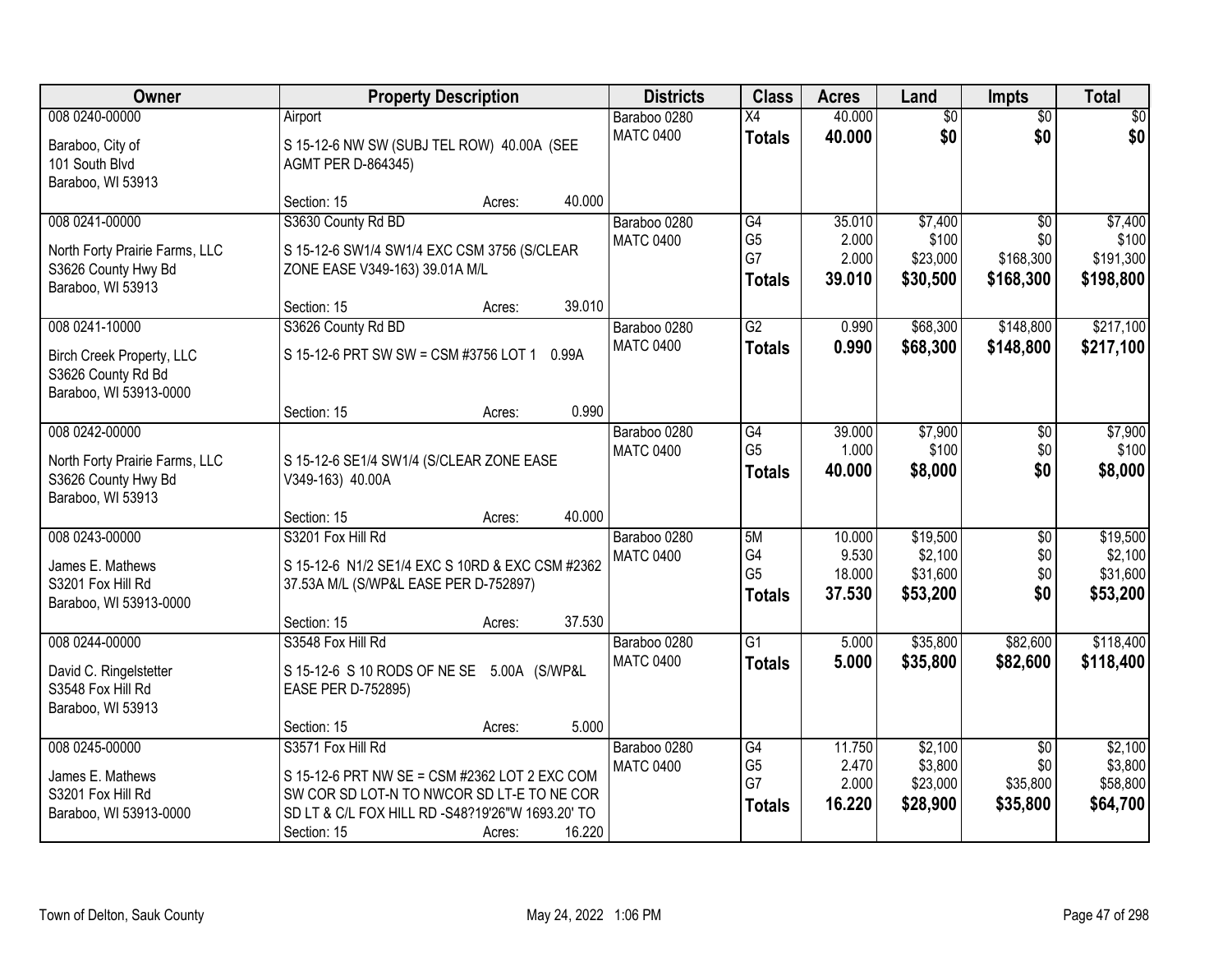| Owner                                                                            | <b>Property Description</b>                                                                                      | <b>Districts</b>                 | <b>Class</b>                                | <b>Acres</b>                       | Land                                     | Impts                                            | <b>Total</b>                               |
|----------------------------------------------------------------------------------|------------------------------------------------------------------------------------------------------------------|----------------------------------|---------------------------------------------|------------------------------------|------------------------------------------|--------------------------------------------------|--------------------------------------------|
| 008 0240-00000                                                                   | Airport                                                                                                          | Baraboo 0280                     | X4                                          | 40.000                             | \$0                                      | $\overline{30}$                                  | \$0                                        |
| Baraboo, City of<br>101 South Blvd<br>Baraboo, WI 53913                          | S 15-12-6 NW SW (SUBJ TEL ROW) 40.00A (SEE<br>AGMT PER D-864345)                                                 | <b>MATC 0400</b>                 | <b>Totals</b>                               | 40.000                             | \$0                                      | \$0                                              | \$0                                        |
|                                                                                  | 40.000<br>Section: 15<br>Acres:                                                                                  |                                  |                                             |                                    |                                          |                                                  |                                            |
| 008 0241-00000<br>North Forty Prairie Farms, LLC<br>S3626 County Hwy Bd          | S3630 County Rd BD<br>S 15-12-6 SW1/4 SW1/4 EXC CSM 3756 (S/CLEAR<br>ZONE EASE V349-163) 39.01A M/L              | Baraboo 0280<br><b>MATC 0400</b> | G4<br>G <sub>5</sub><br>G7<br><b>Totals</b> | 35.010<br>2.000<br>2.000<br>39.010 | \$7,400<br>\$100<br>\$23,000<br>\$30,500 | $\overline{50}$<br>\$0<br>\$168,300<br>\$168,300 | \$7,400<br>\$100<br>\$191,300<br>\$198,800 |
| Baraboo, WI 53913                                                                | 39.010<br>Section: 15<br>Acres:                                                                                  |                                  |                                             |                                    |                                          |                                                  |                                            |
| 008 0241-10000                                                                   | S3626 County Rd BD                                                                                               | Baraboo 0280                     | $\overline{G2}$                             | 0.990                              | \$68,300                                 | \$148,800                                        | \$217,100                                  |
| <b>Birch Creek Property, LLC</b><br>S3626 County Rd Bd<br>Baraboo, WI 53913-0000 | S 15-12-6 PRT SW SW = CSM #3756 LOT 1<br>0.99A                                                                   | <b>MATC 0400</b>                 | <b>Totals</b>                               | 0.990                              | \$68,300                                 | \$148,800                                        | \$217,100                                  |
|                                                                                  | 0.990<br>Section: 15<br>Acres:                                                                                   |                                  |                                             |                                    |                                          |                                                  |                                            |
| 008 0242-00000<br>North Forty Prairie Farms, LLC<br>S3626 County Hwy Bd          | S 15-12-6 SE1/4 SW1/4 (S/CLEAR ZONE EASE<br>V349-163) 40.00A                                                     | Baraboo 0280<br><b>MATC 0400</b> | G4<br>G <sub>5</sub><br><b>Totals</b>       | 39.000<br>1.000<br>40.000          | \$7,900<br>\$100<br>\$8,000              | \$0<br>\$0<br>\$0                                | \$7,900<br>\$100<br>\$8,000                |
| Baraboo, WI 53913                                                                | 40.000<br>Section: 15<br>Acres:                                                                                  |                                  |                                             |                                    |                                          |                                                  |                                            |
| 008 0243-00000                                                                   | S3201 Fox Hill Rd                                                                                                | Baraboo 0280                     | 5M                                          | 10.000                             | \$19,500                                 | $\overline{50}$                                  | \$19,500                                   |
| James E. Mathews<br>S3201 Fox Hill Rd<br>Baraboo, WI 53913-0000                  | S 15-12-6 N1/2 SE1/4 EXC S 10RD & EXC CSM #2362<br>37.53A M/L (S/WP&L EASE PER D-752897)                         | <b>MATC 0400</b>                 | G4<br>G <sub>5</sub><br><b>Totals</b>       | 9.530<br>18.000<br>37.530          | \$2,100<br>\$31,600<br>\$53,200          | \$0<br>\$0<br>\$0                                | \$2,100<br>\$31,600<br>\$53,200            |
| 008 0244-00000                                                                   | 37.530<br>Section: 15<br>Acres:<br>S3548 Fox Hill Rd                                                             | Baraboo 0280                     | $\overline{G1}$                             | 5.000                              | \$35,800                                 | \$82,600                                         | \$118,400                                  |
| David C. Ringelstetter<br>S3548 Fox Hill Rd<br>Baraboo, WI 53913                 | S 15-12-6 S 10 RODS OF NE SE 5.00A (S/WP&L<br>EASE PER D-752895)                                                 | <b>MATC 0400</b>                 | <b>Totals</b>                               | 5.000                              | \$35,800                                 | \$82,600                                         | \$118,400                                  |
|                                                                                  | 5.000<br>Section: 15<br>Acres:                                                                                   |                                  |                                             |                                    |                                          |                                                  |                                            |
| 008 0245-00000<br>James E. Mathews<br>S3201 Fox Hill Rd                          | S3571 Fox Hill Rd<br>S 15-12-6 PRT NW SE = CSM #2362 LOT 2 EXC COM<br>SW COR SD LOT-N TO NWCOR SD LT-E TO NE COR | Baraboo 0280<br><b>MATC 0400</b> | G4<br>G <sub>5</sub><br>G7                  | 11.750<br>2.470<br>2.000           | \$2,100<br>\$3,800<br>\$23,000           | $\overline{50}$<br>\$0<br>\$35,800               | \$2,100<br>\$3,800<br>\$58,800             |
| Baraboo, WI 53913-0000                                                           | SD LT & C/L FOX HILL RD -S48?19'26"W 1693.20' TO<br>16.220<br>Section: 15<br>Acres:                              |                                  | <b>Totals</b>                               | 16.220                             | \$28,900                                 | \$35,800                                         | \$64,700                                   |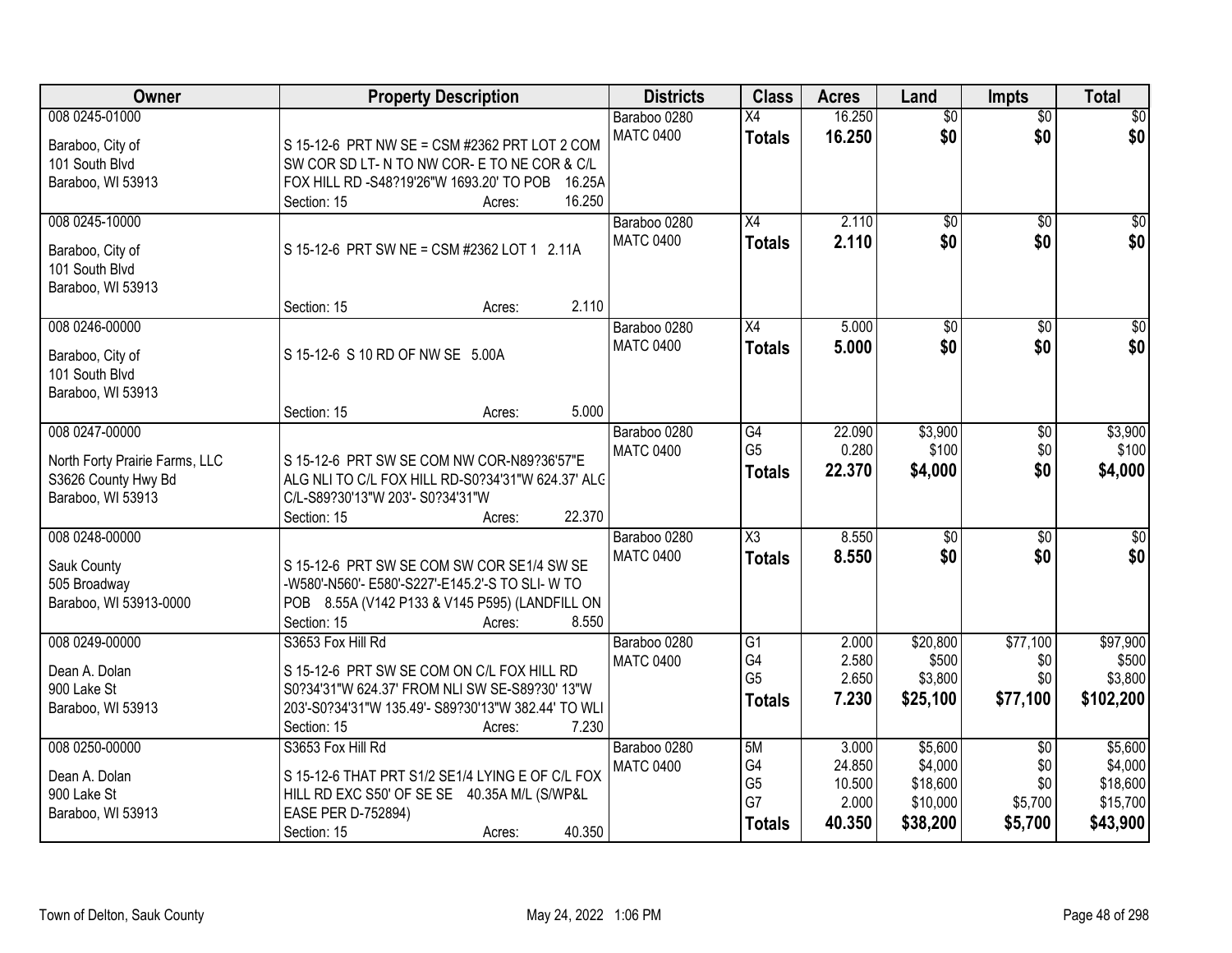| Owner                              | <b>Property Description</b>                         | <b>Districts</b>                 | <b>Class</b>           | <b>Acres</b> | Land            | <b>Impts</b>    | <b>Total</b> |
|------------------------------------|-----------------------------------------------------|----------------------------------|------------------------|--------------|-----------------|-----------------|--------------|
| 008 0245-01000                     |                                                     | Baraboo 0280                     | $\overline{X4}$        | 16.250       | $\overline{60}$ | $\overline{50}$ | \$0          |
| Baraboo, City of                   | S 15-12-6 PRT NW SE = CSM #2362 PRT LOT 2 COM       | <b>MATC 0400</b>                 | <b>Totals</b>          | 16.250       | \$0             | \$0             | \$0          |
| 101 South Blvd                     | SW COR SD LT- N TO NW COR- E TO NE COR & C/L        |                                  |                        |              |                 |                 |              |
| Baraboo, WI 53913                  | FOX HILL RD -S48?19'26"W 1693.20' TO POB<br>16.25A  |                                  |                        |              |                 |                 |              |
|                                    | 16.250<br>Section: 15<br>Acres:                     |                                  |                        |              |                 |                 |              |
| 008 0245-10000                     |                                                     | Baraboo 0280                     | X4                     | 2.110        | $\overline{50}$ | $\overline{50}$ | \$0          |
| Baraboo, City of                   | S 15-12-6 PRT SW NE = CSM #2362 LOT 1 2.11A         | <b>MATC 0400</b>                 | <b>Totals</b>          | 2.110        | \$0             | \$0             | \$0          |
| 101 South Blvd                     |                                                     |                                  |                        |              |                 |                 |              |
| Baraboo, WI 53913                  |                                                     |                                  |                        |              |                 |                 |              |
|                                    | 2.110<br>Section: 15<br>Acres:                      |                                  |                        |              |                 |                 |              |
| 008 0246-00000                     |                                                     | Baraboo 0280                     | X4                     | 5.000        | $\overline{50}$ | $\sqrt[6]{}$    | $\sqrt{50}$  |
|                                    | S 15-12-6 S 10 RD OF NW SE 5.00A                    | <b>MATC 0400</b>                 | <b>Totals</b>          | 5.000        | \$0             | \$0             | \$0          |
| Baraboo, City of<br>101 South Blvd |                                                     |                                  |                        |              |                 |                 |              |
| Baraboo, WI 53913                  |                                                     |                                  |                        |              |                 |                 |              |
|                                    | 5.000<br>Section: 15<br>Acres:                      |                                  |                        |              |                 |                 |              |
| 008 0247-00000                     |                                                     | Baraboo 0280                     | G4                     | 22.090       | \$3,900         | \$0             | \$3,900      |
|                                    |                                                     | <b>MATC 0400</b>                 | G <sub>5</sub>         | 0.280        | \$100           | \$0             | \$100        |
| North Forty Prairie Farms, LLC     | S 15-12-6 PRT SW SE COM NW COR-N89?36'57"E          |                                  | <b>Totals</b>          | 22.370       | \$4,000         | \$0             | \$4,000      |
| S3626 County Hwy Bd                | ALG NLI TO C/L FOX HILL RD-S0?34'31"W 624.37' ALC   |                                  |                        |              |                 |                 |              |
| Baraboo, WI 53913                  | C/L-S89?30'13"W 203'- S0?34'31"W                    |                                  |                        |              |                 |                 |              |
| 008 0248-00000                     | 22.370<br>Section: 15<br>Acres:                     |                                  | $\overline{\text{X3}}$ | 8.550        | $\overline{50}$ | $\overline{50}$ | $\sqrt{50}$  |
|                                    |                                                     | Baraboo 0280<br><b>MATC 0400</b> |                        | 8.550        | \$0             | \$0             | \$0          |
| Sauk County                        | S 15-12-6 PRT SW SE COM SW COR SE1/4 SW SE          |                                  | <b>Totals</b>          |              |                 |                 |              |
| 505 Broadway                       | -W580'-N560'- E580'-S227'-E145.2'-S TO SLI- W TO    |                                  |                        |              |                 |                 |              |
| Baraboo, WI 53913-0000             | POB 8.55A (V142 P133 & V145 P595) (LANDFILL ON      |                                  |                        |              |                 |                 |              |
|                                    | 8.550<br>Section: 15<br>Acres:                      |                                  |                        |              |                 |                 |              |
| 008 0249-00000                     | S3653 Fox Hill Rd                                   | Baraboo 0280                     | G1                     | 2.000        | \$20,800        | \$77,100        | \$97,900     |
| Dean A. Dolan                      | S 15-12-6 PRT SW SE COM ON C/L FOX HILL RD          | <b>MATC 0400</b>                 | G4<br>G <sub>5</sub>   | 2.580        | \$500           | \$0             | \$500        |
| 900 Lake St                        | S0?34'31"W 624.37' FROM NLI SW SE-S89?30' 13"W      |                                  |                        | 2.650        | \$3,800         | \$0             | \$3,800      |
| Baraboo, WI 53913                  | 203'-S0?34'31"W 135.49'- S89?30'13"W 382.44' TO WLI |                                  | <b>Totals</b>          | 7.230        | \$25,100        | \$77,100        | \$102,200    |
|                                    | Section: 15<br>7.230<br>Acres:                      |                                  |                        |              |                 |                 |              |
| 008 0250-00000                     | S3653 Fox Hill Rd                                   | Baraboo 0280                     | 5M                     | 3.000        | \$5,600         | $\overline{30}$ | \$5,600      |
| Dean A. Dolan                      | S 15-12-6 THAT PRT S1/2 SE1/4 LYING E OF C/L FOX    | <b>MATC 0400</b>                 | G4                     | 24.850       | \$4,000         | \$0             | \$4,000      |
| 900 Lake St                        | HILL RD EXC S50' OF SE SE 40.35A M/L (S/WP&L        |                                  | G <sub>5</sub>         | 10.500       | \$18,600        | \$0             | \$18,600     |
| Baraboo, WI 53913                  | EASE PER D-752894)                                  |                                  | G7                     | 2.000        | \$10,000        | \$5,700         | \$15,700     |
|                                    | 40.350<br>Section: 15<br>Acres:                     |                                  | <b>Totals</b>          | 40.350       | \$38,200        | \$5,700         | \$43,900     |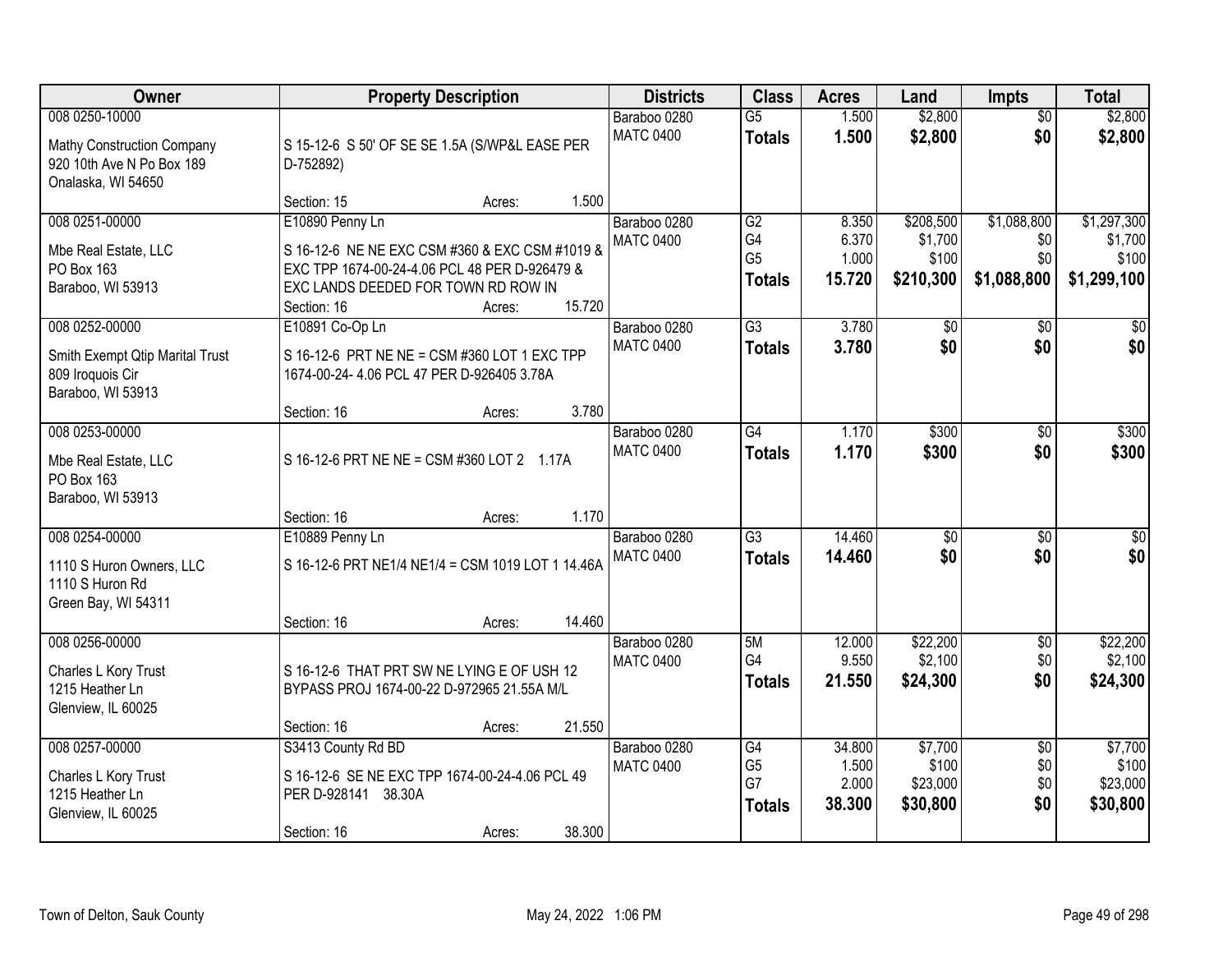| Owner                                                                                           |                                                                                                                                                                          | <b>Property Description</b> |        | <b>Districts</b>                 | <b>Class</b>                                             | <b>Acres</b>                       | Land                                       | <b>Impts</b>                             | <b>Total</b>                                   |
|-------------------------------------------------------------------------------------------------|--------------------------------------------------------------------------------------------------------------------------------------------------------------------------|-----------------------------|--------|----------------------------------|----------------------------------------------------------|------------------------------------|--------------------------------------------|------------------------------------------|------------------------------------------------|
| 008 0250-10000<br>Mathy Construction Company<br>920 10th Ave N Po Box 189<br>Onalaska, WI 54650 | S 15-12-6 S 50' OF SE SE 1.5A (S/WP&L EASE PER<br>D-752892)                                                                                                              |                             |        | Baraboo 0280<br><b>MATC 0400</b> | $\overline{G5}$<br><b>Totals</b>                         | 1.500<br>1.500                     | \$2,800<br>\$2,800                         | $\overline{50}$<br>\$0                   | \$2,800<br>\$2,800                             |
|                                                                                                 | Section: 15                                                                                                                                                              | Acres:                      | 1.500  |                                  |                                                          |                                    |                                            |                                          |                                                |
| 008 0251-00000<br>Mbe Real Estate, LLC<br>PO Box 163<br>Baraboo, WI 53913                       | E10890 Penny Ln<br>S 16-12-6 NE NE EXC CSM #360 & EXC CSM #1019 &<br>EXC TPP 1674-00-24-4.06 PCL 48 PER D-926479 &<br>EXC LANDS DEEDED FOR TOWN RD ROW IN<br>Section: 16 | Acres:                      | 15.720 | Baraboo 0280<br><b>MATC 0400</b> | $\overline{G2}$<br>G4<br>G <sub>5</sub><br><b>Totals</b> | 8.350<br>6.370<br>1.000<br>15.720  | \$208,500<br>\$1,700<br>\$100<br>\$210,300 | \$1,088,800<br>\$0<br>\$0<br>\$1,088,800 | \$1,297,300<br>\$1,700<br>\$100<br>\$1,299,100 |
| 008 0252-00000                                                                                  | E10891 Co-Op Ln                                                                                                                                                          |                             |        | Baraboo 0280                     | $\overline{G3}$                                          | 3.780                              | \$0                                        | \$0                                      | $\sqrt{50}$                                    |
| Smith Exempt Qtip Marital Trust<br>809 Iroquois Cir<br>Baraboo, WI 53913                        | S 16-12-6 PRT NE NE = CSM #360 LOT 1 EXC TPP<br>1674-00-24- 4.06 PCL 47 PER D-926405 3.78A                                                                               |                             |        | <b>MATC 0400</b>                 | <b>Totals</b>                                            | 3.780                              | \$0                                        | \$0                                      | \$0                                            |
| 008 0253-00000                                                                                  | Section: 16                                                                                                                                                              | Acres:                      | 3.780  | Baraboo 0280                     | $\overline{G4}$                                          | 1.170                              | \$300                                      | $\sqrt[6]{3}$                            | \$300                                          |
| Mbe Real Estate, LLC<br>PO Box 163<br>Baraboo, WI 53913                                         | S 16-12-6 PRT NE NE = CSM #360 LOT 2 1.17A                                                                                                                               |                             |        | <b>MATC 0400</b>                 | <b>Totals</b>                                            | 1.170                              | \$300                                      | \$0                                      | \$300                                          |
|                                                                                                 | Section: 16                                                                                                                                                              | Acres:                      | 1.170  |                                  |                                                          |                                    |                                            |                                          |                                                |
| 008 0254-00000<br>1110 S Huron Owners, LLC<br>1110 S Huron Rd<br>Green Bay, WI 54311            | E10889 Penny Ln<br>S 16-12-6 PRT NE1/4 NE1/4 = CSM 1019 LOT 1 14.46A<br>Section: 16                                                                                      | Acres:                      | 14.460 | Baraboo 0280<br><b>MATC 0400</b> | $\overline{G3}$<br><b>Totals</b>                         | 14.460<br>14.460                   | $\overline{50}$<br>\$0                     | \$0<br>\$0                               | $\sqrt{50}$<br>\$0                             |
| 008 0256-00000                                                                                  |                                                                                                                                                                          |                             |        | Baraboo 0280                     | 5M                                                       | 12.000                             | \$22,200                                   | $\sqrt{$0}$                              | \$22,200                                       |
| Charles L Kory Trust<br>1215 Heather Ln<br>Glenview, IL 60025                                   | S 16-12-6 THAT PRT SW NE LYING E OF USH 12<br>BYPASS PROJ 1674-00-22 D-972965 21.55A M/L                                                                                 |                             |        | <b>MATC 0400</b>                 | G4<br><b>Totals</b>                                      | 9.550<br>21.550                    | \$2,100<br>\$24,300                        | \$0<br>\$0                               | \$2,100<br>\$24,300                            |
|                                                                                                 | Section: 16                                                                                                                                                              | Acres:                      | 21.550 |                                  |                                                          |                                    |                                            |                                          |                                                |
| 008 0257-00000<br>Charles L Kory Trust<br>1215 Heather Ln<br>Glenview, IL 60025                 | S3413 County Rd BD<br>S 16-12-6 SE NE EXC TPP 1674-00-24-4.06 PCL 49<br>PER D-928141 38.30A<br>Section: 16                                                               | Acres:                      | 38.300 | Baraboo 0280<br><b>MATC 0400</b> | G4<br>G <sub>5</sub><br>G7<br><b>Totals</b>              | 34.800<br>1.500<br>2.000<br>38.300 | \$7,700<br>\$100<br>\$23,000<br>\$30,800   | $\overline{50}$<br>\$0<br>\$0<br>\$0     | \$7,700<br>\$100<br>\$23,000<br>\$30,800       |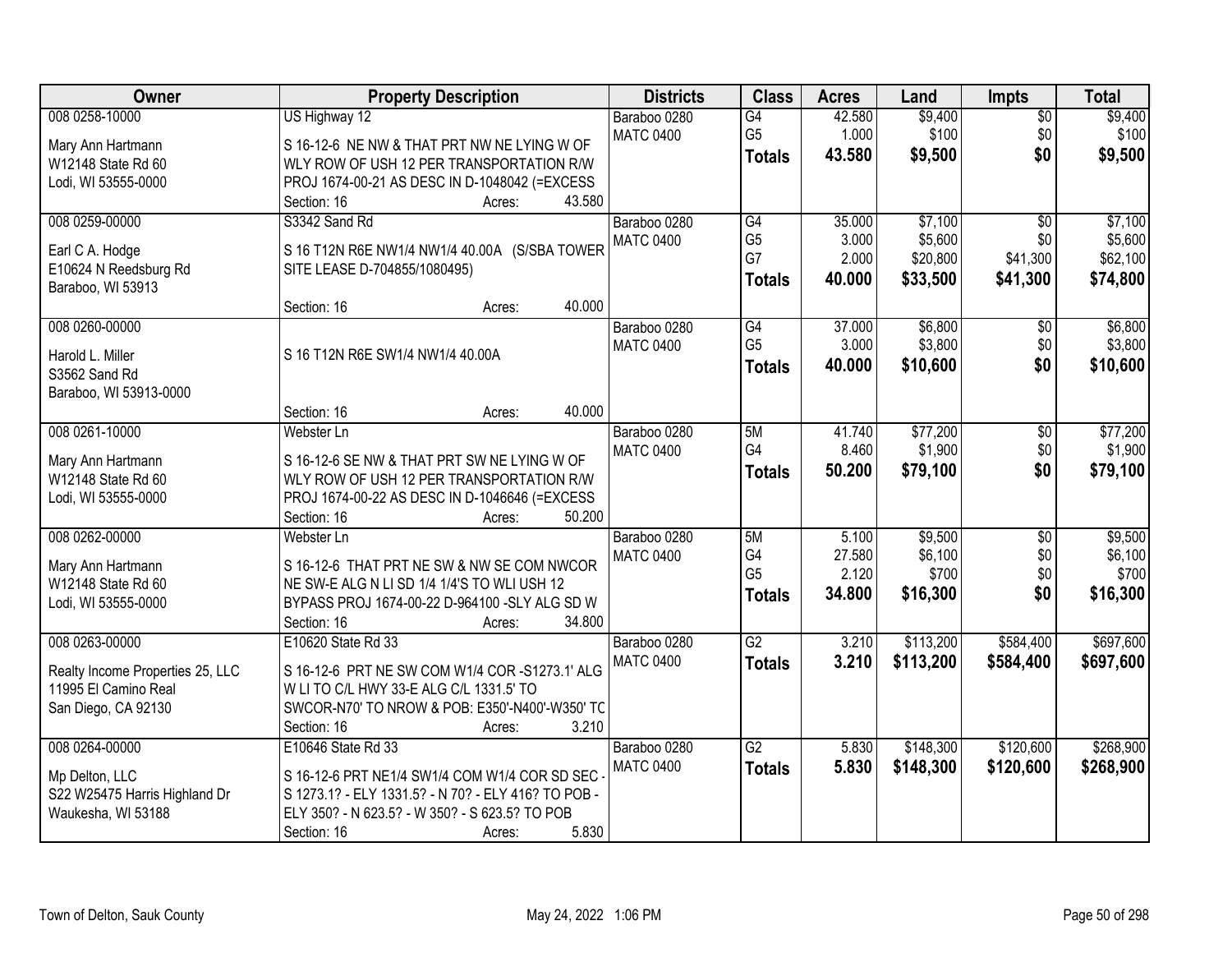| Owner                                      | <b>Property Description</b>                         | <b>Districts</b>                 | <b>Class</b>    | <b>Acres</b> | Land                | Impts           | <b>Total</b>        |
|--------------------------------------------|-----------------------------------------------------|----------------------------------|-----------------|--------------|---------------------|-----------------|---------------------|
| 008 0258-10000                             | US Highway 12                                       | Baraboo 0280                     | G4              | 42.580       | \$9,400             | $\overline{50}$ | \$9,400             |
| Mary Ann Hartmann                          | S 16-12-6 NE NW & THAT PRT NW NE LYING W OF         | <b>MATC 0400</b>                 | G <sub>5</sub>  | 1.000        | \$100               | \$0             | \$100               |
| W12148 State Rd 60                         | WLY ROW OF USH 12 PER TRANSPORTATION R/W            |                                  | <b>Totals</b>   | 43.580       | \$9,500             | \$0             | \$9,500             |
| Lodi, WI 53555-0000                        | PROJ 1674-00-21 AS DESC IN D-1048042 (=EXCESS       |                                  |                 |              |                     |                 |                     |
|                                            | 43.580<br>Section: 16<br>Acres:                     |                                  |                 |              |                     |                 |                     |
| 008 0259-00000                             | S3342 Sand Rd                                       | Baraboo 0280                     | $\overline{G4}$ | 35.000       | \$7,100             | $\overline{50}$ | \$7,100             |
|                                            |                                                     | <b>MATC 0400</b>                 | G <sub>5</sub>  | 3.000        | \$5,600             | \$0             | \$5,600             |
| Earl C A. Hodge                            | S 16 T12N R6E NW1/4 NW1/4 40.00A (S/SBA TOWER       |                                  | G7              | 2.000        | \$20,800            | \$41,300        | \$62,100            |
| E10624 N Reedsburg Rd<br>Baraboo, WI 53913 | SITE LEASE D-704855/1080495)                        |                                  | <b>Totals</b>   | 40.000       | \$33,500            | \$41,300        | \$74,800            |
|                                            | 40.000<br>Section: 16<br>Acres:                     |                                  |                 |              |                     |                 |                     |
| 008 0260-00000                             |                                                     | Baraboo 0280                     | $\overline{G4}$ | 37.000       | \$6,800             | $\overline{50}$ | \$6,800             |
|                                            |                                                     | <b>MATC 0400</b>                 | G <sub>5</sub>  | 3.000        | \$3,800             | \$0             | \$3,800             |
| Harold L. Miller                           | S 16 T12N R6E SW1/4 NW1/4 40.00A                    |                                  | <b>Totals</b>   | 40.000       | \$10,600            | \$0             | \$10,600            |
| S3562 Sand Rd                              |                                                     |                                  |                 |              |                     |                 |                     |
| Baraboo, WI 53913-0000                     | 40.000                                              |                                  |                 |              |                     |                 |                     |
| 008 0261-10000                             | Section: 16<br>Acres:<br>Webster Ln                 |                                  | 5M              | 41.740       |                     |                 |                     |
|                                            |                                                     | Baraboo 0280<br><b>MATC 0400</b> | G4              | 8.460        | \$77,200<br>\$1,900 | \$0<br>\$0      | \$77,200<br>\$1,900 |
| Mary Ann Hartmann                          | S 16-12-6 SE NW & THAT PRT SW NE LYING W OF         |                                  |                 | 50.200       |                     | \$0             |                     |
| W12148 State Rd 60                         | WLY ROW OF USH 12 PER TRANSPORTATION R/W            |                                  | <b>Totals</b>   |              | \$79,100            |                 | \$79,100            |
| Lodi, WI 53555-0000                        | PROJ 1674-00-22 AS DESC IN D-1046646 (=EXCESS       |                                  |                 |              |                     |                 |                     |
|                                            | 50.200<br>Section: 16<br>Acres:                     |                                  |                 |              |                     |                 |                     |
| 008 0262-00000                             | Webster Ln                                          | Baraboo 0280                     | 5M              | 5.100        | \$9,500             | $\overline{50}$ | \$9,500             |
| Mary Ann Hartmann                          | S 16-12-6 THAT PRT NE SW & NW SE COM NWCOR          | <b>MATC 0400</b>                 | G4              | 27.580       | \$6,100             | \$0             | \$6,100             |
| W12148 State Rd 60                         | NE SW-E ALG N LI SD 1/4 1/4'S TO WLI USH 12         |                                  | G <sub>5</sub>  | 2.120        | \$700               | \$0             | \$700               |
| Lodi, WI 53555-0000                        | BYPASS PROJ 1674-00-22 D-964100 -SLY ALG SD W       |                                  | <b>Totals</b>   | 34.800       | \$16,300            | \$0             | \$16,300            |
|                                            | 34.800<br>Section: 16<br>Acres:                     |                                  |                 |              |                     |                 |                     |
| 008 0263-00000                             | E10620 State Rd 33                                  | Baraboo 0280                     | $\overline{G2}$ | 3.210        | \$113,200           | \$584,400       | \$697,600           |
| Realty Income Properties 25, LLC           | S 16-12-6 PRT NE SW COM W1/4 COR -S1273.1' ALG      | <b>MATC 0400</b>                 | <b>Totals</b>   | 3.210        | \$113,200           | \$584,400       | \$697,600           |
| 11995 El Camino Real                       | W LI TO C/L HWY 33-E ALG C/L 1331.5' TO             |                                  |                 |              |                     |                 |                     |
| San Diego, CA 92130                        | SWCOR-N70' TO NROW & POB: E350'-N400'-W350' TC      |                                  |                 |              |                     |                 |                     |
|                                            | Section: 16<br>3.210<br>Acres:                      |                                  |                 |              |                     |                 |                     |
| 008 0264-00000                             | E10646 State Rd 33                                  | Baraboo 0280                     | $\overline{G2}$ | 5.830        | \$148,300           | \$120,600       | \$268,900           |
|                                            |                                                     | <b>MATC 0400</b>                 | <b>Totals</b>   | 5.830        | \$148,300           | \$120,600       | \$268,900           |
| Mp Delton, LLC                             | S 16-12-6 PRT NE1/4 SW1/4 COM W1/4 COR SD SEC       |                                  |                 |              |                     |                 |                     |
| S22 W25475 Harris Highland Dr              | S 1273.1? - ELY 1331.5? - N 70? - ELY 416? TO POB - |                                  |                 |              |                     |                 |                     |
| Waukesha, WI 53188                         | ELY 350? - N 623.5? - W 350? - S 623.5? TO POB      |                                  |                 |              |                     |                 |                     |
|                                            | 5.830<br>Section: 16<br>Acres:                      |                                  |                 |              |                     |                 |                     |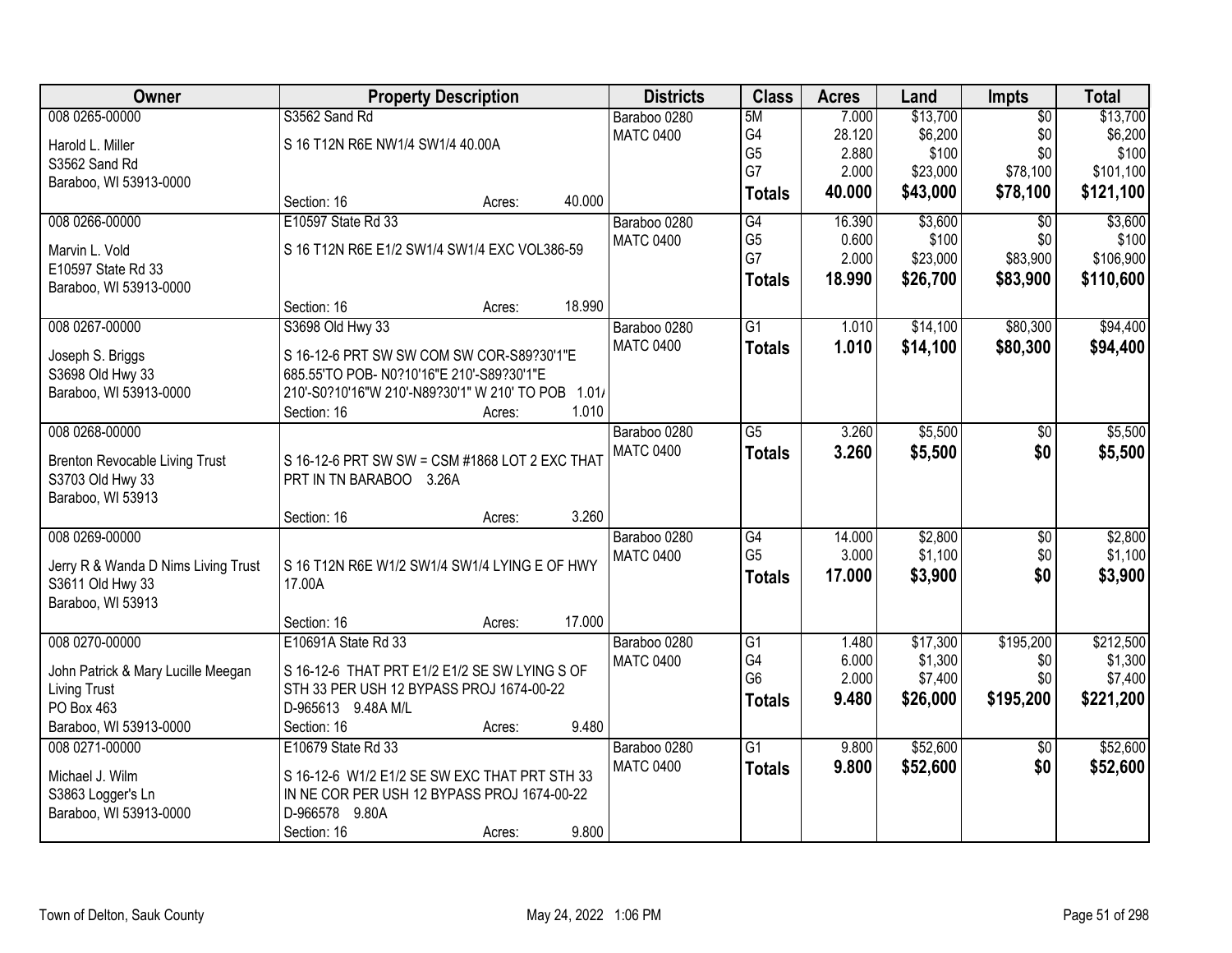| <b>Owner</b>                          | <b>Property Description</b>                        |        |        | <b>Districts</b> | <b>Class</b>    | <b>Acres</b> | Land     | <b>Impts</b>    | <b>Total</b> |
|---------------------------------------|----------------------------------------------------|--------|--------|------------------|-----------------|--------------|----------|-----------------|--------------|
| 008 0265-00000                        | S3562 Sand Rd                                      |        |        | Baraboo 0280     | 5M              | 7.000        | \$13,700 | $\overline{50}$ | \$13,700     |
| Harold L. Miller                      | S 16 T12N R6E NW1/4 SW1/4 40.00A                   |        |        | <b>MATC 0400</b> | G4              | 28.120       | \$6,200  | \$0             | \$6,200      |
| S3562 Sand Rd                         |                                                    |        |        |                  | G <sub>5</sub>  | 2.880        | \$100    | \$0             | \$100        |
| Baraboo, WI 53913-0000                |                                                    |        |        |                  | G7              | 2.000        | \$23,000 | \$78,100        | \$101,100    |
|                                       | Section: 16                                        | Acres: | 40.000 |                  | <b>Totals</b>   | 40.000       | \$43,000 | \$78,100        | \$121,100    |
| 008 0266-00000                        | E10597 State Rd 33                                 |        |        | Baraboo 0280     | G4              | 16.390       | \$3,600  | \$0             | \$3,600      |
|                                       |                                                    |        |        | <b>MATC 0400</b> | G <sub>5</sub>  | 0.600        | \$100    | \$0             | \$100        |
| Marvin L. Vold                        | S 16 T12N R6E E1/2 SW1/4 SW1/4 EXC VOL386-59       |        |        |                  | G7              | 2.000        | \$23,000 | \$83,900        | \$106,900    |
| E10597 State Rd 33                    |                                                    |        |        |                  | <b>Totals</b>   | 18.990       | \$26,700 | \$83,900        | \$110,600    |
| Baraboo, WI 53913-0000                |                                                    |        |        |                  |                 |              |          |                 |              |
|                                       | Section: 16                                        | Acres: | 18.990 |                  |                 |              |          |                 |              |
| 008 0267-00000                        | S3698 Old Hwy 33                                   |        |        | Baraboo 0280     | G1              | 1.010        | \$14,100 | \$80,300        | \$94,400     |
| Joseph S. Briggs                      | S 16-12-6 PRT SW SW COM SW COR-S89?30'1"E          |        |        | <b>MATC 0400</b> | <b>Totals</b>   | 1.010        | \$14,100 | \$80,300        | \$94,400     |
| S3698 Old Hwy 33                      | 685.55'TO POB- N0?10'16"E 210'-S89?30'1"E          |        |        |                  |                 |              |          |                 |              |
| Baraboo, WI 53913-0000                | 210'-S0?10'16"W 210'-N89?30'1" W 210' TO POB 1.01/ |        |        |                  |                 |              |          |                 |              |
|                                       | Section: 16                                        | Acres: | 1.010  |                  |                 |              |          |                 |              |
| 008 0268-00000                        |                                                    |        |        | Baraboo 0280     | $\overline{G5}$ | 3.260        | \$5,500  | \$0             | \$5,500      |
|                                       |                                                    |        |        | <b>MATC 0400</b> | <b>Totals</b>   | 3.260        | \$5,500  | \$0             | \$5,500      |
| <b>Brenton Revocable Living Trust</b> | S 16-12-6 PRT SW SW = CSM #1868 LOT 2 EXC THAT     |        |        |                  |                 |              |          |                 |              |
| S3703 Old Hwy 33                      | PRT IN TN BARABOO 3.26A                            |        |        |                  |                 |              |          |                 |              |
| Baraboo, WI 53913                     |                                                    |        |        |                  |                 |              |          |                 |              |
|                                       | Section: 16                                        | Acres: | 3.260  |                  |                 |              |          |                 |              |
| 008 0269-00000                        |                                                    |        |        | Baraboo 0280     | G4              | 14.000       | \$2,800  | $\overline{50}$ | \$2,800      |
| Jerry R & Wanda D Nims Living Trust   | S 16 T12N R6E W1/2 SW1/4 SW1/4 LYING E OF HWY      |        |        | <b>MATC 0400</b> | G <sub>5</sub>  | 3.000        | \$1,100  | \$0             | \$1,100      |
| S3611 Old Hwy 33                      | 17.00A                                             |        |        |                  | <b>Totals</b>   | 17.000       | \$3,900  | \$0             | \$3,900      |
| Baraboo, WI 53913                     |                                                    |        |        |                  |                 |              |          |                 |              |
|                                       | Section: 16                                        | Acres: | 17.000 |                  |                 |              |          |                 |              |
| 008 0270-00000                        | E10691A State Rd 33                                |        |        | Baraboo 0280     | $\overline{G1}$ | 1.480        | \$17,300 | \$195,200       | \$212,500    |
| John Patrick & Mary Lucille Meegan    | S 16-12-6 THAT PRT E1/2 E1/2 SE SW LYING S OF      |        |        | <b>MATC 0400</b> | G4              | 6.000        | \$1,300  | \$0             | \$1,300      |
| <b>Living Trust</b>                   | STH 33 PER USH 12 BYPASS PROJ 1674-00-22           |        |        |                  | G <sub>6</sub>  | 2.000        | \$7,400  | \$0             | \$7,400      |
| PO Box 463                            | D-965613 9.48A M/L                                 |        |        |                  | <b>Totals</b>   | 9.480        | \$26,000 | \$195,200       | \$221,200    |
| Baraboo, WI 53913-0000                | Section: 16                                        | Acres: | 9.480  |                  |                 |              |          |                 |              |
| 008 0271-00000                        | E10679 State Rd 33                                 |        |        | Baraboo 0280     | $\overline{G1}$ | 9.800        | \$52,600 | $\overline{50}$ | \$52,600     |
|                                       |                                                    |        |        | <b>MATC 0400</b> | <b>Totals</b>   | 9.800        | \$52,600 | \$0             | \$52,600     |
| Michael J. Wilm                       | S 16-12-6 W1/2 E1/2 SE SW EXC THAT PRT STH 33      |        |        |                  |                 |              |          |                 |              |
| S3863 Logger's Ln                     | IN NE COR PER USH 12 BYPASS PROJ 1674-00-22        |        |        |                  |                 |              |          |                 |              |
| Baraboo, WI 53913-0000                | D-966578 9.80A                                     |        |        |                  |                 |              |          |                 |              |
|                                       | Section: 16                                        | Acres: | 9.800  |                  |                 |              |          |                 |              |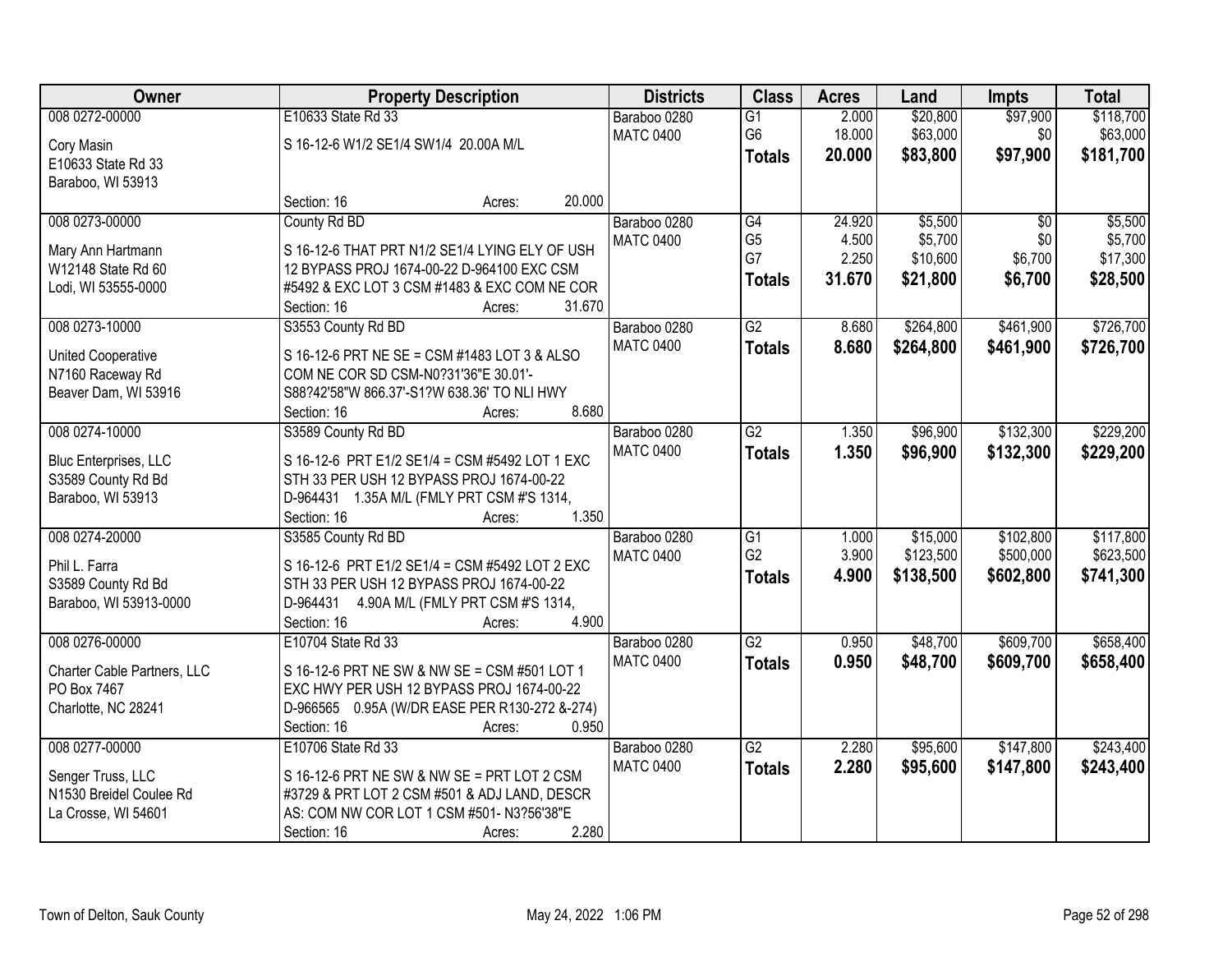| Owner                                       | <b>Property Description</b>                                                                |        | <b>Districts</b> | <b>Class</b>    | <b>Acres</b> | Land      | <b>Impts</b>    | <b>Total</b> |
|---------------------------------------------|--------------------------------------------------------------------------------------------|--------|------------------|-----------------|--------------|-----------|-----------------|--------------|
| 008 0272-00000                              | E10633 State Rd 33                                                                         |        | Baraboo 0280     | $\overline{G1}$ | 2.000        | \$20,800  | \$97,900        | \$118,700    |
| Cory Masin                                  | S 16-12-6 W1/2 SE1/4 SW1/4 20.00A M/L                                                      |        | <b>MATC 0400</b> | G6              | 18.000       | \$63,000  | \$0             | \$63,000     |
| E10633 State Rd 33                          |                                                                                            |        |                  | <b>Totals</b>   | 20.000       | \$83,800  | \$97,900        | \$181,700    |
| Baraboo, WI 53913                           |                                                                                            |        |                  |                 |              |           |                 |              |
|                                             | Section: 16<br>Acres:                                                                      | 20.000 |                  |                 |              |           |                 |              |
| 008 0273-00000                              | County Rd BD                                                                               |        | Baraboo 0280     | G4              | 24.920       | \$5,500   | $\overline{50}$ | \$5,500      |
| Mary Ann Hartmann                           | S 16-12-6 THAT PRT N1/2 SE1/4 LYING ELY OF USH                                             |        | <b>MATC 0400</b> | G <sub>5</sub>  | 4.500        | \$5,700   | \$0             | \$5,700      |
| W12148 State Rd 60                          | 12 BYPASS PROJ 1674-00-22 D-964100 EXC CSM                                                 |        |                  | G7              | 2.250        | \$10,600  | \$6,700         | \$17,300     |
| Lodi, WI 53555-0000                         | #5492 & EXC LOT 3 CSM #1483 & EXC COM NE COR                                               |        |                  | <b>Totals</b>   | 31.670       | \$21,800  | \$6,700         | \$28,500     |
|                                             | Section: 16<br>Acres:                                                                      | 31.670 |                  |                 |              |           |                 |              |
| 008 0273-10000                              | S3553 County Rd BD                                                                         |        | Baraboo 0280     | $\overline{G2}$ | 8.680        | \$264,800 | \$461,900       | \$726,700    |
| <b>United Cooperative</b>                   | S 16-12-6 PRT NE SE = CSM #1483 LOT 3 & ALSO                                               |        | <b>MATC 0400</b> | <b>Totals</b>   | 8.680        | \$264,800 | \$461,900       | \$726,700    |
| N7160 Raceway Rd                            | COM NE COR SD CSM-N0?31'36"E 30.01'-                                                       |        |                  |                 |              |           |                 |              |
| Beaver Dam, WI 53916                        | S88?42'58"W 866.37'-S1?W 638.36' TO NLI HWY                                                |        |                  |                 |              |           |                 |              |
|                                             | Section: 16<br>Acres:                                                                      | 8.680  |                  |                 |              |           |                 |              |
| 008 0274-10000                              | S3589 County Rd BD                                                                         |        | Baraboo 0280     | $\overline{G2}$ | 1.350        | \$96,900  | \$132,300       | \$229,200    |
|                                             | S 16-12-6 PRT E1/2 SE1/4 = CSM #5492 LOT 1 EXC                                             |        | <b>MATC 0400</b> | <b>Totals</b>   | 1.350        | \$96,900  | \$132,300       | \$229,200    |
| Bluc Enterprises, LLC<br>S3589 County Rd Bd | STH 33 PER USH 12 BYPASS PROJ 1674-00-22                                                   |        |                  |                 |              |           |                 |              |
| Baraboo, WI 53913                           | D-964431 1.35A M/L (FMLY PRT CSM #'S 1314,                                                 |        |                  |                 |              |           |                 |              |
|                                             | Section: 16<br>Acres:                                                                      | 1.350  |                  |                 |              |           |                 |              |
| 008 0274-20000                              | S3585 County Rd BD                                                                         |        | Baraboo 0280     | $\overline{G1}$ | 1.000        | \$15,000  | \$102,800       | \$117,800    |
|                                             |                                                                                            |        | <b>MATC 0400</b> | G <sub>2</sub>  | 3.900        | \$123,500 | \$500,000       | \$623,500    |
| Phil L. Farra<br>S3589 County Rd Bd         | S 16-12-6 PRT E1/2 SE1/4 = CSM #5492 LOT 2 EXC<br>STH 33 PER USH 12 BYPASS PROJ 1674-00-22 |        |                  | <b>Totals</b>   | 4.900        | \$138,500 | \$602,800       | \$741,300    |
| Baraboo, WI 53913-0000                      | D-964431 4.90A M/L (FMLY PRT CSM #'S 1314,                                                 |        |                  |                 |              |           |                 |              |
|                                             | Section: 16<br>Acres:                                                                      | 4.900  |                  |                 |              |           |                 |              |
| 008 0276-00000                              | E10704 State Rd 33                                                                         |        | Baraboo 0280     | $\overline{G2}$ | 0.950        | \$48,700  | \$609,700       | \$658,400    |
|                                             |                                                                                            |        | <b>MATC 0400</b> | <b>Totals</b>   | 0.950        | \$48,700  | \$609,700       | \$658,400    |
| Charter Cable Partners, LLC                 | S 16-12-6 PRT NE SW & NW SE = CSM #501 LOT 1                                               |        |                  |                 |              |           |                 |              |
| PO Box 7467                                 | EXC HWY PER USH 12 BYPASS PROJ 1674-00-22                                                  |        |                  |                 |              |           |                 |              |
| Charlotte, NC 28241                         | D-966565 0.95A (W/DR EASE PER R130-272 &-274)<br>Section: 16<br>Acres:                     | 0.950  |                  |                 |              |           |                 |              |
| 008 0277-00000                              | E10706 State Rd 33                                                                         |        | Baraboo 0280     | $\overline{G2}$ | 2.280        | \$95,600  | \$147,800       | \$243,400    |
|                                             |                                                                                            |        | <b>MATC 0400</b> | <b>Totals</b>   | 2.280        | \$95,600  | \$147,800       | \$243,400    |
| Senger Truss, LLC                           | S 16-12-6 PRT NE SW & NW SE = PRT LOT 2 CSM                                                |        |                  |                 |              |           |                 |              |
| N1530 Breidel Coulee Rd                     | #3729 & PRT LOT 2 CSM #501 & ADJ LAND, DESCR                                               |        |                  |                 |              |           |                 |              |
| La Crosse, WI 54601                         | AS: COM NW COR LOT 1 CSM #501- N3?56'38"E                                                  |        |                  |                 |              |           |                 |              |
|                                             | Section: 16<br>Acres:                                                                      | 2.280  |                  |                 |              |           |                 |              |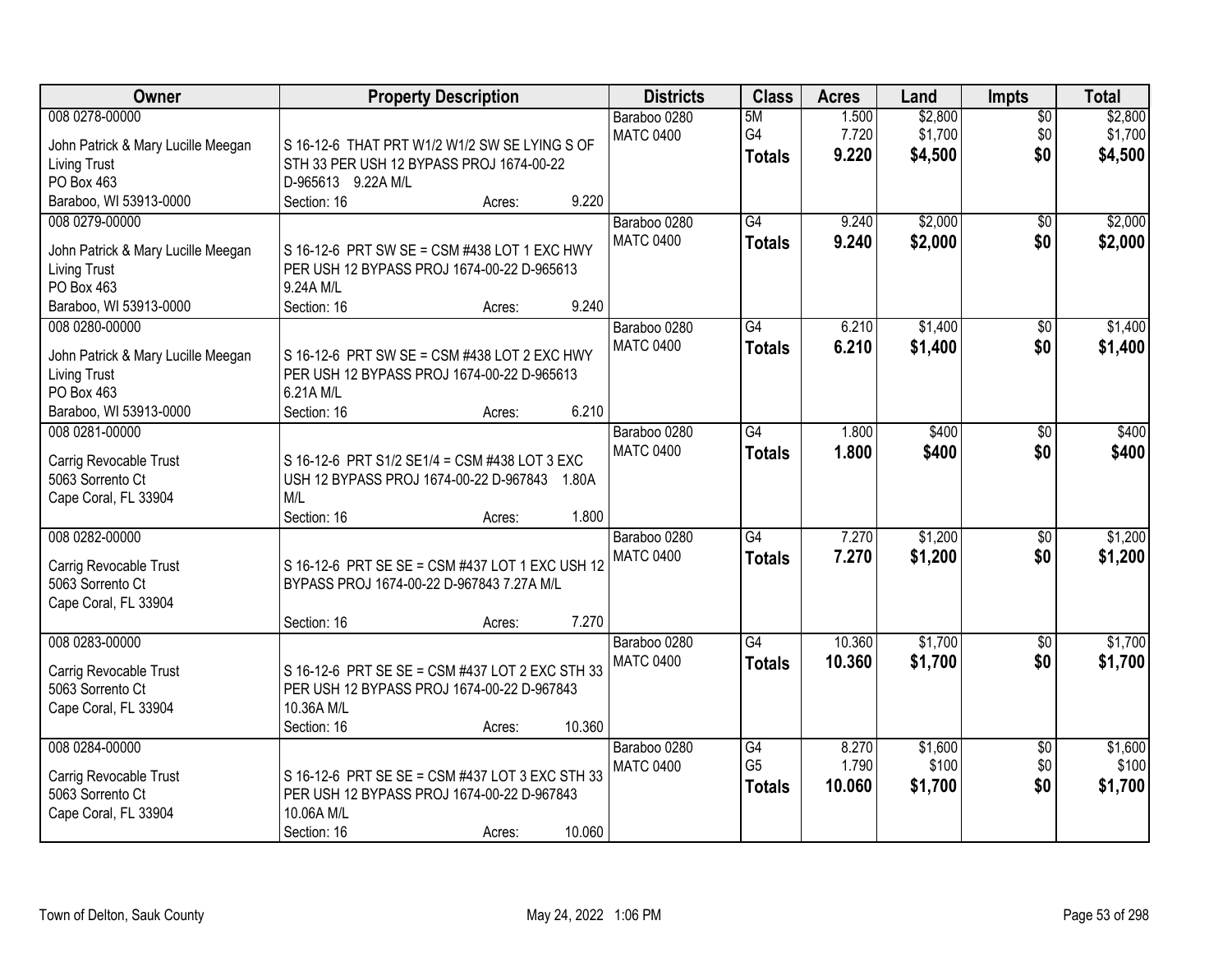| Owner                              | <b>Property Description</b>                     | <b>Districts</b>                 | <b>Class</b>                     | <b>Acres</b>   | Land               | <b>Impts</b>           | <b>Total</b>       |
|------------------------------------|-------------------------------------------------|----------------------------------|----------------------------------|----------------|--------------------|------------------------|--------------------|
| 008 0278-00000                     |                                                 | Baraboo 0280<br><b>MATC 0400</b> | 5M<br>G4                         | 1.500<br>7.720 | \$2,800<br>\$1,700 | $\overline{50}$<br>\$0 | \$2,800<br>\$1,700 |
| John Patrick & Mary Lucille Meegan | S 16-12-6 THAT PRT W1/2 W1/2 SW SE LYING S OF   |                                  | <b>Totals</b>                    | 9.220          | \$4,500            | \$0                    | \$4,500            |
| <b>Living Trust</b>                | STH 33 PER USH 12 BYPASS PROJ 1674-00-22        |                                  |                                  |                |                    |                        |                    |
| PO Box 463                         | D-965613 9.22A M/L                              |                                  |                                  |                |                    |                        |                    |
| Baraboo, WI 53913-0000             | 9.220<br>Section: 16<br>Acres:                  |                                  |                                  |                |                    |                        |                    |
| 008 0279-00000                     |                                                 | Baraboo 0280<br><b>MATC 0400</b> | $\overline{G4}$<br><b>Totals</b> | 9.240<br>9.240 | \$2,000<br>\$2,000 | $\overline{50}$<br>\$0 | \$2,000<br>\$2,000 |
| John Patrick & Mary Lucille Meegan | S 16-12-6 PRT SW SE = CSM #438 LOT 1 EXC HWY    |                                  |                                  |                |                    |                        |                    |
| <b>Living Trust</b>                | PER USH 12 BYPASS PROJ 1674-00-22 D-965613      |                                  |                                  |                |                    |                        |                    |
| PO Box 463                         | 9.24A M/L                                       |                                  |                                  |                |                    |                        |                    |
| Baraboo, WI 53913-0000             | 9.240<br>Section: 16<br>Acres:                  |                                  |                                  |                |                    |                        |                    |
| 008 0280-00000                     |                                                 | Baraboo 0280                     | $\overline{G4}$                  | 6.210          | \$1,400            | \$0                    | \$1,400            |
| John Patrick & Mary Lucille Meegan | S 16-12-6 PRT SW SE = CSM #438 LOT 2 EXC HWY    | <b>MATC 0400</b>                 | <b>Totals</b>                    | 6.210          | \$1,400            | \$0                    | \$1,400            |
| <b>Living Trust</b>                | PER USH 12 BYPASS PROJ 1674-00-22 D-965613      |                                  |                                  |                |                    |                        |                    |
| PO Box 463                         | 6.21A M/L                                       |                                  |                                  |                |                    |                        |                    |
| Baraboo, WI 53913-0000             | 6.210<br>Section: 16<br>Acres:                  |                                  |                                  |                |                    |                        |                    |
| 008 0281-00000                     |                                                 | Baraboo 0280                     | $\overline{G4}$                  | 1.800          | \$400              | \$0                    | \$400              |
|                                    |                                                 | <b>MATC 0400</b>                 | <b>Totals</b>                    | 1.800          | \$400              | \$0                    | \$400              |
| Carrig Revocable Trust             | S 16-12-6 PRT S1/2 SE1/4 = CSM #438 LOT 3 EXC   |                                  |                                  |                |                    |                        |                    |
| 5063 Sorrento Ct                   | USH 12 BYPASS PROJ 1674-00-22 D-967843 1.80A    |                                  |                                  |                |                    |                        |                    |
| Cape Coral, FL 33904               | M/L                                             |                                  |                                  |                |                    |                        |                    |
|                                    | 1.800<br>Section: 16<br>Acres:                  |                                  |                                  |                |                    |                        |                    |
| 008 0282-00000                     |                                                 | Baraboo 0280                     | $\overline{G4}$                  | 7.270          | \$1,200            | $\overline{50}$        | \$1,200            |
| Carrig Revocable Trust             | S 16-12-6 PRT SE SE = CSM #437 LOT 1 EXC USH 12 | <b>MATC 0400</b>                 | <b>Totals</b>                    | 7.270          | \$1,200            | \$0                    | \$1,200            |
| 5063 Sorrento Ct                   | BYPASS PROJ 1674-00-22 D-967843 7.27A M/L       |                                  |                                  |                |                    |                        |                    |
| Cape Coral, FL 33904               |                                                 |                                  |                                  |                |                    |                        |                    |
|                                    | 7.270<br>Section: 16<br>Acres:                  |                                  |                                  |                |                    |                        |                    |
| 008 0283-00000                     |                                                 | Baraboo 0280                     | G4                               | 10.360         | \$1,700            |                        | \$1,700            |
|                                    |                                                 | <b>MATC 0400</b>                 |                                  | 10.360         |                    | \$0<br>\$0             |                    |
| Carrig Revocable Trust             | S 16-12-6 PRT SE SE = CSM #437 LOT 2 EXC STH 33 |                                  | <b>Totals</b>                    |                | \$1,700            |                        | \$1,700            |
| 5063 Sorrento Ct                   | PER USH 12 BYPASS PROJ 1674-00-22 D-967843      |                                  |                                  |                |                    |                        |                    |
| Cape Coral, FL 33904               | 10.36A M/L                                      |                                  |                                  |                |                    |                        |                    |
|                                    | 10.360<br>Section: 16<br>Acres:                 |                                  |                                  |                |                    |                        |                    |
| 008 0284-00000                     |                                                 | Baraboo 0280                     | G4                               | 8.270          | \$1,600            | $\overline{30}$        | \$1,600            |
|                                    |                                                 | <b>MATC 0400</b>                 | G <sub>5</sub>                   | 1.790          | \$100              | \$0                    | \$100              |
| Carrig Revocable Trust             | S 16-12-6 PRT SE SE = CSM #437 LOT 3 EXC STH 33 |                                  | <b>Totals</b>                    | 10.060         | \$1,700            | \$0                    | \$1,700            |
| 5063 Sorrento Ct                   | PER USH 12 BYPASS PROJ 1674-00-22 D-967843      |                                  |                                  |                |                    |                        |                    |
| Cape Coral, FL 33904               | 10.06A M/L                                      |                                  |                                  |                |                    |                        |                    |
|                                    | 10.060<br>Section: 16<br>Acres:                 |                                  |                                  |                |                    |                        |                    |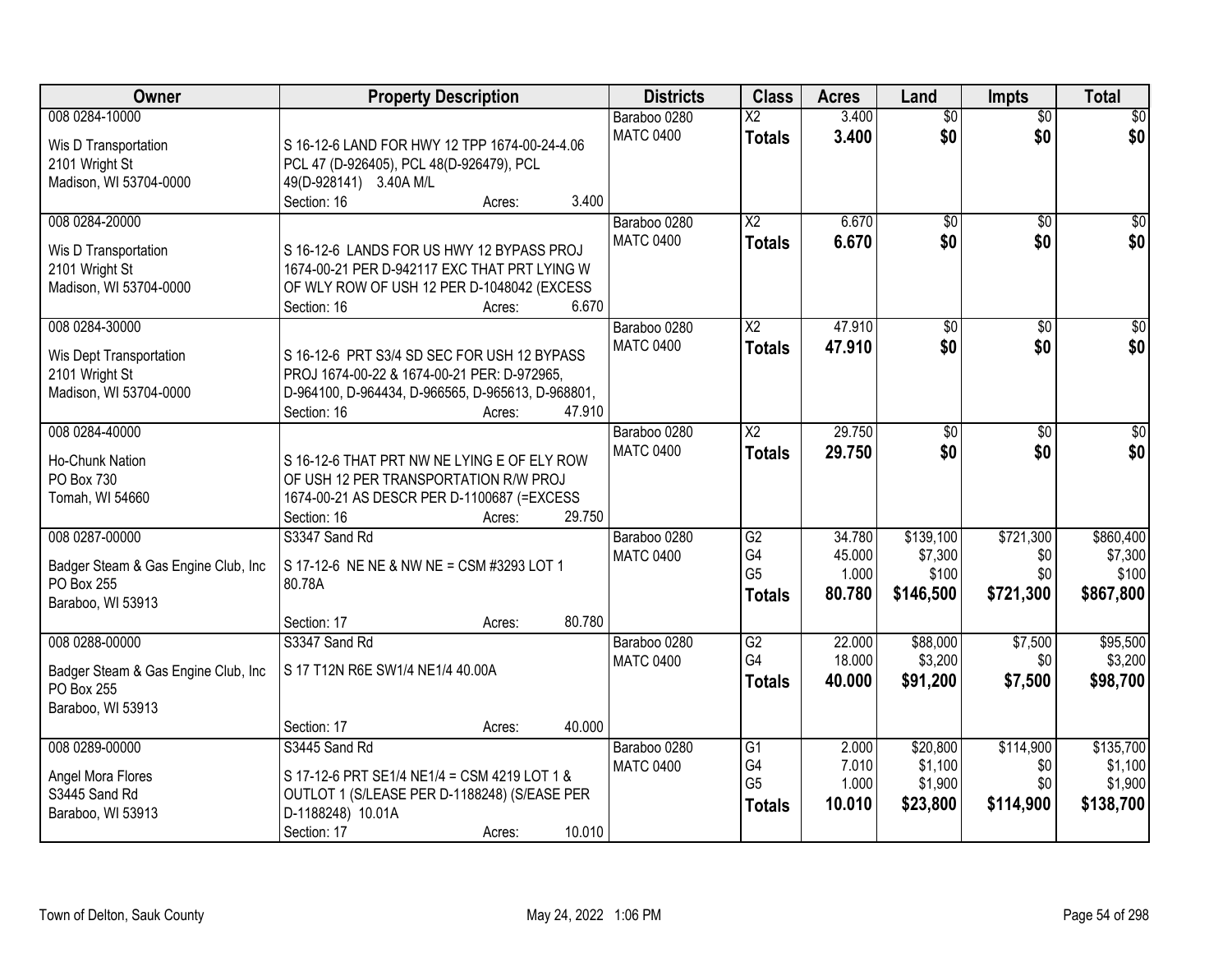| Owner                               | <b>Property Description</b>                                         | <b>Districts</b> | <b>Class</b>           | <b>Acres</b> | Land            | <b>Impts</b>    | <b>Total</b>    |
|-------------------------------------|---------------------------------------------------------------------|------------------|------------------------|--------------|-----------------|-----------------|-----------------|
| 008 0284-10000                      |                                                                     | Baraboo 0280     | $\overline{X2}$        | 3.400        | $\overline{60}$ | $\overline{50}$ | \$0             |
| Wis D Transportation                | S 16-12-6 LAND FOR HWY 12 TPP 1674-00-24-4.06                       | <b>MATC 0400</b> | <b>Totals</b>          | 3.400        | \$0             | \$0             | \$0             |
| 2101 Wright St                      | PCL 47 (D-926405), PCL 48(D-926479), PCL                            |                  |                        |              |                 |                 |                 |
| Madison, WI 53704-0000              | 49(D-928141) 3.40A M/L                                              |                  |                        |              |                 |                 |                 |
|                                     | 3.400<br>Section: 16<br>Acres:                                      |                  |                        |              |                 |                 |                 |
| 008 0284-20000                      |                                                                     | Baraboo 0280     | $\overline{\text{X2}}$ | 6.670        | $\overline{50}$ | $\overline{50}$ | \$0             |
|                                     |                                                                     | <b>MATC 0400</b> | <b>Totals</b>          | 6.670        | \$0             | \$0             | \$0             |
| Wis D Transportation                | S 16-12-6 LANDS FOR US HWY 12 BYPASS PROJ                           |                  |                        |              |                 |                 |                 |
| 2101 Wright St                      | 1674-00-21 PER D-942117 EXC THAT PRT LYING W                        |                  |                        |              |                 |                 |                 |
| Madison, WI 53704-0000              | OF WLY ROW OF USH 12 PER D-1048042 (EXCESS                          |                  |                        |              |                 |                 |                 |
|                                     | 6.670<br>Section: 16<br>Acres:                                      |                  |                        |              |                 |                 |                 |
| 008 0284-30000                      |                                                                     | Baraboo 0280     | $\overline{X2}$        | 47.910       | $\overline{50}$ | $\sqrt[6]{}$    | $\overline{30}$ |
| Wis Dept Transportation             | S 16-12-6 PRT S3/4 SD SEC FOR USH 12 BYPASS                         | <b>MATC 0400</b> | <b>Totals</b>          | 47.910       | \$0             | \$0             | \$0             |
| 2101 Wright St                      | PROJ 1674-00-22 & 1674-00-21 PER: D-972965,                         |                  |                        |              |                 |                 |                 |
| Madison, WI 53704-0000              | D-964100, D-964434, D-966565, D-965613, D-968801,                   |                  |                        |              |                 |                 |                 |
|                                     | Section: 16<br>47.910<br>Acres:                                     |                  |                        |              |                 |                 |                 |
| 008 0284-40000                      |                                                                     | Baraboo 0280     | $\overline{\text{X2}}$ | 29.750       | \$0             | $\sqrt[6]{3}$   | $\sqrt{50}$     |
|                                     |                                                                     | <b>MATC 0400</b> | <b>Totals</b>          | 29.750       | \$0             | \$0             | \$0             |
| Ho-Chunk Nation<br>PO Box 730       | S 16-12-6 THAT PRT NW NE LYING E OF ELY ROW                         |                  |                        |              |                 |                 |                 |
|                                     | OF USH 12 PER TRANSPORTATION R/W PROJ                               |                  |                        |              |                 |                 |                 |
| Tomah, WI 54660                     | 1674-00-21 AS DESCR PER D-1100687 (=EXCESS<br>29.750<br>Section: 16 |                  |                        |              |                 |                 |                 |
| 008 0287-00000                      | Acres:<br>S3347 Sand Rd                                             |                  | G2                     | 34.780       | \$139,100       | \$721,300       | \$860,400       |
|                                     |                                                                     | Baraboo 0280     | G4                     | 45.000       | \$7,300         | \$0             | \$7,300         |
| Badger Steam & Gas Engine Club, Inc | S 17-12-6 NE NE & NW NE = CSM #3293 LOT 1                           | <b>MATC 0400</b> | G <sub>5</sub>         | 1.000        | \$100           | \$0             | \$100           |
| PO Box 255                          | 80.78A                                                              |                  |                        |              |                 |                 |                 |
| Baraboo, WI 53913                   |                                                                     |                  | <b>Totals</b>          | 80.780       | \$146,500       | \$721,300       | \$867,800       |
|                                     | 80.780<br>Section: 17<br>Acres:                                     |                  |                        |              |                 |                 |                 |
| 008 0288-00000                      | S3347 Sand Rd                                                       | Baraboo 0280     | $\overline{G2}$        | 22.000       | \$88,000        | \$7,500         | \$95,500        |
| Badger Steam & Gas Engine Club, Inc | S 17 T12N R6E SW1/4 NE1/4 40.00A                                    | <b>MATC 0400</b> | G4                     | 18.000       | \$3,200         | \$0             | \$3,200         |
| PO Box 255                          |                                                                     |                  | <b>Totals</b>          | 40.000       | \$91,200        | \$7,500         | \$98,700        |
| Baraboo, WI 53913                   |                                                                     |                  |                        |              |                 |                 |                 |
|                                     | 40.000<br>Section: 17<br>Acres:                                     |                  |                        |              |                 |                 |                 |
| 008 0289-00000                      | S3445 Sand Rd                                                       | Baraboo 0280     | G1                     | 2.000        | \$20,800        | \$114,900       | \$135,700       |
|                                     |                                                                     | <b>MATC 0400</b> | G4                     | 7.010        | \$1,100         | \$0             | \$1,100         |
| Angel Mora Flores                   | S 17-12-6 PRT SE1/4 NE1/4 = CSM 4219 LOT 1 &                        |                  | G <sub>5</sub>         | 1.000        | \$1,900         | \$0             | \$1,900         |
| S3445 Sand Rd                       | OUTLOT 1 (S/LEASE PER D-1188248) (S/EASE PER                        |                  | <b>Totals</b>          | 10.010       | \$23,800        | \$114,900       | \$138,700       |
| Baraboo, WI 53913                   | D-1188248) 10.01A                                                   |                  |                        |              |                 |                 |                 |
|                                     | 10.010<br>Section: 17<br>Acres:                                     |                  |                        |              |                 |                 |                 |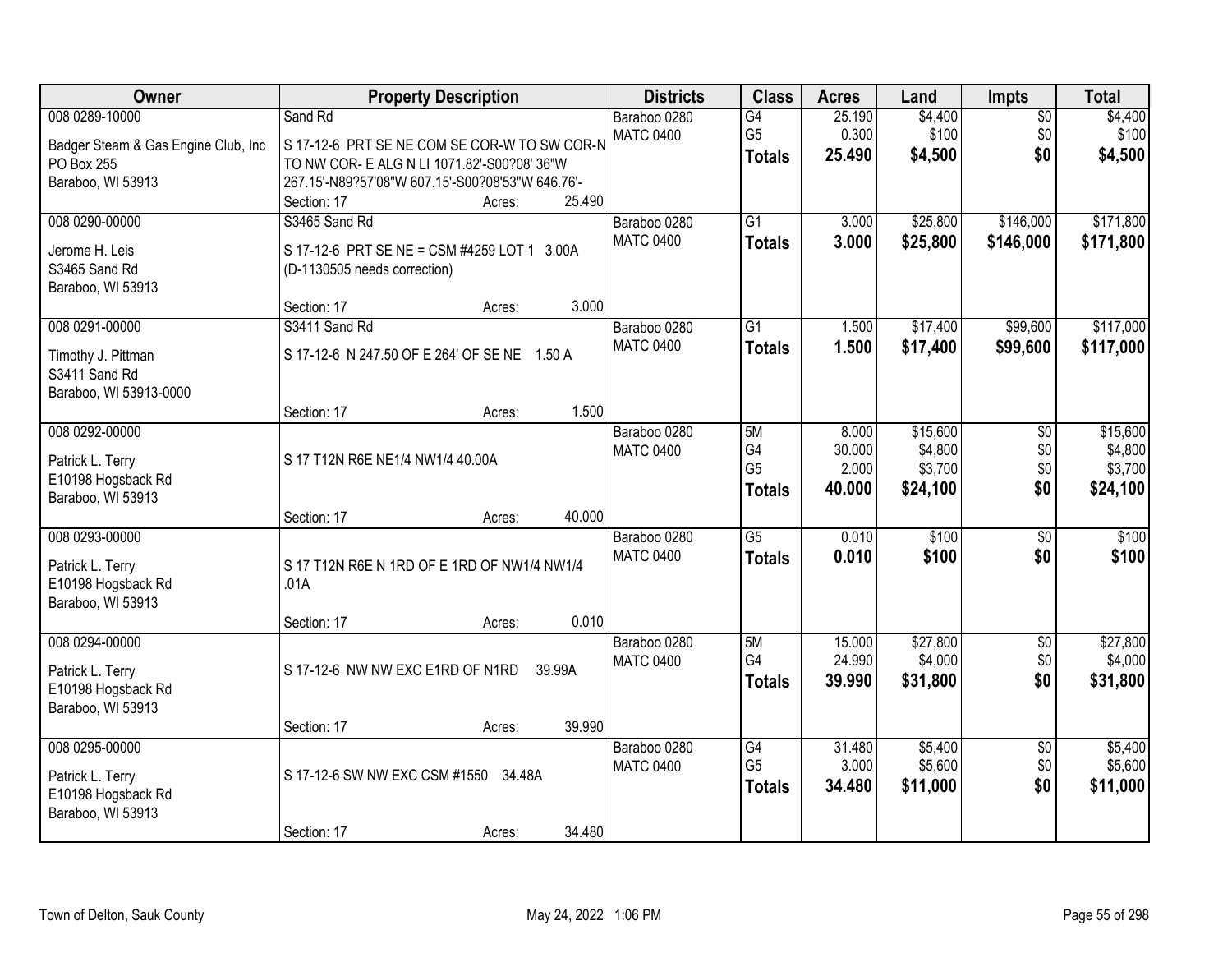| Owner                               | <b>Property Description</b>                      | <b>Districts</b> | <b>Class</b>    | <b>Acres</b>    | Land     | Impts           | <b>Total</b> |
|-------------------------------------|--------------------------------------------------|------------------|-----------------|-----------------|----------|-----------------|--------------|
| 008 0289-10000                      | Sand Rd                                          | Baraboo 0280     | G4              | 25.190          | \$4,400  | $\overline{50}$ | \$4,400      |
| Badger Steam & Gas Engine Club, Inc | S 17-12-6 PRT SE NE COM SE COR-W TO SW COR-N     | <b>MATC 0400</b> | G <sub>5</sub>  | 0.300<br>25.490 | \$100    | \$0<br>\$0      | \$100        |
| PO Box 255                          | TO NW COR- E ALG N LI 1071.82'-S00?08' 36"W      |                  | <b>Totals</b>   |                 | \$4,500  |                 | \$4,500      |
| Baraboo, WI 53913                   | 267.15'-N89?57'08"W 607.15'-S00?08'53"W 646.76'- |                  |                 |                 |          |                 |              |
|                                     | 25.490<br>Section: 17<br>Acres:                  |                  |                 |                 |          |                 |              |
| 008 0290-00000                      | S3465 Sand Rd                                    | Baraboo 0280     | $\overline{G1}$ | 3.000           | \$25,800 | \$146,000       | \$171,800    |
| Jerome H. Leis                      | S 17-12-6 PRT SE NE = CSM #4259 LOT 1 3.00A      | <b>MATC 0400</b> | <b>Totals</b>   | 3.000           | \$25,800 | \$146,000       | \$171,800    |
| S3465 Sand Rd                       | (D-1130505 needs correction)                     |                  |                 |                 |          |                 |              |
| Baraboo, WI 53913                   |                                                  |                  |                 |                 |          |                 |              |
|                                     | 3.000<br>Section: 17<br>Acres:                   |                  |                 |                 |          |                 |              |
| 008 0291-00000                      | S3411 Sand Rd                                    | Baraboo 0280     | $\overline{G1}$ | 1.500           | \$17,400 | \$99,600        | \$117,000    |
| Timothy J. Pittman                  | S 17-12-6 N 247.50 OF E 264' OF SE NE 1.50 A     | <b>MATC 0400</b> | <b>Totals</b>   | 1.500           | \$17,400 | \$99,600        | \$117,000    |
| S3411 Sand Rd                       |                                                  |                  |                 |                 |          |                 |              |
| Baraboo, WI 53913-0000              |                                                  |                  |                 |                 |          |                 |              |
|                                     | 1.500<br>Section: 17<br>Acres:                   |                  |                 |                 |          |                 |              |
| 008 0292-00000                      |                                                  | Baraboo 0280     | 5M              | 8.000           | \$15,600 | $\overline{50}$ | \$15,600     |
| Patrick L. Terry                    | S 17 T12N R6E NE1/4 NW1/4 40.00A                 | <b>MATC 0400</b> | G4              | 30.000          | \$4,800  | \$0             | \$4,800      |
| E10198 Hogsback Rd                  |                                                  |                  | G <sub>5</sub>  | 2.000           | \$3,700  | \$0             | \$3,700      |
| Baraboo, WI 53913                   |                                                  |                  | <b>Totals</b>   | 40.000          | \$24,100 | \$0             | \$24,100     |
|                                     | 40.000<br>Section: 17<br>Acres:                  |                  |                 |                 |          |                 |              |
| 008 0293-00000                      |                                                  | Baraboo 0280     | $\overline{G5}$ | 0.010           | \$100    | $\overline{50}$ | \$100        |
| Patrick L. Terry                    | S 17 T12N R6E N 1RD OF E 1RD OF NW1/4 NW1/4      | <b>MATC 0400</b> | <b>Totals</b>   | 0.010           | \$100    | \$0             | \$100        |
| E10198 Hogsback Rd                  | .01A                                             |                  |                 |                 |          |                 |              |
| Baraboo, WI 53913                   |                                                  |                  |                 |                 |          |                 |              |
|                                     | 0.010<br>Section: 17<br>Acres:                   |                  |                 |                 |          |                 |              |
| 008 0294-00000                      |                                                  | Baraboo 0280     | 5M              | 15.000          | \$27,800 | $\overline{50}$ | \$27,800     |
| Patrick L. Terry                    | S 17-12-6 NW NW EXC E1RD OF N1RD<br>39.99A       | <b>MATC 0400</b> | G4              | 24.990          | \$4,000  | \$0             | \$4,000      |
| E10198 Hogsback Rd                  |                                                  |                  | <b>Totals</b>   | 39.990          | \$31,800 | \$0             | \$31,800     |
| Baraboo, WI 53913                   |                                                  |                  |                 |                 |          |                 |              |
|                                     | 39.990<br>Section: 17<br>Acres:                  |                  |                 |                 |          |                 |              |
| 008 0295-00000                      |                                                  | Baraboo 0280     | $\overline{G4}$ | 31.480          | \$5,400  | $\overline{50}$ | \$5,400      |
| Patrick L. Terry                    | S 17-12-6 SW NW EXC CSM #1550 34.48A             | <b>MATC 0400</b> | G <sub>5</sub>  | 3.000           | \$5,600  | \$0             | \$5,600      |
| E10198 Hogsback Rd                  |                                                  |                  | <b>Totals</b>   | 34.480          | \$11,000 | \$0             | \$11,000     |
| Baraboo, WI 53913                   |                                                  |                  |                 |                 |          |                 |              |
|                                     | 34.480<br>Section: 17<br>Acres:                  |                  |                 |                 |          |                 |              |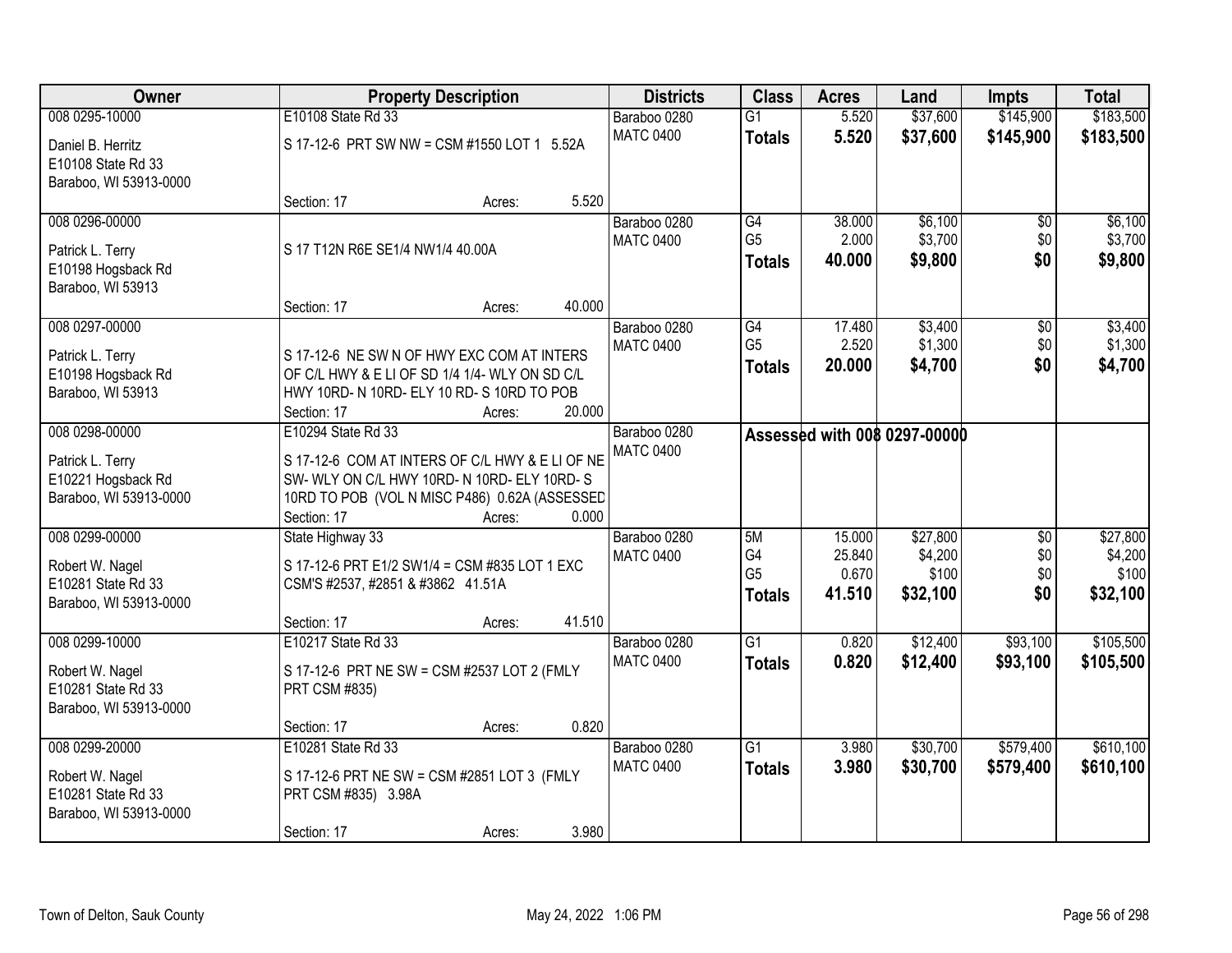| Owner                  |                                                 | <b>Property Description</b> |        | <b>Districts</b> | <b>Class</b>         | <b>Acres</b>    | Land                                | <b>Impts</b>    | <b>Total</b>     |
|------------------------|-------------------------------------------------|-----------------------------|--------|------------------|----------------------|-----------------|-------------------------------------|-----------------|------------------|
| 008 0295-10000         | E10108 State Rd 33                              |                             |        | Baraboo 0280     | $\overline{G1}$      | 5.520           | \$37,600                            | \$145,900       | \$183,500        |
| Daniel B. Herritz      | S 17-12-6 PRT SW NW = CSM #1550 LOT 1 5.52A     |                             |        | <b>MATC 0400</b> | <b>Totals</b>        | 5.520           | \$37,600                            | \$145,900       | \$183,500        |
| E10108 State Rd 33     |                                                 |                             |        |                  |                      |                 |                                     |                 |                  |
| Baraboo, WI 53913-0000 |                                                 |                             |        |                  |                      |                 |                                     |                 |                  |
|                        | Section: 17                                     | Acres:                      | 5.520  |                  |                      |                 |                                     |                 |                  |
| 008 0296-00000         |                                                 |                             |        | Baraboo 0280     | G4                   | 38.000          | \$6,100                             | $\overline{50}$ | \$6,100          |
| Patrick L. Terry       | S 17 T12N R6E SE1/4 NW1/4 40.00A                |                             |        | <b>MATC 0400</b> | G <sub>5</sub>       | 2.000           | \$3,700                             | \$0             | \$3,700          |
| E10198 Hogsback Rd     |                                                 |                             |        |                  | <b>Totals</b>        | 40.000          | \$9,800                             | \$0             | \$9,800          |
| Baraboo, WI 53913      |                                                 |                             |        |                  |                      |                 |                                     |                 |                  |
|                        | Section: 17                                     | Acres:                      | 40.000 |                  |                      |                 |                                     |                 |                  |
| 008 0297-00000         |                                                 |                             |        | Baraboo 0280     | G4                   | 17.480          | \$3,400                             | $\sqrt[6]{3}$   | \$3,400          |
| Patrick L. Terry       | S 17-12-6 NE SW N OF HWY EXC COM AT INTERS      |                             |        | <b>MATC 0400</b> | G <sub>5</sub>       | 2.520           | \$1,300                             | \$0             | \$1,300          |
| E10198 Hogsback Rd     | OF C/L HWY & E LI OF SD 1/4 1/4- WLY ON SD C/L  |                             |        |                  | <b>Totals</b>        | 20.000          | \$4,700                             | \$0             | \$4,700          |
| Baraboo, WI 53913      | HWY 10RD- N 10RD- ELY 10 RD- S 10RD TO POB      |                             |        |                  |                      |                 |                                     |                 |                  |
|                        | Section: 17                                     | Acres:                      | 20.000 |                  |                      |                 |                                     |                 |                  |
| 008 0298-00000         | E10294 State Rd 33                              |                             |        | Baraboo 0280     |                      |                 | <b>Assessed with 008 0297-00000</b> |                 |                  |
| Patrick L. Terry       | S 17-12-6 COM AT INTERS OF C/L HWY & E LI OF NE |                             |        | <b>MATC 0400</b> |                      |                 |                                     |                 |                  |
| E10221 Hogsback Rd     | SW- WLY ON C/L HWY 10RD- N 10RD- ELY 10RD- S    |                             |        |                  |                      |                 |                                     |                 |                  |
| Baraboo, WI 53913-0000 | 10RD TO POB (VOL N MISC P486) 0.62A (ASSESSED   |                             |        |                  |                      |                 |                                     |                 |                  |
|                        | Section: 17                                     | Acres:                      | 0.000  |                  |                      |                 |                                     |                 |                  |
| 008 0299-00000         | State Highway 33                                |                             |        | Baraboo 0280     | 5M                   | 15.000          | \$27,800                            | $\overline{$0}$ | \$27,800         |
| Robert W. Nagel        | S 17-12-6 PRT E1/2 SW1/4 = CSM #835 LOT 1 EXC   |                             |        | <b>MATC 0400</b> | G4<br>G <sub>5</sub> | 25.840<br>0.670 | \$4,200<br>\$100                    | \$0<br>\$0      | \$4,200<br>\$100 |
| E10281 State Rd 33     | CSM'S #2537, #2851 & #3862 41.51A               |                             |        |                  | <b>Totals</b>        | 41.510          | \$32,100                            | \$0             | \$32,100         |
| Baraboo, WI 53913-0000 |                                                 |                             |        |                  |                      |                 |                                     |                 |                  |
|                        | Section: 17                                     | Acres:                      | 41.510 |                  |                      |                 |                                     |                 |                  |
| 008 0299-10000         | E10217 State Rd 33                              |                             |        | Baraboo 0280     | $\overline{G1}$      | 0.820           | \$12,400                            | \$93,100        | \$105,500        |
| Robert W. Nagel        | S 17-12-6 PRT NE SW = CSM #2537 LOT 2 (FMLY     |                             |        | <b>MATC 0400</b> | <b>Totals</b>        | 0.820           | \$12,400                            | \$93,100        | \$105,500        |
| E10281 State Rd 33     | PRT CSM #835)                                   |                             |        |                  |                      |                 |                                     |                 |                  |
| Baraboo, WI 53913-0000 |                                                 |                             |        |                  |                      |                 |                                     |                 |                  |
|                        | Section: 17                                     | Acres:                      | 0.820  |                  |                      |                 |                                     |                 |                  |
| 008 0299-20000         | E10281 State Rd 33                              |                             |        | Baraboo 0280     | $\overline{G1}$      | 3.980           | \$30,700                            | \$579,400       | \$610,100        |
| Robert W. Nagel        | S 17-12-6 PRT NE SW = CSM #2851 LOT 3 (FMLY     |                             |        | <b>MATC 0400</b> | <b>Totals</b>        | 3.980           | \$30,700                            | \$579,400       | \$610,100        |
| E10281 State Rd 33     | PRT CSM #835) 3.98A                             |                             |        |                  |                      |                 |                                     |                 |                  |
| Baraboo, WI 53913-0000 |                                                 |                             |        |                  |                      |                 |                                     |                 |                  |
|                        | Section: 17                                     | Acres:                      | 3.980  |                  |                      |                 |                                     |                 |                  |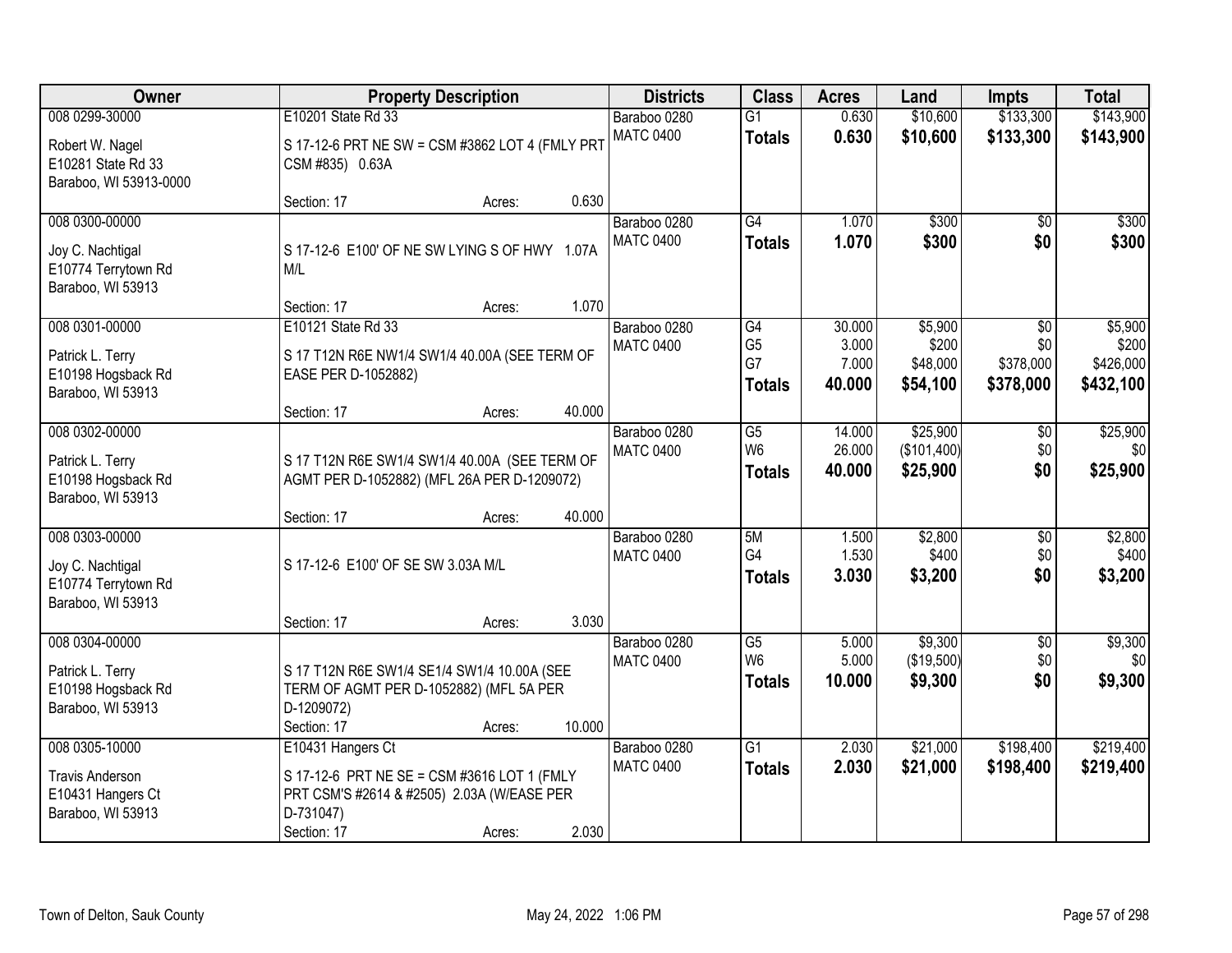| Owner                                                                          |                                                                                                                       | <b>Property Description</b> |        | <b>Districts</b>                 | <b>Class</b>                          | <b>Acres</b>               | Land                                | <b>Impts</b>                  | <b>Total</b>                    |
|--------------------------------------------------------------------------------|-----------------------------------------------------------------------------------------------------------------------|-----------------------------|--------|----------------------------------|---------------------------------------|----------------------------|-------------------------------------|-------------------------------|---------------------------------|
| 008 0299-30000                                                                 | E10201 State Rd 33                                                                                                    |                             |        | Baraboo 0280                     | $\overline{G1}$                       | 0.630                      | \$10,600                            | \$133,300                     | \$143,900                       |
| Robert W. Nagel<br>E10281 State Rd 33<br>Baraboo, WI 53913-0000                | S 17-12-6 PRT NE SW = CSM #3862 LOT 4 (FMLY PRT<br>CSM #835) 0.63A                                                    |                             |        | <b>MATC 0400</b>                 | <b>Totals</b>                         | 0.630                      | \$10,600                            | \$133,300                     | \$143,900                       |
|                                                                                | Section: 17                                                                                                           | Acres:                      | 0.630  |                                  |                                       |                            |                                     |                               |                                 |
| 008 0300-00000<br>Joy C. Nachtigal<br>E10774 Terrytown Rd<br>Baraboo, WI 53913 | S 17-12-6 E100' OF NE SW LYING S OF HWY 1.07A<br>M/L                                                                  |                             | 1.070  | Baraboo 0280<br><b>MATC 0400</b> | $\overline{G4}$<br><b>Totals</b>      | 1.070<br>1.070             | \$300<br>\$300                      | $\overline{50}$<br>\$0        | \$300<br>\$300                  |
| 008 0301-00000                                                                 | Section: 17<br>E10121 State Rd 33                                                                                     | Acres:                      |        | Baraboo 0280                     | G4                                    | 30.000                     | \$5,900                             | \$0                           | \$5,900                         |
| Patrick L. Terry<br>E10198 Hogsback Rd<br>Baraboo, WI 53913                    | S 17 T12N R6E NW1/4 SW1/4 40.00A (SEE TERM OF<br>EASE PER D-1052882)                                                  |                             |        | <b>MATC 0400</b>                 | G <sub>5</sub><br>G7<br><b>Totals</b> | 3.000<br>7.000<br>40.000   | \$200<br>\$48,000<br>\$54,100       | \$0<br>\$378,000<br>\$378,000 | \$200<br>\$426,000<br>\$432,100 |
|                                                                                | Section: 17                                                                                                           | Acres:                      | 40.000 |                                  |                                       |                            |                                     |                               |                                 |
| 008 0302-00000<br>Patrick L. Terry<br>E10198 Hogsback Rd<br>Baraboo, WI 53913  | S 17 T12N R6E SW1/4 SW1/4 40.00A (SEE TERM OF<br>AGMT PER D-1052882) (MFL 26A PER D-1209072)                          |                             |        | Baraboo 0280<br><b>MATC 0400</b> | G5<br>W <sub>6</sub><br><b>Totals</b> | 14.000<br>26.000<br>40.000 | \$25,900<br>(\$101,400)<br>\$25,900 | \$0<br>\$0<br>\$0             | \$25,900<br>\$0<br>\$25,900     |
|                                                                                | Section: 17                                                                                                           | Acres:                      | 40.000 |                                  |                                       |                            |                                     |                               |                                 |
| 008 0303-00000<br>Joy C. Nachtigal<br>E10774 Terrytown Rd<br>Baraboo, WI 53913 | S 17-12-6 E100' OF SE SW 3.03A M/L                                                                                    |                             | 3.030  | Baraboo 0280<br><b>MATC 0400</b> | 5M<br>G4<br><b>Totals</b>             | 1.500<br>1.530<br>3.030    | \$2,800<br>\$400<br>\$3,200         | $\overline{30}$<br>\$0<br>\$0 | \$2,800<br>\$400<br>\$3,200     |
| 008 0304-00000                                                                 | Section: 17                                                                                                           | Acres:                      |        | Baraboo 0280                     | $\overline{G5}$                       | 5.000                      | \$9,300                             | $\overline{50}$               | \$9,300                         |
| Patrick L. Terry<br>E10198 Hogsback Rd<br>Baraboo, WI 53913                    | S 17 T12N R6E SW1/4 SE1/4 SW1/4 10.00A (SEE<br>TERM OF AGMT PER D-1052882) (MFL 5A PER<br>D-1209072)<br>Section: 17   | Acres:                      | 10.000 | <b>MATC 0400</b>                 | W <sub>6</sub><br><b>Totals</b>       | 5.000<br>10,000            | (\$19,500)<br>\$9,300               | \$0<br>\$0                    | \$0<br>\$9,300                  |
| 008 0305-10000                                                                 | E10431 Hangers Ct                                                                                                     |                             |        | Baraboo 0280                     | $\overline{G1}$                       | 2.030                      | \$21,000                            | \$198,400                     | \$219,400                       |
| <b>Travis Anderson</b><br>E10431 Hangers Ct<br>Baraboo, WI 53913               | S 17-12-6 PRT NE SE = CSM #3616 LOT 1 (FMLY<br>PRT CSM'S #2614 & #2505) 2.03A (W/EASE PER<br>D-731047)<br>Section: 17 | Acres:                      | 2.030  | <b>MATC 0400</b>                 | <b>Totals</b>                         | 2.030                      | \$21,000                            | \$198,400                     | \$219,400                       |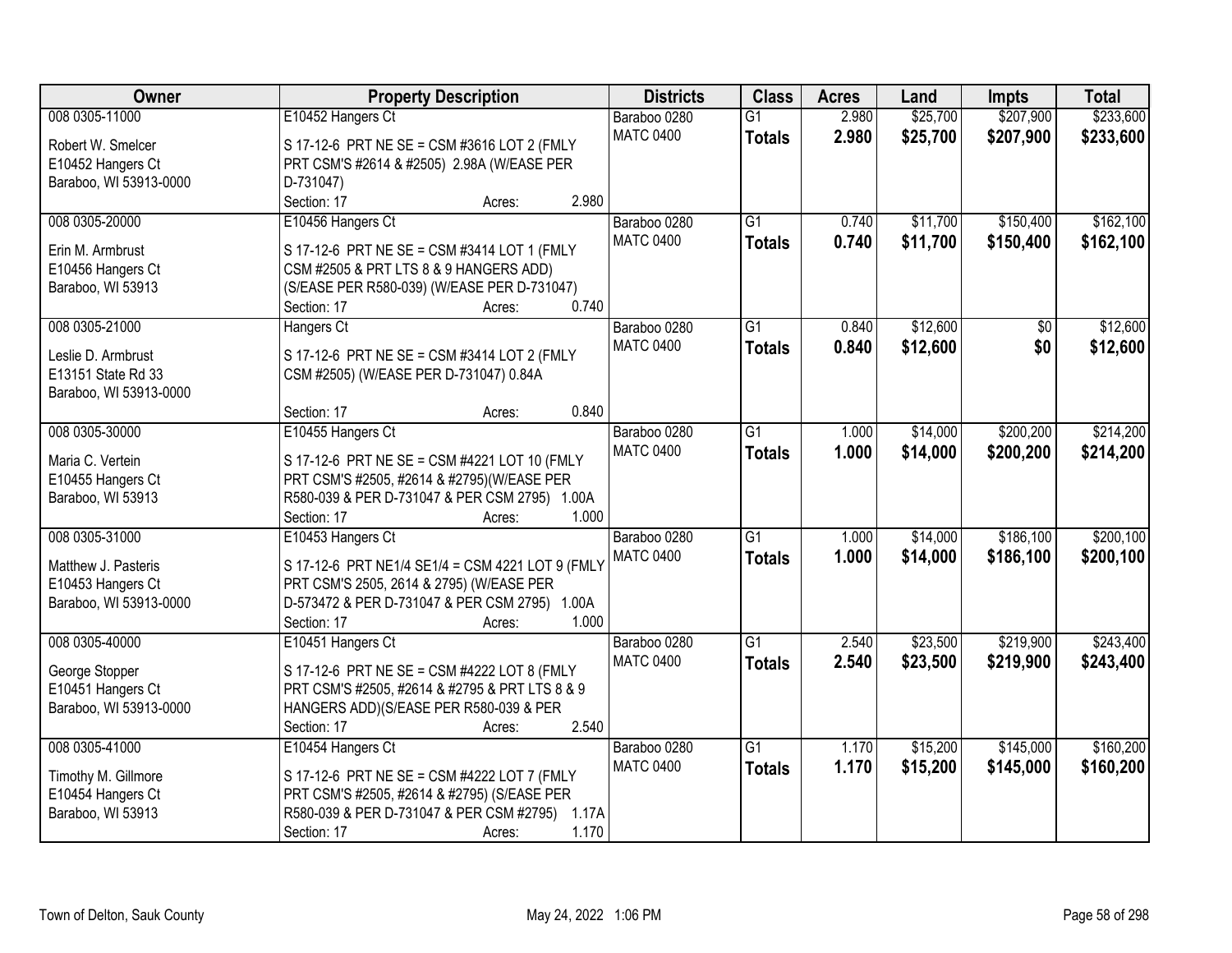| Owner                  | <b>Property Description</b>                                                   | <b>Districts</b> | <b>Class</b>    | <b>Acres</b> | Land     | <b>Impts</b>    | <b>Total</b> |
|------------------------|-------------------------------------------------------------------------------|------------------|-----------------|--------------|----------|-----------------|--------------|
| 008 0305-11000         | E10452 Hangers Ct                                                             | Baraboo 0280     | $\overline{G1}$ | 2.980        | \$25,700 | \$207,900       | \$233,600    |
| Robert W. Smelcer      | S 17-12-6 PRT NE SE = CSM #3616 LOT 2 (FMLY                                   | <b>MATC 0400</b> | <b>Totals</b>   | 2.980        | \$25,700 | \$207,900       | \$233,600    |
| E10452 Hangers Ct      | PRT CSM'S #2614 & #2505) 2.98A (W/EASE PER                                    |                  |                 |              |          |                 |              |
| Baraboo, WI 53913-0000 | D-731047)                                                                     |                  |                 |              |          |                 |              |
|                        | 2.980<br>Section: 17<br>Acres:                                                |                  |                 |              |          |                 |              |
| 008 0305-20000         | E10456 Hangers Ct                                                             | Baraboo 0280     | $\overline{G1}$ | 0.740        | \$11,700 | \$150,400       | \$162,100    |
|                        |                                                                               | <b>MATC 0400</b> | <b>Totals</b>   | 0.740        | \$11,700 | \$150,400       | \$162,100    |
| Erin M. Armbrust       | S 17-12-6 PRT NE SE = CSM #3414 LOT 1 (FMLY                                   |                  |                 |              |          |                 |              |
| E10456 Hangers Ct      | CSM #2505 & PRT LTS 8 & 9 HANGERS ADD)                                        |                  |                 |              |          |                 |              |
| Baraboo, WI 53913      | (S/EASE PER R580-039) (W/EASE PER D-731047)<br>0.740<br>Section: 17<br>Acres: |                  |                 |              |          |                 |              |
| 008 0305-21000         |                                                                               | Baraboo 0280     | $\overline{G1}$ | 0.840        | \$12,600 | $\overline{50}$ | \$12,600     |
|                        | Hangers Ct                                                                    | <b>MATC 0400</b> |                 |              |          |                 |              |
| Leslie D. Armbrust     | S 17-12-6 PRT NE SE = CSM #3414 LOT 2 (FMLY                                   |                  | <b>Totals</b>   | 0.840        | \$12,600 | \$0             | \$12,600     |
| E13151 State Rd 33     | CSM #2505) (W/EASE PER D-731047) 0.84A                                        |                  |                 |              |          |                 |              |
| Baraboo, WI 53913-0000 |                                                                               |                  |                 |              |          |                 |              |
|                        | 0.840<br>Section: 17<br>Acres:                                                |                  |                 |              |          |                 |              |
| 008 0305-30000         | E10455 Hangers Ct                                                             | Baraboo 0280     | G1              | 1.000        | \$14,000 | \$200,200       | \$214,200    |
| Maria C. Vertein       | S 17-12-6 PRT NE SE = CSM #4221 LOT 10 (FMLY                                  | <b>MATC 0400</b> | <b>Totals</b>   | 1.000        | \$14,000 | \$200,200       | \$214,200    |
| E10455 Hangers Ct      | PRT CSM'S #2505, #2614 & #2795)(W/EASE PER                                    |                  |                 |              |          |                 |              |
| Baraboo, WI 53913      | R580-039 & PER D-731047 & PER CSM 2795) 1.00A                                 |                  |                 |              |          |                 |              |
|                        | 1.000<br>Section: 17<br>Acres:                                                |                  |                 |              |          |                 |              |
| 008 0305-31000         | E10453 Hangers Ct                                                             | Baraboo 0280     | $\overline{G1}$ | 1.000        | \$14,000 | \$186,100       | \$200,100    |
|                        |                                                                               | <b>MATC 0400</b> |                 |              |          |                 |              |
| Matthew J. Pasteris    | S 17-12-6 PRT NE1/4 SE1/4 = CSM 4221 LOT 9 (FMLY                              |                  | <b>Totals</b>   | 1.000        | \$14,000 | \$186,100       | \$200,100    |
| E10453 Hangers Ct      | PRT CSM'S 2505, 2614 & 2795) (W/EASE PER                                      |                  |                 |              |          |                 |              |
| Baraboo, WI 53913-0000 | D-573472 & PER D-731047 & PER CSM 2795) 1.00A                                 |                  |                 |              |          |                 |              |
|                        | 1.000<br>Section: 17<br>Acres:                                                |                  |                 |              |          |                 |              |
| 008 0305-40000         | E10451 Hangers Ct                                                             | Baraboo 0280     | $\overline{G1}$ | 2.540        | \$23,500 | \$219,900       | \$243,400    |
| George Stopper         | S 17-12-6 PRT NE SE = CSM #4222 LOT 8 (FMLY                                   | <b>MATC 0400</b> | <b>Totals</b>   | 2.540        | \$23,500 | \$219,900       | \$243,400    |
| E10451 Hangers Ct      | PRT CSM'S #2505, #2614 & #2795 & PRT LTS 8 & 9                                |                  |                 |              |          |                 |              |
| Baraboo, WI 53913-0000 | HANGERS ADD)(S/EASE PER R580-039 & PER                                        |                  |                 |              |          |                 |              |
|                        | 2.540<br>Section: 17<br>Acres:                                                |                  |                 |              |          |                 |              |
| 008 0305-41000         | E10454 Hangers Ct                                                             | Baraboo 0280     | $\overline{G1}$ | 1.170        | \$15,200 | \$145,000       | \$160,200    |
|                        |                                                                               | <b>MATC 0400</b> | <b>Totals</b>   | 1.170        | \$15,200 | \$145,000       | \$160,200    |
| Timothy M. Gillmore    | S 17-12-6 PRT NE SE = CSM #4222 LOT 7 (FMLY                                   |                  |                 |              |          |                 |              |
| E10454 Hangers Ct      | PRT CSM'S #2505, #2614 & #2795) (S/EASE PER                                   |                  |                 |              |          |                 |              |
| Baraboo, WI 53913      | R580-039 & PER D-731047 & PER CSM #2795)<br>1.17A                             |                  |                 |              |          |                 |              |
|                        | 1.170<br>Section: 17<br>Acres:                                                |                  |                 |              |          |                 |              |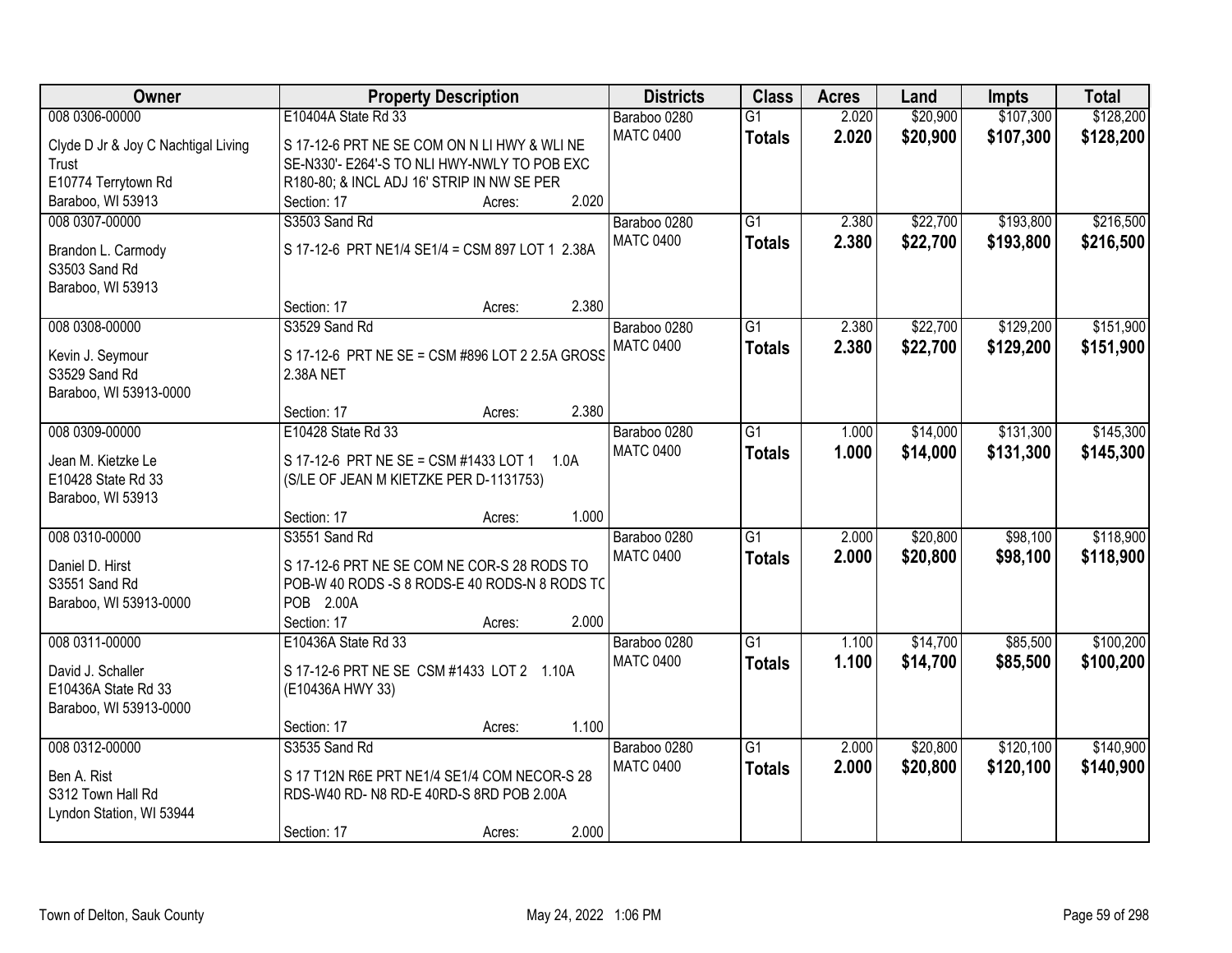| Owner                               | <b>Property Description</b>                     | <b>Districts</b> | <b>Class</b>    | <b>Acres</b> | Land     | <b>Impts</b> | <b>Total</b> |
|-------------------------------------|-------------------------------------------------|------------------|-----------------|--------------|----------|--------------|--------------|
| 008 0306-00000                      | E10404A State Rd 33                             | Baraboo 0280     | $\overline{G1}$ | 2.020        | \$20,900 | \$107,300    | \$128,200    |
| Clyde D Jr & Joy C Nachtigal Living | S 17-12-6 PRT NE SE COM ON N LI HWY & WLI NE    | <b>MATC 0400</b> | <b>Totals</b>   | 2.020        | \$20,900 | \$107,300    | \$128,200    |
| Trust                               | SE-N330'- E264'-S TO NLI HWY-NWLY TO POB EXC    |                  |                 |              |          |              |              |
| E10774 Terrytown Rd                 | R180-80; & INCL ADJ 16' STRIP IN NW SE PER      |                  |                 |              |          |              |              |
| Baraboo, WI 53913                   | 2.020<br>Section: 17<br>Acres:                  |                  |                 |              |          |              |              |
| 008 0307-00000                      | S3503 Sand Rd                                   | Baraboo 0280     | $\overline{G1}$ | 2.380        | \$22,700 | \$193,800    | \$216,500    |
|                                     | S 17-12-6 PRT NE1/4 SE1/4 = CSM 897 LOT 1 2.38A | <b>MATC 0400</b> | <b>Totals</b>   | 2.380        | \$22,700 | \$193,800    | \$216,500    |
| Brandon L. Carmody<br>S3503 Sand Rd |                                                 |                  |                 |              |          |              |              |
| Baraboo, WI 53913                   |                                                 |                  |                 |              |          |              |              |
|                                     | 2.380<br>Section: 17<br>Acres:                  |                  |                 |              |          |              |              |
| 008 0308-00000                      | S3529 Sand Rd                                   | Baraboo 0280     | G1              | 2.380        | \$22,700 | \$129,200    | \$151,900    |
|                                     |                                                 | <b>MATC 0400</b> | <b>Totals</b>   | 2.380        | \$22,700 | \$129,200    | \$151,900    |
| Kevin J. Seymour                    | S 17-12-6 PRT NE SE = CSM #896 LOT 2 2.5A GROSS |                  |                 |              |          |              |              |
| S3529 Sand Rd                       | 2.38A NET                                       |                  |                 |              |          |              |              |
| Baraboo, WI 53913-0000              |                                                 |                  |                 |              |          |              |              |
|                                     | 2.380<br>Section: 17<br>Acres:                  |                  |                 |              |          |              |              |
| 008 0309-00000                      | E10428 State Rd 33                              | Baraboo 0280     | G1              | 1.000        | \$14,000 | \$131,300    | \$145,300    |
| Jean M. Kietzke Le                  | S 17-12-6 PRT NE SE = CSM #1433 LOT 1<br>1.0A   | <b>MATC 0400</b> | <b>Totals</b>   | 1.000        | \$14,000 | \$131,300    | \$145,300    |
| E10428 State Rd 33                  | (S/LE OF JEAN M KIETZKE PER D-1131753)          |                  |                 |              |          |              |              |
| Baraboo, WI 53913                   |                                                 |                  |                 |              |          |              |              |
|                                     | 1.000<br>Section: 17<br>Acres:                  |                  |                 |              |          |              |              |
| 008 0310-00000                      | S3551 Sand Rd                                   | Baraboo 0280     | $\overline{G1}$ | 2.000        | \$20,800 | \$98,100     | \$118,900    |
| Daniel D. Hirst                     | S 17-12-6 PRT NE SE COM NE COR-S 28 RODS TO     | <b>MATC 0400</b> | <b>Totals</b>   | 2.000        | \$20,800 | \$98,100     | \$118,900    |
| S3551 Sand Rd                       | POB-W 40 RODS -S 8 RODS-E 40 RODS-N 8 RODS TO   |                  |                 |              |          |              |              |
| Baraboo, WI 53913-0000              | POB 2.00A                                       |                  |                 |              |          |              |              |
|                                     | Section: 17<br>2.000<br>Acres:                  |                  |                 |              |          |              |              |
| 008 0311-00000                      | E10436A State Rd 33                             | Baraboo 0280     | $\overline{G1}$ | 1.100        | \$14,700 | \$85,500     | \$100,200    |
|                                     |                                                 | <b>MATC 0400</b> | <b>Totals</b>   | 1.100        | \$14,700 | \$85,500     | \$100,200    |
| David J. Schaller                   | S 17-12-6 PRT NE SE CSM #1433 LOT 2 1.10A       |                  |                 |              |          |              |              |
| E10436A State Rd 33                 | (E10436A HWY 33)                                |                  |                 |              |          |              |              |
| Baraboo, WI 53913-0000              |                                                 |                  |                 |              |          |              |              |
|                                     | 1.100<br>Section: 17<br>Acres:                  |                  |                 |              |          |              |              |
| 008 0312-00000                      | S3535 Sand Rd                                   | Baraboo 0280     | $\overline{G1}$ | 2.000        | \$20,800 | \$120,100    | \$140,900    |
| Ben A. Rist                         | S 17 T12N R6E PRT NE1/4 SE1/4 COM NECOR-S 28    | <b>MATC 0400</b> | <b>Totals</b>   | 2.000        | \$20,800 | \$120,100    | \$140,900    |
| S312 Town Hall Rd                   | RDS-W40 RD- N8 RD-E 40RD-S 8RD POB 2.00A        |                  |                 |              |          |              |              |
| Lyndon Station, WI 53944            |                                                 |                  |                 |              |          |              |              |
|                                     | 2.000<br>Section: 17<br>Acres:                  |                  |                 |              |          |              |              |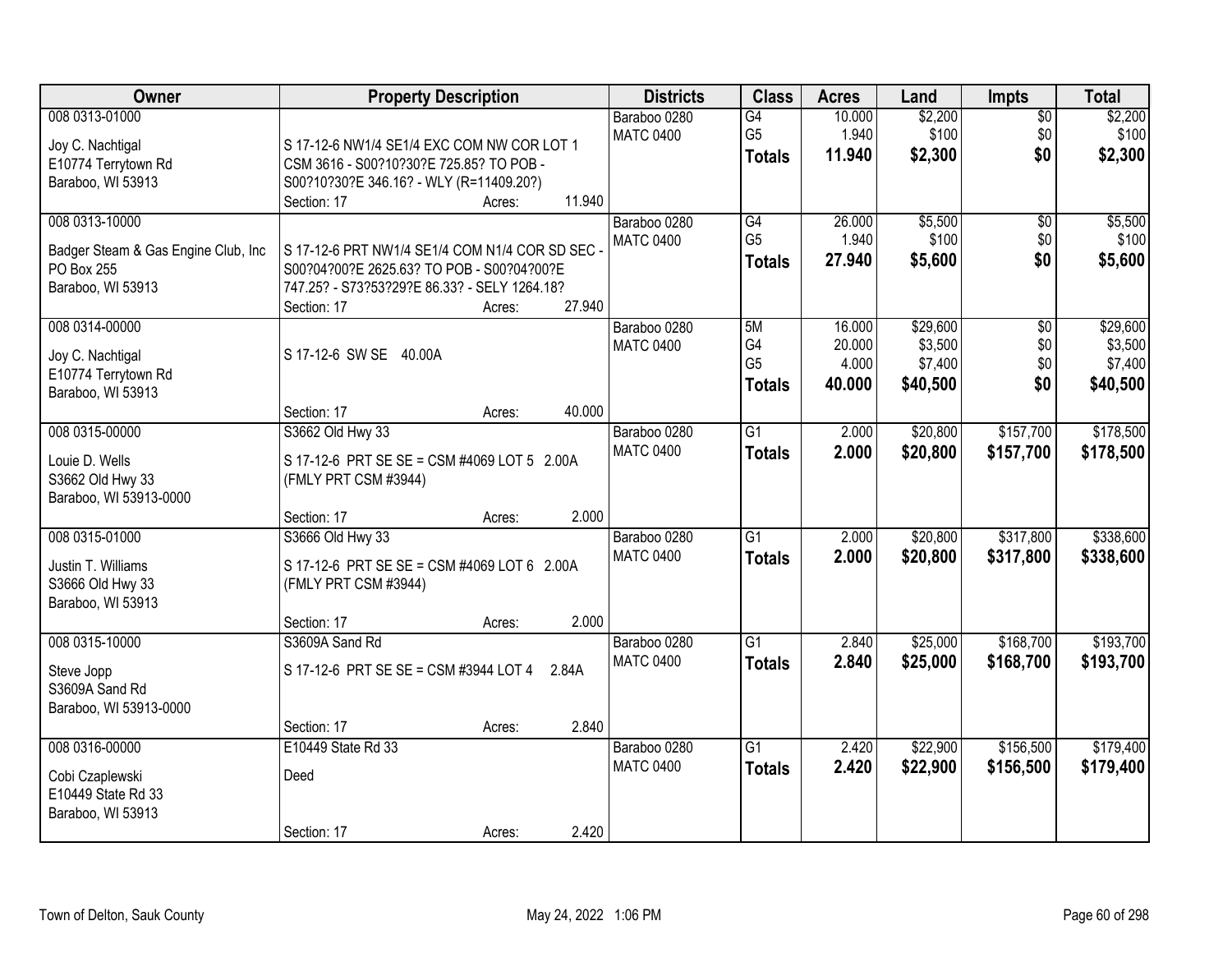| Owner                                                                          | <b>Property Description</b>                                                                | <b>Districts</b>                 | <b>Class</b>                                       | <b>Acres</b>                        | Land                                       | <b>Impts</b>                  | <b>Total</b>                               |
|--------------------------------------------------------------------------------|--------------------------------------------------------------------------------------------|----------------------------------|----------------------------------------------------|-------------------------------------|--------------------------------------------|-------------------------------|--------------------------------------------|
| 008 0313-01000<br>Joy C. Nachtigal<br>E10774 Terrytown Rd                      | S 17-12-6 NW1/4 SE1/4 EXC COM NW COR LOT 1<br>CSM 3616 - S00?10?30?E 725.85? TO POB -      | Baraboo 0280<br><b>MATC 0400</b> | $\overline{G4}$<br>G <sub>5</sub><br><b>Totals</b> | 10.000<br>1.940<br>11.940           | \$2,200<br>\$100<br>\$2,300                | $\overline{50}$<br>\$0<br>\$0 | \$2,200<br>\$100<br>\$2,300                |
| Baraboo, WI 53913                                                              | S00?10?30?E 346.16? - WLY (R=11409.20?)<br>11.940<br>Section: 17<br>Acres:                 |                                  |                                                    |                                     |                                            |                               |                                            |
| 008 0313-10000<br>Badger Steam & Gas Engine Club, Inc<br>PO Box 255            | S 17-12-6 PRT NW1/4 SE1/4 COM N1/4 COR SD SEC<br>S00?04?00?E 2625.63? TO POB - S00?04?00?E | Baraboo 0280<br><b>MATC 0400</b> | G4<br>G <sub>5</sub><br><b>Totals</b>              | 26.000<br>1.940<br>27.940           | \$5,500<br>\$100<br>\$5,600                | $\overline{50}$<br>\$0<br>\$0 | \$5,500<br>\$100<br>\$5,600                |
| Baraboo, WI 53913                                                              | 747.25? - S73?53?29?E 86.33? - SELY 1264.18?<br>27.940<br>Section: 17<br>Acres:            |                                  |                                                    |                                     |                                            |                               |                                            |
| 008 0314-00000<br>Joy C. Nachtigal<br>E10774 Terrytown Rd<br>Baraboo, WI 53913 | S 17-12-6 SW SE 40.00A                                                                     | Baraboo 0280<br><b>MATC 0400</b> | 5M<br>G4<br>G <sub>5</sub><br><b>Totals</b>        | 16.000<br>20.000<br>4.000<br>40.000 | \$29,600<br>\$3,500<br>\$7,400<br>\$40,500 | \$0<br>\$0<br>\$0<br>\$0      | \$29,600<br>\$3,500<br>\$7,400<br>\$40,500 |
|                                                                                | 40.000<br>Section: 17<br>Acres:                                                            |                                  |                                                    |                                     |                                            |                               |                                            |
| 008 0315-00000<br>Louie D. Wells<br>S3662 Old Hwy 33<br>Baraboo, WI 53913-0000 | S3662 Old Hwy 33<br>S 17-12-6 PRT SE SE = CSM #4069 LOT 5 2.00A<br>(FMLY PRT CSM #3944)    | Baraboo 0280<br><b>MATC 0400</b> | $\overline{G1}$<br><b>Totals</b>                   | 2.000<br>2.000                      | \$20,800<br>\$20,800                       | \$157,700<br>\$157,700        | \$178,500<br>\$178,500                     |
|                                                                                | 2.000<br>Section: 17<br>Acres:                                                             |                                  |                                                    |                                     |                                            |                               |                                            |
| 008 0315-01000<br>Justin T. Williams<br>S3666 Old Hwy 33<br>Baraboo, WI 53913  | S3666 Old Hwy 33<br>S 17-12-6 PRT SE SE = CSM #4069 LOT 6 2.00A<br>(FMLY PRT CSM #3944)    | Baraboo 0280<br><b>MATC 0400</b> | $\overline{G1}$<br><b>Totals</b>                   | 2.000<br>2.000                      | \$20,800<br>\$20,800                       | \$317,800<br>\$317,800        | \$338,600<br>\$338,600                     |
|                                                                                | 2.000<br>Section: 17<br>Acres:                                                             |                                  |                                                    |                                     |                                            |                               |                                            |
| 008 0315-10000<br>Steve Jopp<br>S3609A Sand Rd<br>Baraboo, WI 53913-0000       | S3609A Sand Rd<br>S 17-12-6 PRT SE SE = CSM #3944 LOT 4<br>2.84A                           | Baraboo 0280<br><b>MATC 0400</b> | $\overline{G1}$<br><b>Totals</b>                   | 2.840<br>2.840                      | \$25,000<br>\$25,000                       | \$168,700<br>\$168,700        | \$193,700<br>\$193,700                     |
|                                                                                | 2.840<br>Section: 17<br>Acres:                                                             |                                  |                                                    |                                     |                                            |                               |                                            |
| 008 0316-00000<br>Cobi Czaplewski<br>E10449 State Rd 33<br>Baraboo, WI 53913   | E10449 State Rd 33<br>Deed                                                                 | Baraboo 0280<br><b>MATC 0400</b> | $\overline{G1}$<br><b>Totals</b>                   | 2.420<br>2.420                      | \$22,900<br>\$22,900                       | \$156,500<br>\$156,500        | \$179,400<br>\$179,400                     |
|                                                                                | 2.420<br>Section: 17<br>Acres:                                                             |                                  |                                                    |                                     |                                            |                               |                                            |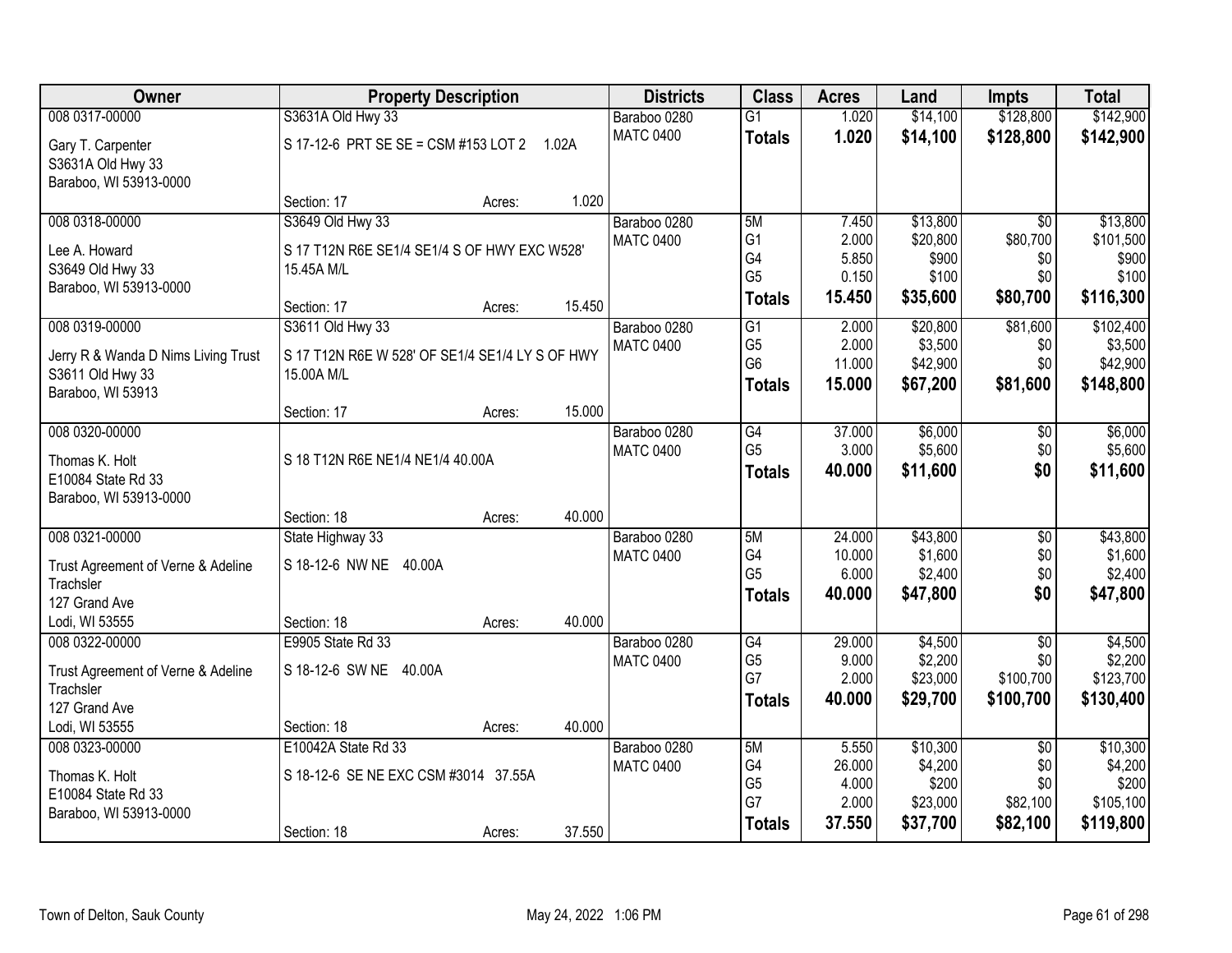| Owner                               | <b>Property Description</b>                     |        |        | <b>Districts</b>                 | <b>Class</b>         | <b>Acres</b>   | Land                | <b>Impts</b>    | <b>Total</b>         |
|-------------------------------------|-------------------------------------------------|--------|--------|----------------------------------|----------------------|----------------|---------------------|-----------------|----------------------|
| 008 0317-00000                      | S3631A Old Hwy 33                               |        |        | Baraboo 0280                     | $\overline{G1}$      | 1.020          | \$14,100            | \$128,800       | \$142,900            |
| Gary T. Carpenter                   | S 17-12-6 PRT SE SE = CSM #153 LOT 2 1.02A      |        |        | <b>MATC 0400</b>                 | <b>Totals</b>        | 1.020          | \$14,100            | \$128,800       | \$142,900            |
| S3631A Old Hwy 33                   |                                                 |        |        |                                  |                      |                |                     |                 |                      |
| Baraboo, WI 53913-0000              |                                                 |        |        |                                  |                      |                |                     |                 |                      |
|                                     | Section: 17                                     | Acres: | 1.020  |                                  |                      |                |                     |                 |                      |
| 008 0318-00000                      | S3649 Old Hwy 33                                |        |        | Baraboo 0280                     | 5M                   | 7.450          | \$13,800            | $\overline{50}$ | \$13,800             |
| Lee A. Howard                       | S 17 T12N R6E SE1/4 SE1/4 S OF HWY EXC W528'    |        |        | <b>MATC 0400</b>                 | G <sub>1</sub><br>G4 | 2.000<br>5.850 | \$20,800<br>\$900   | \$80,700<br>\$0 | \$101,500<br>\$900   |
| S3649 Old Hwy 33                    | 15.45A M/L                                      |        |        |                                  | G <sub>5</sub>       | 0.150          | \$100               | \$0             | \$100                |
| Baraboo, WI 53913-0000              |                                                 |        |        |                                  | <b>Totals</b>        | 15.450         | \$35,600            | \$80,700        | \$116,300            |
|                                     | Section: 17                                     | Acres: | 15.450 |                                  |                      |                |                     |                 |                      |
| 008 0319-00000                      | S3611 Old Hwy 33                                |        |        | Baraboo 0280<br><b>MATC 0400</b> | G1<br>G <sub>5</sub> | 2.000<br>2.000 | \$20,800<br>\$3,500 | \$81,600<br>\$0 | \$102,400<br>\$3,500 |
| Jerry R & Wanda D Nims Living Trust | S 17 T12N R6E W 528' OF SE1/4 SE1/4 LY S OF HWY |        |        |                                  | G <sub>6</sub>       | 11.000         | \$42,900            | \$0             | \$42,900             |
| S3611 Old Hwy 33                    | 15.00A M/L                                      |        |        |                                  | <b>Totals</b>        | 15.000         | \$67,200            | \$81,600        | \$148,800            |
| Baraboo, WI 53913                   |                                                 |        | 15.000 |                                  |                      |                |                     |                 |                      |
| 008 0320-00000                      | Section: 17                                     | Acres: |        | Baraboo 0280                     | G4                   | 37.000         | \$6,000             | $\sqrt[6]{3}$   | \$6,000              |
|                                     |                                                 |        |        | <b>MATC 0400</b>                 | G <sub>5</sub>       | 3.000          | \$5,600             | \$0             | \$5,600              |
| Thomas K. Holt                      | S 18 T12N R6E NE1/4 NE1/4 40.00A                |        |        |                                  | <b>Totals</b>        | 40.000         | \$11,600            | \$0             | \$11,600             |
| E10084 State Rd 33                  |                                                 |        |        |                                  |                      |                |                     |                 |                      |
| Baraboo, WI 53913-0000              | Section: 18                                     | Acres: | 40.000 |                                  |                      |                |                     |                 |                      |
| 008 0321-00000                      | State Highway 33                                |        |        | Baraboo 0280                     | 5M                   | 24.000         | \$43,800            | $\overline{50}$ | \$43,800             |
|                                     |                                                 |        |        | <b>MATC 0400</b>                 | G4                   | 10.000         | \$1,600             | \$0             | \$1,600              |
| Trust Agreement of Verne & Adeline  | S 18-12-6 NW NE 40.00A                          |        |        |                                  | G <sub>5</sub>       | 6.000          | \$2,400             | \$0             | \$2,400              |
| Trachsler<br>127 Grand Ave          |                                                 |        |        |                                  | <b>Totals</b>        | 40.000         | \$47,800            | \$0             | \$47,800             |
| Lodi, WI 53555                      | Section: 18                                     | Acres: | 40.000 |                                  |                      |                |                     |                 |                      |
| 008 0322-00000                      | E9905 State Rd 33                               |        |        | Baraboo 0280                     | $\overline{G4}$      | 29.000         | \$4,500             | $\overline{50}$ | \$4,500              |
| Trust Agreement of Verne & Adeline  | S 18-12-6 SW NE 40.00A                          |        |        | <b>MATC 0400</b>                 | G <sub>5</sub>       | 9.000          | \$2,200             | \$0             | \$2,200              |
| Trachsler                           |                                                 |        |        |                                  | G7                   | 2.000          | \$23,000            | \$100,700       | \$123,700            |
| 127 Grand Ave                       |                                                 |        |        |                                  | Totals               | 40.000         | \$29,700            | \$100,700       | \$130,400            |
| Lodi, WI 53555                      | Section: 18                                     | Acres: | 40.000 |                                  |                      |                |                     |                 |                      |
| 008 0323-00000                      | E10042A State Rd 33                             |        |        | Baraboo 0280                     | 5M                   | 5.550          | \$10,300            | $\overline{30}$ | \$10,300             |
| Thomas K. Holt                      | S 18-12-6 SE NE EXC CSM #3014 37.55A            |        |        | <b>MATC 0400</b>                 | G4                   | 26.000         | \$4,200             | \$0             | \$4,200              |
| E10084 State Rd 33                  |                                                 |        |        |                                  | G <sub>5</sub>       | 4.000          | \$200               | \$0             | \$200                |
| Baraboo, WI 53913-0000              |                                                 |        |        |                                  | G7                   | 2.000          | \$23,000            | \$82,100        | \$105,100            |
|                                     | Section: 18                                     | Acres: | 37.550 |                                  | <b>Totals</b>        | 37.550         | \$37,700            | \$82,100        | \$119,800            |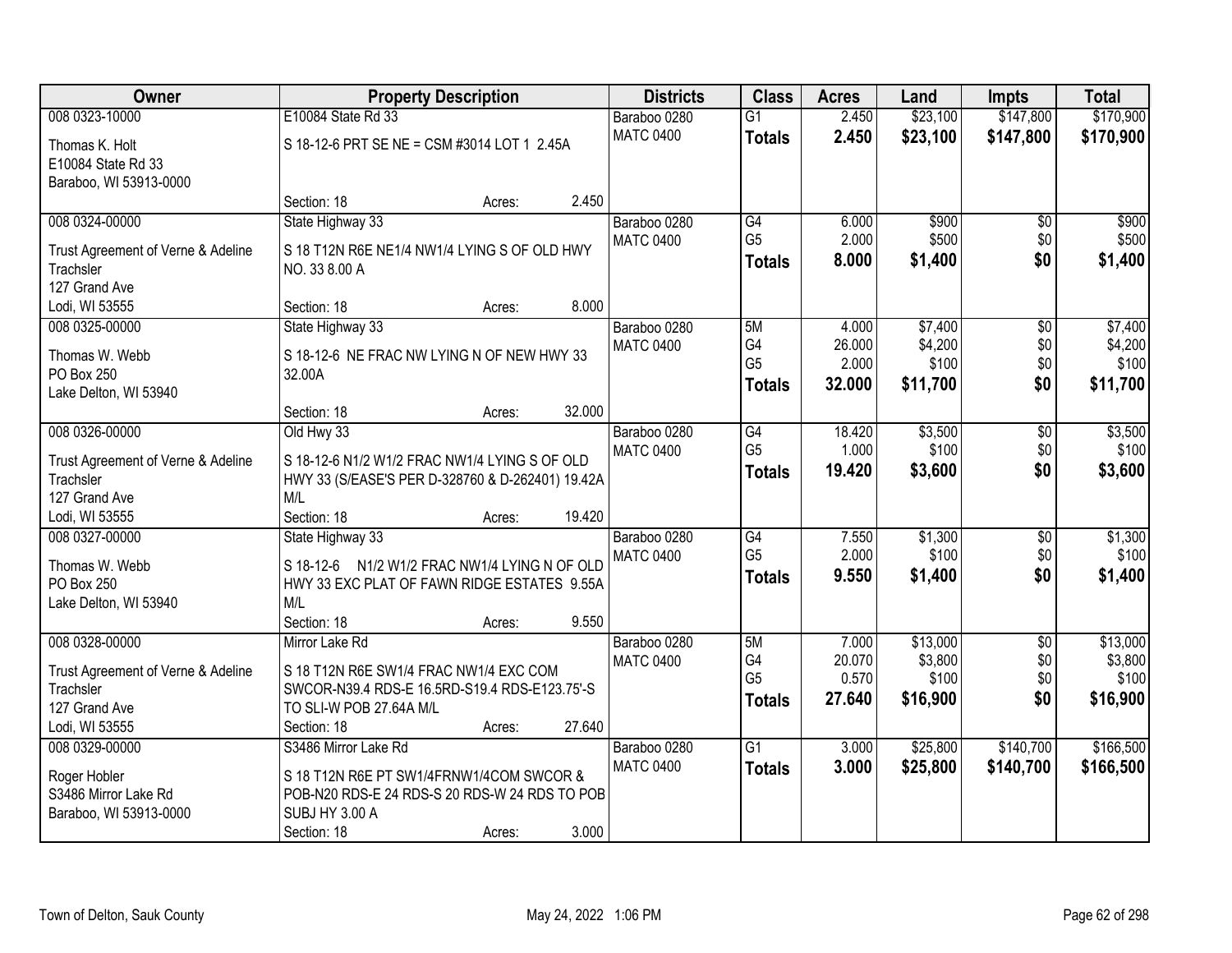| Owner                                           | <b>Property Description</b>                                                                  | <b>Districts</b> | <b>Class</b>    | <b>Acres</b> | Land     | <b>Impts</b>    | <b>Total</b> |
|-------------------------------------------------|----------------------------------------------------------------------------------------------|------------------|-----------------|--------------|----------|-----------------|--------------|
| 008 0323-10000                                  | E10084 State Rd 33                                                                           | Baraboo 0280     | $\overline{G1}$ | 2.450        | \$23,100 | \$147,800       | \$170,900    |
| Thomas K. Holt                                  | S 18-12-6 PRT SE NE = CSM #3014 LOT 1 2.45A                                                  | <b>MATC 0400</b> | <b>Totals</b>   | 2.450        | \$23,100 | \$147,800       | \$170,900    |
| E10084 State Rd 33                              |                                                                                              |                  |                 |              |          |                 |              |
| Baraboo, WI 53913-0000                          |                                                                                              |                  |                 |              |          |                 |              |
|                                                 | 2.450<br>Section: 18<br>Acres:                                                               |                  |                 |              |          |                 |              |
| 008 0324-00000                                  | State Highway 33                                                                             | Baraboo 0280     | G4              | 6.000        | \$900    | \$0             | \$900        |
| Trust Agreement of Verne & Adeline              | S 18 T12N R6E NE1/4 NW1/4 LYING S OF OLD HWY                                                 | <b>MATC 0400</b> | G <sub>5</sub>  | 2.000        | \$500    | \$0             | \$500        |
| Trachsler                                       | NO. 33 8.00 A                                                                                |                  | <b>Totals</b>   | 8.000        | \$1,400  | \$0             | \$1,400      |
| 127 Grand Ave                                   |                                                                                              |                  |                 |              |          |                 |              |
| Lodi, WI 53555                                  | 8.000<br>Section: 18<br>Acres:                                                               |                  |                 |              |          |                 |              |
| 008 0325-00000                                  | State Highway 33                                                                             | Baraboo 0280     | 5M              | 4.000        | \$7,400  | \$0             | \$7,400      |
| Thomas W. Webb                                  | S 18-12-6 NE FRAC NW LYING N OF NEW HWY 33                                                   | <b>MATC 0400</b> | G4              | 26.000       | \$4,200  | \$0             | \$4,200      |
| PO Box 250                                      | 32.00A                                                                                       |                  | G <sub>5</sub>  | 2.000        | \$100    | \$0             | \$100        |
| Lake Delton, WI 53940                           |                                                                                              |                  | <b>Totals</b>   | 32.000       | \$11,700 | \$0             | \$11,700     |
|                                                 | 32.000<br>Section: 18<br>Acres:                                                              |                  |                 |              |          |                 |              |
| 008 0326-00000                                  | Old Hwy 33                                                                                   | Baraboo 0280     | G4              | 18.420       | \$3,500  | \$0             | \$3,500      |
|                                                 | S 18-12-6 N1/2 W1/2 FRAC NW1/4 LYING S OF OLD                                                | <b>MATC 0400</b> | G <sub>5</sub>  | 1.000        | \$100    | \$0             | \$100        |
| Trust Agreement of Verne & Adeline<br>Trachsler | HWY 33 (S/EASE'S PER D-328760 & D-262401) 19.42A                                             |                  | <b>Totals</b>   | 19.420       | \$3,600  | \$0             | \$3,600      |
| 127 Grand Ave                                   | M/L                                                                                          |                  |                 |              |          |                 |              |
| Lodi, WI 53555                                  | Section: 18<br>19.420<br>Acres:                                                              |                  |                 |              |          |                 |              |
| 008 0327-00000                                  | State Highway 33                                                                             | Baraboo 0280     | $\overline{G4}$ | 7.550        | \$1,300  | $\overline{50}$ | \$1,300      |
|                                                 |                                                                                              | <b>MATC 0400</b> | G <sub>5</sub>  | 2.000        | \$100    | \$0             | \$100        |
| Thomas W. Webb<br>PO Box 250                    | S 18-12-6 N1/2 W1/2 FRAC NW1/4 LYING N OF OLD<br>HWY 33 EXC PLAT OF FAWN RIDGE ESTATES 9.55A |                  | <b>Totals</b>   | 9.550        | \$1,400  | \$0             | \$1,400      |
| Lake Delton, WI 53940                           | M/L                                                                                          |                  |                 |              |          |                 |              |
|                                                 | Section: 18<br>9.550<br>Acres:                                                               |                  |                 |              |          |                 |              |
| 008 0328-00000                                  | Mirror Lake Rd                                                                               | Baraboo 0280     | 5M              | 7.000        | \$13,000 | $\overline{50}$ | \$13,000     |
|                                                 |                                                                                              | <b>MATC 0400</b> | G4              | 20.070       | \$3,800  | \$0             | \$3,800      |
| Trust Agreement of Verne & Adeline              | S 18 T12N R6E SW1/4 FRAC NW1/4 EXC COM                                                       |                  | G <sub>5</sub>  | 0.570        | \$100    | \$0             | \$100        |
| Trachsler<br>127 Grand Ave                      | SWCOR-N39.4 RDS-E 16.5RD-S19.4 RDS-E123.75'-S<br>TO SLI-W POB 27.64A M/L                     |                  | <b>Totals</b>   | 27.640       | \$16,900 | \$0             | \$16,900     |
| Lodi, WI 53555                                  | 27.640<br>Section: 18<br>Acres:                                                              |                  |                 |              |          |                 |              |
| 008 0329-00000                                  | S3486 Mirror Lake Rd                                                                         | Baraboo 0280     | $\overline{G1}$ | 3.000        | \$25,800 | \$140,700       | \$166,500    |
|                                                 |                                                                                              | <b>MATC 0400</b> | <b>Totals</b>   | 3.000        | \$25,800 | \$140,700       | \$166,500    |
| Roger Hobler                                    | S 18 T12N R6E PT SW1/4FRNW1/4COM SWCOR &                                                     |                  |                 |              |          |                 |              |
| S3486 Mirror Lake Rd                            | POB-N20 RDS-E 24 RDS-S 20 RDS-W 24 RDS TO POB                                                |                  |                 |              |          |                 |              |
| Baraboo, WI 53913-0000                          | SUBJ HY 3.00 A                                                                               |                  |                 |              |          |                 |              |
|                                                 | 3.000<br>Section: 18<br>Acres:                                                               |                  |                 |              |          |                 |              |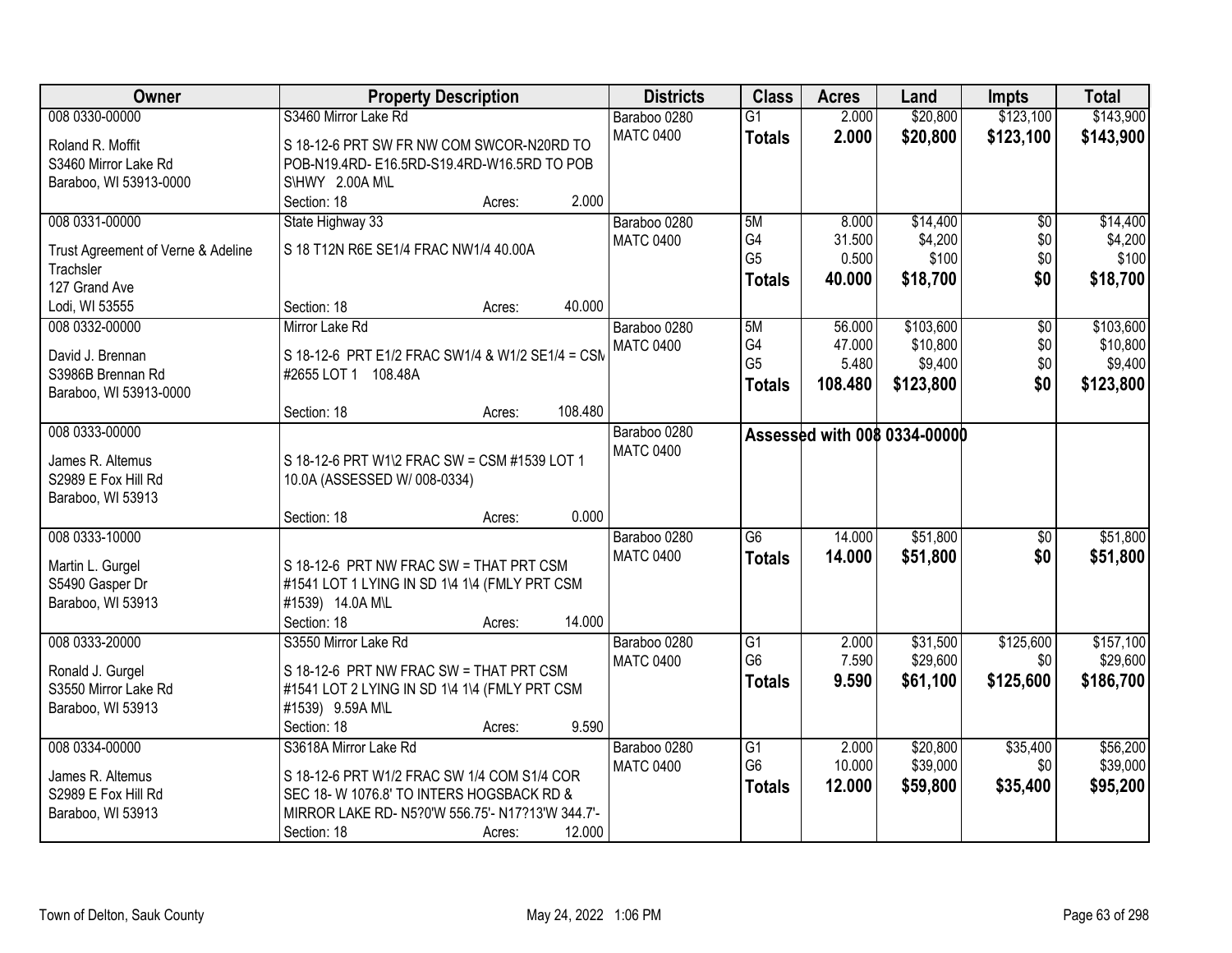| Owner                                           | <b>Property Description</b>                      | <b>Districts</b> | <b>Class</b>                      | <b>Acres</b>   | Land                                | <b>Impts</b>    | <b>Total</b> |
|-------------------------------------------------|--------------------------------------------------|------------------|-----------------------------------|----------------|-------------------------------------|-----------------|--------------|
| 008 0330-00000                                  | S3460 Mirror Lake Rd                             | Baraboo 0280     | $\overline{G1}$                   | 2.000          | \$20,800                            | \$123,100       | \$143,900    |
| Roland R. Moffit                                | S 18-12-6 PRT SW FR NW COM SWCOR-N20RD TO        | <b>MATC 0400</b> | <b>Totals</b>                     | 2.000          | \$20,800                            | \$123,100       | \$143,900    |
| S3460 Mirror Lake Rd                            | POB-N19.4RD-E16.5RD-S19.4RD-W16.5RD TO POB       |                  |                                   |                |                                     |                 |              |
| Baraboo, WI 53913-0000                          | S\HWY 2.00A M\L                                  |                  |                                   |                |                                     |                 |              |
|                                                 | 2.000<br>Section: 18<br>Acres:                   |                  |                                   |                |                                     |                 |              |
| 008 0331-00000                                  | State Highway 33                                 | Baraboo 0280     | 5M                                | 8.000          | \$14,400                            | $\overline{50}$ | \$14,400     |
|                                                 | S 18 T12N R6E SE1/4 FRAC NW1/4 40.00A            | <b>MATC 0400</b> | G4                                | 31.500         | \$4,200                             | \$0             | \$4,200      |
| Trust Agreement of Verne & Adeline<br>Trachsler |                                                  |                  | G <sub>5</sub>                    | 0.500          | \$100                               | \$0             | \$100        |
| 127 Grand Ave                                   |                                                  |                  | <b>Totals</b>                     | 40.000         | \$18,700                            | \$0             | \$18,700     |
| Lodi, WI 53555                                  | 40.000<br>Section: 18<br>Acres:                  |                  |                                   |                |                                     |                 |              |
| 008 0332-00000                                  | Mirror Lake Rd                                   | Baraboo 0280     | 5M                                | 56.000         | \$103,600                           | $\overline{50}$ | \$103,600    |
|                                                 |                                                  | <b>MATC 0400</b> | G4                                | 47.000         | \$10,800                            | $$0$$           | \$10,800     |
| David J. Brennan                                | S 18-12-6 PRT E1/2 FRAC SW1/4 & W1/2 SE1/4 = CSM |                  | G <sub>5</sub>                    | 5.480          | \$9,400                             | \$0             | \$9,400      |
| S3986B Brennan Rd                               | #2655 LOT 1 108.48A                              |                  | <b>Totals</b>                     | 108.480        | \$123,800                           | \$0             | \$123,800    |
| Baraboo, WI 53913-0000                          |                                                  |                  |                                   |                |                                     |                 |              |
|                                                 | 108.480<br>Section: 18<br>Acres:                 |                  |                                   |                |                                     |                 |              |
| 008 0333-00000                                  |                                                  | Baraboo 0280     |                                   |                | <b>Assessed with 008 0334-00000</b> |                 |              |
| James R. Altemus                                | S 18-12-6 PRT W1\2 FRAC SW = CSM #1539 LOT 1     | <b>MATC 0400</b> |                                   |                |                                     |                 |              |
| S2989 E Fox Hill Rd                             | 10.0A (ASSESSED W/ 008-0334)                     |                  |                                   |                |                                     |                 |              |
| Baraboo, WI 53913                               |                                                  |                  |                                   |                |                                     |                 |              |
|                                                 | 0.000<br>Section: 18<br>Acres:                   |                  |                                   |                |                                     |                 |              |
| 008 0333-10000                                  |                                                  | Baraboo 0280     | $\overline{G6}$                   | 14.000         | \$51,800                            | \$0             | \$51,800     |
|                                                 |                                                  | <b>MATC 0400</b> | <b>Totals</b>                     | 14.000         | \$51,800                            | \$0             | \$51,800     |
| Martin L. Gurgel                                | S 18-12-6 PRT NW FRAC SW = THAT PRT CSM          |                  |                                   |                |                                     |                 |              |
| S5490 Gasper Dr                                 | #1541 LOT 1 LYING IN SD 1\4 1\4 (FMLY PRT CSM    |                  |                                   |                |                                     |                 |              |
| Baraboo, WI 53913                               | #1539) 14.0A M\L<br>14.000                       |                  |                                   |                |                                     |                 |              |
|                                                 | Section: 18<br>Acres:                            |                  |                                   |                |                                     |                 |              |
| 008 0333-20000                                  | S3550 Mirror Lake Rd                             | Baraboo 0280     | $\overline{G1}$<br>G <sub>6</sub> | 2.000<br>7.590 | \$31,500<br>\$29,600                | \$125,600       | \$157,100    |
| Ronald J. Gurgel                                | S 18-12-6 PRT NW FRAC SW = THAT PRT CSM          | <b>MATC 0400</b> |                                   |                |                                     | \$0             | \$29,600     |
| S3550 Mirror Lake Rd                            | #1541 LOT 2 LYING IN SD 1\4 1\4 (FMLY PRT CSM    |                  | <b>Totals</b>                     | 9.590          | \$61,100                            | \$125,600       | \$186,700    |
| Baraboo, WI 53913                               | #1539) 9.59A M\L                                 |                  |                                   |                |                                     |                 |              |
|                                                 | 9.590<br>Section: 18<br>Acres:                   |                  |                                   |                |                                     |                 |              |
| 008 0334-00000                                  | S3618A Mirror Lake Rd                            | Baraboo 0280     | $\overline{G1}$                   | 2.000          | \$20,800                            | \$35,400        | \$56,200     |
| James R. Altemus                                | S 18-12-6 PRT W1/2 FRAC SW 1/4 COM S1/4 COR      | <b>MATC 0400</b> | G <sub>6</sub>                    | 10.000         | \$39,000                            | \$0             | \$39,000     |
| S2989 E Fox Hill Rd                             | SEC 18-W 1076.8' TO INTERS HOGSBACK RD &         |                  | <b>Totals</b>                     | 12.000         | \$59,800                            | \$35,400        | \$95,200     |
| Baraboo, WI 53913                               | MIRROR LAKE RD- N5?0'W 556.75'- N17?13'W 344.7'- |                  |                                   |                |                                     |                 |              |
|                                                 | 12.000<br>Section: 18<br>Acres:                  |                  |                                   |                |                                     |                 |              |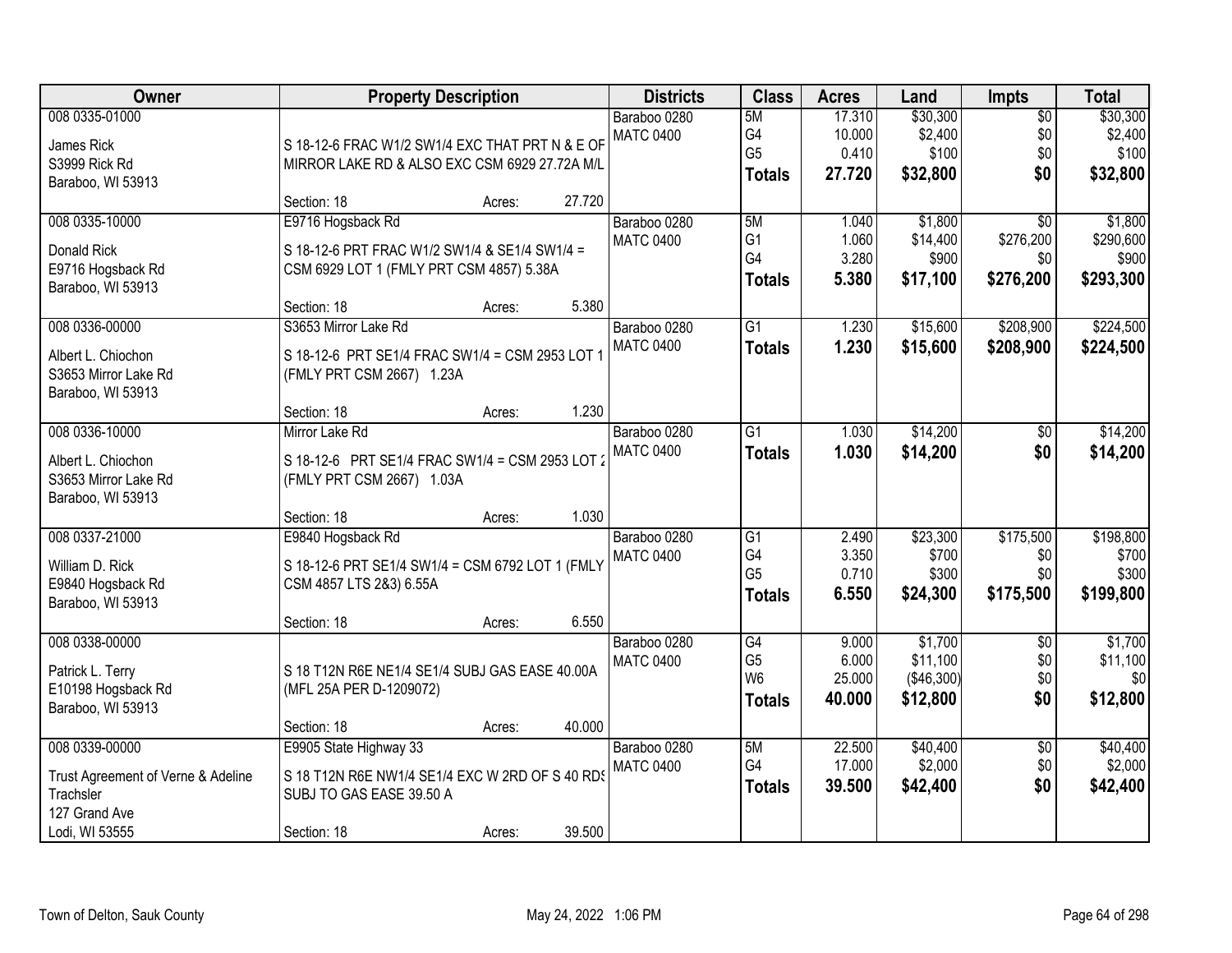| Owner                                                                              | <b>Property Description</b>                                                                                                             | <b>Districts</b>                          | <b>Class</b>                                             | <b>Acres</b>                        | Land                                     | <b>Impts</b>                                     | <b>Total</b>                               |
|------------------------------------------------------------------------------------|-----------------------------------------------------------------------------------------------------------------------------------------|-------------------------------------------|----------------------------------------------------------|-------------------------------------|------------------------------------------|--------------------------------------------------|--------------------------------------------|
| 008 0335-01000<br>James Rick<br>S3999 Rick Rd<br>Baraboo, WI 53913                 | S 18-12-6 FRAC W1/2 SW1/4 EXC THAT PRT N & E OF<br>MIRROR LAKE RD & ALSO EXC CSM 6929 27.72A M/L                                        | Baraboo 0280<br><b>MATC 0400</b>          | 5M<br>G4<br>G <sub>5</sub><br><b>Totals</b>              | 17.310<br>10.000<br>0.410<br>27.720 | \$30,300<br>\$2,400<br>\$100<br>\$32,800 | $\overline{50}$<br>\$0<br>\$0<br>\$0             | \$30,300<br>\$2,400<br>\$100<br>\$32,800   |
|                                                                                    | 27.720<br>Section: 18<br>Acres:                                                                                                         |                                           |                                                          |                                     |                                          |                                                  |                                            |
| 008 0335-10000<br>Donald Rick<br>E9716 Hogsback Rd<br>Baraboo, WI 53913            | E9716 Hogsback Rd<br>S 18-12-6 PRT FRAC W1/2 SW1/4 & SE1/4 SW1/4 =<br>CSM 6929 LOT 1 (FMLY PRT CSM 4857) 5.38A<br>Section: 18<br>Acres: | Baraboo 0280<br><b>MATC 0400</b><br>5.380 | 5M<br>G <sub>1</sub><br>G4<br><b>Totals</b>              | 1.040<br>1.060<br>3.280<br>5.380    | \$1,800<br>\$14,400<br>\$900<br>\$17,100 | $\overline{30}$<br>\$276,200<br>\$0<br>\$276,200 | \$1,800<br>\$290,600<br>\$900<br>\$293,300 |
| 008 0336-00000                                                                     | S3653 Mirror Lake Rd                                                                                                                    | Baraboo 0280                              | $\overline{G1}$                                          | 1.230                               | \$15,600                                 | \$208,900                                        | \$224,500                                  |
| Albert L. Chiochon<br>S3653 Mirror Lake Rd<br>Baraboo, WI 53913                    | S 18-12-6 PRT SE1/4 FRAC SW1/4 = CSM 2953 LOT 1<br>(FMLY PRT CSM 2667) 1.23A                                                            | <b>MATC 0400</b>                          | <b>Totals</b>                                            | 1.230                               | \$15,600                                 | \$208,900                                        | \$224,500                                  |
|                                                                                    | Section: 18<br>Acres:                                                                                                                   | 1.230                                     |                                                          |                                     |                                          |                                                  |                                            |
| 008 0336-10000<br>Albert L. Chiochon<br>S3653 Mirror Lake Rd<br>Baraboo, WI 53913  | Mirror Lake Rd<br>S 18-12-6 PRT SE1/4 FRAC SW1/4 = CSM 2953 LOT 2<br>(FMLY PRT CSM 2667) 1.03A                                          | Baraboo 0280<br><b>MATC 0400</b>          | $\overline{G1}$<br><b>Totals</b>                         | 1.030<br>1.030                      | \$14,200<br>\$14,200                     | $\sqrt[6]{}$<br>\$0                              | \$14,200<br>\$14,200                       |
|                                                                                    | Section: 18<br>Acres:                                                                                                                   | 1.030                                     |                                                          |                                     |                                          |                                                  |                                            |
| 008 0337-21000<br>William D. Rick<br>E9840 Hogsback Rd<br>Baraboo, WI 53913        | E9840 Hogsback Rd<br>S 18-12-6 PRT SE1/4 SW1/4 = CSM 6792 LOT 1 (FMLY<br>CSM 4857 LTS 2&3) 6.55A                                        | Baraboo 0280<br><b>MATC 0400</b><br>6.550 | $\overline{G1}$<br>G4<br>G <sub>5</sub><br><b>Totals</b> | 2.490<br>3.350<br>0.710<br>6.550    | \$23,300<br>\$700<br>\$300<br>\$24,300   | \$175,500<br>\$0<br>\$0<br>\$175,500             | \$198,800<br>\$700<br>\$300<br>\$199,800   |
| 008 0338-00000                                                                     | Section: 18<br>Acres:                                                                                                                   | Baraboo 0280                              | G4                                                       | 9.000                               | \$1,700                                  | $\sqrt{6}$                                       | \$1,700                                    |
| Patrick L. Terry<br>E10198 Hogsback Rd<br>Baraboo, WI 53913                        | S 18 T12N R6E NE1/4 SE1/4 SUBJ GAS EASE 40.00A<br>(MFL 25A PER D-1209072)                                                               | <b>MATC 0400</b>                          | G <sub>5</sub><br>W <sub>6</sub><br><b>Totals</b>        | 6.000<br>25.000<br>40.000           | \$11,100<br>(\$46,300)<br>\$12,800       | \$0<br>\$0<br>\$0                                | \$11,100<br>\$0<br>\$12,800                |
|                                                                                    | 40.000<br>Section: 18<br>Acres:                                                                                                         |                                           |                                                          |                                     |                                          |                                                  |                                            |
| 008 0339-00000<br>Trust Agreement of Verne & Adeline<br>Trachsler<br>127 Grand Ave | E9905 State Highway 33<br>S 18 T12N R6E NW1/4 SE1/4 EXC W 2RD OF S 40 RDS<br>SUBJ TO GAS EASE 39.50 A<br>39.500                         | Baraboo 0280<br><b>MATC 0400</b>          | 5M<br>G4<br><b>Totals</b>                                | 22.500<br>17.000<br>39.500          | \$40,400<br>\$2,000<br>\$42,400          | $\overline{30}$<br>\$0<br>\$0                    | \$40,400<br>\$2,000<br>\$42,400            |
| Lodi, WI 53555                                                                     | Section: 18<br>Acres:                                                                                                                   |                                           |                                                          |                                     |                                          |                                                  |                                            |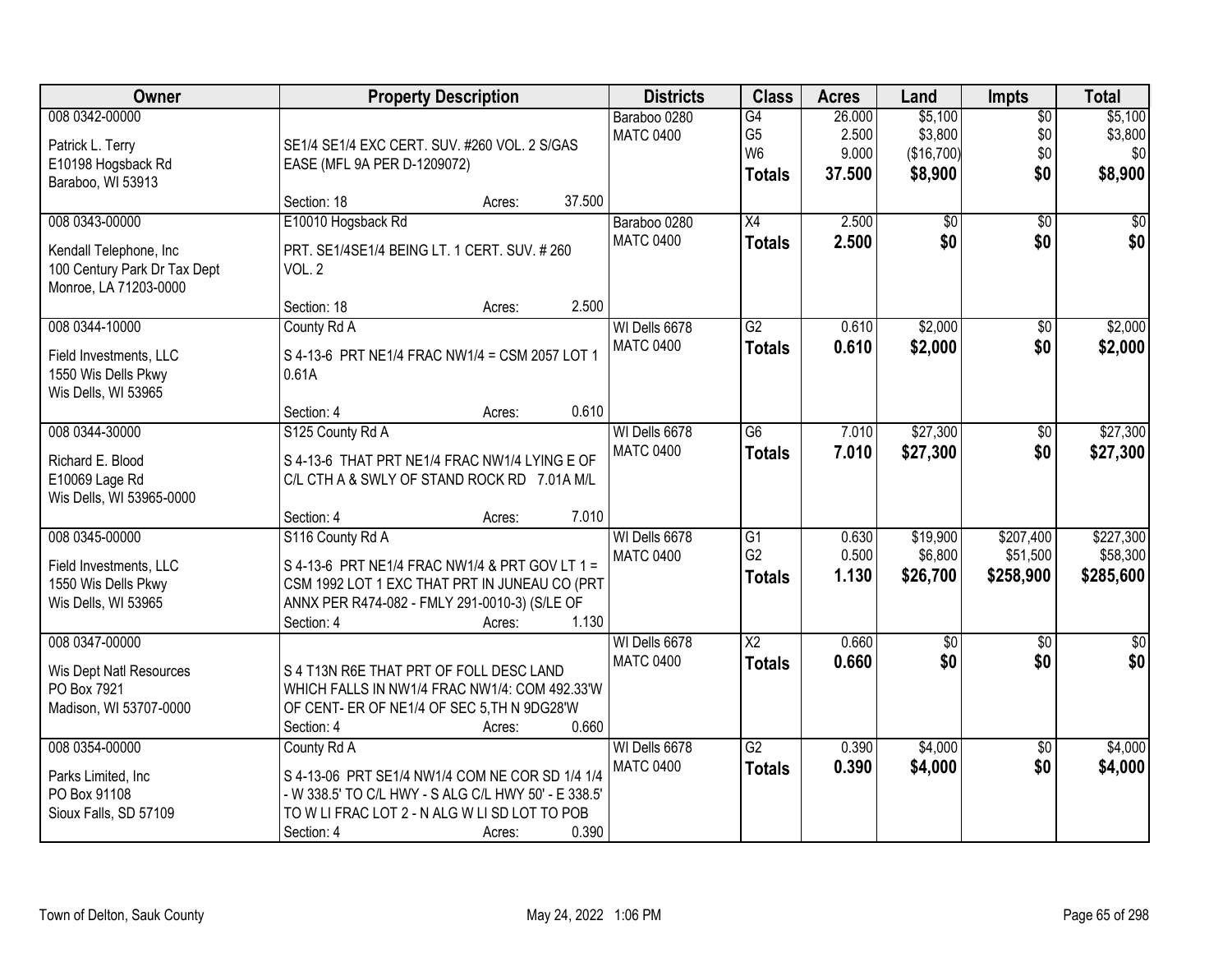| Owner                        | <b>Property Description</b>                          |        | <b>Districts</b> | <b>Class</b>    | <b>Acres</b> | Land            | Impts           | <b>Total</b>  |
|------------------------------|------------------------------------------------------|--------|------------------|-----------------|--------------|-----------------|-----------------|---------------|
| 008 0342-00000               |                                                      |        | Baraboo 0280     | G4              | 26.000       | \$5,100         | $\overline{50}$ | \$5,100       |
| Patrick L. Terry             | SE1/4 SE1/4 EXC CERT. SUV. #260 VOL. 2 S/GAS         |        | <b>MATC 0400</b> | G <sub>5</sub>  | 2.500        | \$3,800         | \$0             | \$3,800       |
| E10198 Hogsback Rd           | EASE (MFL 9A PER D-1209072)                          |        |                  | W <sub>6</sub>  | 9.000        | (\$16,700)      | \$0             | \$0           |
| Baraboo, WI 53913            |                                                      |        |                  | <b>Totals</b>   | 37.500       | \$8,900         | \$0             | \$8,900       |
|                              | Section: 18<br>Acres:                                | 37.500 |                  |                 |              |                 |                 |               |
| 008 0343-00000               | E10010 Hogsback Rd                                   |        | Baraboo 0280     | X4              | 2.500        | $\overline{60}$ | $\overline{50}$ | \$0           |
| Kendall Telephone, Inc       | PRT. SE1/4SE1/4 BEING LT. 1 CERT. SUV. #260          |        | <b>MATC 0400</b> | <b>Totals</b>   | 2.500        | \$0             | \$0             | \$0           |
| 100 Century Park Dr Tax Dept | VOL. 2                                               |        |                  |                 |              |                 |                 |               |
| Monroe, LA 71203-0000        |                                                      |        |                  |                 |              |                 |                 |               |
|                              | Section: 18<br>Acres:                                | 2.500  |                  |                 |              |                 |                 |               |
| 008 0344-10000               | County Rd A                                          |        | WI Dells 6678    | G2              | 0.610        | \$2,000         | $\overline{50}$ | \$2,000       |
| Field Investments, LLC       | S 4-13-6 PRT NE1/4 FRAC NW1/4 = CSM 2057 LOT 1       |        | <b>MATC 0400</b> | <b>Totals</b>   | 0.610        | \$2,000         | \$0             | \$2,000       |
| 1550 Wis Dells Pkwy          | 0.61A                                                |        |                  |                 |              |                 |                 |               |
| Wis Dells, WI 53965          |                                                      |        |                  |                 |              |                 |                 |               |
|                              | Section: 4<br>Acres:                                 | 0.610  |                  |                 |              |                 |                 |               |
| 008 0344-30000               | S125 County Rd A                                     |        | WI Dells 6678    | G6              | 7.010        | \$27,300        | \$0             | \$27,300      |
| Richard E. Blood             | S 4-13-6 THAT PRT NE1/4 FRAC NW1/4 LYING E OF        |        | <b>MATC 0400</b> | <b>Totals</b>   | 7.010        | \$27,300        | \$0             | \$27,300      |
| E10069 Lage Rd               | C/L CTH A & SWLY OF STAND ROCK RD 7.01A M/L          |        |                  |                 |              |                 |                 |               |
| Wis Dells, WI 53965-0000     |                                                      |        |                  |                 |              |                 |                 |               |
|                              | Section: 4<br>Acres:                                 | 7.010  |                  |                 |              |                 |                 |               |
| 008 0345-00000               | S116 County Rd A                                     |        | WI Dells 6678    | $\overline{G1}$ | 0.630        | \$19,900        | \$207,400       | \$227,300     |
| Field Investments, LLC       | S 4-13-6 PRT NE1/4 FRAC NW1/4 & PRT GOV LT 1 =       |        | <b>MATC 0400</b> | G <sub>2</sub>  | 0.500        | \$6,800         | \$51,500        | \$58,300      |
| 1550 Wis Dells Pkwy          | CSM 1992 LOT 1 EXC THAT PRT IN JUNEAU CO (PRT        |        |                  | <b>Totals</b>   | 1.130        | \$26,700        | \$258,900       | \$285,600     |
| Wis Dells, WI 53965          | ANNX PER R474-082 - FMLY 291-0010-3) (S/LE OF        |        |                  |                 |              |                 |                 |               |
|                              | Section: 4<br>Acres:                                 | 1.130  |                  |                 |              |                 |                 |               |
| 008 0347-00000               |                                                      |        | WI Dells 6678    | $\overline{X2}$ | 0.660        | $\sqrt{6}$      | $\sqrt{6}$      | $\frac{1}{6}$ |
| Wis Dept Natl Resources      | S 4 T13N R6E THAT PRT OF FOLL DESC LAND              |        | <b>MATC 0400</b> | <b>Totals</b>   | 0.660        | \$0             | \$0             | \$0           |
| PO Box 7921                  | WHICH FALLS IN NW1/4 FRAC NW1/4: COM 492.33'W        |        |                  |                 |              |                 |                 |               |
| Madison, WI 53707-0000       | OF CENT- ER OF NE1/4 OF SEC 5, TH N 9DG28'W          |        |                  |                 |              |                 |                 |               |
|                              | Section: 4<br>Acres:                                 | 0.660  |                  |                 |              |                 |                 |               |
| 008 0354-00000               | County Rd A                                          |        | WI Dells 6678    | G2              | 0.390        | \$4,000         | $\overline{50}$ | \$4,000       |
| Parks Limited, Inc.          | S 4-13-06 PRT SE1/4 NW1/4 COM NE COR SD 1/4 1/4      |        | <b>MATC 0400</b> | <b>Totals</b>   | 0.390        | \$4,000         | \$0             | \$4,000       |
| PO Box 91108                 | - W 338.5' TO C/L HWY - S ALG C/L HWY 50' - E 338.5' |        |                  |                 |              |                 |                 |               |
| Sioux Falls, SD 57109        | TO W LI FRAC LOT 2 - N ALG W LI SD LOT TO POB        |        |                  |                 |              |                 |                 |               |
|                              | Section: 4<br>Acres:                                 | 0.390  |                  |                 |              |                 |                 |               |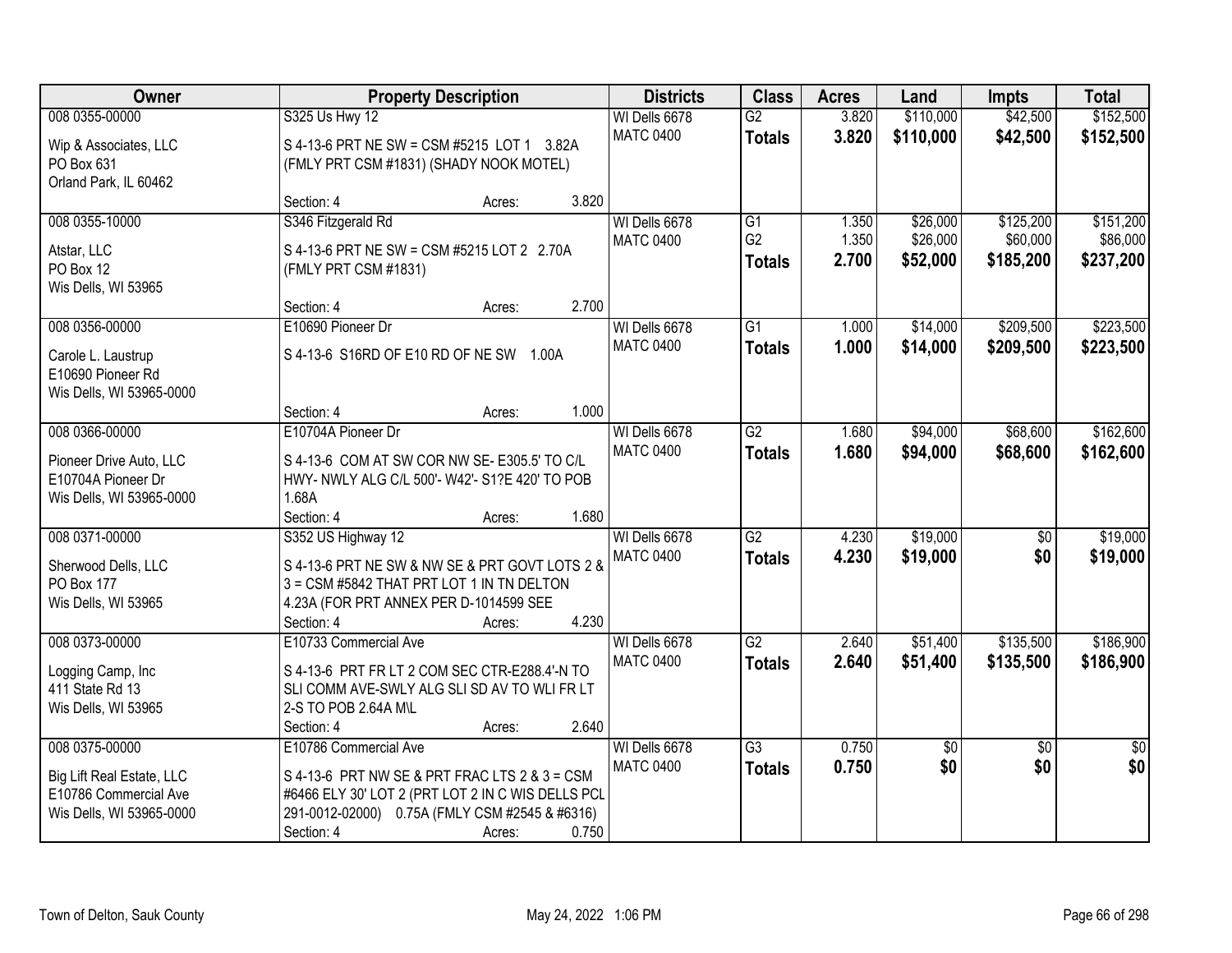| Owner                     | <b>Property Description</b>                       | <b>Districts</b>                  | <b>Class</b>    | <b>Acres</b> | Land      | <b>Impts</b>    | <b>Total</b>    |
|---------------------------|---------------------------------------------------|-----------------------------------|-----------------|--------------|-----------|-----------------|-----------------|
| 008 0355-00000            | S325 Us Hwy 12                                    | WI Dells 6678                     | $\overline{G2}$ | 3.820        | \$110,000 | \$42,500        | \$152,500       |
| Wip & Associates, LLC     | S 4-13-6 PRT NE SW = CSM #5215 LOT 1 3.82A        | <b>MATC 0400</b>                  | <b>Totals</b>   | 3.820        | \$110,000 | \$42,500        | \$152,500       |
| PO Box 631                | (FMLY PRT CSM #1831) (SHADY NOOK MOTEL)           |                                   |                 |              |           |                 |                 |
| Orland Park, IL 60462     |                                                   |                                   |                 |              |           |                 |                 |
|                           | 3.820<br>Section: 4<br>Acres:                     |                                   |                 |              |           |                 |                 |
| 008 0355-10000            | S346 Fitzgerald Rd                                | WI Dells 6678                     | $\overline{G1}$ | 1.350        | \$26,000  | \$125,200       | \$151,200       |
|                           |                                                   | <b>MATC 0400</b>                  | G <sub>2</sub>  | 1.350        | \$26,000  | \$60,000        | \$86,000        |
| Atstar, LLC               | S 4-13-6 PRT NE SW = CSM #5215 LOT 2 2.70A        |                                   | <b>Totals</b>   | 2.700        | \$52,000  | \$185,200       | \$237,200       |
| PO Box 12                 | (FMLY PRT CSM #1831)                              |                                   |                 |              |           |                 |                 |
| Wis Dells, WI 53965       | 2.700<br>Section: 4                               |                                   |                 |              |           |                 |                 |
| 008 0356-00000            | Acres:<br>E10690 Pioneer Dr                       |                                   | G1              |              |           | \$209,500       | \$223,500       |
|                           |                                                   | WI Dells 6678<br><b>MATC 0400</b> |                 | 1.000        | \$14,000  |                 |                 |
| Carole L. Laustrup        | S 4-13-6 S16RD OF E10 RD OF NE SW 1.00A           |                                   | <b>Totals</b>   | 1.000        | \$14,000  | \$209,500       | \$223,500       |
| E10690 Pioneer Rd         |                                                   |                                   |                 |              |           |                 |                 |
| Wis Dells, WI 53965-0000  |                                                   |                                   |                 |              |           |                 |                 |
|                           | 1.000<br>Section: 4<br>Acres:                     |                                   |                 |              |           |                 |                 |
| 008 0366-00000            | E10704A Pioneer Dr                                | WI Dells 6678                     | $\overline{G2}$ | 1.680        | \$94,000  | \$68,600        | \$162,600       |
| Pioneer Drive Auto, LLC   | S 4-13-6 COM AT SW COR NW SE- E305.5' TO C/L      | <b>MATC 0400</b>                  | <b>Totals</b>   | 1.680        | \$94,000  | \$68,600        | \$162,600       |
| E10704A Pioneer Dr        | HWY- NWLY ALG C/L 500'- W42'- S1?E 420' TO POB    |                                   |                 |              |           |                 |                 |
| Wis Dells, WI 53965-0000  | 1.68A                                             |                                   |                 |              |           |                 |                 |
|                           | 1.680<br>Section: 4<br>Acres:                     |                                   |                 |              |           |                 |                 |
| 008 0371-00000            | S352 US Highway 12                                | WI Dells 6678                     | $\overline{G2}$ | 4.230        | \$19,000  | $\overline{50}$ | \$19,000        |
|                           |                                                   | <b>MATC 0400</b>                  | <b>Totals</b>   | 4.230        | \$19,000  | \$0             | \$19,000        |
| Sherwood Dells, LLC       | S 4-13-6 PRT NE SW & NW SE & PRT GOVT LOTS 2 &    |                                   |                 |              |           |                 |                 |
| PO Box 177                | 3 = CSM #5842 THAT PRT LOT 1 IN TN DELTON         |                                   |                 |              |           |                 |                 |
| Wis Dells, WI 53965       | 4.23A (FOR PRT ANNEX PER D-1014599 SEE<br>4.230   |                                   |                 |              |           |                 |                 |
| 008 0373-00000            | Section: 4<br>Acres:<br>E10733 Commercial Ave     | WI Dells 6678                     | $\overline{G2}$ | 2.640        | \$51,400  | \$135,500       | \$186,900       |
|                           |                                                   | <b>MATC 0400</b>                  |                 |              |           |                 |                 |
| Logging Camp, Inc.        | S 4-13-6 PRT FR LT 2 COM SEC CTR-E288.4'-N TO     |                                   | <b>Totals</b>   | 2.640        | \$51,400  | \$135,500       | \$186,900       |
| 411 State Rd 13           | SLI COMM AVE-SWLY ALG SLI SD AV TO WLI FR LT      |                                   |                 |              |           |                 |                 |
| Wis Dells, WI 53965       | 2-S TO POB 2.64A M\L                              |                                   |                 |              |           |                 |                 |
|                           | 2.640<br>Section: 4<br>Acres:                     |                                   |                 |              |           |                 |                 |
| 008 0375-00000            | E10786 Commercial Ave                             | WI Dells 6678                     | $\overline{G3}$ | 0.750        | \$0       | $\overline{50}$ | $\overline{50}$ |
| Big Lift Real Estate, LLC | S 4-13-6 PRT NW SE & PRT FRAC LTS 2 & 3 = CSM     | <b>MATC 0400</b>                  | <b>Totals</b>   | 0.750        | \$0       | \$0             | \$0             |
| E10786 Commercial Ave     | #6466 ELY 30' LOT 2 (PRT LOT 2 IN C WIS DELLS PCL |                                   |                 |              |           |                 |                 |
| Wis Dells, WI 53965-0000  | 291-0012-02000) 0.75A (FMLY CSM #2545 & #6316)    |                                   |                 |              |           |                 |                 |
|                           | Section: 4<br>0.750<br>Acres:                     |                                   |                 |              |           |                 |                 |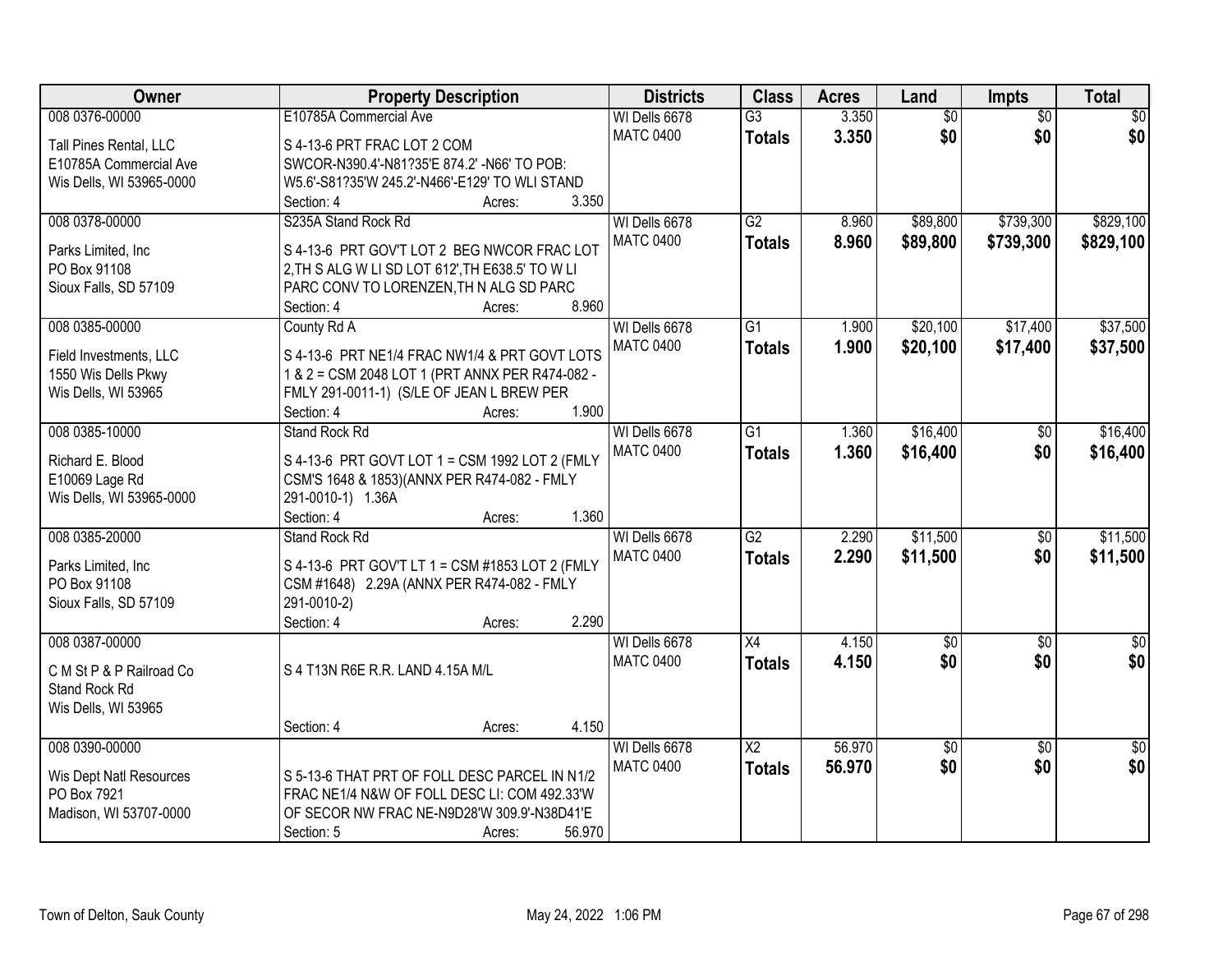| <b>Owner</b>             | <b>Property Description</b>                        | <b>Districts</b> | <b>Class</b>    | <b>Acres</b> | Land            | Impts           | <b>Total</b>    |
|--------------------------|----------------------------------------------------|------------------|-----------------|--------------|-----------------|-----------------|-----------------|
| 008 0376-00000           | E10785A Commercial Ave                             | WI Dells 6678    | $\overline{G3}$ | 3.350        | $\overline{50}$ | $\overline{30}$ | $\overline{50}$ |
| Tall Pines Rental, LLC   | S 4-13-6 PRT FRAC LOT 2 COM                        | <b>MATC 0400</b> | <b>Totals</b>   | 3.350        | \$0             | \$0             | \$0             |
| E10785A Commercial Ave   | SWCOR-N390.4'-N81?35'E 874.2' -N66' TO POB:        |                  |                 |              |                 |                 |                 |
| Wis Dells, WI 53965-0000 | W5.6'-S81?35'W 245.2'-N466'-E129' TO WLI STAND     |                  |                 |              |                 |                 |                 |
|                          | 3.350<br>Section: 4<br>Acres:                      |                  |                 |              |                 |                 |                 |
| 008 0378-00000           | S235A Stand Rock Rd                                | WI Dells 6678    | $\overline{G2}$ | 8.960        | \$89,800        | \$739,300       | \$829,100       |
| Parks Limited, Inc.      | S 4-13-6 PRT GOV'T LOT 2 BEG NWCOR FRAC LOT        | <b>MATC 0400</b> | <b>Totals</b>   | 8.960        | \$89,800        | \$739,300       | \$829,100       |
| PO Box 91108             | 2, TH S ALG W LI SD LOT 612', TH E638.5' TO W LI   |                  |                 |              |                 |                 |                 |
| Sioux Falls, SD 57109    | PARC CONV TO LORENZEN, TH N ALG SD PARC            |                  |                 |              |                 |                 |                 |
|                          | 8.960<br>Section: 4<br>Acres:                      |                  |                 |              |                 |                 |                 |
| 008 0385-00000           | County Rd A                                        | WI Dells 6678    | $\overline{G1}$ | 1.900        | \$20,100        | \$17,400        | \$37,500        |
|                          |                                                    | <b>MATC 0400</b> | <b>Totals</b>   | 1.900        | \$20,100        | \$17,400        | \$37,500        |
| Field Investments, LLC   | S 4-13-6 PRT NE1/4 FRAC NW1/4 & PRT GOVT LOTS      |                  |                 |              |                 |                 |                 |
| 1550 Wis Dells Pkwy      | 1 & 2 = CSM 2048 LOT 1 (PRT ANNX PER R474-082 -    |                  |                 |              |                 |                 |                 |
| Wis Dells, WI 53965      | FMLY 291-0011-1) (S/LE OF JEAN L BREW PER<br>1.900 |                  |                 |              |                 |                 |                 |
| 008 0385-10000           | Section: 4<br>Acres:<br><b>Stand Rock Rd</b>       | WI Dells 6678    | G1              | 1.360        | \$16,400        |                 | \$16,400        |
|                          |                                                    | <b>MATC 0400</b> |                 |              |                 | $\sqrt[6]{}$    |                 |
| Richard E. Blood         | S 4-13-6 PRT GOVT LOT 1 = CSM 1992 LOT 2 (FMLY     |                  | <b>Totals</b>   | 1.360        | \$16,400        | \$0             | \$16,400        |
| E10069 Lage Rd           | CSM'S 1648 & 1853)(ANNX PER R474-082 - FMLY        |                  |                 |              |                 |                 |                 |
| Wis Dells, WI 53965-0000 | 291-0010-1) 1.36A                                  |                  |                 |              |                 |                 |                 |
|                          | 1.360<br>Section: 4<br>Acres:                      |                  |                 |              |                 |                 |                 |
| 008 0385-20000           | <b>Stand Rock Rd</b>                               | WI Dells 6678    | $\overline{G2}$ | 2.290        | \$11,500        | $\overline{50}$ | \$11,500        |
| Parks Limited, Inc.      | S 4-13-6 PRT GOV'T LT 1 = CSM #1853 LOT 2 (FMLY    | <b>MATC 0400</b> | <b>Totals</b>   | 2.290        | \$11,500        | \$0             | \$11,500        |
| PO Box 91108             | CSM #1648) 2.29A (ANNX PER R474-082 - FMLY         |                  |                 |              |                 |                 |                 |
| Sioux Falls, SD 57109    | 291-0010-2)                                        |                  |                 |              |                 |                 |                 |
|                          | 2.290<br>Section: 4<br>Acres:                      |                  |                 |              |                 |                 |                 |
| 008 0387-00000           |                                                    | WI Dells 6678    | X4              | 4.150        | $\sqrt{50}$     | $\overline{60}$ | $\sqrt{50}$     |
| C M St P & P Railroad Co | S 4 T13N R6E R.R. LAND 4.15A M/L                   | <b>MATC 0400</b> | <b>Totals</b>   | 4.150        | \$0             | \$0             | \$0             |
| Stand Rock Rd            |                                                    |                  |                 |              |                 |                 |                 |
| Wis Dells, WI 53965      |                                                    |                  |                 |              |                 |                 |                 |
|                          | 4.150<br>Section: 4<br>Acres:                      |                  |                 |              |                 |                 |                 |
| 008 0390-00000           |                                                    | WI Dells 6678    | $\overline{X2}$ | 56.970       | \$0             | $\overline{50}$ | $\overline{50}$ |
|                          |                                                    | <b>MATC 0400</b> | <b>Totals</b>   | 56.970       | \$0             | \$0             | \$0             |
| Wis Dept Natl Resources  | S 5-13-6 THAT PRT OF FOLL DESC PARCEL IN N1/2      |                  |                 |              |                 |                 |                 |
| PO Box 7921              | FRAC NE1/4 N&W OF FOLL DESC LI: COM 492.33'W       |                  |                 |              |                 |                 |                 |
| Madison, WI 53707-0000   | OF SECOR NW FRAC NE-N9D28'W 309.9'-N38D41'E        |                  |                 |              |                 |                 |                 |
|                          | 56.970<br>Section: 5<br>Acres:                     |                  |                 |              |                 |                 |                 |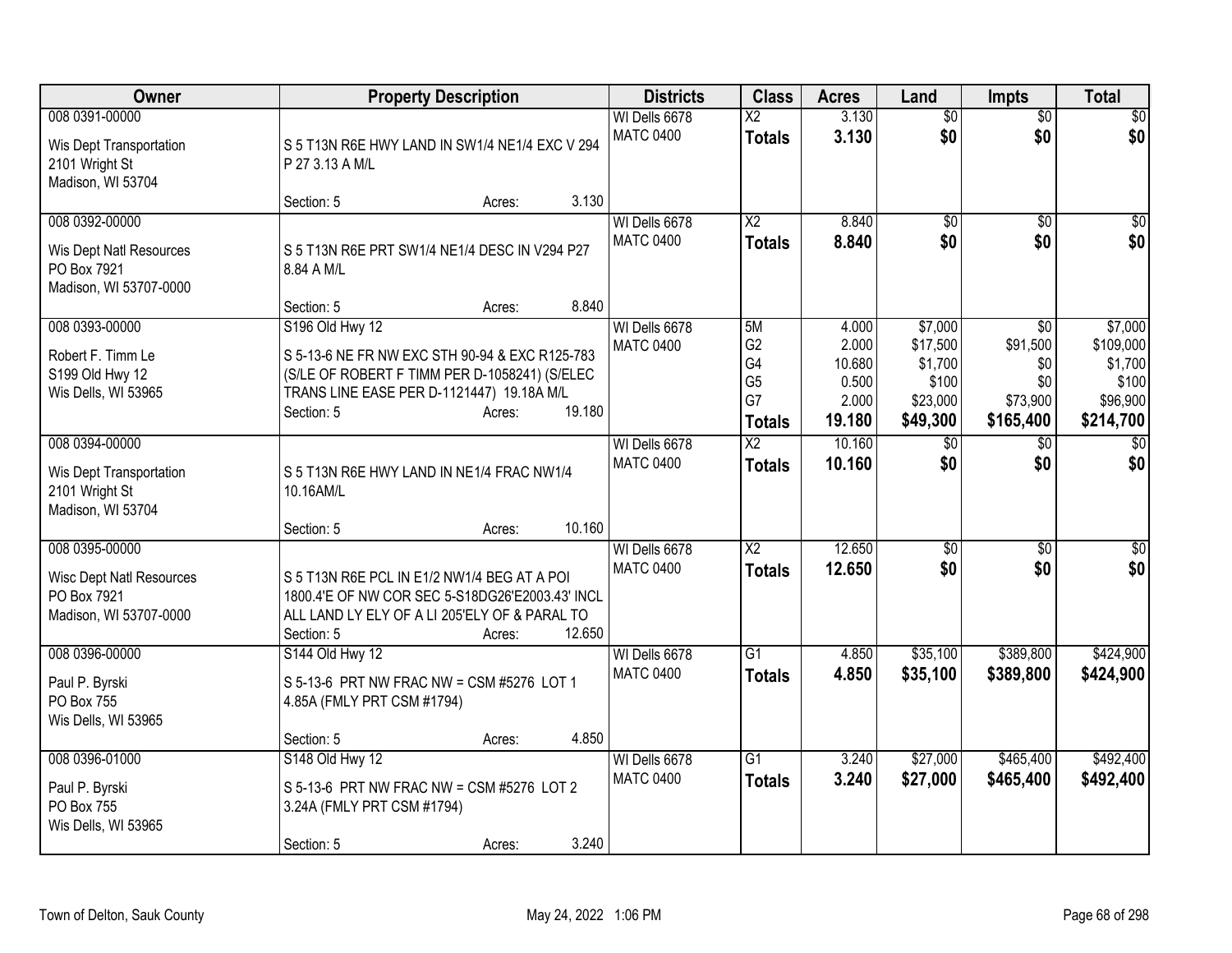| <b>Owner</b>                                                                               |                                                                                                                                                                                             | <b>Property Description</b> |        | <b>Districts</b>                  | <b>Class</b>                                                        | <b>Acres</b>                                         | Land                                                            | <b>Impts</b>                                           | <b>Total</b>                                                      |
|--------------------------------------------------------------------------------------------|---------------------------------------------------------------------------------------------------------------------------------------------------------------------------------------------|-----------------------------|--------|-----------------------------------|---------------------------------------------------------------------|------------------------------------------------------|-----------------------------------------------------------------|--------------------------------------------------------|-------------------------------------------------------------------|
| 008 0391-00000<br>Wis Dept Transportation<br>2101 Wright St<br>Madison, WI 53704           | S 5 T13N R6E HWY LAND IN SW1/4 NE1/4 EXC V 294<br>P 27 3.13 A M/L                                                                                                                           |                             |        | WI Dells 6678<br><b>MATC 0400</b> | $\overline{\mathsf{x2}}$<br><b>Totals</b>                           | 3.130<br>3.130                                       | $\overline{50}$<br>\$0                                          | $\overline{50}$<br>\$0                                 | \$0<br>\$0                                                        |
|                                                                                            | Section: 5                                                                                                                                                                                  | Acres:                      | 3.130  |                                   |                                                                     |                                                      |                                                                 |                                                        |                                                                   |
| 008 0392-00000<br>Wis Dept Natl Resources<br>PO Box 7921<br>Madison, WI 53707-0000         | S 5 T13N R6E PRT SW1/4 NE1/4 DESC IN V294 P27<br>8.84 A M/L                                                                                                                                 |                             | 8.840  | WI Dells 6678<br><b>MATC 0400</b> | $\overline{X2}$<br><b>Totals</b>                                    | 8.840<br>8.840                                       | \$0<br>\$0                                                      | \$0<br>\$0                                             | \$0<br>\$0                                                        |
| 008 0393-00000<br>Robert F. Timm Le<br>S199 Old Hwy 12<br>Wis Dells, WI 53965              | Section: 5<br>S196 Old Hwy 12<br>S 5-13-6 NE FR NW EXC STH 90-94 & EXC R125-783<br>(S/LE OF ROBERT F TIMM PER D-1058241) (S/ELEC<br>TRANS LINE EASE PER D-1121447) 19.18A M/L<br>Section: 5 | Acres:<br>Acres:            | 19.180 | WI Dells 6678<br><b>MATC 0400</b> | 5M<br>G <sub>2</sub><br>G4<br>G <sub>5</sub><br>G7<br><b>Totals</b> | 4.000<br>2.000<br>10.680<br>0.500<br>2.000<br>19.180 | \$7,000<br>\$17,500<br>\$1,700<br>\$100<br>\$23,000<br>\$49,300 | \$0<br>\$91,500<br>\$0<br>\$0<br>\$73,900<br>\$165,400 | \$7,000<br>\$109,000<br>\$1,700<br>\$100<br>\$96,900<br>\$214,700 |
| 008 0394-00000<br>Wis Dept Transportation<br>2101 Wright St<br>Madison, WI 53704           | S 5 T13N R6E HWY LAND IN NE1/4 FRAC NW1/4<br>10.16AM/L<br>Section: 5                                                                                                                        | Acres:                      | 10.160 | WI Dells 6678<br><b>MATC 0400</b> | $\overline{X2}$<br><b>Totals</b>                                    | 10.160<br>10.160                                     | $\overline{50}$<br>\$0                                          | $\overline{50}$<br>\$0                                 | $\overline{30}$<br>\$0                                            |
| 008 0395-00000<br><b>Wisc Dept Natl Resources</b><br>PO Box 7921<br>Madison, WI 53707-0000 | S 5 T13N R6E PCL IN E1/2 NW1/4 BEG AT A POI<br>1800.4'E OF NW COR SEC 5-S18DG26'E2003.43' INCL<br>ALL LAND LY ELY OF A LI 205'ELY OF & PARAL TO<br>Section: 5                               | Acres:                      | 12.650 | WI Dells 6678<br><b>MATC 0400</b> | $\overline{X2}$<br><b>Totals</b>                                    | 12.650<br>12.650                                     | $\overline{50}$<br>\$0                                          | \$0<br>\$0                                             | \$0<br>\$0                                                        |
| 008 0396-00000<br>Paul P. Byrski<br>PO Box 755<br>Wis Dells, WI 53965                      | S144 Old Hwy 12<br>S 5-13-6 PRT NW FRAC NW = CSM #5276 LOT 1<br>4.85A (FMLY PRT CSM #1794)<br>Section: 5                                                                                    | Acres:                      | 4.850  | WI Dells 6678<br><b>MATC 0400</b> | $\overline{G1}$<br><b>Totals</b>                                    | 4.850<br>4.850                                       | \$35,100<br>\$35,100                                            | \$389,800<br>\$389,800                                 | \$424,900<br>\$424,900                                            |
| 008 0396-01000<br>Paul P. Byrski<br>PO Box 755<br>Wis Dells, WI 53965                      | S148 Old Hwy 12<br>S 5-13-6 PRT NW FRAC NW = CSM #5276 LOT 2<br>3.24A (FMLY PRT CSM #1794)<br>Section: 5                                                                                    | Acres:                      | 3.240  | WI Dells 6678<br><b>MATC 0400</b> | $\overline{G1}$<br><b>Totals</b>                                    | 3.240<br>3.240                                       | \$27,000<br>\$27,000                                            | \$465,400<br>\$465,400                                 | \$492,400<br>\$492,400                                            |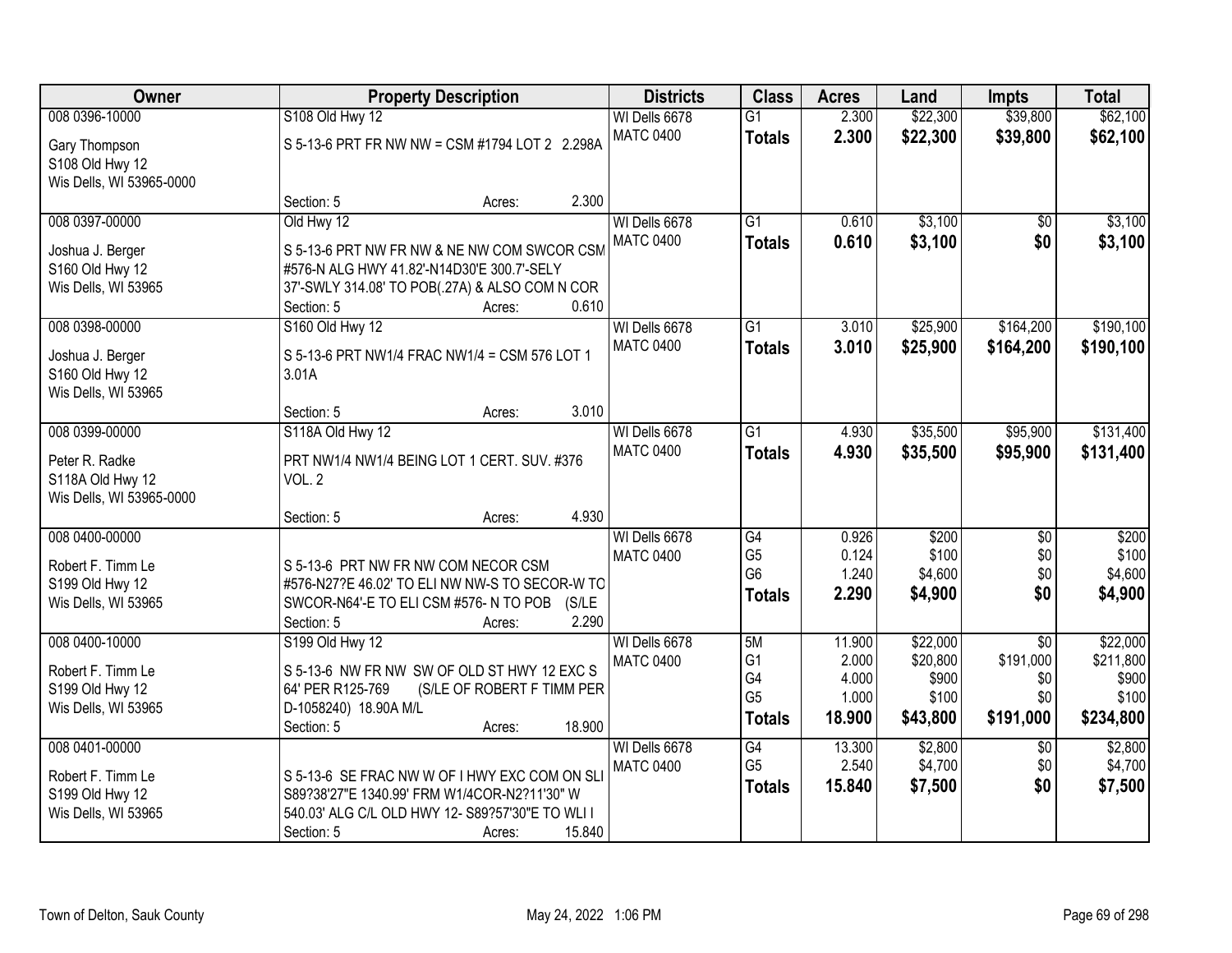| Owner                                  |                                       | <b>Property Description</b>                                                                  |                                   |                      | <b>Acres</b>    | Land                 | <b>Impts</b>           | <b>Total</b>       |
|----------------------------------------|---------------------------------------|----------------------------------------------------------------------------------------------|-----------------------------------|----------------------|-----------------|----------------------|------------------------|--------------------|
| 008 0396-10000                         | S108 Old Hwy 12                       |                                                                                              | WI Dells 6678<br><b>MATC 0400</b> | $\overline{G1}$      | 2.300<br>2.300  | \$22,300<br>\$22,300 | \$39,800               | \$62,100           |
| Gary Thompson                          |                                       | S 5-13-6 PRT FR NW NW = CSM #1794 LOT 2 2.298A                                               |                                   | <b>Totals</b>        |                 |                      | \$39,800               | \$62,100           |
| S108 Old Hwy 12                        |                                       |                                                                                              |                                   |                      |                 |                      |                        |                    |
| Wis Dells, WI 53965-0000               | Section: 5                            | Acres:                                                                                       | 2.300                             |                      |                 |                      |                        |                    |
| 008 0397-00000                         | Old Hwy 12                            |                                                                                              | WI Dells 6678                     | $\overline{G1}$      | 0.610           | \$3,100              | \$0                    | \$3,100            |
|                                        |                                       |                                                                                              | <b>MATC 0400</b>                  | <b>Totals</b>        | 0.610           | \$3,100              | \$0                    | \$3,100            |
| Joshua J. Berger                       |                                       | S 5-13-6 PRT NW FR NW & NE NW COM SWCOR CSM                                                  |                                   |                      |                 |                      |                        |                    |
| S160 Old Hwy 12<br>Wis Dells, WI 53965 |                                       | #576-N ALG HWY 41.82'-N14D30'E 300.7'-SELY<br>37'-SWLY 314.08' TO POB(.27A) & ALSO COM N COR |                                   |                      |                 |                      |                        |                    |
|                                        | Section: 5                            | Acres:                                                                                       | 0.610                             |                      |                 |                      |                        |                    |
| 008 0398-00000                         | S160 Old Hwy 12                       |                                                                                              | WI Dells 6678                     | $\overline{G1}$      | 3.010           | \$25,900             | \$164,200              | \$190,100          |
| Joshua J. Berger                       |                                       | S 5-13-6 PRT NW1/4 FRAC NW1/4 = CSM 576 LOT 1                                                | <b>MATC 0400</b>                  | <b>Totals</b>        | 3.010           | \$25,900             | \$164,200              | \$190,100          |
| S160 Old Hwy 12                        | 3.01A                                 |                                                                                              |                                   |                      |                 |                      |                        |                    |
| Wis Dells, WI 53965                    |                                       |                                                                                              |                                   |                      |                 |                      |                        |                    |
|                                        | Section: 5                            | Acres:                                                                                       | 3.010                             |                      |                 |                      |                        |                    |
| 008 0399-00000                         | S118A Old Hwy 12                      |                                                                                              | WI Dells 6678                     | $\overline{G1}$      | 4.930           | \$35,500             | \$95,900               | \$131,400          |
| Peter R. Radke                         |                                       | PRT NW1/4 NW1/4 BEING LOT 1 CERT. SUV. #376                                                  | <b>MATC 0400</b>                  | <b>Totals</b>        | 4.930           | \$35,500             | \$95,900               | \$131,400          |
| S118A Old Hwy 12                       | VOL. 2                                |                                                                                              |                                   |                      |                 |                      |                        |                    |
| Wis Dells, WI 53965-0000               |                                       |                                                                                              |                                   |                      |                 |                      |                        |                    |
|                                        | Section: 5                            | Acres:                                                                                       | 4.930                             |                      |                 |                      |                        |                    |
| 008 0400-00000                         |                                       |                                                                                              | WI Dells 6678                     | $\overline{G4}$      | 0.926           | \$200                | $\overline{50}$        | \$200              |
| Robert F. Timm Le                      | S 5-13-6 PRT NW FR NW COM NECOR CSM   |                                                                                              | <b>MATC 0400</b>                  | G <sub>5</sub>       | 0.124           | \$100                | \$0                    | \$100              |
| S199 Old Hwy 12                        |                                       | #576-N27?E 46.02' TO ELI NW NW-S TO SECOR-W TO                                               |                                   | G <sub>6</sub>       | 1.240<br>2.290  | \$4,600<br>\$4,900   | \$0<br>\$0             | \$4,600<br>\$4,900 |
| Wis Dells, WI 53965                    | SWCOR-N64'-E TO ELI CSM #576-N TO POB |                                                                                              | (S/LE)                            | <b>Totals</b>        |                 |                      |                        |                    |
|                                        | Section: 5                            | Acres:                                                                                       | 2.290                             |                      |                 |                      |                        |                    |
| 008 0400-10000                         | S199 Old Hwy 12                       |                                                                                              | WI Dells 6678                     | 5M                   | 11.900          | \$22,000             | $\overline{50}$        | \$22,000           |
| Robert F. Timm Le                      |                                       | S 5-13-6 NW FR NW SW OF OLD ST HWY 12 EXC S                                                  | <b>MATC 0400</b>                  | G <sub>1</sub><br>G4 | 2.000<br>4.000  | \$20,800<br>\$900    | \$191,000<br>\$0       | \$211,800<br>\$900 |
| S199 Old Hwy 12                        | 64' PER R125-769                      | (S/LE OF ROBERT F TIMM PER                                                                   |                                   | G <sub>5</sub>       | 1.000           | \$100                | \$0                    | \$100              |
| Wis Dells, WI 53965                    | D-1058240) 18.90A M/L                 |                                                                                              |                                   | <b>Totals</b>        | 18.900          | \$43,800             | \$191,000              | \$234,800          |
|                                        | Section: 5                            | Acres:                                                                                       | 18.900                            |                      |                 |                      |                        |                    |
| 008 0401-00000                         |                                       |                                                                                              | WI Dells 6678<br><b>MATC 0400</b> | G4<br>G <sub>5</sub> | 13.300<br>2.540 | \$2,800<br>\$4,700   | $\overline{50}$<br>\$0 | \$2,800<br>\$4,700 |
| Robert F. Timm Le                      |                                       | S 5-13-6 SE FRAC NW W OF I HWY EXC COM ON SLI                                                |                                   | <b>Totals</b>        | 15.840          | \$7,500              | \$0                    | \$7,500            |
| S199 Old Hwy 12                        |                                       | S89?38'27"E 1340.99' FRM W1/4COR-N2?11'30" W                                                 |                                   |                      |                 |                      |                        |                    |
| Wis Dells, WI 53965                    |                                       | 540.03' ALG C/L OLD HWY 12- S89?57'30"E TO WLI I                                             |                                   |                      |                 |                      |                        |                    |
|                                        | Section: 5                            | Acres:                                                                                       | 15.840                            |                      |                 |                      |                        |                    |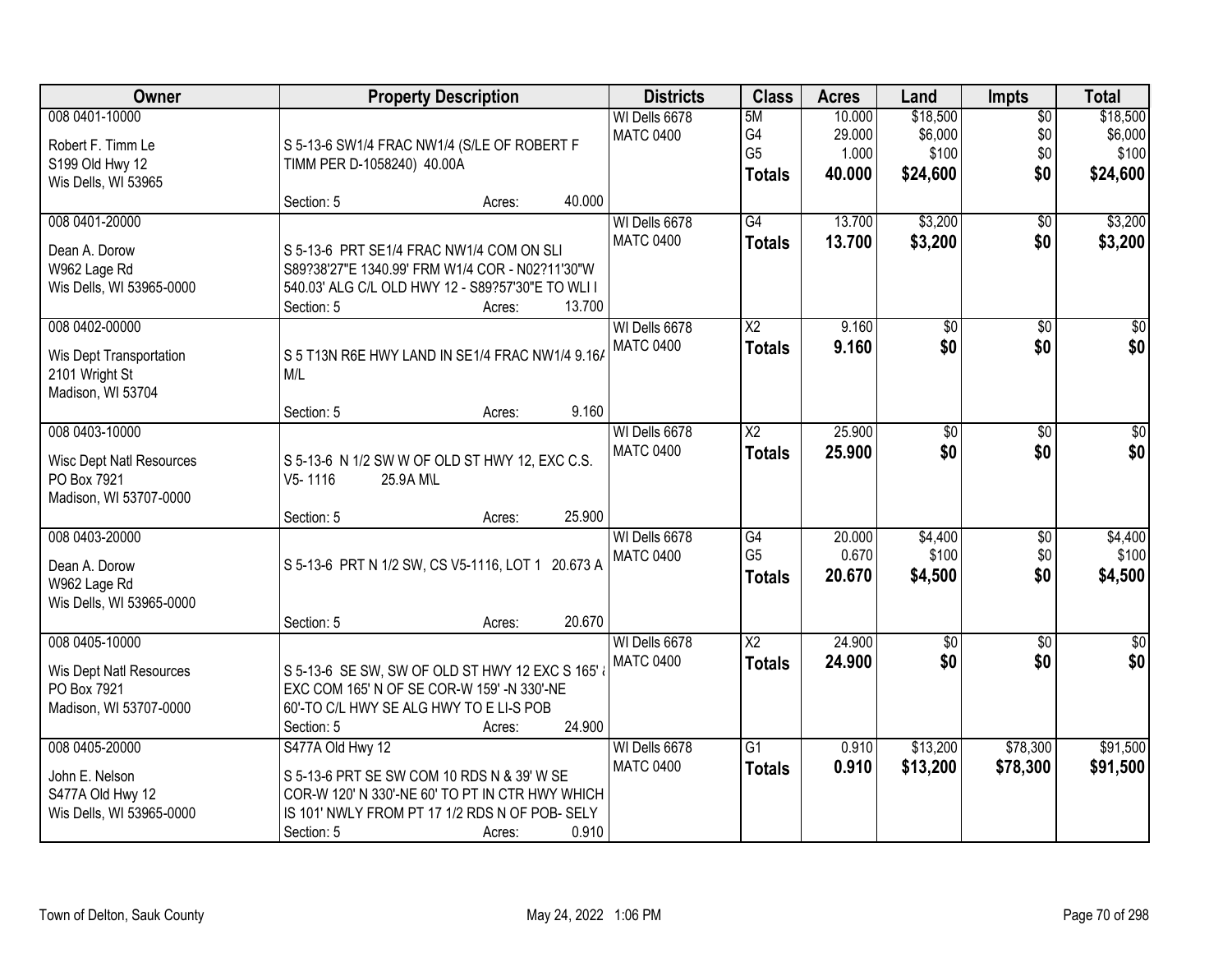| Owner                                                                                      | <b>Property Description</b>                                                                                                                                                                          | <b>Districts</b>                  | <b>Class</b>                                       | <b>Acres</b>                        | Land                                     | <b>Impts</b>                         | <b>Total</b>                             |
|--------------------------------------------------------------------------------------------|------------------------------------------------------------------------------------------------------------------------------------------------------------------------------------------------------|-----------------------------------|----------------------------------------------------|-------------------------------------|------------------------------------------|--------------------------------------|------------------------------------------|
| 008 0401-10000<br>Robert F. Timm Le<br>S199 Old Hwy 12<br>Wis Dells, WI 53965              | S 5-13-6 SW1/4 FRAC NW1/4 (S/LE OF ROBERT F<br>TIMM PER D-1058240) 40.00A                                                                                                                            | WI Dells 6678<br><b>MATC 0400</b> | 5M<br>G4<br>G <sub>5</sub><br><b>Totals</b>        | 10.000<br>29.000<br>1.000<br>40.000 | \$18,500<br>\$6,000<br>\$100<br>\$24,600 | $\overline{50}$<br>\$0<br>\$0<br>\$0 | \$18,500<br>\$6,000<br>\$100<br>\$24,600 |
|                                                                                            | 40.000<br>Section: 5<br>Acres:                                                                                                                                                                       |                                   |                                                    |                                     |                                          |                                      |                                          |
| 008 0401-20000<br>Dean A. Dorow<br>W962 Lage Rd<br>Wis Dells, WI 53965-0000                | S 5-13-6 PRT SE1/4 FRAC NW1/4 COM ON SLI<br>S89?38'27"E 1340.99' FRM W1/4 COR - N02?11'30"W<br>540.03' ALG C/L OLD HWY 12 - S89?57'30"E TO WLI I<br>13.700<br>Section: 5<br>Acres:                   | WI Dells 6678<br><b>MATC 0400</b> | G4<br><b>Totals</b>                                | 13.700<br>13.700                    | \$3,200<br>\$3,200                       | $\overline{50}$<br>\$0               | \$3,200<br>\$3,200                       |
| 008 0402-00000<br>Wis Dept Transportation<br>2101 Wright St<br>Madison, WI 53704           | S 5 T13N R6E HWY LAND IN SE1/4 FRAC NW1/4 9.16/<br>M/L<br>9.160<br>Section: 5<br>Acres:                                                                                                              | WI Dells 6678<br><b>MATC 0400</b> | $\overline{\text{X2}}$<br><b>Totals</b>            | 9.160<br>9.160                      | $\overline{50}$<br>\$0                   | $\overline{50}$<br>\$0               | $\overline{30}$<br>\$0                   |
| 008 0403-10000<br><b>Wisc Dept Natl Resources</b><br>PO Box 7921<br>Madison, WI 53707-0000 | S 5-13-6 N 1/2 SW W OF OLD ST HWY 12, EXC C.S.<br>V5-1116<br>25.9A M\L<br>25.900<br>Section: 5<br>Acres:                                                                                             | WI Dells 6678<br><b>MATC 0400</b> | $\overline{X2}$<br><b>Totals</b>                   | 25.900<br>25.900                    | \$0<br>\$0                               | \$0<br>\$0                           | \$0<br>\$0                               |
| 008 0403-20000<br>Dean A. Dorow<br>W962 Lage Rd<br>Wis Dells, WI 53965-0000                | S 5-13-6 PRT N 1/2 SW, CS V5-1116, LOT 1 20.673 A<br>20.670<br>Section: 5<br>Acres:                                                                                                                  | WI Dells 6678<br><b>MATC 0400</b> | $\overline{G4}$<br>G <sub>5</sub><br><b>Totals</b> | 20.000<br>0.670<br>20.670           | \$4,400<br>\$100<br>\$4,500              | $\overline{30}$<br>\$0<br>\$0        | \$4,400<br>\$100<br>\$4,500              |
| 008 0405-10000<br>Wis Dept Natl Resources<br>PO Box 7921<br>Madison, WI 53707-0000         | S 5-13-6 SE SW, SW OF OLD ST HWY 12 EXC S 165'<br>EXC COM 165' N OF SE COR-W 159' -N 330'-NE<br>60'-TO C/L HWY SE ALG HWY TO E LI-S POB<br>24.900<br>Section: 5<br>Acres:                            | WI Dells 6678<br><b>MATC 0400</b> | $\overline{X2}$<br><b>Totals</b>                   | 24.900<br>24.900                    | $\sqrt{$0}$<br>\$0                       | $\sqrt{6}$<br>\$0                    | $\sqrt{50}$<br>\$0                       |
| 008 0405-20000<br>John E. Nelson<br>S477A Old Hwy 12<br>Wis Dells, WI 53965-0000           | S477A Old Hwy 12<br>S 5-13-6 PRT SE SW COM 10 RDS N & 39' W SE<br>COR-W 120' N 330'-NE 60' TO PT IN CTR HWY WHICH<br>IS 101' NWLY FROM PT 17 1/2 RDS N OF POB- SELY<br>0.910<br>Section: 5<br>Acres: | WI Dells 6678<br><b>MATC 0400</b> | $\overline{G1}$<br><b>Totals</b>                   | 0.910<br>0.910                      | \$13,200<br>\$13,200                     | \$78,300<br>\$78,300                 | \$91,500<br>\$91,500                     |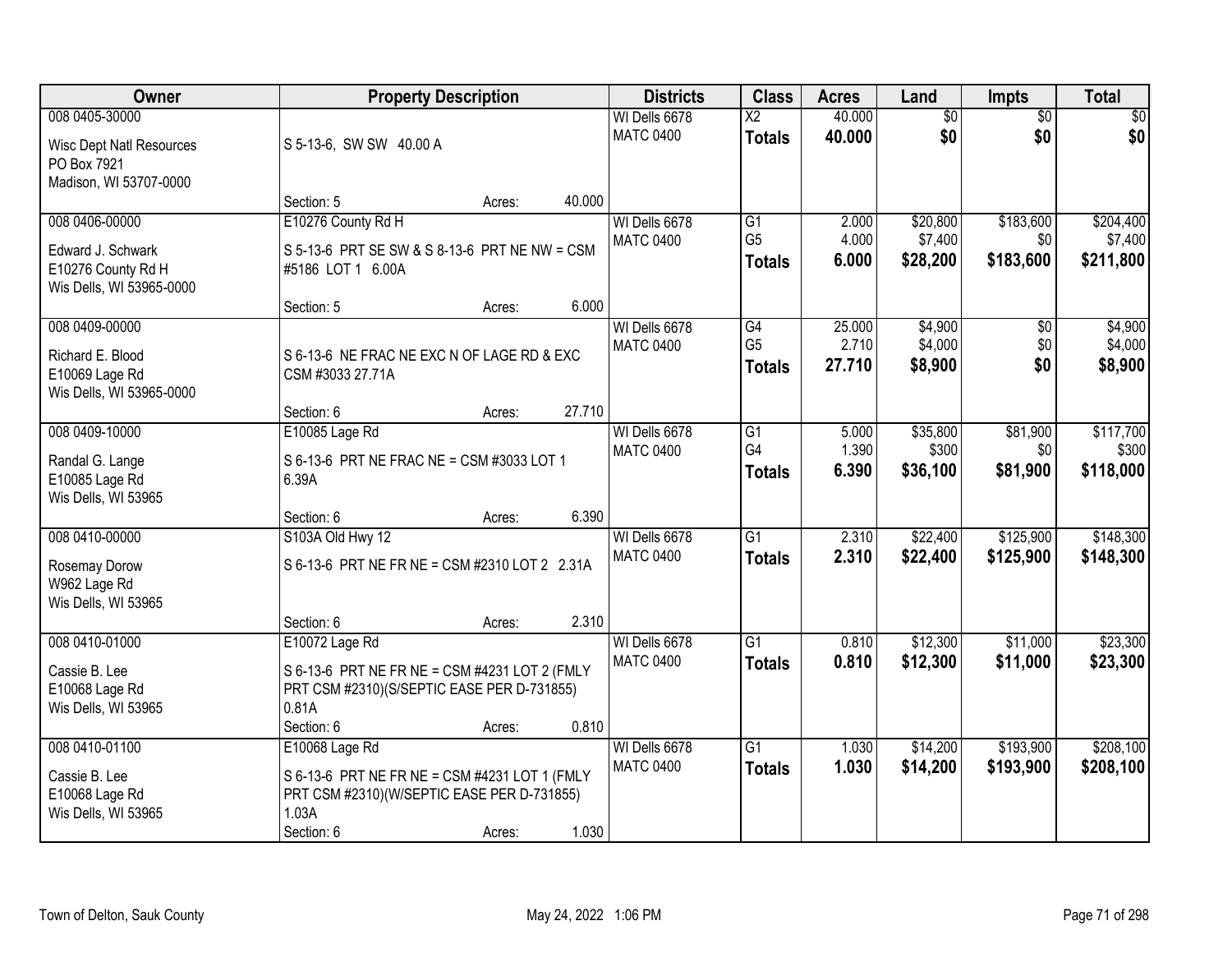| Owner                           | <b>Property Description</b>                   |        |        | <b>Districts</b> | <b>Class</b>    | <b>Acres</b> | Land            | <b>Impts</b>    | <b>Total</b> |
|---------------------------------|-----------------------------------------------|--------|--------|------------------|-----------------|--------------|-----------------|-----------------|--------------|
| 008 0405-30000                  |                                               |        |        | WI Dells 6678    | $\overline{X2}$ | 40.000       | $\overline{50}$ | $\overline{50}$ | \$0          |
| <b>Wisc Dept Natl Resources</b> | S 5-13-6, SW SW 40.00 A                       |        |        | <b>MATC 0400</b> | <b>Totals</b>   | 40.000       | \$0             | \$0             | \$0          |
| PO Box 7921                     |                                               |        |        |                  |                 |              |                 |                 |              |
| Madison, WI 53707-0000          |                                               |        |        |                  |                 |              |                 |                 |              |
|                                 | Section: 5                                    | Acres: | 40.000 |                  |                 |              |                 |                 |              |
| 008 0406-00000                  | E10276 County Rd H                            |        |        | WI Dells 6678    | G1              | 2.000        | \$20,800        | \$183,600       | \$204,400    |
| Edward J. Schwark               | S 5-13-6 PRT SE SW & S 8-13-6 PRT NE NW = CSM |        |        | <b>MATC 0400</b> | G <sub>5</sub>  | 4.000        | \$7,400         | \$0             | \$7,400      |
| E10276 County Rd H              | #5186 LOT 1 6.00A                             |        |        |                  | <b>Totals</b>   | 6.000        | \$28,200        | \$183,600       | \$211,800    |
| Wis Dells, WI 53965-0000        |                                               |        |        |                  |                 |              |                 |                 |              |
|                                 | Section: 5                                    | Acres: | 6.000  |                  |                 |              |                 |                 |              |
| 008 0409-00000                  |                                               |        |        | WI Dells 6678    | G4              | 25.000       | \$4,900         | \$0             | \$4,900      |
| Richard E. Blood                | S 6-13-6 NE FRAC NE EXC N OF LAGE RD & EXC    |        |        | <b>MATC 0400</b> | G <sub>5</sub>  | 2.710        | \$4,000         | \$0             | \$4,000      |
| E10069 Lage Rd                  | CSM #3033 27.71A                              |        |        |                  | <b>Totals</b>   | 27.710       | \$8,900         | \$0             | \$8,900      |
| Wis Dells, WI 53965-0000        |                                               |        |        |                  |                 |              |                 |                 |              |
|                                 | Section: 6                                    | Acres: | 27.710 |                  |                 |              |                 |                 |              |
| 008 0409-10000                  | E10085 Lage Rd                                |        |        | WI Dells 6678    | $\overline{G1}$ | 5.000        | \$35,800        | \$81,900        | \$117,700    |
| Randal G. Lange                 | S 6-13-6 PRT NE FRAC NE = CSM #3033 LOT 1     |        |        | <b>MATC 0400</b> | G4              | 1.390        | \$300           | \$0             | \$300        |
| E10085 Lage Rd                  | 6.39A                                         |        |        |                  | <b>Totals</b>   | 6.390        | \$36,100        | \$81,900        | \$118,000    |
| Wis Dells, WI 53965             |                                               |        |        |                  |                 |              |                 |                 |              |
|                                 | Section: 6                                    | Acres: | 6.390  |                  |                 |              |                 |                 |              |
| 008 0410-00000                  | S103A Old Hwy 12                              |        |        | WI Dells 6678    | $\overline{G1}$ | 2.310        | \$22,400        | \$125,900       | \$148,300    |
|                                 | S 6-13-6 PRT NE FR NE = CSM #2310 LOT 2 2.31A |        |        | <b>MATC 0400</b> | <b>Totals</b>   | 2.310        | \$22,400        | \$125,900       | \$148,300    |
| Rosemay Dorow<br>W962 Lage Rd   |                                               |        |        |                  |                 |              |                 |                 |              |
| Wis Dells, WI 53965             |                                               |        |        |                  |                 |              |                 |                 |              |
|                                 | Section: 6                                    | Acres: | 2.310  |                  |                 |              |                 |                 |              |
| 008 0410-01000                  | E10072 Lage Rd                                |        |        | WI Dells 6678    | $\overline{G1}$ | 0.810        | \$12,300        | \$11,000        | \$23,300     |
| Cassie B. Lee                   | S 6-13-6 PRT NE FR NE = CSM #4231 LOT 2 (FMLY |        |        | <b>MATC 0400</b> | <b>Totals</b>   | 0.810        | \$12,300        | \$11,000        | \$23,300     |
| E10068 Lage Rd                  | PRT CSM #2310)(S/SEPTIC EASE PER D-731855)    |        |        |                  |                 |              |                 |                 |              |
| Wis Dells, WI 53965             | 0.81A                                         |        |        |                  |                 |              |                 |                 |              |
|                                 | Section: 6                                    | Acres: | 0.810  |                  |                 |              |                 |                 |              |
| 008 0410-01100                  | E10068 Lage Rd                                |        |        | WI Dells 6678    | $\overline{G1}$ | 1.030        | \$14,200        | \$193,900       | \$208,100    |
| Cassie B. Lee                   | S 6-13-6 PRT NE FR NE = CSM #4231 LOT 1 (FMLY |        |        | <b>MATC 0400</b> | <b>Totals</b>   | 1.030        | \$14,200        | \$193,900       | \$208,100    |
| E10068 Lage Rd                  | PRT CSM #2310)(W/SEPTIC EASE PER D-731855)    |        |        |                  |                 |              |                 |                 |              |
| Wis Dells, WI 53965             | 1.03A                                         |        |        |                  |                 |              |                 |                 |              |
|                                 | Section: 6                                    | Acres: | 1.030  |                  |                 |              |                 |                 |              |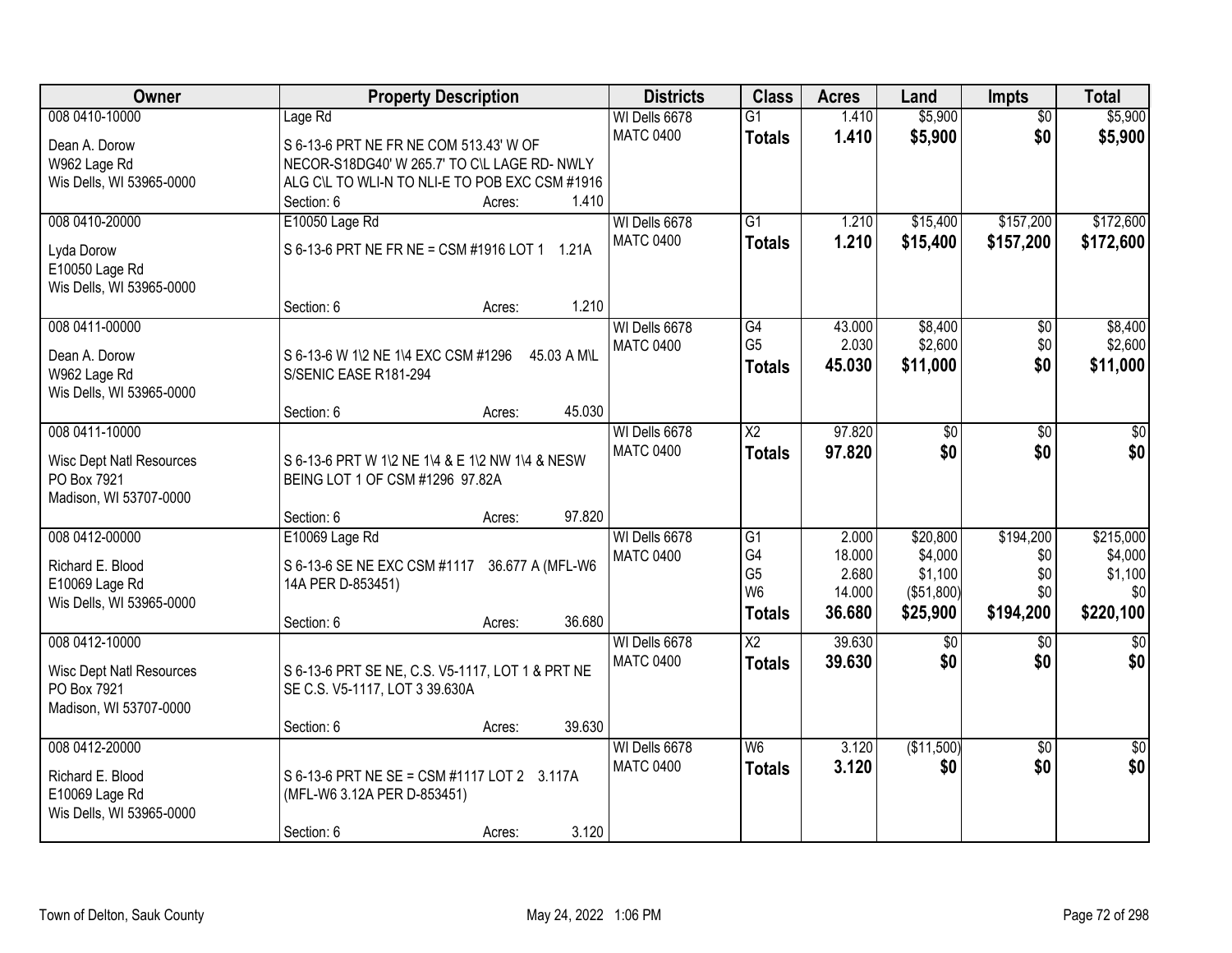| Owner                                          | <b>Property Description</b>                        | <b>Districts</b>                  | <b>Class</b>        | <b>Acres</b> | Land       | <b>Impts</b>    | <b>Total</b>  |
|------------------------------------------------|----------------------------------------------------|-----------------------------------|---------------------|--------------|------------|-----------------|---------------|
| 008 0410-10000                                 | Lage Rd                                            | WI Dells 6678                     | $\overline{G1}$     | 1.410        | \$5,900    | $\overline{50}$ | \$5,900       |
| Dean A. Dorow                                  | S 6-13-6 PRT NE FR NE COM 513.43' W OF             | <b>MATC 0400</b>                  | <b>Totals</b>       | 1.410        | \$5,900    | \$0             | \$5,900       |
| W962 Lage Rd                                   | NECOR-S18DG40' W 265.7' TO C\L LAGE RD- NWLY       |                                   |                     |              |            |                 |               |
| Wis Dells, WI 53965-0000                       | ALG C\L TO WLI-N TO NLI-E TO POB EXC CSM #1916     |                                   |                     |              |            |                 |               |
|                                                | Section: 6<br>1.410<br>Acres:                      |                                   |                     |              |            |                 |               |
| 008 0410-20000                                 | E10050 Lage Rd                                     | WI Dells 6678                     | $\overline{G1}$     | 1.210        | \$15,400   | \$157,200       | \$172,600     |
| Lyda Dorow                                     | S 6-13-6 PRT NE FR NE = CSM #1916 LOT 1 1.21A      | <b>MATC 0400</b>                  | <b>Totals</b>       | 1.210        | \$15,400   | \$157,200       | \$172,600     |
| E10050 Lage Rd                                 |                                                    |                                   |                     |              |            |                 |               |
| Wis Dells, WI 53965-0000                       |                                                    |                                   |                     |              |            |                 |               |
|                                                | 1.210<br>Section: 6<br>Acres:                      |                                   |                     |              |            |                 |               |
| 008 0411-00000                                 |                                                    | WI Dells 6678                     | $\overline{G4}$     | 43.000       | \$8,400    | \$0             | \$8,400       |
|                                                |                                                    | <b>MATC 0400</b>                  | G <sub>5</sub>      | 2.030        | \$2,600    | \$0             | \$2,600       |
| Dean A. Dorow                                  | S 6-13-6 W 1\2 NE 1\4 EXC CSM #1296<br>45.03 A M\L |                                   | <b>Totals</b>       | 45.030       | \$11,000   | \$0             | \$11,000      |
| W962 Lage Rd                                   | S/SENIC EASE R181-294                              |                                   |                     |              |            |                 |               |
| Wis Dells, WI 53965-0000                       |                                                    |                                   |                     |              |            |                 |               |
| 008 0411-10000                                 | 45.030<br>Section: 6<br>Acres:                     |                                   | $\overline{\chi_2}$ | 97.820       |            |                 |               |
|                                                |                                                    | WI Dells 6678<br><b>MATC 0400</b> |                     |              | \$0        | \$0             | \$0           |
| <b>Wisc Dept Natl Resources</b>                | S 6-13-6 PRT W 1\2 NE 1\4 & E 1\2 NW 1\4 & NESW    |                                   | <b>Totals</b>       | 97.820       | \$0        | \$0             | \$0           |
| PO Box 7921                                    | BEING LOT 1 OF CSM #1296 97.82A                    |                                   |                     |              |            |                 |               |
| Madison, WI 53707-0000                         |                                                    |                                   |                     |              |            |                 |               |
|                                                | 97.820<br>Section: 6<br>Acres:                     |                                   |                     |              |            |                 |               |
| 008 0412-00000                                 | E10069 Lage Rd                                     | WI Dells 6678                     | $\overline{G1}$     | 2.000        | \$20,800   | \$194,200       | \$215,000     |
| Richard E. Blood                               | S 6-13-6 SE NE EXC CSM #1117 36.677 A (MFL-W6      | <b>MATC 0400</b>                  | G <sub>4</sub>      | 18.000       | \$4,000    | \$0             | \$4,000       |
| E10069 Lage Rd                                 | 14A PER D-853451)                                  |                                   | G <sub>5</sub>      | 2.680        | \$1,100    | \$0             | \$1,100       |
| Wis Dells, WI 53965-0000                       |                                                    |                                   | W <sub>6</sub>      | 14.000       | (\$51,800) | \$0             | \$0           |
|                                                | 36.680<br>Section: 6<br>Acres:                     |                                   | <b>Totals</b>       | 36.680       | \$25,900   | \$194,200       | \$220,100     |
| 008 0412-10000                                 |                                                    | WI Dells 6678                     | $\overline{X2}$     | 39.630       | \$0        | \$0             | $\frac{1}{6}$ |
|                                                | S 6-13-6 PRT SE NE, C.S. V5-1117, LOT 1 & PRT NE   | <b>MATC 0400</b>                  | <b>Totals</b>       | 39.630       | \$0        | \$0             | \$0           |
| <b>Wisc Dept Natl Resources</b><br>PO Box 7921 | SE C.S. V5-1117, LOT 3 39.630A                     |                                   |                     |              |            |                 |               |
| Madison, WI 53707-0000                         |                                                    |                                   |                     |              |            |                 |               |
|                                                | 39.630<br>Section: 6<br>Acres:                     |                                   |                     |              |            |                 |               |
| 008 0412-20000                                 |                                                    | WI Dells 6678                     | W <sub>6</sub>      | 3.120        | (\$11,500) | $\overline{50}$ | $\frac{1}{6}$ |
|                                                |                                                    | <b>MATC 0400</b>                  | <b>Totals</b>       | 3.120        | \$0        | \$0             | \$0           |
| Richard E. Blood                               | S 6-13-6 PRT NE SE = CSM #1117 LOT 2 3.117A        |                                   |                     |              |            |                 |               |
| E10069 Lage Rd                                 | (MFL-W6 3.12A PER D-853451)                        |                                   |                     |              |            |                 |               |
| Wis Dells, WI 53965-0000                       |                                                    |                                   |                     |              |            |                 |               |
|                                                | 3.120<br>Section: 6<br>Acres:                      |                                   |                     |              |            |                 |               |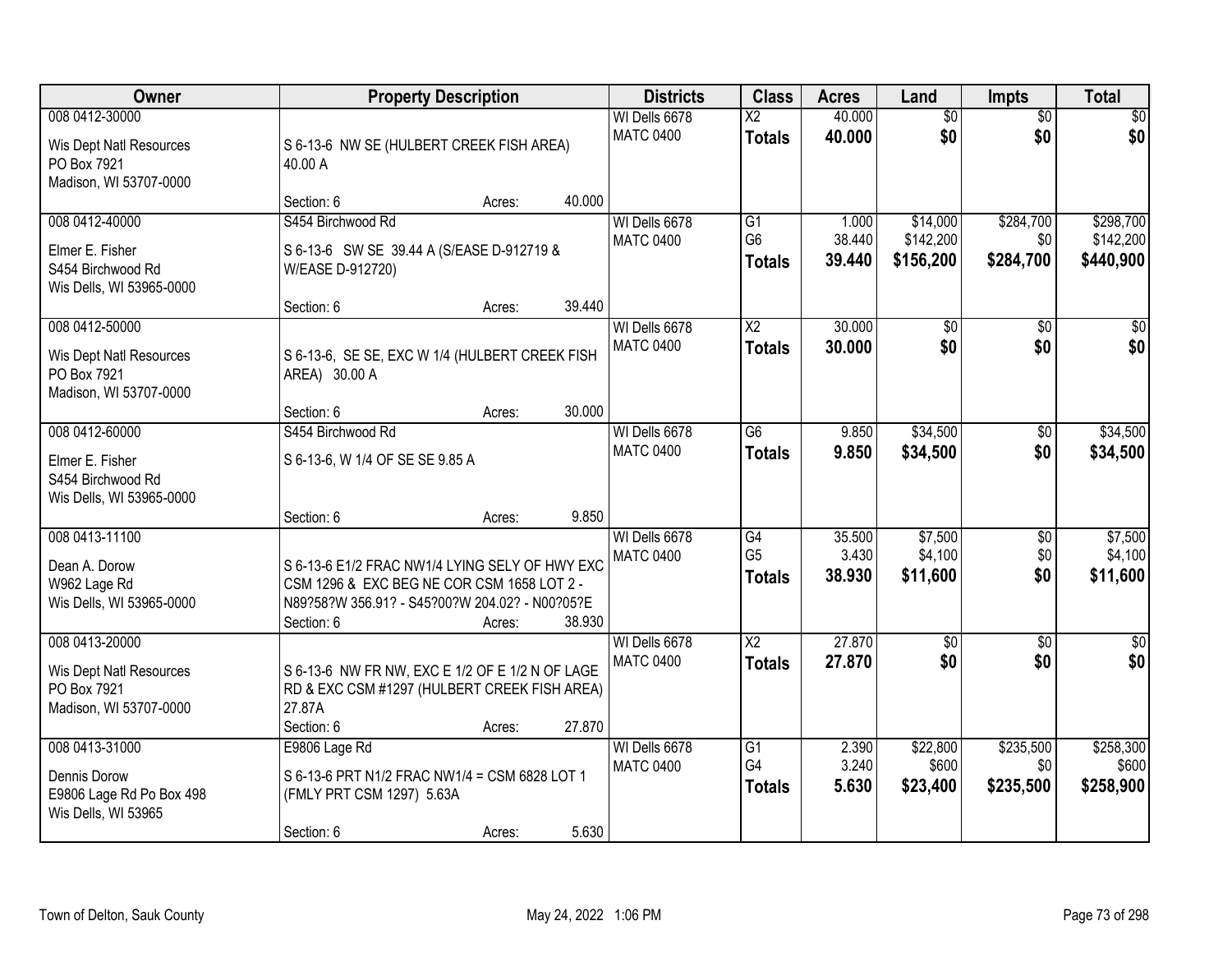| <b>Owner</b>                                                                       | <b>Property Description</b>                                                                                                                                                      | <b>Districts</b>                  | <b>Class</b>                                       | <b>Acres</b>              | Land                               | <b>Impts</b>                  | <b>Total</b>                        |
|------------------------------------------------------------------------------------|----------------------------------------------------------------------------------------------------------------------------------------------------------------------------------|-----------------------------------|----------------------------------------------------|---------------------------|------------------------------------|-------------------------------|-------------------------------------|
| 008 0412-30000<br>Wis Dept Natl Resources<br>PO Box 7921<br>Madison, WI 53707-0000 | S 6-13-6 NW SE (HULBERT CREEK FISH AREA)<br>40.00 A                                                                                                                              | WI Dells 6678<br><b>MATC 0400</b> | $\overline{\text{X2}}$<br><b>Totals</b>            | 40.000<br>40.000          | $\overline{50}$<br>\$0             | $\overline{50}$<br>\$0        | $\overline{30}$<br>\$0              |
|                                                                                    | 40.000<br>Section: 6<br>Acres:                                                                                                                                                   |                                   |                                                    |                           |                                    |                               |                                     |
| 008 0412-40000<br>Elmer E. Fisher<br>S454 Birchwood Rd<br>Wis Dells, WI 53965-0000 | S454 Birchwood Rd<br>S 6-13-6 SW SE 39.44 A (S/EASE D-912719 &<br>W/EASE D-912720)                                                                                               | WI Dells 6678<br><b>MATC 0400</b> | $\overline{G1}$<br>G <sub>6</sub><br><b>Totals</b> | 1.000<br>38.440<br>39.440 | \$14,000<br>\$142,200<br>\$156,200 | \$284,700<br>\$0<br>\$284,700 | \$298,700<br>\$142,200<br>\$440,900 |
| 008 0412-50000                                                                     | 39.440<br>Section: 6<br>Acres:                                                                                                                                                   | WI Dells 6678                     | X2                                                 | 30,000                    | \$0                                | \$0                           | \$0                                 |
| Wis Dept Natl Resources<br>PO Box 7921<br>Madison, WI 53707-0000                   | S 6-13-6, SE SE, EXC W 1/4 (HULBERT CREEK FISH<br>AREA) 30.00 A                                                                                                                  | <b>MATC 0400</b>                  | <b>Totals</b>                                      | 30.000                    | \$0                                | \$0                           | \$0                                 |
|                                                                                    | 30.000<br>Section: 6<br>Acres:                                                                                                                                                   |                                   |                                                    |                           |                                    |                               |                                     |
| 008 0412-60000<br>Elmer E. Fisher<br>S454 Birchwood Rd<br>Wis Dells, WI 53965-0000 | S454 Birchwood Rd<br>S 6-13-6, W 1/4 OF SE SE 9.85 A                                                                                                                             | WI Dells 6678<br><b>MATC 0400</b> | $\overline{G6}$<br><b>Totals</b>                   | 9.850<br>9.850            | \$34,500<br>\$34,500               | \$0<br>\$0                    | \$34,500<br>\$34,500                |
|                                                                                    | 9.850<br>Section: 6<br>Acres:                                                                                                                                                    |                                   |                                                    |                           |                                    |                               |                                     |
| 008 0413-11100<br>Dean A. Dorow<br>W962 Lage Rd<br>Wis Dells, WI 53965-0000        | S 6-13-6 E1/2 FRAC NW1/4 LYING SELY OF HWY EXC<br>CSM 1296 & EXC BEG NE COR CSM 1658 LOT 2 -<br>N89?58?W 356.91? - S45?00?W 204.02? - N00?05?E<br>38.930<br>Section: 6<br>Acres: | WI Dells 6678<br><b>MATC 0400</b> | $\overline{G4}$<br>G <sub>5</sub><br><b>Totals</b> | 35.500<br>3.430<br>38.930 | \$7,500<br>\$4,100<br>\$11,600     | $\overline{50}$<br>\$0<br>\$0 | \$7,500<br>\$4,100<br>\$11,600      |
| 008 0413-20000                                                                     |                                                                                                                                                                                  | WI Dells 6678                     | $\overline{X2}$                                    | 27.870                    | $\overline{60}$                    | $\overline{50}$               | $\overline{\$0}$                    |
| Wis Dept Natl Resources<br>PO Box 7921<br>Madison, WI 53707-0000                   | S 6-13-6 NW FR NW, EXC E 1/2 OF E 1/2 N OF LAGE<br>RD & EXC CSM #1297 (HULBERT CREEK FISH AREA)<br>27.87A<br>Section: 6<br>27.870<br>Acres:                                      | <b>MATC 0400</b>                  | <b>Totals</b>                                      | 27.870                    | \$0                                | \$0                           | \$0                                 |
| 008 0413-31000                                                                     | E9806 Lage Rd                                                                                                                                                                    | WI Dells 6678                     | $\overline{G1}$                                    | 2.390                     | \$22,800                           | \$235,500                     | \$258,300                           |
| Dennis Dorow<br>E9806 Lage Rd Po Box 498<br>Wis Dells, WI 53965                    | S 6-13-6 PRT N1/2 FRAC NW1/4 = CSM 6828 LOT 1<br>(FMLY PRT CSM 1297) 5.63A<br>5.630<br>Section: 6<br>Acres:                                                                      | <b>MATC 0400</b>                  | G4<br><b>Totals</b>                                | 3.240<br>5.630            | \$600<br>\$23,400                  | \$0<br>\$235,500              | \$600<br>\$258,900                  |
|                                                                                    |                                                                                                                                                                                  |                                   |                                                    |                           |                                    |                               |                                     |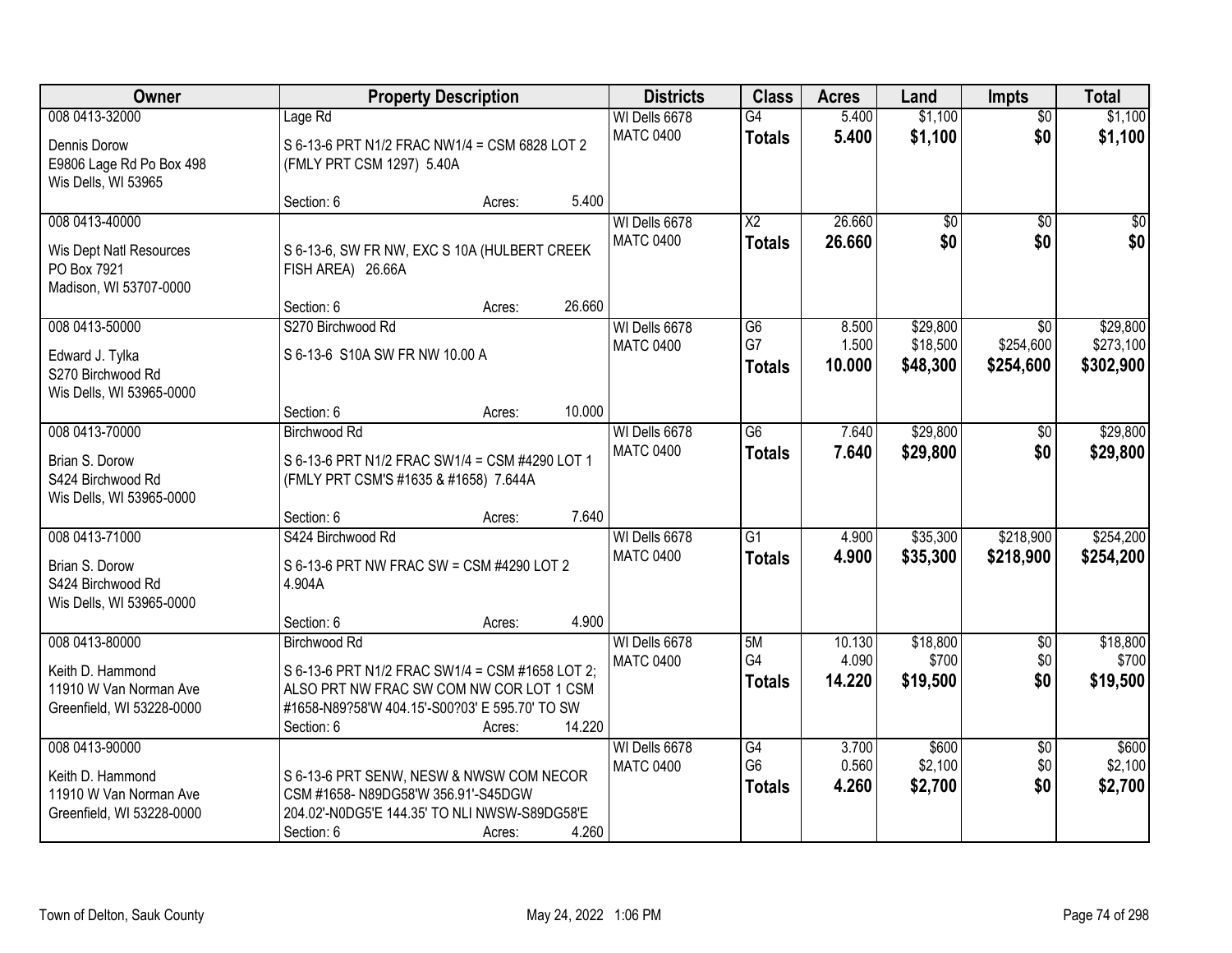| Owner                                                                                     | <b>Property Description</b>                                                                                                                                                        | <b>Districts</b> | <b>Class</b>                      | <b>Acres</b>                            | Land                      | Impts                            | <b>Total</b>                              |                                    |
|-------------------------------------------------------------------------------------------|------------------------------------------------------------------------------------------------------------------------------------------------------------------------------------|------------------|-----------------------------------|-----------------------------------------|---------------------------|----------------------------------|-------------------------------------------|------------------------------------|
| 008 0413-32000<br>Dennis Dorow<br>E9806 Lage Rd Po Box 498<br>Wis Dells, WI 53965         | Lage Rd<br>S 6-13-6 PRT N1/2 FRAC NW1/4 = CSM 6828 LOT 2<br>(FMLY PRT CSM 1297) 5.40A                                                                                              |                  | WI Dells 6678<br><b>MATC 0400</b> | G4<br><b>Totals</b>                     | 5.400<br>5.400            | \$1,100<br>\$1,100               | $\overline{50}$<br>\$0                    | \$1,100<br>\$1,100                 |
|                                                                                           | Section: 6                                                                                                                                                                         | 5.400<br>Acres:  |                                   |                                         |                           |                                  |                                           |                                    |
| 008 0413-40000<br>Wis Dept Natl Resources<br>PO Box 7921<br>Madison, WI 53707-0000        | S 6-13-6, SW FR NW, EXC S 10A (HULBERT CREEK<br>FISH AREA) 26.66A                                                                                                                  |                  | WI Dells 6678<br><b>MATC 0400</b> | $\overline{\text{X2}}$<br><b>Totals</b> | 26.660<br>26.660          | \$0<br>\$0                       | $\overline{50}$<br>\$0                    | $\overline{50}$<br>\$0             |
|                                                                                           | Section: 6                                                                                                                                                                         | 26.660<br>Acres: |                                   |                                         |                           |                                  |                                           |                                    |
| 008 0413-50000<br>Edward J. Tylka<br>S270 Birchwood Rd<br>Wis Dells, WI 53965-0000        | S270 Birchwood Rd<br>S 6-13-6 S10A SW FR NW 10.00 A                                                                                                                                |                  | WI Dells 6678<br><b>MATC 0400</b> | $\overline{G6}$<br>G7<br><b>Totals</b>  | 8.500<br>1.500<br>10.000  | \$29,800<br>\$18,500<br>\$48,300 | $\overline{50}$<br>\$254,600<br>\$254,600 | \$29,800<br>\$273,100<br>\$302,900 |
|                                                                                           | Section: 6                                                                                                                                                                         | 10.000<br>Acres: |                                   |                                         |                           |                                  |                                           |                                    |
| 008 0413-70000<br>Brian S. Dorow<br>S424 Birchwood Rd<br>Wis Dells, WI 53965-0000         | <b>Birchwood Rd</b><br>S 6-13-6 PRT N1/2 FRAC SW1/4 = CSM #4290 LOT 1<br>(FMLY PRT CSM'S #1635 & #1658) 7.644A                                                                     |                  | WI Dells 6678<br><b>MATC 0400</b> | G6<br><b>Totals</b>                     | 7.640<br>7.640            | \$29,800<br>\$29,800             | \$0<br>\$0                                | \$29,800<br>\$29,800               |
|                                                                                           | Section: 6                                                                                                                                                                         | 7.640<br>Acres:  |                                   |                                         |                           |                                  |                                           |                                    |
| 008 0413-71000<br>Brian S. Dorow<br>S424 Birchwood Rd<br>Wis Dells, WI 53965-0000         | S424 Birchwood Rd<br>S 6-13-6 PRT NW FRAC SW = CSM #4290 LOT 2<br>4.904A<br>Section: 6                                                                                             | 4.900<br>Acres:  | WI Dells 6678<br><b>MATC 0400</b> | $\overline{G1}$<br><b>Totals</b>        | 4.900<br>4.900            | \$35,300<br>\$35,300             | \$218,900<br>\$218,900                    | \$254,200<br>\$254,200             |
| 008 0413-80000<br>Keith D. Hammond<br>11910 W Van Norman Ave<br>Greenfield, WI 53228-0000 | <b>Birchwood Rd</b><br>S 6-13-6 PRT N1/2 FRAC SW1/4 = CSM #1658 LOT 2;<br>ALSO PRT NW FRAC SW COM NW COR LOT 1 CSM<br>#1658-N89?58'W 404.15'-S00?03' E 595.70' TO SW<br>Section: 6 | 14.220<br>Acres: | WI Dells 6678<br><b>MATC 0400</b> | 5M<br>G4<br><b>Totals</b>               | 10.130<br>4.090<br>14.220 | \$18,800<br>\$700<br>\$19,500    | $\overline{60}$<br>\$0<br>\$0             | \$18,800<br>\$700<br>\$19,500      |
| 008 0413-90000<br>Keith D. Hammond<br>11910 W Van Norman Ave<br>Greenfield, WI 53228-0000 | S 6-13-6 PRT SENW, NESW & NWSW COM NECOR<br>CSM #1658-N89DG58'W 356.91'-S45DGW<br>204.02'-N0DG5'E 144.35' TO NLI NWSW-S89DG58'E<br>Section: 6                                      | 4.260<br>Acres:  | WI Dells 6678<br><b>MATC 0400</b> | G4<br>G <sub>6</sub><br><b>Totals</b>   | 3.700<br>0.560<br>4.260   | \$600<br>\$2,100<br>\$2,700      | $\overline{50}$<br>\$0<br>\$0             | \$600<br>\$2,100<br>\$2,700        |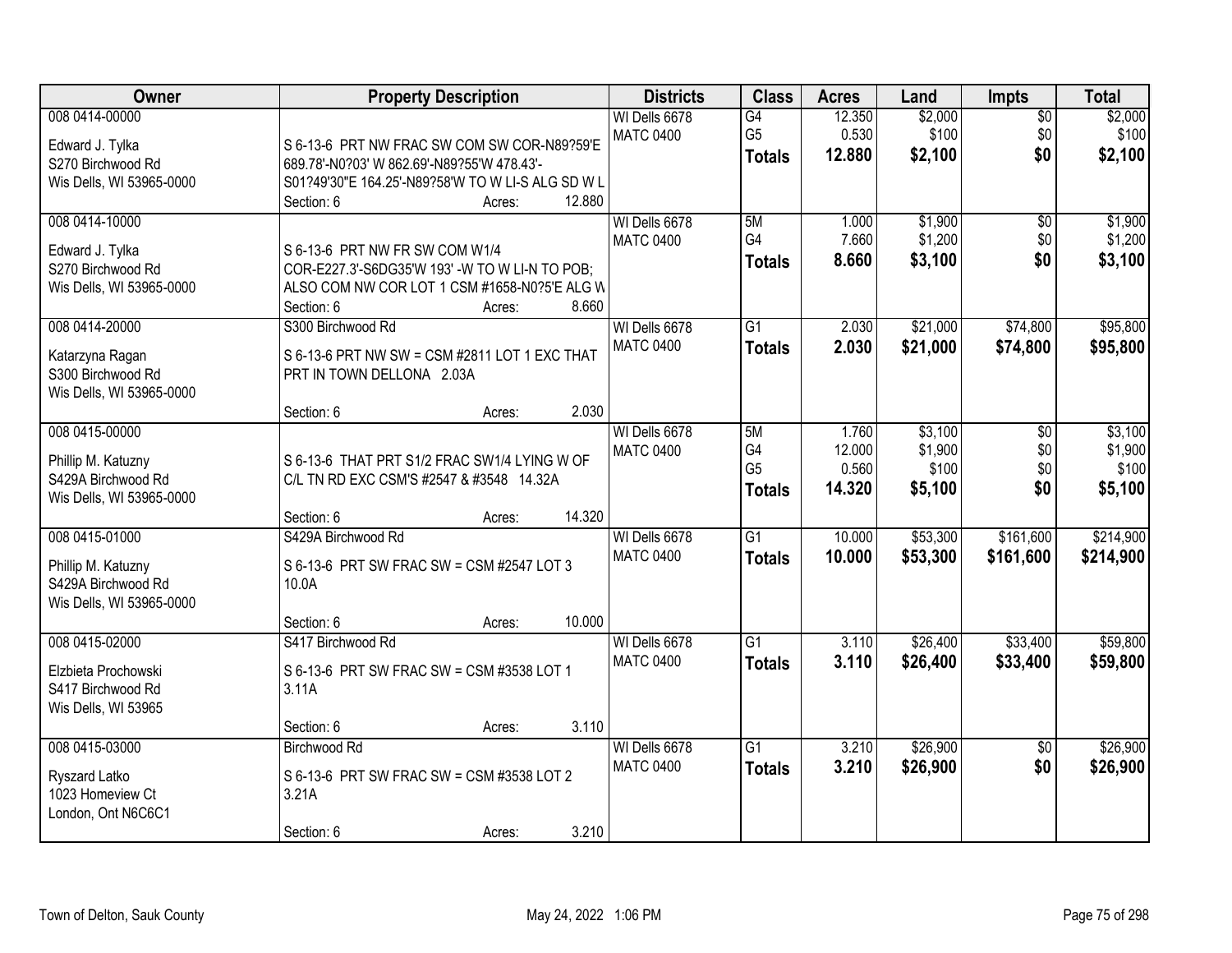| Owner                                                                                  | <b>Property Description</b>                                                                                                                                                      | <b>Districts</b>                  | <b>Class</b>                                | <b>Acres</b>                       | Land                                   | <b>Impts</b>                  | <b>Total</b>                           |
|----------------------------------------------------------------------------------------|----------------------------------------------------------------------------------------------------------------------------------------------------------------------------------|-----------------------------------|---------------------------------------------|------------------------------------|----------------------------------------|-------------------------------|----------------------------------------|
| 008 0414-00000<br>Edward J. Tylka<br>S270 Birchwood Rd<br>Wis Dells, WI 53965-0000     | S 6-13-6 PRT NW FRAC SW COM SW COR-N89?59'E<br>689.78'-N0?03' W 862.69'-N89?55'W 478.43'-<br>S01?49'30"E 164.25'-N89?58'W TO W LI-S ALG SD W L<br>12.880<br>Section: 6<br>Acres: | WI Dells 6678<br><b>MATC 0400</b> | G4<br>G <sub>5</sub><br><b>Totals</b>       | 12.350<br>0.530<br>12.880          | \$2,000<br>\$100<br>\$2,100            | $\overline{50}$<br>\$0<br>\$0 | \$2,000<br>\$100<br>\$2,100            |
| 008 0414-10000<br>Edward J. Tylka<br>S270 Birchwood Rd<br>Wis Dells, WI 53965-0000     | S 6-13-6 PRT NW FR SW COM W1/4<br>COR-E227.3'-S6DG35'W 193' -W TO W LI-N TO POB;<br>ALSO COM NW COR LOT 1 CSM #1658-N0?5'E ALG W<br>Section: 6<br>8.660<br>Acres:                | WI Dells 6678<br><b>MATC 0400</b> | 5M<br>G4<br><b>Totals</b>                   | 1.000<br>7.660<br>8.660            | \$1,900<br>\$1,200<br>\$3,100          | $\overline{50}$<br>\$0<br>\$0 | \$1,900<br>\$1,200<br>\$3,100          |
| 008 0414-20000<br>Katarzyna Ragan<br>S300 Birchwood Rd<br>Wis Dells, WI 53965-0000     | S300 Birchwood Rd<br>S 6-13-6 PRT NW SW = CSM #2811 LOT 1 EXC THAT<br>PRT IN TOWN DELLONA 2.03A<br>2.030<br>Section: 6<br>Acres:                                                 | WI Dells 6678<br><b>MATC 0400</b> | $\overline{G1}$<br><b>Totals</b>            | 2.030<br>2.030                     | \$21,000<br>\$21,000                   | \$74,800<br>\$74,800          | \$95,800<br>\$95,800                   |
| 008 0415-00000<br>Phillip M. Katuzny<br>S429A Birchwood Rd<br>Wis Dells, WI 53965-0000 | S 6-13-6 THAT PRT S1/2 FRAC SW1/4 LYING W OF<br>C/L TN RD EXC CSM'S #2547 & #3548 14.32A<br>14.320<br>Section: 6<br>Acres:                                                       | WI Dells 6678<br><b>MATC 0400</b> | 5M<br>G4<br>G <sub>5</sub><br><b>Totals</b> | 1.760<br>12.000<br>0.560<br>14.320 | \$3,100<br>\$1,900<br>\$100<br>\$5,100 | \$0<br>\$0<br>\$0<br>\$0      | \$3,100<br>\$1,900<br>\$100<br>\$5,100 |
| 008 0415-01000<br>Phillip M. Katuzny<br>S429A Birchwood Rd<br>Wis Dells, WI 53965-0000 | S429A Birchwood Rd<br>S 6-13-6 PRT SW FRAC SW = CSM #2547 LOT 3<br>10.0A<br>10.000<br>Section: 6<br>Acres:                                                                       | WI Dells 6678<br><b>MATC 0400</b> | $\overline{G1}$<br><b>Totals</b>            | 10.000<br>10.000                   | \$53,300<br>\$53,300                   | \$161,600<br>\$161,600        | \$214,900<br>\$214,900                 |
| 008 0415-02000<br>Elzbieta Prochowski<br>S417 Birchwood Rd<br>Wis Dells, WI 53965      | S417 Birchwood Rd<br>S 6-13-6 PRT SW FRAC SW = CSM #3538 LOT 1<br>3.11A<br>3.110<br>Section: 6<br>Acres:                                                                         | WI Dells 6678<br><b>MATC 0400</b> | $\overline{G1}$<br><b>Totals</b>            | 3.110<br>3.110                     | \$26,400<br>\$26,400                   | \$33,400<br>\$33,400          | \$59,800<br>\$59,800                   |
| 008 0415-03000<br>Ryszard Latko<br>1023 Homeview Ct<br>London, Ont N6C6C1              | <b>Birchwood Rd</b><br>S 6-13-6 PRT SW FRAC SW = CSM #3538 LOT 2<br>3.21A<br>3.210<br>Section: 6<br>Acres:                                                                       | WI Dells 6678<br><b>MATC 0400</b> | $\overline{G1}$<br><b>Totals</b>            | 3.210<br>3.210                     | \$26,900<br>\$26,900                   | $\overline{50}$<br>\$0        | \$26,900<br>\$26,900                   |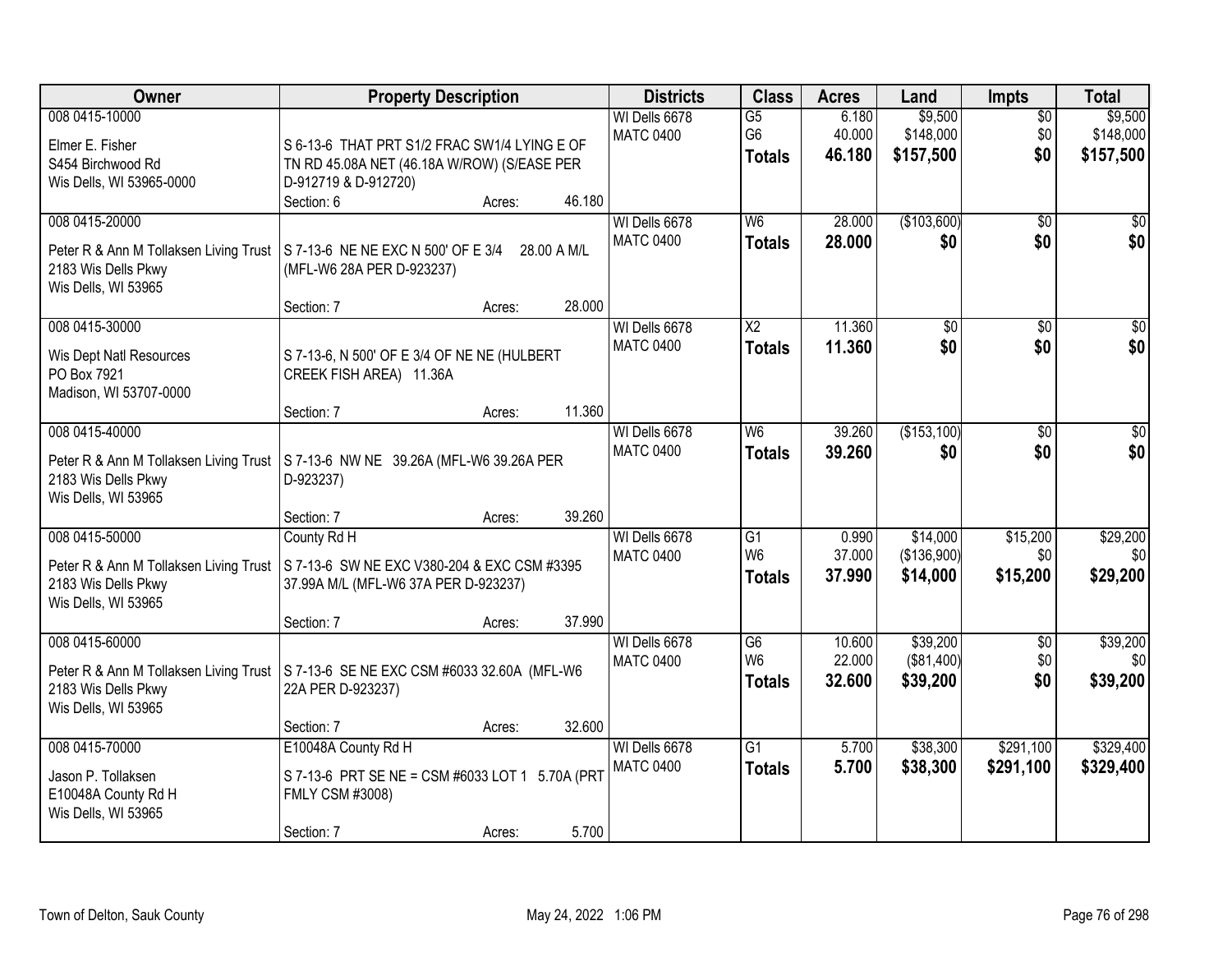| Owner                                                                                                  | <b>Property Description</b>                                                                                                                                  | <b>Districts</b>                  | <b>Class</b>                                       | <b>Acres</b>               | Land                                | <b>Impts</b>                  | <b>Total</b>                      |
|--------------------------------------------------------------------------------------------------------|--------------------------------------------------------------------------------------------------------------------------------------------------------------|-----------------------------------|----------------------------------------------------|----------------------------|-------------------------------------|-------------------------------|-----------------------------------|
| 008 0415-10000<br>Elmer E. Fisher<br>S454 Birchwood Rd<br>Wis Dells, WI 53965-0000                     | S 6-13-6 THAT PRT S1/2 FRAC SW1/4 LYING E OF<br>TN RD 45.08A NET (46.18A W/ROW) (S/EASE PER<br>D-912719 & D-912720)<br>Section: 6<br>46.180<br>Acres:        | WI Dells 6678<br><b>MATC 0400</b> | $\overline{G5}$<br>G <sub>6</sub><br><b>Totals</b> | 6.180<br>40.000<br>46.180  | \$9,500<br>\$148,000<br>\$157,500   | $\overline{30}$<br>\$0<br>\$0 | \$9,500<br>\$148,000<br>\$157,500 |
| 008 0415-20000<br>Peter R & Ann M Tollaksen Living Trust<br>2183 Wis Dells Pkwy<br>Wis Dells, WI 53965 | S 7-13-6 NE NE EXC N 500' OF E 3/4<br>28.00 A M/L<br>(MFL-W6 28A PER D-923237)<br>28.000                                                                     | WI Dells 6678<br><b>MATC 0400</b> | W6<br><b>Totals</b>                                | 28.000<br>28.000           | (\$103,600)<br>\$0                  | $\overline{50}$<br>\$0        | $\sqrt{50}$<br>\$0                |
| 008 0415-30000<br>Wis Dept Natl Resources<br>PO Box 7921<br>Madison, WI 53707-0000                     | Section: 7<br>Acres:<br>S 7-13-6, N 500' OF E 3/4 OF NE NE (HULBERT<br>CREEK FISH AREA) 11.36A<br>11.360<br>Section: 7<br>Acres:                             | WI Dells 6678<br><b>MATC 0400</b> | X <sub>2</sub><br><b>Totals</b>                    | 11.360<br>11.360           | \$0<br>\$0                          | \$0<br>\$0                    | $\overline{50}$<br>\$0            |
| 008 0415-40000<br>Peter R & Ann M Tollaksen Living Trust<br>2183 Wis Dells Pkwy<br>Wis Dells, WI 53965 | S 7-13-6 NW NE 39.26A (MFL-W6 39.26A PER<br>D-923237)<br>39.260                                                                                              | WI Dells 6678<br><b>MATC 0400</b> | W <sub>6</sub><br><b>Totals</b>                    | 39.260<br>39.260           | (\$153,100)<br>\$0                  | \$0<br>\$0                    | \$0<br>\$0                        |
| 008 0415-50000<br>Peter R & Ann M Tollaksen Living Trust<br>2183 Wis Dells Pkwy<br>Wis Dells, WI 53965 | Section: 7<br>Acres:<br>County Rd H<br>S 7-13-6 SW NE EXC V380-204 & EXC CSM #3395<br>37.99A M/L (MFL-W6 37A PER D-923237)<br>37.990<br>Section: 7<br>Acres: | WI Dells 6678<br><b>MATC 0400</b> | $\overline{G1}$<br>W <sub>6</sub><br><b>Totals</b> | 0.990<br>37.000<br>37.990  | \$14,000<br>(\$136,900)<br>\$14,000 | \$15,200<br>\$0<br>\$15,200   | \$29,200<br>\$0<br>\$29,200       |
| 008 0415-60000<br>Peter R & Ann M Tollaksen Living Trust<br>2183 Wis Dells Pkwy<br>Wis Dells, WI 53965 | S 7-13-6 SE NE EXC CSM #6033 32.60A (MFL-W6<br>22A PER D-923237)<br>32.600<br>Section: 7<br>Acres:                                                           | WI Dells 6678<br><b>MATC 0400</b> | G6<br>W <sub>6</sub><br><b>Totals</b>              | 10.600<br>22.000<br>32.600 | \$39,200<br>(\$81,400)<br>\$39,200  | $\sqrt{6}$<br>\$0<br>\$0      | \$39,200<br>\$0<br>\$39,200       |
| 008 0415-70000<br>Jason P. Tollaksen<br>E10048A County Rd H<br>Wis Dells, WI 53965                     | E10048A County Rd H<br>S 7-13-6 PRT SE NE = CSM #6033 LOT 1 5.70A (PRT<br><b>FMLY CSM #3008)</b><br>5.700<br>Section: 7<br>Acres:                            | WI Dells 6678<br><b>MATC 0400</b> | $\overline{G1}$<br><b>Totals</b>                   | 5.700<br>5.700             | \$38,300<br>\$38,300                | \$291,100<br>\$291,100        | \$329,400<br>\$329,400            |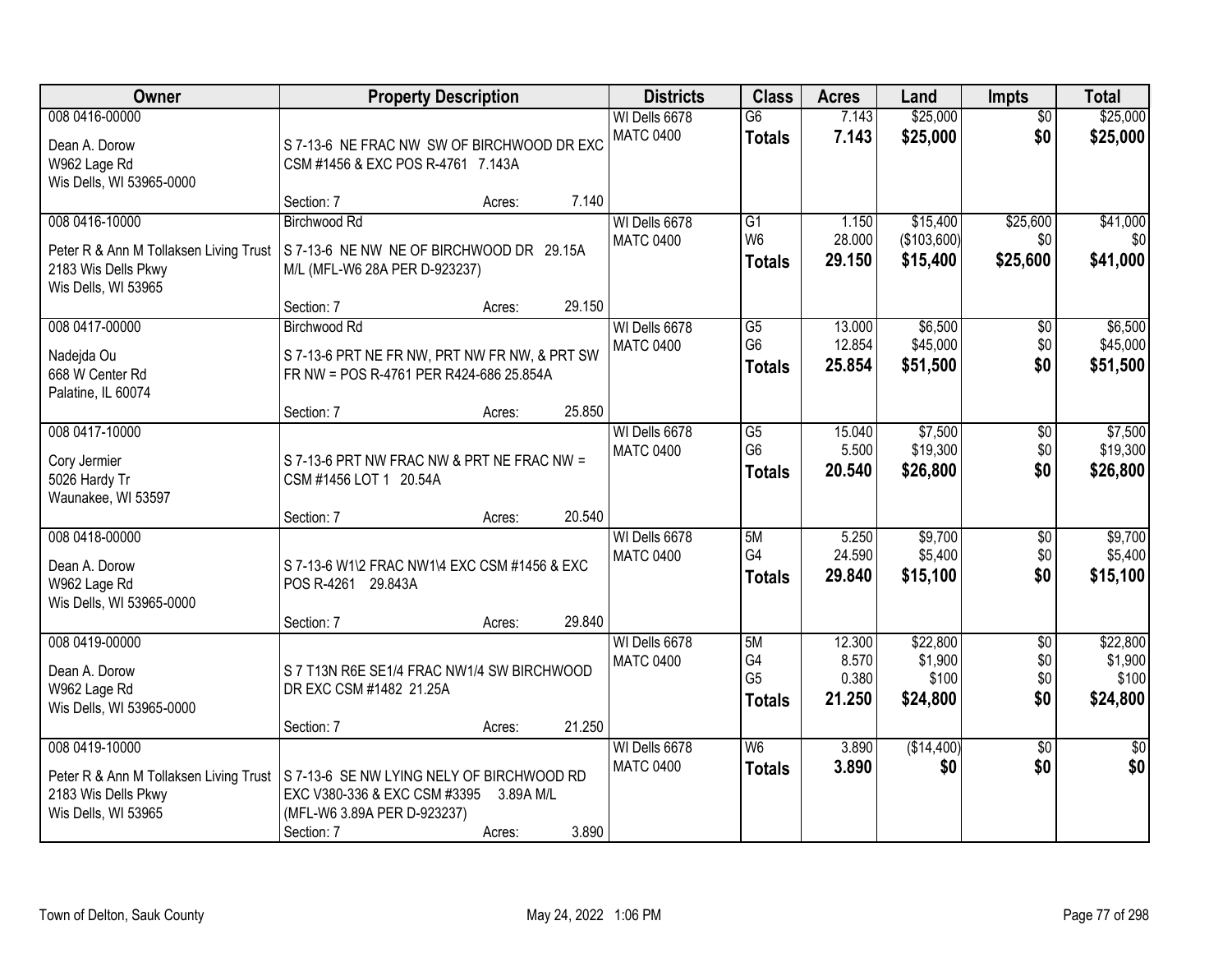| Owner                                                                                                  | <b>Property Description</b>                                                                                            | <b>Districts</b>             | <b>Class</b>                      | <b>Acres</b>                                       | Land                               | <b>Impts</b>                             | <b>Total</b>                    |                                          |
|--------------------------------------------------------------------------------------------------------|------------------------------------------------------------------------------------------------------------------------|------------------------------|-----------------------------------|----------------------------------------------------|------------------------------------|------------------------------------------|---------------------------------|------------------------------------------|
| 008 0416-00000<br>Dean A. Dorow<br>W962 Lage Rd<br>Wis Dells, WI 53965-0000                            | S 7-13-6 NE FRAC NW SW OF BIRCHWOOD DR EXC<br>CSM #1456 & EXC POS R-4761 7.143A                                        |                              | WI Dells 6678<br><b>MATC 0400</b> | $\overline{G6}$<br><b>Totals</b>                   | 7.143<br>7.143                     | \$25,000<br>\$25,000                     | $\overline{50}$<br>\$0          | \$25,000<br>\$25,000                     |
|                                                                                                        | Section: 7                                                                                                             | 7.140<br>Acres:              |                                   |                                                    |                                    |                                          |                                 |                                          |
| 008 0416-10000<br>Peter R & Ann M Tollaksen Living Trust<br>2183 Wis Dells Pkwy<br>Wis Dells, WI 53965 | <b>Birchwood Rd</b><br>S 7-13-6 NE NW NE OF BIRCHWOOD DR 29.15A<br>M/L (MFL-W6 28A PER D-923237)                       |                              | WI Dells 6678<br><b>MATC 0400</b> | $\overline{G1}$<br>W <sub>6</sub><br><b>Totals</b> | 1.150<br>28.000<br>29.150          | \$15,400<br>(\$103,600)<br>\$15,400      | \$25,600<br>\$0<br>\$25,600     | \$41,000<br>\$0<br>\$41,000              |
|                                                                                                        | Section: 7                                                                                                             | 29.150<br>Acres:             |                                   |                                                    |                                    |                                          |                                 |                                          |
| 008 0417-00000<br>Nadejda Ou<br>668 W Center Rd<br>Palatine, IL 60074                                  | <b>Birchwood Rd</b><br>S 7-13-6 PRT NE FR NW, PRT NW FR NW, & PRT SW<br>FR NW = POS R-4761 PER R424-686 25.854A        |                              | WI Dells 6678<br><b>MATC 0400</b> | $\overline{G5}$<br>G <sub>6</sub><br><b>Totals</b> | 13.000<br>12.854<br>25.854         | \$6,500<br>\$45,000<br>\$51,500          | \$0<br>\$0<br>\$0               | \$6,500<br>\$45,000<br>\$51,500          |
|                                                                                                        | Section: 7                                                                                                             | 25.850<br>Acres:             |                                   |                                                    |                                    |                                          |                                 |                                          |
| 008 0417-10000<br>Cory Jermier<br>5026 Hardy Tr<br>Waunakee, WI 53597                                  | S 7-13-6 PRT NW FRAC NW & PRT NE FRAC NW =<br>CSM #1456 LOT 1 20.54A                                                   |                              | WI Dells 6678<br><b>MATC 0400</b> | G5<br>G <sub>6</sub><br><b>Totals</b>              | 15.040<br>5.500<br>20.540          | \$7,500<br>\$19,300<br>\$26,800          | \$0<br>\$0<br>\$0               | \$7,500<br>\$19,300<br>\$26,800          |
|                                                                                                        | Section: 7                                                                                                             | 20.540<br>Acres:             |                                   |                                                    |                                    |                                          |                                 |                                          |
| 008 0418-00000<br>Dean A. Dorow<br>W962 Lage Rd<br>Wis Dells, WI 53965-0000                            | S 7-13-6 W1\2 FRAC NW1\4 EXC CSM #1456 & EXC<br>POS R-4261 29.843A                                                     |                              | WI Dells 6678<br><b>MATC 0400</b> | 5M<br>G4<br><b>Totals</b>                          | 5.250<br>24.590<br>29.840          | \$9,700<br>\$5,400<br>\$15,100           | $\overline{50}$<br>\$0<br>\$0   | \$9,700<br>\$5,400<br>\$15,100           |
|                                                                                                        | Section: 7                                                                                                             | 29.840<br>Acres:             |                                   |                                                    |                                    |                                          |                                 |                                          |
| 008 0419-00000<br>Dean A. Dorow<br>W962 Lage Rd<br>Wis Dells, WI 53965-0000                            | S 7 T13N R6E SE1/4 FRAC NW1/4 SW BIRCHWOOD<br>DR EXC CSM #1482 21.25A                                                  |                              | WI Dells 6678<br><b>MATC 0400</b> | 5M<br>G4<br>G <sub>5</sub><br><b>Totals</b>        | 12.300<br>8.570<br>0.380<br>21.250 | \$22,800<br>\$1,900<br>\$100<br>\$24,800 | $\sqrt{6}$<br>\$0<br>\$0<br>\$0 | \$22,800<br>\$1,900<br>\$100<br>\$24,800 |
|                                                                                                        | Section: 7                                                                                                             | 21.250<br>Acres:             |                                   |                                                    |                                    |                                          |                                 |                                          |
| 008 0419-10000<br>Peter R & Ann M Tollaksen Living Trust<br>2183 Wis Dells Pkwy<br>Wis Dells, WI 53965 | S 7-13-6 SE NW LYING NELY OF BIRCHWOOD RD<br>EXC V380-336 & EXC CSM #3395<br>(MFL-W6 3.89A PER D-923237)<br>Section: 7 | 3.89A M/L<br>3.890<br>Acres: | WI Dells 6678<br><b>MATC 0400</b> | $\overline{\mathsf{W6}}$<br><b>Totals</b>          | 3.890<br>3.890                     | (\$14,400)<br>\$0                        | $\overline{50}$<br>\$0          | $\overline{30}$<br>\$0                   |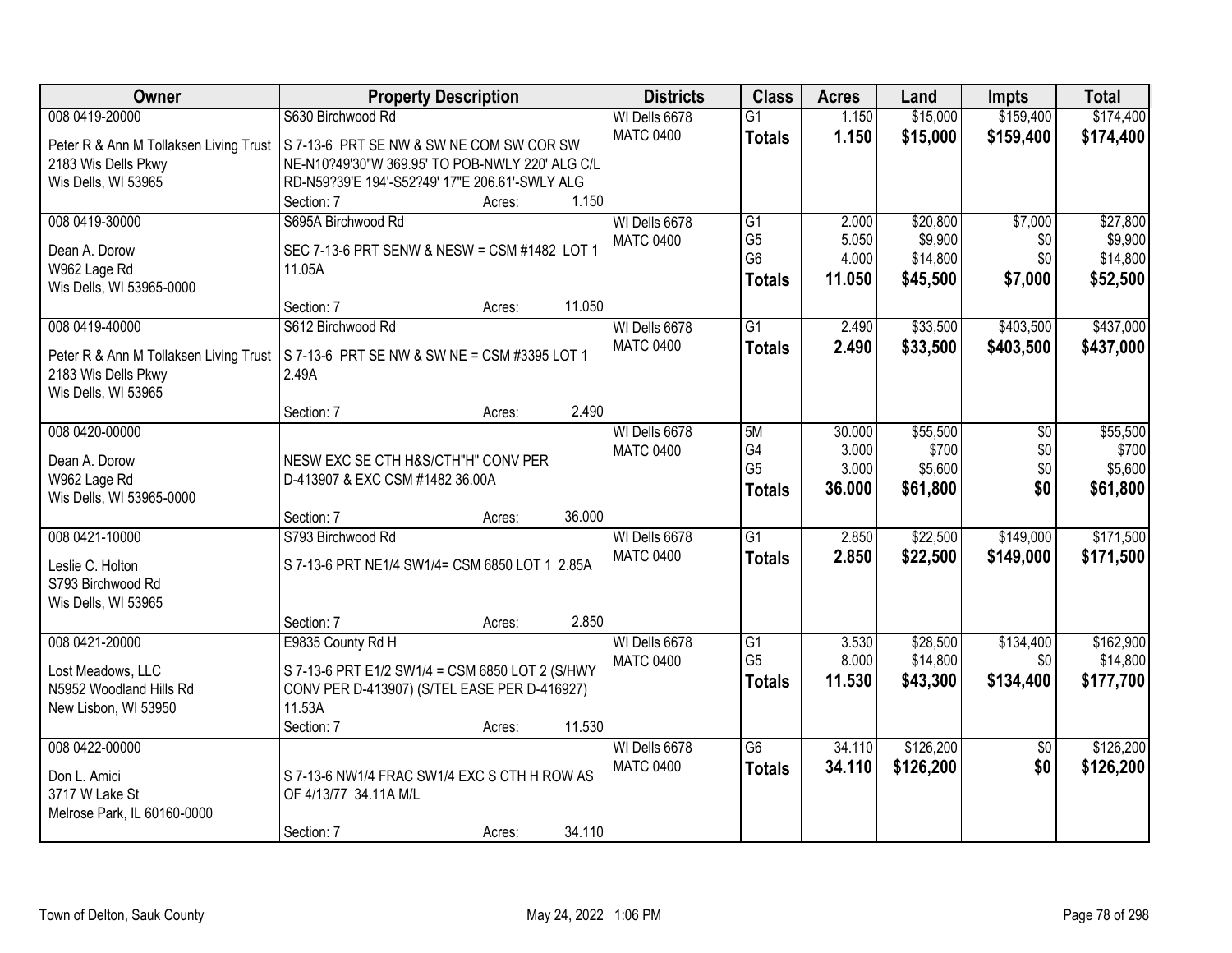| <b>Owner</b>                           | <b>Property Description</b>                     | <b>Districts</b> | <b>Class</b>    | <b>Acres</b> | Land      | <b>Impts</b>    | <b>Total</b> |
|----------------------------------------|-------------------------------------------------|------------------|-----------------|--------------|-----------|-----------------|--------------|
| 008 0419-20000                         | S630 Birchwood Rd                               | WI Dells 6678    | $\overline{G1}$ | 1.150        | \$15,000  | \$159,400       | \$174,400    |
| Peter R & Ann M Tollaksen Living Trust | S 7-13-6 PRT SE NW & SW NE COM SW COR SW        | <b>MATC 0400</b> | <b>Totals</b>   | 1.150        | \$15,000  | \$159,400       | \$174,400    |
| 2183 Wis Dells Pkwy                    | NE-N10?49'30"W 369.95' TO POB-NWLY 220' ALG C/L |                  |                 |              |           |                 |              |
| Wis Dells, WI 53965                    | RD-N59?39'E 194'-S52?49' 17"E 206.61'-SWLY ALG  |                  |                 |              |           |                 |              |
|                                        | 1.150<br>Section: 7<br>Acres:                   |                  |                 |              |           |                 |              |
| 008 0419-30000                         | S695A Birchwood Rd                              | WI Dells 6678    | G1              | 2.000        | \$20,800  | \$7,000         | \$27,800     |
| Dean A. Dorow                          | SEC 7-13-6 PRT SENW & NESW = CSM #1482 LOT 1    | <b>MATC 0400</b> | G <sub>5</sub>  | 5.050        | \$9,900   | \$0             | \$9,900      |
| W962 Lage Rd                           | 11.05A                                          |                  | G <sub>6</sub>  | 4.000        | \$14,800  | \$0             | \$14,800     |
| Wis Dells, WI 53965-0000               |                                                 |                  | <b>Totals</b>   | 11.050       | \$45,500  | \$7,000         | \$52,500     |
|                                        | 11.050<br>Section: 7<br>Acres:                  |                  |                 |              |           |                 |              |
| 008 0419-40000                         | S612 Birchwood Rd                               | WI Dells 6678    | $\overline{G1}$ | 2.490        | \$33,500  | \$403,500       | \$437,000    |
| Peter R & Ann M Tollaksen Living Trust | S 7-13-6 PRT SE NW & SW NE = CSM #3395 LOT 1    | <b>MATC 0400</b> | <b>Totals</b>   | 2.490        | \$33,500  | \$403,500       | \$437,000    |
| 2183 Wis Dells Pkwy                    | 2.49A                                           |                  |                 |              |           |                 |              |
| Wis Dells, WI 53965                    |                                                 |                  |                 |              |           |                 |              |
|                                        | 2.490<br>Section: 7<br>Acres:                   |                  |                 |              |           |                 |              |
| 008 0420-00000                         |                                                 | WI Dells 6678    | 5M              | 30.000       | \$55,500  | \$0             | \$55,500     |
| Dean A. Dorow                          | NESW EXC SE CTH H&S/CTH"H" CONV PER             | <b>MATC 0400</b> | G4              | 3.000        | \$700     | \$0             | \$700        |
| W962 Lage Rd                           | D-413907 & EXC CSM #1482 36.00A                 |                  | G <sub>5</sub>  | 3.000        | \$5,600   | \$0             | \$5,600      |
| Wis Dells, WI 53965-0000               |                                                 |                  | <b>Totals</b>   | 36.000       | \$61,800  | \$0             | \$61,800     |
|                                        | 36.000<br>Section: 7<br>Acres:                  |                  |                 |              |           |                 |              |
| 008 0421-10000                         | S793 Birchwood Rd                               | WI Dells 6678    | $\overline{G1}$ | 2.850        | \$22,500  | \$149,000       | \$171,500    |
| Leslie C. Holton                       | S 7-13-6 PRT NE1/4 SW1/4= CSM 6850 LOT 1 2.85A  | <b>MATC 0400</b> | <b>Totals</b>   | 2.850        | \$22,500  | \$149,000       | \$171,500    |
| S793 Birchwood Rd                      |                                                 |                  |                 |              |           |                 |              |
| Wis Dells, WI 53965                    |                                                 |                  |                 |              |           |                 |              |
|                                        | 2.850<br>Section: 7<br>Acres:                   |                  |                 |              |           |                 |              |
| 008 0421-20000                         | E9835 County Rd H                               | WI Dells 6678    | $\overline{G1}$ | 3.530        | \$28,500  | \$134,400       | \$162,900    |
| Lost Meadows, LLC                      | S 7-13-6 PRT E1/2 SW1/4 = CSM 6850 LOT 2 (S/HWY | <b>MATC 0400</b> | G <sub>5</sub>  | 8.000        | \$14,800  | \$0             | \$14,800     |
| N5952 Woodland Hills Rd                | CONV PER D-413907) (S/TEL EASE PER D-416927)    |                  | <b>Totals</b>   | 11.530       | \$43,300  | \$134,400       | \$177,700    |
| New Lisbon, WI 53950                   | 11.53A                                          |                  |                 |              |           |                 |              |
|                                        | Section: 7<br>11.530<br>Acres:                  |                  |                 |              |           |                 |              |
| 008 0422-00000                         |                                                 | WI Dells 6678    | $\overline{G6}$ | 34.110       | \$126,200 | $\overline{50}$ | \$126,200    |
| Don L. Amici                           | S 7-13-6 NW1/4 FRAC SW1/4 EXC S CTH H ROW AS    | <b>MATC 0400</b> | <b>Totals</b>   | 34.110       | \$126,200 | \$0             | \$126,200    |
| 3717 W Lake St                         | OF 4/13/77 34.11A M/L                           |                  |                 |              |           |                 |              |
| Melrose Park, IL 60160-0000            |                                                 |                  |                 |              |           |                 |              |
|                                        | 34.110<br>Section: 7<br>Acres:                  |                  |                 |              |           |                 |              |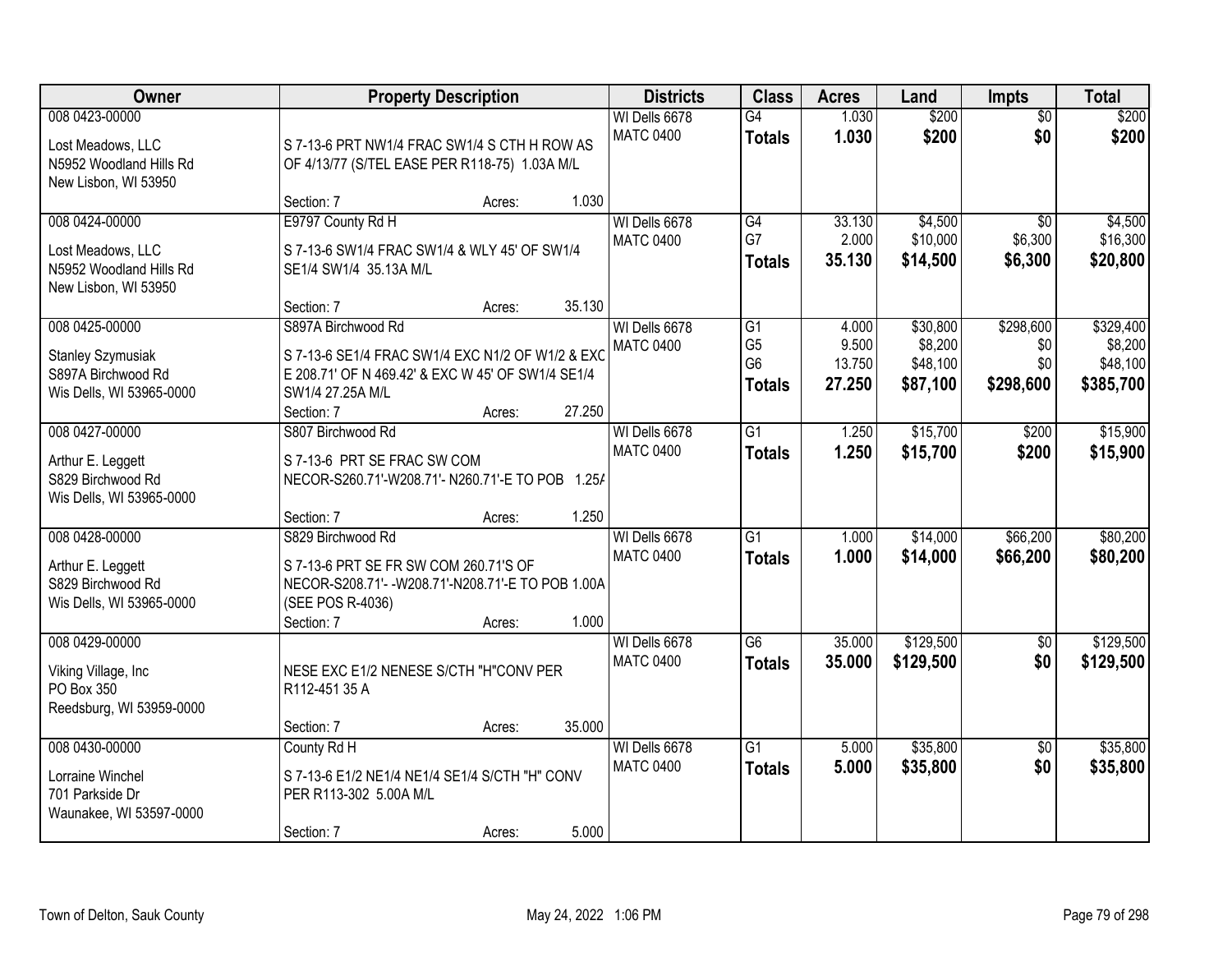| Owner                                                                                  |                                                                                                                                         | <b>Property Description</b> |        | <b>Districts</b>                  | <b>Class</b>                                      | <b>Acres</b>              | Land                            | <b>Impts</b>                          | <b>Total</b>                     |
|----------------------------------------------------------------------------------------|-----------------------------------------------------------------------------------------------------------------------------------------|-----------------------------|--------|-----------------------------------|---------------------------------------------------|---------------------------|---------------------------------|---------------------------------------|----------------------------------|
| 008 0423-00000<br>Lost Meadows, LLC<br>N5952 Woodland Hills Rd<br>New Lisbon, WI 53950 | S 7-13-6 PRT NW1/4 FRAC SW1/4 S CTH H ROW AS<br>OF 4/13/77 (S/TEL EASE PER R118-75) 1.03A M/L                                           |                             |        | WI Dells 6678<br><b>MATC 0400</b> | $\overline{G4}$<br><b>Totals</b>                  | 1.030<br>1.030            | \$200<br>\$200                  | $\overline{50}$<br>\$0                | \$200<br>\$200                   |
|                                                                                        | Section: 7                                                                                                                              | Acres:                      | 1.030  |                                   |                                                   |                           |                                 |                                       |                                  |
| 008 0424-00000<br>Lost Meadows, LLC<br>N5952 Woodland Hills Rd<br>New Lisbon, WI 53950 | E9797 County Rd H<br>S 7-13-6 SW1/4 FRAC SW1/4 & WLY 45' OF SW1/4<br>SE1/4 SW1/4 35.13A M/L<br>Section: 7                               | Acres:                      | 35.130 | WI Dells 6678<br><b>MATC 0400</b> | G4<br>G7<br><b>Totals</b>                         | 33.130<br>2.000<br>35.130 | \$4,500<br>\$10,000<br>\$14,500 | $\overline{50}$<br>\$6,300<br>\$6,300 | \$4,500<br>\$16,300<br>\$20,800  |
| 008 0425-00000                                                                         | S897A Birchwood Rd                                                                                                                      |                             |        | WI Dells 6678                     | $\overline{G1}$                                   | 4.000                     | \$30,800                        | \$298,600                             | \$329,400                        |
| <b>Stanley Szymusiak</b><br>S897A Birchwood Rd<br>Wis Dells, WI 53965-0000             | S 7-13-6 SE1/4 FRAC SW1/4 EXC N1/2 OF W1/2 & EXC<br>E 208.71' OF N 469.42' & EXC W 45' OF SW1/4 SE1/4<br>SW1/4 27.25A M/L<br>Section: 7 | Acres:                      | 27.250 | <b>MATC 0400</b>                  | G <sub>5</sub><br>G <sub>6</sub><br><b>Totals</b> | 9.500<br>13.750<br>27.250 | \$8,200<br>\$48,100<br>\$87,100 | \$0<br>\$0<br>\$298,600               | \$8,200<br>\$48,100<br>\$385,700 |
| 008 0427-00000                                                                         | S807 Birchwood Rd                                                                                                                       |                             |        | WI Dells 6678                     | $\overline{G1}$                                   | 1.250                     | \$15,700                        | \$200                                 | \$15,900                         |
| Arthur E. Leggett<br>S829 Birchwood Rd<br>Wis Dells, WI 53965-0000                     | S 7-13-6 PRT SE FRAC SW COM<br>NECOR-S260.71'-W208.71'-N260.71'-E TO POB 1.25/<br>Section: 7                                            | Acres:                      | 1.250  | <b>MATC 0400</b>                  | <b>Totals</b>                                     | 1.250                     | \$15,700                        | \$200                                 | \$15,900                         |
| 008 0428-00000                                                                         | S829 Birchwood Rd                                                                                                                       |                             |        | WI Dells 6678                     | $\overline{G1}$                                   | 1.000                     | \$14,000                        | \$66,200                              | \$80,200                         |
| Arthur E. Leggett<br>S829 Birchwood Rd<br>Wis Dells, WI 53965-0000                     | S 7-13-6 PRT SE FR SW COM 260.71'S OF<br>NECOR-S208.71'- - W208.71'-N208.71'-E TO POB 1.00A<br>(SEE POS R-4036)<br>Section: 7           | Acres:                      | 1.000  | <b>MATC 0400</b>                  | <b>Totals</b>                                     | 1.000                     | \$14,000                        | \$66,200                              | \$80,200                         |
| 008 0429-00000                                                                         |                                                                                                                                         |                             |        | WI Dells 6678                     | $\overline{G6}$                                   | 35.000                    | \$129,500                       | \$0                                   | \$129,500                        |
| Viking Village, Inc<br>PO Box 350<br>Reedsburg, WI 53959-0000                          | NESE EXC E1/2 NENESE S/CTH "H"CONV PER<br>R112-451 35 A                                                                                 |                             |        | <b>MATC 0400</b>                  | <b>Totals</b>                                     | 35.000                    | \$129,500                       | \$0                                   | \$129,500                        |
|                                                                                        | Section: 7                                                                                                                              | Acres:                      | 35.000 |                                   |                                                   |                           |                                 |                                       |                                  |
| 008 0430-00000<br>Lorraine Winchel<br>701 Parkside Dr<br>Waunakee, WI 53597-0000       | County Rd H<br>S 7-13-6 E1/2 NE1/4 NE1/4 SE1/4 S/CTH "H" CONV<br>PER R113-302 5.00A M/L<br>Section: 7                                   | Acres:                      | 5.000  | WI Dells 6678<br><b>MATC 0400</b> | $\overline{G1}$<br><b>Totals</b>                  | 5.000<br>5.000            | \$35,800<br>\$35,800            | $\overline{30}$<br>\$0                | \$35,800<br>\$35,800             |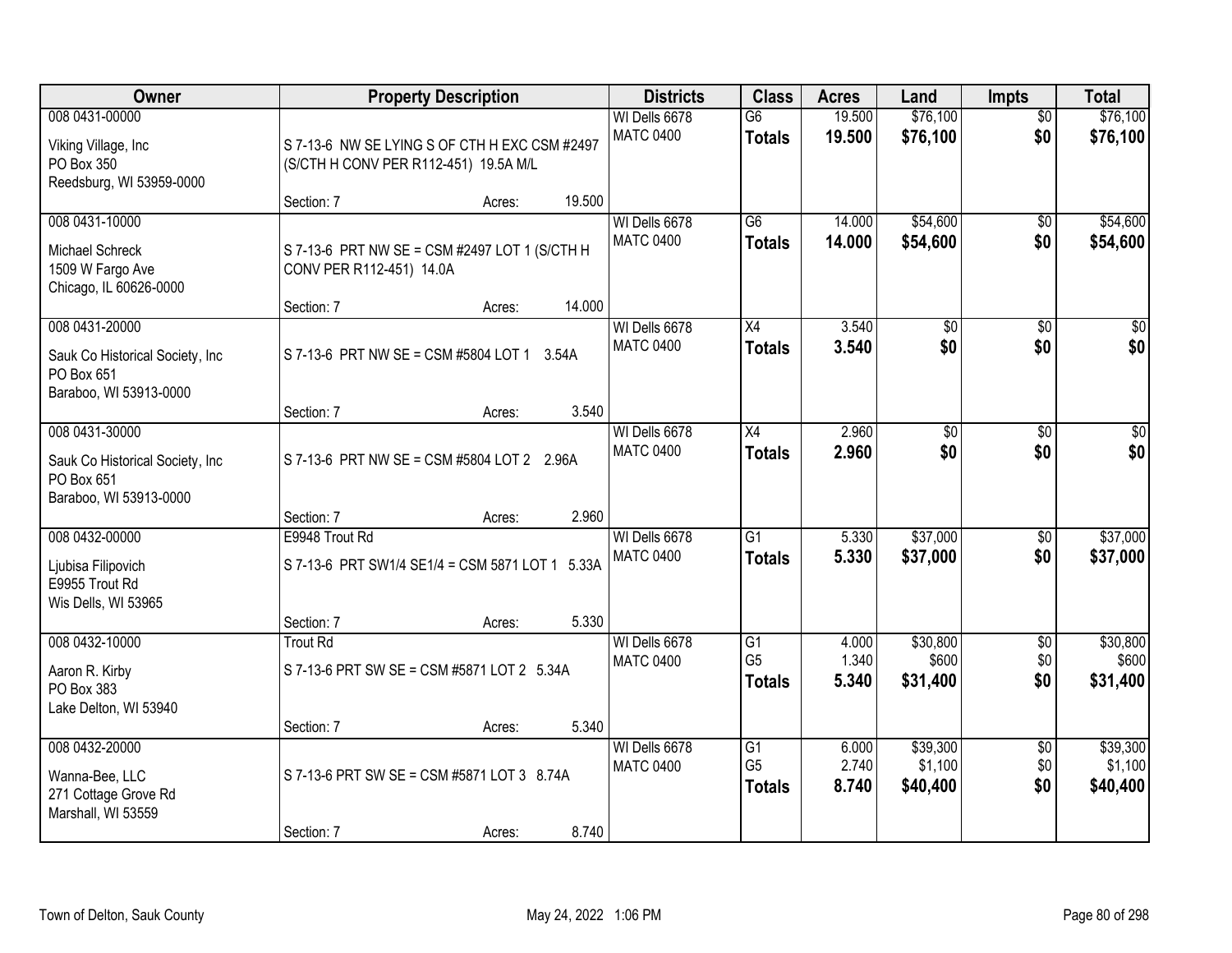| Owner                                                                                     |                                       | <b>Property Description</b>                          | <b>Districts</b>                           | <b>Class</b>                                       | <b>Acres</b>            | Land                            | <b>Impts</b>                  | <b>Total</b>                    |
|-------------------------------------------------------------------------------------------|---------------------------------------|------------------------------------------------------|--------------------------------------------|----------------------------------------------------|-------------------------|---------------------------------|-------------------------------|---------------------------------|
| 008 0431-00000<br>Viking Village, Inc<br>PO Box 350<br>Reedsburg, WI 53959-0000           | (S/CTH H CONV PER R112-451) 19.5A M/L | S 7-13-6 NW SE LYING S OF CTH H EXC CSM #2497        | WI Dells 6678<br><b>MATC 0400</b>          | $\overline{G6}$<br><b>Totals</b>                   | 19.500<br>19.500        | \$76,100<br>\$76,100            | $\overline{30}$<br>\$0        | \$76,100<br>\$76,100            |
|                                                                                           | Section: 7                            | Acres:                                               | 19.500                                     |                                                    |                         |                                 |                               |                                 |
| 008 0431-10000<br><b>Michael Schreck</b><br>1509 W Fargo Ave<br>Chicago, IL 60626-0000    | CONV PER R112-451) 14.0A              | S 7-13-6 PRT NW SE = CSM #2497 LOT 1 (S/CTH H        | WI Dells 6678<br><b>MATC 0400</b>          | $\overline{G6}$<br><b>Totals</b>                   | 14.000<br>14.000        | \$54,600<br>\$54,600            | $\overline{50}$<br>\$0        | \$54,600<br>\$54,600            |
| 008 0431-20000                                                                            | Section: 7                            | Acres:                                               | 14.000<br>WI Dells 6678                    | X4                                                 | 3.540                   | \$0                             | \$0                           | \$0                             |
| Sauk Co Historical Society, Inc<br>PO Box 651<br>Baraboo, WI 53913-0000                   |                                       | S 7-13-6 PRT NW SE = CSM #5804 LOT 1 3.54A           | <b>MATC 0400</b>                           | <b>Totals</b>                                      | 3.540                   | \$0                             | \$0                           | \$0                             |
|                                                                                           | Section: 7                            | Acres:                                               | 3.540                                      |                                                    |                         |                                 |                               |                                 |
| 008 0431-30000<br>Sauk Co Historical Society, Inc<br>PO Box 651<br>Baraboo, WI 53913-0000 |                                       | S 7-13-6 PRT NW SE = CSM #5804 LOT 2 2.96A           | WI Dells 6678<br><b>MATC 0400</b>          | X4<br><b>Totals</b>                                | 2.960<br>2.960          | \$0<br>\$0                      | \$0<br>\$0                    | \$0<br>\$0                      |
|                                                                                           | Section: 7                            | Acres:                                               | 2.960                                      |                                                    |                         |                                 |                               |                                 |
| 008 0432-00000<br>Ljubisa Filipovich<br>E9955 Trout Rd<br>Wis Dells, WI 53965             | E9948 Trout Rd                        | S 7-13-6 PRT SW1/4 SE1/4 = CSM 5871 LOT 1 5.33A      | WI Dells 6678<br><b>MATC 0400</b>          | $\overline{G1}$<br><b>Totals</b>                   | 5.330<br>5.330          | \$37,000<br>\$37,000            | $\overline{50}$<br>\$0        | \$37,000<br>\$37,000            |
|                                                                                           | Section: 7                            | Acres:                                               | 5.330                                      |                                                    |                         |                                 |                               |                                 |
| 008 0432-10000<br>Aaron R. Kirby<br>PO Box 383<br>Lake Delton, WI 53940                   | <b>Trout Rd</b>                       | S 7-13-6 PRT SW SE = CSM #5871 LOT 2 5.34A           | WI Dells 6678<br><b>MATC 0400</b>          | $\overline{G1}$<br>G <sub>5</sub><br><b>Totals</b> | 4.000<br>1.340<br>5.340 | \$30,800<br>\$600<br>\$31,400   | $\overline{50}$<br>\$0<br>\$0 | \$30,800<br>\$600<br>\$31,400   |
|                                                                                           | Section: 7                            | Acres:                                               | 5.340                                      |                                                    |                         |                                 |                               |                                 |
| 008 0432-20000<br>Wanna-Bee, LLC<br>271 Cottage Grove Rd<br>Marshall, WI 53559            | Section: 7                            | S 7-13-6 PRT SW SE = CSM #5871 LOT 3 8.74A<br>Acres: | WI Dells 6678<br><b>MATC 0400</b><br>8.740 | $\overline{G1}$<br>G <sub>5</sub><br><b>Totals</b> | 6.000<br>2.740<br>8.740 | \$39,300<br>\$1,100<br>\$40,400 | $\overline{50}$<br>\$0<br>\$0 | \$39,300<br>\$1,100<br>\$40,400 |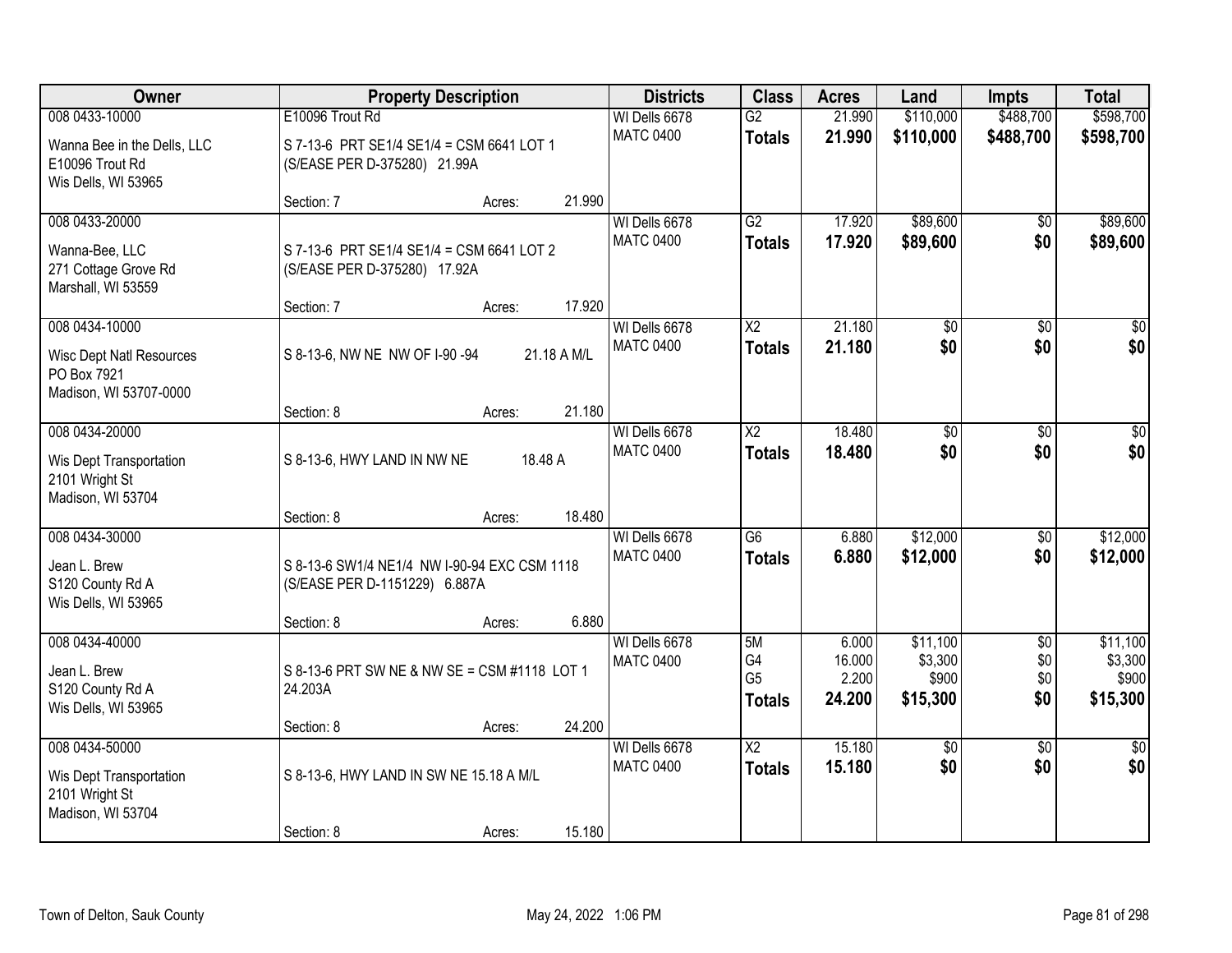| Owner                                                                                      |                                                                               | <b>Property Description</b> |        |                                   | <b>Class</b>                                | <b>Acres</b>                       | Land                                     | <b>Impts</b>                         | <b>Total</b>                             |
|--------------------------------------------------------------------------------------------|-------------------------------------------------------------------------------|-----------------------------|--------|-----------------------------------|---------------------------------------------|------------------------------------|------------------------------------------|--------------------------------------|------------------------------------------|
| 008 0433-10000                                                                             | E10096 Trout Rd                                                               |                             |        | WI Dells 6678                     | $\overline{G2}$                             | 21.990                             | \$110,000                                | \$488,700                            | \$598,700                                |
| Wanna Bee in the Dells, LLC<br>E10096 Trout Rd<br>Wis Dells, WI 53965                      | S 7-13-6 PRT SE1/4 SE1/4 = CSM 6641 LOT 1<br>(S/EASE PER D-375280) 21.99A     |                             |        | <b>MATC 0400</b>                  | <b>Totals</b>                               | 21.990                             | \$110,000                                | \$488,700                            | \$598,700                                |
|                                                                                            | Section: 7                                                                    | Acres:                      | 21.990 |                                   |                                             |                                    |                                          |                                      |                                          |
| 008 0433-20000<br>Wanna-Bee, LLC<br>271 Cottage Grove Rd<br>Marshall, WI 53559             | S 7-13-6 PRT SE1/4 SE1/4 = CSM 6641 LOT 2<br>(S/EASE PER D-375280) 17.92A     |                             |        | WI Dells 6678<br><b>MATC 0400</b> | $\overline{G2}$<br><b>Totals</b>            | 17.920<br>17.920                   | \$89,600<br>\$89,600                     | $\overline{50}$<br>\$0               | \$89,600<br>\$89,600                     |
|                                                                                            | Section: 7                                                                    | Acres:                      | 17.920 |                                   |                                             |                                    |                                          |                                      |                                          |
| 008 0434-10000<br><b>Wisc Dept Natl Resources</b><br>PO Box 7921<br>Madison, WI 53707-0000 | S 8-13-6, NW NE NW OF I-90 -94                                                | 21.18 A M/L                 |        | WI Dells 6678<br><b>MATC 0400</b> | X <sub>2</sub><br><b>Totals</b>             | 21.180<br>21.180                   | \$0<br>\$0                               | \$0<br>\$0                           | \$0<br>\$0                               |
|                                                                                            | Section: 8                                                                    | Acres:                      | 21.180 |                                   |                                             |                                    |                                          |                                      |                                          |
| 008 0434-20000<br>Wis Dept Transportation<br>2101 Wright St                                | S 8-13-6, HWY LAND IN NW NE                                                   | 18.48 A                     |        | WI Dells 6678<br><b>MATC 0400</b> | X <sub>2</sub><br><b>Totals</b>             | 18.480<br>18.480                   | $\overline{50}$<br>\$0                   | \$0<br>\$0                           | \$0<br>\$0                               |
| Madison, WI 53704                                                                          | Section: 8                                                                    | Acres:                      | 18.480 |                                   |                                             |                                    |                                          |                                      |                                          |
| 008 0434-30000<br>Jean L. Brew<br>S120 County Rd A<br>Wis Dells, WI 53965                  | S 8-13-6 SW1/4 NE1/4 NW I-90-94 EXC CSM 1118<br>(S/EASE PER D-1151229) 6.887A |                             |        | WI Dells 6678<br><b>MATC 0400</b> | $\overline{G6}$<br><b>Totals</b>            | 6.880<br>6.880                     | \$12,000<br>\$12,000                     | $\overline{50}$<br>\$0               | \$12,000<br>\$12,000                     |
|                                                                                            | Section: 8                                                                    | Acres:                      | 6.880  |                                   |                                             |                                    |                                          |                                      |                                          |
| 008 0434-40000<br>Jean L. Brew<br>S120 County Rd A<br>Wis Dells, WI 53965                  | S 8-13-6 PRT SW NE & NW SE = CSM #1118 LOT 1<br>24.203A                       |                             |        | WI Dells 6678<br><b>MATC 0400</b> | 5M<br>G4<br>G <sub>5</sub><br><b>Totals</b> | 6.000<br>16.000<br>2.200<br>24.200 | \$11,100<br>\$3,300<br>\$900<br>\$15,300 | $\overline{60}$<br>\$0<br>\$0<br>\$0 | \$11,100<br>\$3,300<br>\$900<br>\$15,300 |
|                                                                                            | Section: 8                                                                    | Acres:                      | 24.200 |                                   |                                             |                                    |                                          |                                      |                                          |
| 008 0434-50000<br>Wis Dept Transportation<br>2101 Wright St<br>Madison, WI 53704           | S 8-13-6, HWY LAND IN SW NE 15.18 A M/L                                       |                             |        | WI Dells 6678<br><b>MATC 0400</b> | $\overline{X2}$<br><b>Totals</b>            | 15.180<br>15.180                   | $\overline{50}$<br>\$0                   | $\overline{50}$<br>\$0               | $\frac{1}{30}$<br>\$0                    |
|                                                                                            | Section: 8                                                                    | Acres:                      | 15.180 |                                   |                                             |                                    |                                          |                                      |                                          |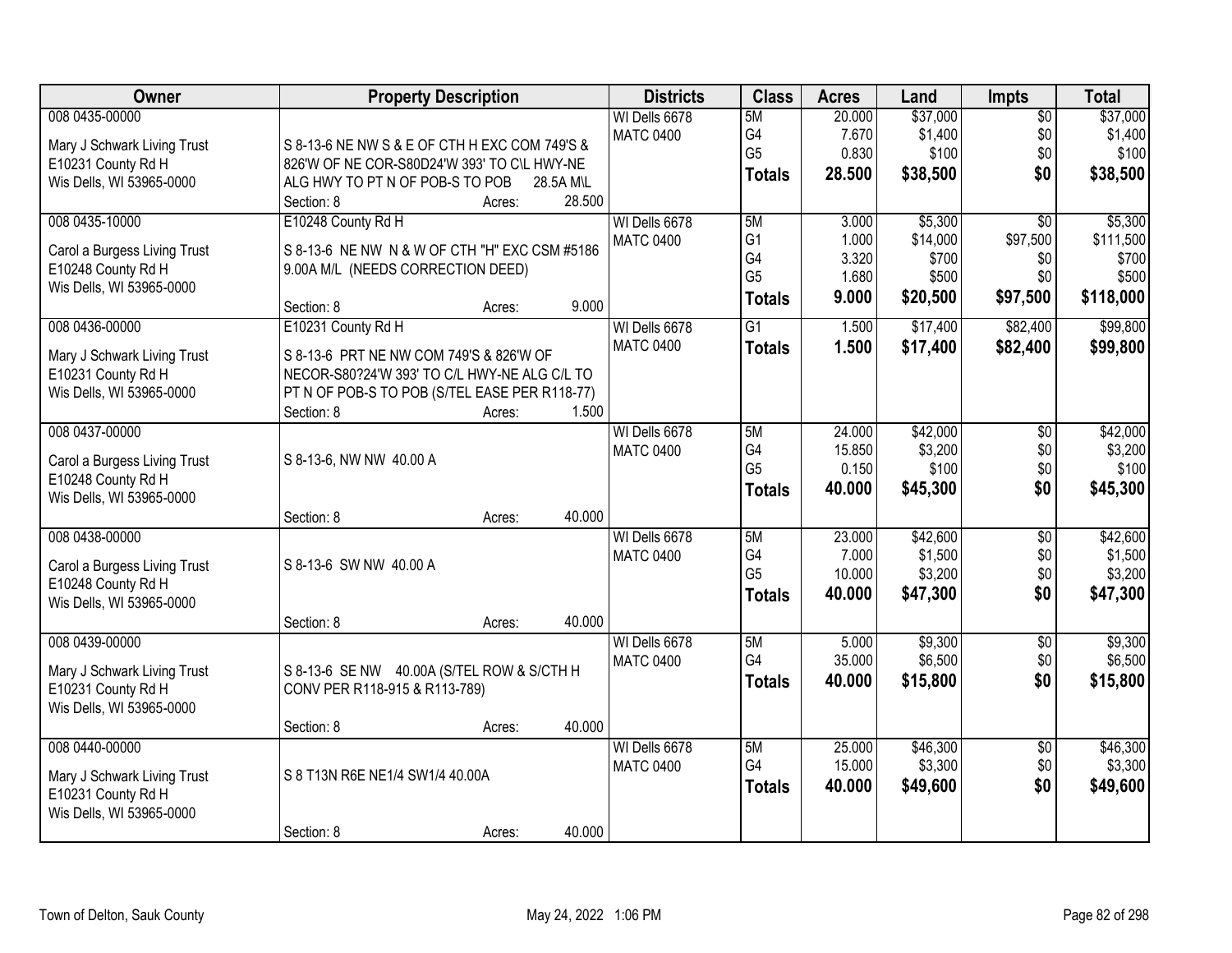| Owner                        | <b>Property Description</b>                   |        |           | <b>Districts</b> | <b>Class</b>    | <b>Acres</b> | Land     | Impts           | <b>Total</b> |
|------------------------------|-----------------------------------------------|--------|-----------|------------------|-----------------|--------------|----------|-----------------|--------------|
| 008 0435-00000               |                                               |        |           | WI Dells 6678    | 5M              | 20.000       | \$37,000 | $\overline{50}$ | \$37,000     |
| Mary J Schwark Living Trust  | S 8-13-6 NE NW S & E OF CTH H EXC COM 749'S & |        |           | <b>MATC 0400</b> | G4              | 7.670        | \$1,400  | \$0             | \$1,400      |
| E10231 County Rd H           | 826'W OF NE COR-S80D24'W 393' TO C\L HWY-NE   |        |           |                  | G <sub>5</sub>  | 0.830        | \$100    | \$0             | \$100        |
| Wis Dells, WI 53965-0000     | ALG HWY TO PT N OF POB-S TO POB               |        | 28.5A M\L |                  | <b>Totals</b>   | 28.500       | \$38,500 | \$0             | \$38,500     |
|                              | Section: 8                                    | Acres: | 28.500    |                  |                 |              |          |                 |              |
| 008 0435-10000               | E10248 County Rd H                            |        |           | WI Dells 6678    | 5M              | 3.000        | \$5,300  | $\overline{30}$ | \$5,300      |
|                              |                                               |        |           | <b>MATC 0400</b> | G <sub>1</sub>  | 1.000        | \$14,000 | \$97,500        | \$111,500    |
| Carol a Burgess Living Trust | S 8-13-6 NE NW N & W OF CTH "H" EXC CSM #5186 |        |           |                  | G4              | 3.320        | \$700    | \$0             | \$700        |
| E10248 County Rd H           | 9.00A M/L (NEEDS CORRECTION DEED)             |        |           |                  | G <sub>5</sub>  | 1.680        | \$500    | \$0             | \$500        |
| Wis Dells, WI 53965-0000     | Section: 8                                    |        | 9.000     |                  | <b>Totals</b>   | 9.000        | \$20,500 | \$97,500        | \$118,000    |
| 008 0436-00000               | E10231 County Rd H                            | Acres: |           | WI Dells 6678    | $\overline{G1}$ | 1.500        | \$17,400 | \$82,400        | \$99,800     |
|                              |                                               |        |           | <b>MATC 0400</b> |                 |              |          |                 |              |
| Mary J Schwark Living Trust  | S 8-13-6 PRT NE NW COM 749'S & 826'W OF       |        |           |                  | <b>Totals</b>   | 1.500        | \$17,400 | \$82,400        | \$99,800     |
| E10231 County Rd H           | NECOR-S80?24'W 393' TO C/L HWY-NE ALG C/L TO  |        |           |                  |                 |              |          |                 |              |
| Wis Dells, WI 53965-0000     | PT N OF POB-S TO POB (S/TEL EASE PER R118-77) |        |           |                  |                 |              |          |                 |              |
|                              | Section: 8                                    | Acres: | 1.500     |                  |                 |              |          |                 |              |
| 008 0437-00000               |                                               |        |           | WI Dells 6678    | 5M              | 24.000       | \$42,000 | \$0             | \$42,000     |
| Carol a Burgess Living Trust | S 8-13-6, NW NW 40.00 A                       |        |           | <b>MATC 0400</b> | G4              | 15.850       | \$3,200  | \$0             | \$3,200      |
| E10248 County Rd H           |                                               |        |           |                  | G <sub>5</sub>  | 0.150        | \$100    | \$0             | \$100        |
| Wis Dells, WI 53965-0000     |                                               |        |           |                  | <b>Totals</b>   | 40.000       | \$45,300 | \$0             | \$45,300     |
|                              | Section: 8                                    | Acres: | 40.000    |                  |                 |              |          |                 |              |
| 008 0438-00000               |                                               |        |           | WI Dells 6678    | 5M              | 23.000       | \$42,600 | \$0             | \$42,600     |
|                              |                                               |        |           | <b>MATC 0400</b> | G4              | 7.000        | \$1,500  | \$0             | \$1,500      |
| Carol a Burgess Living Trust | S 8-13-6 SW NW 40.00 A                        |        |           |                  | G <sub>5</sub>  | 10.000       | \$3,200  | \$0             | \$3,200      |
| E10248 County Rd H           |                                               |        |           |                  | <b>Totals</b>   | 40.000       | \$47,300 | \$0             | \$47,300     |
| Wis Dells, WI 53965-0000     | Section: 8                                    |        | 40.000    |                  |                 |              |          |                 |              |
| 008 0439-00000               |                                               | Acres: |           | WI Dells 6678    | 5M              | 5.000        | \$9,300  | $\sqrt{$0}$     | \$9,300      |
|                              |                                               |        |           | <b>MATC 0400</b> | G4              | 35.000       | \$6,500  | \$0             | \$6,500      |
| Mary J Schwark Living Trust  | S 8-13-6 SE NW 40.00A (S/TEL ROW & S/CTH H    |        |           |                  | <b>Totals</b>   | 40.000       | \$15,800 | \$0             | \$15,800     |
| E10231 County Rd H           | CONV PER R118-915 & R113-789)                 |        |           |                  |                 |              |          |                 |              |
| Wis Dells, WI 53965-0000     |                                               |        |           |                  |                 |              |          |                 |              |
|                              | Section: 8                                    | Acres: | 40.000    |                  |                 |              |          |                 |              |
| 008 0440-00000               |                                               |        |           | WI Dells 6678    | 5M              | 25.000       | \$46,300 | $\overline{60}$ | \$46,300     |
| Mary J Schwark Living Trust  | S 8 T13N R6E NE1/4 SW1/4 40.00A               |        |           | <b>MATC 0400</b> | G4              | 15.000       | \$3,300  | \$0             | \$3,300      |
| E10231 County Rd H           |                                               |        |           |                  | <b>Totals</b>   | 40.000       | \$49,600 | \$0             | \$49,600     |
| Wis Dells, WI 53965-0000     |                                               |        |           |                  |                 |              |          |                 |              |
|                              | Section: 8                                    | Acres: | 40.000    |                  |                 |              |          |                 |              |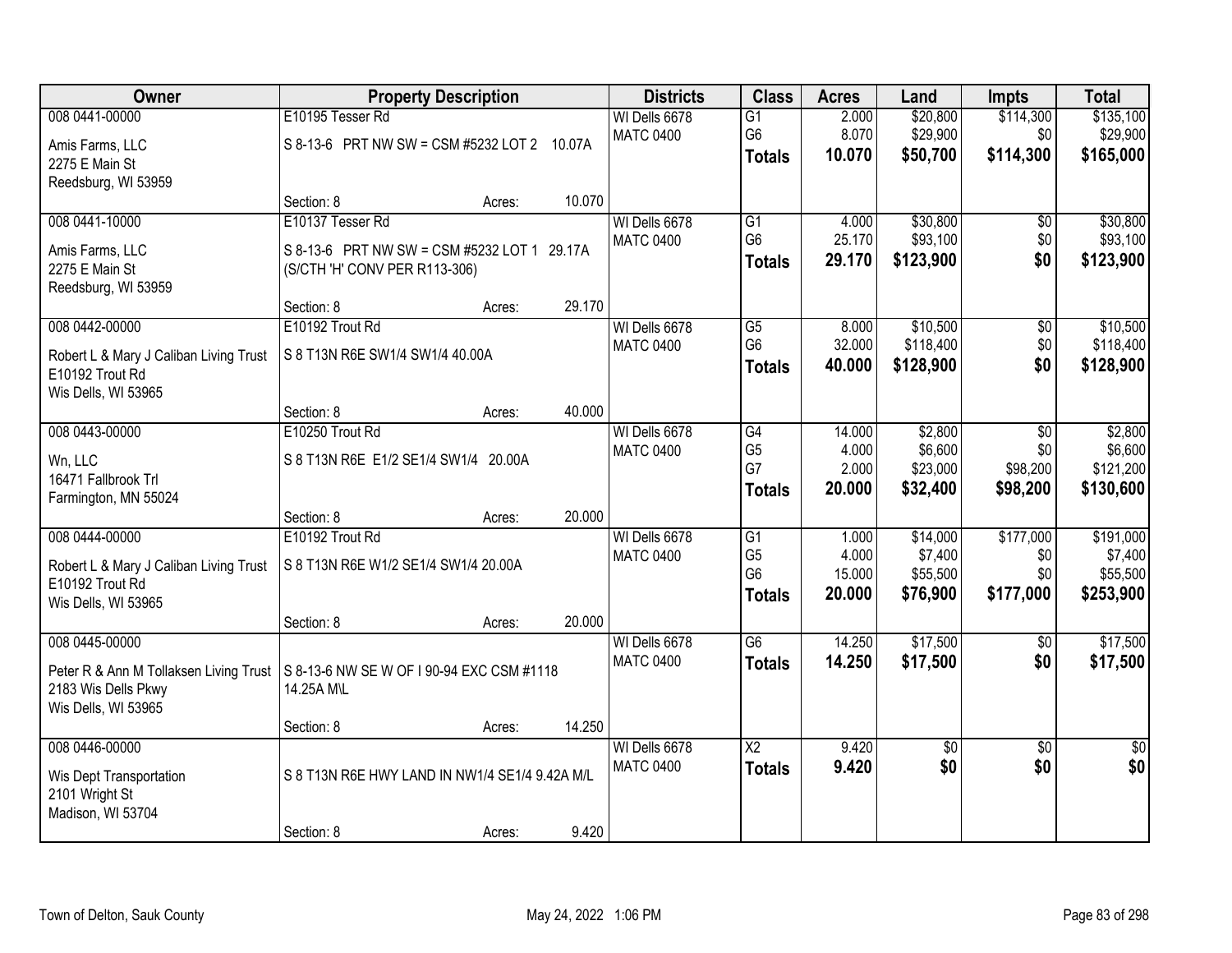| Owner                                                         | <b>Property Description</b>                             |        |        | <b>Districts</b> | <b>Class</b>           | <b>Acres</b> | Land            | <b>Impts</b>    | <b>Total</b>    |
|---------------------------------------------------------------|---------------------------------------------------------|--------|--------|------------------|------------------------|--------------|-----------------|-----------------|-----------------|
| 008 0441-00000                                                | E10195 Tesser Rd                                        |        |        | WI Dells 6678    | $\overline{G1}$        | 2.000        | \$20,800        | \$114,300       | \$135,100       |
| Amis Farms, LLC                                               | S 8-13-6 PRT NW SW = CSM #5232 LOT 2 10.07A             |        |        | <b>MATC 0400</b> | G <sub>6</sub>         | 8.070        | \$29,900        | \$0             | \$29,900        |
| 2275 E Main St                                                |                                                         |        |        |                  | <b>Totals</b>          | 10.070       | \$50,700        | \$114,300       | \$165,000       |
| Reedsburg, WI 53959                                           |                                                         |        |        |                  |                        |              |                 |                 |                 |
|                                                               | Section: 8                                              | Acres: | 10.070 |                  |                        |              |                 |                 |                 |
| 008 0441-10000                                                | E10137 Tesser Rd                                        |        |        | WI Dells 6678    | G1                     | 4.000        | \$30,800        | \$0             | \$30,800        |
| Amis Farms, LLC                                               | S 8-13-6 PRT NW SW = CSM #5232 LOT 1 29.17A             |        |        | <b>MATC 0400</b> | G <sub>6</sub>         | 25.170       | \$93,100        | \$0             | \$93,100        |
| 2275 E Main St                                                | (S/CTH 'H' CONV PER R113-306)                           |        |        |                  | <b>Totals</b>          | 29.170       | \$123,900       | \$0             | \$123,900       |
| Reedsburg, WI 53959                                           |                                                         |        |        |                  |                        |              |                 |                 |                 |
|                                                               | Section: 8                                              | Acres: | 29.170 |                  |                        |              |                 |                 |                 |
| 008 0442-00000                                                | E10192 Trout Rd                                         |        |        | WI Dells 6678    | G5                     | 8.000        | \$10,500        | \$0             | \$10,500        |
| Robert L & Mary J Caliban Living Trust                        | S 8 T13N R6E SW1/4 SW1/4 40.00A                         |        |        | <b>MATC 0400</b> | G <sub>6</sub>         | 32.000       | \$118,400       | \$0             | \$118,400       |
| E10192 Trout Rd                                               |                                                         |        |        |                  | <b>Totals</b>          | 40.000       | \$128,900       | \$0             | \$128,900       |
| Wis Dells, WI 53965                                           |                                                         |        |        |                  |                        |              |                 |                 |                 |
|                                                               | Section: 8                                              | Acres: | 40.000 |                  |                        |              |                 |                 |                 |
| 008 0443-00000                                                | E10250 Trout Rd                                         |        |        | WI Dells 6678    | G4                     | 14.000       | \$2,800         | \$0             | \$2,800         |
| Wn, LLC                                                       | S 8 T13N R6E E1/2 SE1/4 SW1/4 20.00A                    |        |        | <b>MATC 0400</b> | G <sub>5</sub>         | 4.000        | \$6,600         | \$0             | \$6,600         |
| 16471 Fallbrook Trl                                           |                                                         |        |        |                  | G7                     | 2.000        | \$23,000        | \$98,200        | \$121,200       |
| Farmington, MN 55024                                          |                                                         |        |        |                  | <b>Totals</b>          | 20.000       | \$32,400        | \$98,200        | \$130,600       |
|                                                               | Section: 8                                              | Acres: | 20.000 |                  |                        |              |                 |                 |                 |
| 008 0444-00000                                                | E10192 Trout Rd                                         |        |        | WI Dells 6678    | $\overline{G1}$        | 1.000        | \$14,000        | \$177,000       | \$191,000       |
|                                                               | S 8 T13N R6E W1/2 SE1/4 SW1/4 20.00A                    |        |        | <b>MATC 0400</b> | G <sub>5</sub>         | 4.000        | \$7,400         | \$0             | \$7,400         |
| Robert L & Mary J Caliban Living Trust<br>E10192 Trout Rd     |                                                         |        |        |                  | G <sub>6</sub>         | 15.000       | \$55,500        | \$0             | \$55,500        |
| Wis Dells, WI 53965                                           |                                                         |        |        |                  | <b>Totals</b>          | 20.000       | \$76,900        | \$177,000       | \$253,900       |
|                                                               | Section: 8                                              | Acres: | 20.000 |                  |                        |              |                 |                 |                 |
| 008 0445-00000                                                |                                                         |        |        | WI Dells 6678    | G6                     | 14.250       | \$17,500        | $\sqrt{6}$      | \$17,500        |
|                                                               |                                                         |        |        | <b>MATC 0400</b> | <b>Totals</b>          | 14.250       | \$17,500        | \$0             | \$17,500        |
| Peter R & Ann M Tollaksen Living Trust<br>2183 Wis Dells Pkwy | S 8-13-6 NW SE W OF I 90-94 EXC CSM #1118<br>14.25A M\L |        |        |                  |                        |              |                 |                 |                 |
| Wis Dells, WI 53965                                           |                                                         |        |        |                  |                        |              |                 |                 |                 |
|                                                               | Section: 8                                              | Acres: | 14.250 |                  |                        |              |                 |                 |                 |
| 008 0446-00000                                                |                                                         |        |        | WI Dells 6678    | $\overline{\text{X2}}$ | 9.420        | $\overline{50}$ | $\overline{30}$ | $\overline{50}$ |
|                                                               | S 8 T13N R6E HWY LAND IN NW1/4 SE1/4 9.42A M/L          |        |        | <b>MATC 0400</b> | <b>Totals</b>          | 9.420        | \$0             | \$0             | \$0             |
| Wis Dept Transportation<br>2101 Wright St                     |                                                         |        |        |                  |                        |              |                 |                 |                 |
| Madison, WI 53704                                             |                                                         |        |        |                  |                        |              |                 |                 |                 |
|                                                               | Section: 8                                              | Acres: | 9.420  |                  |                        |              |                 |                 |                 |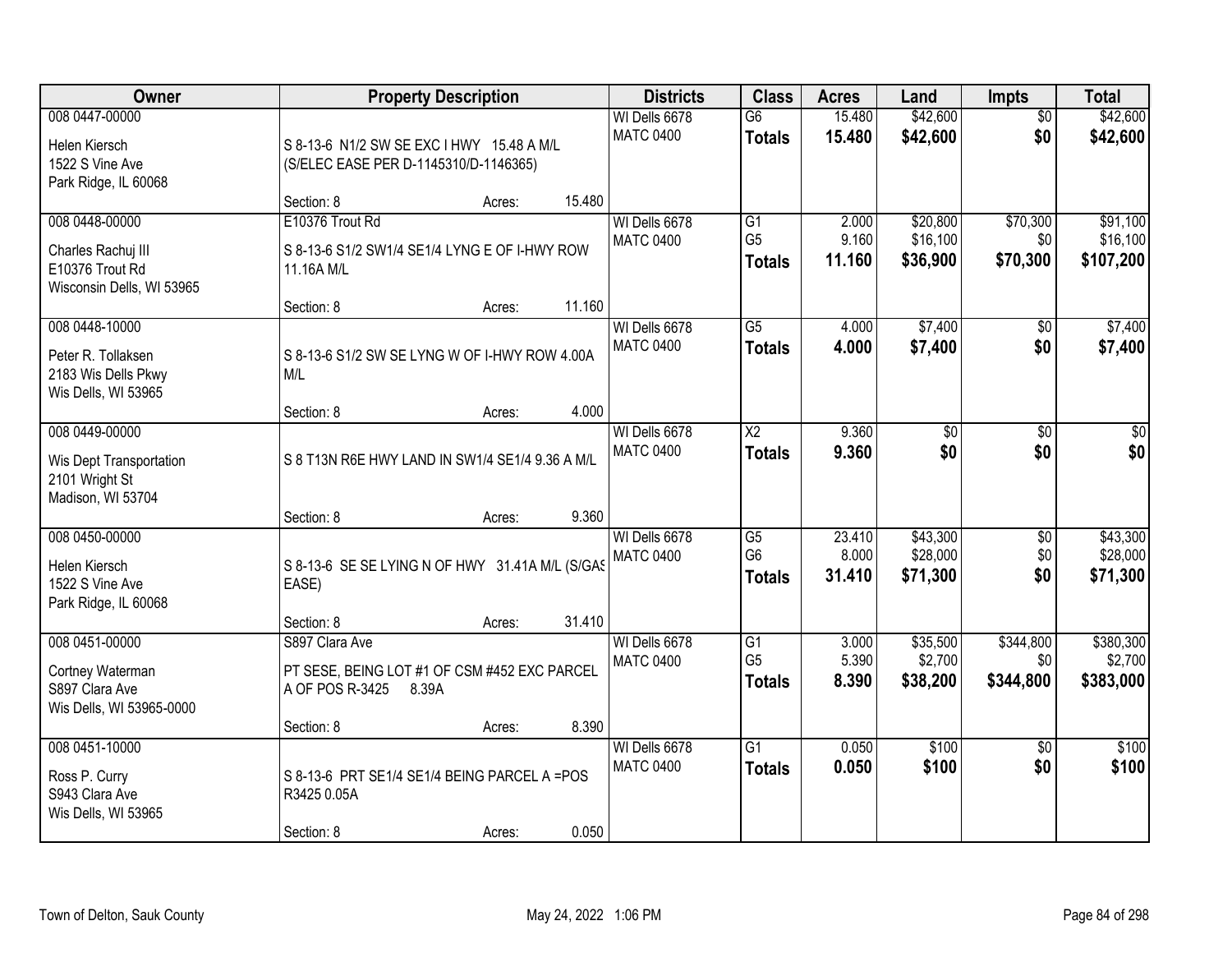| Owner                                                                                |                                                                                              | <b>Property Description</b> |        |                                   |                                                    | <b>Acres</b>              | Land                             | <b>Impts</b>                  | <b>Total</b>                      |
|--------------------------------------------------------------------------------------|----------------------------------------------------------------------------------------------|-----------------------------|--------|-----------------------------------|----------------------------------------------------|---------------------------|----------------------------------|-------------------------------|-----------------------------------|
| 008 0447-00000<br>Helen Kiersch<br>1522 S Vine Ave<br>Park Ridge, IL 60068           | S 8-13-6 N1/2 SW SE EXC I HWY 15.48 A M/L<br>(S/ELEC EASE PER D-1145310/D-1146365)           |                             |        | WI Dells 6678<br><b>MATC 0400</b> | $\overline{G6}$<br><b>Totals</b>                   | 15.480<br>15.480          | \$42,600<br>\$42,600             | $\overline{50}$<br>\$0        | \$42,600<br>\$42,600              |
|                                                                                      | Section: 8                                                                                   | Acres:                      | 15.480 |                                   |                                                    |                           |                                  |                               |                                   |
| 008 0448-00000<br>Charles Rachuj III<br>E10376 Trout Rd<br>Wisconsin Dells, WI 53965 | E10376 Trout Rd<br>S 8-13-6 S1/2 SW1/4 SE1/4 LYNG E OF I-HWY ROW<br>11.16A M/L<br>Section: 8 | Acres:                      | 11.160 | WI Dells 6678<br><b>MATC 0400</b> | $\overline{G1}$<br>G <sub>5</sub><br><b>Totals</b> | 2.000<br>9.160<br>11.160  | \$20,800<br>\$16,100<br>\$36,900 | \$70,300<br>\$0<br>\$70,300   | \$91,100<br>\$16,100<br>\$107,200 |
| 008 0448-10000                                                                       |                                                                                              |                             |        | WI Dells 6678                     | $\overline{G5}$                                    | 4.000                     | \$7,400                          | \$0                           | \$7,400                           |
| Peter R. Tollaksen<br>2183 Wis Dells Pkwy<br>Wis Dells, WI 53965                     | S 8-13-6 S1/2 SW SE LYNG W OF I-HWY ROW 4.00A<br>M/L                                         |                             |        | <b>MATC 0400</b>                  | <b>Totals</b>                                      | 4.000                     | \$7,400                          | \$0                           | \$7,400                           |
|                                                                                      | Section: 8                                                                                   | Acres:                      | 4.000  |                                   |                                                    |                           |                                  |                               |                                   |
| 008 0449-00000<br>Wis Dept Transportation<br>2101 Wright St<br>Madison, WI 53704     | S 8 T13N R6E HWY LAND IN SW1/4 SE1/4 9.36 A M/L                                              |                             |        | WI Dells 6678<br><b>MATC 0400</b> | $\overline{X2}$<br><b>Totals</b>                   | 9.360<br>9.360            | $\overline{50}$<br>\$0           | \$0<br>\$0                    | \$0<br>\$0                        |
|                                                                                      | Section: 8                                                                                   | Acres:                      | 9.360  |                                   |                                                    |                           |                                  |                               |                                   |
| 008 0450-00000<br>Helen Kiersch<br>1522 S Vine Ave<br>Park Ridge, IL 60068           | S 8-13-6 SE SE LYING N OF HWY 31.41A M/L (S/GAS<br>EASE)                                     |                             |        | WI Dells 6678<br><b>MATC 0400</b> | G5<br>G <sub>6</sub><br><b>Totals</b>              | 23.410<br>8.000<br>31.410 | \$43,300<br>\$28,000<br>\$71,300 | $\overline{50}$<br>\$0<br>\$0 | \$43,300<br>\$28,000<br>\$71,300  |
|                                                                                      | Section: 8                                                                                   | Acres:                      | 31.410 |                                   |                                                    |                           |                                  |                               |                                   |
| 008 0451-00000<br>Cortney Waterman<br>S897 Clara Ave<br>Wis Dells, WI 53965-0000     | S897 Clara Ave<br>PT SESE, BEING LOT #1 OF CSM #452 EXC PARCEL<br>A OF POS R-3425            | 8.39A                       |        | WI Dells 6678<br><b>MATC 0400</b> | $\overline{G1}$<br>G <sub>5</sub><br><b>Totals</b> | 3.000<br>5.390<br>8.390   | \$35,500<br>\$2,700<br>\$38,200  | \$344,800<br>\$0<br>\$344,800 | \$380,300<br>\$2,700<br>\$383,000 |
|                                                                                      | Section: 8                                                                                   | Acres:                      | 8.390  |                                   |                                                    |                           |                                  |                               |                                   |
| 008 0451-10000<br>Ross P. Curry<br>S943 Clara Ave<br>Wis Dells, WI 53965             | S 8-13-6 PRT SE1/4 SE1/4 BEING PARCEL A =POS<br>R3425 0.05A<br>Section: 8                    | Acres:                      | 0.050  | WI Dells 6678<br><b>MATC 0400</b> | $\overline{G1}$<br><b>Totals</b>                   | 0.050<br>0.050            | \$100<br>\$100                   | $\overline{30}$<br>\$0        | \$100<br>\$100                    |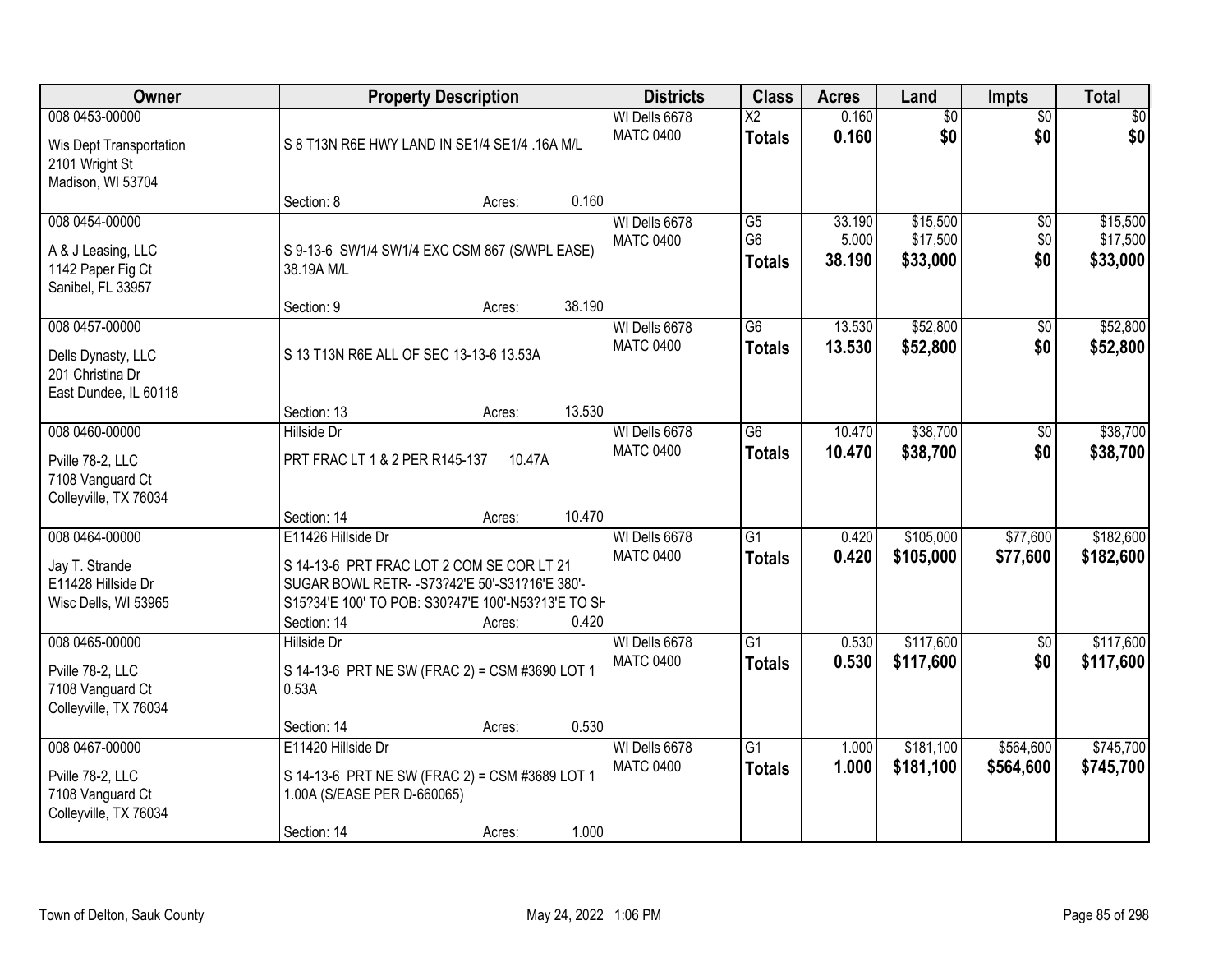| <b>Owner</b>                                                                     |                                                                                                                                                                                        | <b>Property Description</b> |        | <b>Districts</b>                  | <b>Class</b>                                       | <b>Acres</b>              | Land                             | <b>Impts</b>                  | <b>Total</b>                     |
|----------------------------------------------------------------------------------|----------------------------------------------------------------------------------------------------------------------------------------------------------------------------------------|-----------------------------|--------|-----------------------------------|----------------------------------------------------|---------------------------|----------------------------------|-------------------------------|----------------------------------|
| 008 0453-00000<br>Wis Dept Transportation<br>2101 Wright St<br>Madison, WI 53704 | S 8 T13N R6E HWY LAND IN SE1/4 SE1/4 .16A M/L                                                                                                                                          |                             |        | WI Dells 6678<br><b>MATC 0400</b> | $\overline{X2}$<br><b>Totals</b>                   | 0.160<br>0.160            | $\overline{50}$<br>\$0           | $\overline{50}$<br>\$0        | $\overline{30}$<br>\$0           |
|                                                                                  | Section: 8                                                                                                                                                                             | Acres:                      | 0.160  |                                   |                                                    |                           |                                  |                               |                                  |
| 008 0454-00000<br>A & J Leasing, LLC<br>1142 Paper Fig Ct<br>Sanibel, FL 33957   | S 9-13-6 SW1/4 SW1/4 EXC CSM 867 (S/WPL EASE)<br>38.19A M/L<br>Section: 9                                                                                                              | Acres:                      | 38.190 | WI Dells 6678<br><b>MATC 0400</b> | $\overline{G5}$<br>G <sub>6</sub><br><b>Totals</b> | 33.190<br>5.000<br>38.190 | \$15,500<br>\$17,500<br>\$33,000 | $\overline{50}$<br>\$0<br>\$0 | \$15,500<br>\$17,500<br>\$33,000 |
| 008 0457-00000                                                                   |                                                                                                                                                                                        |                             |        | WI Dells 6678                     | G6                                                 | 13.530                    | \$52,800                         | \$0                           | \$52,800                         |
| Dells Dynasty, LLC<br>201 Christina Dr<br>East Dundee, IL 60118                  | S 13 T13N R6E ALL OF SEC 13-13-6 13.53A                                                                                                                                                |                             |        | <b>MATC 0400</b>                  | <b>Totals</b>                                      | 13.530                    | \$52,800                         | \$0                           | \$52,800                         |
|                                                                                  | Section: 13                                                                                                                                                                            | Acres:                      | 13.530 |                                   |                                                    |                           |                                  |                               |                                  |
| 008 0460-00000<br>Pville 78-2, LLC<br>7108 Vanguard Ct<br>Colleyville, TX 76034  | <b>Hillside Dr</b><br>PRT FRAC LT 1 & 2 PER R145-137                                                                                                                                   | 10.47A                      |        | WI Dells 6678<br><b>MATC 0400</b> | G <sub>6</sub><br><b>Totals</b>                    | 10.470<br>10.470          | \$38,700<br>\$38,700             | \$0<br>\$0                    | \$38,700<br>\$38,700             |
|                                                                                  | Section: 14                                                                                                                                                                            | Acres:                      | 10.470 |                                   |                                                    |                           |                                  |                               |                                  |
| 008 0464-00000<br>Jay T. Strande<br>E11428 Hillside Dr<br>Wisc Dells, WI 53965   | E11426 Hillside Dr<br>S 14-13-6 PRT FRAC LOT 2 COM SE COR LT 21<br>SUGAR BOWL RETR- - S73?42'E 50'-S31?16'E 380'-<br>S15?34'E 100' TO POB: S30?47'E 100'-N53?13'E TO SH<br>Section: 14 | Acres:                      | 0.420  | WI Dells 6678<br><b>MATC 0400</b> | $\overline{G1}$<br><b>Totals</b>                   | 0.420<br>0.420            | \$105,000<br>\$105,000           | \$77,600<br>\$77,600          | \$182,600<br>\$182,600           |
| 008 0465-00000<br>Pville 78-2, LLC<br>7108 Vanguard Ct<br>Colleyville, TX 76034  | <b>Hillside Dr</b><br>S 14-13-6 PRT NE SW (FRAC 2) = CSM #3690 LOT 1<br>0.53A<br>Section: 14                                                                                           | Acres:                      | 0.530  | WI Dells 6678<br><b>MATC 0400</b> | $\overline{G1}$<br><b>Totals</b>                   | 0.530<br>0.530            | \$117,600<br>\$117,600           | $\overline{50}$<br>\$0        | \$117,600<br>\$117,600           |
| 008 0467-00000                                                                   | E11420 Hillside Dr                                                                                                                                                                     |                             |        | WI Dells 6678                     | $\overline{G1}$                                    | 1.000                     | \$181,100                        | \$564,600                     | \$745,700                        |
| Pville 78-2, LLC<br>7108 Vanguard Ct<br>Colleyville, TX 76034                    | S 14-13-6 PRT NE SW (FRAC 2) = CSM #3689 LOT 1<br>1.00A (S/EASE PER D-660065)<br>Section: 14                                                                                           | Acres:                      | 1.000  | <b>MATC 0400</b>                  | <b>Totals</b>                                      | 1.000                     | \$181,100                        | \$564,600                     | \$745,700                        |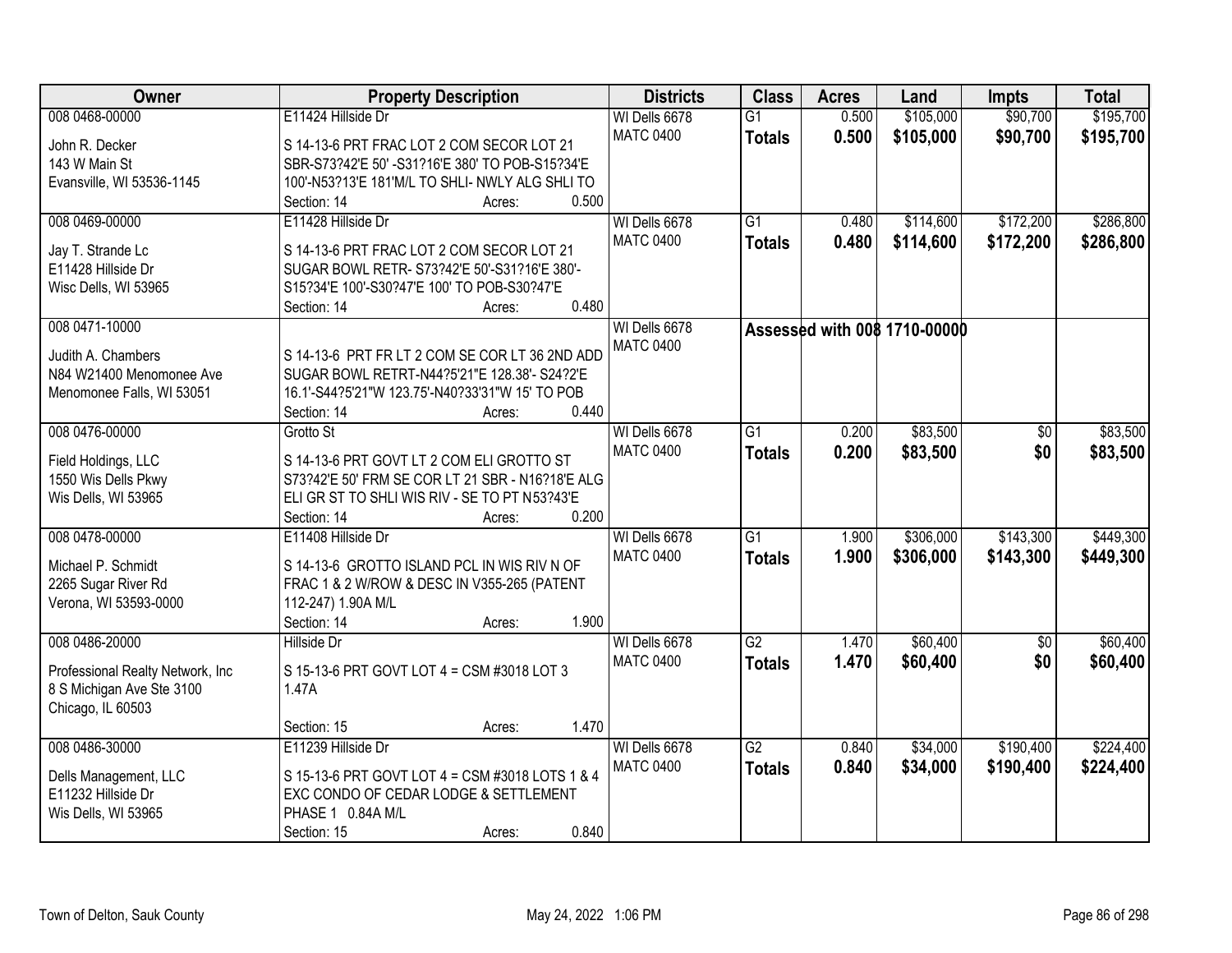| Owner                             | <b>Property Description</b>                                       | <b>Districts</b> | <b>Class</b>    | <b>Acres</b> | Land                         | <b>Impts</b>    | <b>Total</b> |
|-----------------------------------|-------------------------------------------------------------------|------------------|-----------------|--------------|------------------------------|-----------------|--------------|
| 008 0468-00000                    | E11424 Hillside Dr                                                | WI Dells 6678    | $\overline{G1}$ | 0.500        | \$105,000                    | \$90,700        | \$195,700    |
| John R. Decker                    | S 14-13-6 PRT FRAC LOT 2 COM SECOR LOT 21                         | <b>MATC 0400</b> | <b>Totals</b>   | 0.500        | \$105,000                    | \$90,700        | \$195,700    |
| 143 W Main St                     | SBR-S73?42'E 50' -S31?16'E 380' TO POB-S15?34'E                   |                  |                 |              |                              |                 |              |
| Evansville, WI 53536-1145         | 100'-N53?13'E 181'M/L TO SHLI- NWLY ALG SHLI TO                   |                  |                 |              |                              |                 |              |
|                                   | Section: 14<br>Acres:                                             | 0.500            |                 |              |                              |                 |              |
| 008 0469-00000                    | E11428 Hillside Dr                                                | WI Dells 6678    | $\overline{G1}$ | 0.480        | \$114,600                    | \$172,200       | \$286,800    |
|                                   |                                                                   | <b>MATC 0400</b> | <b>Totals</b>   | 0.480        | \$114,600                    | \$172,200       | \$286,800    |
| Jay T. Strande Lc                 | S 14-13-6 PRT FRAC LOT 2 COM SECOR LOT 21                         |                  |                 |              |                              |                 |              |
| E11428 Hillside Dr                | SUGAR BOWL RETR- S73?42'E 50'-S31?16'E 380'-                      |                  |                 |              |                              |                 |              |
| Wisc Dells, WI 53965              | S15?34'E 100'-S30?47'E 100' TO POB-S30?47'E                       |                  |                 |              |                              |                 |              |
|                                   | Section: 14<br>Acres:                                             | 0.480            |                 |              |                              |                 |              |
| 008 0471-10000                    |                                                                   | WI Dells 6678    |                 |              | Assessed with 008 1710-00000 |                 |              |
| Judith A. Chambers                | S 14-13-6 PRT FR LT 2 COM SE COR LT 36 2ND ADD                    | <b>MATC 0400</b> |                 |              |                              |                 |              |
| N84 W21400 Menomonee Ave          | SUGAR BOWL RETRT-N44?5'21"E 128.38'- S24?2'E                      |                  |                 |              |                              |                 |              |
| Menomonee Falls, WI 53051         | 16.1'-S44?5'21"W 123.75'-N40?33'31"W 15' TO POB                   |                  |                 |              |                              |                 |              |
|                                   | Section: 14<br>Acres:                                             | 0.440            |                 |              |                              |                 |              |
| 008 0476-00000                    | Grotto St                                                         | WI Dells 6678    | $\overline{G1}$ | 0.200        | \$83,500                     | \$0             | \$83,500     |
|                                   |                                                                   | <b>MATC 0400</b> |                 | 0.200        | \$83,500                     | \$0             | \$83,500     |
| Field Holdings, LLC               | S 14-13-6 PRT GOVT LT 2 COM ELI GROTTO ST                         |                  | <b>Totals</b>   |              |                              |                 |              |
| 1550 Wis Dells Pkwy               | S73?42'E 50' FRM SE COR LT 21 SBR - N16?18'E ALG                  |                  |                 |              |                              |                 |              |
| Wis Dells, WI 53965               | ELI GR ST TO SHLI WIS RIV - SE TO PT N53?43'E                     |                  |                 |              |                              |                 |              |
|                                   | Section: 14<br>Acres:                                             | 0.200            |                 |              |                              |                 |              |
| 008 0478-00000                    | E11408 Hillside Dr                                                | WI Dells 6678    | $\overline{G1}$ | 1.900        | \$306,000                    | \$143,300       | \$449,300    |
| Michael P. Schmidt                | S 14-13-6 GROTTO ISLAND PCL IN WIS RIV N OF                       | <b>MATC 0400</b> | <b>Totals</b>   | 1.900        | \$306,000                    | \$143,300       | \$449,300    |
| 2265 Sugar River Rd               |                                                                   |                  |                 |              |                              |                 |              |
| Verona, WI 53593-0000             | FRAC 1 & 2 W/ROW & DESC IN V355-265 (PATENT<br>112-247) 1.90A M/L |                  |                 |              |                              |                 |              |
|                                   | Section: 14<br>Acres:                                             | 1.900            |                 |              |                              |                 |              |
| 008 0486-20000                    | Hillside Dr                                                       | WI Dells 6678    | $\overline{G2}$ | 1.470        | \$60,400                     | $\overline{50}$ | \$60,400     |
|                                   |                                                                   |                  |                 |              |                              |                 |              |
| Professional Realty Network, Inc. | S 15-13-6 PRT GOVT LOT 4 = CSM #3018 LOT 3                        | <b>MATC 0400</b> | <b>Totals</b>   | 1.470        | \$60,400                     | \$0             | \$60,400     |
| 8 S Michigan Ave Ste 3100         | 1.47A                                                             |                  |                 |              |                              |                 |              |
| Chicago, IL 60503                 |                                                                   |                  |                 |              |                              |                 |              |
|                                   | Section: 15<br>Acres:                                             | 1.470            |                 |              |                              |                 |              |
| 008 0486-30000                    | E11239 Hillside Dr                                                | WI Dells 6678    | $\overline{G2}$ | 0.840        | \$34,000                     | \$190,400       | \$224,400    |
|                                   |                                                                   | <b>MATC 0400</b> | <b>Totals</b>   | 0.840        | \$34,000                     | \$190,400       | \$224,400    |
| Dells Management, LLC             | S 15-13-6 PRT GOVT LOT 4 = CSM #3018 LOTS 1 & 4                   |                  |                 |              |                              |                 |              |
| E11232 Hillside Dr                | EXC CONDO OF CEDAR LODGE & SETTLEMENT                             |                  |                 |              |                              |                 |              |
| Wis Dells, WI 53965               | PHASE 1 0.84A M/L                                                 |                  |                 |              |                              |                 |              |
|                                   | Section: 15<br>Acres:                                             | 0.840            |                 |              |                              |                 |              |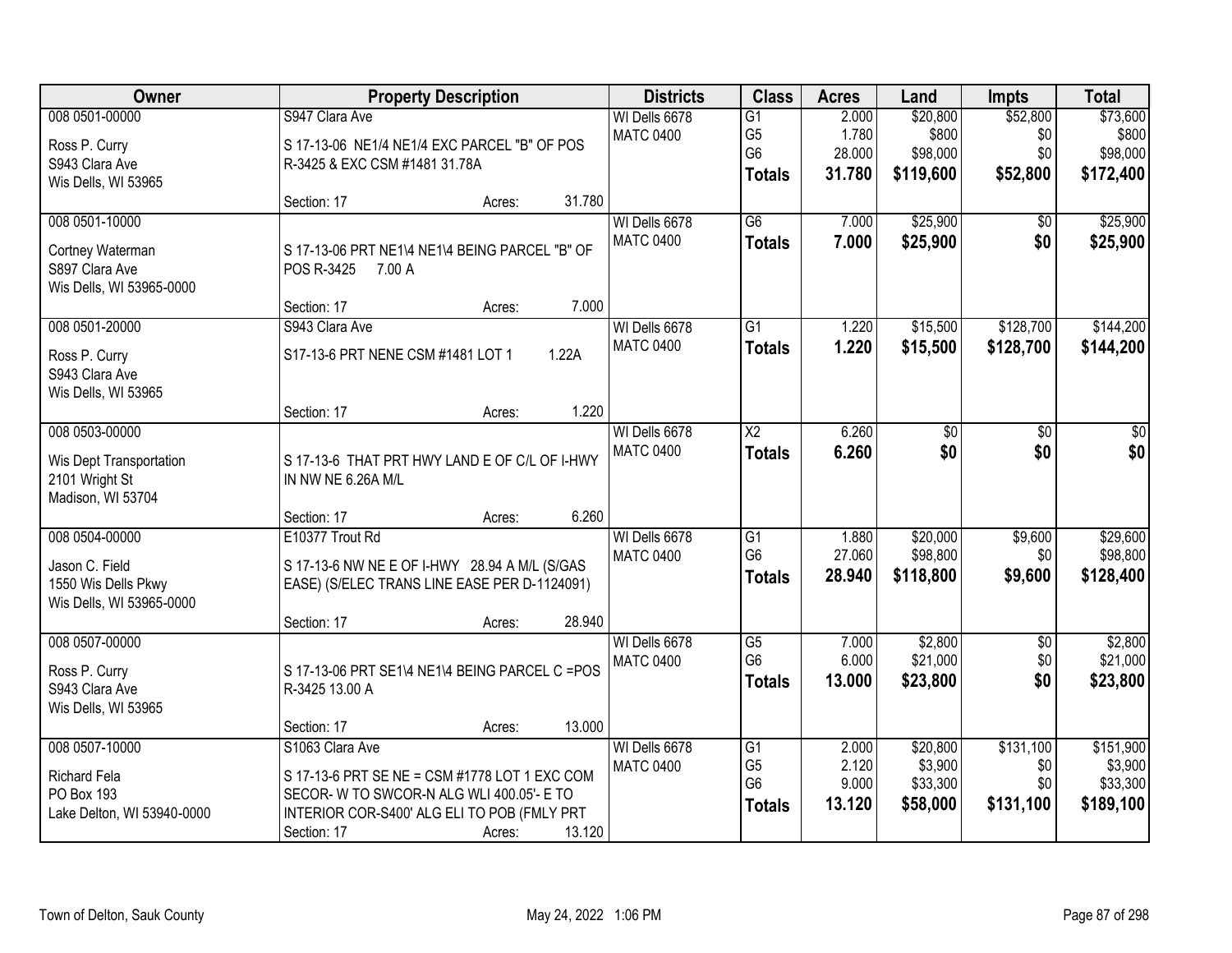| Owner                      |                                                                                          | <b>Property Description</b> |        | <b>Districts</b>                  | <b>Class</b>                      | <b>Acres</b>    | Land                 | <b>Impts</b>    | <b>Total</b>         |
|----------------------------|------------------------------------------------------------------------------------------|-----------------------------|--------|-----------------------------------|-----------------------------------|-----------------|----------------------|-----------------|----------------------|
| 008 0501-00000             | S947 Clara Ave                                                                           |                             |        | WI Dells 6678                     | $\overline{G1}$                   | 2.000           | \$20,800             | \$52,800        | \$73,600             |
| Ross P. Curry              | S 17-13-06 NE1/4 NE1/4 EXC PARCEL "B" OF POS                                             |                             |        | <b>MATC 0400</b>                  | G <sub>5</sub>                    | 1.780           | \$800                | \$0             | \$800                |
| S943 Clara Ave             | R-3425 & EXC CSM #1481 31.78A                                                            |                             |        |                                   | G <sub>6</sub>                    | 28.000          | \$98,000             | \$0             | \$98,000             |
| Wis Dells, WI 53965        |                                                                                          |                             |        |                                   | <b>Totals</b>                     | 31.780          | \$119,600            | \$52,800        | \$172,400            |
|                            | Section: 17                                                                              | Acres:                      | 31.780 |                                   |                                   |                 |                      |                 |                      |
| 008 0501-10000             |                                                                                          |                             |        | WI Dells 6678                     | $\overline{G6}$                   | 7.000           | \$25,900             | \$0             | \$25,900             |
| Cortney Waterman           | S 17-13-06 PRT NE1\4 NE1\4 BEING PARCEL "B" OF                                           |                             |        | <b>MATC 0400</b>                  | <b>Totals</b>                     | 7.000           | \$25,900             | \$0             | \$25,900             |
| S897 Clara Ave             | POS R-3425<br>7.00 A                                                                     |                             |        |                                   |                                   |                 |                      |                 |                      |
| Wis Dells, WI 53965-0000   |                                                                                          |                             |        |                                   |                                   |                 |                      |                 |                      |
|                            | Section: 17                                                                              | Acres:                      | 7.000  |                                   |                                   |                 |                      |                 |                      |
| 008 0501-20000             | S943 Clara Ave                                                                           |                             |        | WI Dells 6678                     | $\overline{G1}$                   | 1.220           | \$15,500             | \$128,700       | \$144,200            |
| Ross P. Curry              | S17-13-6 PRT NENE CSM #1481 LOT 1                                                        |                             | 1.22A  | <b>MATC 0400</b>                  | <b>Totals</b>                     | 1.220           | \$15,500             | \$128,700       | \$144,200            |
| S943 Clara Ave             |                                                                                          |                             |        |                                   |                                   |                 |                      |                 |                      |
| Wis Dells, WI 53965        |                                                                                          |                             |        |                                   |                                   |                 |                      |                 |                      |
|                            | Section: 17                                                                              | Acres:                      | 1.220  |                                   |                                   |                 |                      |                 |                      |
| 008 0503-00000             |                                                                                          |                             |        | WI Dells 6678<br><b>MATC 0400</b> | $\overline{\text{X2}}$            | 6.260           | \$0                  | \$0             | \$0                  |
| Wis Dept Transportation    | S 17-13-6 THAT PRT HWY LAND E OF C/L OF I-HWY                                            |                             |        |                                   | <b>Totals</b>                     | 6.260           | \$0                  | \$0             | \$0                  |
| 2101 Wright St             | IN NW NE 6.26A M/L                                                                       |                             |        |                                   |                                   |                 |                      |                 |                      |
| Madison, WI 53704          |                                                                                          |                             |        |                                   |                                   |                 |                      |                 |                      |
|                            | Section: 17<br>E10377 Trout Rd                                                           | Acres:                      | 6.260  |                                   |                                   |                 |                      |                 |                      |
| 008 0504-00000             |                                                                                          |                             |        | WI Dells 6678<br><b>MATC 0400</b> | $\overline{G1}$<br>G <sub>6</sub> | 1.880<br>27.060 | \$20,000<br>\$98,800 | \$9,600<br>\$0  | \$29,600<br>\$98,800 |
| Jason C. Field             | S 17-13-6 NW NE E OF I-HWY 28.94 A M/L (S/GAS                                            |                             |        |                                   | <b>Totals</b>                     | 28.940          | \$118,800            | \$9,600         | \$128,400            |
| 1550 Wis Dells Pkwy        | EASE) (S/ELEC TRANS LINE EASE PER D-1124091)                                             |                             |        |                                   |                                   |                 |                      |                 |                      |
| Wis Dells, WI 53965-0000   |                                                                                          |                             | 28.940 |                                   |                                   |                 |                      |                 |                      |
| 008 0507-00000             | Section: 17                                                                              | Acres:                      |        | WI Dells 6678                     | $\overline{G5}$                   | 7.000           | \$2,800              | $\overline{50}$ | \$2,800              |
|                            |                                                                                          |                             |        | <b>MATC 0400</b>                  | G <sub>6</sub>                    | 6.000           | \$21,000             | \$0             | \$21,000             |
| Ross P. Curry              | S 17-13-06 PRT SE1\4 NE1\4 BEING PARCEL C = POS                                          |                             |        |                                   | <b>Totals</b>                     | 13.000          | \$23,800             | \$0             | \$23,800             |
| S943 Clara Ave             | R-3425 13.00 A                                                                           |                             |        |                                   |                                   |                 |                      |                 |                      |
| Wis Dells, WI 53965        | Section: 17                                                                              | Acres:                      | 13.000 |                                   |                                   |                 |                      |                 |                      |
| 008 0507-10000             | S1063 Clara Ave                                                                          |                             |        | WI Dells 6678                     | $\overline{G1}$                   | 2.000           | \$20,800             | \$131,100       | \$151,900            |
|                            |                                                                                          |                             |        | <b>MATC 0400</b>                  | G <sub>5</sub>                    | 2.120           | \$3,900              | \$0             | \$3,900              |
| Richard Fela               | S 17-13-6 PRT SE NE = CSM #1778 LOT 1 EXC COM                                            |                             |        |                                   | G <sub>6</sub>                    | 9.000           | \$33,300             | \$0             | \$33,300             |
| PO Box 193                 | SECOR- W TO SWCOR-N ALG WLI 400.05'- E TO<br>INTERIOR COR-S400' ALG ELI TO POB (FMLY PRT |                             |        |                                   | <b>Totals</b>                     | 13.120          | \$58,000             | \$131,100       | \$189,100            |
| Lake Delton, WI 53940-0000 | Section: 17                                                                              | Acres:                      | 13.120 |                                   |                                   |                 |                      |                 |                      |
|                            |                                                                                          |                             |        |                                   |                                   |                 |                      |                 |                      |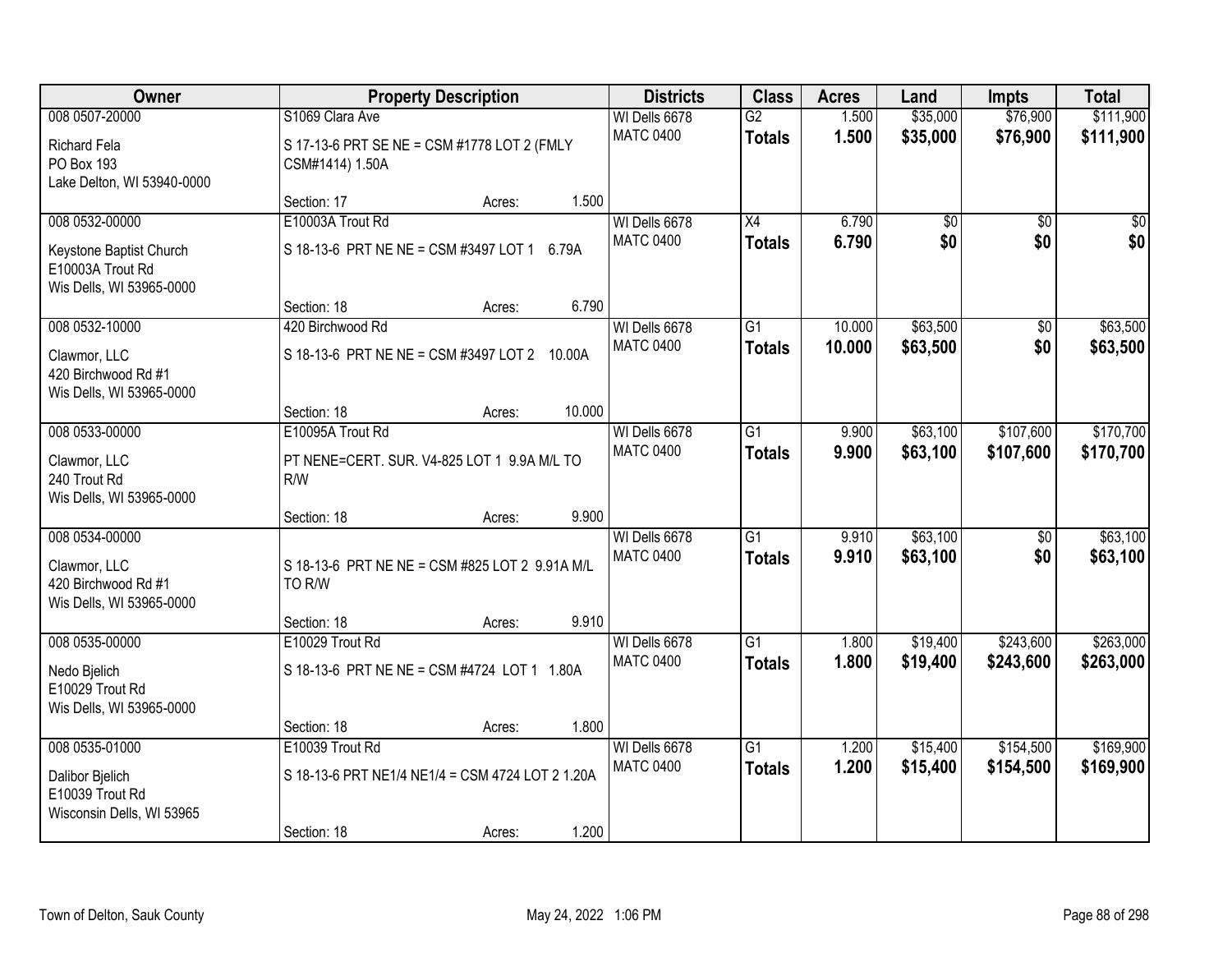| Owner                                                                                     |                                                           | <b>Property Description</b>                                | <b>Districts</b>                           | <b>Class</b>                     | <b>Acres</b>   | Land                 | <b>Impts</b>           | <b>Total</b>           |
|-------------------------------------------------------------------------------------------|-----------------------------------------------------------|------------------------------------------------------------|--------------------------------------------|----------------------------------|----------------|----------------------|------------------------|------------------------|
| 008 0507-20000<br><b>Richard Fela</b><br>PO Box 193<br>Lake Delton, WI 53940-0000         | S1069 Clara Ave<br>CSM#1414) 1.50A                        | S 17-13-6 PRT SE NE = CSM #1778 LOT 2 (FMLY                | WI Dells 6678<br><b>MATC 0400</b>          | $\overline{G2}$<br><b>Totals</b> | 1.500<br>1.500 | \$35,000<br>\$35,000 | \$76,900<br>\$76,900   | \$111,900<br>\$111,900 |
|                                                                                           | Section: 17                                               | Acres:                                                     | 1.500                                      |                                  |                |                      |                        |                        |
| 008 0532-00000<br>Keystone Baptist Church<br>E10003A Trout Rd<br>Wis Dells, WI 53965-0000 | E10003A Trout Rd<br>S 18-13-6 PRT NE NE = CSM #3497 LOT 1 | 6.79A                                                      | WI Dells 6678<br><b>MATC 0400</b>          | $\overline{X4}$<br><b>Totals</b> | 6.790<br>6.790 | \$0<br>\$0           | $\overline{50}$<br>\$0 | \$0<br>\$0             |
| 008 0532-10000                                                                            | Section: 18<br>420 Birchwood Rd                           | Acres:                                                     | 6.790<br>WI Dells 6678                     | $\overline{G1}$                  | 10.000         | \$63,500             | \$0                    | \$63,500               |
| Clawmor, LLC<br>420 Birchwood Rd #1<br>Wis Dells, WI 53965-0000                           |                                                           | S 18-13-6 PRT NE NE = CSM #3497 LOT 2 10.00A               | <b>MATC 0400</b>                           | <b>Totals</b>                    | 10.000         | \$63,500             | \$0                    | \$63,500               |
|                                                                                           | Section: 18                                               | Acres:                                                     | 10.000                                     |                                  |                |                      |                        |                        |
| 008 0533-00000<br>Clawmor, LLC<br>240 Trout Rd<br>Wis Dells, WI 53965-0000                | E10095A Trout Rd<br>R/W                                   | PT NENE=CERT. SUR. V4-825 LOT 1 9.9A M/L TO                | WI Dells 6678<br><b>MATC 0400</b>          | $\overline{G1}$<br><b>Totals</b> | 9.900<br>9.900 | \$63,100<br>\$63,100 | \$107,600<br>\$107,600 | \$170,700<br>\$170,700 |
|                                                                                           | Section: 18                                               | Acres:                                                     | 9.900                                      |                                  |                |                      |                        |                        |
| 008 0534-00000<br>Clawmor, LLC<br>420 Birchwood Rd #1<br>Wis Dells, WI 53965-0000         | TO R/W                                                    | S 18-13-6 PRT NE NE = CSM #825 LOT 2 9.91A M/L             | WI Dells 6678<br><b>MATC 0400</b>          | $\overline{G1}$<br><b>Totals</b> | 9.910<br>9.910 | \$63,100<br>\$63,100 | $\overline{50}$<br>\$0 | \$63,100<br>\$63,100   |
| 008 0535-00000                                                                            | Section: 18<br>E10029 Trout Rd                            | Acres:                                                     | 9.910<br>WI Dells 6678                     | $\overline{G1}$                  | 1.800          | \$19,400             | \$243,600              | \$263,000              |
| Nedo Bjelich<br>E10029 Trout Rd<br>Wis Dells, WI 53965-0000                               |                                                           | S 18-13-6 PRT NE NE = CSM #4724 LOT 1 1.80A                | <b>MATC 0400</b>                           | <b>Totals</b>                    | 1.800          | \$19,400             | \$243,600              | \$263,000              |
|                                                                                           | Section: 18                                               | Acres:                                                     | 1.800                                      |                                  |                |                      |                        |                        |
| 008 0535-01000<br>Dalibor Bjelich<br>E10039 Trout Rd<br>Wisconsin Dells, WI 53965         | E10039 Trout Rd<br>Section: 18                            | S 18-13-6 PRT NE1/4 NE1/4 = CSM 4724 LOT 2 1.20A<br>Acres: | WI Dells 6678<br><b>MATC 0400</b><br>1.200 | $\overline{G1}$<br><b>Totals</b> | 1.200<br>1.200 | \$15,400<br>\$15,400 | \$154,500<br>\$154,500 | \$169,900<br>\$169,900 |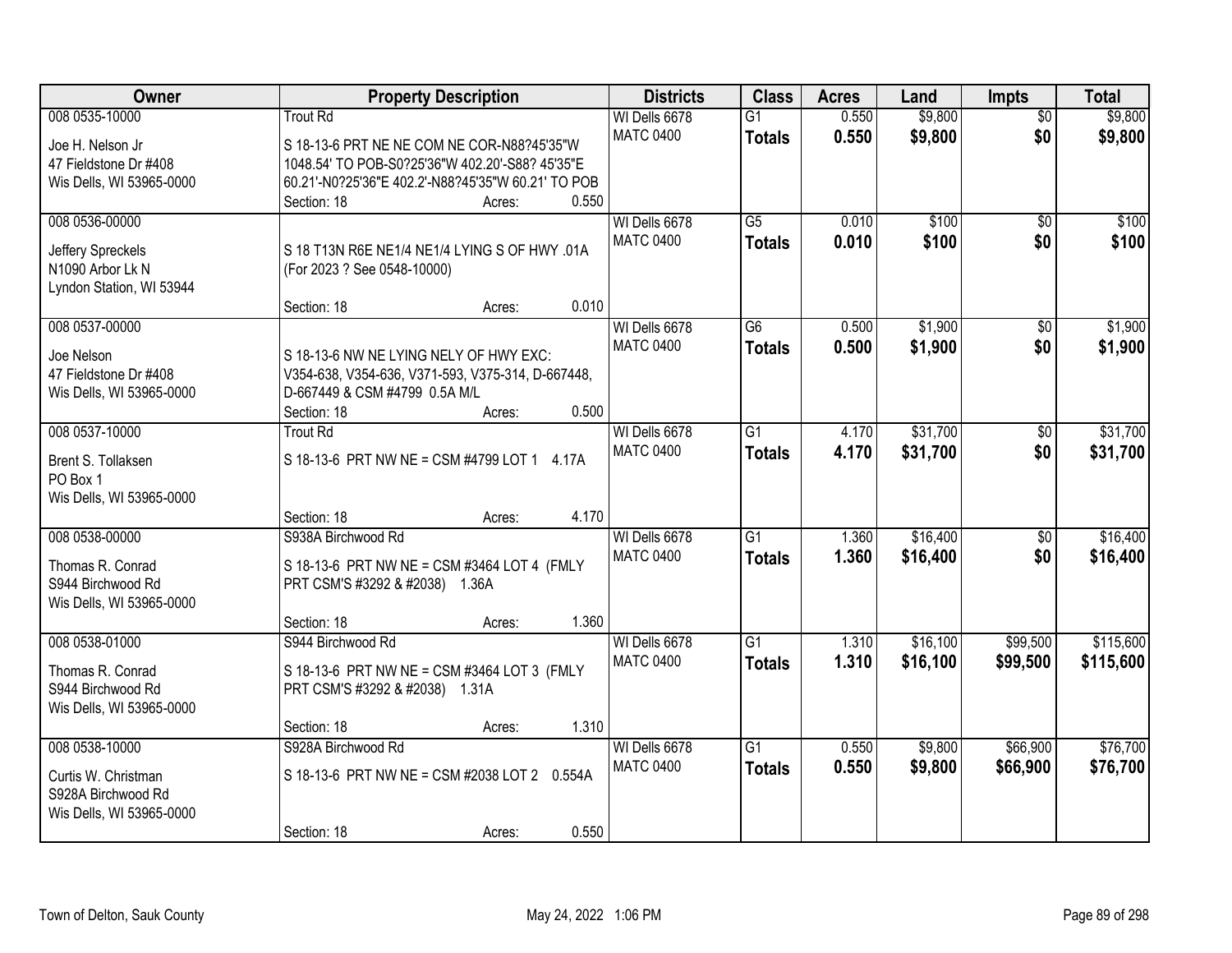| Owner                                 | <b>Property Description</b>                        | <b>Districts</b> | <b>Class</b>    | <b>Acres</b> | Land     | <b>Impts</b>    | <b>Total</b> |
|---------------------------------------|----------------------------------------------------|------------------|-----------------|--------------|----------|-----------------|--------------|
| 008 0535-10000                        | <b>Trout Rd</b>                                    | WI Dells 6678    | $\overline{G1}$ | 0.550        | \$9,800  | $\overline{30}$ | \$9,800      |
| Joe H. Nelson Jr                      | S 18-13-6 PRT NE NE COM NE COR-N88?45'35"W         | <b>MATC 0400</b> | <b>Totals</b>   | 0.550        | \$9,800  | \$0             | \$9,800      |
| 47 Fieldstone Dr #408                 | 1048.54' TO POB-S0?25'36"W 402.20'-S88? 45'35"E    |                  |                 |              |          |                 |              |
| Wis Dells, WI 53965-0000              | 60.21'-N0?25'36"E 402.2'-N88?45'35"W 60.21' TO POB |                  |                 |              |          |                 |              |
|                                       | 0.550<br>Section: 18<br>Acres:                     |                  |                 |              |          |                 |              |
| 008 0536-00000                        |                                                    | WI Dells 6678    | $\overline{G5}$ | 0.010        | \$100    | $\overline{50}$ | \$100        |
|                                       |                                                    | <b>MATC 0400</b> | <b>Totals</b>   | 0.010        | \$100    | \$0             | \$100        |
| Jeffery Spreckels<br>N1090 Arbor Lk N | S 18 T13N R6E NE1/4 NE1/4 LYING S OF HWY .01A      |                  |                 |              |          |                 |              |
| Lyndon Station, WI 53944              | (For 2023 ? See 0548-10000)                        |                  |                 |              |          |                 |              |
|                                       | 0.010<br>Section: 18<br>Acres:                     |                  |                 |              |          |                 |              |
| 008 0537-00000                        |                                                    | WI Dells 6678    | G6              | 0.500        | \$1,900  | $\sqrt{6}$      | \$1,900      |
|                                       |                                                    | <b>MATC 0400</b> | <b>Totals</b>   | 0.500        | \$1,900  | \$0             | \$1,900      |
| Joe Nelson                            | S 18-13-6 NW NE LYING NELY OF HWY EXC:             |                  |                 |              |          |                 |              |
| 47 Fieldstone Dr #408                 | V354-638, V354-636, V371-593, V375-314, D-667448,  |                  |                 |              |          |                 |              |
| Wis Dells, WI 53965-0000              | D-667449 & CSM #4799 0.5A M/L                      |                  |                 |              |          |                 |              |
|                                       | Section: 18<br>0.500<br>Acres:                     |                  |                 |              |          |                 |              |
| 008 0537-10000                        | <b>Trout Rd</b>                                    | WI Dells 6678    | G1              | 4.170        | \$31,700 | \$0             | \$31,700     |
| Brent S. Tollaksen                    | S 18-13-6 PRT NW NE = CSM #4799 LOT 1 4.17A        | <b>MATC 0400</b> | <b>Totals</b>   | 4.170        | \$31,700 | \$0             | \$31,700     |
| PO Box 1                              |                                                    |                  |                 |              |          |                 |              |
| Wis Dells, WI 53965-0000              |                                                    |                  |                 |              |          |                 |              |
|                                       | 4.170<br>Section: 18<br>Acres:                     |                  |                 |              |          |                 |              |
| 008 0538-00000                        | S938A Birchwood Rd                                 | WI Dells 6678    | $\overline{G1}$ | 1.360        | \$16,400 | \$0             | \$16,400     |
| Thomas R. Conrad                      | S 18-13-6 PRT NW NE = CSM #3464 LOT 4 (FMLY        | <b>MATC 0400</b> | <b>Totals</b>   | 1.360        | \$16,400 | \$0             | \$16,400     |
| S944 Birchwood Rd                     | PRT CSM'S #3292 & #2038) 1.36A                     |                  |                 |              |          |                 |              |
| Wis Dells, WI 53965-0000              |                                                    |                  |                 |              |          |                 |              |
|                                       | 1.360<br>Section: 18<br>Acres:                     |                  |                 |              |          |                 |              |
| 008 0538-01000                        | S944 Birchwood Rd                                  | WI Dells 6678    | $\overline{G1}$ | 1.310        | \$16,100 | \$99,500        | \$115,600    |
|                                       |                                                    | <b>MATC 0400</b> | <b>Totals</b>   | 1.310        | \$16,100 | \$99,500        | \$115,600    |
| Thomas R. Conrad                      | S 18-13-6 PRT NW NE = CSM #3464 LOT 3 (FMLY        |                  |                 |              |          |                 |              |
| S944 Birchwood Rd                     | PRT CSM'S #3292 & #2038) 1.31A                     |                  |                 |              |          |                 |              |
| Wis Dells, WI 53965-0000              |                                                    |                  |                 |              |          |                 |              |
|                                       | 1.310<br>Section: 18<br>Acres:                     |                  |                 |              |          |                 |              |
| 008 0538-10000                        | S928A Birchwood Rd                                 | WI Dells 6678    | G1              | 0.550        | \$9,800  | \$66,900        | \$76,700     |
| Curtis W. Christman                   | S 18-13-6 PRT NW NE = CSM #2038 LOT 2 0.554A       | <b>MATC 0400</b> | <b>Totals</b>   | 0.550        | \$9,800  | \$66,900        | \$76,700     |
| S928A Birchwood Rd                    |                                                    |                  |                 |              |          |                 |              |
| Wis Dells, WI 53965-0000              |                                                    |                  |                 |              |          |                 |              |
|                                       | 0.550<br>Section: 18<br>Acres:                     |                  |                 |              |          |                 |              |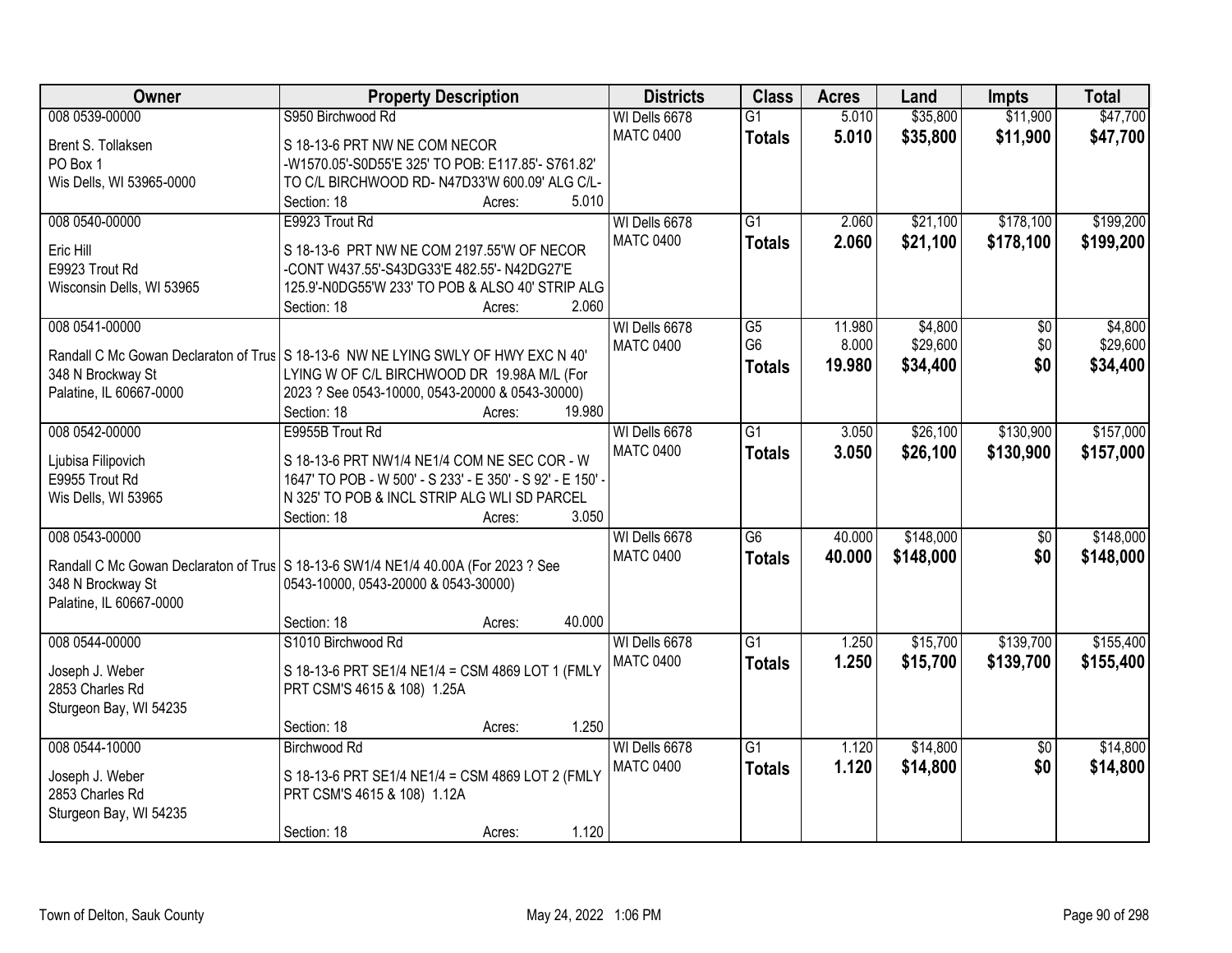| Owner                     | <b>Property Description</b>                                                          | <b>Districts</b> | <b>Class</b>    | <b>Acres</b> | Land      | <b>Impts</b>    | <b>Total</b> |
|---------------------------|--------------------------------------------------------------------------------------|------------------|-----------------|--------------|-----------|-----------------|--------------|
| 008 0539-00000            | S950 Birchwood Rd                                                                    | WI Dells 6678    | $\overline{G1}$ | 5.010        | \$35,800  | \$11,900        | \$47,700     |
| Brent S. Tollaksen        | S 18-13-6 PRT NW NE COM NECOR                                                        | <b>MATC 0400</b> | <b>Totals</b>   | 5.010        | \$35,800  | \$11,900        | \$47,700     |
| PO Box 1                  | -W1570.05'-S0D55'E 325' TO POB: E117.85'- S761.82'                                   |                  |                 |              |           |                 |              |
| Wis Dells, WI 53965-0000  | TO C/L BIRCHWOOD RD- N47D33'W 600.09' ALG C/L-                                       |                  |                 |              |           |                 |              |
|                           | Section: 18<br>5.010<br>Acres:                                                       |                  |                 |              |           |                 |              |
| 008 0540-00000            | E9923 Trout Rd                                                                       | WI Dells 6678    | $\overline{G1}$ | 2.060        | \$21,100  | \$178,100       | \$199,200    |
| Eric Hill                 | S 18-13-6 PRT NW NE COM 2197.55'W OF NECOR                                           | <b>MATC 0400</b> | <b>Totals</b>   | 2.060        | \$21,100  | \$178,100       | \$199,200    |
| E9923 Trout Rd            | -CONT W437.55'-S43DG33'E 482.55'- N42DG27'E                                          |                  |                 |              |           |                 |              |
| Wisconsin Dells, WI 53965 | 125.9'-N0DG55'W 233' TO POB & ALSO 40' STRIP ALG                                     |                  |                 |              |           |                 |              |
|                           | 2.060<br>Section: 18<br>Acres:                                                       |                  |                 |              |           |                 |              |
| 008 0541-00000            |                                                                                      | WI Dells 6678    | $\overline{G5}$ | 11.980       | \$4,800   | $\overline{50}$ | \$4,800      |
|                           |                                                                                      | <b>MATC 0400</b> | G <sub>6</sub>  | 8.000        | \$29,600  | \$0             | \$29,600     |
|                           | Randall C Mc Gowan Declaraton of Trus S 18-13-6 NW NE LYING SWLY OF HWY EXC N 40'    |                  | <b>Totals</b>   | 19,980       | \$34,400  | \$0             | \$34,400     |
| 348 N Brockway St         | LYING W OF C/L BIRCHWOOD DR 19.98A M/L (For                                          |                  |                 |              |           |                 |              |
| Palatine, IL 60667-0000   | 2023 ? See 0543-10000, 0543-20000 & 0543-30000)                                      |                  |                 |              |           |                 |              |
|                           | 19.980<br>Section: 18<br>Acres:                                                      |                  |                 |              |           |                 |              |
| 008 0542-00000            | E9955B Trout Rd                                                                      | WI Dells 6678    | $\overline{G1}$ | 3.050        | \$26,100  | \$130,900       | \$157,000    |
| Ljubisa Filipovich        | S 18-13-6 PRT NW1/4 NE1/4 COM NE SEC COR - W                                         | <b>MATC 0400</b> | <b>Totals</b>   | 3.050        | \$26,100  | \$130,900       | \$157,000    |
| E9955 Trout Rd            | 1647' TO POB - W 500' - S 233' - E 350' - S 92' - E 150' -                           |                  |                 |              |           |                 |              |
| Wis Dells, WI 53965       | N 325' TO POB & INCL STRIP ALG WLI SD PARCEL                                         |                  |                 |              |           |                 |              |
|                           | 3.050<br>Section: 18<br>Acres:                                                       |                  |                 |              |           |                 |              |
| 008 0543-00000            |                                                                                      | WI Dells 6678    | $\overline{G6}$ | 40.000       | \$148,000 | $\overline{50}$ | \$148,000    |
|                           | Randall C Mc Gowan Declaraton of Trus   S 18-13-6 SW1/4 NE1/4 40.00A (For 2023 ? See | <b>MATC 0400</b> | <b>Totals</b>   | 40.000       | \$148,000 | \$0             | \$148,000    |
| 348 N Brockway St         | 0543-10000, 0543-20000 & 0543-30000)                                                 |                  |                 |              |           |                 |              |
| Palatine, IL 60667-0000   |                                                                                      |                  |                 |              |           |                 |              |
|                           | 40.000<br>Section: 18<br>Acres:                                                      |                  |                 |              |           |                 |              |
| 008 0544-00000            | S1010 Birchwood Rd                                                                   | WI Dells 6678    | $\overline{G1}$ | 1.250        | \$15,700  | \$139,700       | \$155,400    |
| Joseph J. Weber           | S 18-13-6 PRT SE1/4 NE1/4 = CSM 4869 LOT 1 (FMLY                                     | <b>MATC 0400</b> | <b>Totals</b>   | 1.250        | \$15,700  | \$139,700       | \$155,400    |
| 2853 Charles Rd           | PRT CSM'S 4615 & 108) 1.25A                                                          |                  |                 |              |           |                 |              |
| Sturgeon Bay, WI 54235    |                                                                                      |                  |                 |              |           |                 |              |
|                           | 1.250<br>Section: 18<br>Acres:                                                       |                  |                 |              |           |                 |              |
| 008 0544-10000            | <b>Birchwood Rd</b>                                                                  | WI Dells 6678    | $\overline{G1}$ | 1.120        | \$14,800  | $\overline{50}$ | \$14,800     |
|                           |                                                                                      | <b>MATC 0400</b> | <b>Totals</b>   | 1.120        | \$14,800  | \$0             | \$14,800     |
| Joseph J. Weber           | S 18-13-6 PRT SE1/4 NE1/4 = CSM 4869 LOT 2 (FMLY                                     |                  |                 |              |           |                 |              |
| 2853 Charles Rd           | PRT CSM'S 4615 & 108) 1.12A                                                          |                  |                 |              |           |                 |              |
| Sturgeon Bay, WI 54235    |                                                                                      |                  |                 |              |           |                 |              |
|                           | 1.120<br>Section: 18<br>Acres:                                                       |                  |                 |              |           |                 |              |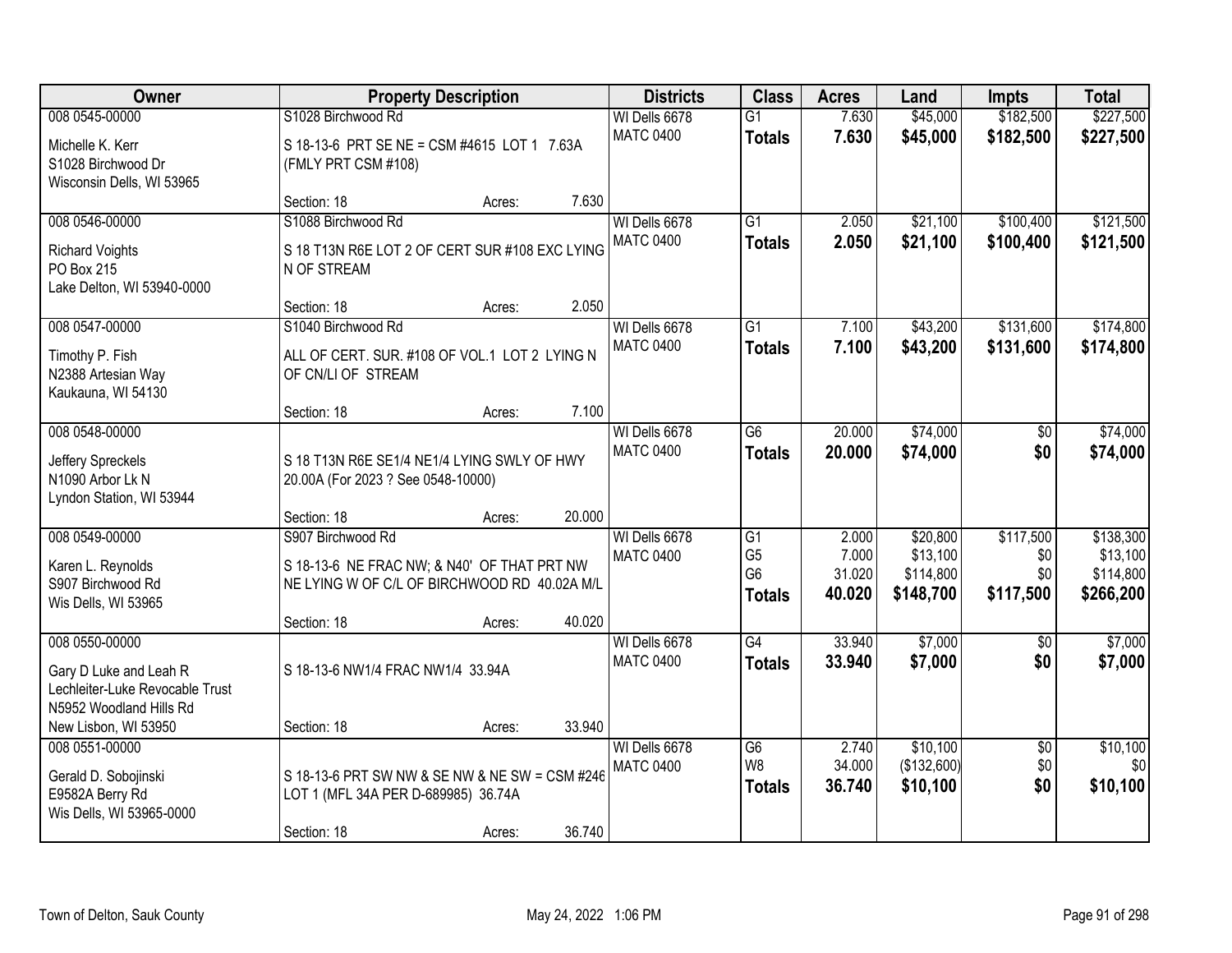| Owner                                                                                                                          | <b>Property Description</b>                                                                                                               |        | <b>Districts</b>                  | <b>Class</b>                                                         | <b>Acres</b>                       | Land                                           | <b>Impts</b>                         | <b>Total</b>                                    |
|--------------------------------------------------------------------------------------------------------------------------------|-------------------------------------------------------------------------------------------------------------------------------------------|--------|-----------------------------------|----------------------------------------------------------------------|------------------------------------|------------------------------------------------|--------------------------------------|-------------------------------------------------|
| 008 0545-00000                                                                                                                 | S1028 Birchwood Rd                                                                                                                        |        | WI Dells 6678                     | $\overline{G1}$                                                      | 7.630                              | \$45,000                                       | \$182,500                            | \$227,500                                       |
| Michelle K. Kerr<br>S1028 Birchwood Dr<br>Wisconsin Dells, WI 53965                                                            | S 18-13-6 PRT SE NE = CSM #4615 LOT 1 7.63A<br>(FMLY PRT CSM #108)                                                                        |        | <b>MATC 0400</b>                  | <b>Totals</b>                                                        | 7.630                              | \$45,000                                       | \$182,500                            | \$227,500                                       |
|                                                                                                                                | Section: 18<br>Acres:                                                                                                                     | 7.630  |                                   |                                                                      |                                    |                                                |                                      |                                                 |
| 008 0546-00000<br><b>Richard Voights</b><br>PO Box 215<br>Lake Delton, WI 53940-0000                                           | S1088 Birchwood Rd<br>S 18 T13N R6E LOT 2 OF CERT SUR #108 EXC LYING<br>N OF STREAM                                                       |        | WI Dells 6678<br><b>MATC 0400</b> | $\overline{G1}$<br><b>Totals</b>                                     | 2.050<br>2.050                     | \$21,100<br>\$21,100                           | \$100,400<br>\$100,400               | \$121,500<br>\$121,500                          |
|                                                                                                                                | Section: 18<br>Acres:                                                                                                                     | 2.050  |                                   |                                                                      |                                    |                                                |                                      |                                                 |
| 008 0547-00000<br>Timothy P. Fish<br>N2388 Artesian Way<br>Kaukauna, WI 54130                                                  | S1040 Birchwood Rd<br>ALL OF CERT. SUR. #108 OF VOL.1 LOT 2 LYING N<br>OF CN/LI OF STREAM                                                 |        | WI Dells 6678<br><b>MATC 0400</b> | G1<br><b>Totals</b>                                                  | 7.100<br>7.100                     | \$43,200<br>\$43,200                           | \$131,600<br>\$131,600               | \$174,800<br>\$174,800                          |
|                                                                                                                                | Section: 18<br>Acres:                                                                                                                     | 7.100  |                                   |                                                                      |                                    |                                                |                                      |                                                 |
| 008 0548-00000<br>Jeffery Spreckels<br>N1090 Arbor Lk N<br>Lyndon Station, WI 53944                                            | S 18 T13N R6E SE1/4 NE1/4 LYING SWLY OF HWY<br>20.00A (For 2023 ? See 0548-10000)                                                         |        | WI Dells 6678<br><b>MATC 0400</b> | G <sub>6</sub><br><b>Totals</b>                                      | 20.000<br>20.000                   | \$74,000<br>\$74,000                           | \$0<br>\$0                           | \$74,000<br>\$74,000                            |
|                                                                                                                                | Section: 18<br>Acres:                                                                                                                     | 20.000 |                                   |                                                                      |                                    |                                                |                                      |                                                 |
| 008 0549-00000<br>Karen L. Reynolds<br>S907 Birchwood Rd<br>Wis Dells, WI 53965                                                | S907 Birchwood Rd<br>S 18-13-6 NE FRAC NW; & N40' OF THAT PRT NW<br>NE LYING W OF C/L OF BIRCHWOOD RD 40.02A M/L<br>Section: 18<br>Acres: | 40.020 | WI Dells 6678<br><b>MATC 0400</b> | $\overline{G1}$<br>G <sub>5</sub><br>G <sub>6</sub><br><b>Totals</b> | 2.000<br>7.000<br>31.020<br>40.020 | \$20,800<br>\$13,100<br>\$114,800<br>\$148,700 | \$117,500<br>\$0<br>\$0<br>\$117,500 | \$138,300<br>\$13,100<br>\$114,800<br>\$266,200 |
| 008 0550-00000<br>Gary D Luke and Leah R<br>Lechleiter-Luke Revocable Trust<br>N5952 Woodland Hills Rd<br>New Lisbon, WI 53950 | S 18-13-6 NW1/4 FRAC NW1/4 33.94A<br>Section: 18                                                                                          | 33.940 | WI Dells 6678<br><b>MATC 0400</b> | G4<br><b>Totals</b>                                                  | 33.940<br>33.940                   | \$7,000<br>\$7,000                             | $\sqrt{6}$<br>\$0                    | \$7,000<br>\$7,000                              |
| 008 0551-00000                                                                                                                 | Acres:                                                                                                                                    |        | WI Dells 6678                     | $\overline{G6}$                                                      | 2.740                              | \$10,100                                       | $\overline{50}$                      | \$10,100                                        |
| Gerald D. Sobojinski<br>E9582A Berry Rd<br>Wis Dells, WI 53965-0000                                                            | S 18-13-6 PRT SW NW & SE NW & NE SW = CSM #246<br>LOT 1 (MFL 34A PER D-689985) 36.74A<br>Section: 18<br>Acres:                            | 36.740 | <b>MATC 0400</b>                  | W <sub>8</sub><br><b>Totals</b>                                      | 34.000<br>36.740                   | (\$132,600)<br>\$10,100                        | \$0<br>\$0                           | \$0<br>\$10,100                                 |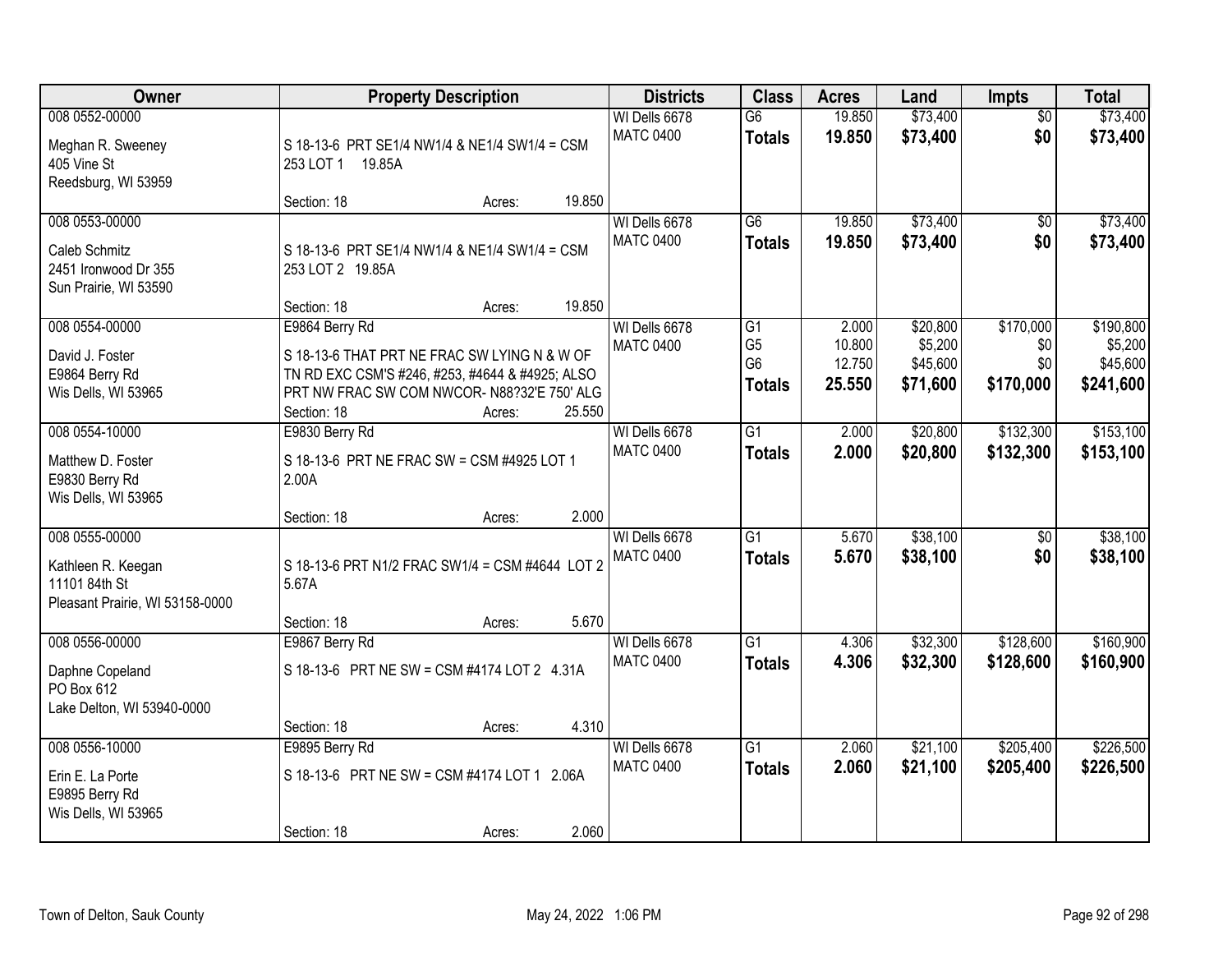| Owner                                                                                    | <b>Property Description</b>                                                                                                                                                              |        | <b>Districts</b>                  | <b>Class</b>                                            | <b>Acres</b>                        | Land                                        | Impts                                | <b>Total</b>                                  |
|------------------------------------------------------------------------------------------|------------------------------------------------------------------------------------------------------------------------------------------------------------------------------------------|--------|-----------------------------------|---------------------------------------------------------|-------------------------------------|---------------------------------------------|--------------------------------------|-----------------------------------------------|
| 008 0552-00000<br>Meghan R. Sweeney<br>405 Vine St<br>Reedsburg, WI 53959                | S 18-13-6 PRT SE1/4 NW1/4 & NE1/4 SW1/4 = CSM<br>253 LOT 1 19.85A                                                                                                                        |        | WI Dells 6678<br><b>MATC 0400</b> | $\overline{G6}$<br><b>Totals</b>                        | 19.850<br>19.850                    | \$73,400<br>\$73,400                        | $\overline{50}$<br>\$0               | \$73,400<br>\$73,400                          |
|                                                                                          | Section: 18<br>Acres:                                                                                                                                                                    | 19.850 |                                   |                                                         |                                     |                                             |                                      |                                               |
| 008 0553-00000<br><b>Caleb Schmitz</b><br>2451 Ironwood Dr 355<br>Sun Prairie, WI 53590  | S 18-13-6 PRT SE1/4 NW1/4 & NE1/4 SW1/4 = CSM<br>253 LOT 2 19.85A                                                                                                                        |        | WI Dells 6678<br><b>MATC 0400</b> | $\overline{G6}$<br><b>Totals</b>                        | 19.850<br>19.850                    | \$73,400<br>\$73,400                        | $\overline{50}$<br>\$0               | \$73,400<br>\$73,400                          |
|                                                                                          | Section: 18<br>Acres:                                                                                                                                                                    | 19.850 |                                   |                                                         |                                     |                                             |                                      |                                               |
| 008 0554-00000<br>David J. Foster<br>E9864 Berry Rd<br>Wis Dells, WI 53965               | E9864 Berry Rd<br>S 18-13-6 THAT PRT NE FRAC SW LYING N & W OF<br>TN RD EXC CSM'S #246, #253, #4644 & #4925; ALSO<br>PRT NW FRAC SW COM NWCOR-N88?32'E 750' ALG<br>Section: 18<br>Acres: | 25.550 | WI Dells 6678<br><b>MATC 0400</b> | G1<br>G <sub>5</sub><br>G <sub>6</sub><br><b>Totals</b> | 2.000<br>10.800<br>12.750<br>25.550 | \$20,800<br>\$5,200<br>\$45,600<br>\$71,600 | \$170,000<br>\$0<br>\$0<br>\$170,000 | \$190,800<br>\$5,200<br>\$45,600<br>\$241,600 |
| 008 0554-10000                                                                           | E9830 Berry Rd                                                                                                                                                                           |        | WI Dells 6678                     | G1                                                      | 2.000                               | \$20,800                                    | \$132,300                            | \$153,100                                     |
| Matthew D. Foster<br>E9830 Berry Rd<br>Wis Dells, WI 53965                               | S 18-13-6 PRT NE FRAC SW = CSM #4925 LOT 1<br>2.00A                                                                                                                                      |        | <b>MATC 0400</b>                  | <b>Totals</b>                                           | 2.000                               | \$20,800                                    | \$132,300                            | \$153,100                                     |
|                                                                                          | Section: 18<br>Acres:                                                                                                                                                                    | 2.000  |                                   |                                                         |                                     |                                             |                                      |                                               |
| 008 0555-00000<br>Kathleen R. Keegan<br>11101 84th St<br>Pleasant Prairie, WI 53158-0000 | S 18-13-6 PRT N1/2 FRAC SW1/4 = CSM #4644 LOT 2<br>5.67A<br>Section: 18<br>Acres:                                                                                                        | 5.670  | WI Dells 6678<br><b>MATC 0400</b> | $\overline{G1}$<br><b>Totals</b>                        | 5.670<br>5.670                      | \$38,100<br>\$38,100                        | $\overline{50}$<br>\$0               | \$38,100<br>\$38,100                          |
| 008 0556-00000                                                                           | E9867 Berry Rd                                                                                                                                                                           |        | WI Dells 6678                     | $\overline{G1}$                                         | 4.306                               | \$32,300                                    | \$128,600                            | \$160,900                                     |
| Daphne Copeland<br>PO Box 612<br>Lake Delton, WI 53940-0000                              | S 18-13-6 PRT NE SW = CSM #4174 LOT 2 4.31A                                                                                                                                              |        | <b>MATC 0400</b>                  | <b>Totals</b>                                           | 4.306                               | \$32,300                                    | \$128,600                            | \$160,900                                     |
|                                                                                          | Section: 18<br>Acres:                                                                                                                                                                    | 4.310  |                                   |                                                         |                                     |                                             |                                      |                                               |
| 008 0556-10000<br>Erin E. La Porte<br>E9895 Berry Rd<br>Wis Dells, WI 53965              | E9895 Berry Rd<br>S 18-13-6 PRT NE SW = CSM #4174 LOT 1 2.06A<br>Section: 18<br>Acres:                                                                                                   | 2.060  | WI Dells 6678<br><b>MATC 0400</b> | $\overline{G1}$<br><b>Totals</b>                        | 2.060<br>2.060                      | \$21,100<br>\$21,100                        | \$205,400<br>\$205,400               | \$226,500<br>\$226,500                        |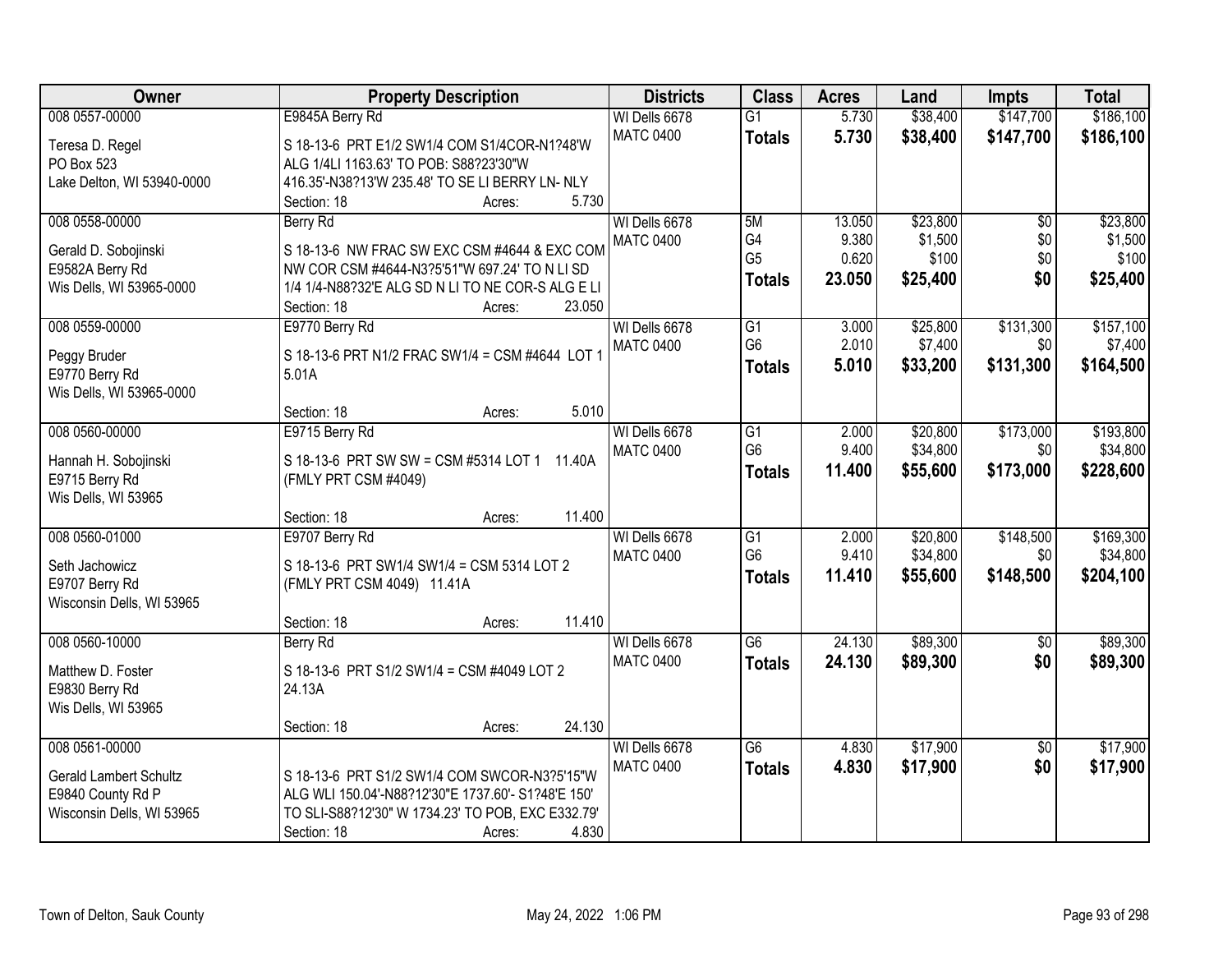| Owner                                       | <b>Property Description</b>                                                                             | <b>Districts</b> | <b>Class</b>    | <b>Acres</b> | Land     | <b>Impts</b>    | <b>Total</b> |
|---------------------------------------------|---------------------------------------------------------------------------------------------------------|------------------|-----------------|--------------|----------|-----------------|--------------|
| 008 0557-00000                              | E9845A Berry Rd                                                                                         | WI Dells 6678    | $\overline{G1}$ | 5.730        | \$38,400 | \$147,700       | \$186,100    |
| Teresa D. Regel                             | S 18-13-6 PRT E1/2 SW1/4 COM S1/4COR-N1?48'W                                                            | <b>MATC 0400</b> | <b>Totals</b>   | 5.730        | \$38,400 | \$147,700       | \$186,100    |
| PO Box 523                                  | ALG 1/4LI 1163.63' TO POB: S88?23'30"W                                                                  |                  |                 |              |          |                 |              |
| Lake Delton, WI 53940-0000                  | 416.35'-N38?13'W 235.48' TO SE LI BERRY LN- NLY                                                         |                  |                 |              |          |                 |              |
|                                             | 5.730<br>Section: 18<br>Acres:                                                                          |                  |                 |              |          |                 |              |
| 008 0558-00000                              | Berry Rd                                                                                                | WI Dells 6678    | 5M              | 13.050       | \$23,800 | $\overline{50}$ | \$23,800     |
|                                             |                                                                                                         | <b>MATC 0400</b> | G4              | 9.380        | \$1,500  | \$0             | \$1,500      |
| Gerald D. Sobojinski                        | S 18-13-6 NW FRAC SW EXC CSM #4644 & EXC COM<br>NW COR CSM #4644-N3?5'51"W 697.24' TO N LI SD           |                  | G <sub>5</sub>  | 0.620        | \$100    | \$0             | \$100        |
| E9582A Berry Rd<br>Wis Dells, WI 53965-0000 | 1/4 1/4-N88?32'E ALG SD N LI TO NE COR-S ALG E LI                                                       |                  | <b>Totals</b>   | 23.050       | \$25,400 | \$0             | \$25,400     |
|                                             | 23.050<br>Section: 18<br>Acres:                                                                         |                  |                 |              |          |                 |              |
| 008 0559-00000                              | E9770 Berry Rd                                                                                          | WI Dells 6678    | $\overline{G1}$ | 3.000        | \$25,800 | \$131,300       | \$157,100    |
|                                             |                                                                                                         | <b>MATC 0400</b> | G <sub>6</sub>  | 2.010        | \$7,400  | \$0             | \$7,400      |
| Peggy Bruder                                | S 18-13-6 PRT N1/2 FRAC SW1/4 = CSM #4644 LOT 1                                                         |                  | <b>Totals</b>   | 5.010        | \$33,200 | \$131,300       | \$164,500    |
| E9770 Berry Rd                              | 5.01A                                                                                                   |                  |                 |              |          |                 |              |
| Wis Dells, WI 53965-0000                    |                                                                                                         |                  |                 |              |          |                 |              |
|                                             | 5.010<br>Section: 18<br>Acres:                                                                          |                  |                 |              |          |                 |              |
| 008 0560-00000                              | E9715 Berry Rd                                                                                          | WI Dells 6678    | $\overline{G1}$ | 2.000        | \$20,800 | \$173,000       | \$193,800    |
| Hannah H. Sobojinski                        | S 18-13-6 PRT SW SW = CSM #5314 LOT 1 11.40A                                                            | <b>MATC 0400</b> | G <sub>6</sub>  | 9.400        | \$34,800 | \$0             | \$34,800     |
| E9715 Berry Rd                              | (FMLY PRT CSM #4049)                                                                                    |                  | <b>Totals</b>   | 11.400       | \$55,600 | \$173,000       | \$228,600    |
| Wis Dells, WI 53965                         |                                                                                                         |                  |                 |              |          |                 |              |
|                                             | 11.400<br>Section: 18<br>Acres:                                                                         |                  |                 |              |          |                 |              |
| 008 0560-01000                              | E9707 Berry Rd                                                                                          | WI Dells 6678    | $\overline{G1}$ | 2.000        | \$20,800 | \$148,500       | \$169,300    |
| Seth Jachowicz                              | S 18-13-6 PRT SW1/4 SW1/4 = CSM 5314 LOT 2                                                              | <b>MATC 0400</b> | G <sub>6</sub>  | 9.410        | \$34,800 | \$0             | \$34,800     |
| E9707 Berry Rd                              | (FMLY PRT CSM 4049) 11.41A                                                                              |                  | <b>Totals</b>   | 11.410       | \$55,600 | \$148,500       | \$204,100    |
| Wisconsin Dells, WI 53965                   |                                                                                                         |                  |                 |              |          |                 |              |
|                                             | 11.410<br>Section: 18<br>Acres:                                                                         |                  |                 |              |          |                 |              |
| 008 0560-10000                              | Berry Rd                                                                                                | WI Dells 6678    | $\overline{G6}$ | 24.130       | \$89,300 | $\overline{50}$ | \$89,300     |
| Matthew D. Foster                           | S 18-13-6 PRT S1/2 SW1/4 = CSM #4049 LOT 2                                                              | <b>MATC 0400</b> | <b>Totals</b>   | 24.130       | \$89,300 | \$0             | \$89,300     |
| E9830 Berry Rd                              | 24.13A                                                                                                  |                  |                 |              |          |                 |              |
| Wis Dells, WI 53965                         |                                                                                                         |                  |                 |              |          |                 |              |
|                                             | 24.130<br>Section: 18<br>Acres:                                                                         |                  |                 |              |          |                 |              |
| 008 0561-00000                              |                                                                                                         | WI Dells 6678    | $\overline{G6}$ | 4.830        | \$17,900 | $\overline{50}$ | \$17,900     |
|                                             |                                                                                                         | <b>MATC 0400</b> | <b>Totals</b>   | 4.830        | \$17,900 | \$0             | \$17,900     |
| <b>Gerald Lambert Schultz</b>               | S 18-13-6 PRT S1/2 SW1/4 COM SWCOR-N3?5'15"W                                                            |                  |                 |              |          |                 |              |
| E9840 County Rd P                           | ALG WLI 150.04'-N88?12'30"E 1737.60'- S1?48'E 150'<br>TO SLI-S88?12'30" W 1734.23' TO POB, EXC E332.79' |                  |                 |              |          |                 |              |
| Wisconsin Dells, WI 53965                   | Section: 18<br>4.830                                                                                    |                  |                 |              |          |                 |              |
|                                             | Acres:                                                                                                  |                  |                 |              |          |                 |              |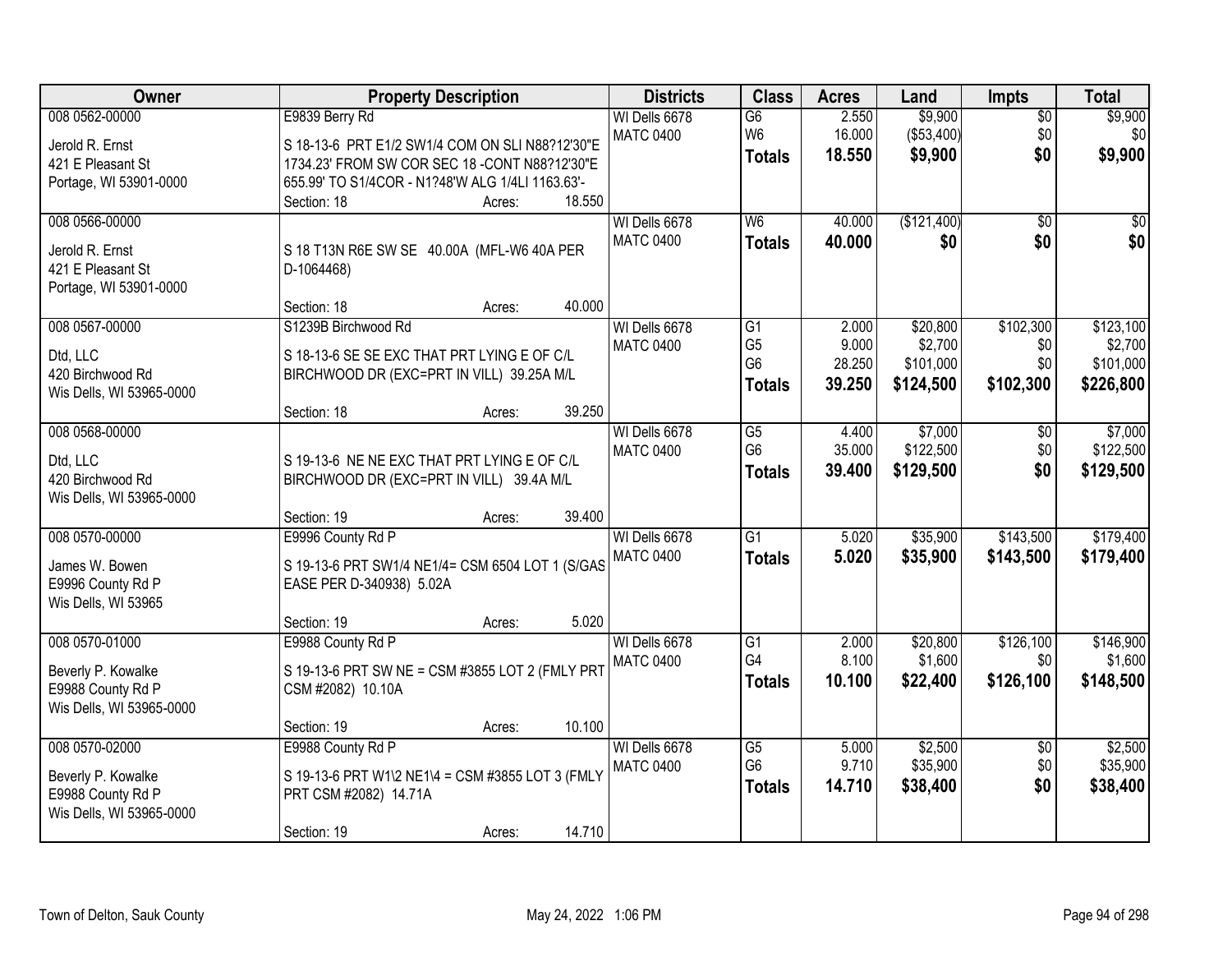| Owner                    | <b>Property Description</b>                      |                  | <b>Districts</b> | <b>Class</b>    | <b>Acres</b> | Land        | <b>Impts</b>    | <b>Total</b> |
|--------------------------|--------------------------------------------------|------------------|------------------|-----------------|--------------|-------------|-----------------|--------------|
| 008 0562-00000           | E9839 Berry Rd                                   |                  | WI Dells 6678    | $\overline{G6}$ | 2.550        | \$9,900     | $\overline{50}$ | \$9,900      |
| Jerold R. Ernst          | S 18-13-6 PRT E1/2 SW1/4 COM ON SLI N88?12'30"E  |                  | <b>MATC 0400</b> | W <sub>6</sub>  | 16.000       | (\$53,400)  | \$0             | \$0          |
| 421 E Pleasant St        | 1734.23' FROM SW COR SEC 18 - CONT N88?12'30"E   |                  |                  | <b>Totals</b>   | 18.550       | \$9,900     | \$0             | \$9,900      |
| Portage, WI 53901-0000   | 655.99' TO S1/4COR - N1?48'W ALG 1/4LI 1163.63'- |                  |                  |                 |              |             |                 |              |
|                          | Section: 18<br>Acres:                            | 18.550           |                  |                 |              |             |                 |              |
| 008 0566-00000           |                                                  |                  | WI Dells 6678    | W6              | 40.000       | (\$121,400) | $\overline{30}$ | $\sqrt{50}$  |
| Jerold R. Ernst          | S 18 T13N R6E SW SE 40.00A (MFL-W6 40A PER       |                  | <b>MATC 0400</b> | <b>Totals</b>   | 40.000       | \$0         | \$0             | \$0          |
| 421 E Pleasant St        | D-1064468)                                       |                  |                  |                 |              |             |                 |              |
| Portage, WI 53901-0000   |                                                  |                  |                  |                 |              |             |                 |              |
|                          | Section: 18                                      | 40.000<br>Acres: |                  |                 |              |             |                 |              |
| 008 0567-00000           | S1239B Birchwood Rd                              |                  | WI Dells 6678    | G1              | 2.000        | \$20,800    | \$102,300       | \$123,100    |
| Dtd, LLC                 | S 18-13-6 SE SE EXC THAT PRT LYING E OF C/L      |                  | <b>MATC 0400</b> | G <sub>5</sub>  | 9.000        | \$2,700     | \$0             | \$2,700      |
| 420 Birchwood Rd         | BIRCHWOOD DR (EXC=PRT IN VILL) 39.25A M/L        |                  |                  | G <sub>6</sub>  | 28.250       | \$101,000   | \$0             | \$101,000    |
| Wis Dells, WI 53965-0000 |                                                  |                  |                  | <b>Totals</b>   | 39.250       | \$124,500   | \$102,300       | \$226,800    |
|                          | Section: 18<br>Acres:                            | 39.250           |                  |                 |              |             |                 |              |
| 008 0568-00000           |                                                  |                  | WI Dells 6678    | $\overline{G5}$ | 4.400        | \$7,000     | \$0             | \$7,000      |
| Dtd, LLC                 | S 19-13-6 NE NE EXC THAT PRT LYING E OF C/L      |                  | <b>MATC 0400</b> | G <sub>6</sub>  | 35.000       | \$122,500   | \$0             | \$122,500    |
| 420 Birchwood Rd         | BIRCHWOOD DR (EXC=PRT IN VILL) 39.4A M/L         |                  |                  | <b>Totals</b>   | 39.400       | \$129,500   | \$0             | \$129,500    |
| Wis Dells, WI 53965-0000 |                                                  |                  |                  |                 |              |             |                 |              |
|                          | Section: 19<br>Acres:                            | 39.400           |                  |                 |              |             |                 |              |
| 008 0570-00000           | E9996 County Rd P                                |                  | WI Dells 6678    | $\overline{G1}$ | 5.020        | \$35,900    | \$143,500       | \$179,400    |
| James W. Bowen           | S 19-13-6 PRT SW1/4 NE1/4= CSM 6504 LOT 1 (S/GAS |                  | <b>MATC 0400</b> | <b>Totals</b>   | 5.020        | \$35,900    | \$143,500       | \$179,400    |
| E9996 County Rd P        | EASE PER D-340938) 5.02A                         |                  |                  |                 |              |             |                 |              |
| Wis Dells, WI 53965      |                                                  |                  |                  |                 |              |             |                 |              |
|                          | Section: 19<br>Acres:                            | 5.020            |                  |                 |              |             |                 |              |
| 008 0570-01000           | E9988 County Rd P                                |                  | WI Dells 6678    | $\overline{G1}$ | 2.000        | \$20,800    | \$126,100       | \$146,900    |
| Beverly P. Kowalke       | S 19-13-6 PRT SW NE = CSM #3855 LOT 2 (FMLY PRT  |                  | <b>MATC 0400</b> | G4              | 8.100        | \$1,600     | \$0             | \$1,600      |
| E9988 County Rd P        | CSM #2082) 10.10A                                |                  |                  | <b>Totals</b>   | 10.100       | \$22,400    | \$126,100       | \$148,500    |
| Wis Dells, WI 53965-0000 |                                                  |                  |                  |                 |              |             |                 |              |
|                          | Section: 19<br>Acres:                            | 10.100           |                  |                 |              |             |                 |              |
| 008 0570-02000           | E9988 County Rd P                                |                  | WI Dells 6678    | $\overline{G5}$ | 5.000        | \$2,500     | $\overline{30}$ | \$2,500      |
| Beverly P. Kowalke       | S 19-13-6 PRT W1\2 NE1\4 = CSM #3855 LOT 3 (FMLY |                  | <b>MATC 0400</b> | G <sub>6</sub>  | 9.710        | \$35,900    | \$0             | \$35,900     |
| E9988 County Rd P        | PRT CSM #2082) 14.71A                            |                  |                  | <b>Totals</b>   | 14.710       | \$38,400    | \$0             | \$38,400     |
| Wis Dells, WI 53965-0000 |                                                  |                  |                  |                 |              |             |                 |              |
|                          | Section: 19<br>Acres:                            | 14.710           |                  |                 |              |             |                 |              |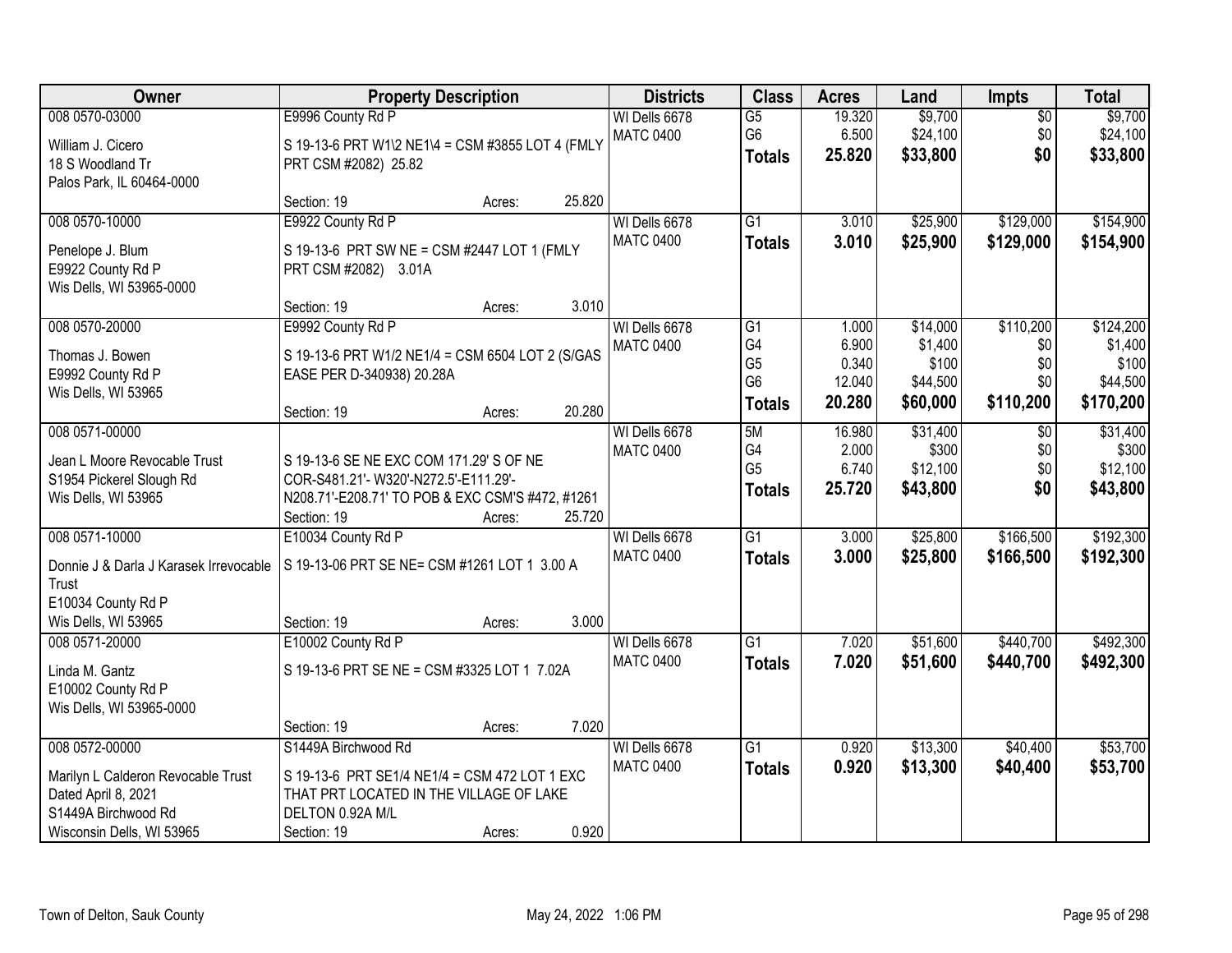| 008 0570-03000<br>E9996 County Rd P<br>\$9,700<br>WI Dells 6678<br>$\overline{G5}$<br>\$9,700<br>19.320<br>$\overline{50}$<br>G <sub>6</sub><br>\$24,100<br>\$24,100<br>6.500<br>\$0<br><b>MATC 0400</b><br>S 19-13-6 PRT W1\2 NE1\4 = CSM #3855 LOT 4 (FMLY<br>William J. Cicero<br>\$0<br>25.820<br>\$33,800<br>\$33,800<br><b>Totals</b><br>18 S Woodland Tr<br>PRT CSM #2082) 25.82<br>Palos Park, IL 60464-0000<br>25.820<br>Section: 19<br>Acres:<br>E9922 County Rd P<br>$\overline{G1}$<br>\$25,900<br>\$129,000<br>\$154,900<br>008 0570-10000<br>WI Dells 6678<br>3.010<br><b>MATC 0400</b><br>3.010<br>\$25,900<br>\$129,000<br>\$154,900<br><b>Totals</b><br>S 19-13-6 PRT SW NE = CSM #2447 LOT 1 (FMLY<br>Penelope J. Blum<br>E9922 County Rd P<br>PRT CSM #2082) 3.01A<br>Wis Dells, WI 53965-0000<br>3.010<br>Section: 19<br>Acres:<br>\$110,200<br>\$124,200<br>008 0570-20000<br>E9992 County Rd P<br>G1<br>\$14,000<br>WI Dells 6678<br>1.000<br>G4<br>\$1,400<br>6.900<br>\$0<br>\$1,400<br><b>MATC 0400</b><br>S 19-13-6 PRT W1/2 NE1/4 = CSM 6504 LOT 2 (S/GAS<br>Thomas J. Bowen<br>G <sub>5</sub><br>\$100<br>\$100<br>0.340<br>\$0<br>E9992 County Rd P<br>EASE PER D-340938) 20.28A<br>G <sub>6</sub><br>\$44,500<br>12.040<br>\$44,500<br>\$0<br>Wis Dells, WI 53965<br>\$110,200<br>20.280<br>\$60,000<br>\$170,200<br><b>Totals</b><br>20.280<br>Section: 19<br>Acres:<br>\$31,400<br>\$31,400<br>008 0571-00000<br>5M<br>16.980<br>WI Dells 6678<br>\$0<br>G4<br>2.000<br>\$300<br>\$0<br>\$300<br><b>MATC 0400</b><br>Jean L Moore Revocable Trust<br>S 19-13-6 SE NE EXC COM 171.29' S OF NE<br>G <sub>5</sub><br>6.740<br>\$12,100<br>\$0<br>S1954 Pickerel Slough Rd<br>COR-S481.21'- W320'-N272.5'-E111.29'-<br>\$0<br>25.720<br>\$43,800<br>\$43,800<br><b>Totals</b><br>Wis Dells, WI 53965<br>N208.71'-E208.71' TO POB & EXC CSM'S #472, #1261<br>Section: 19<br>25.720<br>Acres:<br>$\overline{G1}$<br>\$25,800<br>\$166,500<br>008 0571-10000<br>E10034 County Rd P<br>3.000<br>WI Dells 6678<br><b>MATC 0400</b><br>3.000<br>\$25,800<br>\$166,500<br><b>Totals</b><br>S 19-13-06 PRT SE NE= CSM #1261 LOT 1 3.00 A<br>Donnie J & Darla J Karasek Irrevocable<br>Trust<br>E10034 County Rd P<br>3.000<br>Wis Dells, WI 53965<br>Section: 19<br>Acres: | <b>Owner</b>   | <b>Property Description</b> |  | <b>Districts</b> | <b>Class</b>    | <b>Acres</b> | Land     | <b>Impts</b> | <b>Total</b> |
|------------------------------------------------------------------------------------------------------------------------------------------------------------------------------------------------------------------------------------------------------------------------------------------------------------------------------------------------------------------------------------------------------------------------------------------------------------------------------------------------------------------------------------------------------------------------------------------------------------------------------------------------------------------------------------------------------------------------------------------------------------------------------------------------------------------------------------------------------------------------------------------------------------------------------------------------------------------------------------------------------------------------------------------------------------------------------------------------------------------------------------------------------------------------------------------------------------------------------------------------------------------------------------------------------------------------------------------------------------------------------------------------------------------------------------------------------------------------------------------------------------------------------------------------------------------------------------------------------------------------------------------------------------------------------------------------------------------------------------------------------------------------------------------------------------------------------------------------------------------------------------------------------------------------------------------------------------------------------------------------------------------------------------------------------------------------------------------------------------------------------------------------------------------------------------------------------------------------------------------------------------------------------------------------|----------------|-----------------------------|--|------------------|-----------------|--------------|----------|--------------|--------------|
|                                                                                                                                                                                                                                                                                                                                                                                                                                                                                                                                                                                                                                                                                                                                                                                                                                                                                                                                                                                                                                                                                                                                                                                                                                                                                                                                                                                                                                                                                                                                                                                                                                                                                                                                                                                                                                                                                                                                                                                                                                                                                                                                                                                                                                                                                                |                |                             |  |                  |                 |              |          |              |              |
|                                                                                                                                                                                                                                                                                                                                                                                                                                                                                                                                                                                                                                                                                                                                                                                                                                                                                                                                                                                                                                                                                                                                                                                                                                                                                                                                                                                                                                                                                                                                                                                                                                                                                                                                                                                                                                                                                                                                                                                                                                                                                                                                                                                                                                                                                                |                |                             |  |                  |                 |              |          |              |              |
|                                                                                                                                                                                                                                                                                                                                                                                                                                                                                                                                                                                                                                                                                                                                                                                                                                                                                                                                                                                                                                                                                                                                                                                                                                                                                                                                                                                                                                                                                                                                                                                                                                                                                                                                                                                                                                                                                                                                                                                                                                                                                                                                                                                                                                                                                                |                |                             |  |                  |                 |              |          |              |              |
|                                                                                                                                                                                                                                                                                                                                                                                                                                                                                                                                                                                                                                                                                                                                                                                                                                                                                                                                                                                                                                                                                                                                                                                                                                                                                                                                                                                                                                                                                                                                                                                                                                                                                                                                                                                                                                                                                                                                                                                                                                                                                                                                                                                                                                                                                                |                |                             |  |                  |                 |              |          |              |              |
|                                                                                                                                                                                                                                                                                                                                                                                                                                                                                                                                                                                                                                                                                                                                                                                                                                                                                                                                                                                                                                                                                                                                                                                                                                                                                                                                                                                                                                                                                                                                                                                                                                                                                                                                                                                                                                                                                                                                                                                                                                                                                                                                                                                                                                                                                                |                |                             |  |                  |                 |              |          |              |              |
|                                                                                                                                                                                                                                                                                                                                                                                                                                                                                                                                                                                                                                                                                                                                                                                                                                                                                                                                                                                                                                                                                                                                                                                                                                                                                                                                                                                                                                                                                                                                                                                                                                                                                                                                                                                                                                                                                                                                                                                                                                                                                                                                                                                                                                                                                                |                |                             |  |                  |                 |              |          |              |              |
|                                                                                                                                                                                                                                                                                                                                                                                                                                                                                                                                                                                                                                                                                                                                                                                                                                                                                                                                                                                                                                                                                                                                                                                                                                                                                                                                                                                                                                                                                                                                                                                                                                                                                                                                                                                                                                                                                                                                                                                                                                                                                                                                                                                                                                                                                                |                |                             |  |                  |                 |              |          |              |              |
|                                                                                                                                                                                                                                                                                                                                                                                                                                                                                                                                                                                                                                                                                                                                                                                                                                                                                                                                                                                                                                                                                                                                                                                                                                                                                                                                                                                                                                                                                                                                                                                                                                                                                                                                                                                                                                                                                                                                                                                                                                                                                                                                                                                                                                                                                                |                |                             |  |                  |                 |              |          |              |              |
|                                                                                                                                                                                                                                                                                                                                                                                                                                                                                                                                                                                                                                                                                                                                                                                                                                                                                                                                                                                                                                                                                                                                                                                                                                                                                                                                                                                                                                                                                                                                                                                                                                                                                                                                                                                                                                                                                                                                                                                                                                                                                                                                                                                                                                                                                                |                |                             |  |                  |                 |              |          |              |              |
|                                                                                                                                                                                                                                                                                                                                                                                                                                                                                                                                                                                                                                                                                                                                                                                                                                                                                                                                                                                                                                                                                                                                                                                                                                                                                                                                                                                                                                                                                                                                                                                                                                                                                                                                                                                                                                                                                                                                                                                                                                                                                                                                                                                                                                                                                                |                |                             |  |                  |                 |              |          |              |              |
|                                                                                                                                                                                                                                                                                                                                                                                                                                                                                                                                                                                                                                                                                                                                                                                                                                                                                                                                                                                                                                                                                                                                                                                                                                                                                                                                                                                                                                                                                                                                                                                                                                                                                                                                                                                                                                                                                                                                                                                                                                                                                                                                                                                                                                                                                                |                |                             |  |                  |                 |              |          |              |              |
|                                                                                                                                                                                                                                                                                                                                                                                                                                                                                                                                                                                                                                                                                                                                                                                                                                                                                                                                                                                                                                                                                                                                                                                                                                                                                                                                                                                                                                                                                                                                                                                                                                                                                                                                                                                                                                                                                                                                                                                                                                                                                                                                                                                                                                                                                                |                |                             |  |                  |                 |              |          |              |              |
|                                                                                                                                                                                                                                                                                                                                                                                                                                                                                                                                                                                                                                                                                                                                                                                                                                                                                                                                                                                                                                                                                                                                                                                                                                                                                                                                                                                                                                                                                                                                                                                                                                                                                                                                                                                                                                                                                                                                                                                                                                                                                                                                                                                                                                                                                                |                |                             |  |                  |                 |              |          |              |              |
|                                                                                                                                                                                                                                                                                                                                                                                                                                                                                                                                                                                                                                                                                                                                                                                                                                                                                                                                                                                                                                                                                                                                                                                                                                                                                                                                                                                                                                                                                                                                                                                                                                                                                                                                                                                                                                                                                                                                                                                                                                                                                                                                                                                                                                                                                                |                |                             |  |                  |                 |              |          |              |              |
| \$12,100<br>\$192,300<br>\$192,300                                                                                                                                                                                                                                                                                                                                                                                                                                                                                                                                                                                                                                                                                                                                                                                                                                                                                                                                                                                                                                                                                                                                                                                                                                                                                                                                                                                                                                                                                                                                                                                                                                                                                                                                                                                                                                                                                                                                                                                                                                                                                                                                                                                                                                                             |                |                             |  |                  |                 |              |          |              |              |
|                                                                                                                                                                                                                                                                                                                                                                                                                                                                                                                                                                                                                                                                                                                                                                                                                                                                                                                                                                                                                                                                                                                                                                                                                                                                                                                                                                                                                                                                                                                                                                                                                                                                                                                                                                                                                                                                                                                                                                                                                                                                                                                                                                                                                                                                                                |                |                             |  |                  |                 |              |          |              |              |
|                                                                                                                                                                                                                                                                                                                                                                                                                                                                                                                                                                                                                                                                                                                                                                                                                                                                                                                                                                                                                                                                                                                                                                                                                                                                                                                                                                                                                                                                                                                                                                                                                                                                                                                                                                                                                                                                                                                                                                                                                                                                                                                                                                                                                                                                                                |                |                             |  |                  |                 |              |          |              |              |
|                                                                                                                                                                                                                                                                                                                                                                                                                                                                                                                                                                                                                                                                                                                                                                                                                                                                                                                                                                                                                                                                                                                                                                                                                                                                                                                                                                                                                                                                                                                                                                                                                                                                                                                                                                                                                                                                                                                                                                                                                                                                                                                                                                                                                                                                                                |                |                             |  |                  |                 |              |          |              |              |
|                                                                                                                                                                                                                                                                                                                                                                                                                                                                                                                                                                                                                                                                                                                                                                                                                                                                                                                                                                                                                                                                                                                                                                                                                                                                                                                                                                                                                                                                                                                                                                                                                                                                                                                                                                                                                                                                                                                                                                                                                                                                                                                                                                                                                                                                                                |                |                             |  |                  |                 |              |          |              |              |
|                                                                                                                                                                                                                                                                                                                                                                                                                                                                                                                                                                                                                                                                                                                                                                                                                                                                                                                                                                                                                                                                                                                                                                                                                                                                                                                                                                                                                                                                                                                                                                                                                                                                                                                                                                                                                                                                                                                                                                                                                                                                                                                                                                                                                                                                                                |                |                             |  |                  |                 |              |          |              |              |
|                                                                                                                                                                                                                                                                                                                                                                                                                                                                                                                                                                                                                                                                                                                                                                                                                                                                                                                                                                                                                                                                                                                                                                                                                                                                                                                                                                                                                                                                                                                                                                                                                                                                                                                                                                                                                                                                                                                                                                                                                                                                                                                                                                                                                                                                                                |                |                             |  |                  |                 |              |          |              |              |
|                                                                                                                                                                                                                                                                                                                                                                                                                                                                                                                                                                                                                                                                                                                                                                                                                                                                                                                                                                                                                                                                                                                                                                                                                                                                                                                                                                                                                                                                                                                                                                                                                                                                                                                                                                                                                                                                                                                                                                                                                                                                                                                                                                                                                                                                                                |                |                             |  |                  |                 |              |          |              |              |
|                                                                                                                                                                                                                                                                                                                                                                                                                                                                                                                                                                                                                                                                                                                                                                                                                                                                                                                                                                                                                                                                                                                                                                                                                                                                                                                                                                                                                                                                                                                                                                                                                                                                                                                                                                                                                                                                                                                                                                                                                                                                                                                                                                                                                                                                                                |                |                             |  |                  |                 |              |          |              |              |
|                                                                                                                                                                                                                                                                                                                                                                                                                                                                                                                                                                                                                                                                                                                                                                                                                                                                                                                                                                                                                                                                                                                                                                                                                                                                                                                                                                                                                                                                                                                                                                                                                                                                                                                                                                                                                                                                                                                                                                                                                                                                                                                                                                                                                                                                                                |                |                             |  |                  |                 |              |          |              |              |
|                                                                                                                                                                                                                                                                                                                                                                                                                                                                                                                                                                                                                                                                                                                                                                                                                                                                                                                                                                                                                                                                                                                                                                                                                                                                                                                                                                                                                                                                                                                                                                                                                                                                                                                                                                                                                                                                                                                                                                                                                                                                                                                                                                                                                                                                                                |                |                             |  |                  |                 |              |          |              |              |
|                                                                                                                                                                                                                                                                                                                                                                                                                                                                                                                                                                                                                                                                                                                                                                                                                                                                                                                                                                                                                                                                                                                                                                                                                                                                                                                                                                                                                                                                                                                                                                                                                                                                                                                                                                                                                                                                                                                                                                                                                                                                                                                                                                                                                                                                                                | 008 0571-20000 | E10002 County Rd P          |  | WI Dells 6678    | $\overline{G1}$ | 7.020        | \$51,600 | \$440,700    | \$492,300    |
| <b>MATC 0400</b><br>7.020<br>\$51,600<br>\$440,700<br>\$492,300<br><b>Totals</b>                                                                                                                                                                                                                                                                                                                                                                                                                                                                                                                                                                                                                                                                                                                                                                                                                                                                                                                                                                                                                                                                                                                                                                                                                                                                                                                                                                                                                                                                                                                                                                                                                                                                                                                                                                                                                                                                                                                                                                                                                                                                                                                                                                                                               |                |                             |  |                  |                 |              |          |              |              |
| S 19-13-6 PRT SE NE = CSM #3325 LOT 1 7.02A<br>Linda M. Gantz<br>E10002 County Rd P                                                                                                                                                                                                                                                                                                                                                                                                                                                                                                                                                                                                                                                                                                                                                                                                                                                                                                                                                                                                                                                                                                                                                                                                                                                                                                                                                                                                                                                                                                                                                                                                                                                                                                                                                                                                                                                                                                                                                                                                                                                                                                                                                                                                            |                |                             |  |                  |                 |              |          |              |              |
| Wis Dells, WI 53965-0000                                                                                                                                                                                                                                                                                                                                                                                                                                                                                                                                                                                                                                                                                                                                                                                                                                                                                                                                                                                                                                                                                                                                                                                                                                                                                                                                                                                                                                                                                                                                                                                                                                                                                                                                                                                                                                                                                                                                                                                                                                                                                                                                                                                                                                                                       |                |                             |  |                  |                 |              |          |              |              |
| 7.020<br>Section: 19<br>Acres:                                                                                                                                                                                                                                                                                                                                                                                                                                                                                                                                                                                                                                                                                                                                                                                                                                                                                                                                                                                                                                                                                                                                                                                                                                                                                                                                                                                                                                                                                                                                                                                                                                                                                                                                                                                                                                                                                                                                                                                                                                                                                                                                                                                                                                                                 |                |                             |  |                  |                 |              |          |              |              |
| \$53,700<br>008 0572-00000<br>S1449A Birchwood Rd<br>WI Dells 6678<br>$\overline{G1}$<br>\$13,300<br>\$40,400<br>0.920                                                                                                                                                                                                                                                                                                                                                                                                                                                                                                                                                                                                                                                                                                                                                                                                                                                                                                                                                                                                                                                                                                                                                                                                                                                                                                                                                                                                                                                                                                                                                                                                                                                                                                                                                                                                                                                                                                                                                                                                                                                                                                                                                                         |                |                             |  |                  |                 |              |          |              |              |
| 0.920<br>\$13,300<br>\$40,400<br>\$53,700<br><b>MATC 0400</b><br><b>Totals</b>                                                                                                                                                                                                                                                                                                                                                                                                                                                                                                                                                                                                                                                                                                                                                                                                                                                                                                                                                                                                                                                                                                                                                                                                                                                                                                                                                                                                                                                                                                                                                                                                                                                                                                                                                                                                                                                                                                                                                                                                                                                                                                                                                                                                                 |                |                             |  |                  |                 |              |          |              |              |
| Marilyn L Calderon Revocable Trust<br>S 19-13-6 PRT SE1/4 NE1/4 = CSM 472 LOT 1 EXC                                                                                                                                                                                                                                                                                                                                                                                                                                                                                                                                                                                                                                                                                                                                                                                                                                                                                                                                                                                                                                                                                                                                                                                                                                                                                                                                                                                                                                                                                                                                                                                                                                                                                                                                                                                                                                                                                                                                                                                                                                                                                                                                                                                                            |                |                             |  |                  |                 |              |          |              |              |
| Dated April 8, 2021<br>THAT PRT LOCATED IN THE VILLAGE OF LAKE<br>S1449A Birchwood Rd<br>DELTON 0.92A M/L                                                                                                                                                                                                                                                                                                                                                                                                                                                                                                                                                                                                                                                                                                                                                                                                                                                                                                                                                                                                                                                                                                                                                                                                                                                                                                                                                                                                                                                                                                                                                                                                                                                                                                                                                                                                                                                                                                                                                                                                                                                                                                                                                                                      |                |                             |  |                  |                 |              |          |              |              |
| 0.920<br>Wisconsin Dells, WI 53965<br>Section: 19<br>Acres:                                                                                                                                                                                                                                                                                                                                                                                                                                                                                                                                                                                                                                                                                                                                                                                                                                                                                                                                                                                                                                                                                                                                                                                                                                                                                                                                                                                                                                                                                                                                                                                                                                                                                                                                                                                                                                                                                                                                                                                                                                                                                                                                                                                                                                    |                |                             |  |                  |                 |              |          |              |              |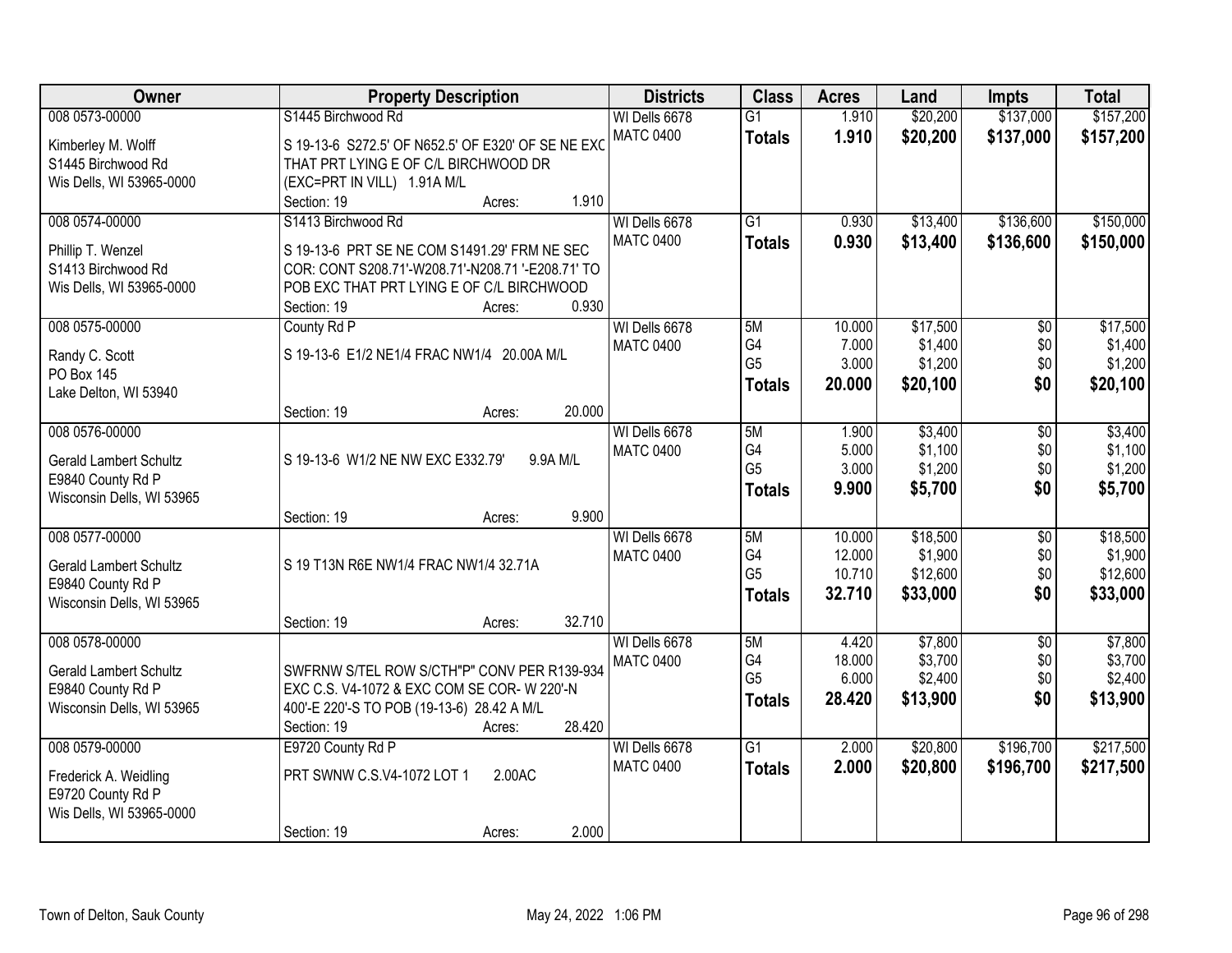| Owner                                   | <b>Property Description</b>                        | <b>Districts</b> | <b>Class</b>    | <b>Acres</b>     | Land                | <b>Impts</b>    | <b>Total</b>        |
|-----------------------------------------|----------------------------------------------------|------------------|-----------------|------------------|---------------------|-----------------|---------------------|
| 008 0573-00000                          | S1445 Birchwood Rd                                 | WI Dells 6678    | $\overline{G1}$ | 1.910            | \$20,200            | \$137,000       | \$157,200           |
| Kimberley M. Wolff                      | S 19-13-6 S272.5' OF N652.5' OF E320' OF SE NE EXC | <b>MATC 0400</b> | <b>Totals</b>   | 1.910            | \$20,200            | \$137,000       | \$157,200           |
| S1445 Birchwood Rd                      | THAT PRT LYING E OF C/L BIRCHWOOD DR               |                  |                 |                  |                     |                 |                     |
| Wis Dells, WI 53965-0000                | (EXC=PRT IN VILL) 1.91A M/L                        |                  |                 |                  |                     |                 |                     |
|                                         | 1.910<br>Section: 19<br>Acres:                     |                  |                 |                  |                     |                 |                     |
| 008 0574-00000                          | S1413 Birchwood Rd                                 | WI Dells 6678    | $\overline{G1}$ | 0.930            | \$13,400            | \$136,600       | \$150,000           |
|                                         | S 19-13-6 PRT SE NE COM S1491.29' FRM NE SEC       | <b>MATC 0400</b> | <b>Totals</b>   | 0.930            | \$13,400            | \$136,600       | \$150,000           |
| Phillip T. Wenzel<br>S1413 Birchwood Rd | COR: CONT S208.71'-W208.71'-N208.71 '-E208.71' TO  |                  |                 |                  |                     |                 |                     |
| Wis Dells, WI 53965-0000                | POB EXC THAT PRT LYING E OF C/L BIRCHWOOD          |                  |                 |                  |                     |                 |                     |
|                                         | 0.930<br>Section: 19<br>Acres:                     |                  |                 |                  |                     |                 |                     |
| 008 0575-00000                          | County Rd P                                        | WI Dells 6678    | 5M              | 10.000           | \$17,500            | \$0             | \$17,500            |
|                                         |                                                    | <b>MATC 0400</b> | G4              | 7.000            | \$1,400             | \$0             | \$1,400             |
| Randy C. Scott                          | S 19-13-6 E1/2 NE1/4 FRAC NW1/4 20.00A M/L         |                  | G <sub>5</sub>  | 3.000            | \$1,200             | \$0             | \$1,200             |
| PO Box 145<br>Lake Delton, WI 53940     |                                                    |                  | Totals          | 20,000           | \$20,100            | \$0             | \$20,100            |
|                                         | 20.000<br>Section: 19<br>Acres:                    |                  |                 |                  |                     |                 |                     |
| 008 0576-00000                          |                                                    | WI Dells 6678    | 5M              | 1.900            | \$3,400             | \$0             | \$3,400             |
|                                         |                                                    | <b>MATC 0400</b> | G4              | 5.000            | \$1,100             | \$0             | \$1,100             |
| <b>Gerald Lambert Schultz</b>           | S 19-13-6 W1/2 NE NW EXC E332.79'<br>9.9A M/L      |                  | G <sub>5</sub>  | 3.000            | \$1,200             | \$0             | \$1,200             |
| E9840 County Rd P                       |                                                    |                  | <b>Totals</b>   | 9.900            | \$5,700             | \$0             | \$5,700             |
| Wisconsin Dells, WI 53965               |                                                    |                  |                 |                  |                     |                 |                     |
|                                         | 9.900<br>Section: 19<br>Acres:                     |                  |                 |                  |                     |                 |                     |
| 008 0577-00000                          |                                                    | WI Dells 6678    | 5M<br>G4        | 10.000<br>12.000 | \$18,500<br>\$1,900 | $\overline{50}$ | \$18,500<br>\$1,900 |
| <b>Gerald Lambert Schultz</b>           | S 19 T13N R6E NW1/4 FRAC NW1/4 32.71A              | <b>MATC 0400</b> | G <sub>5</sub>  | 10.710           | \$12,600            | \$0<br>\$0      | \$12,600            |
| E9840 County Rd P                       |                                                    |                  | <b>Totals</b>   | 32.710           | \$33,000            | \$0             | \$33,000            |
| Wisconsin Dells, WI 53965               |                                                    |                  |                 |                  |                     |                 |                     |
|                                         | 32.710<br>Section: 19<br>Acres:                    |                  |                 |                  |                     |                 |                     |
| 008 0578-00000                          |                                                    | WI Dells 6678    | 5M              | 4.420            | \$7,800             | $\overline{50}$ | \$7,800             |
| <b>Gerald Lambert Schultz</b>           | SWFRNW S/TEL ROW S/CTH"P" CONV PER R139-934        | <b>MATC 0400</b> | G <sub>4</sub>  | 18.000           | \$3,700             | \$0             | \$3,700             |
| E9840 County Rd P                       | EXC C.S. V4-1072 & EXC COM SE COR- W 220'-N        |                  | G <sub>5</sub>  | 6.000            | \$2,400             | \$0             | \$2,400             |
| Wisconsin Dells, WI 53965               | 400'-E 220'-S TO POB (19-13-6) 28.42 A M/L         |                  | <b>Totals</b>   | 28.420           | \$13,900            | \$0             | \$13,900            |
|                                         | 28.420<br>Section: 19<br>Acres:                    |                  |                 |                  |                     |                 |                     |
| 008 0579-00000                          | E9720 County Rd P                                  | WI Dells 6678    | $\overline{G1}$ | 2.000            | \$20,800            | \$196,700       | \$217,500           |
| Frederick A. Weidling                   | PRT SWNW C.S.V4-1072 LOT 1<br>2.00AC               | <b>MATC 0400</b> | <b>Totals</b>   | 2.000            | \$20,800            | \$196,700       | \$217,500           |
| E9720 County Rd P                       |                                                    |                  |                 |                  |                     |                 |                     |
| Wis Dells, WI 53965-0000                |                                                    |                  |                 |                  |                     |                 |                     |
|                                         | 2.000<br>Section: 19<br>Acres:                     |                  |                 |                  |                     |                 |                     |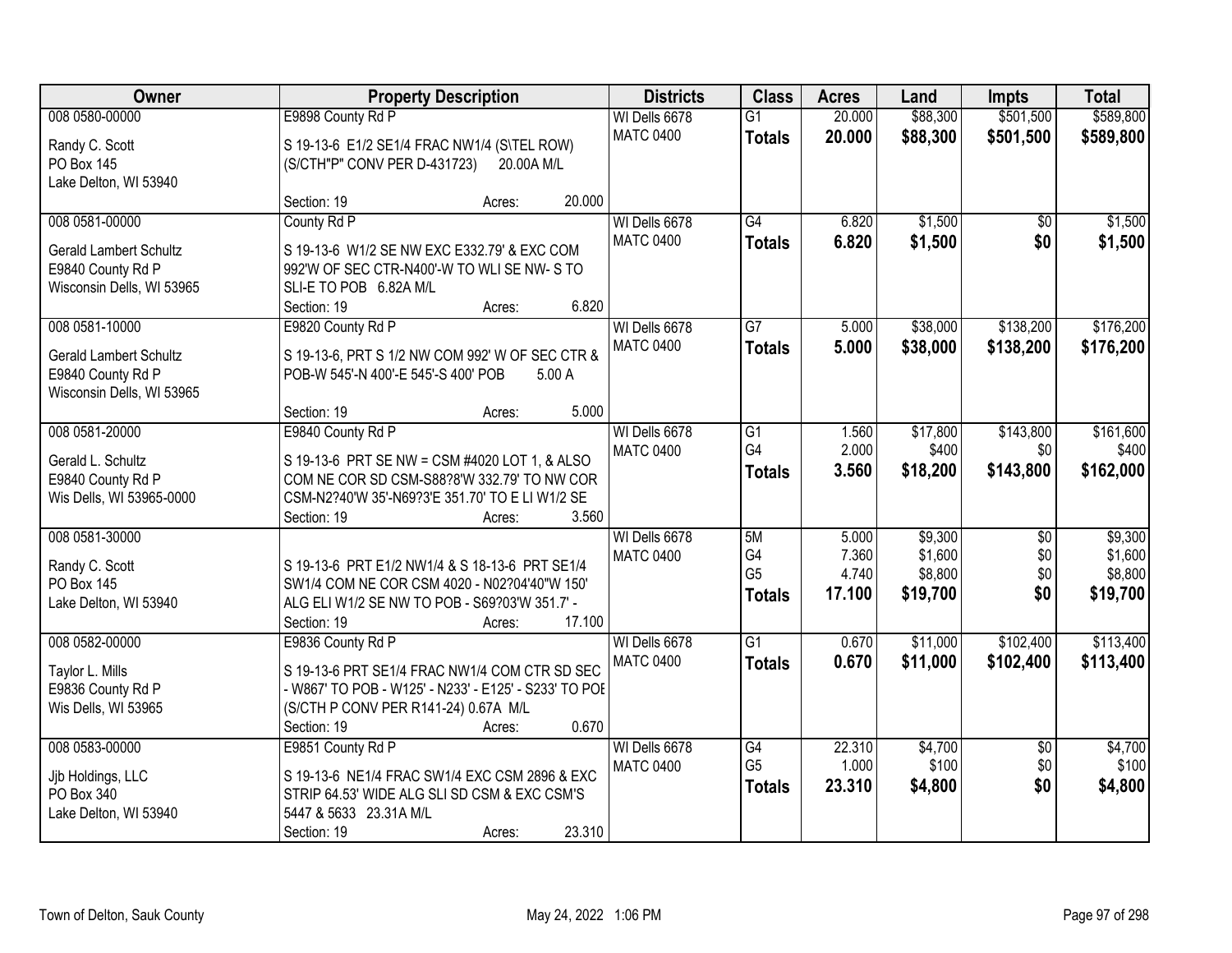| Owner                                              | <b>Property Description</b>                           |        |                  |                       |                | Land     | <b>Impts</b>    | <b>Total</b> |
|----------------------------------------------------|-------------------------------------------------------|--------|------------------|-----------------------|----------------|----------|-----------------|--------------|
| 008 0580-00000                                     | E9898 County Rd P                                     |        | WI Dells 6678    | $\overline{G1}$       | 20.000         | \$88,300 | \$501,500       | \$589,800    |
| Randy C. Scott                                     | S 19-13-6 E1/2 SE1/4 FRAC NW1/4 (S\TEL ROW)           |        | <b>MATC 0400</b> | <b>Totals</b>         | 20.000         | \$88,300 | \$501,500       | \$589,800    |
| <b>PO Box 145</b>                                  | (S/CTH"P" CONV PER D-431723)<br>20.00A M/L            |        |                  |                       |                |          |                 |              |
| Lake Delton, WI 53940                              |                                                       |        |                  |                       |                |          |                 |              |
|                                                    | Section: 19<br>Acres:                                 | 20.000 |                  |                       |                |          |                 |              |
| 008 0581-00000                                     | County Rd P                                           |        | WI Dells 6678    | G4                    | 6.820          | \$1,500  | $\overline{50}$ | \$1,500      |
|                                                    | S 19-13-6 W1/2 SE NW EXC E332.79' & EXC COM           |        | <b>MATC 0400</b> | <b>Totals</b>         | 6.820          | \$1,500  | \$0             | \$1,500      |
| <b>Gerald Lambert Schultz</b><br>E9840 County Rd P | 992'W OF SEC CTR-N400'-W TO WLI SE NW-S TO            |        |                  |                       |                |          |                 |              |
| Wisconsin Dells, WI 53965                          | SLI-E TO POB 6.82A M/L                                |        |                  |                       |                |          |                 |              |
|                                                    | Section: 19<br>Acres:                                 | 6.820  |                  |                       |                |          |                 |              |
| 008 0581-10000                                     | E9820 County Rd P                                     |        | WI Dells 6678    | $\overline{G7}$       | 5.000          | \$38,000 | \$138,200       | \$176,200    |
|                                                    |                                                       |        | <b>MATC 0400</b> | <b>Totals</b>         | 5.000          | \$38,000 | \$138,200       | \$176,200    |
| <b>Gerald Lambert Schultz</b>                      | S 19-13-6, PRT S 1/2 NW COM 992' W OF SEC CTR &       |        |                  |                       |                |          |                 |              |
| E9840 County Rd P                                  | POB-W 545'-N 400'-E 545'-S 400' POB                   | 5.00A  |                  |                       |                |          |                 |              |
| Wisconsin Dells, WI 53965                          |                                                       |        |                  |                       |                |          |                 |              |
|                                                    | Section: 19<br>Acres:                                 | 5.000  |                  |                       |                |          |                 |              |
| 008 0581-20000                                     | E9840 County Rd P                                     |        | WI Dells 6678    | $\overline{G1}$<br>G4 | 1.560<br>2.000 | \$17,800 | \$143,800       | \$161,600    |
| Gerald L. Schultz                                  | S 19-13-6 PRT SE NW = CSM #4020 LOT 1, & ALSO         |        | <b>MATC 0400</b> |                       |                | \$400    | \$0             | \$400        |
| E9840 County Rd P                                  | COM NE COR SD CSM-S88?8'W 332.79' TO NW COR           |        |                  | <b>Totals</b>         | 3.560          | \$18,200 | \$143,800       | \$162,000    |
| Wis Dells, WI 53965-0000                           | CSM-N2?40'W 35'-N69?3'E 351.70' TO E LI W1/2 SE       |        |                  |                       |                |          |                 |              |
|                                                    | Section: 19<br>Acres:                                 | 3.560  |                  |                       |                |          |                 |              |
| 008 0581-30000                                     |                                                       |        | WI Dells 6678    | 5M                    | 5.000          | \$9,300  | $\overline{50}$ | \$9,300      |
| Randy C. Scott                                     | S 19-13-6 PRT E1/2 NW1/4 & S 18-13-6 PRT SE1/4        |        | <b>MATC 0400</b> | G4                    | 7.360          | \$1,600  | \$0             | \$1,600      |
| <b>PO Box 145</b>                                  | SW1/4 COM NE COR CSM 4020 - N02?04'40"W 150'          |        |                  | G <sub>5</sub>        | 4.740          | \$8,800  | \$0             | \$8,800      |
| Lake Delton, WI 53940                              | ALG ELI W1/2 SE NW TO POB - S69?03'W 351.7' -         |        |                  | <b>Totals</b>         | 17.100         | \$19,700 | \$0             | \$19,700     |
|                                                    | Section: 19<br>Acres:                                 | 17.100 |                  |                       |                |          |                 |              |
| 008 0582-00000                                     | E9836 County Rd P                                     |        | WI Dells 6678    | $\overline{G1}$       | 0.670          | \$11,000 | \$102,400       | \$113,400    |
| Taylor L. Mills                                    | S 19-13-6 PRT SE1/4 FRAC NW1/4 COM CTR SD SEC         |        | <b>MATC 0400</b> | <b>Totals</b>         | 0.670          | \$11,000 | \$102,400       | \$113,400    |
| E9836 County Rd P                                  | - W867' TO POB - W125' - N233' - E125' - S233' TO POE |        |                  |                       |                |          |                 |              |
| Wis Dells, WI 53965                                | (S/CTH P CONV PER R141-24) 0.67A M/L                  |        |                  |                       |                |          |                 |              |
|                                                    | Section: 19<br>Acres:                                 | 0.670  |                  |                       |                |          |                 |              |
| 008 0583-00000                                     | E9851 County Rd P                                     |        | WI Dells 6678    | G4                    | 22.310         | \$4,700  | $\overline{50}$ | \$4,700      |
|                                                    |                                                       |        | <b>MATC 0400</b> | G <sub>5</sub>        | 1.000          | \$100    | \$0             | \$100        |
| Jjb Holdings, LLC                                  | S 19-13-6 NE1/4 FRAC SW1/4 EXC CSM 2896 & EXC         |        |                  | <b>Totals</b>         | 23.310         | \$4,800  | \$0             | \$4,800      |
| PO Box 340                                         | STRIP 64.53' WIDE ALG SLI SD CSM & EXC CSM'S          |        |                  |                       |                |          |                 |              |
| Lake Delton, WI 53940                              | 5447 & 5633 23.31A M/L                                |        |                  |                       |                |          |                 |              |
|                                                    | Section: 19<br>Acres:                                 | 23.310 |                  |                       |                |          |                 |              |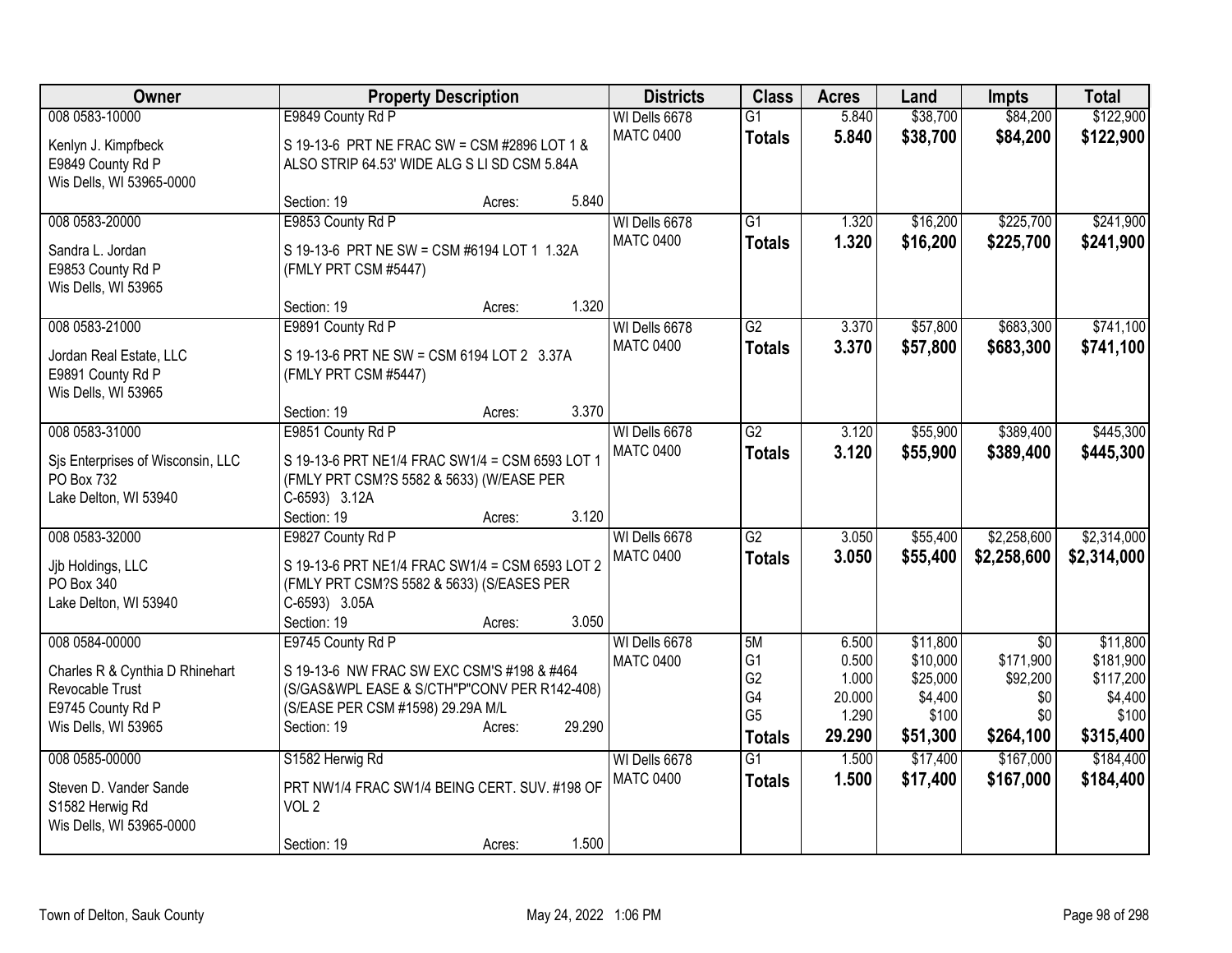| Owner                                           | <b>Property Description</b>                                |        |        | <b>Districts</b> | <b>Class</b>    | <b>Acres</b> | Land     | <b>Impts</b>    | <b>Total</b> |
|-------------------------------------------------|------------------------------------------------------------|--------|--------|------------------|-----------------|--------------|----------|-----------------|--------------|
| 008 0583-10000                                  | E9849 County Rd P                                          |        |        | WI Dells 6678    | $\overline{G1}$ | 5.840        | \$38,700 | \$84,200        | \$122,900    |
| Kenlyn J. Kimpfbeck                             | S 19-13-6 PRT NE FRAC SW = CSM #2896 LOT 1 &               |        |        | <b>MATC 0400</b> | <b>Totals</b>   | 5.840        | \$38,700 | \$84,200        | \$122,900    |
| E9849 County Rd P                               | ALSO STRIP 64.53' WIDE ALG S LI SD CSM 5.84A               |        |        |                  |                 |              |          |                 |              |
| Wis Dells, WI 53965-0000                        |                                                            |        |        |                  |                 |              |          |                 |              |
|                                                 | Section: 19                                                | Acres: | 5.840  |                  |                 |              |          |                 |              |
| 008 0583-20000                                  | E9853 County Rd P                                          |        |        | WI Dells 6678    | G1              | 1.320        | \$16,200 | \$225,700       | \$241,900    |
| Sandra L. Jordan                                | S 19-13-6 PRT NE SW = CSM #6194 LOT 1 1.32A                |        |        | <b>MATC 0400</b> | <b>Totals</b>   | 1.320        | \$16,200 | \$225,700       | \$241,900    |
| E9853 County Rd P                               | (FMLY PRT CSM #5447)                                       |        |        |                  |                 |              |          |                 |              |
| Wis Dells, WI 53965                             |                                                            |        |        |                  |                 |              |          |                 |              |
|                                                 | Section: 19                                                | Acres: | 1.320  |                  |                 |              |          |                 |              |
| 008 0583-21000                                  | E9891 County Rd P                                          |        |        | WI Dells 6678    | $\overline{G2}$ | 3.370        | \$57,800 | \$683,300       | \$741,100    |
| Jordan Real Estate, LLC                         | S 19-13-6 PRT NE SW = CSM 6194 LOT 2 3.37A                 |        |        | <b>MATC 0400</b> | <b>Totals</b>   | 3.370        | \$57,800 | \$683,300       | \$741,100    |
| E9891 County Rd P                               | (FMLY PRT CSM #5447)                                       |        |        |                  |                 |              |          |                 |              |
| Wis Dells, WI 53965                             |                                                            |        |        |                  |                 |              |          |                 |              |
|                                                 | Section: 19                                                | Acres: | 3.370  |                  |                 |              |          |                 |              |
| 008 0583-31000                                  | E9851 County Rd P                                          |        |        | WI Dells 6678    | $\overline{G2}$ | 3.120        | \$55,900 | \$389,400       | \$445,300    |
|                                                 | S 19-13-6 PRT NE1/4 FRAC SW1/4 = CSM 6593 LOT 1            |        |        | <b>MATC 0400</b> | <b>Totals</b>   | 3.120        | \$55,900 | \$389,400       | \$445,300    |
| Sis Enterprises of Wisconsin, LLC<br>PO Box 732 | (FMLY PRT CSM?S 5582 & 5633) (W/EASE PER                   |        |        |                  |                 |              |          |                 |              |
| Lake Delton, WI 53940                           | C-6593) 3.12A                                              |        |        |                  |                 |              |          |                 |              |
|                                                 | Section: 19                                                | Acres: | 3.120  |                  |                 |              |          |                 |              |
| 008 0583-32000                                  | E9827 County Rd P                                          |        |        | WI Dells 6678    | $\overline{G2}$ | 3.050        | \$55,400 | \$2,258,600     | \$2,314,000  |
|                                                 |                                                            |        |        | <b>MATC 0400</b> | <b>Totals</b>   | 3.050        | \$55,400 | \$2,258,600     | \$2,314,000  |
| Jjb Holdings, LLC                               | S 19-13-6 PRT NE1/4 FRAC SW1/4 = CSM 6593 LOT 2            |        |        |                  |                 |              |          |                 |              |
| PO Box 340<br>Lake Delton, WI 53940             | (FMLY PRT CSM?S 5582 & 5633) (S/EASES PER<br>C-6593) 3.05A |        |        |                  |                 |              |          |                 |              |
|                                                 | Section: 19                                                | Acres: | 3.050  |                  |                 |              |          |                 |              |
| 008 0584-00000                                  | E9745 County Rd P                                          |        |        | WI Dells 6678    | 5M              | 6.500        | \$11,800 | $\overline{30}$ | \$11,800     |
|                                                 |                                                            |        |        | <b>MATC 0400</b> | G <sub>1</sub>  | 0.500        | \$10,000 | \$171,900       | \$181,900    |
| Charles R & Cynthia D Rhinehart                 | S 19-13-6 NW FRAC SW EXC CSM'S #198 & #464                 |        |        |                  | G <sub>2</sub>  | 1.000        | \$25,000 | \$92,200        | \$117,200    |
| Revocable Trust                                 | (S/GAS&WPL EASE & S/CTH"P"CONV PER R142-408)               |        |        |                  | G4              | 20.000       | \$4,400  | \$0             | \$4,400      |
| E9745 County Rd P                               | (S/EASE PER CSM #1598) 29.29A M/L                          |        |        |                  | G <sub>5</sub>  | 1.290        | \$100    | \$0             | \$100        |
| Wis Dells, WI 53965                             | Section: 19                                                | Acres: | 29.290 |                  | <b>Totals</b>   | 29.290       | \$51,300 | \$264,100       | \$315,400    |
| 008 0585-00000                                  | S1582 Herwig Rd                                            |        |        | WI Dells 6678    | $\overline{G1}$ | 1.500        | \$17,400 | \$167,000       | \$184,400    |
| Steven D. Vander Sande                          | PRT NW1/4 FRAC SW1/4 BEING CERT. SUV. #198 OF              |        |        | <b>MATC 0400</b> | <b>Totals</b>   | 1.500        | \$17,400 | \$167,000       | \$184,400    |
| S1582 Herwig Rd                                 | VOL <sub>2</sub>                                           |        |        |                  |                 |              |          |                 |              |
| Wis Dells, WI 53965-0000                        |                                                            |        |        |                  |                 |              |          |                 |              |
|                                                 | Section: 19                                                | Acres: | 1.500  |                  |                 |              |          |                 |              |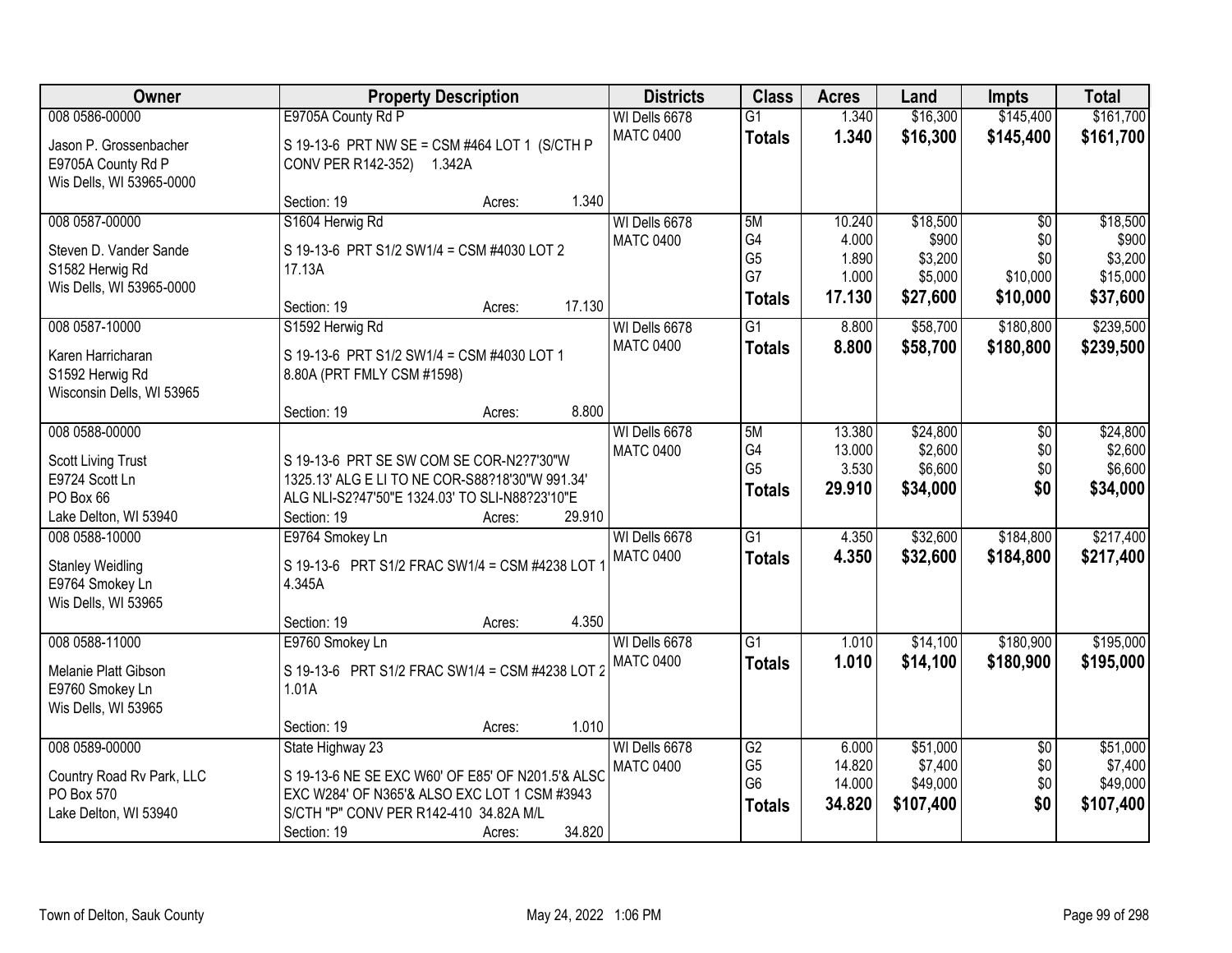| Owner                                                                               |                                                                          | <b>Property Description</b>                                                                       |                                   |                                             | <b>Acres</b>                        | Land                                       | <b>Impts</b>                         | <b>Total</b>                               |
|-------------------------------------------------------------------------------------|--------------------------------------------------------------------------|---------------------------------------------------------------------------------------------------|-----------------------------------|---------------------------------------------|-------------------------------------|--------------------------------------------|--------------------------------------|--------------------------------------------|
| 008 0586-00000                                                                      | E9705A County Rd P                                                       |                                                                                                   | WI Dells 6678                     | $\overline{G1}$                             | 1.340                               | \$16,300                                   | \$145,400                            | \$161,700                                  |
| Jason P. Grossenbacher<br>E9705A County Rd P<br>Wis Dells, WI 53965-0000            | CONV PER R142-352) 1.342A                                                | S 19-13-6 PRT NW SE = CSM #464 LOT 1 (S/CTH P                                                     | <b>MATC 0400</b>                  | <b>Totals</b>                               | 1.340                               | \$16,300                                   | \$145,400                            | \$161,700                                  |
|                                                                                     | Section: 19                                                              | Acres:                                                                                            | 1.340                             |                                             |                                     |                                            |                                      |                                            |
| 008 0587-00000<br>Steven D. Vander Sande                                            | S1604 Herwig Rd<br>S 19-13-6 PRT S1/2 SW1/4 = CSM #4030 LOT 2            |                                                                                                   | WI Dells 6678<br><b>MATC 0400</b> | 5M<br>G4<br>G <sub>5</sub>                  | 10.240<br>4.000<br>1.890            | \$18,500<br>\$900<br>\$3,200               | $\overline{50}$<br>\$0<br>\$0        | \$18,500<br>\$900<br>\$3,200               |
| S1582 Herwig Rd<br>Wis Dells, WI 53965-0000                                         | 17.13A<br>Section: 19                                                    | Acres:                                                                                            | 17.130                            | G7<br><b>Totals</b>                         | 1.000<br>17.130                     | \$5,000<br>\$27,600                        | \$10,000<br>\$10,000                 | \$15,000<br>\$37,600                       |
| 008 0587-10000                                                                      | S1592 Herwig Rd                                                          |                                                                                                   | WI Dells 6678                     | $\overline{G1}$                             | 8.800                               | \$58,700                                   | \$180,800                            | \$239,500                                  |
| Karen Harricharan<br>S1592 Herwig Rd<br>Wisconsin Dells, WI 53965                   | S 19-13-6 PRT S1/2 SW1/4 = CSM #4030 LOT 1<br>8.80A (PRT FMLY CSM #1598) |                                                                                                   | <b>MATC 0400</b>                  | <b>Totals</b>                               | 8.800                               | \$58,700                                   | \$180,800                            | \$239,500                                  |
|                                                                                     | Section: 19                                                              | Acres:                                                                                            | 8.800                             |                                             |                                     |                                            |                                      |                                            |
| 008 0588-00000<br>Scott Living Trust<br>E9724 Scott Ln                              |                                                                          | S 19-13-6 PRT SE SW COM SE COR-N2?7'30"W<br>1325.13' ALG E LI TO NE COR-S88?18'30"W 991.34'       | WI Dells 6678<br><b>MATC 0400</b> | 5M<br>G4<br>G <sub>5</sub><br><b>Totals</b> | 13.380<br>13.000<br>3.530<br>29.910 | \$24,800<br>\$2,600<br>\$6,600<br>\$34,000 | \$0<br>\$0<br>\$0<br>\$0             | \$24,800<br>\$2,600<br>\$6,600<br>\$34,000 |
| PO Box 66<br>Lake Delton, WI 53940                                                  | Section: 19                                                              | ALG NLI-S2?47'50"E 1324.03' TO SLI-N88?23'10"E<br>Acres:                                          | 29.910                            |                                             |                                     |                                            |                                      |                                            |
| 008 0588-10000<br><b>Stanley Weidling</b><br>E9764 Smokey Ln<br>Wis Dells, WI 53965 | E9764 Smokey Ln<br>4.345A                                                | S 19-13-6 PRT S1/2 FRAC SW1/4 = CSM #4238 LOT                                                     | WI Dells 6678<br><b>MATC 0400</b> | $\overline{G1}$<br><b>Totals</b>            | 4.350<br>4.350                      | \$32,600<br>\$32,600                       | \$184,800<br>\$184,800               | \$217,400<br>\$217,400                     |
|                                                                                     | Section: 19                                                              | Acres:                                                                                            | 4.350                             |                                             |                                     |                                            |                                      |                                            |
| 008 0588-11000<br>Melanie Platt Gibson<br>E9760 Smokey Ln<br>Wis Dells, WI 53965    | E9760 Smokey Ln<br>1.01A                                                 | S 19-13-6 PRT S1/2 FRAC SW1/4 = CSM #4238 LOT 2                                                   | WI Dells 6678<br><b>MATC 0400</b> | $\overline{G1}$<br><b>Totals</b>            | 1.010<br>1.010                      | \$14,100<br>\$14,100                       | \$180,900<br>\$180,900               | \$195,000<br>\$195,000                     |
|                                                                                     | Section: 19                                                              | Acres:                                                                                            | 1.010                             |                                             |                                     |                                            |                                      |                                            |
| 008 0589-00000<br>Country Road Rv Park, LLC<br>PO Box 570                           | State Highway 23                                                         | S 19-13-6 NE SE EXC W60' OF E85' OF N201.5'& ALSC<br>EXC W284' OF N365'& ALSO EXC LOT 1 CSM #3943 | WI Dells 6678<br><b>MATC 0400</b> | G2<br>G <sub>5</sub><br>G <sub>6</sub>      | 6.000<br>14.820<br>14.000<br>34.820 | \$51,000<br>\$7,400<br>\$49,000            | $\overline{50}$<br>\$0<br>\$0<br>\$0 | \$51,000<br>\$7,400<br>\$49,000            |
| Lake Delton, WI 53940                                                               | S/CTH "P" CONV PER R142-410 34.82A M/L<br>Section: 19                    | Acres:                                                                                            | 34.820                            | <b>Totals</b>                               |                                     | \$107,400                                  |                                      | \$107,400                                  |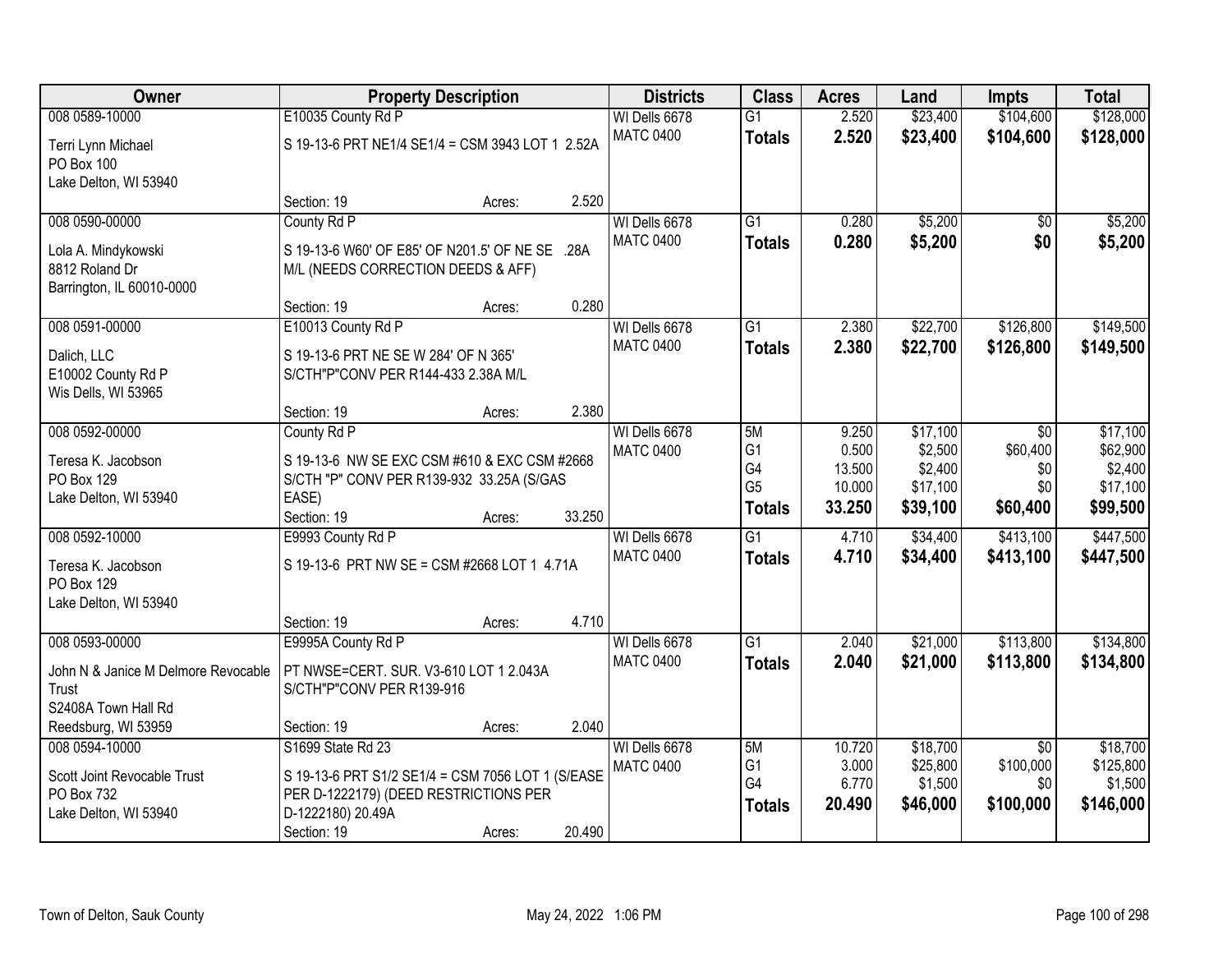| <b>Owner</b>                        | <b>Property Description</b>                       |        |        | <b>Districts</b> | <b>Class</b>    | <b>Acres</b> | Land     | <b>Impts</b>    | <b>Total</b> |
|-------------------------------------|---------------------------------------------------|--------|--------|------------------|-----------------|--------------|----------|-----------------|--------------|
| 008 0589-10000                      | E10035 County Rd P                                |        |        | WI Dells 6678    | $\overline{G1}$ | 2.520        | \$23,400 | \$104,600       | \$128,000    |
| Terri Lynn Michael                  | S 19-13-6 PRT NE1/4 SE1/4 = CSM 3943 LOT 1 2.52A  |        |        | <b>MATC 0400</b> | <b>Totals</b>   | 2.520        | \$23,400 | \$104,600       | \$128,000    |
| PO Box 100                          |                                                   |        |        |                  |                 |              |          |                 |              |
| Lake Delton, WI 53940               |                                                   |        |        |                  |                 |              |          |                 |              |
|                                     | Section: 19                                       | Acres: | 2.520  |                  |                 |              |          |                 |              |
| 008 0590-00000                      | County Rd P                                       |        |        | WI Dells 6678    | $\overline{G1}$ | 0.280        | \$5,200  | \$0             | \$5,200      |
| Lola A. Mindykowski                 | S 19-13-6 W60' OF E85' OF N201.5' OF NE SE .28A   |        |        | <b>MATC 0400</b> | <b>Totals</b>   | 0.280        | \$5,200  | \$0             | \$5,200      |
| 8812 Roland Dr                      | M/L (NEEDS CORRECTION DEEDS & AFF)                |        |        |                  |                 |              |          |                 |              |
| Barrington, IL 60010-0000           |                                                   |        |        |                  |                 |              |          |                 |              |
|                                     | Section: 19                                       | Acres: | 0.280  |                  |                 |              |          |                 |              |
| 008 0591-00000                      | E10013 County Rd P                                |        |        | WI Dells 6678    | G1              | 2.380        | \$22,700 | \$126,800       | \$149,500    |
| Dalich, LLC                         | S 19-13-6 PRT NE SE W 284' OF N 365'              |        |        | <b>MATC 0400</b> | <b>Totals</b>   | 2.380        | \$22,700 | \$126,800       | \$149,500    |
| E10002 County Rd P                  | S/CTH"P"CONV PER R144-433 2.38A M/L               |        |        |                  |                 |              |          |                 |              |
| Wis Dells, WI 53965                 |                                                   |        |        |                  |                 |              |          |                 |              |
|                                     | Section: 19                                       | Acres: | 2.380  |                  |                 |              |          |                 |              |
| 008 0592-00000                      | County Rd P                                       |        |        | WI Dells 6678    | 5M              | 9.250        | \$17,100 | \$0             | \$17,100     |
| Teresa K. Jacobson                  | S 19-13-6 NW SE EXC CSM #610 & EXC CSM #2668      |        |        | <b>MATC 0400</b> | G <sub>1</sub>  | 0.500        | \$2,500  | \$60,400        | \$62,900     |
| PO Box 129                          | S/CTH "P" CONV PER R139-932 33.25A (S/GAS         |        |        |                  | G4              | 13.500       | \$2,400  | \$0             | \$2,400      |
| Lake Delton, WI 53940               | EASE)                                             |        |        |                  | G <sub>5</sub>  | 10.000       | \$17,100 | \$0             | \$17,100     |
|                                     | Section: 19                                       | Acres: | 33.250 |                  | <b>Totals</b>   | 33.250       | \$39,100 | \$60,400        | \$99,500     |
| 008 0592-10000                      | E9993 County Rd P                                 |        |        | WI Dells 6678    | $\overline{G1}$ | 4.710        | \$34,400 | \$413,100       | \$447,500    |
| Teresa K. Jacobson                  | S 19-13-6 PRT NW SE = CSM #2668 LOT 1 4.71A       |        |        | <b>MATC 0400</b> | <b>Totals</b>   | 4.710        | \$34,400 | \$413,100       | \$447,500    |
| PO Box 129                          |                                                   |        |        |                  |                 |              |          |                 |              |
| Lake Delton, WI 53940               |                                                   |        |        |                  |                 |              |          |                 |              |
|                                     | Section: 19                                       | Acres: | 4.710  |                  |                 |              |          |                 |              |
| 008 0593-00000                      | E9995A County Rd P                                |        |        | WI Dells 6678    | $\overline{G1}$ | 2.040        | \$21,000 | \$113,800       | \$134,800    |
| John N & Janice M Delmore Revocable | PT NWSE=CERT. SUR. V3-610 LOT 1 2.043A            |        |        | <b>MATC 0400</b> | <b>Totals</b>   | 2.040        | \$21,000 | \$113,800       | \$134,800    |
| Trust                               | S/CTH"P"CONV PER R139-916                         |        |        |                  |                 |              |          |                 |              |
| S2408A Town Hall Rd                 |                                                   |        |        |                  |                 |              |          |                 |              |
| Reedsburg, WI 53959                 | Section: 19                                       | Acres: | 2.040  |                  |                 |              |          |                 |              |
| 008 0594-10000                      | S1699 State Rd 23                                 |        |        | WI Dells 6678    | 5M              | 10.720       | \$18,700 | $\overline{50}$ | \$18,700     |
| Scott Joint Revocable Trust         | S 19-13-6 PRT S1/2 SE1/4 = CSM 7056 LOT 1 (S/EASE |        |        | <b>MATC 0400</b> | G1              | 3.000        | \$25,800 | \$100,000       | \$125,800    |
| PO Box 732                          | PER D-1222179) (DEED RESTRICTIONS PER             |        |        |                  | G4              | 6.770        | \$1,500  | \$0             | \$1,500      |
| Lake Delton, WI 53940               | D-1222180) 20.49A                                 |        |        |                  | <b>Totals</b>   | 20.490       | \$46,000 | \$100,000       | \$146,000    |
|                                     | Section: 19                                       | Acres: | 20.490 |                  |                 |              |          |                 |              |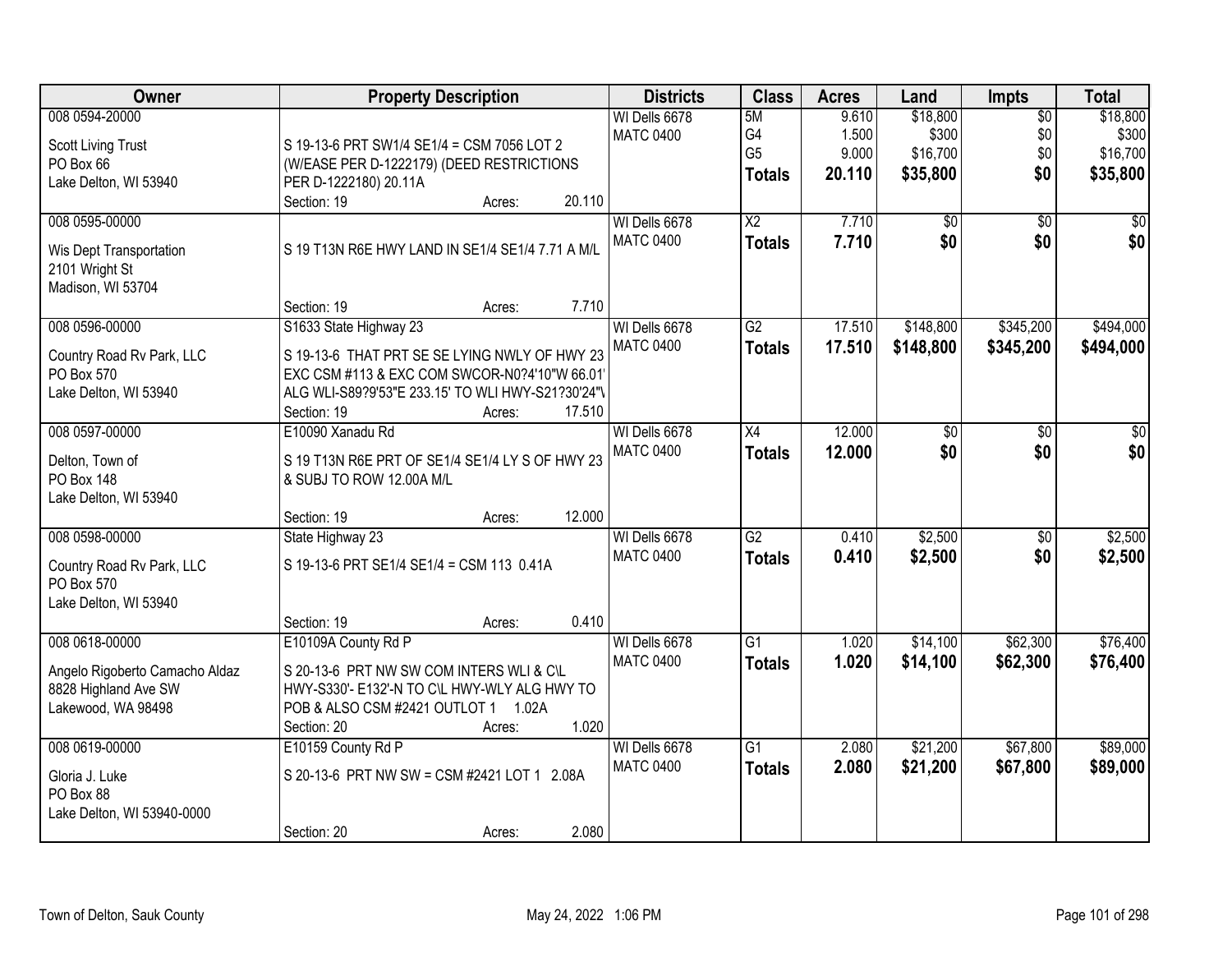| Owner                                                                        | <b>Property Description</b>                                                                                                                                                           | <b>Districts</b>                  | <b>Class</b>    | <b>Acres</b>   | Land              | Impts                  | <b>Total</b>      |
|------------------------------------------------------------------------------|---------------------------------------------------------------------------------------------------------------------------------------------------------------------------------------|-----------------------------------|-----------------|----------------|-------------------|------------------------|-------------------|
| 008 0594-20000                                                               |                                                                                                                                                                                       | WI Dells 6678<br><b>MATC 0400</b> | 5M<br>G4        | 9.610<br>1.500 | \$18,800<br>\$300 | $\overline{50}$<br>\$0 | \$18,800<br>\$300 |
| <b>Scott Living Trust</b><br>PO Box 66                                       | S 19-13-6 PRT SW1/4 SE1/4 = CSM 7056 LOT 2<br>(W/EASE PER D-1222179) (DEED RESTRICTIONS                                                                                               |                                   | G <sub>5</sub>  | 9.000          | \$16,700          | \$0                    | \$16,700          |
| Lake Delton, WI 53940                                                        | PER D-1222180) 20.11A                                                                                                                                                                 |                                   | <b>Totals</b>   | 20.110         | \$35,800          | \$0                    | \$35,800          |
|                                                                              | Section: 19<br>20.110<br>Acres:                                                                                                                                                       |                                   |                 |                |                   |                        |                   |
| 008 0595-00000                                                               |                                                                                                                                                                                       | WI Dells 6678                     | $\overline{X2}$ | 7.710          | \$0               | $\overline{50}$        | \$0               |
| Wis Dept Transportation<br>2101 Wright St<br>Madison, WI 53704               | S 19 T13N R6E HWY LAND IN SE1/4 SE1/4 7.71 A M/L                                                                                                                                      | <b>MATC 0400</b>                  | <b>Totals</b>   | 7.710          | \$0               | \$0                    | \$0               |
|                                                                              | 7.710<br>Section: 19<br>Acres:                                                                                                                                                        |                                   |                 |                |                   |                        |                   |
| 008 0596-00000                                                               | S1633 State Highway 23                                                                                                                                                                | WI Dells 6678                     | $\overline{G2}$ | 17.510         | \$148,800         | \$345,200              | \$494,000         |
| Country Road Rv Park, LLC<br>PO Box 570<br>Lake Delton, WI 53940             | S 19-13-6 THAT PRT SE SE LYING NWLY OF HWY 23<br>EXC CSM #113 & EXC COM SWCOR-N0?4'10"W 66.01<br>ALG WLI-S89?9'53"E 233.15' TO WLI HWY-S21?30'24"\<br>17.510<br>Section: 19<br>Acres: | <b>MATC 0400</b>                  | <b>Totals</b>   | 17.510         | \$148,800         | \$345,200              | \$494,000         |
| 008 0597-00000                                                               | E10090 Xanadu Rd                                                                                                                                                                      | WI Dells 6678                     | X4              | 12.000         | \$0               | \$0                    | \$0               |
| Delton, Town of<br><b>PO Box 148</b><br>Lake Delton, WI 53940                | S 19 T13N R6E PRT OF SE1/4 SE1/4 LY S OF HWY 23<br>& SUBJ TO ROW 12.00A M/L                                                                                                           | <b>MATC 0400</b>                  | <b>Totals</b>   | 12.000         | \$0               | \$0                    | \$0               |
|                                                                              | 12.000<br>Section: 19<br>Acres:                                                                                                                                                       |                                   |                 |                |                   |                        |                   |
| 008 0598-00000                                                               | State Highway 23                                                                                                                                                                      | WI Dells 6678                     | $\overline{G2}$ | 0.410          | \$2,500           | $\overline{50}$        | \$2,500           |
| Country Road Rv Park, LLC<br>PO Box 570<br>Lake Delton, WI 53940             | S 19-13-6 PRT SE1/4 SE1/4 = CSM 113 0.41A                                                                                                                                             | <b>MATC 0400</b>                  | <b>Totals</b>   | 0.410          | \$2,500           | \$0                    | \$2,500           |
|                                                                              | 0.410<br>Section: 19<br>Acres:                                                                                                                                                        |                                   |                 |                |                   |                        |                   |
| 008 0618-00000                                                               | E10109A County Rd P                                                                                                                                                                   | WI Dells 6678                     | $\overline{G1}$ | 1.020          | \$14,100          | \$62,300               | \$76,400          |
| Angelo Rigoberto Camacho Aldaz<br>8828 Highland Ave SW<br>Lakewood, WA 98498 | S 20-13-6 PRT NW SW COM INTERS WLI & C\L<br>HWY-S330'- E132'-N TO C\L HWY-WLY ALG HWY TO<br>POB & ALSO CSM #2421 OUTLOT 1 1.02A<br>1.020<br>Section: 20<br>Acres:                     | <b>MATC 0400</b>                  | <b>Totals</b>   | 1.020          | \$14,100          | \$62,300               | \$76,400          |
| 008 0619-00000                                                               | E10159 County Rd P                                                                                                                                                                    | WI Dells 6678                     | $\overline{G1}$ | 2.080          | \$21,200          | \$67,800               | \$89,000          |
| Gloria J. Luke<br>PO Box 88<br>Lake Delton, WI 53940-0000                    | S 20-13-6 PRT NW SW = CSM #2421 LOT 1 2.08A                                                                                                                                           | <b>MATC 0400</b>                  | <b>Totals</b>   | 2.080          | \$21,200          | \$67,800               | \$89,000          |
|                                                                              | 2.080<br>Section: 20<br>Acres:                                                                                                                                                        |                                   |                 |                |                   |                        |                   |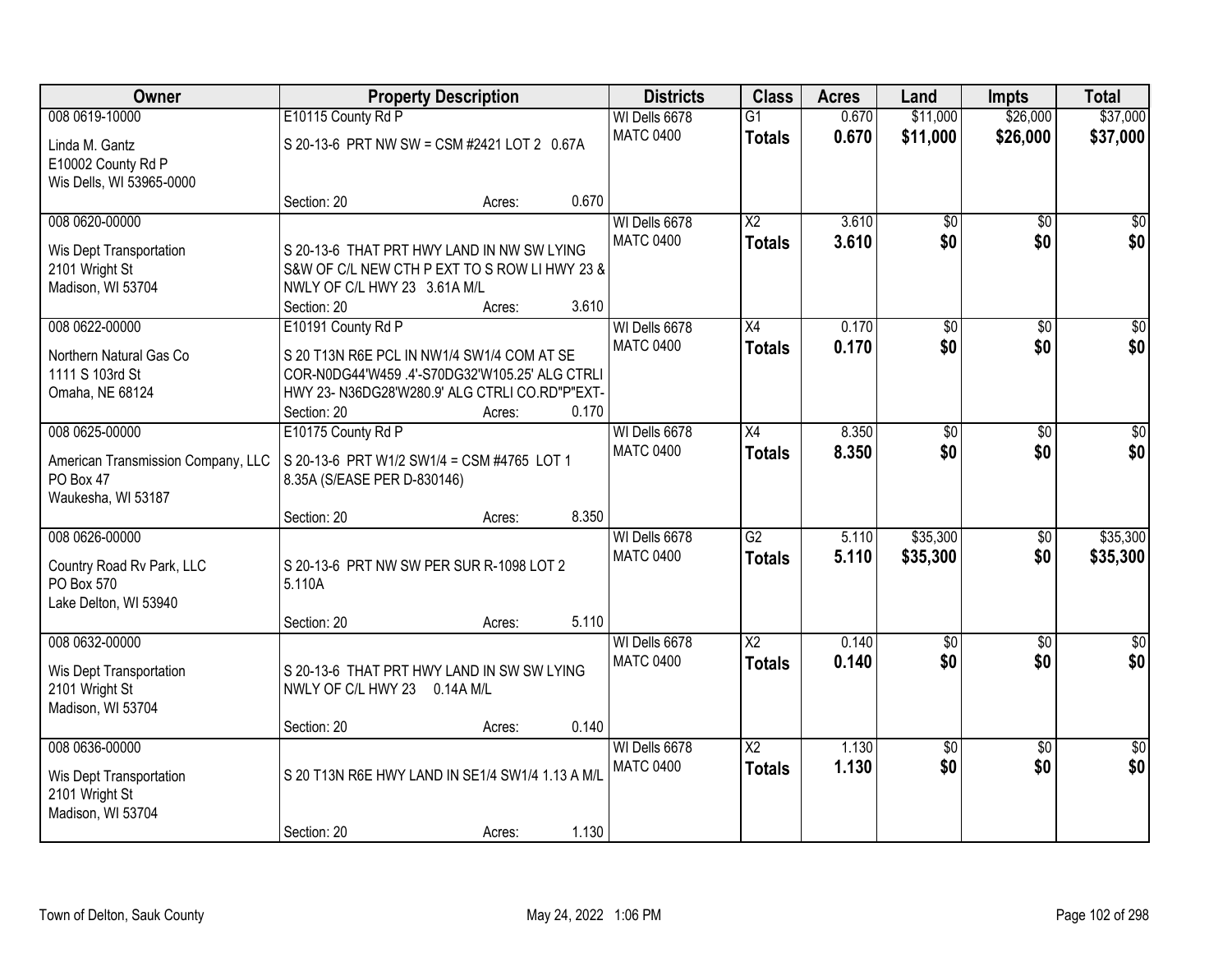| <b>Owner</b>                                                                     | <b>Property Description</b>                                                                                                                                                         |        |       | <b>Districts</b>                  | <b>Class</b>                     | <b>Acres</b>   | Land                   | <b>Impts</b>           | <b>Total</b>            |
|----------------------------------------------------------------------------------|-------------------------------------------------------------------------------------------------------------------------------------------------------------------------------------|--------|-------|-----------------------------------|----------------------------------|----------------|------------------------|------------------------|-------------------------|
| 008 0619-10000                                                                   | E10115 County Rd P                                                                                                                                                                  |        |       | WI Dells 6678                     | $\overline{G1}$                  | 0.670          | \$11,000               | \$26,000               | \$37,000                |
| Linda M. Gantz<br>E10002 County Rd P<br>Wis Dells, WI 53965-0000                 | S 20-13-6 PRT NW SW = CSM #2421 LOT 2 0.67A                                                                                                                                         |        |       | <b>MATC 0400</b>                  | <b>Totals</b>                    | 0.670          | \$11,000               | \$26,000               | \$37,000                |
|                                                                                  | Section: 20                                                                                                                                                                         | Acres: | 0.670 |                                   |                                  |                |                        |                        |                         |
| 008 0620-00000<br>Wis Dept Transportation<br>2101 Wright St<br>Madison, WI 53704 | S 20-13-6 THAT PRT HWY LAND IN NW SW LYING<br>S&W OF C/L NEW CTH P EXT TO S ROW LI HWY 23 &<br>NWLY OF C/L HWY 23 3.61A M/L                                                         |        |       | WI Dells 6678<br><b>MATC 0400</b> | $\overline{X2}$<br><b>Totals</b> | 3.610<br>3.610 | $\overline{50}$<br>\$0 | $\overline{50}$<br>\$0 | $\overline{\$0}$<br>\$0 |
|                                                                                  | Section: 20                                                                                                                                                                         | Acres: | 3.610 |                                   |                                  |                |                        |                        |                         |
| 008 0622-00000<br>Northern Natural Gas Co<br>1111 S 103rd St<br>Omaha, NE 68124  | E10191 County Rd P<br>S 20 T13N R6E PCL IN NW1/4 SW1/4 COM AT SE<br>COR-N0DG44'W459 .4'-S70DG32'W105.25' ALG CTRLI<br>HWY 23- N36DG28'W280.9' ALG CTRLI CO.RD"P"EXT-<br>Section: 20 | Acres: | 0.170 | WI Dells 6678<br><b>MATC 0400</b> | X4<br><b>Totals</b>              | 0.170<br>0.170 | $\overline{50}$<br>\$0 | $\overline{50}$<br>\$0 | $\overline{30}$<br>\$0  |
| 008 0625-00000                                                                   | E10175 County Rd P                                                                                                                                                                  |        |       | WI Dells 6678                     | $\overline{X4}$                  | 8.350          | $\overline{30}$        | $\overline{30}$        | $\overline{50}$         |
| American Transmission Company, LLC<br>PO Box 47<br>Waukesha, WI 53187            | S 20-13-6 PRT W1/2 SW1/4 = CSM #4765 LOT 1<br>8.35A (S/EASE PER D-830146)<br>Section: 20                                                                                            | Acres: | 8.350 | <b>MATC 0400</b>                  | <b>Totals</b>                    | 8.350          | \$0                    | \$0                    | \$0                     |
| 008 0626-00000                                                                   |                                                                                                                                                                                     |        |       | WI Dells 6678                     | $\overline{G2}$                  | 5.110          | \$35,300               | \$0                    | \$35,300                |
| Country Road Rv Park, LLC<br>PO Box 570<br>Lake Delton, WI 53940                 | S 20-13-6 PRT NW SW PER SUR R-1098 LOT 2<br>5.110A<br>Section: 20                                                                                                                   | Acres: | 5.110 | <b>MATC 0400</b>                  | <b>Totals</b>                    | 5.110          | \$35,300               | \$0                    | \$35,300                |
| 008 0632-00000                                                                   |                                                                                                                                                                                     |        |       | WI Dells 6678                     | $\overline{X2}$                  | 0.140          | $\overline{50}$        | \$0                    | $\frac{1}{2}$           |
| Wis Dept Transportation<br>2101 Wright St<br>Madison, WI 53704                   | S 20-13-6 THAT PRT HWY LAND IN SW SW LYING<br>NWLY OF C/L HWY 23 0.14A M/L                                                                                                          |        |       | <b>MATC 0400</b>                  | <b>Totals</b>                    | 0.140          | \$0                    | \$0                    | \$0                     |
|                                                                                  | Section: 20                                                                                                                                                                         | Acres: | 0.140 |                                   |                                  |                |                        |                        |                         |
| 008 0636-00000<br>Wis Dept Transportation<br>2101 Wright St<br>Madison, WI 53704 | S 20 T13N R6E HWY LAND IN SE1/4 SW1/4 1.13 A M/L<br>Section: 20                                                                                                                     | Acres: | 1.130 | WI Dells 6678<br><b>MATC 0400</b> | $\overline{X2}$<br><b>Totals</b> | 1.130<br>1.130 | $\overline{60}$<br>\$0 | $\overline{30}$<br>\$0 | $\overline{30}$<br>\$0  |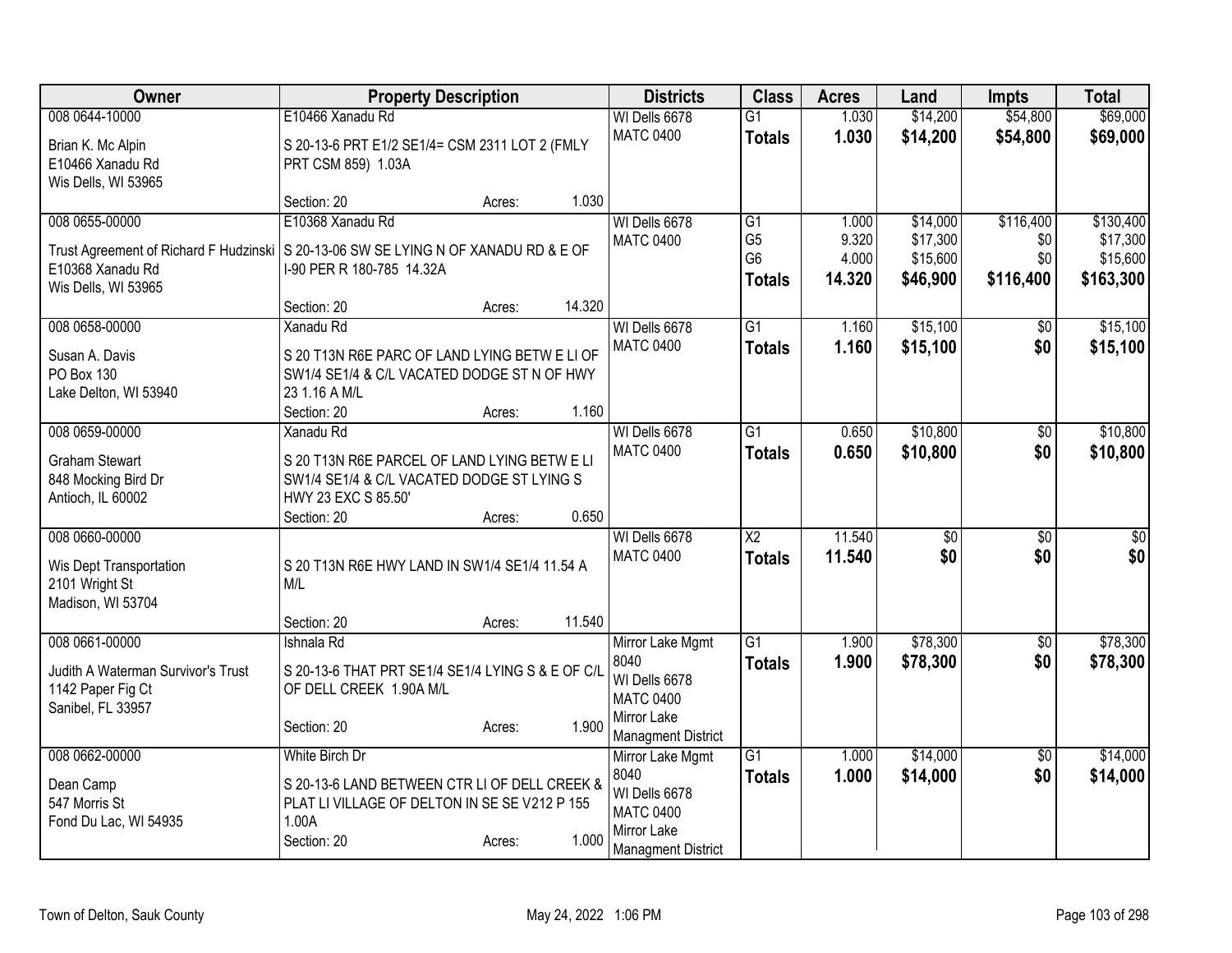| Owner                                  | <b>Property Description</b>                                                           | <b>Districts</b>                | <b>Class</b>           | <b>Acres</b> | Land     | <b>Impts</b>    | <b>Total</b> |
|----------------------------------------|---------------------------------------------------------------------------------------|---------------------------------|------------------------|--------------|----------|-----------------|--------------|
| 008 0644-10000                         | E10466 Xanadu Rd                                                                      | WI Dells 6678                   | $\overline{G1}$        | 1.030        | \$14,200 | \$54,800        | \$69,000     |
| Brian K. Mc Alpin                      | S 20-13-6 PRT E1/2 SE1/4= CSM 2311 LOT 2 (FMLY                                        | <b>MATC 0400</b>                | <b>Totals</b>          | 1.030        | \$14,200 | \$54,800        | \$69,000     |
| E10466 Xanadu Rd                       | PRT CSM 859) 1.03A                                                                    |                                 |                        |              |          |                 |              |
| Wis Dells, WI 53965                    |                                                                                       |                                 |                        |              |          |                 |              |
|                                        | 1.030<br>Section: 20<br>Acres:                                                        |                                 |                        |              |          |                 |              |
| 008 0655-00000                         | E10368 Xanadu Rd                                                                      | WI Dells 6678                   | G1                     | 1.000        | \$14,000 | \$116,400       | \$130,400    |
|                                        | Trust Agreement of Richard F Hudzinski   S 20-13-06 SW SE LYING N OF XANADU RD & E OF | <b>MATC 0400</b>                | G <sub>5</sub>         | 9.320        | \$17,300 | \$0             | \$17,300     |
| E10368 Xanadu Rd                       | I-90 PER R 180-785 14.32A                                                             |                                 | G <sub>6</sub>         | 4.000        | \$15,600 | \$0             | \$15,600     |
| Wis Dells, WI 53965                    |                                                                                       |                                 | <b>Totals</b>          | 14.320       | \$46,900 | \$116,400       | \$163,300    |
|                                        | 14.320<br>Section: 20<br>Acres:                                                       |                                 |                        |              |          |                 |              |
| 008 0658-00000                         | Xanadu Rd                                                                             | WI Dells 6678                   | $\overline{G1}$        | 1.160        | \$15,100 | $\sqrt{6}$      | \$15,100     |
| Susan A. Davis                         | S 20 T13N R6E PARC OF LAND LYING BETW E LI OF                                         | <b>MATC 0400</b>                | <b>Totals</b>          | 1.160        | \$15,100 | \$0             | \$15,100     |
| PO Box 130                             | SW1/4 SE1/4 & C/L VACATED DODGE ST N OF HWY                                           |                                 |                        |              |          |                 |              |
| Lake Delton, WI 53940                  | 23 1.16 A M/L                                                                         |                                 |                        |              |          |                 |              |
|                                        | Section: 20<br>1.160<br>Acres:                                                        |                                 |                        |              |          |                 |              |
| 008 0659-00000                         | Xanadu Rd                                                                             | WI Dells 6678                   | $\overline{G1}$        | 0.650        | \$10,800 | $\overline{50}$ | \$10,800     |
| <b>Graham Stewart</b>                  | S 20 T13N R6E PARCEL OF LAND LYING BETW E LI                                          | <b>MATC 0400</b>                | <b>Totals</b>          | 0.650        | \$10,800 | \$0             | \$10,800     |
| 848 Mocking Bird Dr                    | SW1/4 SE1/4 & C/L VACATED DODGE ST LYING S                                            |                                 |                        |              |          |                 |              |
| Antioch, IL 60002                      | HWY 23 EXC S 85.50'                                                                   |                                 |                        |              |          |                 |              |
|                                        | 0.650<br>Section: 20<br>Acres:                                                        |                                 |                        |              |          |                 |              |
| 008 0660-00000                         |                                                                                       | WI Dells 6678                   | $\overline{\text{X2}}$ | 11.540       | \$0      | \$0             | $\sqrt{50}$  |
| Wis Dept Transportation                | S 20 T13N R6E HWY LAND IN SW1/4 SE1/4 11.54 A                                         | <b>MATC 0400</b>                | <b>Totals</b>          | 11.540       | \$0      | \$0             | \$0          |
| 2101 Wright St                         | M/L                                                                                   |                                 |                        |              |          |                 |              |
| Madison, WI 53704                      |                                                                                       |                                 |                        |              |          |                 |              |
|                                        | 11.540<br>Section: 20<br>Acres:                                                       |                                 |                        |              |          |                 |              |
| 008 0661-00000                         | Ishnala Rd                                                                            | Mirror Lake Mgmt                | $\overline{G1}$        | 1.900        | \$78,300 | $\sqrt{$0}$     | \$78,300     |
| Judith A Waterman Survivor's Trust     | S 20-13-6 THAT PRT SE1/4 SE1/4 LYING S & E OF C/L                                     | 8040                            | <b>Totals</b>          | 1.900        | \$78,300 | \$0             | \$78,300     |
| 1142 Paper Fig Ct                      | OF DELL CREEK 1.90A M/L                                                               | WI Dells 6678                   |                        |              |          |                 |              |
| Sanibel, FL 33957                      |                                                                                       | <b>MATC 0400</b><br>Mirror Lake |                        |              |          |                 |              |
|                                        | 1.900<br>Section: 20<br>Acres:                                                        | <b>Managment District</b>       |                        |              |          |                 |              |
| 008 0662-00000                         | White Birch Dr                                                                        | Mirror Lake Mgmt                | $\overline{G1}$        | 1.000        | \$14,000 | $\overline{50}$ | \$14,000     |
|                                        |                                                                                       | 8040                            | <b>Totals</b>          | 1.000        | \$14,000 | \$0             | \$14,000     |
| Dean Camp                              | S 20-13-6 LAND BETWEEN CTR LI OF DELL CREEK &                                         | WI Dells 6678                   |                        |              |          |                 |              |
| 547 Morris St<br>Fond Du Lac, WI 54935 | PLAT LI VILLAGE OF DELTON IN SE SE V212 P 155<br>1.00A                                | <b>MATC 0400</b>                |                        |              |          |                 |              |
|                                        | 1.000<br>Section: 20<br>Acres:                                                        | Mirror Lake                     |                        |              |          |                 |              |
|                                        |                                                                                       | <b>Managment District</b>       |                        |              |          |                 |              |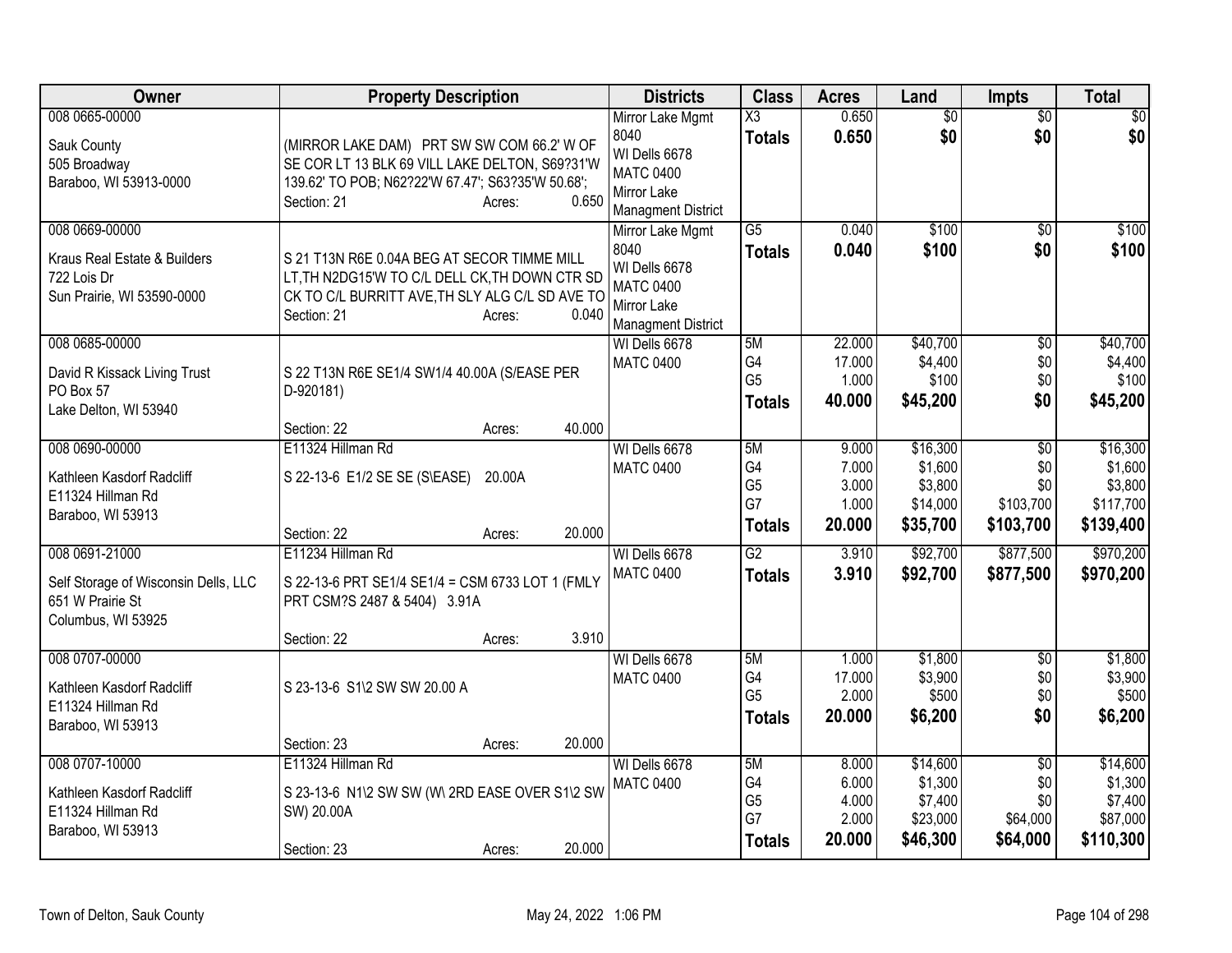| Owner                                                                                       | <b>Property Description</b>                                                                                                                                      |                  |        | <b>Districts</b>                                                                                          | <b>Class</b>                                      | <b>Acres</b>                               | Land                                                   | <b>Impts</b>                                            | <b>Total</b>                                             |
|---------------------------------------------------------------------------------------------|------------------------------------------------------------------------------------------------------------------------------------------------------------------|------------------|--------|-----------------------------------------------------------------------------------------------------------|---------------------------------------------------|--------------------------------------------|--------------------------------------------------------|---------------------------------------------------------|----------------------------------------------------------|
| 008 0665-00000<br>Sauk County<br>505 Broadway<br>Baraboo, WI 53913-0000                     | (MIRROR LAKE DAM) PRT SW SW COM 66.2' W OF<br>SE COR LT 13 BLK 69 VILL LAKE DELTON, S69?31'W<br>139.62' TO POB; N62?22'W 67.47'; S63?35'W 50.68';<br>Section: 21 | Acres:           | 0.650  | Mirror Lake Mgmt<br>8040<br>WI Dells 6678<br><b>MATC 0400</b><br>Mirror Lake<br><b>Managment District</b> | X3<br><b>Totals</b>                               | 0.650<br>0.650                             | $\overline{50}$<br>\$0                                 | $\overline{50}$<br>\$0                                  | $\sqrt{50}$<br>\$0                                       |
| 008 0669-00000<br>Kraus Real Estate & Builders<br>722 Lois Dr<br>Sun Prairie, WI 53590-0000 | S 21 T13N R6E 0.04A BEG AT SECOR TIMME MILL<br>LT, TH N2DG15'W TO C/L DELL CK, TH DOWN CTR SD<br>CK TO C/L BURRITT AVE, TH SLY ALG C/L SD AVE TO<br>Section: 21  | Acres:           | 0.040  | Mirror Lake Mgmt<br>8040<br>WI Dells 6678<br><b>MATC 0400</b><br>Mirror Lake<br><b>Managment District</b> | $\overline{G5}$<br><b>Totals</b>                  | 0.040<br>0.040                             | \$100<br>\$100                                         | $\overline{50}$<br>\$0                                  | \$100<br>\$100                                           |
| 008 0685-00000<br>David R Kissack Living Trust<br>PO Box 57<br>Lake Delton, WI 53940        | S 22 T13N R6E SE1/4 SW1/4 40.00A (S/EASE PER<br>D-920181)                                                                                                        |                  |        | WI Dells 6678<br><b>MATC 0400</b>                                                                         | 5M<br>G4<br>G <sub>5</sub><br><b>Totals</b>       | 22.000<br>17.000<br>1.000<br>40.000        | \$40,700<br>\$4,400<br>\$100<br>\$45,200               | \$0<br>\$0<br>\$0<br>\$0                                | \$40,700<br>\$4,400<br>\$100<br>\$45,200                 |
|                                                                                             | Section: 22                                                                                                                                                      | Acres:           | 40.000 |                                                                                                           |                                                   |                                            |                                                        |                                                         |                                                          |
| 008 0690-00000<br>Kathleen Kasdorf Radcliff<br>E11324 Hillman Rd<br>Baraboo, WI 53913       | E11324 Hillman Rd<br>S 22-13-6 E1/2 SE SE (S\EASE)<br>Section: 22                                                                                                | 20.00A<br>Acres: | 20.000 | WI Dells 6678<br><b>MATC 0400</b>                                                                         | 5M<br>G4<br>G <sub>5</sub><br>G7<br><b>Totals</b> | 9.000<br>7.000<br>3.000<br>1.000<br>20.000 | \$16,300<br>\$1,600<br>\$3,800<br>\$14,000<br>\$35,700 | $\overline{50}$<br>\$0<br>\$0<br>\$103,700<br>\$103,700 | \$16,300<br>\$1,600<br>\$3,800<br>\$117,700<br>\$139,400 |
| 008 0691-21000                                                                              | E11234 Hillman Rd                                                                                                                                                |                  |        | WI Dells 6678                                                                                             | $\overline{G2}$                                   | 3.910                                      | \$92,700                                               | \$877,500                                               | \$970,200                                                |
| Self Storage of Wisconsin Dells, LLC<br>651 W Prairie St<br>Columbus, WI 53925              | S 22-13-6 PRT SE1/4 SE1/4 = CSM 6733 LOT 1 (FMLY<br>PRT CSM?S 2487 & 5404) 3.91A<br>Section: 22                                                                  | Acres:           | 3.910  | <b>MATC 0400</b>                                                                                          | <b>Totals</b>                                     | 3.910                                      | \$92,700                                               | \$877,500                                               | \$970,200                                                |
| 008 0707-00000<br>Kathleen Kasdorf Radcliff<br>E11324 Hillman Rd<br>Baraboo, WI 53913       | S 23-13-6 S1\2 SW SW 20.00 A                                                                                                                                     |                  |        | WI Dells 6678<br><b>MATC 0400</b>                                                                         | 5M<br>G4<br>G <sub>5</sub><br><b>Totals</b>       | 1.000<br>17.000<br>2.000<br>20.000         | \$1,800<br>\$3,900<br>\$500<br>\$6,200                 | $\overline{50}$<br>\$0<br>\$0<br>\$0                    | \$1,800<br>\$3,900<br>\$500<br>\$6,200                   |
|                                                                                             | Section: 23                                                                                                                                                      | Acres:           | 20.000 |                                                                                                           |                                                   |                                            |                                                        |                                                         |                                                          |
| 008 0707-10000<br>Kathleen Kasdorf Radcliff<br>E11324 Hillman Rd<br>Baraboo, WI 53913       | E11324 Hillman Rd<br>S 23-13-6 N1\2 SW SW (W\ 2RD EASE OVER S1\2 SW<br>SW) 20.00A<br>Section: 23                                                                 | Acres:           | 20.000 | WI Dells 6678<br><b>MATC 0400</b>                                                                         | 5M<br>G4<br>G <sub>5</sub><br>G7<br><b>Totals</b> | 8.000<br>6.000<br>4.000<br>2.000<br>20.000 | \$14,600<br>\$1,300<br>\$7,400<br>\$23,000<br>\$46,300 | $\overline{50}$<br>\$0<br>\$0<br>\$64,000<br>\$64,000   | \$14,600<br>\$1,300<br>\$7,400<br>\$87,000<br>\$110,300  |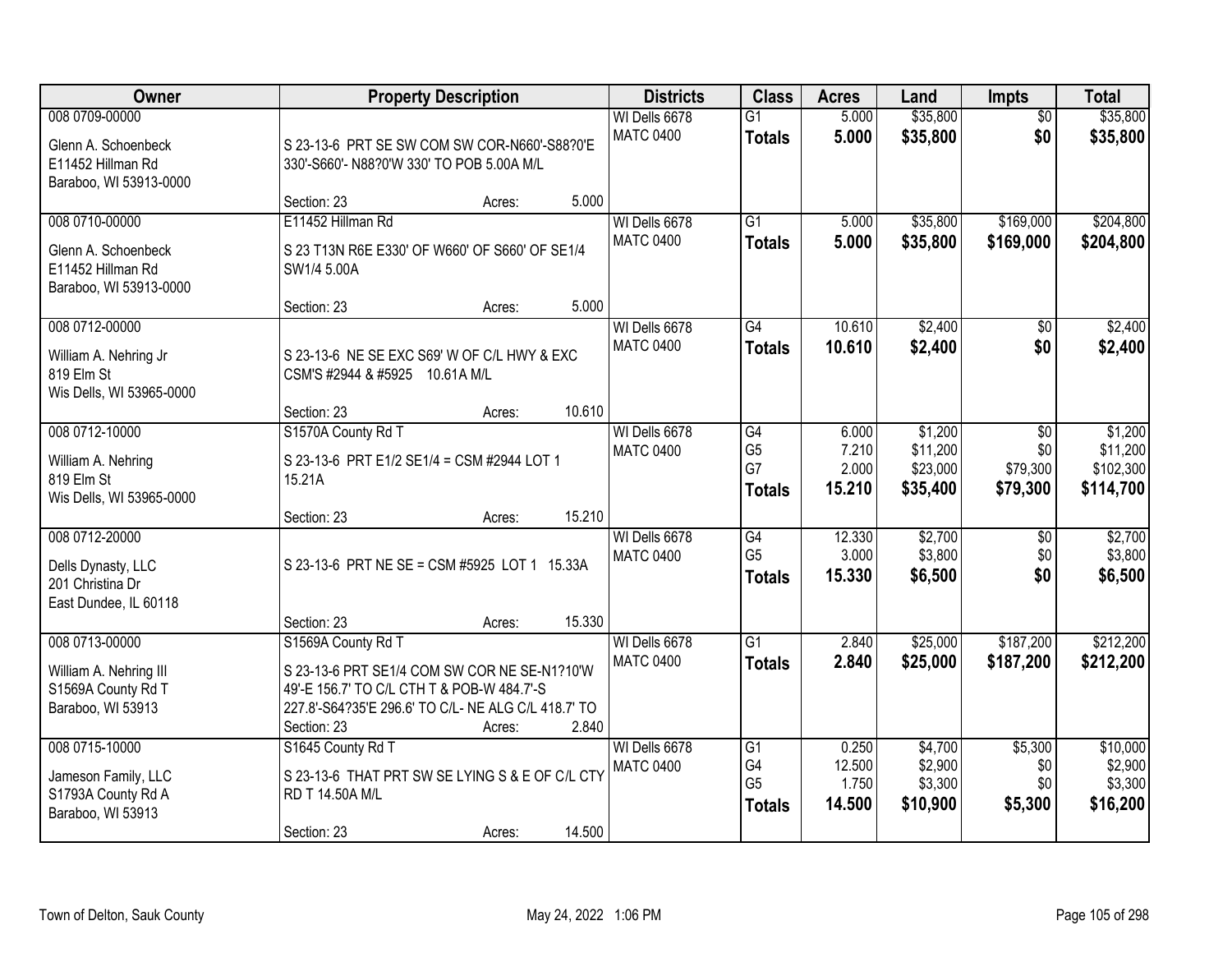| Owner                                                                                | <b>Property Description</b>                                                                                                                                                                               | <b>Districts</b>                  | <b>Class</b>                                             | <b>Acres</b>                       | Land                                        | <b>Impts</b>                              | <b>Total</b>                                  |
|--------------------------------------------------------------------------------------|-----------------------------------------------------------------------------------------------------------------------------------------------------------------------------------------------------------|-----------------------------------|----------------------------------------------------------|------------------------------------|---------------------------------------------|-------------------------------------------|-----------------------------------------------|
| 008 0709-00000<br>Glenn A. Schoenbeck<br>E11452 Hillman Rd<br>Baraboo, WI 53913-0000 | S 23-13-6 PRT SE SW COM SW COR-N660'-S88?0'E<br>330'-S660'- N88?0'W 330' TO POB 5.00A M/L                                                                                                                 | WI Dells 6678<br><b>MATC 0400</b> | $\overline{G1}$<br><b>Totals</b>                         | 5.000<br>5.000                     | \$35,800<br>\$35,800                        | $\overline{50}$<br>\$0                    | \$35,800<br>\$35,800                          |
|                                                                                      | 5.000<br>Section: 23<br>Acres:                                                                                                                                                                            |                                   |                                                          |                                    |                                             |                                           |                                               |
| 008 0710-00000<br>Glenn A. Schoenbeck<br>E11452 Hillman Rd<br>Baraboo, WI 53913-0000 | E11452 Hillman Rd<br>S 23 T13N R6E E330' OF W660' OF S660' OF SE1/4<br>SW1/4 5.00A<br>5.000<br>Section: 23<br>Acres:                                                                                      | WI Dells 6678<br><b>MATC 0400</b> | $\overline{G1}$<br><b>Totals</b>                         | 5.000<br>5.000                     | \$35,800<br>\$35,800                        | \$169,000<br>\$169,000                    | \$204,800<br>\$204,800                        |
| 008 0712-00000                                                                       |                                                                                                                                                                                                           | WI Dells 6678                     | G4                                                       | 10.610                             | \$2,400                                     | \$0                                       | \$2,400                                       |
| William A. Nehring Jr<br>819 Elm St<br>Wis Dells, WI 53965-0000                      | S 23-13-6 NE SE EXC S69' W OF C/L HWY & EXC<br>CSM'S #2944 & #5925 10.61A M/L                                                                                                                             | <b>MATC 0400</b>                  | <b>Totals</b>                                            | 10.610                             | \$2,400                                     | \$0                                       | \$2,400                                       |
|                                                                                      | 10.610<br>Section: 23<br>Acres:                                                                                                                                                                           |                                   |                                                          |                                    |                                             |                                           |                                               |
| 008 0712-10000<br>William A. Nehring<br>819 Elm St<br>Wis Dells, WI 53965-0000       | S1570A County Rd T<br>S 23-13-6 PRT E1/2 SE1/4 = CSM #2944 LOT 1<br>15.21A                                                                                                                                | WI Dells 6678<br><b>MATC 0400</b> | G4<br>G <sub>5</sub><br>G7<br><b>Totals</b>              | 6.000<br>7.210<br>2.000<br>15.210  | \$1,200<br>\$11,200<br>\$23,000<br>\$35,400 | $\sqrt{6}$<br>\$0<br>\$79,300<br>\$79,300 | \$1,200<br>\$11,200<br>\$102,300<br>\$114,700 |
|                                                                                      | 15.210<br>Section: 23<br>Acres:                                                                                                                                                                           |                                   |                                                          |                                    |                                             |                                           |                                               |
| 008 0712-20000<br>Dells Dynasty, LLC<br>201 Christina Dr<br>East Dundee, IL 60118    | S 23-13-6 PRT NE SE = CSM #5925 LOT 1 15.33A                                                                                                                                                              | WI Dells 6678<br><b>MATC 0400</b> | $\overline{G4}$<br>G <sub>5</sub><br><b>Totals</b>       | 12.330<br>3.000<br>15.330          | \$2,700<br>\$3,800<br>\$6,500               | $\overline{50}$<br>\$0<br>\$0             | \$2,700<br>\$3,800<br>\$6,500                 |
|                                                                                      | 15.330<br>Section: 23<br>Acres:                                                                                                                                                                           |                                   |                                                          |                                    |                                             |                                           |                                               |
| 008 0713-00000<br>William A. Nehring III<br>S1569A County Rd T<br>Baraboo, WI 53913  | S1569A County Rd T<br>S 23-13-6 PRT SE1/4 COM SW COR NE SE-N1?10'W<br>49'-E 156.7' TO C/L CTH T & POB-W 484.7'-S<br>227.8'-S64?35'E 296.6' TO C/L- NE ALG C/L 418.7' TO<br>2.840<br>Section: 23<br>Acres: | WI Dells 6678<br><b>MATC 0400</b> | $\overline{G1}$<br><b>Totals</b>                         | 2.840<br>2.840                     | \$25,000<br>\$25,000                        | \$187,200<br>\$187,200                    | \$212,200<br>\$212,200                        |
| 008 0715-10000<br>Jameson Family, LLC<br>S1793A County Rd A<br>Baraboo, WI 53913     | S1645 County Rd T<br>S 23-13-6 THAT PRT SW SE LYING S & E OF C/L CTY<br>RD T 14.50A M/L<br>14.500<br>Section: 23<br>Acres:                                                                                | WI Dells 6678<br><b>MATC 0400</b> | $\overline{G1}$<br>G4<br>G <sub>5</sub><br><b>Totals</b> | 0.250<br>12.500<br>1.750<br>14.500 | \$4,700<br>\$2,900<br>\$3,300<br>\$10,900   | \$5,300<br>\$0<br>\$0<br>\$5,300          | \$10,000<br>\$2,900<br>\$3,300<br>\$16,200    |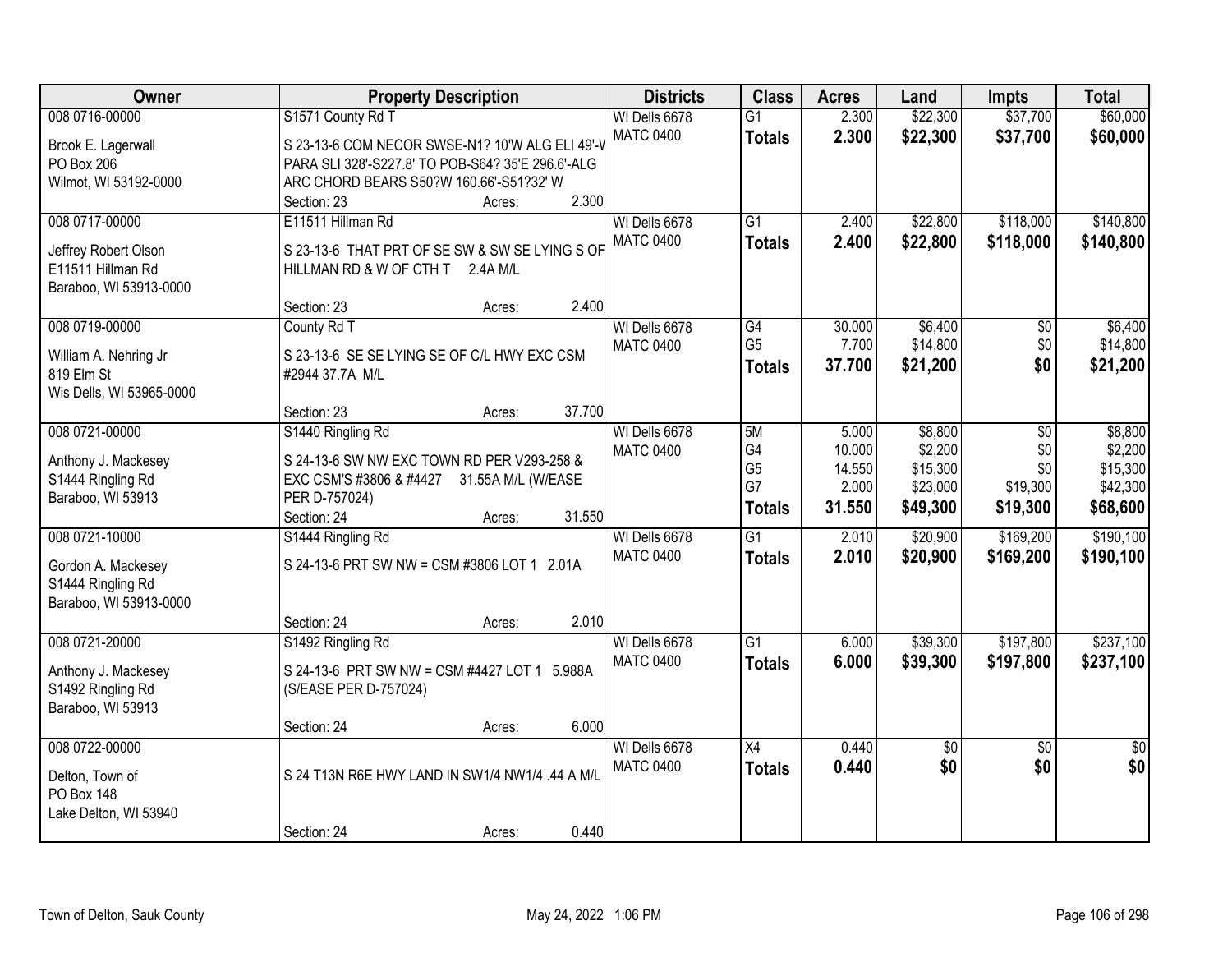| Owner                                     | <b>Property Description</b>                       | <b>Districts</b> | <b>Class</b>         | <b>Acres</b> | Land     | <b>Impts</b>    | <b>Total</b>    |
|-------------------------------------------|---------------------------------------------------|------------------|----------------------|--------------|----------|-----------------|-----------------|
| 008 0716-00000                            | S1571 County Rd T                                 | WI Dells 6678    | $\overline{G1}$      | 2.300        | \$22,300 | \$37,700        | \$60,000        |
| Brook E. Lagerwall                        | S 23-13-6 COM NECOR SWSE-N1? 10'W ALG ELI 49'-V   | <b>MATC 0400</b> | <b>Totals</b>        | 2.300        | \$22,300 | \$37,700        | \$60,000        |
| PO Box 206                                | PARA SLI 328'-S227.8' TO POB-S64? 35'E 296.6'-ALG |                  |                      |              |          |                 |                 |
| Wilmot, WI 53192-0000                     | ARC CHORD BEARS S50?W 160.66'-S51?32' W           |                  |                      |              |          |                 |                 |
|                                           | 2.300<br>Section: 23<br>Acres:                    |                  |                      |              |          |                 |                 |
| 008 0717-00000                            | E11511 Hillman Rd                                 | WI Dells 6678    | $\overline{G1}$      | 2.400        | \$22,800 | \$118,000       | \$140,800       |
|                                           |                                                   | <b>MATC 0400</b> | <b>Totals</b>        | 2.400        | \$22,800 | \$118,000       | \$140,800       |
| Jeffrey Robert Olson<br>E11511 Hillman Rd | S 23-13-6 THAT PRT OF SE SW & SW SE LYING S OF    |                  |                      |              |          |                 |                 |
| Baraboo, WI 53913-0000                    | HILLMAN RD & W OF CTH T 2.4A M/L                  |                  |                      |              |          |                 |                 |
|                                           | 2.400<br>Section: 23<br>Acres:                    |                  |                      |              |          |                 |                 |
| 008 0719-00000                            | County Rd T                                       | WI Dells 6678    | G4                   | 30.000       | \$6,400  | \$0             | \$6,400         |
|                                           |                                                   | <b>MATC 0400</b> | G <sub>5</sub>       | 7.700        | \$14,800 | \$0             | \$14,800        |
| William A. Nehring Jr                     | S 23-13-6 SE SE LYING SE OF C/L HWY EXC CSM       |                  | <b>Totals</b>        | 37.700       | \$21,200 | \$0             | \$21,200        |
| 819 Elm St                                | #2944 37.7A M/L                                   |                  |                      |              |          |                 |                 |
| Wis Dells, WI 53965-0000                  |                                                   |                  |                      |              |          |                 |                 |
|                                           | 37.700<br>Section: 23<br>Acres:                   |                  |                      |              |          |                 |                 |
| 008 0721-00000                            | S1440 Ringling Rd                                 | WI Dells 6678    | 5M                   | 5.000        | \$8,800  | \$0             | \$8,800         |
| Anthony J. Mackesey                       | S 24-13-6 SW NW EXC TOWN RD PER V293-258 &        | <b>MATC 0400</b> | G4                   | 10.000       | \$2,200  | \$0             | \$2,200         |
| S1444 Ringling Rd                         | EXC CSM'S #3806 & #4427 31.55A M/L (W/EASE        |                  | G <sub>5</sub><br>G7 | 14.550       | \$15,300 | \$0             | \$15,300        |
| Baraboo, WI 53913                         | PER D-757024)                                     |                  |                      | 2.000        | \$23,000 | \$19,300        | \$42,300        |
|                                           | 31.550<br>Section: 24<br>Acres:                   |                  | <b>Totals</b>        | 31.550       | \$49,300 | \$19,300        | \$68,600        |
| 008 0721-10000                            | S1444 Ringling Rd                                 | WI Dells 6678    | $\overline{G1}$      | 2.010        | \$20,900 | \$169,200       | \$190,100       |
|                                           | S 24-13-6 PRT SW NW = CSM #3806 LOT 1 2.01A       | <b>MATC 0400</b> | <b>Totals</b>        | 2.010        | \$20,900 | \$169,200       | \$190,100       |
| Gordon A. Mackesey<br>S1444 Ringling Rd   |                                                   |                  |                      |              |          |                 |                 |
| Baraboo, WI 53913-0000                    |                                                   |                  |                      |              |          |                 |                 |
|                                           | 2.010<br>Section: 24<br>Acres:                    |                  |                      |              |          |                 |                 |
| 008 0721-20000                            | S1492 Ringling Rd                                 | WI Dells 6678    | $\overline{G1}$      | 6.000        | \$39,300 | \$197,800       | \$237,100       |
|                                           |                                                   | <b>MATC 0400</b> | <b>Totals</b>        | 6.000        | \$39,300 | \$197,800       | \$237,100       |
| Anthony J. Mackesey                       | S 24-13-6 PRT SW NW = CSM #4427 LOT 1 5.988A      |                  |                      |              |          |                 |                 |
| S1492 Ringling Rd                         | (S/EASE PER D-757024)                             |                  |                      |              |          |                 |                 |
| Baraboo, WI 53913                         |                                                   |                  |                      |              |          |                 |                 |
|                                           | 6.000<br>Section: 24<br>Acres:                    |                  |                      |              |          |                 |                 |
| 008 0722-00000                            |                                                   | WI Dells 6678    | $\overline{X4}$      | 0.440        | \$0      | $\overline{50}$ | $\overline{50}$ |
| Delton, Town of                           | S 24 T13N R6E HWY LAND IN SW1/4 NW1/4 .44 A M/L   | <b>MATC 0400</b> | <b>Totals</b>        | 0.440        | \$0      | \$0             | \$0             |
| <b>PO Box 148</b>                         |                                                   |                  |                      |              |          |                 |                 |
| Lake Delton, WI 53940                     |                                                   |                  |                      |              |          |                 |                 |
|                                           | 0.440<br>Section: 24<br>Acres:                    |                  |                      |              |          |                 |                 |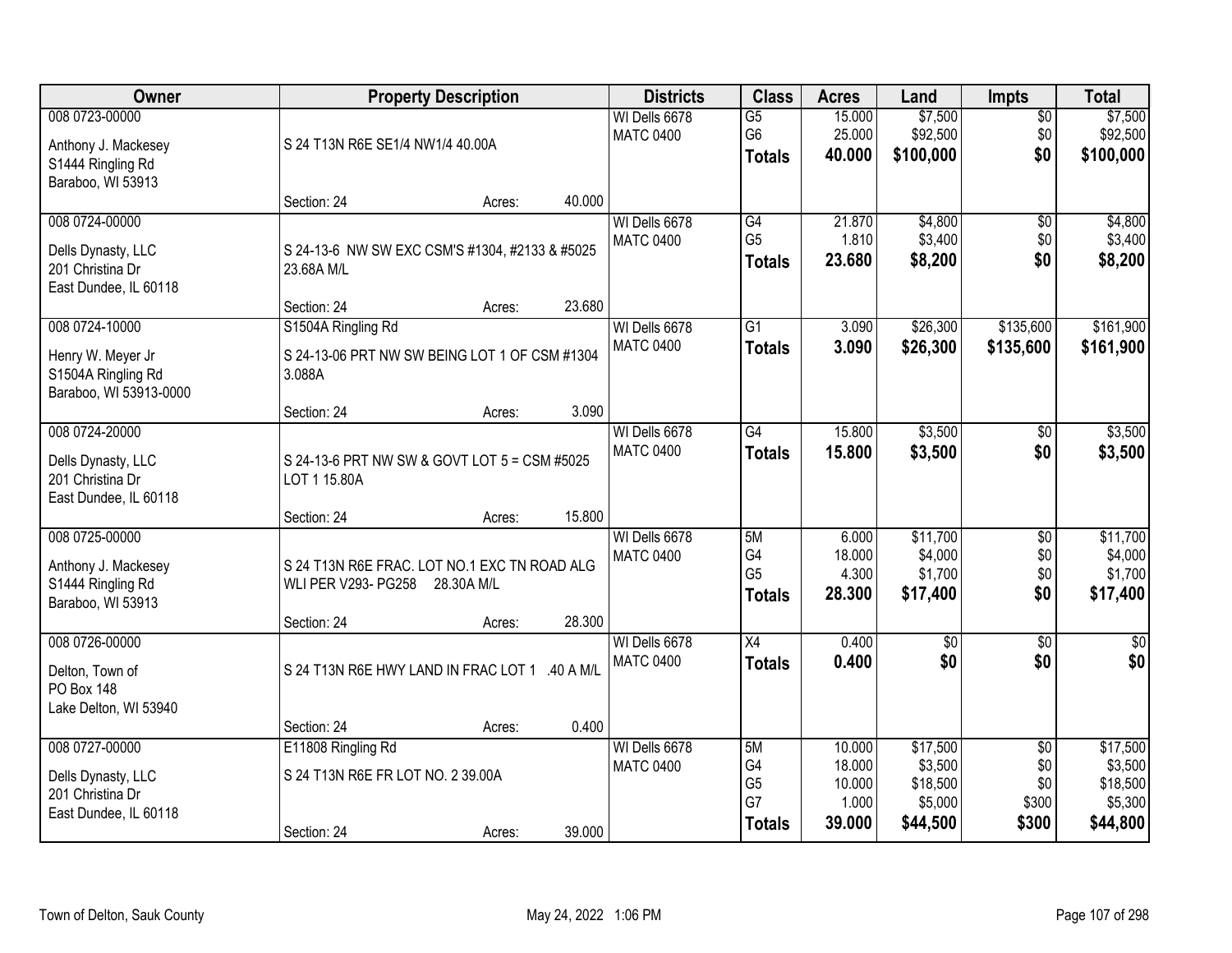| Owner                                                                             |                                                                                           | <b>Property Description</b> |        |                                   | <b>Class</b>                                       | <b>Acres</b>                        | Land                                       | Impts                                | <b>Total</b>                               |
|-----------------------------------------------------------------------------------|-------------------------------------------------------------------------------------------|-----------------------------|--------|-----------------------------------|----------------------------------------------------|-------------------------------------|--------------------------------------------|--------------------------------------|--------------------------------------------|
| 008 0723-00000<br>Anthony J. Mackesey<br>S1444 Ringling Rd<br>Baraboo, WI 53913   | S 24 T13N R6E SE1/4 NW1/4 40.00A                                                          |                             |        | WI Dells 6678<br><b>MATC 0400</b> | $\overline{G5}$<br>G6<br><b>Totals</b>             | 15.000<br>25.000<br>40.000          | \$7,500<br>\$92,500<br>\$100,000           | $\overline{50}$<br>\$0<br>\$0        | \$7,500<br>\$92,500<br>\$100,000           |
|                                                                                   | Section: 24                                                                               | Acres:                      | 40.000 |                                   |                                                    |                                     |                                            |                                      |                                            |
| 008 0724-00000<br>Dells Dynasty, LLC<br>201 Christina Dr<br>East Dundee, IL 60118 | S 24-13-6 NW SW EXC CSM'S #1304, #2133 & #5025<br>23.68A M/L<br>Section: 24               | Acres:                      | 23.680 | WI Dells 6678<br><b>MATC 0400</b> | $\overline{G4}$<br>G <sub>5</sub><br><b>Totals</b> | 21.870<br>1.810<br>23.680           | \$4,800<br>\$3,400<br>\$8,200              | $\overline{50}$<br>\$0<br>\$0        | \$4,800<br>\$3,400<br>\$8,200              |
| 008 0724-10000                                                                    | S1504A Ringling Rd                                                                        |                             |        | WI Dells 6678                     | $\overline{G1}$                                    | 3.090                               | \$26,300                                   | \$135,600                            | \$161,900                                  |
| Henry W. Meyer Jr<br>S1504A Ringling Rd<br>Baraboo, WI 53913-0000                 | S 24-13-06 PRT NW SW BEING LOT 1 OF CSM #1304<br>3.088A                                   |                             |        | <b>MATC 0400</b>                  | <b>Totals</b>                                      | 3.090                               | \$26,300                                   | \$135,600                            | \$161,900                                  |
|                                                                                   | Section: 24                                                                               | Acres:                      | 3.090  |                                   |                                                    |                                     |                                            |                                      |                                            |
| 008 0724-20000<br>Dells Dynasty, LLC<br>201 Christina Dr<br>East Dundee, IL 60118 | S 24-13-6 PRT NW SW & GOVT LOT 5 = CSM #5025<br>LOT 1 15.80A                              |                             |        | WI Dells 6678<br><b>MATC 0400</b> | $\overline{G4}$<br><b>Totals</b>                   | 15.800<br>15.800                    | \$3,500<br>\$3,500                         | \$0<br>\$0                           | \$3,500<br>\$3,500                         |
|                                                                                   | Section: 24                                                                               | Acres:                      | 15.800 |                                   |                                                    |                                     |                                            |                                      |                                            |
| 008 0725-00000<br>Anthony J. Mackesey<br>S1444 Ringling Rd<br>Baraboo, WI 53913   | S 24 T13N R6E FRAC. LOT NO.1 EXC TN ROAD ALG<br><b>WLI PER V293- PG258</b><br>Section: 24 | 28.30A M/L<br>Acres:        | 28.300 | WI Dells 6678<br><b>MATC 0400</b> | 5M<br>G4<br>G <sub>5</sub><br><b>Totals</b>        | 6.000<br>18.000<br>4.300<br>28.300  | \$11,700<br>\$4,000<br>\$1,700<br>\$17,400 | $\overline{50}$<br>\$0<br>\$0<br>\$0 | \$11,700<br>\$4,000<br>\$1,700<br>\$17,400 |
| 008 0726-00000<br>Delton, Town of<br><b>PO Box 148</b><br>Lake Delton, WI 53940   | S 24 T13N R6E HWY LAND IN FRAC LOT 1 .40 A M/L                                            |                             |        | WI Dells 6678<br><b>MATC 0400</b> | X4<br><b>Totals</b>                                | 0.400<br>0.400                      | $\sqrt{50}$<br>\$0                         | $\overline{60}$<br>\$0               | $\frac{1}{6}$<br>\$0                       |
| 008 0727-00000                                                                    | Section: 24<br>E11808 Ringling Rd                                                         | Acres:                      | 0.400  | WI Dells 6678                     | 5M                                                 | 10.000                              | \$17,500                                   | $\overline{50}$                      | \$17,500                                   |
| Dells Dynasty, LLC<br>201 Christina Dr<br>East Dundee, IL 60118                   | S 24 T13N R6E FR LOT NO. 2 39.00A<br>Section: 24                                          | Acres:                      | 39.000 | <b>MATC 0400</b>                  | G4<br>G <sub>5</sub><br>G7<br><b>Totals</b>        | 18.000<br>10.000<br>1.000<br>39.000 | \$3,500<br>\$18,500<br>\$5,000<br>\$44,500 | \$0<br>\$0<br>\$300<br>\$300         | \$3,500<br>\$18,500<br>\$5,300<br>\$44,800 |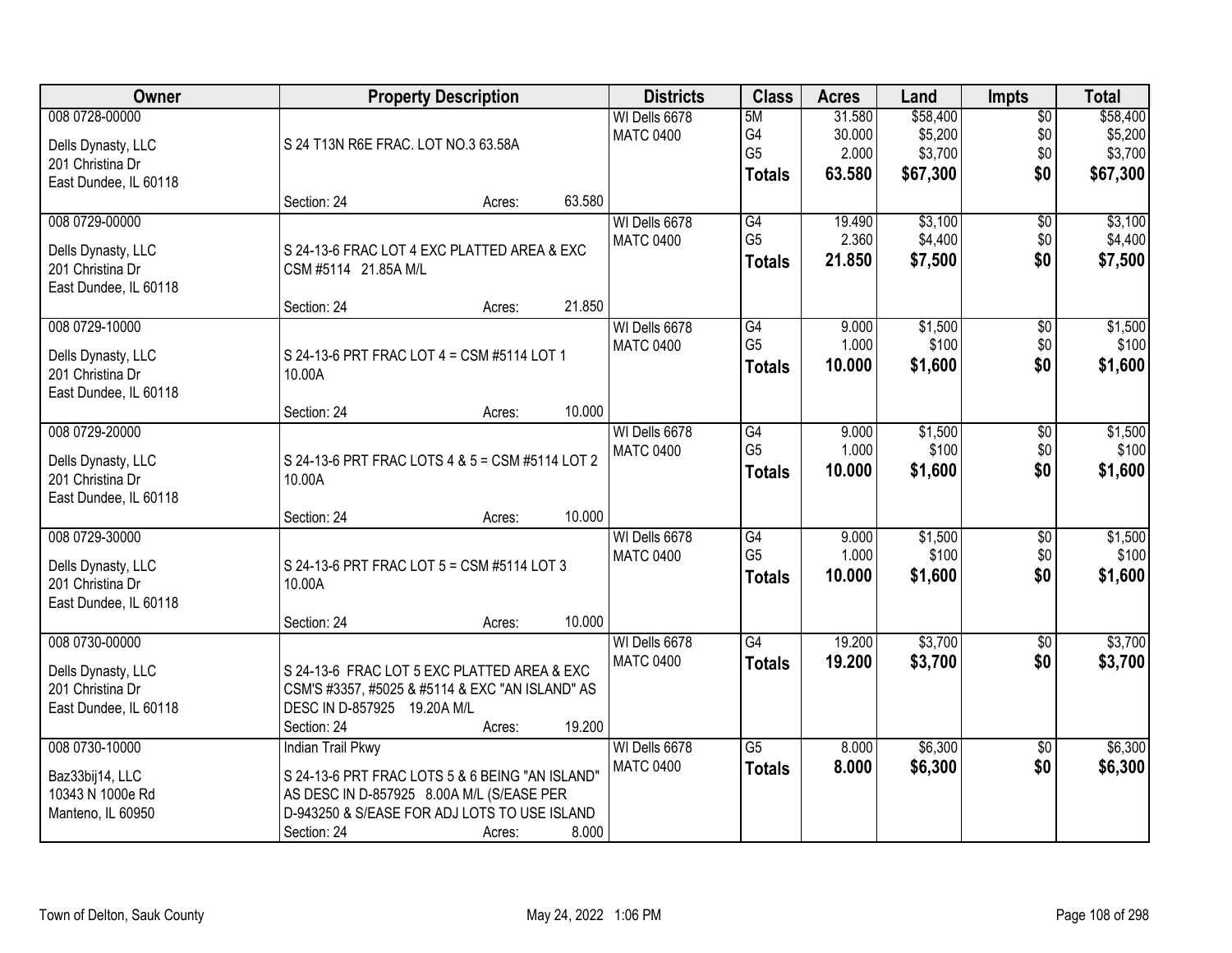| Owner                                  | <b>Property Description</b>                                         |        |        | <b>Districts</b> | <b>Class</b>    | <b>Acres</b> | Land     | <b>Impts</b>    | <b>Total</b> |
|----------------------------------------|---------------------------------------------------------------------|--------|--------|------------------|-----------------|--------------|----------|-----------------|--------------|
| 008 0728-00000                         |                                                                     |        |        | WI Dells 6678    | 5M              | 31.580       | \$58,400 | $\overline{50}$ | \$58,400     |
| Dells Dynasty, LLC                     | S 24 T13N R6E FRAC. LOT NO.3 63.58A                                 |        |        | <b>MATC 0400</b> | G4              | 30.000       | \$5,200  | \$0             | \$5,200      |
| 201 Christina Dr                       |                                                                     |        |        |                  | G <sub>5</sub>  | 2.000        | \$3,700  | \$0             | \$3,700      |
| East Dundee, IL 60118                  |                                                                     |        |        |                  | <b>Totals</b>   | 63.580       | \$67,300 | \$0             | \$67,300     |
|                                        | Section: 24                                                         | Acres: | 63.580 |                  |                 |              |          |                 |              |
| 008 0729-00000                         |                                                                     |        |        | WI Dells 6678    | G4              | 19.490       | \$3,100  | $\overline{50}$ | \$3,100      |
|                                        |                                                                     |        |        | <b>MATC 0400</b> | G <sub>5</sub>  | 2.360        | \$4,400  | \$0             | \$4,400      |
| Dells Dynasty, LLC<br>201 Christina Dr | S 24-13-6 FRAC LOT 4 EXC PLATTED AREA & EXC<br>CSM #5114 21.85A M/L |        |        |                  | <b>Totals</b>   | 21.850       | \$7,500  | \$0             | \$7,500      |
| East Dundee, IL 60118                  |                                                                     |        |        |                  |                 |              |          |                 |              |
|                                        | Section: 24                                                         | Acres: | 21.850 |                  |                 |              |          |                 |              |
| 008 0729-10000                         |                                                                     |        |        | WI Dells 6678    | G4              | 9.000        | \$1,500  | $\overline{50}$ | \$1,500      |
|                                        |                                                                     |        |        | <b>MATC 0400</b> | G <sub>5</sub>  | 1.000        | \$100    | \$0             | \$100        |
| Dells Dynasty, LLC                     | S 24-13-6 PRT FRAC LOT 4 = CSM #5114 LOT 1                          |        |        |                  | <b>Totals</b>   | 10.000       | \$1,600  | \$0             | \$1,600      |
| 201 Christina Dr                       | 10.00A                                                              |        |        |                  |                 |              |          |                 |              |
| East Dundee, IL 60118                  | Section: 24                                                         | Acres: | 10.000 |                  |                 |              |          |                 |              |
| 008 0729-20000                         |                                                                     |        |        | WI Dells 6678    | G4              | 9.000        | \$1,500  | \$0             | \$1,500      |
|                                        |                                                                     |        |        | <b>MATC 0400</b> | G <sub>5</sub>  | 1.000        | \$100    | \$0             | \$100        |
| Dells Dynasty, LLC                     | S 24-13-6 PRT FRAC LOTS 4 & 5 = CSM #5114 LOT 2                     |        |        |                  | <b>Totals</b>   | 10.000       | \$1,600  | \$0             | \$1,600      |
| 201 Christina Dr                       | 10.00A                                                              |        |        |                  |                 |              |          |                 |              |
| East Dundee, IL 60118                  |                                                                     |        |        |                  |                 |              |          |                 |              |
|                                        | Section: 24                                                         | Acres: | 10.000 |                  |                 |              |          |                 |              |
| 008 0729-30000                         |                                                                     |        |        | WI Dells 6678    | $\overline{G4}$ | 9.000        | \$1,500  | $\overline{30}$ | \$1,500      |
| Dells Dynasty, LLC                     | S 24-13-6 PRT FRAC LOT 5 = CSM #5114 LOT 3                          |        |        | <b>MATC 0400</b> | G <sub>5</sub>  | 1.000        | \$100    | \$0             | \$100        |
| 201 Christina Dr                       | 10.00A                                                              |        |        |                  | <b>Totals</b>   | 10.000       | \$1,600  | \$0             | \$1,600      |
| East Dundee, IL 60118                  |                                                                     |        |        |                  |                 |              |          |                 |              |
|                                        | Section: 24                                                         | Acres: | 10.000 |                  |                 |              |          |                 |              |
| 008 0730-00000                         |                                                                     |        |        | WI Dells 6678    | G4              | 19.200       | \$3,700  | $\sqrt{$0}$     | \$3,700      |
| Dells Dynasty, LLC                     | S 24-13-6 FRAC LOT 5 EXC PLATTED AREA & EXC                         |        |        | <b>MATC 0400</b> | <b>Totals</b>   | 19.200       | \$3,700  | \$0             | \$3,700      |
| 201 Christina Dr                       | CSM'S #3357, #5025 & #5114 & EXC "AN ISLAND" AS                     |        |        |                  |                 |              |          |                 |              |
| East Dundee, IL 60118                  | DESC IN D-857925 19.20A M/L                                         |        |        |                  |                 |              |          |                 |              |
|                                        | Section: 24                                                         | Acres: | 19.200 |                  |                 |              |          |                 |              |
| 008 0730-10000                         | <b>Indian Trail Pkwy</b>                                            |        |        | WI Dells 6678    | $\overline{G5}$ | 8.000        | \$6,300  | $\overline{50}$ | \$6,300      |
| Baz33bij14, LLC                        | S 24-13-6 PRT FRAC LOTS 5 & 6 BEING "AN ISLAND"                     |        |        | <b>MATC 0400</b> | <b>Totals</b>   | 8.000        | \$6,300  | \$0             | \$6,300      |
| 10343 N 1000e Rd                       | AS DESC IN D-857925 8.00A M/L (S/EASE PER                           |        |        |                  |                 |              |          |                 |              |
| Manteno, IL 60950                      | D-943250 & S/EASE FOR ADJ LOTS TO USE ISLAND                        |        |        |                  |                 |              |          |                 |              |
|                                        | Section: 24                                                         | Acres: | 8.000  |                  |                 |              |          |                 |              |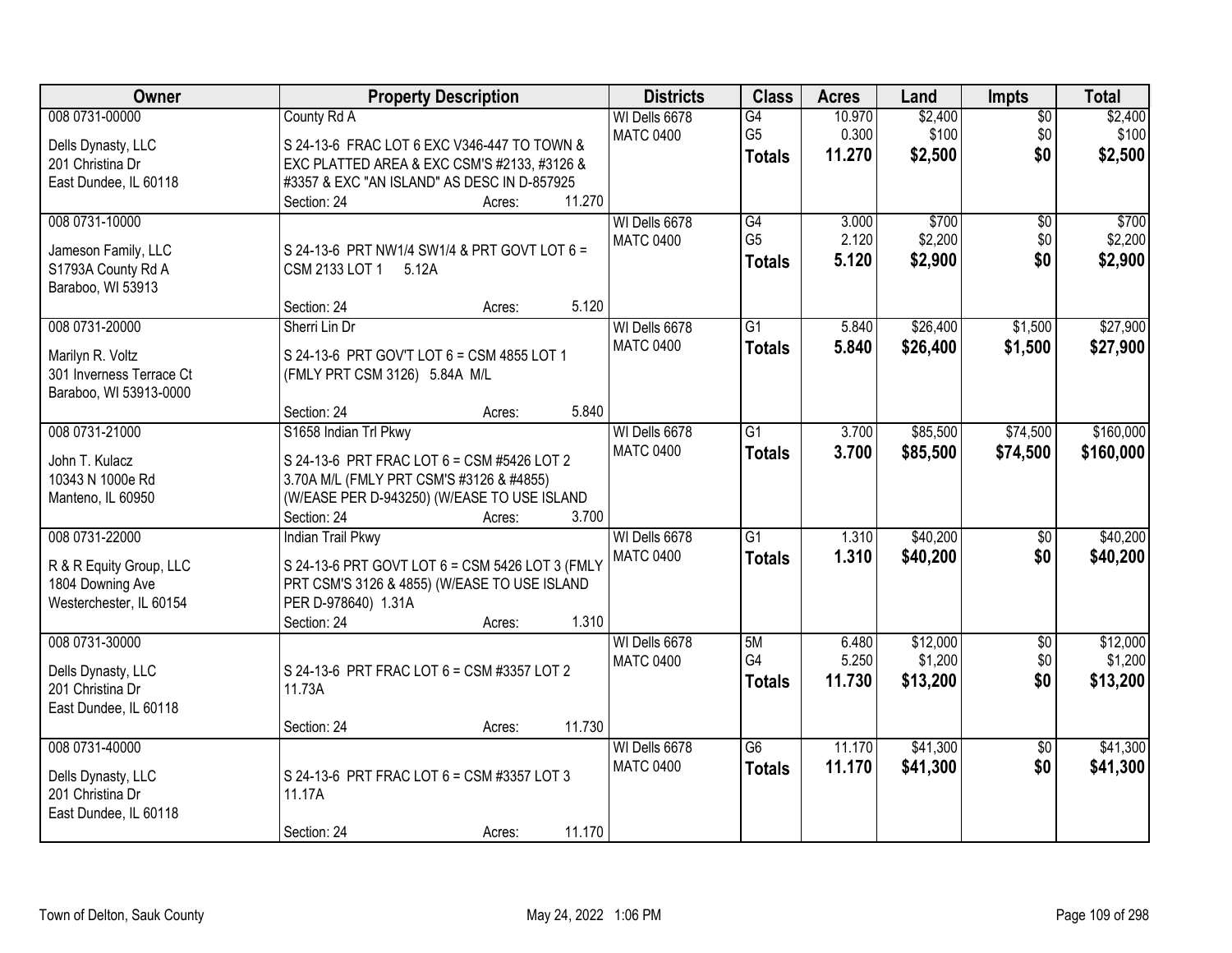| Owner                                       | <b>Property Description</b>                                         | <b>Districts</b> | <b>Class</b>    | <b>Acres</b> | Land     | <b>Impts</b>    | <b>Total</b> |
|---------------------------------------------|---------------------------------------------------------------------|------------------|-----------------|--------------|----------|-----------------|--------------|
| 008 0731-00000                              | County Rd A                                                         | WI Dells 6678    | $\overline{G4}$ | 10.970       | \$2,400  | $\overline{50}$ | \$2,400      |
| Dells Dynasty, LLC                          | S 24-13-6 FRAC LOT 6 EXC V346-447 TO TOWN &                         | <b>MATC 0400</b> | G <sub>5</sub>  | 0.300        | \$100    | \$0             | \$100        |
| 201 Christina Dr                            | EXC PLATTED AREA & EXC CSM'S #2133, #3126 &                         |                  | <b>Totals</b>   | 11.270       | \$2,500  | \$0             | \$2,500      |
| East Dundee, IL 60118                       | #3357 & EXC "AN ISLAND" AS DESC IN D-857925                         |                  |                 |              |          |                 |              |
|                                             | 11.270<br>Section: 24<br>Acres:                                     |                  |                 |              |          |                 |              |
| 008 0731-10000                              |                                                                     | WI Dells 6678    | G4              | 3.000        | \$700    | \$0             | \$700        |
|                                             |                                                                     | <b>MATC 0400</b> | G <sub>5</sub>  | 2.120        | \$2,200  | \$0             | \$2,200      |
| Jameson Family, LLC                         | S 24-13-6 PRT NW1/4 SW1/4 & PRT GOVT LOT 6 =                        |                  | <b>Totals</b>   | 5.120        | \$2,900  | \$0             | \$2,900      |
| S1793A County Rd A<br>Baraboo, WI 53913     | CSM 2133 LOT 1<br>5.12A                                             |                  |                 |              |          |                 |              |
|                                             | 5.120<br>Section: 24<br>Acres:                                      |                  |                 |              |          |                 |              |
| 008 0731-20000                              | Sherri Lin Dr                                                       | WI Dells 6678    | $\overline{G1}$ | 5.840        | \$26,400 | \$1,500         | \$27,900     |
|                                             |                                                                     | <b>MATC 0400</b> | <b>Totals</b>   | 5.840        | \$26,400 | \$1,500         | \$27,900     |
| Marilyn R. Voltz                            | S 24-13-6 PRT GOV'T LOT 6 = CSM 4855 LOT 1                          |                  |                 |              |          |                 |              |
| 301 Inverness Terrace Ct                    | (FMLY PRT CSM 3126) 5.84A M/L                                       |                  |                 |              |          |                 |              |
| Baraboo, WI 53913-0000                      |                                                                     |                  |                 |              |          |                 |              |
|                                             | 5.840<br>Section: 24<br>Acres:                                      |                  |                 |              |          |                 |              |
| 008 0731-21000                              | S1658 Indian Trl Pkwy                                               | WI Dells 6678    | $\overline{G1}$ | 3.700        | \$85,500 | \$74,500        | \$160,000    |
| John T. Kulacz                              | S 24-13-6 PRT FRAC LOT 6 = CSM #5426 LOT 2                          | <b>MATC 0400</b> | <b>Totals</b>   | 3.700        | \$85,500 | \$74,500        | \$160,000    |
| 10343 N 1000e Rd                            | 3.70A M/L (FMLY PRT CSM'S #3126 & #4855)                            |                  |                 |              |          |                 |              |
| Manteno, IL 60950                           | (W/EASE PER D-943250) (W/EASE TO USE ISLAND                         |                  |                 |              |          |                 |              |
|                                             | 3.700<br>Section: 24<br>Acres:                                      |                  |                 |              |          |                 |              |
| 008 0731-22000                              | <b>Indian Trail Pkwy</b>                                            | WI Dells 6678    | $\overline{G1}$ | 1.310        | \$40,200 | \$0             | \$40,200     |
|                                             |                                                                     | <b>MATC 0400</b> | <b>Totals</b>   | 1.310        | \$40,200 | \$0             | \$40,200     |
| R & R Equity Group, LLC                     | S 24-13-6 PRT GOVT LOT 6 = CSM 5426 LOT 3 (FMLY                     |                  |                 |              |          |                 |              |
| 1804 Downing Ave<br>Westerchester, IL 60154 | PRT CSM'S 3126 & 4855) (W/EASE TO USE ISLAND<br>PER D-978640) 1.31A |                  |                 |              |          |                 |              |
|                                             | 1.310<br>Section: 24<br>Acres:                                      |                  |                 |              |          |                 |              |
| 008 0731-30000                              |                                                                     | WI Dells 6678    | 5M              | 6.480        | \$12,000 | $\sqrt{$0}$     | \$12,000     |
|                                             |                                                                     | <b>MATC 0400</b> | G4              | 5.250        | \$1,200  | \$0             | \$1,200      |
| Dells Dynasty, LLC                          | S 24-13-6 PRT FRAC LOT 6 = CSM #3357 LOT 2                          |                  | <b>Totals</b>   | 11.730       | \$13,200 | \$0             | \$13,200     |
| 201 Christina Dr                            | 11.73A                                                              |                  |                 |              |          |                 |              |
| East Dundee, IL 60118                       |                                                                     |                  |                 |              |          |                 |              |
|                                             | 11.730<br>Section: 24<br>Acres:                                     |                  |                 |              |          |                 |              |
| 008 0731-40000                              |                                                                     | WI Dells 6678    | $\overline{G6}$ | 11.170       | \$41,300 | $\overline{50}$ | \$41,300     |
| Dells Dynasty, LLC                          | S 24-13-6 PRT FRAC LOT 6 = CSM #3357 LOT 3                          | <b>MATC 0400</b> | <b>Totals</b>   | 11.170       | \$41,300 | \$0             | \$41,300     |
| 201 Christina Dr                            | 11.17A                                                              |                  |                 |              |          |                 |              |
| East Dundee, IL 60118                       |                                                                     |                  |                 |              |          |                 |              |
|                                             | 11.170<br>Section: 24<br>Acres:                                     |                  |                 |              |          |                 |              |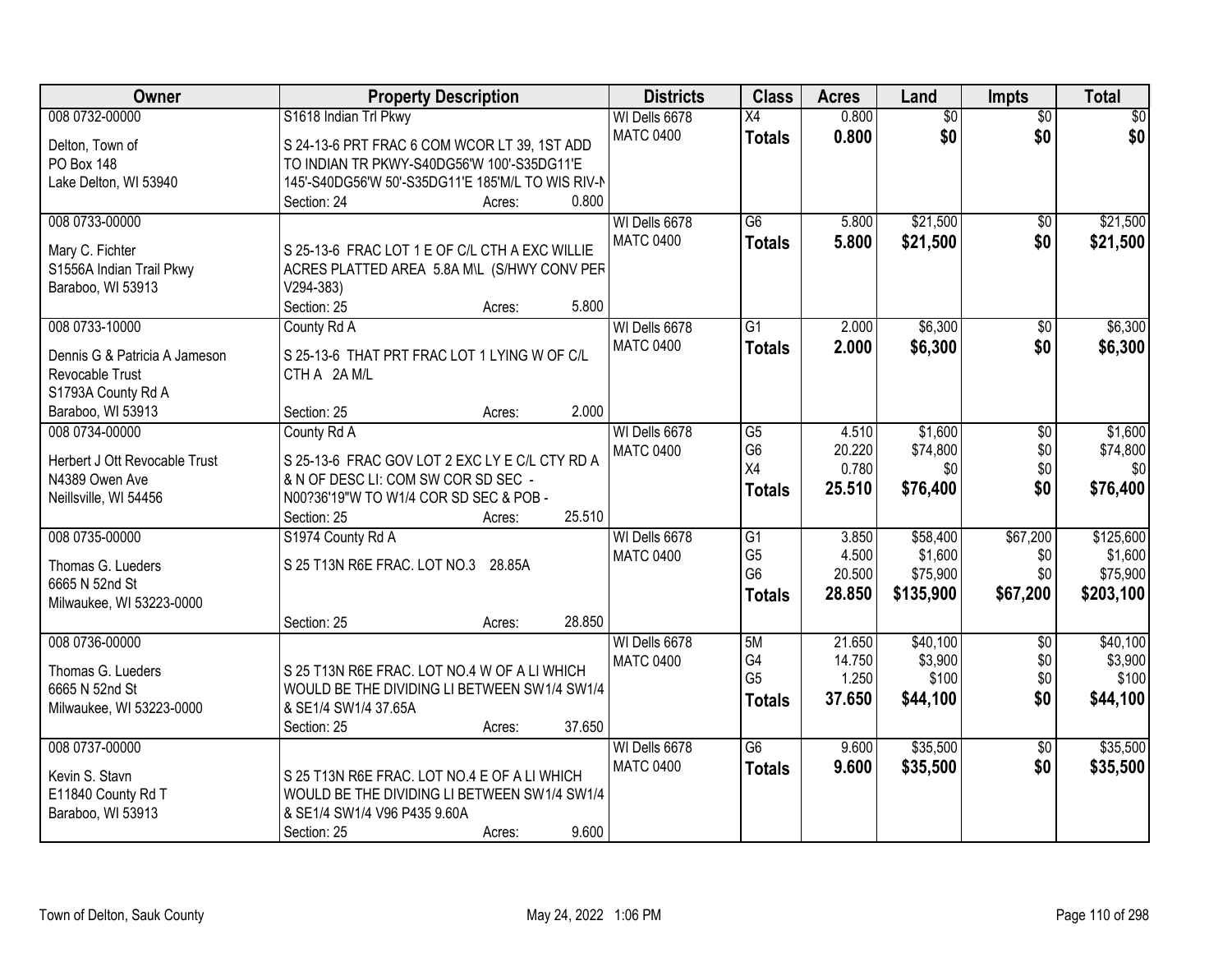| Owner                                           | <b>Property Description</b>                                                           | <b>Districts</b> | <b>Class</b>    | <b>Acres</b> | Land            | Impts           | <b>Total</b> |
|-------------------------------------------------|---------------------------------------------------------------------------------------|------------------|-----------------|--------------|-----------------|-----------------|--------------|
| 008 0732-00000                                  | S1618 Indian Trl Pkwy                                                                 | WI Dells 6678    | X4              | 0.800        | $\overline{60}$ | $\overline{50}$ | \$0          |
| Delton, Town of                                 | S 24-13-6 PRT FRAC 6 COM WCOR LT 39, 1ST ADD                                          | <b>MATC 0400</b> | <b>Totals</b>   | 0.800        | \$0             | \$0             | \$0          |
| PO Box 148                                      | TO INDIAN TR PKWY-S40DG56'W 100'-S35DG11'E                                            |                  |                 |              |                 |                 |              |
| Lake Delton, WI 53940                           | 145'-S40DG56'W 50'-S35DG11'E 185'M/L TO WIS RIV-N                                     |                  |                 |              |                 |                 |              |
|                                                 | 0.800<br>Section: 24<br>Acres:                                                        |                  |                 |              |                 |                 |              |
| 008 0733-00000                                  |                                                                                       | WI Dells 6678    | $\overline{G6}$ | 5.800        | \$21,500        | \$0             | \$21,500     |
|                                                 |                                                                                       | <b>MATC 0400</b> | <b>Totals</b>   | 5.800        | \$21,500        | \$0             | \$21,500     |
| Mary C. Fichter                                 | S 25-13-6 FRAC LOT 1 E OF C/L CTH A EXC WILLIE                                        |                  |                 |              |                 |                 |              |
| S1556A Indian Trail Pkwy                        | ACRES PLATTED AREA 5.8A M\L (S/HWY CONV PER                                           |                  |                 |              |                 |                 |              |
| Baraboo, WI 53913                               | $V294-383)$<br>5.800                                                                  |                  |                 |              |                 |                 |              |
|                                                 | Section: 25<br>Acres:                                                                 |                  |                 |              |                 |                 |              |
| 008 0733-10000                                  | County Rd A                                                                           | WI Dells 6678    | $\overline{G1}$ | 2.000        | \$6,300         | $\overline{50}$ | \$6,300      |
| Dennis G & Patricia A Jameson                   | S 25-13-6 THAT PRT FRAC LOT 1 LYING W OF C/L                                          | <b>MATC 0400</b> | <b>Totals</b>   | 2.000        | \$6,300         | \$0             | \$6,300      |
| Revocable Trust                                 | CTH A 2A M/L                                                                          |                  |                 |              |                 |                 |              |
| S1793A County Rd A                              |                                                                                       |                  |                 |              |                 |                 |              |
| Baraboo, WI 53913                               | 2.000<br>Section: 25<br>Acres:                                                        |                  |                 |              |                 |                 |              |
| 008 0734-00000                                  | County Rd A                                                                           | WI Dells 6678    | G5              | 4.510        | \$1,600         | \$0             | \$1,600      |
|                                                 |                                                                                       | <b>MATC 0400</b> | G <sub>6</sub>  | 20.220       | \$74,800        | \$0             | \$74,800     |
| Herbert J Ott Revocable Trust<br>N4389 Owen Ave | S 25-13-6 FRAC GOV LOT 2 EXC LY E C/L CTY RD A<br>& N OF DESC LI: COM SW COR SD SEC - |                  | X4              | 0.780        | \$0             | \$0             | \$0          |
| Neillsville, WI 54456                           | N00?36'19"W TO W1/4 COR SD SEC & POB -                                                |                  | <b>Totals</b>   | 25.510       | \$76,400        | \$0             | \$76,400     |
|                                                 | 25.510<br>Section: 25                                                                 |                  |                 |              |                 |                 |              |
| 008 0735-00000                                  | Acres:<br>S1974 County Rd A                                                           | WI Dells 6678    | $\overline{G1}$ | 3.850        | \$58,400        | \$67,200        | \$125,600    |
|                                                 |                                                                                       | <b>MATC 0400</b> | G <sub>5</sub>  | 4.500        | \$1,600         | \$0             | \$1,600      |
| Thomas G. Lueders                               | S 25 T13N R6E FRAC. LOT NO.3 28.85A                                                   |                  | G <sub>6</sub>  | 20.500       | \$75,900        | \$0             | \$75,900     |
| 6665 N 52nd St                                  |                                                                                       |                  |                 | 28.850       | \$135,900       | \$67,200        | \$203,100    |
| Milwaukee, WI 53223-0000                        |                                                                                       |                  | <b>Totals</b>   |              |                 |                 |              |
|                                                 | 28.850<br>Section: 25<br>Acres:                                                       |                  |                 |              |                 |                 |              |
| 008 0736-00000                                  |                                                                                       | WI Dells 6678    | 5M              | 21.650       | \$40,100        | $\overline{50}$ | \$40,100     |
| Thomas G. Lueders                               | S 25 T13N R6E FRAC. LOT NO.4 W OF A LI WHICH                                          | <b>MATC 0400</b> | G4              | 14.750       | \$3,900         | \$0             | \$3,900      |
| 6665 N 52nd St                                  | WOULD BE THE DIVIDING LI BETWEEN SW1/4 SW1/4                                          |                  | G <sub>5</sub>  | 1.250        | \$100           | \$0             | \$100        |
| Milwaukee, WI 53223-0000                        | & SE1/4 SW1/4 37.65A                                                                  |                  | <b>Totals</b>   | 37.650       | \$44,100        | \$0             | \$44,100     |
|                                                 | 37.650<br>Section: 25<br>Acres:                                                       |                  |                 |              |                 |                 |              |
| 008 0737-00000                                  |                                                                                       | WI Dells 6678    | $\overline{G6}$ | 9.600        | \$35,500        | $\overline{30}$ | \$35,500     |
|                                                 |                                                                                       | <b>MATC 0400</b> | <b>Totals</b>   | 9.600        | \$35,500        | \$0             | \$35,500     |
| Kevin S. Stavn                                  | S 25 T13N R6E FRAC. LOT NO.4 E OF A LI WHICH                                          |                  |                 |              |                 |                 |              |
| E11840 County Rd T                              | WOULD BE THE DIVIDING LI BETWEEN SW1/4 SW1/4                                          |                  |                 |              |                 |                 |              |
| Baraboo, WI 53913                               | & SE1/4 SW1/4 V96 P435 9.60A                                                          |                  |                 |              |                 |                 |              |
|                                                 | 9.600<br>Section: 25<br>Acres:                                                        |                  |                 |              |                 |                 |              |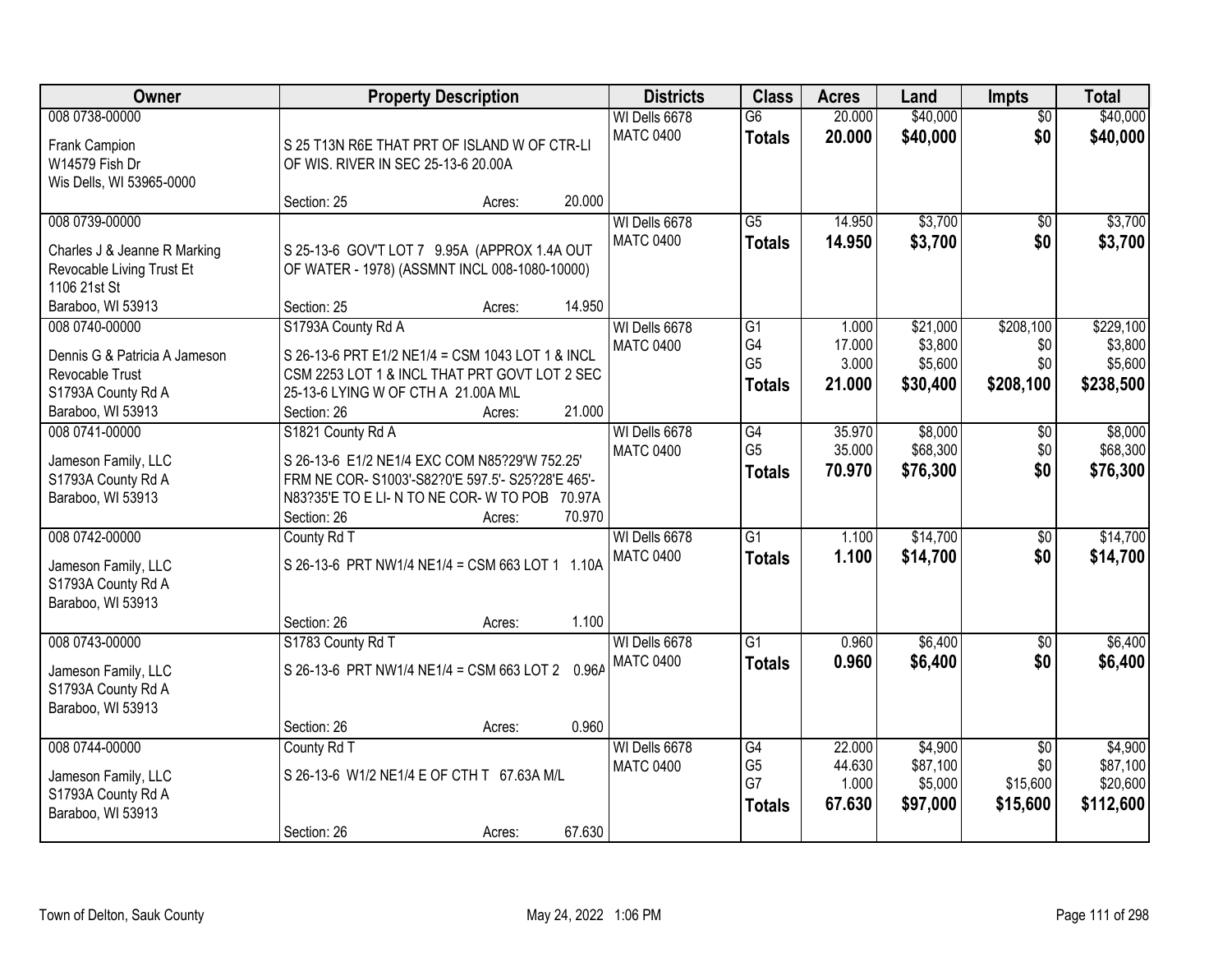| Owner                                                                                                            | <b>Property Description</b>                                                                                                                                                 | <b>Districts</b>                  | <b>Class</b>                          | <b>Acres</b>               | Land                            | <b>Impts</b>                | <b>Total</b>                      |
|------------------------------------------------------------------------------------------------------------------|-----------------------------------------------------------------------------------------------------------------------------------------------------------------------------|-----------------------------------|---------------------------------------|----------------------------|---------------------------------|-----------------------------|-----------------------------------|
| 008 0738-00000<br>Frank Campion<br>W14579 Fish Dr<br>Wis Dells, WI 53965-0000                                    | S 25 T13N R6E THAT PRT OF ISLAND W OF CTR-LI<br>OF WIS. RIVER IN SEC 25-13-6 20.00A                                                                                         | WI Dells 6678<br><b>MATC 0400</b> | $\overline{G6}$<br><b>Totals</b>      | 20.000<br>20.000           | \$40,000<br>\$40,000            | $\overline{50}$<br>\$0      | \$40,000<br>\$40,000              |
|                                                                                                                  | 20.000<br>Section: 25<br>Acres:                                                                                                                                             |                                   |                                       |                            |                                 |                             |                                   |
| 008 0739-00000<br>Charles J & Jeanne R Marking<br>Revocable Living Trust Et<br>1106 21st St<br>Baraboo, WI 53913 | S 25-13-6 GOV'T LOT 7 9.95A (APPROX 1.4A OUT<br>OF WATER - 1978) (ASSMNT INCL 008-1080-10000)<br>14.950<br>Section: 25<br>Acres:                                            | WI Dells 6678<br><b>MATC 0400</b> | $\overline{G5}$<br><b>Totals</b>      | 14.950<br>14.950           | \$3,700<br>\$3,700              | $\overline{50}$<br>\$0      | \$3,700<br>\$3,700                |
| 008 0740-00000                                                                                                   | S1793A County Rd A                                                                                                                                                          | WI Dells 6678                     | G1                                    | 1.000                      | \$21,000                        | \$208,100                   | \$229,100                         |
| Dennis G & Patricia A Jameson<br>Revocable Trust<br>S1793A County Rd A<br>Baraboo, WI 53913                      | S 26-13-6 PRT E1/2 NE1/4 = CSM 1043 LOT 1 & INCL<br>CSM 2253 LOT 1 & INCL THAT PRT GOVT LOT 2 SEC<br>25-13-6 LYING W OF CTH A 21.00A M\L<br>21.000<br>Section: 26<br>Acres: | <b>MATC 0400</b>                  | G4<br>G <sub>5</sub><br><b>Totals</b> | 17.000<br>3.000<br>21.000  | \$3,800<br>\$5,600<br>\$30,400  | \$0<br>\$0<br>\$208,100     | \$3,800<br>\$5,600<br>\$238,500   |
| 008 0741-00000<br>Jameson Family, LLC<br>S1793A County Rd A<br>Baraboo, WI 53913                                 | S1821 County Rd A<br>S 26-13-6 E1/2 NE1/4 EXC COM N85?29'W 752.25'<br>FRM NE COR-S1003'-S82?0'E 597.5'-S25?28'E 465'-<br>N83?35'E TO E LI- N TO NE COR- W TO POB 70.97A     | WI Dells 6678<br><b>MATC 0400</b> | G4<br>G <sub>5</sub><br><b>Totals</b> | 35.970<br>35.000<br>70.970 | \$8,000<br>\$68,300<br>\$76,300 | \$0<br>\$0<br>\$0           | \$8,000<br>\$68,300<br>\$76,300   |
|                                                                                                                  | 70.970<br>Section: 26<br>Acres:                                                                                                                                             |                                   |                                       |                            |                                 |                             |                                   |
| 008 0742-00000<br>Jameson Family, LLC<br>S1793A County Rd A<br>Baraboo, WI 53913                                 | County Rd T<br>S 26-13-6 PRT NW1/4 NE1/4 = CSM 663 LOT 1 1.10A<br>1.100<br>Section: 26<br>Acres:                                                                            | WI Dells 6678<br><b>MATC 0400</b> | $\overline{G1}$<br><b>Totals</b>      | 1.100<br>1.100             | \$14,700<br>\$14,700            | $\overline{30}$<br>\$0      | \$14,700<br>\$14,700              |
| 008 0743-00000                                                                                                   | S1783 County Rd T                                                                                                                                                           | WI Dells 6678                     | $\overline{G1}$                       | 0.960                      | \$6,400                         | $\overline{50}$             | \$6,400                           |
| Jameson Family, LLC<br>S1793A County Rd A<br>Baraboo, WI 53913                                                   | S 26-13-6 PRT NW1/4 NE1/4 = CSM 663 LOT 2 0.96A                                                                                                                             | <b>MATC 0400</b>                  | <b>Totals</b>                         | 0.960                      | \$6,400                         | \$0                         | \$6,400                           |
| 008 0744-00000                                                                                                   | 0.960<br>Section: 26<br>Acres:<br>County Rd T                                                                                                                               | WI Dells 6678                     | G4                                    | 22.000                     | \$4,900                         | $\overline{30}$             | \$4,900                           |
| Jameson Family, LLC<br>S1793A County Rd A<br>Baraboo, WI 53913                                                   | S 26-13-6 W1/2 NE1/4 E OF CTH T 67.63A M/L                                                                                                                                  | <b>MATC 0400</b>                  | G <sub>5</sub><br>G7<br><b>Totals</b> | 44.630<br>1.000<br>67.630  | \$87,100<br>\$5,000<br>\$97,000 | \$0<br>\$15,600<br>\$15,600 | \$87,100<br>\$20,600<br>\$112,600 |
|                                                                                                                  | 67.630<br>Section: 26<br>Acres:                                                                                                                                             |                                   |                                       |                            |                                 |                             |                                   |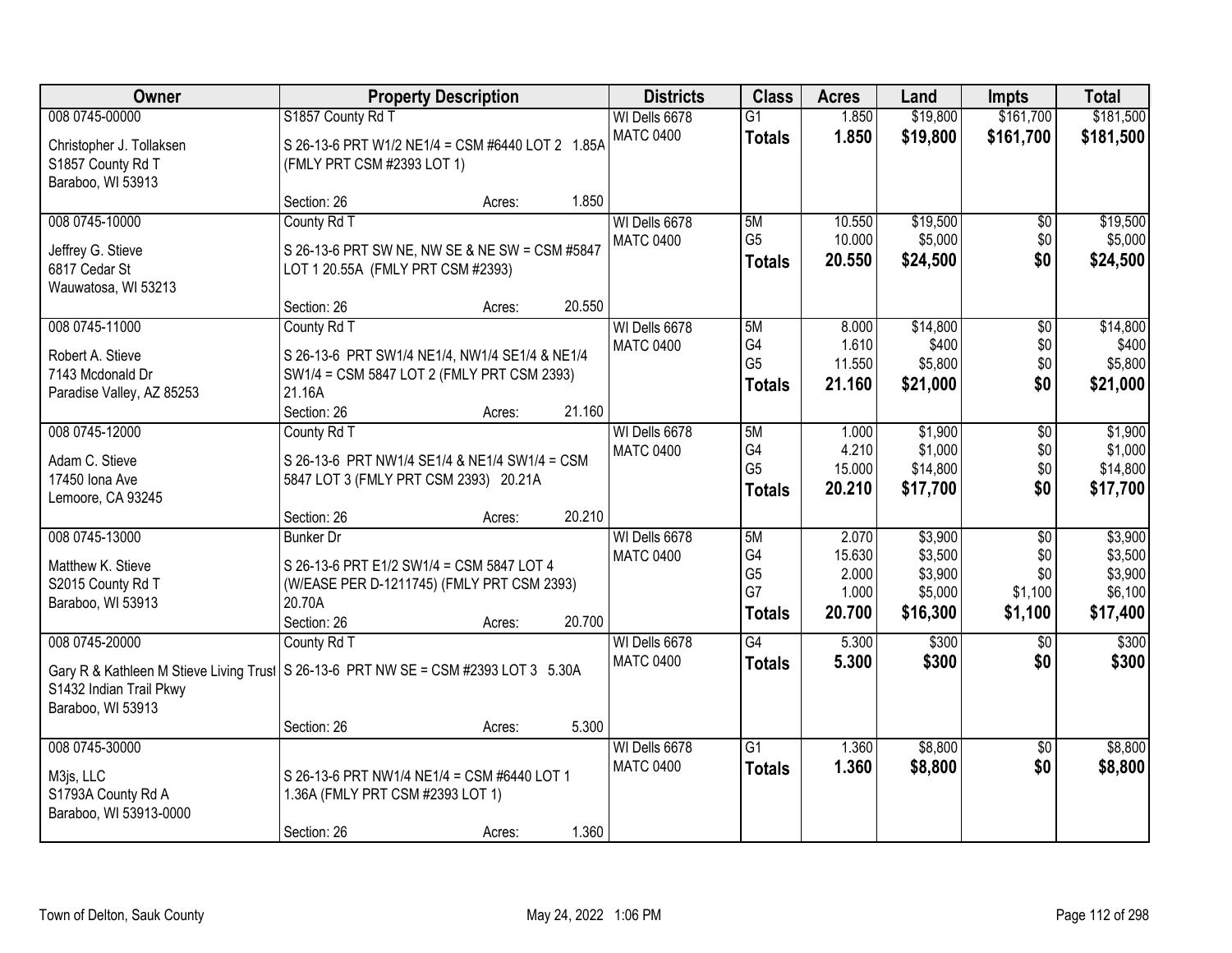| Owner                                                                         | <b>Property Description</b>                                                                                                                              | <b>Districts</b>                  | <b>Class</b>                                      | <b>Acres</b>                                | Land                                                 | <b>Impts</b>                                        | <b>Total</b>                                         |
|-------------------------------------------------------------------------------|----------------------------------------------------------------------------------------------------------------------------------------------------------|-----------------------------------|---------------------------------------------------|---------------------------------------------|------------------------------------------------------|-----------------------------------------------------|------------------------------------------------------|
| 008 0745-00000                                                                | S1857 County Rd T                                                                                                                                        | WI Dells 6678                     | G1                                                | 1.850                                       | \$19,800                                             | \$161,700                                           | \$181,500                                            |
| Christopher J. Tollaksen<br>S1857 County Rd T<br>Baraboo, WI 53913            | S 26-13-6 PRT W1/2 NE1/4 = CSM #6440 LOT 2 1.85A<br>(FMLY PRT CSM #2393 LOT 1)                                                                           | <b>MATC 0400</b>                  | <b>Totals</b>                                     | 1.850                                       | \$19,800                                             | \$161,700                                           | \$181,500                                            |
|                                                                               | 1.850<br>Section: 26<br>Acres:                                                                                                                           |                                   |                                                   |                                             |                                                      |                                                     |                                                      |
| 008 0745-10000<br>Jeffrey G. Stieve<br>6817 Cedar St<br>Wauwatosa, WI 53213   | County Rd T<br>S 26-13-6 PRT SW NE, NW SE & NE SW = CSM #5847<br>LOT 1 20.55A (FMLY PRT CSM #2393)                                                       | WI Dells 6678<br><b>MATC 0400</b> | 5M<br>G <sub>5</sub><br><b>Totals</b>             | 10.550<br>10.000<br>20.550                  | \$19,500<br>\$5,000<br>\$24,500                      | \$0<br>\$0<br>\$0                                   | \$19,500<br>\$5,000<br>\$24,500                      |
| 008 0745-11000                                                                | 20.550<br>Section: 26<br>Acres:<br>County Rd T                                                                                                           | WI Dells 6678                     | 5M                                                | 8.000                                       | \$14,800                                             | \$0                                                 | \$14,800                                             |
| Robert A. Stieve<br>7143 Mcdonald Dr<br>Paradise Valley, AZ 85253             | S 26-13-6 PRT SW1/4 NE1/4, NW1/4 SE1/4 & NE1/4<br>SW1/4 = CSM 5847 LOT 2 (FMLY PRT CSM 2393)<br>21.16A<br>Section: 26<br>21.160<br>Acres:                | <b>MATC 0400</b>                  | G4<br>G <sub>5</sub><br><b>Totals</b>             | 1.610<br>11.550<br>21.160                   | \$400<br>\$5,800<br>\$21,000                         | \$0<br>\$0<br>\$0                                   | \$400<br>\$5,800<br>\$21,000                         |
| 008 0745-12000                                                                | County Rd T                                                                                                                                              | WI Dells 6678                     | 5M                                                | 1.000                                       | \$1,900                                              | $\sqrt[6]{3}$                                       | \$1,900                                              |
| Adam C. Stieve<br>17450 Iona Ave<br>Lemoore, CA 93245                         | S 26-13-6 PRT NW1/4 SE1/4 & NE1/4 SW1/4 = CSM<br>5847 LOT 3 (FMLY PRT CSM 2393) 20.21A                                                                   | <b>MATC 0400</b>                  | G4<br>G <sub>5</sub><br><b>Totals</b>             | 4.210<br>15.000<br>20.210                   | \$1,000<br>\$14,800<br>\$17,700                      | \$0<br>\$0<br>\$0                                   | \$1,000<br>\$14,800<br>\$17,700                      |
|                                                                               | 20.210<br>Section: 26<br>Acres:                                                                                                                          |                                   |                                                   |                                             |                                                      |                                                     |                                                      |
| 008 0745-13000<br>Matthew K. Stieve<br>S2015 County Rd T<br>Baraboo, WI 53913 | <b>Bunker Dr</b><br>S 26-13-6 PRT E1/2 SW1/4 = CSM 5847 LOT 4<br>(W/EASE PER D-1211745) (FMLY PRT CSM 2393)<br>20.70A<br>20.700<br>Section: 26<br>Acres: | WI Dells 6678<br><b>MATC 0400</b> | 5M<br>G4<br>G <sub>5</sub><br>G7<br><b>Totals</b> | 2.070<br>15.630<br>2.000<br>1.000<br>20.700 | \$3,900<br>\$3,500<br>\$3,900<br>\$5,000<br>\$16,300 | $\overline{50}$<br>\$0<br>\$0<br>\$1,100<br>\$1,100 | \$3,900<br>\$3,500<br>\$3,900<br>\$6,100<br>\$17,400 |
| 008 0745-20000<br>S1432 Indian Trail Pkwy<br>Baraboo, WI 53913                | County Rd T<br>Gary R & Kathleen M Stieve Living Trust   S 26-13-6 PRT NW SE = CSM #2393 LOT 3 5.30A<br>5.300<br>Section: 26                             | WI Dells 6678<br><b>MATC 0400</b> | G4<br><b>Totals</b>                               | 5.300<br>5.300                              | \$300<br>\$300                                       | \$0<br>\$0                                          | \$300<br>\$300                                       |
| 008 0745-30000                                                                | Acres:                                                                                                                                                   | WI Dells 6678                     | G1                                                | 1.360                                       | \$8,800                                              | $\overline{50}$                                     | \$8,800                                              |
| M3js, LLC<br>S1793A County Rd A<br>Baraboo, WI 53913-0000                     | S 26-13-6 PRT NW1/4 NE1/4 = CSM #6440 LOT 1<br>1.36A (FMLY PRT CSM #2393 LOT 1)<br>1.360<br>Section: 26                                                  | <b>MATC 0400</b>                  | <b>Totals</b>                                     | 1.360                                       | \$8,800                                              | \$0                                                 | \$8,800                                              |
|                                                                               | Acres:                                                                                                                                                   |                                   |                                                   |                                             |                                                      |                                                     |                                                      |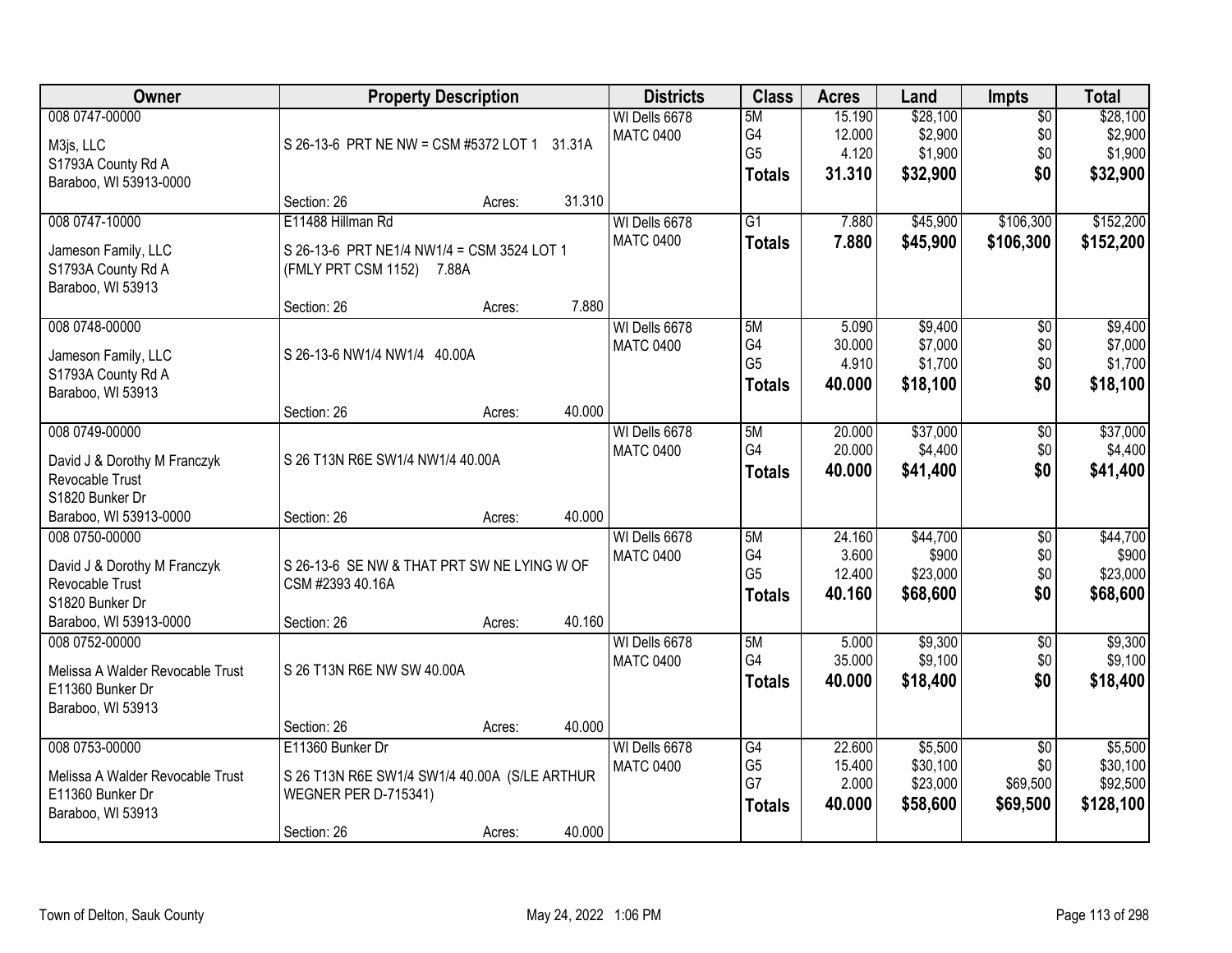| Owner                                                                                                                 |                                                                                              | <b>Property Description</b> |        | <b>Districts</b>                  | <b>Class</b>                                            | <b>Acres</b>                        | Land                                       | <b>Impts</b>                         | <b>Total</b>                               |
|-----------------------------------------------------------------------------------------------------------------------|----------------------------------------------------------------------------------------------|-----------------------------|--------|-----------------------------------|---------------------------------------------------------|-------------------------------------|--------------------------------------------|--------------------------------------|--------------------------------------------|
| 008 0747-00000<br>M3js, LLC<br>S1793A County Rd A<br>Baraboo, WI 53913-0000                                           | S 26-13-6 PRT NE NW = CSM #5372 LOT 1 31.31A                                                 |                             |        | WI Dells 6678<br><b>MATC 0400</b> | 5M<br>G4<br>G <sub>5</sub><br><b>Totals</b>             | 15.190<br>12.000<br>4.120<br>31.310 | \$28,100<br>\$2,900<br>\$1,900<br>\$32,900 | $\overline{$0}$<br>\$0<br>\$0<br>\$0 | \$28,100<br>\$2,900<br>\$1,900<br>\$32,900 |
|                                                                                                                       | Section: 26                                                                                  | Acres:                      | 31.310 |                                   |                                                         |                                     |                                            |                                      |                                            |
| 008 0747-10000<br>Jameson Family, LLC<br>S1793A County Rd A<br>Baraboo, WI 53913                                      | E11488 Hillman Rd<br>S 26-13-6 PRT NE1/4 NW1/4 = CSM 3524 LOT 1<br>(FMLY PRT CSM 1152) 7.88A |                             |        | WI Dells 6678<br><b>MATC 0400</b> | $\overline{G1}$<br><b>Totals</b>                        | 7.880<br>7.880                      | \$45,900<br>\$45,900                       | \$106,300<br>\$106,300               | \$152,200<br>\$152,200                     |
|                                                                                                                       | Section: 26                                                                                  | Acres:                      | 7.880  |                                   |                                                         |                                     |                                            |                                      |                                            |
| 008 0748-00000<br>Jameson Family, LLC<br>S1793A County Rd A<br>Baraboo, WI 53913                                      | S 26-13-6 NW1/4 NW1/4 40.00A                                                                 |                             |        | WI Dells 6678<br><b>MATC 0400</b> | 5M<br>G4<br>G <sub>5</sub><br><b>Totals</b>             | 5.090<br>30.000<br>4.910<br>40.000  | \$9,400<br>\$7,000<br>\$1,700<br>\$18,100  | \$0<br>\$0<br>\$0<br>\$0             | \$9,400<br>\$7,000<br>\$1,700<br>\$18,100  |
|                                                                                                                       | Section: 26                                                                                  | Acres:                      | 40.000 |                                   |                                                         |                                     |                                            |                                      |                                            |
| 008 0749-00000<br>David J & Dorothy M Franczyk<br>Revocable Trust<br>S1820 Bunker Dr                                  | S 26 T13N R6E SW1/4 NW1/4 40.00A                                                             |                             |        | WI Dells 6678<br><b>MATC 0400</b> | 5M<br>G4<br><b>Totals</b>                               | 20.000<br>20.000<br>40.000          | \$37,000<br>\$4,400<br>\$41,400            | \$0<br>\$0<br>\$0                    | \$37,000<br>\$4,400<br>\$41,400            |
| Baraboo, WI 53913-0000                                                                                                | Section: 26                                                                                  | Acres:                      | 40.000 |                                   |                                                         |                                     |                                            |                                      |                                            |
| 008 0750-00000<br>David J & Dorothy M Franczyk<br><b>Revocable Trust</b><br>S1820 Bunker Dr<br>Baraboo, WI 53913-0000 | S 26-13-6 SE NW & THAT PRT SW NE LYING W OF<br>CSM #2393 40.16A<br>Section: 26               | Acres:                      | 40.160 | WI Dells 6678<br><b>MATC 0400</b> | 5M<br>G <sub>4</sub><br>G <sub>5</sub><br><b>Totals</b> | 24.160<br>3.600<br>12.400<br>40.160 | \$44,700<br>\$900<br>\$23,000<br>\$68,600  | $\overline{50}$<br>\$0<br>\$0<br>\$0 | \$44,700<br>\$900<br>\$23,000<br>\$68,600  |
| 008 0752-00000<br>Melissa A Walder Revocable Trust<br>E11360 Bunker Dr<br>Baraboo, WI 53913                           | S 26 T13N R6E NW SW 40.00A<br>Section: 26                                                    | Acres:                      | 40.000 | WI Dells 6678<br><b>MATC 0400</b> | 5M<br>G4<br><b>Totals</b>                               | 5.000<br>35.000<br>40.000           | \$9,300<br>\$9,100<br>\$18,400             | $\sqrt{6}$<br>\$0<br>\$0             | \$9,300<br>\$9,100<br>\$18,400             |
| 008 0753-00000                                                                                                        | E11360 Bunker Dr                                                                             |                             |        | WI Dells 6678                     | G4                                                      | 22.600                              | \$5,500                                    | $\overline{50}$                      | \$5,500                                    |
| Melissa A Walder Revocable Trust<br>E11360 Bunker Dr<br>Baraboo, WI 53913                                             | S 26 T13N R6E SW1/4 SW1/4 40.00A (S/LE ARTHUR<br><b>WEGNER PER D-715341)</b><br>Section: 26  | Acres:                      | 40.000 | <b>MATC 0400</b>                  | G <sub>5</sub><br>G7<br><b>Totals</b>                   | 15.400<br>2.000<br>40.000           | \$30,100<br>\$23,000<br>\$58,600           | \$0<br>\$69,500<br>\$69,500          | \$30,100<br>\$92,500<br>\$128,100          |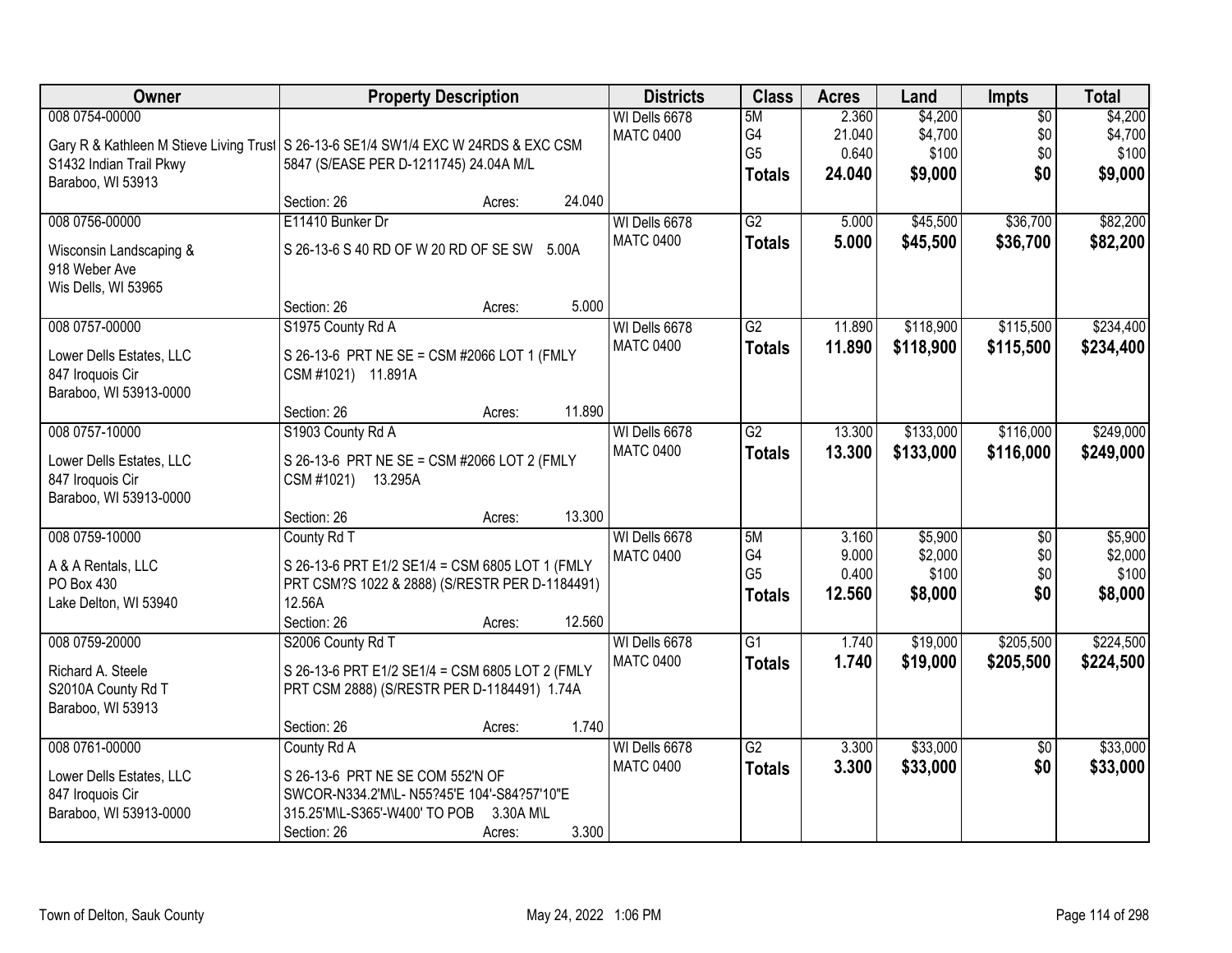| Owner                                                                                    | <b>Property Description</b>                                                                                                                                           |        | <b>Districts</b>                  | <b>Class</b>                                | <b>Acres</b>                       | Land                                   | <b>Impts</b>                         | <b>Total</b>                           |
|------------------------------------------------------------------------------------------|-----------------------------------------------------------------------------------------------------------------------------------------------------------------------|--------|-----------------------------------|---------------------------------------------|------------------------------------|----------------------------------------|--------------------------------------|----------------------------------------|
| 008 0754-00000<br>S1432 Indian Trail Pkwy<br>Baraboo, WI 53913                           | Gary R & Kathleen M Stieve Living Trust S 26-13-6 SE1/4 SW1/4 EXC W 24RDS & EXC CSM<br>5847 (S/EASE PER D-1211745) 24.04A M/L                                         |        | WI Dells 6678<br><b>MATC 0400</b> | 5M<br>G4<br>G <sub>5</sub><br><b>Totals</b> | 2.360<br>21.040<br>0.640<br>24.040 | \$4,200<br>\$4,700<br>\$100<br>\$9,000 | $\overline{50}$<br>\$0<br>\$0<br>\$0 | \$4,200<br>\$4,700<br>\$100<br>\$9,000 |
|                                                                                          | Section: 26<br>Acres:                                                                                                                                                 | 24.040 |                                   |                                             |                                    |                                        |                                      |                                        |
| 008 0756-00000<br>Wisconsin Landscaping &<br>918 Weber Ave<br>Wis Dells, WI 53965        | E11410 Bunker Dr<br>S 26-13-6 S 40 RD OF W 20 RD OF SE SW 5.00A                                                                                                       |        | WI Dells 6678<br><b>MATC 0400</b> | $\overline{G2}$<br><b>Totals</b>            | 5.000<br>5.000                     | \$45,500<br>\$45,500                   | \$36,700<br>\$36,700                 | \$82,200<br>\$82,200                   |
| 008 0757-00000                                                                           | Section: 26<br>Acres:                                                                                                                                                 | 5.000  | WI Dells 6678                     | G2                                          | 11.890                             | \$118,900                              | \$115,500                            | \$234,400                              |
| Lower Dells Estates, LLC<br>847 Iroquois Cir<br>Baraboo, WI 53913-0000                   | S1975 County Rd A<br>S 26-13-6 PRT NE SE = CSM #2066 LOT 1 (FMLY<br>CSM #1021) 11.891A                                                                                |        | <b>MATC 0400</b>                  | <b>Totals</b>                               | 11.890                             | \$118,900                              | \$115,500                            | \$234,400                              |
|                                                                                          | Section: 26<br>Acres:                                                                                                                                                 | 11.890 |                                   |                                             |                                    |                                        |                                      |                                        |
| 008 0757-10000<br>Lower Dells Estates, LLC<br>847 Iroquois Cir<br>Baraboo, WI 53913-0000 | S1903 County Rd A<br>S 26-13-6 PRT NE SE = CSM #2066 LOT 2 (FMLY<br>CSM #1021) 13.295A                                                                                |        | WI Dells 6678<br><b>MATC 0400</b> | $\overline{G2}$<br><b>Totals</b>            | 13.300<br>13.300                   | \$133,000<br>\$133,000                 | \$116,000<br>\$116,000               | \$249,000<br>\$249,000                 |
|                                                                                          | Section: 26<br>Acres:                                                                                                                                                 | 13.300 |                                   |                                             |                                    |                                        |                                      |                                        |
| 008 0759-10000<br>A & A Rentals, LLC<br>PO Box 430<br>Lake Delton, WI 53940              | County Rd T<br>S 26-13-6 PRT E1/2 SE1/4 = CSM 6805 LOT 1 (FMLY<br>PRT CSM?S 1022 & 2888) (S/RESTR PER D-1184491)<br>12.56A<br>Section: 26<br>Acres:                   | 12.560 | WI Dells 6678<br><b>MATC 0400</b> | 5M<br>G4<br>G <sub>5</sub><br><b>Totals</b> | 3.160<br>9.000<br>0.400<br>12.560  | \$5,900<br>\$2,000<br>\$100<br>\$8,000 | $\overline{50}$<br>\$0<br>\$0<br>\$0 | \$5,900<br>\$2,000<br>\$100<br>\$8,000 |
| 008 0759-20000                                                                           | S2006 County Rd T                                                                                                                                                     |        | WI Dells 6678                     | $\overline{G1}$                             | 1.740                              | \$19,000                               | \$205,500                            | \$224,500                              |
| Richard A. Steele<br>S2010A County Rd T<br>Baraboo, WI 53913                             | S 26-13-6 PRT E1/2 SE1/4 = CSM 6805 LOT 2 (FMLY<br>PRT CSM 2888) (S/RESTR PER D-1184491) 1.74A                                                                        |        | <b>MATC 0400</b>                  | <b>Totals</b>                               | 1.740                              | \$19,000                               | \$205,500                            | \$224,500                              |
| 008 0761-00000                                                                           | Section: 26<br>Acres:                                                                                                                                                 | 1.740  | WI Dells 6678                     | $\overline{G2}$                             |                                    | \$33,000                               |                                      | \$33,000                               |
| Lower Dells Estates, LLC<br>847 Iroquois Cir<br>Baraboo, WI 53913-0000                   | County Rd A<br>S 26-13-6 PRT NE SE COM 552'N OF<br>SWCOR-N334.2'M\L- N55?45'E 104'-S84?57'10"E<br>315.25'M\L-S365'-W400' TO POB<br>3.30A M\L<br>Section: 26<br>Acres: | 3.300  | <b>MATC 0400</b>                  | <b>Totals</b>                               | 3.300<br>3.300                     | \$33,000                               | $\overline{50}$<br>\$0               | \$33,000                               |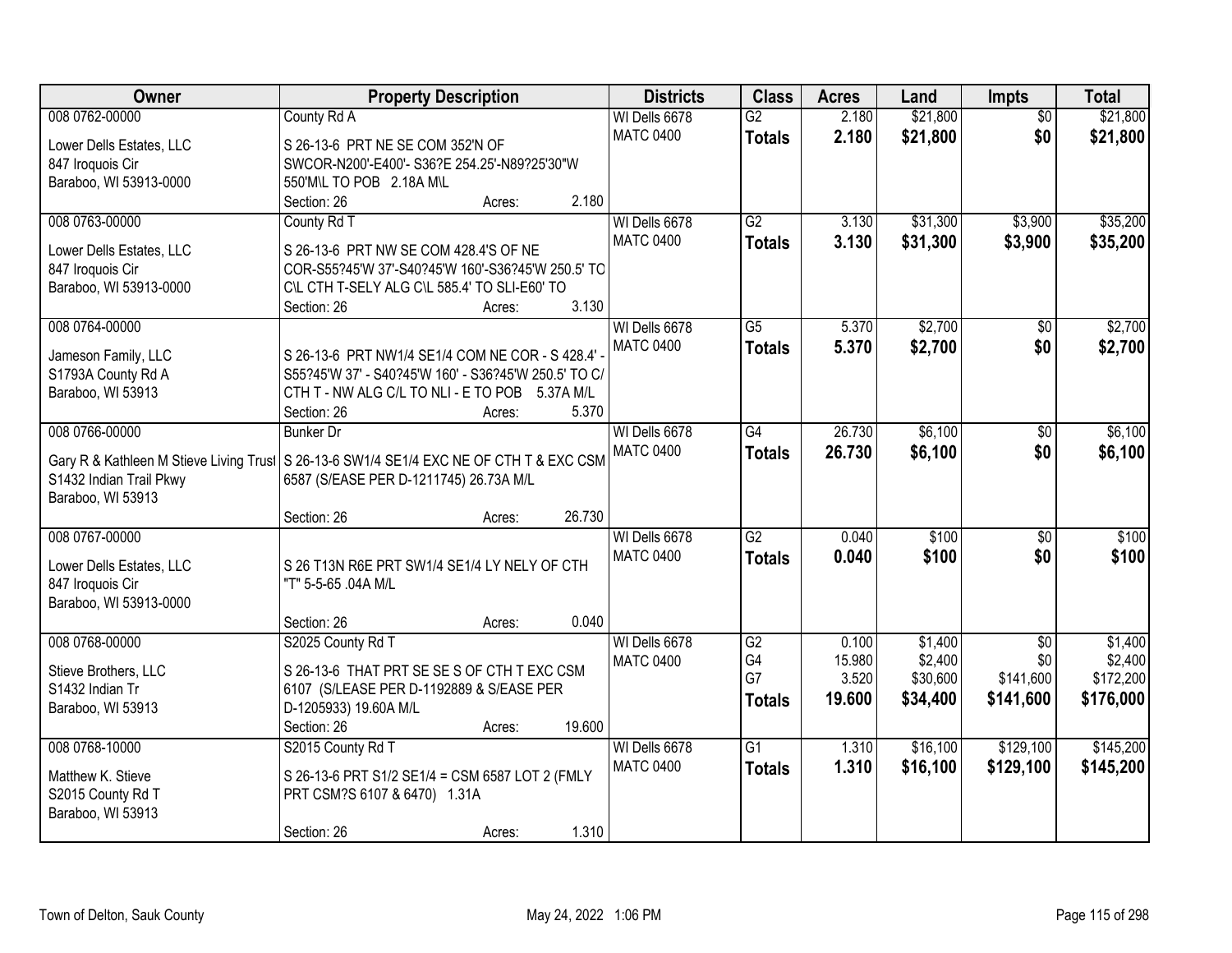| Owner                                   | <b>Property Description</b>                                                                            | <b>Districts</b> | <b>Class</b>    | <b>Acres</b> | Land     | <b>Impts</b>    | <b>Total</b> |
|-----------------------------------------|--------------------------------------------------------------------------------------------------------|------------------|-----------------|--------------|----------|-----------------|--------------|
| 008 0762-00000                          | County Rd A                                                                                            | WI Dells 6678    | $\overline{G2}$ | 2.180        | \$21,800 | $\overline{30}$ | \$21,800     |
| Lower Dells Estates, LLC                | S 26-13-6 PRT NE SE COM 352'N OF                                                                       | <b>MATC 0400</b> | <b>Totals</b>   | 2.180        | \$21,800 | \$0             | \$21,800     |
| 847 Iroquois Cir                        | SWCOR-N200'-E400'- S36?E 254.25'-N89?25'30"W                                                           |                  |                 |              |          |                 |              |
| Baraboo, WI 53913-0000                  | 550'M\L TO POB 2.18A M\L                                                                               |                  |                 |              |          |                 |              |
|                                         | 2.180<br>Section: 26<br>Acres:                                                                         |                  |                 |              |          |                 |              |
| 008 0763-00000                          | County Rd T                                                                                            | WI Dells 6678    | G2              | 3.130        | \$31,300 | \$3,900         | \$35,200     |
| Lower Dells Estates, LLC                | S 26-13-6 PRT NW SE COM 428.4'S OF NE                                                                  | <b>MATC 0400</b> | <b>Totals</b>   | 3.130        | \$31,300 | \$3,900         | \$35,200     |
| 847 Iroquois Cir                        | COR-S55?45'W 37'-S40?45'W 160'-S36?45'W 250.5' TO                                                      |                  |                 |              |          |                 |              |
| Baraboo, WI 53913-0000                  | C\L CTH T-SELY ALG C\L 585.4' TO SLI-E60' TO                                                           |                  |                 |              |          |                 |              |
|                                         | 3.130<br>Section: 26<br>Acres:                                                                         |                  |                 |              |          |                 |              |
| 008 0764-00000                          |                                                                                                        | WI Dells 6678    | $\overline{G5}$ | 5.370        | \$2,700  | \$0             | \$2,700      |
|                                         |                                                                                                        | <b>MATC 0400</b> | <b>Totals</b>   | 5.370        | \$2,700  | \$0             | \$2,700      |
| Jameson Family, LLC                     | S 26-13-6 PRT NW1/4 SE1/4 COM NE COR - S 428.4'                                                        |                  |                 |              |          |                 |              |
| S1793A County Rd A<br>Baraboo, WI 53913 | S55?45'W 37' - S40?45'W 160' - S36?45'W 250.5' TO C/<br>CTH T - NW ALG C/L TO NLI - E TO POB 5.37A M/L |                  |                 |              |          |                 |              |
|                                         | 5.370<br>Section: 26<br>Acres:                                                                         |                  |                 |              |          |                 |              |
| 008 0766-00000                          | <b>Bunker Dr</b>                                                                                       | WI Dells 6678    | $\overline{G4}$ | 26.730       | \$6,100  | $\sqrt[6]{}$    | \$6,100      |
|                                         |                                                                                                        | <b>MATC 0400</b> | <b>Totals</b>   | 26.730       | \$6,100  | \$0             | \$6,100      |
|                                         | Gary R & Kathleen M Stieve Living Trust   S 26-13-6 SW1/4 SE1/4 EXC NE OF CTH T & EXC CSM              |                  |                 |              |          |                 |              |
| S1432 Indian Trail Pkwy                 | 6587 (S/EASE PER D-1211745) 26.73A M/L                                                                 |                  |                 |              |          |                 |              |
| Baraboo, WI 53913                       |                                                                                                        |                  |                 |              |          |                 |              |
|                                         | 26.730<br>Section: 26<br>Acres:                                                                        |                  |                 |              |          |                 |              |
| 008 0767-00000                          |                                                                                                        | WI Dells 6678    | $\overline{G2}$ | 0.040        | \$100    | $\overline{50}$ | \$100        |
| Lower Dells Estates, LLC                | S 26 T13N R6E PRT SW1/4 SE1/4 LY NELY OF CTH                                                           | <b>MATC 0400</b> | <b>Totals</b>   | 0.040        | \$100    | \$0             | \$100        |
| 847 Iroquois Cir                        | "T" 5-5-65 .04A M/L                                                                                    |                  |                 |              |          |                 |              |
| Baraboo, WI 53913-0000                  |                                                                                                        |                  |                 |              |          |                 |              |
|                                         | 0.040<br>Section: 26<br>Acres:                                                                         |                  |                 |              |          |                 |              |
| 008 0768-00000                          | S2025 County Rd T                                                                                      | WI Dells 6678    | $\overline{G2}$ | 0.100        | \$1,400  | $\overline{50}$ | \$1,400      |
| Stieve Brothers, LLC                    | S 26-13-6 THAT PRT SE SE S OF CTH T EXC CSM                                                            | <b>MATC 0400</b> | G4              | 15.980       | \$2,400  | \$0             | \$2,400      |
| S1432 Indian Tr                         | 6107 (S/LEASE PER D-1192889 & S/EASE PER                                                               |                  | G7              | 3.520        | \$30,600 | \$141,600       | \$172,200    |
| Baraboo, WI 53913                       | D-1205933) 19.60A M/L                                                                                  |                  | <b>Totals</b>   | 19.600       | \$34,400 | \$141,600       | \$176,000    |
|                                         | 19.600<br>Section: 26<br>Acres:                                                                        |                  |                 |              |          |                 |              |
| 008 0768-10000                          | S2015 County Rd T                                                                                      | WI Dells 6678    | $\overline{G1}$ | 1.310        | \$16,100 | \$129,100       | \$145,200    |
| Matthew K. Stieve                       | S 26-13-6 PRT S1/2 SE1/4 = CSM 6587 LOT 2 (FMLY                                                        | <b>MATC 0400</b> | <b>Totals</b>   | 1.310        | \$16,100 | \$129,100       | \$145,200    |
| S2015 County Rd T                       | PRT CSM?S 6107 & 6470) 1.31A                                                                           |                  |                 |              |          |                 |              |
| Baraboo, WI 53913                       |                                                                                                        |                  |                 |              |          |                 |              |
|                                         | 1.310<br>Section: 26<br>Acres:                                                                         |                  |                 |              |          |                 |              |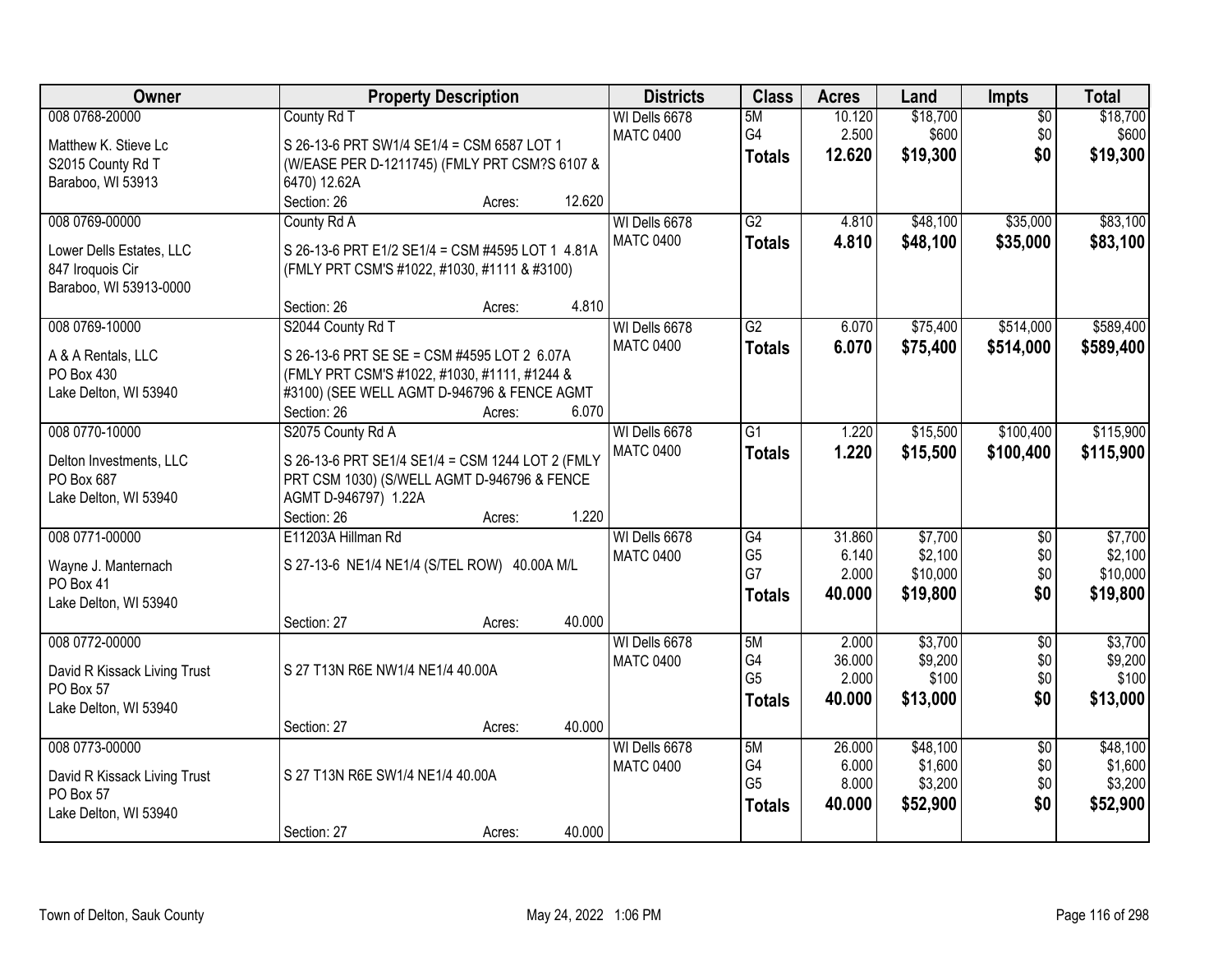| Owner                                     | <b>Property Description</b>                      | <b>Districts</b>                  | <b>Class</b>    | <b>Acres</b>    | Land              | Impts                  | <b>Total</b>      |
|-------------------------------------------|--------------------------------------------------|-----------------------------------|-----------------|-----------------|-------------------|------------------------|-------------------|
| 008 0768-20000                            | County Rd T                                      | WI Dells 6678<br><b>MATC 0400</b> | 5M<br>G4        | 10.120<br>2.500 | \$18,700<br>\$600 | $\overline{50}$<br>\$0 | \$18,700<br>\$600 |
| Matthew K. Stieve Lc                      | S 26-13-6 PRT SW1/4 SE1/4 = CSM 6587 LOT 1       |                                   | <b>Totals</b>   | 12.620          | \$19,300          | \$0                    | \$19,300          |
| S2015 County Rd T                         | (W/EASE PER D-1211745) (FMLY PRT CSM?S 6107 &    |                                   |                 |                 |                   |                        |                   |
| Baraboo, WI 53913                         | 6470) 12.62A                                     |                                   |                 |                 |                   |                        |                   |
|                                           | 12.620<br>Section: 26<br>Acres:                  |                                   |                 |                 |                   |                        |                   |
| 008 0769-00000                            | County Rd A                                      | WI Dells 6678                     | $\overline{G2}$ | 4.810           | \$48,100          | \$35,000               | \$83,100          |
| Lower Dells Estates, LLC                  | S 26-13-6 PRT E1/2 SE1/4 = CSM #4595 LOT 1 4.81A | <b>MATC 0400</b>                  | <b>Totals</b>   | 4.810           | \$48,100          | \$35,000               | \$83,100          |
| 847 Iroquois Cir                          | (FMLY PRT CSM'S #1022, #1030, #1111 & #3100)     |                                   |                 |                 |                   |                        |                   |
| Baraboo, WI 53913-0000                    |                                                  |                                   |                 |                 |                   |                        |                   |
|                                           | Section: 26<br>4.810<br>Acres:                   |                                   |                 |                 |                   |                        |                   |
| 008 0769-10000                            | S2044 County Rd T                                | WI Dells 6678                     | $\overline{G2}$ | 6.070           | \$75,400          | \$514,000              | \$589,400         |
|                                           | S 26-13-6 PRT SE SE = CSM #4595 LOT 2 6.07A      | <b>MATC 0400</b>                  | <b>Totals</b>   | 6.070           | \$75,400          | \$514,000              | \$589,400         |
| A & A Rentals, LLC<br>PO Box 430          | (FMLY PRT CSM'S #1022, #1030, #1111, #1244 &     |                                   |                 |                 |                   |                        |                   |
| Lake Delton, WI 53940                     | #3100) (SEE WELL AGMT D-946796 & FENCE AGMT      |                                   |                 |                 |                   |                        |                   |
|                                           | Section: 26<br>6.070<br>Acres:                   |                                   |                 |                 |                   |                        |                   |
| 008 0770-10000                            | S2075 County Rd A                                | WI Dells 6678                     | G1              | 1.220           | \$15,500          | \$100,400              | \$115,900         |
|                                           |                                                  | <b>MATC 0400</b>                  | <b>Totals</b>   | 1.220           | \$15,500          | \$100,400              | \$115,900         |
| Delton Investments, LLC                   | S 26-13-6 PRT SE1/4 SE1/4 = CSM 1244 LOT 2 (FMLY |                                   |                 |                 |                   |                        |                   |
| PO Box 687                                | PRT CSM 1030) (S/WELL AGMT D-946796 & FENCE      |                                   |                 |                 |                   |                        |                   |
| Lake Delton, WI 53940                     | AGMT D-946797) 1.22A                             |                                   |                 |                 |                   |                        |                   |
|                                           | 1.220<br>Section: 26<br>Acres:                   |                                   |                 |                 |                   |                        |                   |
| 008 0771-00000                            | E11203A Hillman Rd                               | WI Dells 6678                     | G4              | 31.860          | \$7,700           | $\overline{50}$        | \$7,700           |
| Wayne J. Manternach                       | S 27-13-6 NE1/4 NE1/4 (S/TEL ROW) 40.00A M/L     | <b>MATC 0400</b>                  | G <sub>5</sub>  | 6.140           | \$2,100           | \$0                    | \$2,100           |
| PO Box 41                                 |                                                  |                                   | G7              | 2.000           | \$10,000          | \$0                    | \$10,000          |
| Lake Delton, WI 53940                     |                                                  |                                   | <b>Totals</b>   | 40.000          | \$19,800          | \$0                    | \$19,800          |
|                                           | 40.000<br>Section: 27<br>Acres:                  |                                   |                 |                 |                   |                        |                   |
| 008 0772-00000                            |                                                  | WI Dells 6678                     | 5M              | 2.000           | \$3,700           | $\overline{50}$        | \$3,700           |
| David R Kissack Living Trust              | S 27 T13N R6E NW1/4 NE1/4 40.00A                 | <b>MATC 0400</b>                  | G4              | 36.000          | \$9,200           | \$0                    | \$9,200           |
| PO Box 57                                 |                                                  |                                   | G <sub>5</sub>  | 2.000           | \$100             | \$0                    | \$100             |
| Lake Delton, WI 53940                     |                                                  |                                   | <b>Totals</b>   | 40.000          | \$13,000          | \$0                    | \$13,000          |
|                                           | 40.000<br>Section: 27<br>Acres:                  |                                   |                 |                 |                   |                        |                   |
| 008 0773-00000                            |                                                  | WI Dells 6678                     | 5M              | 26.000          | \$48,100          | $\overline{50}$        | \$48,100          |
|                                           |                                                  | <b>MATC 0400</b>                  | G4              | 6.000           | \$1,600           | \$0                    | \$1,600           |
| David R Kissack Living Trust<br>PO Box 57 | S 27 T13N R6E SW1/4 NE1/4 40.00A                 |                                   | G <sub>5</sub>  | 8.000           | \$3,200           | \$0                    | \$3,200           |
| Lake Delton, WI 53940                     |                                                  |                                   | <b>Totals</b>   | 40.000          | \$52,900          | \$0                    | \$52,900          |
|                                           | 40.000<br>Section: 27<br>Acres:                  |                                   |                 |                 |                   |                        |                   |
|                                           |                                                  |                                   |                 |                 |                   |                        |                   |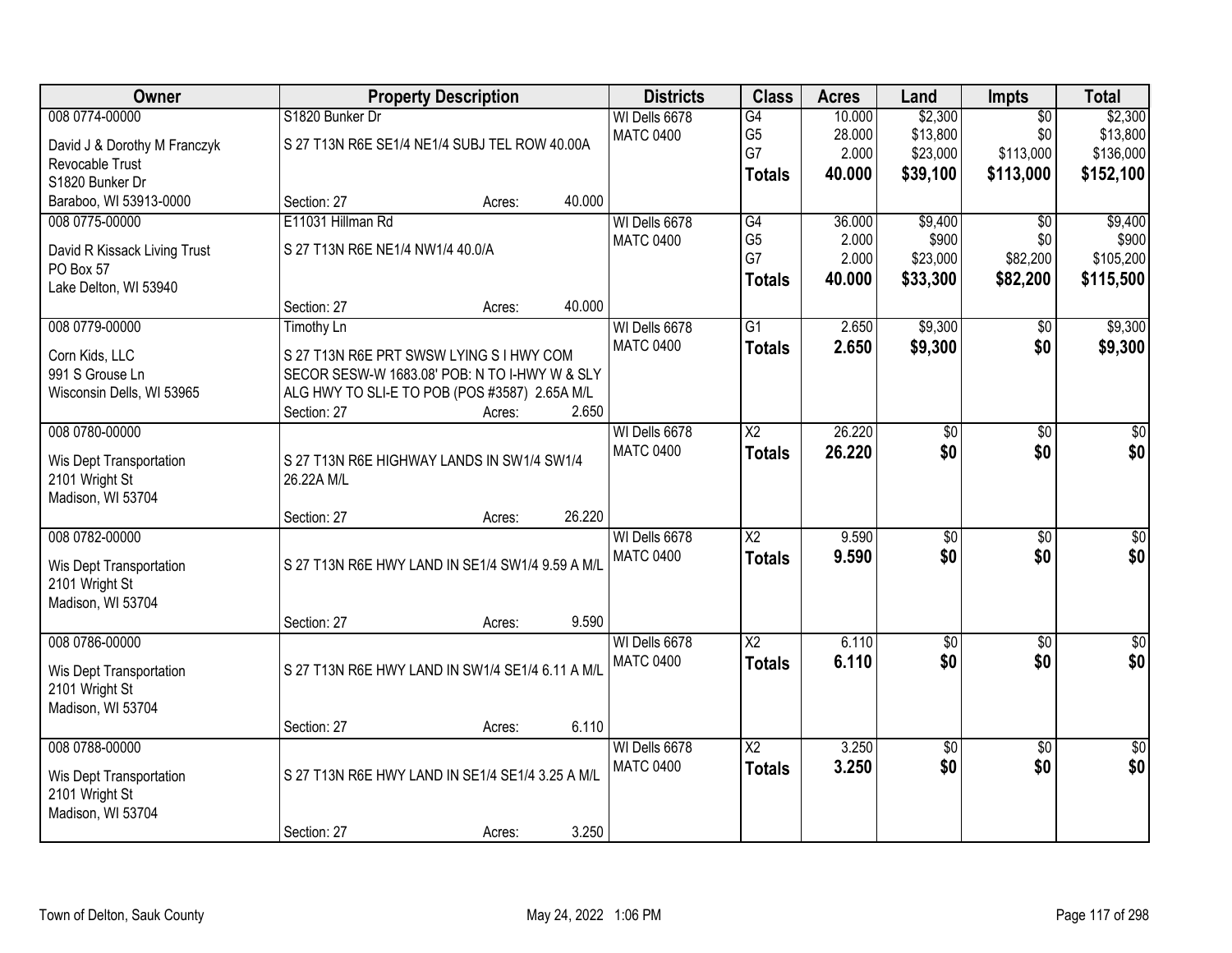| Owner                        | <b>Property Description</b>                      |                  | <b>Districts</b>                  | <b>Class</b>           | <b>Acres</b>     | Land                 | <b>Impts</b>           | <b>Total</b>          |
|------------------------------|--------------------------------------------------|------------------|-----------------------------------|------------------------|------------------|----------------------|------------------------|-----------------------|
| 008 0774-00000               | S1820 Bunker Dr                                  |                  | WI Dells 6678                     | G4                     | 10.000           | \$2,300              | $\overline{50}$        | \$2,300               |
| David J & Dorothy M Franczyk | S 27 T13N R6E SE1/4 NE1/4 SUBJ TEL ROW 40.00A    |                  | <b>MATC 0400</b>                  | G <sub>5</sub><br>G7   | 28.000<br>2.000  | \$13,800<br>\$23,000 | \$0<br>\$113,000       | \$13,800<br>\$136,000 |
| Revocable Trust              |                                                  |                  |                                   | <b>Totals</b>          | 40.000           | \$39,100             | \$113,000              | \$152,100             |
| S1820 Bunker Dr              |                                                  |                  |                                   |                        |                  |                      |                        |                       |
| Baraboo, WI 53913-0000       | Section: 27                                      | 40.000<br>Acres: |                                   |                        |                  |                      |                        |                       |
| 008 0775-00000               | E11031 Hillman Rd                                |                  | WI Dells 6678<br><b>MATC 0400</b> | G4<br>G <sub>5</sub>   | 36.000<br>2.000  | \$9,400<br>\$900     | $\overline{50}$<br>\$0 | \$9,400<br>\$900      |
| David R Kissack Living Trust | S 27 T13N R6E NE1/4 NW1/4 40.0/A                 |                  |                                   | G7                     | 2.000            | \$23,000             | \$82,200               | \$105,200             |
| PO Box 57                    |                                                  |                  |                                   | <b>Totals</b>          | 40.000           | \$33,300             | \$82,200               | \$115,500             |
| Lake Delton, WI 53940        |                                                  |                  |                                   |                        |                  |                      |                        |                       |
|                              | Section: 27                                      | 40.000<br>Acres: |                                   |                        |                  |                      |                        |                       |
| 008 0779-00000               | <b>Timothy Ln</b>                                |                  | WI Dells 6678<br><b>MATC 0400</b> | G1                     | 2.650            | \$9,300              | \$0                    | \$9,300               |
| Corn Kids, LLC               | S 27 T13N R6E PRT SWSW LYING S I HWY COM         |                  |                                   | <b>Totals</b>          | 2.650            | \$9,300              | \$0                    | \$9,300               |
| 991 S Grouse Ln              | SECOR SESW-W 1683.08' POB: N TO I-HWY W & SLY    |                  |                                   |                        |                  |                      |                        |                       |
| Wisconsin Dells, WI 53965    | ALG HWY TO SLI-E TO POB (POS #3587) 2.65A M/L    |                  |                                   |                        |                  |                      |                        |                       |
|                              | Section: 27                                      | 2.650<br>Acres:  |                                   |                        |                  |                      |                        |                       |
| 008 0780-00000               |                                                  |                  | WI Dells 6678<br><b>MATC 0400</b> | $\overline{\text{X2}}$ | 26.220<br>26.220 | \$0<br>\$0           | $\overline{50}$<br>\$0 | $\overline{50}$       |
| Wis Dept Transportation      | S 27 T13N R6E HIGHWAY LANDS IN SW1/4 SW1/4       |                  |                                   | <b>Totals</b>          |                  |                      |                        | \$0                   |
| 2101 Wright St               | 26.22A M/L                                       |                  |                                   |                        |                  |                      |                        |                       |
| Madison, WI 53704            |                                                  |                  |                                   |                        |                  |                      |                        |                       |
| 008 0782-00000               | Section: 27                                      | 26.220<br>Acres: | WI Dells 6678                     | $\overline{\text{X2}}$ | 9.590            | $\overline{60}$      | \$0                    | \$0                   |
|                              |                                                  |                  | <b>MATC 0400</b>                  |                        | 9.590            | \$0                  | \$0                    | \$0                   |
| Wis Dept Transportation      | S 27 T13N R6E HWY LAND IN SE1/4 SW1/4 9.59 A M/L |                  |                                   | <b>Totals</b>          |                  |                      |                        |                       |
| 2101 Wright St               |                                                  |                  |                                   |                        |                  |                      |                        |                       |
| Madison, WI 53704            |                                                  |                  |                                   |                        |                  |                      |                        |                       |
|                              | Section: 27                                      | 9.590<br>Acres:  |                                   | $\overline{\text{X2}}$ | 6.110            |                      |                        |                       |
| 008 0786-00000               |                                                  |                  | WI Dells 6678<br><b>MATC 0400</b> |                        | 6.110            | $\sqrt{$0}$<br>\$0   | \$0<br>\$0             | $\sqrt{50}$<br>\$0    |
| Wis Dept Transportation      | S 27 T13N R6E HWY LAND IN SW1/4 SE1/4 6.11 A M/L |                  |                                   | <b>Totals</b>          |                  |                      |                        |                       |
| 2101 Wright St               |                                                  |                  |                                   |                        |                  |                      |                        |                       |
| Madison, WI 53704            |                                                  |                  |                                   |                        |                  |                      |                        |                       |
| 008 0788-00000               | Section: 27                                      | 6.110<br>Acres:  | WI Dells 6678                     | $\overline{\text{X2}}$ | 3.250            | $\sqrt{$0}$          | $\overline{50}$        | \$0                   |
|                              |                                                  |                  | <b>MATC 0400</b>                  | <b>Totals</b>          | 3.250            | \$0                  | \$0                    | \$0                   |
| Wis Dept Transportation      | S 27 T13N R6E HWY LAND IN SE1/4 SE1/4 3.25 A M/L |                  |                                   |                        |                  |                      |                        |                       |
| 2101 Wright St               |                                                  |                  |                                   |                        |                  |                      |                        |                       |
| Madison, WI 53704            |                                                  |                  |                                   |                        |                  |                      |                        |                       |
|                              | Section: 27                                      | 3.250<br>Acres:  |                                   |                        |                  |                      |                        |                       |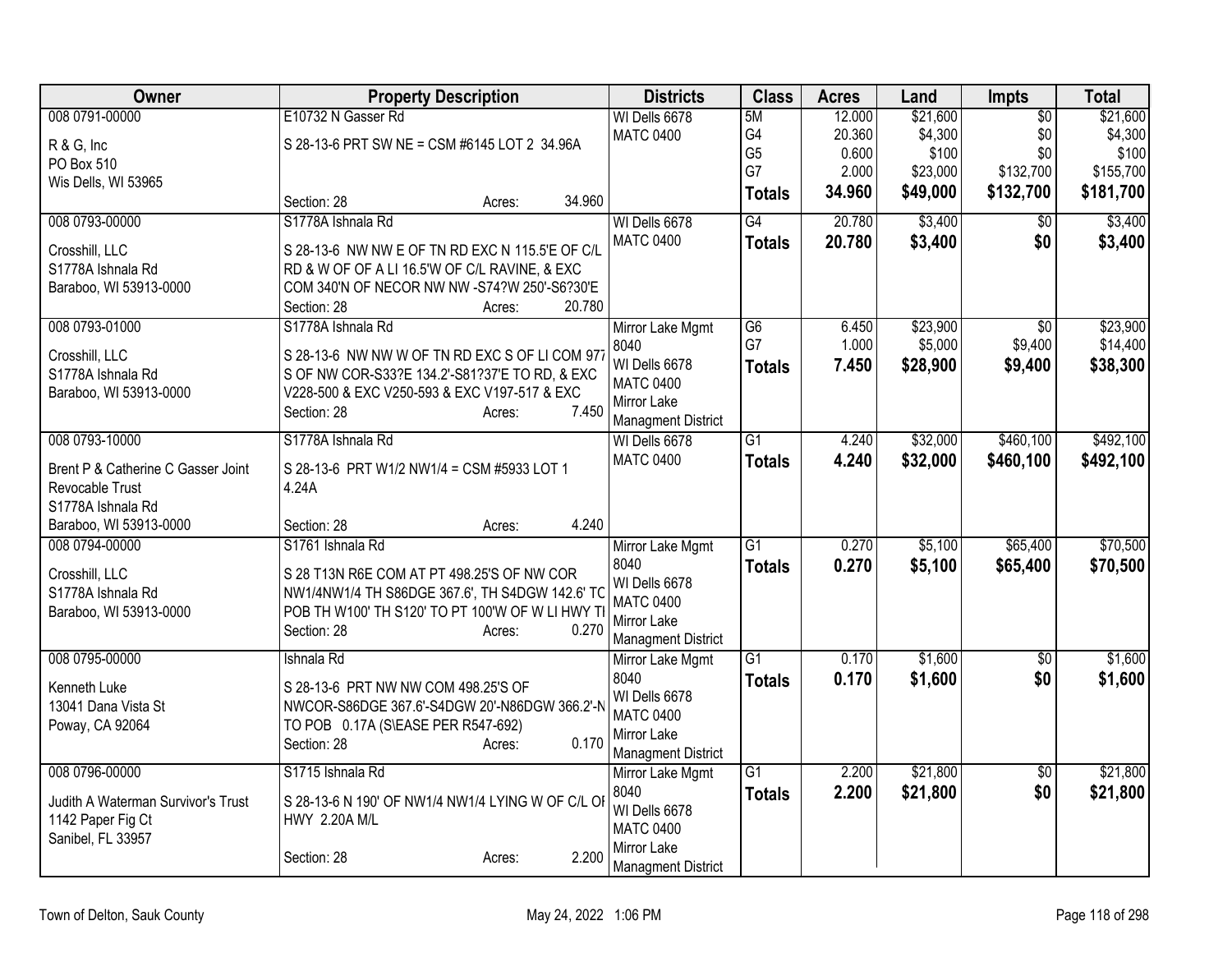| Owner                                                   | <b>Property Description</b>                                        | <b>Districts</b>                              | <b>Class</b>         | <b>Acres</b> | Land     | Impts           | <b>Total</b> |
|---------------------------------------------------------|--------------------------------------------------------------------|-----------------------------------------------|----------------------|--------------|----------|-----------------|--------------|
| 008 0791-00000                                          | E10732 N Gasser Rd                                                 | WI Dells 6678                                 | 5M                   | 12.000       | \$21,600 | $\overline{50}$ | \$21,600     |
| R & G, Inc                                              | S 28-13-6 PRT SW NE = CSM #6145 LOT 2 34.96A                       | <b>MATC 0400</b>                              | G4                   | 20.360       | \$4,300  | \$0             | \$4,300      |
| PO Box 510                                              |                                                                    |                                               | G <sub>5</sub><br>G7 | 0.600        | \$100    | \$0             | \$100        |
| Wis Dells, WI 53965                                     |                                                                    |                                               |                      | 2.000        | \$23,000 | \$132,700       | \$155,700    |
|                                                         | 34.960<br>Section: 28<br>Acres:                                    |                                               | <b>Totals</b>        | 34.960       | \$49,000 | \$132,700       | \$181,700    |
| 008 0793-00000                                          | S1778A Ishnala Rd                                                  | WI Dells 6678                                 | G4                   | 20.780       | \$3,400  | \$0             | \$3,400      |
| Crosshill, LLC                                          | S 28-13-6 NW NW E OF TN RD EXC N 115.5'E OF C/L                    | <b>MATC 0400</b>                              | <b>Totals</b>        | 20.780       | \$3,400  | \$0             | \$3,400      |
| S1778A Ishnala Rd                                       | RD & W OF OF A LI 16.5'W OF C/L RAVINE, & EXC                      |                                               |                      |              |          |                 |              |
| Baraboo, WI 53913-0000                                  | COM 340'N OF NECOR NW NW -S74?W 250'-S6?30'E                       |                                               |                      |              |          |                 |              |
|                                                         | 20.780<br>Section: 28<br>Acres:                                    |                                               |                      |              |          |                 |              |
| 008 0793-01000                                          | S1778A Ishnala Rd                                                  | Mirror Lake Mgmt                              | G <sub>6</sub>       | 6.450        | \$23,900 | \$0             | \$23,900     |
| Crosshill, LLC                                          | S 28-13-6 NW NW W OF TN RD EXC S OF LI COM 977                     | 8040                                          | G7                   | 1.000        | \$5,000  | \$9,400         | \$14,400     |
| S1778A Ishnala Rd                                       | S OF NW COR-S33?E 134.2'-S81?37'E TO RD, & EXC                     | WI Dells 6678                                 | <b>Totals</b>        | 7.450        | \$28,900 | \$9,400         | \$38,300     |
| Baraboo, WI 53913-0000                                  | V228-500 & EXC V250-593 & EXC V197-517 & EXC                       | <b>MATC 0400</b>                              |                      |              |          |                 |              |
|                                                         | 7.450<br>Section: 28<br>Acres:                                     | Mirror Lake                                   |                      |              |          |                 |              |
|                                                         |                                                                    | <b>Managment District</b>                     |                      |              |          |                 |              |
| 008 0793-10000                                          | S1778A Ishnala Rd                                                  | WI Dells 6678                                 | $\overline{G1}$      | 4.240        | \$32,000 | \$460,100       | \$492,100    |
| Brent P & Catherine C Gasser Joint                      | S 28-13-6 PRT W1/2 NW1/4 = CSM #5933 LOT 1                         | <b>MATC 0400</b>                              | <b>Totals</b>        | 4.240        | \$32,000 | \$460,100       | \$492,100    |
| Revocable Trust                                         | 4.24A                                                              |                                               |                      |              |          |                 |              |
| S1778A Ishnala Rd                                       |                                                                    |                                               |                      |              |          |                 |              |
| Baraboo, WI 53913-0000                                  | 4.240<br>Section: 28<br>Acres:                                     |                                               |                      |              |          |                 |              |
| 008 0794-00000                                          | S1761 Ishnala Rd                                                   | Mirror Lake Mgmt                              | G1                   | 0.270        | \$5,100  | \$65,400        | \$70,500     |
| Crosshill, LLC                                          | S 28 T13N R6E COM AT PT 498.25'S OF NW COR                         | 8040                                          | <b>Totals</b>        | 0.270        | \$5,100  | \$65,400        | \$70,500     |
| S1778A Ishnala Rd                                       | NW1/4NW1/4 TH S86DGE 367.6', TH S4DGW 142.6' TC                    | WI Dells 6678                                 |                      |              |          |                 |              |
| Baraboo, WI 53913-0000                                  | POB TH W100' TH S120' TO PT 100'W OF W LI HWY T                    | <b>MATC 0400</b>                              |                      |              |          |                 |              |
|                                                         | 0.270<br>Section: 28<br>Acres:                                     | Mirror Lake                                   |                      |              |          |                 |              |
| 008 0795-00000                                          | Ishnala Rd                                                         | <b>Managment District</b><br>Mirror Lake Mgmt | $\overline{G1}$      | 0.170        | \$1,600  | $\overline{50}$ | \$1,600      |
|                                                         |                                                                    | 8040                                          |                      | 0.170        | \$1,600  | \$0             | \$1,600      |
| Kenneth Luke                                            | S 28-13-6 PRT NW NW COM 498.25'S OF                                | WI Dells 6678                                 | <b>Totals</b>        |              |          |                 |              |
| 13041 Dana Vista St                                     | NWCOR-S86DGE 367.6'-S4DGW 20'-N86DGW 366.2'-N                      | <b>MATC 0400</b>                              |                      |              |          |                 |              |
| Poway, CA 92064                                         | TO POB 0.17A (S\EASE PER R547-692)                                 | Mirror Lake                                   |                      |              |          |                 |              |
|                                                         | 0.170<br>Section: 28<br>Acres:                                     | <b>Managment District</b>                     |                      |              |          |                 |              |
| 008 0796-00000                                          | S1715 Ishnala Rd                                                   | Mirror Lake Mgmt                              | $\overline{G1}$      | 2.200        | \$21,800 | $\overline{50}$ | \$21,800     |
|                                                         |                                                                    | 8040                                          | <b>Totals</b>        | 2.200        | \$21,800 | \$0             | \$21,800     |
| Judith A Waterman Survivor's Trust<br>1142 Paper Fig Ct | S 28-13-6 N 190' OF NW1/4 NW1/4 LYING W OF C/L OI<br>HWY 2.20A M/L | WI Dells 6678                                 |                      |              |          |                 |              |
| Sanibel, FL 33957                                       |                                                                    | <b>MATC 0400</b>                              |                      |              |          |                 |              |
|                                                         | 2.200<br>Section: 28<br>Acres:                                     | Mirror Lake                                   |                      |              |          |                 |              |
|                                                         |                                                                    | <b>Managment District</b>                     |                      |              |          |                 |              |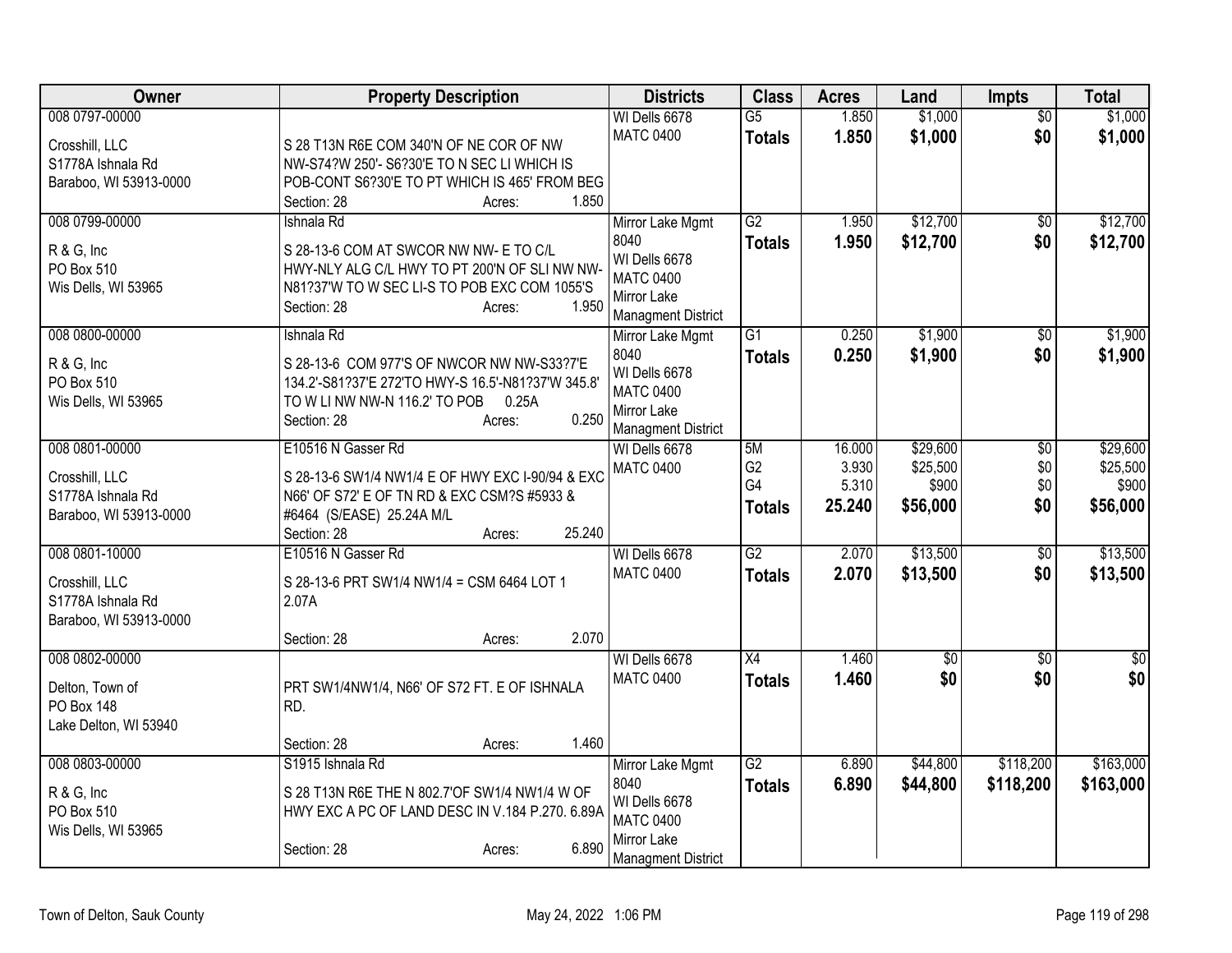| Owner                                       | <b>Property Description</b>                                  | <b>Districts</b>                           | <b>Class</b>    | <b>Acres</b> | Land            | Impts           | <b>Total</b>    |
|---------------------------------------------|--------------------------------------------------------------|--------------------------------------------|-----------------|--------------|-----------------|-----------------|-----------------|
| 008 0797-00000                              |                                                              | WI Dells 6678                              | $\overline{G5}$ | 1.850        | \$1,000         | $\overline{30}$ | \$1,000         |
| Crosshill, LLC                              | S 28 T13N R6E COM 340'N OF NE COR OF NW                      | <b>MATC 0400</b>                           | <b>Totals</b>   | 1.850        | \$1,000         | \$0             | \$1,000         |
| S1778A Ishnala Rd                           | NW-S74?W 250'- S6?30'E TO N SEC LI WHICH IS                  |                                            |                 |              |                 |                 |                 |
| Baraboo, WI 53913-0000                      | POB-CONT S6?30'E TO PT WHICH IS 465' FROM BEG                |                                            |                 |              |                 |                 |                 |
|                                             | Section: 28<br>1.850<br>Acres:                               |                                            |                 |              |                 |                 |                 |
| 008 0799-00000                              | Ishnala Rd                                                   | Mirror Lake Mgmt                           | G2              | 1.950        | \$12,700        | $\sqrt{$0}$     | \$12,700        |
| R & G, Inc                                  | S 28-13-6 COM AT SWCOR NW NW- E TO C/L                       | 8040                                       | <b>Totals</b>   | 1.950        | \$12,700        | \$0             | \$12,700        |
| PO Box 510                                  | HWY-NLY ALG C/L HWY TO PT 200'N OF SLI NW NW-                | WI Dells 6678<br><b>MATC 0400</b>          |                 |              |                 |                 |                 |
| Wis Dells, WI 53965                         | N81?37'W TO W SEC LI-S TO POB EXC COM 1055'S                 | Mirror Lake                                |                 |              |                 |                 |                 |
|                                             | 1.950<br>Section: 28<br>Acres:                               | <b>Managment District</b>                  |                 |              |                 |                 |                 |
| 008 0800-00000                              | Ishnala Rd                                                   | Mirror Lake Mgmt                           | G1              | 0.250        | \$1,900         | $\overline{50}$ | \$1,900         |
| R & G, Inc                                  | S 28-13-6 COM 977'S OF NWCOR NW NW-S33?7'E                   | 8040                                       | <b>Totals</b>   | 0.250        | \$1,900         | \$0             | \$1,900         |
| PO Box 510                                  | 134.2'-S81?37'E 272'TO HWY-S 16.5'-N81?37'W 345.8'           | WI Dells 6678                              |                 |              |                 |                 |                 |
| Wis Dells, WI 53965                         | TO W LI NW NW-N 116.2' TO POB<br>0.25A                       | <b>MATC 0400</b>                           |                 |              |                 |                 |                 |
|                                             | 0.250<br>Section: 28<br>Acres:                               | Mirror Lake                                |                 |              |                 |                 |                 |
| 008 0801-00000                              | E10516 N Gasser Rd                                           | <b>Managment District</b><br>WI Dells 6678 | 5M              | 16.000       | \$29,600        | $\overline{30}$ | \$29,600        |
|                                             |                                                              | <b>MATC 0400</b>                           | G <sub>2</sub>  | 3.930        | \$25,500        | \$0             | \$25,500        |
| Crosshill, LLC                              | S 28-13-6 SW1/4 NW1/4 E OF HWY EXC I-90/94 & EXC             |                                            | G4              | 5.310        | \$900           | \$0             | \$900           |
| S1778A Ishnala Rd                           | N66' OF S72' E OF TN RD & EXC CSM?S #5933 &                  |                                            | <b>Totals</b>   | 25.240       | \$56,000        | \$0             | \$56,000        |
| Baraboo, WI 53913-0000                      | #6464 (S/EASE) 25.24A M/L<br>25.240<br>Section: 28<br>Acres: |                                            |                 |              |                 |                 |                 |
| 008 0801-10000                              | E10516 N Gasser Rd                                           | WI Dells 6678                              | $\overline{G2}$ | 2.070        | \$13,500        | $\sqrt{$0}$     | \$13,500        |
|                                             |                                                              | <b>MATC 0400</b>                           | <b>Totals</b>   | 2.070        | \$13,500        | \$0             | \$13,500        |
| Crosshill, LLC                              | S 28-13-6 PRT SW1/4 NW1/4 = CSM 6464 LOT 1                   |                                            |                 |              |                 |                 |                 |
| S1778A Ishnala Rd<br>Baraboo, WI 53913-0000 | 2.07A                                                        |                                            |                 |              |                 |                 |                 |
|                                             | 2.070<br>Section: 28<br>Acres:                               |                                            |                 |              |                 |                 |                 |
| 008 0802-00000                              |                                                              | WI Dells 6678                              | X4              | 1.460        | $\overline{60}$ | $\overline{50}$ | $\overline{30}$ |
|                                             |                                                              | <b>MATC 0400</b>                           | <b>Totals</b>   | 1.460        | \$0             | \$0             | \$0             |
| Delton, Town of<br><b>PO Box 148</b>        | PRT SW1/4NW1/4, N66' OF S72 FT. E OF ISHNALA<br>RD.          |                                            |                 |              |                 |                 |                 |
| Lake Delton, WI 53940                       |                                                              |                                            |                 |              |                 |                 |                 |
|                                             | 1.460<br>Section: 28<br>Acres:                               |                                            |                 |              |                 |                 |                 |
| 008 0803-00000                              | S1915 Ishnala Rd                                             | Mirror Lake Mgmt                           | $\overline{G2}$ | 6.890        | \$44,800        | \$118,200       | \$163,000       |
| R & G, Inc                                  | S 28 T13N R6E THE N 802.7'OF SW1/4 NW1/4 W OF                | 8040                                       | <b>Totals</b>   | 6.890        | \$44,800        | \$118,200       | \$163,000       |
| PO Box 510                                  | HWY EXC A PC OF LAND DESC IN V.184 P.270. 6.89A              | WI Dells 6678                              |                 |              |                 |                 |                 |
| Wis Dells, WI 53965                         |                                                              | <b>MATC 0400</b>                           |                 |              |                 |                 |                 |
|                                             | 6.890<br>Section: 28<br>Acres:                               | Mirror Lake                                |                 |              |                 |                 |                 |
|                                             |                                                              | <b>Managment District</b>                  |                 |              |                 |                 |                 |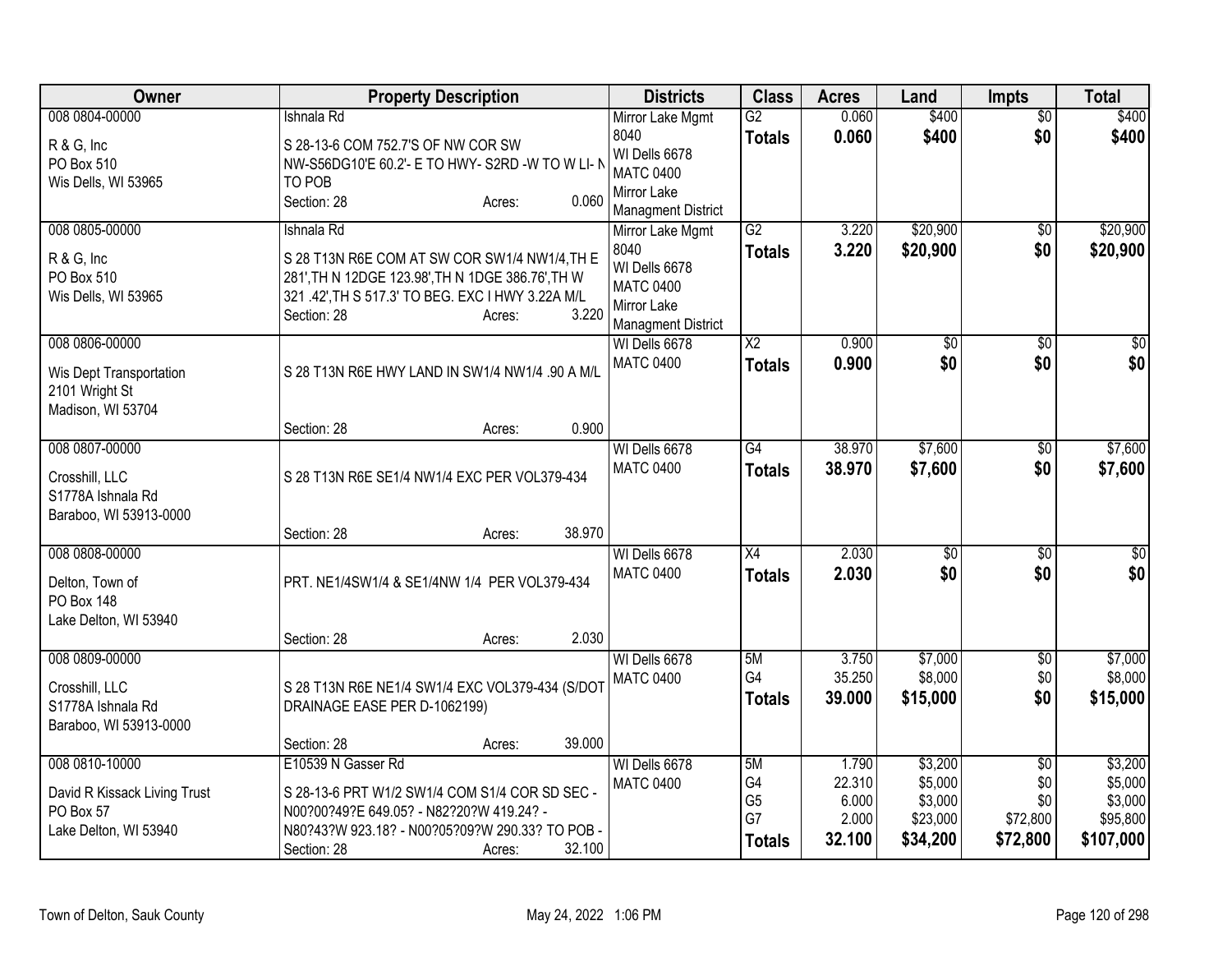| Owner                                                                                | <b>Property Description</b>                                                                                                                                                                             | <b>Districts</b>                                                                                          | <b>Class</b>                                      | <b>Acres</b>                                | Land                                                  | <b>Impts</b>                                          | <b>Total</b>                                           |
|--------------------------------------------------------------------------------------|---------------------------------------------------------------------------------------------------------------------------------------------------------------------------------------------------------|-----------------------------------------------------------------------------------------------------------|---------------------------------------------------|---------------------------------------------|-------------------------------------------------------|-------------------------------------------------------|--------------------------------------------------------|
| 008 0804-00000<br>R & G, Inc<br>PO Box 510<br>Wis Dells, WI 53965                    | Ishnala Rd<br>S 28-13-6 COM 752.7'S OF NW COR SW<br>NW-S56DG10'E 60.2'- E TO HWY- S2RD -W TO W LI- N<br>TO POB<br>0.060<br>Section: 28<br>Acres:                                                        | Mirror Lake Mgmt<br>8040<br>WI Dells 6678<br><b>MATC 0400</b><br>Mirror Lake<br><b>Managment District</b> | G2<br><b>Totals</b>                               | 0.060<br>0.060                              | \$400<br>\$400                                        | $\overline{50}$<br>\$0                                | \$400<br>\$400                                         |
| 008 0805-00000<br>R & G, Inc<br>PO Box 510<br>Wis Dells, WI 53965                    | Ishnala Rd<br>S 28 T13N R6E COM AT SW COR SW1/4 NW1/4, TH E<br>281', TH N 12DGE 123.98', TH N 1DGE 386.76', TH W<br>321 .42', TH S 517.3' TO BEG. EXC I HWY 3.22A M/L<br>3.220<br>Section: 28<br>Acres: | Mirror Lake Mgmt<br>8040<br>WI Dells 6678<br><b>MATC 0400</b><br>Mirror Lake<br><b>Managment District</b> | G2<br><b>Totals</b>                               | 3.220<br>3.220                              | \$20,900<br>\$20,900                                  | \$0<br>\$0                                            | \$20,900<br>\$20,900                                   |
| 008 0806-00000<br>Wis Dept Transportation<br>2101 Wright St<br>Madison, WI 53704     | S 28 T13N R6E HWY LAND IN SW1/4 NW1/4 .90 A M/L                                                                                                                                                         | WI Dells 6678<br><b>MATC 0400</b>                                                                         | $\overline{\mathsf{X2}}$<br><b>Totals</b>         | 0.900<br>0.900                              | \$0<br>\$0                                            | \$0<br>\$0                                            | \$0<br>\$0                                             |
| 008 0807-00000<br>Crosshill, LLC<br>S1778A Ishnala Rd<br>Baraboo, WI 53913-0000      | 0.900<br>Section: 28<br>Acres:<br>S 28 T13N R6E SE1/4 NW1/4 EXC PER VOL379-434                                                                                                                          | WI Dells 6678<br><b>MATC 0400</b>                                                                         | $\overline{G4}$<br><b>Totals</b>                  | 38.970<br>38.970                            | \$7,600<br>\$7,600                                    | \$0<br>\$0                                            | \$7,600<br>\$7,600                                     |
| 008 0808-00000<br>Delton, Town of<br><b>PO Box 148</b><br>Lake Delton, WI 53940      | 38.970<br>Section: 28<br>Acres:<br>PRT. NE1/4SW1/4 & SE1/4NW 1/4 PER VOL379-434<br>2.030<br>Section: 28<br>Acres:                                                                                       | WI Dells 6678<br><b>MATC 0400</b>                                                                         | $\overline{X4}$<br><b>Totals</b>                  | 2.030<br>2.030                              | $\sqrt{$0}$<br>\$0                                    | \$0<br>\$0                                            | $\sqrt{50}$<br>\$0                                     |
| 008 0809-00000<br>Crosshill, LLC<br>S1778A Ishnala Rd<br>Baraboo, WI 53913-0000      | S 28 T13N R6E NE1/4 SW1/4 EXC VOL379-434 (S/DOT<br>DRAINAGE EASE PER D-1062199)<br>39.000<br>Section: 28<br>Acres:                                                                                      | WI Dells 6678<br><b>MATC 0400</b>                                                                         | 5M<br>G4<br><b>Totals</b>                         | 3.750<br>35.250<br>39.000                   | \$7,000<br>\$8,000<br>\$15,000                        | $\overline{50}$<br>\$0<br>\$0                         | \$7,000<br>\$8,000<br>\$15,000                         |
| 008 0810-10000<br>David R Kissack Living Trust<br>PO Box 57<br>Lake Delton, WI 53940 | E10539 N Gasser Rd<br>S 28-13-6 PRT W1/2 SW1/4 COM S1/4 COR SD SEC -<br>N00?00?49?E 649.05? - N82?20?W 419.24? -<br>N80?43?W 923.18? - N00?05?09?W 290.33? TO POB -<br>32.100<br>Section: 28<br>Acres:  | WI Dells 6678<br><b>MATC 0400</b>                                                                         | 5M<br>G4<br>G <sub>5</sub><br>G7<br><b>Totals</b> | 1.790<br>22.310<br>6.000<br>2.000<br>32.100 | \$3,200<br>\$5,000<br>\$3,000<br>\$23,000<br>\$34,200 | $\overline{50}$<br>\$0<br>\$0<br>\$72,800<br>\$72,800 | \$3,200<br>\$5,000<br>\$3,000<br>\$95,800<br>\$107,000 |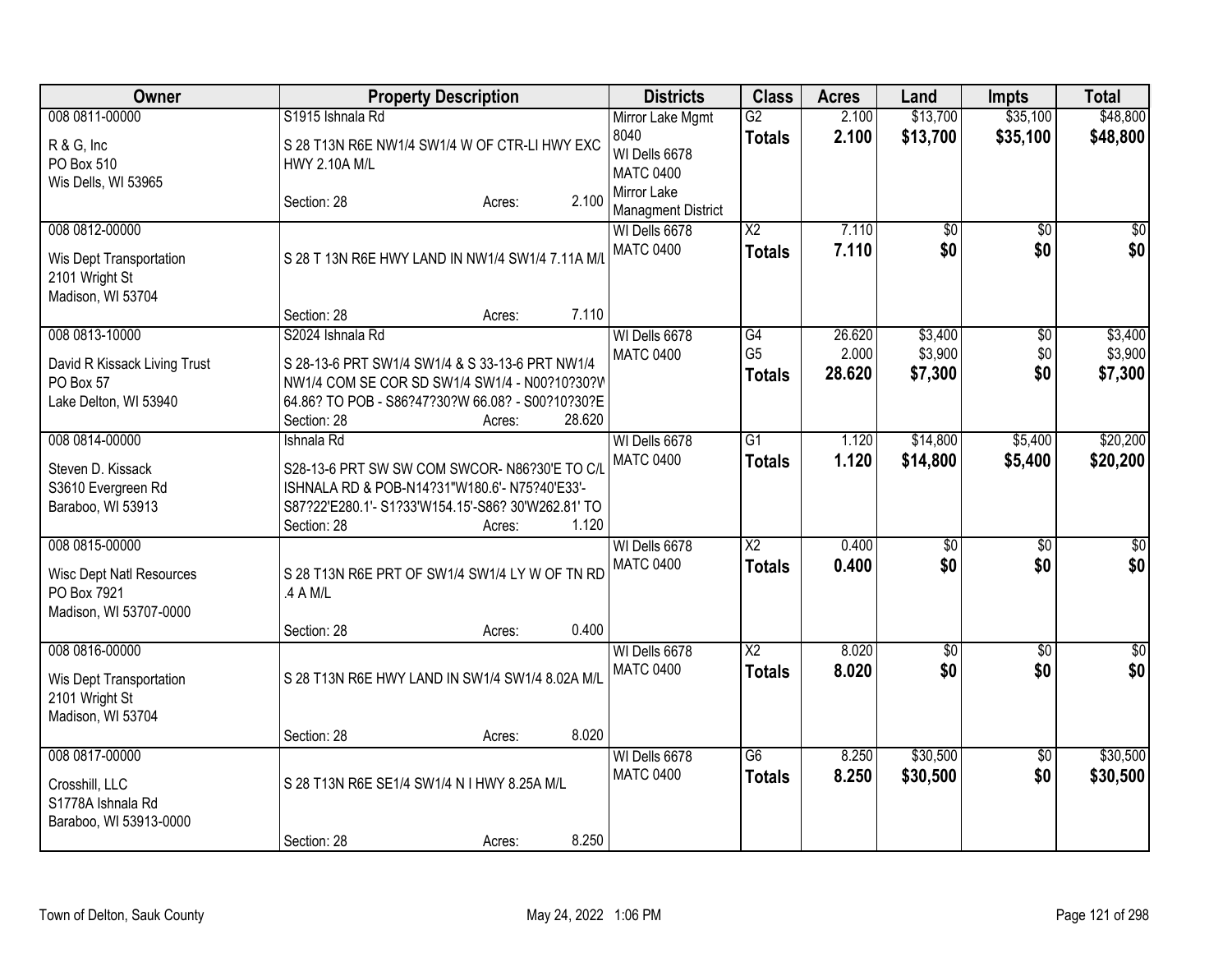| Owner                                                                                      |                                          | <b>Property Description</b>                                                                                                                                    |        | <b>Districts</b>                                              | <b>Class</b>                            | <b>Acres</b>    | Land                   | <b>Impts</b>                  | <b>Total</b>         |
|--------------------------------------------------------------------------------------------|------------------------------------------|----------------------------------------------------------------------------------------------------------------------------------------------------------------|--------|---------------------------------------------------------------|-----------------------------------------|-----------------|------------------------|-------------------------------|----------------------|
| 008 0811-00000<br>R & G, Inc<br>PO Box 510<br>Wis Dells, WI 53965                          | S1915 Ishnala Rd<br><b>HWY 2.10A M/L</b> | S 28 T13N R6E NW1/4 SW1/4 W OF CTR-LI HWY EXC                                                                                                                  |        | Mirror Lake Mgmt<br>8040<br>WI Dells 6678<br><b>MATC 0400</b> | $\overline{G2}$<br><b>Totals</b>        | 2.100<br>2.100  | \$13,700<br>\$13,700   | \$35,100<br>\$35,100          | \$48,800<br>\$48,800 |
|                                                                                            | Section: 28                              | Acres:                                                                                                                                                         | 2.100  | Mirror Lake<br><b>Managment District</b>                      |                                         |                 |                        |                               |                      |
| 008 0812-00000<br>Wis Dept Transportation<br>2101 Wright St<br>Madison, WI 53704           |                                          | S 28 T 13N R6E HWY LAND IN NW1/4 SW1/4 7.11A M/L                                                                                                               |        | WI Dells 6678<br><b>MATC 0400</b>                             | $\overline{\text{X2}}$<br><b>Totals</b> | 7.110<br>7.110  | $\overline{50}$<br>\$0 | $\overline{50}$<br>\$0        | \$0<br>\$0           |
| 008 0813-10000                                                                             | Section: 28<br>S2024 Ishnala Rd          | Acres:                                                                                                                                                         | 7.110  | WI Dells 6678                                                 | G4                                      | 26.620          | \$3,400                |                               | \$3,400              |
| David R Kissack Living Trust<br>PO Box 57<br>Lake Delton, WI 53940                         | Section: 28                              | S 28-13-6 PRT SW1/4 SW1/4 & S 33-13-6 PRT NW1/4<br>NW1/4 COM SE COR SD SW1/4 SW1/4 - N00?10?30?V<br>64.86? TO POB - S86?47?30?W 66.08? - S00?10?30?E<br>Acres: | 28.620 | <b>MATC 0400</b>                                              | G <sub>5</sub><br><b>Totals</b>         | 2.000<br>28.620 | \$3,900<br>\$7,300     | $\overline{50}$<br>\$0<br>\$0 | \$3,900<br>\$7,300   |
| 008 0814-00000                                                                             | Ishnala Rd                               |                                                                                                                                                                |        | WI Dells 6678                                                 | G1                                      | 1.120           | \$14,800               | \$5,400                       | \$20,200             |
| Steven D. Kissack<br>S3610 Evergreen Rd<br>Baraboo, WI 53913                               | Section: 28                              | S28-13-6 PRT SW SW COM SWCOR- N86?30'E TO C/L<br>ISHNALA RD & POB-N14?31"W180.6'- N75?40'E33'-<br>S87?22'E280.1'- S1?33'W154.15'-S86? 30'W262.81' TO<br>Acres: | 1.120  | <b>MATC 0400</b>                                              | <b>Totals</b>                           | 1.120           | \$14,800               | \$5,400                       | \$20,200             |
| 008 0815-00000<br><b>Wisc Dept Natl Resources</b><br>PO Box 7921<br>Madison, WI 53707-0000 | .4 A M/L<br>Section: 28                  | S 28 T13N R6E PRT OF SW1/4 SW1/4 LY W OF TN RD<br>Acres:                                                                                                       | 0.400  | WI Dells 6678<br><b>MATC 0400</b>                             | $\overline{X2}$<br><b>Totals</b>        | 0.400<br>0.400  | $\overline{50}$<br>\$0 | $\overline{50}$<br>\$0        | $\sqrt{50}$<br>\$0   |
| 008 0816-00000                                                                             |                                          |                                                                                                                                                                |        | WI Dells 6678                                                 | $\overline{\text{X2}}$                  | 8.020           | $\overline{50}$        | \$0                           | \$0                  |
| Wis Dept Transportation<br>2101 Wright St<br>Madison, WI 53704                             |                                          | S 28 T13N R6E HWY LAND IN SW1/4 SW1/4 8.02A M/L                                                                                                                |        | <b>MATC 0400</b>                                              | <b>Totals</b>                           | 8.020           | \$0                    | \$0                           | \$0                  |
|                                                                                            | Section: 28                              | Acres:                                                                                                                                                         | 8.020  |                                                               |                                         |                 |                        |                               |                      |
| 008 0817-00000<br>Crosshill, LLC<br>S1778A Ishnala Rd<br>Baraboo, WI 53913-0000            |                                          | S 28 T13N R6E SE1/4 SW1/4 N I HWY 8.25A M/L                                                                                                                    |        | WI Dells 6678<br><b>MATC 0400</b>                             | $\overline{G6}$<br><b>Totals</b>        | 8.250<br>8.250  | \$30,500<br>\$30,500   | \$0<br>\$0                    | \$30,500<br>\$30,500 |
|                                                                                            | Section: 28                              | Acres:                                                                                                                                                         | 8.250  |                                                               |                                         |                 |                        |                               |                      |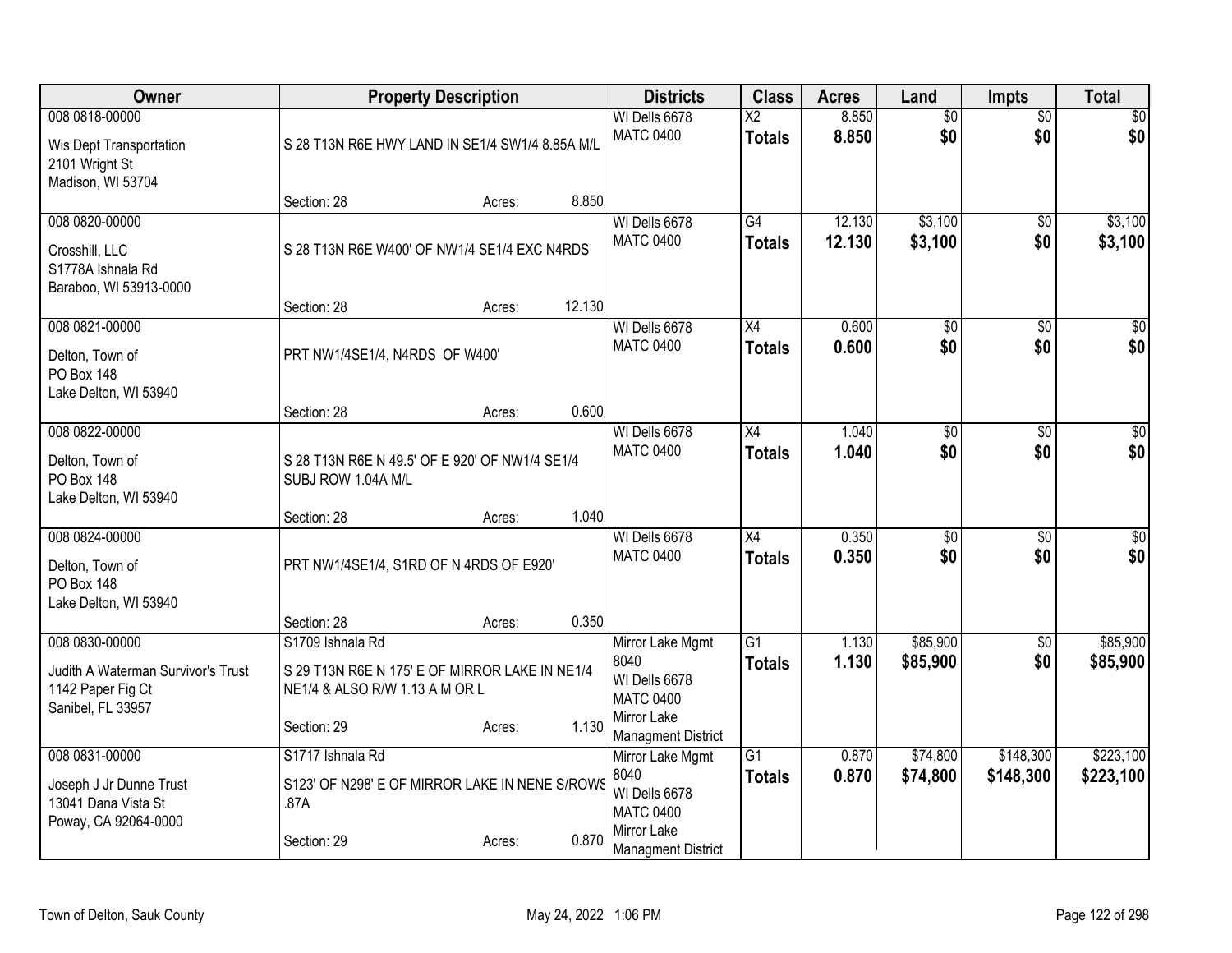| Owner                                                                                          |                                                                                                      | <b>Property Description</b> |        | <b>Districts</b>                                                             | <b>Class</b>                              | <b>Acres</b>     | Land                   | <b>Impts</b>           | <b>Total</b>           |
|------------------------------------------------------------------------------------------------|------------------------------------------------------------------------------------------------------|-----------------------------|--------|------------------------------------------------------------------------------|-------------------------------------------|------------------|------------------------|------------------------|------------------------|
| 008 0818-00000<br>Wis Dept Transportation<br>2101 Wright St<br>Madison, WI 53704               | S 28 T13N R6E HWY LAND IN SE1/4 SW1/4 8.85A M/L                                                      |                             |        | WI Dells 6678<br><b>MATC 0400</b>                                            | $\overline{\mathsf{x2}}$<br><b>Totals</b> | 8.850<br>8.850   | $\overline{50}$<br>\$0 | $\overline{50}$<br>\$0 | \$0<br>\$0             |
|                                                                                                | Section: 28                                                                                          | Acres:                      | 8.850  |                                                                              |                                           |                  |                        |                        |                        |
| 008 0820-00000<br>Crosshill, LLC<br>S1778A Ishnala Rd<br>Baraboo, WI 53913-0000                | S 28 T13N R6E W400' OF NW1/4 SE1/4 EXC N4RDS                                                         |                             |        | WI Dells 6678<br><b>MATC 0400</b>                                            | G4<br><b>Totals</b>                       | 12.130<br>12.130 | \$3,100<br>\$3,100     | \$0<br>\$0             | \$3,100<br>\$3,100     |
|                                                                                                | Section: 28                                                                                          | Acres:                      | 12.130 |                                                                              |                                           |                  |                        |                        |                        |
| 008 0821-00000<br>Delton, Town of<br><b>PO Box 148</b><br>Lake Delton, WI 53940                | PRT NW1/4SE1/4, N4RDS OF W400'                                                                       |                             |        | WI Dells 6678<br><b>MATC 0400</b>                                            | X4<br><b>Totals</b>                       | 0.600<br>0.600   | \$0<br>\$0             | $\sqrt{6}$<br>\$0      | \$0<br>\$0             |
|                                                                                                | Section: 28                                                                                          | Acres:                      | 0.600  |                                                                              |                                           |                  |                        |                        |                        |
| 008 0822-00000<br>Delton, Town of<br>PO Box 148<br>Lake Delton, WI 53940                       | S 28 T13N R6E N 49.5' OF E 920' OF NW1/4 SE1/4<br>SUBJ ROW 1.04A M/L                                 |                             |        | WI Dells 6678<br><b>MATC 0400</b>                                            | $\overline{X4}$<br><b>Totals</b>          | 1.040<br>1.040   | $\overline{50}$<br>\$0 | \$0<br>\$0             | $\sqrt{50}$<br>\$0     |
|                                                                                                | Section: 28                                                                                          | Acres:                      | 1.040  |                                                                              |                                           |                  |                        |                        |                        |
| 008 0824-00000<br>Delton, Town of<br><b>PO Box 148</b><br>Lake Delton, WI 53940                | PRT NW1/4SE1/4, S1RD OF N 4RDS OF E920'                                                              |                             |        | WI Dells 6678<br><b>MATC 0400</b>                                            | $\overline{X4}$<br><b>Totals</b>          | 0.350<br>0.350   | $\overline{50}$<br>\$0 | $\overline{50}$<br>\$0 | $\overline{50}$<br>\$0 |
|                                                                                                | Section: 28                                                                                          | Acres:                      | 0.350  |                                                                              |                                           |                  |                        |                        |                        |
| 008 0830-00000<br>Judith A Waterman Survivor's Trust<br>1142 Paper Fig Ct<br>Sanibel, FL 33957 | S1709 Ishnala Rd<br>S 29 T13N R6E N 175' E OF MIRROR LAKE IN NE1/4<br>NE1/4 & ALSO R/W 1.13 A M OR L |                             |        | Mirror Lake Mgmt<br>8040<br>WI Dells 6678<br><b>MATC 0400</b><br>Mirror Lake | $\overline{G1}$<br>Totals                 | 1.130<br>1.130   | \$85,900<br>\$85,900   | $\overline{60}$<br>\$0 | \$85,900<br>\$85,900   |
|                                                                                                | Section: 29                                                                                          | Acres:                      | 1.130  | <b>Managment District</b>                                                    |                                           |                  |                        |                        |                        |
| 008 0831-00000<br>Joseph J Jr Dunne Trust<br>13041 Dana Vista St<br>Poway, CA 92064-0000       | S1717 Ishnala Rd<br>S123' OF N298' E OF MIRROR LAKE IN NENE S/ROWS<br>.87A                           |                             | 0.870  | Mirror Lake Mgmt<br>8040<br>WI Dells 6678<br><b>MATC 0400</b><br>Mirror Lake | $\overline{G1}$<br><b>Totals</b>          | 0.870<br>0.870   | \$74,800<br>\$74,800   | \$148,300<br>\$148,300 | \$223,100<br>\$223,100 |
|                                                                                                | Section: 29                                                                                          | Acres:                      |        | <b>Managment District</b>                                                    |                                           |                  |                        |                        |                        |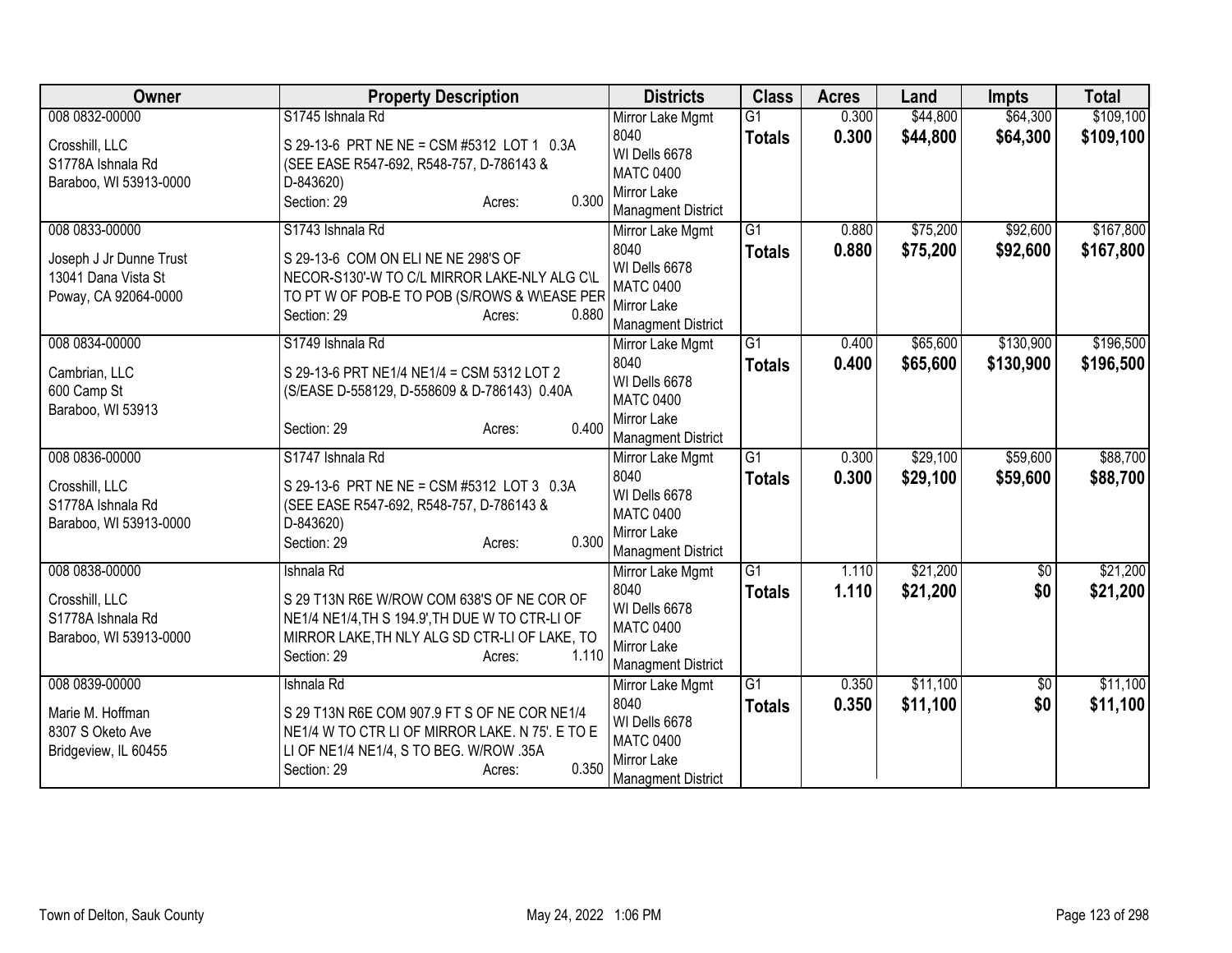| Owner                        | <b>Property Description</b>                     | <b>Districts</b>                              | <b>Class</b>    | <b>Acres</b> | Land     | <b>Impts</b>    | <b>Total</b> |
|------------------------------|-------------------------------------------------|-----------------------------------------------|-----------------|--------------|----------|-----------------|--------------|
| 008 0832-00000               | S1745 Ishnala Rd                                | Mirror Lake Mgmt                              | $\overline{G1}$ | 0.300        | \$44,800 | \$64,300        | \$109,100    |
| Crosshill, LLC               | S 29-13-6 PRT NE NE = CSM #5312 LOT 1 0.3A      | 8040                                          | <b>Totals</b>   | 0.300        | \$44,800 | \$64,300        | \$109,100    |
| S1778A Ishnala Rd            | (SEE EASE R547-692, R548-757, D-786143 &        | WI Dells 6678                                 |                 |              |          |                 |              |
| Baraboo, WI 53913-0000       | D-843620)                                       | <b>MATC 0400</b>                              |                 |              |          |                 |              |
|                              | 0.300<br>Section: 29<br>Acres:                  | Mirror Lake                                   |                 |              |          |                 |              |
| 008 0833-00000               | S1743 Ishnala Rd                                | <b>Managment District</b><br>Mirror Lake Mgmt | $\overline{G1}$ | 0.880        | \$75,200 | \$92,600        | \$167,800    |
|                              |                                                 | 8040                                          | <b>Totals</b>   | 0.880        | \$75,200 | \$92,600        | \$167,800    |
| Joseph J Jr Dunne Trust      | S 29-13-6 COM ON ELINE NE 298'S OF              | WI Dells 6678                                 |                 |              |          |                 |              |
| 13041 Dana Vista St          | NECOR-S130'-W TO C/L MIRROR LAKE-NLY ALG C\L    | <b>MATC 0400</b>                              |                 |              |          |                 |              |
| Poway, CA 92064-0000         | TO PT W OF POB-E TO POB (S/ROWS & W\EASE PER    | Mirror Lake                                   |                 |              |          |                 |              |
|                              | Section: 29<br>0.880<br>Acres:                  | <b>Managment District</b>                     |                 |              |          |                 |              |
| 008 0834-00000               | S1749 Ishnala Rd                                | Mirror Lake Mgmt                              | $\overline{G1}$ | 0.400        | \$65,600 | \$130,900       | \$196,500    |
|                              | S 29-13-6 PRT NE1/4 NE1/4 = CSM 5312 LOT 2      | 8040                                          | <b>Totals</b>   | 0.400        | \$65,600 | \$130,900       | \$196,500    |
| Cambrian, LLC<br>600 Camp St | (S/EASE D-558129, D-558609 & D-786143) 0.40A    | WI Dells 6678                                 |                 |              |          |                 |              |
| Baraboo, WI 53913            |                                                 | <b>MATC 0400</b>                              |                 |              |          |                 |              |
|                              | 0.400<br>Section: 29<br>Acres:                  | Mirror Lake                                   |                 |              |          |                 |              |
|                              |                                                 | <b>Managment District</b>                     |                 |              |          |                 |              |
| 008 0836-00000               | S1747 Ishnala Rd                                | Mirror Lake Mgmt                              | G1              | 0.300        | \$29,100 | \$59,600        | \$88,700     |
| Crosshill, LLC               | S 29-13-6 PRT NE NE = CSM #5312 LOT 3 0.3A      | 8040                                          | <b>Totals</b>   | 0.300        | \$29,100 | \$59,600        | \$88,700     |
| S1778A Ishnala Rd            | (SEE EASE R547-692, R548-757, D-786143 &        | WI Dells 6678                                 |                 |              |          |                 |              |
| Baraboo, WI 53913-0000       | D-843620)                                       | <b>MATC 0400</b><br>Mirror Lake               |                 |              |          |                 |              |
|                              | 0.300<br>Section: 29<br>Acres:                  | <b>Managment District</b>                     |                 |              |          |                 |              |
| 008 0838-00000               | Ishnala Rd                                      | Mirror Lake Mgmt                              | $\overline{G1}$ | 1.110        | \$21,200 | $\overline{50}$ | \$21,200     |
|                              |                                                 | 8040                                          | <b>Totals</b>   | 1.110        | \$21,200 | \$0             | \$21,200     |
| Crosshill, LLC               | S 29 T13N R6E W/ROW COM 638'S OF NE COR OF      | WI Dells 6678                                 |                 |              |          |                 |              |
| S1778A Ishnala Rd            | NE1/4 NE1/4, TH S 194.9', TH DUE W TO CTR-LI OF | <b>MATC 0400</b>                              |                 |              |          |                 |              |
| Baraboo, WI 53913-0000       | MIRROR LAKE, TH NLY ALG SD CTR-LI OF LAKE, TO   | Mirror Lake                                   |                 |              |          |                 |              |
|                              | 1.110<br>Section: 29<br>Acres:                  | <b>Managment District</b>                     |                 |              |          |                 |              |
| 008 0839-00000               | Ishnala Rd                                      | Mirror Lake Mgmt                              | $\overline{G1}$ | 0.350        | \$11,100 | \$0             | \$11,100     |
| Marie M. Hoffman             | S 29 T13N R6E COM 907.9 FT S OF NE COR NE1/4    | 8040                                          | <b>Totals</b>   | 0.350        | \$11,100 | \$0             | \$11,100     |
| 8307 S Oketo Ave             | NE1/4 W TO CTR LI OF MIRROR LAKE. N 75'. E TO E | WI Dells 6678                                 |                 |              |          |                 |              |
| Bridgeview, IL 60455         | LI OF NE1/4 NE1/4, S TO BEG. W/ROW .35A         | <b>MATC 0400</b>                              |                 |              |          |                 |              |
|                              | 0.350<br>Section: 29<br>Acres:                  | Mirror Lake                                   |                 |              |          |                 |              |
|                              |                                                 | <b>Managment District</b>                     |                 |              |          |                 |              |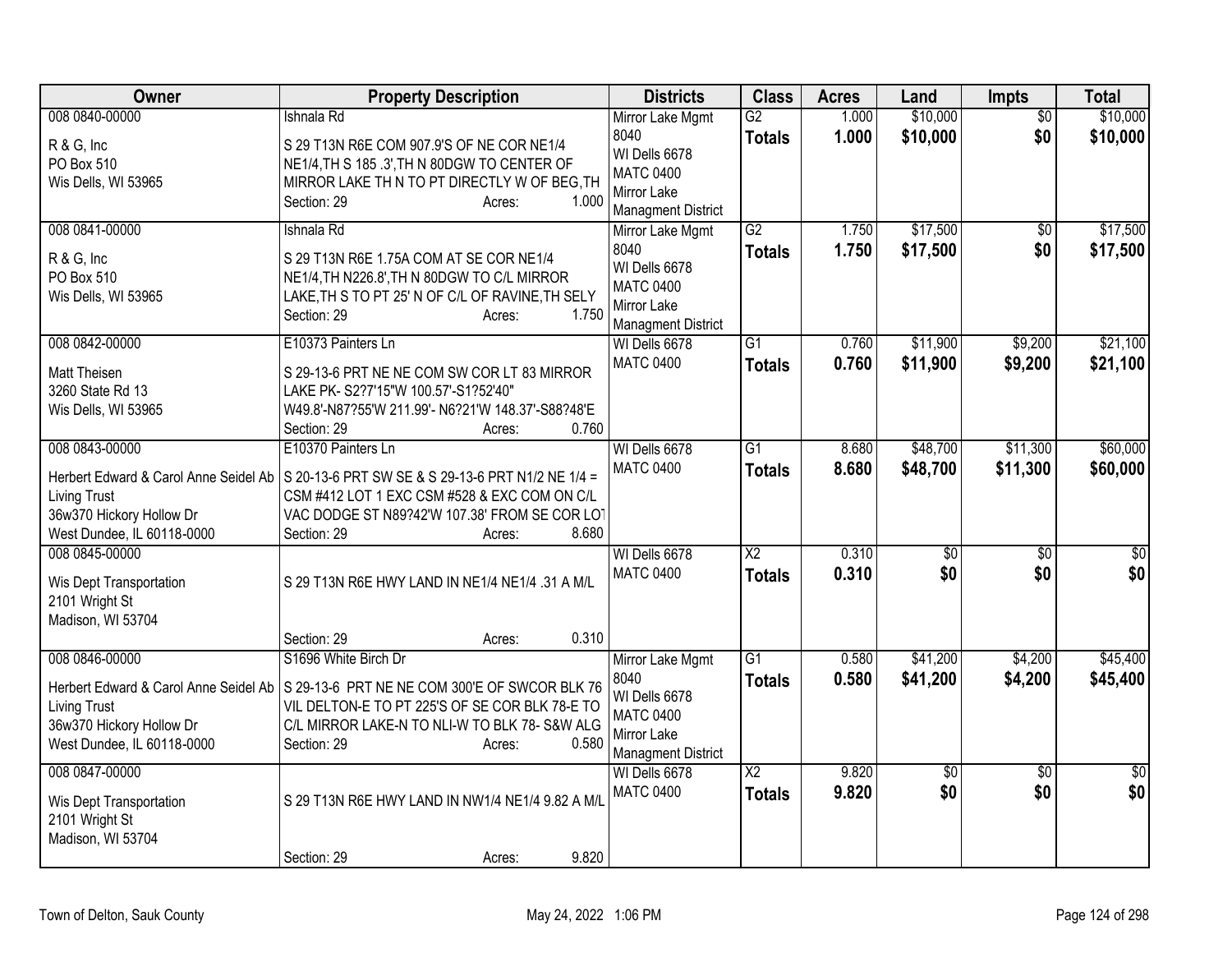| Owner                                                                                                                                    | <b>Property Description</b>                                                                                                                                                                                                                       | <b>Districts</b>                                                                                          | <b>Class</b>                            | <b>Acres</b>   | Land                   | Impts                  | <b>Total</b>           |
|------------------------------------------------------------------------------------------------------------------------------------------|---------------------------------------------------------------------------------------------------------------------------------------------------------------------------------------------------------------------------------------------------|-----------------------------------------------------------------------------------------------------------|-----------------------------------------|----------------|------------------------|------------------------|------------------------|
| 008 0840-00000<br>R & G, Inc<br>PO Box 510<br>Wis Dells, WI 53965                                                                        | Ishnala Rd<br>S 29 T13N R6E COM 907.9'S OF NE COR NE1/4<br>NE1/4, TH S 185 .3', TH N 80DGW TO CENTER OF<br>MIRROR LAKE THIN TO PT DIRECTLY W OF BEG, TH<br>1.000<br>Section: 29<br>Acres:                                                         | Mirror Lake Mgmt<br>8040<br>WI Dells 6678<br><b>MATC 0400</b><br>Mirror Lake<br><b>Managment District</b> | G2<br><b>Totals</b>                     | 1.000<br>1.000 | \$10,000<br>\$10,000   | $\overline{50}$<br>\$0 | \$10,000<br>\$10,000   |
| 008 0841-00000<br>R & G, Inc<br>PO Box 510<br>Wis Dells, WI 53965                                                                        | Ishnala Rd<br>S 29 T13N R6E 1.75A COM AT SE COR NE1/4<br>NE1/4, TH N226.8', TH N 80DGW TO C/L MIRROR<br>LAKE, TH S TO PT 25' N OF C/L OF RAVINE, TH SELY<br>1.750<br>Section: 29<br>Acres:                                                        | Mirror Lake Mgmt<br>8040<br>WI Dells 6678<br><b>MATC 0400</b><br>Mirror Lake<br><b>Managment District</b> | $\overline{G2}$<br><b>Totals</b>        | 1.750<br>1.750 | \$17,500<br>\$17,500   | $\sqrt{6}$<br>\$0      | \$17,500<br>\$17,500   |
| 008 0842-00000<br>Matt Theisen<br>3260 State Rd 13<br>Wis Dells, WI 53965                                                                | E10373 Painters Ln<br>S 29-13-6 PRT NE NE COM SW COR LT 83 MIRROR<br>LAKE PK- S2?7'15"W 100.57'-S1?52'40"<br>W49.8'-N87?55'W 211.99'- N6?21'W 148.37'-S88?48'E<br>0.760<br>Section: 29<br>Acres:                                                  | WI Dells 6678<br><b>MATC 0400</b>                                                                         | G1<br><b>Totals</b>                     | 0.760<br>0.760 | \$11,900<br>\$11,900   | \$9,200<br>\$9,200     | \$21,100<br>\$21,100   |
| 008 0843-00000<br><b>Living Trust</b><br>36w370 Hickory Hollow Dr<br>West Dundee, IL 60118-0000                                          | E10370 Painters Ln<br>Herbert Edward & Carol Anne Seidel Ab   S 20-13-6 PRT SW SE & S 29-13-6 PRT N1/2 NE 1/4 =<br>CSM #412 LOT 1 EXC CSM #528 & EXC COM ON C/L<br>VAC DODGE ST N89?42'W 107.38' FROM SE COR LO<br>8.680<br>Section: 29<br>Acres: | WI Dells 6678<br><b>MATC 0400</b>                                                                         | $\overline{G1}$<br><b>Totals</b>        | 8.680<br>8.680 | \$48,700<br>\$48,700   | \$11,300<br>\$11,300   | \$60,000<br>\$60,000   |
| 008 0845-00000<br>Wis Dept Transportation<br>2101 Wright St<br>Madison, WI 53704                                                         | S 29 T13N R6E HWY LAND IN NE1/4 NE1/4 .31 A M/L<br>0.310<br>Section: 29<br>Acres:                                                                                                                                                                 | WI Dells 6678<br><b>MATC 0400</b>                                                                         | $\overline{X2}$<br><b>Totals</b>        | 0.310<br>0.310 | $\overline{60}$<br>\$0 | $\overline{50}$<br>\$0 | $\overline{30}$<br>\$0 |
| 008 0846-00000<br>Herbert Edward & Carol Anne Seidel Ab<br><b>Living Trust</b><br>36w370 Hickory Hollow Dr<br>West Dundee, IL 60118-0000 | S1696 White Birch Dr<br>S 29-13-6 PRT NE NE COM 300'E OF SWCOR BLK 76<br>VIL DELTON-E TO PT 225'S OF SE COR BLK 78-E TO<br>C/L MIRROR LAKE-N TO NLI-W TO BLK 78- S&W ALG<br>0.580<br>Section: 29<br>Acres:                                        | Mirror Lake Mgmt<br>8040<br>WI Dells 6678<br><b>MATC 0400</b><br>Mirror Lake<br><b>Managment District</b> | $\overline{G1}$<br><b>Totals</b>        | 0.580<br>0.580 | \$41,200<br>\$41,200   | \$4,200<br>\$4,200     | \$45,400<br>\$45,400   |
| 008 0847-00000<br>Wis Dept Transportation<br>2101 Wright St<br>Madison, WI 53704                                                         | S 29 T13N R6E HWY LAND IN NW1/4 NE1/4 9.82 A M/L<br>9.820<br>Section: 29<br>Acres:                                                                                                                                                                | WI Dells 6678<br><b>MATC 0400</b>                                                                         | $\overline{\text{X2}}$<br><b>Totals</b> | 9.820<br>9.820 | \$0<br>\$0             | \$0<br>\$0             | $\sqrt{50}$<br>\$0     |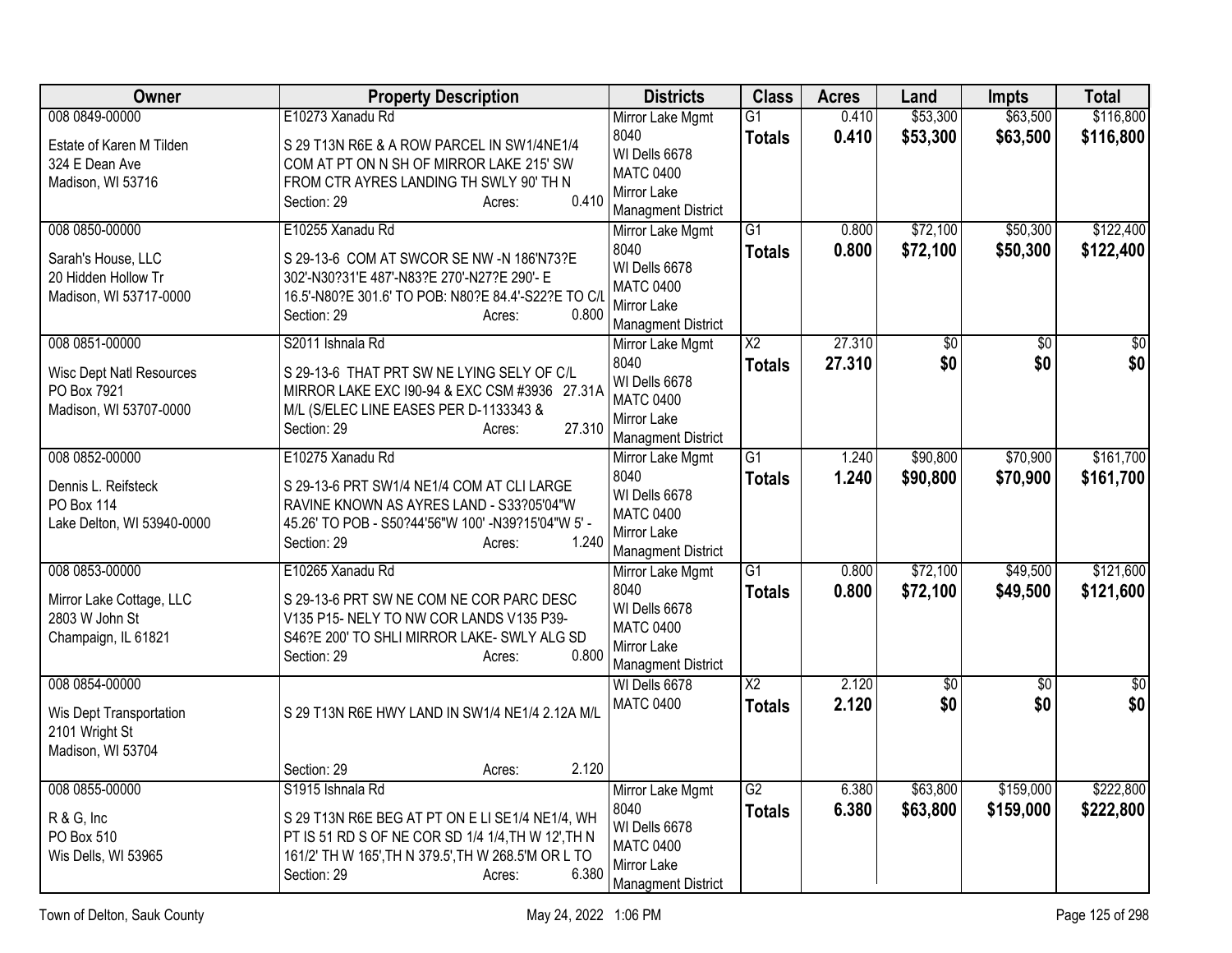| Owner                                          | <b>Property Description</b>                                                                        | <b>Districts</b>                              | <b>Class</b>           | <b>Acres</b>   | Land                 | Impts                | <b>Total</b>           |
|------------------------------------------------|----------------------------------------------------------------------------------------------------|-----------------------------------------------|------------------------|----------------|----------------------|----------------------|------------------------|
| 008 0849-00000                                 | E10273 Xanadu Rd                                                                                   | Mirror Lake Mgmt                              | G1                     | 0.410          | \$53,300             | \$63,500             | \$116,800              |
| Estate of Karen M Tilden                       | S 29 T13N R6E & A ROW PARCEL IN SW1/4NE1/4                                                         | 8040<br>WI Dells 6678                         | <b>Totals</b>          | 0.410          | \$53,300             | \$63,500             | \$116,800              |
| 324 E Dean Ave                                 | COM AT PT ON N SH OF MIRROR LAKE 215' SW                                                           | <b>MATC 0400</b>                              |                        |                |                      |                      |                        |
| Madison, WI 53716                              | FROM CTR AYRES LANDING TH SWLY 90' TH N<br>0.410<br>Section: 29<br>Acres:                          | Mirror Lake                                   |                        |                |                      |                      |                        |
|                                                |                                                                                                    | <b>Managment District</b>                     | $\overline{G1}$        |                |                      |                      |                        |
| 008 0850-00000                                 | E10255 Xanadu Rd                                                                                   | Mirror Lake Mgmt<br>8040                      | <b>Totals</b>          | 0.800<br>0.800 | \$72,100<br>\$72,100 | \$50,300<br>\$50,300 | \$122,400<br>\$122,400 |
| Sarah's House, LLC                             | S 29-13-6 COM AT SWCOR SE NW -N 186'N73?E                                                          | WI Dells 6678                                 |                        |                |                      |                      |                        |
| 20 Hidden Hollow Tr<br>Madison, WI 53717-0000  | 302'-N30?31'E 487'-N83?E 270'-N27?E 290'- E<br>16.5'-N80?E 301.6' TO POB: N80?E 84.4'-S22?E TO C/L | <b>MATC 0400</b>                              |                        |                |                      |                      |                        |
|                                                | 0.800<br>Section: 29<br>Acres:                                                                     | Mirror Lake                                   |                        |                |                      |                      |                        |
| 008 0851-00000                                 | S2011 Ishnala Rd                                                                                   | <b>Managment District</b><br>Mirror Lake Mgmt | $\overline{X2}$        | 27.310         | \$0                  | \$0                  | $\overline{50}$        |
|                                                |                                                                                                    | 8040                                          | <b>Totals</b>          | 27.310         | \$0                  | \$0                  | \$0                    |
| <b>Wisc Dept Natl Resources</b><br>PO Box 7921 | S 29-13-6 THAT PRT SW NE LYING SELY OF C/L                                                         | WI Dells 6678                                 |                        |                |                      |                      |                        |
| Madison, WI 53707-0000                         | MIRROR LAKE EXC 190-94 & EXC CSM #3936 27.31A<br>M/L (S/ELEC LINE EASES PER D-1133343 &            | <b>MATC 0400</b>                              |                        |                |                      |                      |                        |
|                                                | 27.310<br>Section: 29<br>Acres:                                                                    | Mirror Lake                                   |                        |                |                      |                      |                        |
| 008 0852-00000                                 | E10275 Xanadu Rd                                                                                   | <b>Managment District</b><br>Mirror Lake Mgmt | $\overline{G1}$        | 1.240          | \$90,800             | \$70,900             | \$161,700              |
|                                                |                                                                                                    | 8040                                          | <b>Totals</b>          | 1.240          | \$90,800             | \$70,900             | \$161,700              |
| Dennis L. Reifsteck<br><b>PO Box 114</b>       | S 29-13-6 PRT SW1/4 NE1/4 COM AT CLI LARGE<br>RAVINE KNOWN AS AYRES LAND - S33?05'04"W             | WI Dells 6678                                 |                        |                |                      |                      |                        |
| Lake Delton, WI 53940-0000                     | 45.26' TO POB - S50?44'56"W 100' -N39?15'04"W 5' -                                                 | <b>MATC 0400</b>                              |                        |                |                      |                      |                        |
|                                                | 1.240<br>Section: 29<br>Acres:                                                                     | Mirror Lake<br><b>Managment District</b>      |                        |                |                      |                      |                        |
| 008 0853-00000                                 | E10265 Xanadu Rd                                                                                   | Mirror Lake Mgmt                              | $\overline{G1}$        | 0.800          | \$72,100             | \$49,500             | \$121,600              |
|                                                |                                                                                                    | 8040                                          | <b>Totals</b>          | 0.800          | \$72,100             | \$49,500             | \$121,600              |
| Mirror Lake Cottage, LLC<br>2803 W John St     | S 29-13-6 PRT SW NE COM NE COR PARC DESC<br>V135 P15- NELY TO NW COR LANDS V135 P39-               | WI Dells 6678                                 |                        |                |                      |                      |                        |
| Champaign, IL 61821                            | S46?E 200' TO SHLI MIRROR LAKE- SWLY ALG SD                                                        | <b>MATC 0400</b>                              |                        |                |                      |                      |                        |
|                                                | 0.800<br>Section: 29<br>Acres:                                                                     | Mirror Lake<br><b>Managment District</b>      |                        |                |                      |                      |                        |
| 008 0854-00000                                 |                                                                                                    | WI Dells 6678                                 | $\overline{\text{X2}}$ | 2.120          | $\overline{50}$      | $\overline{50}$      | $\overline{50}$        |
|                                                | S 29 T13N R6E HWY LAND IN SW1/4 NE1/4 2.12A M/L                                                    | <b>MATC 0400</b>                              | <b>Totals</b>          | 2.120          | \$0                  | \$0                  | \$0                    |
| Wis Dept Transportation<br>2101 Wright St      |                                                                                                    |                                               |                        |                |                      |                      |                        |
| Madison, WI 53704                              |                                                                                                    |                                               |                        |                |                      |                      |                        |
|                                                | 2.120<br>Section: 29<br>Acres:                                                                     |                                               |                        |                |                      |                      |                        |
| 008 0855-00000                                 | S1915 Ishnala Rd                                                                                   | Mirror Lake Mgmt                              | $\overline{G2}$        | 6.380          | \$63,800             | \$159,000            | \$222,800              |
| R & G, Inc                                     | S 29 T13N R6E BEG AT PT ON E LI SE1/4 NE1/4, WH                                                    | 8040<br>WI Dells 6678                         | <b>Totals</b>          | 6.380          | \$63,800             | \$159,000            | \$222,800              |
| PO Box 510                                     | PT IS 51 RD S OF NE COR SD 1/4 1/4, TH W 12', TH N                                                 | <b>MATC 0400</b>                              |                        |                |                      |                      |                        |
| Wis Dells, WI 53965                            | 161/2' TH W 165', TH N 379.5', TH W 268.5'M OR L TO                                                | Mirror Lake                                   |                        |                |                      |                      |                        |
|                                                | Section: 29<br>6.380<br>Acres:                                                                     | <b>Managment District</b>                     |                        |                |                      |                      |                        |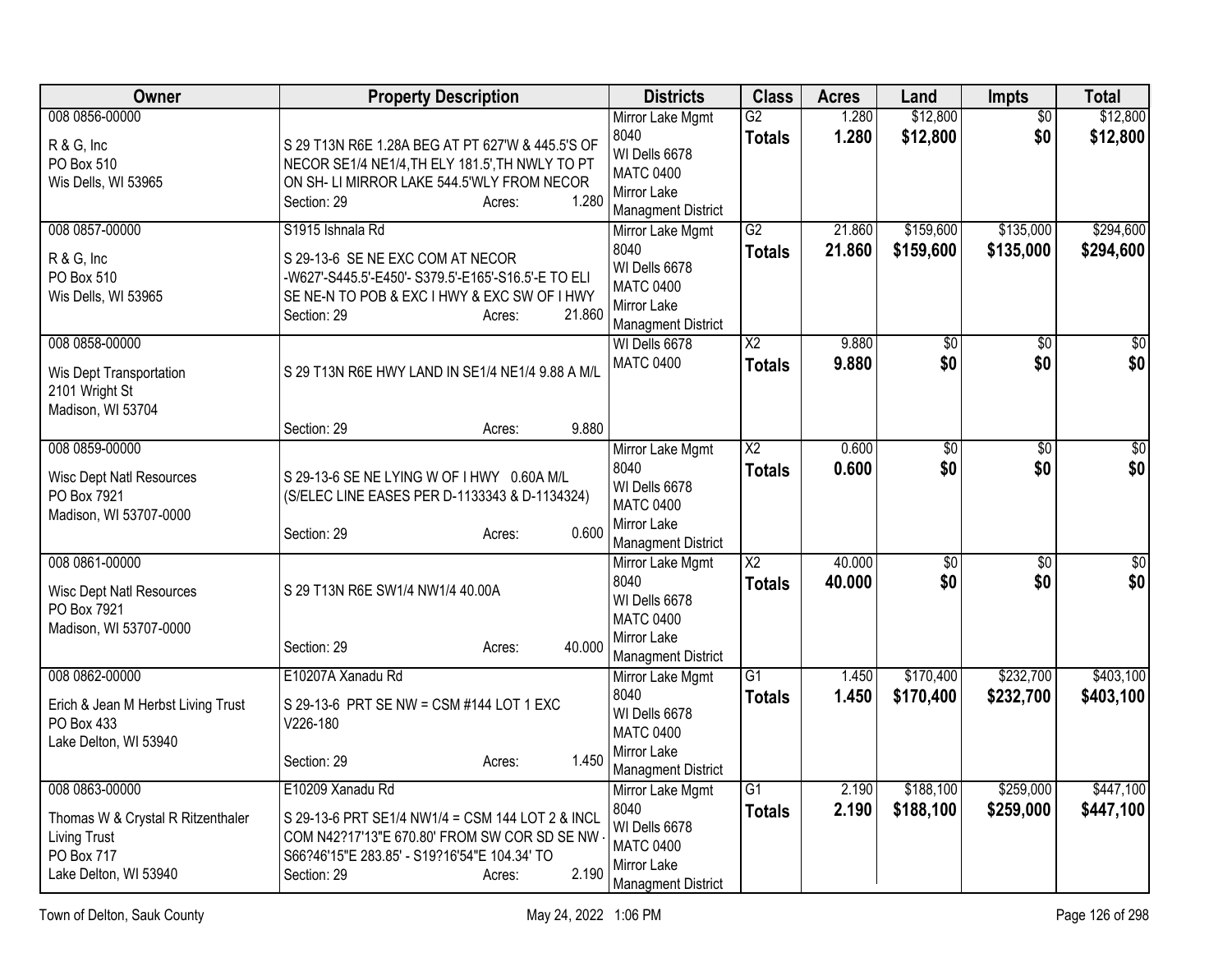| Owner                                                                                                             | <b>Property Description</b>                                                                                                                                                                            | <b>Districts</b>                                                                                          | <b>Class</b>                            | <b>Acres</b>     | Land                   | <b>Impts</b>           | <b>Total</b>           |
|-------------------------------------------------------------------------------------------------------------------|--------------------------------------------------------------------------------------------------------------------------------------------------------------------------------------------------------|-----------------------------------------------------------------------------------------------------------|-----------------------------------------|------------------|------------------------|------------------------|------------------------|
| 008 0856-00000<br>R & G, Inc<br>PO Box 510<br>Wis Dells, WI 53965                                                 | S 29 T13N R6E 1.28A BEG AT PT 627'W & 445.5'S OF<br>NECOR SE1/4 NE1/4, TH ELY 181.5', TH NWLY TO PT<br>ON SH- LI MIRROR LAKE 544.5'WLY FROM NECOR<br>1.280<br>Section: 29<br>Acres:                    | Mirror Lake Mgmt<br>8040<br>WI Dells 6678<br><b>MATC 0400</b><br>Mirror Lake<br><b>Managment District</b> | $\overline{G2}$<br><b>Totals</b>        | 1.280<br>1.280   | \$12,800<br>\$12,800   | $\overline{50}$<br>\$0 | \$12,800<br>\$12,800   |
| 008 0857-00000<br>R & G, Inc<br>PO Box 510<br>Wis Dells, WI 53965                                                 | S1915 Ishnala Rd<br>S 29-13-6 SE NE EXC COM AT NECOR<br>-W627'-S445.5'-E450'- S379.5'-E165'-S16.5'-E TO ELI<br>SE NE-N TO POB & EXC I HWY & EXC SW OF I HWY<br>21.860<br>Section: 29<br>Acres:         | Mirror Lake Mgmt<br>8040<br>WI Dells 6678<br><b>MATC 0400</b><br>Mirror Lake<br><b>Managment District</b> | $\overline{G2}$<br><b>Totals</b>        | 21.860<br>21.860 | \$159,600<br>\$159,600 | \$135,000<br>\$135,000 | \$294,600<br>\$294,600 |
| 008 0858-00000<br>Wis Dept Transportation<br>2101 Wright St<br>Madison, WI 53704                                  | S 29 T13N R6E HWY LAND IN SE1/4 NE1/4 9.88 A M/L<br>9.880<br>Section: 29<br>Acres:                                                                                                                     | WI Dells 6678<br><b>MATC 0400</b>                                                                         | $\overline{\text{X2}}$<br><b>Totals</b> | 9.880<br>9.880   | \$0<br>\$0             | \$0<br>\$0             | \$0<br>\$0             |
| 008 0859-00000<br><b>Wisc Dept Natl Resources</b><br>PO Box 7921<br>Madison, WI 53707-0000                        | S 29-13-6 SE NE LYING W OF I HWY 0.60A M/L<br>(S/ELEC LINE EASES PER D-1133343 & D-1134324)<br>0.600<br>Section: 29<br>Acres:                                                                          | Mirror Lake Mgmt<br>8040<br>WI Dells 6678<br><b>MATC 0400</b><br>Mirror Lake<br><b>Managment District</b> | $\overline{\text{X2}}$<br><b>Totals</b> | 0.600<br>0.600   | $\overline{50}$<br>\$0 | $\overline{30}$<br>\$0 | $\overline{30}$<br>\$0 |
| 008 0861-00000<br><b>Wisc Dept Natl Resources</b><br>PO Box 7921<br>Madison, WI 53707-0000                        | S 29 T13N R6E SW1/4 NW1/4 40.00A<br>40.000<br>Section: 29<br>Acres:                                                                                                                                    | Mirror Lake Mgmt<br>8040<br>WI Dells 6678<br><b>MATC 0400</b><br>Mirror Lake<br><b>Managment District</b> | $\overline{X2}$<br><b>Totals</b>        | 40.000<br>40.000 | \$0<br>\$0             | $\overline{50}$<br>\$0 | \$0<br>\$0             |
| 008 0862-00000<br>Erich & Jean M Herbst Living Trust<br>PO Box 433<br>Lake Delton, WI 53940                       | E10207A Xanadu Rd<br>S 29-13-6 PRT SE NW = CSM #144 LOT 1 EXC<br>V226-180<br>1.450<br>Section: 29<br>Acres:                                                                                            | Mirror Lake Mgmt<br>8040<br>WI Dells 6678<br><b>MATC 0400</b><br>Mirror Lake<br><b>Managment District</b> | $\overline{G1}$<br><b>Totals</b>        | 1.450<br>1.450   | \$170,400<br>\$170,400 | \$232,700<br>\$232,700 | \$403,100<br>\$403,100 |
| 008 0863-00000<br>Thomas W & Crystal R Ritzenthaler<br><b>Living Trust</b><br>PO Box 717<br>Lake Delton, WI 53940 | E10209 Xanadu Rd<br>S 29-13-6 PRT SE1/4 NW1/4 = CSM 144 LOT 2 & INCL<br>COM N42?17'13"E 670.80' FROM SW COR SD SE NW<br>S66?46'15"E 283.85' - S19?16'54"E 104.34' TO<br>2.190<br>Section: 29<br>Acres: | Mirror Lake Mgmt<br>8040<br>WI Dells 6678<br><b>MATC 0400</b><br>Mirror Lake<br><b>Managment District</b> | $\overline{G1}$<br><b>Totals</b>        | 2.190<br>2.190   | \$188,100<br>\$188,100 | \$259,000<br>\$259,000 | \$447,100<br>\$447,100 |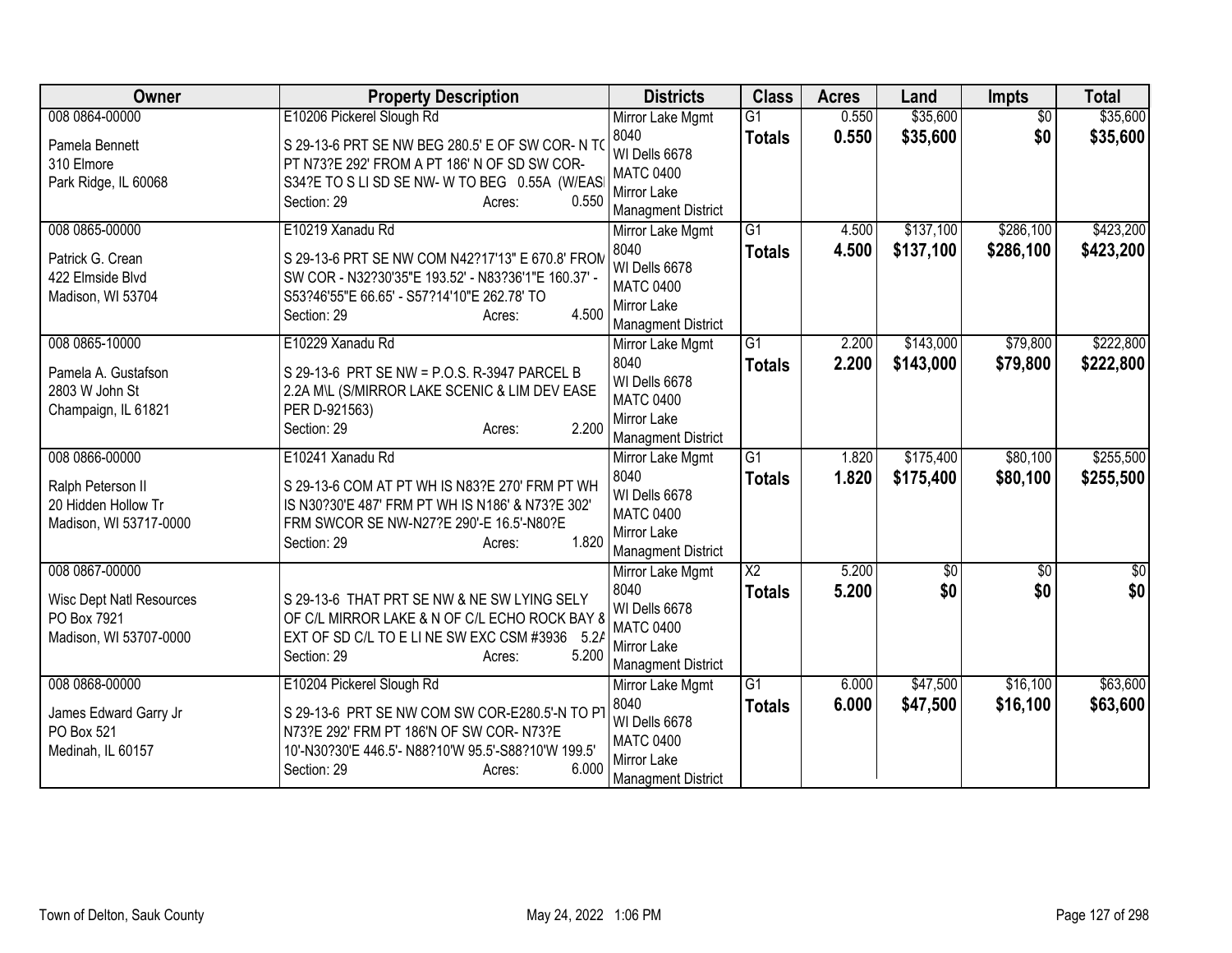| Owner                                 | <b>Property Description</b>                                                                             | <b>Districts</b>                         | <b>Class</b>    | <b>Acres</b> | Land            | <b>Impts</b>    | <b>Total</b>    |
|---------------------------------------|---------------------------------------------------------------------------------------------------------|------------------------------------------|-----------------|--------------|-----------------|-----------------|-----------------|
| 008 0864-00000                        | E10206 Pickerel Slough Rd                                                                               | Mirror Lake Mgmt                         | $\overline{G1}$ | 0.550        | \$35,600        | $\overline{50}$ | \$35,600        |
| Pamela Bennett                        | S 29-13-6 PRT SE NW BEG 280.5' E OF SW COR- N TO                                                        | 8040                                     | <b>Totals</b>   | 0.550        | \$35,600        | \$0             | \$35,600        |
| 310 Elmore                            | PT N73?E 292' FROM A PT 186' N OF SD SW COR-                                                            | WI Dells 6678<br><b>MATC 0400</b>        |                 |              |                 |                 |                 |
| Park Ridge, IL 60068                  | S34?E TO S LI SD SE NW- W TO BEG 0.55A (W/EAS                                                           | Mirror Lake                              |                 |              |                 |                 |                 |
|                                       | 0.550<br>Section: 29<br>Acres:                                                                          | <b>Managment District</b>                |                 |              |                 |                 |                 |
| 008 0865-00000                        | E10219 Xanadu Rd                                                                                        | Mirror Lake Mgmt                         | $\overline{G1}$ | 4.500        | \$137,100       | \$286,100       | \$423,200       |
|                                       |                                                                                                         | 8040                                     | <b>Totals</b>   | 4.500        | \$137,100       | \$286,100       | \$423,200       |
| Patrick G. Crean<br>422 Elmside Blvd  | S 29-13-6 PRT SE NW COM N42?17'13" E 670.8' FROM<br>SW COR - N32?30'35"E 193.52' - N83?36'1"E 160.37' - | WI Dells 6678                            |                 |              |                 |                 |                 |
| Madison, WI 53704                     | S53?46'55"E 66.65' - S57?14'10"E 262.78' TO                                                             | <b>MATC 0400</b>                         |                 |              |                 |                 |                 |
|                                       | 4.500<br>Section: 29<br>Acres:                                                                          | Mirror Lake                              |                 |              |                 |                 |                 |
|                                       |                                                                                                         | <b>Managment District</b>                |                 |              |                 |                 |                 |
| 008 0865-10000                        | E10229 Xanadu Rd                                                                                        | Mirror Lake Mgmt<br>8040                 | $\overline{G1}$ | 2.200        | \$143,000       | \$79,800        | \$222,800       |
| Pamela A. Gustafson                   | S 29-13-6 PRT SE NW = P.O.S. R-3947 PARCEL B                                                            | WI Dells 6678                            | <b>Totals</b>   | 2.200        | \$143,000       | \$79,800        | \$222,800       |
| 2803 W John St                        | 2.2A M\L (S/MIRROR LAKE SCENIC & LIM DEV EASE                                                           | <b>MATC 0400</b>                         |                 |              |                 |                 |                 |
| Champaign, IL 61821                   | PER D-921563)                                                                                           | <b>Mirror Lake</b>                       |                 |              |                 |                 |                 |
|                                       | 2.200<br>Section: 29<br>Acres:                                                                          | <b>Managment District</b>                |                 |              |                 |                 |                 |
| 008 0866-00000                        | E10241 Xanadu Rd                                                                                        | Mirror Lake Mgmt                         | $\overline{G1}$ | 1.820        | \$175,400       | \$80,100        | \$255,500       |
| Ralph Peterson II                     | S 29-13-6 COM AT PT WH IS N83?E 270' FRM PT WH                                                          | 8040                                     | <b>Totals</b>   | 1.820        | \$175,400       | \$80,100        | \$255,500       |
| 20 Hidden Hollow Tr                   | IS N30?30'E 487' FRM PT WH IS N186' & N73?E 302'                                                        | WI Dells 6678                            |                 |              |                 |                 |                 |
| Madison, WI 53717-0000                | FRM SWCOR SE NW-N27?E 290'-E 16.5'-N80?E                                                                | <b>MATC 0400</b>                         |                 |              |                 |                 |                 |
|                                       | 1.820<br>Section: 29<br>Acres:                                                                          | Mirror Lake<br><b>Managment District</b> |                 |              |                 |                 |                 |
| 008 0867-00000                        |                                                                                                         | Mirror Lake Mgmt                         | $\overline{X2}$ | 5.200        | $\overline{50}$ | $\overline{50}$ | $\overline{30}$ |
|                                       |                                                                                                         | 8040                                     | <b>Totals</b>   | 5.200        | \$0             | \$0             | \$0             |
| <b>Wisc Dept Natl Resources</b>       | S 29-13-6 THAT PRT SE NW & NE SW LYING SELY                                                             | WI Dells 6678                            |                 |              |                 |                 |                 |
| PO Box 7921<br>Madison, WI 53707-0000 | OF C/L MIRROR LAKE & N OF C/L ECHO ROCK BAY &<br>EXT OF SD C/L TO E LINE SW EXC CSM #3936 5.2/          | <b>MATC 0400</b>                         |                 |              |                 |                 |                 |
|                                       | 5.200<br>Section: 29<br>Acres:                                                                          | Mirror Lake                              |                 |              |                 |                 |                 |
|                                       |                                                                                                         | <b>Managment District</b>                |                 |              |                 |                 |                 |
| 008 0868-00000                        | E10204 Pickerel Slough Rd                                                                               | Mirror Lake Mgmt                         | $\overline{G1}$ | 6.000        | \$47,500        | \$16,100        | \$63,600        |
| James Edward Garry Jr                 | S 29-13-6 PRT SE NW COM SW COR-E280.5'-N TO PT                                                          | 8040                                     | <b>Totals</b>   | 6.000        | \$47,500        | \$16,100        | \$63,600        |
| PO Box 521                            | N73?E 292' FRM PT 186'N OF SW COR- N73?E                                                                | WI Dells 6678<br><b>MATC 0400</b>        |                 |              |                 |                 |                 |
| Medinah, IL 60157                     | 10'-N30?30'E 446.5'- N88?10'W 95.5'-S88?10'W 199.5'                                                     | Mirror Lake                              |                 |              |                 |                 |                 |
|                                       | 6.000<br>Section: 29<br>Acres:                                                                          | <b>Managment District</b>                |                 |              |                 |                 |                 |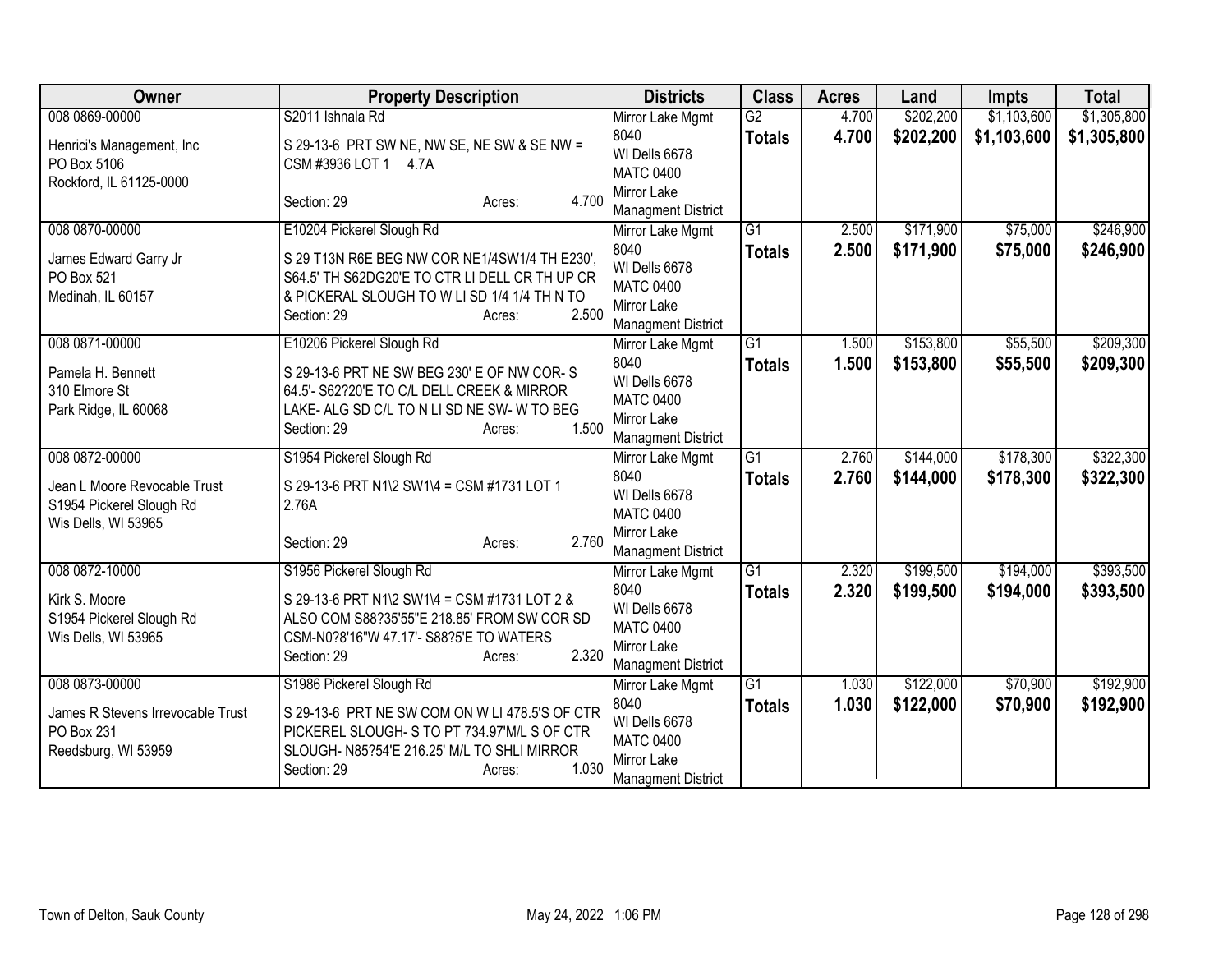| Owner                                           | <b>Property Description</b>                    | <b>Districts</b>                         | <b>Class</b>    | <b>Acres</b> | Land      | <b>Impts</b> | <b>Total</b> |
|-------------------------------------------------|------------------------------------------------|------------------------------------------|-----------------|--------------|-----------|--------------|--------------|
| 008 0869-00000                                  | S2011 Ishnala Rd                               | Mirror Lake Mgmt                         | $\overline{G2}$ | 4.700        | \$202,200 | \$1,103,600  | \$1,305,800  |
| Henrici's Management, Inc                       | S 29-13-6 PRT SW NE, NW SE, NE SW & SE NW =    | 8040<br>WI Dells 6678                    | <b>Totals</b>   | 4.700        | \$202,200 | \$1,103,600  | \$1,305,800  |
| PO Box 5106                                     | CSM #3936 LOT 1 4.7A                           | <b>MATC 0400</b>                         |                 |              |           |              |              |
| Rockford, IL 61125-0000                         | 4.700<br>Section: 29<br>Acres:                 | Mirror Lake                              |                 |              |           |              |              |
|                                                 |                                                | <b>Managment District</b>                |                 |              |           |              |              |
| 008 0870-00000                                  | E10204 Pickerel Slough Rd                      | Mirror Lake Mgmt                         | $\overline{G1}$ | 2.500        | \$171,900 | \$75,000     | \$246,900    |
| James Edward Garry Jr                           | S 29 T13N R6E BEG NW COR NE1/4SW1/4 TH E230',  | 8040                                     | <b>Totals</b>   | 2.500        | \$171,900 | \$75,000     | \$246,900    |
| PO Box 521                                      | S64.5' TH S62DG20'E TO CTR LI DELL CR TH UP CR | WI Dells 6678                            |                 |              |           |              |              |
| Medinah, IL 60157                               | & PICKERAL SLOUGH TO W LI SD 1/4 1/4 TH N TO   | <b>MATC 0400</b><br>Mirror Lake          |                 |              |           |              |              |
|                                                 | 2.500<br>Section: 29<br>Acres:                 | <b>Managment District</b>                |                 |              |           |              |              |
| 008 0871-00000                                  | E10206 Pickerel Slough Rd                      | Mirror Lake Mgmt                         | G1              | 1.500        | \$153,800 | \$55,500     | \$209,300    |
| Pamela H. Bennett                               | S 29-13-6 PRT NE SW BEG 230' E OF NW COR-S     | 8040                                     | <b>Totals</b>   | 1.500        | \$153,800 | \$55,500     | \$209,300    |
| 310 Elmore St                                   | 64.5'- S62?20'E TO C/L DELL CREEK & MIRROR     | WI Dells 6678                            |                 |              |           |              |              |
| Park Ridge, IL 60068                            | LAKE- ALG SD C/L TO N LI SD NE SW- W TO BEG    | <b>MATC 0400</b>                         |                 |              |           |              |              |
|                                                 | 1.500<br>Section: 29<br>Acres:                 | Mirror Lake<br><b>Managment District</b> |                 |              |           |              |              |
| 008 0872-00000                                  | S1954 Pickerel Slough Rd                       | Mirror Lake Mgmt                         | G1              | 2.760        | \$144,000 | \$178,300    | \$322,300    |
|                                                 |                                                | 8040                                     | <b>Totals</b>   | 2.760        | \$144,000 | \$178,300    | \$322,300    |
| Jean L Moore Revocable Trust                    | S 29-13-6 PRT N1\2 SW1\4 = CSM #1731 LOT 1     | WI Dells 6678                            |                 |              |           |              |              |
| S1954 Pickerel Slough Rd<br>Wis Dells, WI 53965 | 2.76A                                          | <b>MATC 0400</b>                         |                 |              |           |              |              |
|                                                 | 2.760<br>Section: 29<br>Acres:                 | Mirror Lake                              |                 |              |           |              |              |
|                                                 |                                                | <b>Managment District</b>                |                 |              |           |              |              |
| 008 0872-10000                                  | S1956 Pickerel Slough Rd                       | Mirror Lake Mgmt                         | $\overline{G1}$ | 2.320        | \$199,500 | \$194,000    | \$393,500    |
| Kirk S. Moore                                   | S 29-13-6 PRT N1\2 SW1\4 = CSM #1731 LOT 2 &   | 8040                                     | <b>Totals</b>   | 2.320        | \$199,500 | \$194,000    | \$393,500    |
| S1954 Pickerel Slough Rd                        | ALSO COM S88?35'55"E 218.85' FROM SW COR SD    | WI Dells 6678<br><b>MATC 0400</b>        |                 |              |           |              |              |
| Wis Dells, WI 53965                             | CSM-N0?8'16"W 47.17'- S88?5'E TO WATERS        | Mirror Lake                              |                 |              |           |              |              |
|                                                 | 2.320<br>Section: 29<br>Acres:                 | <b>Managment District</b>                |                 |              |           |              |              |
| 008 0873-00000                                  | S1986 Pickerel Slough Rd                       | Mirror Lake Mgmt                         | $\overline{G1}$ | 1.030        | \$122,000 | \$70,900     | \$192,900    |
| James R Stevens Irrevocable Trust               | S 29-13-6 PRT NE SW COM ON W LI 478.5'S OF CTR | 8040                                     | <b>Totals</b>   | 1.030        | \$122,000 | \$70,900     | \$192,900    |
| PO Box 231                                      | PICKEREL SLOUGH- S TO PT 734.97'M/L S OF CTR   | WI Dells 6678                            |                 |              |           |              |              |
| Reedsburg, WI 53959                             | SLOUGH- N85?54'E 216.25' M/L TO SHLI MIRROR    | <b>MATC 0400</b>                         |                 |              |           |              |              |
|                                                 | 1.030<br>Section: 29<br>Acres:                 | Mirror Lake                              |                 |              |           |              |              |
|                                                 |                                                | <b>Managment District</b>                |                 |              |           |              |              |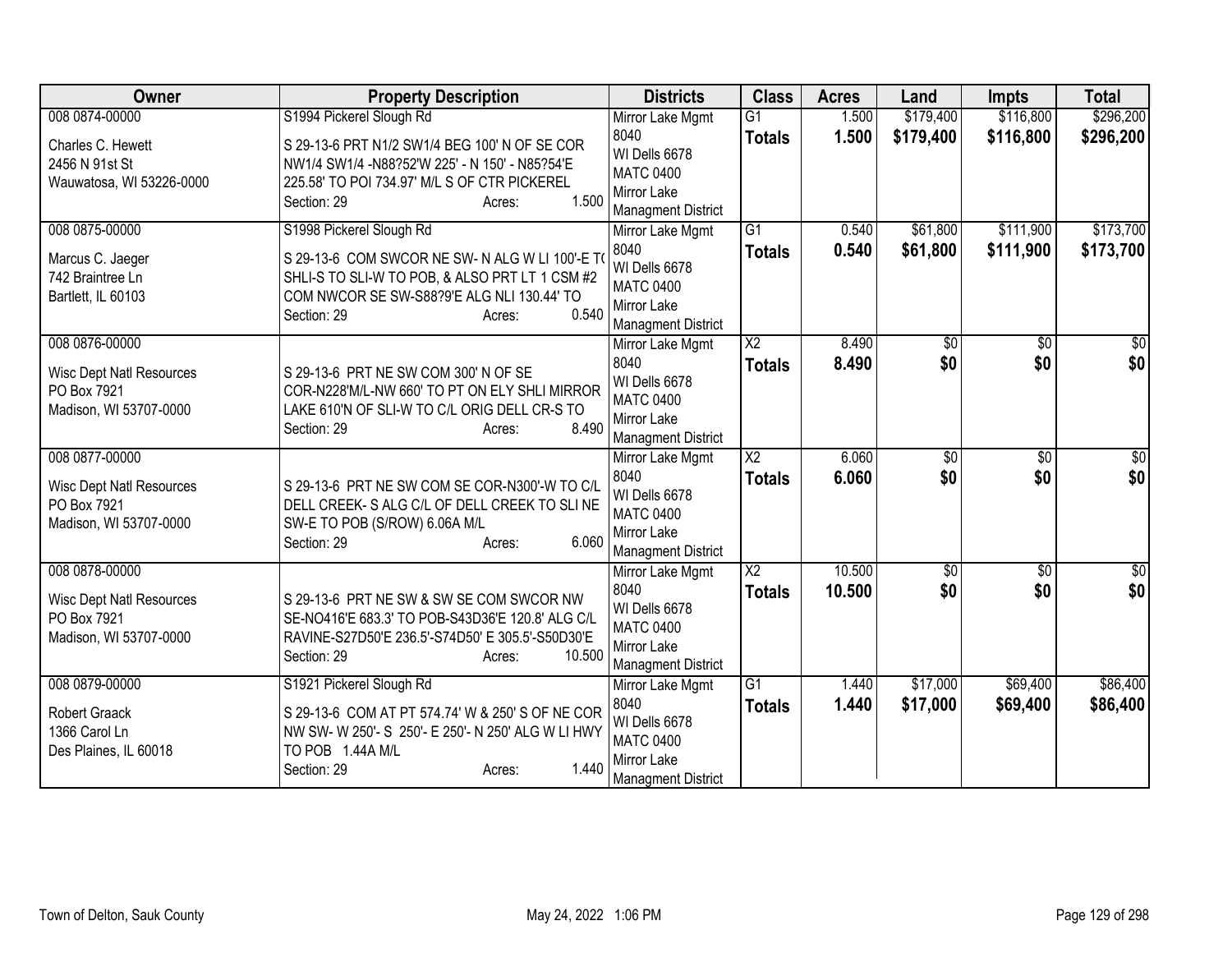| Owner                                                                    | <b>Property Description</b>                                                                                                                                                         | <b>Districts</b>                                                                      | <b>Class</b>                    | <b>Acres</b>   | Land            | <b>Impts</b>    | <b>Total</b>    |
|--------------------------------------------------------------------------|-------------------------------------------------------------------------------------------------------------------------------------------------------------------------------------|---------------------------------------------------------------------------------------|---------------------------------|----------------|-----------------|-----------------|-----------------|
| 008 0874-00000                                                           | S1994 Pickerel Slough Rd                                                                                                                                                            | Mirror Lake Mgmt                                                                      | $\overline{G1}$                 | 1.500          | \$179,400       | \$116,800       | \$296,200       |
| Charles C. Hewett<br>2456 N 91st St<br>Wauwatosa, WI 53226-0000          | S 29-13-6 PRT N1/2 SW1/4 BEG 100' N OF SE COR<br>NW1/4 SW1/4 - N88?52'W 225' - N 150' - N85?54'E<br>225.58' TO POI 734.97' M/L S OF CTR PICKEREL<br>1.500<br>Section: 29<br>Acres:  | 8040<br>WI Dells 6678<br><b>MATC 0400</b><br>Mirror Lake<br><b>Managment District</b> | <b>Totals</b>                   | 1.500          | \$179,400       | \$116,800       | \$296,200       |
| 008 0875-00000                                                           | S1998 Pickerel Slough Rd                                                                                                                                                            | Mirror Lake Mgmt                                                                      | $\overline{G1}$                 | 0.540          | \$61,800        | \$111,900       | \$173,700       |
| Marcus C. Jaeger<br>742 Braintree Ln<br>Bartlett, IL 60103               | S 29-13-6 COM SWCOR NE SW-N ALG W LI 100'-E TO<br>SHLI-S TO SLI-W TO POB, & ALSO PRT LT 1 CSM #2<br>COM NWCOR SE SW-S88?9'E ALG NLI 130.44' TO<br>0.540<br>Section: 29<br>Acres:    | 8040<br>WI Dells 6678<br><b>MATC 0400</b><br>Mirror Lake<br><b>Managment District</b> | <b>Totals</b>                   | 0.540          | \$61,800        | \$111,900       | \$173,700       |
| 008 0876-00000                                                           |                                                                                                                                                                                     | Mirror Lake Mgmt<br>8040                                                              | X <sub>2</sub><br><b>Totals</b> | 8.490<br>8.490 | \$0<br>\$0      | \$0<br>\$0      | \$0<br>\$0      |
| <b>Wisc Dept Natl Resources</b><br>PO Box 7921<br>Madison, WI 53707-0000 | S 29-13-6 PRT NE SW COM 300' N OF SE<br>COR-N228'M/L-NW 660' TO PT ON ELY SHLI MIRROR<br>LAKE 610'N OF SLI-W TO C/L ORIG DELL CR-S TO<br>8.490<br>Section: 29<br>Acres:             | WI Dells 6678<br><b>MATC 0400</b><br>Mirror Lake<br><b>Managment District</b>         |                                 |                |                 |                 |                 |
| 008 0877-00000                                                           |                                                                                                                                                                                     | Mirror Lake Mgmt                                                                      | $\overline{X2}$                 | 6.060          | $\overline{50}$ | $\overline{50}$ | $\overline{50}$ |
| <b>Wisc Dept Natl Resources</b><br>PO Box 7921<br>Madison, WI 53707-0000 | S 29-13-6 PRT NE SW COM SE COR-N300'-W TO C/L<br>DELL CREEK- S ALG C/L OF DELL CREEK TO SLINE<br>SW-E TO POB (S/ROW) 6.06A M/L<br>6.060<br>Section: 29<br>Acres:                    | 8040<br>WI Dells 6678<br><b>MATC 0400</b><br>Mirror Lake<br><b>Managment District</b> | <b>Totals</b>                   | 6.060          | \$0             | \$0             | \$0             |
| 008 0878-00000                                                           |                                                                                                                                                                                     | Mirror Lake Mgmt                                                                      | $\overline{X2}$                 | 10.500         | $\overline{50}$ | $\overline{50}$ | $\overline{30}$ |
| Wisc Dept Natl Resources<br>PO Box 7921<br>Madison, WI 53707-0000        | S 29-13-6 PRT NE SW & SW SE COM SWCOR NW<br>SE-NO416'E 683.3' TO POB-S43D36'E 120.8' ALG C/L<br>RAVINE-S27D50'E 236.5'-S74D50' E 305.5'-S50D30'E<br>10.500<br>Section: 29<br>Acres: | 8040<br>WI Dells 6678<br><b>MATC 0400</b><br>Mirror Lake<br><b>Managment District</b> | <b>Totals</b>                   | 10.500         | \$0             | \$0             | \$0             |
| 008 0879-00000                                                           | S1921 Pickerel Slough Rd                                                                                                                                                            | Mirror Lake Mgmt                                                                      | G1                              | 1.440          | \$17,000        | \$69,400        | \$86,400        |
| Robert Graack<br>1366 Carol Ln<br>Des Plaines, IL 60018                  | S 29-13-6 COM AT PT 574.74' W & 250' S OF NE COR<br>NW SW- W 250'- S 250'- E 250'- N 250' ALG W LI HWY<br>TO POB 1.44A M/L<br>1.440<br>Section: 29<br>Acres:                        | 8040<br>WI Dells 6678<br><b>MATC 0400</b><br>Mirror Lake<br><b>Managment District</b> | <b>Totals</b>                   | 1.440          | \$17,000        | \$69,400        | \$86,400        |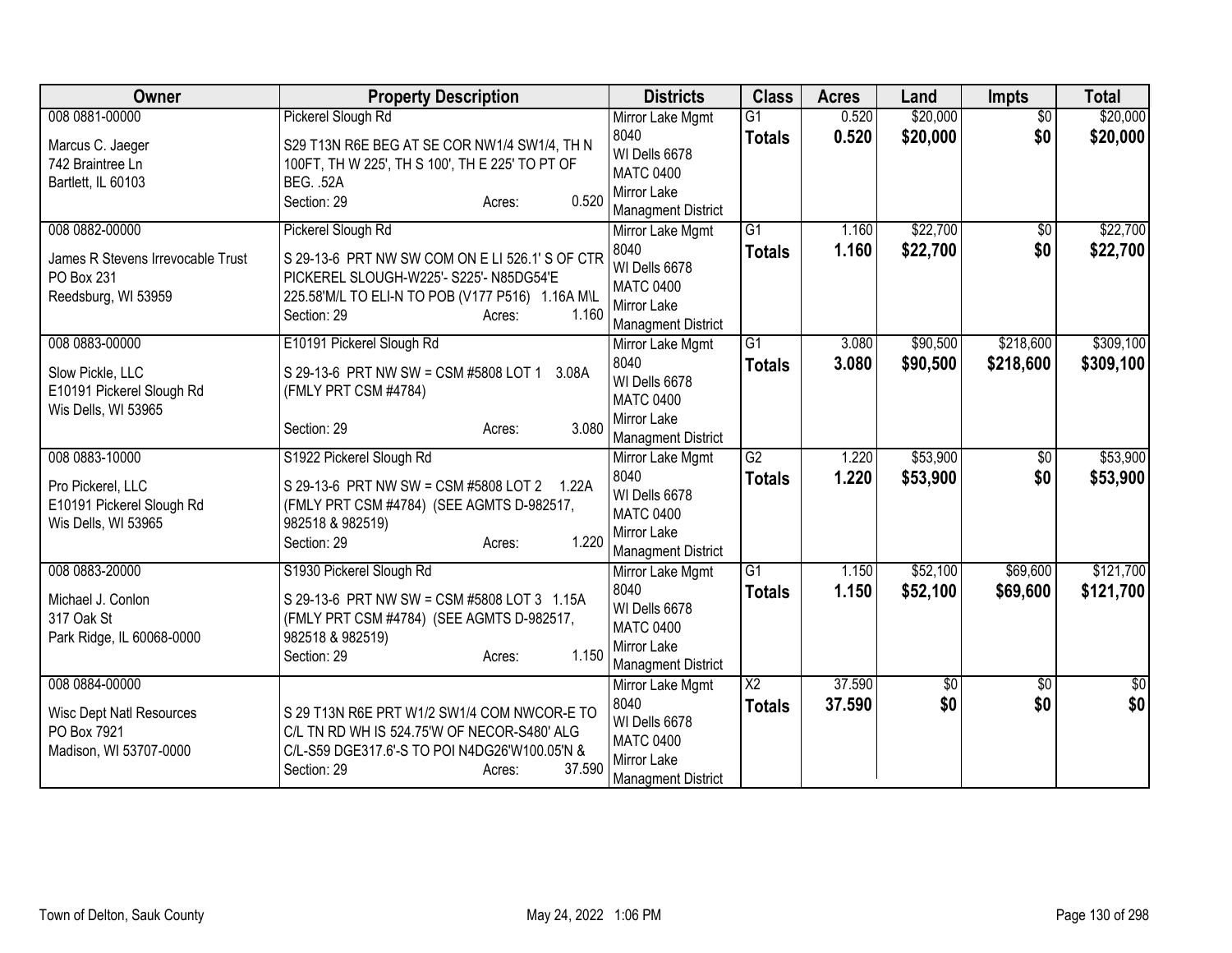| Owner                             | <b>Property Description</b>                                              | <b>Districts</b>                | <b>Class</b>    | <b>Acres</b> | Land     | <b>Impts</b>    | <b>Total</b> |
|-----------------------------------|--------------------------------------------------------------------------|---------------------------------|-----------------|--------------|----------|-----------------|--------------|
| 008 0881-00000                    | Pickerel Slough Rd                                                       | Mirror Lake Mgmt                | G1              | 0.520        | \$20,000 | $\overline{50}$ | \$20,000     |
| Marcus C. Jaeger                  | S29 T13N R6E BEG AT SE COR NW1/4 SW1/4, TH N                             | 8040                            | <b>Totals</b>   | 0.520        | \$20,000 | \$0             | \$20,000     |
| 742 Braintree Ln                  | 100FT, TH W 225', TH S 100', TH E 225' TO PT OF                          | WI Dells 6678                   |                 |              |          |                 |              |
| Bartlett, IL 60103                | <b>BEG. .52A</b>                                                         | <b>MATC 0400</b><br>Mirror Lake |                 |              |          |                 |              |
|                                   | 0.520<br>Section: 29<br>Acres:                                           | <b>Managment District</b>       |                 |              |          |                 |              |
| 008 0882-00000                    | Pickerel Slough Rd                                                       | Mirror Lake Mgmt                | $\overline{G1}$ | 1.160        | \$22,700 | $\overline{50}$ | \$22,700     |
|                                   |                                                                          | 8040                            | <b>Totals</b>   | 1.160        | \$22,700 | \$0             | \$22,700     |
| James R Stevens Irrevocable Trust | S 29-13-6 PRT NW SW COM ON E LI 526.1' S OF CTR                          | WI Dells 6678                   |                 |              |          |                 |              |
| PO Box 231                        | PICKEREL SLOUGH-W225'- S225'- N85DG54'E                                  | <b>MATC 0400</b>                |                 |              |          |                 |              |
| Reedsburg, WI 53959               | 225.58'M/L TO ELI-N TO POB (V177 P516) 1.16A M\L<br>Section: 29<br>1.160 | Mirror Lake                     |                 |              |          |                 |              |
|                                   | Acres:                                                                   | <b>Managment District</b>       |                 |              |          |                 |              |
| 008 0883-00000                    | E10191 Pickerel Slough Rd                                                | Mirror Lake Mgmt                | $\overline{G1}$ | 3.080        | \$90,500 | \$218,600       | \$309,100    |
| Slow Pickle, LLC                  | S 29-13-6 PRT NW SW = CSM #5808 LOT 1<br>3.08A                           | 8040                            | <b>Totals</b>   | 3.080        | \$90,500 | \$218,600       | \$309,100    |
| E10191 Pickerel Slough Rd         | (FMLY PRT CSM #4784)                                                     | WI Dells 6678                   |                 |              |          |                 |              |
| Wis Dells, WI 53965               |                                                                          | <b>MATC 0400</b>                |                 |              |          |                 |              |
|                                   | 3.080<br>Section: 29<br>Acres:                                           | Mirror Lake                     |                 |              |          |                 |              |
|                                   |                                                                          | <b>Managment District</b>       | G2              |              |          |                 |              |
| 008 0883-10000                    | S1922 Pickerel Slough Rd                                                 | Mirror Lake Mgmt<br>8040        |                 | 1.220        | \$53,900 | $\overline{50}$ | \$53,900     |
| Pro Pickerel, LLC                 | S 29-13-6 PRT NW SW = CSM #5808 LOT 2 1.22A                              | WI Dells 6678                   | <b>Totals</b>   | 1.220        | \$53,900 | \$0             | \$53,900     |
| E10191 Pickerel Slough Rd         | (FMLY PRT CSM #4784) (SEE AGMTS D-982517,                                | <b>MATC 0400</b>                |                 |              |          |                 |              |
| Wis Dells, WI 53965               | 982518 & 982519)                                                         | Mirror Lake                     |                 |              |          |                 |              |
|                                   | 1.220<br>Section: 29<br>Acres:                                           | <b>Managment District</b>       |                 |              |          |                 |              |
| 008 0883-20000                    | S1930 Pickerel Slough Rd                                                 | Mirror Lake Mgmt                | G1              | 1.150        | \$52,100 | \$69,600        | \$121,700    |
|                                   |                                                                          | 8040                            | <b>Totals</b>   | 1.150        | \$52,100 | \$69,600        | \$121,700    |
| Michael J. Conlon                 | S 29-13-6 PRT NW SW = CSM #5808 LOT 3 1.15A                              | WI Dells 6678                   |                 |              |          |                 |              |
| 317 Oak St                        | (FMLY PRT CSM #4784) (SEE AGMTS D-982517,                                | <b>MATC 0400</b>                |                 |              |          |                 |              |
| Park Ridge, IL 60068-0000         | 982518 & 982519)<br>1.150<br>Section: 29<br>Acres:                       | Mirror Lake                     |                 |              |          |                 |              |
|                                   |                                                                          | <b>Managment District</b>       |                 |              |          |                 |              |
| 008 0884-00000                    |                                                                          | Mirror Lake Mgmt                | X <sub>2</sub>  | 37.590       | \$0      | \$0             | \$0          |
| <b>Wisc Dept Natl Resources</b>   | S 29 T13N R6E PRT W1/2 SW1/4 COM NWCOR-E TO                              | 8040                            | <b>Totals</b>   | 37.590       | \$0      | \$0             | \$0          |
| PO Box 7921                       | C/L TN RD WH IS 524.75'W OF NECOR-S480' ALG                              | WI Dells 6678                   |                 |              |          |                 |              |
| Madison, WI 53707-0000            | C/L-S59 DGE317.6'-S TO POI N4DG26'W100.05'N &                            | <b>MATC 0400</b>                |                 |              |          |                 |              |
|                                   | 37.590<br>Section: 29<br>Acres:                                          | Mirror Lake                     |                 |              |          |                 |              |
|                                   |                                                                          | Managment District              |                 |              |          |                 |              |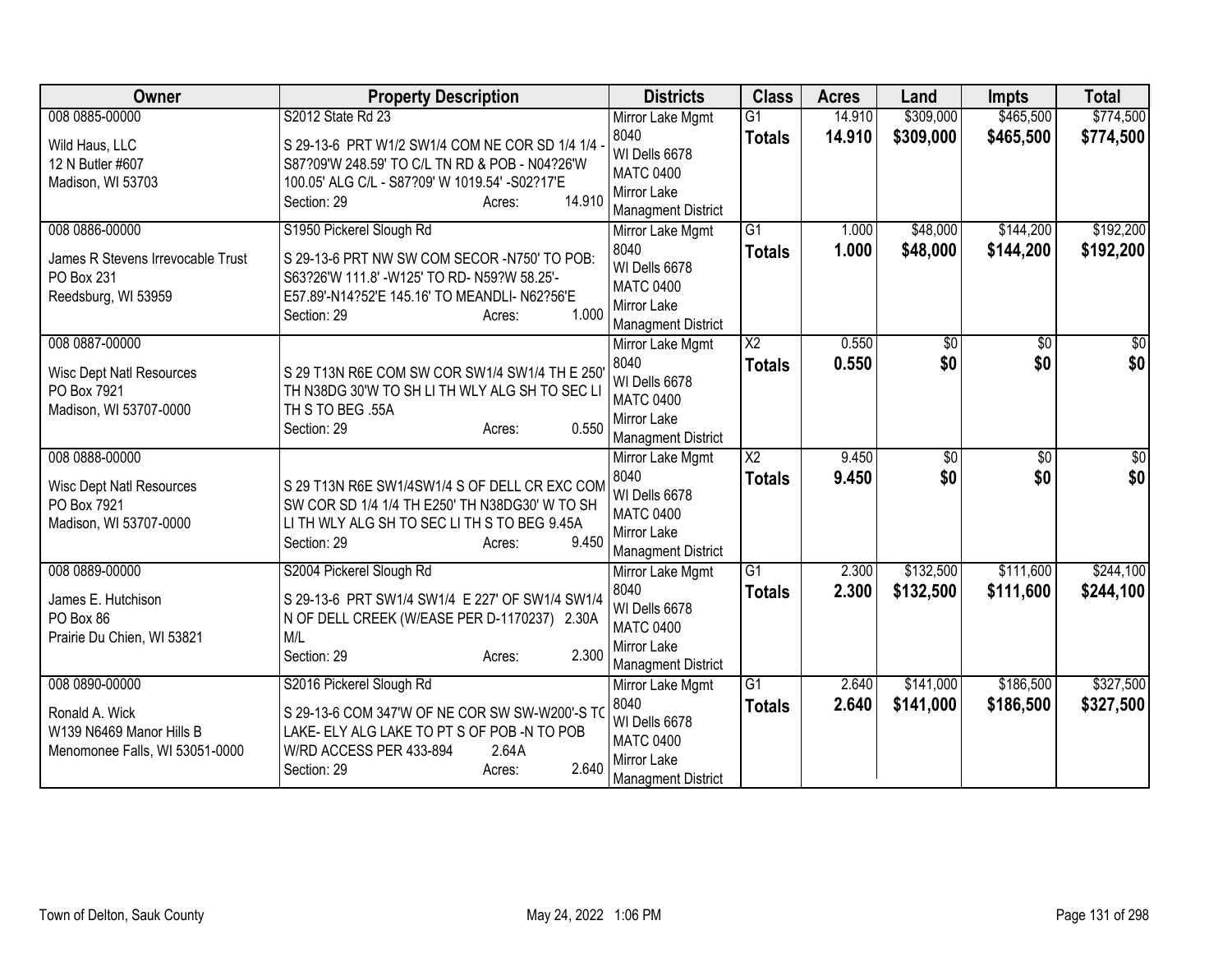| Owner                             | <b>Property Description</b>                                                                     | <b>Districts</b>                              | <b>Class</b>    | <b>Acres</b>   | Land       | <b>Impts</b>    | <b>Total</b>           |
|-----------------------------------|-------------------------------------------------------------------------------------------------|-----------------------------------------------|-----------------|----------------|------------|-----------------|------------------------|
| 008 0885-00000                    | S2012 State Rd 23                                                                               | Mirror Lake Mgmt                              | G1              | 14.910         | \$309,000  | \$465,500       | \$774,500              |
| Wild Haus, LLC                    | S 29-13-6 PRT W1/2 SW1/4 COM NE COR SD 1/4 1/4                                                  | 8040                                          | <b>Totals</b>   | 14.910         | \$309,000  | \$465,500       | \$774,500              |
| 12 N Butler #607                  | S87?09'W 248.59' TO C/L TN RD & POB - N04?26'W                                                  | WI Dells 6678<br><b>MATC 0400</b>             |                 |                |            |                 |                        |
| Madison, WI 53703                 | 100.05' ALG C/L - S87?09' W 1019.54' -S02?17'E                                                  | Mirror Lake                                   |                 |                |            |                 |                        |
|                                   | 14.910<br>Section: 29<br>Acres:                                                                 | <b>Managment District</b>                     |                 |                |            |                 |                        |
| 008 0886-00000                    | S1950 Pickerel Slough Rd                                                                        | Mirror Lake Mgmt                              | $\overline{G1}$ | 1.000          | \$48,000   | \$144,200       | \$192,200              |
| James R Stevens Irrevocable Trust | S 29-13-6 PRT NW SW COM SECOR -N750' TO POB:                                                    | 8040                                          | <b>Totals</b>   | 1.000          | \$48,000   | \$144,200       | \$192,200              |
| PO Box 231                        | S63?26'W 111.8' -W125' TO RD- N59?W 58.25'-                                                     | WI Dells 6678                                 |                 |                |            |                 |                        |
| Reedsburg, WI 53959               | E57.89'-N14?52'E 145.16' TO MEANDLI- N62?56'E                                                   | <b>MATC 0400</b>                              |                 |                |            |                 |                        |
|                                   | 1.000<br>Section: 29<br>Acres:                                                                  | Mirror Lake                                   |                 |                |            |                 |                        |
| 008 0887-00000                    |                                                                                                 | <b>Managment District</b><br>Mirror Lake Mgmt | X <sub>2</sub>  | 0.550          | \$0        | \$0             | \$0                    |
|                                   |                                                                                                 | 8040                                          | <b>Totals</b>   | 0.550          | \$0        | \$0             | \$0                    |
| <b>Wisc Dept Natl Resources</b>   | S 29 T13N R6E COM SW COR SW1/4 SW1/4 TH E 250                                                   | WI Dells 6678                                 |                 |                |            |                 |                        |
| PO Box 7921                       | TH N38DG 30'W TO SH LI TH WLY ALG SH TO SEC LI                                                  | <b>MATC 0400</b>                              |                 |                |            |                 |                        |
| Madison, WI 53707-0000            | TH S TO BEG .55A<br>0.550                                                                       | <b>Mirror Lake</b>                            |                 |                |            |                 |                        |
|                                   | Section: 29<br>Acres:                                                                           | <b>Managment District</b>                     |                 |                |            |                 |                        |
| 008 0888-00000                    |                                                                                                 | Mirror Lake Mgmt                              | $\overline{X2}$ | 9.450          | $\sqrt{6}$ | $\overline{50}$ | \$0                    |
| <b>Wisc Dept Natl Resources</b>   | S 29 T13N R6E SW1/4SW1/4 S OF DELL CR EXC COM                                                   | 8040                                          | <b>Totals</b>   | 9.450          | \$0        | \$0             | \$0                    |
| PO Box 7921                       | SW COR SD 1/4 1/4 TH E250' TH N38DG30' W TO SH                                                  | WI Dells 6678                                 |                 |                |            |                 |                        |
| Madison, WI 53707-0000            | LI TH WLY ALG SH TO SEC LI TH S TO BEG 9.45A                                                    | <b>MATC 0400</b><br>Mirror Lake               |                 |                |            |                 |                        |
|                                   | 9.450<br>Section: 29<br>Acres:                                                                  | <b>Managment District</b>                     |                 |                |            |                 |                        |
| 008 0889-00000                    | S2004 Pickerel Slough Rd                                                                        | Mirror Lake Mgmt                              | $\overline{G1}$ | 2.300          | \$132,500  | \$111,600       | \$244,100              |
|                                   |                                                                                                 | 8040                                          | <b>Totals</b>   | 2.300          | \$132,500  | \$111,600       | \$244,100              |
| James E. Hutchison<br>PO Box 86   | S 29-13-6 PRT SW1/4 SW1/4 E 227' OF SW1/4 SW1/4<br>N OF DELL CREEK (W/EASE PER D-1170237) 2.30A | WI Dells 6678                                 |                 |                |            |                 |                        |
| Prairie Du Chien, WI 53821        | M/L                                                                                             | <b>MATC 0400</b>                              |                 |                |            |                 |                        |
|                                   | 2.300<br>Section: 29<br>Acres:                                                                  | Mirror Lake                                   |                 |                |            |                 |                        |
|                                   |                                                                                                 | <b>Managment District</b>                     |                 |                |            |                 |                        |
| 008 0890-00000                    | S2016 Pickerel Slough Rd                                                                        | Mirror Lake Mgmt<br>8040                      | G1              | 2.640<br>2.640 | \$141,000  | \$186,500       | \$327,500<br>\$327,500 |
| Ronald A. Wick                    | S 29-13-6 COM 347'W OF NE COR SW SW-W200'-S TO                                                  | WI Dells 6678                                 | <b>Totals</b>   |                | \$141,000  | \$186,500       |                        |
| W139 N6469 Manor Hills B          | LAKE- ELY ALG LAKE TO PT S OF POB -N TO POB                                                     | <b>MATC 0400</b>                              |                 |                |            |                 |                        |
| Menomonee Falls, WI 53051-0000    | W/RD ACCESS PER 433-894<br>2.64A                                                                | Mirror Lake                                   |                 |                |            |                 |                        |
|                                   | 2.640<br>Section: 29<br>Acres:                                                                  | <b>Managment District</b>                     |                 |                |            |                 |                        |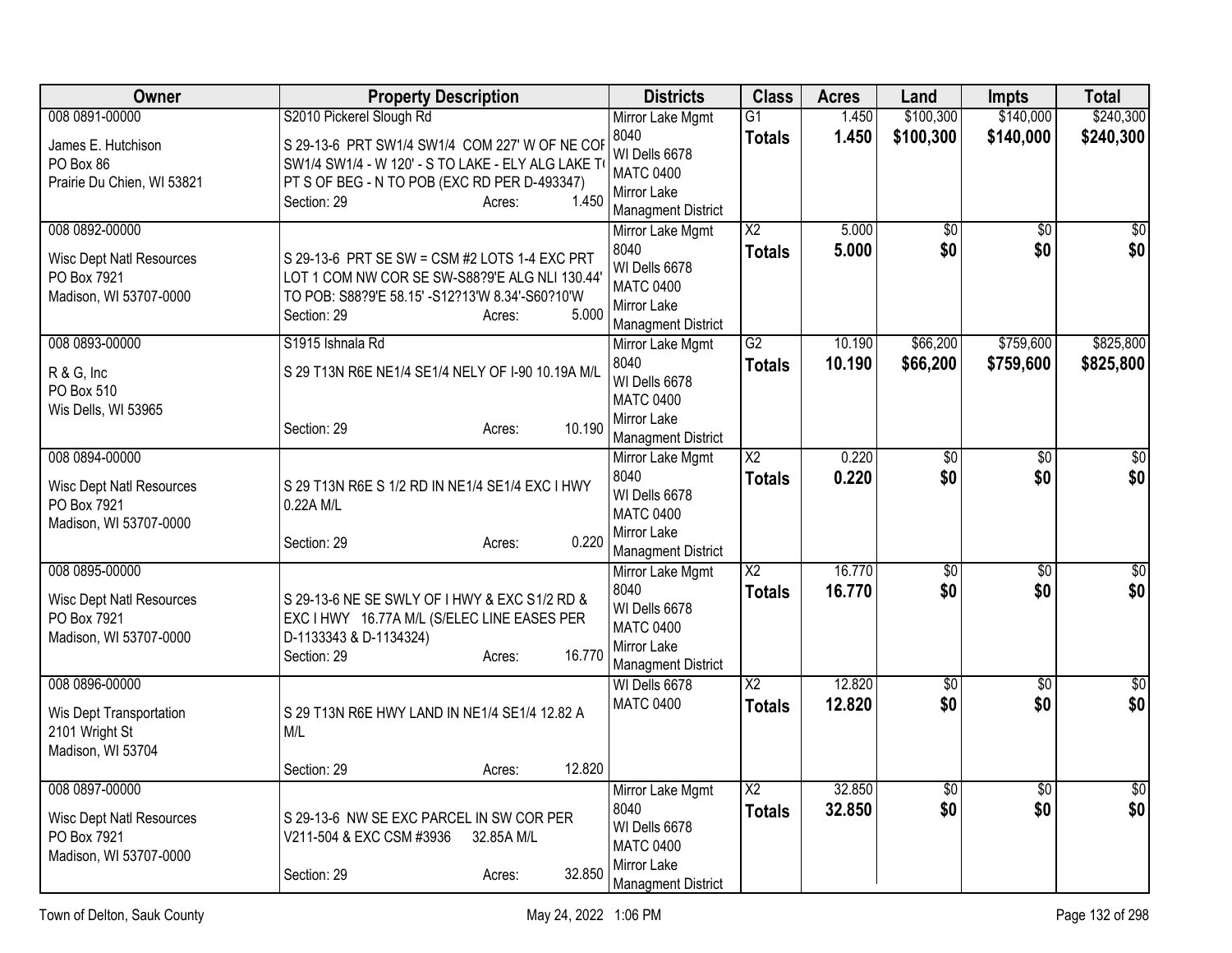| <b>Owner</b>                    | <b>Property Description</b>                        | <b>Districts</b>                              | <b>Class</b>           | <b>Acres</b> | Land            | <b>Impts</b>    | <b>Total</b>    |
|---------------------------------|----------------------------------------------------|-----------------------------------------------|------------------------|--------------|-----------------|-----------------|-----------------|
| 008 0891-00000                  | S2010 Pickerel Slough Rd                           | Mirror Lake Mgmt                              | $\overline{G1}$        | 1.450        | \$100,300       | \$140,000       | \$240,300       |
| James E. Hutchison              | S 29-13-6 PRT SW1/4 SW1/4 COM 227' W OF NE COF     | 8040                                          | <b>Totals</b>          | 1.450        | \$100,300       | \$140,000       | \$240,300       |
| PO Box 86                       | SW1/4 SW1/4 - W 120' - S TO LAKE - ELY ALG LAKE TO | WI Dells 6678<br><b>MATC 0400</b>             |                        |              |                 |                 |                 |
| Prairie Du Chien, WI 53821      | PT S OF BEG - N TO POB (EXC RD PER D-493347)       | Mirror Lake                                   |                        |              |                 |                 |                 |
|                                 | 1.450<br>Section: 29<br>Acres:                     | <b>Managment District</b>                     |                        |              |                 |                 |                 |
| 008 0892-00000                  |                                                    | Mirror Lake Mgmt                              | $\overline{\text{X2}}$ | 5.000        | $\overline{60}$ | $\overline{30}$ | $\overline{30}$ |
| <b>Wisc Dept Natl Resources</b> | S 29-13-6 PRT SE SW = CSM #2 LOTS 1-4 EXC PRT      | 8040                                          | Totals                 | 5.000        | \$0             | \$0             | \$0             |
| PO Box 7921                     | LOT 1 COM NW COR SE SW-S88?9'E ALG NLI 130.44'     | WI Dells 6678                                 |                        |              |                 |                 |                 |
| Madison, WI 53707-0000          | TO POB: S88?9'E 58.15' -S12?13'W 8.34'-S60?10'W    | <b>MATC 0400</b><br>Mirror Lake               |                        |              |                 |                 |                 |
|                                 | 5.000<br>Section: 29<br>Acres:                     | <b>Managment District</b>                     |                        |              |                 |                 |                 |
| 008 0893-00000                  | S1915 Ishnala Rd                                   | Mirror Lake Mgmt                              | G2                     | 10.190       | \$66,200        | \$759,600       | \$825,800       |
|                                 | S 29 T13N R6E NE1/4 SE1/4 NELY OF I-90 10.19A M/L  | 8040                                          | <b>Totals</b>          | 10.190       | \$66,200        | \$759,600       | \$825,800       |
| R & G, Inc<br>PO Box 510        |                                                    | WI Dells 6678                                 |                        |              |                 |                 |                 |
| Wis Dells, WI 53965             |                                                    | <b>MATC 0400</b>                              |                        |              |                 |                 |                 |
|                                 | 10.190<br>Section: 29<br>Acres:                    | Mirror Lake                                   |                        |              |                 |                 |                 |
| 008 0894-00000                  |                                                    | <b>Managment District</b><br>Mirror Lake Mgmt | X2                     | 0.220        | $\overline{50}$ | $\overline{50}$ | $\sqrt{30}$     |
|                                 |                                                    | 8040                                          | <b>Totals</b>          | 0.220        | \$0             | \$0             | \$0             |
| <b>Wisc Dept Natl Resources</b> | S 29 T13N R6E S 1/2 RD IN NE1/4 SE1/4 EXC I HWY    | WI Dells 6678                                 |                        |              |                 |                 |                 |
| PO Box 7921                     | 0.22A M/L                                          | <b>MATC 0400</b>                              |                        |              |                 |                 |                 |
| Madison, WI 53707-0000          | 0.220<br>Section: 29<br>Acres:                     | Mirror Lake                                   |                        |              |                 |                 |                 |
|                                 |                                                    | <b>Managment District</b>                     |                        |              |                 |                 |                 |
| 008 0895-00000                  |                                                    | Mirror Lake Mgmt                              | $\overline{X2}$        | 16.770       | $\overline{50}$ | \$0             | $\sqrt{50}$     |
| <b>Wisc Dept Natl Resources</b> | S 29-13-6 NE SE SWLY OF I HWY & EXC S1/2 RD &      | 8040<br>WI Dells 6678                         | <b>Totals</b>          | 16.770       | \$0             | \$0             | \$0             |
| PO Box 7921                     | EXC I HWY 16.77A M/L (S/ELEC LINE EASES PER        | <b>MATC 0400</b>                              |                        |              |                 |                 |                 |
| Madison, WI 53707-0000          | D-1133343 & D-1134324)                             | Mirror Lake                                   |                        |              |                 |                 |                 |
|                                 | 16.770<br>Section: 29<br>Acres:                    | <b>Managment District</b>                     |                        |              |                 |                 |                 |
| 008 0896-00000                  |                                                    | WI Dells 6678                                 | $\overline{X2}$        | 12.820       | $\overline{50}$ | $\overline{50}$ | $\overline{30}$ |
| Wis Dept Transportation         | S 29 T13N R6E HWY LAND IN NE1/4 SE1/4 12.82 A      | <b>MATC 0400</b>                              | <b>Totals</b>          | 12.820       | \$0             | \$0             | \$0             |
| 2101 Wright St                  | M/L                                                |                                               |                        |              |                 |                 |                 |
| Madison, WI 53704               |                                                    |                                               |                        |              |                 |                 |                 |
|                                 | 12.820<br>Section: 29<br>Acres:                    |                                               |                        |              |                 |                 |                 |
| 008 0897-00000                  |                                                    | Mirror Lake Mgmt                              | $\overline{X2}$        | 32.850       | \$0             | \$0             | \$0             |
| <b>Wisc Dept Natl Resources</b> | S 29-13-6 NW SE EXC PARCEL IN SW COR PER           | 8040<br>WI Dells 6678                         | <b>Totals</b>          | 32.850       | \$0             | \$0             | \$0             |
| PO Box 7921                     | V211-504 & EXC CSM #3936<br>32.85A M/L             | <b>MATC 0400</b>                              |                        |              |                 |                 |                 |
| Madison, WI 53707-0000          |                                                    | Mirror Lake                                   |                        |              |                 |                 |                 |
|                                 | 32.850<br>Section: 29<br>Acres:                    | <b>Managment District</b>                     |                        |              |                 |                 |                 |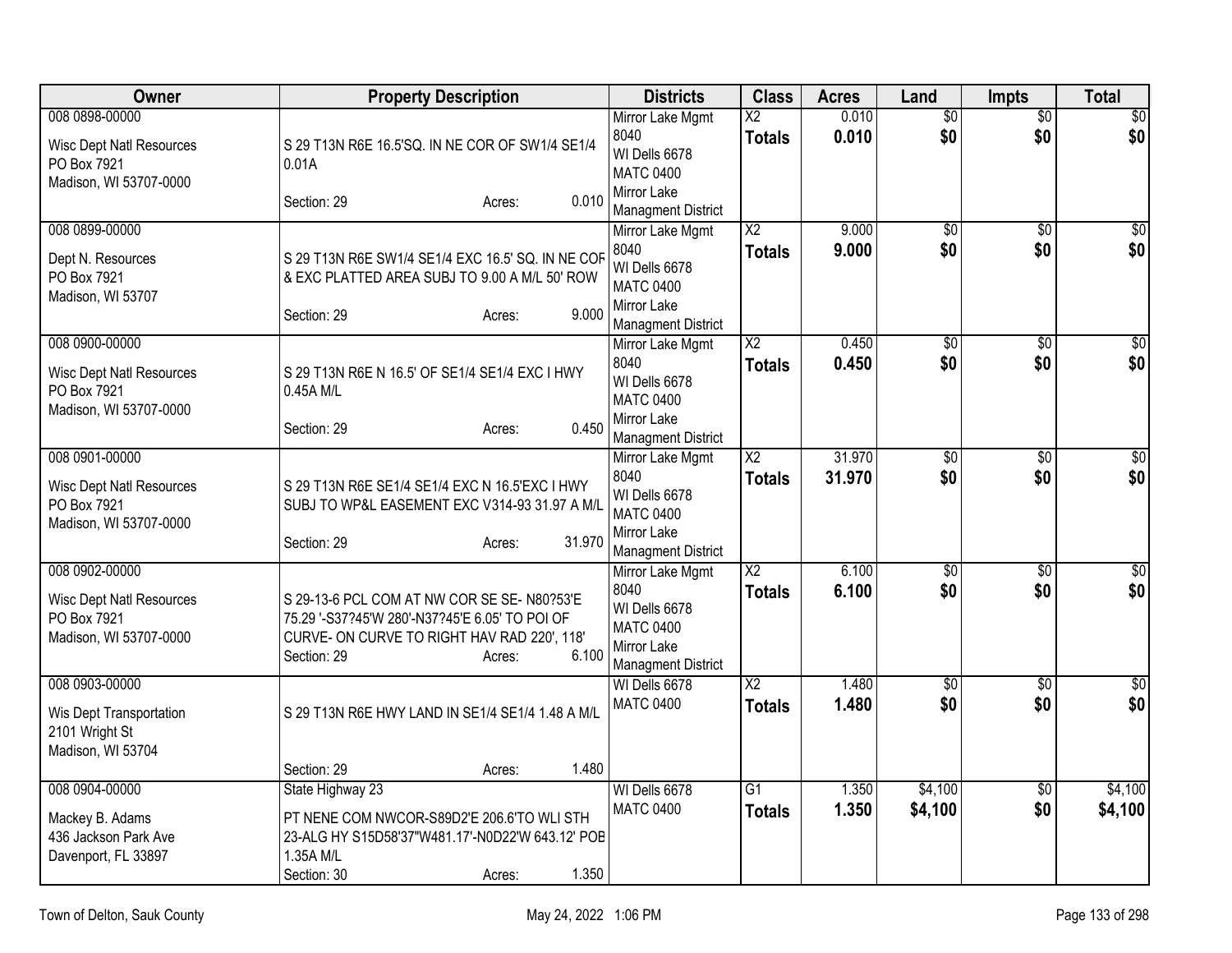| Owner                                                                                      | <b>Property Description</b>                                                                                                                                                                         | <b>Districts</b>                                                                                          | <b>Class</b>                            | <b>Acres</b>     | Land                   | <b>Impts</b>           | <b>Total</b>            |
|--------------------------------------------------------------------------------------------|-----------------------------------------------------------------------------------------------------------------------------------------------------------------------------------------------------|-----------------------------------------------------------------------------------------------------------|-----------------------------------------|------------------|------------------------|------------------------|-------------------------|
| 008 0898-00000<br><b>Wisc Dept Natl Resources</b><br>PO Box 7921<br>Madison, WI 53707-0000 | S 29 T13N R6E 16.5'SQ. IN NE COR OF SW1/4 SE1/4<br>0.01A<br>0.010<br>Section: 29<br>Acres:                                                                                                          | Mirror Lake Mgmt<br>8040<br>WI Dells 6678<br><b>MATC 0400</b><br>Mirror Lake<br><b>Managment District</b> | $\overline{\text{X2}}$<br><b>Totals</b> | 0.010<br>0.010   | $\overline{50}$<br>\$0 | $\overline{50}$<br>\$0 | $\overline{\$0}$<br>\$0 |
| 008 0899-00000<br>Dept N. Resources<br>PO Box 7921<br>Madison, WI 53707                    | S 29 T13N R6E SW1/4 SE1/4 EXC 16.5' SQ. IN NE COF<br>& EXC PLATTED AREA SUBJ TO 9.00 A M/L 50' ROW<br>9.000<br>Section: 29<br>Acres:                                                                | Mirror Lake Mgmt<br>8040<br>WI Dells 6678<br><b>MATC 0400</b><br>Mirror Lake<br><b>Managment District</b> | $\overline{X2}$<br><b>Totals</b>        | 9.000<br>9.000   | $\overline{50}$<br>\$0 | $\overline{50}$<br>\$0 | \$0<br>\$0              |
| 008 0900-00000<br><b>Wisc Dept Natl Resources</b><br>PO Box 7921<br>Madison, WI 53707-0000 | S 29 T13N R6E N 16.5' OF SE1/4 SE1/4 EXC I HWY<br>0.45A M/L<br>0.450<br>Section: 29<br>Acres:                                                                                                       | Mirror Lake Mgmt<br>8040<br>WI Dells 6678<br><b>MATC 0400</b><br>Mirror Lake<br><b>Managment District</b> | $\overline{X2}$<br><b>Totals</b>        | 0.450<br>0.450   | $\overline{50}$<br>\$0 | \$0<br>\$0             | \$0<br>\$0              |
| 008 0901-00000<br><b>Wisc Dept Natl Resources</b><br>PO Box 7921<br>Madison, WI 53707-0000 | S 29 T13N R6E SE1/4 SE1/4 EXC N 16.5'EXC I HWY<br>SUBJ TO WP&L EASEMENT EXC V314-93 31.97 A M/L<br>31.970<br>Section: 29<br>Acres:                                                                  | Mirror Lake Mgmt<br>8040<br>WI Dells 6678<br><b>MATC 0400</b><br>Mirror Lake<br><b>Managment District</b> | $\overline{X2}$<br><b>Totals</b>        | 31.970<br>31.970 | \$0<br>\$0             | $\overline{50}$<br>\$0 | $\sqrt{50}$<br>\$0      |
| 008 0902-00000<br><b>Wisc Dept Natl Resources</b><br>PO Box 7921<br>Madison, WI 53707-0000 | S 29-13-6 PCL COM AT NW COR SE SE-N80?53'E<br>75.29 '-S37?45'W 280'-N37?45'E 6.05' TO POI OF<br>CURVE- ON CURVE TO RIGHT HAV RAD 220', 118'<br>6.100<br>Section: 29<br>Acres:                       | Mirror Lake Mgmt<br>8040<br>WI Dells 6678<br><b>MATC 0400</b><br>Mirror Lake<br><b>Managment District</b> | $\overline{X2}$<br><b>Totals</b>        | 6.100<br>6.100   | $\sqrt{$0}$<br>\$0     | $\overline{50}$<br>\$0 | $\sqrt{30}$<br>\$0      |
| 008 0903-00000<br>Wis Dept Transportation<br>2101 Wright St<br>Madison, WI 53704           | S 29 T13N R6E HWY LAND IN SE1/4 SE1/4 1.48 A M/L                                                                                                                                                    | WI Dells 6678<br><b>MATC 0400</b>                                                                         | $\overline{X2}$<br><b>Totals</b>        | 1.480<br>1.480   | $\overline{50}$<br>\$0 | \$0<br>\$0             | $\sqrt{50}$<br>\$0      |
| 008 0904-00000<br>Mackey B. Adams<br>436 Jackson Park Ave<br>Davenport, FL 33897           | 1.480<br>Section: 29<br>Acres:<br>State Highway 23<br>PT NENE COM NWCOR-S89D2'E 206.6'TO WLI STH<br>23-ALG HY S15D58'37"W481.17'-N0D22'W 643.12' POB<br>1.35A M/L<br>1.350<br>Section: 30<br>Acres: | WI Dells 6678<br><b>MATC 0400</b>                                                                         | $\overline{G1}$<br><b>Totals</b>        | 1.350<br>1.350   | \$4,100<br>\$4,100     | \$0<br>\$0             | \$4,100<br>\$4,100      |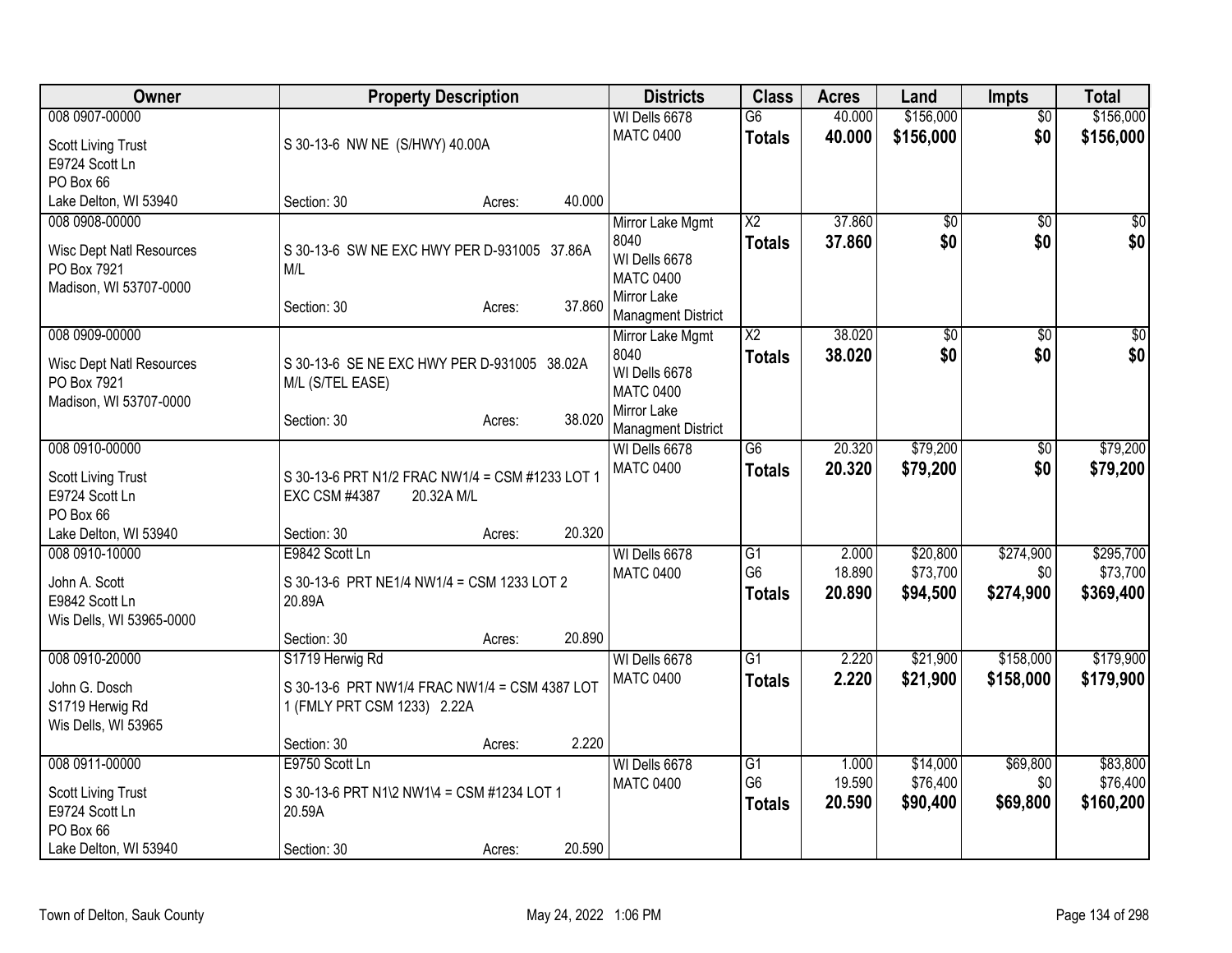| Owner                                          | <b>Property Description</b>                                     | <b>Districts</b>                           | <b>Class</b>    | <b>Acres</b> | Land            | <b>Impts</b>    | <b>Total</b>    |
|------------------------------------------------|-----------------------------------------------------------------|--------------------------------------------|-----------------|--------------|-----------------|-----------------|-----------------|
| 008 0907-00000                                 |                                                                 | WI Dells 6678                              | $\overline{G6}$ | 40.000       | \$156,000       | $\overline{50}$ | \$156,000       |
| <b>Scott Living Trust</b>                      | S 30-13-6 NW NE (S/HWY) 40.00A                                  | <b>MATC 0400</b>                           | <b>Totals</b>   | 40.000       | \$156,000       | \$0             | \$156,000       |
| E9724 Scott Ln                                 |                                                                 |                                            |                 |              |                 |                 |                 |
| PO Box 66                                      |                                                                 |                                            |                 |              |                 |                 |                 |
| Lake Delton, WI 53940                          | 40.000<br>Section: 30<br>Acres:                                 |                                            |                 |              |                 |                 |                 |
| 008 0908-00000                                 |                                                                 | Mirror Lake Mgmt                           | $\overline{X2}$ | 37.860       | \$0             | $\sqrt{50}$     | \$0             |
| <b>Wisc Dept Natl Resources</b>                | S 30-13-6 SW NE EXC HWY PER D-931005 37.86A                     | 8040                                       | <b>Totals</b>   | 37.860       | \$0             | \$0             | \$0             |
| PO Box 7921                                    | M/L                                                             | WI Dells 6678                              |                 |              |                 |                 |                 |
| Madison, WI 53707-0000                         |                                                                 | <b>MATC 0400</b><br>Mirror Lake            |                 |              |                 |                 |                 |
|                                                | 37.860<br>Section: 30<br>Acres:                                 | <b>Managment District</b>                  |                 |              |                 |                 |                 |
| 008 0909-00000                                 |                                                                 | Mirror Lake Mgmt                           | $\overline{X2}$ | 38.020       | $\overline{50}$ | $\overline{50}$ | $\overline{50}$ |
|                                                |                                                                 | 8040                                       | <b>Totals</b>   | 38.020       | \$0             | \$0             | \$0             |
| <b>Wisc Dept Natl Resources</b><br>PO Box 7921 | S 30-13-6 SE NE EXC HWY PER D-931005 38.02A<br>M/L (S/TEL EASE) | WI Dells 6678                              |                 |              |                 |                 |                 |
| Madison, WI 53707-0000                         |                                                                 | <b>MATC 0400</b>                           |                 |              |                 |                 |                 |
|                                                | 38.020<br>Section: 30<br>Acres:                                 | Mirror Lake                                |                 |              |                 |                 |                 |
| 008 0910-00000                                 |                                                                 | <b>Managment District</b><br>WI Dells 6678 | $\overline{G6}$ | 20.320       | \$79,200        |                 | \$79,200        |
|                                                |                                                                 | <b>MATC 0400</b>                           | <b>Totals</b>   | 20.320       | \$79,200        | \$0<br>\$0      | \$79,200        |
| <b>Scott Living Trust</b>                      | S 30-13-6 PRT N1/2 FRAC NW1/4 = CSM #1233 LOT 1                 |                                            |                 |              |                 |                 |                 |
| E9724 Scott Ln                                 | <b>EXC CSM #4387</b><br>20.32A M/L                              |                                            |                 |              |                 |                 |                 |
| PO Box 66                                      | 20.320                                                          |                                            |                 |              |                 |                 |                 |
| Lake Delton, WI 53940<br>008 0910-10000        | Section: 30<br>Acres:<br>E9842 Scott Ln                         | WI Dells 6678                              | G1              | 2.000        | \$20,800        | \$274,900       | \$295,700       |
|                                                |                                                                 | <b>MATC 0400</b>                           | G <sub>6</sub>  | 18.890       | \$73,700        | \$0             | \$73,700        |
| John A. Scott                                  | S 30-13-6 PRT NE1/4 NW1/4 = CSM 1233 LOT 2                      |                                            | <b>Totals</b>   | 20.890       | \$94,500        | \$274,900       | \$369,400       |
| E9842 Scott Ln                                 | 20.89A                                                          |                                            |                 |              |                 |                 |                 |
| Wis Dells, WI 53965-0000                       | 20.890<br>Section: 30<br>Acres:                                 |                                            |                 |              |                 |                 |                 |
| 008 0910-20000                                 | S1719 Herwig Rd                                                 | WI Dells 6678                              | $\overline{G1}$ | 2.220        | \$21,900        | \$158,000       | \$179,900       |
|                                                |                                                                 | <b>MATC 0400</b>                           | <b>Totals</b>   | 2.220        | \$21,900        | \$158,000       | \$179,900       |
| John G. Dosch                                  | S 30-13-6 PRT NW1/4 FRAC NW1/4 = CSM 4387 LOT                   |                                            |                 |              |                 |                 |                 |
| S1719 Herwig Rd<br>Wis Dells, WI 53965         | 1 (FMLY PRT CSM 1233) 2.22A                                     |                                            |                 |              |                 |                 |                 |
|                                                | 2.220<br>Section: 30<br>Acres:                                  |                                            |                 |              |                 |                 |                 |
| 008 0911-00000                                 | E9750 Scott Ln                                                  | WI Dells 6678                              | G1              | 1.000        | \$14,000        | \$69,800        | \$83,800        |
|                                                |                                                                 | <b>MATC 0400</b>                           | G <sub>6</sub>  | 19.590       | \$76,400        | \$0             | \$76,400        |
| <b>Scott Living Trust</b><br>E9724 Scott Ln    | S 30-13-6 PRT N1\2 NW1\4 = CSM #1234 LOT 1<br>20.59A            |                                            | <b>Totals</b>   | 20.590       | \$90,400        | \$69,800        | \$160,200       |
| PO Box 66                                      |                                                                 |                                            |                 |              |                 |                 |                 |
| Lake Delton, WI 53940                          | 20.590<br>Section: 30<br>Acres:                                 |                                            |                 |              |                 |                 |                 |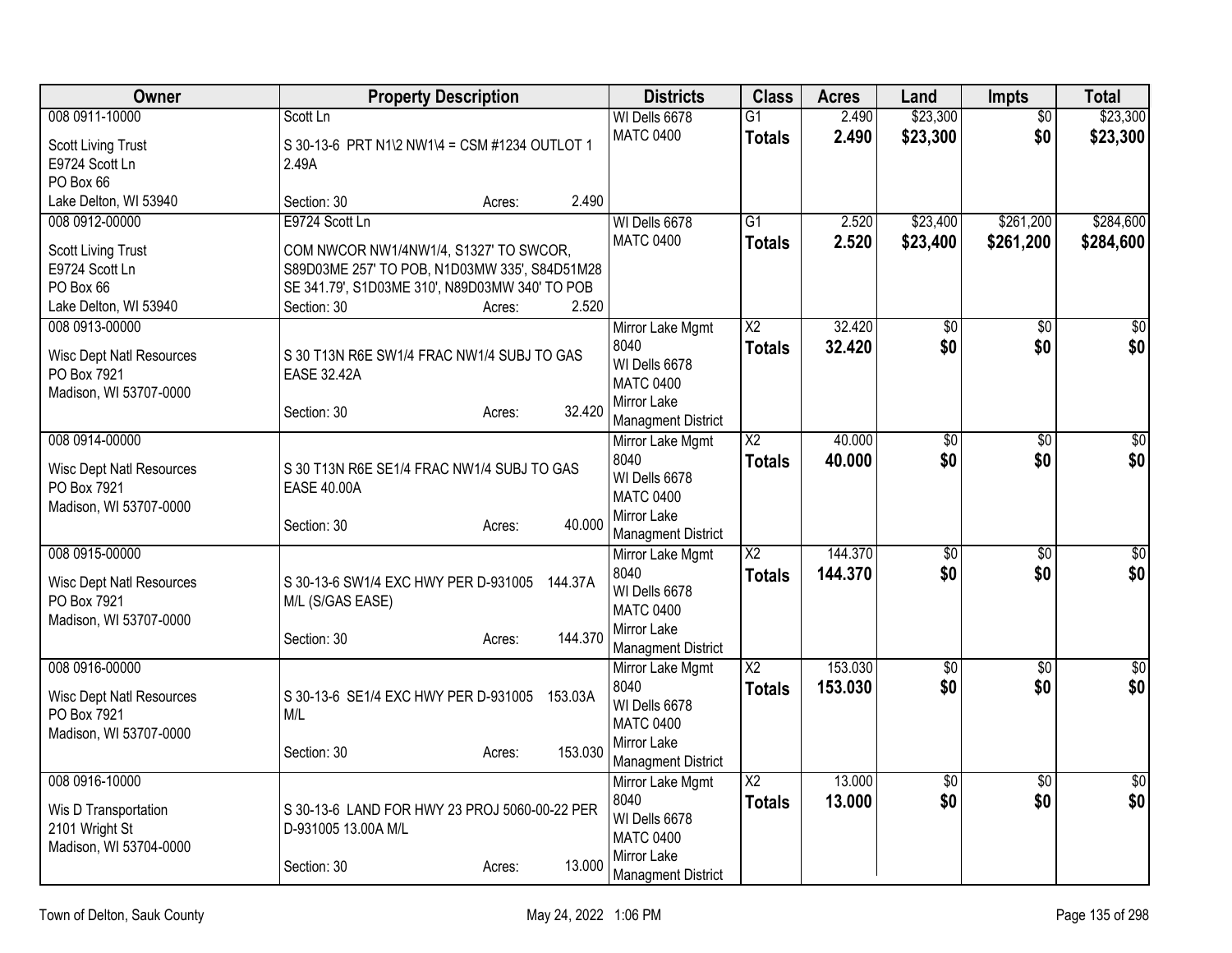| Owner                                          | <b>Property Description</b>                                         | <b>Districts</b>                  | <b>Class</b>           | <b>Acres</b> | Land            | <b>Impts</b>    | <b>Total</b>    |
|------------------------------------------------|---------------------------------------------------------------------|-----------------------------------|------------------------|--------------|-----------------|-----------------|-----------------|
| 008 0911-10000                                 | Scott Ln                                                            | WI Dells 6678                     | $\overline{G1}$        | 2.490        | \$23,300        | $\overline{50}$ | \$23,300        |
| <b>Scott Living Trust</b>                      | S 30-13-6 PRT N1\2 NW1\4 = CSM #1234 OUTLOT 1                       | <b>MATC 0400</b>                  | <b>Totals</b>          | 2.490        | \$23,300        | \$0             | \$23,300        |
| E9724 Scott Ln                                 | 2.49A                                                               |                                   |                        |              |                 |                 |                 |
| PO Box 66                                      |                                                                     |                                   |                        |              |                 |                 |                 |
| Lake Delton, WI 53940                          | 2.490<br>Section: 30<br>Acres:                                      |                                   |                        |              |                 |                 |                 |
| 008 0912-00000                                 | E9724 Scott Ln                                                      | WI Dells 6678                     | $\overline{G1}$        | 2.520        | \$23,400        | \$261,200       | \$284,600       |
| <b>Scott Living Trust</b>                      | COM NWCOR NW1/4NW1/4, S1327' TO SWCOR,                              | <b>MATC 0400</b>                  | <b>Totals</b>          | 2.520        | \$23,400        | \$261,200       | \$284,600       |
| E9724 Scott Ln                                 | S89D03ME 257' TO POB, N1D03MW 335', S84D51M28                       |                                   |                        |              |                 |                 |                 |
| PO Box 66                                      | SE 341.79', S1D03ME 310', N89D03MW 340' TO POB                      |                                   |                        |              |                 |                 |                 |
| Lake Delton, WI 53940                          | 2.520<br>Section: 30<br>Acres:                                      |                                   |                        |              |                 |                 |                 |
| 008 0913-00000                                 |                                                                     | Mirror Lake Mgmt                  | $\overline{X2}$        | 32.420       | $\overline{50}$ | \$0             | $\sqrt{50}$     |
| <b>Wisc Dept Natl Resources</b>                | S 30 T13N R6E SW1/4 FRAC NW1/4 SUBJ TO GAS                          | 8040                              | <b>Totals</b>          | 32.420       | \$0             | \$0             | \$0             |
| PO Box 7921                                    | <b>EASE 32.42A</b>                                                  | WI Dells 6678                     |                        |              |                 |                 |                 |
| Madison, WI 53707-0000                         |                                                                     | <b>MATC 0400</b>                  |                        |              |                 |                 |                 |
|                                                | 32.420<br>Section: 30<br>Acres:                                     | Mirror Lake                       |                        |              |                 |                 |                 |
|                                                |                                                                     | <b>Managment District</b>         |                        |              |                 |                 |                 |
| 008 0914-00000                                 |                                                                     | Mirror Lake Mgmt                  | $\overline{X2}$        | 40.000       | $\overline{50}$ | $\overline{30}$ | \$0             |
| <b>Wisc Dept Natl Resources</b>                | S 30 T13N R6E SE1/4 FRAC NW1/4 SUBJ TO GAS                          | 8040<br>WI Dells 6678             | <b>Totals</b>          | 40.000       | \$0             | \$0             | \$0             |
| PO Box 7921                                    | <b>EASE 40.00A</b>                                                  | <b>MATC 0400</b>                  |                        |              |                 |                 |                 |
| Madison, WI 53707-0000                         |                                                                     | Mirror Lake                       |                        |              |                 |                 |                 |
|                                                | 40.000<br>Section: 30<br>Acres:                                     | <b>Managment District</b>         |                        |              |                 |                 |                 |
| 008 0915-00000                                 |                                                                     | Mirror Lake Mgmt                  | $\overline{\text{X2}}$ | 144.370      | $\overline{60}$ | $\sqrt{6}$      | $\overline{50}$ |
|                                                |                                                                     | 8040                              | <b>Totals</b>          | 144.370      | \$0             | \$0             | \$0             |
| <b>Wisc Dept Natl Resources</b><br>PO Box 7921 | S 30-13-6 SW1/4 EXC HWY PER D-931005<br>144.37A<br>M/L (S/GAS EASE) | WI Dells 6678                     |                        |              |                 |                 |                 |
| Madison, WI 53707-0000                         |                                                                     | <b>MATC 0400</b>                  |                        |              |                 |                 |                 |
|                                                | 144.370<br>Section: 30<br>Acres:                                    | Mirror Lake                       |                        |              |                 |                 |                 |
|                                                |                                                                     | <b>Managment District</b>         |                        |              |                 |                 |                 |
| 008 0916-00000                                 |                                                                     | Mirror Lake Mgmt                  | $\overline{\text{X2}}$ | 153.030      | $\overline{50}$ | $\overline{50}$ | $\sqrt{50}$     |
| Wisc Dept Natl Resources                       | S 30-13-6 SE1/4 EXC HWY PER D-931005 153.03A                        | 8040                              | <b>Totals</b>          | 153,030      | \$0             | \$0             | \$0             |
| PO Box 7921                                    | M/L                                                                 | WI Dells 6678<br><b>MATC 0400</b> |                        |              |                 |                 |                 |
| Madison, WI 53707-0000                         |                                                                     | Mirror Lake                       |                        |              |                 |                 |                 |
|                                                | 153.030<br>Section: 30<br>Acres:                                    | Managment District                |                        |              |                 |                 |                 |
| 008 0916-10000                                 |                                                                     | Mirror Lake Mgmt                  | $\overline{X2}$        | 13.000       | $\overline{50}$ | $\overline{50}$ | \$0             |
|                                                |                                                                     | 8040                              | <b>Totals</b>          | 13.000       | \$0             | \$0             | \$0             |
| Wis D Transportation                           | S 30-13-6 LAND FOR HWY 23 PROJ 5060-00-22 PER                       | WI Dells 6678                     |                        |              |                 |                 |                 |
| 2101 Wright St                                 | D-931005 13.00A M/L                                                 | <b>MATC 0400</b>                  |                        |              |                 |                 |                 |
| Madison, WI 53704-0000                         | 13.000<br>Section: 30                                               | Mirror Lake                       |                        |              |                 |                 |                 |
|                                                | Acres:                                                              | <b>Managment District</b>         |                        |              |                 |                 |                 |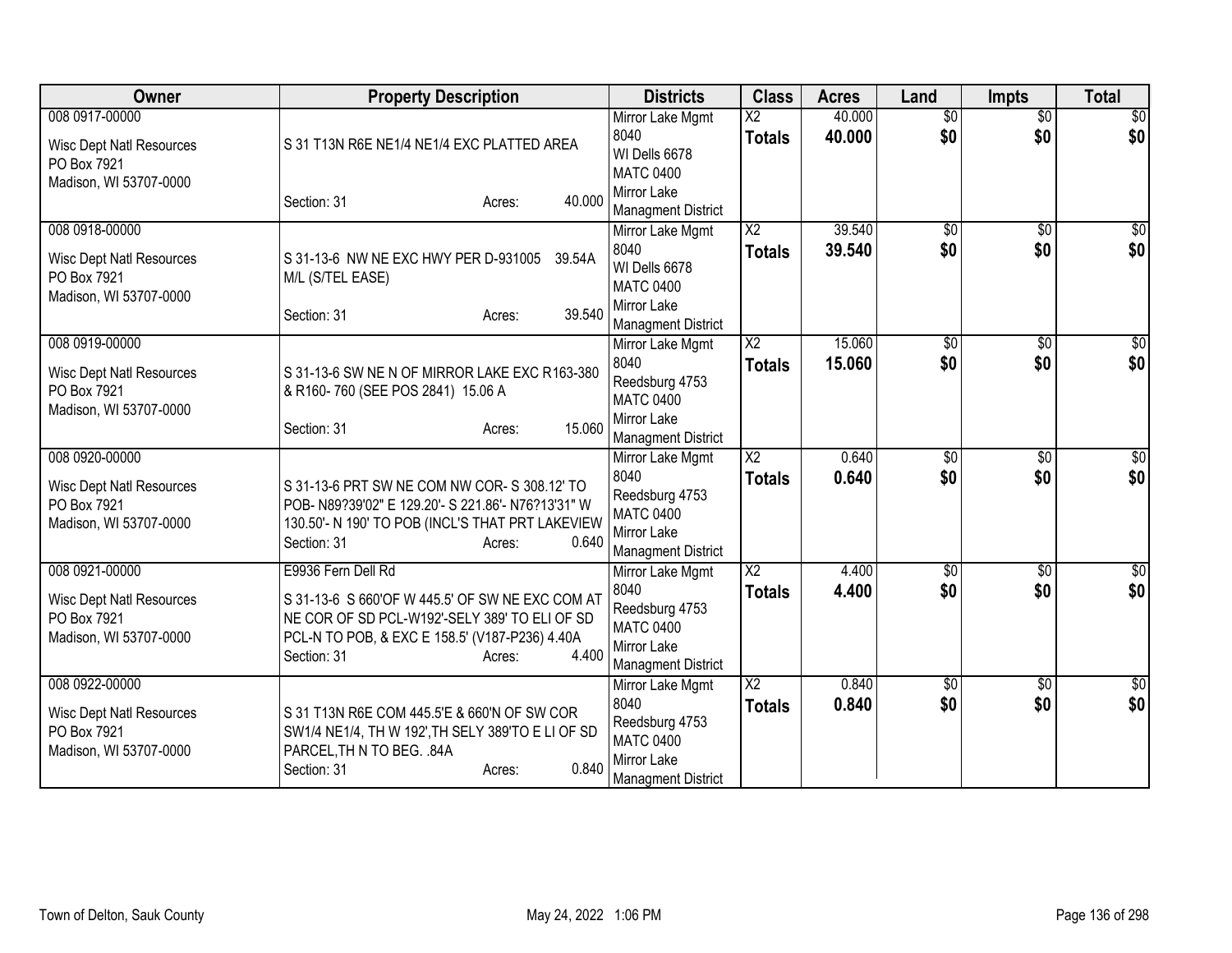| <b>Owner</b>                                                                               | <b>Property Description</b>                                                                                                                                                                                | <b>Districts</b>                                                                                           | <b>Class</b>                              | <b>Acres</b>     | Land                   | <b>Impts</b>           | <b>Total</b>            |
|--------------------------------------------------------------------------------------------|------------------------------------------------------------------------------------------------------------------------------------------------------------------------------------------------------------|------------------------------------------------------------------------------------------------------------|-------------------------------------------|------------------|------------------------|------------------------|-------------------------|
| 008 0917-00000<br><b>Wisc Dept Natl Resources</b><br>PO Box 7921                           | S 31 T13N R6E NE1/4 NE1/4 EXC PLATTED AREA                                                                                                                                                                 | Mirror Lake Mgmt<br>8040<br>WI Dells 6678<br><b>MATC 0400</b>                                              | $\overline{\mathsf{x2}}$<br><b>Totals</b> | 40.000<br>40.000 | $\overline{50}$<br>\$0 | $\overline{50}$<br>\$0 | \$0<br>\$0              |
| Madison, WI 53707-0000                                                                     | 40.000<br>Section: 31<br>Acres:                                                                                                                                                                            | Mirror Lake<br><b>Managment District</b>                                                                   |                                           |                  |                        |                        |                         |
| 008 0918-00000<br><b>Wisc Dept Natl Resources</b><br>PO Box 7921<br>Madison, WI 53707-0000 | S 31-13-6 NW NE EXC HWY PER D-931005<br>39.54A<br>M/L (S/TEL EASE)                                                                                                                                         | Mirror Lake Mgmt<br>8040<br>WI Dells 6678<br><b>MATC 0400</b><br>Mirror Lake                               | $\overline{\text{X2}}$<br><b>Totals</b>   | 39.540<br>39.540 | $\overline{50}$<br>\$0 | $\overline{50}$<br>\$0 | $\overline{50}$<br>\$0  |
| 008 0919-00000                                                                             | 39.540<br>Section: 31<br>Acres:                                                                                                                                                                            | <b>Managment District</b><br>Mirror Lake Mgmt                                                              | $\overline{\text{X2}}$                    | 15.060           | \$0                    | \$0                    | \$0                     |
| <b>Wisc Dept Natl Resources</b><br>PO Box 7921<br>Madison, WI 53707-0000                   | S 31-13-6 SW NE N OF MIRROR LAKE EXC R163-380<br>& R160-760 (SEE POS 2841) 15.06 A                                                                                                                         | 8040<br>Reedsburg 4753<br><b>MATC 0400</b><br>Mirror Lake                                                  | <b>Totals</b>                             | 15.060           | \$0                    | \$0                    | \$0                     |
|                                                                                            | 15.060<br>Section: 31<br>Acres:                                                                                                                                                                            | <b>Managment District</b>                                                                                  |                                           |                  |                        |                        |                         |
| 008 0920-00000<br><b>Wisc Dept Natl Resources</b><br>PO Box 7921<br>Madison, WI 53707-0000 | S 31-13-6 PRT SW NE COM NW COR- S 308.12' TO<br>POB- N89?39'02" E 129.20'- S 221.86'- N76?13'31" W<br>130.50'- N 190' TO POB (INCL'S THAT PRT LAKEVIEW<br>0.640<br>Section: 31<br>Acres:                   | Mirror Lake Mgmt<br>8040<br>Reedsburg 4753<br><b>MATC 0400</b><br>Mirror Lake<br><b>Managment District</b> | $\overline{X2}$<br><b>Totals</b>          | 0.640<br>0.640   | $\overline{50}$<br>\$0 | $\overline{50}$<br>\$0 | \$0<br>\$0              |
| 008 0921-00000<br><b>Wisc Dept Natl Resources</b><br>PO Box 7921<br>Madison, WI 53707-0000 | E9936 Fern Dell Rd<br>S 31-13-6 S 660'OF W 445.5' OF SW NE EXC COM AT<br>NE COR OF SD PCL-W192'-SELY 389' TO ELI OF SD<br>PCL-N TO POB, & EXC E 158.5' (V187-P236) 4.40A<br>4.400<br>Section: 31<br>Acres: | Mirror Lake Mgmt<br>8040<br>Reedsburg 4753<br><b>MATC 0400</b><br>Mirror Lake<br><b>Managment District</b> | $\overline{X2}$<br><b>Totals</b>          | 4.400<br>4.400   | $\sqrt{$0}$<br>\$0     | \$0<br>\$0             | \$0<br>\$0              |
| 008 0922-00000<br><b>Wisc Dept Natl Resources</b><br>PO Box 7921<br>Madison, WI 53707-0000 | S 31 T13N R6E COM 445.5'E & 660'N OF SW COR<br>SW1/4 NE1/4, TH W 192', TH SELY 389'TO E LI OF SD<br>PARCEL, TH N TO BEG. .84A<br>0.840<br>Section: 31<br>Acres:                                            | Mirror Lake Mgmt<br>8040<br>Reedsburg 4753<br><b>MATC 0400</b><br>Mirror Lake<br><b>Managment District</b> | X2<br><b>Totals</b>                       | 0.840<br>0.840   | \$0<br>\$0             | \$0<br>\$0             | $\overline{\$0}$<br>\$0 |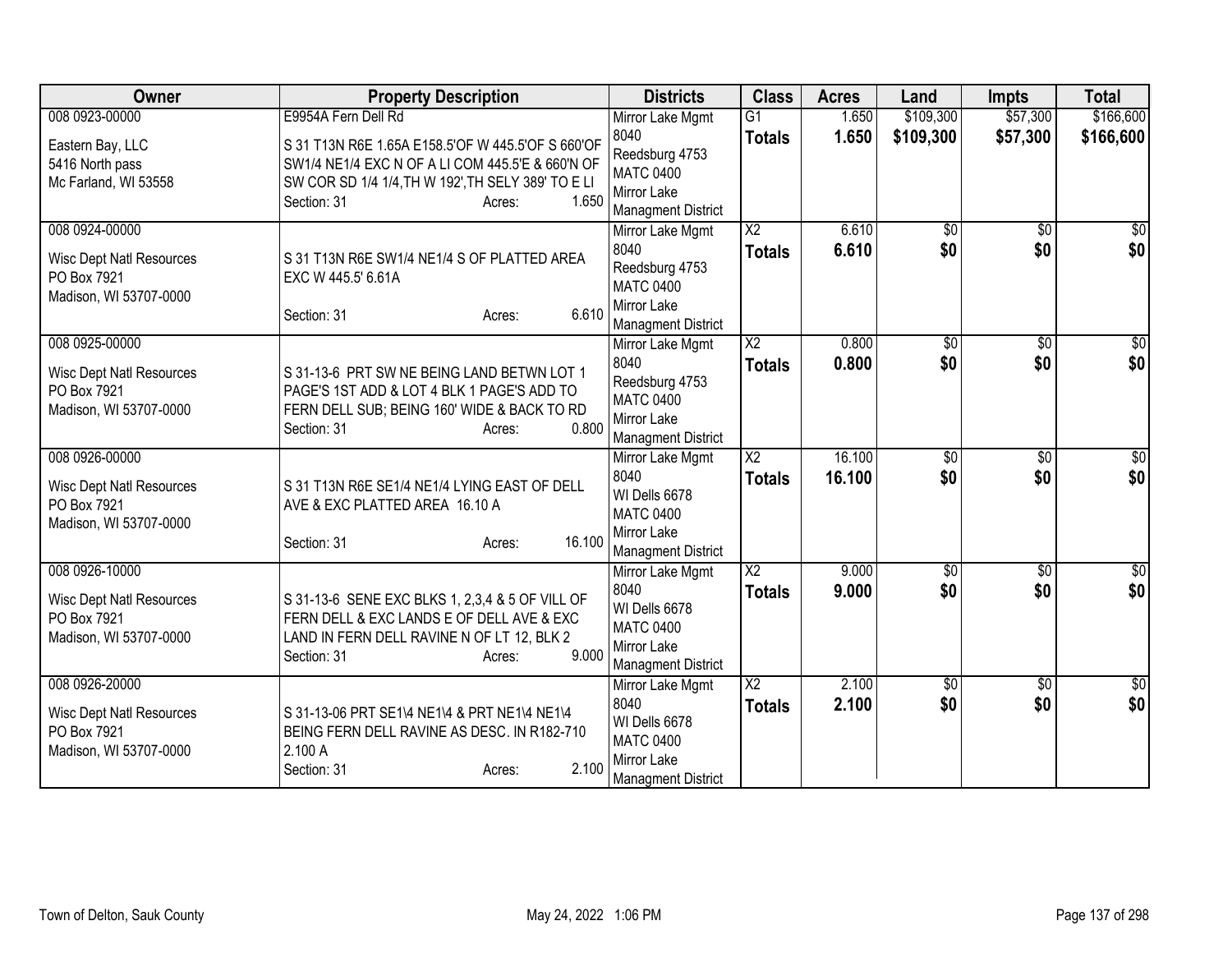| Owner                               | <b>Property Description</b>                                                                           | <b>Districts</b>                       | <b>Class</b>           | <b>Acres</b> | Land            | <b>Impts</b>      | <b>Total</b>    |
|-------------------------------------|-------------------------------------------------------------------------------------------------------|----------------------------------------|------------------------|--------------|-----------------|-------------------|-----------------|
| 008 0923-00000                      | E9954A Fern Dell Rd                                                                                   | Mirror Lake Mgmt                       | $\overline{G1}$        | 1.650        | \$109,300       | \$57,300          | \$166,600       |
| Eastern Bay, LLC<br>5416 North pass | S 31 T13N R6E 1.65A E158.5'OF W 445.5'OF S 660'OF<br>SW1/4 NE1/4 EXC N OF A LI COM 445.5'E & 660'N OF | 8040<br>Reedsburg 4753                 | <b>Totals</b>          | 1.650        | \$109,300       | \$57,300          | \$166,600       |
| Mc Farland, WI 53558                | SW COR SD 1/4 1/4, TH W 192', TH SELY 389' TO E LI                                                    | <b>MATC 0400</b>                       |                        |              |                 |                   |                 |
|                                     | 1.650<br>Section: 31<br>Acres:                                                                        | Mirror Lake                            |                        |              |                 |                   |                 |
| 008 0924-00000                      |                                                                                                       | <b>Managment District</b>              | $\overline{\text{X2}}$ | 6.610        | $\overline{50}$ | $\overline{30}$   | $\frac{1}{6}$   |
|                                     |                                                                                                       | Mirror Lake Mgmt<br>8040               | <b>Totals</b>          | 6.610        | \$0             | \$0               | \$0             |
| <b>Wisc Dept Natl Resources</b>     | S 31 T13N R6E SW1/4 NE1/4 S OF PLATTED AREA                                                           | Reedsburg 4753                         |                        |              |                 |                   |                 |
| PO Box 7921                         | EXC W 445.5' 6.61A                                                                                    | <b>MATC 0400</b>                       |                        |              |                 |                   |                 |
| Madison, WI 53707-0000              | 6.610                                                                                                 | Mirror Lake                            |                        |              |                 |                   |                 |
|                                     | Section: 31<br>Acres:                                                                                 | <b>Managment District</b>              |                        |              |                 |                   |                 |
| 008 0925-00000                      |                                                                                                       | Mirror Lake Mgmt                       | $\overline{\text{X2}}$ | 0.800        | \$0             | \$0               | \$0             |
| <b>Wisc Dept Natl Resources</b>     | S 31-13-6 PRT SW NE BEING LAND BETWN LOT 1                                                            | 8040                                   | <b>Totals</b>          | 0.800        | \$0             | \$0               | \$0             |
| PO Box 7921                         | PAGE'S 1ST ADD & LOT 4 BLK 1 PAGE'S ADD TO                                                            | Reedsburg 4753                         |                        |              |                 |                   |                 |
| Madison, WI 53707-0000              | FERN DELL SUB; BEING 160' WIDE & BACK TO RD                                                           | <b>MATC 0400</b><br><b>Mirror Lake</b> |                        |              |                 |                   |                 |
|                                     | 0.800<br>Section: 31<br>Acres:                                                                        | <b>Managment District</b>              |                        |              |                 |                   |                 |
| 008 0926-00000                      |                                                                                                       | Mirror Lake Mgmt                       | $\overline{X2}$        | 16.100       | $\overline{50}$ | $\overline{50}$   | $\frac{1}{20}$  |
| <b>Wisc Dept Natl Resources</b>     | S 31 T13N R6E SE1/4 NE1/4 LYING EAST OF DELL                                                          | 8040                                   | <b>Totals</b>          | 16.100       | \$0             | \$0               | \$0             |
| PO Box 7921                         | AVE & EXC PLATTED AREA 16.10 A                                                                        | WI Dells 6678                          |                        |              |                 |                   |                 |
| Madison, WI 53707-0000              |                                                                                                       | <b>MATC 0400</b>                       |                        |              |                 |                   |                 |
|                                     | 16.100<br>Section: 31<br>Acres:                                                                       | <b>Mirror Lake</b>                     |                        |              |                 |                   |                 |
| 008 0926-10000                      |                                                                                                       | <b>Managment District</b>              | $\overline{X2}$        | 9.000        | $\overline{60}$ |                   | $\sqrt{50}$     |
|                                     |                                                                                                       | Mirror Lake Mgmt<br>8040               | <b>Totals</b>          | 9.000        | \$0             | $\sqrt{6}$<br>\$0 | \$0             |
| <b>Wisc Dept Natl Resources</b>     | S 31-13-6 SENE EXC BLKS 1, 2,3,4 & 5 OF VILL OF                                                       | WI Dells 6678                          |                        |              |                 |                   |                 |
| PO Box 7921                         | FERN DELL & EXC LANDS E OF DELL AVE & EXC                                                             | <b>MATC 0400</b>                       |                        |              |                 |                   |                 |
| Madison, WI 53707-0000              | LAND IN FERN DELL RAVINE N OF LT 12, BLK 2<br>9.000                                                   | Mirror Lake                            |                        |              |                 |                   |                 |
|                                     | Section: 31<br>Acres:                                                                                 | <b>Managment District</b>              |                        |              |                 |                   |                 |
| 008 0926-20000                      |                                                                                                       | Mirror Lake Mgmt                       | $\overline{\text{X2}}$ | 2.100        | \$0             | \$0               | $\overline{30}$ |
| Wisc Dept Natl Resources            | S 31-13-06 PRT SE1\4 NE1\4 & PRT NE1\4 NE1\4                                                          | 8040                                   | <b>Totals</b>          | 2.100        | \$0             | \$0               | \$0             |
| PO Box 7921                         | BEING FERN DELL RAVINE AS DESC. IN R182-710                                                           | WI Dells 6678<br><b>MATC 0400</b>      |                        |              |                 |                   |                 |
| Madison, WI 53707-0000              | 2.100 A                                                                                               | Mirror Lake                            |                        |              |                 |                   |                 |
|                                     | 2.100<br>Section: 31<br>Acres:                                                                        | <b>Managment District</b>              |                        |              |                 |                   |                 |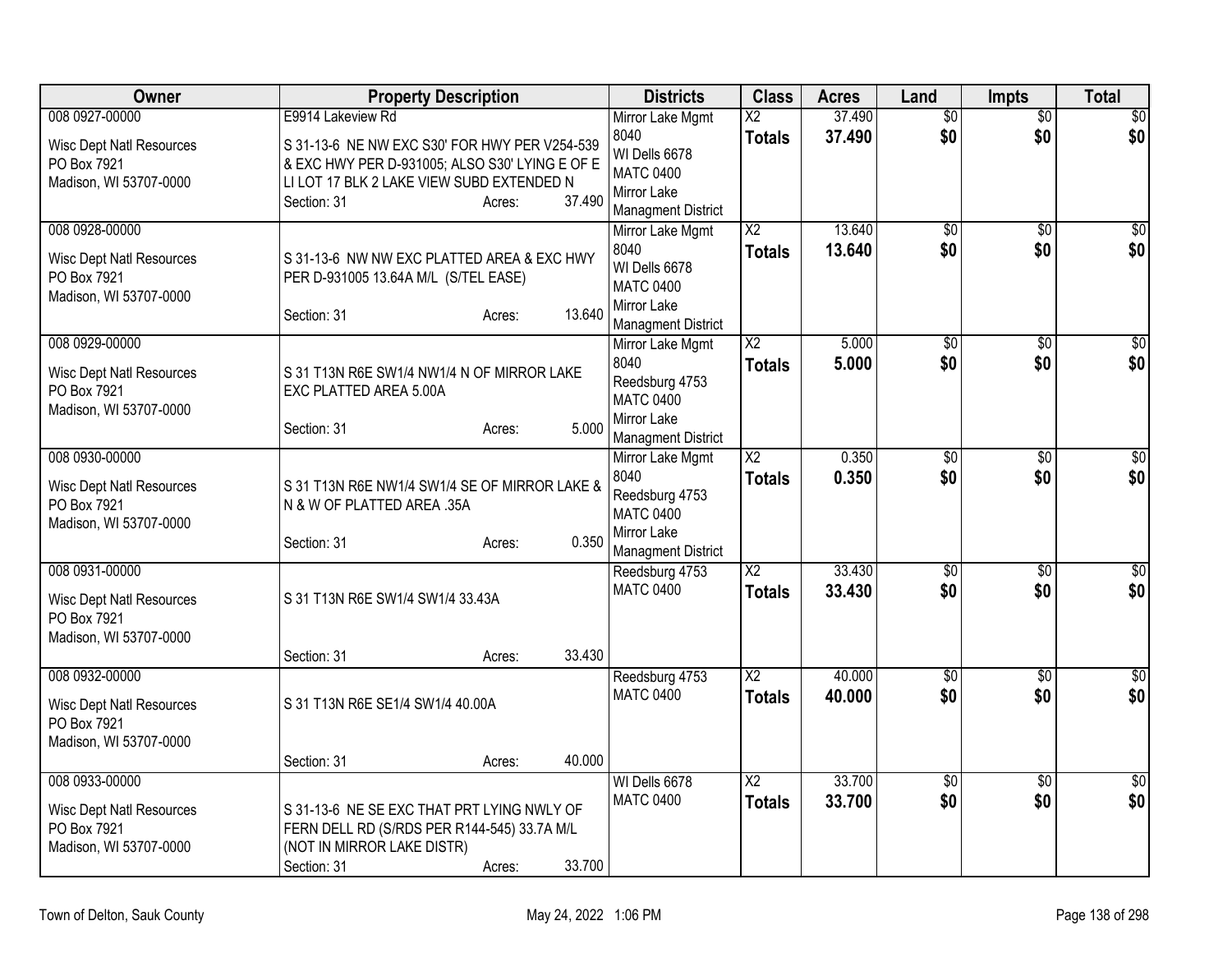| Owner                                                                                      | <b>Property Description</b>                                                                                                                                                     | <b>Districts</b>                                                                                           | <b>Class</b>                            | <b>Acres</b>     | Land                   | Impts                  | <b>Total</b>            |
|--------------------------------------------------------------------------------------------|---------------------------------------------------------------------------------------------------------------------------------------------------------------------------------|------------------------------------------------------------------------------------------------------------|-----------------------------------------|------------------|------------------------|------------------------|-------------------------|
| 008 0927-00000                                                                             | E9914 Lakeview Rd                                                                                                                                                               | Mirror Lake Mgmt                                                                                           | $\overline{X2}$                         | 37.490           | $\overline{60}$        | \$0                    | $\overline{50}$         |
| <b>Wisc Dept Natl Resources</b><br>PO Box 7921<br>Madison, WI 53707-0000                   | S 31-13-6 NE NW EXC S30' FOR HWY PER V254-539<br>& EXC HWY PER D-931005; ALSO S30' LYING E OF E<br>LI LOT 17 BLK 2 LAKE VIEW SUBD EXTENDED N<br>37.490<br>Section: 31<br>Acres: | 8040<br>WI Dells 6678<br><b>MATC 0400</b><br>Mirror Lake<br><b>Managment District</b>                      | <b>Totals</b>                           | 37.490           | \$0                    | \$0                    | \$0                     |
| 008 0928-00000<br><b>Wisc Dept Natl Resources</b><br>PO Box 7921<br>Madison, WI 53707-0000 | S 31-13-6 NW NW EXC PLATTED AREA & EXC HWY<br>PER D-931005 13.64A M/L (S/TEL EASE)<br>13.640<br>Section: 31<br>Acres:                                                           | Mirror Lake Mgmt<br>8040<br>WI Dells 6678<br><b>MATC 0400</b><br>Mirror Lake<br><b>Managment District</b>  | $\overline{X2}$<br><b>Totals</b>        | 13.640<br>13.640 | $\overline{60}$<br>\$0 | $\overline{50}$<br>\$0 | $\overline{\$0}$<br>\$0 |
| 008 0929-00000<br><b>Wisc Dept Natl Resources</b><br>PO Box 7921<br>Madison, WI 53707-0000 | S 31 T13N R6E SW1/4 NW1/4 N OF MIRROR LAKE<br>EXC PLATTED AREA 5.00A<br>5.000<br>Section: 31<br>Acres:                                                                          | Mirror Lake Mgmt<br>8040<br>Reedsburg 4753<br><b>MATC 0400</b><br>Mirror Lake<br><b>Managment District</b> | X <sub>2</sub><br><b>Totals</b>         | 5.000<br>5.000   | $\overline{50}$<br>\$0 | \$0<br>\$0             | \$0<br>\$0              |
| 008 0930-00000<br><b>Wisc Dept Natl Resources</b><br>PO Box 7921<br>Madison, WI 53707-0000 | S 31 T13N R6E NW1/4 SW1/4 SE OF MIRROR LAKE &<br>N & W OF PLATTED AREA .35A<br>0.350<br>Section: 31<br>Acres:                                                                   | Mirror Lake Mgmt<br>8040<br>Reedsburg 4753<br><b>MATC 0400</b><br>Mirror Lake<br><b>Managment District</b> | X <sub>2</sub><br><b>Totals</b>         | 0.350<br>0.350   | $\overline{60}$<br>\$0 | $\overline{30}$<br>\$0 | \$0<br>\$0              |
| 008 0931-00000<br><b>Wisc Dept Natl Resources</b><br>PO Box 7921<br>Madison, WI 53707-0000 | S 31 T13N R6E SW1/4 SW1/4 33.43A<br>33.430<br>Section: 31<br>Acres:                                                                                                             | Reedsburg 4753<br><b>MATC 0400</b>                                                                         | $\overline{X2}$<br><b>Totals</b>        | 33.430<br>33.430 | $\overline{50}$<br>\$0 | $\overline{50}$<br>\$0 | $\overline{\$0}$<br>\$0 |
| 008 0932-00000<br><b>Wisc Dept Natl Resources</b><br>PO Box 7921<br>Madison, WI 53707-0000 | S 31 T13N R6E SE1/4 SW1/4 40.00A<br>40.000<br>Section: 31<br>Acres:                                                                                                             | Reedsburg 4753<br><b>MATC 0400</b>                                                                         | $\overline{\text{X2}}$<br><b>Totals</b> | 40.000<br>40.000 | $\sqrt{6}$<br>\$0      | $\overline{50}$<br>\$0 | $\overline{50}$<br>\$0  |
| 008 0933-00000<br><b>Wisc Dept Natl Resources</b><br>PO Box 7921<br>Madison, WI 53707-0000 | S 31-13-6 NE SE EXC THAT PRT LYING NWLY OF<br>FERN DELL RD (S/RDS PER R144-545) 33.7A M/L<br>(NOT IN MIRROR LAKE DISTR)<br>33.700<br>Section: 31<br>Acres:                      | WI Dells 6678<br><b>MATC 0400</b>                                                                          | $\overline{X2}$<br><b>Totals</b>        | 33.700<br>33.700 | $\overline{60}$<br>\$0 | $\overline{50}$<br>\$0 | $\sqrt{50}$<br>\$0      |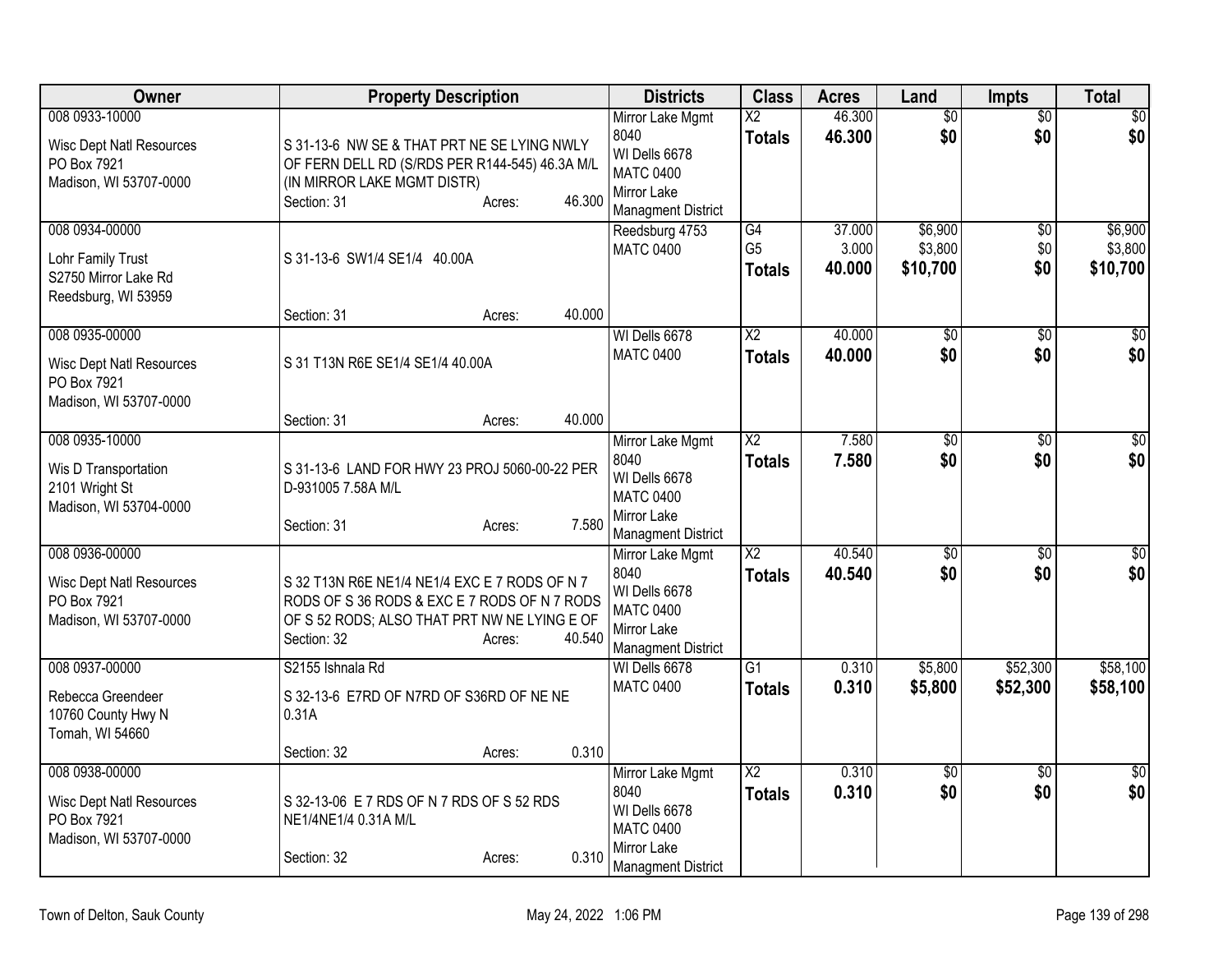| Owner                                                                                      | <b>Property Description</b>                                                                                                                                                      | <b>Districts</b>                                                                                          | <b>Class</b>                          | <b>Acres</b>              | Land                           | <b>Impts</b>                  | <b>Total</b>                   |
|--------------------------------------------------------------------------------------------|----------------------------------------------------------------------------------------------------------------------------------------------------------------------------------|-----------------------------------------------------------------------------------------------------------|---------------------------------------|---------------------------|--------------------------------|-------------------------------|--------------------------------|
| 008 0933-10000<br><b>Wisc Dept Natl Resources</b><br>PO Box 7921<br>Madison, WI 53707-0000 | S 31-13-6 NW SE & THAT PRT NE SE LYING NWLY<br>OF FERN DELL RD (S/RDS PER R144-545) 46.3A M/L<br>(IN MIRROR LAKE MGMT DISTR)<br>46.300<br>Section: 31<br>Acres:                  | Mirror Lake Mgmt<br>8040<br>WI Dells 6678<br><b>MATC 0400</b><br>Mirror Lake<br><b>Managment District</b> | $\overline{X2}$<br><b>Totals</b>      | 46.300<br>46.300          | $\overline{50}$<br>\$0         | $\overline{50}$<br>\$0        | \$0<br>\$0                     |
| 008 0934-00000<br>Lohr Family Trust<br>S2750 Mirror Lake Rd<br>Reedsburg, WI 53959         | S 31-13-6 SW1/4 SE1/4 40.00A<br>40.000<br>Section: 31<br>Acres:                                                                                                                  | Reedsburg 4753<br><b>MATC 0400</b>                                                                        | G4<br>G <sub>5</sub><br><b>Totals</b> | 37.000<br>3.000<br>40.000 | \$6,900<br>\$3,800<br>\$10,700 | $\overline{50}$<br>\$0<br>\$0 | \$6,900<br>\$3,800<br>\$10,700 |
| 008 0935-00000<br><b>Wisc Dept Natl Resources</b><br>PO Box 7921<br>Madison, WI 53707-0000 | S 31 T13N R6E SE1/4 SE1/4 40.00A<br>40.000<br>Section: 31<br>Acres:                                                                                                              | WI Dells 6678<br><b>MATC 0400</b>                                                                         | $\overline{X2}$<br><b>Totals</b>      | 40.000<br>40.000          | $\overline{50}$<br>\$0         | $\overline{50}$<br>\$0        | $\overline{50}$<br>\$0         |
| 008 0935-10000<br>Wis D Transportation<br>2101 Wright St<br>Madison, WI 53704-0000         | S 31-13-6 LAND FOR HWY 23 PROJ 5060-00-22 PER<br>D-931005 7.58A M/L<br>7.580<br>Section: 31<br>Acres:                                                                            | Mirror Lake Mgmt<br>8040<br>WI Dells 6678<br><b>MATC 0400</b><br>Mirror Lake<br><b>Managment District</b> | $\overline{X2}$<br><b>Totals</b>      | 7.580<br>7.580            | $\overline{50}$<br>\$0         | $\overline{50}$<br>\$0        | \$0<br>\$0                     |
| 008 0936-00000<br><b>Wisc Dept Natl Resources</b><br>PO Box 7921<br>Madison, WI 53707-0000 | S 32 T13N R6E NE1/4 NE1/4 EXC E 7 RODS OF N 7<br>RODS OF S 36 RODS & EXC E 7 RODS OF N 7 RODS<br>OF S 52 RODS; ALSO THAT PRT NW NE LYING E OF<br>Section: 32<br>40.540<br>Acres: | Mirror Lake Mgmt<br>8040<br>WI Dells 6678<br><b>MATC 0400</b><br>Mirror Lake<br><b>Managment District</b> | $\overline{X2}$<br><b>Totals</b>      | 40.540<br>40.540          | $\overline{60}$<br>\$0         | $\overline{50}$<br>\$0        | \$0<br>\$0                     |
| 008 0937-00000<br>Rebecca Greendeer<br>10760 County Hwy N<br>Tomah, WI 54660               | S2155 Ishnala Rd<br>S 32-13-6 E7RD OF N7RD OF S36RD OF NE NE<br>0.31A<br>0.310<br>Section: 32<br>Acres:                                                                          | WI Dells 6678<br><b>MATC 0400</b>                                                                         | $\overline{G1}$<br><b>Totals</b>      | 0.310<br>0.310            | \$5,800<br>\$5,800             | \$52,300<br>\$52,300          | \$58,100<br>\$58,100           |
| 008 0938-00000<br><b>Wisc Dept Natl Resources</b><br>PO Box 7921<br>Madison, WI 53707-0000 | S 32-13-06 E 7 RDS OF N 7 RDS OF S 52 RDS<br>NE1/4NE1/4 0.31A M/L<br>0.310<br>Section: 32<br>Acres:                                                                              | Mirror Lake Mgmt<br>8040<br>WI Dells 6678<br><b>MATC 0400</b><br>Mirror Lake<br><b>Managment District</b> | X <sub>2</sub><br><b>Totals</b>       | 0.310<br>0.310            | $\overline{50}$<br>\$0         | \$0<br>\$0                    | $\sqrt{50}$<br>\$0             |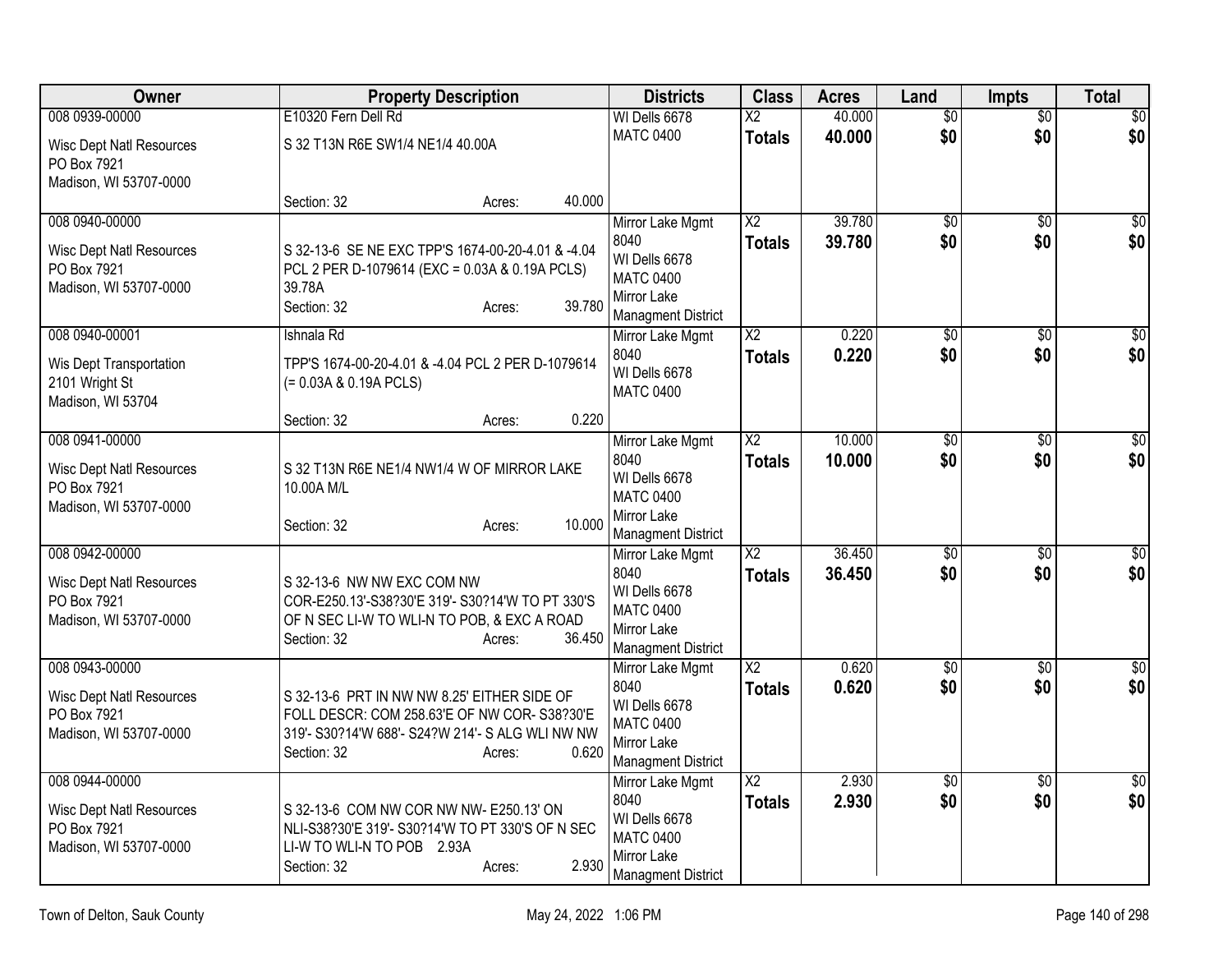| Owner                                                                                      |                                                         | <b>Property Description</b>                                                                                                                                       | <b>Districts</b>                                                                                          | <b>Class</b>                            | <b>Acres</b>     | Land                   | <b>Impts</b>           | <b>Total</b>            |
|--------------------------------------------------------------------------------------------|---------------------------------------------------------|-------------------------------------------------------------------------------------------------------------------------------------------------------------------|-----------------------------------------------------------------------------------------------------------|-----------------------------------------|------------------|------------------------|------------------------|-------------------------|
| 008 0939-00000<br><b>Wisc Dept Natl Resources</b><br>PO Box 7921<br>Madison, WI 53707-0000 | E10320 Fern Dell Rd<br>S 32 T13N R6E SW1/4 NE1/4 40.00A |                                                                                                                                                                   | WI Dells 6678<br><b>MATC 0400</b>                                                                         | $\overline{\text{X2}}$<br><b>Totals</b> | 40.000<br>40.000 | $\overline{50}$<br>\$0 | $\overline{50}$<br>\$0 | $\overline{50}$<br>\$0  |
|                                                                                            | Section: 32                                             | 40.000<br>Acres:                                                                                                                                                  |                                                                                                           |                                         |                  |                        |                        |                         |
| 008 0940-00000<br><b>Wisc Dept Natl Resources</b><br>PO Box 7921<br>Madison, WI 53707-0000 | 39.78A<br>Section: 32                                   | S 32-13-6 SE NE EXC TPP'S 1674-00-20-4.01 & -4.04<br>PCL 2 PER D-1079614 (EXC = 0.03A & 0.19A PCLS)<br>39.780<br>Acres:                                           | Mirror Lake Mgmt<br>8040<br>WI Dells 6678<br><b>MATC 0400</b><br>Mirror Lake<br><b>Managment District</b> | $\overline{X2}$<br><b>Totals</b>        | 39.780<br>39.780 | \$0<br>\$0             | \$0<br>\$0             | $\overline{50}$<br>\$0  |
| 008 0940-00001<br>Wis Dept Transportation<br>2101 Wright St<br>Madison, WI 53704           | Ishnala Rd<br>(= 0.03A & 0.19A PCLS)<br>Section: 32     | TPP'S 1674-00-20-4.01 & -4.04 PCL 2 PER D-1079614<br>0.220<br>Acres:                                                                                              | Mirror Lake Mgmt<br>8040<br>WI Dells 6678<br><b>MATC 0400</b>                                             | $\overline{X2}$<br><b>Totals</b>        | 0.220<br>0.220   | $\overline{50}$<br>\$0 | $\overline{50}$<br>\$0 | $\overline{30}$<br>\$0  |
| 008 0941-00000<br><b>Wisc Dept Natl Resources</b><br>PO Box 7921<br>Madison, WI 53707-0000 | 10.00A M/L<br>Section: 32                               | S 32 T13N R6E NE1/4 NW1/4 W OF MIRROR LAKE<br>10.000<br>Acres:                                                                                                    | Mirror Lake Mgmt<br>8040<br>WI Dells 6678<br><b>MATC 0400</b><br>Mirror Lake<br><b>Managment District</b> | $\overline{X2}$<br><b>Totals</b>        | 10.000<br>10.000 | $\overline{50}$<br>\$0 | $\overline{30}$<br>\$0 | \$0<br>\$0              |
| 008 0942-00000<br><b>Wisc Dept Natl Resources</b><br>PO Box 7921<br>Madison, WI 53707-0000 | S 32-13-6 NW NW EXC COM NW<br>Section: 32               | COR-E250.13'-S38?30'E 319'- S30?14'W TO PT 330'S<br>OF N SEC LI-W TO WLI-N TO POB, & EXC A ROAD<br>36.450<br>Acres:                                               | Mirror Lake Mgmt<br>8040<br>WI Dells 6678<br><b>MATC 0400</b><br>Mirror Lake<br><b>Managment District</b> | $\overline{X2}$<br><b>Totals</b>        | 36.450<br>36.450 | $\overline{60}$<br>\$0 | \$0<br>\$0             | $\overline{\$0}$<br>\$0 |
| 008 0943-00000<br><b>Wisc Dept Natl Resources</b><br>PO Box 7921<br>Madison, WI 53707-0000 | Section: 32                                             | S 32-13-6 PRT IN NW NW 8.25' EITHER SIDE OF<br>FOLL DESCR: COM 258.63'E OF NW COR-S38?30'E<br>319'- S30?14'W 688'- S24?W 214'- S ALG WLI NW NW<br>0.620<br>Acres: | Mirror Lake Mgmt<br>8040<br>WI Dells 6678<br><b>MATC 0400</b><br>Mirror Lake<br><b>Managment District</b> | $\overline{X2}$<br><b>Totals</b>        | 0.620<br>0.620   | $\overline{50}$<br>\$0 | $\overline{50}$<br>\$0 | $\sqrt{50}$<br>\$0      |
| 008 0944-00000<br><b>Wisc Dept Natl Resources</b><br>PO Box 7921<br>Madison, WI 53707-0000 | LI-W TO WLI-N TO POB 2.93A<br>Section: 32               | S 32-13-6 COM NW COR NW NW- E250.13' ON<br>NLI-S38?30'E 319'- S30?14'W TO PT 330'S OF N SEC<br>2.930<br>Acres:                                                    | Mirror Lake Mgmt<br>8040<br>WI Dells 6678<br><b>MATC 0400</b><br>Mirror Lake<br><b>Managment District</b> | $\overline{X2}$<br><b>Totals</b>        | 2.930<br>2.930   | $\overline{50}$<br>\$0 | $\overline{60}$<br>\$0 | \$0<br>\$0              |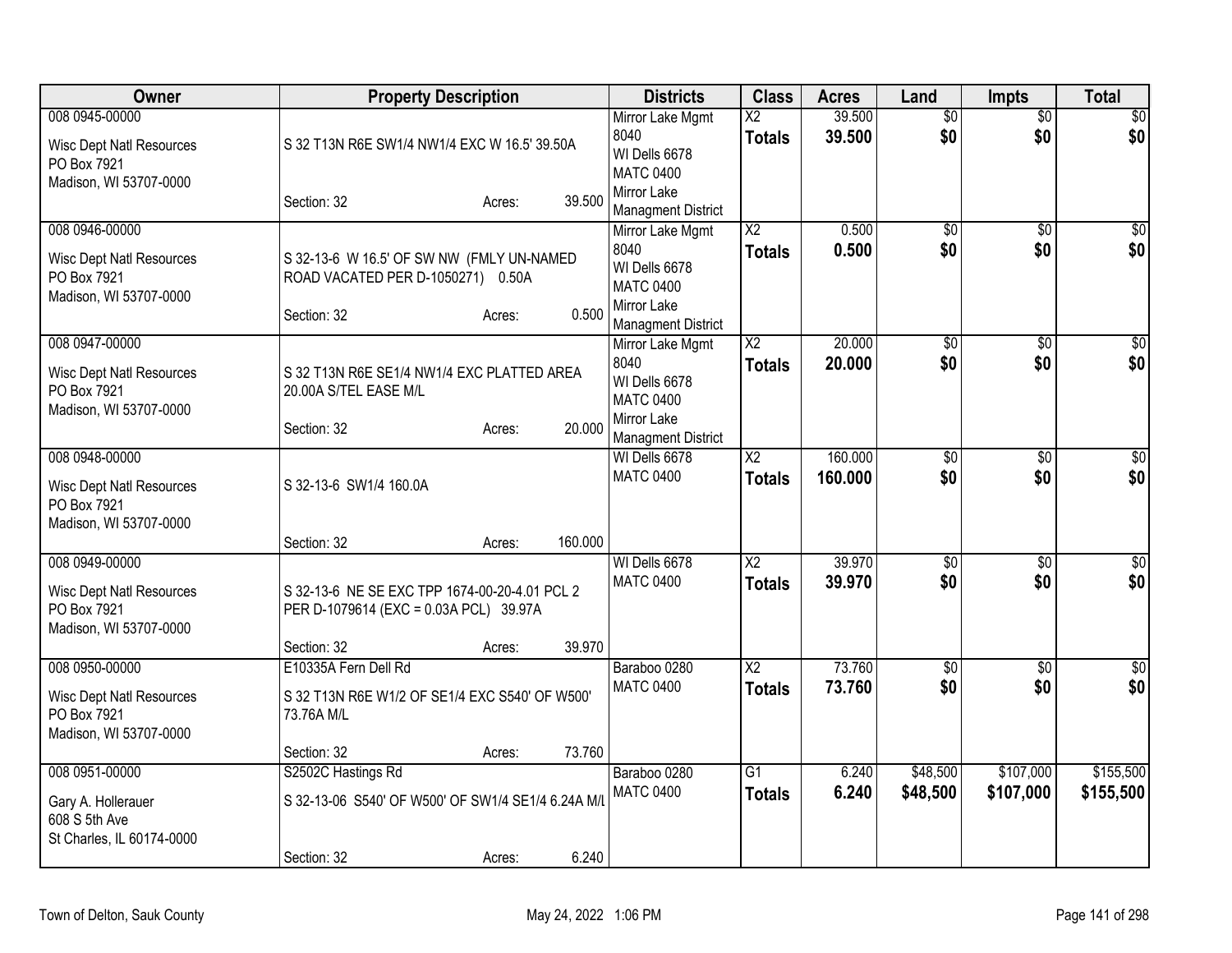| Owner                                                                                      |                                                                                                        | <b>Property Description</b> |         | <b>Districts</b>                                                                                          | <b>Class</b>                            | <b>Acres</b>       | Land                   | <b>Impts</b>           | <b>Total</b>            |
|--------------------------------------------------------------------------------------------|--------------------------------------------------------------------------------------------------------|-----------------------------|---------|-----------------------------------------------------------------------------------------------------------|-----------------------------------------|--------------------|------------------------|------------------------|-------------------------|
| 008 0945-00000<br><b>Wisc Dept Natl Resources</b><br>PO Box 7921<br>Madison, WI 53707-0000 | S 32 T13N R6E SW1/4 NW1/4 EXC W 16.5' 39.50A                                                           |                             |         | Mirror Lake Mgmt<br>8040<br>WI Dells 6678<br><b>MATC 0400</b><br>Mirror Lake                              | $\overline{\text{X2}}$<br><b>Totals</b> | 39.500<br>39.500   | $\overline{50}$<br>\$0 | $\overline{50}$<br>\$0 | $\overline{50}$<br>\$0  |
|                                                                                            | Section: 32                                                                                            | Acres:                      | 39.500  | <b>Managment District</b>                                                                                 |                                         |                    |                        |                        |                         |
| 008 0946-00000<br>Wisc Dept Natl Resources<br>PO Box 7921<br>Madison, WI 53707-0000        | S 32-13-6 W 16.5' OF SW NW (FMLY UN-NAMED<br>ROAD VACATED PER D-1050271) 0.50A<br>Section: 32          | Acres:                      | 0.500   | Mirror Lake Mgmt<br>8040<br>WI Dells 6678<br><b>MATC 0400</b><br>Mirror Lake<br><b>Managment District</b> | $\overline{X2}$<br><b>Totals</b>        | 0.500<br>0.500     | $\overline{50}$<br>\$0 | $\overline{50}$<br>\$0 | $\overline{\$0}$<br>\$0 |
| 008 0947-00000<br><b>Wisc Dept Natl Resources</b><br>PO Box 7921<br>Madison, WI 53707-0000 | S 32 T13N R6E SE1/4 NW1/4 EXC PLATTED AREA<br>20.00A S/TEL EASE M/L<br>Section: 32                     | Acres:                      | 20.000  | Mirror Lake Mgmt<br>8040<br>WI Dells 6678<br><b>MATC 0400</b><br>Mirror Lake<br><b>Managment District</b> | $\overline{\text{X2}}$<br><b>Totals</b> | 20.000<br>20.000   | $\overline{50}$<br>\$0 | $\overline{50}$<br>\$0 | $\sqrt{50}$<br>\$0      |
| 008 0948-00000<br><b>Wisc Dept Natl Resources</b><br>PO Box 7921<br>Madison, WI 53707-0000 | S 32-13-6 SW1/4 160.0A<br>Section: 32                                                                  | Acres:                      | 160.000 | WI Dells 6678<br><b>MATC 0400</b>                                                                         | $\overline{X2}$<br><b>Totals</b>        | 160,000<br>160.000 | $\overline{50}$<br>\$0 | $\overline{50}$<br>\$0 | \$0<br>\$0              |
| 008 0949-00000<br><b>Wisc Dept Natl Resources</b><br>PO Box 7921<br>Madison, WI 53707-0000 | S 32-13-6 NE SE EXC TPP 1674-00-20-4.01 PCL 2<br>PER D-1079614 (EXC = 0.03A PCL) 39.97A<br>Section: 32 | Acres:                      | 39.970  | WI Dells 6678<br><b>MATC 0400</b>                                                                         | $\overline{X2}$<br><b>Totals</b>        | 39.970<br>39.970   | $\overline{50}$<br>\$0 | $\overline{50}$<br>\$0 | \$0<br>\$0              |
| 008 0950-00000<br>Wisc Dept Natl Resources<br>PO Box 7921<br>Madison, WI 53707-0000        | E10335A Fern Dell Rd<br>S 32 T13N R6E W1/2 OF SE1/4 EXC S540' OF W500'<br>73.76A M/L<br>Section: 32    | Acres:                      | 73.760  | Baraboo 0280<br><b>MATC 0400</b>                                                                          | $\overline{X2}$<br><b>Totals</b>        | 73.760<br>73.760   | $\overline{50}$<br>\$0 | $\overline{50}$<br>\$0 | $\sqrt{50}$<br>\$0      |
| 008 0951-00000<br>Gary A. Hollerauer<br>608 S 5th Ave<br>St Charles, IL 60174-0000         | S2502C Hastings Rd<br>S 32-13-06 S540' OF W500' OF SW1/4 SE1/4 6.24A M/L<br>Section: 32                | Acres:                      | 6.240   | Baraboo 0280<br><b>MATC 0400</b>                                                                          | $\overline{G1}$<br><b>Totals</b>        | 6.240<br>6.240     | \$48,500<br>\$48,500   | \$107,000<br>\$107,000 | \$155,500<br>\$155,500  |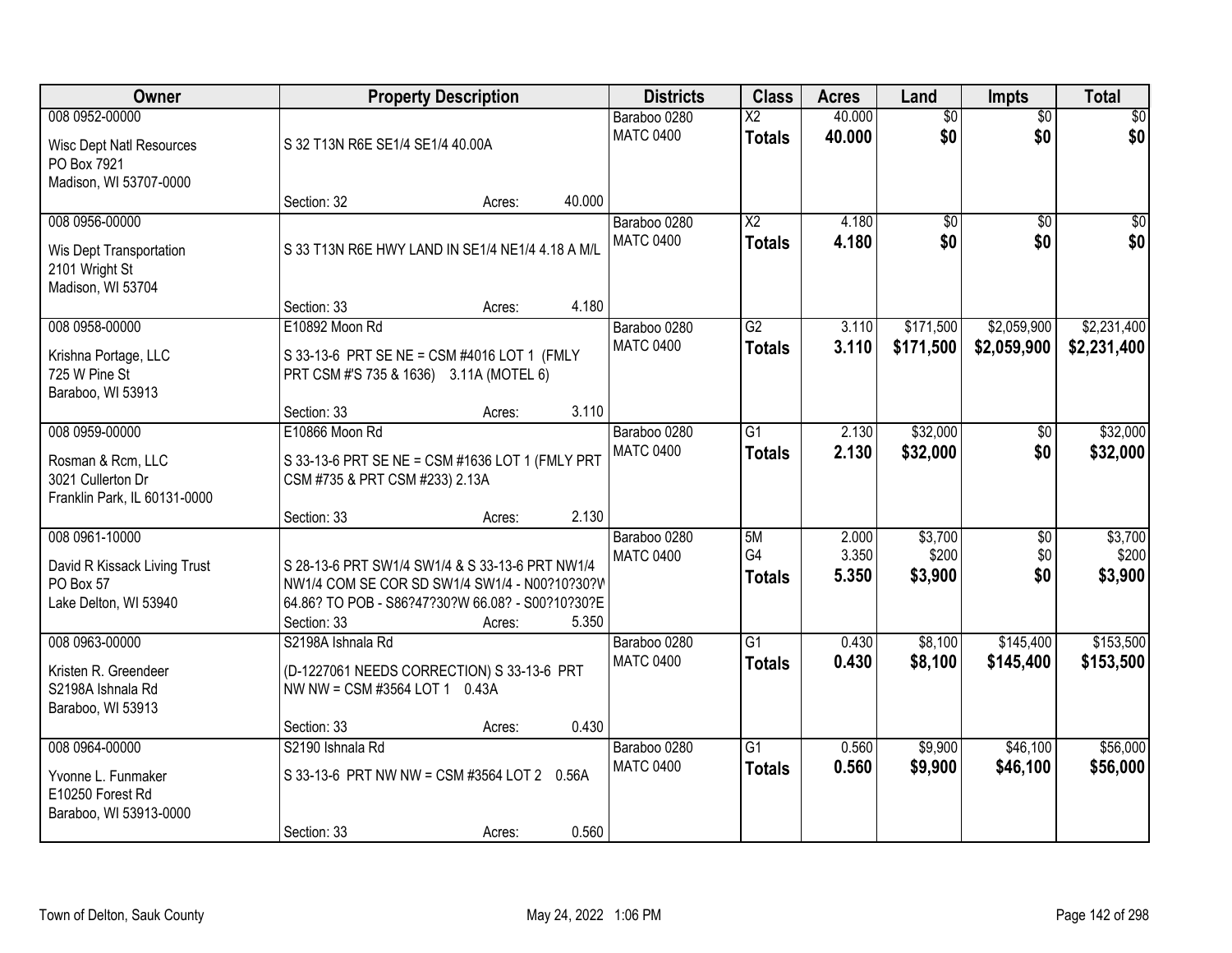| Owner                                                                                      |                                                                                                                                                                     | <b>Property Description</b> |        | <b>Districts</b>                 | <b>Class</b>                     | <b>Acres</b>            | Land                        | Impts                         | <b>Total</b>                |
|--------------------------------------------------------------------------------------------|---------------------------------------------------------------------------------------------------------------------------------------------------------------------|-----------------------------|--------|----------------------------------|----------------------------------|-------------------------|-----------------------------|-------------------------------|-----------------------------|
| 008 0952-00000<br><b>Wisc Dept Natl Resources</b><br>PO Box 7921<br>Madison, WI 53707-0000 | S 32 T13N R6E SE1/4 SE1/4 40.00A                                                                                                                                    |                             |        | Baraboo 0280<br><b>MATC 0400</b> | $\overline{X2}$<br><b>Totals</b> | 40.000<br>40.000        | $\overline{50}$<br>\$0      | $\overline{50}$<br>\$0        | \$0<br>\$0                  |
|                                                                                            | Section: 32                                                                                                                                                         | Acres:                      | 40.000 |                                  |                                  |                         |                             |                               |                             |
| 008 0956-00000<br>Wis Dept Transportation<br>2101 Wright St<br>Madison, WI 53704           | S 33 T13N R6E HWY LAND IN SE1/4 NE1/4 4.18 A M/L<br>Section: 33                                                                                                     | Acres:                      | 4.180  | Baraboo 0280<br><b>MATC 0400</b> | $\overline{X2}$<br><b>Totals</b> | 4.180<br>4.180          | \$0<br>\$0                  | $\overline{50}$<br>\$0        | \$0<br>\$0                  |
| 008 0958-00000                                                                             | E10892 Moon Rd                                                                                                                                                      |                             |        | Baraboo 0280                     | G2                               | 3.110                   | \$171,500                   | \$2,059,900                   | \$2,231,400                 |
| Krishna Portage, LLC<br>725 W Pine St<br>Baraboo, WI 53913                                 | S 33-13-6 PRT SE NE = CSM #4016 LOT 1 (FMLY<br>PRT CSM #'S 735 & 1636) 3.11A (MOTEL 6)                                                                              |                             |        | <b>MATC 0400</b>                 | <b>Totals</b>                    | 3.110                   | \$171,500                   | \$2,059,900                   | \$2,231,400                 |
|                                                                                            | Section: 33                                                                                                                                                         | Acres:                      | 3.110  |                                  |                                  |                         |                             |                               |                             |
| 008 0959-00000<br>Rosman & Rcm, LLC<br>3021 Cullerton Dr<br>Franklin Park, IL 60131-0000   | E10866 Moon Rd<br>S 33-13-6 PRT SE NE = CSM #1636 LOT 1 (FMLY PRT<br>CSM #735 & PRT CSM #233) 2.13A                                                                 |                             |        | Baraboo 0280<br><b>MATC 0400</b> | G1<br><b>Totals</b>              | 2.130<br>2.130          | \$32,000<br>\$32,000        | \$0<br>\$0                    | \$32,000<br>\$32,000        |
|                                                                                            | Section: 33                                                                                                                                                         | Acres:                      | 2.130  |                                  |                                  |                         |                             |                               |                             |
| 008 0961-10000<br>David R Kissack Living Trust<br>PO Box 57<br>Lake Delton, WI 53940       | S 28-13-6 PRT SW1/4 SW1/4 & S 33-13-6 PRT NW1/4<br>NW1/4 COM SE COR SD SW1/4 SW1/4 - N00?10?30?V<br>64.86? TO POB - S86?47?30?W 66.08? - S00?10?30?E<br>Section: 33 | Acres:                      | 5.350  | Baraboo 0280<br><b>MATC 0400</b> | 5M<br>G4<br><b>Totals</b>        | 2.000<br>3.350<br>5.350 | \$3,700<br>\$200<br>\$3,900 | $\overline{50}$<br>\$0<br>\$0 | \$3,700<br>\$200<br>\$3,900 |
| 008 0963-00000<br>Kristen R. Greendeer<br>S2198A Ishnala Rd<br>Baraboo, WI 53913           | S2198A Ishnala Rd<br>(D-1227061 NEEDS CORRECTION) S 33-13-6 PRT<br>NW NW = CSM #3564 LOT 1 0.43A<br>Section: 33                                                     | Acres:                      | 0.430  | Baraboo 0280<br><b>MATC 0400</b> | $\overline{G1}$<br><b>Totals</b> | 0.430<br>0.430          | \$8,100<br>\$8,100          | \$145,400<br>\$145,400        | \$153,500<br>\$153,500      |
| 008 0964-00000                                                                             | S2190 Ishnala Rd                                                                                                                                                    |                             |        | Baraboo 0280                     | $\overline{G1}$                  | 0.560                   | \$9,900                     | \$46,100                      | \$56,000                    |
| Yvonne L. Funmaker<br>E10250 Forest Rd<br>Baraboo, WI 53913-0000                           | S 33-13-6 PRT NW NW = CSM #3564 LOT 2 0.56A<br>Section: 33                                                                                                          | Acres:                      | 0.560  | <b>MATC 0400</b>                 | <b>Totals</b>                    | 0.560                   | \$9,900                     | \$46,100                      | \$56,000                    |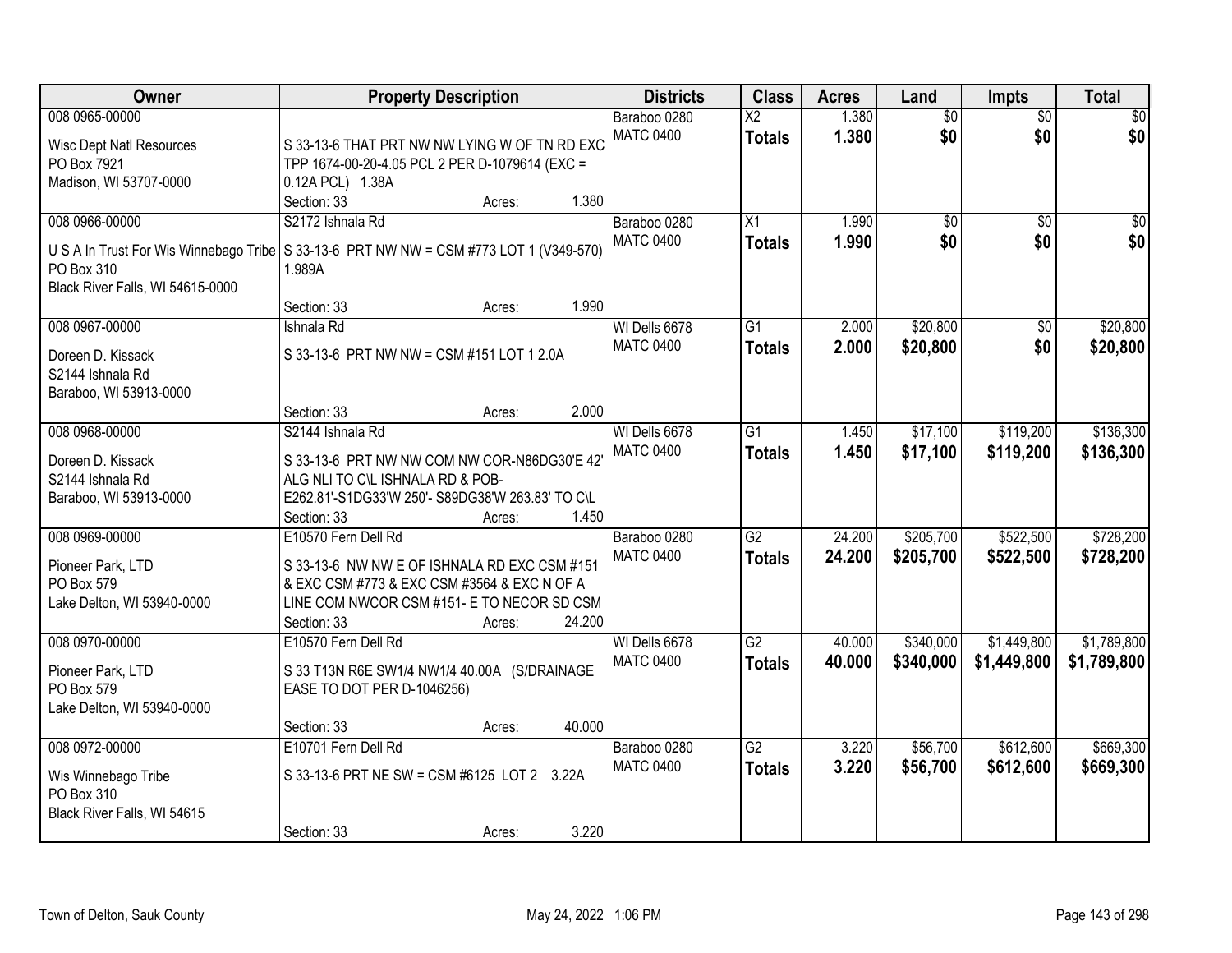| Owner                                                                                      | <b>Property Description</b>                                                                                                                                                                         | <b>Districts</b>                  | <b>Class</b>                            | <b>Acres</b>     | Land                   | <b>Impts</b>               | <b>Total</b>               |
|--------------------------------------------------------------------------------------------|-----------------------------------------------------------------------------------------------------------------------------------------------------------------------------------------------------|-----------------------------------|-----------------------------------------|------------------|------------------------|----------------------------|----------------------------|
| 008 0965-00000<br><b>Wisc Dept Natl Resources</b><br>PO Box 7921<br>Madison, WI 53707-0000 | S 33-13-6 THAT PRT NW NW LYING W OF TN RD EXC<br>TPP 1674-00-20-4.05 PCL 2 PER D-1079614 (EXC =<br>0.12A PCL) 1.38A                                                                                 | Baraboo 0280<br><b>MATC 0400</b>  | $\overline{\text{X2}}$<br><b>Totals</b> | 1.380<br>1.380   | $\overline{50}$<br>\$0 | $\overline{50}$<br>\$0     | $\overline{30}$<br>\$0     |
|                                                                                            | 1.380<br>Section: 33<br>Acres:                                                                                                                                                                      |                                   |                                         |                  |                        |                            |                            |
| 008 0966-00000<br>PO Box 310<br>Black River Falls, WI 54615-0000                           | S2172 Ishnala Rd<br>U S A In Trust For Wis Winnebago Tribe S 33-13-6 PRT NW NW = CSM #773 LOT 1 (V349-570)<br>1.989A                                                                                | Baraboo 0280<br><b>MATC 0400</b>  | $\overline{X1}$<br><b>Totals</b>        | 1.990<br>1.990   | $\overline{50}$<br>\$0 | $\overline{50}$<br>\$0     | $\overline{\$0}$<br>\$0    |
|                                                                                            | 1.990<br>Section: 33<br>Acres:                                                                                                                                                                      |                                   |                                         |                  |                        |                            |                            |
| 008 0967-00000<br>Doreen D. Kissack<br>S2144 Ishnala Rd<br>Baraboo, WI 53913-0000          | Ishnala Rd<br>S 33-13-6 PRT NW NW = CSM #151 LOT 1 2.0A                                                                                                                                             | WI Dells 6678<br><b>MATC 0400</b> | $\overline{G1}$<br><b>Totals</b>        | 2.000<br>2.000   | \$20,800<br>\$20,800   | $\overline{50}$<br>\$0     | \$20,800<br>\$20,800       |
|                                                                                            | 2.000<br>Section: 33<br>Acres:                                                                                                                                                                      |                                   |                                         |                  |                        |                            |                            |
| 008 0968-00000<br>Doreen D. Kissack<br>S2144 Ishnala Rd<br>Baraboo, WI 53913-0000          | S2144 Ishnala Rd<br>S 33-13-6 PRT NW NW COM NW COR-N86DG30'E 42'<br>ALG NLI TO C\L ISHNALA RD & POB-<br>E262.81'-S1DG33'W 250'- S89DG38'W 263.83' TO C\L<br>1.450<br>Section: 33<br>Acres:          | WI Dells 6678<br><b>MATC 0400</b> | $\overline{G1}$<br><b>Totals</b>        | 1.450<br>1.450   | \$17,100<br>\$17,100   | \$119,200<br>\$119,200     | \$136,300<br>\$136,300     |
| 008 0969-00000<br>Pioneer Park, LTD<br>PO Box 579<br>Lake Delton, WI 53940-0000            | E10570 Fern Dell Rd<br>S 33-13-6 NW NW E OF ISHNALA RD EXC CSM #151<br>& EXC CSM #773 & EXC CSM #3564 & EXC N OF A<br>LINE COM NWCOR CSM #151- E TO NECOR SD CSM<br>24.200<br>Section: 33<br>Acres: | Baraboo 0280<br><b>MATC 0400</b>  | $\overline{G2}$<br><b>Totals</b>        | 24.200<br>24.200 | \$205,700<br>\$205,700 | \$522,500<br>\$522,500     | \$728,200<br>\$728,200     |
| 008 0970-00000<br>Pioneer Park, LTD<br>PO Box 579<br>Lake Delton, WI 53940-0000            | E10570 Fern Dell Rd<br>S 33 T13N R6E SW1/4 NW1/4 40.00A (S/DRAINAGE<br>EASE TO DOT PER D-1046256)<br>40.000<br>Section: 33<br>Acres:                                                                | WI Dells 6678<br><b>MATC 0400</b> | $\overline{G2}$<br><b>Totals</b>        | 40.000<br>40.000 | \$340,000<br>\$340,000 | \$1,449,800<br>\$1,449,800 | \$1,789,800<br>\$1,789,800 |
| 008 0972-00000<br>Wis Winnebago Tribe<br>PO Box 310<br>Black River Falls, WI 54615         | E10701 Fern Dell Rd<br>S 33-13-6 PRT NE SW = CSM #6125 LOT 2 3.22A<br>3.220<br>Section: 33<br>Acres:                                                                                                | Baraboo 0280<br><b>MATC 0400</b>  | $\overline{G2}$<br><b>Totals</b>        | 3.220<br>3.220   | \$56,700<br>\$56,700   | \$612,600<br>\$612,600     | \$669,300<br>\$669,300     |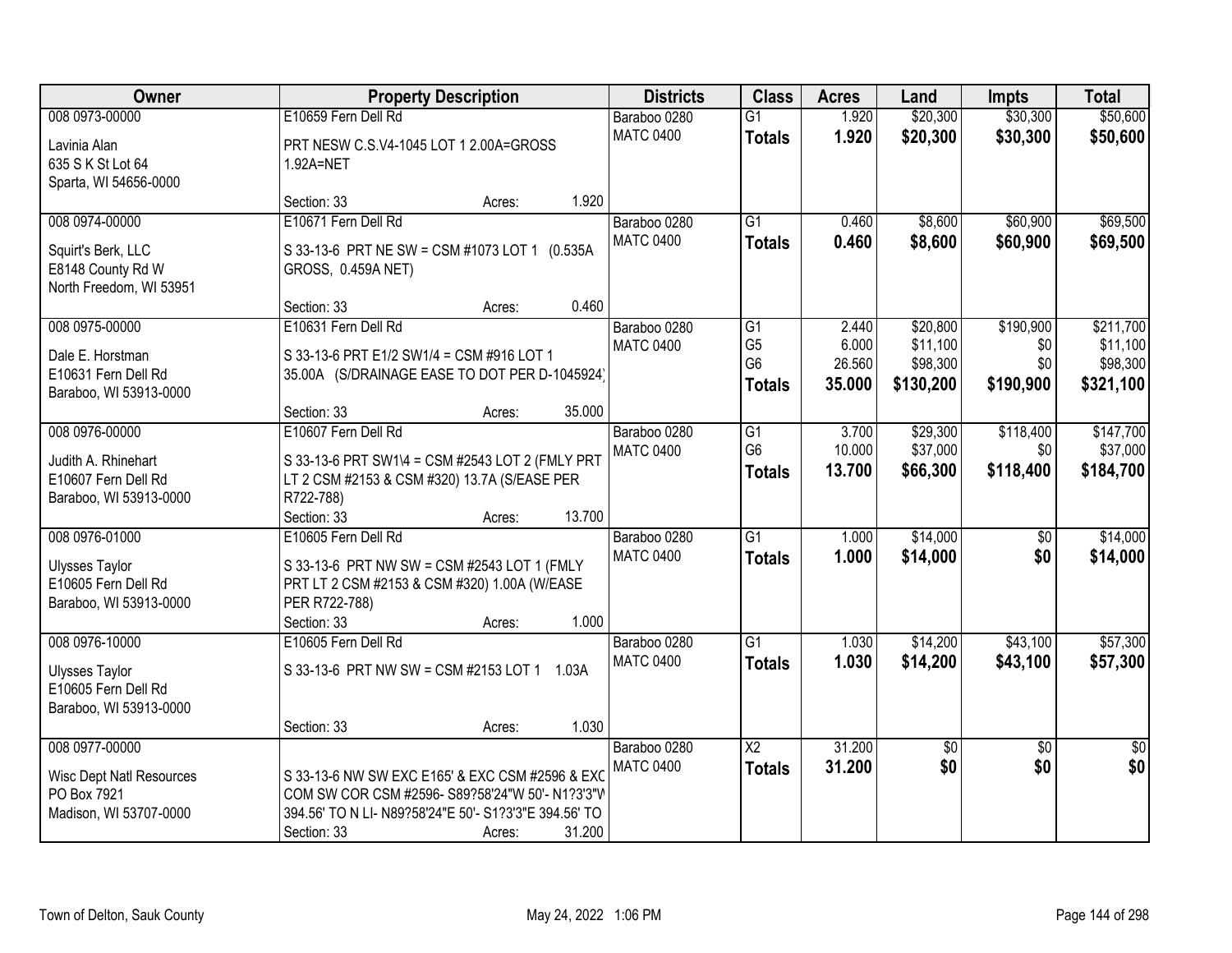| Owner                                                                                      | <b>Property Description</b>                                                                                                                                                                    | <b>Districts</b>                 | <b>Class</b>                                                         | <b>Acres</b>                       | Land                                          | <b>Impts</b>                         | <b>Total</b>                                   |
|--------------------------------------------------------------------------------------------|------------------------------------------------------------------------------------------------------------------------------------------------------------------------------------------------|----------------------------------|----------------------------------------------------------------------|------------------------------------|-----------------------------------------------|--------------------------------------|------------------------------------------------|
| 008 0973-00000<br>Lavinia Alan<br>635 S K St Lot 64<br>Sparta, WI 54656-0000               | E10659 Fern Dell Rd<br>PRT NESW C.S.V4-1045 LOT 1 2.00A=GROSS<br>1.92A=NET                                                                                                                     | Baraboo 0280<br><b>MATC 0400</b> | $\overline{G1}$<br><b>Totals</b>                                     | 1.920<br>1.920                     | \$20,300<br>\$20,300                          | \$30,300<br>\$30,300                 | \$50,600<br>\$50,600                           |
|                                                                                            | 1.920<br>Section: 33<br>Acres:                                                                                                                                                                 |                                  |                                                                      |                                    |                                               |                                      |                                                |
| 008 0974-00000<br>Squirt's Berk, LLC<br>E8148 County Rd W<br>North Freedom, WI 53951       | E10671 Fern Dell Rd<br>S 33-13-6 PRT NE SW = CSM #1073 LOT 1 (0.535A<br>GROSS, 0.459A NET)                                                                                                     | Baraboo 0280<br><b>MATC 0400</b> | $\overline{G1}$<br><b>Totals</b>                                     | 0.460<br>0.460                     | \$8,600<br>\$8,600                            | \$60,900<br>\$60,900                 | \$69,500<br>\$69,500                           |
| 008 0975-00000<br>Dale E. Horstman<br>E10631 Fern Dell Rd<br>Baraboo, WI 53913-0000        | 0.460<br>Section: 33<br>Acres:<br>E10631 Fern Dell Rd<br>S 33-13-6 PRT E1/2 SW1/4 = CSM #916 LOT 1<br>35.00A (S/DRAINAGE EASE TO DOT PER D-1045924)<br>35.000<br>Section: 33<br>Acres:         | Baraboo 0280<br><b>MATC 0400</b> | $\overline{G1}$<br>G <sub>5</sub><br>G <sub>6</sub><br><b>Totals</b> | 2.440<br>6.000<br>26.560<br>35.000 | \$20,800<br>\$11,100<br>\$98,300<br>\$130,200 | \$190,900<br>\$0<br>\$0<br>\$190,900 | \$211,700<br>\$11,100<br>\$98,300<br>\$321,100 |
| 008 0976-00000<br>Judith A. Rhinehart<br>E10607 Fern Dell Rd<br>Baraboo, WI 53913-0000     | E10607 Fern Dell Rd<br>S 33-13-6 PRT SW1\4 = CSM #2543 LOT 2 (FMLY PRT<br>LT 2 CSM #2153 & CSM #320) 13.7A (S/EASE PER<br>R722-788)<br>13.700<br>Section: 33<br>Acres:                         | Baraboo 0280<br><b>MATC 0400</b> | G1<br>G <sub>6</sub><br><b>Totals</b>                                | 3.700<br>10.000<br>13.700          | \$29,300<br>\$37,000<br>\$66,300              | \$118,400<br>\$0<br>\$118,400        | \$147,700<br>\$37,000<br>\$184,700             |
| 008 0976-01000<br><b>Ulysses Taylor</b><br>E10605 Fern Dell Rd<br>Baraboo, WI 53913-0000   | E10605 Fern Dell Rd<br>S 33-13-6 PRT NW SW = CSM #2543 LOT 1 (FMLY<br>PRT LT 2 CSM #2153 & CSM #320) 1.00A (W/EASE<br>PER R722-788)<br>1.000<br>Section: 33<br>Acres:                          | Baraboo 0280<br><b>MATC 0400</b> | $\overline{G1}$<br><b>Totals</b>                                     | 1.000<br>1.000                     | \$14,000<br>\$14,000                          | $\overline{50}$<br>\$0               | \$14,000<br>\$14,000                           |
| 008 0976-10000<br><b>Ulysses Taylor</b><br>E10605 Fern Dell Rd<br>Baraboo, WI 53913-0000   | E10605 Fern Dell Rd<br>S 33-13-6 PRT NW SW = CSM #2153 LOT 1 1.03A<br>1.030<br>Section: 33<br>Acres:                                                                                           | Baraboo 0280<br><b>MATC 0400</b> | G1<br><b>Totals</b>                                                  | 1.030<br>1.030                     | \$14,200<br>\$14,200                          | \$43,100<br>\$43,100                 | \$57,300<br>\$57,300                           |
| 008 0977-00000<br><b>Wisc Dept Natl Resources</b><br>PO Box 7921<br>Madison, WI 53707-0000 | S 33-13-6 NW SW EXC E165' & EXC CSM #2596 & EXC<br>COM SW COR CSM #2596- S89?58'24"W 50'- N1?3'3"W<br>394.56' TO N LI- N89?58'24"E 50'- S1?3'3"E 394.56' TO<br>31.200<br>Section: 33<br>Acres: | Baraboo 0280<br><b>MATC 0400</b> | $\overline{\mathsf{X2}}$<br><b>Totals</b>                            | 31.200<br>31.200                   | $\sqrt{6}$<br>\$0                             | $\overline{50}$<br>\$0               | $\overline{50}$<br>\$0                         |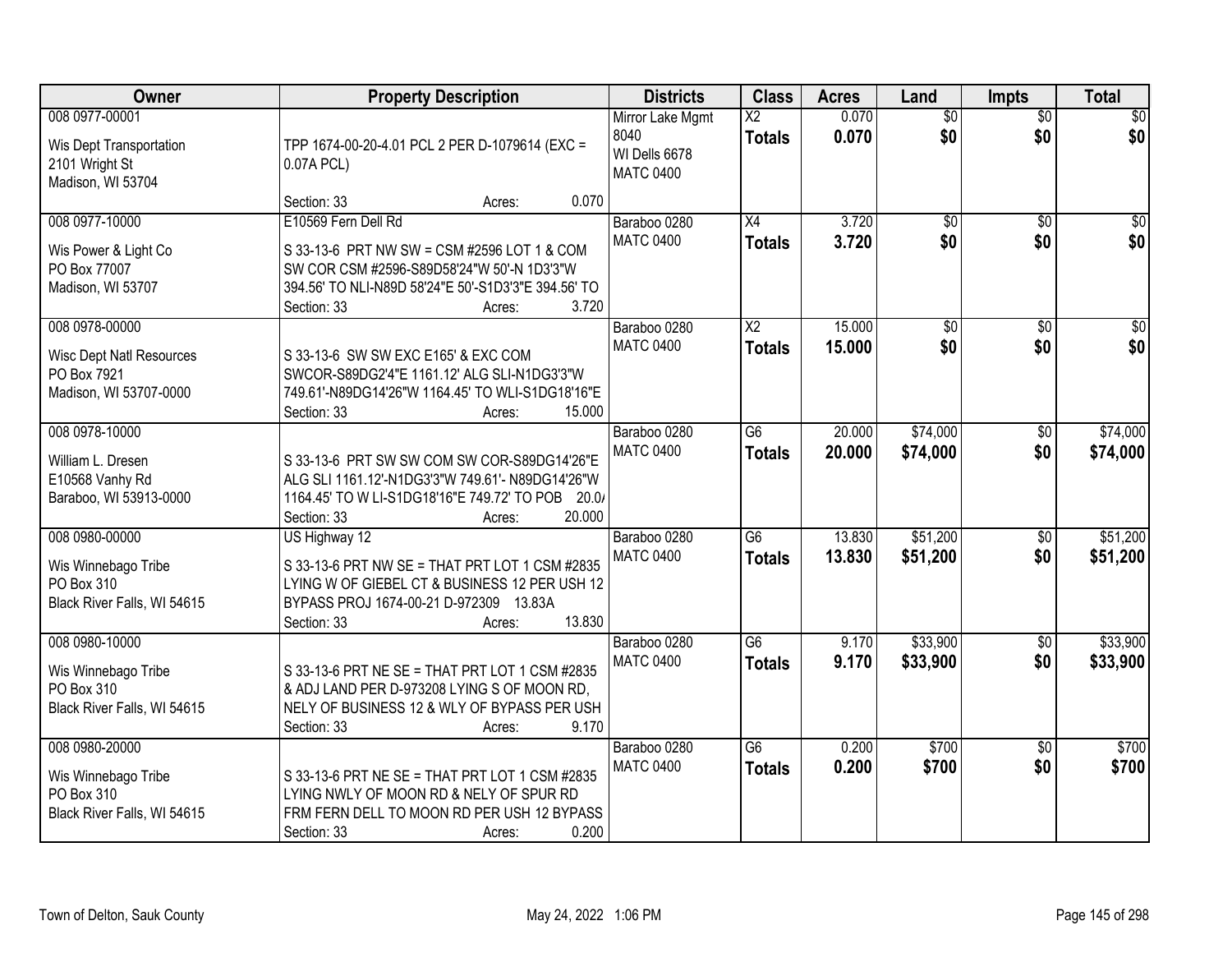| Owner                                                                            | <b>Property Description</b>                                                                                                                                                                | <b>Districts</b>                                              | <b>Class</b>                     | <b>Acres</b>   | Land                   | Impts                  | <b>Total</b>       |
|----------------------------------------------------------------------------------|--------------------------------------------------------------------------------------------------------------------------------------------------------------------------------------------|---------------------------------------------------------------|----------------------------------|----------------|------------------------|------------------------|--------------------|
| 008 0977-00001<br>Wis Dept Transportation<br>2101 Wright St<br>Madison, WI 53704 | TPP 1674-00-20-4.01 PCL 2 PER D-1079614 (EXC =<br>0.07A PCL)                                                                                                                               | Mirror Lake Mgmt<br>8040<br>WI Dells 6678<br><b>MATC 0400</b> | $\overline{X2}$<br><b>Totals</b> | 0.070<br>0.070 | $\overline{50}$<br>\$0 | $\overline{50}$<br>\$0 | $\sqrt{50}$<br>\$0 |
|                                                                                  | 0.070<br>Section: 33<br>Acres:                                                                                                                                                             |                                                               |                                  |                |                        |                        |                    |
| 008 0977-10000<br>Wis Power & Light Co<br>PO Box 77007<br>Madison, WI 53707      | E10569 Fern Dell Rd<br>S 33-13-6 PRT NW SW = CSM #2596 LOT 1 & COM<br>SW COR CSM #2596-S89D58'24"W 50'-N 1D3'3"W<br>394.56' TO NLI-N89D 58'24"E 50'-S1D3'3"E 394.56' TO                    | Baraboo 0280<br><b>MATC 0400</b>                              | $\overline{X4}$<br><b>Totals</b> | 3.720<br>3.720 | $\overline{50}$<br>\$0 | $\overline{50}$<br>\$0 | \$0<br>\$0         |
| 008 0978-00000                                                                   | 3.720<br>Section: 33<br>Acres:                                                                                                                                                             | Baraboo 0280                                                  | $\overline{\mathsf{X2}}$         | 15.000         | $\overline{50}$        |                        | $\overline{\$0}$   |
| <b>Wisc Dept Natl Resources</b><br>PO Box 7921<br>Madison, WI 53707-0000         | S 33-13-6 SW SW EXC E165' & EXC COM<br>SWCOR-S89DG2'4"E 1161.12' ALG SLI-N1DG3'3"W<br>749.61'-N89DG14'26"W 1164.45' TO WLI-S1DG18'16"E<br>15.000<br>Section: 33<br>Acres:                  | <b>MATC 0400</b>                                              | <b>Totals</b>                    | 15.000         | \$0                    | \$0<br>\$0             | \$0                |
| 008 0978-10000                                                                   |                                                                                                                                                                                            | Baraboo 0280<br><b>MATC 0400</b>                              | $\overline{G6}$                  | 20.000         | \$74,000               | \$0                    | \$74,000           |
| William L. Dresen<br>E10568 Vanhy Rd<br>Baraboo, WI 53913-0000                   | S 33-13-6 PRT SW SW COM SW COR-S89DG14'26"E<br>ALG SLI 1161.12'-N1DG3'3"W 749.61'- N89DG14'26"W<br>1164.45' TO W LI-S1DG18'16"E 749.72' TO POB<br>20.07<br>20.000<br>Section: 33<br>Acres: |                                                               | <b>Totals</b>                    | 20.000         | \$74,000               | \$0                    | \$74,000           |
| 008 0980-00000                                                                   | US Highway 12                                                                                                                                                                              | Baraboo 0280                                                  | $\overline{G6}$                  | 13.830         | \$51,200               | $\overline{60}$        | \$51,200           |
| Wis Winnebago Tribe<br>PO Box 310<br>Black River Falls, WI 54615                 | S 33-13-6 PRT NW SE = THAT PRT LOT 1 CSM #2835<br>LYING W OF GIEBEL CT & BUSINESS 12 PER USH 12<br>BYPASS PROJ 1674-00-21 D-972309 13.83A<br>13.830<br>Section: 33<br>Acres:               | <b>MATC 0400</b>                                              | <b>Totals</b>                    | 13,830         | \$51,200               | \$0                    | \$51,200           |
| 008 0980-10000                                                                   |                                                                                                                                                                                            | Baraboo 0280                                                  | $\overline{G6}$                  | 9.170          | \$33,900               | $\sqrt{6}$             | \$33,900           |
| Wis Winnebago Tribe<br>PO Box 310<br>Black River Falls, WI 54615                 | S 33-13-6 PRT NE SE = THAT PRT LOT 1 CSM #2835<br>& ADJ LAND PER D-973208 LYING S OF MOON RD,<br>NELY OF BUSINESS 12 & WLY OF BYPASS PER USH<br>9.170<br>Section: 33<br>Acres:             | <b>MATC 0400</b>                                              | <b>Totals</b>                    | 9.170          | \$33,900               | \$0                    | \$33,900           |
| 008 0980-20000                                                                   |                                                                                                                                                                                            | Baraboo 0280                                                  | $\overline{G6}$                  | 0.200          | \$700                  | $\overline{50}$        | \$700              |
| Wis Winnebago Tribe<br>PO Box 310<br>Black River Falls, WI 54615                 | S 33-13-6 PRT NE SE = THAT PRT LOT 1 CSM #2835<br>LYING NWLY OF MOON RD & NELY OF SPUR RD<br>FRM FERN DELL TO MOON RD PER USH 12 BYPASS<br>0.200<br>Section: 33<br>Acres:                  | <b>MATC 0400</b>                                              | <b>Totals</b>                    | 0.200          | \$700                  | \$0                    | \$700              |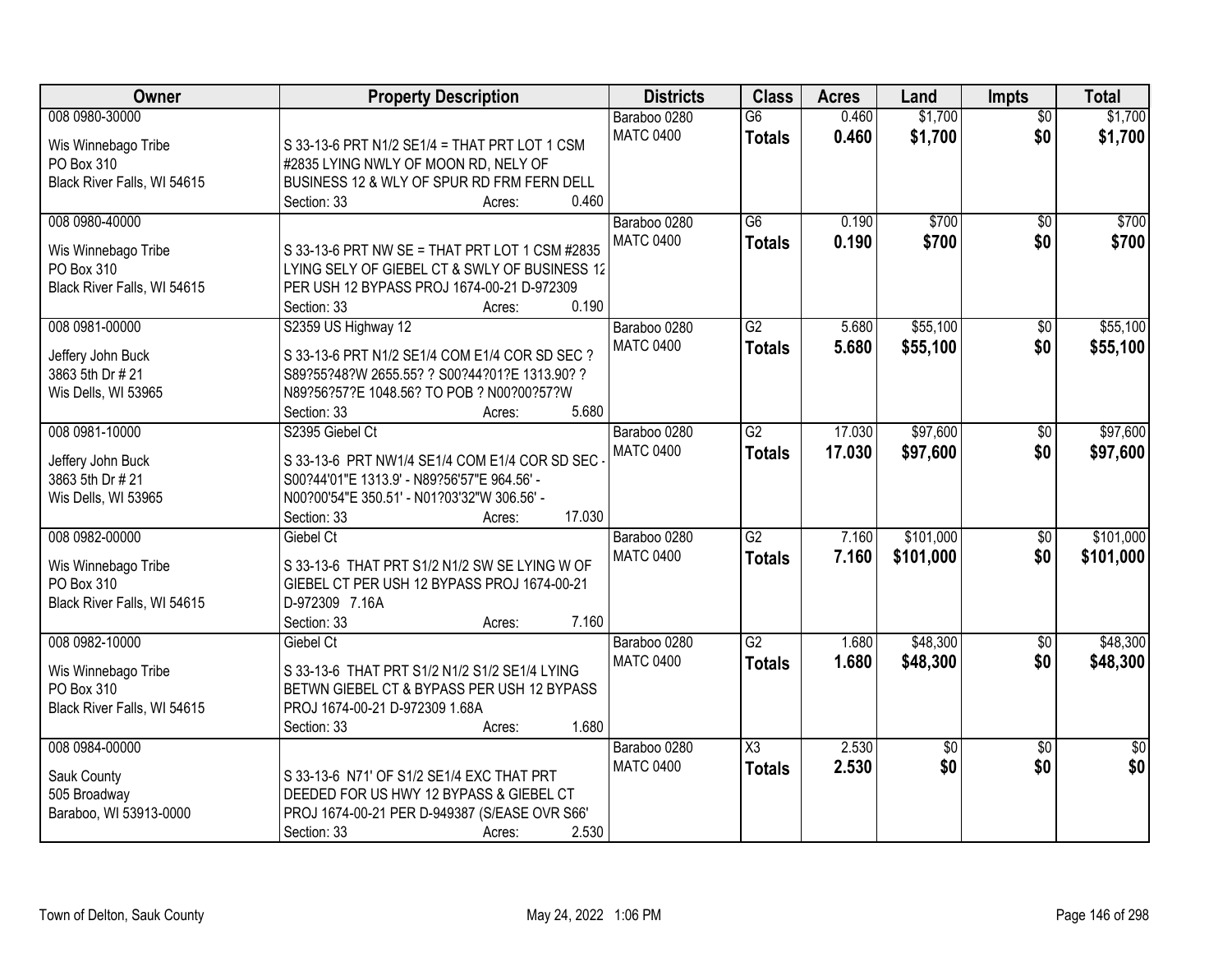| Owner                       | <b>Property Description</b>                                                                 | <b>Districts</b> | <b>Class</b>    | <b>Acres</b> | Land        | Impts           | <b>Total</b>    |
|-----------------------------|---------------------------------------------------------------------------------------------|------------------|-----------------|--------------|-------------|-----------------|-----------------|
| 008 0980-30000              |                                                                                             | Baraboo 0280     | G6              | 0.460        | \$1,700     | $\overline{50}$ | \$1,700         |
| Wis Winnebago Tribe         | S 33-13-6 PRT N1/2 SE1/4 = THAT PRT LOT 1 CSM                                               | <b>MATC 0400</b> | <b>Totals</b>   | 0.460        | \$1,700     | \$0             | \$1,700         |
| PO Box 310                  | #2835 LYING NWLY OF MOON RD, NELY OF                                                        |                  |                 |              |             |                 |                 |
| Black River Falls, WI 54615 | BUSINESS 12 & WLY OF SPUR RD FRM FERN DELL                                                  |                  |                 |              |             |                 |                 |
|                             | 0.460<br>Section: 33<br>Acres:                                                              |                  |                 |              |             |                 |                 |
| 008 0980-40000              |                                                                                             | Baraboo 0280     | $\overline{G6}$ | 0.190        | \$700       | $\overline{50}$ | \$700           |
|                             |                                                                                             | <b>MATC 0400</b> | <b>Totals</b>   | 0.190        | \$700       | \$0             | \$700           |
| Wis Winnebago Tribe         | S 33-13-6 PRT NW SE = THAT PRT LOT 1 CSM #2835                                              |                  |                 |              |             |                 |                 |
| PO Box 310                  | LYING SELY OF GIEBEL CT & SWLY OF BUSINESS 12<br>PER USH 12 BYPASS PROJ 1674-00-21 D-972309 |                  |                 |              |             |                 |                 |
| Black River Falls, WI 54615 | 0.190<br>Section: 33                                                                        |                  |                 |              |             |                 |                 |
| 008 0981-00000              | Acres:<br>S2359 US Highway 12                                                               | Baraboo 0280     | G2              | 5.680        | \$55,100    | $\overline{50}$ | \$55,100        |
|                             |                                                                                             | <b>MATC 0400</b> |                 |              |             | \$0             |                 |
| Jeffery John Buck           | S 33-13-6 PRT N1/2 SE1/4 COM E1/4 COR SD SEC ?                                              |                  | <b>Totals</b>   | 5.680        | \$55,100    |                 | \$55,100        |
| 3863 5th Dr # 21            | S89?55?48?W 2655.55? ? S00?44?01?E 1313.90? ?                                               |                  |                 |              |             |                 |                 |
| Wis Dells, WI 53965         | N89?56?57?E 1048.56? TO POB ? N00?00?57?W                                                   |                  |                 |              |             |                 |                 |
|                             | 5.680<br>Section: 33<br>Acres:                                                              |                  |                 |              |             |                 |                 |
| 008 0981-10000              | S2395 Giebel Ct                                                                             | Baraboo 0280     | G2              | 17.030       | \$97,600    | \$0             | \$97,600        |
| Jeffery John Buck           | S 33-13-6 PRT NW1/4 SE1/4 COM E1/4 COR SD SEC                                               | <b>MATC 0400</b> | <b>Totals</b>   | 17.030       | \$97,600    | \$0             | \$97,600        |
| 3863 5th Dr # 21            | S00?44'01"E 1313.9' - N89?56'57"E 964.56' -                                                 |                  |                 |              |             |                 |                 |
| Wis Dells, WI 53965         | N00?00'54"E 350.51' - N01?03'32"W 306.56' -                                                 |                  |                 |              |             |                 |                 |
|                             | 17.030<br>Section: 33<br>Acres:                                                             |                  |                 |              |             |                 |                 |
| 008 0982-00000              | Giebel Ct                                                                                   | Baraboo 0280     | $\overline{G2}$ | 7.160        | \$101,000   | $\overline{50}$ | \$101,000       |
|                             |                                                                                             | <b>MATC 0400</b> | <b>Totals</b>   | 7.160        | \$101,000   | \$0             | \$101,000       |
| Wis Winnebago Tribe         | S 33-13-6 THAT PRT S1/2 N1/2 SW SE LYING W OF                                               |                  |                 |              |             |                 |                 |
| PO Box 310                  | GIEBEL CT PER USH 12 BYPASS PROJ 1674-00-21                                                 |                  |                 |              |             |                 |                 |
| Black River Falls, WI 54615 | D-972309 7.16A                                                                              |                  |                 |              |             |                 |                 |
|                             | 7.160<br>Section: 33<br>Acres:                                                              |                  |                 |              |             |                 |                 |
| 008 0982-10000              | Giebel Ct                                                                                   | Baraboo 0280     | G2              | 1.680        | \$48,300    | $\sqrt{6}$      | \$48,300        |
| Wis Winnebago Tribe         | S 33-13-6 THAT PRT S1/2 N1/2 S1/2 SE1/4 LYING                                               | <b>MATC 0400</b> | <b>Totals</b>   | 1.680        | \$48,300    | \$0             | \$48,300        |
| PO Box 310                  | BETWN GIEBEL CT & BYPASS PER USH 12 BYPASS                                                  |                  |                 |              |             |                 |                 |
| Black River Falls, WI 54615 | PROJ 1674-00-21 D-972309 1.68A                                                              |                  |                 |              |             |                 |                 |
|                             | 1.680<br>Section: 33<br>Acres:                                                              |                  |                 |              |             |                 |                 |
| 008 0984-00000              |                                                                                             | Baraboo 0280     | X3              | 2.530        | $\sqrt{$0}$ | $\overline{50}$ | $\overline{50}$ |
|                             |                                                                                             | <b>MATC 0400</b> | <b>Totals</b>   | 2.530        | \$0         | \$0             | \$0             |
| Sauk County                 | S 33-13-6 N71' OF S1/2 SE1/4 EXC THAT PRT                                                   |                  |                 |              |             |                 |                 |
| 505 Broadway                | DEEDED FOR US HWY 12 BYPASS & GIEBEL CT                                                     |                  |                 |              |             |                 |                 |
| Baraboo, WI 53913-0000      | PROJ 1674-00-21 PER D-949387 (S/EASE OVR S66'                                               |                  |                 |              |             |                 |                 |
|                             | 2.530<br>Section: 33<br>Acres:                                                              |                  |                 |              |             |                 |                 |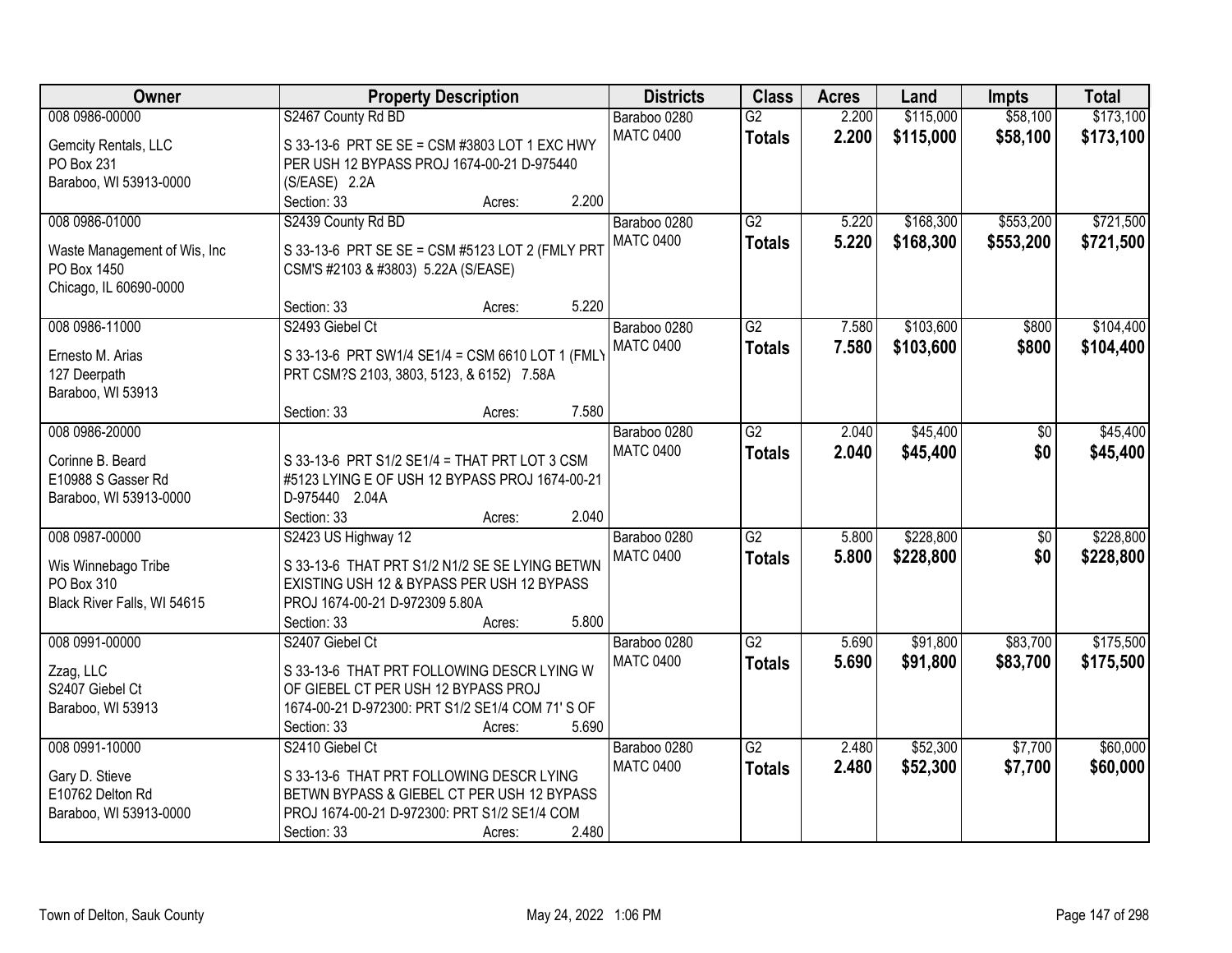| <b>Owner</b>                                 | <b>Property Description</b>                      | <b>Districts</b> | <b>Class</b>    | <b>Acres</b> | Land      | <b>Impts</b>    | <b>Total</b> |
|----------------------------------------------|--------------------------------------------------|------------------|-----------------|--------------|-----------|-----------------|--------------|
| 008 0986-00000                               | S2467 County Rd BD                               | Baraboo 0280     | $\overline{G2}$ | 2.200        | \$115,000 | \$58,100        | \$173,100    |
| Gemcity Rentals, LLC                         | S 33-13-6 PRT SE SE = CSM #3803 LOT 1 EXC HWY    | <b>MATC 0400</b> | <b>Totals</b>   | 2.200        | \$115,000 | \$58,100        | \$173,100    |
| PO Box 231                                   | PER USH 12 BYPASS PROJ 1674-00-21 D-975440       |                  |                 |              |           |                 |              |
| Baraboo, WI 53913-0000                       | (S/EASE) 2.2A                                    |                  |                 |              |           |                 |              |
|                                              | 2.200<br>Section: 33<br>Acres:                   |                  |                 |              |           |                 |              |
| 008 0986-01000                               | S2439 County Rd BD                               | Baraboo 0280     | $\overline{G2}$ | 5.220        | \$168,300 | \$553,200       | \$721,500    |
|                                              | S 33-13-6 PRT SE SE = CSM #5123 LOT 2 (FMLY PRT  | <b>MATC 0400</b> | <b>Totals</b>   | 5.220        | \$168,300 | \$553,200       | \$721,500    |
| Waste Management of Wis, Inc.<br>PO Box 1450 | CSM'S #2103 & #3803) 5.22A (S/EASE)              |                  |                 |              |           |                 |              |
| Chicago, IL 60690-0000                       |                                                  |                  |                 |              |           |                 |              |
|                                              | 5.220<br>Section: 33<br>Acres:                   |                  |                 |              |           |                 |              |
| 008 0986-11000                               | S2493 Giebel Ct                                  | Baraboo 0280     | $\overline{G2}$ | 7.580        | \$103,600 | \$800           | \$104,400    |
|                                              |                                                  | <b>MATC 0400</b> | <b>Totals</b>   | 7.580        | \$103,600 | \$800           | \$104,400    |
| Ernesto M. Arias                             | S 33-13-6 PRT SW1/4 SE1/4 = CSM 6610 LOT 1 (FML) |                  |                 |              |           |                 |              |
| 127 Deerpath                                 | PRT CSM?S 2103, 3803, 5123, & 6152) 7.58A        |                  |                 |              |           |                 |              |
| Baraboo, WI 53913                            | 7.580<br>Section: 33<br>Acres:                   |                  |                 |              |           |                 |              |
| 008 0986-20000                               |                                                  | Baraboo 0280     | $\overline{G2}$ | 2.040        | \$45,400  | \$0             | \$45,400     |
|                                              |                                                  | <b>MATC 0400</b> | <b>Totals</b>   | 2.040        | \$45,400  | \$0             | \$45,400     |
| Corinne B. Beard                             | S 33-13-6 PRT S1/2 SE1/4 = THAT PRT LOT 3 CSM    |                  |                 |              |           |                 |              |
| E10988 S Gasser Rd                           | #5123 LYING E OF USH 12 BYPASS PROJ 1674-00-21   |                  |                 |              |           |                 |              |
| Baraboo, WI 53913-0000                       | D-975440 2.04A                                   |                  |                 |              |           |                 |              |
|                                              | 2.040<br>Section: 33<br>Acres:                   |                  |                 |              |           |                 |              |
| 008 0987-00000                               | S2423 US Highway 12                              | Baraboo 0280     | $\overline{G2}$ | 5.800        | \$228,800 | $\overline{50}$ | \$228,800    |
| Wis Winnebago Tribe                          | S 33-13-6 THAT PRT S1/2 N1/2 SE SE LYING BETWN   | <b>MATC 0400</b> | <b>Totals</b>   | 5.800        | \$228,800 | \$0             | \$228,800    |
| PO Box 310                                   | EXISTING USH 12 & BYPASS PER USH 12 BYPASS       |                  |                 |              |           |                 |              |
| Black River Falls, WI 54615                  | PROJ 1674-00-21 D-972309 5.80A                   |                  |                 |              |           |                 |              |
|                                              | 5.800<br>Section: 33<br>Acres:                   |                  |                 |              |           |                 |              |
| 008 0991-00000                               | S2407 Giebel Ct                                  | Baraboo 0280     | G2              | 5.690        | \$91,800  | \$83,700        | \$175,500    |
| Zzag, LLC                                    | S 33-13-6 THAT PRT FOLLOWING DESCR LYING W       | <b>MATC 0400</b> | <b>Totals</b>   | 5.690        | \$91,800  | \$83,700        | \$175,500    |
| S2407 Giebel Ct                              | OF GIEBEL CT PER USH 12 BYPASS PROJ              |                  |                 |              |           |                 |              |
| Baraboo, WI 53913                            | 1674-00-21 D-972300: PRT S1/2 SE1/4 COM 71' S OF |                  |                 |              |           |                 |              |
|                                              | 5.690<br>Section: 33<br>Acres:                   |                  |                 |              |           |                 |              |
| 008 0991-10000                               | S2410 Giebel Ct                                  | Baraboo 0280     | $\overline{G2}$ | 2.480        | \$52,300  | \$7,700         | \$60,000     |
| Gary D. Stieve                               | S 33-13-6 THAT PRT FOLLOWING DESCR LYING         | <b>MATC 0400</b> | <b>Totals</b>   | 2.480        | \$52,300  | \$7,700         | \$60,000     |
| E10762 Delton Rd                             | BETWN BYPASS & GIEBEL CT PER USH 12 BYPASS       |                  |                 |              |           |                 |              |
| Baraboo, WI 53913-0000                       | PROJ 1674-00-21 D-972300: PRT S1/2 SE1/4 COM     |                  |                 |              |           |                 |              |
|                                              | 2.480<br>Section: 33<br>Acres:                   |                  |                 |              |           |                 |              |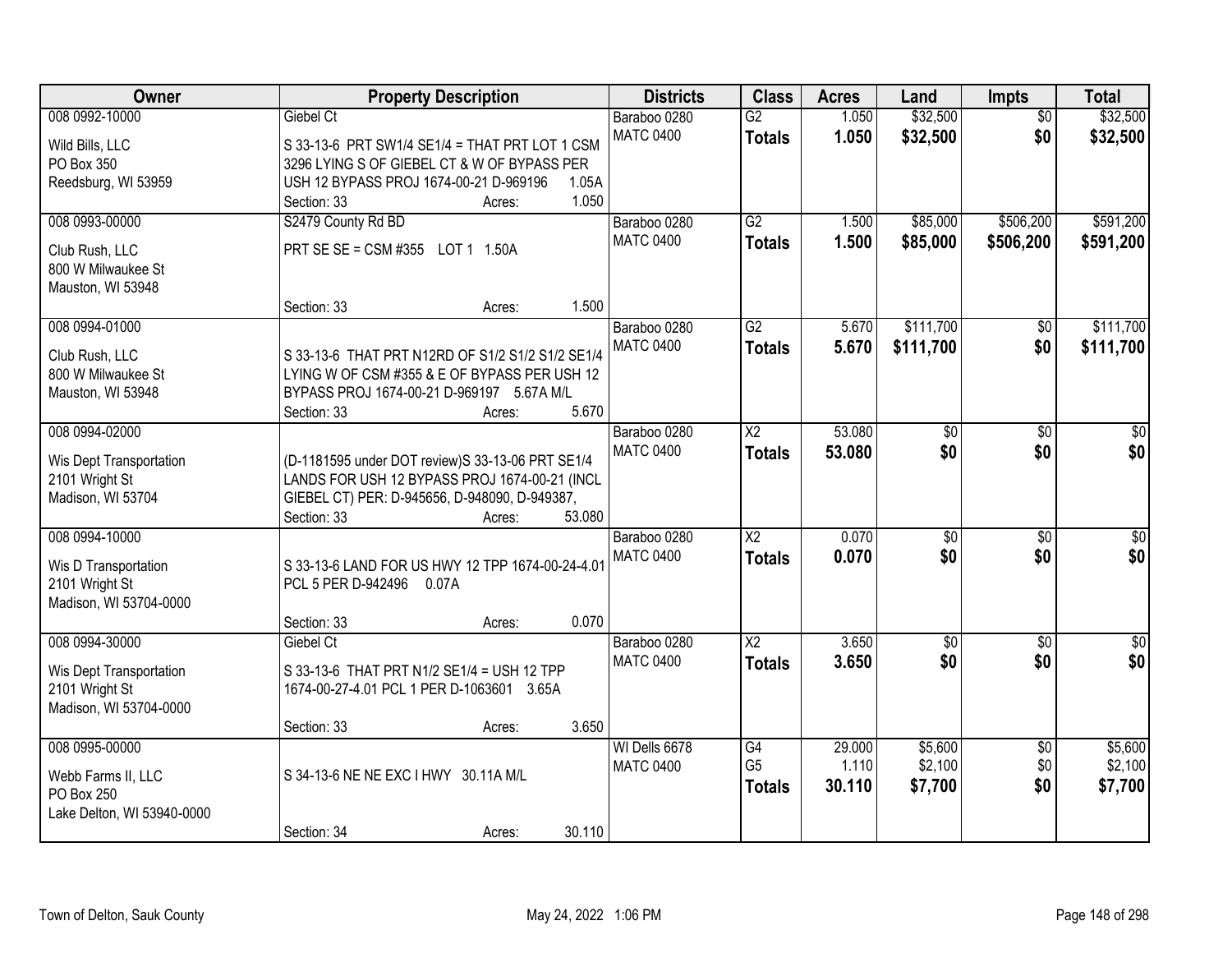| <b>Owner</b>               | <b>Property Description</b>                      | <b>Districts</b> | <b>Class</b>           | <b>Acres</b> | Land            | <b>Impts</b>    | <b>Total</b>     |
|----------------------------|--------------------------------------------------|------------------|------------------------|--------------|-----------------|-----------------|------------------|
| 008 0992-10000             | Giebel Ct                                        | Baraboo 0280     | $\overline{G2}$        | 1.050        | \$32,500        | $\overline{30}$ | \$32,500         |
| Wild Bills, LLC            | S 33-13-6 PRT SW1/4 SE1/4 = THAT PRT LOT 1 CSM   | <b>MATC 0400</b> | <b>Totals</b>          | 1.050        | \$32,500        | \$0             | \$32,500         |
| PO Box 350                 | 3296 LYING S OF GIEBEL CT & W OF BYPASS PER      |                  |                        |              |                 |                 |                  |
| Reedsburg, WI 53959        | USH 12 BYPASS PROJ 1674-00-21 D-969196<br>1.05A  |                  |                        |              |                 |                 |                  |
|                            | 1.050<br>Section: 33<br>Acres:                   |                  |                        |              |                 |                 |                  |
| 008 0993-00000             | S2479 County Rd BD                               | Baraboo 0280     | G2                     | 1.500        | \$85,000        | \$506,200       | \$591,200        |
| Club Rush, LLC             | PRT SE SE = CSM #355 LOT 1 1.50A                 | <b>MATC 0400</b> | <b>Totals</b>          | 1.500        | \$85,000        | \$506,200       | \$591,200        |
| 800 W Milwaukee St         |                                                  |                  |                        |              |                 |                 |                  |
| Mauston, WI 53948          |                                                  |                  |                        |              |                 |                 |                  |
|                            | 1.500<br>Section: 33<br>Acres:                   |                  |                        |              |                 |                 |                  |
| 008 0994-01000             |                                                  | Baraboo 0280     | $\overline{G2}$        | 5.670        | \$111,700       | \$0             | \$111,700        |
| Club Rush, LLC             | S 33-13-6 THAT PRT N12RD OF S1/2 S1/2 S1/2 SE1/4 | <b>MATC 0400</b> | <b>Totals</b>          | 5.670        | \$111,700       | \$0             | \$111,700        |
| 800 W Milwaukee St         | LYING W OF CSM #355 & E OF BYPASS PER USH 12     |                  |                        |              |                 |                 |                  |
| Mauston, WI 53948          | BYPASS PROJ 1674-00-21 D-969197 5.67A M/L        |                  |                        |              |                 |                 |                  |
|                            | 5.670<br>Section: 33<br>Acres:                   |                  |                        |              |                 |                 |                  |
| 008 0994-02000             |                                                  | Baraboo 0280     | X2                     | 53.080       | \$0             | $\sqrt{6}$      | \$0              |
| Wis Dept Transportation    | (D-1181595 under DOT review)S 33-13-06 PRT SE1/4 | <b>MATC 0400</b> | <b>Totals</b>          | 53.080       | \$0             | \$0             | \$0              |
| 2101 Wright St             | LANDS FOR USH 12 BYPASS PROJ 1674-00-21 (INCL    |                  |                        |              |                 |                 |                  |
| Madison, WI 53704          | GIEBEL CT) PER: D-945656, D-948090, D-949387,    |                  |                        |              |                 |                 |                  |
|                            | Section: 33<br>53.080<br>Acres:                  |                  |                        |              |                 |                 |                  |
| 008 0994-10000             |                                                  | Baraboo 0280     | $\overline{\text{X2}}$ | 0.070        | $\overline{50}$ | $\overline{30}$ | $\overline{30}$  |
| Wis D Transportation       | S 33-13-6 LAND FOR US HWY 12 TPP 1674-00-24-4.01 | <b>MATC 0400</b> | <b>Totals</b>          | 0.070        | \$0             | \$0             | \$0              |
| 2101 Wright St             | PCL 5 PER D-942496 0.07A                         |                  |                        |              |                 |                 |                  |
| Madison, WI 53704-0000     |                                                  |                  |                        |              |                 |                 |                  |
|                            | 0.070<br>Section: 33<br>Acres:                   |                  |                        |              |                 |                 |                  |
| 008 0994-30000             | Giebel Ct                                        | Baraboo 0280     | $\overline{X2}$        | 3.650        | $\overline{60}$ | $\overline{50}$ | $\overline{\$0}$ |
| Wis Dept Transportation    | S 33-13-6 THAT PRT N1/2 SE1/4 = USH 12 TPP       | <b>MATC 0400</b> | <b>Totals</b>          | 3.650        | \$0             | \$0             | \$0              |
| 2101 Wright St             | 1674-00-27-4.01 PCL 1 PER D-1063601 3.65A        |                  |                        |              |                 |                 |                  |
| Madison, WI 53704-0000     |                                                  |                  |                        |              |                 |                 |                  |
|                            | 3.650<br>Section: 33<br>Acres:                   |                  |                        |              |                 |                 |                  |
| 008 0995-00000             |                                                  | WI Dells 6678    | G4                     | 29.000       | \$5,600         | $\overline{50}$ | \$5,600          |
| Webb Farms II, LLC         | S 34-13-6 NE NE EXC I HWY 30.11A M/L             | <b>MATC 0400</b> | G <sub>5</sub>         | 1.110        | \$2,100         | \$0             | \$2,100          |
| PO Box 250                 |                                                  |                  | <b>Totals</b>          | 30.110       | \$7,700         | \$0             | \$7,700          |
| Lake Delton, WI 53940-0000 |                                                  |                  |                        |              |                 |                 |                  |
|                            | 30.110<br>Section: 34<br>Acres:                  |                  |                        |              |                 |                 |                  |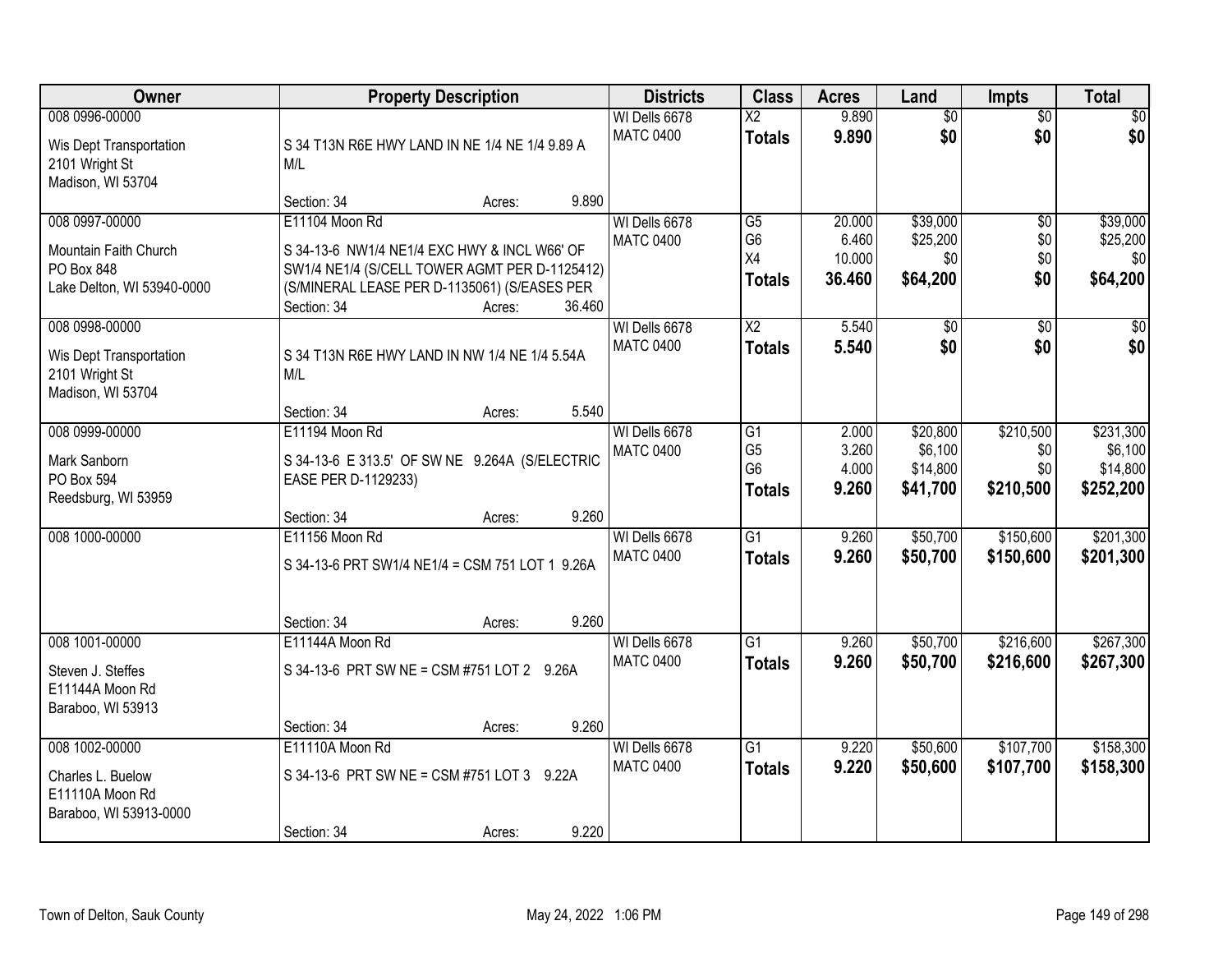| Owner                                                                               | <b>Property Description</b>                                                                                                                                                              |        | <b>Districts</b>                  | <b>Class</b>                                             | <b>Acres</b>                        | Land                                        | <b>Impts</b>                         | <b>Total</b>                                  |
|-------------------------------------------------------------------------------------|------------------------------------------------------------------------------------------------------------------------------------------------------------------------------------------|--------|-----------------------------------|----------------------------------------------------------|-------------------------------------|---------------------------------------------|--------------------------------------|-----------------------------------------------|
| 008 0996-00000<br>Wis Dept Transportation<br>2101 Wright St<br>Madison, WI 53704    | S 34 T13N R6E HWY LAND IN NE 1/4 NE 1/4 9.89 A<br>M/L                                                                                                                                    |        | WI Dells 6678<br><b>MATC 0400</b> | $\overline{\text{X2}}$<br><b>Totals</b>                  | 9.890<br>9.890                      | $\overline{50}$<br>\$0                      | $\overline{50}$<br>\$0               | $\sqrt{50}$<br>\$0                            |
|                                                                                     | Section: 34<br>Acres:                                                                                                                                                                    | 9.890  |                                   |                                                          |                                     |                                             |                                      |                                               |
| 008 0997-00000<br>Mountain Faith Church<br>PO Box 848<br>Lake Delton, WI 53940-0000 | E11104 Moon Rd<br>S 34-13-6 NW1/4 NE1/4 EXC HWY & INCL W66' OF<br>SW1/4 NE1/4 (S/CELL TOWER AGMT PER D-1125412)<br>(S/MINERAL LEASE PER D-1135061) (S/EASES PER<br>Section: 34<br>Acres: | 36.460 | WI Dells 6678<br><b>MATC 0400</b> | $\overline{G5}$<br>G <sub>6</sub><br>X4<br><b>Totals</b> | 20.000<br>6.460<br>10.000<br>36.460 | \$39,000<br>\$25,200<br>\$0<br>\$64,200     | $\overline{50}$<br>\$0<br>\$0<br>\$0 | \$39,000<br>\$25,200<br>\$0<br>\$64,200       |
| 008 0998-00000<br>Wis Dept Transportation<br>2101 Wright St<br>Madison, WI 53704    | S 34 T13N R6E HWY LAND IN NW 1/4 NE 1/4 5.54A<br>M/L<br>Section: 34<br>Acres:                                                                                                            | 5.540  | WI Dells 6678<br><b>MATC 0400</b> | $\overline{X2}$<br><b>Totals</b>                         | 5.540<br>5.540                      | \$0<br>\$0                                  | \$0<br>\$0                           | \$0<br>\$0                                    |
| 008 0999-00000<br>Mark Sanborn<br>PO Box 594<br>Reedsburg, WI 53959                 | E11194 Moon Rd<br>S 34-13-6 E 313.5' OF SW NE 9.264A (S/ELECTRIC<br>EASE PER D-1129233)<br>Section: 34<br>Acres:                                                                         | 9.260  | WI Dells 6678<br><b>MATC 0400</b> | G1<br>G <sub>5</sub><br>G <sub>6</sub><br><b>Totals</b>  | 2.000<br>3.260<br>4.000<br>9.260    | \$20,800<br>\$6,100<br>\$14,800<br>\$41,700 | \$210,500<br>\$0<br>\$0<br>\$210,500 | \$231,300<br>\$6,100<br>\$14,800<br>\$252,200 |
| 008 1000-00000                                                                      | E11156 Moon Rd<br>S 34-13-6 PRT SW1/4 NE1/4 = CSM 751 LOT 1 9.26A<br>Section: 34<br>Acres:                                                                                               | 9.260  | WI Dells 6678<br><b>MATC 0400</b> | $\overline{G1}$<br><b>Totals</b>                         | 9.260<br>9.260                      | \$50,700<br>\$50,700                        | \$150,600<br>\$150,600               | \$201,300<br>\$201,300                        |
| 008 1001-00000<br>Steven J. Steffes<br>E11144A Moon Rd<br>Baraboo, WI 53913         | E11144A Moon Rd<br>S 34-13-6 PRT SW NE = CSM #751 LOT 2 9.26A<br>Section: 34<br>Acres:                                                                                                   | 9.260  | WI Dells 6678<br><b>MATC 0400</b> | $\overline{G1}$<br><b>Totals</b>                         | 9.260<br>9.260                      | \$50,700<br>\$50,700                        | \$216,600<br>\$216,600               | \$267,300<br>\$267,300                        |
| 008 1002-00000<br>Charles L. Buelow<br>E11110A Moon Rd<br>Baraboo, WI 53913-0000    | E11110A Moon Rd<br>S 34-13-6 PRT SW NE = CSM #751 LOT 3 9.22A<br>Section: 34<br>Acres:                                                                                                   | 9.220  | WI Dells 6678<br><b>MATC 0400</b> | $\overline{G1}$<br><b>Totals</b>                         | 9.220<br>9.220                      | \$50,600<br>\$50,600                        | \$107,700<br>\$107,700               | \$158,300<br>\$158,300                        |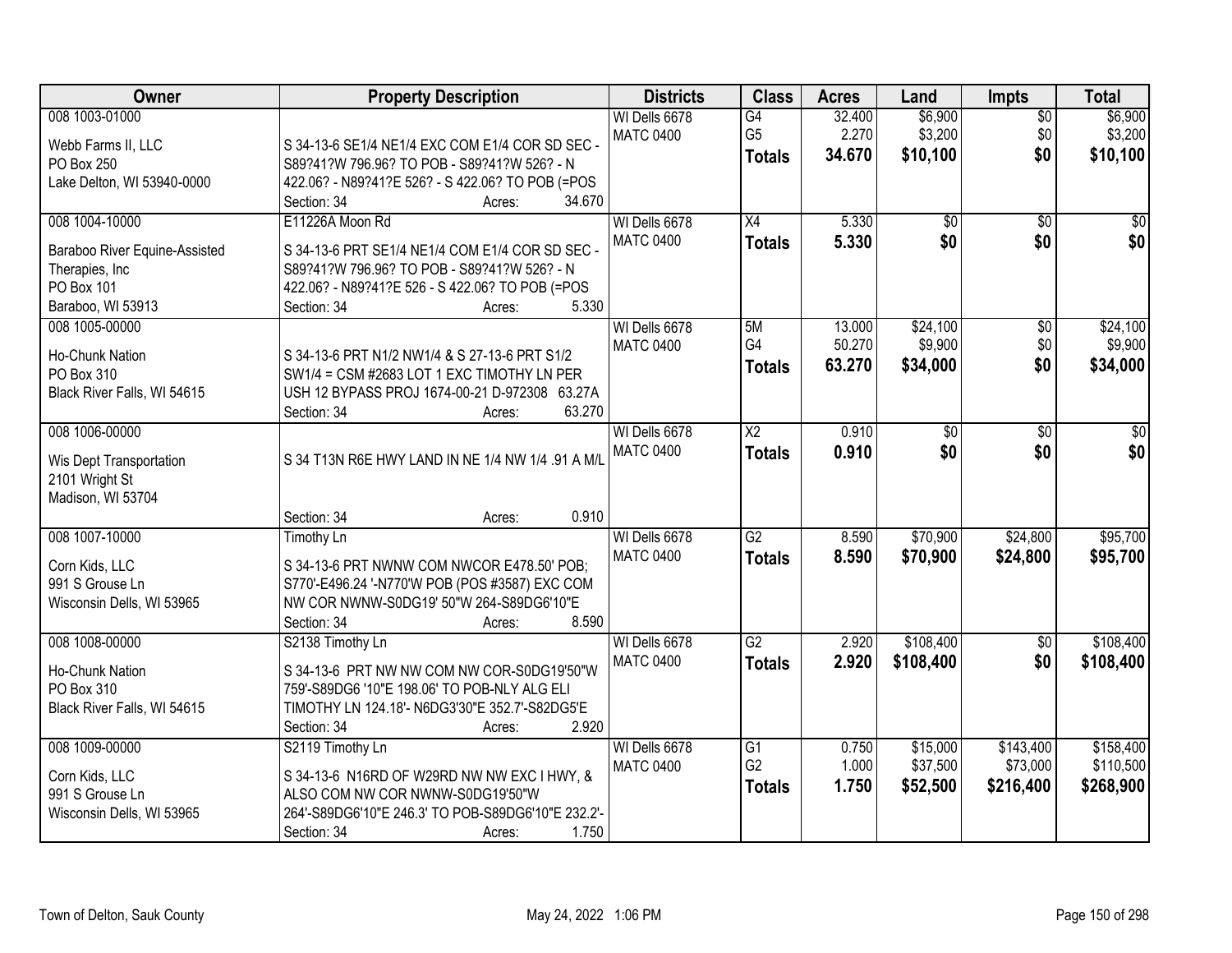| Owner                         | <b>Property Description</b>                                             | <b>Districts</b> | <b>Class</b>           | <b>Acres</b>     | Land            | Impts                  | <b>Total</b>    |
|-------------------------------|-------------------------------------------------------------------------|------------------|------------------------|------------------|-----------------|------------------------|-----------------|
| 008 1003-01000                |                                                                         | WI Dells 6678    | G4                     | 32.400           | \$6,900         | $\overline{50}$        | \$6,900         |
| Webb Farms II, LLC            | S 34-13-6 SE1/4 NE1/4 EXC COM E1/4 COR SD SEC -                         | <b>MATC 0400</b> | G <sub>5</sub>         | 2.270            | \$3,200         | \$0                    | \$3,200         |
| PO Box 250                    | S89?41?W 796.96? TO POB - S89?41?W 526? - N                             |                  | <b>Totals</b>          | 34.670           | \$10,100        | \$0                    | \$10,100        |
| Lake Delton, WI 53940-0000    | 422.06? - N89?41?E 526? - S 422.06? TO POB (=POS                        |                  |                        |                  |                 |                        |                 |
|                               | Section: 34<br>34.670<br>Acres:                                         |                  |                        |                  |                 |                        |                 |
| 008 1004-10000                | E11226A Moon Rd                                                         | WI Dells 6678    | $\overline{X4}$        | 5.330            | $\overline{50}$ | $\overline{30}$        | $\overline{50}$ |
|                               |                                                                         | <b>MATC 0400</b> | <b>Totals</b>          | 5.330            | \$0             | \$0                    | \$0             |
| Baraboo River Equine-Assisted | S 34-13-6 PRT SE1/4 NE1/4 COM E1/4 COR SD SEC -                         |                  |                        |                  |                 |                        |                 |
| Therapies, Inc<br>PO Box 101  | S89?41?W 796.96? TO POB - S89?41?W 526? - N                             |                  |                        |                  |                 |                        |                 |
| Baraboo, WI 53913             | 422.06? - N89?41?E 526 - S 422.06? TO POB (=POS<br>5.330<br>Section: 34 |                  |                        |                  |                 |                        |                 |
|                               | Acres:                                                                  | WI Dells 6678    |                        |                  | \$24,100        |                        | \$24,100        |
| 008 1005-00000                |                                                                         |                  | 5M<br>G4               | 13.000<br>50.270 | \$9,900         | $\overline{50}$<br>\$0 | \$9,900         |
| Ho-Chunk Nation               | S 34-13-6 PRT N1/2 NW1/4 & S 27-13-6 PRT S1/2                           | <b>MATC 0400</b> |                        | 63.270           |                 |                        |                 |
| PO Box 310                    | SW1/4 = CSM #2683 LOT 1 EXC TIMOTHY LN PER                              |                  | <b>Totals</b>          |                  | \$34,000        | \$0                    | \$34,000        |
| Black River Falls, WI 54615   | USH 12 BYPASS PROJ 1674-00-21 D-972308 63.27A                           |                  |                        |                  |                 |                        |                 |
|                               | 63.270<br>Section: 34<br>Acres:                                         |                  |                        |                  |                 |                        |                 |
| 008 1006-00000                |                                                                         | WI Dells 6678    | $\overline{\text{X2}}$ | 0.910            | \$0             | \$0                    | \$0             |
| Wis Dept Transportation       | S 34 T13N R6E HWY LAND IN NE 1/4 NW 1/4 .91 A M/L                       | <b>MATC 0400</b> | <b>Totals</b>          | 0.910            | \$0             | \$0                    | \$0             |
| 2101 Wright St                |                                                                         |                  |                        |                  |                 |                        |                 |
| Madison, WI 53704             |                                                                         |                  |                        |                  |                 |                        |                 |
|                               | 0.910<br>Section: 34<br>Acres:                                          |                  |                        |                  |                 |                        |                 |
| 008 1007-10000                | <b>Timothy Ln</b>                                                       | WI Dells 6678    | $\overline{G2}$        | 8.590            | \$70,900        | \$24,800               | \$95,700        |
|                               |                                                                         | <b>MATC 0400</b> | <b>Totals</b>          | 8.590            | \$70,900        | \$24,800               | \$95,700        |
| Corn Kids, LLC                | S 34-13-6 PRT NWNW COM NWCOR E478.50' POB;                              |                  |                        |                  |                 |                        |                 |
| 991 S Grouse Ln               | S770'-E496.24 '-N770'W POB (POS #3587) EXC COM                          |                  |                        |                  |                 |                        |                 |
| Wisconsin Dells, WI 53965     | NW COR NWNW-S0DG19' 50"W 264-S89DG6'10"E                                |                  |                        |                  |                 |                        |                 |
|                               | 8.590<br>Section: 34<br>Acres:                                          |                  |                        |                  |                 |                        |                 |
| 008 1008-00000                | S2138 Timothy Ln                                                        | WI Dells 6678    | $\overline{G2}$        | 2.920            | \$108,400       | $\overline{50}$        | \$108,400       |
| Ho-Chunk Nation               | S 34-13-6 PRT NW NW COM NW COR-S0DG19'50"W                              | <b>MATC 0400</b> | <b>Totals</b>          | 2.920            | \$108,400       | \$0                    | \$108,400       |
| PO Box 310                    | 759'-S89DG6 '10"E 198.06' TO POB-NLY ALG ELI                            |                  |                        |                  |                 |                        |                 |
| Black River Falls, WI 54615   | TIMOTHY LN 124.18'- N6DG3'30"E 352.7'-S82DG5'E                          |                  |                        |                  |                 |                        |                 |
|                               | 2.920<br>Section: 34<br>Acres:                                          |                  |                        |                  |                 |                        |                 |
| 008 1009-00000                | S2119 Timothy Ln                                                        | WI Dells 6678    | $\overline{G1}$        | 0.750            | \$15,000        | \$143,400              | \$158,400       |
|                               |                                                                         | <b>MATC 0400</b> | G <sub>2</sub>         | 1.000            | \$37,500        | \$73,000               | \$110,500       |
| Corn Kids, LLC                | S 34-13-6 N16RD OF W29RD NW NW EXC I HWY, &                             |                  | <b>Totals</b>          | 1.750            | \$52,500        | \$216,400              | \$268,900       |
| 991 S Grouse Ln               | ALSO COM NW COR NWNW-S0DG19'50"W                                        |                  |                        |                  |                 |                        |                 |
| Wisconsin Dells, WI 53965     | 264'-S89DG6'10"E 246.3' TO POB-S89DG6'10"E 232.2'-                      |                  |                        |                  |                 |                        |                 |
|                               | 1.750<br>Section: 34<br>Acres:                                          |                  |                        |                  |                 |                        |                 |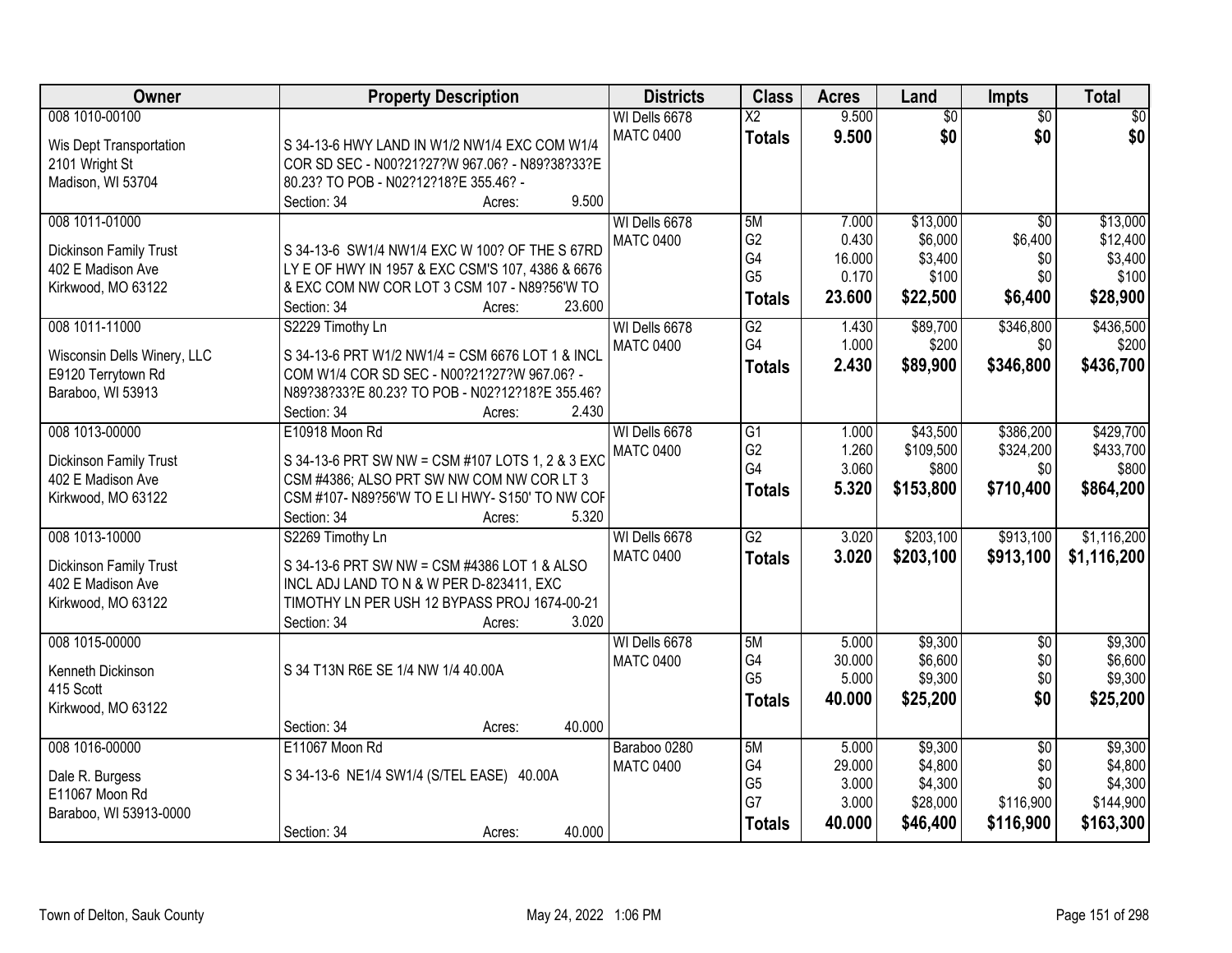| <b>Owner</b>                | <b>Property Description</b>                              | <b>Districts</b> | <b>Class</b>    | <b>Acres</b> | Land            | <b>Impts</b>    | <b>Total</b> |
|-----------------------------|----------------------------------------------------------|------------------|-----------------|--------------|-----------------|-----------------|--------------|
| 008 1010-00100              |                                                          | WI Dells 6678    | $\overline{X2}$ | 9.500        | $\overline{50}$ | $\overline{50}$ | \$0          |
| Wis Dept Transportation     | S 34-13-6 HWY LAND IN W1/2 NW1/4 EXC COM W1/4            | <b>MATC 0400</b> | <b>Totals</b>   | 9.500        | \$0             | \$0             | \$0          |
| 2101 Wright St              | COR SD SEC - N00?21?27?W 967.06? - N89?38?33?E           |                  |                 |              |                 |                 |              |
| Madison, WI 53704           | 80.23? TO POB - N02?12?18?E 355.46? -                    |                  |                 |              |                 |                 |              |
|                             | 9.500<br>Section: 34<br>Acres:                           |                  |                 |              |                 |                 |              |
| 008 1011-01000              |                                                          | WI Dells 6678    | 5M              | 7.000        | \$13,000        | $\overline{30}$ | \$13,000     |
| Dickinson Family Trust      | S 34-13-6 SW1/4 NW1/4 EXC W 100? OF THE S 67RD           | <b>MATC 0400</b> | G <sub>2</sub>  | 0.430        | \$6,000         | \$6,400         | \$12,400     |
| 402 E Madison Ave           | LY E OF HWY IN 1957 & EXC CSM'S 107, 4386 & 6676         |                  | G4              | 16.000       | \$3,400         | \$0             | \$3,400      |
| Kirkwood, MO 63122          | & EXC COM NW COR LOT 3 CSM 107 - N89?56'W TO             |                  | G <sub>5</sub>  | 0.170        | \$100           | \$0             | \$100        |
|                             | 23.600<br>Section: 34<br>Acres:                          |                  | <b>Totals</b>   | 23.600       | \$22,500        | \$6,400         | \$28,900     |
| 008 1011-11000              | S2229 Timothy Ln                                         | WI Dells 6678    | $\overline{G2}$ | 1.430        | \$89,700        | \$346,800       | \$436,500    |
| Wisconsin Dells Winery, LLC | S 34-13-6 PRT W1/2 NW1/4 = CSM 6676 LOT 1 & INCL         | <b>MATC 0400</b> | G4              | 1.000        | \$200           | \$0             | \$200        |
| E9120 Terrytown Rd          | COM W1/4 COR SD SEC - N00?21?27?W 967.06? -              |                  | <b>Totals</b>   | 2.430        | \$89,900        | \$346,800       | \$436,700    |
| Baraboo, WI 53913           | N89?38?33?E 80.23? TO POB - N02?12?18?E 355.46?          |                  |                 |              |                 |                 |              |
|                             | 2.430<br>Section: 34<br>Acres:                           |                  |                 |              |                 |                 |              |
| 008 1013-00000              | E10918 Moon Rd                                           | WI Dells 6678    | $\overline{G1}$ | 1.000        | \$43,500        | \$386,200       | \$429,700    |
|                             |                                                          | <b>MATC 0400</b> | G <sub>2</sub>  | 1.260        | \$109,500       | \$324,200       | \$433,700    |
| Dickinson Family Trust      | S 34-13-6 PRT SW NW = CSM #107 LOTS 1, 2 & 3 EXC         |                  | G4              | 3.060        | \$800           | \$0             | \$800        |
| 402 E Madison Ave           | CSM #4386; ALSO PRT SW NW COM NW COR LT 3                |                  | <b>Totals</b>   | 5.320        | \$153,800       | \$710,400       | \$864,200    |
| Kirkwood, MO 63122          | CSM #107- N89?56'W TO E LI HWY- S150' TO NW COF<br>5.320 |                  |                 |              |                 |                 |              |
| 008 1013-10000              | Section: 34<br>Acres:                                    |                  | $\overline{G2}$ | 3.020        | \$203,100       | \$913,100       | \$1,116,200  |
|                             | S2269 Timothy Ln                                         | WI Dells 6678    |                 |              |                 |                 |              |
| Dickinson Family Trust      | S 34-13-6 PRT SW NW = CSM #4386 LOT 1 & ALSO             | <b>MATC 0400</b> | <b>Totals</b>   | 3.020        | \$203,100       | \$913,100       | \$1,116,200  |
| 402 E Madison Ave           | INCL ADJ LAND TO N & W PER D-823411, EXC                 |                  |                 |              |                 |                 |              |
| Kirkwood, MO 63122          | TIMOTHY LN PER USH 12 BYPASS PROJ 1674-00-21             |                  |                 |              |                 |                 |              |
|                             | 3.020<br>Section: 34<br>Acres:                           |                  |                 |              |                 |                 |              |
| 008 1015-00000              |                                                          | WI Dells 6678    | 5M              | 5.000        | \$9,300         | $\sqrt{6}$      | \$9,300      |
| Kenneth Dickinson           | S 34 T13N R6E SE 1/4 NW 1/4 40.00A                       | <b>MATC 0400</b> | G4              | 30.000       | \$6,600         | \$0             | \$6,600      |
| 415 Scott                   |                                                          |                  | G <sub>5</sub>  | 5.000        | \$9,300         | \$0             | \$9,300      |
| Kirkwood, MO 63122          |                                                          |                  | <b>Totals</b>   | 40,000       | \$25,200        | \$0             | \$25,200     |
|                             | 40.000<br>Section: 34<br>Acres:                          |                  |                 |              |                 |                 |              |
| 008 1016-00000              | E11067 Moon Rd                                           | Baraboo 0280     | 5M              | 5.000        | \$9,300         | $\overline{50}$ | \$9,300      |
| Dale R. Burgess             | S 34-13-6 NE1/4 SW1/4 (S/TEL EASE) 40.00A                | <b>MATC 0400</b> | G4              | 29.000       | \$4,800         | \$0             | \$4,800      |
| E11067 Moon Rd              |                                                          |                  | G <sub>5</sub>  | 3.000        | \$4,300         | \$0             | \$4,300      |
| Baraboo, WI 53913-0000      |                                                          |                  | G7              | 3.000        | \$28,000        | \$116,900       | \$144,900    |
|                             | 40.000<br>Section: 34<br>Acres:                          |                  | <b>Totals</b>   | 40,000       | \$46,400        | \$116,900       | \$163,300    |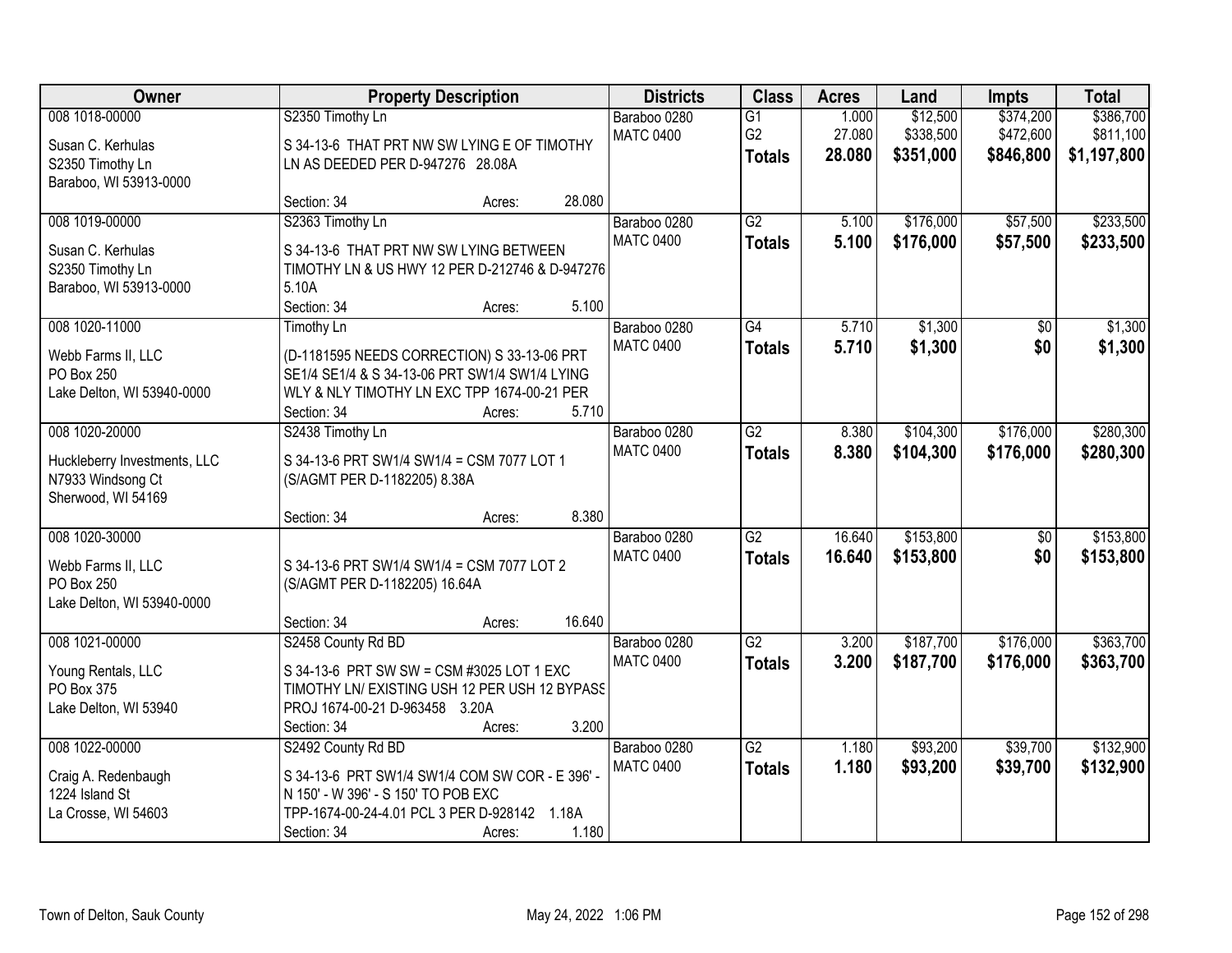| Owner                                                                             |                                                                                                                                                             | <b>Property Description</b> |        | <b>Districts</b>                 | <b>Class</b>                                       | <b>Acres</b>              | Land                               | <b>Impts</b>                        | <b>Total</b>                          |
|-----------------------------------------------------------------------------------|-------------------------------------------------------------------------------------------------------------------------------------------------------------|-----------------------------|--------|----------------------------------|----------------------------------------------------|---------------------------|------------------------------------|-------------------------------------|---------------------------------------|
| 008 1018-00000<br>Susan C. Kerhulas<br>S2350 Timothy Ln<br>Baraboo, WI 53913-0000 | S2350 Timothy Ln<br>S 34-13-6 THAT PRT NW SW LYING E OF TIMOTHY<br>LN AS DEEDED PER D-947276 28.08A                                                         |                             |        | Baraboo 0280<br><b>MATC 0400</b> | $\overline{G1}$<br>G <sub>2</sub><br><b>Totals</b> | 1.000<br>27.080<br>28.080 | \$12,500<br>\$338,500<br>\$351,000 | \$374,200<br>\$472,600<br>\$846,800 | \$386,700<br>\$811,100<br>\$1,197,800 |
|                                                                                   | Section: 34                                                                                                                                                 | Acres:                      | 28.080 |                                  |                                                    |                           |                                    |                                     |                                       |
| 008 1019-00000<br>Susan C. Kerhulas<br>S2350 Timothy Ln<br>Baraboo, WI 53913-0000 | S2363 Timothy Ln<br>S 34-13-6 THAT PRT NW SW LYING BETWEEN<br>TIMOTHY LN & US HWY 12 PER D-212746 & D-947276<br>5.10A<br>Section: 34                        | Acres:                      | 5.100  | Baraboo 0280<br><b>MATC 0400</b> | G2<br><b>Totals</b>                                | 5.100<br>5.100            | \$176,000<br>\$176,000             | \$57,500<br>\$57,500                | \$233,500<br>\$233,500                |
| 008 1020-11000                                                                    | Timothy Ln                                                                                                                                                  |                             |        | Baraboo 0280                     | $\overline{G4}$                                    | 5.710                     | \$1,300                            | \$0                                 | \$1,300                               |
| Webb Farms II, LLC<br>PO Box 250<br>Lake Delton, WI 53940-0000                    | (D-1181595 NEEDS CORRECTION) S 33-13-06 PRT<br>SE1/4 SE1/4 & S 34-13-06 PRT SW1/4 SW1/4 LYING<br>WLY & NLY TIMOTHY LN EXC TPP 1674-00-21 PER<br>Section: 34 | Acres:                      | 5.710  | <b>MATC 0400</b>                 | <b>Totals</b>                                      | 5.710                     | \$1,300                            | \$0                                 | \$1,300                               |
| 008 1020-20000                                                                    | S2438 Timothy Ln                                                                                                                                            |                             |        | Baraboo 0280                     | $\overline{G2}$                                    | 8.380                     | \$104,300                          | \$176,000                           | \$280,300                             |
| Huckleberry Investments, LLC<br>N7933 Windsong Ct<br>Sherwood, WI 54169           | S 34-13-6 PRT SW1/4 SW1/4 = CSM 7077 LOT 1<br>(S/AGMT PER D-1182205) 8.38A                                                                                  |                             |        | <b>MATC 0400</b>                 | <b>Totals</b>                                      | 8.380                     | \$104,300                          | \$176,000                           | \$280,300                             |
|                                                                                   | Section: 34                                                                                                                                                 | Acres:                      | 8.380  |                                  |                                                    |                           |                                    |                                     |                                       |
| 008 1020-30000<br>Webb Farms II, LLC<br>PO Box 250<br>Lake Delton, WI 53940-0000  | S 34-13-6 PRT SW1/4 SW1/4 = CSM 7077 LOT 2<br>(S/AGMT PER D-1182205) 16.64A<br>Section: 34                                                                  | Acres:                      | 16.640 | Baraboo 0280<br><b>MATC 0400</b> | $\overline{G2}$<br><b>Totals</b>                   | 16.640<br>16.640          | \$153,800<br>\$153,800             | $\overline{50}$<br>\$0              | \$153,800<br>\$153,800                |
| 008 1021-00000                                                                    | S2458 County Rd BD                                                                                                                                          |                             |        | Baraboo 0280                     | $\overline{G2}$                                    | 3.200                     | \$187,700                          | \$176,000                           | \$363,700                             |
| Young Rentals, LLC<br>PO Box 375<br>Lake Delton, WI 53940                         | S 34-13-6 PRT SW SW = CSM #3025 LOT 1 EXC<br>TIMOTHY LN/ EXISTING USH 12 PER USH 12 BYPASS<br>PROJ 1674-00-21 D-963458 3.20A<br>Section: 34                 | Acres:                      | 3.200  | <b>MATC 0400</b>                 | <b>Totals</b>                                      | 3.200                     | \$187,700                          | \$176,000                           | \$363,700                             |
| 008 1022-00000                                                                    | S2492 County Rd BD                                                                                                                                          |                             |        | Baraboo 0280                     | $\overline{G2}$                                    | 1.180                     | \$93,200                           | \$39,700                            | \$132,900                             |
| Craig A. Redenbaugh<br>1224 Island St<br>La Crosse, WI 54603                      | S 34-13-6 PRT SW1/4 SW1/4 COM SW COR - E 396' -<br>N 150' - W 396' - S 150' TO POB EXC<br>TPP-1674-00-24-4.01 PCL 3 PER D-928142 1.18A<br>Section: 34       | Acres:                      | 1.180  | <b>MATC 0400</b>                 | <b>Totals</b>                                      | 1.180                     | \$93,200                           | \$39,700                            | \$132,900                             |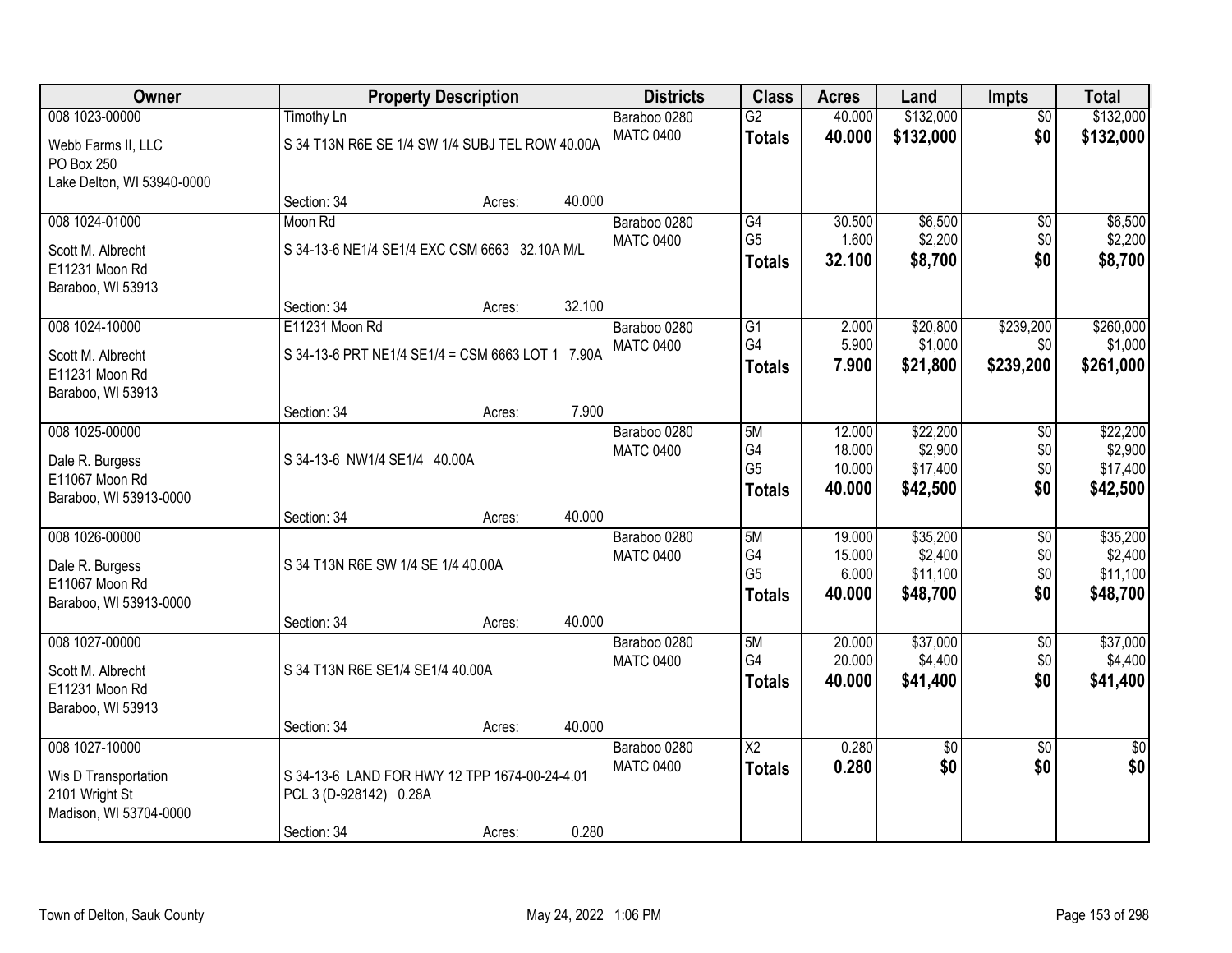| Owner                      |                                    | <b>Property Description</b>                      |        | <b>Districts</b> | <b>Class</b>           | <b>Acres</b> | Land      | Impts           | <b>Total</b>    |
|----------------------------|------------------------------------|--------------------------------------------------|--------|------------------|------------------------|--------------|-----------|-----------------|-----------------|
| 008 1023-00000             | <b>Timothy Ln</b>                  |                                                  |        | Baraboo 0280     | $\overline{G2}$        | 40.000       | \$132,000 | $\overline{50}$ | \$132,000       |
| Webb Farms II, LLC         |                                    | S 34 T13N R6E SE 1/4 SW 1/4 SUBJ TEL ROW 40.00A  |        | <b>MATC 0400</b> | <b>Totals</b>          | 40.000       | \$132,000 | \$0             | \$132,000       |
| PO Box 250                 |                                    |                                                  |        |                  |                        |              |           |                 |                 |
| Lake Delton, WI 53940-0000 |                                    |                                                  |        |                  |                        |              |           |                 |                 |
|                            | Section: 34                        | Acres:                                           | 40.000 |                  |                        |              |           |                 |                 |
| 008 1024-01000             | Moon Rd                            |                                                  |        | Baraboo 0280     | G4                     | 30.500       | \$6,500   | $\overline{50}$ | \$6,500         |
| Scott M. Albrecht          |                                    | S 34-13-6 NE1/4 SE1/4 EXC CSM 6663 32.10A M/L    |        | <b>MATC 0400</b> | G <sub>5</sub>         | 1.600        | \$2,200   | \$0             | \$2,200         |
| E11231 Moon Rd             |                                    |                                                  |        |                  | <b>Totals</b>          | 32.100       | \$8,700   | \$0             | \$8,700         |
| Baraboo, WI 53913          |                                    |                                                  |        |                  |                        |              |           |                 |                 |
|                            | Section: 34                        | Acres:                                           | 32.100 |                  |                        |              |           |                 |                 |
| 008 1024-10000             | E11231 Moon Rd                     |                                                  |        | Baraboo 0280     | $\overline{G1}$        | 2.000        | \$20,800  | \$239,200       | \$260,000       |
| Scott M. Albrecht          |                                    | S 34-13-6 PRT NE1/4 SE1/4 = CSM 6663 LOT 1 7.90A |        | <b>MATC 0400</b> | G4                     | 5.900        | \$1,000   | \$0             | \$1,000         |
| E11231 Moon Rd             |                                    |                                                  |        |                  | <b>Totals</b>          | 7.900        | \$21,800  | \$239,200       | \$261,000       |
| Baraboo, WI 53913          |                                    |                                                  |        |                  |                        |              |           |                 |                 |
|                            | Section: 34                        | Acres:                                           | 7.900  |                  |                        |              |           |                 |                 |
| 008 1025-00000             |                                    |                                                  |        | Baraboo 0280     | 5M                     | 12.000       | \$22,200  | \$0             | \$22,200        |
| Dale R. Burgess            | S 34-13-6 NW1/4 SE1/4 40.00A       |                                                  |        | <b>MATC 0400</b> | G4                     | 18.000       | \$2,900   | \$0             | \$2,900         |
| E11067 Moon Rd             |                                    |                                                  |        |                  | G <sub>5</sub>         | 10.000       | \$17,400  | \$0             | \$17,400        |
| Baraboo, WI 53913-0000     |                                    |                                                  |        |                  | <b>Totals</b>          | 40.000       | \$42,500  | \$0             | \$42,500        |
|                            | Section: 34                        | Acres:                                           | 40.000 |                  |                        |              |           |                 |                 |
| 008 1026-00000             |                                    |                                                  |        | Baraboo 0280     | 5M                     | 19.000       | \$35,200  | $\overline{50}$ | \$35,200        |
| Dale R. Burgess            | S 34 T13N R6E SW 1/4 SE 1/4 40.00A |                                                  |        | <b>MATC 0400</b> | G <sub>4</sub>         | 15.000       | \$2,400   | \$0             | \$2,400         |
| E11067 Moon Rd             |                                    |                                                  |        |                  | G <sub>5</sub>         | 6.000        | \$11,100  | \$0             | \$11,100        |
| Baraboo, WI 53913-0000     |                                    |                                                  |        |                  | <b>Totals</b>          | 40.000       | \$48,700  | \$0             | \$48,700        |
|                            | Section: 34                        | Acres:                                           | 40.000 |                  |                        |              |           |                 |                 |
| 008 1027-00000             |                                    |                                                  |        | Baraboo 0280     | 5M                     | 20.000       | \$37,000  | $\overline{50}$ | \$37,000        |
| Scott M. Albrecht          | S 34 T13N R6E SE1/4 SE1/4 40.00A   |                                                  |        | <b>MATC 0400</b> | G4                     | 20.000       | \$4,400   | \$0             | \$4,400         |
| E11231 Moon Rd             |                                    |                                                  |        |                  | <b>Totals</b>          | 40.000       | \$41,400  | \$0             | \$41,400        |
| Baraboo, WI 53913          |                                    |                                                  |        |                  |                        |              |           |                 |                 |
|                            | Section: 34                        | Acres:                                           | 40.000 |                  |                        |              |           |                 |                 |
| 008 1027-10000             |                                    |                                                  |        | Baraboo 0280     | $\overline{\text{X2}}$ | 0.280        | \$0       | $\overline{50}$ | $\overline{50}$ |
| Wis D Transportation       |                                    | S 34-13-6 LAND FOR HWY 12 TPP 1674-00-24-4.01    |        | <b>MATC 0400</b> | <b>Totals</b>          | 0.280        | \$0       | \$0             | \$0             |
| 2101 Wright St             | PCL 3 (D-928142) 0.28A             |                                                  |        |                  |                        |              |           |                 |                 |
| Madison, WI 53704-0000     |                                    |                                                  |        |                  |                        |              |           |                 |                 |
|                            | Section: 34                        | Acres:                                           | 0.280  |                  |                        |              |           |                 |                 |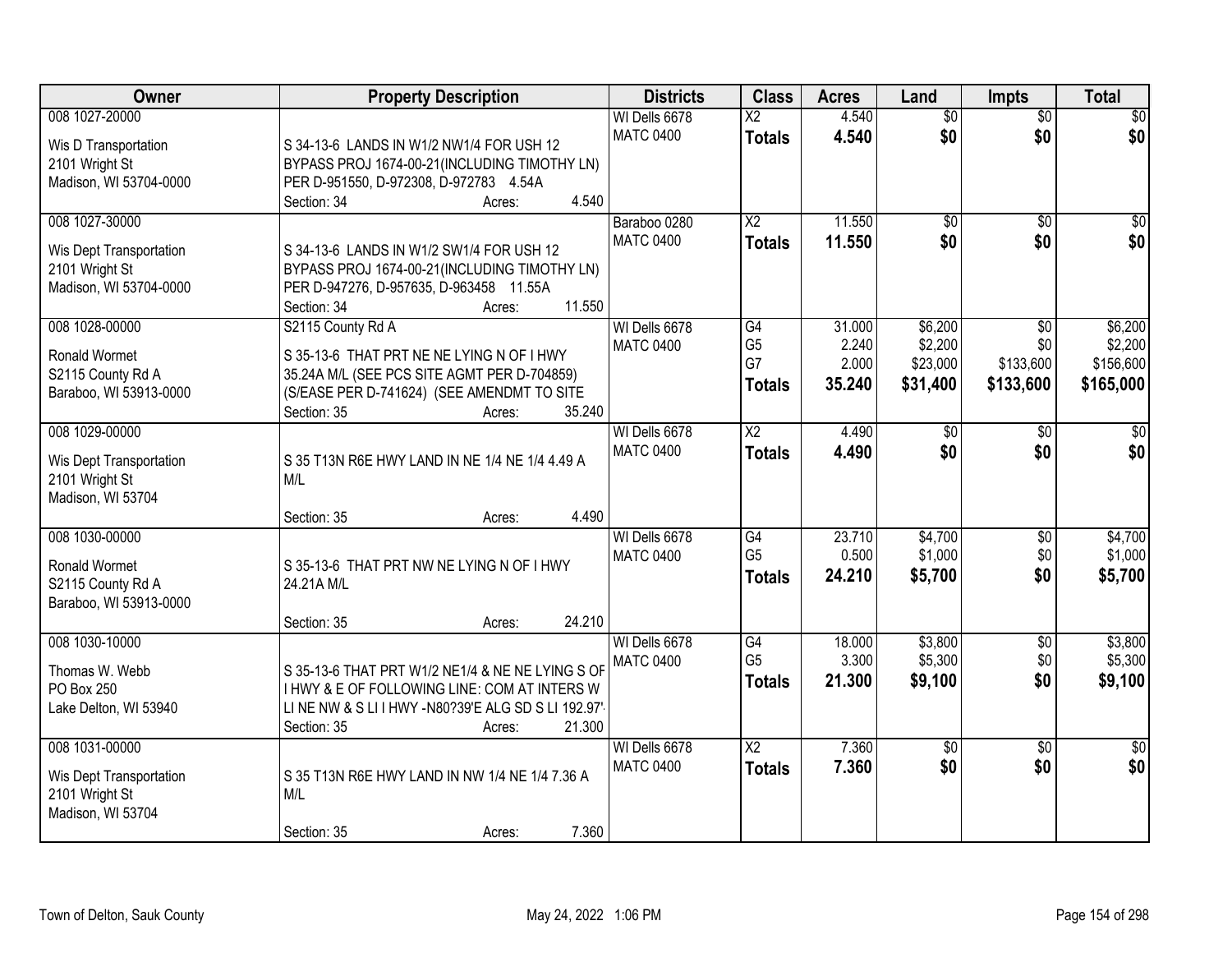| Owner                                                                                 | <b>Property Description</b>                                                                                                                                                                    | <b>Districts</b>                  | <b>Class</b>                              | <b>Acres</b>                       | Land                                       | <b>Impts</b>                         | <b>Total</b>                                 |
|---------------------------------------------------------------------------------------|------------------------------------------------------------------------------------------------------------------------------------------------------------------------------------------------|-----------------------------------|-------------------------------------------|------------------------------------|--------------------------------------------|--------------------------------------|----------------------------------------------|
| 008 1027-20000<br>Wis D Transportation<br>2101 Wright St                              | S 34-13-6 LANDS IN W1/2 NW1/4 FOR USH 12<br>BYPASS PROJ 1674-00-21 (INCLUDING TIMOTHY LN)                                                                                                      | WI Dells 6678<br><b>MATC 0400</b> | $\overline{\mathsf{x2}}$<br><b>Totals</b> | 4.540<br>4.540                     | $\overline{50}$<br>\$0                     | $\overline{50}$<br>\$0               | $\overline{30}$<br>\$0                       |
| Madison, WI 53704-0000                                                                | PER D-951550, D-972308, D-972783 4.54A<br>4.540<br>Section: 34<br>Acres:                                                                                                                       |                                   |                                           |                                    |                                            |                                      |                                              |
| 008 1027-30000<br>Wis Dept Transportation<br>2101 Wright St<br>Madison, WI 53704-0000 | S 34-13-6 LANDS IN W1/2 SW1/4 FOR USH 12<br>BYPASS PROJ 1674-00-21 (INCLUDING TIMOTHY LN)<br>PER D-947276, D-957635, D-963458 11.55A<br>11.550<br>Section: 34<br>Acres:                        | Baraboo 0280<br><b>MATC 0400</b>  | $\overline{X2}$<br><b>Totals</b>          | 11.550<br>11.550                   | $\overline{50}$<br>\$0                     | $\overline{30}$<br>\$0               | $\sqrt{50}$<br>\$0                           |
| 008 1028-00000<br>Ronald Wormet<br>S2115 County Rd A<br>Baraboo, WI 53913-0000        | S2115 County Rd A<br>S 35-13-6 THAT PRT NE NE LYING N OF I HWY<br>35.24A M/L (SEE PCS SITE AGMT PER D-704859)<br>(S/EASE PER D-741624) (SEE AMENDMT TO SITE<br>Section: 35<br>35.240<br>Acres: | WI Dells 6678<br><b>MATC 0400</b> | G4<br>G <sub>5</sub><br>G7<br>Totals      | 31.000<br>2.240<br>2.000<br>35.240 | \$6,200<br>\$2,200<br>\$23,000<br>\$31,400 | \$0<br>\$0<br>\$133,600<br>\$133,600 | \$6,200<br>\$2,200<br>\$156,600<br>\$165,000 |
| 008 1029-00000<br>Wis Dept Transportation<br>2101 Wright St<br>Madison, WI 53704      | S 35 T13N R6E HWY LAND IN NE 1/4 NE 1/4 4.49 A<br>M/L<br>4.490<br>Section: 35<br>Acres:                                                                                                        | WI Dells 6678<br><b>MATC 0400</b> | $\overline{\text{X2}}$<br><b>Totals</b>   | 4.490<br>4.490                     | \$0<br>\$0                                 | $\sqrt{6}$<br>\$0                    | \$0<br>\$0                                   |
| 008 1030-00000<br><b>Ronald Wormet</b><br>S2115 County Rd A<br>Baraboo, WI 53913-0000 | S 35-13-6 THAT PRT NW NE LYING N OF I HWY<br>24.21A M/L<br>24.210<br>Section: 35<br>Acres:                                                                                                     | WI Dells 6678<br><b>MATC 0400</b> | G4<br>G <sub>5</sub><br><b>Totals</b>     | 23.710<br>0.500<br>24.210          | \$4,700<br>\$1,000<br>\$5,700              | $\overline{50}$<br>\$0<br>\$0        | \$4,700<br>\$1,000<br>\$5,700                |
| 008 1030-10000<br>Thomas W. Webb<br>PO Box 250<br>Lake Delton, WI 53940               | S 35-13-6 THAT PRT W1/2 NE1/4 & NE NE LYING S OF<br>I HWY & E OF FOLLOWING LINE: COM AT INTERS W<br>LINE NW & SLIIHWY-N80?39'E ALG SD SLI 192.97'<br>21.300<br>Section: 35<br>Acres:           | WI Dells 6678<br><b>MATC 0400</b> | G4<br>G <sub>5</sub><br><b>Totals</b>     | 18.000<br>3.300<br>21.300          | \$3,800<br>\$5,300<br>\$9,100              | $\sqrt{$0}$<br>\$0<br>\$0            | \$3,800<br>\$5,300<br>\$9,100                |
| 008 1031-00000<br>Wis Dept Transportation<br>2101 Wright St<br>Madison, WI 53704      | S 35 T13N R6E HWY LAND IN NW 1/4 NE 1/4 7.36 A<br>M/L<br>7.360<br>Section: 35<br>Acres:                                                                                                        | WI Dells 6678<br><b>MATC 0400</b> | $\overline{X2}$<br><b>Totals</b>          | 7.360<br>7.360                     | $\overline{30}$<br>\$0                     | $\overline{50}$<br>\$0               | $\frac{1}{2}$<br>\$0                         |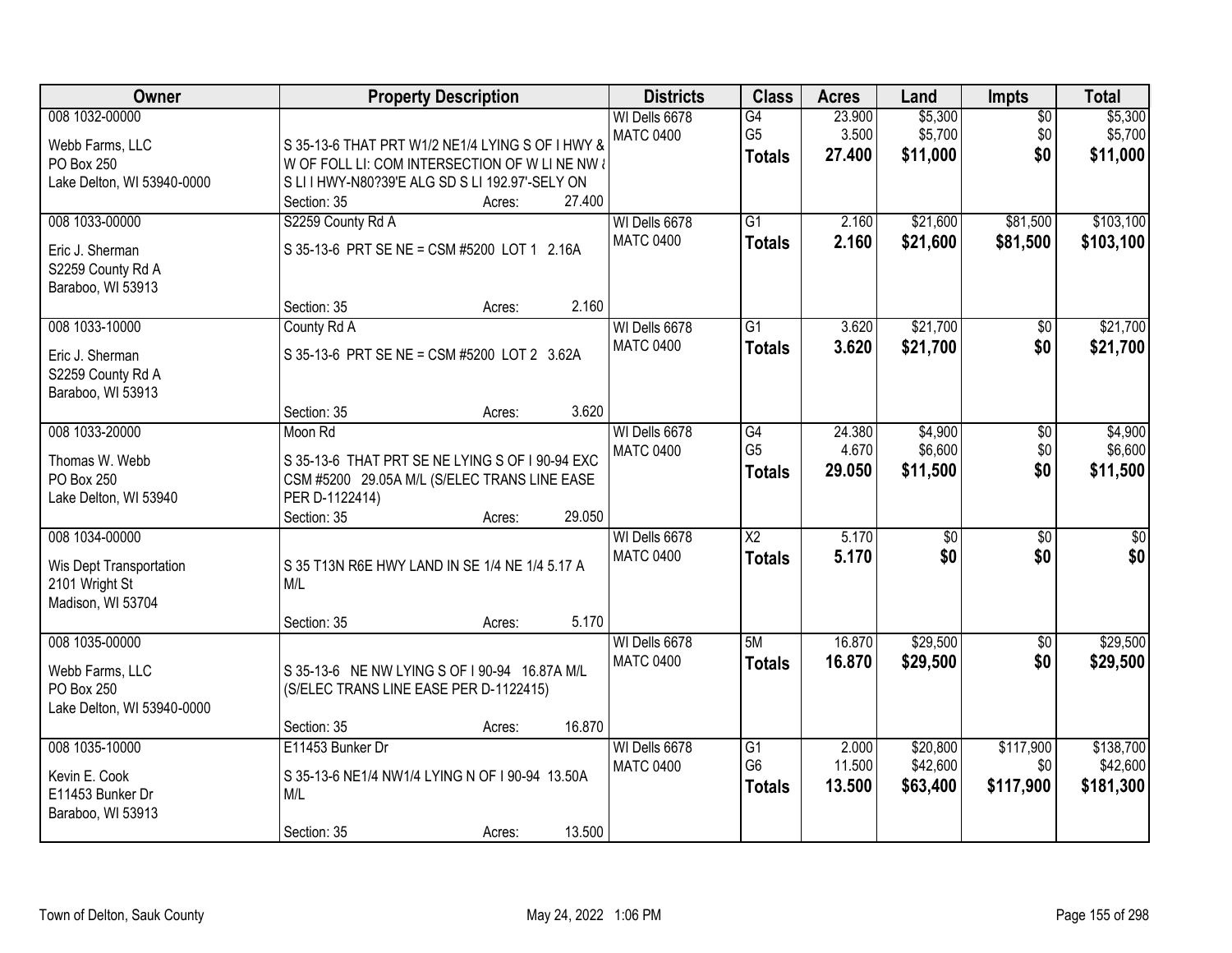| Owner                                                                            | <b>Property Description</b>                                                                                                                                                             | <b>Districts</b>                  | <b>Class</b>                                       | <b>Acres</b>              | Land                             | <b>Impts</b>                  | <b>Total</b>                       |
|----------------------------------------------------------------------------------|-----------------------------------------------------------------------------------------------------------------------------------------------------------------------------------------|-----------------------------------|----------------------------------------------------|---------------------------|----------------------------------|-------------------------------|------------------------------------|
| 008 1032-00000<br>Webb Farms, LLC<br>PO Box 250<br>Lake Delton, WI 53940-0000    | S 35-13-6 THAT PRT W1/2 NE1/4 LYING S OF I HWY &<br>W OF FOLL LI: COM INTERSECTION OF W LINE NW &<br>S LI I HWY-N80?39'E ALG SD S LI 192.97'-SELY ON<br>27.400<br>Section: 35<br>Acres: | WI Dells 6678<br><b>MATC 0400</b> | G4<br>G <sub>5</sub><br><b>Totals</b>              | 23.900<br>3.500<br>27,400 | \$5,300<br>\$5,700<br>\$11,000   | $\overline{50}$<br>\$0<br>\$0 | \$5,300<br>\$5,700<br>\$11,000     |
| 008 1033-00000<br>Eric J. Sherman<br>S2259 County Rd A<br>Baraboo, WI 53913      | S2259 County Rd A<br>S 35-13-6 PRT SE NE = CSM #5200 LOT 1 2.16A<br>2.160<br>Section: 35<br>Acres:                                                                                      | WI Dells 6678<br><b>MATC 0400</b> | $\overline{G1}$<br><b>Totals</b>                   | 2.160<br>2.160            | \$21,600<br>\$21,600             | \$81,500<br>\$81,500          | \$103,100<br>\$103,100             |
| 008 1033-10000<br>Eric J. Sherman<br>S2259 County Rd A<br>Baraboo, WI 53913      | County Rd A<br>S 35-13-6 PRT SE NE = CSM #5200 LOT 2 3.62A<br>3.620<br>Section: 35<br>Acres:                                                                                            | WI Dells 6678<br><b>MATC 0400</b> | $\overline{G1}$<br><b>Totals</b>                   | 3.620<br>3.620            | \$21,700<br>\$21,700             | $\overline{50}$<br>\$0        | \$21,700<br>\$21,700               |
| 008 1033-20000<br>Thomas W. Webb<br>PO Box 250<br>Lake Delton, WI 53940          | Moon Rd<br>S 35-13-6 THAT PRT SE NE LYING S OF I 90-94 EXC<br>CSM #5200 29.05A M/L (S/ELEC TRANS LINE EASE<br>PER D-1122414)<br>29.050<br>Section: 35<br>Acres:                         | WI Dells 6678<br><b>MATC 0400</b> | G4<br>G <sub>5</sub><br><b>Totals</b>              | 24.380<br>4.670<br>29.050 | \$4,900<br>\$6,600<br>\$11,500   | $\sqrt[6]{}$<br>\$0<br>\$0    | \$4,900<br>\$6,600<br>\$11,500     |
| 008 1034-00000<br>Wis Dept Transportation<br>2101 Wright St<br>Madison, WI 53704 | S 35 T13N R6E HWY LAND IN SE 1/4 NE 1/4 5.17 A<br>M/L<br>5.170<br>Section: 35<br>Acres:                                                                                                 | WI Dells 6678<br><b>MATC 0400</b> | $\overline{\text{X2}}$<br><b>Totals</b>            | 5.170<br>5.170            | $\overline{50}$<br>\$0           | $\overline{30}$<br>\$0        | $\overline{30}$<br>\$0             |
| 008 1035-00000<br>Webb Farms, LLC<br>PO Box 250<br>Lake Delton, WI 53940-0000    | S 35-13-6 NE NW LYING S OF 190-94 16.87A M/L<br>(S/ELEC TRANS LINE EASE PER D-1122415)<br>16.870<br>Section: 35<br>Acres:                                                               | WI Dells 6678<br><b>MATC 0400</b> | 5M<br><b>Totals</b>                                | 16.870<br>16.870          | \$29,500<br>\$29,500             | $\sqrt{$0}$<br>\$0            | \$29,500<br>\$29,500               |
| 008 1035-10000<br>Kevin E. Cook<br>E11453 Bunker Dr<br>Baraboo, WI 53913         | E11453 Bunker Dr<br>S 35-13-6 NE1/4 NW1/4 LYING N OF I 90-94 13.50A<br>M/L<br>13.500<br>Section: 35<br>Acres:                                                                           | WI Dells 6678<br><b>MATC 0400</b> | $\overline{G1}$<br>G <sub>6</sub><br><b>Totals</b> | 2.000<br>11.500<br>13.500 | \$20,800<br>\$42,600<br>\$63,400 | \$117,900<br>\$0<br>\$117,900 | \$138,700<br>\$42,600<br>\$181,300 |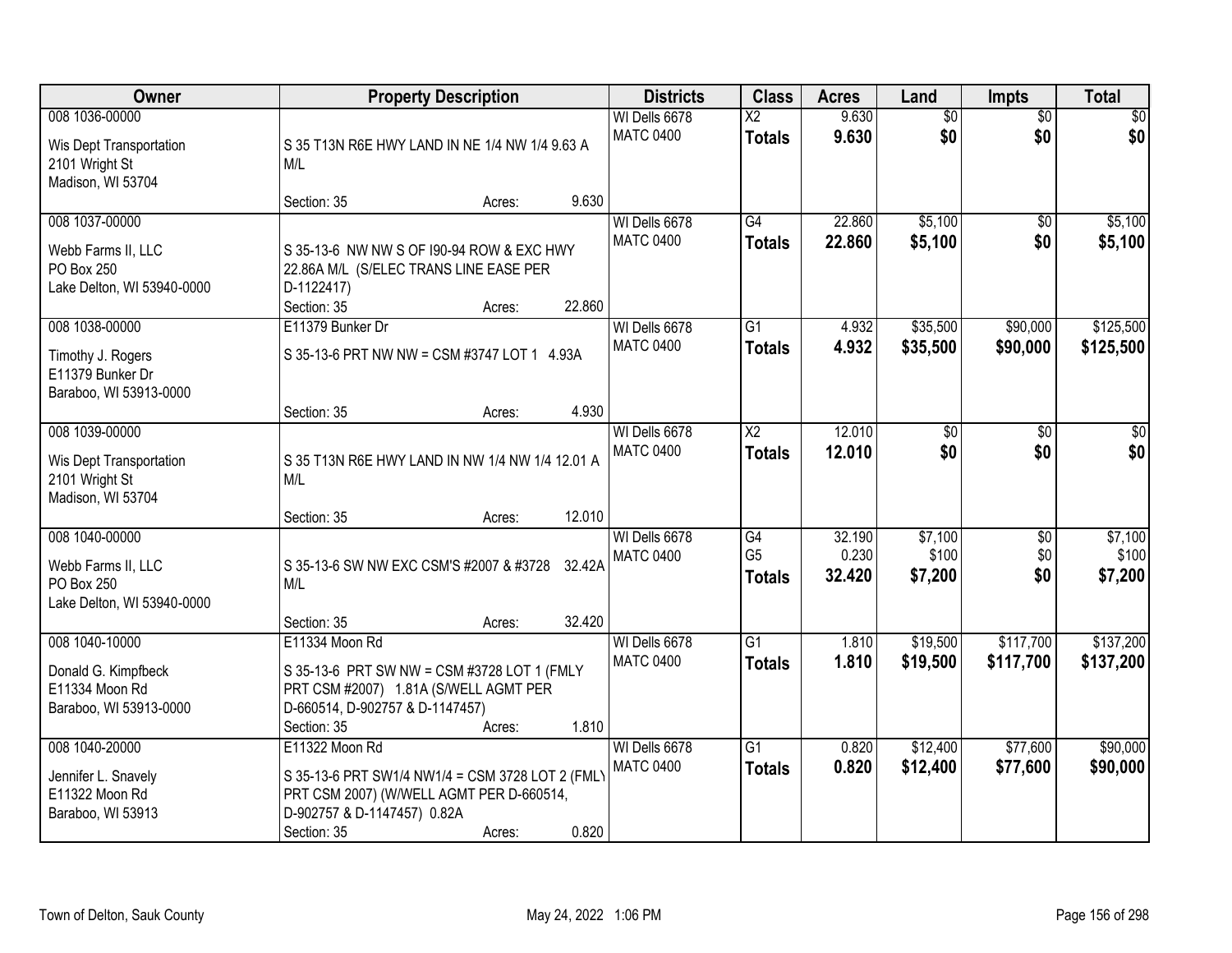| Owner                                                                            |                                                                                                                                                              | <b>Property Description</b> |                  | <b>Districts</b>                  | <b>Class</b>                            | <b>Acres</b>              | Land                        | <b>Impts</b>                  | <b>Total</b>                |
|----------------------------------------------------------------------------------|--------------------------------------------------------------------------------------------------------------------------------------------------------------|-----------------------------|------------------|-----------------------------------|-----------------------------------------|---------------------------|-----------------------------|-------------------------------|-----------------------------|
| 008 1036-00000<br>Wis Dept Transportation<br>2101 Wright St<br>Madison, WI 53704 | S 35 T13N R6E HWY LAND IN NE 1/4 NW 1/4 9.63 A<br>M/L                                                                                                        |                             |                  | WI Dells 6678<br><b>MATC 0400</b> | $\overline{\text{X2}}$<br><b>Totals</b> | 9.630<br>9.630            | $\overline{50}$<br>\$0      | $\overline{50}$<br>\$0        | $\sqrt{30}$<br>\$0          |
|                                                                                  | Section: 35                                                                                                                                                  | Acres:                      | 9.630            |                                   |                                         |                           |                             |                               |                             |
| 008 1037-00000<br>Webb Farms II, LLC<br>PO Box 250<br>Lake Delton, WI 53940-0000 | S 35-13-6 NW NW S OF 190-94 ROW & EXC HWY<br>22.86A M/L (S/ELEC TRANS LINE EASE PER<br>D-1122417)<br>Section: 35                                             | Acres:                      | 22.860           | WI Dells 6678<br><b>MATC 0400</b> | $\overline{G4}$<br><b>Totals</b>        | 22.860<br>22.860          | \$5,100<br>\$5,100          | $\overline{50}$<br>\$0        | \$5,100<br>\$5,100          |
| 008 1038-00000                                                                   | E11379 Bunker Dr                                                                                                                                             |                             |                  | WI Dells 6678                     | $\overline{G1}$                         | 4.932                     | \$35,500                    | \$90,000                      | \$125,500                   |
| Timothy J. Rogers<br>E11379 Bunker Dr<br>Baraboo, WI 53913-0000                  | S 35-13-6 PRT NW NW = CSM #3747 LOT 1 4.93A                                                                                                                  |                             |                  | <b>MATC 0400</b>                  | <b>Totals</b>                           | 4.932                     | \$35,500                    | \$90,000                      | \$125,500                   |
|                                                                                  | Section: 35                                                                                                                                                  | Acres:                      | 4.930            |                                   |                                         |                           |                             |                               |                             |
| 008 1039-00000<br>Wis Dept Transportation<br>2101 Wright St<br>Madison, WI 53704 | S 35 T13N R6E HWY LAND IN NW 1/4 NW 1/4 12.01 A<br>M/L                                                                                                       |                             |                  | WI Dells 6678<br><b>MATC 0400</b> | $\overline{\text{X2}}$<br><b>Totals</b> | 12.010<br>12.010          | $\overline{30}$<br>\$0      | \$0<br>\$0                    | \$0<br>\$0                  |
|                                                                                  | Section: 35                                                                                                                                                  | Acres:                      | 12.010           |                                   |                                         |                           |                             |                               |                             |
| 008 1040-00000<br>Webb Farms II, LLC<br>PO Box 250<br>Lake Delton, WI 53940-0000 | S 35-13-6 SW NW EXC CSM'S #2007 & #3728<br>M/L<br>Section: 35                                                                                                | Acres:                      | 32.42A<br>32.420 | WI Dells 6678<br><b>MATC 0400</b> | G4<br>G <sub>5</sub><br><b>Totals</b>   | 32.190<br>0.230<br>32.420 | \$7,100<br>\$100<br>\$7,200 | $\overline{50}$<br>\$0<br>\$0 | \$7,100<br>\$100<br>\$7,200 |
| 008 1040-10000                                                                   | E11334 Moon Rd                                                                                                                                               |                             |                  | WI Dells 6678                     | $\overline{G1}$                         | 1.810                     | \$19,500                    | \$117,700                     | \$137,200                   |
| Donald G. Kimpfbeck<br>E11334 Moon Rd<br>Baraboo, WI 53913-0000                  | S 35-13-6 PRT SW NW = CSM #3728 LOT 1 (FMLY<br>PRT CSM #2007) 1.81A (S/WELL AGMT PER<br>D-660514, D-902757 & D-1147457)<br>Section: 35                       | Acres:                      | 1.810            | <b>MATC 0400</b>                  | <b>Totals</b>                           | 1.810                     | \$19,500                    | \$117,700                     | \$137,200                   |
| 008 1040-20000<br>Jennifer L. Snavely<br>E11322 Moon Rd<br>Baraboo, WI 53913     | E11322 Moon Rd<br>S 35-13-6 PRT SW1/4 NW1/4 = CSM 3728 LOT 2 (FML)<br>PRT CSM 2007) (W/WELL AGMT PER D-660514,<br>D-902757 & D-1147457) 0.82A<br>Section: 35 | Acres:                      | 0.820            | WI Dells 6678<br><b>MATC 0400</b> | $\overline{G1}$<br><b>Totals</b>        | 0.820<br>0.820            | \$12,400<br>\$12,400        | \$77,600<br>\$77,600          | \$90,000<br>\$90,000        |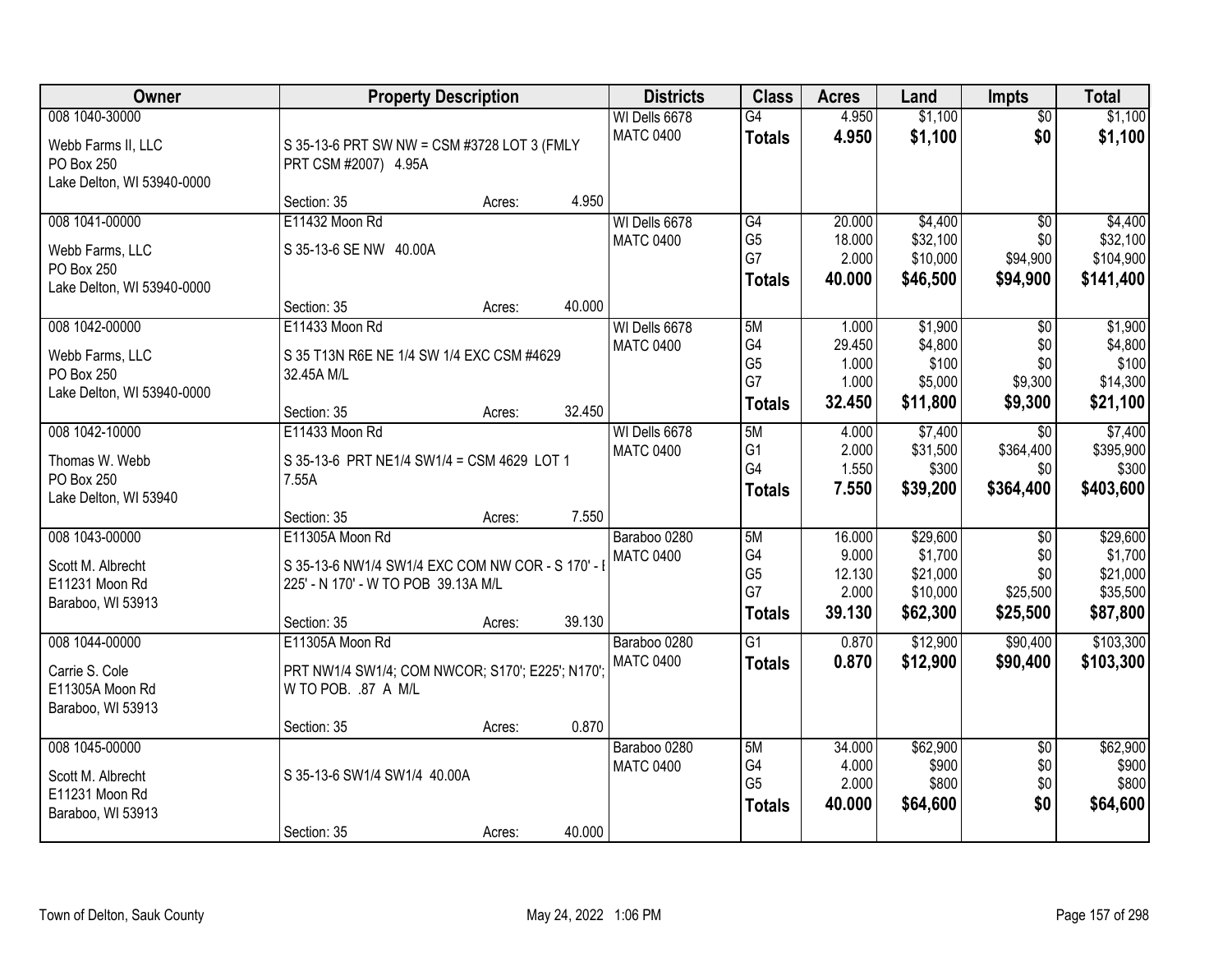| Owner                      | <b>Property Description</b>                      | <b>Districts</b> | <b>Class</b> | <b>Acres</b>     | Land            | <b>Impts</b> | <b>Total</b> |                 |           |
|----------------------------|--------------------------------------------------|------------------|--------------|------------------|-----------------|--------------|--------------|-----------------|-----------|
| 008 1040-30000             |                                                  |                  |              | WI Dells 6678    | $\overline{G4}$ | 4.950        | \$1,100      | $\overline{50}$ | \$1,100   |
| Webb Farms II, LLC         | S 35-13-6 PRT SW NW = CSM #3728 LOT 3 (FMLY      |                  |              | <b>MATC 0400</b> | <b>Totals</b>   | 4.950        | \$1,100      | \$0             | \$1,100   |
| PO Box 250                 | PRT CSM #2007) 4.95A                             |                  |              |                  |                 |              |              |                 |           |
| Lake Delton, WI 53940-0000 |                                                  |                  |              |                  |                 |              |              |                 |           |
|                            | Section: 35                                      | Acres:           | 4.950        |                  |                 |              |              |                 |           |
| 008 1041-00000             | E11432 Moon Rd                                   |                  |              | WI Dells 6678    | G4              | 20.000       | \$4,400      | $\overline{50}$ | \$4,400   |
| Webb Farms, LLC            | S 35-13-6 SE NW 40.00A                           |                  |              | <b>MATC 0400</b> | G <sub>5</sub>  | 18.000       | \$32,100     | \$0             | \$32,100  |
| PO Box 250                 |                                                  |                  |              |                  | G7              | 2.000        | \$10,000     | \$94,900        | \$104,900 |
| Lake Delton, WI 53940-0000 |                                                  |                  |              |                  | <b>Totals</b>   | 40.000       | \$46,500     | \$94,900        | \$141,400 |
|                            | Section: 35                                      | Acres:           | 40.000       |                  |                 |              |              |                 |           |
| 008 1042-00000             | E11433 Moon Rd                                   |                  |              | WI Dells 6678    | 5M              | 1.000        | \$1,900      | \$0             | \$1,900   |
| Webb Farms, LLC            | S 35 T13N R6E NE 1/4 SW 1/4 EXC CSM #4629        |                  |              | <b>MATC 0400</b> | G4              | 29.450       | \$4,800      | \$0             | \$4,800   |
| PO Box 250                 | 32.45A M/L                                       |                  |              |                  | G <sub>5</sub>  | 1.000        | \$100        | \$0             | \$100     |
| Lake Delton, WI 53940-0000 |                                                  |                  |              |                  | G7              | 1.000        | \$5,000      | \$9,300         | \$14,300  |
|                            | Section: 35                                      | Acres:           | 32.450       |                  | <b>Totals</b>   | 32.450       | \$11,800     | \$9,300         | \$21,100  |
| 008 1042-10000             | E11433 Moon Rd                                   |                  |              | WI Dells 6678    | 5M              | 4.000        | \$7,400      | $\sqrt{6}$      | \$7,400   |
| Thomas W. Webb             | S 35-13-6 PRT NE1/4 SW1/4 = CSM 4629 LOT 1       |                  |              | <b>MATC 0400</b> | G <sub>1</sub>  | 2.000        | \$31,500     | \$364,400       | \$395,900 |
| PO Box 250                 | 7.55A                                            |                  |              |                  | G4              | 1.550        | \$300        | \$0             | \$300     |
| Lake Delton, WI 53940      |                                                  |                  |              |                  | <b>Totals</b>   | 7.550        | \$39,200     | \$364,400       | \$403,600 |
|                            | Section: 35                                      | Acres:           | 7.550        |                  |                 |              |              |                 |           |
| 008 1043-00000             | E11305A Moon Rd                                  |                  |              | Baraboo 0280     | 5M              | 16.000       | \$29,600     | $\overline{50}$ | \$29,600  |
| Scott M. Albrecht          | S 35-13-6 NW1/4 SW1/4 EXC COM NW COR - S 170' -  |                  |              | <b>MATC 0400</b> | G4              | 9.000        | \$1,700      | \$0             | \$1,700   |
| E11231 Moon Rd             | 225' - N 170' - W TO POB 39.13A M/L              |                  |              |                  | G <sub>5</sub>  | 12.130       | \$21,000     | \$0             | \$21,000  |
| Baraboo, WI 53913          |                                                  |                  |              |                  | G7              | 2.000        | \$10,000     | \$25,500        | \$35,500  |
|                            | Section: 35                                      | Acres:           | 39.130       |                  | <b>Totals</b>   | 39.130       | \$62,300     | \$25,500        | \$87,800  |
| 008 1044-00000             | E11305A Moon Rd                                  |                  |              | Baraboo 0280     | $\overline{G1}$ | 0.870        | \$12,900     | \$90,400        | \$103,300 |
| Carrie S. Cole             | PRT NW1/4 SW1/4; COM NWCOR; S170'; E225'; N170'; |                  |              | <b>MATC 0400</b> | <b>Totals</b>   | 0.870        | \$12,900     | \$90,400        | \$103,300 |
| E11305A Moon Rd            | W TO POB. .87 A M/L                              |                  |              |                  |                 |              |              |                 |           |
| Baraboo, WI 53913          |                                                  |                  |              |                  |                 |              |              |                 |           |
|                            | Section: 35                                      | Acres:           | 0.870        |                  |                 |              |              |                 |           |
| 008 1045-00000             |                                                  |                  |              | Baraboo 0280     | 5M              | 34.000       | \$62,900     | $\overline{50}$ | \$62,900  |
| Scott M. Albrecht          | S 35-13-6 SW1/4 SW1/4 40.00A                     |                  |              | <b>MATC 0400</b> | G4              | 4.000        | \$900        | \$0             | \$900     |
| E11231 Moon Rd             |                                                  |                  |              |                  | G <sub>5</sub>  | 2.000        | \$800        | \$0             | \$800     |
| Baraboo, WI 53913          |                                                  |                  |              |                  | <b>Totals</b>   | 40.000       | \$64,600     | \$0             | \$64,600  |
|                            | Section: 35                                      | Acres:           | 40.000       |                  |                 |              |              |                 |           |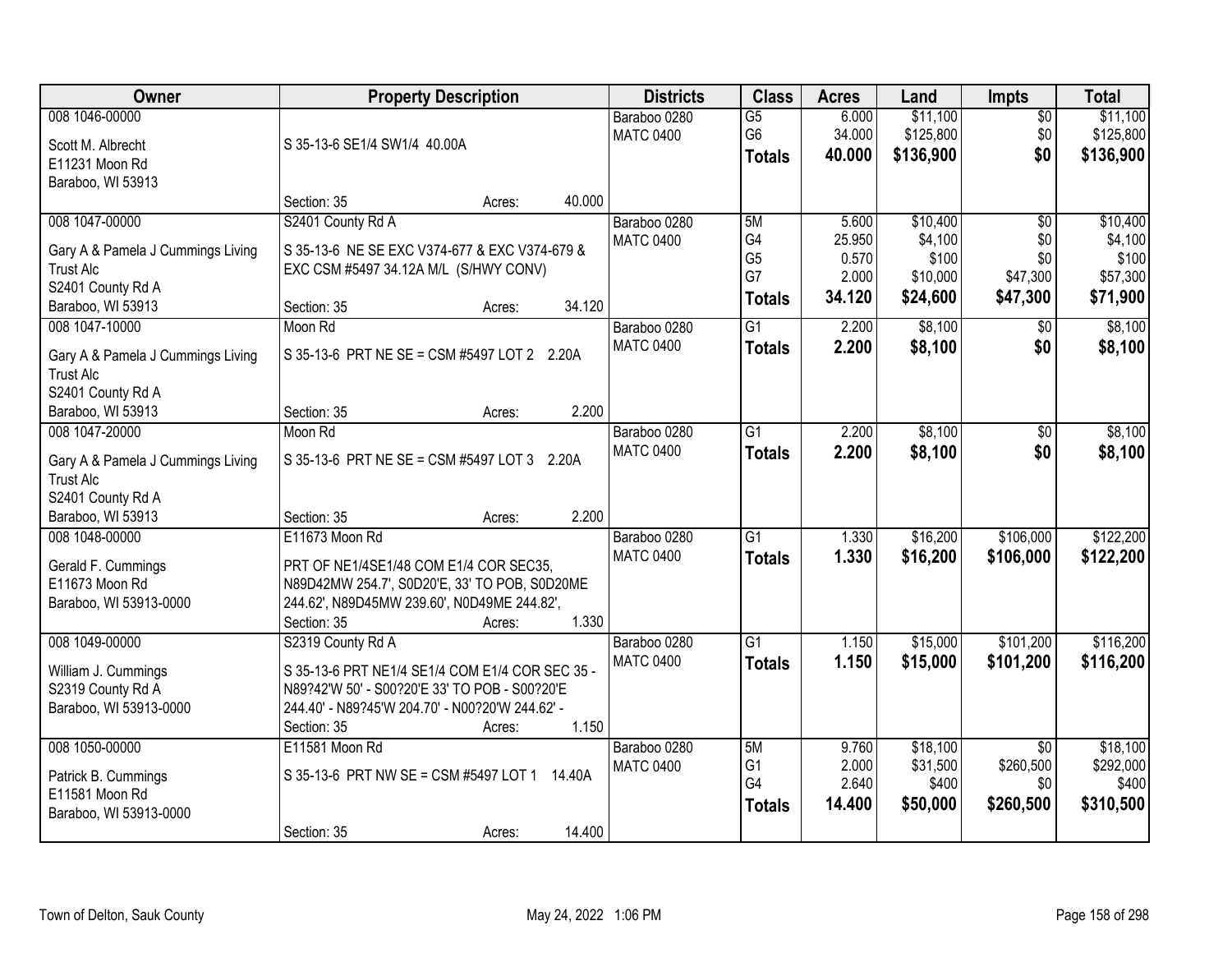| Owner                                                                                           | <b>Property Description</b>                                                                                                                                                                | <b>Districts</b>                 | <b>Class</b>                                       | <b>Acres</b>                       | Land                                      | <b>Impts</b>                                     | <b>Total</b>                                |
|-------------------------------------------------------------------------------------------------|--------------------------------------------------------------------------------------------------------------------------------------------------------------------------------------------|----------------------------------|----------------------------------------------------|------------------------------------|-------------------------------------------|--------------------------------------------------|---------------------------------------------|
| 008 1046-00000<br>Scott M. Albrecht<br>E11231 Moon Rd                                           | S 35-13-6 SE1/4 SW1/4 40.00A                                                                                                                                                               | Baraboo 0280<br><b>MATC 0400</b> | $\overline{G5}$<br>G <sub>6</sub><br><b>Totals</b> | 6.000<br>34.000<br>40.000          | \$11,100<br>\$125,800<br>\$136,900        | $\overline{50}$<br>\$0<br>\$0                    | \$11,100<br>\$125,800<br>\$136,900          |
| Baraboo, WI 53913                                                                               | 40.000                                                                                                                                                                                     |                                  |                                                    |                                    |                                           |                                                  |                                             |
| 008 1047-00000                                                                                  | Section: 35<br>Acres:<br>S2401 County Rd A                                                                                                                                                 | Baraboo 0280                     | 5M                                                 | 5.600                              | \$10,400                                  | $\overline{50}$                                  | \$10,400                                    |
| Gary A & Pamela J Cummings Living<br><b>Trust Alc</b><br>S2401 County Rd A<br>Baraboo, WI 53913 | S 35-13-6 NE SE EXC V374-677 & EXC V374-679 &<br>EXC CSM #5497 34.12A M/L (S/HWY CONV)<br>34.120<br>Section: 35<br>Acres:                                                                  | <b>MATC 0400</b>                 | G4<br>G <sub>5</sub><br>G7<br><b>Totals</b>        | 25.950<br>0.570<br>2.000<br>34.120 | \$4,100<br>\$100<br>\$10,000<br>\$24,600  | \$0<br>\$0<br>\$47,300<br>\$47,300               | \$4,100<br>\$100<br>\$57,300<br>\$71,900    |
| 008 1047-10000                                                                                  | Moon Rd                                                                                                                                                                                    | Baraboo 0280                     | G1                                                 | 2.200                              | \$8,100                                   | $\overline{50}$                                  | \$8,100                                     |
| Gary A & Pamela J Cummings Living<br><b>Trust Alc</b><br>S2401 County Rd A                      | S 35-13-6 PRT NE SE = CSM #5497 LOT 2 2.20A                                                                                                                                                | <b>MATC 0400</b>                 | <b>Totals</b>                                      | 2.200                              | \$8,100                                   | \$0                                              | \$8,100                                     |
| Baraboo, WI 53913                                                                               | 2.200<br>Section: 35<br>Acres:                                                                                                                                                             |                                  |                                                    |                                    |                                           |                                                  |                                             |
| 008 1047-20000<br>Gary A & Pamela J Cummings Living<br><b>Trust Alc</b>                         | Moon Rd<br>S 35-13-6 PRT NE SE = CSM #5497 LOT 3 2.20A                                                                                                                                     | Baraboo 0280<br><b>MATC 0400</b> | G1<br><b>Totals</b>                                | 2.200<br>2.200                     | \$8,100<br>\$8,100                        | \$0<br>\$0                                       | \$8,100<br>\$8,100                          |
| S2401 County Rd A<br>Baraboo, WI 53913                                                          | 2.200<br>Section: 35<br>Acres:                                                                                                                                                             |                                  |                                                    |                                    |                                           |                                                  |                                             |
| 008 1048-00000<br>Gerald F. Cummings<br>E11673 Moon Rd<br>Baraboo, WI 53913-0000                | E11673 Moon Rd<br>PRT OF NE1/4SE1/48 COM E1/4 COR SEC35,<br>N89D42MW 254.7', S0D20'E, 33' TO POB, S0D20ME<br>244.62', N89D45MW 239.60', N0D49ME 244.82',<br>1.330<br>Section: 35<br>Acres: | Baraboo 0280<br><b>MATC 0400</b> | $\overline{G1}$<br><b>Totals</b>                   | 1.330<br>1.330                     | \$16,200<br>\$16,200                      | \$106,000<br>\$106,000                           | \$122,200<br>\$122,200                      |
| 008 1049-00000                                                                                  | S2319 County Rd A                                                                                                                                                                          | Baraboo 0280                     | $\overline{G1}$                                    | 1.150                              | \$15,000                                  | \$101,200                                        | \$116,200                                   |
| William J. Cummings<br>S2319 County Rd A<br>Baraboo, WI 53913-0000                              | S 35-13-6 PRT NE1/4 SE1/4 COM E1/4 COR SEC 35 -<br>N89?42'W 50' - S00?20'E 33' TO POB - S00?20'E<br>244.40' - N89?45'W 204.70' - N00?20'W 244.62' -<br>1.150<br>Section: 35<br>Acres:      | <b>MATC 0400</b>                 | <b>Totals</b>                                      | 1.150                              | \$15,000                                  | \$101,200                                        | \$116,200                                   |
| 008 1050-00000<br>Patrick B. Cummings<br>E11581 Moon Rd<br>Baraboo, WI 53913-0000               | E11581 Moon Rd<br>S 35-13-6 PRT NW SE = CSM #5497 LOT 1<br>14.40A<br>14.400<br>Section: 35<br>Acres:                                                                                       | Baraboo 0280<br><b>MATC 0400</b> | 5M<br>G <sub>1</sub><br>G4<br><b>Totals</b>        | 9.760<br>2.000<br>2.640<br>14.400  | \$18,100<br>\$31,500<br>\$400<br>\$50,000 | $\overline{30}$<br>\$260,500<br>\$0<br>\$260,500 | \$18,100<br>\$292,000<br>\$400<br>\$310,500 |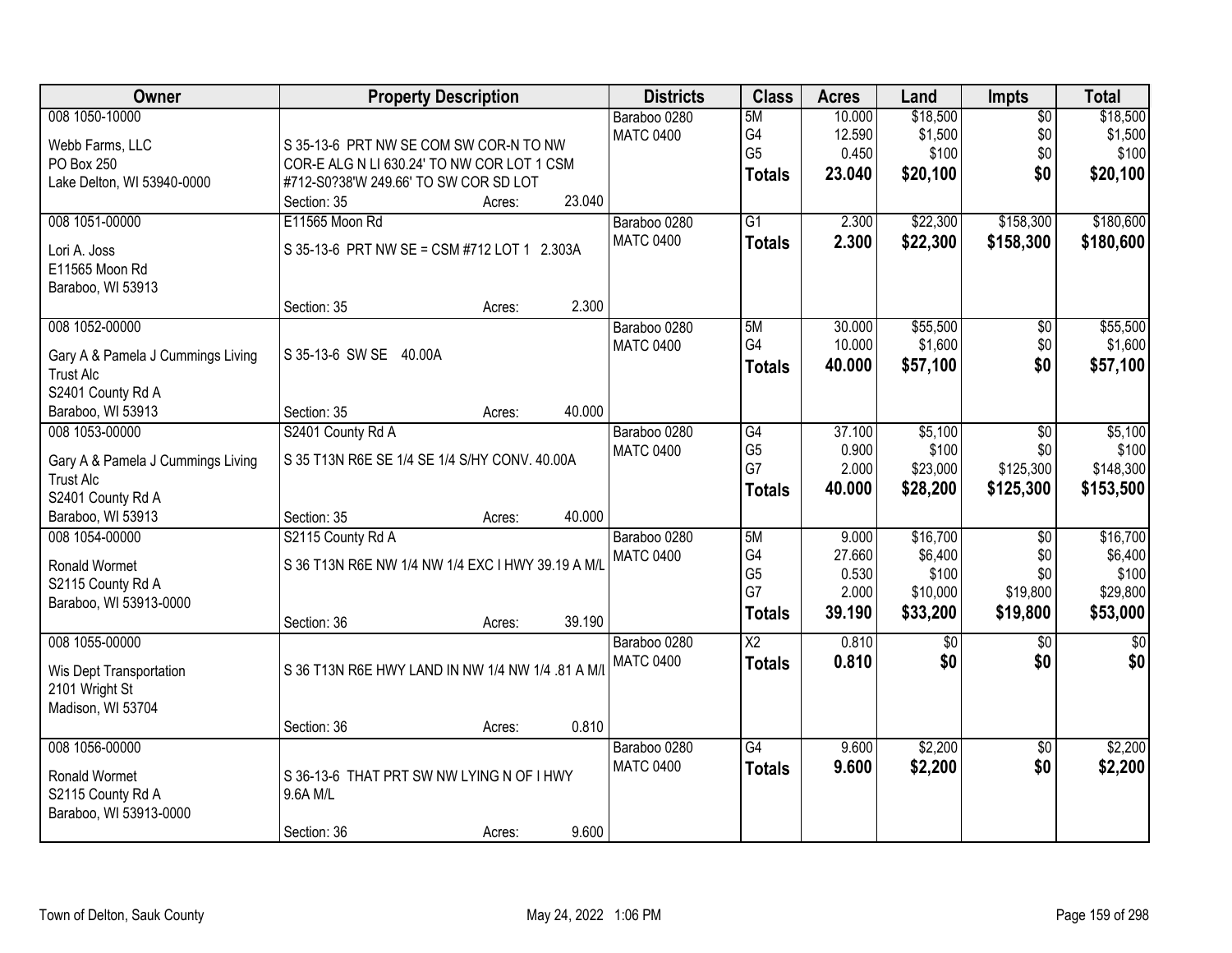| Owner                             | <b>Property Description</b>                       | <b>Districts</b> | <b>Class</b>           | <b>Acres</b> | Land     | <b>Impts</b>    | <b>Total</b>  |
|-----------------------------------|---------------------------------------------------|------------------|------------------------|--------------|----------|-----------------|---------------|
| 008 1050-10000                    |                                                   | Baraboo 0280     | 5M                     | 10.000       | \$18,500 | $\overline{50}$ | \$18,500      |
| Webb Farms, LLC                   | S 35-13-6 PRT NW SE COM SW COR-N TO NW            | <b>MATC 0400</b> | G4                     | 12.590       | \$1,500  | \$0             | \$1,500       |
| PO Box 250                        | COR-E ALG N LI 630.24' TO NW COR LOT 1 CSM        |                  | G <sub>5</sub>         | 0.450        | \$100    | \$0             | \$100         |
| Lake Delton, WI 53940-0000        | #712-S0?38'W 249.66' TO SW COR SD LOT             |                  | <b>Totals</b>          | 23.040       | \$20,100 | \$0             | \$20,100      |
|                                   | 23.040<br>Section: 35<br>Acres:                   |                  |                        |              |          |                 |               |
| 008 1051-00000                    | E11565 Moon Rd                                    | Baraboo 0280     | $\overline{G1}$        | 2.300        | \$22,300 | \$158,300       | \$180,600     |
|                                   | S 35-13-6 PRT NW SE = CSM #712 LOT 1 2.303A       | <b>MATC 0400</b> | <b>Totals</b>          | 2.300        | \$22,300 | \$158,300       | \$180,600     |
| Lori A. Joss<br>E11565 Moon Rd    |                                                   |                  |                        |              |          |                 |               |
| Baraboo, WI 53913                 |                                                   |                  |                        |              |          |                 |               |
|                                   | 2.300<br>Section: 35<br>Acres:                    |                  |                        |              |          |                 |               |
| 008 1052-00000                    |                                                   | Baraboo 0280     | 5M                     | 30.000       | \$55,500 | $\overline{50}$ | \$55,500      |
|                                   |                                                   | <b>MATC 0400</b> | G4                     | 10.000       | \$1,600  | \$0             | \$1,600       |
| Gary A & Pamela J Cummings Living | S 35-13-6 SW SE<br>40.00A                         |                  | <b>Totals</b>          | 40.000       | \$57,100 | \$0             | \$57,100      |
| <b>Trust Alc</b>                  |                                                   |                  |                        |              |          |                 |               |
| S2401 County Rd A                 |                                                   |                  |                        |              |          |                 |               |
| Baraboo, WI 53913                 | 40.000<br>Section: 35<br>Acres:                   |                  |                        |              |          |                 |               |
| 008 1053-00000                    | S2401 County Rd A                                 | Baraboo 0280     | G4                     | 37.100       | \$5,100  | \$0             | \$5,100       |
| Gary A & Pamela J Cummings Living | S 35 T13N R6E SE 1/4 SE 1/4 S/HY CONV. 40.00A     | <b>MATC 0400</b> | G <sub>5</sub>         | 0.900        | \$100    | \$0             | \$100         |
| <b>Trust Alc</b>                  |                                                   |                  | G7                     | 2.000        | \$23,000 | \$125,300       | \$148,300     |
| S2401 County Rd A                 |                                                   |                  | <b>Totals</b>          | 40.000       | \$28,200 | \$125,300       | \$153,500     |
| Baraboo, WI 53913                 | 40.000<br>Section: 35<br>Acres:                   |                  |                        |              |          |                 |               |
| 008 1054-00000                    | S2115 County Rd A                                 | Baraboo 0280     | 5M                     | 9.000        | \$16,700 | $\overline{50}$ | \$16,700      |
| Ronald Wormet                     | S 36 T13N R6E NW 1/4 NW 1/4 EXC I HWY 39.19 A M/I | <b>MATC 0400</b> | G4                     | 27.660       | \$6,400  | \$0             | \$6,400       |
| S2115 County Rd A                 |                                                   |                  | G <sub>5</sub>         | 0.530        | \$100    | \$0             | \$100         |
| Baraboo, WI 53913-0000            |                                                   |                  | G7                     | 2.000        | \$10,000 | \$19,800        | \$29,800      |
|                                   | 39.190<br>Section: 36<br>Acres:                   |                  | <b>Totals</b>          | 39.190       | \$33,200 | \$19,800        | \$53,000      |
| 008 1055-00000                    |                                                   | Baraboo 0280     | $\overline{\text{X2}}$ | 0.810        | \$0      | $\sqrt{6}$      | $\frac{1}{6}$ |
|                                   |                                                   | <b>MATC 0400</b> | <b>Totals</b>          | 0.810        | \$0      | \$0             | \$0           |
| Wis Dept Transportation           | S 36 T13N R6E HWY LAND IN NW 1/4 NW 1/4 .81 A M/  |                  |                        |              |          |                 |               |
| 2101 Wright St                    |                                                   |                  |                        |              |          |                 |               |
| Madison, WI 53704                 | 0.810                                             |                  |                        |              |          |                 |               |
| 008 1056-00000                    | Section: 36<br>Acres:                             | Baraboo 0280     | $\overline{G4}$        | 9.600        | \$2,200  | $\overline{50}$ | \$2,200       |
|                                   |                                                   | <b>MATC 0400</b> |                        | 9.600        | \$2,200  | \$0             |               |
| Ronald Wormet                     | S 36-13-6 THAT PRT SW NW LYING N OF I HWY         |                  | <b>Totals</b>          |              |          |                 | \$2,200       |
| S2115 County Rd A                 | 9.6A M/L                                          |                  |                        |              |          |                 |               |
| Baraboo, WI 53913-0000            |                                                   |                  |                        |              |          |                 |               |
|                                   | 9.600<br>Section: 36<br>Acres:                    |                  |                        |              |          |                 |               |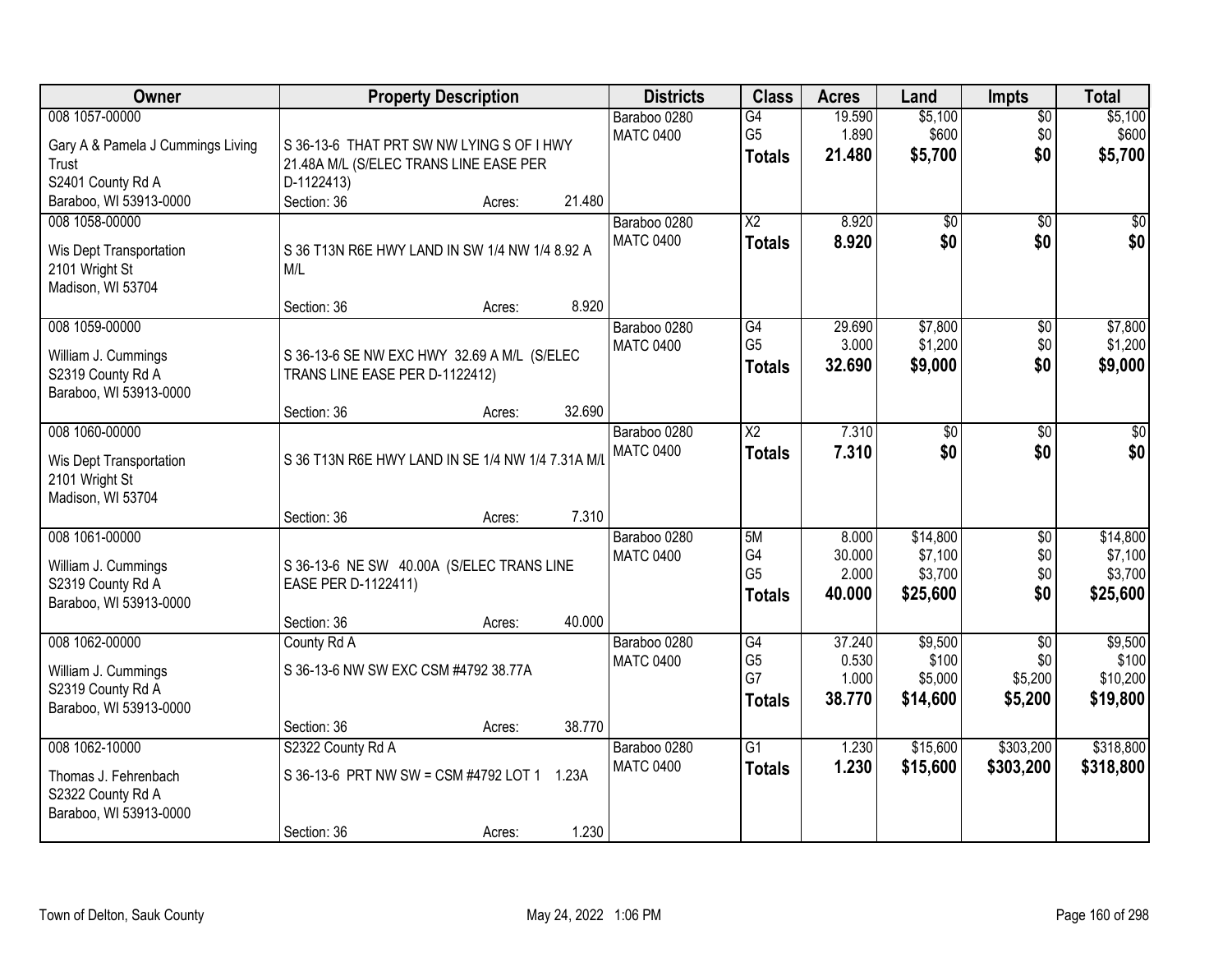| Owner                                                                                 | <b>Property Description</b>                                                                       |        |                | <b>Districts</b>                 | <b>Class</b>                                       | <b>Acres</b>                       | Land                                       | <b>Impts</b>                         | <b>Total</b>                               |
|---------------------------------------------------------------------------------------|---------------------------------------------------------------------------------------------------|--------|----------------|----------------------------------|----------------------------------------------------|------------------------------------|--------------------------------------------|--------------------------------------|--------------------------------------------|
| 008 1057-00000<br>Gary A & Pamela J Cummings Living<br>Trust<br>S2401 County Rd A     | S 36-13-6 THAT PRT SW NW LYING S OF I HWY<br>21.48A M/L (S/ELEC TRANS LINE EASE PER<br>D-1122413) |        |                | Baraboo 0280<br><b>MATC 0400</b> | $\overline{G4}$<br>G <sub>5</sub><br><b>Totals</b> | 19.590<br>1.890<br>21.480          | \$5,100<br>\$600<br>\$5,700                | $\overline{50}$<br>\$0<br>\$0        | \$5,100<br>\$600<br>\$5,700                |
| Baraboo, WI 53913-0000                                                                | Section: 36                                                                                       | Acres: | 21.480         |                                  |                                                    |                                    |                                            |                                      |                                            |
| 008 1058-00000<br>Wis Dept Transportation<br>2101 Wright St<br>Madison, WI 53704      | S 36 T13N R6E HWY LAND IN SW 1/4 NW 1/4 8.92 A<br>M/L<br>Section: 36                              | Acres: | 8.920          | Baraboo 0280<br><b>MATC 0400</b> | $\overline{X2}$<br><b>Totals</b>                   | 8.920<br>8.920                     | $\overline{50}$<br>\$0                     | $\overline{50}$<br>\$0               | $\sqrt{50}$<br>\$0                         |
| 008 1059-00000                                                                        |                                                                                                   |        |                | Baraboo 0280                     | G4                                                 | 29.690                             | \$7,800                                    | \$0                                  | \$7,800                                    |
| William J. Cummings<br>S2319 County Rd A<br>Baraboo, WI 53913-0000                    | S 36-13-6 SE NW EXC HWY 32.69 A M/L (S/ELEC<br>TRANS LINE EASE PER D-1122412)                     |        |                | <b>MATC 0400</b>                 | G <sub>5</sub><br><b>Totals</b>                    | 3.000<br>32.690                    | \$1,200<br>\$9,000                         | \$0<br>\$0                           | \$1,200<br>\$9,000                         |
|                                                                                       | Section: 36                                                                                       | Acres: | 32.690         |                                  |                                                    |                                    |                                            |                                      |                                            |
| 008 1060-00000<br>Wis Dept Transportation<br>2101 Wright St<br>Madison, WI 53704      | S 36 T13N R6E HWY LAND IN SE 1/4 NW 1/4 7.31A M/L                                                 |        |                | Baraboo 0280<br><b>MATC 0400</b> | $\overline{\text{X2}}$<br><b>Totals</b>            | 7.310<br>7.310                     | $\overline{30}$<br>\$0                     | \$0<br>\$0                           | $\overline{50}$<br>\$0                     |
|                                                                                       | Section: 36                                                                                       | Acres: | 7.310          |                                  |                                                    |                                    |                                            |                                      |                                            |
| 008 1061-00000<br>William J. Cummings<br>S2319 County Rd A<br>Baraboo, WI 53913-0000  | S 36-13-6 NE SW 40.00A (S/ELEC TRANS LINE<br>EASE PER D-1122411)<br>Section: 36                   | Acres: | 40.000         | Baraboo 0280<br><b>MATC 0400</b> | 5M<br>G4<br>G <sub>5</sub><br><b>Totals</b>        | 8.000<br>30.000<br>2.000<br>40.000 | \$14,800<br>\$7,100<br>\$3,700<br>\$25,600 | $\overline{50}$<br>\$0<br>\$0<br>\$0 | \$14,800<br>\$7,100<br>\$3,700<br>\$25,600 |
| 008 1062-00000                                                                        | County Rd A                                                                                       |        |                | Baraboo 0280                     | G4                                                 | 37.240                             | \$9,500                                    | $\overline{30}$                      | \$9,500                                    |
| William J. Cummings<br>S2319 County Rd A<br>Baraboo, WI 53913-0000                    | S 36-13-6 NW SW EXC CSM #4792 38.77A                                                              |        |                | <b>MATC 0400</b>                 | G <sub>5</sub><br>G7<br><b>Totals</b>              | 0.530<br>1.000<br>38.770           | \$100<br>\$5,000<br>\$14,600               | \$0<br>\$5,200<br>\$5,200            | \$100<br>\$10,200<br>\$19,800              |
|                                                                                       | Section: 36                                                                                       | Acres: | 38.770         |                                  |                                                    |                                    |                                            |                                      |                                            |
| 008 1062-10000<br>Thomas J. Fehrenbach<br>S2322 County Rd A<br>Baraboo, WI 53913-0000 | S2322 County Rd A<br>S 36-13-6 PRT NW SW = CSM #4792 LOT 1<br>Section: 36                         | Acres: | 1.23A<br>1.230 | Baraboo 0280<br><b>MATC 0400</b> | $\overline{G1}$<br><b>Totals</b>                   | 1.230<br>1.230                     | \$15,600<br>\$15,600                       | \$303,200<br>\$303,200               | \$318,800<br>\$318,800                     |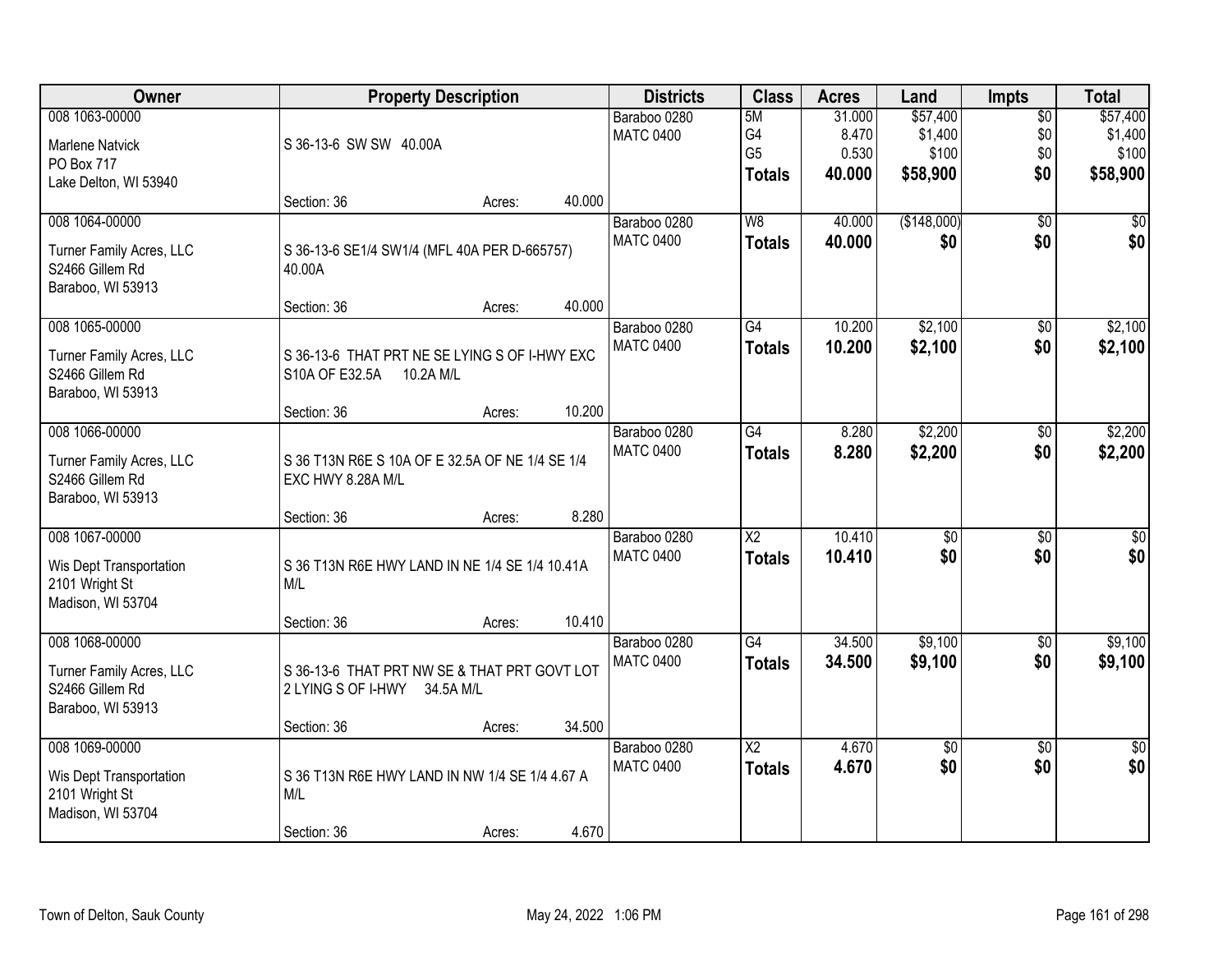| Owner                                                                              | <b>Property Description</b>                                                  |        |        | <b>Districts</b>                 | <b>Class</b>                                | <b>Acres</b>                       | Land                                     | Impts                                | <b>Total</b>                             |
|------------------------------------------------------------------------------------|------------------------------------------------------------------------------|--------|--------|----------------------------------|---------------------------------------------|------------------------------------|------------------------------------------|--------------------------------------|------------------------------------------|
| 008 1063-00000<br><b>Marlene Natvick</b><br>PO Box 717                             | S 36-13-6 SW SW 40.00A                                                       |        |        | Baraboo 0280<br><b>MATC 0400</b> | 5M<br>G4<br>G <sub>5</sub><br><b>Totals</b> | 31.000<br>8.470<br>0.530<br>40.000 | \$57,400<br>\$1,400<br>\$100<br>\$58,900 | $\overline{50}$<br>\$0<br>\$0<br>\$0 | \$57,400<br>\$1,400<br>\$100<br>\$58,900 |
| Lake Delton, WI 53940                                                              | Section: 36                                                                  | Acres: | 40.000 |                                  |                                             |                                    |                                          |                                      |                                          |
| 008 1064-00000<br>Turner Family Acres, LLC<br>S2466 Gillem Rd<br>Baraboo, WI 53913 | S 36-13-6 SE1/4 SW1/4 (MFL 40A PER D-665757)<br>40.00A                       |        |        | Baraboo 0280<br><b>MATC 0400</b> | W8<br><b>Totals</b>                         | 40.000<br>40.000                   | (\$148,000)<br>\$0                       | $\overline{30}$<br>\$0               | \$0<br>\$0                               |
| 008 1065-00000                                                                     | Section: 36                                                                  | Acres: | 40.000 | Baraboo 0280                     | G4                                          | 10.200                             | \$2,100                                  | $\overline{50}$                      | \$2,100                                  |
| Turner Family Acres, LLC<br>S2466 Gillem Rd<br>Baraboo, WI 53913                   | S 36-13-6 THAT PRT NE SE LYING S OF I-HWY EXC<br>S10A OF E32.5A<br>10.2A M/L |        |        | <b>MATC 0400</b>                 | <b>Totals</b>                               | 10.200                             | \$2,100                                  | \$0                                  | \$2,100                                  |
|                                                                                    | Section: 36                                                                  | Acres: | 10.200 |                                  |                                             |                                    |                                          |                                      |                                          |
| 008 1066-00000<br>Turner Family Acres, LLC<br>S2466 Gillem Rd<br>Baraboo, WI 53913 | S 36 T13N R6E S 10A OF E 32.5A OF NE 1/4 SE 1/4<br>EXC HWY 8.28A M/L         |        |        | Baraboo 0280<br><b>MATC 0400</b> | $\overline{G4}$<br><b>Totals</b>            | 8.280<br>8.280                     | \$2,200<br>\$2,200                       | \$0<br>\$0                           | \$2,200<br>\$2,200                       |
|                                                                                    | Section: 36                                                                  | Acres: | 8.280  |                                  |                                             |                                    |                                          |                                      |                                          |
| 008 1067-00000<br>Wis Dept Transportation<br>2101 Wright St<br>Madison, WI 53704   | S 36 T13N R6E HWY LAND IN NE 1/4 SE 1/4 10.41A<br>M/L                        |        |        | Baraboo 0280<br><b>MATC 0400</b> | $\overline{\text{X2}}$<br><b>Totals</b>     | 10.410<br>10.410                   | \$0<br>\$0                               | $\overline{30}$<br>\$0               | \$0<br>\$0                               |
|                                                                                    | Section: 36                                                                  | Acres: | 10.410 |                                  |                                             |                                    |                                          |                                      |                                          |
| 008 1068-00000<br>Turner Family Acres, LLC<br>S2466 Gillem Rd<br>Baraboo, WI 53913 | S 36-13-6 THAT PRT NW SE & THAT PRT GOVT LOT<br>2 LYING S OF I-HWY 34.5A M/L |        |        | Baraboo 0280<br><b>MATC 0400</b> | G4<br><b>Totals</b>                         | 34.500<br>34.500                   | \$9,100<br>\$9,100                       | $\sqrt{6}$<br>\$0                    | \$9,100<br>\$9,100                       |
|                                                                                    | Section: 36                                                                  | Acres: | 34.500 |                                  |                                             |                                    |                                          |                                      |                                          |
| 008 1069-00000<br>Wis Dept Transportation<br>2101 Wright St<br>Madison, WI 53704   | S 36 T13N R6E HWY LAND IN NW 1/4 SE 1/4 4.67 A<br>M/L<br>Section: 36         | Acres: | 4.670  | Baraboo 0280<br><b>MATC 0400</b> | $\overline{X2}$<br><b>Totals</b>            | 4.670<br>4.670                     | $\sqrt{$0}$<br>\$0                       | $\overline{30}$<br>\$0               | $\overline{50}$<br>\$0                   |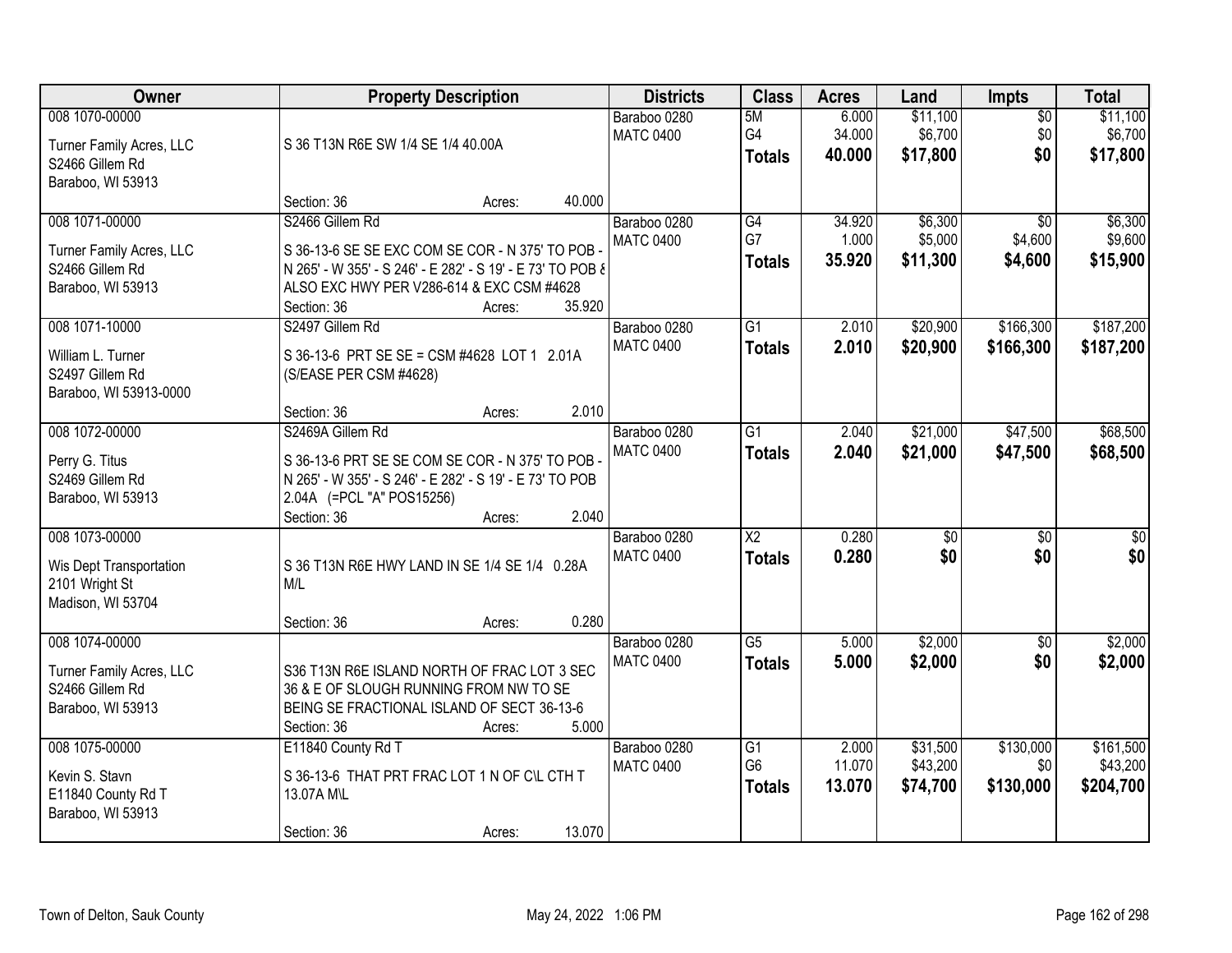| Owner                                                                              |                                                                                                                                                                                             | <b>Property Description</b> | <b>Districts</b>                           | <b>Class</b>                            | <b>Acres</b>              | Land                             | <b>Impts</b>                          | <b>Total</b>                       |
|------------------------------------------------------------------------------------|---------------------------------------------------------------------------------------------------------------------------------------------------------------------------------------------|-----------------------------|--------------------------------------------|-----------------------------------------|---------------------------|----------------------------------|---------------------------------------|------------------------------------|
| 008 1070-00000<br>Turner Family Acres, LLC<br>S2466 Gillem Rd<br>Baraboo, WI 53913 | S 36 T13N R6E SW 1/4 SE 1/4 40.00A                                                                                                                                                          |                             | Baraboo 0280<br><b>MATC 0400</b>           | 5M<br>G4<br><b>Totals</b>               | 6.000<br>34.000<br>40.000 | \$11,100<br>\$6,700<br>\$17,800  | $\overline{50}$<br>\$0<br>\$0         | \$11,100<br>\$6,700<br>\$17,800    |
|                                                                                    | Section: 36                                                                                                                                                                                 | Acres:                      | 40.000                                     |                                         |                           |                                  |                                       |                                    |
| 008 1071-00000<br>Turner Family Acres, LLC<br>S2466 Gillem Rd<br>Baraboo, WI 53913 | S2466 Gillem Rd<br>S 36-13-6 SE SE EXC COM SE COR - N 375' TO POB<br>N 265' - W 355' - S 246' - E 282' - S 19' - E 73' TO POB &<br>ALSO EXC HWY PER V286-614 & EXC CSM #4628<br>Section: 36 | Acres:                      | Baraboo 0280<br><b>MATC 0400</b><br>35.920 | G4<br>G7<br><b>Totals</b>               | 34.920<br>1.000<br>35.920 | \$6,300<br>\$5,000<br>\$11,300   | $\overline{50}$<br>\$4,600<br>\$4,600 | \$6,300<br>\$9,600<br>\$15,900     |
| 008 1071-10000<br>William L. Turner<br>S2497 Gillem Rd<br>Baraboo, WI 53913-0000   | S2497 Gillem Rd<br>S 36-13-6 PRT SE SE = CSM #4628 LOT 1 2.01A<br>(S/EASE PER CSM #4628)<br>Section: 36                                                                                     | Acres:                      | Baraboo 0280<br><b>MATC 0400</b><br>2.010  | G1<br><b>Totals</b>                     | 2.010<br>2.010            | \$20,900<br>\$20,900             | \$166,300<br>\$166,300                | \$187,200<br>\$187,200             |
| 008 1072-00000<br>Perry G. Titus<br>S2469 Gillem Rd<br>Baraboo, WI 53913           | S2469A Gillem Rd<br>S 36-13-6 PRT SE SE COM SE COR - N 375' TO POB -<br>N 265' - W 355' - S 246' - E 282' - S 19' - E 73' TO POB<br>2.04A (=PCL "A" POS15256)<br>Section: 36                | Acres:                      | Baraboo 0280<br><b>MATC 0400</b><br>2.040  | $\overline{G1}$<br><b>Totals</b>        | 2.040<br>2.040            | \$21,000<br>\$21,000             | \$47,500<br>\$47,500                  | \$68,500<br>\$68,500               |
| 008 1073-00000<br>Wis Dept Transportation<br>2101 Wright St<br>Madison, WI 53704   | S 36 T13N R6E HWY LAND IN SE 1/4 SE 1/4 0.28A<br>M/L<br>Section: 36                                                                                                                         | Acres:                      | Baraboo 0280<br><b>MATC 0400</b><br>0.280  | $\overline{\text{X2}}$<br><b>Totals</b> | 0.280<br>0.280            | $\overline{50}$<br>\$0           | $\overline{30}$<br>\$0                | $\overline{30}$<br>\$0             |
| 008 1074-00000<br>Turner Family Acres, LLC<br>S2466 Gillem Rd<br>Baraboo, WI 53913 | S36 T13N R6E ISLAND NORTH OF FRAC LOT 3 SEC<br>36 & E OF SLOUGH RUNNING FROM NW TO SE<br>BEING SE FRACTIONAL ISLAND OF SECT 36-13-6<br>Section: 36                                          | Acres:                      | Baraboo 0280<br><b>MATC 0400</b><br>5.000  | $\overline{G5}$<br><b>Totals</b>        | 5.000<br>5.000            | \$2,000<br>\$2,000               | $\sqrt{$0}$<br>\$0                    | \$2,000<br>\$2,000                 |
| 008 1075-00000<br>Kevin S. Stavn<br>E11840 County Rd T<br>Baraboo, WI 53913        | E11840 County Rd T<br>S 36-13-6 THAT PRT FRAC LOT 1 N OF C\L CTH T<br>13.07A M\L<br>Section: 36                                                                                             | Acres:                      | Baraboo 0280<br><b>MATC 0400</b><br>13.070 | G1<br>G <sub>6</sub><br><b>Totals</b>   | 2.000<br>11.070<br>13.070 | \$31,500<br>\$43,200<br>\$74,700 | \$130,000<br>\$0<br>\$130,000         | \$161,500<br>\$43,200<br>\$204,700 |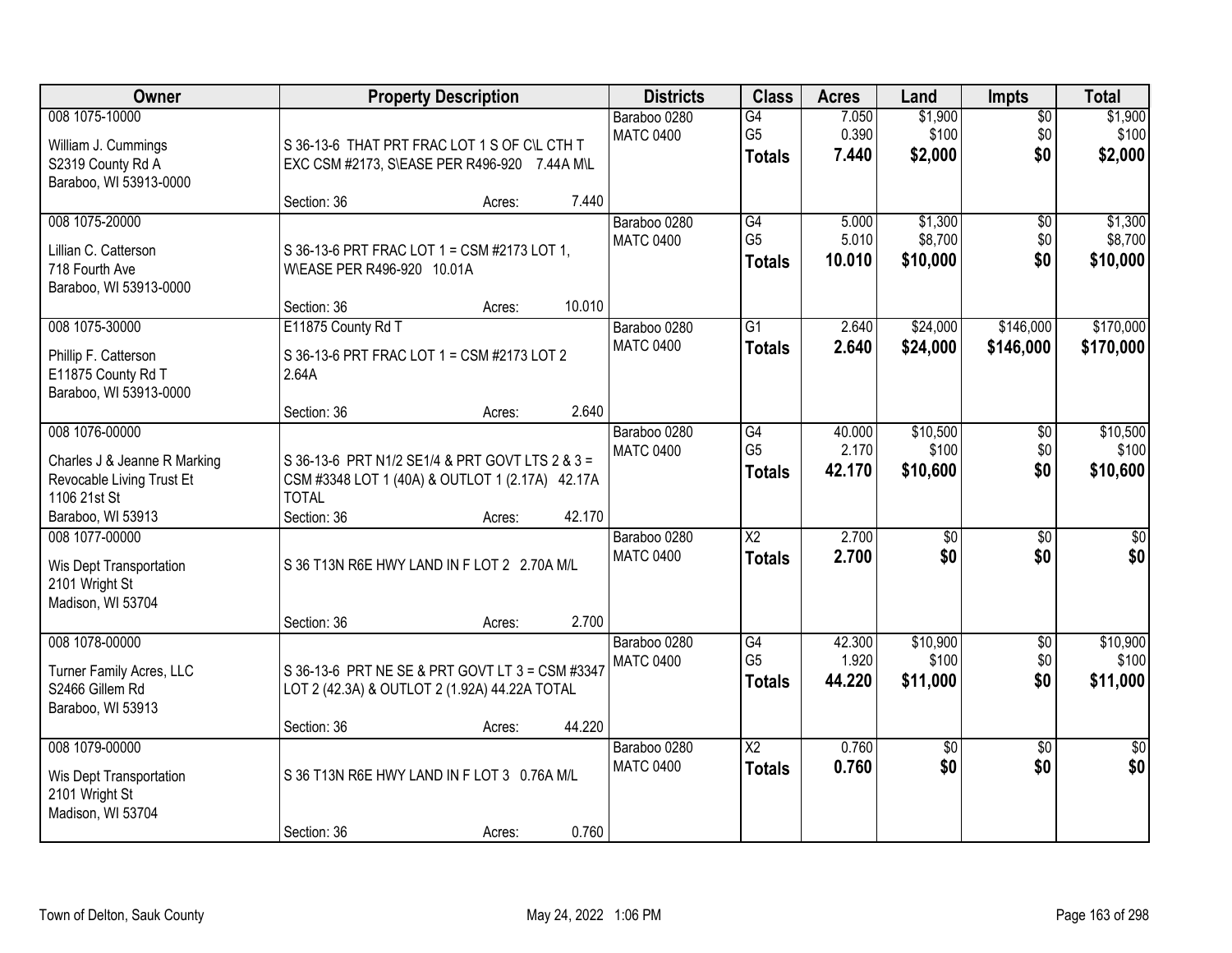| Owner                                                                                                            | <b>Property Description</b>                                                                                                                 | <b>Districts</b>                           | <b>Class</b>                                       | <b>Acres</b>              | Land                           | Impts                         | <b>Total</b>                   |
|------------------------------------------------------------------------------------------------------------------|---------------------------------------------------------------------------------------------------------------------------------------------|--------------------------------------------|----------------------------------------------------|---------------------------|--------------------------------|-------------------------------|--------------------------------|
| 008 1075-10000<br>William J. Cummings<br>S2319 County Rd A<br>Baraboo, WI 53913-0000                             | S 36-13-6 THAT PRT FRAC LOT 1 S OF C\L CTH T<br>EXC CSM #2173, S\EASE PER R496-920 7.44A M\L                                                | Baraboo 0280<br><b>MATC 0400</b>           | G4<br>G <sub>5</sub><br><b>Totals</b>              | 7.050<br>0.390<br>7.440   | \$1,900<br>\$100<br>\$2,000    | $\overline{50}$<br>\$0<br>\$0 | \$1,900<br>\$100<br>\$2,000    |
|                                                                                                                  | Section: 36<br>Acres:                                                                                                                       | 7.440                                      |                                                    |                           |                                |                               |                                |
| 008 1075-20000<br>Lillian C. Catterson<br>718 Fourth Ave<br>Baraboo, WI 53913-0000                               | S 36-13-6 PRT FRAC LOT 1 = CSM #2173 LOT 1,<br>WEASE PER R496-920 10.01A<br>Section: 36<br>Acres:                                           | Baraboo 0280<br><b>MATC 0400</b><br>10.010 | G4<br>G <sub>5</sub><br><b>Totals</b>              | 5.000<br>5.010<br>10.010  | \$1,300<br>\$8,700<br>\$10,000 | \$0<br>\$0<br>\$0             | \$1,300<br>\$8,700<br>\$10,000 |
| 008 1075-30000                                                                                                   | E11875 County Rd T                                                                                                                          | Baraboo 0280                               | G1                                                 | 2.640                     | \$24,000                       | \$146,000                     | \$170,000                      |
| Phillip F. Catterson<br>E11875 County Rd T<br>Baraboo, WI 53913-0000                                             | S 36-13-6 PRT FRAC LOT 1 = CSM #2173 LOT 2<br>2.64A                                                                                         | <b>MATC 0400</b>                           | <b>Totals</b>                                      | 2.640                     | \$24,000                       | \$146,000                     | \$170,000                      |
|                                                                                                                  | Section: 36<br>Acres:                                                                                                                       | 2.640                                      |                                                    |                           |                                |                               |                                |
| 008 1076-00000<br>Charles J & Jeanne R Marking<br>Revocable Living Trust Et<br>1106 21st St<br>Baraboo, WI 53913 | S 36-13-6 PRT N1/2 SE1/4 & PRT GOVT LTS 2 & 3 =<br>CSM #3348 LOT 1 (40A) & OUTLOT 1 (2.17A) 42.17A<br><b>TOTAL</b><br>Section: 36<br>Acres: | Baraboo 0280<br><b>MATC 0400</b><br>42.170 | G4<br>G <sub>5</sub><br><b>Totals</b>              | 40.000<br>2.170<br>42.170 | \$10,500<br>\$100<br>\$10,600  | \$0<br>\$0<br>\$0             | \$10,500<br>\$100<br>\$10,600  |
| 008 1077-00000<br>Wis Dept Transportation<br>2101 Wright St<br>Madison, WI 53704                                 | S 36 T13N R6E HWY LAND IN F LOT 2 2.70A M/L<br>Section: 36<br>Acres:                                                                        | Baraboo 0280<br><b>MATC 0400</b><br>2.700  | $\overline{X2}$<br><b>Totals</b>                   | 2.700<br>2.700            | \$0<br>\$0                     | $\overline{50}$<br>\$0        | $\overline{50}$<br>\$0         |
| 008 1078-00000<br>Turner Family Acres, LLC<br>S2466 Gillem Rd<br>Baraboo, WI 53913                               | S 36-13-6 PRT NE SE & PRT GOVT LT 3 = CSM #3347<br>LOT 2 (42.3A) & OUTLOT 2 (1.92A) 44.22A TOTAL<br>Section: 36<br>Acres:                   | Baraboo 0280<br><b>MATC 0400</b><br>44.220 | $\overline{G4}$<br>G <sub>5</sub><br><b>Totals</b> | 42.300<br>1.920<br>44.220 | \$10,900<br>\$100<br>\$11,000  | $\sqrt{6}$<br>\$0<br>\$0      | \$10,900<br>\$100<br>\$11,000  |
| 008 1079-00000<br>Wis Dept Transportation<br>2101 Wright St<br>Madison, WI 53704                                 | S 36 T13N R6E HWY LAND IN F LOT 3 0.76A M/L<br>Section: 36<br>Acres:                                                                        | Baraboo 0280<br><b>MATC 0400</b><br>0.760  | $\overline{\text{X2}}$<br><b>Totals</b>            | 0.760<br>0.760            | \$0<br>\$0                     | $\overline{50}$<br>\$0        | $\overline{50}$<br>\$0         |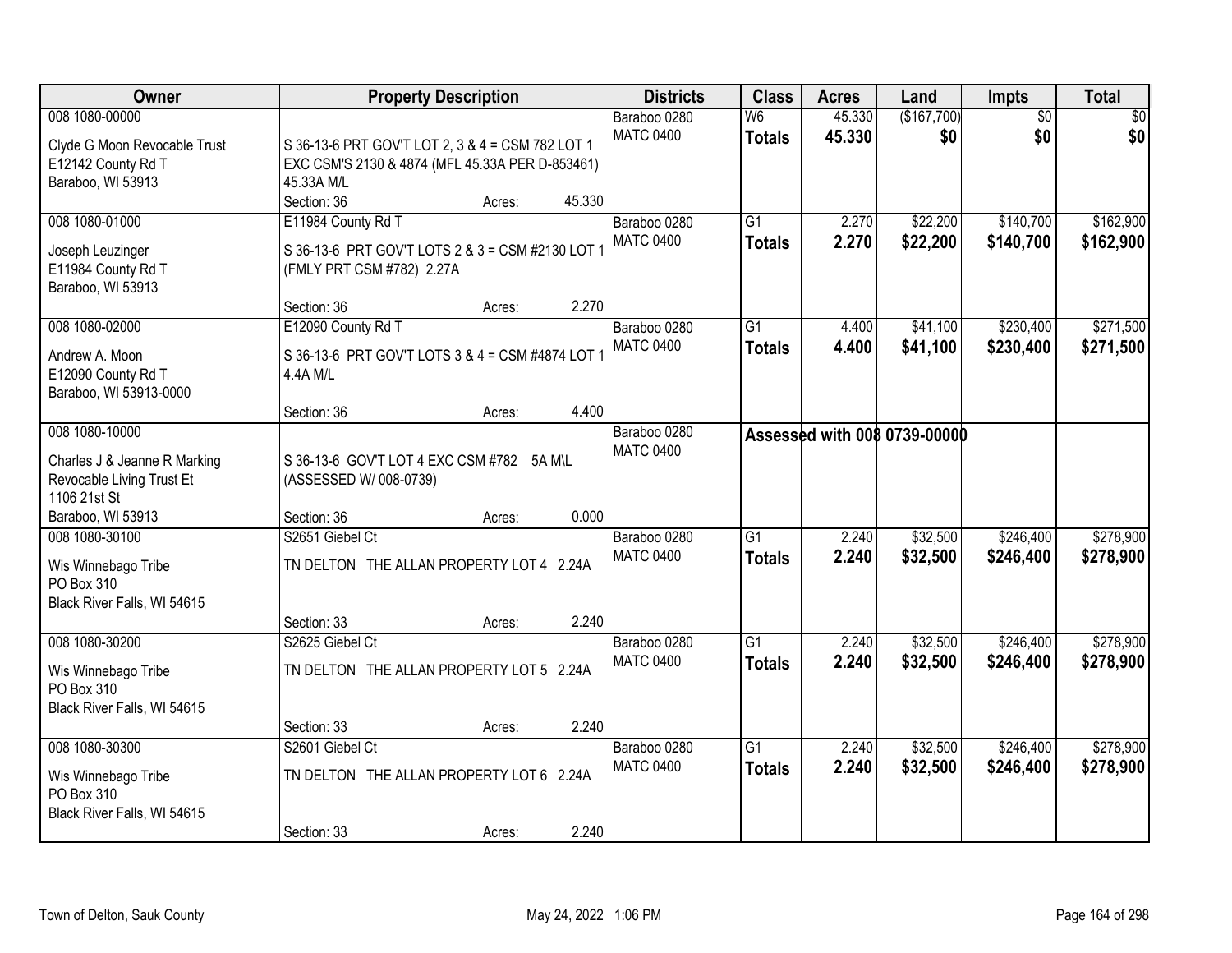| Owner                                                                                                            | <b>Property Description</b>                                                                                                             | <b>Districts</b>                 | <b>Class</b>                     | <b>Acres</b>     | Land                         | Impts                  | <b>Total</b>           |
|------------------------------------------------------------------------------------------------------------------|-----------------------------------------------------------------------------------------------------------------------------------------|----------------------------------|----------------------------------|------------------|------------------------------|------------------------|------------------------|
| 008 1080-00000<br>Clyde G Moon Revocable Trust<br>E12142 County Rd T<br>Baraboo, WI 53913                        | S 36-13-6 PRT GOV'T LOT 2, 3 & 4 = CSM 782 LOT 1<br>EXC CSM'S 2130 & 4874 (MFL 45.33A PER D-853461)<br>45.33A M/L                       | Baraboo 0280<br><b>MATC 0400</b> | W6<br><b>Totals</b>              | 45.330<br>45.330 | (\$167,700)<br>\$0           | $\overline{30}$<br>\$0 | $\overline{50}$<br>\$0 |
| 008 1080-01000<br>Joseph Leuzinger<br>E11984 County Rd T<br>Baraboo, WI 53913                                    | Section: 36<br>45.330<br>Acres:<br>E11984 County Rd T<br>S 36-13-6 PRT GOV'T LOTS 2 & 3 = CSM #2130 LOT<br>(FMLY PRT CSM #782) 2.27A    | Baraboo 0280<br><b>MATC 0400</b> | $\overline{G1}$<br><b>Totals</b> | 2.270<br>2.270   | \$22,200<br>\$22,200         | \$140,700<br>\$140,700 | \$162,900<br>\$162,900 |
| 008 1080-02000<br>Andrew A. Moon<br>E12090 County Rd T<br>Baraboo, WI 53913-0000                                 | 2.270<br>Section: 36<br>Acres:<br>E12090 County Rd T<br>S 36-13-6 PRT GOV'T LOTS 3 & 4 = CSM #4874 LOT<br>4.4A M/L                      | Baraboo 0280<br><b>MATC 0400</b> | $\overline{G1}$<br><b>Totals</b> | 4.400<br>4.400   | \$41,100<br>\$41,100         | \$230,400<br>\$230,400 | \$271,500<br>\$271,500 |
| 008 1080-10000<br>Charles J & Jeanne R Marking<br>Revocable Living Trust Et<br>1106 21st St<br>Baraboo, WI 53913 | 4.400<br>Section: 36<br>Acres:<br>S 36-13-6 GOV'T LOT 4 EXC CSM #782 5A M\L<br>(ASSESSED W/ 008-0739)<br>0.000<br>Section: 36<br>Acres: | Baraboo 0280<br><b>MATC 0400</b> |                                  |                  | Assessed with 008 0739-00000 |                        |                        |
| 008 1080-30100<br>Wis Winnebago Tribe<br>PO Box 310<br>Black River Falls, WI 54615                               | S2651 Giebel Ct<br>TN DELTON THE ALLAN PROPERTY LOT 4 2.24A<br>2.240<br>Section: 33<br>Acres:                                           | Baraboo 0280<br><b>MATC 0400</b> | $\overline{G1}$<br><b>Totals</b> | 2.240<br>2.240   | \$32,500<br>\$32,500         | \$246,400<br>\$246,400 | \$278,900<br>\$278,900 |
| 008 1080-30200<br>Wis Winnebago Tribe<br>PO Box 310<br>Black River Falls, WI 54615                               | S2625 Giebel Ct<br>TN DELTON THE ALLAN PROPERTY LOT 5 2.24A<br>2.240<br>Section: 33<br>Acres:                                           | Baraboo 0280<br><b>MATC 0400</b> | $\overline{G1}$<br><b>Totals</b> | 2.240<br>2.240   | \$32,500<br>\$32,500         | \$246,400<br>\$246,400 | \$278,900<br>\$278,900 |
| 008 1080-30300<br>Wis Winnebago Tribe<br>PO Box 310<br>Black River Falls, WI 54615                               | S2601 Giebel Ct<br>TN DELTON THE ALLAN PROPERTY LOT 6 2.24A<br>2.240<br>Section: 33<br>Acres:                                           | Baraboo 0280<br><b>MATC 0400</b> | $\overline{G1}$<br><b>Totals</b> | 2.240<br>2.240   | \$32,500<br>\$32,500         | \$246,400<br>\$246,400 | \$278,900<br>\$278,900 |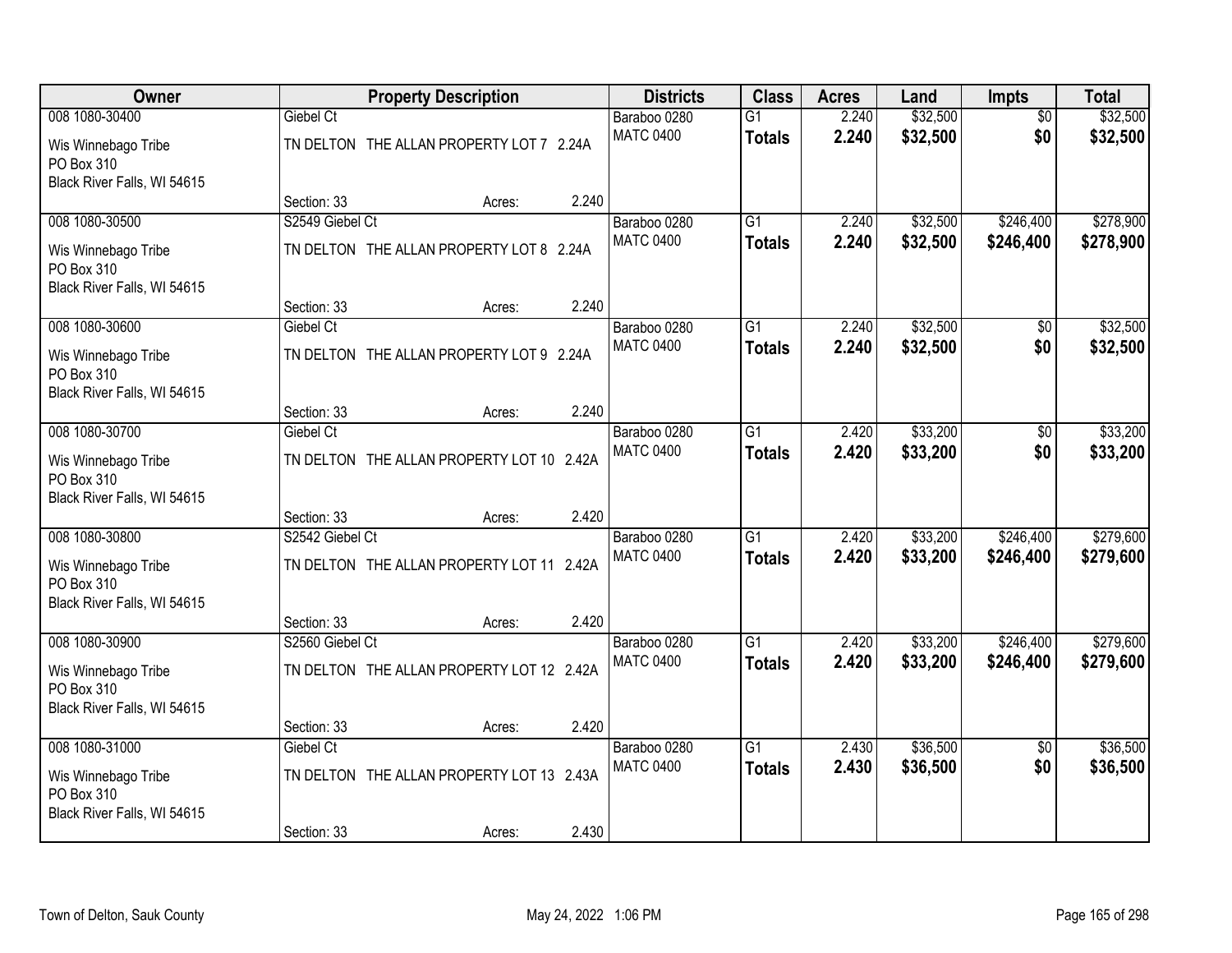| Owner                                     |                 | <b>Property Description</b>               |       |                                  | <b>Class</b>    | <b>Acres</b>   | Land                 | Impts                  | <b>Total</b>           |
|-------------------------------------------|-----------------|-------------------------------------------|-------|----------------------------------|-----------------|----------------|----------------------|------------------------|------------------------|
| 008 1080-30400                            | Giebel Ct       |                                           |       | Baraboo 0280                     | $\overline{G1}$ | 2.240          | \$32,500             | $\overline{50}$        | \$32,500               |
| Wis Winnebago Tribe                       |                 | TN DELTON THE ALLAN PROPERTY LOT 7 2.24A  |       | <b>MATC 0400</b>                 | <b>Totals</b>   | 2.240          | \$32,500             | \$0                    | \$32,500               |
| PO Box 310                                |                 |                                           |       |                                  |                 |                |                      |                        |                        |
| Black River Falls, WI 54615               |                 |                                           |       |                                  |                 |                |                      |                        |                        |
|                                           | Section: 33     | Acres:                                    | 2.240 |                                  | $\overline{G1}$ |                |                      |                        |                        |
| 008 1080-30500                            | S2549 Giebel Ct |                                           |       | Baraboo 0280<br><b>MATC 0400</b> |                 | 2.240<br>2.240 | \$32,500<br>\$32,500 | \$246,400<br>\$246,400 | \$278,900<br>\$278,900 |
| Wis Winnebago Tribe                       |                 | TN DELTON THE ALLAN PROPERTY LOT 8 2.24A  |       |                                  | <b>Totals</b>   |                |                      |                        |                        |
| PO Box 310                                |                 |                                           |       |                                  |                 |                |                      |                        |                        |
| Black River Falls, WI 54615               | Section: 33     | Acres:                                    | 2.240 |                                  |                 |                |                      |                        |                        |
| 008 1080-30600                            | Giebel Ct       |                                           |       | Baraboo 0280                     | G <sub>1</sub>  | 2.240          | \$32,500             | \$0                    | \$32,500               |
|                                           |                 |                                           |       | <b>MATC 0400</b>                 | <b>Totals</b>   | 2.240          | \$32,500             | \$0                    | \$32,500               |
| Wis Winnebago Tribe<br>PO Box 310         |                 | TN DELTON THE ALLAN PROPERTY LOT 9 2.24A  |       |                                  |                 |                |                      |                        |                        |
| Black River Falls, WI 54615               |                 |                                           |       |                                  |                 |                |                      |                        |                        |
|                                           | Section: 33     | Acres:                                    | 2.240 |                                  |                 |                |                      |                        |                        |
| 008 1080-30700                            | Giebel Ct       |                                           |       | Baraboo 0280                     | $\overline{G1}$ | 2.420          | \$33,200             | \$0                    | \$33,200               |
| Wis Winnebago Tribe                       |                 | TN DELTON THE ALLAN PROPERTY LOT 10 2.42A |       | <b>MATC 0400</b>                 | <b>Totals</b>   | 2.420          | \$33,200             | \$0                    | \$33,200               |
| PO Box 310                                |                 |                                           |       |                                  |                 |                |                      |                        |                        |
| Black River Falls, WI 54615               |                 |                                           |       |                                  |                 |                |                      |                        |                        |
|                                           | Section: 33     | Acres:                                    | 2.420 |                                  |                 |                |                      |                        |                        |
| 008 1080-30800                            | S2542 Giebel Ct |                                           |       | Baraboo 0280                     | $\overline{G1}$ | 2.420          | \$33,200             | \$246,400              | \$279,600              |
| Wis Winnebago Tribe                       |                 | TN DELTON THE ALLAN PROPERTY LOT 11 2.42A |       | <b>MATC 0400</b>                 | <b>Totals</b>   | 2.420          | \$33,200             | \$246,400              | \$279,600              |
| PO Box 310                                |                 |                                           |       |                                  |                 |                |                      |                        |                        |
| Black River Falls, WI 54615               |                 |                                           |       |                                  |                 |                |                      |                        |                        |
|                                           | Section: 33     | Acres:                                    | 2.420 |                                  |                 |                |                      |                        |                        |
| 008 1080-30900                            | S2560 Giebel Ct |                                           |       | Baraboo 0280<br><b>MATC 0400</b> | $\overline{G1}$ | 2.420<br>2.420 | \$33,200             | \$246,400<br>\$246,400 | \$279,600              |
| Wis Winnebago Tribe                       |                 | TN DELTON THE ALLAN PROPERTY LOT 12 2.42A |       |                                  | <b>Totals</b>   |                | \$33,200             |                        | \$279,600              |
| PO Box 310                                |                 |                                           |       |                                  |                 |                |                      |                        |                        |
| Black River Falls, WI 54615               | Section: 33     | Acres:                                    | 2.420 |                                  |                 |                |                      |                        |                        |
| 008 1080-31000                            | Giebel Ct       |                                           |       | Baraboo 0280                     | $\overline{G1}$ | 2.430          | \$36,500             | $\overline{50}$        | \$36,500               |
|                                           |                 |                                           |       | <b>MATC 0400</b>                 | <b>Totals</b>   | 2.430          | \$36,500             | \$0                    | \$36,500               |
| Wis Winnebago Tribe                       |                 | TN DELTON THE ALLAN PROPERTY LOT 13 2.43A |       |                                  |                 |                |                      |                        |                        |
| PO Box 310<br>Black River Falls, WI 54615 |                 |                                           |       |                                  |                 |                |                      |                        |                        |
|                                           | Section: 33     | Acres:                                    | 2.430 |                                  |                 |                |                      |                        |                        |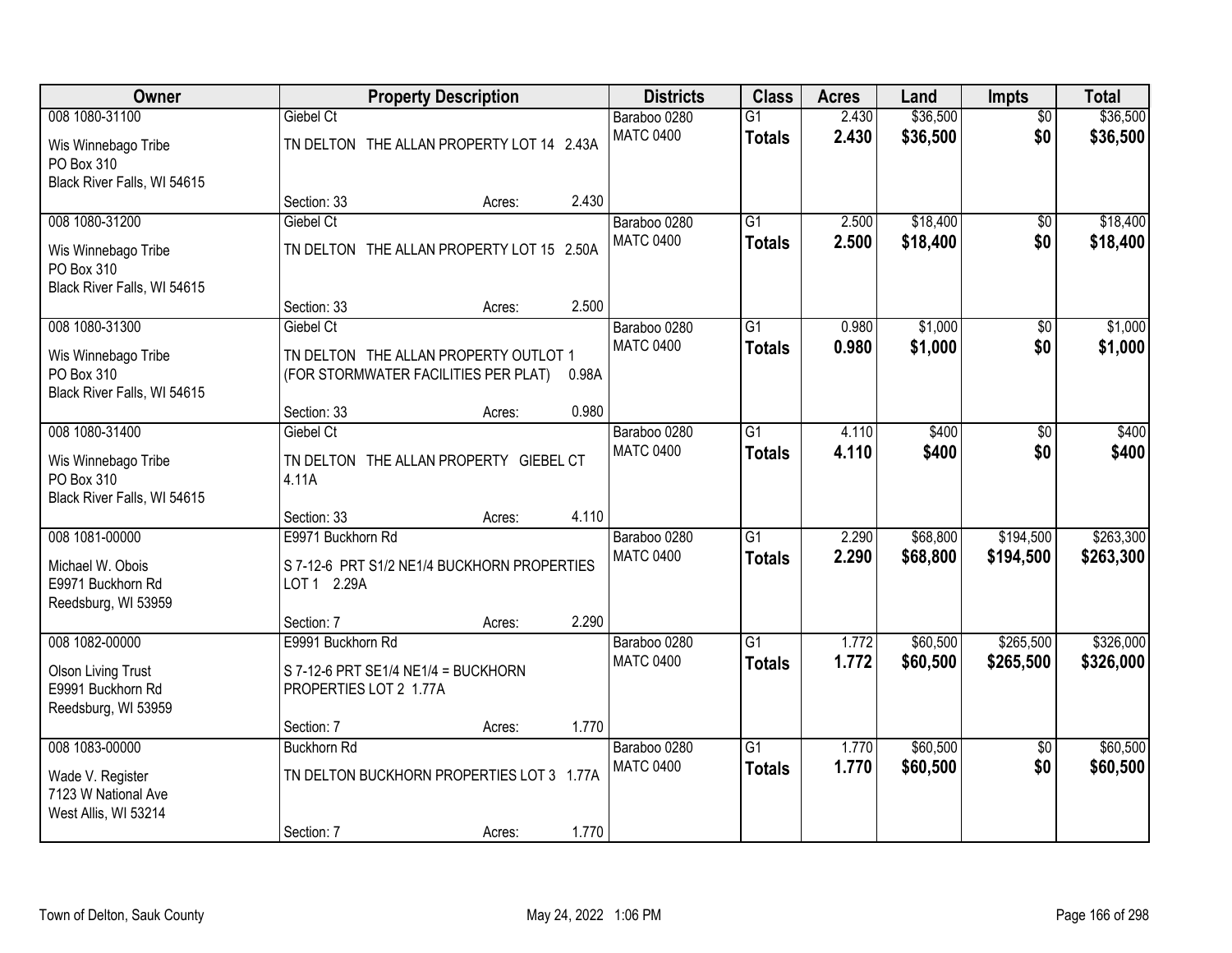| Owner                                                                 |                                                                               | <b>Property Description</b> |       |                                  | <b>Class</b>                     | <b>Acres</b>   | Land                 | Impts                  | <b>Total</b>         |
|-----------------------------------------------------------------------|-------------------------------------------------------------------------------|-----------------------------|-------|----------------------------------|----------------------------------|----------------|----------------------|------------------------|----------------------|
| 008 1080-31100<br>Wis Winnebago Tribe                                 | Giebel Ct<br>TN DELTON THE ALLAN PROPERTY LOT 14 2.43A                        |                             |       | Baraboo 0280<br><b>MATC 0400</b> | $\overline{G1}$<br><b>Totals</b> | 2.430<br>2.430 | \$36,500<br>\$36,500 | $\overline{50}$<br>\$0 | \$36,500<br>\$36,500 |
| PO Box 310<br>Black River Falls, WI 54615                             |                                                                               |                             |       |                                  |                                  |                |                      |                        |                      |
|                                                                       | Section: 33                                                                   | Acres:                      | 2.430 |                                  |                                  |                |                      |                        |                      |
| 008 1080-31200                                                        | Giebel Ct                                                                     |                             |       | Baraboo 0280                     | $\overline{G1}$                  | 2.500          | \$18,400             | \$0                    | \$18,400             |
| Wis Winnebago Tribe<br>PO Box 310                                     | TN DELTON THE ALLAN PROPERTY LOT 15 2.50A                                     |                             |       | <b>MATC 0400</b>                 | <b>Totals</b>                    | 2.500          | \$18,400             | \$0                    | \$18,400             |
| Black River Falls, WI 54615                                           | Section: 33                                                                   | Acres:                      | 2.500 |                                  |                                  |                |                      |                        |                      |
| 008 1080-31300                                                        | Giebel Ct                                                                     |                             |       | Baraboo 0280                     | G1                               | 0.980          | \$1,000              | \$0                    | \$1,000              |
| Wis Winnebago Tribe<br>PO Box 310<br>Black River Falls, WI 54615      | TN DELTON THE ALLAN PROPERTY OUTLOT 1<br>(FOR STORMWATER FACILITIES PER PLAT) |                             | 0.98A | <b>MATC 0400</b>                 | <b>Totals</b>                    | 0.980          | \$1,000              | \$0                    | \$1,000              |
|                                                                       | Section: 33                                                                   | Acres:                      | 0.980 |                                  |                                  |                |                      |                        |                      |
| 008 1080-31400                                                        | Giebel Ct                                                                     |                             |       | Baraboo 0280                     | G1                               | 4.110          | \$400                | \$0                    | \$400                |
| Wis Winnebago Tribe<br>PO Box 310<br>Black River Falls, WI 54615      | TN DELTON THE ALLAN PROPERTY GIEBEL CT<br>4.11A                               |                             |       | <b>MATC 0400</b>                 | <b>Totals</b>                    | 4.110          | \$400                | \$0                    | \$400                |
|                                                                       | Section: 33                                                                   | Acres:                      | 4.110 |                                  |                                  |                |                      |                        |                      |
| 008 1081-00000                                                        | E9971 Buckhorn Rd                                                             |                             |       | Baraboo 0280                     | $\overline{G1}$                  | 2.290          | \$68,800             | \$194,500              | \$263,300            |
| Michael W. Obois<br>E9971 Buckhorn Rd<br>Reedsburg, WI 53959          | S 7-12-6 PRT S1/2 NE1/4 BUCKHORN PROPERTIES<br>LOT 1 2.29A                    |                             |       | <b>MATC 0400</b>                 | <b>Totals</b>                    | 2.290          | \$68,800             | \$194,500              | \$263,300            |
|                                                                       | Section: 7                                                                    | Acres:                      | 2.290 |                                  |                                  |                |                      |                        |                      |
| 008 1082-00000                                                        | E9991 Buckhorn Rd                                                             |                             |       | Baraboo 0280                     | $\overline{G1}$                  | 1.772          | \$60,500             | \$265,500              | \$326,000            |
| <b>Olson Living Trust</b><br>E9991 Buckhorn Rd<br>Reedsburg, WI 53959 | S 7-12-6 PRT SE1/4 NE1/4 = BUCKHORN<br>PROPERTIES LOT 2 1.77A                 |                             |       | <b>MATC 0400</b>                 | <b>Totals</b>                    | 1.772          | \$60,500             | \$265,500              | \$326,000            |
|                                                                       | Section: 7                                                                    | Acres:                      | 1.770 |                                  |                                  |                |                      |                        |                      |
| 008 1083-00000                                                        | <b>Buckhorn Rd</b>                                                            |                             |       | Baraboo 0280                     | $\overline{G1}$                  | 1.770          | \$60,500             | $\overline{50}$        | \$60,500             |
| Wade V. Register<br>7123 W National Ave<br>West Allis, WI 53214       | TN DELTON BUCKHORN PROPERTIES LOT 3 1.77A                                     |                             |       | <b>MATC 0400</b>                 | <b>Totals</b>                    | 1.770          | \$60,500             | \$0                    | \$60,500             |
|                                                                       | Section: 7                                                                    | Acres:                      | 1.770 |                                  |                                  |                |                      |                        |                      |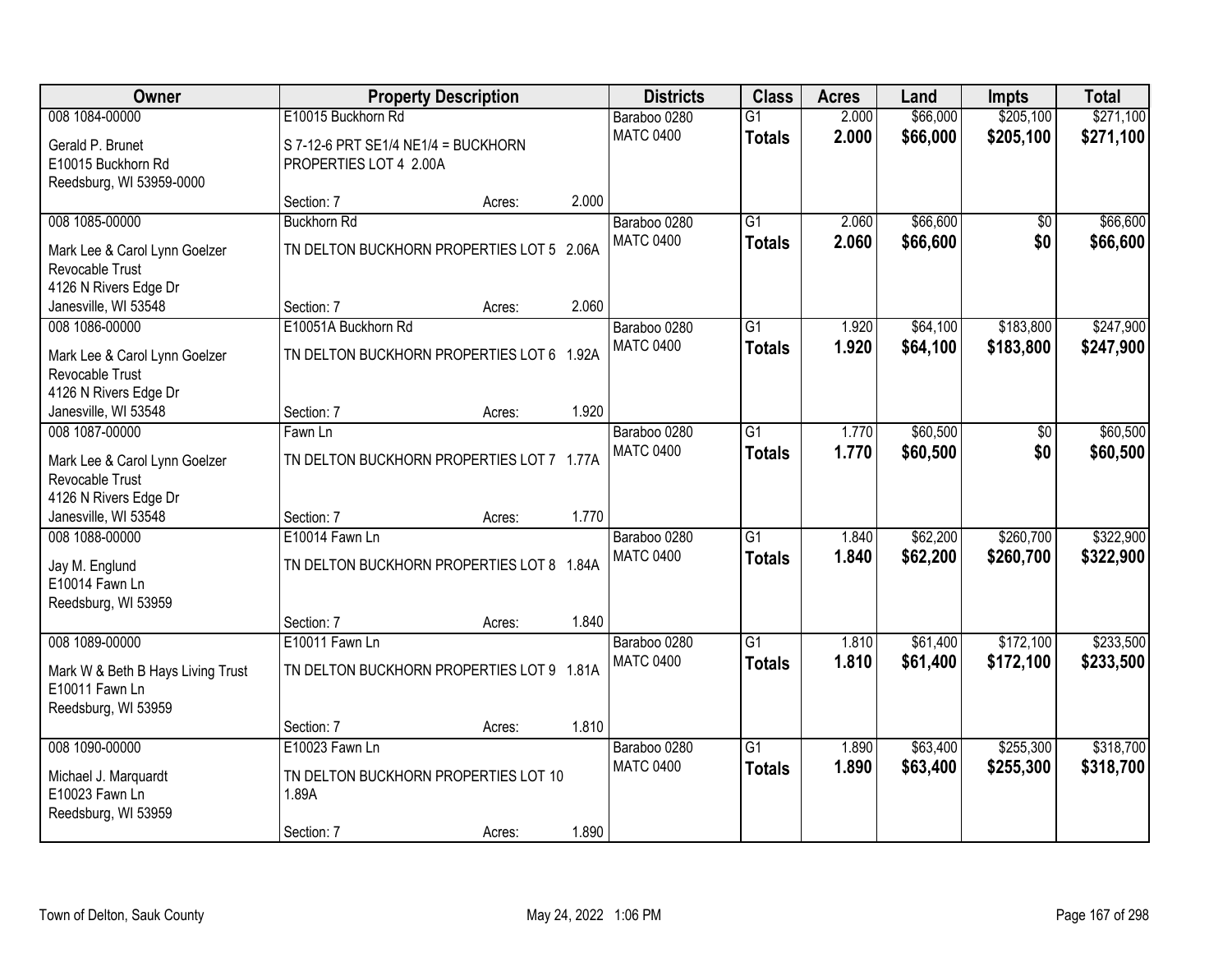| Owner                             | <b>Property Description</b>               |        |       | <b>Districts</b> | <b>Class</b>    | <b>Acres</b> | Land     | <b>Impts</b> | <b>Total</b> |
|-----------------------------------|-------------------------------------------|--------|-------|------------------|-----------------|--------------|----------|--------------|--------------|
| 008 1084-00000                    | E10015 Buckhorn Rd                        |        |       | Baraboo 0280     | $\overline{G1}$ | 2.000        | \$66,000 | \$205,100    | \$271,100    |
| Gerald P. Brunet                  | S 7-12-6 PRT SE1/4 NE1/4 = BUCKHORN       |        |       | <b>MATC 0400</b> | <b>Totals</b>   | 2.000        | \$66,000 | \$205,100    | \$271,100    |
| E10015 Buckhorn Rd                | PROPERTIES LOT 4 2.00A                    |        |       |                  |                 |              |          |              |              |
| Reedsburg, WI 53959-0000          |                                           |        |       |                  |                 |              |          |              |              |
|                                   | Section: 7                                | Acres: | 2.000 |                  |                 |              |          |              |              |
| 008 1085-00000                    | <b>Buckhorn Rd</b>                        |        |       | Baraboo 0280     | $\overline{G1}$ | 2.060        | \$66,600 | \$0          | \$66,600     |
| Mark Lee & Carol Lynn Goelzer     | TN DELTON BUCKHORN PROPERTIES LOT 5 2.06A |        |       | <b>MATC 0400</b> | <b>Totals</b>   | 2.060        | \$66,600 | \$0          | \$66,600     |
| Revocable Trust                   |                                           |        |       |                  |                 |              |          |              |              |
| 4126 N Rivers Edge Dr             |                                           |        |       |                  |                 |              |          |              |              |
| Janesville, WI 53548              | Section: 7                                | Acres: | 2.060 |                  |                 |              |          |              |              |
| 008 1086-00000                    | E10051A Buckhorn Rd                       |        |       | Baraboo 0280     | G <sub>1</sub>  | 1.920        | \$64,100 | \$183,800    | \$247,900    |
| Mark Lee & Carol Lynn Goelzer     | TN DELTON BUCKHORN PROPERTIES LOT 6 1.92A |        |       | <b>MATC 0400</b> | <b>Totals</b>   | 1.920        | \$64,100 | \$183,800    | \$247,900    |
| Revocable Trust                   |                                           |        |       |                  |                 |              |          |              |              |
| 4126 N Rivers Edge Dr             |                                           |        |       |                  |                 |              |          |              |              |
| Janesville, WI 53548              | Section: 7                                | Acres: | 1.920 |                  |                 |              |          |              |              |
| 008 1087-00000                    | Fawn Ln                                   |        |       | Baraboo 0280     | $\overline{G1}$ | 1.770        | \$60,500 | \$0          | \$60,500     |
| Mark Lee & Carol Lynn Goelzer     | TN DELTON BUCKHORN PROPERTIES LOT 7 1.77A |        |       | <b>MATC 0400</b> | <b>Totals</b>   | 1.770        | \$60,500 | \$0          | \$60,500     |
| Revocable Trust                   |                                           |        |       |                  |                 |              |          |              |              |
| 4126 N Rivers Edge Dr             |                                           |        |       |                  |                 |              |          |              |              |
| Janesville, WI 53548              | Section: 7                                | Acres: | 1.770 |                  |                 |              |          |              |              |
| 008 1088-00000                    | E10014 Fawn Ln                            |        |       | Baraboo 0280     | $\overline{G1}$ | 1.840        | \$62,200 | \$260,700    | \$322,900    |
| Jay M. Englund                    | TN DELTON BUCKHORN PROPERTIES LOT 8 1.84A |        |       | <b>MATC 0400</b> | <b>Totals</b>   | 1.840        | \$62,200 | \$260,700    | \$322,900    |
| E10014 Fawn Ln                    |                                           |        |       |                  |                 |              |          |              |              |
| Reedsburg, WI 53959               |                                           |        |       |                  |                 |              |          |              |              |
|                                   | Section: 7                                | Acres: | 1.840 |                  |                 |              |          |              |              |
| 008 1089-00000                    | E10011 Fawn Ln                            |        |       | Baraboo 0280     | $\overline{G1}$ | 1.810        | \$61,400 | \$172,100    | \$233,500    |
| Mark W & Beth B Hays Living Trust | TN DELTON BUCKHORN PROPERTIES LOT 9 1.81A |        |       | <b>MATC 0400</b> | <b>Totals</b>   | 1.810        | \$61,400 | \$172,100    | \$233,500    |
| E10011 Fawn Ln                    |                                           |        |       |                  |                 |              |          |              |              |
| Reedsburg, WI 53959               |                                           |        |       |                  |                 |              |          |              |              |
|                                   | Section: 7                                | Acres: | 1.810 |                  |                 |              |          |              |              |
| 008 1090-00000                    | E10023 Fawn Ln                            |        |       | Baraboo 0280     | $\overline{G1}$ | 1.890        | \$63,400 | \$255,300    | \$318,700    |
| Michael J. Marquardt              | TN DELTON BUCKHORN PROPERTIES LOT 10      |        |       | <b>MATC 0400</b> | <b>Totals</b>   | 1.890        | \$63,400 | \$255,300    | \$318,700    |
| E10023 Fawn Ln                    | 1.89A                                     |        |       |                  |                 |              |          |              |              |
| Reedsburg, WI 53959               |                                           |        |       |                  |                 |              |          |              |              |
|                                   | Section: 7                                | Acres: | 1.890 |                  |                 |              |          |              |              |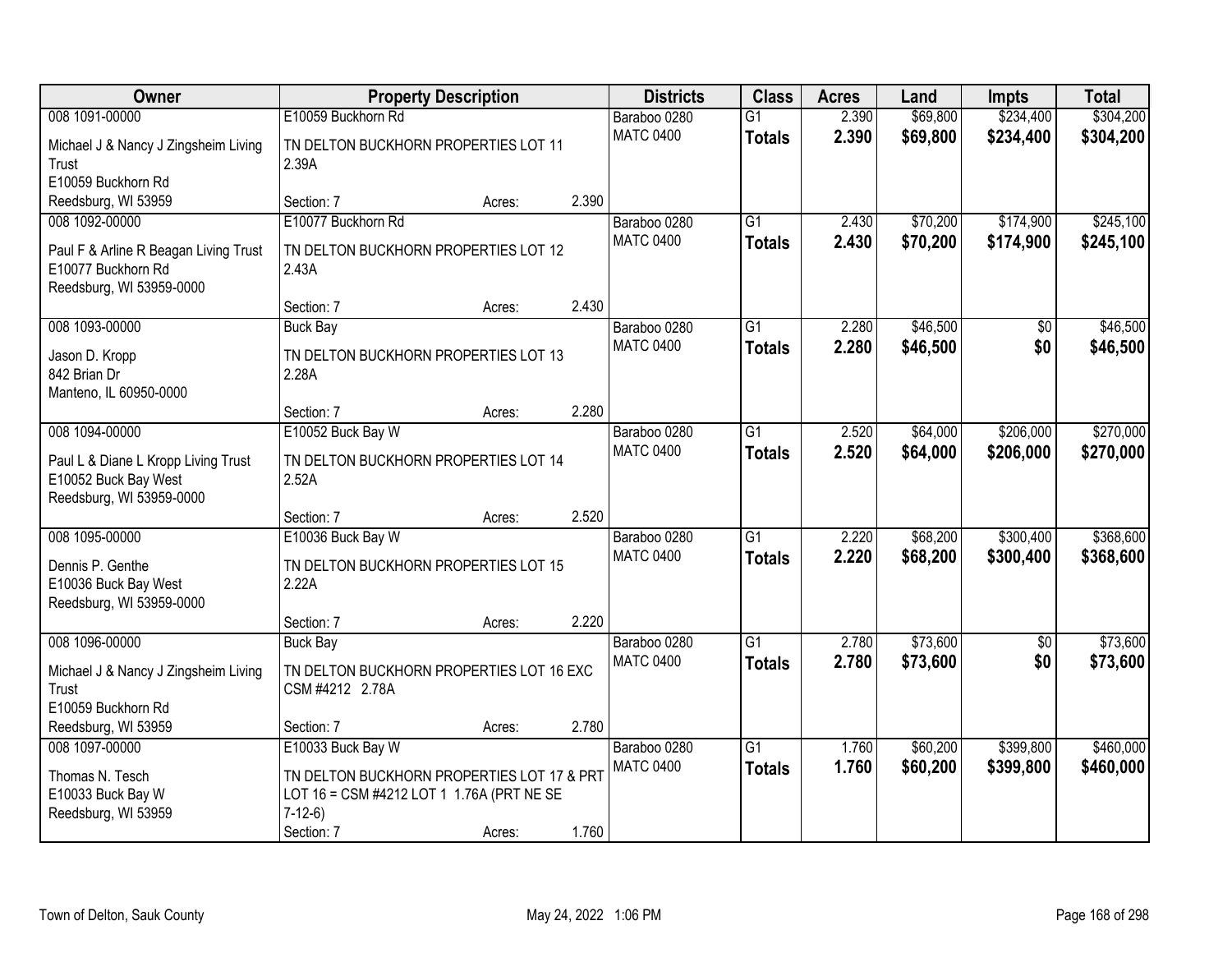| <b>Owner</b>                                                                                              | <b>Property Description</b>                                                                                                            |        |       | <b>Districts</b>                 | <b>Class</b>                     | <b>Acres</b>   | Land                 | <b>Impts</b>           | <b>Total</b>           |
|-----------------------------------------------------------------------------------------------------------|----------------------------------------------------------------------------------------------------------------------------------------|--------|-------|----------------------------------|----------------------------------|----------------|----------------------|------------------------|------------------------|
| 008 1091-00000                                                                                            | E10059 Buckhorn Rd                                                                                                                     |        |       | Baraboo 0280                     | $\overline{G1}$                  | 2.390          | \$69,800             | \$234,400              | \$304,200              |
| Michael J & Nancy J Zingsheim Living<br>Trust<br>E10059 Buckhorn Rd                                       | TN DELTON BUCKHORN PROPERTIES LOT 11<br>2.39A                                                                                          |        |       | <b>MATC 0400</b>                 | <b>Totals</b>                    | 2.390          | \$69,800             | \$234,400              | \$304,200              |
| Reedsburg, WI 53959                                                                                       | Section: 7                                                                                                                             | Acres: | 2.390 |                                  |                                  |                |                      |                        |                        |
| 008 1092-00000<br>Paul F & Arline R Beagan Living Trust<br>E10077 Buckhorn Rd<br>Reedsburg, WI 53959-0000 | E10077 Buckhorn Rd<br>TN DELTON BUCKHORN PROPERTIES LOT 12<br>2.43A                                                                    |        |       | Baraboo 0280<br><b>MATC 0400</b> | G1<br><b>Totals</b>              | 2.430<br>2.430 | \$70,200<br>\$70,200 | \$174,900<br>\$174,900 | \$245,100<br>\$245,100 |
|                                                                                                           | Section: 7                                                                                                                             | Acres: | 2.430 |                                  |                                  |                |                      |                        |                        |
| 008 1093-00000<br>Jason D. Kropp<br>842 Brian Dr<br>Manteno, IL 60950-0000                                | <b>Buck Bay</b><br>TN DELTON BUCKHORN PROPERTIES LOT 13<br>2.28A                                                                       |        |       | Baraboo 0280<br><b>MATC 0400</b> | $\overline{G1}$<br><b>Totals</b> | 2.280<br>2.280 | \$46,500<br>\$46,500 | \$0<br>\$0             | \$46,500<br>\$46,500   |
|                                                                                                           | Section: 7                                                                                                                             | Acres: | 2.280 |                                  |                                  |                |                      |                        |                        |
| 008 1094-00000<br>Paul L & Diane L Kropp Living Trust<br>E10052 Buck Bay West<br>Reedsburg, WI 53959-0000 | E10052 Buck Bay W<br>TN DELTON BUCKHORN PROPERTIES LOT 14<br>2.52A                                                                     |        |       | Baraboo 0280<br><b>MATC 0400</b> | $\overline{G1}$<br><b>Totals</b> | 2.520<br>2.520 | \$64,000<br>\$64,000 | \$206,000<br>\$206,000 | \$270,000<br>\$270,000 |
|                                                                                                           | Section: 7                                                                                                                             | Acres: | 2.520 |                                  |                                  |                |                      |                        |                        |
| 008 1095-00000<br>Dennis P. Genthe<br>E10036 Buck Bay West<br>Reedsburg, WI 53959-0000                    | E10036 Buck Bay W<br>TN DELTON BUCKHORN PROPERTIES LOT 15<br>2.22A                                                                     |        |       | Baraboo 0280<br><b>MATC 0400</b> | $\overline{G1}$<br><b>Totals</b> | 2.220<br>2.220 | \$68,200<br>\$68,200 | \$300,400<br>\$300,400 | \$368,600<br>\$368,600 |
|                                                                                                           | Section: 7                                                                                                                             | Acres: | 2.220 |                                  |                                  |                |                      |                        |                        |
| 008 1096-00000<br>Michael J & Nancy J Zingsheim Living<br>Trust<br>E10059 Buckhorn Rd                     | <b>Buck Bay</b><br>TN DELTON BUCKHORN PROPERTIES LOT 16 EXC<br>CSM #4212 2.78A                                                         |        |       | Baraboo 0280<br><b>MATC 0400</b> | $\overline{G1}$<br><b>Totals</b> | 2.780<br>2.780 | \$73,600<br>\$73,600 | $\overline{50}$<br>\$0 | \$73,600<br>\$73,600   |
| Reedsburg, WI 53959                                                                                       | Section: 7                                                                                                                             | Acres: | 2.780 |                                  |                                  |                |                      |                        |                        |
| 008 1097-00000<br>Thomas N. Tesch<br>E10033 Buck Bay W<br>Reedsburg, WI 53959                             | E10033 Buck Bay W<br>TN DELTON BUCKHORN PROPERTIES LOT 17 & PRT<br>LOT 16 = CSM #4212 LOT 1 1.76A (PRT NE SE<br>$7-12-6$<br>Section: 7 | Acres: | 1.760 | Baraboo 0280<br><b>MATC 0400</b> | $\overline{G1}$<br><b>Totals</b> | 1.760<br>1.760 | \$60,200<br>\$60,200 | \$399,800<br>\$399,800 | \$460,000<br>\$460,000 |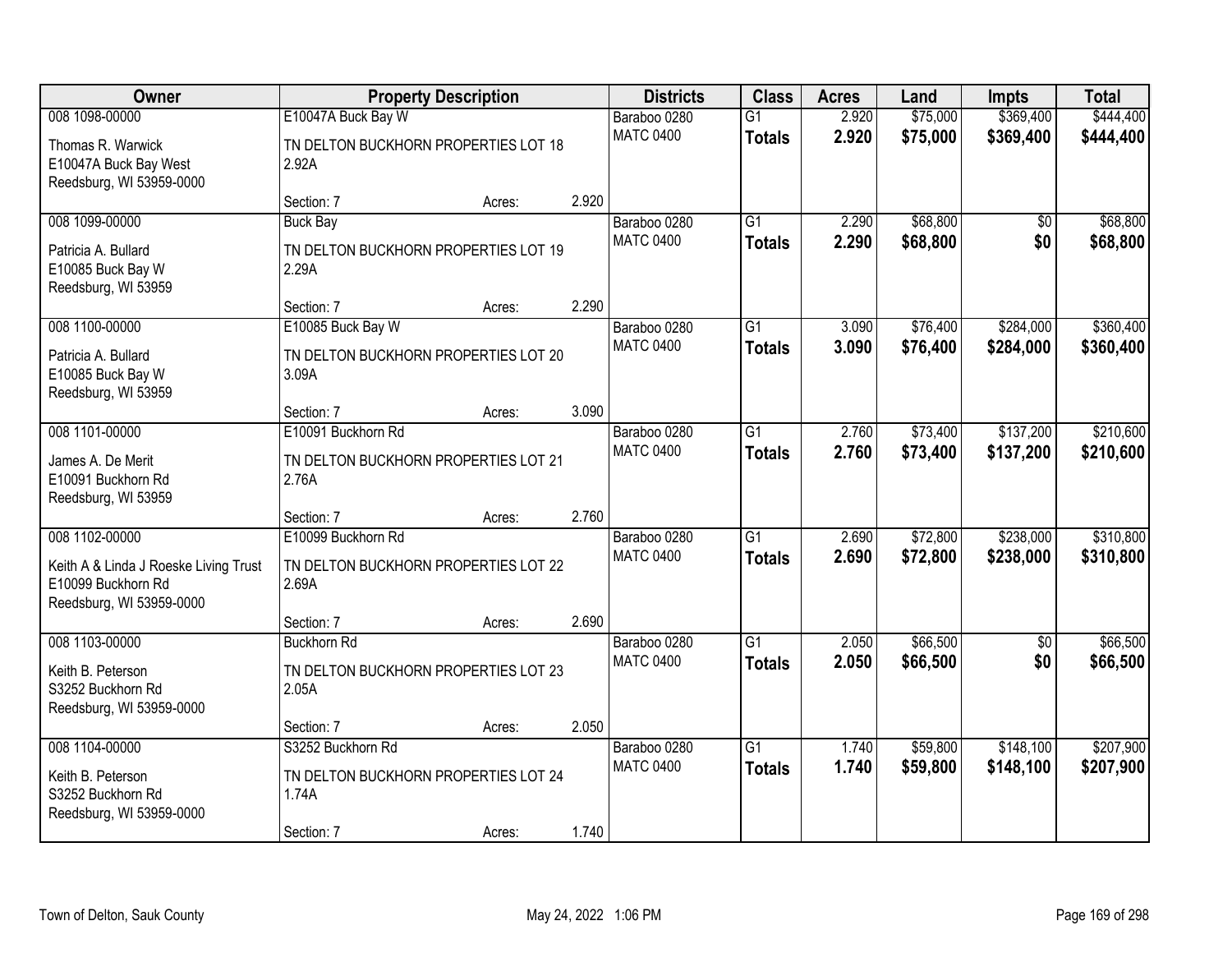| Owner                                                                                                     |                                                                     | <b>Property Description</b> |       | <b>Districts</b>                 | <b>Class</b>                     | <b>Acres</b>   | Land                 | <b>Impts</b>           | <b>Total</b>           |
|-----------------------------------------------------------------------------------------------------------|---------------------------------------------------------------------|-----------------------------|-------|----------------------------------|----------------------------------|----------------|----------------------|------------------------|------------------------|
| 008 1098-00000                                                                                            | E10047A Buck Bay W                                                  |                             |       | Baraboo 0280                     | $\overline{G1}$                  | 2.920          | \$75,000             | \$369,400              | \$444,400              |
| Thomas R. Warwick<br>E10047A Buck Bay West<br>Reedsburg, WI 53959-0000                                    | TN DELTON BUCKHORN PROPERTIES LOT 18<br>2.92A                       |                             |       | <b>MATC 0400</b>                 | <b>Totals</b>                    | 2.920          | \$75,000             | \$369,400              | \$444,400              |
|                                                                                                           | Section: 7                                                          | Acres:                      | 2.920 |                                  |                                  |                |                      |                        |                        |
| 008 1099-00000<br>Patricia A. Bullard                                                                     | <b>Buck Bay</b><br>TN DELTON BUCKHORN PROPERTIES LOT 19             |                             |       | Baraboo 0280<br><b>MATC 0400</b> | $\overline{G1}$<br><b>Totals</b> | 2.290<br>2.290 | \$68,800<br>\$68,800 | $\overline{50}$<br>\$0 | \$68,800<br>\$68,800   |
| E10085 Buck Bay W<br>Reedsburg, WI 53959                                                                  | 2.29A<br>Section: 7                                                 | Acres:                      | 2.290 |                                  |                                  |                |                      |                        |                        |
| 008 1100-00000                                                                                            | E10085 Buck Bay W                                                   |                             |       | Baraboo 0280                     | $\overline{G1}$                  | 3.090          | \$76,400             | \$284,000              | \$360,400              |
| Patricia A. Bullard<br>E10085 Buck Bay W<br>Reedsburg, WI 53959                                           | TN DELTON BUCKHORN PROPERTIES LOT 20<br>3.09A                       |                             |       | <b>MATC 0400</b>                 | <b>Totals</b>                    | 3.090          | \$76,400             | \$284,000              | \$360,400              |
|                                                                                                           | Section: 7                                                          | Acres:                      | 3.090 |                                  |                                  |                |                      |                        |                        |
| 008 1101-00000                                                                                            | E10091 Buckhorn Rd                                                  |                             |       | Baraboo 0280                     | G1                               | 2.760          | \$73,400             | \$137,200              | \$210,600              |
| James A. De Merit<br>E10091 Buckhorn Rd<br>Reedsburg, WI 53959                                            | TN DELTON BUCKHORN PROPERTIES LOT 21<br>2.76A                       |                             |       | <b>MATC 0400</b>                 | <b>Totals</b>                    | 2.760          | \$73,400             | \$137,200              | \$210,600              |
|                                                                                                           | Section: 7                                                          | Acres:                      | 2.760 |                                  |                                  |                |                      |                        |                        |
| 008 1102-00000<br>Keith A & Linda J Roeske Living Trust<br>E10099 Buckhorn Rd<br>Reedsburg, WI 53959-0000 | E10099 Buckhorn Rd<br>TN DELTON BUCKHORN PROPERTIES LOT 22<br>2.69A |                             |       | Baraboo 0280<br><b>MATC 0400</b> | $\overline{G1}$<br><b>Totals</b> | 2.690<br>2.690 | \$72,800<br>\$72,800 | \$238,000<br>\$238,000 | \$310,800<br>\$310,800 |
|                                                                                                           | Section: 7                                                          | Acres:                      | 2.690 |                                  |                                  |                |                      |                        |                        |
| 008 1103-00000                                                                                            | <b>Buckhorn Rd</b>                                                  |                             |       | Baraboo 0280                     | $\overline{G1}$                  | 2.050          | \$66,500             | $\overline{50}$        | \$66,500               |
| Keith B. Peterson<br>S3252 Buckhorn Rd<br>Reedsburg, WI 53959-0000                                        | TN DELTON BUCKHORN PROPERTIES LOT 23<br>2.05A                       |                             |       | <b>MATC 0400</b>                 | <b>Totals</b>                    | 2.050          | \$66,500             | \$0                    | \$66,500               |
|                                                                                                           | Section: 7                                                          | Acres:                      | 2.050 |                                  |                                  |                |                      |                        |                        |
| 008 1104-00000                                                                                            | S3252 Buckhorn Rd                                                   |                             |       | Baraboo 0280                     | $\overline{G1}$                  | 1.740          | \$59,800             | \$148,100              | \$207,900              |
| Keith B. Peterson<br>S3252 Buckhorn Rd<br>Reedsburg, WI 53959-0000                                        | TN DELTON BUCKHORN PROPERTIES LOT 24<br>1.74A                       |                             |       | <b>MATC 0400</b>                 | <b>Totals</b>                    | 1.740          | \$59,800             | \$148,100              | \$207,900              |
|                                                                                                           | Section: 7                                                          | Acres:                      | 1.740 |                                  |                                  |                |                      |                        |                        |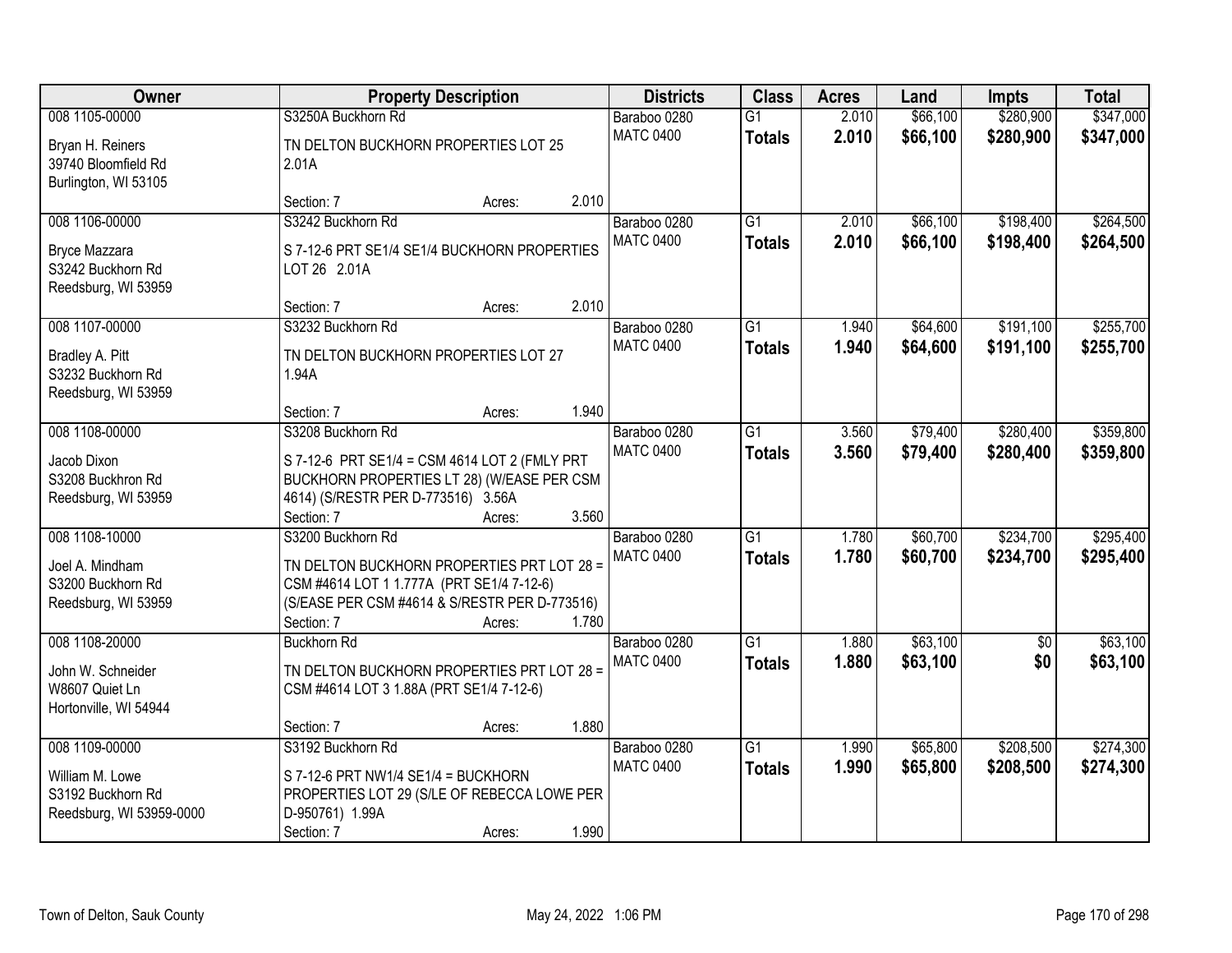| Owner                                                                              |                                                                                                                                                                             | <b>Property Description</b> |       | <b>Districts</b>                 | <b>Class</b>                     | <b>Acres</b>   | Land                 | <b>Impts</b>           | <b>Total</b>           |
|------------------------------------------------------------------------------------|-----------------------------------------------------------------------------------------------------------------------------------------------------------------------------|-----------------------------|-------|----------------------------------|----------------------------------|----------------|----------------------|------------------------|------------------------|
| 008 1105-00000                                                                     | S3250A Buckhorn Rd                                                                                                                                                          |                             |       | Baraboo 0280                     | $\overline{G1}$                  | 2.010          | \$66,100             | \$280,900              | \$347,000              |
| Bryan H. Reiners<br>39740 Bloomfield Rd<br>Burlington, WI 53105                    | TN DELTON BUCKHORN PROPERTIES LOT 25<br>2.01A                                                                                                                               |                             |       | <b>MATC 0400</b>                 | <b>Totals</b>                    | 2.010          | \$66,100             | \$280,900              | \$347,000              |
|                                                                                    | Section: 7                                                                                                                                                                  | Acres:                      | 2.010 |                                  |                                  |                |                      |                        |                        |
| 008 1106-00000<br>Bryce Mazzara<br>S3242 Buckhorn Rd                               | S3242 Buckhorn Rd<br>S 7-12-6 PRT SE1/4 SE1/4 BUCKHORN PROPERTIES<br>LOT 26 2.01A                                                                                           |                             |       | Baraboo 0280<br><b>MATC 0400</b> | $\overline{G1}$<br><b>Totals</b> | 2.010<br>2.010 | \$66,100<br>\$66,100 | \$198,400<br>\$198,400 | \$264,500<br>\$264,500 |
| Reedsburg, WI 53959                                                                | Section: 7                                                                                                                                                                  | Acres:                      | 2.010 |                                  |                                  |                |                      |                        |                        |
| 008 1107-00000<br>Bradley A. Pitt<br>S3232 Buckhorn Rd<br>Reedsburg, WI 53959      | S3232 Buckhorn Rd<br>TN DELTON BUCKHORN PROPERTIES LOT 27<br>1.94A                                                                                                          |                             |       | Baraboo 0280<br><b>MATC 0400</b> | G1<br><b>Totals</b>              | 1.940<br>1.940 | \$64,600<br>\$64,600 | \$191,100<br>\$191,100 | \$255,700<br>\$255,700 |
|                                                                                    | Section: 7                                                                                                                                                                  | Acres:                      | 1.940 |                                  |                                  |                |                      |                        |                        |
| 008 1108-00000                                                                     | S3208 Buckhorn Rd                                                                                                                                                           |                             |       | Baraboo 0280<br><b>MATC 0400</b> | G1<br><b>Totals</b>              | 3.560<br>3.560 | \$79,400<br>\$79,400 | \$280,400<br>\$280,400 | \$359,800<br>\$359,800 |
| Jacob Dixon<br>S3208 Buckhron Rd<br>Reedsburg, WI 53959                            | S 7-12-6 PRT SE1/4 = CSM 4614 LOT 2 (FMLY PRT<br>BUCKHORN PROPERTIES LT 28) (W/EASE PER CSM<br>4614) (S/RESTR PER D-773516) 3.56A<br>Section: 7                             | Acres:                      | 3.560 |                                  |                                  |                |                      |                        |                        |
| 008 1108-10000<br>Joel A. Mindham<br>S3200 Buckhorn Rd<br>Reedsburg, WI 53959      | S3200 Buckhorn Rd<br>TN DELTON BUCKHORN PROPERTIES PRT LOT 28 =<br>CSM #4614 LOT 1 1.777A (PRT SE1/4 7-12-6)<br>(S/EASE PER CSM #4614 & S/RESTR PER D-773516)<br>Section: 7 | Acres:                      | 1.780 | Baraboo 0280<br><b>MATC 0400</b> | $\overline{G1}$<br><b>Totals</b> | 1.780<br>1.780 | \$60,700<br>\$60,700 | \$234,700<br>\$234,700 | \$295,400<br>\$295,400 |
| 008 1108-20000<br>John W. Schneider<br>W8607 Quiet Ln<br>Hortonville, WI 54944     | <b>Buckhorn Rd</b><br>TN DELTON BUCKHORN PROPERTIES PRT LOT 28 =<br>CSM #4614 LOT 3 1.88A (PRT SE1/4 7-12-6)                                                                |                             |       | Baraboo 0280<br><b>MATC 0400</b> | $\overline{G1}$<br><b>Totals</b> | 1.880<br>1.880 | \$63,100<br>\$63,100 | \$0<br>\$0             | \$63,100<br>\$63,100   |
|                                                                                    | Section: 7                                                                                                                                                                  | Acres:                      | 1.880 |                                  |                                  |                |                      |                        |                        |
| 008 1109-00000<br>William M. Lowe<br>S3192 Buckhorn Rd<br>Reedsburg, WI 53959-0000 | S3192 Buckhorn Rd<br>S 7-12-6 PRT NW1/4 SE1/4 = BUCKHORN<br>PROPERTIES LOT 29 (S/LE OF REBECCA LOWE PER<br>D-950761) 1.99A<br>Section: 7                                    | Acres:                      | 1.990 | Baraboo 0280<br><b>MATC 0400</b> | $\overline{G1}$<br><b>Totals</b> | 1.990<br>1.990 | \$65,800<br>\$65,800 | \$208,500<br>\$208,500 | \$274,300<br>\$274,300 |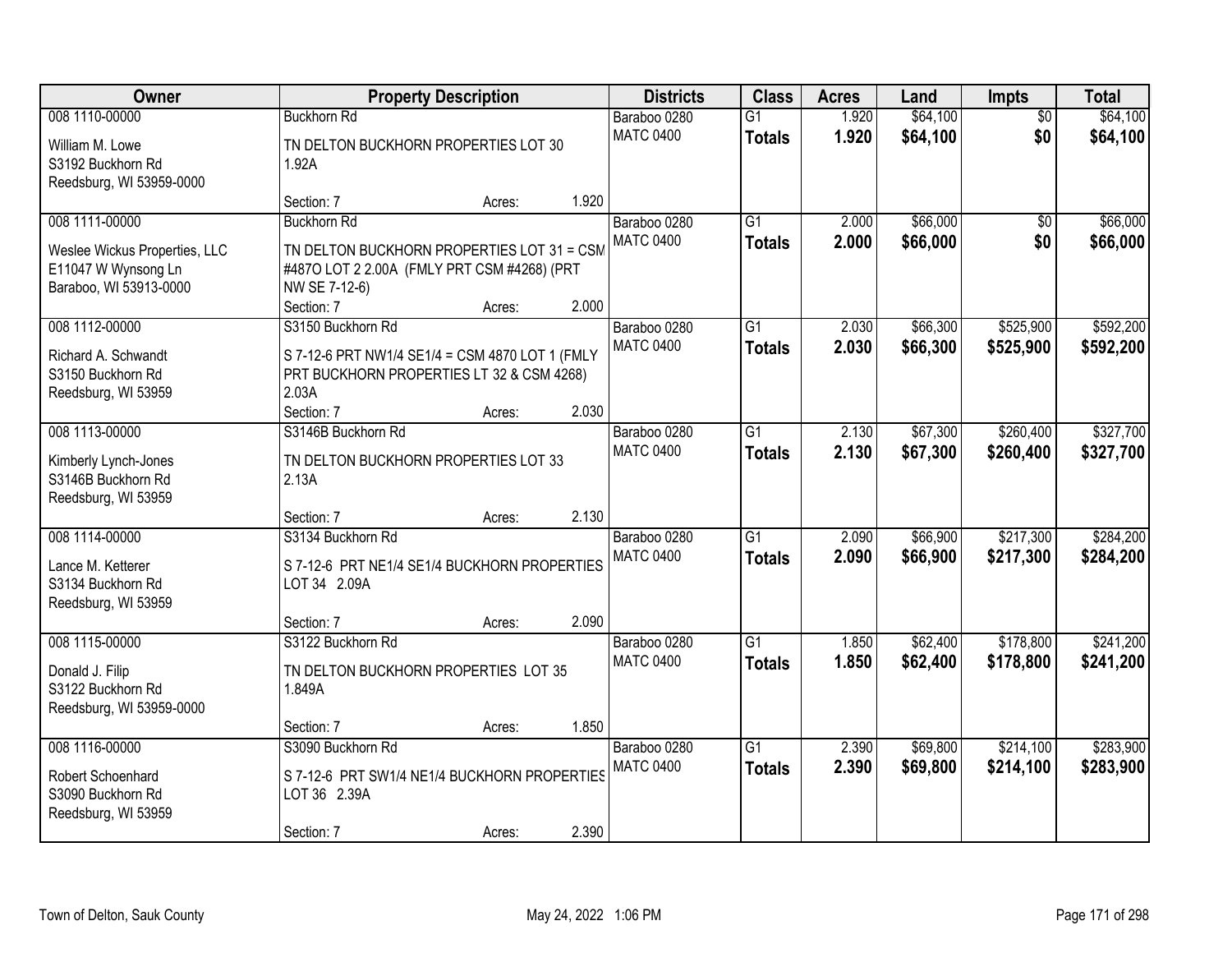| Owner                         |                                                 | <b>Property Description</b> |       | <b>Districts</b> | <b>Class</b>    | <b>Acres</b> | Land     | Impts           | <b>Total</b> |
|-------------------------------|-------------------------------------------------|-----------------------------|-------|------------------|-----------------|--------------|----------|-----------------|--------------|
| 008 1110-00000                | <b>Buckhorn Rd</b>                              |                             |       | Baraboo 0280     | $\overline{G1}$ | 1.920        | \$64,100 | $\overline{50}$ | \$64,100     |
| William M. Lowe               | TN DELTON BUCKHORN PROPERTIES LOT 30            |                             |       | <b>MATC 0400</b> | <b>Totals</b>   | 1.920        | \$64,100 | \$0             | \$64,100     |
| S3192 Buckhorn Rd             | 1.92A                                           |                             |       |                  |                 |              |          |                 |              |
| Reedsburg, WI 53959-0000      |                                                 |                             |       |                  |                 |              |          |                 |              |
|                               | Section: 7                                      | Acres:                      | 1.920 |                  |                 |              |          |                 |              |
| 008 1111-00000                | <b>Buckhorn Rd</b>                              |                             |       | Baraboo 0280     | $\overline{G1}$ | 2.000        | \$66,000 | $\overline{50}$ | \$66,000     |
| Weslee Wickus Properties, LLC | TN DELTON BUCKHORN PROPERTIES LOT 31 = CSM      |                             |       | <b>MATC 0400</b> | <b>Totals</b>   | 2.000        | \$66,000 | \$0             | \$66,000     |
| E11047 W Wynsong Ln           | #4870 LOT 2 2.00A (FMLY PRT CSM #4268) (PRT     |                             |       |                  |                 |              |          |                 |              |
| Baraboo, WI 53913-0000        | NW SE 7-12-6)                                   |                             |       |                  |                 |              |          |                 |              |
|                               | Section: 7                                      | Acres:                      | 2.000 |                  |                 |              |          |                 |              |
| 008 1112-00000                | S3150 Buckhorn Rd                               |                             |       | Baraboo 0280     | G1              | 2.030        | \$66,300 | \$525,900       | \$592,200    |
| Richard A. Schwandt           | S 7-12-6 PRT NW1/4 SE1/4 = CSM 4870 LOT 1 (FMLY |                             |       | <b>MATC 0400</b> | <b>Totals</b>   | 2.030        | \$66,300 | \$525,900       | \$592,200    |
| S3150 Buckhorn Rd             | PRT BUCKHORN PROPERTIES LT 32 & CSM 4268)       |                             |       |                  |                 |              |          |                 |              |
| Reedsburg, WI 53959           | 2.03A                                           |                             |       |                  |                 |              |          |                 |              |
|                               | Section: 7                                      | Acres:                      | 2.030 |                  |                 |              |          |                 |              |
| 008 1113-00000                | S3146B Buckhorn Rd                              |                             |       | Baraboo 0280     | G1              | 2.130        | \$67,300 | \$260,400       | \$327,700    |
| Kimberly Lynch-Jones          | TN DELTON BUCKHORN PROPERTIES LOT 33            |                             |       | <b>MATC 0400</b> | <b>Totals</b>   | 2.130        | \$67,300 | \$260,400       | \$327,700    |
| S3146B Buckhorn Rd            | 2.13A                                           |                             |       |                  |                 |              |          |                 |              |
| Reedsburg, WI 53959           |                                                 |                             |       |                  |                 |              |          |                 |              |
|                               | Section: 7                                      | Acres:                      | 2.130 |                  |                 |              |          |                 |              |
| 008 1114-00000                | S3134 Buckhorn Rd                               |                             |       | Baraboo 0280     | $\overline{G1}$ | 2.090        | \$66,900 | \$217,300       | \$284,200    |
| Lance M. Ketterer             | S 7-12-6 PRT NE1/4 SE1/4 BUCKHORN PROPERTIES    |                             |       | <b>MATC 0400</b> | <b>Totals</b>   | 2.090        | \$66,900 | \$217,300       | \$284,200    |
| S3134 Buckhorn Rd             | LOT 34 2.09A                                    |                             |       |                  |                 |              |          |                 |              |
| Reedsburg, WI 53959           |                                                 |                             |       |                  |                 |              |          |                 |              |
|                               | Section: 7                                      | Acres:                      | 2.090 |                  |                 |              |          |                 |              |
| 008 1115-00000                | S3122 Buckhorn Rd                               |                             |       | Baraboo 0280     | $\overline{G1}$ | 1.850        | \$62,400 | \$178,800       | \$241,200    |
| Donald J. Filip               | TN DELTON BUCKHORN PROPERTIES LOT 35            |                             |       | <b>MATC 0400</b> | <b>Totals</b>   | 1.850        | \$62,400 | \$178,800       | \$241,200    |
| S3122 Buckhorn Rd             | 1.849A                                          |                             |       |                  |                 |              |          |                 |              |
| Reedsburg, WI 53959-0000      |                                                 |                             |       |                  |                 |              |          |                 |              |
|                               | Section: 7                                      | Acres:                      | 1.850 |                  |                 |              |          |                 |              |
| 008 1116-00000                | S3090 Buckhorn Rd                               |                             |       | Baraboo 0280     | $\overline{G1}$ | 2.390        | \$69,800 | \$214,100       | \$283,900    |
| Robert Schoenhard             | S 7-12-6 PRT SW1/4 NE1/4 BUCKHORN PROPERTIES    |                             |       | <b>MATC 0400</b> | <b>Totals</b>   | 2.390        | \$69,800 | \$214,100       | \$283,900    |
| S3090 Buckhorn Rd             | LOT 36 2.39A                                    |                             |       |                  |                 |              |          |                 |              |
| Reedsburg, WI 53959           |                                                 |                             |       |                  |                 |              |          |                 |              |
|                               | Section: 7                                      | Acres:                      | 2.390 |                  |                 |              |          |                 |              |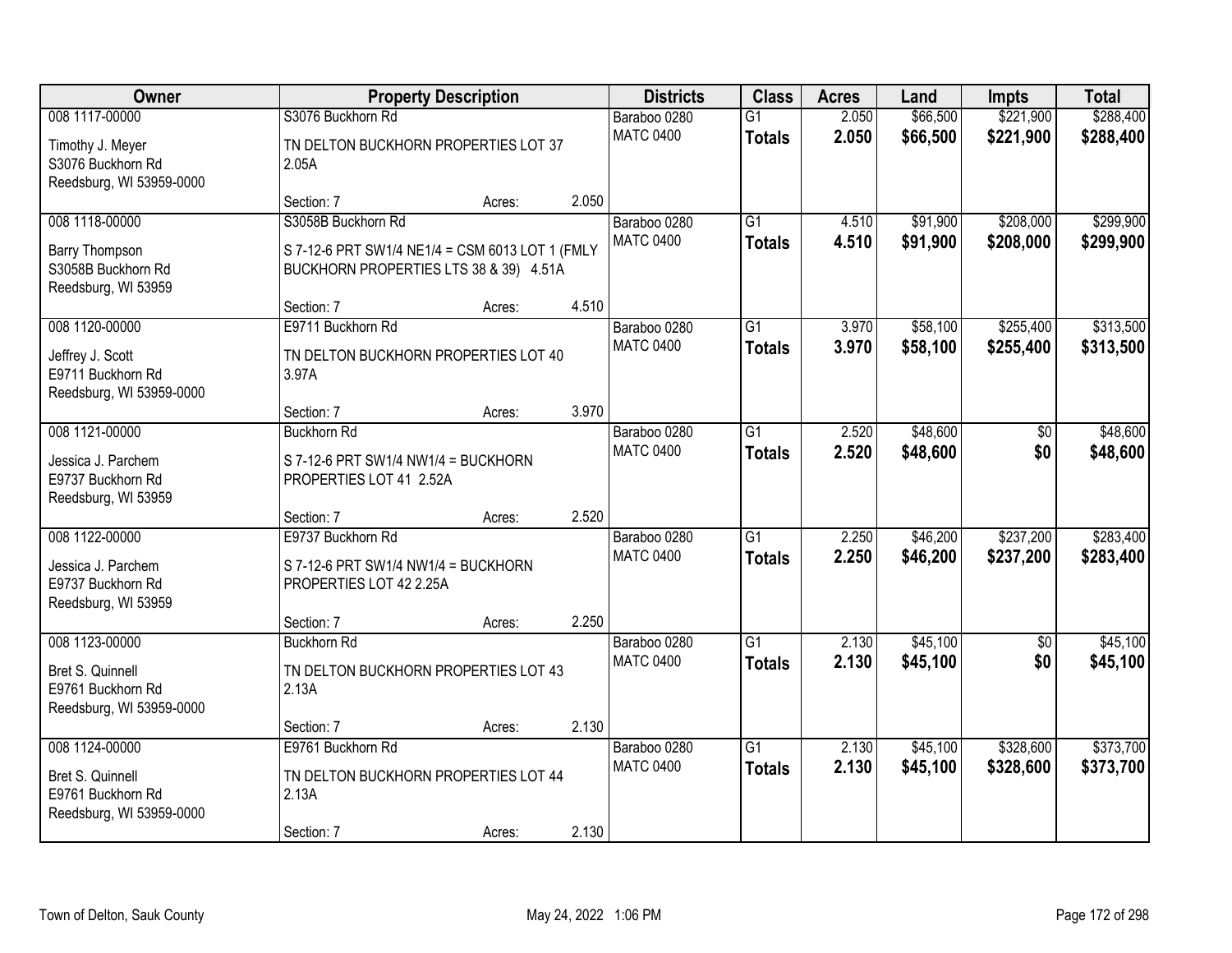| <b>Owner</b>                                                                        |                                                                                                                 | <b>Property Description</b> |       | <b>Districts</b>                 | <b>Class</b>                     | <b>Acres</b>   | Land                 | <b>Impts</b>           | <b>Total</b>           |
|-------------------------------------------------------------------------------------|-----------------------------------------------------------------------------------------------------------------|-----------------------------|-------|----------------------------------|----------------------------------|----------------|----------------------|------------------------|------------------------|
| 008 1117-00000                                                                      | S3076 Buckhorn Rd                                                                                               |                             |       | Baraboo 0280                     | $\overline{G1}$                  | 2.050          | \$66,500             | \$221,900              | \$288,400              |
| Timothy J. Meyer<br>S3076 Buckhorn Rd<br>Reedsburg, WI 53959-0000                   | TN DELTON BUCKHORN PROPERTIES LOT 37<br>2.05A                                                                   |                             |       | <b>MATC 0400</b>                 | <b>Totals</b>                    | 2.050          | \$66,500             | \$221,900              | \$288,400              |
|                                                                                     | Section: 7                                                                                                      | Acres:                      | 2.050 |                                  |                                  |                |                      |                        |                        |
| 008 1118-00000<br>Barry Thompson<br>S3058B Buckhorn Rd<br>Reedsburg, WI 53959       | S3058B Buckhorn Rd<br>S 7-12-6 PRT SW1/4 NE1/4 = CSM 6013 LOT 1 (FMLY<br>BUCKHORN PROPERTIES LTS 38 & 39) 4.51A |                             |       | Baraboo 0280<br><b>MATC 0400</b> | $\overline{G1}$<br><b>Totals</b> | 4.510<br>4.510 | \$91,900<br>\$91,900 | \$208,000<br>\$208,000 | \$299,900<br>\$299,900 |
|                                                                                     | Section: 7                                                                                                      | Acres:                      | 4.510 |                                  |                                  |                |                      |                        |                        |
| 008 1120-00000<br>Jeffrey J. Scott<br>E9711 Buckhorn Rd<br>Reedsburg, WI 53959-0000 | E9711 Buckhorn Rd<br>TN DELTON BUCKHORN PROPERTIES LOT 40<br>3.97A                                              |                             |       | Baraboo 0280<br><b>MATC 0400</b> | G1<br><b>Totals</b>              | 3.970<br>3.970 | \$58,100<br>\$58,100 | \$255,400<br>\$255,400 | \$313,500<br>\$313,500 |
|                                                                                     | Section: 7                                                                                                      | Acres:                      | 3.970 |                                  |                                  |                |                      |                        |                        |
| 008 1121-00000<br>Jessica J. Parchem<br>E9737 Buckhorn Rd                           | <b>Buckhorn Rd</b><br>S 7-12-6 PRT SW1/4 NW1/4 = BUCKHORN<br>PROPERTIES LOT 41 2.52A                            |                             |       | Baraboo 0280<br><b>MATC 0400</b> | G1<br><b>Totals</b>              | 2.520<br>2.520 | \$48,600<br>\$48,600 | \$0<br>\$0             | \$48,600<br>\$48,600   |
| Reedsburg, WI 53959                                                                 | Section: 7                                                                                                      | Acres:                      | 2.520 |                                  |                                  |                |                      |                        |                        |
| 008 1122-00000<br>Jessica J. Parchem<br>E9737 Buckhorn Rd<br>Reedsburg, WI 53959    | E9737 Buckhorn Rd<br>S 7-12-6 PRT SW1/4 NW1/4 = BUCKHORN<br>PROPERTIES LOT 42 2.25A                             |                             |       | Baraboo 0280<br><b>MATC 0400</b> | $\overline{G1}$<br><b>Totals</b> | 2.250<br>2.250 | \$46,200<br>\$46,200 | \$237,200<br>\$237,200 | \$283,400<br>\$283,400 |
|                                                                                     | Section: 7                                                                                                      | Acres:                      | 2.250 |                                  |                                  |                |                      |                        |                        |
| 008 1123-00000<br>Bret S. Quinnell<br>E9761 Buckhorn Rd<br>Reedsburg, WI 53959-0000 | <b>Buckhorn Rd</b><br>TN DELTON BUCKHORN PROPERTIES LOT 43<br>2.13A                                             |                             |       | Baraboo 0280<br><b>MATC 0400</b> | $\overline{G1}$<br><b>Totals</b> | 2.130<br>2.130 | \$45,100<br>\$45,100 | $\overline{50}$<br>\$0 | \$45,100<br>\$45,100   |
|                                                                                     | Section: 7                                                                                                      | Acres:                      | 2.130 |                                  |                                  |                |                      |                        |                        |
| 008 1124-00000<br>Bret S. Quinnell<br>E9761 Buckhorn Rd<br>Reedsburg, WI 53959-0000 | E9761 Buckhorn Rd<br>TN DELTON BUCKHORN PROPERTIES LOT 44<br>2.13A<br>Section: 7                                | Acres:                      | 2.130 | Baraboo 0280<br><b>MATC 0400</b> | $\overline{G1}$<br><b>Totals</b> | 2.130<br>2.130 | \$45,100<br>\$45,100 | \$328,600<br>\$328,600 | \$373,700<br>\$373,700 |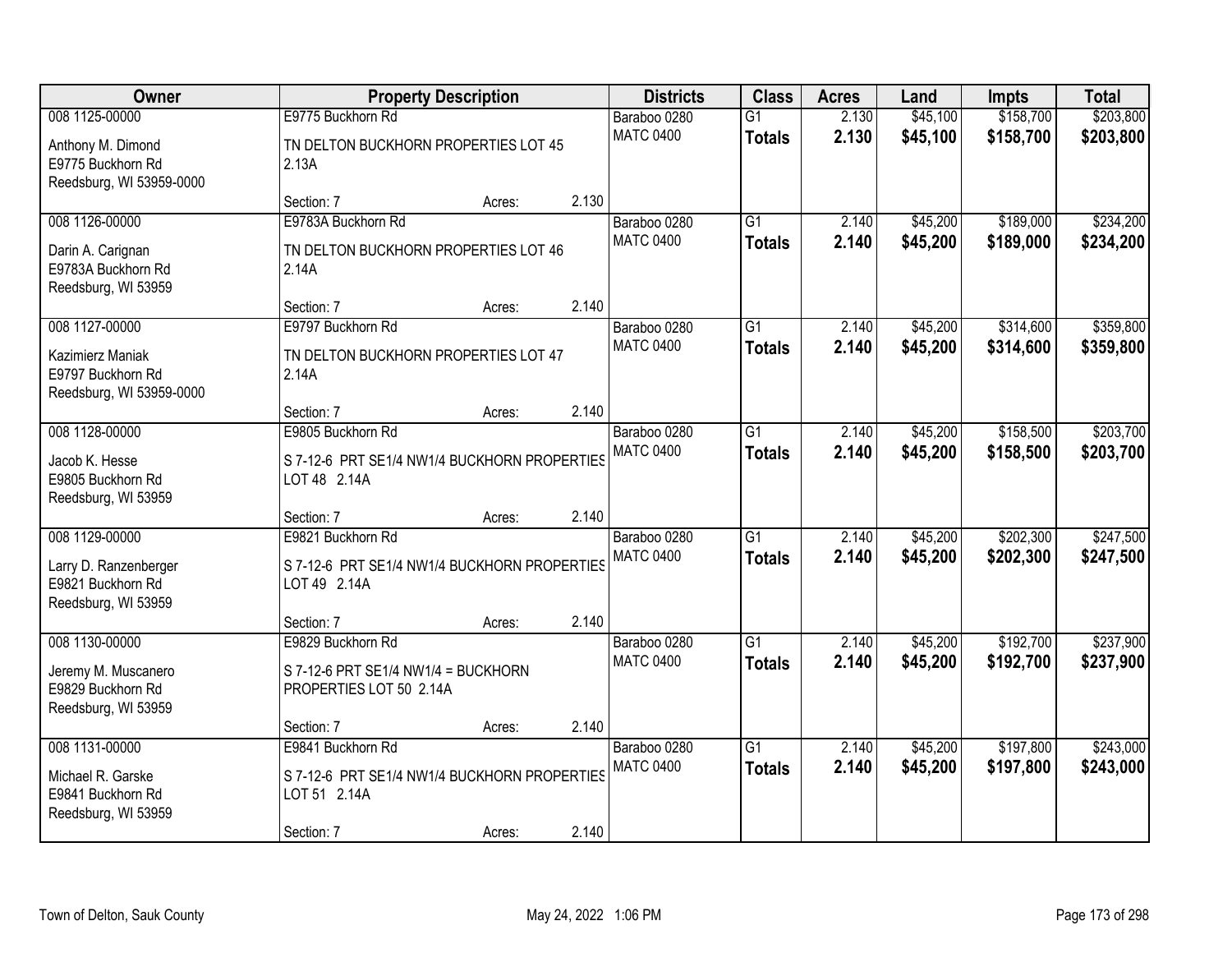| Owner                                                              |                                                                | <b>Property Description</b> |       | <b>Districts</b> | <b>Class</b>    | <b>Acres</b> | Land     | <b>Impts</b> | <b>Total</b> |
|--------------------------------------------------------------------|----------------------------------------------------------------|-----------------------------|-------|------------------|-----------------|--------------|----------|--------------|--------------|
| 008 1125-00000                                                     | E9775 Buckhorn Rd                                              |                             |       | Baraboo 0280     | $\overline{G1}$ | 2.130        | \$45,100 | \$158,700    | \$203,800    |
| Anthony M. Dimond<br>E9775 Buckhorn Rd<br>Reedsburg, WI 53959-0000 | TN DELTON BUCKHORN PROPERTIES LOT 45<br>2.13A                  |                             |       | <b>MATC 0400</b> | <b>Totals</b>   | 2.130        | \$45,100 | \$158,700    | \$203,800    |
|                                                                    | Section: 7                                                     | Acres:                      | 2.130 |                  |                 |              |          |              |              |
| 008 1126-00000                                                     | E9783A Buckhorn Rd                                             |                             |       | Baraboo 0280     | G1              | 2.140        | \$45,200 | \$189,000    | \$234,200    |
| Darin A. Carignan<br>E9783A Buckhorn Rd<br>Reedsburg, WI 53959     | TN DELTON BUCKHORN PROPERTIES LOT 46<br>2.14A                  |                             |       | <b>MATC 0400</b> | <b>Totals</b>   | 2.140        | \$45,200 | \$189,000    | \$234,200    |
|                                                                    | Section: 7                                                     | Acres:                      | 2.140 |                  |                 |              |          |              |              |
| 008 1127-00000                                                     | E9797 Buckhorn Rd                                              |                             |       | Baraboo 0280     | $\overline{G1}$ | 2.140        | \$45,200 | \$314,600    | \$359,800    |
| Kazimierz Maniak<br>E9797 Buckhorn Rd<br>Reedsburg, WI 53959-0000  | TN DELTON BUCKHORN PROPERTIES LOT 47<br>2.14A                  |                             |       | <b>MATC 0400</b> | <b>Totals</b>   | 2.140        | \$45,200 | \$314,600    | \$359,800    |
|                                                                    | Section: 7                                                     | Acres:                      | 2.140 |                  |                 |              |          |              |              |
| 008 1128-00000                                                     | E9805 Buckhorn Rd                                              |                             |       | Baraboo 0280     | $\overline{G1}$ | 2.140        | \$45,200 | \$158,500    | \$203,700    |
| Jacob K. Hesse<br>E9805 Buckhorn Rd<br>Reedsburg, WI 53959         | S 7-12-6 PRT SE1/4 NW1/4 BUCKHORN PROPERTIES<br>LOT 48 2.14A   |                             |       | <b>MATC 0400</b> | <b>Totals</b>   | 2.140        | \$45,200 | \$158,500    | \$203,700    |
|                                                                    | Section: 7                                                     | Acres:                      | 2.140 |                  |                 |              |          |              |              |
| 008 1129-00000                                                     | E9821 Buckhorn Rd                                              |                             |       | Baraboo 0280     | $\overline{G1}$ | 2.140        | \$45,200 | \$202,300    | \$247,500    |
| Larry D. Ranzenberger<br>E9821 Buckhorn Rd<br>Reedsburg, WI 53959  | S 7-12-6 PRT SE1/4 NW1/4 BUCKHORN PROPERTIES<br>LOT 49 2.14A   |                             |       | <b>MATC 0400</b> | <b>Totals</b>   | 2.140        | \$45,200 | \$202,300    | \$247,500    |
|                                                                    | Section: 7                                                     | Acres:                      | 2.140 |                  |                 |              |          |              |              |
| 008 1130-00000                                                     | E9829 Buckhorn Rd                                              |                             |       | Baraboo 0280     | $\overline{G1}$ | 2.140        | \$45,200 | \$192,700    | \$237,900    |
| Jeremy M. Muscanero<br>E9829 Buckhorn Rd<br>Reedsburg, WI 53959    | S 7-12-6 PRT SE1/4 NW1/4 = BUCKHORN<br>PROPERTIES LOT 50 2.14A |                             |       | <b>MATC 0400</b> | <b>Totals</b>   | 2.140        | \$45,200 | \$192,700    | \$237,900    |
|                                                                    | Section: 7                                                     | Acres:                      | 2.140 |                  |                 |              |          |              |              |
| 008 1131-00000                                                     | E9841 Buckhorn Rd                                              |                             |       | Baraboo 0280     | $\overline{G1}$ | 2.140        | \$45,200 | \$197,800    | \$243,000    |
| Michael R. Garske<br>E9841 Buckhorn Rd<br>Reedsburg, WI 53959      | S 7-12-6 PRT SE1/4 NW1/4 BUCKHORN PROPERTIES<br>LOT 51 2.14A   |                             |       | <b>MATC 0400</b> | <b>Totals</b>   | 2.140        | \$45,200 | \$197,800    | \$243,000    |
|                                                                    | Section: 7                                                     | Acres:                      | 2.140 |                  |                 |              |          |              |              |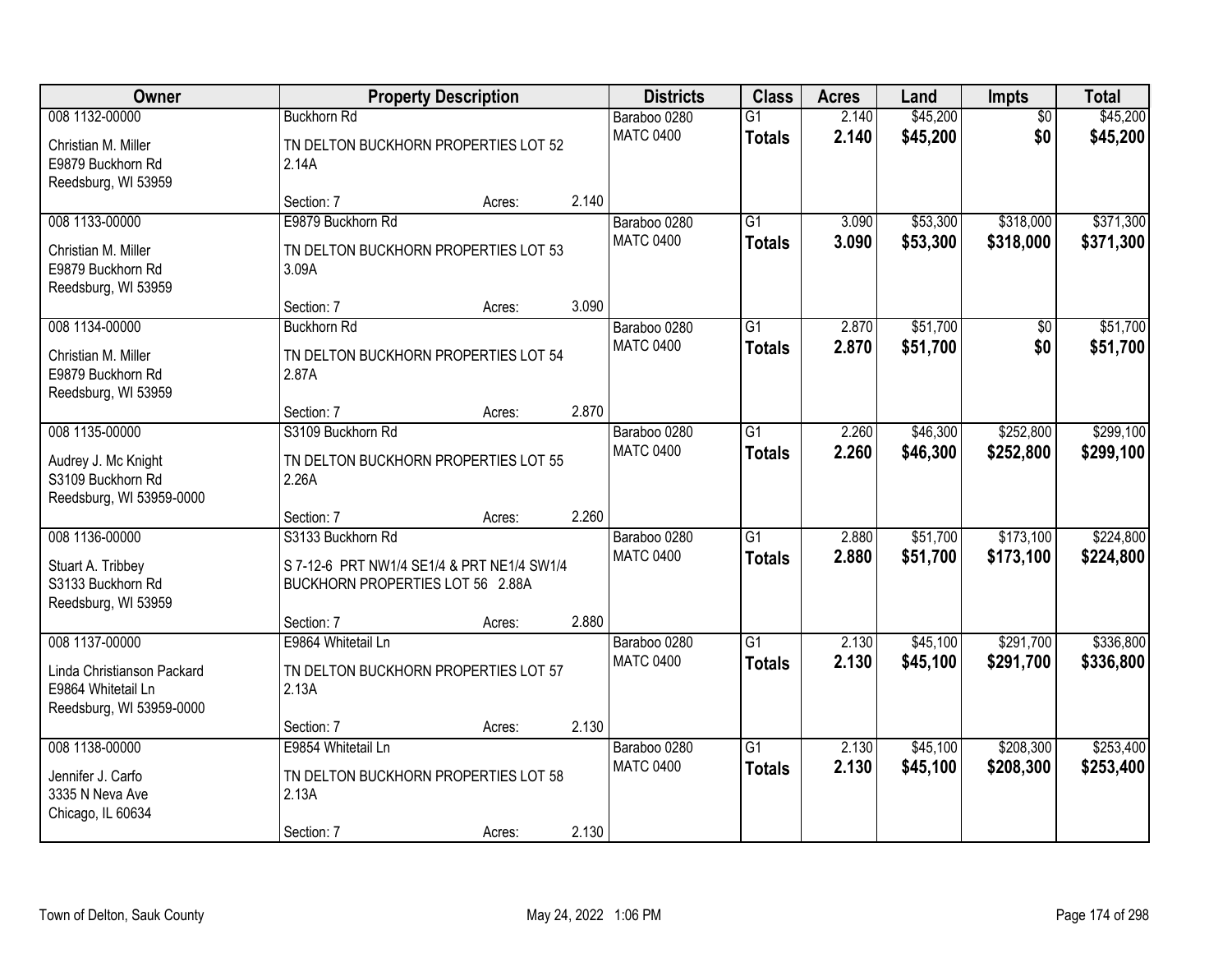| Owner                                                                                          |                                                                                                     | <b>Property Description</b> |       | <b>Districts</b>                 | <b>Class</b>                     | <b>Acres</b>   | Land                 | Impts                  | <b>Total</b>           |
|------------------------------------------------------------------------------------------------|-----------------------------------------------------------------------------------------------------|-----------------------------|-------|----------------------------------|----------------------------------|----------------|----------------------|------------------------|------------------------|
| 008 1132-00000<br>Christian M. Miller<br>E9879 Buckhorn Rd<br>Reedsburg, WI 53959              | <b>Buckhorn Rd</b><br>TN DELTON BUCKHORN PROPERTIES LOT 52<br>2.14A                                 |                             |       | Baraboo 0280<br><b>MATC 0400</b> | $\overline{G1}$<br><b>Totals</b> | 2.140<br>2.140 | \$45,200<br>\$45,200 | $\overline{50}$<br>\$0 | \$45,200<br>\$45,200   |
|                                                                                                | Section: 7                                                                                          | Acres:                      | 2.140 |                                  |                                  |                |                      |                        |                        |
| 008 1133-00000<br>Christian M. Miller<br>E9879 Buckhorn Rd<br>Reedsburg, WI 53959              | E9879 Buckhorn Rd<br>TN DELTON BUCKHORN PROPERTIES LOT 53<br>3.09A                                  |                             |       | Baraboo 0280<br><b>MATC 0400</b> | $\overline{G1}$<br><b>Totals</b> | 3.090<br>3.090 | \$53,300<br>\$53,300 | \$318,000<br>\$318,000 | \$371,300<br>\$371,300 |
|                                                                                                | Section: 7                                                                                          | Acres:                      | 3.090 |                                  |                                  |                |                      |                        |                        |
| 008 1134-00000<br>Christian M. Miller<br>E9879 Buckhorn Rd<br>Reedsburg, WI 53959              | <b>Buckhorn Rd</b><br>TN DELTON BUCKHORN PROPERTIES LOT 54<br>2.87A                                 |                             |       | Baraboo 0280<br><b>MATC 0400</b> | G <sub>1</sub><br><b>Totals</b>  | 2.870<br>2.870 | \$51,700<br>\$51,700 | \$0<br>\$0             | \$51,700<br>\$51,700   |
|                                                                                                | Section: 7                                                                                          | Acres:                      | 2.870 |                                  |                                  |                |                      |                        |                        |
| 008 1135-00000<br>Audrey J. Mc Knight<br>S3109 Buckhorn Rd<br>Reedsburg, WI 53959-0000         | S3109 Buckhorn Rd<br>TN DELTON BUCKHORN PROPERTIES LOT 55<br>2.26A                                  |                             |       | Baraboo 0280<br><b>MATC 0400</b> | $\overline{G1}$<br><b>Totals</b> | 2.260<br>2.260 | \$46,300<br>\$46,300 | \$252,800<br>\$252,800 | \$299,100<br>\$299,100 |
|                                                                                                | Section: 7                                                                                          | Acres:                      | 2.260 |                                  |                                  |                |                      |                        |                        |
| 008 1136-00000<br>Stuart A. Tribbey<br>S3133 Buckhorn Rd<br>Reedsburg, WI 53959                | S3133 Buckhorn Rd<br>S 7-12-6 PRT NW1/4 SE1/4 & PRT NE1/4 SW1/4<br>BUCKHORN PROPERTIES LOT 56 2.88A |                             |       | Baraboo 0280<br><b>MATC 0400</b> | $\overline{G1}$<br><b>Totals</b> | 2.880<br>2.880 | \$51,700<br>\$51,700 | \$173,100<br>\$173,100 | \$224,800<br>\$224,800 |
|                                                                                                | Section: 7                                                                                          | Acres:                      | 2.880 |                                  |                                  |                |                      |                        |                        |
| 008 1137-00000<br>Linda Christianson Packard<br>E9864 Whitetail Ln<br>Reedsburg, WI 53959-0000 | E9864 Whitetail Ln<br>TN DELTON BUCKHORN PROPERTIES LOT 57<br>2.13A                                 |                             |       | Baraboo 0280<br><b>MATC 0400</b> | $\overline{G1}$<br><b>Totals</b> | 2.130<br>2.130 | \$45,100<br>\$45,100 | \$291,700<br>\$291,700 | \$336,800<br>\$336,800 |
|                                                                                                | Section: 7                                                                                          | Acres:                      | 2.130 |                                  |                                  |                |                      |                        |                        |
| 008 1138-00000<br>Jennifer J. Carfo<br>3335 N Neva Ave<br>Chicago, IL 60634                    | E9854 Whitetail Ln<br>TN DELTON BUCKHORN PROPERTIES LOT 58<br>2.13A<br>Section: 7                   | Acres:                      | 2.130 | Baraboo 0280<br><b>MATC 0400</b> | $\overline{G1}$<br><b>Totals</b> | 2.130<br>2.130 | \$45,100<br>\$45,100 | \$208,300<br>\$208,300 | \$253,400<br>\$253,400 |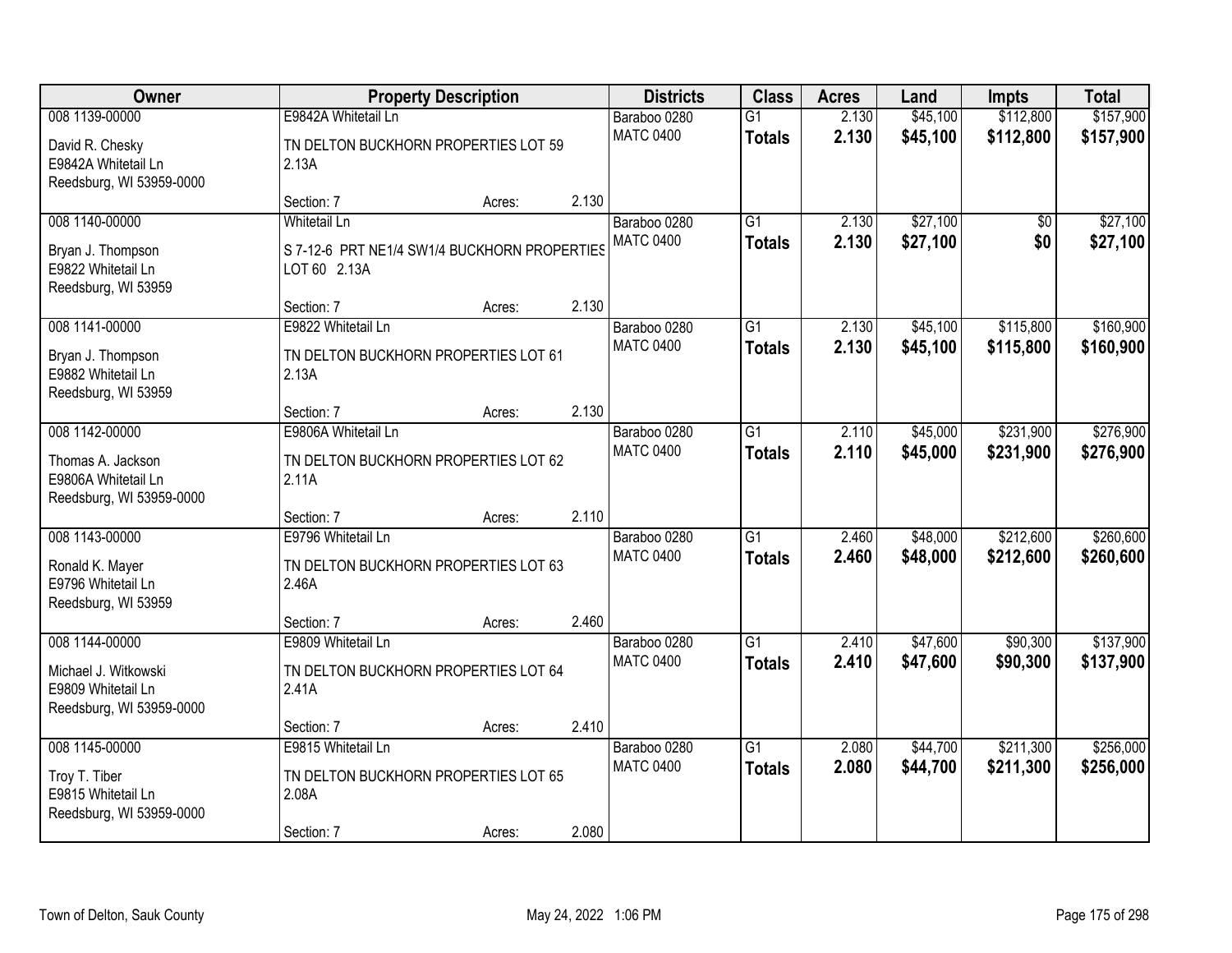| Owner                                                                          |                                                                                     | <b>Property Description</b> |       | <b>Districts</b>                 | <b>Class</b>                     | <b>Acres</b>   | Land                 | <b>Impts</b>           | <b>Total</b>           |
|--------------------------------------------------------------------------------|-------------------------------------------------------------------------------------|-----------------------------|-------|----------------------------------|----------------------------------|----------------|----------------------|------------------------|------------------------|
| 008 1139-00000                                                                 | E9842A Whitetail Ln                                                                 |                             |       | Baraboo 0280                     | $\overline{G1}$                  | 2.130          | \$45,100             | \$112,800              | \$157,900              |
| David R. Chesky<br>E9842A Whitetail Ln<br>Reedsburg, WI 53959-0000             | TN DELTON BUCKHORN PROPERTIES LOT 59<br>2.13A                                       |                             |       | <b>MATC 0400</b>                 | <b>Totals</b>                    | 2.130          | \$45,100             | \$112,800              | \$157,900              |
|                                                                                | Section: 7                                                                          | Acres:                      | 2.130 |                                  |                                  |                |                      |                        |                        |
| 008 1140-00000<br>Bryan J. Thompson<br>E9822 Whitetail Ln                      | <b>Whitetail Ln</b><br>S 7-12-6 PRT NE1/4 SW1/4 BUCKHORN PROPERTIES<br>LOT 60 2.13A |                             |       | Baraboo 0280<br><b>MATC 0400</b> | G1<br><b>Totals</b>              | 2.130<br>2.130 | \$27,100<br>\$27,100 | $\overline{50}$<br>\$0 | \$27,100<br>\$27,100   |
| Reedsburg, WI 53959                                                            | Section: 7                                                                          | Acres:                      | 2.130 |                                  |                                  |                |                      |                        |                        |
| 008 1141-00000                                                                 | E9822 Whitetail Ln                                                                  |                             |       | Baraboo 0280                     | $\overline{G1}$                  | 2.130          | \$45,100             | \$115,800              | \$160,900              |
| Bryan J. Thompson<br>E9882 Whitetail Ln<br>Reedsburg, WI 53959                 | TN DELTON BUCKHORN PROPERTIES LOT 61<br>2.13A                                       |                             |       | <b>MATC 0400</b>                 | <b>Totals</b>                    | 2.130          | \$45,100             | \$115,800              | \$160,900              |
|                                                                                | Section: 7                                                                          | Acres:                      | 2.130 |                                  |                                  |                |                      |                        |                        |
| 008 1142-00000                                                                 | E9806A Whitetail Ln                                                                 |                             |       | Baraboo 0280                     | $\overline{G1}$                  | 2.110          | \$45,000             | \$231,900              | \$276,900              |
| Thomas A. Jackson<br>E9806A Whitetail Ln<br>Reedsburg, WI 53959-0000           | TN DELTON BUCKHORN PROPERTIES LOT 62<br>2.11A                                       |                             |       | <b>MATC 0400</b>                 | <b>Totals</b>                    | 2.110          | \$45,000             | \$231,900              | \$276,900              |
|                                                                                | Section: 7                                                                          | Acres:                      | 2.110 |                                  |                                  |                |                      |                        |                        |
| 008 1143-00000<br>Ronald K. Mayer<br>E9796 Whitetail Ln<br>Reedsburg, WI 53959 | E9796 Whitetail Ln<br>TN DELTON BUCKHORN PROPERTIES LOT 63<br>2.46A                 |                             |       | Baraboo 0280<br><b>MATC 0400</b> | $\overline{G1}$<br><b>Totals</b> | 2.460<br>2.460 | \$48,000<br>\$48,000 | \$212,600<br>\$212,600 | \$260,600<br>\$260,600 |
|                                                                                | Section: 7                                                                          | Acres:                      | 2.460 |                                  |                                  |                |                      |                        |                        |
| 008 1144-00000<br>Michael J. Witkowski<br>E9809 Whitetail Ln                   | E9809 Whitetail Ln<br>TN DELTON BUCKHORN PROPERTIES LOT 64<br>2.41A                 |                             |       | Baraboo 0280<br><b>MATC 0400</b> | $\overline{G1}$<br><b>Totals</b> | 2.410<br>2.410 | \$47,600<br>\$47,600 | \$90,300<br>\$90,300   | \$137,900<br>\$137,900 |
| Reedsburg, WI 53959-0000                                                       |                                                                                     |                             |       |                                  |                                  |                |                      |                        |                        |
| 008 1145-00000                                                                 | Section: 7<br>E9815 Whitetail Ln                                                    | Acres:                      | 2.410 | Baraboo 0280                     | $\overline{G1}$                  | 2.080          | \$44,700             | \$211,300              | \$256,000              |
| Troy T. Tiber<br>E9815 Whitetail Ln<br>Reedsburg, WI 53959-0000                | TN DELTON BUCKHORN PROPERTIES LOT 65<br>2.08A                                       |                             |       | <b>MATC 0400</b>                 | <b>Totals</b>                    | 2.080          | \$44,700             | \$211,300              | \$256,000              |
|                                                                                | Section: 7                                                                          | Acres:                      | 2.080 |                                  |                                  |                |                      |                        |                        |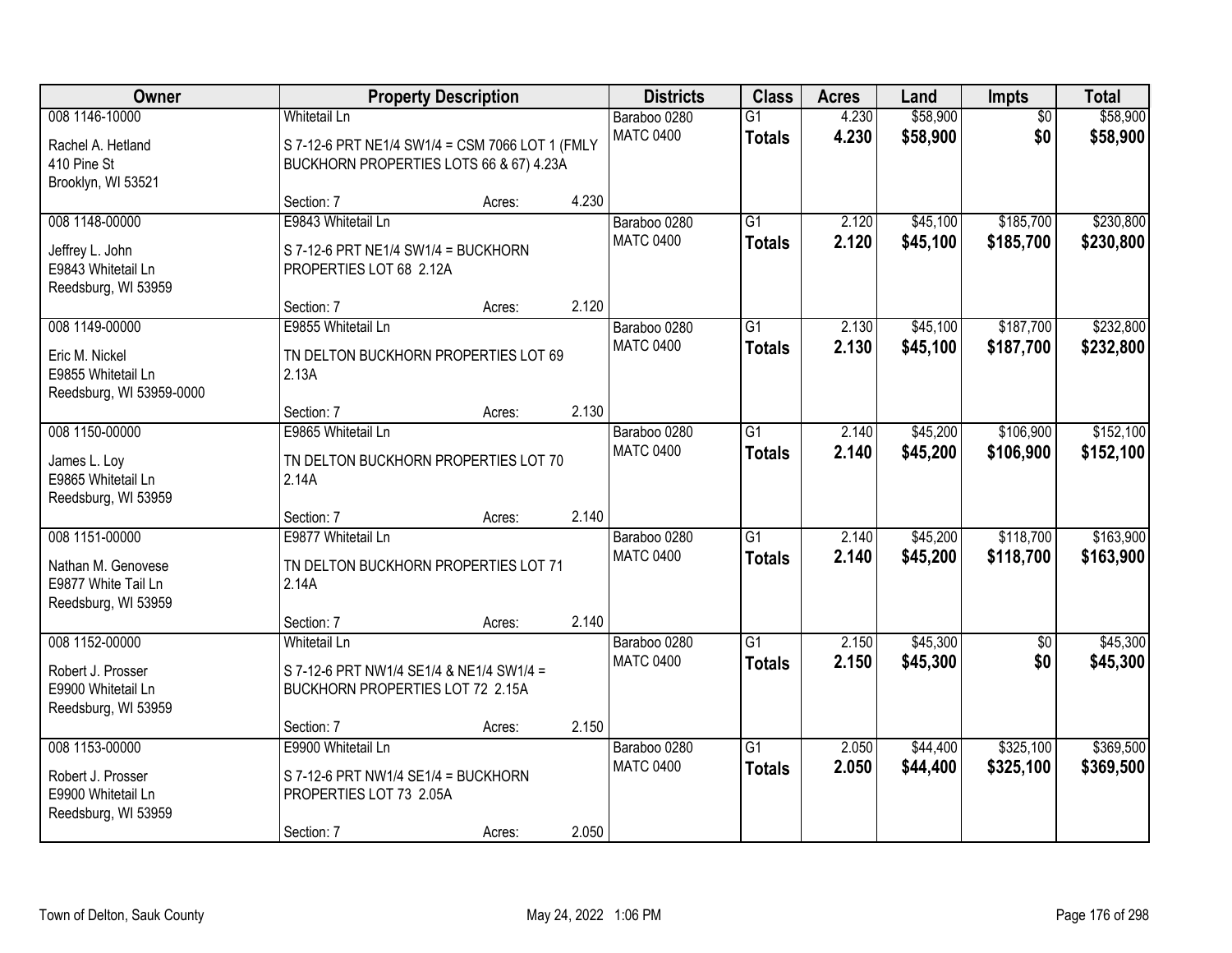| Owner                                                                              |                                                                                                                   | <b>Property Description</b> |       | <b>Districts</b>                 | <b>Class</b>                     | <b>Acres</b>   | Land                 | Impts                  | <b>Total</b>           |
|------------------------------------------------------------------------------------|-------------------------------------------------------------------------------------------------------------------|-----------------------------|-------|----------------------------------|----------------------------------|----------------|----------------------|------------------------|------------------------|
| 008 1146-10000<br>Rachel A. Hetland<br>410 Pine St<br>Brooklyn, WI 53521           | <b>Whitetail Ln</b><br>S 7-12-6 PRT NE1/4 SW1/4 = CSM 7066 LOT 1 (FMLY<br>BUCKHORN PROPERTIES LOTS 66 & 67) 4.23A |                             |       | Baraboo 0280<br><b>MATC 0400</b> | $\overline{G1}$<br><b>Totals</b> | 4.230<br>4.230 | \$58,900<br>\$58,900 | $\overline{50}$<br>\$0 | \$58,900<br>\$58,900   |
|                                                                                    | Section: 7                                                                                                        | Acres:                      | 4.230 |                                  |                                  |                |                      |                        |                        |
| 008 1148-00000<br>Jeffrey L. John<br>E9843 Whitetail Ln<br>Reedsburg, WI 53959     | E9843 Whitetail Ln<br>S 7-12-6 PRT NE1/4 SW1/4 = BUCKHORN<br>PROPERTIES LOT 68 2.12A                              |                             |       | Baraboo 0280<br><b>MATC 0400</b> | $\overline{G1}$<br><b>Totals</b> | 2.120<br>2.120 | \$45,100<br>\$45,100 | \$185,700<br>\$185,700 | \$230,800<br>\$230,800 |
| 008 1149-00000                                                                     | Section: 7<br>E9855 Whitetail Ln                                                                                  | Acres:                      | 2.120 | Baraboo 0280                     | G1                               | 2.130          | \$45,100             | \$187,700              | \$232,800              |
| Eric M. Nickel<br>E9855 Whitetail Ln<br>Reedsburg, WI 53959-0000                   | TN DELTON BUCKHORN PROPERTIES LOT 69<br>2.13A                                                                     |                             |       | <b>MATC 0400</b>                 | <b>Totals</b>                    | 2.130          | \$45,100             | \$187,700              | \$232,800              |
|                                                                                    | Section: 7                                                                                                        | Acres:                      | 2.130 |                                  |                                  |                |                      |                        |                        |
| 008 1150-00000<br>James L. Loy<br>E9865 Whitetail Ln<br>Reedsburg, WI 53959        | E9865 Whitetail Ln<br>TN DELTON BUCKHORN PROPERTIES LOT 70<br>2.14A                                               |                             |       | Baraboo 0280<br><b>MATC 0400</b> | G1<br><b>Totals</b>              | 2.140<br>2.140 | \$45,200<br>\$45,200 | \$106,900<br>\$106,900 | \$152,100<br>\$152,100 |
|                                                                                    | Section: 7                                                                                                        | Acres:                      | 2.140 |                                  |                                  |                |                      |                        |                        |
| 008 1151-00000<br>Nathan M. Genovese<br>E9877 White Tail Ln<br>Reedsburg, WI 53959 | E9877 Whitetail Ln<br>TN DELTON BUCKHORN PROPERTIES LOT 71<br>2.14A                                               |                             |       | Baraboo 0280<br><b>MATC 0400</b> | $\overline{G1}$<br><b>Totals</b> | 2.140<br>2.140 | \$45,200<br>\$45,200 | \$118,700<br>\$118,700 | \$163,900<br>\$163,900 |
| 008 1152-00000                                                                     | Section: 7<br><b>Whitetail Ln</b>                                                                                 | Acres:                      | 2.140 | Baraboo 0280                     | $\overline{G1}$                  | 2.150          | \$45,300             | $\overline{50}$        | \$45,300               |
| Robert J. Prosser<br>E9900 Whitetail Ln<br>Reedsburg, WI 53959                     | S 7-12-6 PRT NW1/4 SE1/4 & NE1/4 SW1/4 =<br>BUCKHORN PROPERTIES LOT 72 2.15A                                      |                             |       | <b>MATC 0400</b>                 | <b>Totals</b>                    | 2.150          | \$45,300             | \$0                    | \$45,300               |
|                                                                                    | Section: 7                                                                                                        | Acres:                      | 2.150 |                                  |                                  |                |                      |                        |                        |
| 008 1153-00000<br>Robert J. Prosser<br>E9900 Whitetail Ln<br>Reedsburg, WI 53959   | E9900 Whitetail Ln<br>S 7-12-6 PRT NW1/4 SE1/4 = BUCKHORN<br>PROPERTIES LOT 73 2.05A<br>Section: 7                | Acres:                      | 2.050 | Baraboo 0280<br><b>MATC 0400</b> | $\overline{G1}$<br><b>Totals</b> | 2.050<br>2.050 | \$44,400<br>\$44,400 | \$325,100<br>\$325,100 | \$369,500<br>\$369,500 |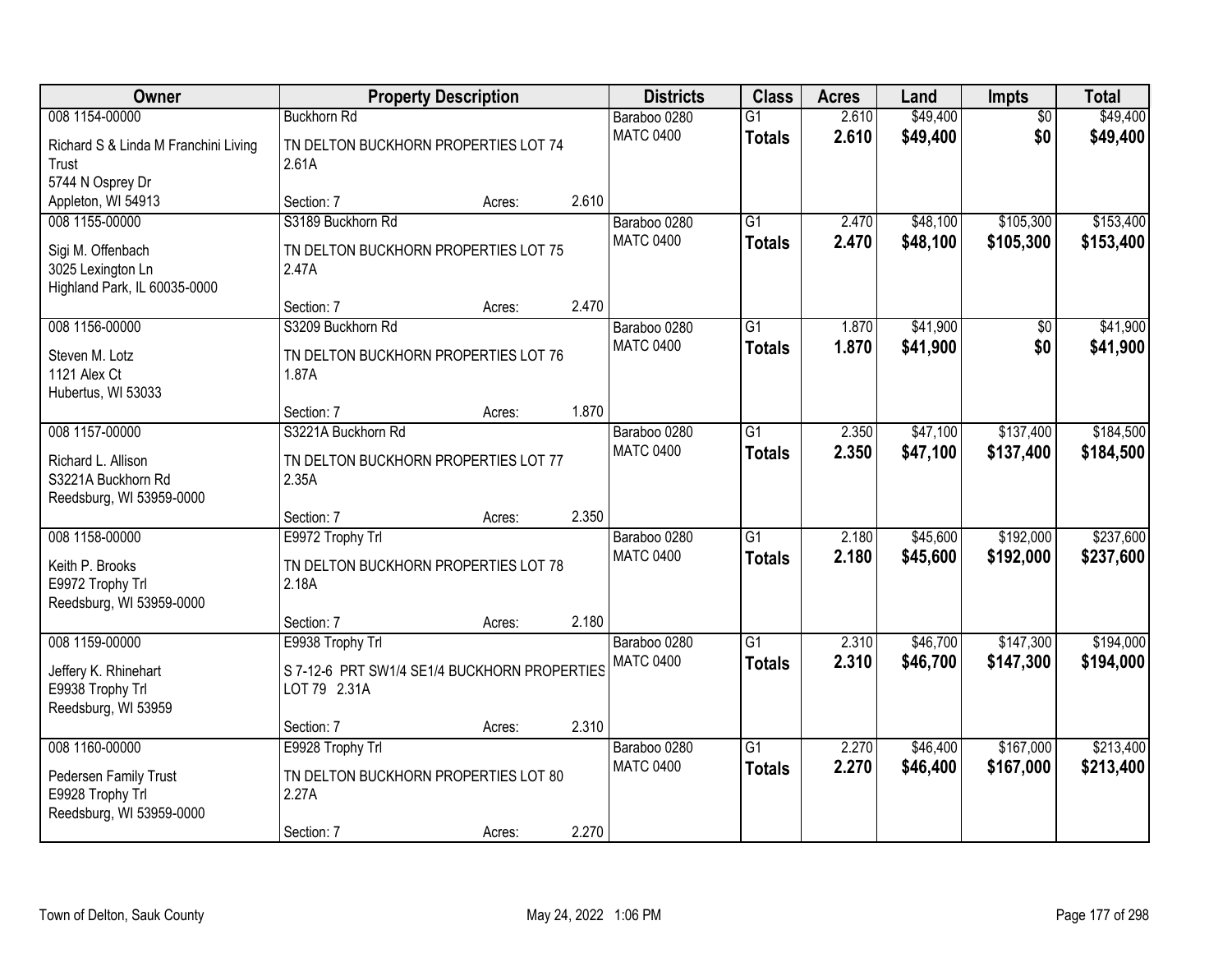| Owner                                                                                    | <b>Property Description</b>                                                      |        |       | <b>Districts</b>                 | <b>Class</b>                     | <b>Acres</b>   | Land                 | <b>Impts</b>           | <b>Total</b>           |
|------------------------------------------------------------------------------------------|----------------------------------------------------------------------------------|--------|-------|----------------------------------|----------------------------------|----------------|----------------------|------------------------|------------------------|
| 008 1154-00000                                                                           | <b>Buckhorn Rd</b>                                                               |        |       | Baraboo 0280                     | $\overline{G1}$                  | 2.610          | \$49,400             | $\overline{50}$        | \$49,400               |
| Richard S & Linda M Franchini Living<br>Trust<br>5744 N Osprey Dr                        | TN DELTON BUCKHORN PROPERTIES LOT 74<br>2.61A                                    |        |       | <b>MATC 0400</b>                 | <b>Totals</b>                    | 2.610          | \$49,400             | \$0                    | \$49,400               |
| Appleton, WI 54913                                                                       | Section: 7                                                                       | Acres: | 2.610 |                                  |                                  |                |                      |                        |                        |
| 008 1155-00000<br>Sigi M. Offenbach<br>3025 Lexington Ln<br>Highland Park, IL 60035-0000 | S3189 Buckhorn Rd<br>TN DELTON BUCKHORN PROPERTIES LOT 75<br>2.47A               |        |       | Baraboo 0280<br><b>MATC 0400</b> | G1<br><b>Totals</b>              | 2.470<br>2.470 | \$48,100<br>\$48,100 | \$105,300<br>\$105,300 | \$153,400<br>\$153,400 |
|                                                                                          | Section: 7                                                                       | Acres: | 2.470 |                                  |                                  |                |                      |                        |                        |
| 008 1156-00000<br>Steven M. Lotz<br>1121 Alex Ct<br>Hubertus, WI 53033                   | S3209 Buckhorn Rd<br>TN DELTON BUCKHORN PROPERTIES LOT 76<br>1.87A               |        |       | Baraboo 0280<br><b>MATC 0400</b> | $\overline{G1}$<br><b>Totals</b> | 1.870<br>1.870 | \$41,900<br>\$41,900 | \$0<br>\$0             | \$41,900<br>\$41,900   |
|                                                                                          | Section: 7                                                                       | Acres: | 1.870 |                                  |                                  |                |                      |                        |                        |
| 008 1157-00000<br>Richard L. Allison<br>S3221A Buckhorn Rd<br>Reedsburg, WI 53959-0000   | S3221A Buckhorn Rd<br>TN DELTON BUCKHORN PROPERTIES LOT 77<br>2.35A              |        |       | Baraboo 0280<br><b>MATC 0400</b> | G1<br><b>Totals</b>              | 2.350<br>2.350 | \$47,100<br>\$47,100 | \$137,400<br>\$137,400 | \$184,500<br>\$184,500 |
|                                                                                          | Section: 7                                                                       | Acres: | 2.350 |                                  |                                  |                |                      |                        |                        |
| 008 1158-00000<br>Keith P. Brooks<br>E9972 Trophy Trl<br>Reedsburg, WI 53959-0000        | E9972 Trophy Trl<br>TN DELTON BUCKHORN PROPERTIES LOT 78<br>2.18A                |        |       | Baraboo 0280<br><b>MATC 0400</b> | $\overline{G1}$<br><b>Totals</b> | 2.180<br>2.180 | \$45,600<br>\$45,600 | \$192,000<br>\$192,000 | \$237,600<br>\$237,600 |
|                                                                                          | Section: 7                                                                       | Acres: | 2.180 |                                  |                                  |                |                      |                        |                        |
| 008 1159-00000<br>Jeffery K. Rhinehart<br>E9938 Trophy Trl<br>Reedsburg, WI 53959        | E9938 Trophy Trl<br>S 7-12-6 PRT SW1/4 SE1/4 BUCKHORN PROPERTIES<br>LOT 79 2.31A |        |       | Baraboo 0280<br><b>MATC 0400</b> | $\overline{G1}$<br><b>Totals</b> | 2.310<br>2.310 | \$46,700<br>\$46,700 | \$147,300<br>\$147,300 | \$194,000<br>\$194,000 |
| 008 1160-00000                                                                           | Section: 7<br>E9928 Trophy Trl                                                   | Acres: | 2.310 | Baraboo 0280                     | $\overline{G1}$                  | 2.270          | \$46,400             | \$167,000              | \$213,400              |
| Pedersen Family Trust<br>E9928 Trophy Trl<br>Reedsburg, WI 53959-0000                    | TN DELTON BUCKHORN PROPERTIES LOT 80<br>2.27A<br>Section: 7                      | Acres: | 2.270 | <b>MATC 0400</b>                 | <b>Totals</b>                    | 2.270          | \$46,400             | \$167,000              | \$213,400              |
|                                                                                          |                                                                                  |        |       |                                  |                                  |                |                      |                        |                        |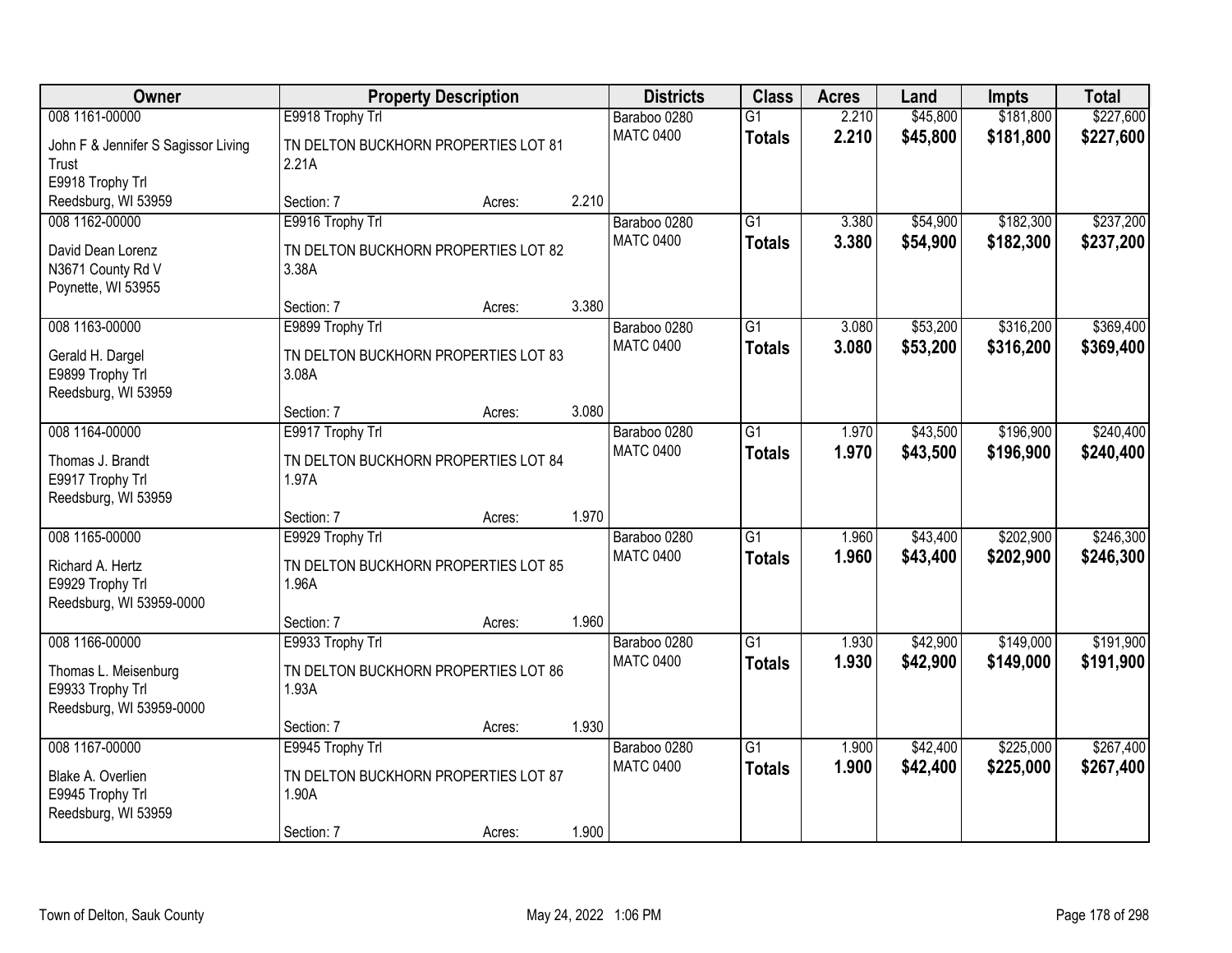| Owner                                                                |                                               | <b>Property Description</b> |       | <b>Districts</b>                 | <b>Class</b>                     | <b>Acres</b>   | Land                 | <b>Impts</b>           | <b>Total</b>           |
|----------------------------------------------------------------------|-----------------------------------------------|-----------------------------|-------|----------------------------------|----------------------------------|----------------|----------------------|------------------------|------------------------|
| 008 1161-00000                                                       | E9918 Trophy Trl                              |                             |       | Baraboo 0280                     | G1                               | 2.210          | \$45,800             | \$181,800              | \$227,600              |
| John F & Jennifer S Sagissor Living<br>Trust<br>E9918 Trophy Trl     | TN DELTON BUCKHORN PROPERTIES LOT 81<br>2.21A |                             |       | <b>MATC 0400</b>                 | <b>Totals</b>                    | 2.210          | \$45,800             | \$181,800              | \$227,600              |
| Reedsburg, WI 53959                                                  | Section: 7                                    | Acres:                      | 2.210 |                                  |                                  |                |                      |                        |                        |
| 008 1162-00000                                                       | E9916 Trophy Trl                              |                             |       | Baraboo 0280<br><b>MATC 0400</b> | $\overline{G1}$<br><b>Totals</b> | 3.380<br>3.380 | \$54,900<br>\$54,900 | \$182,300<br>\$182,300 | \$237,200<br>\$237,200 |
| David Dean Lorenz<br>N3671 County Rd V<br>Poynette, WI 53955         | TN DELTON BUCKHORN PROPERTIES LOT 82<br>3.38A |                             |       |                                  |                                  |                |                      |                        |                        |
|                                                                      | Section: 7                                    | Acres:                      | 3.380 |                                  |                                  |                |                      |                        |                        |
| 008 1163-00000                                                       | E9899 Trophy Trl                              |                             |       | Baraboo 0280                     | $\overline{G1}$                  | 3.080          | \$53,200             | \$316,200              | \$369,400              |
| Gerald H. Dargel<br>E9899 Trophy Trl<br>Reedsburg, WI 53959          | TN DELTON BUCKHORN PROPERTIES LOT 83<br>3.08A |                             |       | <b>MATC 0400</b>                 | <b>Totals</b>                    | 3.080          | \$53,200             | \$316,200              | \$369,400              |
|                                                                      | Section: 7                                    | Acres:                      | 3.080 |                                  |                                  |                |                      |                        |                        |
| 008 1164-00000                                                       | E9917 Trophy Trl                              |                             |       | Baraboo 0280                     | $\overline{G1}$                  | 1.970          | \$43,500             | \$196,900              | \$240,400              |
| Thomas J. Brandt<br>E9917 Trophy Trl<br>Reedsburg, WI 53959          | TN DELTON BUCKHORN PROPERTIES LOT 84<br>1.97A |                             |       | <b>MATC 0400</b>                 | <b>Totals</b>                    | 1.970          | \$43,500             | \$196,900              | \$240,400              |
|                                                                      | Section: 7                                    | Acres:                      | 1.970 |                                  |                                  |                |                      |                        |                        |
| 008 1165-00000                                                       | E9929 Trophy Trl                              |                             |       | Baraboo 0280                     | $\overline{G1}$                  | 1.960          | \$43,400             | \$202,900              | \$246,300              |
| Richard A. Hertz<br>E9929 Trophy Trl<br>Reedsburg, WI 53959-0000     | TN DELTON BUCKHORN PROPERTIES LOT 85<br>1.96A |                             |       | <b>MATC 0400</b>                 | <b>Totals</b>                    | 1.960          | \$43,400             | \$202,900              | \$246,300              |
|                                                                      | Section: 7                                    | Acres:                      | 1.960 |                                  |                                  |                |                      |                        |                        |
| 008 1166-00000                                                       | E9933 Trophy Trl                              |                             |       | Baraboo 0280                     | $\overline{G1}$                  | 1.930          | \$42,900             | \$149,000              | \$191,900              |
| Thomas L. Meisenburg<br>E9933 Trophy Trl<br>Reedsburg, WI 53959-0000 | TN DELTON BUCKHORN PROPERTIES LOT 86<br>1.93A |                             |       | <b>MATC 0400</b>                 | <b>Totals</b>                    | 1.930          | \$42,900             | \$149,000              | \$191,900              |
|                                                                      | Section: 7                                    | Acres:                      | 1.930 |                                  |                                  |                |                      |                        |                        |
| 008 1167-00000                                                       | E9945 Trophy Trl                              |                             |       | Baraboo 0280                     | $\overline{G1}$                  | 1.900          | \$42,400             | \$225,000              | \$267,400              |
| Blake A. Overlien<br>E9945 Trophy Trl<br>Reedsburg, WI 53959         | TN DELTON BUCKHORN PROPERTIES LOT 87<br>1.90A |                             |       | <b>MATC 0400</b>                 | <b>Totals</b>                    | 1.900          | \$42,400             | \$225,000              | \$267,400              |
|                                                                      | Section: 7                                    | Acres:                      | 1.900 |                                  |                                  |                |                      |                        |                        |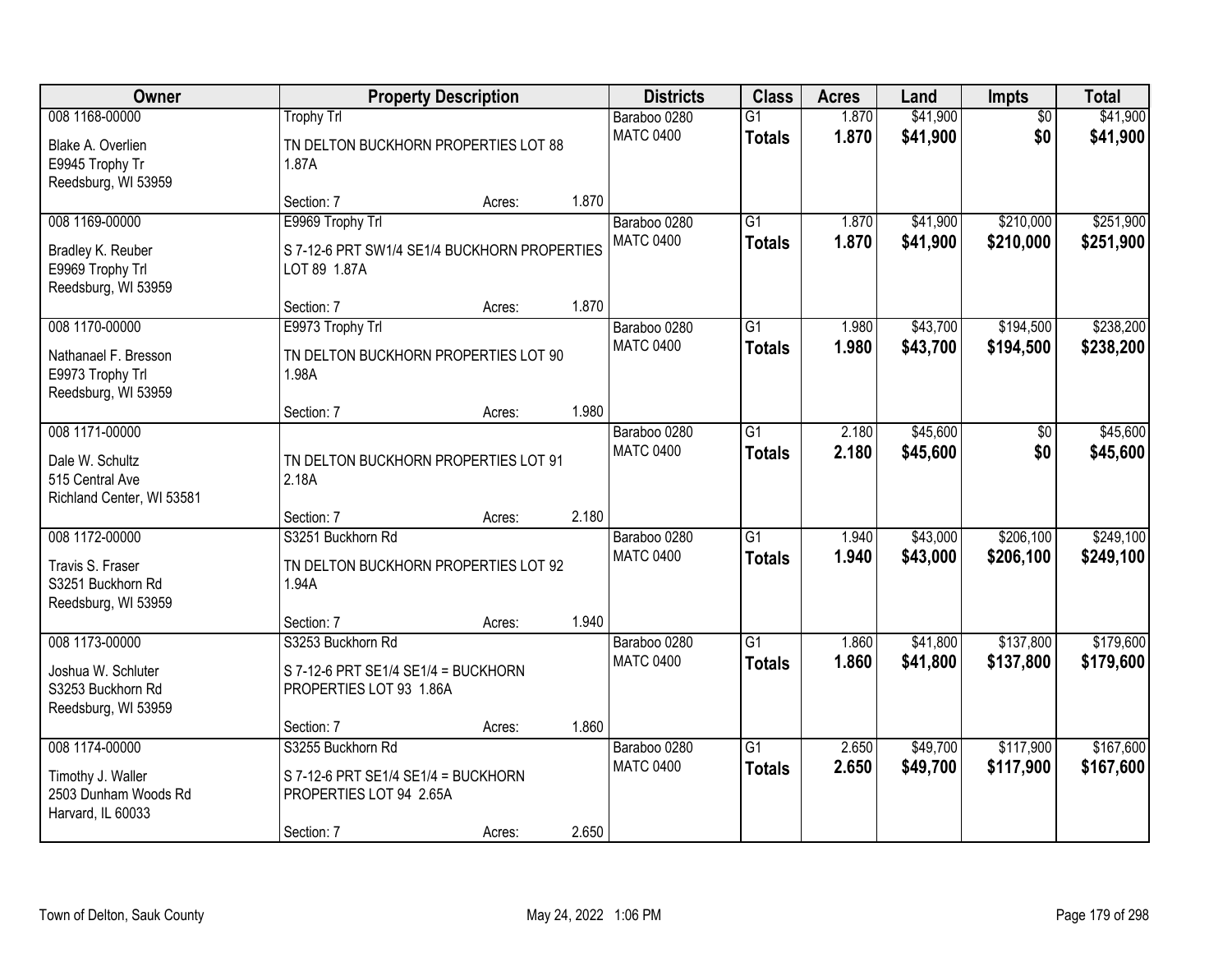| Owner                                                           |                                                                  | <b>Property Description</b> |       | <b>Districts</b>                 | <b>Class</b>                     | <b>Acres</b>   | Land                 | Impts                  | <b>Total</b>         |
|-----------------------------------------------------------------|------------------------------------------------------------------|-----------------------------|-------|----------------------------------|----------------------------------|----------------|----------------------|------------------------|----------------------|
| 008 1168-00000<br>Blake A. Overlien                             | <b>Trophy Trl</b><br>TN DELTON BUCKHORN PROPERTIES LOT 88        |                             |       | Baraboo 0280<br><b>MATC 0400</b> | $\overline{G1}$<br><b>Totals</b> | 1.870<br>1.870 | \$41,900<br>\$41,900 | $\overline{50}$<br>\$0 | \$41,900<br>\$41,900 |
| E9945 Trophy Tr<br>Reedsburg, WI 53959                          | 1.87A                                                            |                             |       |                                  |                                  |                |                      |                        |                      |
|                                                                 | Section: 7                                                       | Acres:                      | 1.870 |                                  |                                  |                |                      |                        |                      |
| 008 1169-00000                                                  | E9969 Trophy Trl                                                 |                             |       | Baraboo 0280                     | $\overline{G1}$                  | 1.870          | \$41,900             | \$210,000              | \$251,900            |
| Bradley K. Reuber<br>E9969 Trophy Trl<br>Reedsburg, WI 53959    | S 7-12-6 PRT SW1/4 SE1/4 BUCKHORN PROPERTIES<br>LOT 89 1.87A     |                             |       | <b>MATC 0400</b>                 | <b>Totals</b>                    | 1.870          | \$41,900             | \$210,000              | \$251,900            |
|                                                                 | Section: 7                                                       | Acres:                      | 1.870 |                                  |                                  |                |                      |                        |                      |
| 008 1170-00000                                                  | E9973 Trophy Trl                                                 |                             |       | Baraboo 0280                     | $\overline{G1}$                  | 1.980          | \$43,700             | \$194,500              | \$238,200            |
| Nathanael F. Bresson<br>E9973 Trophy Trl<br>Reedsburg, WI 53959 | TN DELTON BUCKHORN PROPERTIES LOT 90<br>1.98A                    |                             |       | <b>MATC 0400</b>                 | <b>Totals</b>                    | 1.980          | \$43,700             | \$194,500              | \$238,200            |
|                                                                 | Section: 7                                                       | Acres:                      | 1.980 |                                  |                                  |                |                      |                        |                      |
| 008 1171-00000                                                  |                                                                  |                             |       | Baraboo 0280                     | $\overline{G1}$                  | 2.180          | \$45,600             | \$0                    | \$45,600             |
| Dale W. Schultz<br>515 Central Ave<br>Richland Center, WI 53581 | TN DELTON BUCKHORN PROPERTIES LOT 91<br>2.18A                    |                             |       | <b>MATC 0400</b>                 | <b>Totals</b>                    | 2.180          | \$45,600             | \$0                    | \$45,600             |
|                                                                 | Section: 7                                                       | Acres:                      | 2.180 |                                  |                                  |                |                      |                        |                      |
| 008 1172-00000                                                  | S3251 Buckhorn Rd                                                |                             |       | Baraboo 0280                     | $\overline{G1}$                  | 1.940          | \$43,000             | \$206,100              | \$249,100            |
| Travis S. Fraser                                                | TN DELTON BUCKHORN PROPERTIES LOT 92                             |                             |       | <b>MATC 0400</b>                 | <b>Totals</b>                    | 1.940          | \$43,000             | \$206,100              | \$249,100            |
| S3251 Buckhorn Rd<br>Reedsburg, WI 53959                        | 1.94A                                                            |                             |       |                                  |                                  |                |                      |                        |                      |
|                                                                 | Section: 7                                                       | Acres:                      | 1.940 |                                  |                                  |                |                      |                        |                      |
| 008 1173-00000                                                  | S3253 Buckhorn Rd                                                |                             |       | Baraboo 0280                     | $\overline{G1}$                  | 1.860          | \$41,800             | \$137,800              | \$179,600            |
| Joshua W. Schluter<br>S3253 Buckhorn Rd<br>Reedsburg, WI 53959  | $S$ 7-12-6 PRT SE1/4 SE1/4 = BUCKHORN<br>PROPERTIES LOT 93 1.86A |                             |       | <b>MATC 0400</b>                 | <b>Totals</b>                    | 1.860          | \$41,800             | \$137,800              | \$179,600            |
|                                                                 | Section: 7                                                       | Acres:                      | 1.860 |                                  |                                  |                |                      |                        |                      |
| 008 1174-00000                                                  | S3255 Buckhorn Rd                                                |                             |       | Baraboo 0280                     | $\overline{G1}$                  | 2.650          | \$49,700             | \$117,900              | \$167,600            |
| Timothy J. Waller<br>2503 Dunham Woods Rd<br>Harvard, IL 60033  | S 7-12-6 PRT SE1/4 SE1/4 = BUCKHORN<br>PROPERTIES LOT 94 2.65A   |                             |       | <b>MATC 0400</b>                 | <b>Totals</b>                    | 2.650          | \$49,700             | \$117,900              | \$167,600            |
|                                                                 | Section: 7                                                       | Acres:                      | 2.650 |                                  |                                  |                |                      |                        |                      |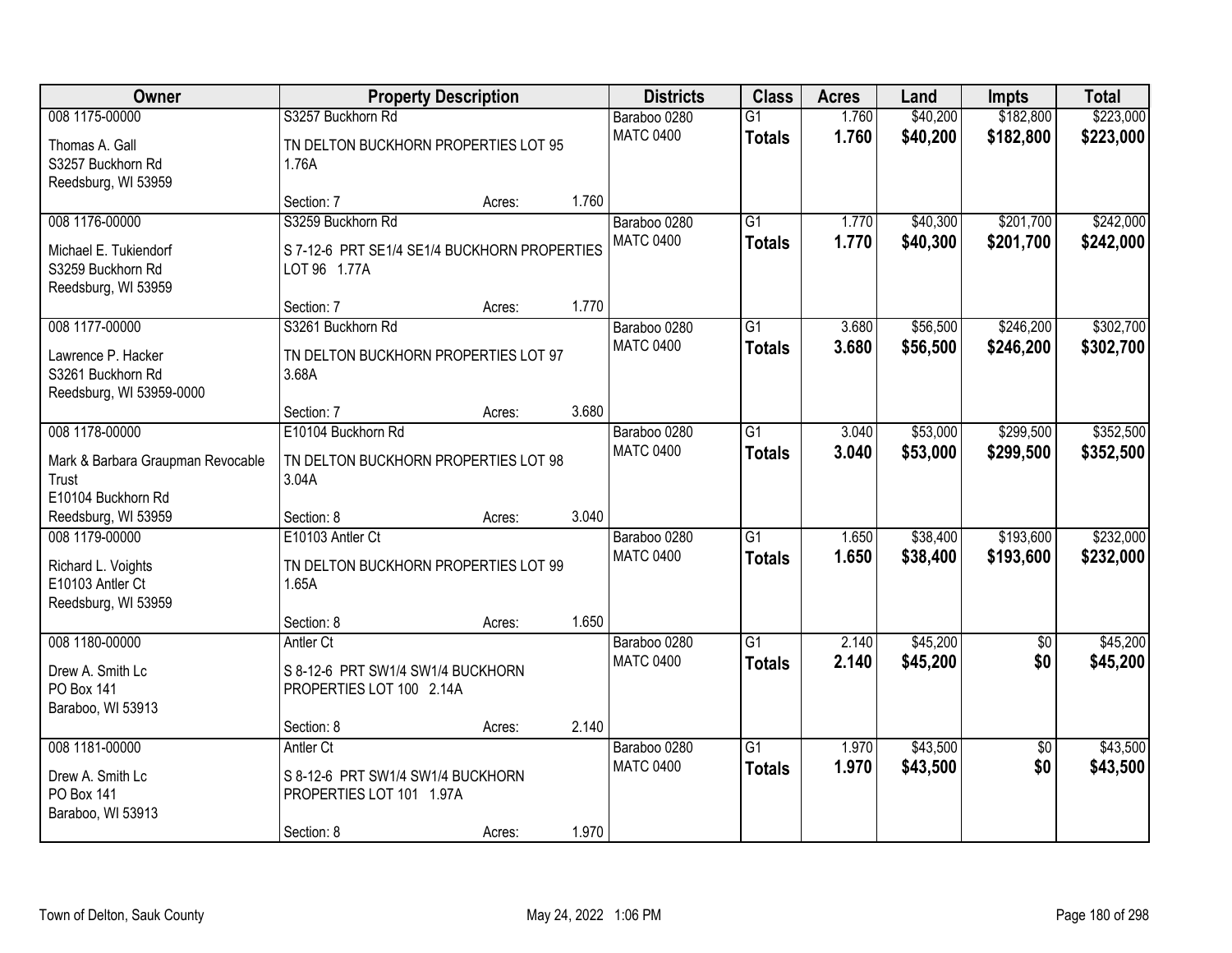| <b>Owner</b>                      | <b>Property Description</b>                  |        |       | <b>Districts</b> | <b>Class</b>    | <b>Acres</b> | Land     | <b>Impts</b>    | <b>Total</b> |
|-----------------------------------|----------------------------------------------|--------|-------|------------------|-----------------|--------------|----------|-----------------|--------------|
| 008 1175-00000                    | S3257 Buckhorn Rd                            |        |       | Baraboo 0280     | $\overline{G1}$ | 1.760        | \$40,200 | \$182,800       | \$223,000    |
| Thomas A. Gall                    | TN DELTON BUCKHORN PROPERTIES LOT 95         |        |       | <b>MATC 0400</b> | <b>Totals</b>   | 1.760        | \$40,200 | \$182,800       | \$223,000    |
| S3257 Buckhorn Rd                 | 1.76A                                        |        |       |                  |                 |              |          |                 |              |
| Reedsburg, WI 53959               |                                              |        |       |                  |                 |              |          |                 |              |
|                                   | Section: 7                                   | Acres: | 1.760 |                  |                 |              |          |                 |              |
| 008 1176-00000                    | S3259 Buckhorn Rd                            |        |       | Baraboo 0280     | $\overline{G1}$ | 1.770        | \$40,300 | \$201,700       | \$242,000    |
| Michael E. Tukiendorf             | S 7-12-6 PRT SE1/4 SE1/4 BUCKHORN PROPERTIES |        |       | <b>MATC 0400</b> | <b>Totals</b>   | 1.770        | \$40,300 | \$201,700       | \$242,000    |
| S3259 Buckhorn Rd                 | LOT 96 1.77A                                 |        |       |                  |                 |              |          |                 |              |
| Reedsburg, WI 53959               |                                              |        |       |                  |                 |              |          |                 |              |
|                                   | Section: 7                                   | Acres: | 1.770 |                  |                 |              |          |                 |              |
| 008 1177-00000                    | S3261 Buckhorn Rd                            |        |       | Baraboo 0280     | G1              | 3.680        | \$56,500 | \$246,200       | \$302,700    |
| Lawrence P. Hacker                | TN DELTON BUCKHORN PROPERTIES LOT 97         |        |       | <b>MATC 0400</b> | <b>Totals</b>   | 3.680        | \$56,500 | \$246,200       | \$302,700    |
| S3261 Buckhorn Rd                 | 3.68A                                        |        |       |                  |                 |              |          |                 |              |
| Reedsburg, WI 53959-0000          |                                              |        |       |                  |                 |              |          |                 |              |
|                                   | Section: 7                                   | Acres: | 3.680 |                  |                 |              |          |                 |              |
| 008 1178-00000                    | E10104 Buckhorn Rd                           |        |       | Baraboo 0280     | G1              | 3.040        | \$53,000 | \$299,500       | \$352,500    |
| Mark & Barbara Graupman Revocable | TN DELTON BUCKHORN PROPERTIES LOT 98         |        |       | <b>MATC 0400</b> | <b>Totals</b>   | 3.040        | \$53,000 | \$299,500       | \$352,500    |
| Trust                             | 3.04A                                        |        |       |                  |                 |              |          |                 |              |
| E10104 Buckhorn Rd                |                                              |        |       |                  |                 |              |          |                 |              |
| Reedsburg, WI 53959               | Section: 8                                   | Acres: | 3.040 |                  |                 |              |          |                 |              |
| 008 1179-00000                    | E10103 Antler Ct                             |        |       | Baraboo 0280     | $\overline{G1}$ | 1.650        | \$38,400 | \$193,600       | \$232,000    |
| Richard L. Voights                | TN DELTON BUCKHORN PROPERTIES LOT 99         |        |       | <b>MATC 0400</b> | <b>Totals</b>   | 1.650        | \$38,400 | \$193,600       | \$232,000    |
| E10103 Antler Ct                  | 1.65A                                        |        |       |                  |                 |              |          |                 |              |
| Reedsburg, WI 53959               |                                              |        |       |                  |                 |              |          |                 |              |
|                                   | Section: 8                                   | Acres: | 1.650 |                  |                 |              |          |                 |              |
| 008 1180-00000                    | Antler Ct                                    |        |       | Baraboo 0280     | $\overline{G1}$ | 2.140        | \$45,200 | $\overline{50}$ | \$45,200     |
| Drew A. Smith Lc                  | S 8-12-6 PRT SW1/4 SW1/4 BUCKHORN            |        |       | <b>MATC 0400</b> | <b>Totals</b>   | 2.140        | \$45,200 | \$0             | \$45,200     |
| PO Box 141                        | PROPERTIES LOT 100 2.14A                     |        |       |                  |                 |              |          |                 |              |
| Baraboo, WI 53913                 |                                              |        |       |                  |                 |              |          |                 |              |
|                                   | Section: 8                                   | Acres: | 2.140 |                  |                 |              |          |                 |              |
| 008 1181-00000                    | Antler Ct                                    |        |       | Baraboo 0280     | $\overline{G1}$ | 1.970        | \$43,500 | $\overline{50}$ | \$43,500     |
| Drew A. Smith Lc                  | S 8-12-6 PRT SW1/4 SW1/4 BUCKHORN            |        |       | <b>MATC 0400</b> | <b>Totals</b>   | 1.970        | \$43,500 | \$0             | \$43,500     |
| PO Box 141                        | PROPERTIES LOT 101 1.97A                     |        |       |                  |                 |              |          |                 |              |
| Baraboo, WI 53913                 |                                              |        |       |                  |                 |              |          |                 |              |
|                                   | Section: 8                                   | Acres: | 1.970 |                  |                 |              |          |                 |              |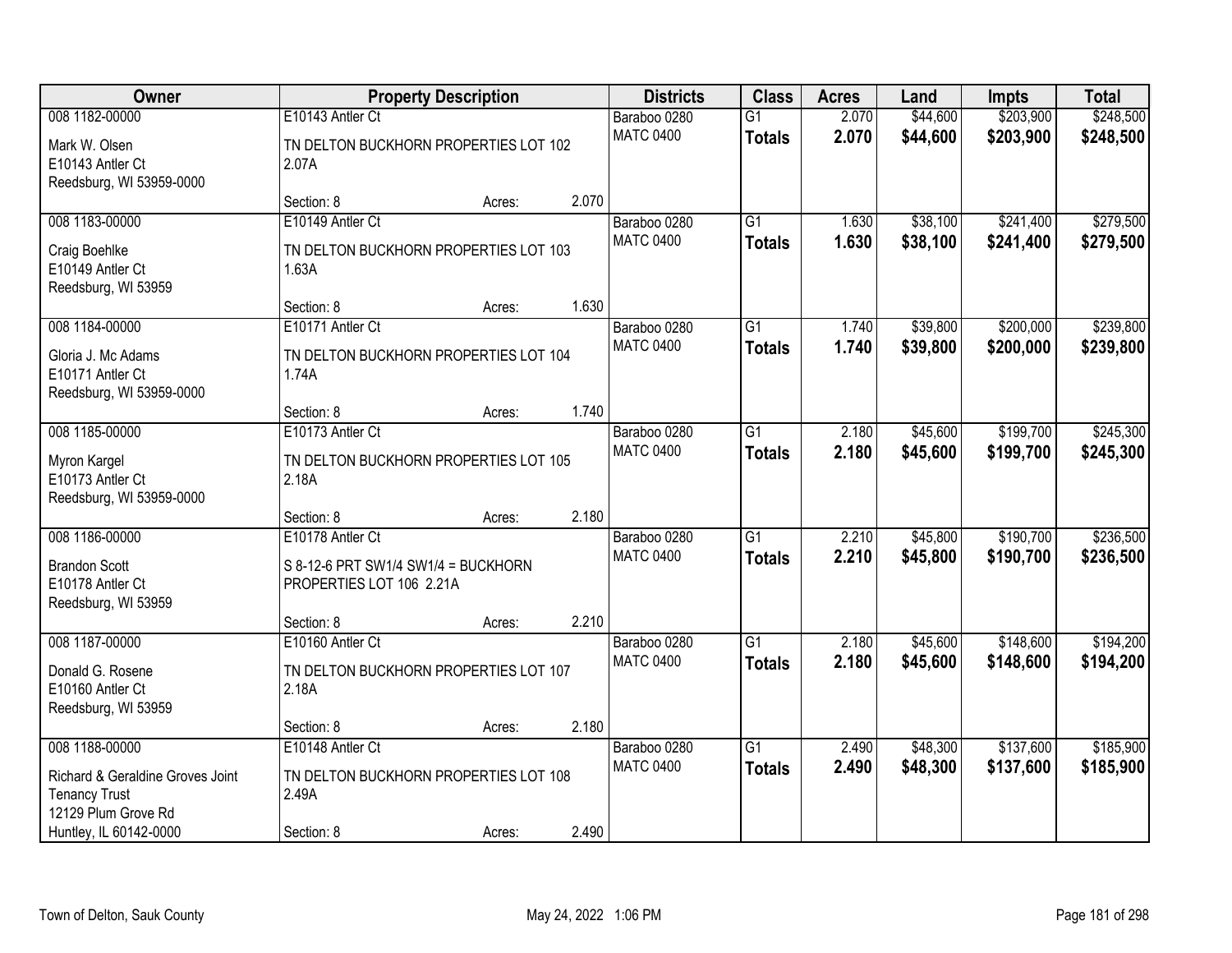| <b>Owner</b>                                                                    |                                                           | <b>Property Description</b> |       | <b>Districts</b>                 | <b>Class</b>                     | <b>Acres</b>   | Land                 | <b>Impts</b>           | <b>Total</b>           |
|---------------------------------------------------------------------------------|-----------------------------------------------------------|-----------------------------|-------|----------------------------------|----------------------------------|----------------|----------------------|------------------------|------------------------|
| 008 1182-00000                                                                  | E10143 Antler Ct                                          |                             |       | Baraboo 0280                     | $\overline{G1}$                  | 2.070          | \$44,600             | \$203,900              | \$248,500              |
| Mark W. Olsen<br>E10143 Antler Ct<br>Reedsburg, WI 53959-0000                   | TN DELTON BUCKHORN PROPERTIES LOT 102<br>2.07A            |                             |       | <b>MATC 0400</b>                 | <b>Totals</b>                    | 2.070          | \$44,600             | \$203,900              | \$248,500              |
|                                                                                 | Section: 8                                                | Acres:                      | 2.070 |                                  |                                  |                |                      |                        |                        |
| 008 1183-00000<br>Craig Boehlke                                                 | E10149 Antler Ct<br>TN DELTON BUCKHORN PROPERTIES LOT 103 |                             |       | Baraboo 0280<br><b>MATC 0400</b> | $\overline{G1}$<br><b>Totals</b> | 1.630<br>1.630 | \$38,100<br>\$38,100 | \$241,400<br>\$241,400 | \$279,500<br>\$279,500 |
| E10149 Antler Ct<br>Reedsburg, WI 53959                                         | 1.63A                                                     |                             |       |                                  |                                  |                |                      |                        |                        |
|                                                                                 | Section: 8                                                | Acres:                      | 1.630 |                                  |                                  |                |                      |                        |                        |
| 008 1184-00000                                                                  | E10171 Antler Ct                                          |                             |       | Baraboo 0280                     | $\overline{G1}$                  | 1.740          | \$39,800             | \$200,000              | \$239,800              |
| Gloria J. Mc Adams<br>E10171 Antler Ct<br>Reedsburg, WI 53959-0000              | TN DELTON BUCKHORN PROPERTIES LOT 104<br>1.74A            |                             |       | <b>MATC 0400</b>                 | <b>Totals</b>                    | 1.740          | \$39,800             | \$200,000              | \$239,800              |
|                                                                                 | Section: 8                                                | Acres:                      | 1.740 |                                  |                                  |                |                      |                        |                        |
| 008 1185-00000                                                                  | E10173 Antler Ct                                          |                             |       | Baraboo 0280                     | $\overline{G1}$                  | 2.180          | \$45,600             | \$199,700              | \$245,300              |
| Myron Kargel<br>E10173 Antler Ct<br>Reedsburg, WI 53959-0000                    | TN DELTON BUCKHORN PROPERTIES LOT 105<br>2.18A            |                             |       | <b>MATC 0400</b>                 | <b>Totals</b>                    | 2.180          | \$45,600             | \$199,700              | \$245,300              |
|                                                                                 | Section: 8                                                | Acres:                      | 2.180 |                                  |                                  |                |                      |                        |                        |
| 008 1186-00000                                                                  | E10178 Antler Ct                                          |                             |       | Baraboo 0280                     | $\overline{G1}$                  | 2.210          | \$45,800             | \$190,700              | \$236,500              |
| <b>Brandon Scott</b>                                                            | S 8-12-6 PRT SW1/4 SW1/4 = BUCKHORN                       |                             |       | <b>MATC 0400</b>                 | <b>Totals</b>                    | 2.210          | \$45,800             | \$190,700              | \$236,500              |
| E10178 Antler Ct<br>Reedsburg, WI 53959                                         | PROPERTIES LOT 106 2.21A                                  |                             |       |                                  |                                  |                |                      |                        |                        |
|                                                                                 | Section: 8                                                | Acres:                      | 2.210 |                                  |                                  |                |                      |                        |                        |
| 008 1187-00000                                                                  | E10160 Antler Ct                                          |                             |       | Baraboo 0280                     | G1                               | 2.180          | \$45,600             | \$148,600              | \$194,200              |
| Donald G. Rosene<br>E10160 Antler Ct<br>Reedsburg, WI 53959                     | TN DELTON BUCKHORN PROPERTIES LOT 107<br>2.18A            |                             |       | <b>MATC 0400</b>                 | <b>Totals</b>                    | 2.180          | \$45,600             | \$148,600              | \$194,200              |
|                                                                                 | Section: 8                                                | Acres:                      | 2.180 |                                  |                                  |                |                      |                        |                        |
| 008 1188-00000                                                                  | E10148 Antler Ct                                          |                             |       | Baraboo 0280                     | $\overline{G1}$                  | 2.490          | \$48,300             | \$137,600              | \$185,900              |
| Richard & Geraldine Groves Joint<br><b>Tenancy Trust</b><br>12129 Plum Grove Rd | TN DELTON BUCKHORN PROPERTIES LOT 108<br>2.49A            |                             |       | <b>MATC 0400</b>                 | <b>Totals</b>                    | 2.490          | \$48,300             | \$137,600              | \$185,900              |
| Huntley, IL 60142-0000                                                          | Section: 8                                                | Acres:                      | 2.490 |                                  |                                  |                |                      |                        |                        |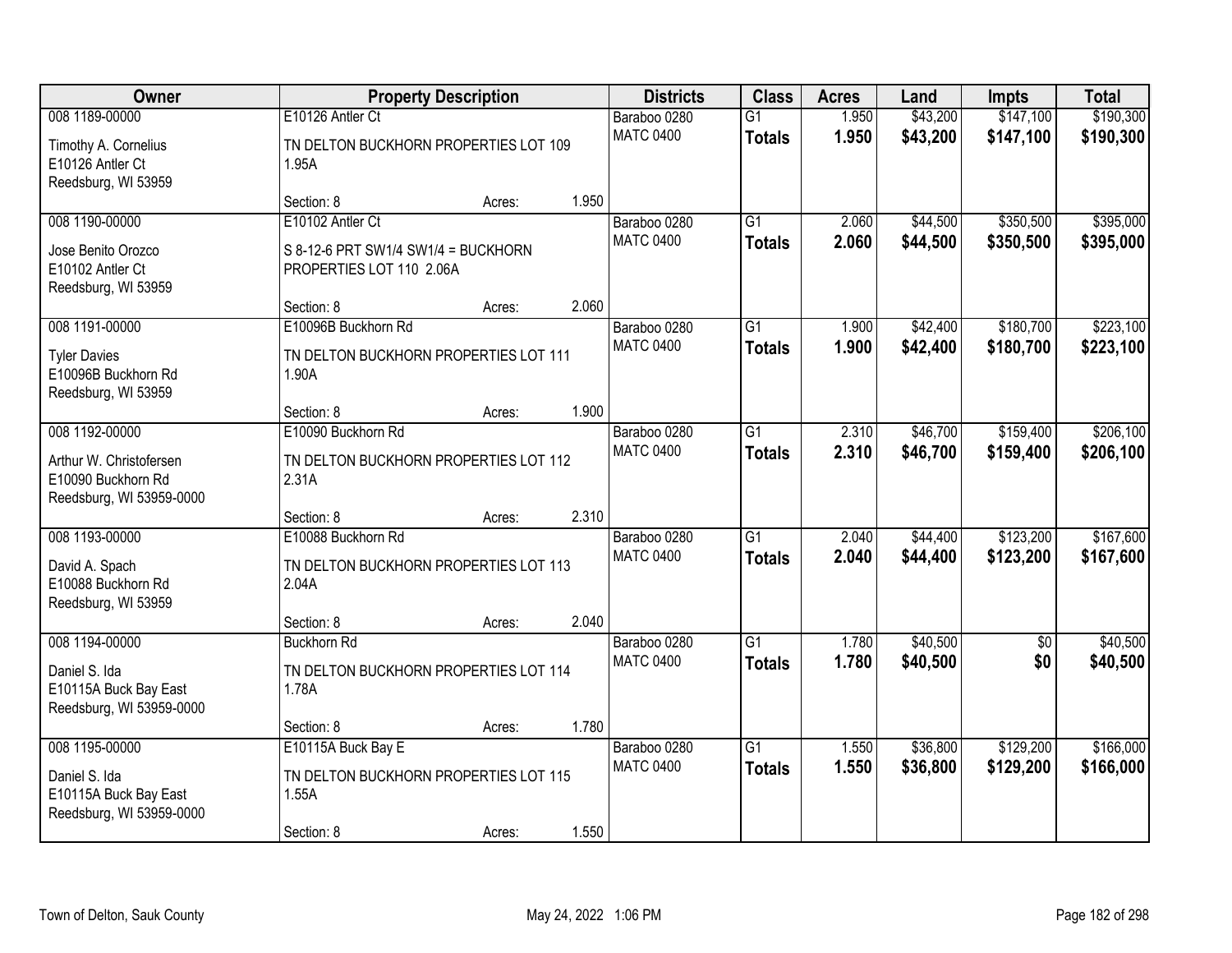| Owner                                                                     |                                                                 | <b>Property Description</b> |       | <b>Districts</b> | <b>Class</b>    | <b>Acres</b> | Land     | <b>Impts</b>    | <b>Total</b> |
|---------------------------------------------------------------------------|-----------------------------------------------------------------|-----------------------------|-------|------------------|-----------------|--------------|----------|-----------------|--------------|
| 008 1189-00000                                                            | E10126 Antler Ct                                                |                             |       | Baraboo 0280     | $\overline{G1}$ | 1.950        | \$43,200 | \$147,100       | \$190,300    |
| Timothy A. Cornelius<br>E10126 Antler Ct<br>Reedsburg, WI 53959           | TN DELTON BUCKHORN PROPERTIES LOT 109<br>1.95A                  |                             |       | <b>MATC 0400</b> | <b>Totals</b>   | 1.950        | \$43,200 | \$147,100       | \$190,300    |
|                                                                           | Section: 8                                                      | Acres:                      | 1.950 |                  |                 |              |          |                 |              |
| 008 1190-00000                                                            | E10102 Antler Ct                                                |                             |       | Baraboo 0280     | $\overline{G1}$ | 2.060        | \$44,500 | \$350,500       | \$395,000    |
| Jose Benito Orozco<br>E10102 Antler Ct<br>Reedsburg, WI 53959             | S 8-12-6 PRT SW1/4 SW1/4 = BUCKHORN<br>PROPERTIES LOT 110 2.06A |                             |       | <b>MATC 0400</b> | <b>Totals</b>   | 2.060        | \$44,500 | \$350,500       | \$395,000    |
|                                                                           | Section: 8                                                      | Acres:                      | 2.060 |                  |                 |              |          |                 |              |
| 008 1191-00000                                                            | E10096B Buckhorn Rd                                             |                             |       | Baraboo 0280     | $\overline{G1}$ | 1.900        | \$42,400 | \$180,700       | \$223,100    |
| <b>Tyler Davies</b><br>E10096B Buckhorn Rd<br>Reedsburg, WI 53959         | TN DELTON BUCKHORN PROPERTIES LOT 111<br>1.90A                  |                             |       | <b>MATC 0400</b> | <b>Totals</b>   | 1.900        | \$42,400 | \$180,700       | \$223,100    |
|                                                                           | Section: 8                                                      | Acres:                      | 1.900 |                  |                 |              |          |                 |              |
| 008 1192-00000                                                            | E10090 Buckhorn Rd                                              |                             |       | Baraboo 0280     | G1              | 2.310        | \$46,700 | \$159,400       | \$206,100    |
| Arthur W. Christofersen<br>E10090 Buckhorn Rd<br>Reedsburg, WI 53959-0000 | TN DELTON BUCKHORN PROPERTIES LOT 112<br>2.31A                  |                             |       | <b>MATC 0400</b> | <b>Totals</b>   | 2.310        | \$46,700 | \$159,400       | \$206,100    |
|                                                                           | Section: 8                                                      | Acres:                      | 2.310 |                  |                 |              |          |                 |              |
| 008 1193-00000                                                            | E10088 Buckhorn Rd                                              |                             |       | Baraboo 0280     | $\overline{G1}$ | 2.040        | \$44,400 | \$123,200       | \$167,600    |
| David A. Spach<br>E10088 Buckhorn Rd<br>Reedsburg, WI 53959               | TN DELTON BUCKHORN PROPERTIES LOT 113<br>2.04A                  |                             |       | <b>MATC 0400</b> | <b>Totals</b>   | 2.040        | \$44,400 | \$123,200       | \$167,600    |
|                                                                           | Section: 8                                                      | Acres:                      | 2.040 |                  |                 |              |          |                 |              |
| 008 1194-00000                                                            | <b>Buckhorn Rd</b>                                              |                             |       | Baraboo 0280     | $\overline{G1}$ | 1.780        | \$40,500 | $\overline{50}$ | \$40,500     |
| Daniel S. Ida<br>E10115A Buck Bay East<br>Reedsburg, WI 53959-0000        | TN DELTON BUCKHORN PROPERTIES LOT 114<br>1.78A                  |                             |       | <b>MATC 0400</b> | <b>Totals</b>   | 1.780        | \$40,500 | \$0             | \$40,500     |
|                                                                           | Section: 8                                                      | Acres:                      | 1.780 |                  |                 |              |          |                 |              |
| 008 1195-00000                                                            | E10115A Buck Bay E                                              |                             |       | Baraboo 0280     | $\overline{G1}$ | 1.550        | \$36,800 | \$129,200       | \$166,000    |
| Daniel S. Ida<br>E10115A Buck Bay East<br>Reedsburg, WI 53959-0000        | TN DELTON BUCKHORN PROPERTIES LOT 115<br>1.55A                  |                             |       | <b>MATC 0400</b> | <b>Totals</b>   | 1.550        | \$36,800 | \$129,200       | \$166,000    |
|                                                                           | Section: 8                                                      | Acres:                      | 1.550 |                  |                 |              |          |                 |              |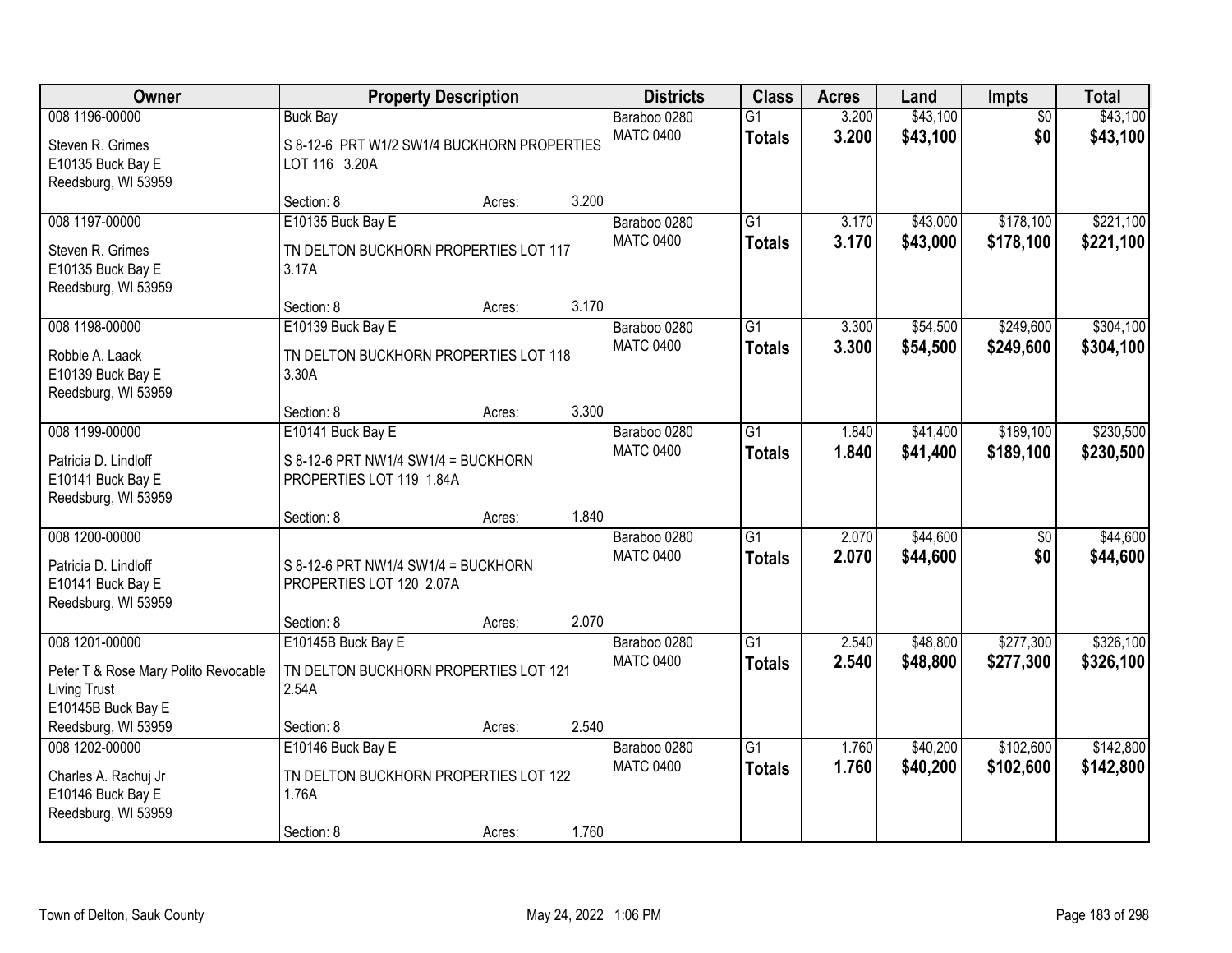| Owner                                                                             |                                                                 | <b>Property Description</b> |       | <b>Districts</b> | <b>Class</b>    | <b>Acres</b> | Land     | Impts           | <b>Total</b> |
|-----------------------------------------------------------------------------------|-----------------------------------------------------------------|-----------------------------|-------|------------------|-----------------|--------------|----------|-----------------|--------------|
| 008 1196-00000                                                                    | <b>Buck Bay</b>                                                 |                             |       | Baraboo 0280     | $\overline{G1}$ | 3.200        | \$43,100 | $\overline{50}$ | \$43,100     |
| Steven R. Grimes<br>E10135 Buck Bay E                                             | S 8-12-6 PRT W1/2 SW1/4 BUCKHORN PROPERTIES<br>LOT 116 3.20A    |                             |       | <b>MATC 0400</b> | <b>Totals</b>   | 3.200        | \$43,100 | \$0             | \$43,100     |
| Reedsburg, WI 53959                                                               | Section: 8                                                      | Acres:                      | 3.200 |                  |                 |              |          |                 |              |
| 008 1197-00000                                                                    | E10135 Buck Bay E                                               |                             |       | Baraboo 0280     | $\overline{G1}$ | 3.170        | \$43,000 | \$178,100       | \$221,100    |
| Steven R. Grimes                                                                  | TN DELTON BUCKHORN PROPERTIES LOT 117                           |                             |       | <b>MATC 0400</b> | <b>Totals</b>   | 3.170        | \$43,000 | \$178,100       | \$221,100    |
| E10135 Buck Bay E<br>Reedsburg, WI 53959                                          | 3.17A                                                           |                             |       |                  |                 |              |          |                 |              |
|                                                                                   | Section: 8                                                      | Acres:                      | 3.170 |                  |                 |              |          |                 |              |
| 008 1198-00000                                                                    | E10139 Buck Bay E                                               |                             |       | Baraboo 0280     | G1              | 3.300        | \$54,500 | \$249,600       | \$304,100    |
| Robbie A. Laack<br>E10139 Buck Bay E<br>Reedsburg, WI 53959                       | TN DELTON BUCKHORN PROPERTIES LOT 118<br>3.30A                  |                             |       | <b>MATC 0400</b> | <b>Totals</b>   | 3.300        | \$54,500 | \$249,600       | \$304,100    |
|                                                                                   | Section: 8                                                      | Acres:                      | 3.300 |                  |                 |              |          |                 |              |
| 008 1199-00000                                                                    | E10141 Buck Bay E                                               |                             |       | Baraboo 0280     | $\overline{G1}$ | 1.840        | \$41,400 | \$189,100       | \$230,500    |
| Patricia D. Lindloff<br>E10141 Buck Bay E<br>Reedsburg, WI 53959                  | S 8-12-6 PRT NW1/4 SW1/4 = BUCKHORN<br>PROPERTIES LOT 119 1.84A |                             |       | <b>MATC 0400</b> | <b>Totals</b>   | 1.840        | \$41,400 | \$189,100       | \$230,500    |
|                                                                                   | Section: 8                                                      | Acres:                      | 1.840 |                  |                 |              |          |                 |              |
| 008 1200-00000                                                                    |                                                                 |                             |       | Baraboo 0280     | $\overline{G1}$ | 2.070        | \$44,600 | $\overline{50}$ | \$44,600     |
| Patricia D. Lindloff                                                              | S 8-12-6 PRT NW1/4 SW1/4 = BUCKHORN                             |                             |       | <b>MATC 0400</b> | <b>Totals</b>   | 2.070        | \$44,600 | \$0             | \$44,600     |
| E10141 Buck Bay E                                                                 | PROPERTIES LOT 120 2.07A                                        |                             |       |                  |                 |              |          |                 |              |
| Reedsburg, WI 53959                                                               |                                                                 |                             |       |                  |                 |              |          |                 |              |
|                                                                                   | Section: 8                                                      | Acres:                      | 2.070 |                  |                 |              |          |                 |              |
| 008 1201-00000                                                                    | E10145B Buck Bay E                                              |                             |       | Baraboo 0280     | $\overline{G1}$ | 2.540        | \$48,800 | \$277,300       | \$326,100    |
| Peter T & Rose Mary Polito Revocable<br><b>Living Trust</b><br>E10145B Buck Bay E | TN DELTON BUCKHORN PROPERTIES LOT 121<br>2.54A                  |                             |       | <b>MATC 0400</b> | <b>Totals</b>   | 2.540        | \$48,800 | \$277,300       | \$326,100    |
| Reedsburg, WI 53959                                                               | Section: 8                                                      | Acres:                      | 2.540 |                  |                 |              |          |                 |              |
| 008 1202-00000                                                                    | E10146 Buck Bay E                                               |                             |       | Baraboo 0280     | $\overline{G1}$ | 1.760        | \$40,200 | \$102,600       | \$142,800    |
| Charles A. Rachuj Jr<br>E10146 Buck Bay E                                         | TN DELTON BUCKHORN PROPERTIES LOT 122<br>1.76A                  |                             |       | <b>MATC 0400</b> | <b>Totals</b>   | 1.760        | \$40,200 | \$102,600       | \$142,800    |
| Reedsburg, WI 53959                                                               | Section: 8                                                      | Acres:                      | 1.760 |                  |                 |              |          |                 |              |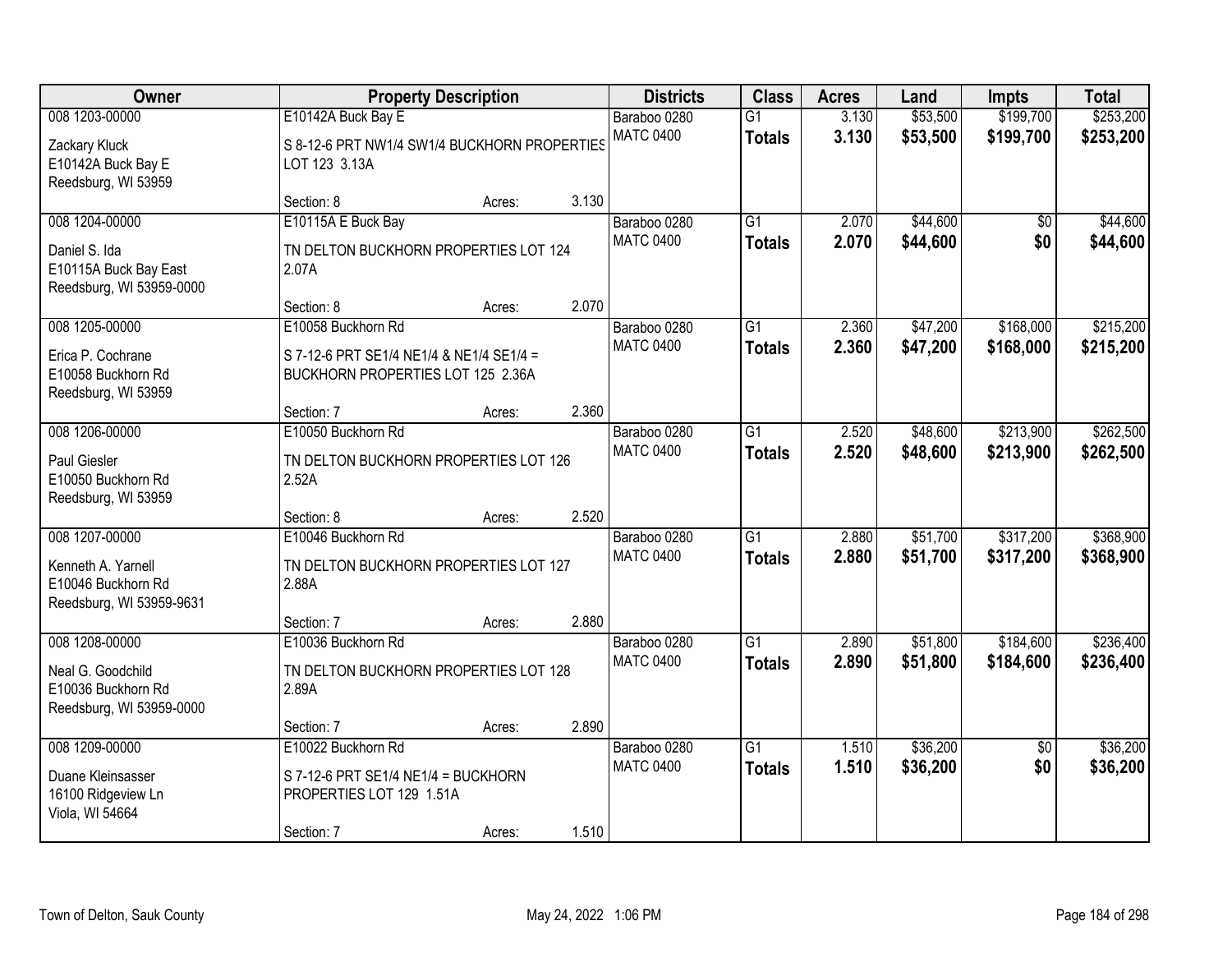| Owner                                                                                  |                                                                                                       | <b>Property Description</b> |       | <b>Districts</b>                 | <b>Class</b>                     | <b>Acres</b>   | Land                 | <b>Impts</b>           | <b>Total</b>           |
|----------------------------------------------------------------------------------------|-------------------------------------------------------------------------------------------------------|-----------------------------|-------|----------------------------------|----------------------------------|----------------|----------------------|------------------------|------------------------|
| 008 1203-00000                                                                         | E10142A Buck Bay E                                                                                    |                             |       | Baraboo 0280                     | $\overline{G1}$                  | 3.130          | \$53,500             | \$199,700              | \$253,200              |
| Zackary Kluck<br>E10142A Buck Bay E<br>Reedsburg, WI 53959                             | S 8-12-6 PRT NW1/4 SW1/4 BUCKHORN PROPERTIES<br>LOT 123 3.13A                                         |                             |       | <b>MATC 0400</b>                 | <b>Totals</b>                    | 3.130          | \$53,500             | \$199,700              | \$253,200              |
|                                                                                        | Section: 8                                                                                            | Acres:                      | 3.130 |                                  |                                  |                |                      |                        |                        |
| 008 1204-00000<br>Daniel S. Ida<br>E10115A Buck Bay East<br>Reedsburg, WI 53959-0000   | E10115A E Buck Bay<br>TN DELTON BUCKHORN PROPERTIES LOT 124<br>2.07A                                  |                             |       | Baraboo 0280<br><b>MATC 0400</b> | $\overline{G1}$<br><b>Totals</b> | 2.070<br>2.070 | \$44,600<br>\$44,600 | $\overline{50}$<br>\$0 | \$44,600<br>\$44,600   |
|                                                                                        | Section: 8                                                                                            | Acres:                      | 2.070 |                                  |                                  |                |                      |                        |                        |
| 008 1205-00000<br>Erica P. Cochrane<br>E10058 Buckhorn Rd<br>Reedsburg, WI 53959       | E10058 Buckhorn Rd<br>S 7-12-6 PRT SE1/4 NE1/4 & NE1/4 SE1/4 =<br>BUCKHORN PROPERTIES LOT 125 2.36A   |                             |       | Baraboo 0280<br><b>MATC 0400</b> | G1<br><b>Totals</b>              | 2.360<br>2.360 | \$47,200<br>\$47,200 | \$168,000<br>\$168,000 | \$215,200<br>\$215,200 |
|                                                                                        | Section: 7                                                                                            | Acres:                      | 2.360 |                                  |                                  |                |                      |                        |                        |
| 008 1206-00000<br>Paul Giesler<br>E10050 Buckhorn Rd<br>Reedsburg, WI 53959            | E10050 Buckhorn Rd<br>TN DELTON BUCKHORN PROPERTIES LOT 126<br>2.52A                                  |                             |       | Baraboo 0280<br><b>MATC 0400</b> | G1<br><b>Totals</b>              | 2.520<br>2.520 | \$48,600<br>\$48,600 | \$213,900<br>\$213,900 | \$262,500<br>\$262,500 |
|                                                                                        | Section: 8                                                                                            | Acres:                      | 2.520 |                                  |                                  |                |                      |                        |                        |
| 008 1207-00000<br>Kenneth A. Yarnell<br>E10046 Buckhorn Rd<br>Reedsburg, WI 53959-9631 | E10046 Buckhorn Rd<br>TN DELTON BUCKHORN PROPERTIES LOT 127<br>2.88A                                  |                             |       | Baraboo 0280<br><b>MATC 0400</b> | $\overline{G1}$<br><b>Totals</b> | 2.880<br>2.880 | \$51,700<br>\$51,700 | \$317,200<br>\$317,200 | \$368,900<br>\$368,900 |
|                                                                                        | Section: 7                                                                                            | Acres:                      | 2.880 |                                  |                                  |                |                      |                        |                        |
| 008 1208-00000<br>Neal G. Goodchild<br>E10036 Buckhorn Rd<br>Reedsburg, WI 53959-0000  | E10036 Buckhorn Rd<br>TN DELTON BUCKHORN PROPERTIES LOT 128<br>2.89A                                  |                             |       | Baraboo 0280<br><b>MATC 0400</b> | $\overline{G1}$<br><b>Totals</b> | 2.890<br>2.890 | \$51,800<br>\$51,800 | \$184,600<br>\$184,600 | \$236,400<br>\$236,400 |
|                                                                                        | Section: 7                                                                                            | Acres:                      | 2.890 |                                  |                                  |                |                      |                        |                        |
| 008 1209-00000<br>Duane Kleinsasser<br>16100 Ridgeview Ln<br>Viola, WI 54664           | E10022 Buckhorn Rd<br>$S$ 7-12-6 PRT SE1/4 NE1/4 = BUCKHORN<br>PROPERTIES LOT 129 1.51A<br>Section: 7 | Acres:                      | 1.510 | Baraboo 0280<br><b>MATC 0400</b> | $\overline{G1}$<br><b>Totals</b> | 1.510<br>1.510 | \$36,200<br>\$36,200 | $\overline{50}$<br>\$0 | \$36,200<br>\$36,200   |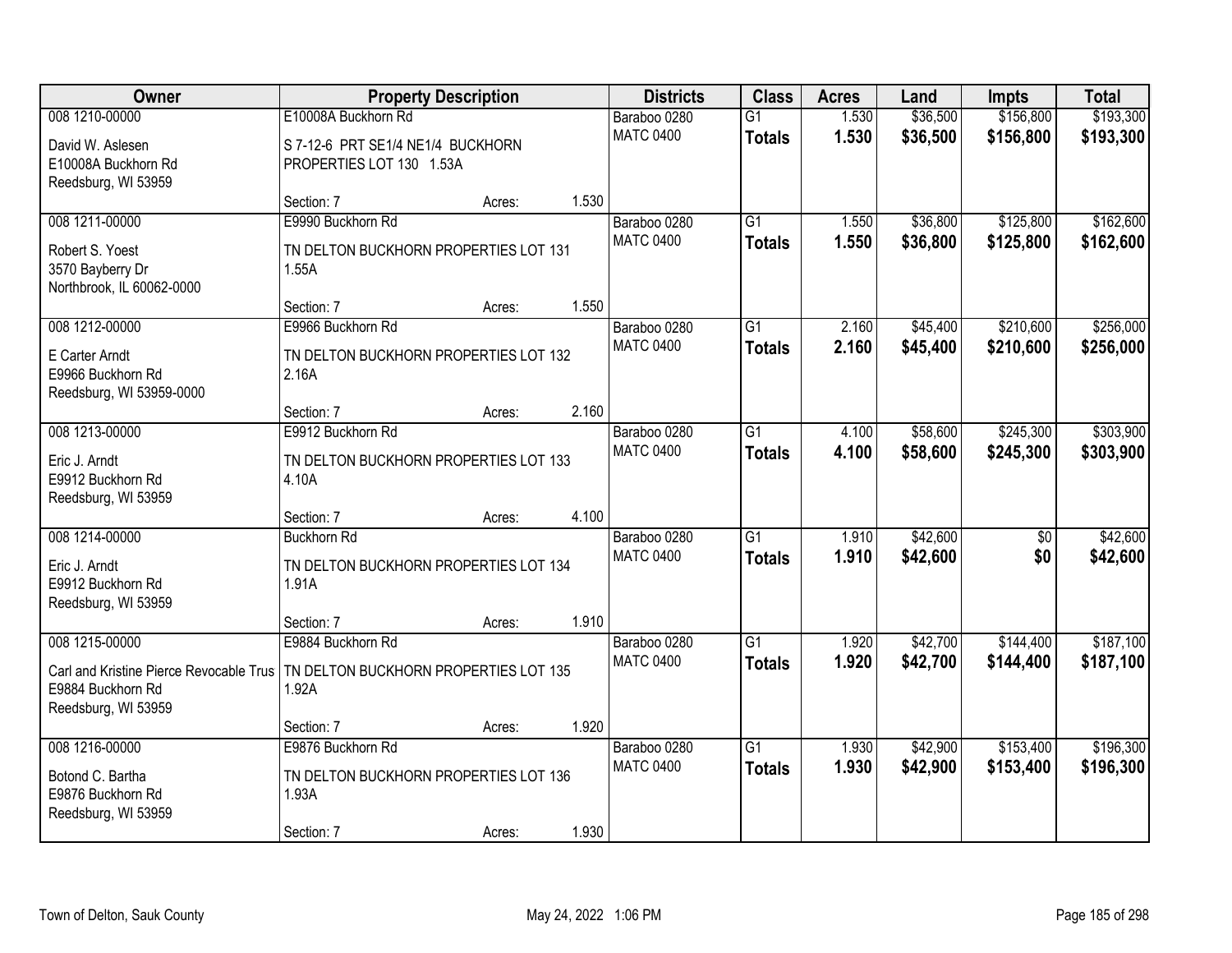| Owner                                         |                                                | <b>Property Description</b> |       | <b>Districts</b>                 | <b>Class</b>    | <b>Acres</b> | Land     | <b>Impts</b>    | <b>Total</b> |
|-----------------------------------------------|------------------------------------------------|-----------------------------|-------|----------------------------------|-----------------|--------------|----------|-----------------|--------------|
| 008 1210-00000                                | E10008A Buckhorn Rd                            |                             |       | Baraboo 0280                     | $\overline{G1}$ | 1.530        | \$36,500 | \$156,800       | \$193,300    |
| David W. Aslesen                              | S 7-12-6 PRT SE1/4 NE1/4 BUCKHORN              |                             |       | <b>MATC 0400</b>                 | <b>Totals</b>   | 1.530        | \$36,500 | \$156,800       | \$193,300    |
| E10008A Buckhorn Rd                           | PROPERTIES LOT 130 1.53A                       |                             |       |                                  |                 |              |          |                 |              |
| Reedsburg, WI 53959                           |                                                |                             |       |                                  |                 |              |          |                 |              |
| 008 1211-00000                                | Section: 7<br>E9990 Buckhorn Rd                | Acres:                      | 1.530 | Baraboo 0280                     | $\overline{G1}$ | 1.550        | \$36,800 | \$125,800       | \$162,600    |
|                                               |                                                |                             |       | <b>MATC 0400</b>                 | <b>Totals</b>   | 1.550        | \$36,800 | \$125,800       | \$162,600    |
| Robert S. Yoest                               | TN DELTON BUCKHORN PROPERTIES LOT 131          |                             |       |                                  |                 |              |          |                 |              |
| 3570 Bayberry Dr<br>Northbrook, IL 60062-0000 | 1.55A                                          |                             |       |                                  |                 |              |          |                 |              |
|                                               | Section: 7                                     | Acres:                      | 1.550 |                                  |                 |              |          |                 |              |
| 008 1212-00000                                | E9966 Buckhorn Rd                              |                             |       | Baraboo 0280                     | G1              | 2.160        | \$45,400 | \$210,600       | \$256,000    |
| E Carter Arndt                                | TN DELTON BUCKHORN PROPERTIES LOT 132          |                             |       | <b>MATC 0400</b>                 | <b>Totals</b>   | 2.160        | \$45,400 | \$210,600       | \$256,000    |
| E9966 Buckhorn Rd                             | 2.16A                                          |                             |       |                                  |                 |              |          |                 |              |
| Reedsburg, WI 53959-0000                      |                                                |                             |       |                                  |                 |              |          |                 |              |
|                                               | Section: 7                                     | Acres:                      | 2.160 |                                  |                 |              |          |                 |              |
| 008 1213-00000                                | E9912 Buckhorn Rd                              |                             |       | Baraboo 0280<br><b>MATC 0400</b> | G1              | 4.100        | \$58,600 | \$245,300       | \$303,900    |
| Eric J. Arndt                                 | TN DELTON BUCKHORN PROPERTIES LOT 133          |                             |       |                                  | <b>Totals</b>   | 4.100        | \$58,600 | \$245,300       | \$303,900    |
| E9912 Buckhorn Rd                             | 4.10A                                          |                             |       |                                  |                 |              |          |                 |              |
| Reedsburg, WI 53959                           | Section: 7                                     | Acres:                      | 4.100 |                                  |                 |              |          |                 |              |
| 008 1214-00000                                | <b>Buckhorn Rd</b>                             |                             |       | Baraboo 0280                     | $\overline{G1}$ | 1.910        | \$42,600 | $\overline{50}$ | \$42,600     |
|                                               |                                                |                             |       | <b>MATC 0400</b>                 | <b>Totals</b>   | 1.910        | \$42,600 | \$0             | \$42,600     |
| Eric J. Arndt<br>E9912 Buckhorn Rd            | TN DELTON BUCKHORN PROPERTIES LOT 134<br>1.91A |                             |       |                                  |                 |              |          |                 |              |
| Reedsburg, WI 53959                           |                                                |                             |       |                                  |                 |              |          |                 |              |
|                                               | Section: 7                                     | Acres:                      | 1.910 |                                  |                 |              |          |                 |              |
| 008 1215-00000                                | E9884 Buckhorn Rd                              |                             |       | Baraboo 0280                     | $\overline{G1}$ | 1.920        | \$42,700 | \$144,400       | \$187,100    |
| Carl and Kristine Pierce Revocable Trus       | TN DELTON BUCKHORN PROPERTIES LOT 135          |                             |       | <b>MATC 0400</b>                 | <b>Totals</b>   | 1.920        | \$42,700 | \$144,400       | \$187,100    |
| E9884 Buckhorn Rd                             | 1.92A                                          |                             |       |                                  |                 |              |          |                 |              |
| Reedsburg, WI 53959                           |                                                |                             |       |                                  |                 |              |          |                 |              |
| 008 1216-00000                                | Section: 7<br>E9876 Buckhorn Rd                | Acres:                      | 1.920 | Baraboo 0280                     | $\overline{G1}$ | 1.930        | \$42,900 | \$153,400       | \$196,300    |
|                                               |                                                |                             |       | <b>MATC 0400</b>                 | <b>Totals</b>   | 1.930        | \$42,900 | \$153,400       | \$196,300    |
| Botond C. Bartha                              | TN DELTON BUCKHORN PROPERTIES LOT 136          |                             |       |                                  |                 |              |          |                 |              |
| E9876 Buckhorn Rd<br>Reedsburg, WI 53959      | 1.93A                                          |                             |       |                                  |                 |              |          |                 |              |
|                                               | Section: 7                                     | Acres:                      | 1.930 |                                  |                 |              |          |                 |              |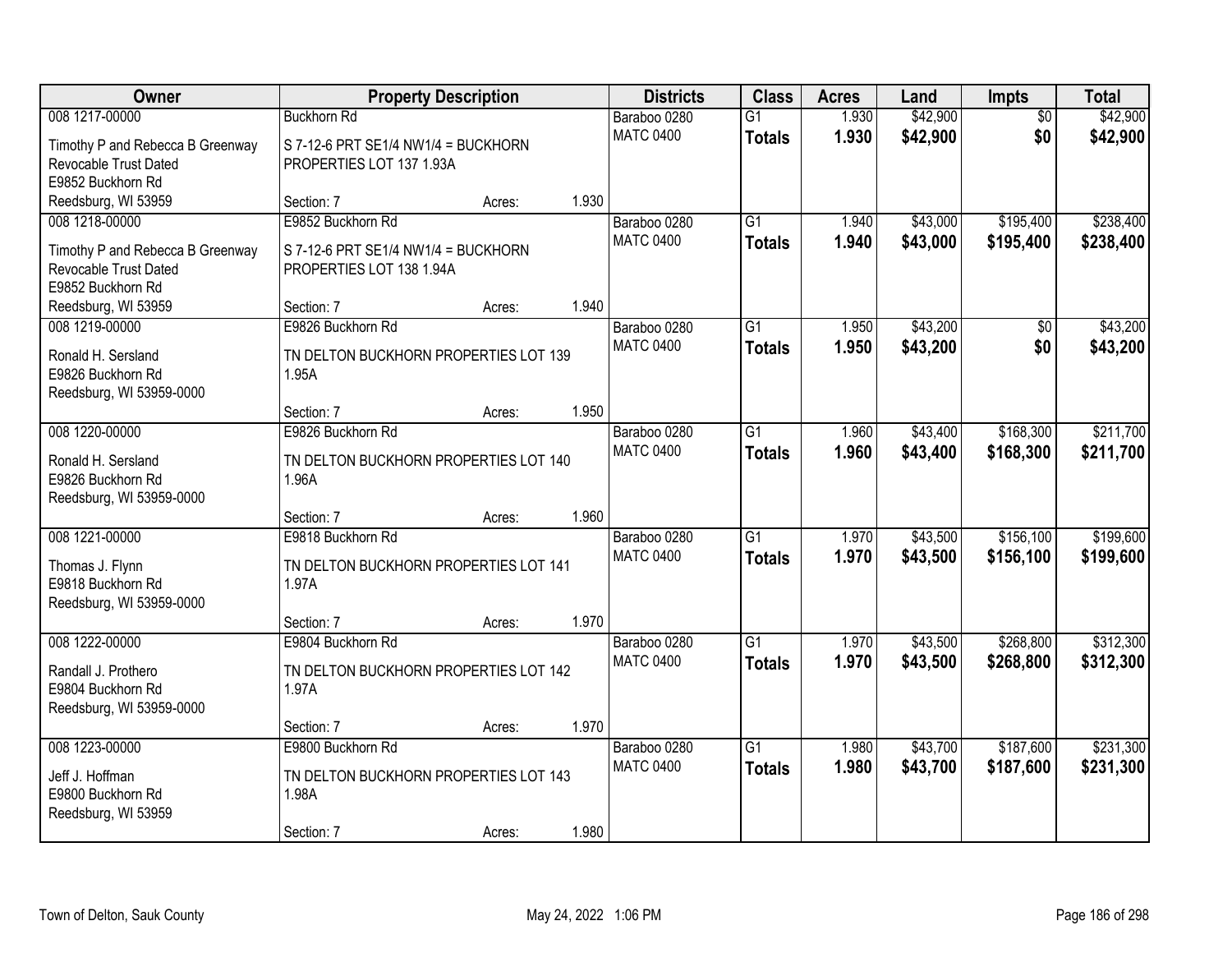| <b>Owner</b>                            | <b>Property Description</b>                    |        |       | <b>Districts</b> | <b>Class</b>    | <b>Acres</b> | Land     | Impts           | <b>Total</b> |
|-----------------------------------------|------------------------------------------------|--------|-------|------------------|-----------------|--------------|----------|-----------------|--------------|
| 008 1217-00000                          | <b>Buckhorn Rd</b>                             |        |       | Baraboo 0280     | $\overline{G1}$ | 1.930        | \$42,900 | $\overline{50}$ | \$42,900     |
| Timothy P and Rebecca B Greenway        | S 7-12-6 PRT SE1/4 NW1/4 = BUCKHORN            |        |       | <b>MATC 0400</b> | <b>Totals</b>   | 1.930        | \$42,900 | \$0             | \$42,900     |
| Revocable Trust Dated                   | PROPERTIES LOT 137 1.93A                       |        |       |                  |                 |              |          |                 |              |
| E9852 Buckhorn Rd                       |                                                |        |       |                  |                 |              |          |                 |              |
| Reedsburg, WI 53959                     | Section: 7                                     | Acres: | 1.930 |                  |                 |              |          |                 |              |
| 008 1218-00000                          | E9852 Buckhorn Rd                              |        |       | Baraboo 0280     | $\overline{G1}$ | 1.940        | \$43,000 | \$195,400       | \$238,400    |
| Timothy P and Rebecca B Greenway        | S 7-12-6 PRT SE1/4 NW1/4 = BUCKHORN            |        |       | <b>MATC 0400</b> | <b>Totals</b>   | 1.940        | \$43,000 | \$195,400       | \$238,400    |
| Revocable Trust Dated                   | PROPERTIES LOT 138 1.94A                       |        |       |                  |                 |              |          |                 |              |
| E9852 Buckhorn Rd                       |                                                |        |       |                  |                 |              |          |                 |              |
| Reedsburg, WI 53959                     | Section: 7                                     | Acres: | 1.940 |                  |                 |              |          |                 |              |
| 008 1219-00000                          | E9826 Buckhorn Rd                              |        |       | Baraboo 0280     | G1              | 1.950        | \$43,200 | \$0             | \$43,200     |
|                                         |                                                |        |       | <b>MATC 0400</b> | <b>Totals</b>   | 1.950        | \$43,200 | \$0             | \$43,200     |
| Ronald H. Sersland<br>E9826 Buckhorn Rd | TN DELTON BUCKHORN PROPERTIES LOT 139<br>1.95A |        |       |                  |                 |              |          |                 |              |
| Reedsburg, WI 53959-0000                |                                                |        |       |                  |                 |              |          |                 |              |
|                                         | Section: 7                                     | Acres: | 1.950 |                  |                 |              |          |                 |              |
| 008 1220-00000                          | E9826 Buckhorn Rd                              |        |       | Baraboo 0280     | G1              | 1.960        | \$43,400 | \$168,300       | \$211,700    |
|                                         |                                                |        |       | <b>MATC 0400</b> | <b>Totals</b>   | 1.960        | \$43,400 | \$168,300       | \$211,700    |
| Ronald H. Sersland                      | TN DELTON BUCKHORN PROPERTIES LOT 140          |        |       |                  |                 |              |          |                 |              |
| E9826 Buckhorn Rd                       | 1.96A                                          |        |       |                  |                 |              |          |                 |              |
| Reedsburg, WI 53959-0000                |                                                |        | 1.960 |                  |                 |              |          |                 |              |
| 008 1221-00000                          | Section: 7<br>E9818 Buckhorn Rd                | Acres: |       | Baraboo 0280     | $\overline{G1}$ | 1.970        | \$43,500 | \$156,100       | \$199,600    |
|                                         |                                                |        |       | <b>MATC 0400</b> |                 | 1.970        | \$43,500 | \$156,100       |              |
| Thomas J. Flynn                         | TN DELTON BUCKHORN PROPERTIES LOT 141          |        |       |                  | <b>Totals</b>   |              |          |                 | \$199,600    |
| E9818 Buckhorn Rd                       | 1.97A                                          |        |       |                  |                 |              |          |                 |              |
| Reedsburg, WI 53959-0000                |                                                |        |       |                  |                 |              |          |                 |              |
|                                         | Section: 7                                     | Acres: | 1.970 |                  |                 |              |          |                 |              |
| 008 1222-00000                          | E9804 Buckhorn Rd                              |        |       | Baraboo 0280     | $\overline{G1}$ | 1.970        | \$43,500 | \$268,800       | \$312,300    |
| Randall J. Prothero                     | TN DELTON BUCKHORN PROPERTIES LOT 142          |        |       | <b>MATC 0400</b> | <b>Totals</b>   | 1.970        | \$43,500 | \$268,800       | \$312,300    |
| E9804 Buckhorn Rd                       | 1.97A                                          |        |       |                  |                 |              |          |                 |              |
| Reedsburg, WI 53959-0000                |                                                |        |       |                  |                 |              |          |                 |              |
|                                         | Section: 7                                     | Acres: | 1.970 |                  |                 |              |          |                 |              |
| 008 1223-00000                          | E9800 Buckhorn Rd                              |        |       | Baraboo 0280     | $\overline{G1}$ | 1.980        | \$43,700 | \$187,600       | \$231,300    |
| Jeff J. Hoffman                         | TN DELTON BUCKHORN PROPERTIES LOT 143          |        |       | <b>MATC 0400</b> | <b>Totals</b>   | 1.980        | \$43,700 | \$187,600       | \$231,300    |
| E9800 Buckhorn Rd                       | 1.98A                                          |        |       |                  |                 |              |          |                 |              |
| Reedsburg, WI 53959                     |                                                |        |       |                  |                 |              |          |                 |              |
|                                         | Section: 7                                     | Acres: | 1.980 |                  |                 |              |          |                 |              |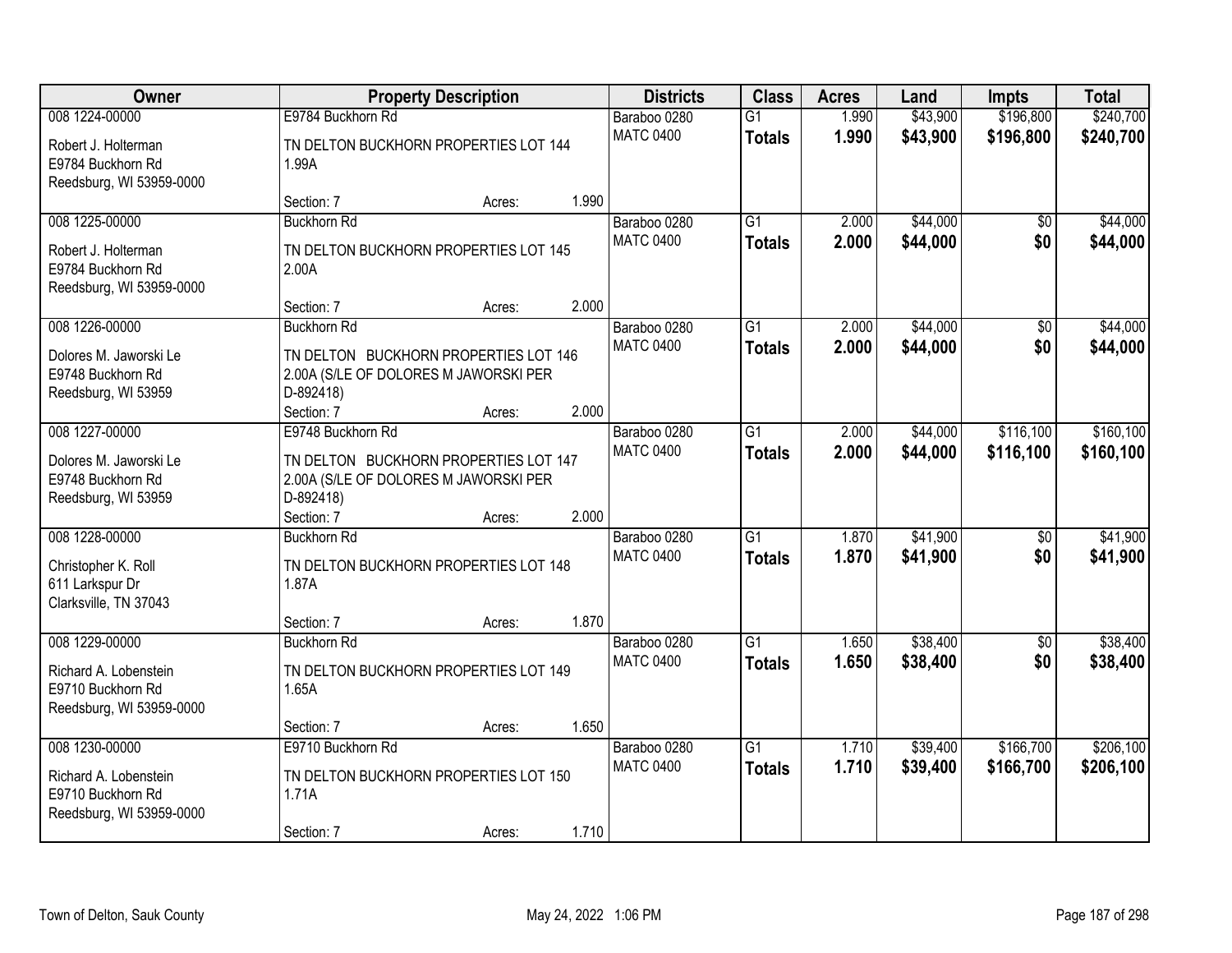| Owner                                                                                    | <b>Property Description</b>                                                                                                               |       | <b>Districts</b>                 | <b>Class</b>                     | <b>Acres</b>   | Land                 | <b>Impts</b>           | <b>Total</b>         |
|------------------------------------------------------------------------------------------|-------------------------------------------------------------------------------------------------------------------------------------------|-------|----------------------------------|----------------------------------|----------------|----------------------|------------------------|----------------------|
| 008 1224-00000                                                                           | E9784 Buckhorn Rd                                                                                                                         |       | Baraboo 0280                     | $\overline{G1}$                  | 1.990          | \$43,900             | \$196,800              | \$240,700            |
| Robert J. Holterman<br>E9784 Buckhorn Rd<br>Reedsburg, WI 53959-0000                     | TN DELTON BUCKHORN PROPERTIES LOT 144<br>1.99A                                                                                            |       | <b>MATC 0400</b>                 | <b>Totals</b>                    | 1.990          | \$43,900             | \$196,800              | \$240,700            |
|                                                                                          | Section: 7<br>Acres:                                                                                                                      | 1.990 |                                  |                                  |                |                      |                        |                      |
| 008 1225-00000                                                                           | <b>Buckhorn Rd</b>                                                                                                                        |       | Baraboo 0280                     | $\overline{G1}$                  | 2.000          | \$44,000             | $\overline{50}$        | \$44,000             |
| Robert J. Holterman<br>E9784 Buckhorn Rd<br>Reedsburg, WI 53959-0000                     | TN DELTON BUCKHORN PROPERTIES LOT 145<br>2.00A                                                                                            |       | <b>MATC 0400</b>                 | <b>Totals</b>                    | 2.000          | \$44,000             | \$0                    | \$44,000             |
|                                                                                          | Section: 7<br>Acres:                                                                                                                      | 2.000 |                                  |                                  |                |                      |                        |                      |
| 008 1226-00000<br>Dolores M. Jaworski Le<br>E9748 Buckhorn Rd<br>Reedsburg, WI 53959     | <b>Buckhorn Rd</b><br>TN DELTON BUCKHORN PROPERTIES LOT 146<br>2.00A (S/LE OF DOLORES M JAWORSKI PER<br>D-892418)<br>Section: 7<br>Acres: | 2.000 | Baraboo 0280<br><b>MATC 0400</b> | G1<br><b>Totals</b>              | 2.000<br>2.000 | \$44,000<br>\$44,000 | \$0<br>\$0             | \$44,000<br>\$44,000 |
| 008 1227-00000                                                                           | E9748 Buckhorn Rd                                                                                                                         |       | Baraboo 0280                     | $\overline{G1}$                  | 2.000          | \$44,000             | \$116,100              | \$160, 100           |
| Dolores M. Jaworski Le<br>E9748 Buckhorn Rd<br>Reedsburg, WI 53959                       | TN DELTON BUCKHORN PROPERTIES LOT 147<br>2.00A (S/LE OF DOLORES M JAWORSKI PER<br>D-892418)                                               |       | <b>MATC 0400</b>                 | <b>Totals</b>                    | 2.000          | \$44,000             | \$116,100              | \$160,100            |
|                                                                                          | Section: 7<br>Acres:                                                                                                                      | 2.000 |                                  |                                  |                |                      |                        |                      |
| 008 1228-00000<br>Christopher K. Roll<br>611 Larkspur Dr<br>Clarksville, TN 37043        | <b>Buckhorn Rd</b><br>TN DELTON BUCKHORN PROPERTIES LOT 148<br>1.87A                                                                      |       | Baraboo 0280<br><b>MATC 0400</b> | $\overline{G1}$<br><b>Totals</b> | 1.870<br>1.870 | \$41,900<br>\$41,900 | $\overline{50}$<br>\$0 | \$41,900<br>\$41,900 |
|                                                                                          | Section: 7<br>Acres:                                                                                                                      | 1.870 |                                  |                                  |                |                      |                        |                      |
| 008 1229-00000<br>Richard A. Lobenstein<br>E9710 Buckhorn Rd<br>Reedsburg, WI 53959-0000 | <b>Buckhorn Rd</b><br>TN DELTON BUCKHORN PROPERTIES LOT 149<br>1.65A                                                                      |       | Baraboo 0280<br><b>MATC 0400</b> | $\overline{G1}$<br><b>Totals</b> | 1.650<br>1.650 | \$38,400<br>\$38,400 | $\overline{50}$<br>\$0 | \$38,400<br>\$38,400 |
|                                                                                          | Section: 7<br>Acres:                                                                                                                      | 1.650 |                                  |                                  |                |                      |                        |                      |
| 008 1230-00000                                                                           | E9710 Buckhorn Rd                                                                                                                         |       | Baraboo 0280                     | $\overline{G1}$                  | 1.710          | \$39,400             | \$166,700              | \$206,100            |
| Richard A. Lobenstein<br>E9710 Buckhorn Rd<br>Reedsburg, WI 53959-0000                   | TN DELTON BUCKHORN PROPERTIES LOT 150<br>1.71A                                                                                            |       | <b>MATC 0400</b>                 | <b>Totals</b>                    | 1.710          | \$39,400             | \$166,700              | \$206,100            |
|                                                                                          | Section: 7<br>Acres:                                                                                                                      | 1.710 |                                  |                                  |                |                      |                        |                      |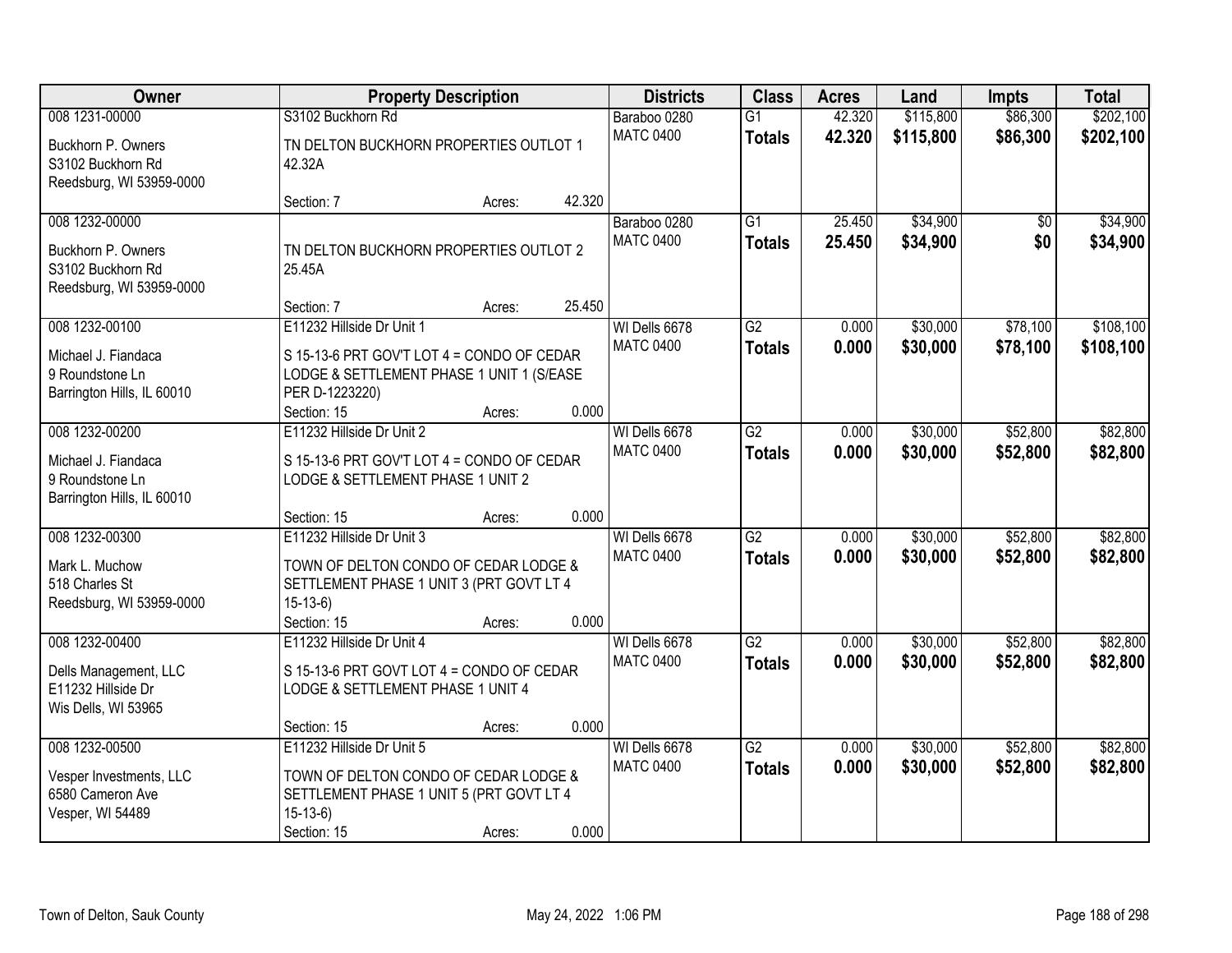| <b>Owner</b>                                                                           |                                                                                                                                                       | <b>Property Description</b> |        | <b>Districts</b>                  | <b>Class</b>                     | <b>Acres</b>     | Land                 | <b>Impts</b>         | <b>Total</b>           |
|----------------------------------------------------------------------------------------|-------------------------------------------------------------------------------------------------------------------------------------------------------|-----------------------------|--------|-----------------------------------|----------------------------------|------------------|----------------------|----------------------|------------------------|
| 008 1231-00000                                                                         | S3102 Buckhorn Rd                                                                                                                                     |                             |        | Baraboo 0280                      | $\overline{G1}$                  | 42.320           | \$115,800            | \$86,300             | \$202,100              |
| Buckhorn P. Owners<br>S3102 Buckhorn Rd<br>Reedsburg, WI 53959-0000                    | TN DELTON BUCKHORN PROPERTIES OUTLOT 1<br>42.32A                                                                                                      |                             |        | <b>MATC 0400</b>                  | <b>Totals</b>                    | 42.320           | \$115,800            | \$86,300             | \$202,100              |
|                                                                                        | Section: 7                                                                                                                                            | Acres:                      | 42.320 |                                   |                                  |                  |                      |                      |                        |
| 008 1232-00000<br>Buckhorn P. Owners<br>S3102 Buckhorn Rd<br>Reedsburg, WI 53959-0000  | TN DELTON BUCKHORN PROPERTIES OUTLOT 2<br>25.45A                                                                                                      |                             |        | Baraboo 0280<br><b>MATC 0400</b>  | $\overline{G1}$<br><b>Totals</b> | 25.450<br>25.450 | \$34,900<br>\$34,900 | $\sqrt{$0}$<br>\$0   | \$34,900<br>\$34,900   |
|                                                                                        | Section: 7                                                                                                                                            | Acres:                      | 25.450 |                                   |                                  |                  |                      |                      |                        |
| 008 1232-00100<br>Michael J. Fiandaca<br>9 Roundstone Ln<br>Barrington Hills, IL 60010 | E11232 Hillside Dr Unit 1<br>S 15-13-6 PRT GOV'T LOT 4 = CONDO OF CEDAR<br>LODGE & SETTLEMENT PHASE 1 UNIT 1 (S/EASE<br>PER D-1223220)<br>Section: 15 | Acres:                      | 0.000  | WI Dells 6678<br><b>MATC 0400</b> | $\overline{G2}$<br><b>Totals</b> | 0.000<br>0.000   | \$30,000<br>\$30,000 | \$78,100<br>\$78,100 | \$108,100<br>\$108,100 |
| 008 1232-00200                                                                         | E11232 Hillside Dr Unit 2                                                                                                                             |                             |        | WI Dells 6678                     | $\overline{G2}$                  | 0.000            | \$30,000             | \$52,800             | \$82,800               |
| Michael J. Fiandaca<br>9 Roundstone Ln<br>Barrington Hills, IL 60010                   | S 15-13-6 PRT GOV'T LOT 4 = CONDO OF CEDAR<br>LODGE & SETTLEMENT PHASE 1 UNIT 2                                                                       |                             |        | <b>MATC 0400</b>                  | <b>Totals</b>                    | 0.000            | \$30,000             | \$52,800             | \$82,800               |
|                                                                                        | Section: 15                                                                                                                                           | Acres:                      | 0.000  |                                   |                                  |                  |                      |                      |                        |
| 008 1232-00300<br>Mark L. Muchow<br>518 Charles St<br>Reedsburg, WI 53959-0000         | E11232 Hillside Dr Unit 3<br>TOWN OF DELTON CONDO OF CEDAR LODGE &<br>SETTLEMENT PHASE 1 UNIT 3 (PRT GOVT LT 4<br>$15-13-6$<br>Section: 15            | Acres:                      | 0.000  | WI Dells 6678<br><b>MATC 0400</b> | $\overline{G2}$<br><b>Totals</b> | 0.000<br>0.000   | \$30,000<br>\$30,000 | \$52,800<br>\$52,800 | \$82,800<br>\$82,800   |
| 008 1232-00400                                                                         | E11232 Hillside Dr Unit 4                                                                                                                             |                             |        | WI Dells 6678                     | $\overline{G2}$                  | 0.000            | \$30,000             | \$52,800             | \$82,800               |
| Dells Management, LLC<br>E11232 Hillside Dr<br>Wis Dells, WI 53965                     | S 15-13-6 PRT GOVT LOT 4 = CONDO OF CEDAR<br>LODGE & SETTLEMENT PHASE 1 UNIT 4                                                                        |                             |        | <b>MATC 0400</b>                  | <b>Totals</b>                    | 0.000            | \$30,000             | \$52,800             | \$82,800               |
|                                                                                        | Section: 15                                                                                                                                           | Acres:                      | 0.000  |                                   |                                  |                  |                      |                      |                        |
| 008 1232-00500<br>Vesper Investments, LLC<br>6580 Cameron Ave<br>Vesper, WI 54489      | E11232 Hillside Dr Unit 5<br>TOWN OF DELTON CONDO OF CEDAR LODGE &<br>SETTLEMENT PHASE 1 UNIT 5 (PRT GOVT LT 4<br>$15-13-6$<br>Section: 15            | Acres:                      | 0.000  | WI Dells 6678<br><b>MATC 0400</b> | $\overline{G2}$<br><b>Totals</b> | 0.000<br>0.000   | \$30,000<br>\$30,000 | \$52,800<br>\$52,800 | \$82,800<br>\$82,800   |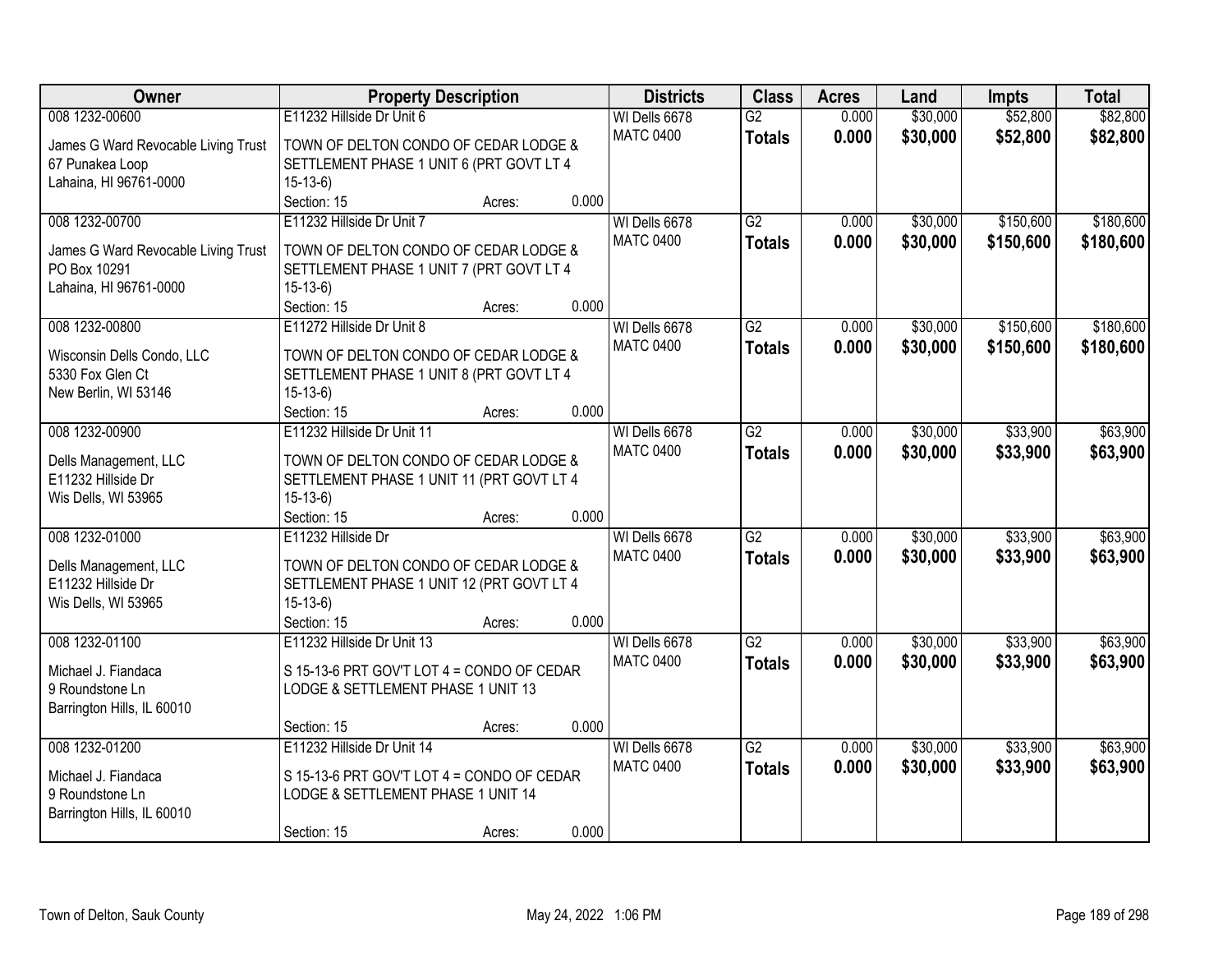| Owner                                               | <b>Property Description</b>                           |        |       | <b>Districts</b> | <b>Class</b>    | <b>Acres</b> | Land     | <b>Impts</b> | <b>Total</b> |
|-----------------------------------------------------|-------------------------------------------------------|--------|-------|------------------|-----------------|--------------|----------|--------------|--------------|
| 008 1232-00600                                      | E11232 Hillside Dr Unit 6                             |        |       | WI Dells 6678    | $\overline{G2}$ | 0.000        | \$30,000 | \$52,800     | \$82,800     |
| James G Ward Revocable Living Trust                 | TOWN OF DELTON CONDO OF CEDAR LODGE &                 |        |       | <b>MATC 0400</b> | <b>Totals</b>   | 0.000        | \$30,000 | \$52,800     | \$82,800     |
| 67 Punakea Loop                                     | SETTLEMENT PHASE 1 UNIT 6 (PRT GOVT LT 4              |        |       |                  |                 |              |          |              |              |
| Lahaina, HI 96761-0000                              | $15-13-6$                                             |        |       |                  |                 |              |          |              |              |
|                                                     | Section: 15                                           | Acres: | 0.000 |                  |                 |              |          |              |              |
| 008 1232-00700                                      | E11232 Hillside Dr Unit 7                             |        |       | WI Dells 6678    | $\overline{G2}$ | 0.000        | \$30,000 | \$150,600    | \$180,600    |
|                                                     |                                                       |        |       | <b>MATC 0400</b> | <b>Totals</b>   | 0.000        | \$30,000 | \$150,600    | \$180,600    |
| James G Ward Revocable Living Trust<br>PO Box 10291 | TOWN OF DELTON CONDO OF CEDAR LODGE &                 |        |       |                  |                 |              |          |              |              |
|                                                     | SETTLEMENT PHASE 1 UNIT 7 (PRT GOVT LT 4<br>$15-13-6$ |        |       |                  |                 |              |          |              |              |
| Lahaina, HI 96761-0000                              | Section: 15                                           | Acres: | 0.000 |                  |                 |              |          |              |              |
| 008 1232-00800                                      | E11272 Hillside Dr Unit 8                             |        |       | WI Dells 6678    | $\overline{G2}$ | 0.000        | \$30,000 | \$150,600    | \$180,600    |
|                                                     |                                                       |        |       | <b>MATC 0400</b> |                 |              |          |              |              |
| Wisconsin Dells Condo, LLC                          | TOWN OF DELTON CONDO OF CEDAR LODGE &                 |        |       |                  | <b>Totals</b>   | 0.000        | \$30,000 | \$150,600    | \$180,600    |
| 5330 Fox Glen Ct                                    | SETTLEMENT PHASE 1 UNIT 8 (PRT GOVT LT 4              |        |       |                  |                 |              |          |              |              |
| New Berlin, WI 53146                                | $15-13-6$                                             |        |       |                  |                 |              |          |              |              |
|                                                     | Section: 15                                           | Acres: | 0.000 |                  |                 |              |          |              |              |
| 008 1232-00900                                      | E11232 Hillside Dr Unit 11                            |        |       | WI Dells 6678    | $\overline{G2}$ | 0.000        | \$30,000 | \$33,900     | \$63,900     |
| Dells Management, LLC                               | TOWN OF DELTON CONDO OF CEDAR LODGE &                 |        |       | <b>MATC 0400</b> | <b>Totals</b>   | 0.000        | \$30,000 | \$33,900     | \$63,900     |
| E11232 Hillside Dr                                  | SETTLEMENT PHASE 1 UNIT 11 (PRT GOVT LT 4             |        |       |                  |                 |              |          |              |              |
| Wis Dells, WI 53965                                 | $15-13-6$                                             |        |       |                  |                 |              |          |              |              |
|                                                     | Section: 15                                           | Acres: | 0.000 |                  |                 |              |          |              |              |
| 008 1232-01000                                      | E11232 Hillside Dr                                    |        |       | WI Dells 6678    | $\overline{G2}$ | 0.000        | \$30,000 | \$33,900     | \$63,900     |
|                                                     |                                                       |        |       | <b>MATC 0400</b> | <b>Totals</b>   | 0.000        | \$30,000 | \$33,900     | \$63,900     |
| Dells Management, LLC                               | TOWN OF DELTON CONDO OF CEDAR LODGE &                 |        |       |                  |                 |              |          |              |              |
| E11232 Hillside Dr                                  | SETTLEMENT PHASE 1 UNIT 12 (PRT GOVT LT 4             |        |       |                  |                 |              |          |              |              |
| Wis Dells, WI 53965                                 | $15-13-6$                                             |        |       |                  |                 |              |          |              |              |
|                                                     | Section: 15                                           | Acres: | 0.000 |                  |                 |              |          |              |              |
| 008 1232-01100                                      | E11232 Hillside Dr Unit 13                            |        |       | WI Dells 6678    | $\overline{G2}$ | 0.000        | \$30,000 | \$33,900     | \$63,900     |
| Michael J. Fiandaca                                 | S 15-13-6 PRT GOV'T LOT 4 = CONDO OF CEDAR            |        |       | <b>MATC 0400</b> | <b>Totals</b>   | 0.000        | \$30,000 | \$33,900     | \$63,900     |
| 9 Roundstone Ln                                     | LODGE & SETTLEMENT PHASE 1 UNIT 13                    |        |       |                  |                 |              |          |              |              |
| Barrington Hills, IL 60010                          |                                                       |        |       |                  |                 |              |          |              |              |
|                                                     | Section: 15                                           | Acres: | 0.000 |                  |                 |              |          |              |              |
| 008 1232-01200                                      | E11232 Hillside Dr Unit 14                            |        |       | WI Dells 6678    | $\overline{G2}$ | 0.000        | \$30,000 | \$33,900     | \$63,900     |
| Michael J. Fiandaca                                 | S 15-13-6 PRT GOV'T LOT 4 = CONDO OF CEDAR            |        |       | <b>MATC 0400</b> | <b>Totals</b>   | 0.000        | \$30,000 | \$33,900     | \$63,900     |
| 9 Roundstone Ln                                     | LODGE & SETTLEMENT PHASE 1 UNIT 14                    |        |       |                  |                 |              |          |              |              |
| Barrington Hills, IL 60010                          |                                                       |        |       |                  |                 |              |          |              |              |
|                                                     | Section: 15                                           | Acres: | 0.000 |                  |                 |              |          |              |              |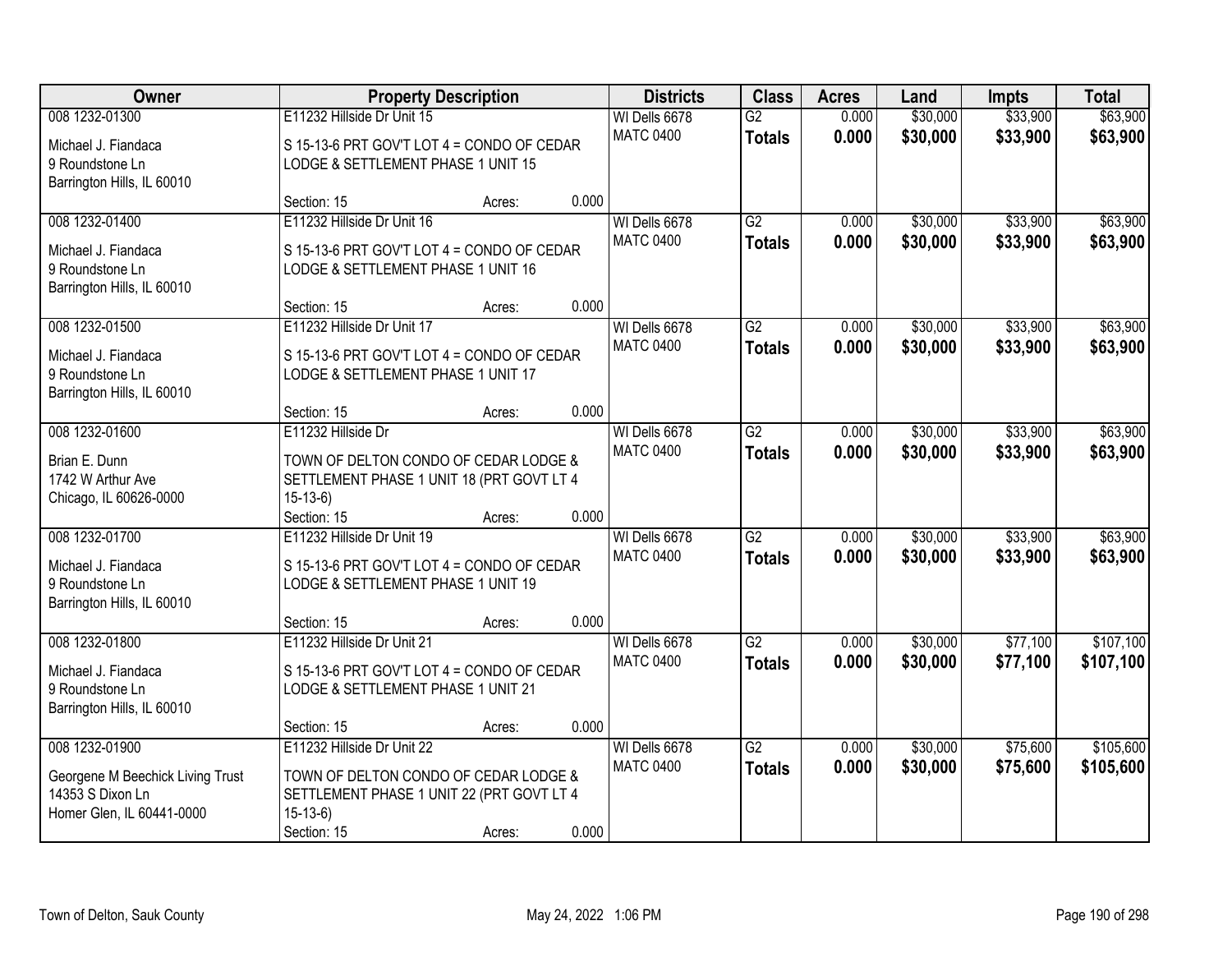| Owner                            |                                            | <b>Property Description</b> |       | <b>Districts</b> | <b>Class</b>    | <b>Acres</b> | Land     | <b>Impts</b> | <b>Total</b> |
|----------------------------------|--------------------------------------------|-----------------------------|-------|------------------|-----------------|--------------|----------|--------------|--------------|
| 008 1232-01300                   | E11232 Hillside Dr Unit 15                 |                             |       | WI Dells 6678    | $\overline{G2}$ | 0.000        | \$30,000 | \$33,900     | \$63,900     |
| Michael J. Fiandaca              | S 15-13-6 PRT GOV'T LOT 4 = CONDO OF CEDAR |                             |       | <b>MATC 0400</b> | <b>Totals</b>   | 0.000        | \$30,000 | \$33,900     | \$63,900     |
| 9 Roundstone Ln                  | LODGE & SETTLEMENT PHASE 1 UNIT 15         |                             |       |                  |                 |              |          |              |              |
| Barrington Hills, IL 60010       |                                            |                             |       |                  |                 |              |          |              |              |
|                                  | Section: 15                                | Acres:                      | 0.000 |                  |                 |              |          |              |              |
| 008 1232-01400                   | E11232 Hillside Dr Unit 16                 |                             |       | WI Dells 6678    | G2              | 0.000        | \$30,000 | \$33,900     | \$63,900     |
| Michael J. Fiandaca              | S 15-13-6 PRT GOV'T LOT 4 = CONDO OF CEDAR |                             |       | <b>MATC 0400</b> | <b>Totals</b>   | 0.000        | \$30,000 | \$33,900     | \$63,900     |
| 9 Roundstone Ln                  | LODGE & SETTLEMENT PHASE 1 UNIT 16         |                             |       |                  |                 |              |          |              |              |
| Barrington Hills, IL 60010       |                                            |                             |       |                  |                 |              |          |              |              |
|                                  | Section: 15                                | Acres:                      | 0.000 |                  |                 |              |          |              |              |
| 008 1232-01500                   | E11232 Hillside Dr Unit 17                 |                             |       | WI Dells 6678    | $\overline{G2}$ | 0.000        | \$30,000 | \$33,900     | \$63,900     |
| Michael J. Fiandaca              | S 15-13-6 PRT GOV'T LOT 4 = CONDO OF CEDAR |                             |       | <b>MATC 0400</b> | <b>Totals</b>   | 0.000        | \$30,000 | \$33,900     | \$63,900     |
| 9 Roundstone Ln                  | LODGE & SETTLEMENT PHASE 1 UNIT 17         |                             |       |                  |                 |              |          |              |              |
| Barrington Hills, IL 60010       |                                            |                             |       |                  |                 |              |          |              |              |
|                                  | Section: 15                                | Acres:                      | 0.000 |                  |                 |              |          |              |              |
| 008 1232-01600                   | E11232 Hillside Dr                         |                             |       | WI Dells 6678    | $\overline{G2}$ | 0.000        | \$30,000 | \$33,900     | \$63,900     |
| Brian E. Dunn                    | TOWN OF DELTON CONDO OF CEDAR LODGE &      |                             |       | <b>MATC 0400</b> | <b>Totals</b>   | 0.000        | \$30,000 | \$33,900     | \$63,900     |
| 1742 W Arthur Ave                | SETTLEMENT PHASE 1 UNIT 18 (PRT GOVT LT 4  |                             |       |                  |                 |              |          |              |              |
| Chicago, IL 60626-0000           | $15-13-6$                                  |                             |       |                  |                 |              |          |              |              |
|                                  | Section: 15                                | Acres:                      | 0.000 |                  |                 |              |          |              |              |
| 008 1232-01700                   | E11232 Hillside Dr Unit 19                 |                             |       | WI Dells 6678    | $\overline{G2}$ | 0.000        | \$30,000 | \$33,900     | \$63,900     |
| Michael J. Fiandaca              | S 15-13-6 PRT GOV'T LOT 4 = CONDO OF CEDAR |                             |       | <b>MATC 0400</b> | <b>Totals</b>   | 0.000        | \$30,000 | \$33,900     | \$63,900     |
| 9 Roundstone Ln                  | LODGE & SETTLEMENT PHASE 1 UNIT 19         |                             |       |                  |                 |              |          |              |              |
| Barrington Hills, IL 60010       |                                            |                             |       |                  |                 |              |          |              |              |
|                                  | Section: 15                                | Acres:                      | 0.000 |                  |                 |              |          |              |              |
| 008 1232-01800                   | E11232 Hillside Dr Unit 21                 |                             |       | WI Dells 6678    | $\overline{G2}$ | 0.000        | \$30,000 | \$77,100     | \$107,100    |
| Michael J. Fiandaca              | S 15-13-6 PRT GOV'T LOT 4 = CONDO OF CEDAR |                             |       | <b>MATC 0400</b> | <b>Totals</b>   | 0.000        | \$30,000 | \$77,100     | \$107,100    |
| 9 Roundstone Ln                  | LODGE & SETTLEMENT PHASE 1 UNIT 21         |                             |       |                  |                 |              |          |              |              |
| Barrington Hills, IL 60010       |                                            |                             |       |                  |                 |              |          |              |              |
|                                  | Section: 15                                | Acres:                      | 0.000 |                  |                 |              |          |              |              |
| 008 1232-01900                   | E11232 Hillside Dr Unit 22                 |                             |       | WI Dells 6678    | $\overline{G2}$ | 0.000        | \$30,000 | \$75,600     | \$105,600    |
| Georgene M Beechick Living Trust | TOWN OF DELTON CONDO OF CEDAR LODGE &      |                             |       | <b>MATC 0400</b> | <b>Totals</b>   | 0.000        | \$30,000 | \$75,600     | \$105,600    |
| 14353 S Dixon Ln                 | SETTLEMENT PHASE 1 UNIT 22 (PRT GOVT LT 4  |                             |       |                  |                 |              |          |              |              |
| Homer Glen, IL 60441-0000        | $15-13-6$                                  |                             |       |                  |                 |              |          |              |              |
|                                  | Section: 15                                | Acres:                      | 0.000 |                  |                 |              |          |              |              |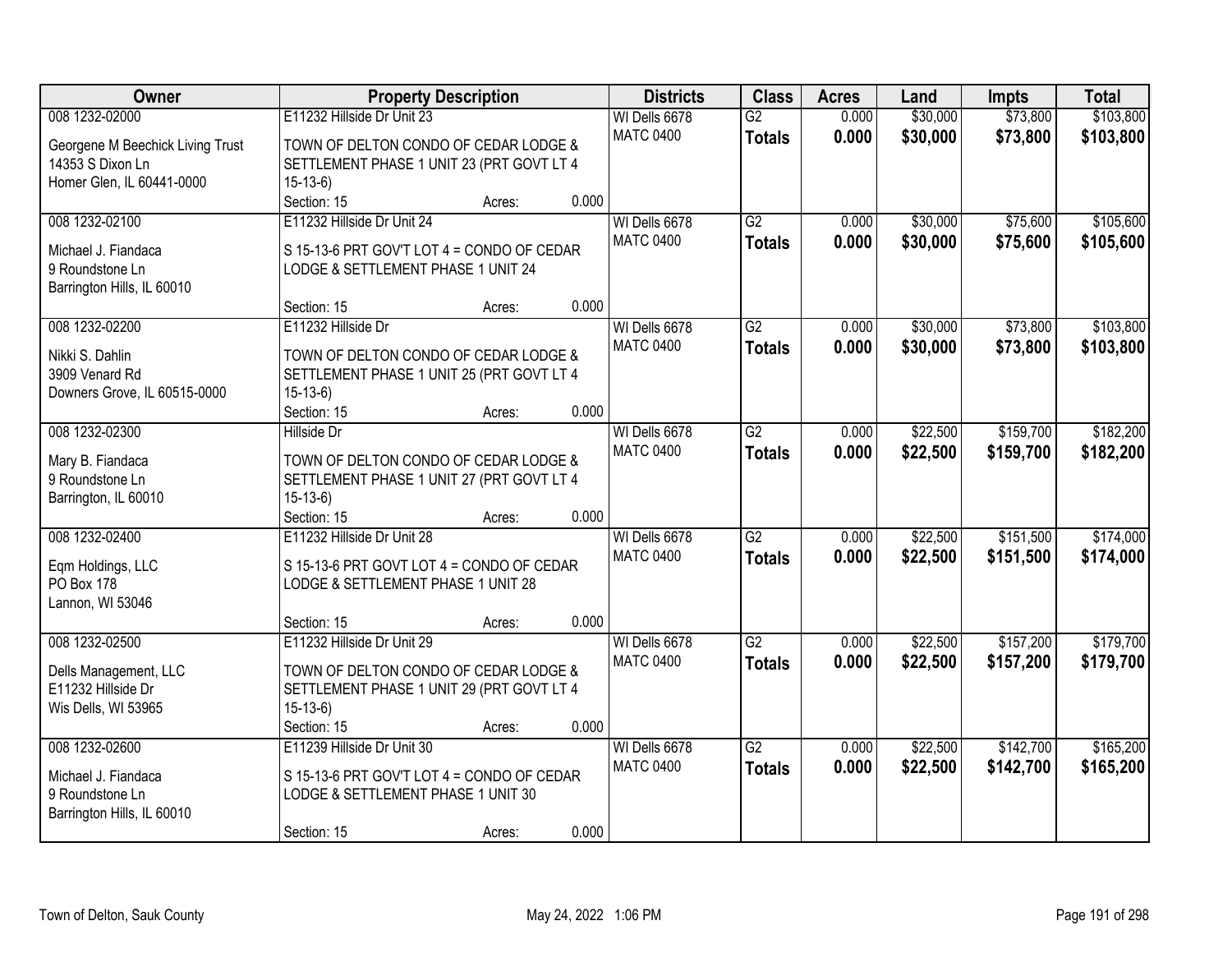| Owner                               |                                                        | <b>Property Description</b> |       | <b>Districts</b> | <b>Class</b>    | <b>Acres</b> | Land     | <b>Impts</b> | <b>Total</b> |
|-------------------------------------|--------------------------------------------------------|-----------------------------|-------|------------------|-----------------|--------------|----------|--------------|--------------|
| 008 1232-02000                      | E11232 Hillside Dr Unit 23                             |                             |       | WI Dells 6678    | $\overline{G2}$ | 0.000        | \$30,000 | \$73,800     | \$103,800    |
| Georgene M Beechick Living Trust    | TOWN OF DELTON CONDO OF CEDAR LODGE &                  |                             |       | <b>MATC 0400</b> | <b>Totals</b>   | 0.000        | \$30,000 | \$73,800     | \$103,800    |
| 14353 S Dixon Ln                    | SETTLEMENT PHASE 1 UNIT 23 (PRT GOVT LT 4              |                             |       |                  |                 |              |          |              |              |
| Homer Glen, IL 60441-0000           | $15-13-6$                                              |                             |       |                  |                 |              |          |              |              |
|                                     | Section: 15                                            | Acres:                      | 0.000 |                  |                 |              |          |              |              |
| 008 1232-02100                      | E11232 Hillside Dr Unit 24                             |                             |       | WI Dells 6678    | $\overline{G2}$ | 0.000        | \$30,000 | \$75,600     | \$105,600    |
| Michael J. Fiandaca                 | S 15-13-6 PRT GOV'T LOT 4 = CONDO OF CEDAR             |                             |       | <b>MATC 0400</b> | <b>Totals</b>   | 0.000        | \$30,000 | \$75,600     | \$105,600    |
| 9 Roundstone Ln                     | LODGE & SETTLEMENT PHASE 1 UNIT 24                     |                             |       |                  |                 |              |          |              |              |
| Barrington Hills, IL 60010          |                                                        |                             |       |                  |                 |              |          |              |              |
|                                     | Section: 15                                            | Acres:                      | 0.000 |                  |                 |              |          |              |              |
| 008 1232-02200                      | E11232 Hillside Dr                                     |                             |       | WI Dells 6678    | $\overline{G2}$ | 0.000        | \$30,000 | \$73,800     | \$103,800    |
| Nikki S. Dahlin                     | TOWN OF DELTON CONDO OF CEDAR LODGE &                  |                             |       | <b>MATC 0400</b> | <b>Totals</b>   | 0.000        | \$30,000 | \$73,800     | \$103,800    |
| 3909 Venard Rd                      | SETTLEMENT PHASE 1 UNIT 25 (PRT GOVT LT 4              |                             |       |                  |                 |              |          |              |              |
| Downers Grove, IL 60515-0000        | $15-13-6$                                              |                             |       |                  |                 |              |          |              |              |
|                                     | Section: 15                                            | Acres:                      | 0.000 |                  |                 |              |          |              |              |
| 008 1232-02300                      | <b>Hillside Dr</b>                                     |                             |       | WI Dells 6678    | $\overline{G2}$ | 0.000        | \$22,500 | \$159,700    | \$182,200    |
|                                     |                                                        |                             |       | <b>MATC 0400</b> | <b>Totals</b>   | 0.000        | \$22,500 | \$159,700    | \$182,200    |
| Mary B. Fiandaca<br>9 Roundstone Ln | TOWN OF DELTON CONDO OF CEDAR LODGE &                  |                             |       |                  |                 |              |          |              |              |
| Barrington, IL 60010                | SETTLEMENT PHASE 1 UNIT 27 (PRT GOVT LT 4<br>$15-13-6$ |                             |       |                  |                 |              |          |              |              |
|                                     | Section: 15                                            | Acres:                      | 0.000 |                  |                 |              |          |              |              |
| 008 1232-02400                      | E11232 Hillside Dr Unit 28                             |                             |       | WI Dells 6678    | $\overline{G2}$ | 0.000        | \$22,500 | \$151,500    | \$174,000    |
|                                     |                                                        |                             |       | <b>MATC 0400</b> | <b>Totals</b>   | 0.000        | \$22,500 | \$151,500    | \$174,000    |
| Eqm Holdings, LLC                   | S 15-13-6 PRT GOVT LOT 4 = CONDO OF CEDAR              |                             |       |                  |                 |              |          |              |              |
| <b>PO Box 178</b>                   | LODGE & SETTLEMENT PHASE 1 UNIT 28                     |                             |       |                  |                 |              |          |              |              |
| Lannon, WI 53046                    |                                                        |                             |       |                  |                 |              |          |              |              |
|                                     | Section: 15                                            | Acres:                      | 0.000 |                  |                 |              |          |              |              |
| 008 1232-02500                      | E11232 Hillside Dr Unit 29                             |                             |       | WI Dells 6678    | $\overline{G2}$ | 0.000        | \$22,500 | \$157,200    | \$179,700    |
| Dells Management, LLC               | TOWN OF DELTON CONDO OF CEDAR LODGE &                  |                             |       | <b>MATC 0400</b> | <b>Totals</b>   | 0.000        | \$22,500 | \$157,200    | \$179,700    |
| E11232 Hillside Dr                  | SETTLEMENT PHASE 1 UNIT 29 (PRT GOVT LT 4              |                             |       |                  |                 |              |          |              |              |
| Wis Dells, WI 53965                 | $15-13-6$                                              |                             |       |                  |                 |              |          |              |              |
|                                     | Section: 15                                            | Acres:                      | 0.000 |                  |                 |              |          |              |              |
| 008 1232-02600                      | E11239 Hillside Dr Unit 30                             |                             |       | WI Dells 6678    | $\overline{G2}$ | 0.000        | \$22,500 | \$142,700    | \$165,200    |
| Michael J. Fiandaca                 | S 15-13-6 PRT GOV'T LOT 4 = CONDO OF CEDAR             |                             |       | <b>MATC 0400</b> | <b>Totals</b>   | 0.000        | \$22,500 | \$142,700    | \$165,200    |
| 9 Roundstone Ln                     | LODGE & SETTLEMENT PHASE 1 UNIT 30                     |                             |       |                  |                 |              |          |              |              |
| Barrington Hills, IL 60010          |                                                        |                             |       |                  |                 |              |          |              |              |
|                                     | Section: 15                                            | Acres:                      | 0.000 |                  |                 |              |          |              |              |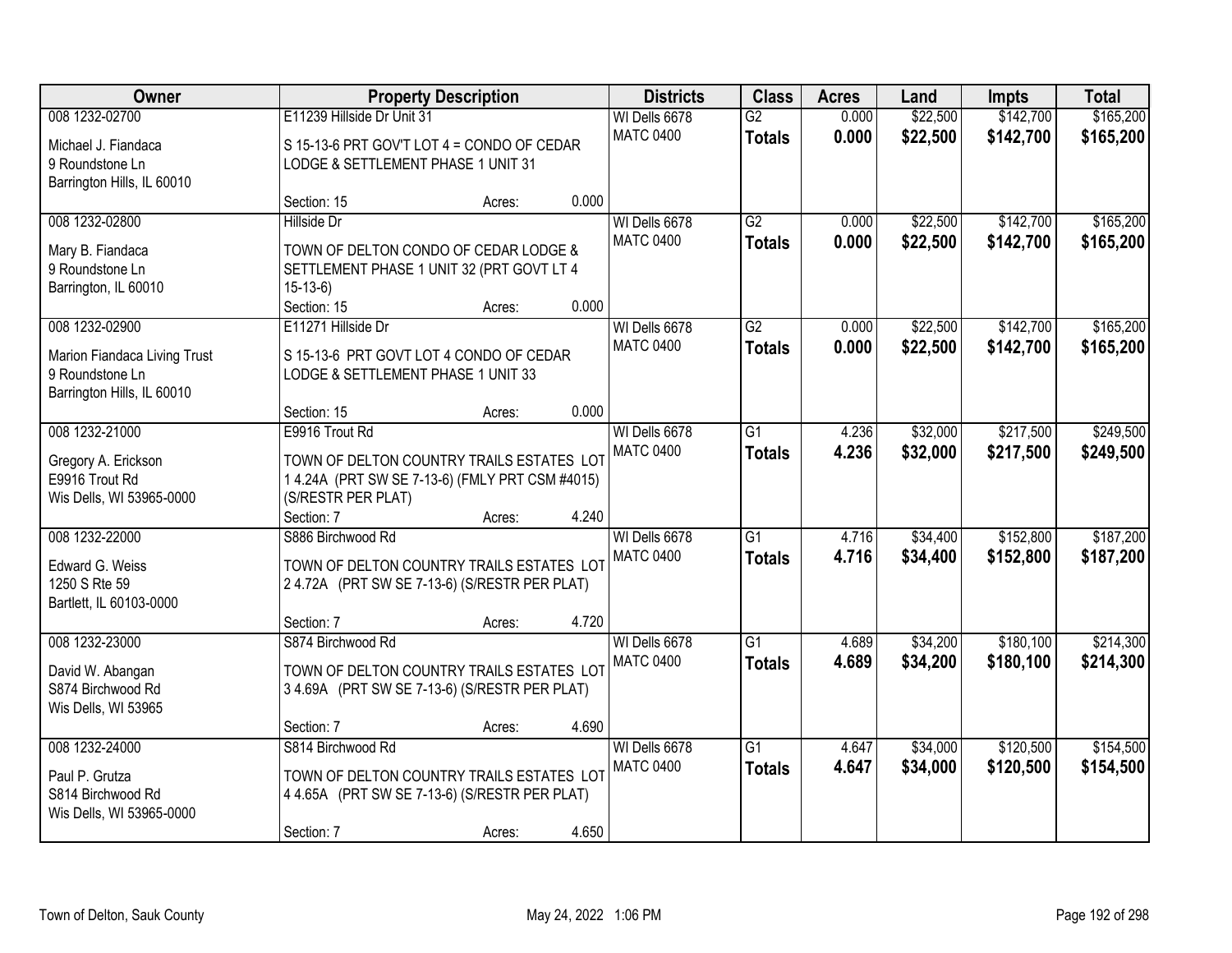| Owner<br><b>Property Description</b>                                                            | <b>Districts</b><br><b>Class</b>                                                                                                                   |        |       | <b>Acres</b>                      | Land                             | <b>Impts</b>   | <b>Total</b>         |                        |                        |
|-------------------------------------------------------------------------------------------------|----------------------------------------------------------------------------------------------------------------------------------------------------|--------|-------|-----------------------------------|----------------------------------|----------------|----------------------|------------------------|------------------------|
| 008 1232-02700<br>Michael J. Fiandaca<br>9 Roundstone Ln                                        | E11239 Hillside Dr Unit 31<br>S 15-13-6 PRT GOV'T LOT 4 = CONDO OF CEDAR<br>LODGE & SETTLEMENT PHASE 1 UNIT 31                                     |        |       | WI Dells 6678<br><b>MATC 0400</b> | $\overline{G2}$<br><b>Totals</b> | 0.000<br>0.000 | \$22,500<br>\$22,500 | \$142,700<br>\$142,700 | \$165,200<br>\$165,200 |
| Barrington Hills, IL 60010                                                                      | Section: 15                                                                                                                                        | Acres: | 0.000 |                                   |                                  |                |                      |                        |                        |
| 008 1232-02800<br>Mary B. Fiandaca<br>9 Roundstone Ln<br>Barrington, IL 60010                   | <b>Hillside Dr</b><br>TOWN OF DELTON CONDO OF CEDAR LODGE &<br>SETTLEMENT PHASE 1 UNIT 32 (PRT GOVT LT 4<br>$15-13-6$<br>Section: 15               | Acres: | 0.000 | WI Dells 6678<br><b>MATC 0400</b> | $\overline{G2}$<br><b>Totals</b> | 0.000<br>0.000 | \$22,500<br>\$22,500 | \$142,700<br>\$142,700 | \$165,200<br>\$165,200 |
| 008 1232-02900<br>Marion Fiandaca Living Trust<br>9 Roundstone Ln<br>Barrington Hills, IL 60010 | E11271 Hillside Dr<br>S 15-13-6 PRT GOVT LOT 4 CONDO OF CEDAR<br>LODGE & SETTLEMENT PHASE 1 UNIT 33<br>Section: 15                                 | Acres: | 0.000 | WI Dells 6678<br><b>MATC 0400</b> | $\overline{G2}$<br><b>Totals</b> | 0.000<br>0.000 | \$22,500<br>\$22,500 | \$142,700<br>\$142,700 | \$165,200<br>\$165,200 |
| 008 1232-21000<br>Gregory A. Erickson<br>E9916 Trout Rd<br>Wis Dells, WI 53965-0000             | E9916 Trout Rd<br>TOWN OF DELTON COUNTRY TRAILS ESTATES LOT<br>1 4.24A (PRT SW SE 7-13-6) (FMLY PRT CSM #4015)<br>(S/RESTR PER PLAT)<br>Section: 7 | Acres: | 4.240 | WI Dells 6678<br><b>MATC 0400</b> | $\overline{G1}$<br><b>Totals</b> | 4.236<br>4.236 | \$32,000<br>\$32,000 | \$217,500<br>\$217,500 | \$249,500<br>\$249,500 |
| 008 1232-22000<br>Edward G. Weiss<br>1250 S Rte 59<br>Bartlett, IL 60103-0000                   | S886 Birchwood Rd<br>TOWN OF DELTON COUNTRY TRAILS ESTATES LOT<br>24.72A (PRT SW SE 7-13-6) (S/RESTR PER PLAT)<br>Section: 7                       | Acres: | 4.720 | WI Dells 6678<br><b>MATC 0400</b> | $\overline{G1}$<br><b>Totals</b> | 4.716<br>4.716 | \$34,400<br>\$34,400 | \$152,800<br>\$152,800 | \$187,200<br>\$187,200 |
| 008 1232-23000<br>David W. Abangan<br>S874 Birchwood Rd<br>Wis Dells, WI 53965                  | S874 Birchwood Rd<br>TOWN OF DELTON COUNTRY TRAILS ESTATES LOT<br>34.69A (PRT SW SE 7-13-6) (S/RESTR PER PLAT)<br>Section: 7                       | Acres: | 4.690 | WI Dells 6678<br><b>MATC 0400</b> | $\overline{G1}$<br><b>Totals</b> | 4.689<br>4.689 | \$34,200<br>\$34,200 | \$180,100<br>\$180,100 | \$214,300<br>\$214,300 |
| 008 1232-24000<br>Paul P. Grutza<br>S814 Birchwood Rd<br>Wis Dells, WI 53965-0000               | S814 Birchwood Rd<br>TOWN OF DELTON COUNTRY TRAILS ESTATES LOT<br>4 4.65A (PRT SW SE 7-13-6) (S/RESTR PER PLAT)<br>Section: 7                      | Acres: | 4.650 | WI Dells 6678<br><b>MATC 0400</b> | $\overline{G1}$<br><b>Totals</b> | 4.647<br>4.647 | \$34,000<br>\$34,000 | \$120,500<br>\$120,500 | \$154,500<br>\$154,500 |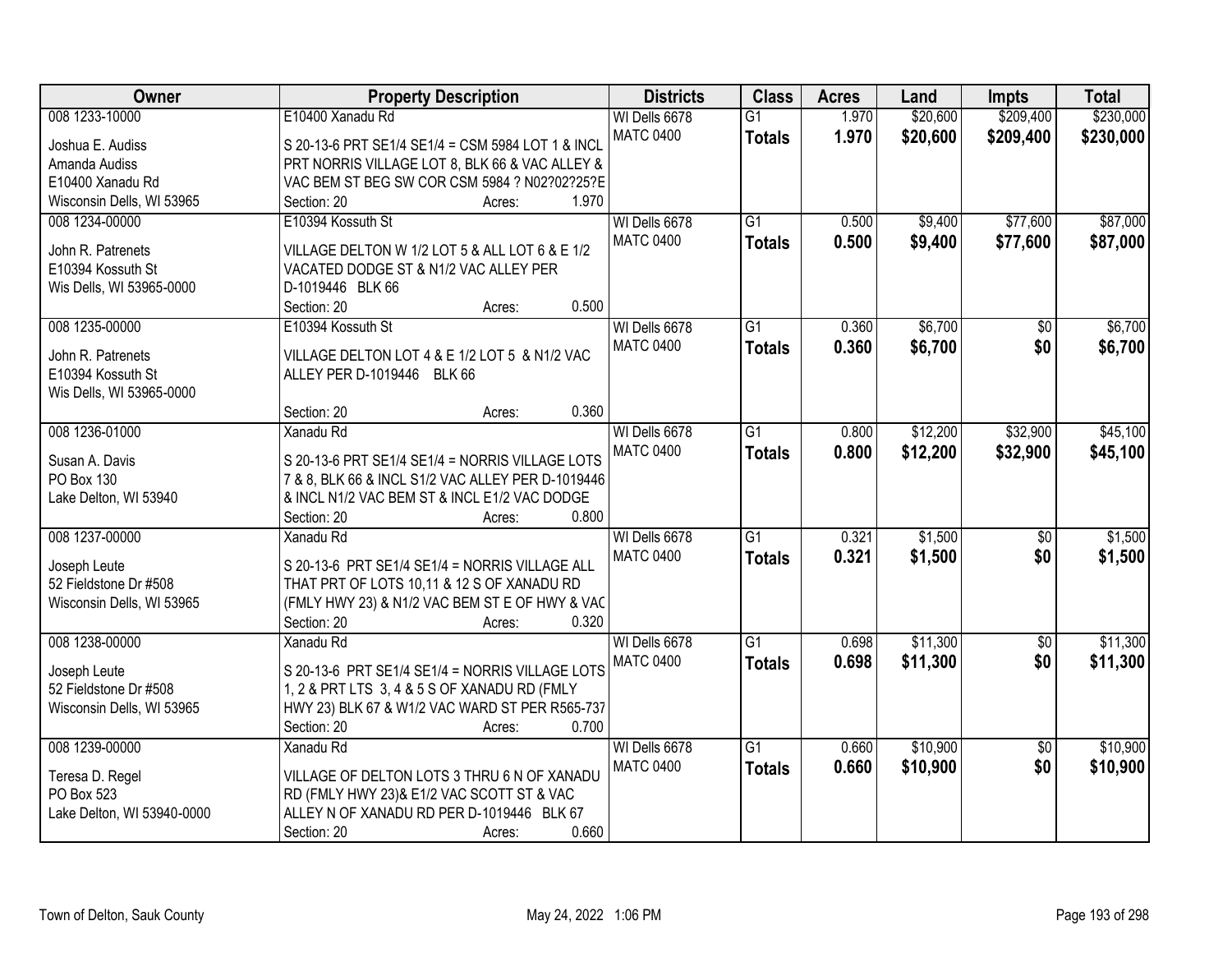| Owner                      | <b>Property Description</b>                                          | <b>Districts</b> | <b>Class</b>    | <b>Acres</b> | Land     | <b>Impts</b>    | <b>Total</b> |
|----------------------------|----------------------------------------------------------------------|------------------|-----------------|--------------|----------|-----------------|--------------|
| 008 1233-10000             | E10400 Xanadu Rd                                                     | WI Dells 6678    | $\overline{G1}$ | 1.970        | \$20,600 | \$209,400       | \$230,000    |
| Joshua E. Audiss           | S 20-13-6 PRT SE1/4 SE1/4 = CSM 5984 LOT 1 & INCL                    | <b>MATC 0400</b> | <b>Totals</b>   | 1.970        | \$20,600 | \$209,400       | \$230,000    |
| Amanda Audiss              | PRT NORRIS VILLAGE LOT 8, BLK 66 & VAC ALLEY &                       |                  |                 |              |          |                 |              |
| E10400 Xanadu Rd           | VAC BEM ST BEG SW COR CSM 5984 ? N02?02?25?E                         |                  |                 |              |          |                 |              |
| Wisconsin Dells, WI 53965  | 1.970<br>Section: 20<br>Acres:                                       |                  |                 |              |          |                 |              |
| 008 1234-00000             | E10394 Kossuth St                                                    | WI Dells 6678    | $\overline{G1}$ | 0.500        | \$9,400  | \$77,600        | \$87,000     |
|                            |                                                                      | <b>MATC 0400</b> | <b>Totals</b>   | 0.500        | \$9,400  | \$77,600        | \$87,000     |
| John R. Patrenets          | VILLAGE DELTON W 1/2 LOT 5 & ALL LOT 6 & E 1/2                       |                  |                 |              |          |                 |              |
| E10394 Kossuth St          | VACATED DODGE ST & N1/2 VAC ALLEY PER                                |                  |                 |              |          |                 |              |
| Wis Dells, WI 53965-0000   | D-1019446 BLK 66                                                     |                  |                 |              |          |                 |              |
|                            | 0.500<br>Section: 20<br>Acres:                                       |                  |                 |              |          |                 |              |
| 008 1235-00000             | E10394 Kossuth St                                                    | WI Dells 6678    | $\overline{G1}$ | 0.360        | \$6,700  | $\overline{50}$ | \$6,700      |
| John R. Patrenets          | VILLAGE DELTON LOT 4 & E 1/2 LOT 5 & N1/2 VAC                        | <b>MATC 0400</b> | <b>Totals</b>   | 0.360        | \$6,700  | \$0             | \$6,700      |
| E10394 Kossuth St          | ALLEY PER D-1019446 BLK 66                                           |                  |                 |              |          |                 |              |
| Wis Dells, WI 53965-0000   |                                                                      |                  |                 |              |          |                 |              |
|                            | 0.360<br>Section: 20<br>Acres:                                       |                  |                 |              |          |                 |              |
| 008 1236-01000             | Xanadu Rd                                                            | WI Dells 6678    | $\overline{G1}$ | 0.800        | \$12,200 | \$32,900        | \$45,100     |
|                            |                                                                      | <b>MATC 0400</b> | <b>Totals</b>   | 0.800        | \$12,200 | \$32,900        | \$45,100     |
| Susan A. Davis             | S 20-13-6 PRT SE1/4 SE1/4 = NORRIS VILLAGE LOTS                      |                  |                 |              |          |                 |              |
| PO Box 130                 | 7 & 8, BLK 66 & INCL S1/2 VAC ALLEY PER D-1019446                    |                  |                 |              |          |                 |              |
| Lake Delton, WI 53940      | & INCL N1/2 VAC BEM ST & INCL E1/2 VAC DODGE<br>0.800<br>Section: 20 |                  |                 |              |          |                 |              |
| 008 1237-00000             | Acres:<br><b>Xanadu Rd</b>                                           | WI Dells 6678    | $\overline{G1}$ | 0.321        | \$1,500  | $\overline{50}$ | \$1,500      |
|                            |                                                                      | <b>MATC 0400</b> |                 |              |          |                 |              |
| Joseph Leute               | S 20-13-6 PRT SE1/4 SE1/4 = NORRIS VILLAGE ALL                       |                  | <b>Totals</b>   | 0.321        | \$1,500  | \$0             | \$1,500      |
| 52 Fieldstone Dr #508      | THAT PRT OF LOTS 10,11 & 12 S OF XANADU RD                           |                  |                 |              |          |                 |              |
| Wisconsin Dells, WI 53965  | (FMLY HWY 23) & N1/2 VAC BEM ST E OF HWY & VAC                       |                  |                 |              |          |                 |              |
|                            | 0.320<br>Section: 20<br>Acres:                                       |                  |                 |              |          |                 |              |
| 008 1238-00000             | Xanadu Rd                                                            | WI Dells 6678    | G1              | 0.698        | \$11,300 | $\overline{50}$ | \$11,300     |
| Joseph Leute               | S 20-13-6 PRT SE1/4 SE1/4 = NORRIS VILLAGE LOTS                      | <b>MATC 0400</b> | <b>Totals</b>   | 0.698        | \$11,300 | \$0             | \$11,300     |
| 52 Fieldstone Dr #508      | 1, 2 & PRT LTS 3, 4 & 5 S OF XANADU RD (FMLY                         |                  |                 |              |          |                 |              |
| Wisconsin Dells, WI 53965  | HWY 23) BLK 67 & W1/2 VAC WARD ST PER R565-737                       |                  |                 |              |          |                 |              |
|                            | 0.700<br>Section: 20<br>Acres:                                       |                  |                 |              |          |                 |              |
| 008 1239-00000             | Xanadu Rd                                                            | WI Dells 6678    | G1              | 0.660        | \$10,900 | $\overline{50}$ | \$10,900     |
|                            |                                                                      | <b>MATC 0400</b> | <b>Totals</b>   | 0.660        | \$10,900 | \$0             | \$10,900     |
| Teresa D. Regel            | VILLAGE OF DELTON LOTS 3 THRU 6 N OF XANADU                          |                  |                 |              |          |                 |              |
| PO Box 523                 | RD (FMLY HWY 23)& E1/2 VAC SCOTT ST & VAC                            |                  |                 |              |          |                 |              |
| Lake Delton, WI 53940-0000 | ALLEY N OF XANADU RD PER D-1019446 BLK 67                            |                  |                 |              |          |                 |              |
|                            | 0.660<br>Section: 20<br>Acres:                                       |                  |                 |              |          |                 |              |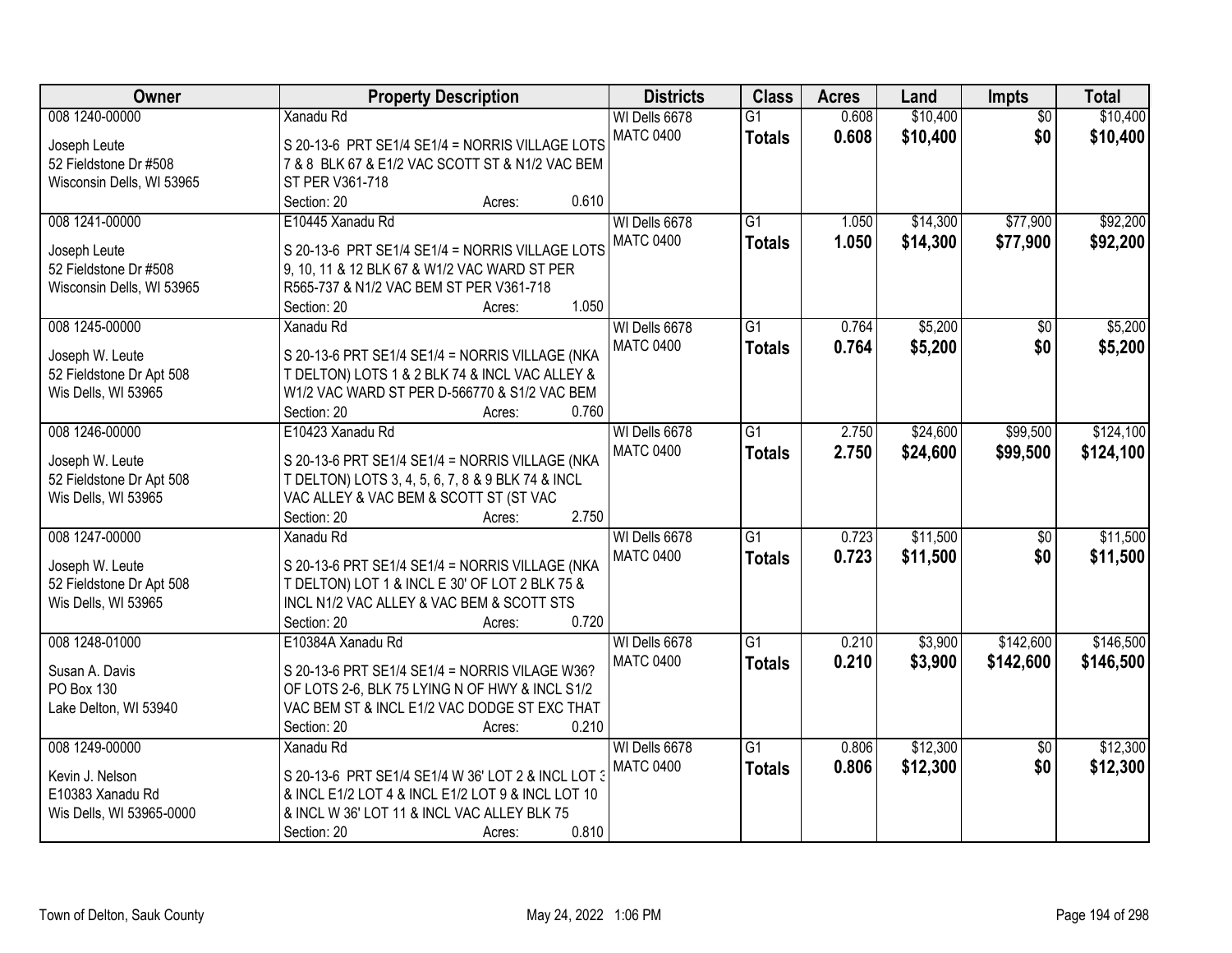| Owner                     | <b>Property Description</b>                        | <b>Districts</b> | <b>Class</b>    | <b>Acres</b> | Land     | Impts           | <b>Total</b> |
|---------------------------|----------------------------------------------------|------------------|-----------------|--------------|----------|-----------------|--------------|
| 008 1240-00000            | <b>Xanadu Rd</b>                                   | WI Dells 6678    | $\overline{G1}$ | 0.608        | \$10,400 | $\overline{50}$ | \$10,400     |
| Joseph Leute              | S 20-13-6 PRT SE1/4 SE1/4 = NORRIS VILLAGE LOTS    | <b>MATC 0400</b> | <b>Totals</b>   | 0.608        | \$10,400 | \$0             | \$10,400     |
| 52 Fieldstone Dr #508     | 7 & 8 BLK 67 & E1/2 VAC SCOTT ST & N1/2 VAC BEM    |                  |                 |              |          |                 |              |
| Wisconsin Dells, WI 53965 | ST PER V361-718                                    |                  |                 |              |          |                 |              |
|                           | 0.610<br>Section: 20<br>Acres:                     |                  |                 |              |          |                 |              |
| 008 1241-00000            | E10445 Xanadu Rd                                   | WI Dells 6678    | $\overline{G1}$ | 1.050        | \$14,300 | \$77,900        | \$92,200     |
|                           |                                                    | <b>MATC 0400</b> | <b>Totals</b>   | 1.050        | \$14,300 | \$77,900        | \$92,200     |
| Joseph Leute              | S 20-13-6 PRT SE1/4 SE1/4 = NORRIS VILLAGE LOTS    |                  |                 |              |          |                 |              |
| 52 Fieldstone Dr #508     | 9, 10, 11 & 12 BLK 67 & W1/2 VAC WARD ST PER       |                  |                 |              |          |                 |              |
| Wisconsin Dells, WI 53965 | R565-737 & N1/2 VAC BEM ST PER V361-718            |                  |                 |              |          |                 |              |
|                           | 1.050<br>Section: 20<br>Acres:                     |                  |                 |              |          |                 |              |
| 008 1245-00000            | Xanadu Rd                                          | WI Dells 6678    | G1              | 0.764        | \$5,200  | \$0             | \$5,200      |
| Joseph W. Leute           | S 20-13-6 PRT SE1/4 SE1/4 = NORRIS VILLAGE (NKA    | <b>MATC 0400</b> | <b>Totals</b>   | 0.764        | \$5,200  | \$0             | \$5,200      |
| 52 Fieldstone Dr Apt 508  | T DELTON) LOTS 1 & 2 BLK 74 & INCL VAC ALLEY &     |                  |                 |              |          |                 |              |
| Wis Dells, WI 53965       | W1/2 VAC WARD ST PER D-566770 & S1/2 VAC BEM       |                  |                 |              |          |                 |              |
|                           | Section: 20<br>0.760<br>Acres:                     |                  |                 |              |          |                 |              |
| 008 1246-00000            | E10423 Xanadu Rd                                   | WI Dells 6678    | $\overline{G1}$ | 2.750        | \$24,600 | \$99,500        | \$124,100    |
|                           |                                                    | <b>MATC 0400</b> | <b>Totals</b>   | 2.750        | \$24,600 | \$99,500        | \$124,100    |
| Joseph W. Leute           | S 20-13-6 PRT SE1/4 SE1/4 = NORRIS VILLAGE (NKA    |                  |                 |              |          |                 |              |
| 52 Fieldstone Dr Apt 508  | T DELTON) LOTS 3, 4, 5, 6, 7, 8 & 9 BLK 74 & INCL  |                  |                 |              |          |                 |              |
| Wis Dells, WI 53965       | VAC ALLEY & VAC BEM & SCOTT ST (ST VAC             |                  |                 |              |          |                 |              |
|                           | 2.750<br>Section: 20<br>Acres:                     |                  |                 |              |          |                 |              |
| 008 1247-00000            | <b>Xanadu Rd</b>                                   | WI Dells 6678    | $\overline{G1}$ | 0.723        | \$11,500 | $\overline{50}$ | \$11,500     |
| Joseph W. Leute           | S 20-13-6 PRT SE1/4 SE1/4 = NORRIS VILLAGE (NKA    | <b>MATC 0400</b> | <b>Totals</b>   | 0.723        | \$11,500 | \$0             | \$11,500     |
| 52 Fieldstone Dr Apt 508  | T DELTON) LOT 1 & INCL E 30' OF LOT 2 BLK 75 &     |                  |                 |              |          |                 |              |
| Wis Dells, WI 53965       | INCL N1/2 VAC ALLEY & VAC BEM & SCOTT STS          |                  |                 |              |          |                 |              |
|                           | 0.720<br>Section: 20<br>Acres:                     |                  |                 |              |          |                 |              |
| 008 1248-01000            | E10384A Xanadu Rd                                  | WI Dells 6678    | $\overline{G1}$ | 0.210        | \$3,900  | \$142,600       | \$146,500    |
| Susan A. Davis            | S 20-13-6 PRT SE1/4 SE1/4 = NORRIS VILAGE W36?     | <b>MATC 0400</b> | <b>Totals</b>   | 0.210        | \$3,900  | \$142,600       | \$146,500    |
| PO Box 130                | OF LOTS 2-6, BLK 75 LYING N OF HWY & INCL S1/2     |                  |                 |              |          |                 |              |
| Lake Delton, WI 53940     | VAC BEM ST & INCL E1/2 VAC DODGE ST EXC THAT       |                  |                 |              |          |                 |              |
|                           | Section: 20<br>0.210<br>Acres:                     |                  |                 |              |          |                 |              |
| 008 1249-00000            | Xanadu Rd                                          | WI Dells 6678    | $\overline{G1}$ | 0.806        | \$12,300 | $\overline{50}$ | \$12,300     |
|                           |                                                    | <b>MATC 0400</b> |                 |              |          | \$0             |              |
| Kevin J. Nelson           | S 20-13-6 PRT SE1/4 SE1/4 W 36' LOT 2 & INCL LOT 3 |                  | <b>Totals</b>   | 0.806        | \$12,300 |                 | \$12,300     |
| E10383 Xanadu Rd          | & INCL E1/2 LOT 4 & INCL E1/2 LOT 9 & INCL LOT 10  |                  |                 |              |          |                 |              |
| Wis Dells, WI 53965-0000  | & INCL W 36' LOT 11 & INCL VAC ALLEY BLK 75        |                  |                 |              |          |                 |              |
|                           | 0.810<br>Section: 20<br>Acres:                     |                  |                 |              |          |                 |              |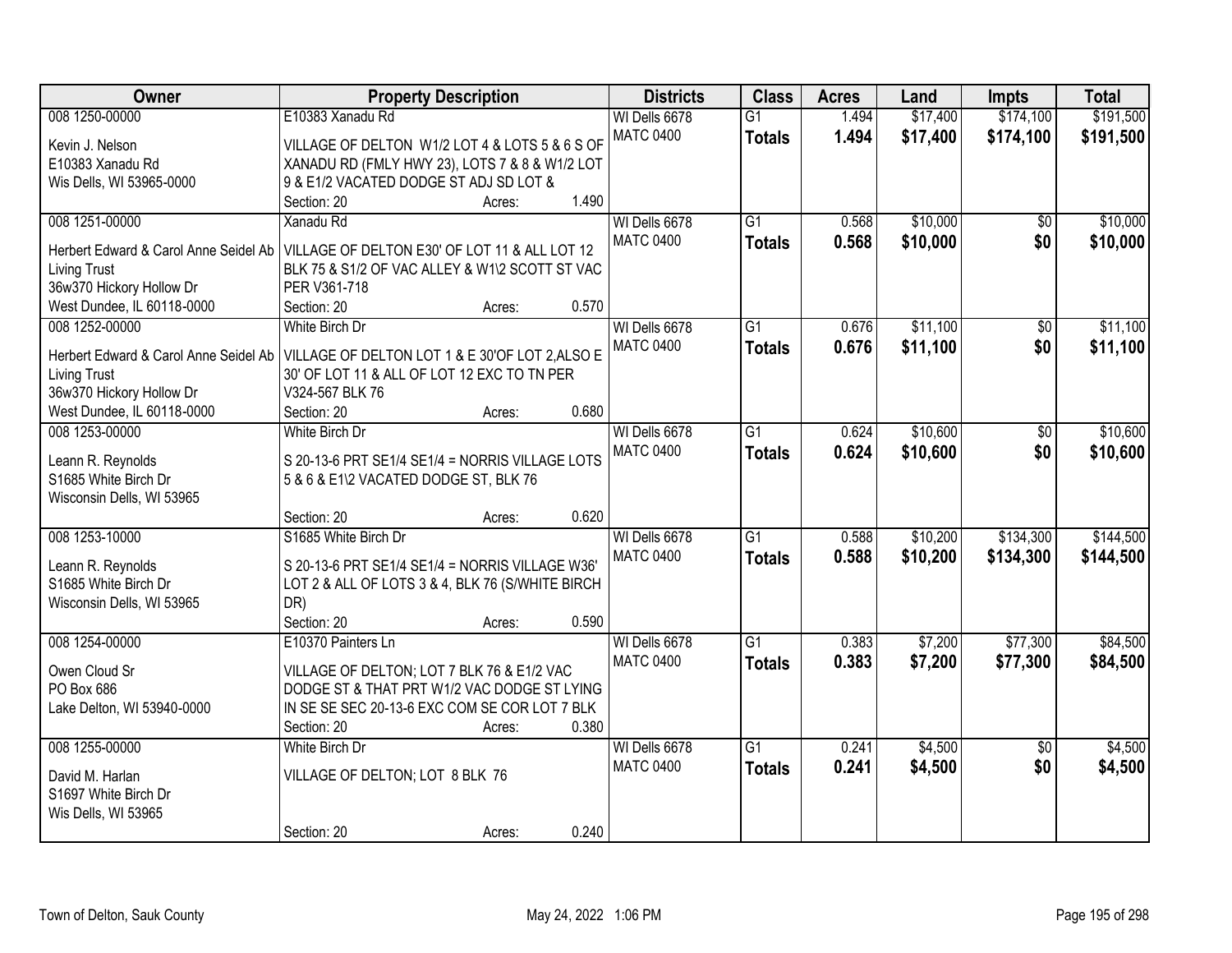| Owner                                 | <b>Property Description</b>                      |        |       | <b>Districts</b> | <b>Class</b>    | <b>Acres</b> | Land     | <b>Impts</b>    | <b>Total</b> |
|---------------------------------------|--------------------------------------------------|--------|-------|------------------|-----------------|--------------|----------|-----------------|--------------|
| 008 1250-00000                        | E10383 Xanadu Rd                                 |        |       | WI Dells 6678    | $\overline{G1}$ | 1.494        | \$17,400 | \$174,100       | \$191,500    |
| Kevin J. Nelson                       | VILLAGE OF DELTON W1/2 LOT 4 & LOTS 5 & 6 S OF   |        |       | <b>MATC 0400</b> | <b>Totals</b>   | 1.494        | \$17,400 | \$174,100       | \$191,500    |
| E10383 Xanadu Rd                      | XANADU RD (FMLY HWY 23), LOTS 7 & 8 & W1/2 LOT   |        |       |                  |                 |              |          |                 |              |
| Wis Dells, WI 53965-0000              | 9 & E1/2 VACATED DODGE ST ADJ SD LOT &           |        |       |                  |                 |              |          |                 |              |
|                                       | Section: 20                                      | Acres: | 1.490 |                  |                 |              |          |                 |              |
| 008 1251-00000                        | Xanadu Rd                                        |        |       | WI Dells 6678    | $\overline{G1}$ | 0.568        | \$10,000 | \$0             | \$10,000     |
|                                       |                                                  |        |       | <b>MATC 0400</b> | <b>Totals</b>   | 0.568        | \$10,000 | \$0             | \$10,000     |
| Herbert Edward & Carol Anne Seidel Ab | VILLAGE OF DELTON E30' OF LOT 11 & ALL LOT 12    |        |       |                  |                 |              |          |                 |              |
| <b>Living Trust</b>                   | BLK 75 & S1/2 OF VAC ALLEY & W1\2 SCOTT ST VAC   |        |       |                  |                 |              |          |                 |              |
| 36w370 Hickory Hollow Dr              | PER V361-718                                     |        |       |                  |                 |              |          |                 |              |
| West Dundee, IL 60118-0000            | Section: 20                                      | Acres: | 0.570 |                  |                 |              |          |                 |              |
| 008 1252-00000                        | White Birch Dr                                   |        |       | WI Dells 6678    | G1              | 0.676        | \$11,100 | \$0             | \$11,100     |
| Herbert Edward & Carol Anne Seidel Ab | VILLAGE OF DELTON LOT 1 & E 30'OF LOT 2, ALSO E  |        |       | <b>MATC 0400</b> | <b>Totals</b>   | 0.676        | \$11,100 | \$0             | \$11,100     |
| <b>Living Trust</b>                   | 30' OF LOT 11 & ALL OF LOT 12 EXC TO TN PER      |        |       |                  |                 |              |          |                 |              |
| 36w370 Hickory Hollow Dr              | V324-567 BLK 76                                  |        |       |                  |                 |              |          |                 |              |
| West Dundee, IL 60118-0000            | Section: 20                                      | Acres: | 0.680 |                  |                 |              |          |                 |              |
| 008 1253-00000                        | White Birch Dr                                   |        |       | WI Dells 6678    | G1              | 0.624        | \$10,600 | \$0             | \$10,600     |
|                                       |                                                  |        |       | <b>MATC 0400</b> | <b>Totals</b>   | 0.624        | \$10,600 | \$0             | \$10,600     |
| Leann R. Reynolds                     | S 20-13-6 PRT SE1/4 SE1/4 = NORRIS VILLAGE LOTS  |        |       |                  |                 |              |          |                 |              |
| S1685 White Birch Dr                  | 5 & 6 & E1\2 VACATED DODGE ST, BLK 76            |        |       |                  |                 |              |          |                 |              |
| Wisconsin Dells, WI 53965             |                                                  |        |       |                  |                 |              |          |                 |              |
|                                       | Section: 20                                      | Acres: | 0.620 |                  |                 |              |          |                 |              |
| 008 1253-10000                        | S1685 White Birch Dr                             |        |       | WI Dells 6678    | $\overline{G1}$ | 0.588        | \$10,200 | \$134,300       | \$144,500    |
| Leann R. Reynolds                     | S 20-13-6 PRT SE1/4 SE1/4 = NORRIS VILLAGE W36'  |        |       | <b>MATC 0400</b> | <b>Totals</b>   | 0.588        | \$10,200 | \$134,300       | \$144,500    |
| S1685 White Birch Dr                  | LOT 2 & ALL OF LOTS 3 & 4, BLK 76 (S/WHITE BIRCH |        |       |                  |                 |              |          |                 |              |
| Wisconsin Dells, WI 53965             | DR)                                              |        |       |                  |                 |              |          |                 |              |
|                                       | Section: 20                                      | Acres: | 0.590 |                  |                 |              |          |                 |              |
| 008 1254-00000                        | E10370 Painters Ln                               |        |       | WI Dells 6678    | $\overline{G1}$ | 0.383        | \$7,200  | \$77,300        | \$84,500     |
|                                       |                                                  |        |       | <b>MATC 0400</b> | <b>Totals</b>   | 0.383        | \$7,200  | \$77,300        | \$84,500     |
| Owen Cloud Sr                         | VILLAGE OF DELTON; LOT 7 BLK 76 & E1/2 VAC       |        |       |                  |                 |              |          |                 |              |
| PO Box 686                            | DODGE ST & THAT PRT W1/2 VAC DODGE ST LYING      |        |       |                  |                 |              |          |                 |              |
| Lake Delton, WI 53940-0000            | IN SE SE SEC 20-13-6 EXC COM SE COR LOT 7 BLK    |        |       |                  |                 |              |          |                 |              |
|                                       | Section: 20                                      | Acres: | 0.380 |                  |                 |              |          |                 |              |
| 008 1255-00000                        | White Birch Dr                                   |        |       | WI Dells 6678    | $\overline{G1}$ | 0.241        | \$4,500  | $\overline{50}$ | \$4,500      |
| David M. Harlan                       | VILLAGE OF DELTON; LOT 8 BLK 76                  |        |       | <b>MATC 0400</b> | <b>Totals</b>   | 0.241        | \$4,500  | \$0             | \$4,500      |
| S1697 White Birch Dr                  |                                                  |        |       |                  |                 |              |          |                 |              |
| Wis Dells, WI 53965                   |                                                  |        |       |                  |                 |              |          |                 |              |
|                                       | Section: 20                                      | Acres: | 0.240 |                  |                 |              |          |                 |              |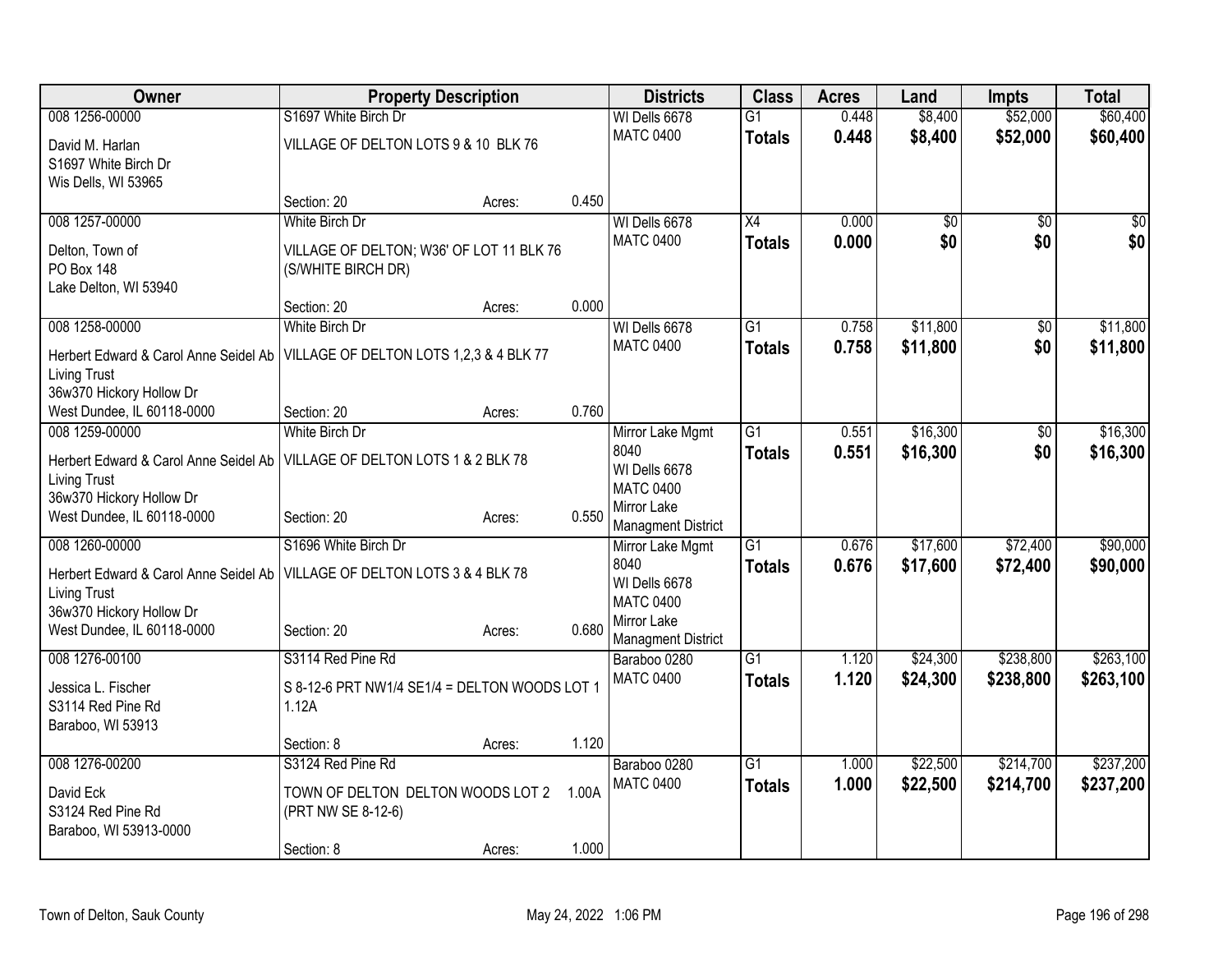| Owner                                                  | <b>Property Description</b>                   |        |       | <b>Districts</b>                  | <b>Class</b>    | <b>Acres</b> | Land     | <b>Impts</b>    | <b>Total</b> |
|--------------------------------------------------------|-----------------------------------------------|--------|-------|-----------------------------------|-----------------|--------------|----------|-----------------|--------------|
| 008 1256-00000                                         | S1697 White Birch Dr                          |        |       | WI Dells 6678                     | $\overline{G1}$ | 0.448        | \$8,400  | \$52,000        | \$60,400     |
| David M. Harlan                                        | VILLAGE OF DELTON LOTS 9 & 10 BLK 76          |        |       | <b>MATC 0400</b>                  | <b>Totals</b>   | 0.448        | \$8,400  | \$52,000        | \$60,400     |
| S1697 White Birch Dr                                   |                                               |        |       |                                   |                 |              |          |                 |              |
| Wis Dells, WI 53965                                    |                                               |        |       |                                   |                 |              |          |                 |              |
|                                                        | Section: 20                                   | Acres: | 0.450 |                                   |                 |              |          |                 |              |
| 008 1257-00000                                         | White Birch Dr                                |        |       | WI Dells 6678                     | $\overline{X4}$ | 0.000        | \$0      | $\overline{50}$ | \$0          |
| Delton, Town of                                        | VILLAGE OF DELTON; W36' OF LOT 11 BLK 76      |        |       | <b>MATC 0400</b>                  | <b>Totals</b>   | 0.000        | \$0      | \$0             | \$0          |
| <b>PO Box 148</b>                                      | (S/WHITE BIRCH DR)                            |        |       |                                   |                 |              |          |                 |              |
| Lake Delton, WI 53940                                  |                                               |        |       |                                   |                 |              |          |                 |              |
|                                                        | Section: 20                                   | Acres: | 0.000 |                                   |                 |              |          |                 |              |
| 008 1258-00000                                         | White Birch Dr                                |        |       | WI Dells 6678                     | G1              | 0.758        | \$11,800 | \$0             | \$11,800     |
| Herbert Edward & Carol Anne Seidel Ab                  | VILLAGE OF DELTON LOTS 1,2,3 & 4 BLK 77       |        |       | <b>MATC 0400</b>                  | <b>Totals</b>   | 0.758        | \$11,800 | \$0             | \$11,800     |
| <b>Living Trust</b>                                    |                                               |        |       |                                   |                 |              |          |                 |              |
| 36w370 Hickory Hollow Dr                               |                                               |        |       |                                   |                 |              |          |                 |              |
| West Dundee, IL 60118-0000<br>008 1259-00000           | Section: 20<br>White Birch Dr                 | Acres: | 0.760 |                                   | $\overline{G1}$ | 0.551        | \$16,300 |                 | \$16,300     |
|                                                        |                                               |        |       | Mirror Lake Mgmt<br>8040          |                 | 0.551        | \$16,300 | \$0<br>\$0      | \$16,300     |
| Herbert Edward & Carol Anne Seidel Ab                  | VILLAGE OF DELTON LOTS 1 & 2 BLK 78           |        |       | WI Dells 6678                     | <b>Totals</b>   |              |          |                 |              |
| <b>Living Trust</b>                                    |                                               |        |       | <b>MATC 0400</b>                  |                 |              |          |                 |              |
| 36w370 Hickory Hollow Dr<br>West Dundee, IL 60118-0000 | Section: 20                                   |        | 0.550 | Mirror Lake                       |                 |              |          |                 |              |
|                                                        |                                               | Acres: |       | <b>Managment District</b>         |                 |              |          |                 |              |
| 008 1260-00000                                         | S1696 White Birch Dr                          |        |       | Mirror Lake Mgmt                  | $\overline{G1}$ | 0.676        | \$17,600 | \$72,400        | \$90,000     |
| Herbert Edward & Carol Anne Seidel Ab                  | VILLAGE OF DELTON LOTS 3 & 4 BLK 78           |        |       | 8040                              | <b>Totals</b>   | 0.676        | \$17,600 | \$72,400        | \$90,000     |
| Living Trust                                           |                                               |        |       | WI Dells 6678<br><b>MATC 0400</b> |                 |              |          |                 |              |
| 36w370 Hickory Hollow Dr                               |                                               |        |       | Mirror Lake                       |                 |              |          |                 |              |
| West Dundee, IL 60118-0000                             | Section: 20                                   | Acres: | 0.680 | <b>Managment District</b>         |                 |              |          |                 |              |
| 008 1276-00100                                         | S3114 Red Pine Rd                             |        |       | Baraboo 0280                      | $\overline{G1}$ | 1.120        | \$24,300 | \$238,800       | \$263,100    |
| Jessica L. Fischer                                     | S 8-12-6 PRT NW1/4 SE1/4 = DELTON WOODS LOT 1 |        |       | <b>MATC 0400</b>                  | <b>Totals</b>   | 1.120        | \$24,300 | \$238,800       | \$263,100    |
| S3114 Red Pine Rd                                      | 1.12A                                         |        |       |                                   |                 |              |          |                 |              |
| Baraboo, WI 53913                                      |                                               |        |       |                                   |                 |              |          |                 |              |
|                                                        | Section: 8                                    | Acres: | 1.120 |                                   |                 |              |          |                 |              |
| 008 1276-00200                                         | S3124 Red Pine Rd                             |        |       | Baraboo 0280                      | $\overline{G1}$ | 1.000        | \$22,500 | \$214,700       | \$237,200    |
| David Eck                                              | TOWN OF DELTON DELTON WOODS LOT 2             |        | 1.00A | <b>MATC 0400</b>                  | <b>Totals</b>   | 1.000        | \$22,500 | \$214,700       | \$237,200    |
| S3124 Red Pine Rd                                      | (PRT NW SE 8-12-6)                            |        |       |                                   |                 |              |          |                 |              |
| Baraboo, WI 53913-0000                                 |                                               |        |       |                                   |                 |              |          |                 |              |
|                                                        | Section: 8                                    | Acres: | 1.000 |                                   |                 |              |          |                 |              |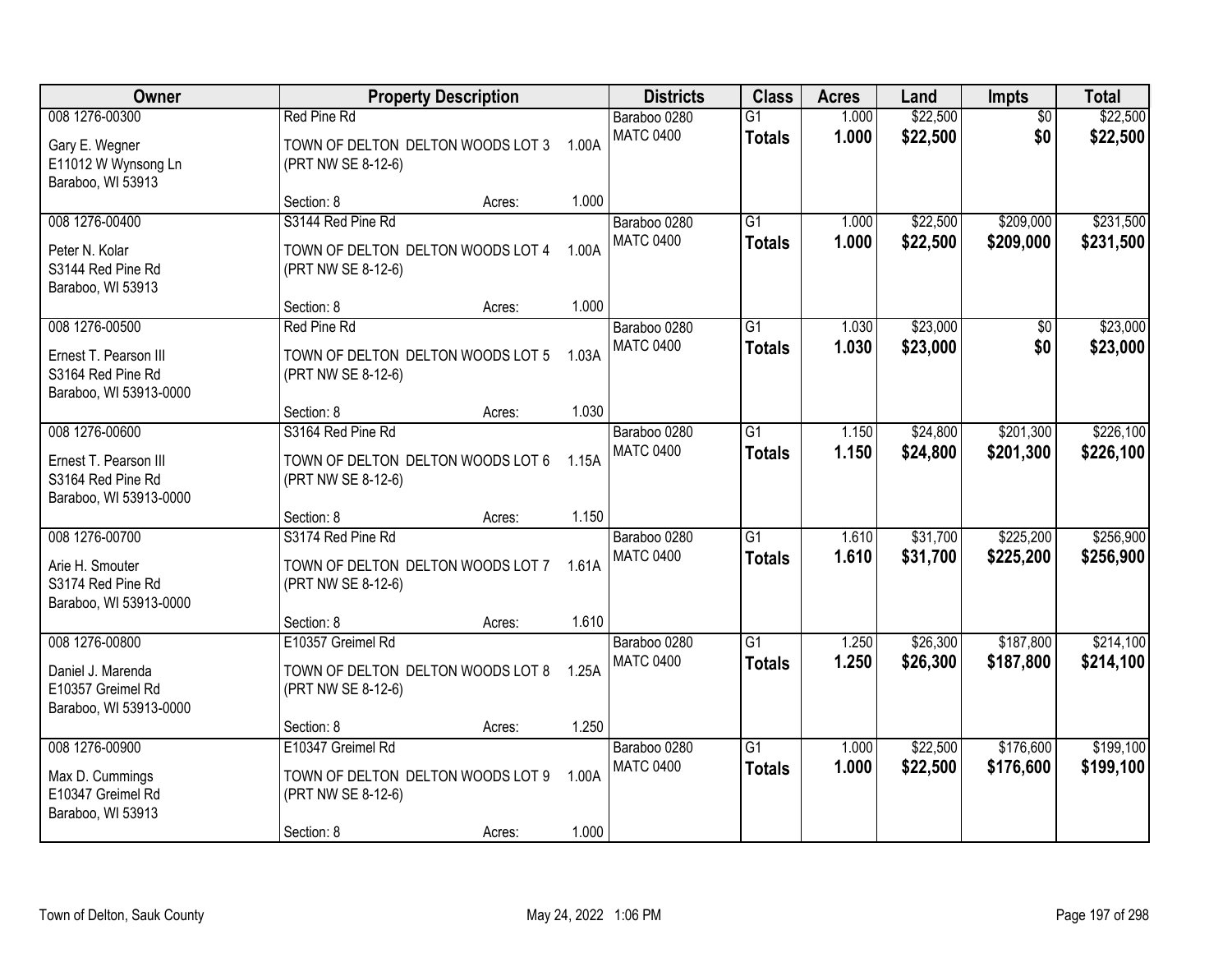| Owner                                                                                  | <b>Property Description</b>                                                                |                          | <b>Districts</b>                 | <b>Class</b>                     | <b>Acres</b>   | Land                 | Impts                  | <b>Total</b>           |
|----------------------------------------------------------------------------------------|--------------------------------------------------------------------------------------------|--------------------------|----------------------------------|----------------------------------|----------------|----------------------|------------------------|------------------------|
| 008 1276-00300<br>Gary E. Wegner<br>E11012 W Wynsong Ln<br>Baraboo, WI 53913           | Red Pine Rd<br>TOWN OF DELTON DELTON WOODS LOT 3<br>(PRT NW SE 8-12-6)                     | 1.00A                    | Baraboo 0280<br><b>MATC 0400</b> | $\overline{G1}$<br><b>Totals</b> | 1.000<br>1.000 | \$22,500<br>\$22,500 | $\overline{50}$<br>\$0 | \$22,500<br>\$22,500   |
|                                                                                        | Section: 8                                                                                 | 1.000<br>Acres:          |                                  |                                  |                |                      |                        |                        |
| 008 1276-00400<br>Peter N. Kolar<br>S3144 Red Pine Rd<br>Baraboo, WI 53913             | S3144 Red Pine Rd<br>TOWN OF DELTON DELTON WOODS LOT 4<br>(PRT NW SE 8-12-6)               | 1.00A                    | Baraboo 0280<br><b>MATC 0400</b> | $\overline{G1}$<br><b>Totals</b> | 1.000<br>1.000 | \$22,500<br>\$22,500 | \$209,000<br>\$209,000 | \$231,500<br>\$231,500 |
|                                                                                        | Section: 8                                                                                 | 1.000<br>Acres:          |                                  |                                  |                |                      |                        |                        |
| 008 1276-00500<br>Ernest T. Pearson III<br>S3164 Red Pine Rd<br>Baraboo, WI 53913-0000 | Red Pine Rd<br>TOWN OF DELTON DELTON WOODS LOT 5<br>(PRT NW SE 8-12-6)                     | 1.03A                    | Baraboo 0280<br><b>MATC 0400</b> | G1<br><b>Totals</b>              | 1.030<br>1.030 | \$23,000<br>\$23,000 | \$0<br>\$0             | \$23,000<br>\$23,000   |
|                                                                                        | Section: 8                                                                                 | 1.030<br>Acres:          |                                  |                                  |                |                      |                        |                        |
| 008 1276-00600<br>Ernest T. Pearson III<br>S3164 Red Pine Rd<br>Baraboo, WI 53913-0000 | S3164 Red Pine Rd<br>TOWN OF DELTON DELTON WOODS LOT 6<br>(PRT NW SE 8-12-6)               | 1.15A                    | Baraboo 0280<br><b>MATC 0400</b> | G1<br><b>Totals</b>              | 1.150<br>1.150 | \$24,800<br>\$24,800 | \$201,300<br>\$201,300 | \$226,100<br>\$226,100 |
|                                                                                        | Section: 8                                                                                 | 1.150<br>Acres:          |                                  |                                  |                |                      |                        |                        |
| 008 1276-00700<br>Arie H. Smouter<br>S3174 Red Pine Rd<br>Baraboo, WI 53913-0000       | S3174 Red Pine Rd<br>TOWN OF DELTON DELTON WOODS LOT 7<br>(PRT NW SE 8-12-6)               | 1.61A                    | Baraboo 0280<br><b>MATC 0400</b> | $\overline{G1}$<br><b>Totals</b> | 1.610<br>1.610 | \$31,700<br>\$31,700 | \$225,200<br>\$225,200 | \$256,900<br>\$256,900 |
|                                                                                        | Section: 8                                                                                 | 1.610<br>Acres:          |                                  |                                  |                |                      |                        |                        |
| 008 1276-00800<br>Daniel J. Marenda<br>E10357 Greimel Rd<br>Baraboo, WI 53913-0000     | E10357 Greimel Rd<br>TOWN OF DELTON DELTON WOODS LOT 8<br>(PRT NW SE 8-12-6)               | 1.25A                    | Baraboo 0280<br><b>MATC 0400</b> | $\overline{G1}$<br><b>Totals</b> | 1.250<br>1.250 | \$26,300<br>\$26,300 | \$187,800<br>\$187,800 | \$214,100<br>\$214,100 |
|                                                                                        | Section: 8                                                                                 | 1.250<br>Acres:          |                                  |                                  |                |                      |                        |                        |
| 008 1276-00900<br>Max D. Cummings<br>E10347 Greimel Rd<br>Baraboo, WI 53913            | E10347 Greimel Rd<br>TOWN OF DELTON DELTON WOODS LOT 9<br>(PRT NW SE 8-12-6)<br>Section: 8 | 1.00A<br>1.000<br>Acres: | Baraboo 0280<br><b>MATC 0400</b> | $\overline{G1}$<br><b>Totals</b> | 1.000<br>1.000 | \$22,500<br>\$22,500 | \$176,600<br>\$176,600 | \$199,100<br>\$199,100 |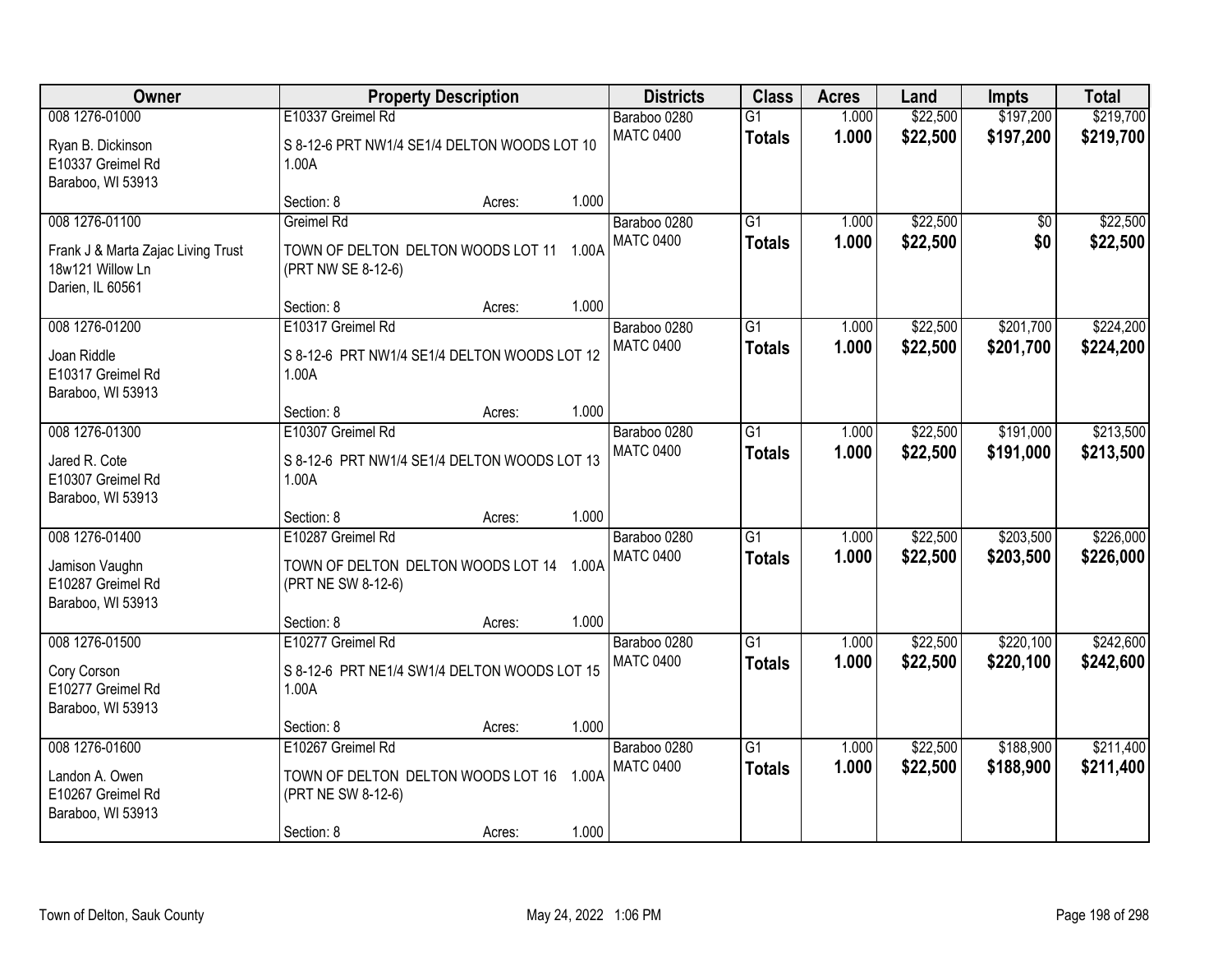| Owner                                                                                        |                                                                                                   | <b>Property Description</b> |       | <b>Districts</b>                 | <b>Class</b>                     | <b>Acres</b>   | Land                 | <b>Impts</b>           | <b>Total</b>           |
|----------------------------------------------------------------------------------------------|---------------------------------------------------------------------------------------------------|-----------------------------|-------|----------------------------------|----------------------------------|----------------|----------------------|------------------------|------------------------|
| 008 1276-01000                                                                               | E10337 Greimel Rd                                                                                 |                             |       | Baraboo 0280                     | $\overline{G1}$                  | 1.000          | \$22,500             | \$197,200              | \$219,700              |
| Ryan B. Dickinson<br>E10337 Greimel Rd<br>Baraboo, WI 53913                                  | S 8-12-6 PRT NW1/4 SE1/4 DELTON WOODS LOT 10<br>1.00A                                             |                             |       | <b>MATC 0400</b>                 | <b>Totals</b>                    | 1.000          | \$22,500             | \$197,200              | \$219,700              |
|                                                                                              | Section: 8                                                                                        | Acres:                      | 1.000 |                                  |                                  |                |                      |                        |                        |
| 008 1276-01100<br>Frank J & Marta Zajac Living Trust<br>18w121 Willow Ln<br>Darien, IL 60561 | Greimel Rd<br>TOWN OF DELTON DELTON WOODS LOT 11 1.00A<br>(PRT NW SE 8-12-6)                      |                             |       | Baraboo 0280<br><b>MATC 0400</b> | $\overline{G1}$<br><b>Totals</b> | 1.000<br>1.000 | \$22,500<br>\$22,500 | \$0<br>\$0             | \$22,500<br>\$22,500   |
|                                                                                              | Section: 8                                                                                        | Acres:                      | 1.000 |                                  |                                  |                |                      |                        |                        |
| 008 1276-01200<br>Joan Riddle<br>E10317 Greimel Rd<br>Baraboo, WI 53913                      | E10317 Greimel Rd<br>S 8-12-6 PRT NW1/4 SE1/4 DELTON WOODS LOT 12<br>1.00A                        |                             |       | Baraboo 0280<br><b>MATC 0400</b> | G1<br><b>Totals</b>              | 1.000<br>1.000 | \$22,500<br>\$22,500 | \$201,700<br>\$201,700 | \$224,200<br>\$224,200 |
|                                                                                              | Section: 8                                                                                        | Acres:                      | 1.000 |                                  |                                  |                |                      |                        |                        |
| 008 1276-01300<br>Jared R. Cote<br>E10307 Greimel Rd                                         | E10307 Greimel Rd<br>S 8-12-6 PRT NW1/4 SE1/4 DELTON WOODS LOT 13<br>1.00A                        |                             |       | Baraboo 0280<br><b>MATC 0400</b> | G1<br><b>Totals</b>              | 1.000<br>1.000 | \$22,500<br>\$22,500 | \$191,000<br>\$191,000 | \$213,500<br>\$213,500 |
| Baraboo, WI 53913                                                                            | Section: 8                                                                                        | Acres:                      | 1.000 |                                  |                                  |                |                      |                        |                        |
| 008 1276-01400<br>Jamison Vaughn<br>E10287 Greimel Rd<br>Baraboo, WI 53913                   | E10287 Greimel Rd<br>TOWN OF DELTON DELTON WOODS LOT 14<br>(PRT NE SW 8-12-6)                     |                             | 1.00A | Baraboo 0280<br><b>MATC 0400</b> | $\overline{G1}$<br><b>Totals</b> | 1.000<br>1.000 | \$22,500<br>\$22,500 | \$203,500<br>\$203,500 | \$226,000<br>\$226,000 |
|                                                                                              | Section: 8                                                                                        | Acres:                      | 1.000 |                                  |                                  |                |                      |                        |                        |
| 008 1276-01500<br>Cory Corson<br>E10277 Greimel Rd<br>Baraboo, WI 53913                      | E10277 Greimel Rd<br>S 8-12-6 PRT NE1/4 SW1/4 DELTON WOODS LOT 15<br>1.00A                        |                             |       | Baraboo 0280<br><b>MATC 0400</b> | $\overline{G1}$<br><b>Totals</b> | 1.000<br>1.000 | \$22,500<br>\$22,500 | \$220,100<br>\$220,100 | \$242,600<br>\$242,600 |
|                                                                                              | Section: 8                                                                                        | Acres:                      | 1.000 |                                  |                                  |                |                      |                        |                        |
| 008 1276-01600<br>Landon A. Owen<br>E10267 Greimel Rd<br>Baraboo, WI 53913                   | E10267 Greimel Rd<br>TOWN OF DELTON DELTON WOODS LOT 16 1.00A<br>(PRT NE SW 8-12-6)<br>Section: 8 | Acres:                      | 1.000 | Baraboo 0280<br><b>MATC 0400</b> | $\overline{G1}$<br><b>Totals</b> | 1.000<br>1.000 | \$22,500<br>\$22,500 | \$188,900<br>\$188,900 | \$211,400<br>\$211,400 |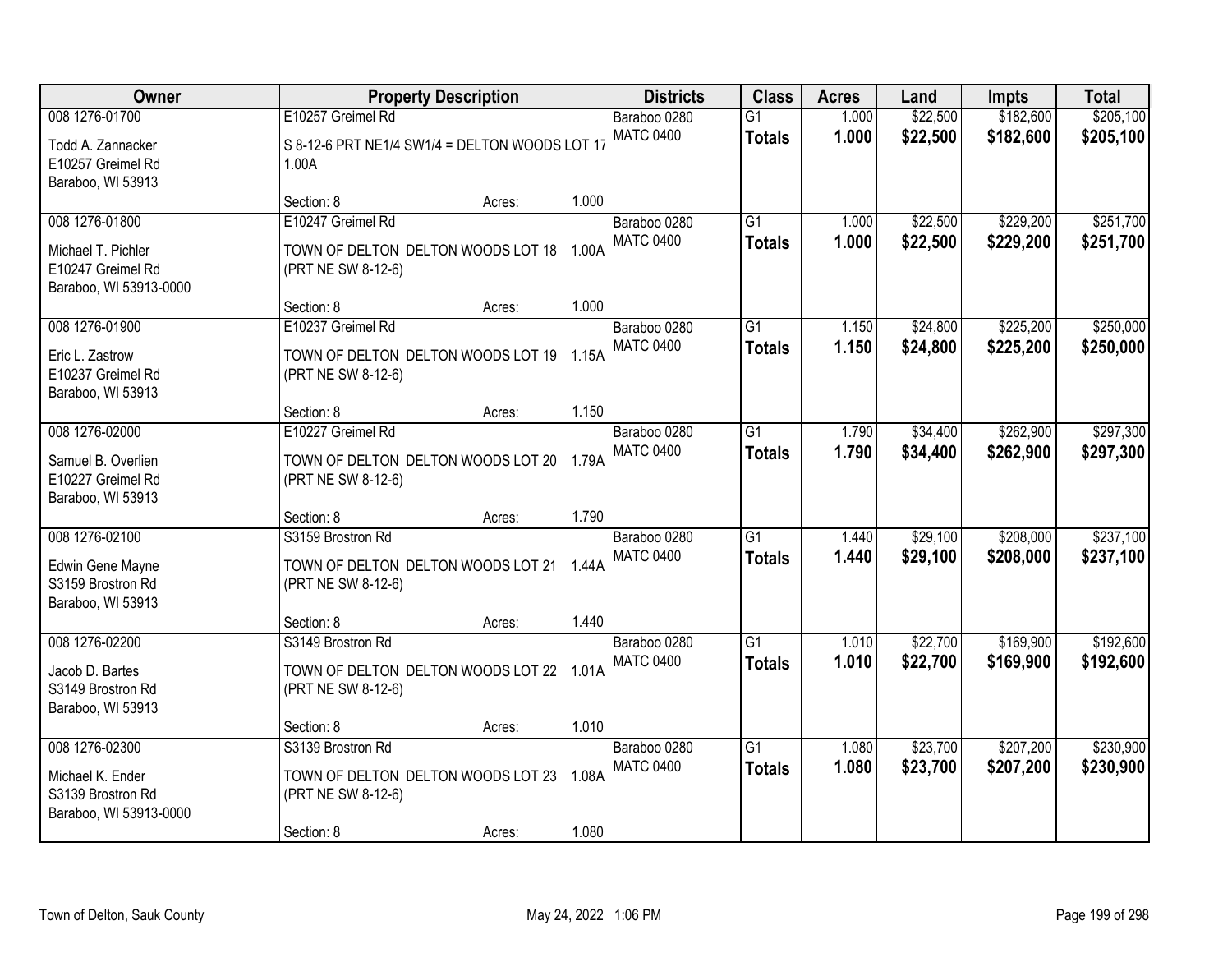| 008 1276-01700<br>E10257 Greimel Rd<br>\$22,500<br>\$182,600<br>Baraboo 0280<br>$\overline{G1}$<br>1.000<br><b>MATC 0400</b><br>1.000<br>\$22,500<br>\$182,600<br><b>Totals</b><br>S 8-12-6 PRT NE1/4 SW1/4 = DELTON WOODS LOT 17<br>Todd A. Zannacker<br>E10257 Greimel Rd<br>1.00A<br>Baraboo, WI 53913<br>1.000<br>Section: 8<br>Acres:<br>\$22,500<br>\$229,200<br>008 1276-01800<br>E10247 Greimel Rd<br>$\overline{G1}$<br>Baraboo 0280<br>1.000<br><b>MATC 0400</b><br>1.000<br>\$22,500<br>\$229,200<br><b>Totals</b><br>TOWN OF DELTON DELTON WOODS LOT 18 1.00A<br>Michael T. Pichler<br>E10247 Greimel Rd<br>(PRT NE SW 8-12-6)<br>Baraboo, WI 53913-0000<br>1.000<br>Section: 8<br>Acres:<br>008 1276-01900<br>E10237 Greimel Rd<br>$\overline{G1}$<br>\$24,800<br>\$225,200<br>Baraboo 0280<br>1.150<br><b>MATC 0400</b><br>1.150<br>\$24,800<br>\$225,200<br><b>Totals</b><br>TOWN OF DELTON DELTON WOODS LOT 19 1.15A<br>Eric L. Zastrow<br>E10237 Greimel Rd<br>(PRT NE SW 8-12-6) | <b>Total</b>           |
|----------------------------------------------------------------------------------------------------------------------------------------------------------------------------------------------------------------------------------------------------------------------------------------------------------------------------------------------------------------------------------------------------------------------------------------------------------------------------------------------------------------------------------------------------------------------------------------------------------------------------------------------------------------------------------------------------------------------------------------------------------------------------------------------------------------------------------------------------------------------------------------------------------------------------------------------------------------------------------------------------|------------------------|
|                                                                                                                                                                                                                                                                                                                                                                                                                                                                                                                                                                                                                                                                                                                                                                                                                                                                                                                                                                                                    | \$205,100<br>\$205,100 |
|                                                                                                                                                                                                                                                                                                                                                                                                                                                                                                                                                                                                                                                                                                                                                                                                                                                                                                                                                                                                    |                        |
|                                                                                                                                                                                                                                                                                                                                                                                                                                                                                                                                                                                                                                                                                                                                                                                                                                                                                                                                                                                                    | \$251,700<br>\$251,700 |
| Baraboo, WI 53913                                                                                                                                                                                                                                                                                                                                                                                                                                                                                                                                                                                                                                                                                                                                                                                                                                                                                                                                                                                  | \$250,000<br>\$250,000 |
| 1.150<br>Section: 8<br>Acres:<br>008 1276-02000<br>\$262,900<br>E10227 Greimel Rd<br>Baraboo 0280<br>$\overline{G1}$<br>\$34,400<br>1.790                                                                                                                                                                                                                                                                                                                                                                                                                                                                                                                                                                                                                                                                                                                                                                                                                                                          | \$297,300              |
| <b>MATC 0400</b><br>1.790<br>\$34,400<br>\$262,900<br><b>Totals</b><br>TOWN OF DELTON DELTON WOODS LOT 20 1.79A<br>Samuel B. Overlien<br>E10227 Greimel Rd<br>(PRT NE SW 8-12-6)<br>Baraboo, WI 53913                                                                                                                                                                                                                                                                                                                                                                                                                                                                                                                                                                                                                                                                                                                                                                                              | \$297,300              |
| 1.790<br>Section: 8<br>Acres:                                                                                                                                                                                                                                                                                                                                                                                                                                                                                                                                                                                                                                                                                                                                                                                                                                                                                                                                                                      |                        |
| 008 1276-02100<br>S3159 Brostron Rd<br>$\overline{G1}$<br>\$29,100<br>\$208,000<br>Baraboo 0280<br>1.440<br><b>MATC 0400</b><br>1.440<br>\$29,100<br>\$208,000<br><b>Totals</b><br>TOWN OF DELTON DELTON WOODS LOT 21 1.44A<br>Edwin Gene Mayne<br>S3159 Brostron Rd<br>(PRT NE SW 8-12-6)<br>Baraboo, WI 53913                                                                                                                                                                                                                                                                                                                                                                                                                                                                                                                                                                                                                                                                                    | \$237,100<br>\$237,100 |
| 1.440<br>Section: 8<br>Acres:                                                                                                                                                                                                                                                                                                                                                                                                                                                                                                                                                                                                                                                                                                                                                                                                                                                                                                                                                                      |                        |
| $\overline{G1}$<br>\$22,700<br>\$169,900<br>008 1276-02200<br>S3149 Brostron Rd<br>Baraboo 0280<br>1.010<br>1.010<br>\$22,700<br><b>MATC 0400</b><br>\$169,900<br><b>Totals</b><br>TOWN OF DELTON DELTON WOODS LOT 22 1.01A<br>Jacob D. Bartes<br>S3149 Brostron Rd<br>(PRT NE SW 8-12-6)<br>Baraboo, WI 53913                                                                                                                                                                                                                                                                                                                                                                                                                                                                                                                                                                                                                                                                                     | \$192,600<br>\$192,600 |
| 1.010<br>Section: 8<br>Acres:                                                                                                                                                                                                                                                                                                                                                                                                                                                                                                                                                                                                                                                                                                                                                                                                                                                                                                                                                                      |                        |
| $\overline{G1}$<br>\$23,700<br>\$207,200<br>008 1276-02300<br>S3139 Brostron Rd<br>1.080<br>Baraboo 0280<br><b>MATC 0400</b><br>1.080<br>\$23,700<br>\$207,200<br><b>Totals</b><br>TOWN OF DELTON DELTON WOODS LOT 23 1.08A<br>Michael K. Ender<br>S3139 Brostron Rd<br>(PRT NE SW 8-12-6)<br>Baraboo, WI 53913-0000<br>1.080<br>Section: 8<br>Acres:                                                                                                                                                                                                                                                                                                                                                                                                                                                                                                                                                                                                                                              | \$230,900<br>\$230,900 |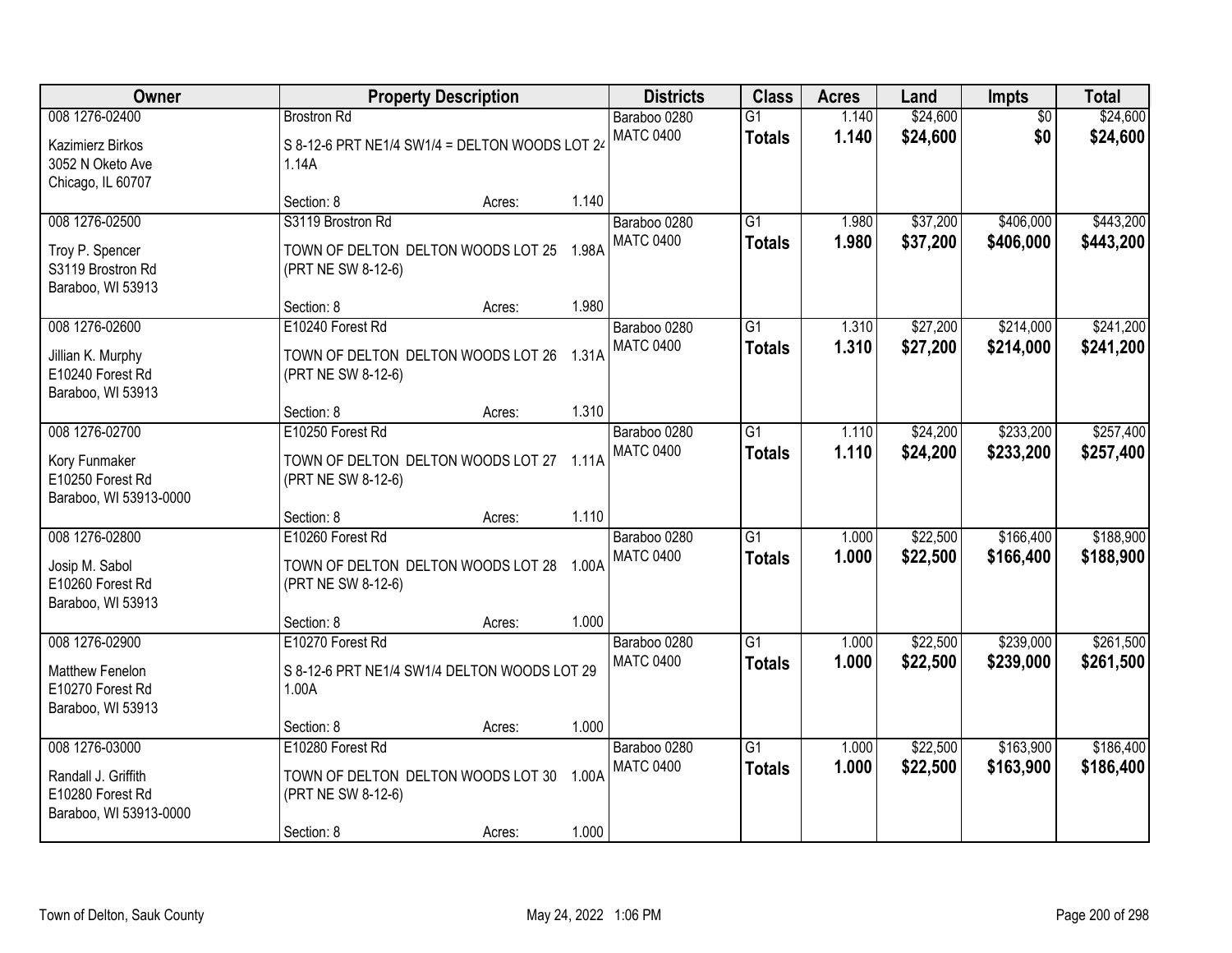| Owner                                                                               | <b>Property Description</b>                                                                      |        | <b>Districts</b> | <b>Class</b>                     | <b>Acres</b>                     | Land           | Impts                | <b>Total</b>           |                        |
|-------------------------------------------------------------------------------------|--------------------------------------------------------------------------------------------------|--------|------------------|----------------------------------|----------------------------------|----------------|----------------------|------------------------|------------------------|
| 008 1276-02400<br>Kazimierz Birkos<br>3052 N Oketo Ave<br>Chicago, IL 60707         | <b>Brostron Rd</b><br>S 8-12-6 PRT NE1/4 SW1/4 = DELTON WOODS LOT 24<br>1.14A                    |        |                  | Baraboo 0280<br><b>MATC 0400</b> | $\overline{G1}$<br><b>Totals</b> | 1.140<br>1.140 | \$24,600<br>\$24,600 | $\overline{50}$<br>\$0 | \$24,600<br>\$24,600   |
|                                                                                     | Section: 8                                                                                       | Acres: | 1.140            |                                  |                                  |                |                      |                        |                        |
| 008 1276-02500<br>Troy P. Spencer<br>S3119 Brostron Rd<br>Baraboo, WI 53913         | S3119 Brostron Rd<br>TOWN OF DELTON DELTON WOODS LOT 25 1.98A<br>(PRT NE SW 8-12-6)              |        |                  | Baraboo 0280<br><b>MATC 0400</b> | $\overline{G1}$<br><b>Totals</b> | 1.980<br>1.980 | \$37,200<br>\$37,200 | \$406,000<br>\$406,000 | \$443,200<br>\$443,200 |
|                                                                                     | Section: 8                                                                                       | Acres: | 1.980            |                                  |                                  |                |                      |                        |                        |
| 008 1276-02600<br>Jillian K. Murphy<br>E10240 Forest Rd<br>Baraboo, WI 53913        | E10240 Forest Rd<br>TOWN OF DELTON DELTON WOODS LOT 26 1.31A<br>(PRT NE SW 8-12-6)               |        |                  | Baraboo 0280<br><b>MATC 0400</b> | G1<br><b>Totals</b>              | 1.310<br>1.310 | \$27,200<br>\$27,200 | \$214,000<br>\$214,000 | \$241,200<br>\$241,200 |
|                                                                                     | Section: 8                                                                                       | Acres: | 1.310            |                                  |                                  |                |                      |                        |                        |
| 008 1276-02700<br>Kory Funmaker<br>E10250 Forest Rd<br>Baraboo, WI 53913-0000       | E10250 Forest Rd<br>TOWN OF DELTON DELTON WOODS LOT 27 1.11A<br>(PRT NE SW 8-12-6)               |        |                  | Baraboo 0280<br><b>MATC 0400</b> | G1<br><b>Totals</b>              | 1.110<br>1.110 | \$24,200<br>\$24,200 | \$233,200<br>\$233,200 | \$257,400<br>\$257,400 |
|                                                                                     | Section: 8                                                                                       | Acres: | 1.110            |                                  |                                  |                |                      |                        |                        |
| 008 1276-02800<br>Josip M. Sabol<br>E10260 Forest Rd<br>Baraboo, WI 53913           | E10260 Forest Rd<br>TOWN OF DELTON DELTON WOODS LOT 28 1.00A<br>(PRT NE SW 8-12-6)               |        |                  | Baraboo 0280<br><b>MATC 0400</b> | $\overline{G1}$<br><b>Totals</b> | 1.000<br>1.000 | \$22,500<br>\$22,500 | \$166,400<br>\$166,400 | \$188,900<br>\$188,900 |
|                                                                                     | Section: 8                                                                                       | Acres: | 1.000            |                                  |                                  |                |                      |                        |                        |
| 008 1276-02900<br>Matthew Fenelon<br>E10270 Forest Rd<br>Baraboo, WI 53913          | E10270 Forest Rd<br>S 8-12-6 PRT NE1/4 SW1/4 DELTON WOODS LOT 29<br>1.00A                        |        |                  | Baraboo 0280<br><b>MATC 0400</b> | $\overline{G1}$<br><b>Totals</b> | 1.000<br>1.000 | \$22,500<br>\$22,500 | \$239,000<br>\$239,000 | \$261,500<br>\$261,500 |
|                                                                                     | Section: 8                                                                                       | Acres: | 1.000            |                                  |                                  |                |                      |                        |                        |
| 008 1276-03000<br>Randall J. Griffith<br>E10280 Forest Rd<br>Baraboo, WI 53913-0000 | E10280 Forest Rd<br>TOWN OF DELTON DELTON WOODS LOT 30 1.00A<br>(PRT NE SW 8-12-6)<br>Section: 8 | Acres: | 1.000            | Baraboo 0280<br><b>MATC 0400</b> | $\overline{G1}$<br><b>Totals</b> | 1.000<br>1.000 | \$22,500<br>\$22,500 | \$163,900<br>\$163,900 | \$186,400<br>\$186,400 |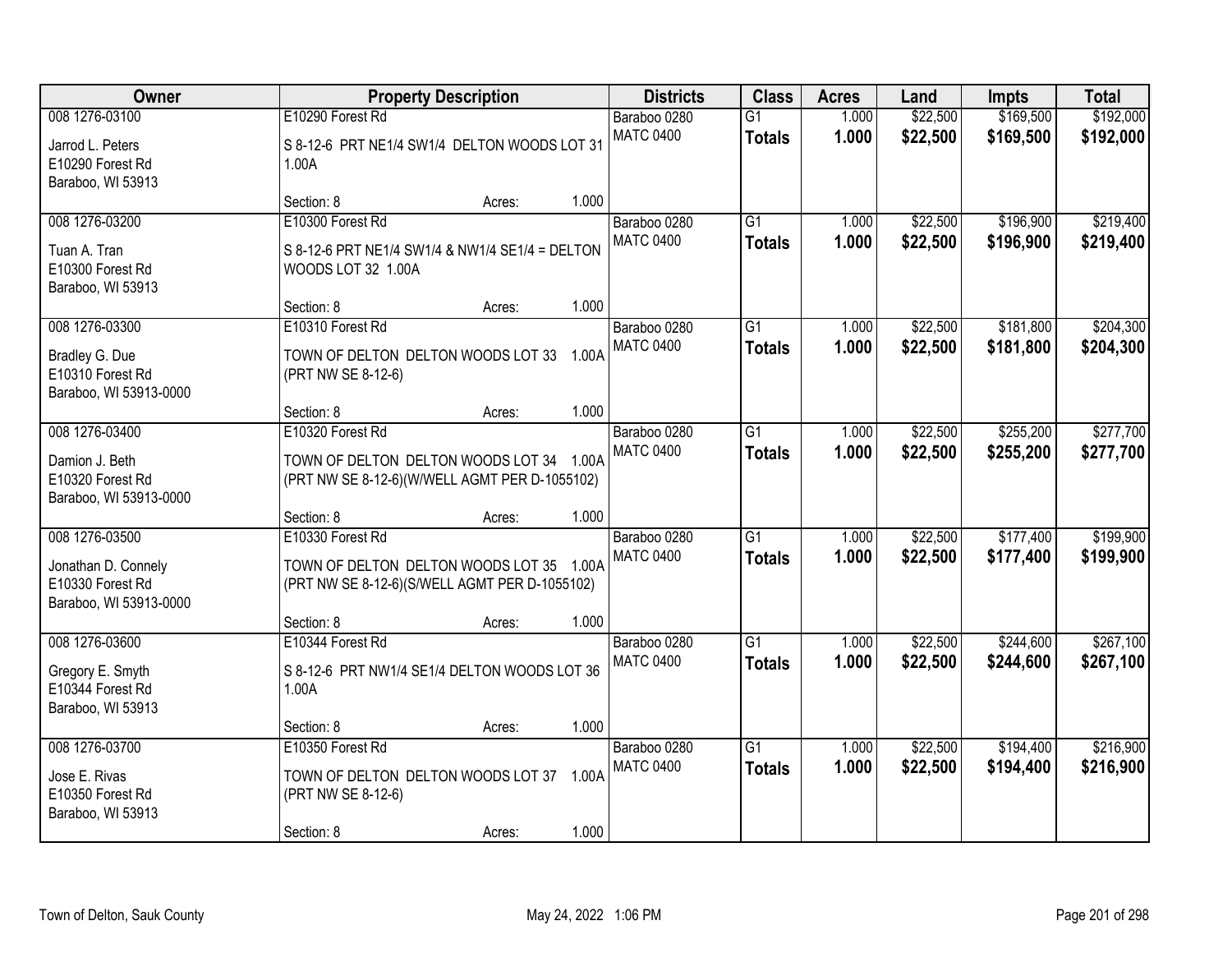| Owner                                                                               |                                                                                                                             | <b>Property Description</b> |       | <b>Districts</b>                 | <b>Class</b>                     | <b>Acres</b>   | Land                 | <b>Impts</b>           | <b>Total</b>           |
|-------------------------------------------------------------------------------------|-----------------------------------------------------------------------------------------------------------------------------|-----------------------------|-------|----------------------------------|----------------------------------|----------------|----------------------|------------------------|------------------------|
| 008 1276-03100<br>Jarrod L. Peters<br>E10290 Forest Rd<br>Baraboo, WI 53913         | E10290 Forest Rd<br>S 8-12-6 PRT NE1/4 SW1/4 DELTON WOODS LOT 31<br>1.00A                                                   |                             |       | Baraboo 0280<br><b>MATC 0400</b> | $\overline{G1}$<br><b>Totals</b> | 1.000<br>1.000 | \$22,500<br>\$22,500 | \$169,500<br>\$169,500 | \$192,000<br>\$192,000 |
|                                                                                     | Section: 8                                                                                                                  | Acres:                      | 1.000 |                                  |                                  |                |                      |                        |                        |
| 008 1276-03200<br>Tuan A. Tran<br>E10300 Forest Rd<br>Baraboo, WI 53913             | E10300 Forest Rd<br>S 8-12-6 PRT NE1/4 SW1/4 & NW1/4 SE1/4 = DELTON<br>WOODS LOT 32 1.00A                                   |                             |       | Baraboo 0280<br><b>MATC 0400</b> | $\overline{G1}$<br><b>Totals</b> | 1.000<br>1.000 | \$22,500<br>\$22,500 | \$196,900<br>\$196,900 | \$219,400<br>\$219,400 |
|                                                                                     | Section: 8                                                                                                                  | Acres:                      | 1.000 |                                  |                                  |                |                      |                        |                        |
| 008 1276-03300<br>Bradley G. Due<br>E10310 Forest Rd<br>Baraboo, WI 53913-0000      | E10310 Forest Rd<br>TOWN OF DELTON DELTON WOODS LOT 33 1.00A<br>(PRT NW SE 8-12-6)                                          |                             |       | Baraboo 0280<br><b>MATC 0400</b> | G1<br><b>Totals</b>              | 1.000<br>1.000 | \$22,500<br>\$22,500 | \$181,800<br>\$181,800 | \$204,300<br>\$204,300 |
|                                                                                     | Section: 8                                                                                                                  | Acres:                      | 1.000 |                                  |                                  |                |                      |                        |                        |
| 008 1276-03400<br>Damion J. Beth<br>E10320 Forest Rd<br>Baraboo, WI 53913-0000      | E10320 Forest Rd<br>TOWN OF DELTON DELTON WOODS LOT 34 1.00A<br>(PRT NW SE 8-12-6)(W/WELL AGMT PER D-1055102)               |                             |       | Baraboo 0280<br><b>MATC 0400</b> | G1<br><b>Totals</b>              | 1.000<br>1.000 | \$22,500<br>\$22,500 | \$255,200<br>\$255,200 | \$277,700<br>\$277,700 |
|                                                                                     | Section: 8                                                                                                                  | Acres:                      | 1.000 |                                  |                                  |                |                      |                        |                        |
| 008 1276-03500<br>Jonathan D. Connely<br>E10330 Forest Rd<br>Baraboo, WI 53913-0000 | E10330 Forest Rd<br>TOWN OF DELTON DELTON WOODS LOT 35 1.00A<br>(PRT NW SE 8-12-6)(S/WELL AGMT PER D-1055102)<br>Section: 8 | Acres:                      | 1.000 | Baraboo 0280<br><b>MATC 0400</b> | $\overline{G1}$<br><b>Totals</b> | 1.000<br>1.000 | \$22,500<br>\$22,500 | \$177,400<br>\$177,400 | \$199,900<br>\$199,900 |
| 008 1276-03600<br>Gregory E. Smyth<br>E10344 Forest Rd<br>Baraboo, WI 53913         | E10344 Forest Rd<br>S 8-12-6 PRT NW1/4 SE1/4 DELTON WOODS LOT 36<br>1.00A                                                   |                             | 1.000 | Baraboo 0280<br><b>MATC 0400</b> | $\overline{G1}$<br><b>Totals</b> | 1.000<br>1.000 | \$22,500<br>\$22,500 | \$244,600<br>\$244,600 | \$267,100<br>\$267,100 |
| 008 1276-03700                                                                      | Section: 8<br>E10350 Forest Rd                                                                                              | Acres:                      |       | Baraboo 0280                     | $\overline{G1}$                  | 1.000          | \$22,500             | \$194,400              | \$216,900              |
| Jose E. Rivas<br>E10350 Forest Rd<br>Baraboo, WI 53913                              | TOWN OF DELTON DELTON WOODS LOT 37 1.00A<br>(PRT NW SE 8-12-6)<br>Section: 8                                                |                             | 1.000 | <b>MATC 0400</b>                 | <b>Totals</b>                    | 1.000          | \$22,500             | \$194,400              | \$216,900              |
|                                                                                     |                                                                                                                             | Acres:                      |       |                                  |                                  |                |                      |                        |                        |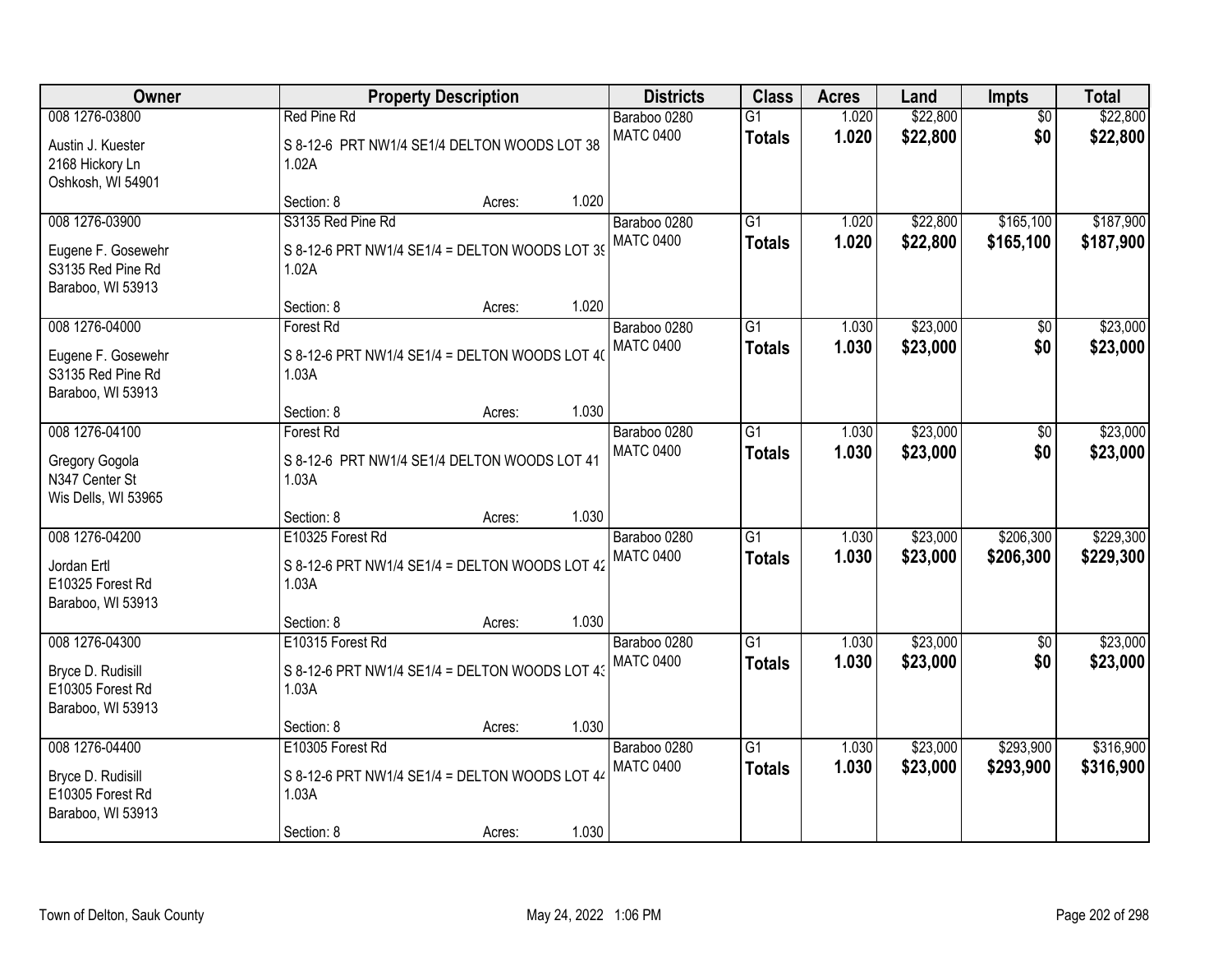| Owner                                                                          | <b>Property Description</b>                                                               |        |       | <b>Districts</b>                 | <b>Class</b>                     | <b>Acres</b>   | Land                 | Impts                  | <b>Total</b>           |
|--------------------------------------------------------------------------------|-------------------------------------------------------------------------------------------|--------|-------|----------------------------------|----------------------------------|----------------|----------------------|------------------------|------------------------|
| 008 1276-03800<br>Austin J. Kuester<br>2168 Hickory Ln<br>Oshkosh, WI 54901    | <b>Red Pine Rd</b><br>S 8-12-6 PRT NW1/4 SE1/4 DELTON WOODS LOT 38<br>1.02A               |        |       | Baraboo 0280<br><b>MATC 0400</b> | $\overline{G1}$<br><b>Totals</b> | 1.020<br>1.020 | \$22,800<br>\$22,800 | $\overline{50}$<br>\$0 | \$22,800<br>\$22,800   |
|                                                                                | Section: 8                                                                                | Acres: | 1.020 |                                  |                                  |                |                      |                        |                        |
| 008 1276-03900<br>Eugene F. Gosewehr<br>S3135 Red Pine Rd<br>Baraboo, WI 53913 | S3135 Red Pine Rd<br>S 8-12-6 PRT NW1/4 SE1/4 = DELTON WOODS LOT 39<br>1.02A              |        |       | Baraboo 0280<br><b>MATC 0400</b> | $\overline{G1}$<br><b>Totals</b> | 1.020<br>1.020 | \$22,800<br>\$22,800 | \$165,100<br>\$165,100 | \$187,900<br>\$187,900 |
| 008 1276-04000                                                                 | Section: 8                                                                                | Acres: | 1.020 |                                  | G1                               |                | \$23,000             |                        | \$23,000               |
| Eugene F. Gosewehr<br>S3135 Red Pine Rd<br>Baraboo, WI 53913                   | <b>Forest Rd</b><br>S 8-12-6 PRT NW1/4 SE1/4 = DELTON WOODS LOT 40<br>1.03A               |        |       | Baraboo 0280<br><b>MATC 0400</b> | <b>Totals</b>                    | 1.030<br>1.030 | \$23,000             | \$0<br>\$0             | \$23,000               |
|                                                                                | Section: 8                                                                                | Acres: | 1.030 |                                  |                                  |                |                      |                        |                        |
| 008 1276-04100<br>Gregory Gogola<br>N347 Center St<br>Wis Dells, WI 53965      | Forest Rd<br>S 8-12-6 PRT NW1/4 SE1/4 DELTON WOODS LOT 41<br>1.03A                        |        |       | Baraboo 0280<br><b>MATC 0400</b> | G1<br><b>Totals</b>              | 1.030<br>1.030 | \$23,000<br>\$23,000 | \$0<br>\$0             | \$23,000<br>\$23,000   |
|                                                                                | Section: 8                                                                                | Acres: | 1.030 |                                  |                                  |                |                      |                        |                        |
| 008 1276-04200<br>Jordan Ertl<br>E10325 Forest Rd<br>Baraboo, WI 53913         | E10325 Forest Rd<br>S 8-12-6 PRT NW1/4 SE1/4 = DELTON WOODS LOT 42<br>1.03A               |        |       | Baraboo 0280<br><b>MATC 0400</b> | $\overline{G1}$<br><b>Totals</b> | 1.030<br>1.030 | \$23,000<br>\$23,000 | \$206,300<br>\$206,300 | \$229,300<br>\$229,300 |
| 008 1276-04300                                                                 | Section: 8<br>E10315 Forest Rd                                                            | Acres: | 1.030 | Baraboo 0280                     | $\overline{G1}$                  | 1.030          | \$23,000             | $\overline{50}$        | \$23,000               |
| Bryce D. Rudisill<br>E10305 Forest Rd<br>Baraboo, WI 53913                     | S 8-12-6 PRT NW1/4 SE1/4 = DELTON WOODS LOT 43<br>1.03A                                   |        |       | <b>MATC 0400</b>                 | <b>Totals</b>                    | 1.030          | \$23,000             | \$0                    | \$23,000               |
|                                                                                | Section: 8                                                                                | Acres: | 1.030 |                                  |                                  |                |                      |                        |                        |
| 008 1276-04400<br>Bryce D. Rudisill<br>E10305 Forest Rd<br>Baraboo, WI 53913   | E10305 Forest Rd<br>S 8-12-6 PRT NW1/4 SE1/4 = DELTON WOODS LOT 44<br>1.03A<br>Section: 8 | Acres: | 1.030 | Baraboo 0280<br><b>MATC 0400</b> | $\overline{G1}$<br><b>Totals</b> | 1.030<br>1.030 | \$23,000<br>\$23,000 | \$293,900<br>\$293,900 | \$316,900<br>\$316,900 |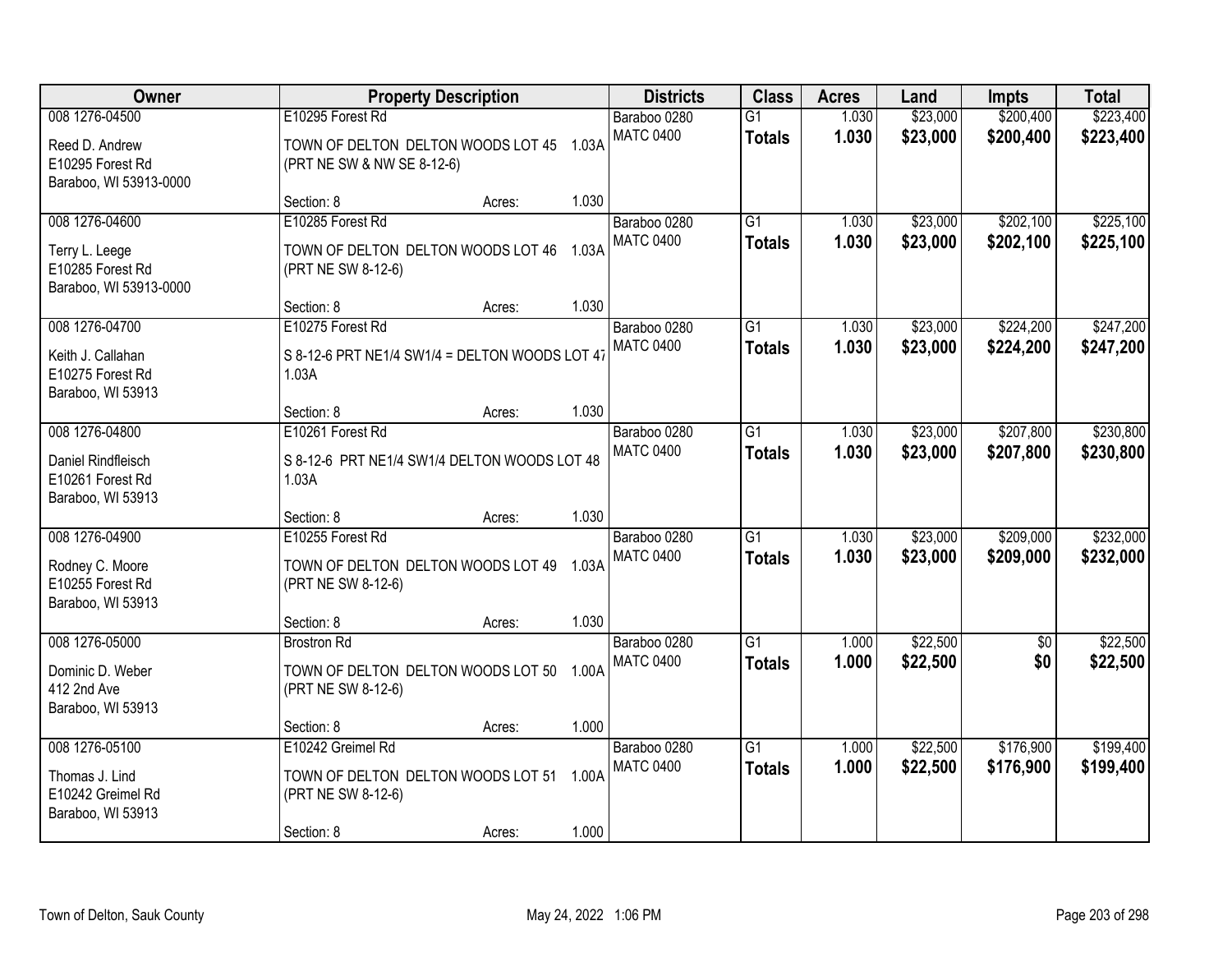| Owner<br><b>Property Description</b>                                           |                                                                                            |        | <b>Districts</b> | <b>Class</b>                     | <b>Acres</b>                     | Land           | <b>Impts</b>         | <b>Total</b>           |                        |
|--------------------------------------------------------------------------------|--------------------------------------------------------------------------------------------|--------|------------------|----------------------------------|----------------------------------|----------------|----------------------|------------------------|------------------------|
| 008 1276-04500<br>Reed D. Andrew<br>E10295 Forest Rd                           | E10295 Forest Rd<br>TOWN OF DELTON DELTON WOODS LOT 45 1.03A<br>(PRT NE SW & NW SE 8-12-6) |        |                  | Baraboo 0280<br><b>MATC 0400</b> | $\overline{G1}$<br><b>Totals</b> | 1.030<br>1.030 | \$23,000<br>\$23,000 | \$200,400<br>\$200,400 | \$223,400<br>\$223,400 |
| Baraboo, WI 53913-0000                                                         | Section: 8                                                                                 | Acres: | 1.030            |                                  |                                  |                |                      |                        |                        |
| 008 1276-04600<br>Terry L. Leege<br>E10285 Forest Rd<br>Baraboo, WI 53913-0000 | E10285 Forest Rd<br>TOWN OF DELTON DELTON WOODS LOT 46<br>(PRT NE SW 8-12-6)               |        | 1.03A            | Baraboo 0280<br><b>MATC 0400</b> | $\overline{G1}$<br><b>Totals</b> | 1.030<br>1.030 | \$23,000<br>\$23,000 | \$202,100<br>\$202,100 | \$225,100<br>\$225,100 |
| 008 1276-04700<br>Keith J. Callahan                                            | Section: 8<br>E10275 Forest Rd<br>S 8-12-6 PRT NE1/4 SW1/4 = DELTON WOODS LOT 47           | Acres: | 1.030            | Baraboo 0280<br><b>MATC 0400</b> | G1<br><b>Totals</b>              | 1.030<br>1.030 | \$23,000<br>\$23,000 | \$224,200<br>\$224,200 | \$247,200<br>\$247,200 |
| E10275 Forest Rd<br>Baraboo, WI 53913                                          | 1.03A<br>Section: 8                                                                        | Acres: | 1.030            |                                  |                                  |                |                      |                        |                        |
| 008 1276-04800<br>Daniel Rindfleisch<br>E10261 Forest Rd<br>Baraboo, WI 53913  | E10261 Forest Rd<br>S 8-12-6 PRT NE1/4 SW1/4 DELTON WOODS LOT 48<br>1.03A                  |        |                  | Baraboo 0280<br><b>MATC 0400</b> | $\overline{G1}$<br><b>Totals</b> | 1.030<br>1.030 | \$23,000<br>\$23,000 | \$207,800<br>\$207,800 | \$230,800<br>\$230,800 |
| 008 1276-04900                                                                 | Section: 8<br>E10255 Forest Rd                                                             | Acres: | 1.030            | Baraboo 0280                     | $\overline{G1}$                  | 1.030          | \$23,000             | \$209,000              | \$232,000              |
| Rodney C. Moore<br>E10255 Forest Rd<br>Baraboo, WI 53913                       | TOWN OF DELTON DELTON WOODS LOT 49 1.03A<br>(PRT NE SW 8-12-6)                             |        |                  | <b>MATC 0400</b>                 | <b>Totals</b>                    | 1.030          | \$23,000             | \$209,000              | \$232,000              |
| 008 1276-05000                                                                 | Section: 8<br><b>Brostron Rd</b>                                                           | Acres: | 1.030            | Baraboo 0280                     | $\overline{G1}$                  | 1.000          | \$22,500             | $\sqrt{6}$             | \$22,500               |
| Dominic D. Weber<br>412 2nd Ave<br>Baraboo, WI 53913                           | TOWN OF DELTON DELTON WOODS LOT 50<br>(PRT NE SW 8-12-6)                                   |        | 1.00A            | <b>MATC 0400</b>                 | <b>Totals</b>                    | 1.000          | \$22,500             | \$0                    | \$22,500               |
|                                                                                | Section: 8                                                                                 | Acres: | 1.000            |                                  |                                  |                |                      |                        |                        |
| 008 1276-05100<br>Thomas J. Lind<br>E10242 Greimel Rd<br>Baraboo, WI 53913     | E10242 Greimel Rd<br>TOWN OF DELTON DELTON WOODS LOT 51 1.00A<br>(PRT NE SW 8-12-6)        |        |                  | Baraboo 0280<br><b>MATC 0400</b> | $\overline{G1}$<br><b>Totals</b> | 1.000<br>1.000 | \$22,500<br>\$22,500 | \$176,900<br>\$176,900 | \$199,400<br>\$199,400 |
|                                                                                | Section: 8                                                                                 | Acres: | 1.000            |                                  |                                  |                |                      |                        |                        |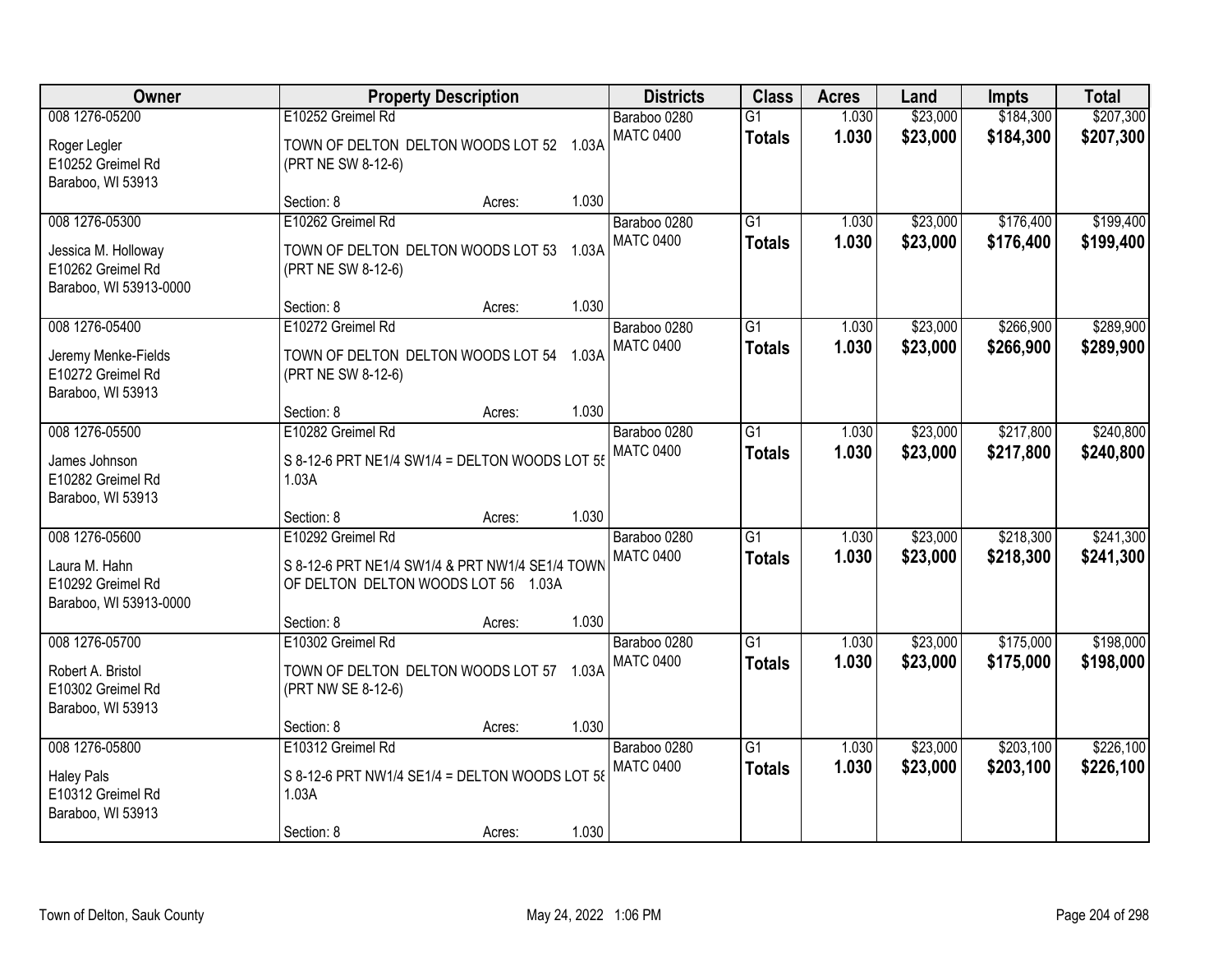| Owner<br><b>Property Description</b>                                                 | <b>Districts</b>                                                                                            | <b>Class</b> | <b>Acres</b> | Land                             | <b>Impts</b>                     | <b>Total</b>   |                      |                        |                        |
|--------------------------------------------------------------------------------------|-------------------------------------------------------------------------------------------------------------|--------------|--------------|----------------------------------|----------------------------------|----------------|----------------------|------------------------|------------------------|
| 008 1276-05200<br>Roger Legler<br>E10252 Greimel Rd<br>Baraboo, WI 53913             | E10252 Greimel Rd<br>TOWN OF DELTON DELTON WOODS LOT 52 1.03A<br>(PRT NE SW 8-12-6)                         |              |              | Baraboo 0280<br><b>MATC 0400</b> | $\overline{G1}$<br><b>Totals</b> | 1.030<br>1.030 | \$23,000<br>\$23,000 | \$184,300<br>\$184,300 | \$207,300<br>\$207,300 |
|                                                                                      | Section: 8                                                                                                  | Acres:       | 1.030        |                                  |                                  |                |                      |                        |                        |
| 008 1276-05300<br>Jessica M. Holloway<br>E10262 Greimel Rd<br>Baraboo, WI 53913-0000 | E10262 Greimel Rd<br>TOWN OF DELTON DELTON WOODS LOT 53 1.03A<br>(PRT NE SW 8-12-6)                         |              |              | Baraboo 0280<br><b>MATC 0400</b> | $\overline{G1}$<br><b>Totals</b> | 1.030<br>1.030 | \$23,000<br>\$23,000 | \$176,400<br>\$176,400 | \$199,400<br>\$199,400 |
|                                                                                      | Section: 8                                                                                                  | Acres:       | 1.030        |                                  |                                  |                |                      |                        |                        |
| 008 1276-05400<br>Jeremy Menke-Fields<br>E10272 Greimel Rd<br>Baraboo, WI 53913      | E10272 Greimel Rd<br>TOWN OF DELTON DELTON WOODS LOT 54 1.03A<br>(PRT NE SW 8-12-6)                         |              |              | Baraboo 0280<br><b>MATC 0400</b> | G1<br><b>Totals</b>              | 1.030<br>1.030 | \$23,000<br>\$23,000 | \$266,900<br>\$266,900 | \$289,900<br>\$289,900 |
|                                                                                      | Section: 8                                                                                                  | Acres:       | 1.030        |                                  |                                  |                |                      |                        |                        |
| 008 1276-05500<br>James Johnson<br>E10282 Greimel Rd                                 | E10282 Greimel Rd<br>S 8-12-6 PRT NE1/4 SW1/4 = DELTON WOODS LOT 55<br>1.03A                                |              |              | Baraboo 0280<br><b>MATC 0400</b> | $\overline{G1}$<br><b>Totals</b> | 1.030<br>1.030 | \$23,000<br>\$23,000 | \$217,800<br>\$217,800 | \$240,800<br>\$240,800 |
| Baraboo, WI 53913                                                                    | Section: 8                                                                                                  | Acres:       | 1.030        |                                  |                                  |                |                      |                        |                        |
| 008 1276-05600<br>Laura M. Hahn<br>E10292 Greimel Rd<br>Baraboo, WI 53913-0000       | E10292 Greimel Rd<br>S 8-12-6 PRT NE1/4 SW1/4 & PRT NW1/4 SE1/4 TOWN<br>OF DELTON DELTON WOODS LOT 56 1.03A |              |              | Baraboo 0280<br><b>MATC 0400</b> | $\overline{G1}$<br><b>Totals</b> | 1.030<br>1.030 | \$23,000<br>\$23,000 | \$218,300<br>\$218,300 | \$241,300<br>\$241,300 |
|                                                                                      | Section: 8                                                                                                  | Acres:       | 1.030        |                                  |                                  |                |                      |                        |                        |
| 008 1276-05700<br>Robert A. Bristol<br>E10302 Greimel Rd<br>Baraboo, WI 53913        | E10302 Greimel Rd<br>TOWN OF DELTON DELTON WOODS LOT 57 1.03A<br>(PRT NW SE 8-12-6)                         |              |              | Baraboo 0280<br><b>MATC 0400</b> | $\overline{G1}$<br><b>Totals</b> | 1.030<br>1.030 | \$23,000<br>\$23,000 | \$175,000<br>\$175,000 | \$198,000<br>\$198,000 |
|                                                                                      | Section: 8                                                                                                  | Acres:       | 1.030        |                                  |                                  |                |                      |                        |                        |
| 008 1276-05800<br><b>Haley Pals</b><br>E10312 Greimel Rd<br>Baraboo, WI 53913        | E10312 Greimel Rd<br>S 8-12-6 PRT NW1/4 SE1/4 = DELTON WOODS LOT 58<br>1.03A<br>Section: 8                  | Acres:       | 1.030        | Baraboo 0280<br><b>MATC 0400</b> | $\overline{G1}$<br><b>Totals</b> | 1.030<br>1.030 | \$23,000<br>\$23,000 | \$203,100<br>\$203,100 | \$226,100<br>\$226,100 |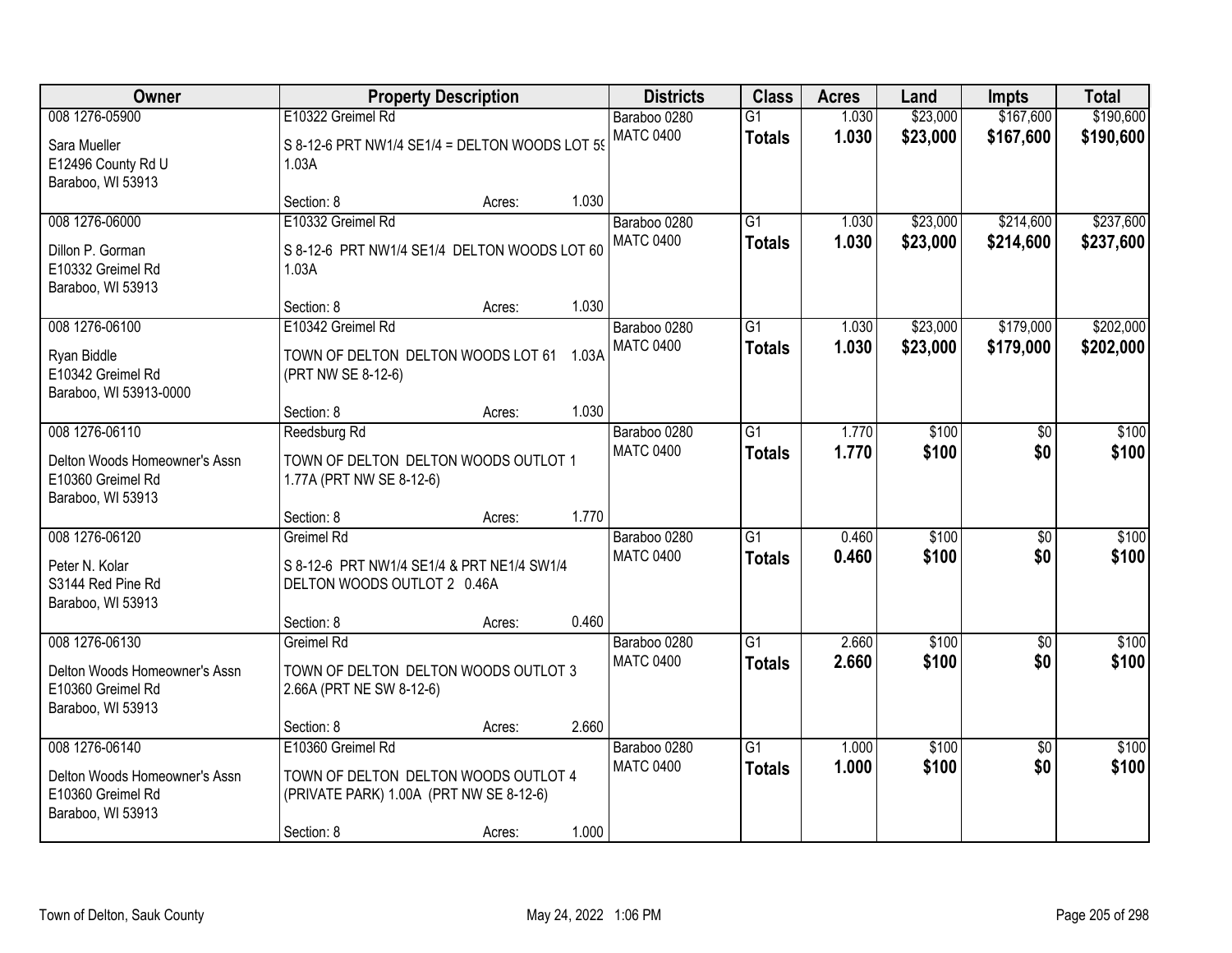| Owner                                                                                     |                                                                                                                    | <b>Property Description</b> |       | <b>Districts</b>                 | <b>Class</b>                     | <b>Acres</b>   | Land                 | <b>Impts</b>           | <b>Total</b>           |
|-------------------------------------------------------------------------------------------|--------------------------------------------------------------------------------------------------------------------|-----------------------------|-------|----------------------------------|----------------------------------|----------------|----------------------|------------------------|------------------------|
| 008 1276-05900                                                                            | E10322 Greimel Rd                                                                                                  |                             |       | Baraboo 0280                     | $\overline{G1}$                  | 1.030          | \$23,000             | \$167,600              | \$190,600              |
| Sara Mueller<br>E12496 County Rd U<br>Baraboo, WI 53913                                   | S 8-12-6 PRT NW1/4 SE1/4 = DELTON WOODS LOT 59<br>1.03A                                                            |                             |       | <b>MATC 0400</b>                 | <b>Totals</b>                    | 1.030          | \$23,000             | \$167,600              | \$190,600              |
|                                                                                           | Section: 8                                                                                                         | Acres:                      | 1.030 |                                  |                                  |                |                      |                        |                        |
| 008 1276-06000<br>Dillon P. Gorman<br>E10332 Greimel Rd<br>Baraboo, WI 53913              | E10332 Greimel Rd<br>S 8-12-6 PRT NW1/4 SE1/4 DELTON WOODS LOT 60<br>1.03A                                         |                             |       | Baraboo 0280<br><b>MATC 0400</b> | $\overline{G1}$<br><b>Totals</b> | 1.030<br>1.030 | \$23,000<br>\$23,000 | \$214,600<br>\$214,600 | \$237,600<br>\$237,600 |
|                                                                                           | Section: 8                                                                                                         | Acres:                      | 1.030 |                                  |                                  |                |                      |                        |                        |
| 008 1276-06100<br>Ryan Biddle<br>E10342 Greimel Rd<br>Baraboo, WI 53913-0000              | E10342 Greimel Rd<br>TOWN OF DELTON DELTON WOODS LOT 61 1.03A<br>(PRT NW SE 8-12-6)                                |                             |       | Baraboo 0280<br><b>MATC 0400</b> | G1<br><b>Totals</b>              | 1.030<br>1.030 | \$23,000<br>\$23,000 | \$179,000<br>\$179,000 | \$202,000<br>\$202,000 |
|                                                                                           | Section: 8                                                                                                         | Acres:                      | 1.030 |                                  |                                  |                |                      |                        |                        |
| 008 1276-06110<br>Delton Woods Homeowner's Assn<br>E10360 Greimel Rd                      | Reedsburg Rd<br>TOWN OF DELTON DELTON WOODS OUTLOT 1<br>1.77A (PRT NW SE 8-12-6)                                   |                             |       | Baraboo 0280<br><b>MATC 0400</b> | G1<br><b>Totals</b>              | 1.770<br>1.770 | \$100<br>\$100       | \$0<br>\$0             | \$100<br>\$100         |
| Baraboo, WI 53913                                                                         | Section: 8                                                                                                         | Acres:                      | 1.770 |                                  |                                  |                |                      |                        |                        |
| 008 1276-06120<br>Peter N. Kolar<br>S3144 Red Pine Rd<br>Baraboo, WI 53913                | Greimel Rd<br>S 8-12-6 PRT NW1/4 SE1/4 & PRT NE1/4 SW1/4<br>DELTON WOODS OUTLOT 2 0.46A                            |                             |       | Baraboo 0280<br><b>MATC 0400</b> | $\overline{G1}$<br><b>Totals</b> | 0.460<br>0.460 | \$100<br>\$100       | $\overline{50}$<br>\$0 | \$100<br>\$100         |
|                                                                                           | Section: 8                                                                                                         | Acres:                      | 0.460 |                                  |                                  |                |                      |                        |                        |
| 008 1276-06130<br>Delton Woods Homeowner's Assn<br>E10360 Greimel Rd<br>Baraboo, WI 53913 | Greimel Rd<br>TOWN OF DELTON DELTON WOODS OUTLOT 3<br>2.66A (PRT NE SW 8-12-6)                                     |                             |       | Baraboo 0280<br><b>MATC 0400</b> | $\overline{G1}$<br><b>Totals</b> | 2.660<br>2.660 | \$100<br>\$100       | $\overline{50}$<br>\$0 | \$100<br>\$100         |
|                                                                                           | Section: 8                                                                                                         | Acres:                      | 2.660 |                                  |                                  |                |                      |                        |                        |
| 008 1276-06140<br>Delton Woods Homeowner's Assn<br>E10360 Greimel Rd<br>Baraboo, WI 53913 | E10360 Greimel Rd<br>TOWN OF DELTON DELTON WOODS OUTLOT 4<br>(PRIVATE PARK) 1.00A (PRT NW SE 8-12-6)<br>Section: 8 | Acres:                      | 1.000 | Baraboo 0280<br><b>MATC 0400</b> | $\overline{G1}$<br><b>Totals</b> | 1.000<br>1.000 | \$100<br>\$100       | $\overline{50}$<br>\$0 | \$100<br>\$100         |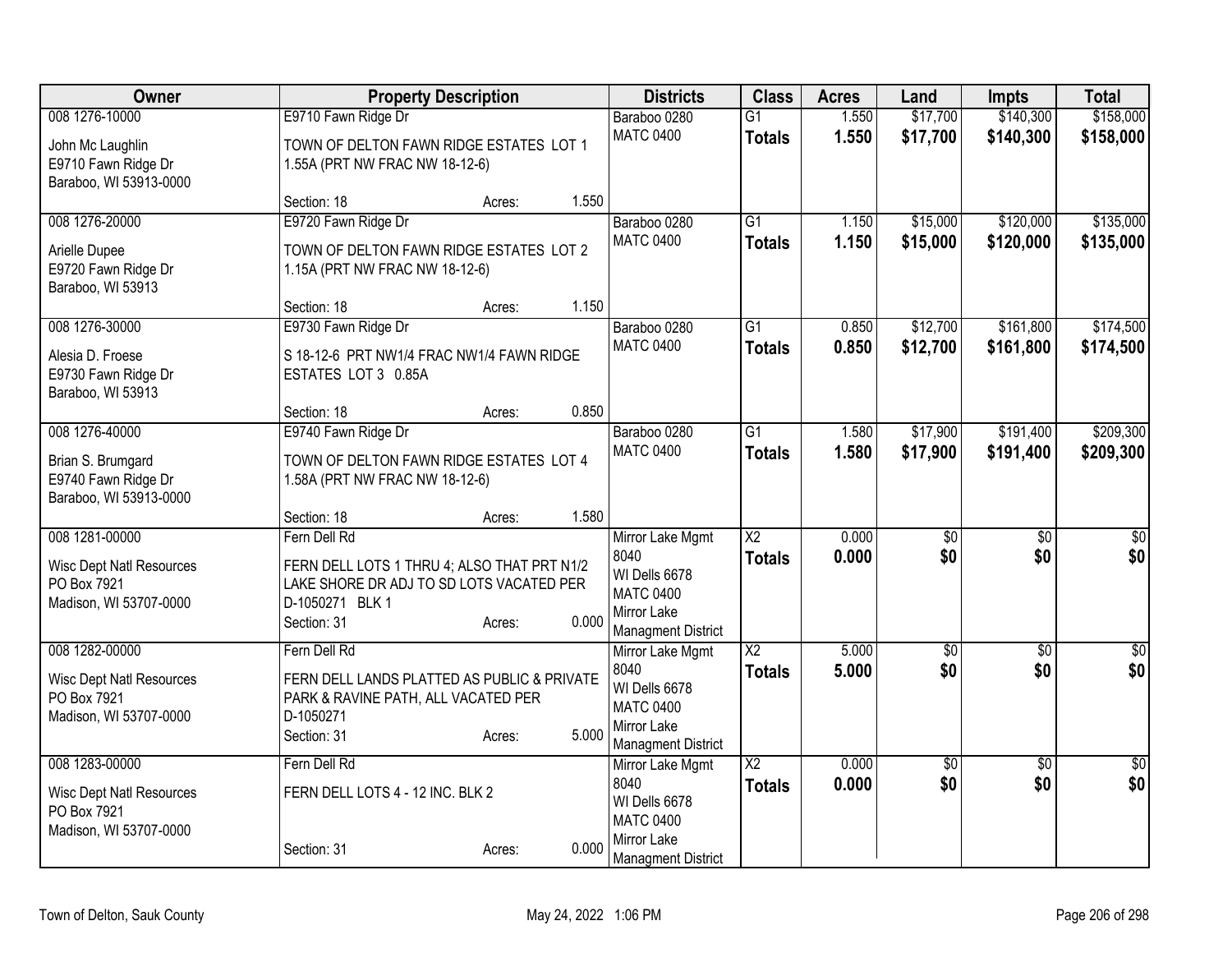| Owner                                          | <b>Property Description</b>                                                        |        |       | <b>Districts</b>                  | <b>Class</b>           | <b>Acres</b> | Land        | <b>Impts</b>    | <b>Total</b>    |
|------------------------------------------------|------------------------------------------------------------------------------------|--------|-------|-----------------------------------|------------------------|--------------|-------------|-----------------|-----------------|
| 008 1276-10000                                 | E9710 Fawn Ridge Dr                                                                |        |       | Baraboo 0280                      | $\overline{G1}$        | 1.550        | \$17,700    | \$140,300       | \$158,000       |
| John Mc Laughlin                               | TOWN OF DELTON FAWN RIDGE ESTATES LOT 1                                            |        |       | <b>MATC 0400</b>                  | <b>Totals</b>          | 1.550        | \$17,700    | \$140,300       | \$158,000       |
| E9710 Fawn Ridge Dr                            | 1.55A (PRT NW FRAC NW 18-12-6)                                                     |        |       |                                   |                        |              |             |                 |                 |
| Baraboo, WI 53913-0000                         |                                                                                    |        |       |                                   |                        |              |             |                 |                 |
|                                                | Section: 18                                                                        | Acres: | 1.550 |                                   |                        |              |             |                 |                 |
| 008 1276-20000                                 | E9720 Fawn Ridge Dr                                                                |        |       | Baraboo 0280                      | $\overline{G1}$        | 1.150        | \$15,000    | \$120,000       | \$135,000       |
| Arielle Dupee                                  | TOWN OF DELTON FAWN RIDGE ESTATES LOT 2                                            |        |       | <b>MATC 0400</b>                  | <b>Totals</b>          | 1.150        | \$15,000    | \$120,000       | \$135,000       |
| E9720 Fawn Ridge Dr                            | 1.15A (PRT NW FRAC NW 18-12-6)                                                     |        |       |                                   |                        |              |             |                 |                 |
| Baraboo, WI 53913                              |                                                                                    |        |       |                                   |                        |              |             |                 |                 |
|                                                | Section: 18                                                                        | Acres: | 1.150 |                                   |                        |              |             |                 |                 |
| 008 1276-30000                                 | E9730 Fawn Ridge Dr                                                                |        |       | Baraboo 0280                      | $\overline{G1}$        | 0.850        | \$12,700    | \$161,800       | \$174,500       |
| Alesia D. Froese                               | S 18-12-6 PRT NW1/4 FRAC NW1/4 FAWN RIDGE                                          |        |       | <b>MATC 0400</b>                  | <b>Totals</b>          | 0.850        | \$12,700    | \$161,800       | \$174,500       |
| E9730 Fawn Ridge Dr                            | ESTATES LOT 3 0.85A                                                                |        |       |                                   |                        |              |             |                 |                 |
| Baraboo, WI 53913                              |                                                                                    |        |       |                                   |                        |              |             |                 |                 |
|                                                | Section: 18                                                                        | Acres: | 0.850 |                                   |                        |              |             |                 |                 |
| 008 1276-40000                                 | E9740 Fawn Ridge Dr                                                                |        |       | Baraboo 0280                      | $\overline{G1}$        | 1.580        | \$17,900    | \$191,400       | \$209,300       |
| Brian S. Brumgard                              | TOWN OF DELTON FAWN RIDGE ESTATES LOT 4                                            |        |       | <b>MATC 0400</b>                  | <b>Totals</b>          | 1.580        | \$17,900    | \$191,400       | \$209,300       |
| E9740 Fawn Ridge Dr                            | 1.58A (PRT NW FRAC NW 18-12-6)                                                     |        |       |                                   |                        |              |             |                 |                 |
| Baraboo, WI 53913-0000                         |                                                                                    |        |       |                                   |                        |              |             |                 |                 |
|                                                | Section: 18                                                                        | Acres: | 1.580 |                                   |                        |              |             |                 |                 |
| 008 1281-00000                                 | Fern Dell Rd                                                                       |        |       | Mirror Lake Mgmt                  | X <sub>2</sub>         | 0.000        | \$0         | \$0             | \$0             |
| <b>Wisc Dept Natl Resources</b>                | FERN DELL LOTS 1 THRU 4; ALSO THAT PRT N1/2                                        |        |       | 8040                              | <b>Totals</b>          | 0.000        | \$0         | \$0             | \$0             |
| PO Box 7921                                    | LAKE SHORE DR ADJ TO SD LOTS VACATED PER                                           |        |       | WI Dells 6678<br><b>MATC 0400</b> |                        |              |             |                 |                 |
| Madison, WI 53707-0000                         | D-1050271 BLK 1                                                                    |        |       | Mirror Lake                       |                        |              |             |                 |                 |
|                                                | Section: 31                                                                        | Acres: | 0.000 | <b>Managment District</b>         |                        |              |             |                 |                 |
| 008 1282-00000                                 | Fern Dell Rd                                                                       |        |       | Mirror Lake Mgmt                  | $\overline{X2}$        | 5.000        | $\sqrt{60}$ | $\overline{50}$ | $\sqrt{50}$     |
|                                                |                                                                                    |        |       | 8040                              | <b>Totals</b>          | 5.000        | \$0         | \$0             | \$0             |
| <b>Wisc Dept Natl Resources</b><br>PO Box 7921 | FERN DELL LANDS PLATTED AS PUBLIC & PRIVATE<br>PARK & RAVINE PATH, ALL VACATED PER |        |       | WI Dells 6678                     |                        |              |             |                 |                 |
| Madison, WI 53707-0000                         | D-1050271                                                                          |        |       | <b>MATC 0400</b>                  |                        |              |             |                 |                 |
|                                                | Section: 31                                                                        | Acres: | 5.000 | Mirror Lake                       |                        |              |             |                 |                 |
| 008 1283-00000                                 | Fern Dell Rd                                                                       |        |       | <b>Managment District</b>         | $\overline{\text{X2}}$ | 0.000        | $\sqrt{30}$ | $\overline{50}$ | $\overline{50}$ |
|                                                |                                                                                    |        |       | Mirror Lake Mgmt<br>8040          | <b>Totals</b>          | 0.000        | \$0         | \$0             | \$0             |
| Wisc Dept Natl Resources                       | FERN DELL LOTS 4 - 12 INC. BLK 2                                                   |        |       | WI Dells 6678                     |                        |              |             |                 |                 |
| PO Box 7921                                    |                                                                                    |        |       | <b>MATC 0400</b>                  |                        |              |             |                 |                 |
| Madison, WI 53707-0000                         |                                                                                    |        | 0.000 | Mirror Lake                       |                        |              |             |                 |                 |
|                                                | Section: 31                                                                        | Acres: |       | Managment District                |                        |              |             |                 |                 |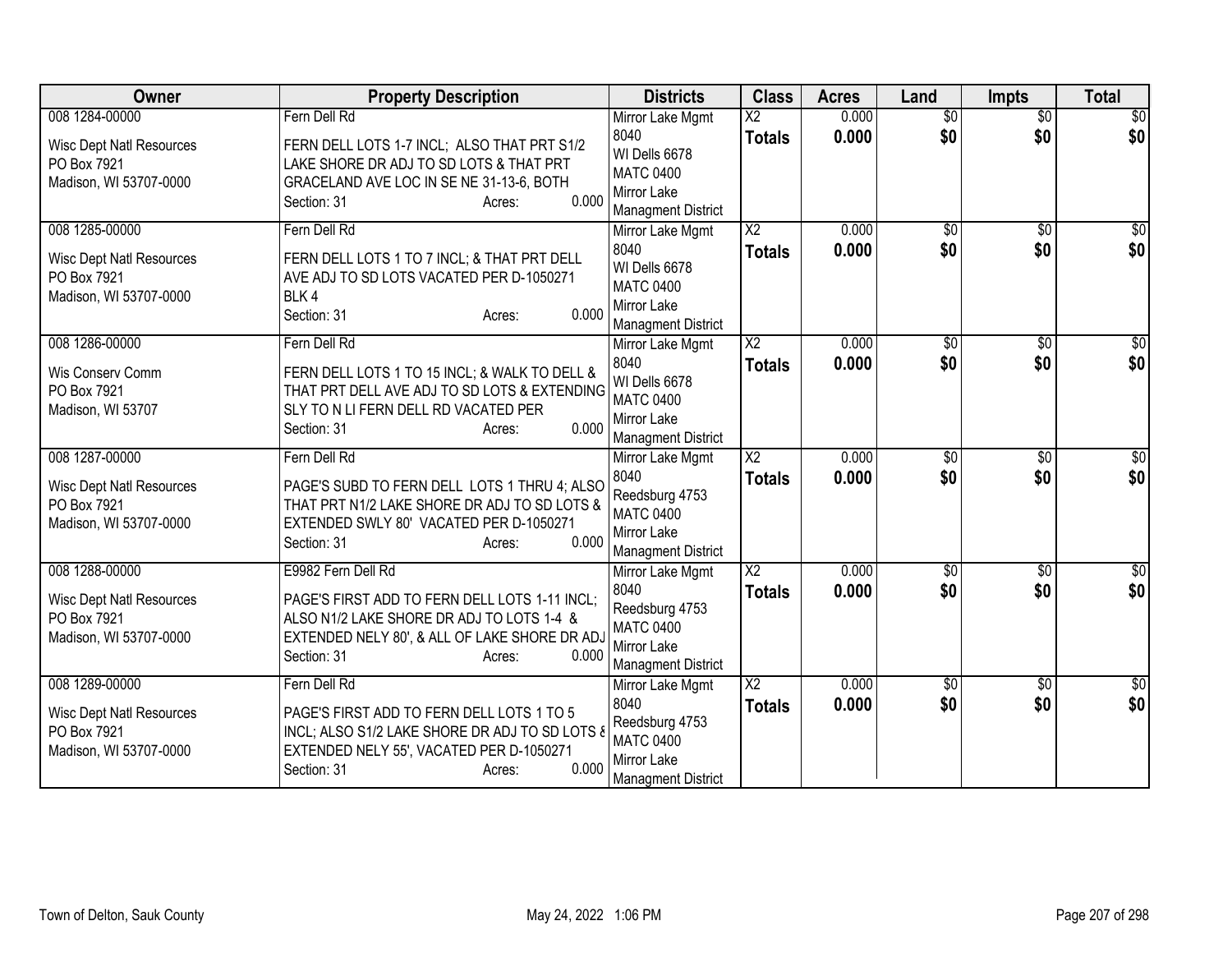| Owner                                                                                      | <b>Property Description</b>                                                                                                                                                                         | <b>Districts</b>                                                                                           | <b>Class</b>                            | <b>Acres</b>   | Land                   | <b>Impts</b>           | <b>Total</b>            |
|--------------------------------------------------------------------------------------------|-----------------------------------------------------------------------------------------------------------------------------------------------------------------------------------------------------|------------------------------------------------------------------------------------------------------------|-----------------------------------------|----------------|------------------------|------------------------|-------------------------|
| 008 1284-00000<br><b>Wisc Dept Natl Resources</b><br>PO Box 7921<br>Madison, WI 53707-0000 | Fern Dell Rd<br>FERN DELL LOTS 1-7 INCL; ALSO THAT PRT S1/2<br>LAKE SHORE DR ADJ TO SD LOTS & THAT PRT<br>GRACELAND AVE LOC IN SE NE 31-13-6, BOTH<br>0.000<br>Section: 31<br>Acres:                | Mirror Lake Mgmt<br>8040<br>WI Dells 6678<br><b>MATC 0400</b><br>Mirror Lake<br><b>Managment District</b>  | $\overline{\text{X2}}$<br><b>Totals</b> | 0.000<br>0.000 | $\overline{50}$<br>\$0 | $\overline{50}$<br>\$0 | $\overline{50}$<br>\$0  |
| 008 1285-00000<br><b>Wisc Dept Natl Resources</b><br>PO Box 7921<br>Madison, WI 53707-0000 | Fern Dell Rd<br>FERN DELL LOTS 1 TO 7 INCL; & THAT PRT DELL<br>AVE ADJ TO SD LOTS VACATED PER D-1050271<br>BLK4<br>0.000<br>Section: 31<br>Acres:                                                   | Mirror Lake Mgmt<br>8040<br>WI Dells 6678<br><b>MATC 0400</b><br>Mirror Lake<br><b>Managment District</b>  | $\overline{\text{X2}}$<br><b>Totals</b> | 0.000<br>0.000 | \$0<br>\$0             | \$0<br>\$0             | $\sqrt{30}$<br>\$0      |
| 008 1286-00000<br>Wis Conserv Comm<br>PO Box 7921<br>Madison, WI 53707                     | Fern Dell Rd<br>FERN DELL LOTS 1 TO 15 INCL; & WALK TO DELL &<br>THAT PRT DELL AVE ADJ TO SD LOTS & EXTENDING<br>SLY TO N LI FERN DELL RD VACATED PER<br>0.000<br>Section: 31<br>Acres:             | Mirror Lake Mgmt<br>8040<br>WI Dells 6678<br><b>MATC 0400</b><br>Mirror Lake<br><b>Managment District</b>  | X <sub>2</sub><br><b>Totals</b>         | 0.000<br>0.000 | \$0<br>\$0             | \$0<br>\$0             | \$0<br>\$0              |
| 008 1287-00000<br><b>Wisc Dept Natl Resources</b><br>PO Box 7921<br>Madison, WI 53707-0000 | Fern Dell Rd<br>PAGE'S SUBD TO FERN DELL LOTS 1 THRU 4; ALSO<br>THAT PRT N1/2 LAKE SHORE DR ADJ TO SD LOTS &<br>EXTENDED SWLY 80' VACATED PER D-1050271<br>0.000<br>Section: 31<br>Acres:           | Mirror Lake Mgmt<br>8040<br>Reedsburg 4753<br><b>MATC 0400</b><br>Mirror Lake<br><b>Managment District</b> | $\overline{X2}$<br><b>Totals</b>        | 0.000<br>0.000 | $\sqrt{6}$<br>\$0      | $\overline{50}$<br>\$0 | \$0<br>\$0              |
| 008 1288-00000<br><b>Wisc Dept Natl Resources</b><br>PO Box 7921<br>Madison, WI 53707-0000 | E9982 Fern Dell Rd<br>PAGE'S FIRST ADD TO FERN DELL LOTS 1-11 INCL;<br>ALSO N1/2 LAKE SHORE DR ADJ TO LOTS 1-4 &<br>EXTENDED NELY 80', & ALL OF LAKE SHORE DR ADJ<br>0.000<br>Section: 31<br>Acres: | Mirror Lake Mgmt<br>8040<br>Reedsburg 4753<br><b>MATC 0400</b><br>Mirror Lake<br><b>Managment District</b> | $\overline{X2}$<br><b>Totals</b>        | 0.000<br>0.000 | $\overline{50}$<br>\$0 | $\sqrt{6}$<br>\$0      | $\overline{\$0}$<br>\$0 |
| 008 1289-00000<br><b>Wisc Dept Natl Resources</b><br>PO Box 7921<br>Madison, WI 53707-0000 | Fern Dell Rd<br>PAGE'S FIRST ADD TO FERN DELL LOTS 1 TO 5<br>INCL; ALSO S1/2 LAKE SHORE DR ADJ TO SD LOTS &<br>EXTENDED NELY 55', VACATED PER D-1050271<br>0.000<br>Section: 31<br>Acres:           | Mirror Lake Mgmt<br>8040<br>Reedsburg 4753<br><b>MATC 0400</b><br>Mirror Lake<br><b>Managment District</b> | $\overline{\text{X2}}$<br><b>Totals</b> | 0.000<br>0.000 | \$0<br>\$0             | \$0<br>\$0             | $\overline{\$0}$<br>\$0 |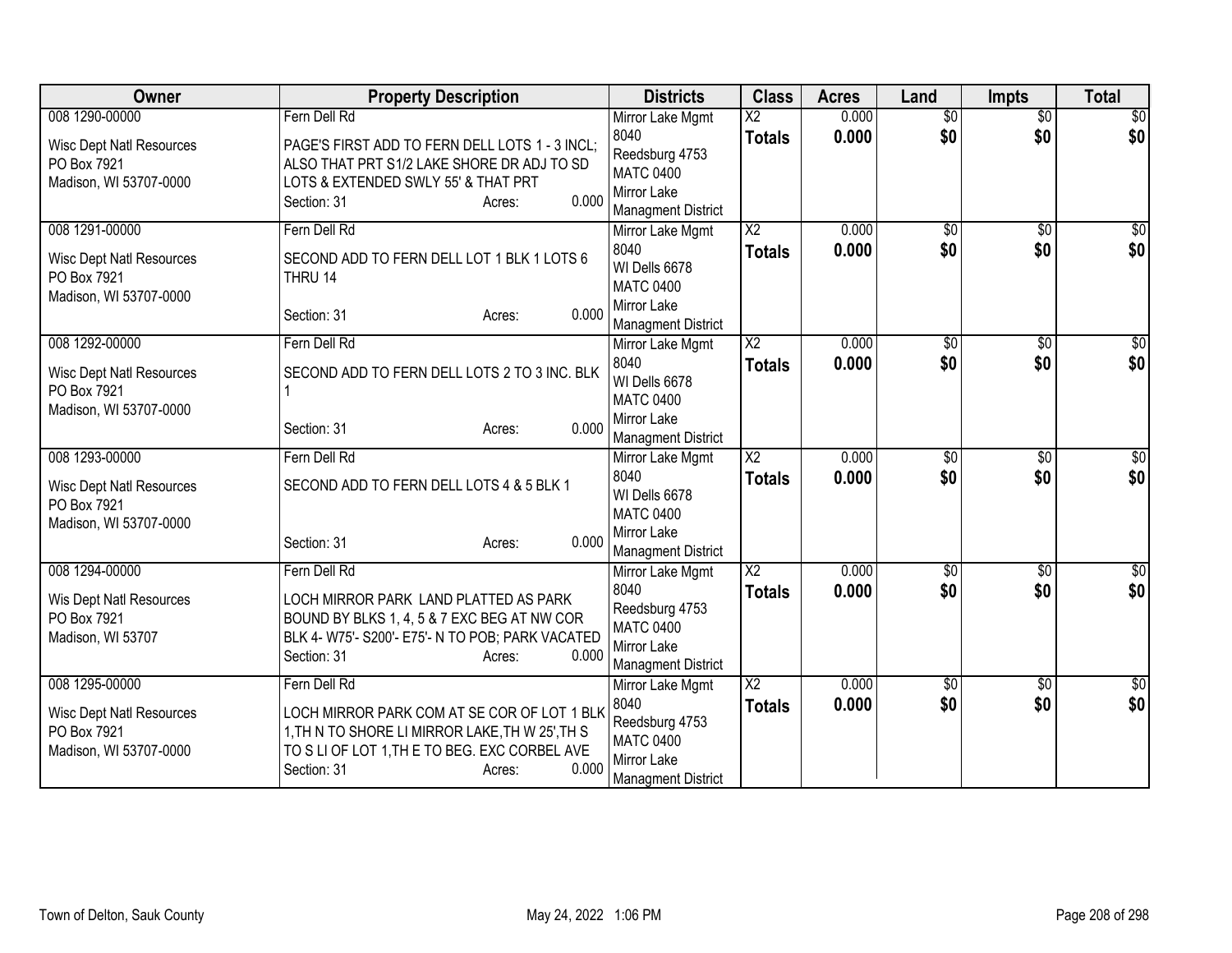| <b>Owner</b>                                   | <b>Property Description</b>                      | <b>Districts</b>                  | <b>Class</b>           | <b>Acres</b> | Land            | <b>Impts</b>    | <b>Total</b>     |
|------------------------------------------------|--------------------------------------------------|-----------------------------------|------------------------|--------------|-----------------|-----------------|------------------|
| 008 1290-00000                                 | Fern Dell Rd                                     | Mirror Lake Mgmt                  | $\overline{\text{X2}}$ | 0.000        | $\overline{50}$ | $\overline{50}$ | $\overline{50}$  |
| <b>Wisc Dept Natl Resources</b>                | PAGE'S FIRST ADD TO FERN DELL LOTS 1 - 3 INCL;   | 8040                              | <b>Totals</b>          | 0.000        | \$0             | \$0             | \$0              |
| PO Box 7921                                    | ALSO THAT PRT S1/2 LAKE SHORE DR ADJ TO SD       | Reedsburg 4753                    |                        |              |                 |                 |                  |
| Madison, WI 53707-0000                         | LOTS & EXTENDED SWLY 55' & THAT PRT              | <b>MATC 0400</b><br>Mirror Lake   |                        |              |                 |                 |                  |
|                                                | 0.000<br>Section: 31<br>Acres:                   | <b>Managment District</b>         |                        |              |                 |                 |                  |
| 008 1291-00000                                 | Fern Dell Rd                                     | Mirror Lake Mgmt                  | $\overline{\text{X2}}$ | 0.000        | $\sqrt{$0}$     | \$0             | $\sqrt{30}$      |
|                                                |                                                  | 8040                              | <b>Totals</b>          | 0.000        | \$0             | \$0             | \$0              |
| <b>Wisc Dept Natl Resources</b>                | SECOND ADD TO FERN DELL LOT 1 BLK 1 LOTS 6       | WI Dells 6678                     |                        |              |                 |                 |                  |
| PO Box 7921<br>Madison, WI 53707-0000          | THRU 14                                          | <b>MATC 0400</b>                  |                        |              |                 |                 |                  |
|                                                | 0.000<br>Section: 31<br>Acres:                   | Mirror Lake                       |                        |              |                 |                 |                  |
|                                                |                                                  | <b>Managment District</b>         |                        |              |                 |                 |                  |
| 008 1292-00000                                 | Fern Dell Rd                                     | Mirror Lake Mgmt                  | X <sub>2</sub>         | 0.000        | \$0             | \$0             | $\overline{50}$  |
| <b>Wisc Dept Natl Resources</b>                | SECOND ADD TO FERN DELL LOTS 2 TO 3 INC. BLK     | 8040                              | <b>Totals</b>          | 0.000        | \$0             | \$0             | \$0              |
| PO Box 7921                                    |                                                  | WI Dells 6678<br><b>MATC 0400</b> |                        |              |                 |                 |                  |
| Madison, WI 53707-0000                         |                                                  | <b>Mirror Lake</b>                |                        |              |                 |                 |                  |
|                                                | 0.000<br>Section: 31<br>Acres:                   | <b>Managment District</b>         |                        |              |                 |                 |                  |
| 008 1293-00000                                 | Fern Dell Rd                                     | Mirror Lake Mgmt                  | $\overline{X2}$        | 0.000        | $\sqrt{6}$      | $\overline{50}$ | \$0              |
| <b>Wisc Dept Natl Resources</b>                | SECOND ADD TO FERN DELL LOTS 4 & 5 BLK 1         | 8040                              | <b>Totals</b>          | 0.000        | \$0             | \$0             | \$0              |
| PO Box 7921                                    |                                                  | WI Dells 6678                     |                        |              |                 |                 |                  |
| Madison, WI 53707-0000                         |                                                  | <b>MATC 0400</b>                  |                        |              |                 |                 |                  |
|                                                | 0.000<br>Section: 31<br>Acres:                   | Mirror Lake                       |                        |              |                 |                 |                  |
|                                                |                                                  | <b>Managment District</b>         |                        |              |                 |                 |                  |
| 008 1294-00000                                 | Fern Dell Rd                                     | Mirror Lake Mgmt                  | $\overline{X2}$        | 0.000        | $\overline{50}$ | $\sqrt{6}$      | $\overline{\$0}$ |
| Wis Dept Natl Resources                        | LOCH MIRROR PARK LAND PLATTED AS PARK            | 8040<br>Reedsburg 4753            | <b>Totals</b>          | 0.000        | \$0             | \$0             | \$0              |
| PO Box 7921                                    | BOUND BY BLKS 1, 4, 5 & 7 EXC BEG AT NW COR      | <b>MATC 0400</b>                  |                        |              |                 |                 |                  |
| Madison, WI 53707                              | BLK 4- W75'- S200'- E75'- N TO POB; PARK VACATED | Mirror Lake                       |                        |              |                 |                 |                  |
|                                                | 0.000<br>Section: 31<br>Acres:                   | <b>Managment District</b>         |                        |              |                 |                 |                  |
| 008 1295-00000                                 | Fern Dell Rd                                     | Mirror Lake Mgmt                  | $\overline{\text{X2}}$ | 0.000        | \$0             | $\frac{1}{20}$  | $\overline{\$0}$ |
|                                                | LOCH MIRROR PARK COM AT SE COR OF LOT 1 BLK      | 8040                              | <b>Totals</b>          | 0.000        | \$0             | \$0             | \$0              |
| <b>Wisc Dept Natl Resources</b><br>PO Box 7921 | 1, TH N TO SHORE LI MIRROR LAKE, TH W 25', TH S  | Reedsburg 4753                    |                        |              |                 |                 |                  |
| Madison, WI 53707-0000                         | TO S LI OF LOT 1, TH E TO BEG. EXC CORBEL AVE    | <b>MATC 0400</b>                  |                        |              |                 |                 |                  |
|                                                | 0.000<br>Section: 31<br>Acres:                   | Mirror Lake                       |                        |              |                 |                 |                  |
|                                                |                                                  | <b>Managment District</b>         |                        |              |                 |                 |                  |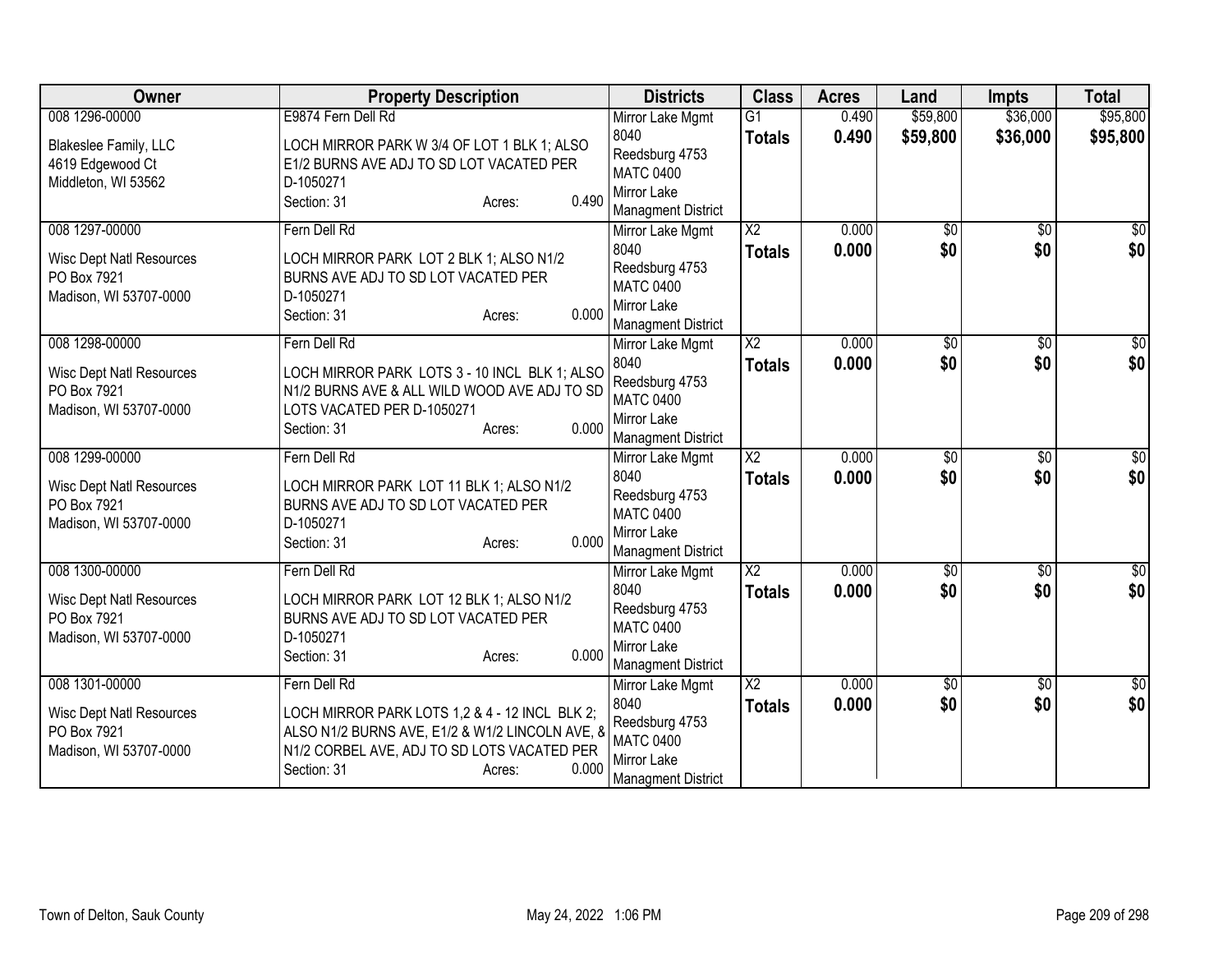| Owner                                          | <b>Property Description</b>                                                                       | <b>Districts</b>                         | <b>Class</b>           | <b>Acres</b> | Land            | <b>Impts</b>    | <b>Total</b>     |
|------------------------------------------------|---------------------------------------------------------------------------------------------------|------------------------------------------|------------------------|--------------|-----------------|-----------------|------------------|
| 008 1296-00000                                 | E9874 Fern Dell Rd                                                                                | Mirror Lake Mgmt                         | $\overline{G1}$        | 0.490        | \$59,800        | \$36,000        | \$95,800         |
| Blakeslee Family, LLC                          | LOCH MIRROR PARK W 3/4 OF LOT 1 BLK 1; ALSO                                                       | 8040                                     | <b>Totals</b>          | 0.490        | \$59,800        | \$36,000        | \$95,800         |
| 4619 Edgewood Ct                               | E1/2 BURNS AVE ADJ TO SD LOT VACATED PER                                                          | Reedsburg 4753<br><b>MATC 0400</b>       |                        |              |                 |                 |                  |
| Middleton, WI 53562                            | D-1050271                                                                                         | Mirror Lake                              |                        |              |                 |                 |                  |
|                                                | 0.490<br>Section: 31<br>Acres:                                                                    | <b>Managment District</b>                |                        |              |                 |                 |                  |
| 008 1297-00000                                 | Fern Dell Rd                                                                                      | Mirror Lake Mgmt                         | $\overline{\text{X2}}$ | 0.000        | $\overline{50}$ | \$0             | $\sqrt{30}$      |
| <b>Wisc Dept Natl Resources</b>                | LOCH MIRROR PARK LOT 2 BLK 1; ALSO N1/2                                                           | 8040                                     | <b>Totals</b>          | 0.000        | \$0             | \$0             | \$0              |
| PO Box 7921                                    | BURNS AVE ADJ TO SD LOT VACATED PER                                                               | Reedsburg 4753                           |                        |              |                 |                 |                  |
| Madison, WI 53707-0000                         | D-1050271                                                                                         | <b>MATC 0400</b>                         |                        |              |                 |                 |                  |
|                                                | 0.000<br>Section: 31<br>Acres:                                                                    | Mirror Lake<br><b>Managment District</b> |                        |              |                 |                 |                  |
| 008 1298-00000                                 | Fern Dell Rd                                                                                      | Mirror Lake Mgmt                         | $\overline{X2}$        | 0.000        | \$0             | \$0             | \$0              |
|                                                |                                                                                                   | 8040                                     | <b>Totals</b>          | 0.000        | \$0             | \$0             | \$0              |
| <b>Wisc Dept Natl Resources</b>                | LOCH MIRROR PARK LOTS 3 - 10 INCL BLK 1; ALSO                                                     | Reedsburg 4753                           |                        |              |                 |                 |                  |
| PO Box 7921<br>Madison, WI 53707-0000          | N1/2 BURNS AVE & ALL WILD WOOD AVE ADJ TO SD<br>LOTS VACATED PER D-1050271                        | <b>MATC 0400</b>                         |                        |              |                 |                 |                  |
|                                                | 0.000<br>Section: 31<br>Acres:                                                                    | <b>Mirror Lake</b>                       |                        |              |                 |                 |                  |
|                                                |                                                                                                   | <b>Managment District</b>                |                        |              |                 |                 |                  |
| 008 1299-00000                                 | Fern Dell Rd                                                                                      | Mirror Lake Mgmt<br>8040                 | $\overline{X2}$        | 0.000        | $\sqrt{6}$      | $\overline{50}$ | \$0              |
| <b>Wisc Dept Natl Resources</b>                | LOCH MIRROR PARK LOT 11 BLK 1; ALSO N1/2                                                          | Reedsburg 4753                           | Totals                 | 0.000        | \$0             | \$0             | \$0              |
| PO Box 7921                                    | BURNS AVE ADJ TO SD LOT VACATED PER                                                               | <b>MATC 0400</b>                         |                        |              |                 |                 |                  |
| Madison, WI 53707-0000                         | D-1050271                                                                                         | <b>Mirror Lake</b>                       |                        |              |                 |                 |                  |
|                                                | 0.000<br>Section: 31<br>Acres:                                                                    | <b>Managment District</b>                |                        |              |                 |                 |                  |
| 008 1300-00000                                 | Fern Dell Rd                                                                                      | Mirror Lake Mgmt                         | $\overline{X2}$        | 0.000        | $\overline{50}$ | $\sqrt{6}$      | $\overline{\$0}$ |
| <b>Wisc Dept Natl Resources</b>                | LOCH MIRROR PARK LOT 12 BLK 1; ALSO N1/2                                                          | 8040                                     | Totals                 | 0.000        | \$0             | \$0             | \$0              |
| PO Box 7921                                    | BURNS AVE ADJ TO SD LOT VACATED PER                                                               | Reedsburg 4753                           |                        |              |                 |                 |                  |
| Madison, WI 53707-0000                         | D-1050271                                                                                         | <b>MATC 0400</b><br>Mirror Lake          |                        |              |                 |                 |                  |
|                                                | 0.000<br>Section: 31<br>Acres:                                                                    | <b>Managment District</b>                |                        |              |                 |                 |                  |
| 008 1301-00000                                 | Fern Dell Rd                                                                                      | Mirror Lake Mgmt                         | $\overline{\text{X2}}$ | 0.000        | \$0             | \$0             | $\overline{\$0}$ |
|                                                |                                                                                                   | 8040                                     | Totals                 | 0.000        | \$0             | \$0             | \$0              |
| <b>Wisc Dept Natl Resources</b><br>PO Box 7921 | LOCH MIRROR PARK LOTS 1,2 & 4 - 12 INCL BLK 2;<br>ALSO N1/2 BURNS AVE, E1/2 & W1/2 LINCOLN AVE, 8 | Reedsburg 4753                           |                        |              |                 |                 |                  |
| Madison, WI 53707-0000                         | N1/2 CORBEL AVE, ADJ TO SD LOTS VACATED PER                                                       | <b>MATC 0400</b>                         |                        |              |                 |                 |                  |
|                                                | 0.000<br>Section: 31<br>Acres:                                                                    | Mirror Lake                              |                        |              |                 |                 |                  |
|                                                |                                                                                                   | <b>Managment District</b>                |                        |              |                 |                 |                  |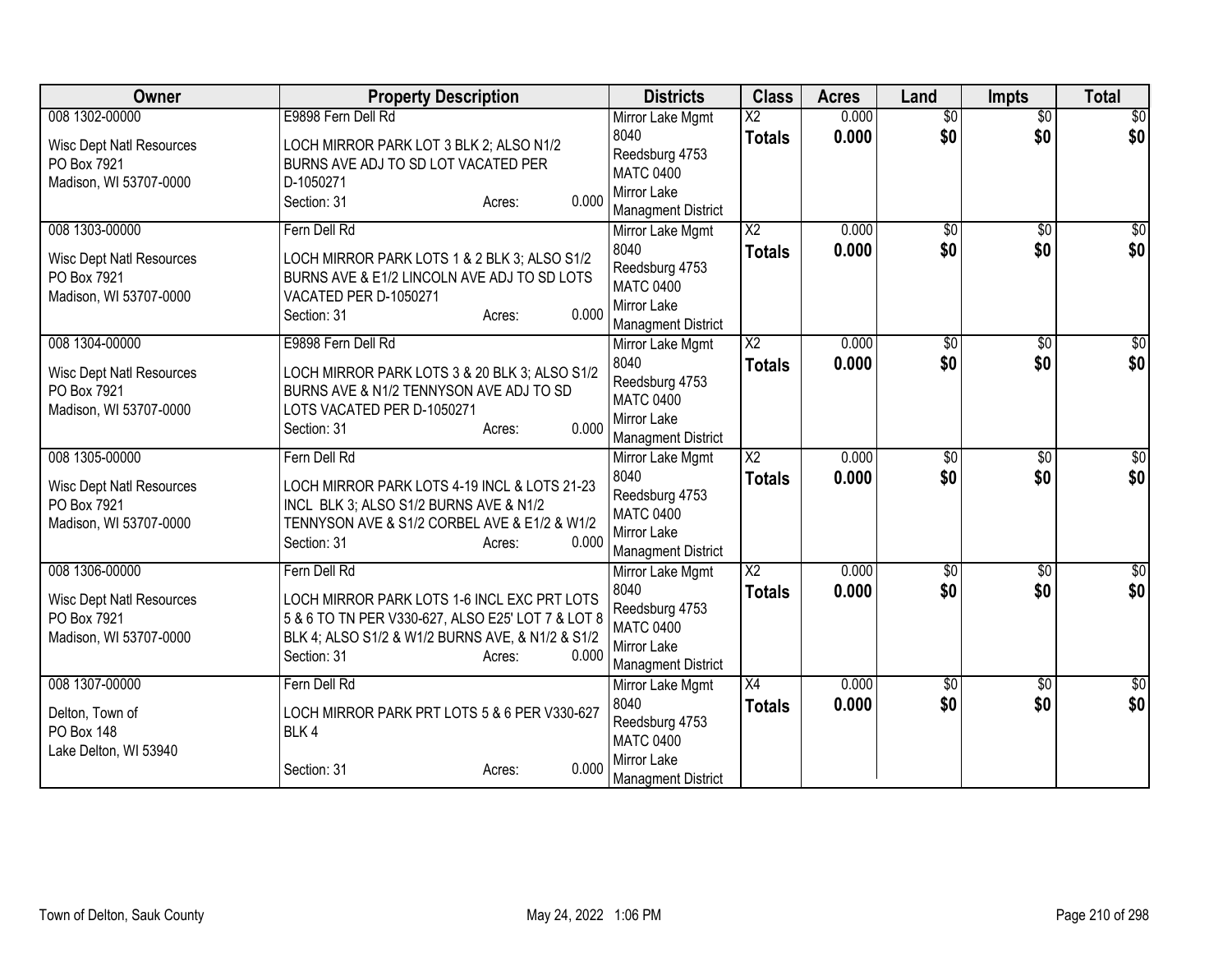| Owner                                          | <b>Property Description</b>                                                                      | <b>Districts</b>                   | <b>Class</b>           | <b>Acres</b> | Land            | <b>Impts</b>    | <b>Total</b>     |
|------------------------------------------------|--------------------------------------------------------------------------------------------------|------------------------------------|------------------------|--------------|-----------------|-----------------|------------------|
| 008 1302-00000                                 | E9898 Fern Dell Rd                                                                               | Mirror Lake Mgmt                   | $\overline{\text{X2}}$ | 0.000        | $\overline{30}$ | $\overline{50}$ | \$0              |
| <b>Wisc Dept Natl Resources</b>                | LOCH MIRROR PARK LOT 3 BLK 2; ALSO N1/2                                                          | 8040                               | <b>Totals</b>          | 0.000        | \$0             | \$0             | \$0              |
| PO Box 7921                                    | BURNS AVE ADJ TO SD LOT VACATED PER                                                              | Reedsburg 4753<br><b>MATC 0400</b> |                        |              |                 |                 |                  |
| Madison, WI 53707-0000                         | D-1050271                                                                                        | Mirror Lake                        |                        |              |                 |                 |                  |
|                                                | 0.000<br>Section: 31<br>Acres:                                                                   | <b>Managment District</b>          |                        |              |                 |                 |                  |
| 008 1303-00000                                 | Fern Dell Rd                                                                                     | Mirror Lake Mgmt                   | $\overline{\text{X2}}$ | 0.000        | \$0             | \$0             | $\sqrt{30}$      |
| <b>Wisc Dept Natl Resources</b>                | LOCH MIRROR PARK LOTS 1 & 2 BLK 3; ALSO S1/2                                                     | 8040                               | <b>Totals</b>          | 0.000        | \$0             | \$0             | \$0              |
| PO Box 7921                                    | BURNS AVE & E1/2 LINCOLN AVE ADJ TO SD LOTS                                                      | Reedsburg 4753                     |                        |              |                 |                 |                  |
| Madison, WI 53707-0000                         | VACATED PER D-1050271                                                                            | <b>MATC 0400</b>                   |                        |              |                 |                 |                  |
|                                                | 0.000<br>Section: 31<br>Acres:                                                                   | Mirror Lake                        |                        |              |                 |                 |                  |
| 008 1304-00000                                 | E9898 Fern Dell Rd                                                                               | <b>Managment District</b>          | $\overline{\text{X2}}$ | 0.000        | \$0             | \$0             | \$0              |
|                                                |                                                                                                  | Mirror Lake Mgmt<br>8040           | <b>Totals</b>          | 0.000        | \$0             | \$0             | \$0              |
| <b>Wisc Dept Natl Resources</b>                | LOCH MIRROR PARK LOTS 3 & 20 BLK 3; ALSO S1/2                                                    | Reedsburg 4753                     |                        |              |                 |                 |                  |
| PO Box 7921                                    | BURNS AVE & N1/2 TENNYSON AVE ADJ TO SD                                                          | <b>MATC 0400</b>                   |                        |              |                 |                 |                  |
| Madison, WI 53707-0000                         | LOTS VACATED PER D-1050271<br>0.000                                                              | Mirror Lake                        |                        |              |                 |                 |                  |
|                                                | Section: 31<br>Acres:                                                                            | <b>Managment District</b>          |                        |              |                 |                 |                  |
| 008 1305-00000                                 | Fern Dell Rd                                                                                     | Mirror Lake Mgmt                   | $\overline{X2}$        | 0.000        | $\sqrt{6}$      | $\overline{50}$ | \$0              |
| <b>Wisc Dept Natl Resources</b>                | LOCH MIRROR PARK LOTS 4-19 INCL & LOTS 21-23                                                     | 8040                               | <b>Totals</b>          | 0.000        | \$0             | \$0             | \$0              |
| PO Box 7921                                    | INCL BLK 3; ALSO S1/2 BURNS AVE & N1/2                                                           | Reedsburg 4753                     |                        |              |                 |                 |                  |
| Madison, WI 53707-0000                         | TENNYSON AVE & S1/2 CORBEL AVE & E1/2 & W1/2                                                     | <b>MATC 0400</b><br>Mirror Lake    |                        |              |                 |                 |                  |
|                                                | 0.000<br>Section: 31<br>Acres:                                                                   | <b>Managment District</b>          |                        |              |                 |                 |                  |
| 008 1306-00000                                 | Fern Dell Rd                                                                                     | Mirror Lake Mgmt                   | $\overline{X2}$        | 0.000        | $\overline{50}$ | $\overline{50}$ | $\overline{\$0}$ |
|                                                |                                                                                                  | 8040                               | <b>Totals</b>          | 0.000        | \$0             | \$0             | \$0              |
| <b>Wisc Dept Natl Resources</b><br>PO Box 7921 | LOCH MIRROR PARK LOTS 1-6 INCL EXC PRT LOTS<br>5 & 6 TO TN PER V330-627, ALSO E25' LOT 7 & LOT 8 | Reedsburg 4753                     |                        |              |                 |                 |                  |
| Madison, WI 53707-0000                         | BLK 4; ALSO S1/2 & W1/2 BURNS AVE, & N1/2 & S1/2                                                 | <b>MATC 0400</b>                   |                        |              |                 |                 |                  |
|                                                | 0.000<br>Section: 31<br>Acres:                                                                   | Mirror Lake                        |                        |              |                 |                 |                  |
| 008 1307-00000                                 | Fern Dell Rd                                                                                     | <b>Managment District</b>          | X4                     | 0.000        |                 |                 | \$0              |
|                                                |                                                                                                  | Mirror Lake Mgmt<br>8040           |                        | 0.000        | \$0<br>\$0      | \$0<br>\$0      | \$0              |
| Delton, Town of                                | LOCH MIRROR PARK PRT LOTS 5 & 6 PER V330-627                                                     | Reedsburg 4753                     | <b>Totals</b>          |              |                 |                 |                  |
| <b>PO Box 148</b>                              | BLK4                                                                                             | <b>MATC 0400</b>                   |                        |              |                 |                 |                  |
| Lake Delton, WI 53940                          | 0.000                                                                                            | Mirror Lake                        |                        |              |                 |                 |                  |
|                                                | Section: 31<br>Acres:                                                                            | <b>Managment District</b>          |                        |              |                 |                 |                  |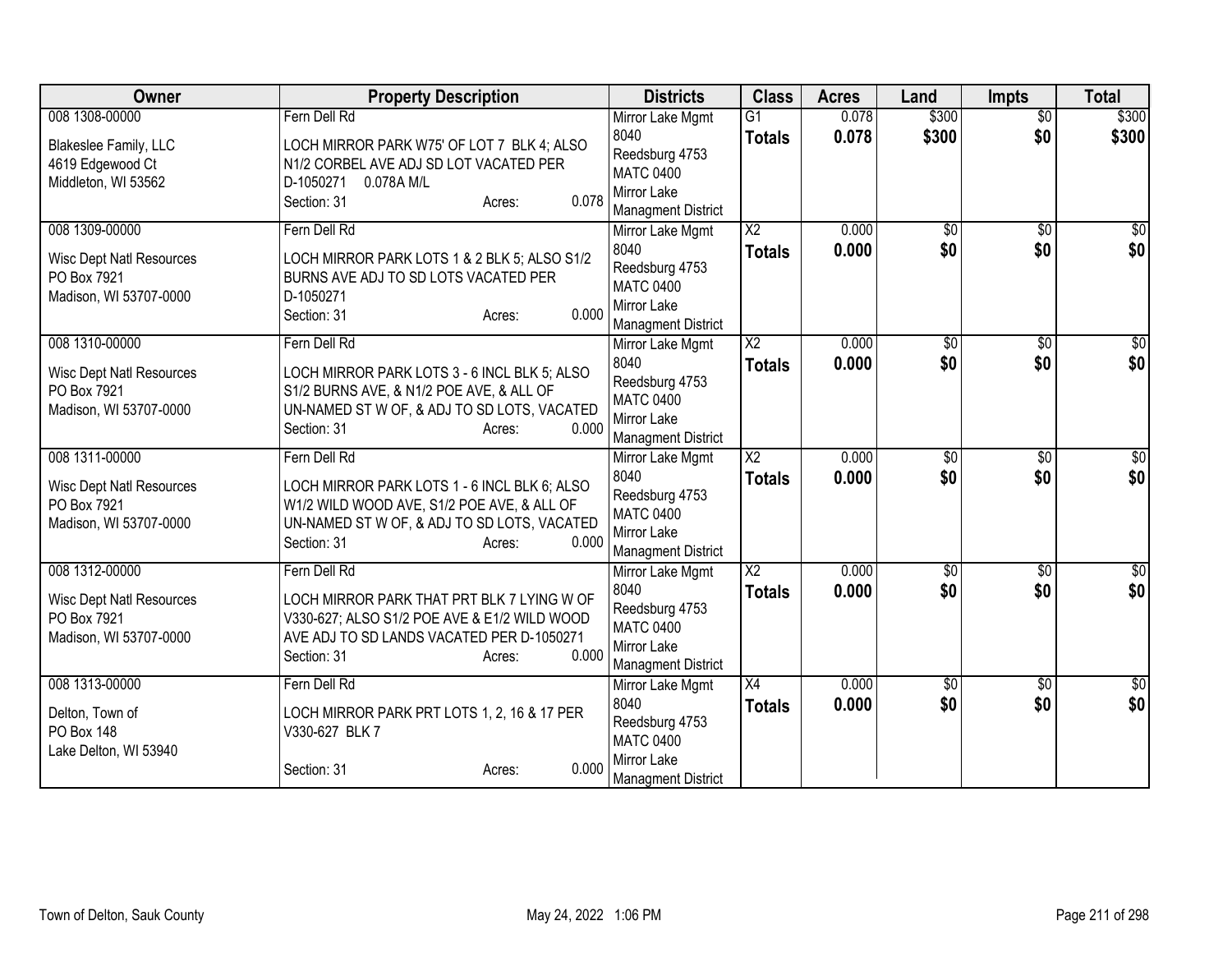| Owner                                          | <b>Property Description</b>                                                          | <b>Districts</b>                   | <b>Class</b>             | <b>Acres</b> | Land            | <b>Impts</b>    | <b>Total</b>    |
|------------------------------------------------|--------------------------------------------------------------------------------------|------------------------------------|--------------------------|--------------|-----------------|-----------------|-----------------|
| 008 1308-00000                                 | Fern Dell Rd                                                                         | Mirror Lake Mgmt                   | $\overline{G1}$          | 0.078        | \$300           | $\overline{50}$ | \$300           |
| Blakeslee Family, LLC                          | LOCH MIRROR PARK W75' OF LOT 7 BLK 4; ALSO                                           | 8040                               | <b>Totals</b>            | 0.078        | \$300           | \$0             | \$300           |
| 4619 Edgewood Ct                               | N1/2 CORBEL AVE ADJ SD LOT VACATED PER                                               | Reedsburg 4753<br><b>MATC 0400</b> |                          |              |                 |                 |                 |
| Middleton, WI 53562                            | 0.078A M/L<br>D-1050271                                                              | Mirror Lake                        |                          |              |                 |                 |                 |
|                                                | 0.078<br>Section: 31<br>Acres:                                                       | <b>Managment District</b>          |                          |              |                 |                 |                 |
| 008 1309-00000                                 | Fern Dell Rd                                                                         | Mirror Lake Mgmt                   | $\overline{\mathsf{x2}}$ | 0.000        | $\overline{50}$ | \$0             | \$0             |
|                                                |                                                                                      | 8040                               | <b>Totals</b>            | 0.000        | \$0             | \$0             | \$0             |
| <b>Wisc Dept Natl Resources</b><br>PO Box 7921 | LOCH MIRROR PARK LOTS 1 & 2 BLK 5; ALSO S1/2<br>BURNS AVE ADJ TO SD LOTS VACATED PER | Reedsburg 4753                     |                          |              |                 |                 |                 |
| Madison, WI 53707-0000                         | D-1050271                                                                            | <b>MATC 0400</b>                   |                          |              |                 |                 |                 |
|                                                | 0.000<br>Section: 31<br>Acres:                                                       | Mirror Lake                        |                          |              |                 |                 |                 |
|                                                |                                                                                      | <b>Managment District</b>          |                          |              |                 |                 |                 |
| 008 1310-00000                                 | Fern Dell Rd                                                                         | Mirror Lake Mgmt                   | $\overline{X2}$          | 0.000        | $\overline{50}$ | \$0             | \$0             |
| <b>Wisc Dept Natl Resources</b>                | LOCH MIRROR PARK LOTS 3 - 6 INCL BLK 5; ALSO                                         | 8040<br>Reedsburg 4753             | <b>Totals</b>            | 0.000        | \$0             | \$0             | \$0             |
| PO Box 7921                                    | S1/2 BURNS AVE, & N1/2 POE AVE, & ALL OF                                             | <b>MATC 0400</b>                   |                          |              |                 |                 |                 |
| Madison, WI 53707-0000                         | UN-NAMED ST W OF, & ADJ TO SD LOTS, VACATED                                          | Mirror Lake                        |                          |              |                 |                 |                 |
|                                                | 0.000<br>Section: 31<br>Acres:                                                       | <b>Managment District</b>          |                          |              |                 |                 |                 |
| 008 1311-00000                                 | Fern Dell Rd                                                                         | Mirror Lake Mgmt                   | $\overline{X2}$          | 0.000        | $\overline{50}$ | $\overline{50}$ | $\overline{50}$ |
| <b>Wisc Dept Natl Resources</b>                | LOCH MIRROR PARK LOTS 1 - 6 INCL BLK 6; ALSO                                         | 8040                               | <b>Totals</b>            | 0.000        | \$0             | \$0             | \$0             |
| PO Box 7921                                    | W1/2 WILD WOOD AVE, S1/2 POE AVE, & ALL OF                                           | Reedsburg 4753                     |                          |              |                 |                 |                 |
| Madison, WI 53707-0000                         | UN-NAMED ST W OF, & ADJ TO SD LOTS, VACATED                                          | <b>MATC 0400</b>                   |                          |              |                 |                 |                 |
|                                                | Section: 31<br>0.000<br>Acres:                                                       | Mirror Lake                        |                          |              |                 |                 |                 |
|                                                |                                                                                      | <b>Managment District</b>          |                          |              |                 |                 |                 |
| 008 1312-00000                                 | Fern Dell Rd                                                                         | Mirror Lake Mgmt<br>8040           | $\overline{\text{X2}}$   | 0.000        | $\sqrt{$0}$     | $\overline{50}$ | $\overline{50}$ |
| <b>Wisc Dept Natl Resources</b>                | LOCH MIRROR PARK THAT PRT BLK 7 LYING W OF                                           | Reedsburg 4753                     | <b>Totals</b>            | 0.000        | \$0             | \$0             | \$0             |
| PO Box 7921                                    | V330-627; ALSO S1/2 POE AVE & E1/2 WILD WOOD                                         | <b>MATC 0400</b>                   |                          |              |                 |                 |                 |
| Madison, WI 53707-0000                         | AVE ADJ TO SD LANDS VACATED PER D-1050271                                            | Mirror Lake                        |                          |              |                 |                 |                 |
|                                                | 0.000<br>Section: 31<br>Acres:                                                       | <b>Managment District</b>          |                          |              |                 |                 |                 |
| 008 1313-00000                                 | Fern Dell Rd                                                                         | Mirror Lake Mgmt                   | X4                       | 0.000        | \$0             | \$0             | $\overline{50}$ |
| Delton, Town of                                | LOCH MIRROR PARK PRT LOTS 1, 2, 16 & 17 PER                                          | 8040                               | Totals                   | 0.000        | \$0             | \$0             | \$0             |
| PO Box 148                                     | V330-627 BLK 7                                                                       | Reedsburg 4753                     |                          |              |                 |                 |                 |
| Lake Delton, WI 53940                          |                                                                                      | <b>MATC 0400</b>                   |                          |              |                 |                 |                 |
|                                                | 0.000<br>Section: 31<br>Acres:                                                       | Mirror Lake                        |                          |              |                 |                 |                 |
|                                                |                                                                                      | <b>Managment District</b>          |                          |              |                 |                 |                 |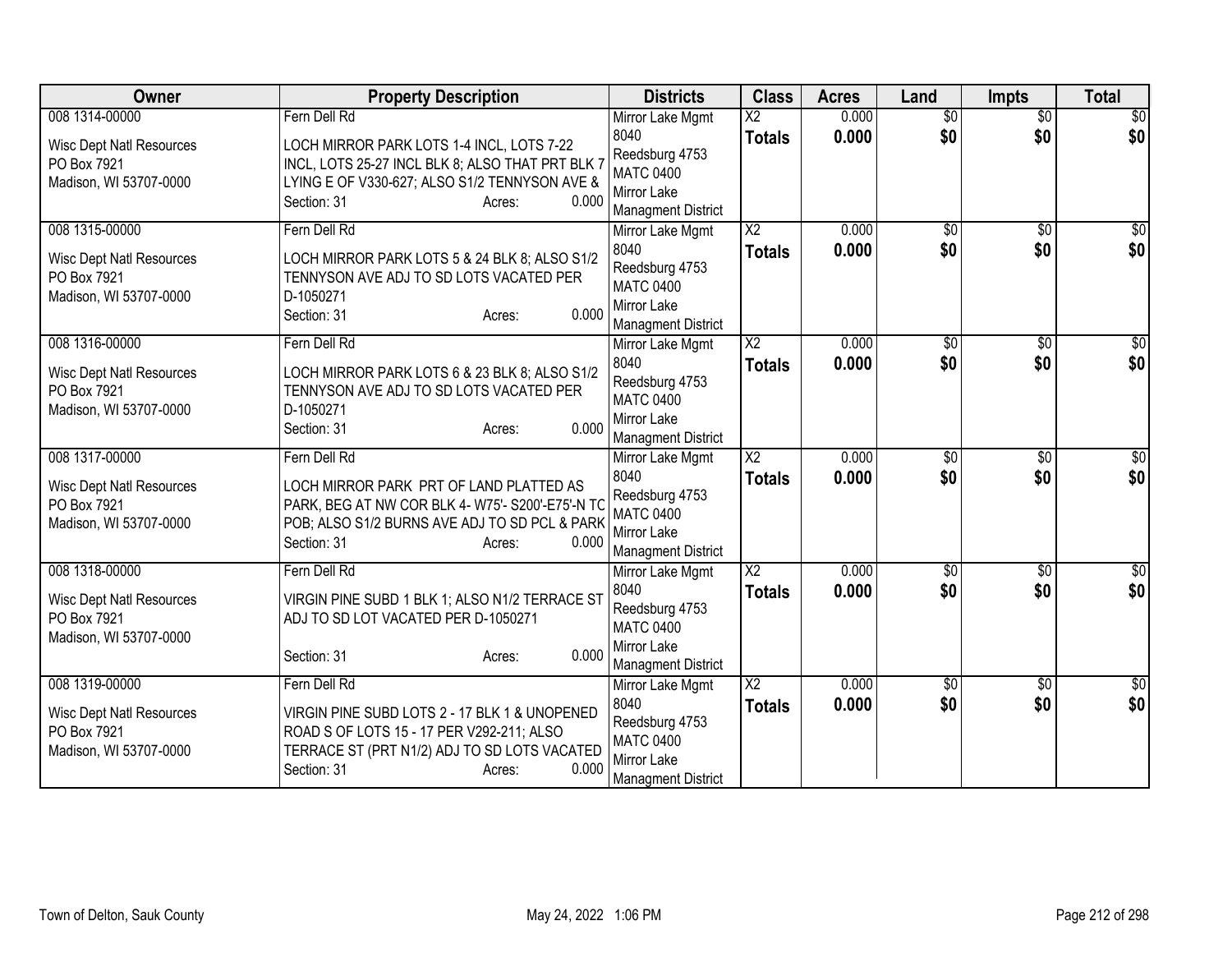| Owner                                          | <b>Property Description</b>                                                                       | <b>Districts</b>                              | <b>Class</b>           | <b>Acres</b> | Land            | <b>Impts</b>    | <b>Total</b>     |
|------------------------------------------------|---------------------------------------------------------------------------------------------------|-----------------------------------------------|------------------------|--------------|-----------------|-----------------|------------------|
| 008 1314-00000                                 | Fern Dell Rd                                                                                      | Mirror Lake Mgmt                              | $\overline{\text{X2}}$ | 0.000        | $\overline{50}$ | $\overline{50}$ | $\overline{50}$  |
| <b>Wisc Dept Natl Resources</b>                | LOCH MIRROR PARK LOTS 1-4 INCL, LOTS 7-22                                                         | 8040                                          | <b>Totals</b>          | 0.000        | \$0             | \$0             | \$0              |
| PO Box 7921                                    | INCL, LOTS 25-27 INCL BLK 8; ALSO THAT PRT BLK 7                                                  | Reedsburg 4753<br><b>MATC 0400</b>            |                        |              |                 |                 |                  |
| Madison, WI 53707-0000                         | LYING E OF V330-627; ALSO S1/2 TENNYSON AVE &                                                     | Mirror Lake                                   |                        |              |                 |                 |                  |
|                                                | 0.000<br>Section: 31<br>Acres:                                                                    | <b>Managment District</b>                     |                        |              |                 |                 |                  |
| 008 1315-00000                                 | Fern Dell Rd                                                                                      | Mirror Lake Mgmt                              | $\overline{\text{X2}}$ | 0.000        | \$0             | \$0             | $\sqrt{30}$      |
| <b>Wisc Dept Natl Resources</b>                | LOCH MIRROR PARK LOTS 5 & 24 BLK 8; ALSO S1/2                                                     | 8040                                          | <b>Totals</b>          | 0.000        | \$0             | \$0             | \$0              |
| PO Box 7921                                    | TENNYSON AVE ADJ TO SD LOTS VACATED PER                                                           | Reedsburg 4753                                |                        |              |                 |                 |                  |
| Madison, WI 53707-0000                         | D-1050271                                                                                         | <b>MATC 0400</b><br>Mirror Lake               |                        |              |                 |                 |                  |
|                                                | 0.000<br>Section: 31<br>Acres:                                                                    | <b>Managment District</b>                     |                        |              |                 |                 |                  |
| 008 1316-00000                                 | Fern Dell Rd                                                                                      | Mirror Lake Mgmt                              | $\overline{X2}$        | 0.000        | \$0             | \$0             | $\overline{30}$  |
|                                                |                                                                                                   | 8040                                          | <b>Totals</b>          | 0.000        | \$0             | \$0             | \$0              |
| <b>Wisc Dept Natl Resources</b><br>PO Box 7921 | LOCH MIRROR PARK LOTS 6 & 23 BLK 8; ALSO S1/2<br>TENNYSON AVE ADJ TO SD LOTS VACATED PER          | Reedsburg 4753                                |                        |              |                 |                 |                  |
| Madison, WI 53707-0000                         | D-1050271                                                                                         | <b>MATC 0400</b>                              |                        |              |                 |                 |                  |
|                                                | 0.000<br>Section: 31<br>Acres:                                                                    | Mirror Lake                                   |                        |              |                 |                 |                  |
| 008 1317-00000                                 | Fern Dell Rd                                                                                      | <b>Managment District</b><br>Mirror Lake Mgmt | $\overline{X2}$        | 0.000        | $\sqrt{6}$      | $\overline{50}$ | \$0              |
|                                                |                                                                                                   | 8040                                          | <b>Totals</b>          | 0.000        | \$0             | \$0             | \$0              |
| <b>Wisc Dept Natl Resources</b>                | LOCH MIRROR PARK PRT OF LAND PLATTED AS                                                           | Reedsburg 4753                                |                        |              |                 |                 |                  |
| PO Box 7921<br>Madison, WI 53707-0000          | PARK, BEG AT NW COR BLK 4- W75'- S200'-E75'-N TC<br>POB; ALSO S1/2 BURNS AVE ADJ TO SD PCL & PARK | <b>MATC 0400</b>                              |                        |              |                 |                 |                  |
|                                                | 0.000<br>Section: 31<br>Acres:                                                                    | Mirror Lake                                   |                        |              |                 |                 |                  |
|                                                |                                                                                                   | <b>Managment District</b>                     |                        |              |                 |                 |                  |
| 008 1318-00000                                 | Fern Dell Rd                                                                                      | Mirror Lake Mgmt                              | $\overline{X2}$        | 0.000        | $\overline{50}$ | $\sqrt{6}$      | $\overline{\$0}$ |
| <b>Wisc Dept Natl Resources</b>                | VIRGIN PINE SUBD 1 BLK 1; ALSO N1/2 TERRACE ST                                                    | 8040<br>Reedsburg 4753                        | <b>Totals</b>          | 0.000        | \$0             | \$0             | \$0              |
| PO Box 7921                                    | ADJ TO SD LOT VACATED PER D-1050271                                                               | <b>MATC 0400</b>                              |                        |              |                 |                 |                  |
| Madison, WI 53707-0000                         | 0.000                                                                                             | Mirror Lake                                   |                        |              |                 |                 |                  |
|                                                | Section: 31<br>Acres:                                                                             | <b>Managment District</b>                     |                        |              |                 |                 |                  |
| 008 1319-00000                                 | Fern Dell Rd                                                                                      | Mirror Lake Mgmt                              | $\overline{\text{X2}}$ | 0.000        | \$0             | \$0             | $\sqrt{50}$      |
| <b>Wisc Dept Natl Resources</b>                | VIRGIN PINE SUBD LOTS 2 - 17 BLK 1 & UNOPENED                                                     | 8040                                          | <b>Totals</b>          | 0.000        | \$0             | \$0             | \$0              |
| PO Box 7921                                    | ROAD S OF LOTS 15 - 17 PER V292-211; ALSO                                                         | Reedsburg 4753<br><b>MATC 0400</b>            |                        |              |                 |                 |                  |
| Madison, WI 53707-0000                         | TERRACE ST (PRT N1/2) ADJ TO SD LOTS VACATED                                                      | Mirror Lake                                   |                        |              |                 |                 |                  |
|                                                | 0.000<br>Section: 31<br>Acres:                                                                    | <b>Managment District</b>                     |                        |              |                 |                 |                  |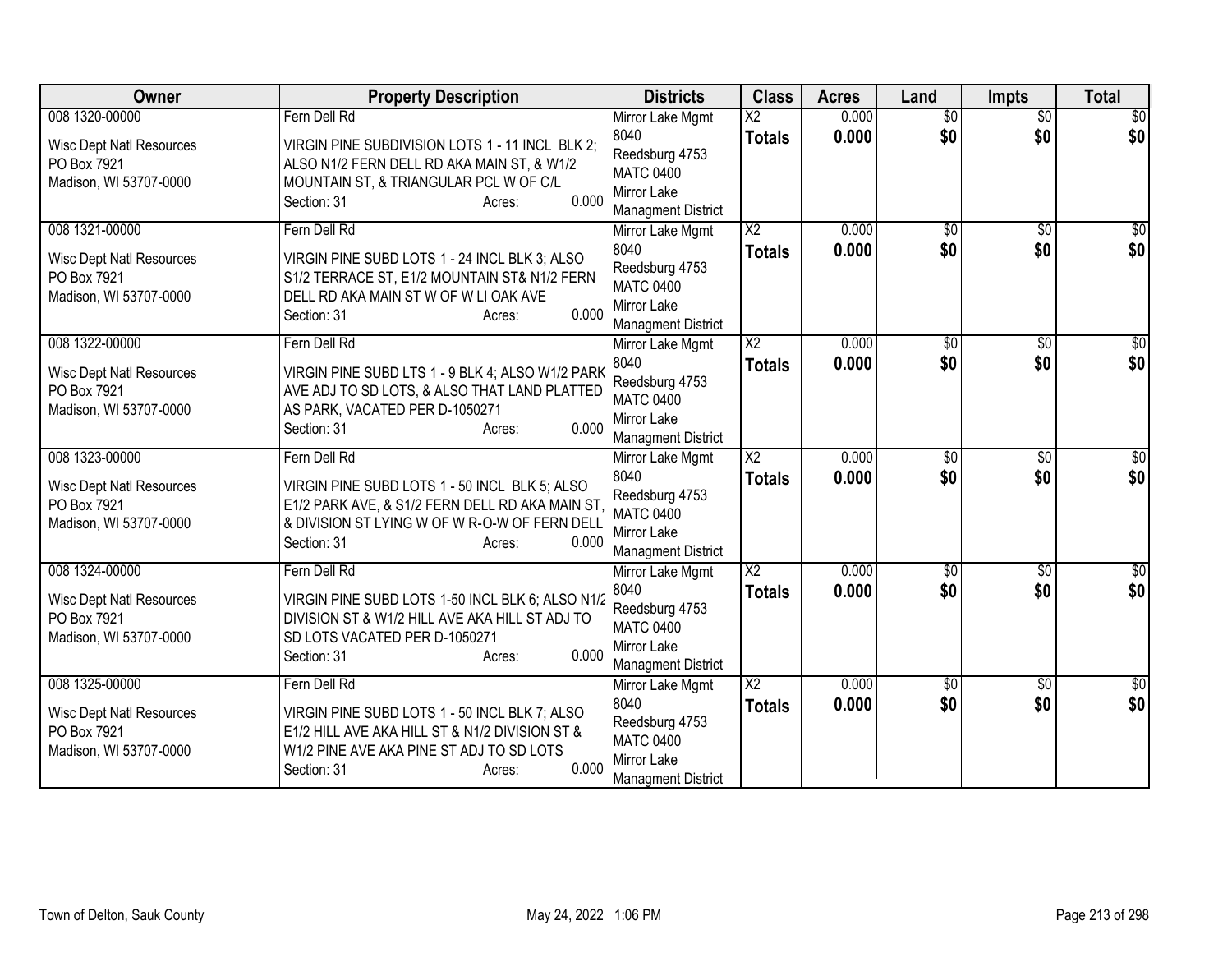| Owner                                          | <b>Property Description</b>                                                                   | <b>Districts</b>                         | <b>Class</b>           | <b>Acres</b>   | Land            | <b>Impts</b>    | <b>Total</b>           |
|------------------------------------------------|-----------------------------------------------------------------------------------------------|------------------------------------------|------------------------|----------------|-----------------|-----------------|------------------------|
| 008 1320-00000                                 | Fern Dell Rd                                                                                  | Mirror Lake Mgmt                         | $\overline{\text{X2}}$ | 0.000          | $\overline{50}$ | $\overline{50}$ | $\overline{50}$        |
| <b>Wisc Dept Natl Resources</b>                | VIRGIN PINE SUBDIVISION LOTS 1 - 11 INCL BLK 2;                                               | 8040                                     | <b>Totals</b>          | 0.000          | \$0             | \$0             | \$0                    |
| PO Box 7921                                    | ALSO N1/2 FERN DELL RD AKA MAIN ST, & W1/2                                                    | Reedsburg 4753<br><b>MATC 0400</b>       |                        |                |                 |                 |                        |
| Madison, WI 53707-0000                         | MOUNTAIN ST, & TRIANGULAR PCL W OF C/L                                                        | Mirror Lake                              |                        |                |                 |                 |                        |
|                                                | 0.000<br>Section: 31<br>Acres:                                                                | <b>Managment District</b>                |                        |                |                 |                 |                        |
| 008 1321-00000                                 | Fern Dell Rd                                                                                  | Mirror Lake Mgmt                         | $\overline{\text{X2}}$ | 0.000          | $\overline{50}$ | $\overline{50}$ | $\sqrt{30}$            |
|                                                |                                                                                               | 8040                                     | <b>Totals</b>          | 0.000          | \$0             | \$0             | \$0                    |
| <b>Wisc Dept Natl Resources</b><br>PO Box 7921 | VIRGIN PINE SUBD LOTS 1 - 24 INCL BLK 3; ALSO<br>S1/2 TERRACE ST, E1/2 MOUNTAIN ST& N1/2 FERN | Reedsburg 4753                           |                        |                |                 |                 |                        |
| Madison, WI 53707-0000                         | DELL RD AKA MAIN ST W OF W LI OAK AVE                                                         | <b>MATC 0400</b>                         |                        |                |                 |                 |                        |
|                                                | 0.000<br>Section: 31<br>Acres:                                                                | Mirror Lake                              |                        |                |                 |                 |                        |
|                                                |                                                                                               | <b>Managment District</b>                | $\overline{X2}$        |                |                 |                 |                        |
| 008 1322-00000                                 | Fern Dell Rd                                                                                  | Mirror Lake Mgmt<br>8040                 |                        | 0.000<br>0.000 | \$0<br>\$0      | \$0<br>\$0      | $\overline{50}$<br>\$0 |
| <b>Wisc Dept Natl Resources</b>                | VIRGIN PINE SUBD LTS 1 - 9 BLK 4; ALSO W1/2 PARK                                              | Reedsburg 4753                           | <b>Totals</b>          |                |                 |                 |                        |
| PO Box 7921                                    | AVE ADJ TO SD LOTS, & ALSO THAT LAND PLATTED                                                  | <b>MATC 0400</b>                         |                        |                |                 |                 |                        |
| Madison, WI 53707-0000                         | AS PARK, VACATED PER D-1050271                                                                | Mirror Lake                              |                        |                |                 |                 |                        |
|                                                | 0.000<br>Section: 31<br>Acres:                                                                | <b>Managment District</b>                |                        |                |                 |                 |                        |
| 008 1323-00000                                 | Fern Dell Rd                                                                                  | Mirror Lake Mgmt                         | $\overline{X2}$        | 0.000          | $\overline{50}$ | $\overline{50}$ | $\overline{50}$        |
| <b>Wisc Dept Natl Resources</b>                | VIRGIN PINE SUBD LOTS 1 - 50 INCL BLK 5; ALSO                                                 | 8040                                     | <b>Totals</b>          | 0.000          | \$0             | \$0             | \$0                    |
| PO Box 7921                                    | E1/2 PARK AVE, & S1/2 FERN DELL RD AKA MAIN ST                                                | Reedsburg 4753                           |                        |                |                 |                 |                        |
| Madison, WI 53707-0000                         | & DIVISION ST LYING W OF W R-O-W OF FERN DELL                                                 | <b>MATC 0400</b>                         |                        |                |                 |                 |                        |
|                                                | 0.000<br>Section: 31<br>Acres:                                                                | Mirror Lake<br><b>Managment District</b> |                        |                |                 |                 |                        |
| 008 1324-00000                                 | Fern Dell Rd                                                                                  | Mirror Lake Mgmt                         | $\overline{X2}$        | 0.000          | $\sqrt{$0}$     | $\overline{50}$ | $\overline{50}$        |
|                                                |                                                                                               | 8040                                     | <b>Totals</b>          | 0.000          | \$0             | \$0             | \$0                    |
| <b>Wisc Dept Natl Resources</b>                | VIRGIN PINE SUBD LOTS 1-50 INCL BLK 6; ALSO N1/2                                              | Reedsburg 4753                           |                        |                |                 |                 |                        |
| PO Box 7921<br>Madison, WI 53707-0000          | DIVISION ST & W1/2 HILL AVE AKA HILL ST ADJ TO<br>SD LOTS VACATED PER D-1050271               | <b>MATC 0400</b>                         |                        |                |                 |                 |                        |
|                                                | 0.000<br>Section: 31<br>Acres:                                                                | Mirror Lake                              |                        |                |                 |                 |                        |
|                                                |                                                                                               | <b>Managment District</b>                |                        |                |                 |                 |                        |
| 008 1325-00000                                 | Fern Dell Rd                                                                                  | Mirror Lake Mgmt                         | $\overline{\text{X2}}$ | 0.000          | \$0             | \$0             | \$0                    |
| <b>Wisc Dept Natl Resources</b>                | VIRGIN PINE SUBD LOTS 1 - 50 INCL BLK 7; ALSO                                                 | 8040                                     | <b>Totals</b>          | 0.000          | \$0             | \$0             | \$0                    |
| PO Box 7921                                    | E1/2 HILL AVE AKA HILL ST & N1/2 DIVISION ST &                                                | Reedsburg 4753<br><b>MATC 0400</b>       |                        |                |                 |                 |                        |
| Madison, WI 53707-0000                         | W1/2 PINE AVE AKA PINE ST ADJ TO SD LOTS                                                      | Mirror Lake                              |                        |                |                 |                 |                        |
|                                                | 0.000<br>Section: 31<br>Acres:                                                                | <b>Managment District</b>                |                        |                |                 |                 |                        |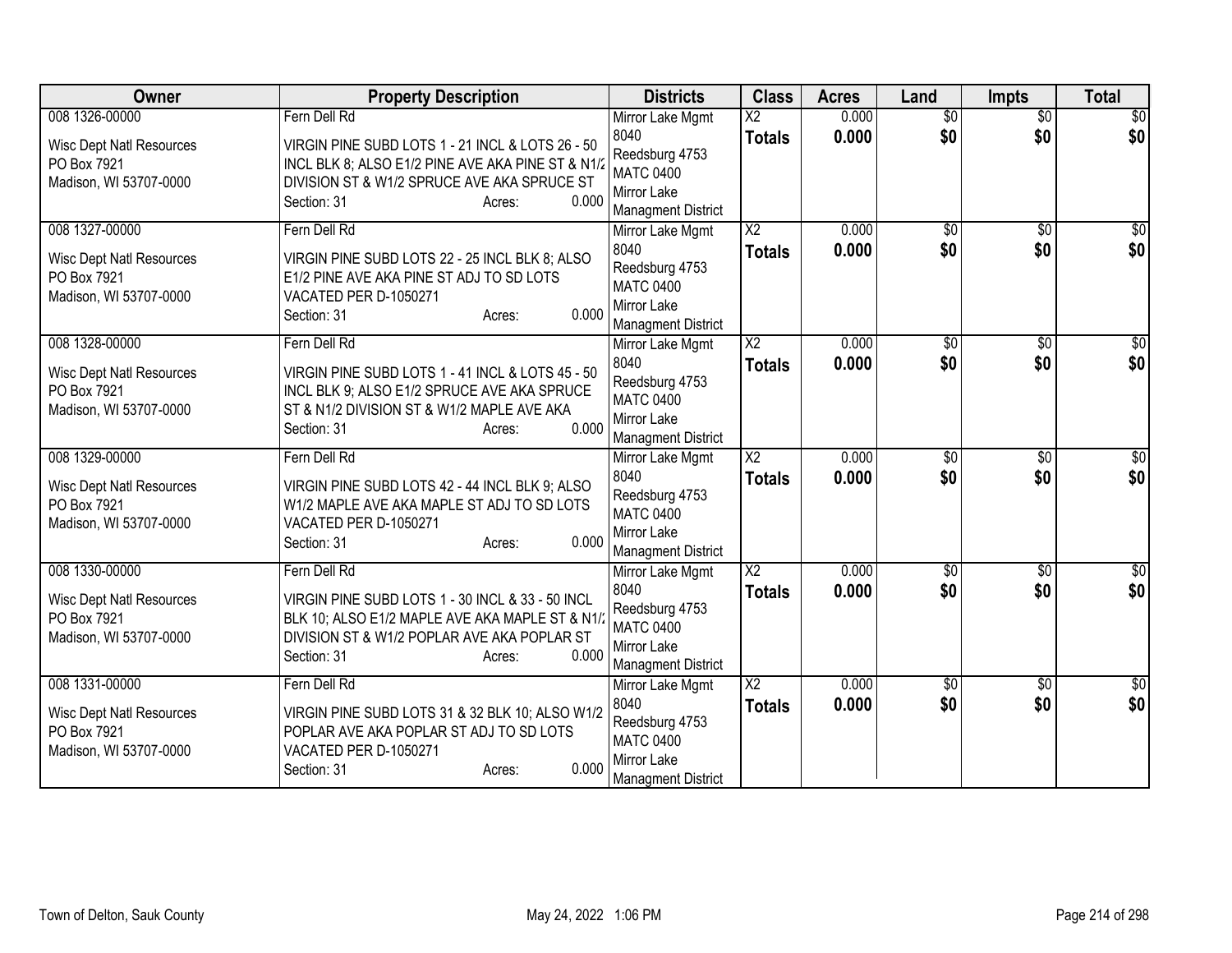| Owner                                                                    | <b>Property Description</b>                                                                                                                                                           | <b>Districts</b>                                                                       | <b>Class</b>             | <b>Acres</b> | Land            | <b>Impts</b>    | <b>Total</b>     |
|--------------------------------------------------------------------------|---------------------------------------------------------------------------------------------------------------------------------------------------------------------------------------|----------------------------------------------------------------------------------------|--------------------------|--------------|-----------------|-----------------|------------------|
| 008 1326-00000                                                           | Fern Dell Rd                                                                                                                                                                          | Mirror Lake Mgmt                                                                       | $\overline{\mathsf{x2}}$ | 0.000        | $\overline{50}$ | $\overline{50}$ | \$0              |
| <b>Wisc Dept Natl Resources</b><br>PO Box 7921<br>Madison, WI 53707-0000 | VIRGIN PINE SUBD LOTS 1 - 21 INCL & LOTS 26 - 50<br>INCL BLK 8; ALSO E1/2 PINE AVE AKA PINE ST & N1/<br>DIVISION ST & W1/2 SPRUCE AVE AKA SPRUCE ST<br>0.000<br>Section: 31<br>Acres: | 8040<br>Reedsburg 4753<br><b>MATC 0400</b><br>Mirror Lake<br><b>Managment District</b> | <b>Totals</b>            | 0.000        | \$0             | \$0             | \$0              |
| 008 1327-00000                                                           | Fern Dell Rd                                                                                                                                                                          | Mirror Lake Mgmt                                                                       | $\overline{\text{X2}}$   | 0.000        | $\overline{50}$ | $\overline{50}$ | $\sqrt{30}$      |
| <b>Wisc Dept Natl Resources</b><br>PO Box 7921<br>Madison, WI 53707-0000 | VIRGIN PINE SUBD LOTS 22 - 25 INCL BLK 8; ALSO<br>E1/2 PINE AVE AKA PINE ST ADJ TO SD LOTS<br>VACATED PER D-1050271<br>0.000<br>Section: 31<br>Acres:                                 | 8040<br>Reedsburg 4753<br><b>MATC 0400</b><br>Mirror Lake<br><b>Managment District</b> | <b>Totals</b>            | 0.000        | \$0             | \$0             | \$0              |
| 008 1328-00000                                                           | Fern Dell Rd                                                                                                                                                                          | Mirror Lake Mgmt                                                                       | $\overline{\text{X2}}$   | 0.000        | \$0             | $\overline{50}$ | \$0              |
| <b>Wisc Dept Natl Resources</b><br>PO Box 7921<br>Madison, WI 53707-0000 | VIRGIN PINE SUBD LOTS 1 - 41 INCL & LOTS 45 - 50<br>INCL BLK 9; ALSO E1/2 SPRUCE AVE AKA SPRUCE<br>ST & N1/2 DIVISION ST & W1/2 MAPLE AVE AKA<br>0.000<br>Section: 31<br>Acres:       | 8040<br>Reedsburg 4753<br><b>MATC 0400</b><br>Mirror Lake<br><b>Managment District</b> | <b>Totals</b>            | 0.000        | \$0             | \$0             | \$0              |
| 008 1329-00000                                                           | Fern Dell Rd                                                                                                                                                                          | Mirror Lake Mgmt                                                                       | $\overline{X2}$          | 0.000        | $\overline{50}$ | $\overline{50}$ | \$0              |
| <b>Wisc Dept Natl Resources</b><br>PO Box 7921<br>Madison, WI 53707-0000 | VIRGIN PINE SUBD LOTS 42 - 44 INCL BLK 9; ALSO<br>W1/2 MAPLE AVE AKA MAPLE ST ADJ TO SD LOTS<br>VACATED PER D-1050271<br>0.000<br>Section: 31<br>Acres:                               | 8040<br>Reedsburg 4753<br><b>MATC 0400</b><br>Mirror Lake<br><b>Managment District</b> | <b>Totals</b>            | 0.000        | \$0             | \$0             | \$0              |
| 008 1330-00000                                                           | Fern Dell Rd                                                                                                                                                                          | Mirror Lake Mgmt                                                                       | $\overline{X2}$          | 0.000        | $\sqrt{$0}$     | \$0             | \$0              |
| <b>Wisc Dept Natl Resources</b><br>PO Box 7921<br>Madison, WI 53707-0000 | VIRGIN PINE SUBD LOTS 1 - 30 INCL & 33 - 50 INCL<br>BLK 10; ALSO E1/2 MAPLE AVE AKA MAPLE ST & N1/<br>DIVISION ST & W1/2 POPLAR AVE AKA POPLAR ST<br>0.000<br>Section: 31<br>Acres:   | 8040<br>Reedsburg 4753<br><b>MATC 0400</b><br>Mirror Lake<br><b>Managment District</b> | <b>Totals</b>            | 0.000        | \$0             | \$0             | \$0              |
| 008 1331-00000                                                           | Fern Dell Rd                                                                                                                                                                          | Mirror Lake Mgmt                                                                       | $\overline{X2}$          | 0.000        | \$0             | \$0             | $\overline{\$0}$ |
| <b>Wisc Dept Natl Resources</b><br>PO Box 7921<br>Madison, WI 53707-0000 | VIRGIN PINE SUBD LOTS 31 & 32 BLK 10; ALSO W1/2<br>POPLAR AVE AKA POPLAR ST ADJ TO SD LOTS<br>VACATED PER D-1050271<br>0.000<br>Section: 31<br>Acres:                                 | 8040<br>Reedsburg 4753<br><b>MATC 0400</b><br>Mirror Lake<br><b>Managment District</b> | <b>Totals</b>            | 0.000        | \$0             | \$0             | \$0              |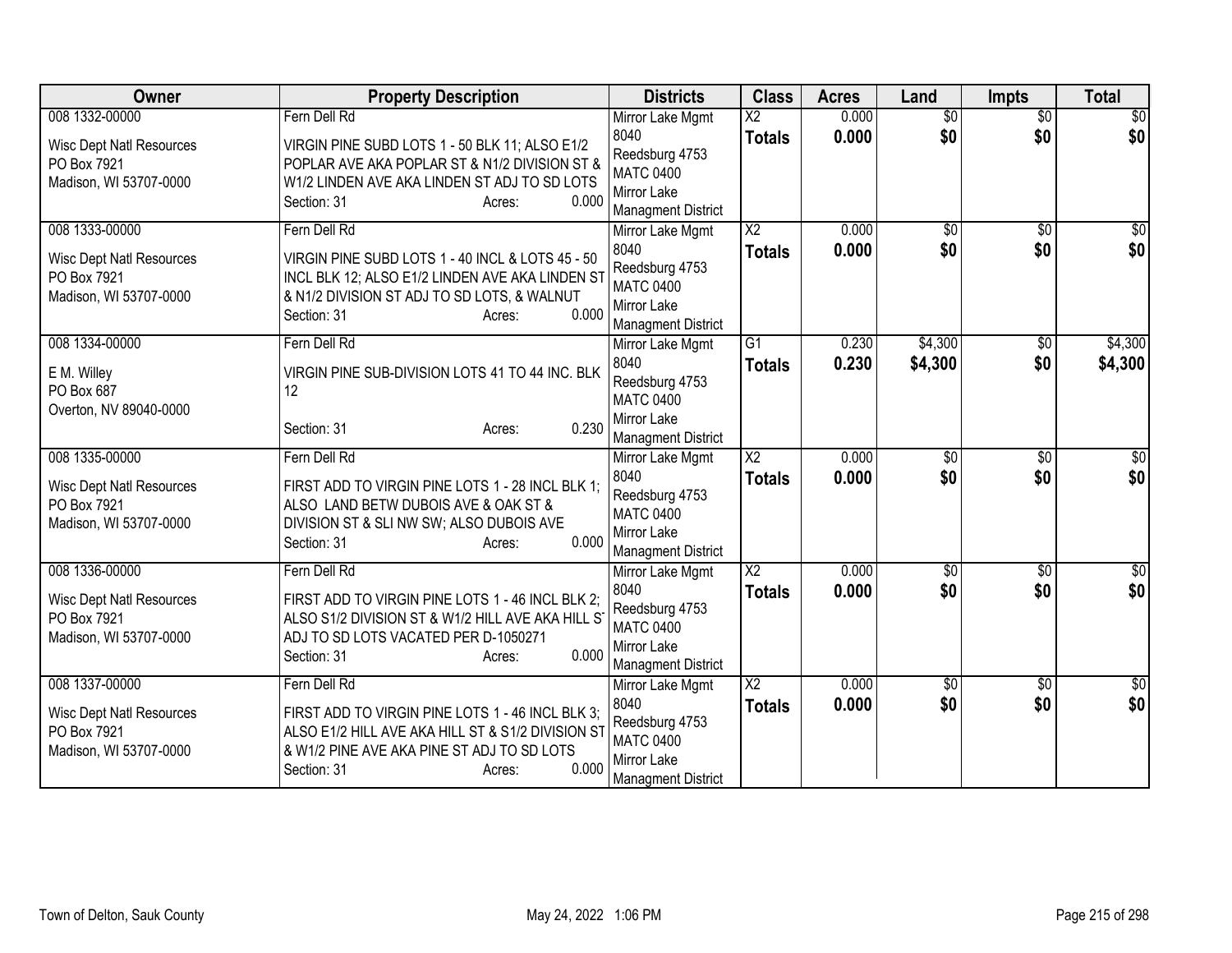| Owner                                 | <b>Property Description</b>                                                                     | <b>Districts</b>                              | <b>Class</b>             | <b>Acres</b> | Land            | <b>Impts</b>    | <b>Total</b>     |
|---------------------------------------|-------------------------------------------------------------------------------------------------|-----------------------------------------------|--------------------------|--------------|-----------------|-----------------|------------------|
| 008 1332-00000                        | Fern Dell Rd                                                                                    | Mirror Lake Mgmt                              | $\overline{\mathsf{x2}}$ | 0.000        | $\overline{30}$ | $\overline{50}$ | \$0              |
| <b>Wisc Dept Natl Resources</b>       | VIRGIN PINE SUBD LOTS 1 - 50 BLK 11; ALSO E1/2                                                  | 8040<br>Reedsburg 4753                        | <b>Totals</b>            | 0.000        | \$0             | \$0             | \$0              |
| PO Box 7921<br>Madison, WI 53707-0000 | POPLAR AVE AKA POPLAR ST & N1/2 DIVISION ST &<br>W1/2 LINDEN AVE AKA LINDEN ST ADJ TO SD LOTS   | <b>MATC 0400</b>                              |                          |              |                 |                 |                  |
|                                       | Section: 31<br>0.000<br>Acres:                                                                  | Mirror Lake                                   |                          |              |                 |                 |                  |
|                                       |                                                                                                 | <b>Managment District</b>                     |                          |              |                 |                 |                  |
| 008 1333-00000                        | Fern Dell Rd                                                                                    | Mirror Lake Mgmt                              | $\overline{\text{X2}}$   | 0.000        | $\overline{50}$ | $\overline{50}$ | $\sqrt{30}$      |
| <b>Wisc Dept Natl Resources</b>       | VIRGIN PINE SUBD LOTS 1 - 40 INCL & LOTS 45 - 50                                                | 8040<br>Reedsburg 4753                        | <b>Totals</b>            | 0.000        | \$0             | \$0             | \$0              |
| PO Box 7921                           | INCL BLK 12; ALSO E1/2 LINDEN AVE AKA LINDEN ST                                                 | <b>MATC 0400</b>                              |                          |              |                 |                 |                  |
| Madison, WI 53707-0000                | & N1/2 DIVISION ST ADJ TO SD LOTS, & WALNUT                                                     | Mirror Lake                                   |                          |              |                 |                 |                  |
|                                       | 0.000<br>Section: 31<br>Acres:                                                                  | <b>Managment District</b>                     |                          |              |                 |                 |                  |
| 008 1334-00000                        | Fern Dell Rd                                                                                    | Mirror Lake Mgmt                              | $\overline{G1}$          | 0.230        | \$4,300         | \$0             | \$4,300          |
| E M. Willey                           | VIRGIN PINE SUB-DIVISION LOTS 41 TO 44 INC. BLK                                                 | 8040                                          | <b>Totals</b>            | 0.230        | \$4,300         | \$0             | \$4,300          |
| PO Box 687                            | 12                                                                                              | Reedsburg 4753                                |                          |              |                 |                 |                  |
| Overton, NV 89040-0000                |                                                                                                 | <b>MATC 0400</b><br>Mirror Lake               |                          |              |                 |                 |                  |
|                                       | 0.230<br>Section: 31<br>Acres:                                                                  | <b>Managment District</b>                     |                          |              |                 |                 |                  |
| 008 1335-00000                        | Fern Dell Rd                                                                                    | Mirror Lake Mgmt                              | $\overline{X2}$          | 0.000        | $\overline{50}$ | $\overline{50}$ | \$0              |
| <b>Wisc Dept Natl Resources</b>       | FIRST ADD TO VIRGIN PINE LOTS 1 - 28 INCL BLK 1;                                                | 8040                                          | <b>Totals</b>            | 0.000        | \$0             | \$0             | \$0              |
| PO Box 7921                           | ALSO LAND BETW DUBOIS AVE & OAK ST &                                                            | Reedsburg 4753<br><b>MATC 0400</b>            |                          |              |                 |                 |                  |
| Madison, WI 53707-0000                | DIVISION ST & SLI NW SW; ALSO DUBOIS AVE                                                        | Mirror Lake                                   |                          |              |                 |                 |                  |
|                                       | 0.000<br>Section: 31<br>Acres:                                                                  | <b>Managment District</b>                     |                          |              |                 |                 |                  |
| 008 1336-00000                        | Fern Dell Rd                                                                                    | Mirror Lake Mgmt                              | $\overline{X2}$          | 0.000        | $\sqrt{$0}$     | \$0             | \$0              |
| <b>Wisc Dept Natl Resources</b>       | FIRST ADD TO VIRGIN PINE LOTS 1 - 46 INCL BLK 2;                                                | 8040                                          | <b>Totals</b>            | 0.000        | \$0             | \$0             | \$0              |
| PO Box 7921                           | ALSO S1/2 DIVISION ST & W1/2 HILL AVE AKA HILL S                                                | Reedsburg 4753                                |                          |              |                 |                 |                  |
| Madison, WI 53707-0000                | ADJ TO SD LOTS VACATED PER D-1050271                                                            | <b>MATC 0400</b>                              |                          |              |                 |                 |                  |
|                                       | 0.000<br>Section: 31<br>Acres:                                                                  | Mirror Lake                                   |                          |              |                 |                 |                  |
| 008 1337-00000                        | Fern Dell Rd                                                                                    | <b>Managment District</b><br>Mirror Lake Mgmt | $\overline{\text{X2}}$   | 0.000        | \$0             | \$0             | $\overline{\$0}$ |
|                                       |                                                                                                 | 8040                                          | <b>Totals</b>            | 0.000        | \$0             | \$0             | \$0              |
| <b>Wisc Dept Natl Resources</b>       | FIRST ADD TO VIRGIN PINE LOTS 1 - 46 INCL BLK 3;                                                | Reedsburg 4753                                |                          |              |                 |                 |                  |
| PO Box 7921<br>Madison, WI 53707-0000 | ALSO E1/2 HILL AVE AKA HILL ST & S1/2 DIVISION ST<br>& W1/2 PINE AVE AKA PINE ST ADJ TO SD LOTS | <b>MATC 0400</b>                              |                          |              |                 |                 |                  |
|                                       | 0.000<br>Section: 31<br>Acres:                                                                  | Mirror Lake                                   |                          |              |                 |                 |                  |
|                                       |                                                                                                 | <b>Managment District</b>                     |                          |              |                 |                 |                  |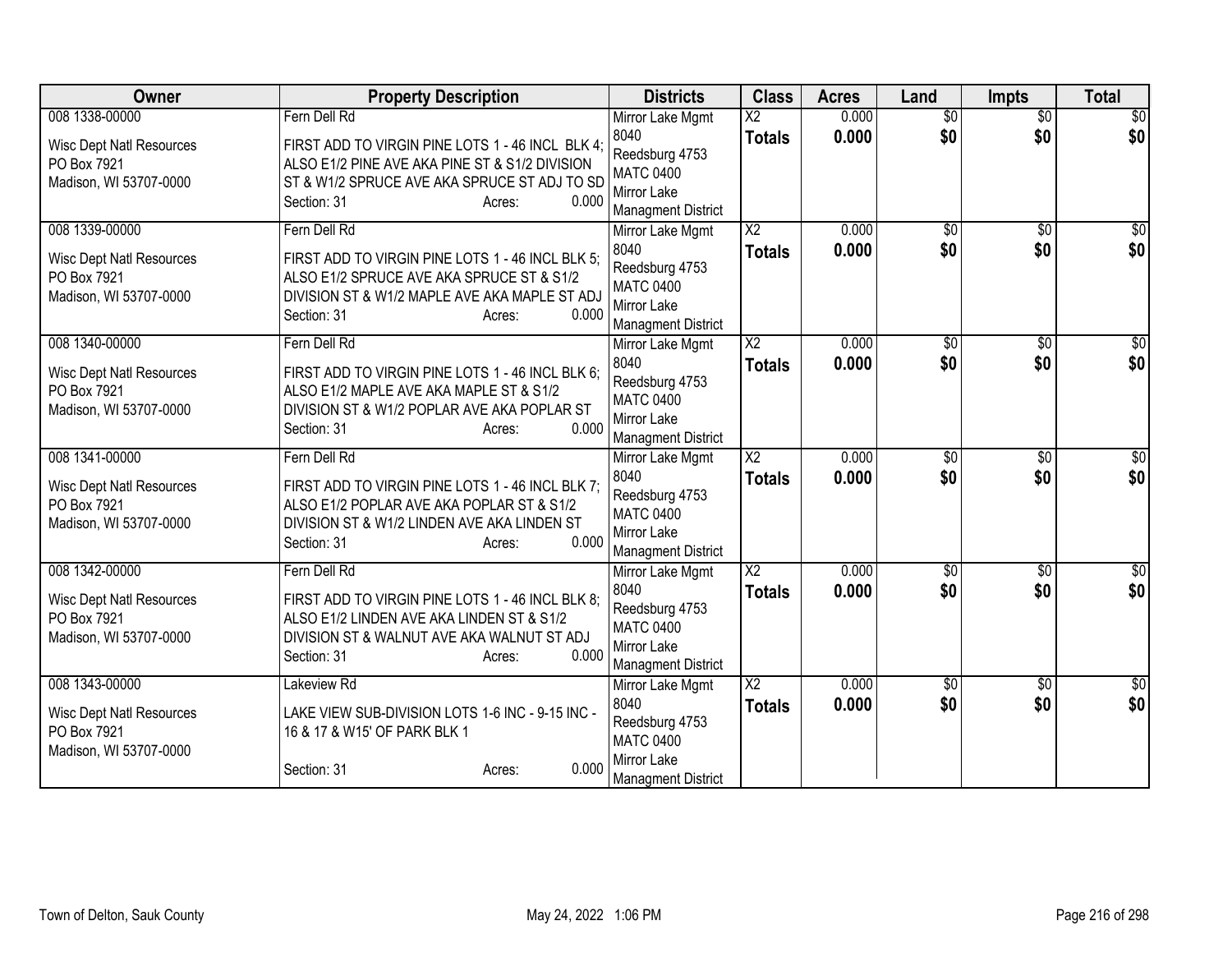| Owner                           | <b>Property Description</b>                                                   | <b>Districts</b>                              | <b>Class</b>             | <b>Acres</b> | Land            | <b>Impts</b>    | <b>Total</b> |
|---------------------------------|-------------------------------------------------------------------------------|-----------------------------------------------|--------------------------|--------------|-----------------|-----------------|--------------|
| 008 1338-00000                  | Fern Dell Rd                                                                  | Mirror Lake Mgmt                              | $\overline{\mathsf{x2}}$ | 0.000        | $\overline{30}$ | $\overline{50}$ | \$0          |
| <b>Wisc Dept Natl Resources</b> | FIRST ADD TO VIRGIN PINE LOTS 1 - 46 INCL BLK 4;                              | 8040                                          | <b>Totals</b>            | 0.000        | \$0             | \$0             | \$0          |
| PO Box 7921                     | ALSO E1/2 PINE AVE AKA PINE ST & S1/2 DIVISION                                | Reedsburg 4753<br><b>MATC 0400</b>            |                          |              |                 |                 |              |
| Madison, WI 53707-0000          | ST & W1/2 SPRUCE AVE AKA SPRUCE ST ADJ TO SD                                  | Mirror Lake                                   |                          |              |                 |                 |              |
|                                 | 0.000<br>Section: 31<br>Acres:                                                | <b>Managment District</b>                     |                          |              |                 |                 |              |
| 008 1339-00000                  | Fern Dell Rd                                                                  | Mirror Lake Mgmt                              | $\overline{\text{X2}}$   | 0.000        | $\overline{50}$ | $\overline{50}$ | $\sqrt{30}$  |
| <b>Wisc Dept Natl Resources</b> | FIRST ADD TO VIRGIN PINE LOTS 1 - 46 INCL BLK 5;                              | 8040                                          | <b>Totals</b>            | 0.000        | \$0             | \$0             | \$0          |
| PO Box 7921                     | ALSO E1/2 SPRUCE AVE AKA SPRUCE ST & S1/2                                     | Reedsburg 4753                                |                          |              |                 |                 |              |
| Madison, WI 53707-0000          | DIVISION ST & W1/2 MAPLE AVE AKA MAPLE ST ADJ                                 | <b>MATC 0400</b>                              |                          |              |                 |                 |              |
|                                 | 0.000<br>Section: 31<br>Acres:                                                | Mirror Lake                                   |                          |              |                 |                 |              |
| 008 1340-00000                  | Fern Dell Rd                                                                  | <b>Managment District</b><br>Mirror Lake Mgmt | $\overline{\text{X2}}$   | 0.000        | \$0             | $\overline{50}$ | \$0          |
|                                 |                                                                               | 8040                                          | <b>Totals</b>            | 0.000        | \$0             | \$0             | \$0          |
| <b>Wisc Dept Natl Resources</b> | FIRST ADD TO VIRGIN PINE LOTS 1 - 46 INCL BLK 6;                              | Reedsburg 4753                                |                          |              |                 |                 |              |
| PO Box 7921                     | ALSO E1/2 MAPLE AVE AKA MAPLE ST & S1/2                                       | <b>MATC 0400</b>                              |                          |              |                 |                 |              |
| Madison, WI 53707-0000          | DIVISION ST & W1/2 POPLAR AVE AKA POPLAR ST<br>0.000<br>Section: 31<br>Acres: | Mirror Lake                                   |                          |              |                 |                 |              |
|                                 |                                                                               | <b>Managment District</b>                     |                          |              |                 |                 |              |
| 008 1341-00000                  | Fern Dell Rd                                                                  | Mirror Lake Mgmt                              | $\overline{X2}$          | 0.000        | $\overline{50}$ | $\overline{50}$ | \$0          |
| <b>Wisc Dept Natl Resources</b> | FIRST ADD TO VIRGIN PINE LOTS 1 - 46 INCL BLK 7;                              | 8040                                          | <b>Totals</b>            | 0.000        | \$0             | \$0             | \$0          |
| PO Box 7921                     | ALSO E1/2 POPLAR AVE AKA POPLAR ST & S1/2                                     | Reedsburg 4753<br><b>MATC 0400</b>            |                          |              |                 |                 |              |
| Madison, WI 53707-0000          | DIVISION ST & W1/2 LINDEN AVE AKA LINDEN ST                                   | Mirror Lake                                   |                          |              |                 |                 |              |
|                                 | 0.000<br>Section: 31<br>Acres:                                                | <b>Managment District</b>                     |                          |              |                 |                 |              |
| 008 1342-00000                  | Fern Dell Rd                                                                  | Mirror Lake Mgmt                              | $\overline{X2}$          | 0.000        | $\sqrt{$0}$     | \$0             | \$0          |
| <b>Wisc Dept Natl Resources</b> | FIRST ADD TO VIRGIN PINE LOTS 1 - 46 INCL BLK 8;                              | 8040                                          | <b>Totals</b>            | 0.000        | \$0             | \$0             | \$0          |
| PO Box 7921                     | ALSO E1/2 LINDEN AVE AKA LINDEN ST & S1/2                                     | Reedsburg 4753                                |                          |              |                 |                 |              |
| Madison, WI 53707-0000          | DIVISION ST & WALNUT AVE AKA WALNUT ST ADJ                                    | <b>MATC 0400</b>                              |                          |              |                 |                 |              |
|                                 | 0.000<br>Section: 31<br>Acres:                                                | Mirror Lake                                   |                          |              |                 |                 |              |
| 008 1343-00000                  | Lakeview Rd                                                                   | <b>Managment District</b><br>Mirror Lake Mgmt | $\overline{X2}$          | 0.000        | \$0             | \$0             | $\sqrt{50}$  |
|                                 |                                                                               | 8040                                          | <b>Totals</b>            | 0.000        | \$0             | \$0             | \$0          |
| <b>Wisc Dept Natl Resources</b> | LAKE VIEW SUB-DIVISION LOTS 1-6 INC - 9-15 INC -                              | Reedsburg 4753                                |                          |              |                 |                 |              |
| PO Box 7921                     | 16 & 17 & W15' OF PARK BLK 1                                                  | <b>MATC 0400</b>                              |                          |              |                 |                 |              |
| Madison, WI 53707-0000          | 0.000<br>Section: 31                                                          | Mirror Lake                                   |                          |              |                 |                 |              |
|                                 | Acres:                                                                        | <b>Managment District</b>                     |                          |              |                 |                 |              |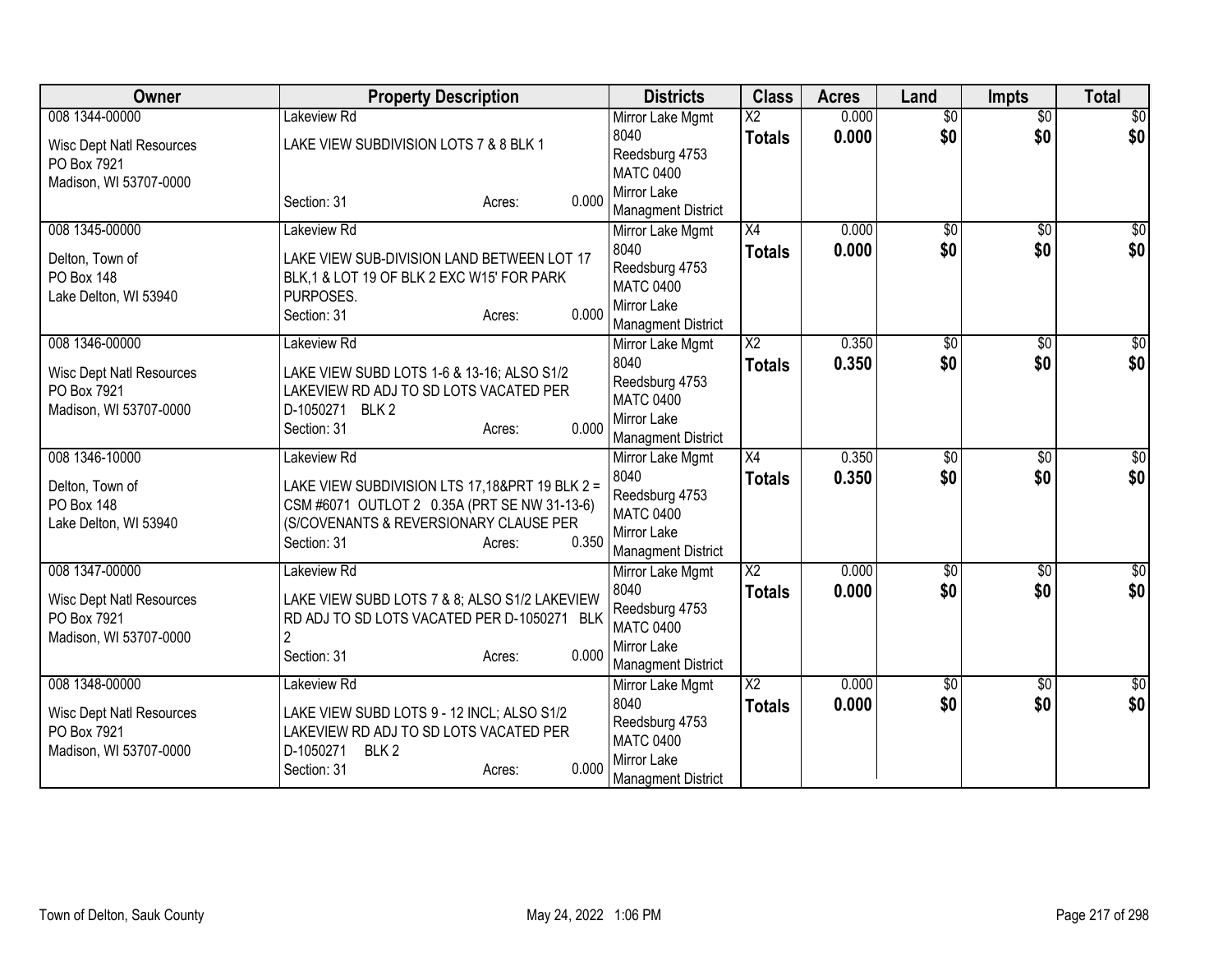| <b>Owner</b>                                   | <b>Property Description</b>                                                                  | <b>Districts</b>                   | <b>Class</b>           | <b>Acres</b>   | Land            | <b>Impts</b>    | <b>Total</b>    |
|------------------------------------------------|----------------------------------------------------------------------------------------------|------------------------------------|------------------------|----------------|-----------------|-----------------|-----------------|
| 008 1344-00000                                 | Lakeview Rd                                                                                  | Mirror Lake Mgmt                   | $\overline{\text{X2}}$ | 0.000          | $\overline{50}$ | $\overline{50}$ | $\overline{50}$ |
| <b>Wisc Dept Natl Resources</b>                | LAKE VIEW SUBDIVISION LOTS 7 & 8 BLK 1                                                       | 8040                               | <b>Totals</b>          | 0.000          | \$0             | \$0             | \$0             |
| PO Box 7921                                    |                                                                                              | Reedsburg 4753<br><b>MATC 0400</b> |                        |                |                 |                 |                 |
| Madison, WI 53707-0000                         |                                                                                              | Mirror Lake                        |                        |                |                 |                 |                 |
|                                                | 0.000<br>Section: 31<br>Acres:                                                               | <b>Managment District</b>          |                        |                |                 |                 |                 |
| 008 1345-00000                                 | Lakeview Rd                                                                                  | Mirror Lake Mgmt                   | $\overline{X4}$        | 0.000          | $\overline{50}$ | $\overline{50}$ | $\sqrt{30}$     |
| Delton, Town of                                | LAKE VIEW SUB-DIVISION LAND BETWEEN LOT 17                                                   | 8040                               | <b>Totals</b>          | 0.000          | \$0             | \$0             | \$0             |
| <b>PO Box 148</b>                              | BLK, 1 & LOT 19 OF BLK 2 EXC W15' FOR PARK                                                   | Reedsburg 4753                     |                        |                |                 |                 |                 |
| Lake Delton, WI 53940                          | PURPOSES.                                                                                    | <b>MATC 0400</b>                   |                        |                |                 |                 |                 |
|                                                | 0.000<br>Section: 31<br>Acres:                                                               | Mirror Lake                        |                        |                |                 |                 |                 |
| 008 1346-00000                                 | Lakeview Rd                                                                                  | <b>Managment District</b>          | $\overline{X2}$        | 0.350          | \$0             | \$0             | \$0             |
|                                                |                                                                                              | Mirror Lake Mgmt<br>8040           |                        | 0.350          | \$0             | \$0             | \$0             |
| <b>Wisc Dept Natl Resources</b>                | LAKE VIEW SUBD LOTS 1-6 & 13-16; ALSO S1/2                                                   | Reedsburg 4753                     | <b>Totals</b>          |                |                 |                 |                 |
| PO Box 7921                                    | LAKEVIEW RD ADJ TO SD LOTS VACATED PER                                                       | <b>MATC 0400</b>                   |                        |                |                 |                 |                 |
| Madison, WI 53707-0000                         | D-1050271 BLK 2<br>0.000                                                                     | Mirror Lake                        |                        |                |                 |                 |                 |
|                                                | Section: 31<br>Acres:                                                                        | <b>Managment District</b>          |                        |                |                 |                 |                 |
| 008 1346-10000                                 | Lakeview Rd                                                                                  | Mirror Lake Mgmt                   | X4                     | 0.350          | $\sqrt{6}$      | $\overline{50}$ | $\overline{50}$ |
| Delton, Town of                                | LAKE VIEW SUBDIVISION LTS 17,18&PRT 19 BLK 2 =                                               | 8040                               | <b>Totals</b>          | 0.350          | \$0             | \$0             | \$0             |
| <b>PO Box 148</b>                              | CSM #6071 OUTLOT 2 0.35A (PRT SE NW 31-13-6)                                                 | Reedsburg 4753<br><b>MATC 0400</b> |                        |                |                 |                 |                 |
| Lake Delton, WI 53940                          | (S/COVENANTS & REVERSIONARY CLAUSE PER                                                       | Mirror Lake                        |                        |                |                 |                 |                 |
|                                                | 0.350<br>Section: 31<br>Acres:                                                               | <b>Managment District</b>          |                        |                |                 |                 |                 |
| 008 1347-00000                                 | Lakeview Rd                                                                                  | Mirror Lake Mgmt                   | $\overline{X2}$        | 0.000          | $\sqrt{$0}$     | $\sqrt{$0}$     | $\overline{50}$ |
|                                                |                                                                                              | 8040                               | <b>Totals</b>          | 0.000          | \$0             | \$0             | \$0             |
| <b>Wisc Dept Natl Resources</b><br>PO Box 7921 | LAKE VIEW SUBD LOTS 7 & 8; ALSO S1/2 LAKEVIEW<br>RD ADJ TO SD LOTS VACATED PER D-1050271 BLK | Reedsburg 4753                     |                        |                |                 |                 |                 |
| Madison, WI 53707-0000                         |                                                                                              | <b>MATC 0400</b>                   |                        |                |                 |                 |                 |
|                                                | 0.000<br>Section: 31<br>Acres:                                                               | Mirror Lake                        |                        |                |                 |                 |                 |
| 008 1348-00000                                 |                                                                                              | <b>Managment District</b>          | $\overline{X2}$        |                |                 |                 |                 |
|                                                | Lakeview Rd                                                                                  | Mirror Lake Mgmt<br>8040           |                        | 0.000<br>0.000 | \$0<br>\$0      | \$0<br>\$0      | \$0<br>\$0      |
| <b>Wisc Dept Natl Resources</b>                | LAKE VIEW SUBD LOTS 9 - 12 INCL; ALSO S1/2                                                   | Reedsburg 4753                     | <b>Totals</b>          |                |                 |                 |                 |
| PO Box 7921                                    | LAKEVIEW RD ADJ TO SD LOTS VACATED PER                                                       | <b>MATC 0400</b>                   |                        |                |                 |                 |                 |
| Madison, WI 53707-0000                         | BLK <sub>2</sub><br>D-1050271<br>0.000                                                       | Mirror Lake                        |                        |                |                 |                 |                 |
|                                                | Section: 31<br>Acres:                                                                        | <b>Managment District</b>          |                        |                |                 |                 |                 |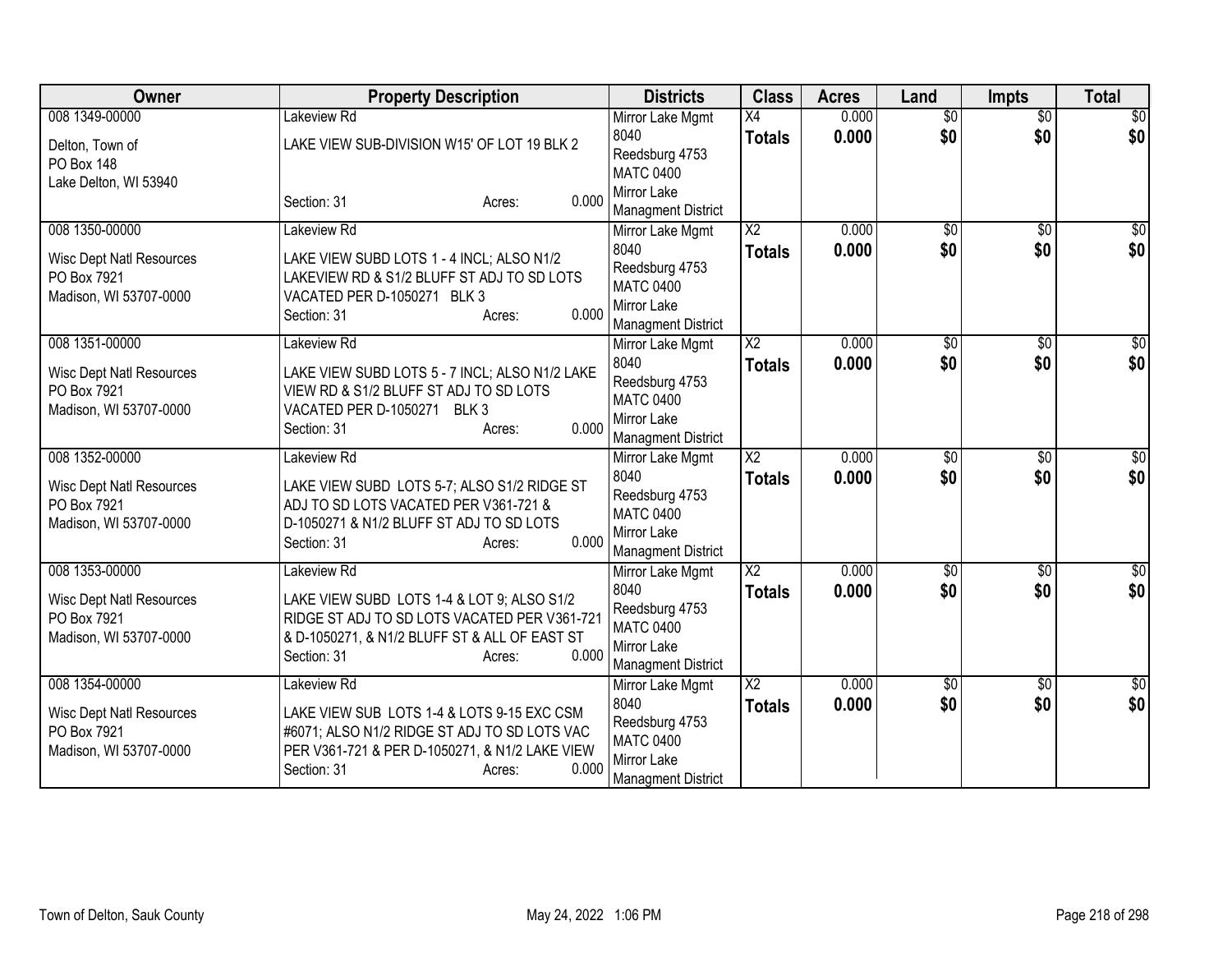| Owner                           | <b>Property Description</b>                         | <b>Districts</b>                              | <b>Class</b>           | <b>Acres</b> | Land            | <b>Impts</b>    | <b>Total</b>     |
|---------------------------------|-----------------------------------------------------|-----------------------------------------------|------------------------|--------------|-----------------|-----------------|------------------|
| 008 1349-00000                  | Lakeview Rd                                         | Mirror Lake Mgmt                              | $\overline{X4}$        | 0.000        | $\overline{50}$ | $\overline{50}$ | \$0              |
| Delton, Town of                 | LAKE VIEW SUB-DIVISION W15' OF LOT 19 BLK 2         | 8040                                          | <b>Totals</b>          | 0.000        | \$0             | \$0             | \$0              |
| <b>PO Box 148</b>               |                                                     | Reedsburg 4753                                |                        |              |                 |                 |                  |
| Lake Delton, WI 53940           |                                                     | <b>MATC 0400</b><br>Mirror Lake               |                        |              |                 |                 |                  |
|                                 | 0.000<br>Section: 31<br>Acres:                      | <b>Managment District</b>                     |                        |              |                 |                 |                  |
| 008 1350-00000                  | Lakeview Rd                                         | Mirror Lake Mgmt                              | $\overline{\text{X2}}$ | 0.000        | $\overline{50}$ | $\overline{50}$ | \$0              |
|                                 |                                                     | 8040                                          | <b>Totals</b>          | 0.000        | \$0             | \$0             | \$0              |
| <b>Wisc Dept Natl Resources</b> | LAKE VIEW SUBD LOTS 1 - 4 INCL; ALSO N1/2           | Reedsburg 4753                                |                        |              |                 |                 |                  |
| PO Box 7921                     | LAKEVIEW RD & S1/2 BLUFF ST ADJ TO SD LOTS          | <b>MATC 0400</b>                              |                        |              |                 |                 |                  |
| Madison, WI 53707-0000          | VACATED PER D-1050271 BLK 3<br>0.000<br>Section: 31 | Mirror Lake                                   |                        |              |                 |                 |                  |
|                                 | Acres:                                              | <b>Managment District</b>                     |                        |              |                 |                 |                  |
| 008 1351-00000                  | Lakeview Rd                                         | Mirror Lake Mgmt                              | $\overline{\text{X2}}$ | 0.000        | \$0             | \$0             | \$0              |
| <b>Wisc Dept Natl Resources</b> | LAKE VIEW SUBD LOTS 5 - 7 INCL; ALSO N1/2 LAKE      | 8040                                          | <b>Totals</b>          | 0.000        | \$0             | \$0             | \$0              |
| PO Box 7921                     | VIEW RD & S1/2 BLUFF ST ADJ TO SD LOTS              | Reedsburg 4753                                |                        |              |                 |                 |                  |
| Madison, WI 53707-0000          | VACATED PER D-1050271 BLK 3                         | <b>MATC 0400</b>                              |                        |              |                 |                 |                  |
|                                 | 0.000<br>Section: 31<br>Acres:                      | Mirror Lake                                   |                        |              |                 |                 |                  |
| 008 1352-00000                  | Lakeview Rd                                         | <b>Managment District</b><br>Mirror Lake Mgmt | $\overline{X2}$        | 0.000        | $\overline{50}$ | $\overline{50}$ | \$0              |
|                                 |                                                     | 8040                                          | <b>Totals</b>          | 0.000        | \$0             | \$0             | \$0              |
| <b>Wisc Dept Natl Resources</b> | LAKE VIEW SUBD LOTS 5-7; ALSO S1/2 RIDGE ST         | Reedsburg 4753                                |                        |              |                 |                 |                  |
| PO Box 7921                     | ADJ TO SD LOTS VACATED PER V361-721 &               | <b>MATC 0400</b>                              |                        |              |                 |                 |                  |
| Madison, WI 53707-0000          | D-1050271 & N1/2 BLUFF ST ADJ TO SD LOTS            | Mirror Lake                                   |                        |              |                 |                 |                  |
|                                 | 0.000<br>Section: 31<br>Acres:                      | <b>Managment District</b>                     |                        |              |                 |                 |                  |
| 008 1353-00000                  | Lakeview Rd                                         | Mirror Lake Mgmt                              | $\overline{X2}$        | 0.000        | $\sqrt{$0}$     | \$0             | \$0              |
| <b>Wisc Dept Natl Resources</b> | LAKE VIEW SUBD LOTS 1-4 & LOT 9; ALSO S1/2          | 8040                                          | <b>Totals</b>          | 0.000        | \$0             | \$0             | \$0              |
| PO Box 7921                     | RIDGE ST ADJ TO SD LOTS VACATED PER V361-721        | Reedsburg 4753                                |                        |              |                 |                 |                  |
| Madison, WI 53707-0000          | & D-1050271, & N1/2 BLUFF ST & ALL OF EAST ST       | <b>MATC 0400</b>                              |                        |              |                 |                 |                  |
|                                 | 0.000<br>Section: 31<br>Acres:                      | Mirror Lake                                   |                        |              |                 |                 |                  |
| 008 1354-00000                  | Lakeview Rd                                         | <b>Managment District</b>                     | $\overline{X2}$        | 0.000        | \$0             | \$0             | $\overline{\$0}$ |
|                                 |                                                     | Mirror Lake Mgmt<br>8040                      |                        | 0.000        | \$0             | \$0             | \$0              |
| <b>Wisc Dept Natl Resources</b> | LAKE VIEW SUB LOTS 1-4 & LOTS 9-15 EXC CSM          | Reedsburg 4753                                | <b>Totals</b>          |              |                 |                 |                  |
| PO Box 7921                     | #6071; ALSO N1/2 RIDGE ST ADJ TO SD LOTS VAC        | <b>MATC 0400</b>                              |                        |              |                 |                 |                  |
| Madison, WI 53707-0000          | PER V361-721 & PER D-1050271, & N1/2 LAKE VIEW      | Mirror Lake                                   |                        |              |                 |                 |                  |
|                                 | 0.000<br>Section: 31<br>Acres:                      | <b>Managment District</b>                     |                        |              |                 |                 |                  |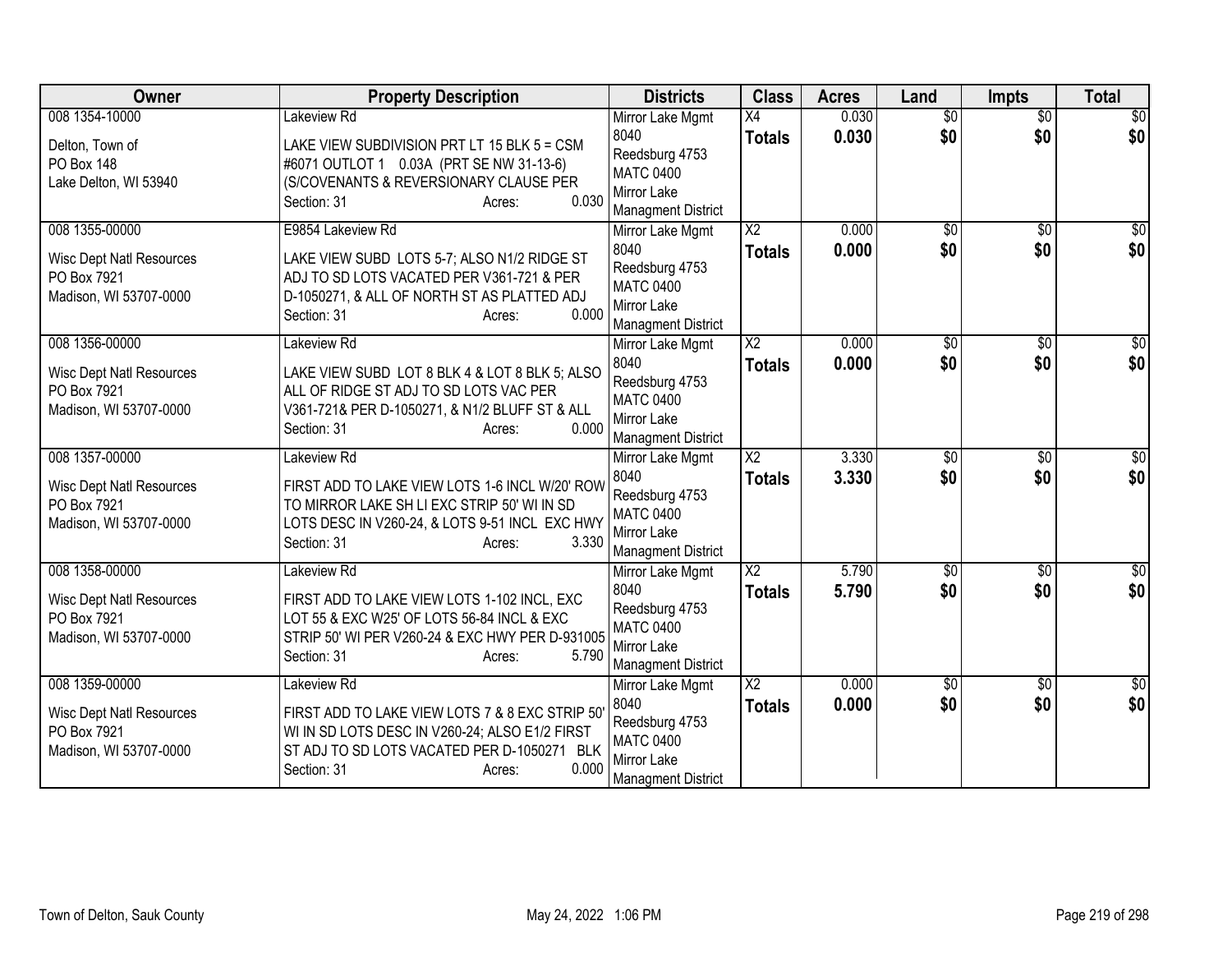| <b>Owner</b>                                   | <b>Property Description</b>                                                               | <b>Districts</b>                   | <b>Class</b>           | <b>Acres</b> | Land            | <b>Impts</b>    | <b>Total</b>    |
|------------------------------------------------|-------------------------------------------------------------------------------------------|------------------------------------|------------------------|--------------|-----------------|-----------------|-----------------|
| 008 1354-10000                                 | Lakeview Rd                                                                               | Mirror Lake Mgmt                   | $\overline{X4}$        | 0.030        | $\overline{50}$ | $\overline{50}$ | $\overline{50}$ |
| Delton, Town of                                | LAKE VIEW SUBDIVISION PRT LT 15 BLK 5 = CSM                                               | 8040                               | <b>Totals</b>          | 0.030        | \$0             | \$0             | \$0             |
| PO Box 148                                     | #6071 OUTLOT 1 0.03A (PRT SE NW 31-13-6)                                                  | Reedsburg 4753<br><b>MATC 0400</b> |                        |              |                 |                 |                 |
| Lake Delton, WI 53940                          | (S/COVENANTS & REVERSIONARY CLAUSE PER                                                    | Mirror Lake                        |                        |              |                 |                 |                 |
|                                                | 0.030<br>Section: 31<br>Acres:                                                            | <b>Managment District</b>          |                        |              |                 |                 |                 |
| 008 1355-00000                                 | E9854 Lakeview Rd                                                                         | Mirror Lake Mgmt                   | $\overline{\text{X2}}$ | 0.000        | \$0             | \$0             | $\sqrt{30}$     |
| <b>Wisc Dept Natl Resources</b>                | LAKE VIEW SUBD LOTS 5-7; ALSO N1/2 RIDGE ST                                               | 8040                               | <b>Totals</b>          | 0.000        | \$0             | \$0             | \$0             |
| PO Box 7921                                    | ADJ TO SD LOTS VACATED PER V361-721 & PER                                                 | Reedsburg 4753                     |                        |              |                 |                 |                 |
| Madison, WI 53707-0000                         | D-1050271, & ALL OF NORTH ST AS PLATTED ADJ                                               | <b>MATC 0400</b>                   |                        |              |                 |                 |                 |
|                                                | 0.000<br>Section: 31<br>Acres:                                                            | Mirror Lake                        |                        |              |                 |                 |                 |
| 008 1356-00000                                 | Lakeview Rd                                                                               | <b>Managment District</b>          | $\overline{X2}$        | 0.000        | \$0             | \$0             | $\overline{30}$ |
|                                                |                                                                                           | Mirror Lake Mgmt<br>8040           |                        | 0.000        | \$0             | \$0             | \$0             |
| <b>Wisc Dept Natl Resources</b>                | LAKE VIEW SUBD LOT 8 BLK 4 & LOT 8 BLK 5; ALSO                                            | Reedsburg 4753                     | <b>Totals</b>          |              |                 |                 |                 |
| PO Box 7921                                    | ALL OF RIDGE ST ADJ TO SD LOTS VAC PER                                                    | <b>MATC 0400</b>                   |                        |              |                 |                 |                 |
| Madison, WI 53707-0000                         | V361-721& PER D-1050271, & N1/2 BLUFF ST & ALL                                            | Mirror Lake                        |                        |              |                 |                 |                 |
|                                                | 0.000<br>Section: 31<br>Acres:                                                            | <b>Managment District</b>          |                        |              |                 |                 |                 |
| 008 1357-00000                                 | Lakeview Rd                                                                               | Mirror Lake Mgmt                   | $\overline{X2}$        | 3.330        | $\sqrt{6}$      | $\overline{50}$ | \$0             |
| <b>Wisc Dept Natl Resources</b>                | FIRST ADD TO LAKE VIEW LOTS 1-6 INCL W/20' ROW                                            | 8040                               | <b>Totals</b>          | 3.330        | \$0             | \$0             | \$0             |
| PO Box 7921                                    | TO MIRROR LAKE SH LI EXC STRIP 50' WI IN SD                                               | Reedsburg 4753                     |                        |              |                 |                 |                 |
| Madison, WI 53707-0000                         | LOTS DESC IN V260-24, & LOTS 9-51 INCL EXC HWY                                            | <b>MATC 0400</b><br>Mirror Lake    |                        |              |                 |                 |                 |
|                                                | 3.330<br>Section: 31<br>Acres:                                                            | <b>Managment District</b>          |                        |              |                 |                 |                 |
| 008 1358-00000                                 | Lakeview Rd                                                                               | Mirror Lake Mgmt                   | $\overline{X2}$        | 5.790        | $\overline{50}$ | $\sqrt{6}$      | $\overline{50}$ |
|                                                |                                                                                           | 8040                               | <b>Totals</b>          | 5.790        | \$0             | \$0             | \$0             |
| <b>Wisc Dept Natl Resources</b><br>PO Box 7921 | FIRST ADD TO LAKE VIEW LOTS 1-102 INCL, EXC<br>LOT 55 & EXC W25' OF LOTS 56-84 INCL & EXC | Reedsburg 4753                     |                        |              |                 |                 |                 |
| Madison, WI 53707-0000                         | STRIP 50' WI PER V260-24 & EXC HWY PER D-931005                                           | <b>MATC 0400</b>                   |                        |              |                 |                 |                 |
|                                                | 5.790<br>Section: 31<br>Acres:                                                            | Mirror Lake                        |                        |              |                 |                 |                 |
|                                                |                                                                                           | <b>Managment District</b>          |                        |              |                 |                 |                 |
| 008 1359-00000                                 | Lakeview Rd                                                                               | Mirror Lake Mgmt<br>8040           | $\overline{\text{X2}}$ | 0.000        | \$0             | \$0             | $\sqrt{50}$     |
| <b>Wisc Dept Natl Resources</b>                | FIRST ADD TO LAKE VIEW LOTS 7 & 8 EXC STRIP 50'                                           | Reedsburg 4753                     | <b>Totals</b>          | 0.000        | \$0             | \$0             | \$0             |
| PO Box 7921                                    | WI IN SD LOTS DESC IN V260-24; ALSO E1/2 FIRST                                            | <b>MATC 0400</b>                   |                        |              |                 |                 |                 |
| Madison, WI 53707-0000                         | ST ADJ TO SD LOTS VACATED PER D-1050271 BLK                                               | Mirror Lake                        |                        |              |                 |                 |                 |
|                                                | 0.000<br>Section: 31<br>Acres:                                                            | <b>Managment District</b>          |                        |              |                 |                 |                 |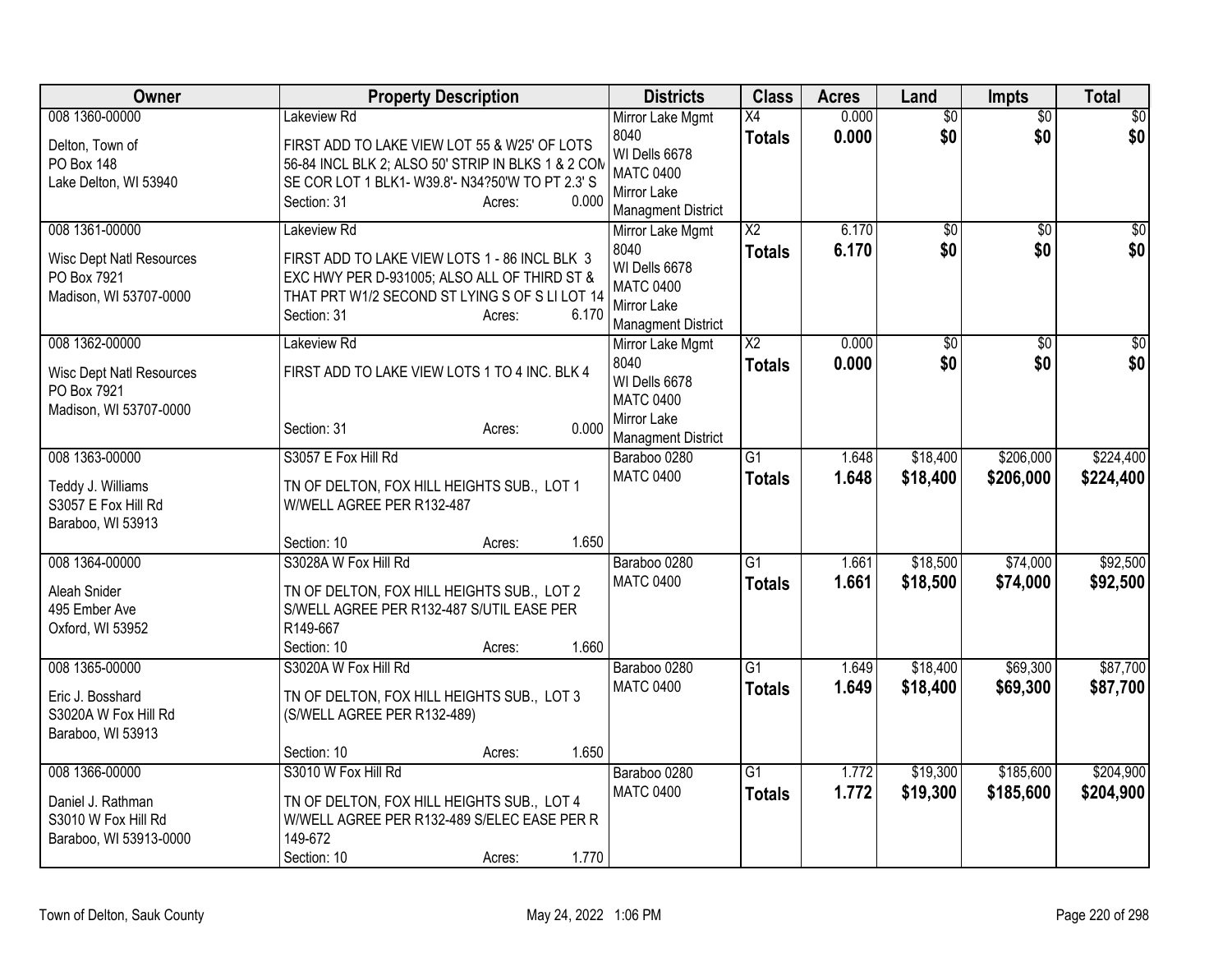| Owner                           | <b>Property Description</b>                                                             | <b>Districts</b>                          | <b>Class</b>    | <b>Acres</b> | Land            | <b>Impts</b>    | <b>Total</b>    |
|---------------------------------|-----------------------------------------------------------------------------------------|-------------------------------------------|-----------------|--------------|-----------------|-----------------|-----------------|
| 008 1360-00000                  | Lakeview Rd                                                                             | Mirror Lake Mgmt                          | X4              | 0.000        | $\overline{50}$ | $\overline{50}$ | \$0             |
| Delton, Town of                 | FIRST ADD TO LAKE VIEW LOT 55 & W25' OF LOTS                                            | 8040<br>WI Dells 6678                     | <b>Totals</b>   | 0.000        | \$0             | \$0             | \$0             |
| <b>PO Box 148</b>               | 56-84 INCL BLK 2; ALSO 50' STRIP IN BLKS 1 & 2 COM                                      | <b>MATC 0400</b>                          |                 |              |                 |                 |                 |
| Lake Delton, WI 53940           | SE COR LOT 1 BLK1- W39.8'- N34?50'W TO PT 2.3' S                                        | Mirror Lake                               |                 |              |                 |                 |                 |
|                                 | 0.000<br>Section: 31<br>Acres:                                                          | <b>Managment District</b>                 |                 |              |                 |                 |                 |
| 008 1361-00000                  | Lakeview Rd                                                                             | Mirror Lake Mgmt                          | $\overline{X2}$ | 6.170        | $\overline{50}$ | $\overline{50}$ | $\overline{30}$ |
| <b>Wisc Dept Natl Resources</b> | FIRST ADD TO LAKE VIEW LOTS 1 - 86 INCL BLK 3                                           | 8040                                      | <b>Totals</b>   | 6.170        | \$0             | \$0             | \$0             |
| PO Box 7921                     | EXC HWY PER D-931005; ALSO ALL OF THIRD ST &                                            | WI Dells 6678<br><b>MATC 0400</b>         |                 |              |                 |                 |                 |
| Madison, WI 53707-0000          | THAT PRT W1/2 SECOND ST LYING S OF S LI LOT 14                                          | Mirror Lake                               |                 |              |                 |                 |                 |
|                                 | 6.170<br>Section: 31<br>Acres:                                                          | <b>Managment District</b>                 |                 |              |                 |                 |                 |
| 008 1362-00000                  | Lakeview Rd                                                                             | Mirror Lake Mgmt                          | $\overline{X2}$ | 0.000        | $\overline{50}$ | $\overline{50}$ | \$0             |
| <b>Wisc Dept Natl Resources</b> | FIRST ADD TO LAKE VIEW LOTS 1 TO 4 INC. BLK 4                                           | 8040                                      | <b>Totals</b>   | 0.000        | \$0             | \$0             | \$0             |
| PO Box 7921                     |                                                                                         | WI Dells 6678                             |                 |              |                 |                 |                 |
| Madison, WI 53707-0000          |                                                                                         | <b>MATC 0400</b>                          |                 |              |                 |                 |                 |
|                                 | 0.000<br>Section: 31<br>Acres:                                                          | Mirror Lake                               |                 |              |                 |                 |                 |
| 008 1363-00000                  | S3057 E Fox Hill Rd                                                                     | <b>Managment District</b><br>Baraboo 0280 | G1              | 1.648        | \$18,400        | \$206,000       | \$224,400       |
|                                 |                                                                                         | <b>MATC 0400</b>                          | <b>Totals</b>   | 1.648        | \$18,400        | \$206,000       | \$224,400       |
| Teddy J. Williams               | TN OF DELTON, FOX HILL HEIGHTS SUB., LOT 1                                              |                                           |                 |              |                 |                 |                 |
| S3057 E Fox Hill Rd             | W/WELL AGREE PER R132-487                                                               |                                           |                 |              |                 |                 |                 |
| Baraboo, WI 53913               | 1.650<br>Section: 10<br>Acres:                                                          |                                           |                 |              |                 |                 |                 |
| 008 1364-00000                  | S3028A W Fox Hill Rd                                                                    | Baraboo 0280                              | $\overline{G1}$ | 1.661        | \$18,500        | \$74,000        | \$92,500        |
|                                 |                                                                                         | <b>MATC 0400</b>                          | <b>Totals</b>   | 1.661        | \$18,500        | \$74,000        | \$92,500        |
| Aleah Snider<br>495 Ember Ave   | TN OF DELTON, FOX HILL HEIGHTS SUB., LOT 2<br>S/WELL AGREE PER R132-487 S/UTIL EASE PER |                                           |                 |              |                 |                 |                 |
| Oxford, WI 53952                | R149-667                                                                                |                                           |                 |              |                 |                 |                 |
|                                 | 1.660<br>Section: 10<br>Acres:                                                          |                                           |                 |              |                 |                 |                 |
| 008 1365-00000                  | S3020A W Fox Hill Rd                                                                    | Baraboo 0280                              | $\overline{G1}$ | 1.649        | \$18,400        | \$69,300        | \$87,700        |
| Eric J. Bosshard                | TN OF DELTON, FOX HILL HEIGHTS SUB., LOT 3                                              | <b>MATC 0400</b>                          | <b>Totals</b>   | 1.649        | \$18,400        | \$69,300        | \$87,700        |
| S3020A W Fox Hill Rd            | (S/WELL AGREE PER R132-489)                                                             |                                           |                 |              |                 |                 |                 |
| Baraboo, WI 53913               |                                                                                         |                                           |                 |              |                 |                 |                 |
|                                 | 1.650<br>Section: 10<br>Acres:                                                          |                                           |                 |              |                 |                 |                 |
| 008 1366-00000                  | S3010 W Fox Hill Rd                                                                     | Baraboo 0280                              | $\overline{G1}$ | 1.772        | \$19,300        | \$185,600       | \$204,900       |
| Daniel J. Rathman               | TN OF DELTON, FOX HILL HEIGHTS SUB., LOT 4                                              | <b>MATC 0400</b>                          | <b>Totals</b>   | 1.772        | \$19,300        | \$185,600       | \$204,900       |
| S3010 W Fox Hill Rd             | W/WELL AGREE PER R132-489 S/ELEC EASE PER R                                             |                                           |                 |              |                 |                 |                 |
| Baraboo, WI 53913-0000          | 149-672                                                                                 |                                           |                 |              |                 |                 |                 |
|                                 | 1.770<br>Section: 10<br>Acres:                                                          |                                           |                 |              |                 |                 |                 |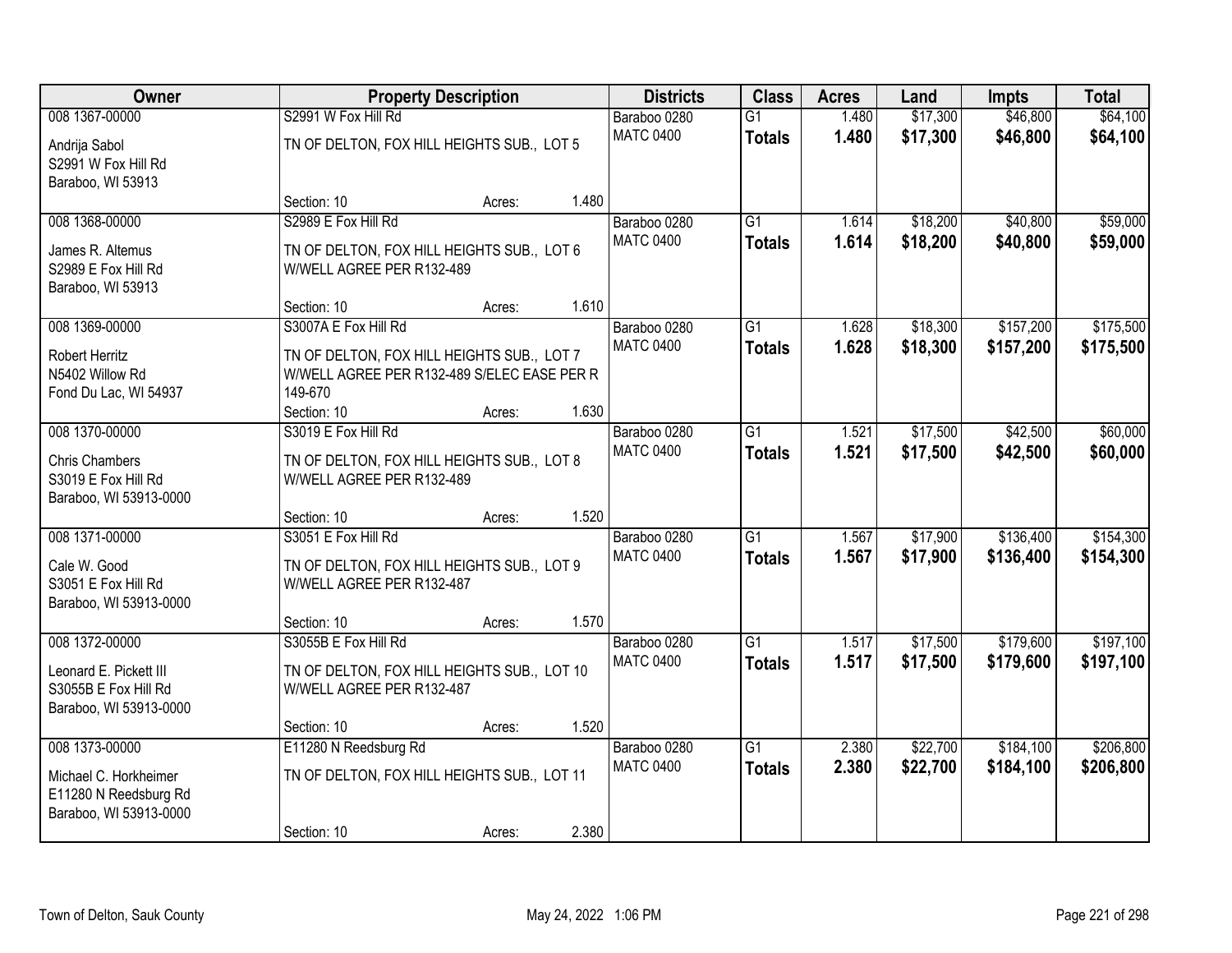| Owner                                                        |                                                                         | <b>Property Description</b>                 |       | <b>Districts</b>                 | <b>Class</b>                     | <b>Acres</b>   | Land                 | Impts                | <b>Total</b>         |
|--------------------------------------------------------------|-------------------------------------------------------------------------|---------------------------------------------|-------|----------------------------------|----------------------------------|----------------|----------------------|----------------------|----------------------|
| 008 1367-00000<br>Andrija Sabol                              | S2991 W Fox Hill Rd<br>TN OF DELTON, FOX HILL HEIGHTS SUB., LOT 5       |                                             |       | Baraboo 0280<br><b>MATC 0400</b> | $\overline{G1}$<br><b>Totals</b> | 1.480<br>1.480 | \$17,300<br>\$17,300 | \$46,800<br>\$46,800 | \$64,100<br>\$64,100 |
| S2991 W Fox Hill Rd<br>Baraboo, WI 53913                     |                                                                         |                                             |       |                                  |                                  |                |                      |                      |                      |
|                                                              | Section: 10                                                             | Acres:                                      | 1.480 |                                  |                                  |                |                      |                      |                      |
| 008 1368-00000                                               | S2989 E Fox Hill Rd                                                     |                                             |       | Baraboo 0280                     | $\overline{G1}$                  | 1.614          | \$18,200             | \$40,800             | \$59,000             |
| James R. Altemus<br>S2989 E Fox Hill Rd<br>Baraboo, WI 53913 | TN OF DELTON, FOX HILL HEIGHTS SUB., LOT 6<br>W/WELL AGREE PER R132-489 |                                             |       | <b>MATC 0400</b>                 | <b>Totals</b>                    | 1.614          | \$18,200             | \$40,800             | \$59,000             |
|                                                              | Section: 10                                                             | Acres:                                      | 1.610 |                                  |                                  |                |                      |                      |                      |
| 008 1369-00000                                               | S3007A E Fox Hill Rd                                                    |                                             |       | Baraboo 0280                     | $\overline{G1}$                  | 1.628          | \$18,300             | \$157,200            | \$175,500            |
| Robert Herritz                                               | TN OF DELTON, FOX HILL HEIGHTS SUB., LOT 7                              |                                             |       | <b>MATC 0400</b>                 | <b>Totals</b>                    | 1.628          | \$18,300             | \$157,200            | \$175,500            |
| N5402 Willow Rd                                              |                                                                         | W/WELL AGREE PER R132-489 S/ELEC EASE PER R |       |                                  |                                  |                |                      |                      |                      |
| Fond Du Lac, WI 54937                                        | 149-670                                                                 |                                             |       |                                  |                                  |                |                      |                      |                      |
|                                                              | Section: 10                                                             | Acres:                                      | 1.630 |                                  |                                  |                |                      |                      |                      |
| 008 1370-00000                                               | S3019 E Fox Hill Rd                                                     |                                             |       | Baraboo 0280                     | $\overline{G1}$                  | 1.521          | \$17,500             | \$42,500             | \$60,000             |
| <b>Chris Chambers</b>                                        | TN OF DELTON, FOX HILL HEIGHTS SUB., LOT 8                              |                                             |       | <b>MATC 0400</b>                 | <b>Totals</b>                    | 1.521          | \$17,500             | \$42,500             | \$60,000             |
| S3019 E Fox Hill Rd                                          | W/WELL AGREE PER R132-489                                               |                                             |       |                                  |                                  |                |                      |                      |                      |
| Baraboo, WI 53913-0000                                       |                                                                         |                                             |       |                                  |                                  |                |                      |                      |                      |
|                                                              | Section: 10                                                             | Acres:                                      | 1.520 |                                  |                                  |                |                      |                      |                      |
| 008 1371-00000                                               | S3051 E Fox Hill Rd                                                     |                                             |       | Baraboo 0280                     | $\overline{G1}$                  | 1.567          | \$17,900             | \$136,400            | \$154,300            |
| Cale W. Good                                                 | TN OF DELTON, FOX HILL HEIGHTS SUB., LOT 9                              |                                             |       | <b>MATC 0400</b>                 | <b>Totals</b>                    | 1.567          | \$17,900             | \$136,400            | \$154,300            |
| S3051 E Fox Hill Rd                                          | W/WELL AGREE PER R132-487                                               |                                             |       |                                  |                                  |                |                      |                      |                      |
| Baraboo, WI 53913-0000                                       |                                                                         |                                             |       |                                  |                                  |                |                      |                      |                      |
|                                                              | Section: 10                                                             | Acres:                                      | 1.570 |                                  |                                  |                |                      |                      |                      |
| 008 1372-00000                                               | S3055B E Fox Hill Rd                                                    |                                             |       | Baraboo 0280                     | $\overline{G1}$                  | 1.517          | \$17,500             | \$179,600            | \$197,100            |
| Leonard E. Pickett III                                       | TN OF DELTON, FOX HILL HEIGHTS SUB., LOT 10                             |                                             |       | <b>MATC 0400</b>                 | <b>Totals</b>                    | 1.517          | \$17,500             | \$179,600            | \$197,100            |
| S3055B E Fox Hill Rd                                         | W/WELL AGREE PER R132-487                                               |                                             |       |                                  |                                  |                |                      |                      |                      |
| Baraboo, WI 53913-0000                                       |                                                                         |                                             |       |                                  |                                  |                |                      |                      |                      |
|                                                              | Section: 10                                                             | Acres:                                      | 1.520 |                                  |                                  |                |                      |                      |                      |
| 008 1373-00000                                               | E11280 N Reedsburg Rd                                                   |                                             |       | Baraboo 0280                     | $\overline{G1}$                  | 2.380          | \$22,700             | \$184,100            | \$206,800            |
| Michael C. Horkheimer                                        | TN OF DELTON, FOX HILL HEIGHTS SUB., LOT 11                             |                                             |       | <b>MATC 0400</b>                 | <b>Totals</b>                    | 2.380          | \$22,700             | \$184,100            | \$206,800            |
| E11280 N Reedsburg Rd                                        |                                                                         |                                             |       |                                  |                                  |                |                      |                      |                      |
| Baraboo, WI 53913-0000                                       |                                                                         |                                             |       |                                  |                                  |                |                      |                      |                      |
|                                                              | Section: 10                                                             | Acres:                                      | 2.380 |                                  |                                  |                |                      |                      |                      |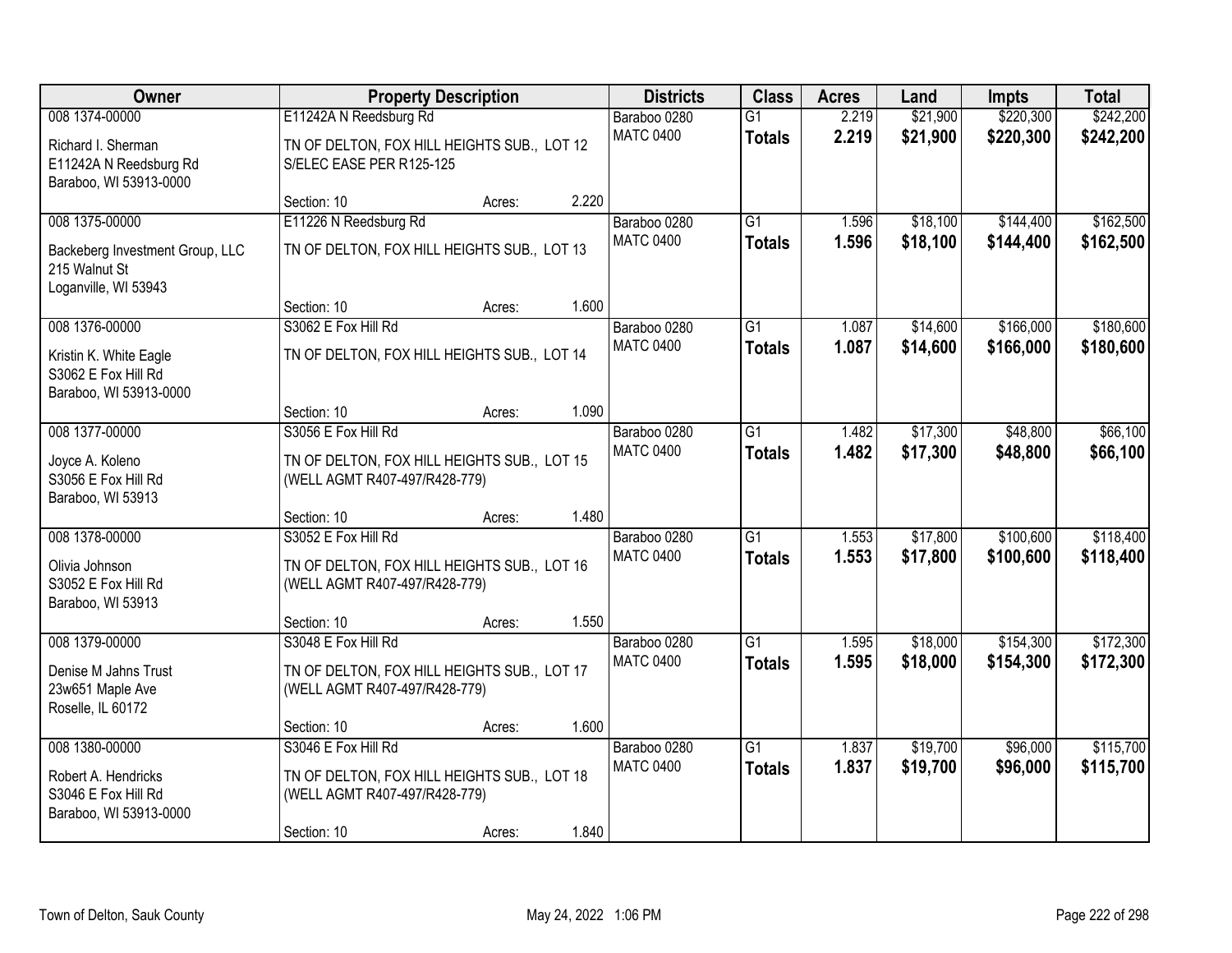| Owner                                                                    | <b>Property Description</b>                                                  |        | <b>Districts</b> | <b>Class</b>     | <b>Acres</b>    | Land  | Impts    | <b>Total</b> |           |
|--------------------------------------------------------------------------|------------------------------------------------------------------------------|--------|------------------|------------------|-----------------|-------|----------|--------------|-----------|
| 008 1374-00000                                                           | E11242A N Reedsburg Rd                                                       |        |                  | Baraboo 0280     | $\overline{G1}$ | 2.219 | \$21,900 | \$220,300    | \$242,200 |
| Richard I. Sherman<br>E11242A N Reedsburg Rd<br>Baraboo, WI 53913-0000   | TN OF DELTON, FOX HILL HEIGHTS SUB., LOT 12<br>S/ELEC EASE PER R125-125      |        |                  | <b>MATC 0400</b> | <b>Totals</b>   | 2.219 | \$21,900 | \$220,300    | \$242,200 |
|                                                                          | Section: 10                                                                  | Acres: | 2.220            |                  |                 |       |          |              |           |
| 008 1375-00000                                                           | E11226 N Reedsburg Rd                                                        |        |                  | Baraboo 0280     | $\overline{G1}$ | 1.596 | \$18,100 | \$144,400    | \$162,500 |
| Backeberg Investment Group, LLC<br>215 Walnut St<br>Loganville, WI 53943 | TN OF DELTON, FOX HILL HEIGHTS SUB., LOT 13                                  |        |                  | <b>MATC 0400</b> | <b>Totals</b>   | 1.596 | \$18,100 | \$144,400    | \$162,500 |
|                                                                          | Section: 10                                                                  | Acres: | 1.600            |                  |                 |       |          |              |           |
| 008 1376-00000                                                           | S3062 E Fox Hill Rd                                                          |        |                  | Baraboo 0280     | $\overline{G1}$ | 1.087 | \$14,600 | \$166,000    | \$180,600 |
| Kristin K. White Eagle<br>S3062 E Fox Hill Rd<br>Baraboo, WI 53913-0000  | TN OF DELTON, FOX HILL HEIGHTS SUB., LOT 14                                  |        |                  | <b>MATC 0400</b> | <b>Totals</b>   | 1.087 | \$14,600 | \$166,000    | \$180,600 |
|                                                                          | Section: 10                                                                  | Acres: | 1.090            |                  |                 |       |          |              |           |
| 008 1377-00000                                                           | S3056 E Fox Hill Rd                                                          |        |                  | Baraboo 0280     | $\overline{G1}$ | 1.482 | \$17,300 | \$48,800     | \$66,100  |
| Joyce A. Koleno<br>S3056 E Fox Hill Rd<br>Baraboo, WI 53913              | TN OF DELTON, FOX HILL HEIGHTS SUB., LOT 15<br>(WELL AGMT R407-497/R428-779) |        |                  | <b>MATC 0400</b> | <b>Totals</b>   | 1.482 | \$17,300 | \$48,800     | \$66,100  |
|                                                                          | Section: 10                                                                  | Acres: | 1.480            |                  |                 |       |          |              |           |
| 008 1378-00000                                                           | S3052 E Fox Hill Rd                                                          |        |                  | Baraboo 0280     | $\overline{G1}$ | 1.553 | \$17,800 | \$100,600    | \$118,400 |
| Olivia Johnson<br>S3052 E Fox Hill Rd<br>Baraboo, WI 53913               | TN OF DELTON, FOX HILL HEIGHTS SUB., LOT 16<br>(WELL AGMT R407-497/R428-779) |        |                  | <b>MATC 0400</b> | <b>Totals</b>   | 1.553 | \$17,800 | \$100,600    | \$118,400 |
|                                                                          | Section: 10                                                                  | Acres: | 1.550            |                  |                 |       |          |              |           |
| 008 1379-00000                                                           | S3048 E Fox Hill Rd                                                          |        |                  | Baraboo 0280     | $\overline{G1}$ | 1.595 | \$18,000 | \$154,300    | \$172,300 |
| Denise M Jahns Trust<br>23w651 Maple Ave<br>Roselle, IL 60172            | TN OF DELTON, FOX HILL HEIGHTS SUB., LOT 17<br>(WELL AGMT R407-497/R428-779) |        |                  | <b>MATC 0400</b> | <b>Totals</b>   | 1.595 | \$18,000 | \$154,300    | \$172,300 |
|                                                                          | Section: 10                                                                  | Acres: | 1.600            |                  |                 |       |          |              |           |
| 008 1380-00000                                                           | S3046 E Fox Hill Rd                                                          |        |                  | Baraboo 0280     | $\overline{G1}$ | 1.837 | \$19,700 | \$96,000     | \$115,700 |
| Robert A. Hendricks<br>S3046 E Fox Hill Rd<br>Baraboo, WI 53913-0000     | TN OF DELTON, FOX HILL HEIGHTS SUB., LOT 18<br>(WELL AGMT R407-497/R428-779) |        |                  | <b>MATC 0400</b> | <b>Totals</b>   | 1.837 | \$19,700 | \$96,000     | \$115,700 |
|                                                                          | Section: 10                                                                  | Acres: | 1.840            |                  |                 |       |          |              |           |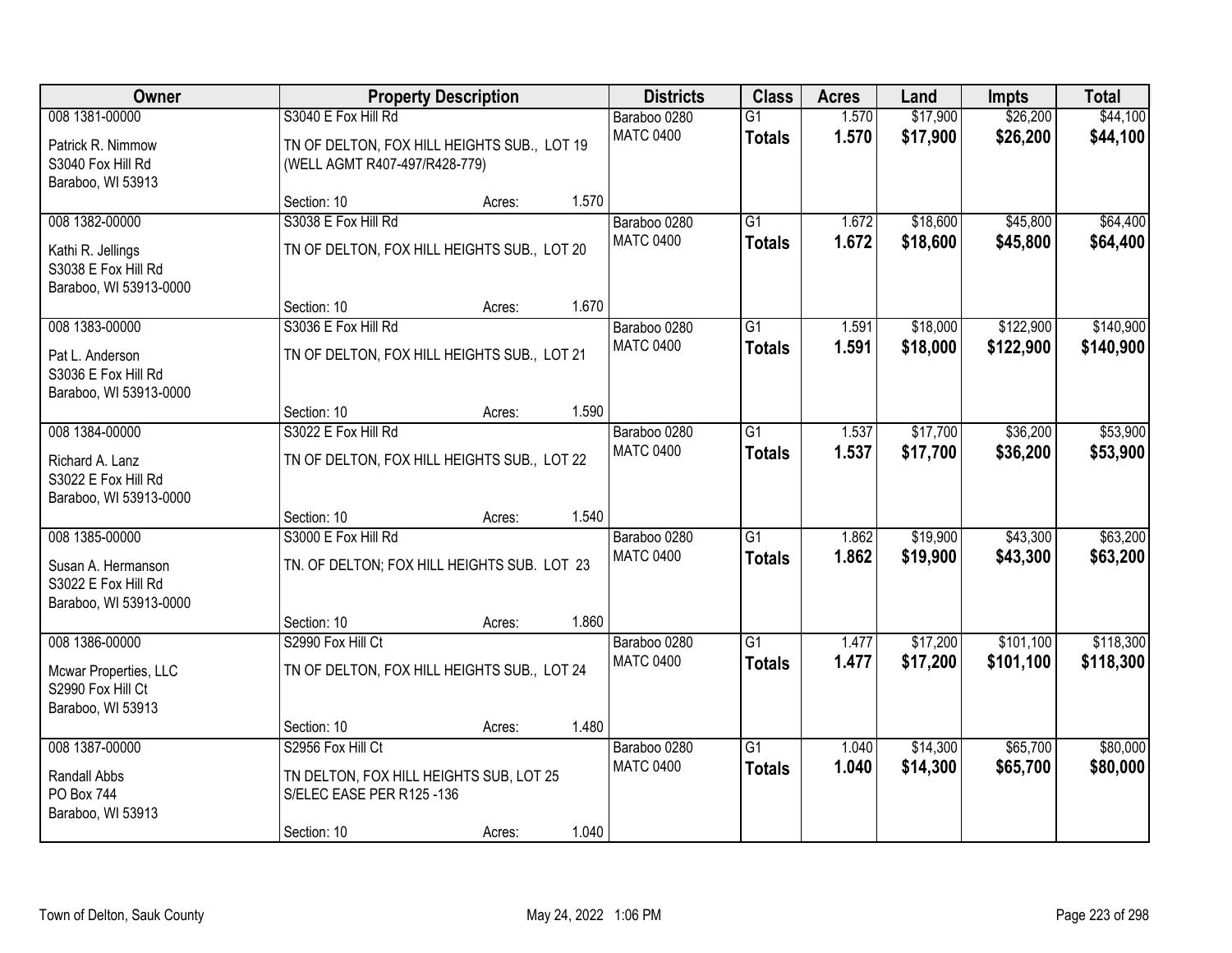| Owner                                                               |                                                                              | <b>Property Description</b> |       | <b>Districts</b> | <b>Class</b>    | <b>Acres</b> | Land     | <b>Impts</b> | <b>Total</b> |
|---------------------------------------------------------------------|------------------------------------------------------------------------------|-----------------------------|-------|------------------|-----------------|--------------|----------|--------------|--------------|
| 008 1381-00000                                                      | S3040 E Fox Hill Rd                                                          |                             |       | Baraboo 0280     | $\overline{G1}$ | 1.570        | \$17,900 | \$26,200     | \$44,100     |
| Patrick R. Nimmow<br>S3040 Fox Hill Rd<br>Baraboo, WI 53913         | TN OF DELTON, FOX HILL HEIGHTS SUB., LOT 19<br>(WELL AGMT R407-497/R428-779) |                             |       | <b>MATC 0400</b> | <b>Totals</b>   | 1.570        | \$17,900 | \$26,200     | \$44,100     |
|                                                                     | Section: 10                                                                  | Acres:                      | 1.570 |                  |                 |              |          |              |              |
| 008 1382-00000                                                      | S3038 E Fox Hill Rd                                                          |                             |       | Baraboo 0280     | $\overline{G1}$ | 1.672        | \$18,600 | \$45,800     | \$64,400     |
| Kathi R. Jellings<br>S3038 E Fox Hill Rd<br>Baraboo, WI 53913-0000  | TN OF DELTON, FOX HILL HEIGHTS SUB., LOT 20                                  |                             |       | <b>MATC 0400</b> | <b>Totals</b>   | 1.672        | \$18,600 | \$45,800     | \$64,400     |
|                                                                     | Section: 10                                                                  | Acres:                      | 1.670 |                  |                 |              |          |              |              |
| 008 1383-00000                                                      | S3036 E Fox Hill Rd                                                          |                             |       | Baraboo 0280     | G1              | 1.591        | \$18,000 | \$122,900    | \$140,900    |
| Pat L. Anderson<br>S3036 E Fox Hill Rd<br>Baraboo, WI 53913-0000    | TN OF DELTON, FOX HILL HEIGHTS SUB., LOT 21                                  |                             |       | <b>MATC 0400</b> | <b>Totals</b>   | 1.591        | \$18,000 | \$122,900    | \$140,900    |
|                                                                     | Section: 10                                                                  | Acres:                      | 1.590 |                  |                 |              |          |              |              |
| 008 1384-00000                                                      | S3022 E Fox Hill Rd                                                          |                             |       | Baraboo 0280     | G1              | 1.537        | \$17,700 | \$36,200     | \$53,900     |
| Richard A. Lanz<br>S3022 E Fox Hill Rd<br>Baraboo, WI 53913-0000    | TN OF DELTON, FOX HILL HEIGHTS SUB., LOT 22                                  |                             |       | <b>MATC 0400</b> | <b>Totals</b>   | 1.537        | \$17,700 | \$36,200     | \$53,900     |
|                                                                     | Section: 10                                                                  | Acres:                      | 1.540 |                  |                 |              |          |              |              |
| 008 1385-00000                                                      | S3000 E Fox Hill Rd                                                          |                             |       | Baraboo 0280     | $\overline{G1}$ | 1.862        | \$19,900 | \$43,300     | \$63,200     |
| Susan A. Hermanson<br>S3022 E Fox Hill Rd<br>Baraboo, WI 53913-0000 | TN. OF DELTON; FOX HILL HEIGHTS SUB. LOT 23                                  |                             |       | <b>MATC 0400</b> | <b>Totals</b>   | 1.862        | \$19,900 | \$43,300     | \$63,200     |
|                                                                     | Section: 10                                                                  | Acres:                      | 1.860 |                  |                 |              |          |              |              |
| 008 1386-00000                                                      | S2990 Fox Hill Ct                                                            |                             |       | Baraboo 0280     | $\overline{G1}$ | 1.477        | \$17,200 | \$101,100    | \$118,300    |
| Mcwar Properties, LLC<br>S2990 Fox Hill Ct<br>Baraboo, WI 53913     | TN OF DELTON, FOX HILL HEIGHTS SUB., LOT 24                                  |                             |       | <b>MATC 0400</b> | <b>Totals</b>   | 1.477        | \$17,200 | \$101,100    | \$118,300    |
|                                                                     | Section: 10                                                                  | Acres:                      | 1.480 |                  |                 |              |          |              |              |
| 008 1387-00000                                                      | S2956 Fox Hill Ct                                                            |                             |       | Baraboo 0280     | $\overline{G1}$ | 1.040        | \$14,300 | \$65,700     | \$80,000     |
| Randall Abbs<br>PO Box 744<br>Baraboo, WI 53913                     | TN DELTON, FOX HILL HEIGHTS SUB, LOT 25<br>S/ELEC EASE PER R125 -136         |                             |       | <b>MATC 0400</b> | <b>Totals</b>   | 1.040        | \$14,300 | \$65,700     | \$80,000     |
|                                                                     | Section: 10                                                                  | Acres:                      | 1.040 |                  |                 |              |          |              |              |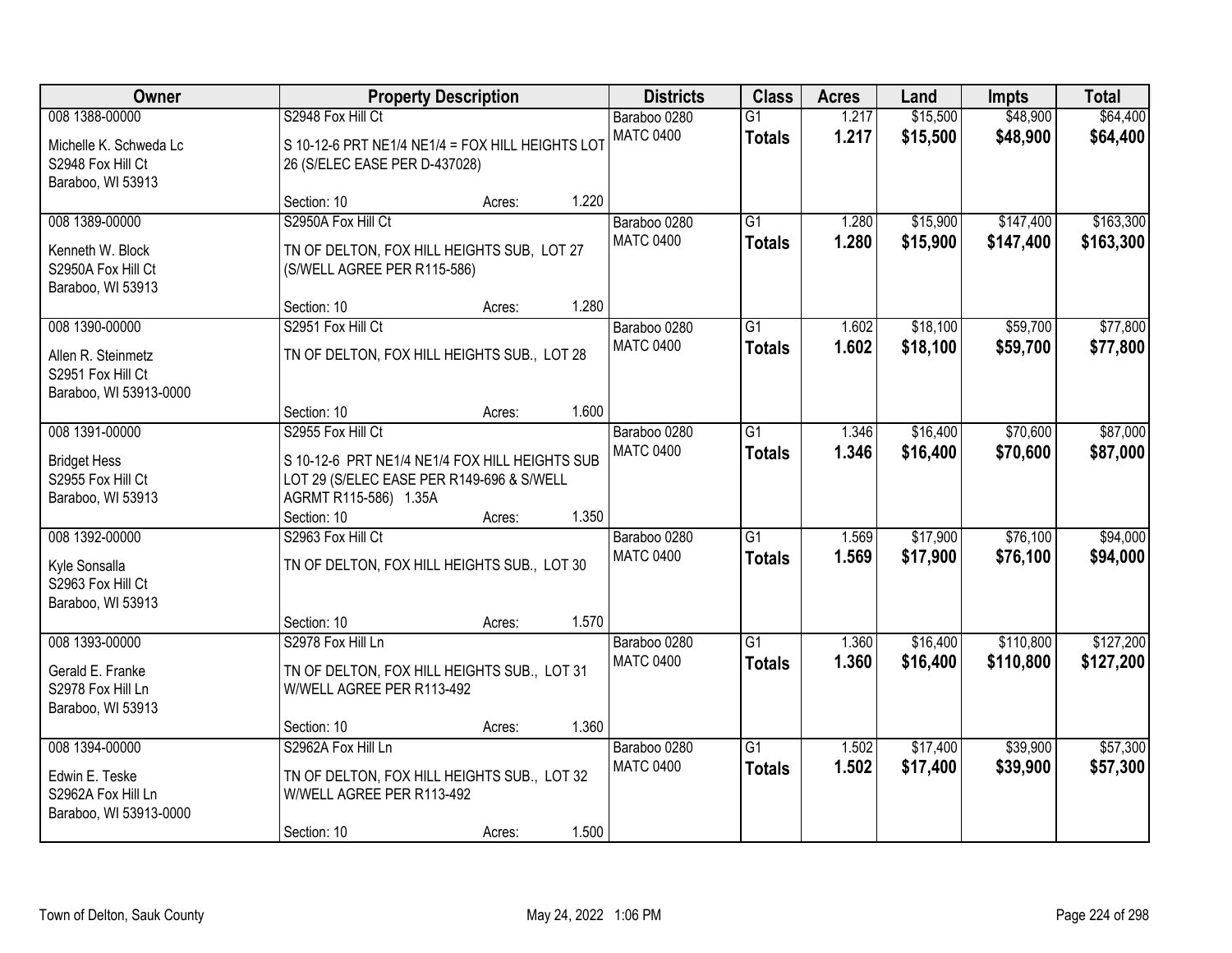| Owner                                                                               | <b>Property Description</b>                                                                                                               |        | <b>Districts</b> | <b>Class</b>                     | <b>Acres</b>                     | Land           | <b>Impts</b>         | <b>Total</b>           |                        |
|-------------------------------------------------------------------------------------|-------------------------------------------------------------------------------------------------------------------------------------------|--------|------------------|----------------------------------|----------------------------------|----------------|----------------------|------------------------|------------------------|
| 008 1388-00000<br>Michelle K. Schweda Lc<br>S2948 Fox Hill Ct                       | S2948 Fox Hill Ct<br>S 10-12-6 PRT NE1/4 NE1/4 = FOX HILL HEIGHTS LOT<br>26 (S/ELEC EASE PER D-437028)                                    |        |                  | Baraboo 0280<br><b>MATC 0400</b> | $\overline{G1}$<br><b>Totals</b> | 1.217<br>1.217 | \$15,500<br>\$15,500 | \$48,900<br>\$48,900   | \$64,400<br>\$64,400   |
| Baraboo, WI 53913                                                                   | Section: 10                                                                                                                               | Acres: | 1.220            |                                  |                                  |                |                      |                        |                        |
| 008 1389-00000<br>Kenneth W. Block<br>S2950A Fox Hill Ct<br>Baraboo, WI 53913       | S2950A Fox Hill Ct<br>TN OF DELTON, FOX HILL HEIGHTS SUB, LOT 27<br>(S/WELL AGREE PER R115-586)                                           |        |                  | Baraboo 0280<br><b>MATC 0400</b> | $\overline{G1}$<br><b>Totals</b> | 1.280<br>1.280 | \$15,900<br>\$15,900 | \$147,400<br>\$147,400 | \$163,300<br>\$163,300 |
|                                                                                     | Section: 10                                                                                                                               | Acres: | 1.280            |                                  |                                  |                |                      |                        |                        |
| 008 1390-00000<br>Allen R. Steinmetz<br>S2951 Fox Hill Ct<br>Baraboo, WI 53913-0000 | S2951 Fox Hill Ct<br>TN OF DELTON, FOX HILL HEIGHTS SUB., LOT 28                                                                          |        |                  | Baraboo 0280<br><b>MATC 0400</b> | $\overline{G1}$<br><b>Totals</b> | 1.602<br>1.602 | \$18,100<br>\$18,100 | \$59,700<br>\$59,700   | \$77,800<br>\$77,800   |
|                                                                                     | Section: 10                                                                                                                               | Acres: | 1.600            |                                  |                                  |                |                      |                        |                        |
| 008 1391-00000<br><b>Bridget Hess</b><br>S2955 Fox Hill Ct<br>Baraboo, WI 53913     | S2955 Fox Hill Ct<br>S 10-12-6 PRT NE1/4 NE1/4 FOX HILL HEIGHTS SUB<br>LOT 29 (S/ELEC EASE PER R149-696 & S/WELL<br>AGRMT R115-586) 1.35A |        |                  | Baraboo 0280<br><b>MATC 0400</b> | $\overline{G1}$<br><b>Totals</b> | 1.346<br>1.346 | \$16,400<br>\$16,400 | \$70,600<br>\$70,600   | \$87,000<br>\$87,000   |
|                                                                                     | Section: 10                                                                                                                               | Acres: | 1.350            |                                  |                                  |                |                      |                        |                        |
| 008 1392-00000<br>Kyle Sonsalla<br>S2963 Fox Hill Ct<br>Baraboo, WI 53913           | S2963 Fox Hill Ct<br>TN OF DELTON, FOX HILL HEIGHTS SUB., LOT 30                                                                          |        |                  | Baraboo 0280<br><b>MATC 0400</b> | $\overline{G1}$<br><b>Totals</b> | 1.569<br>1.569 | \$17,900<br>\$17,900 | \$76,100<br>\$76,100   | \$94,000<br>\$94,000   |
|                                                                                     | Section: 10                                                                                                                               | Acres: | 1.570            |                                  |                                  |                |                      |                        |                        |
| 008 1393-00000<br>Gerald E. Franke<br>S2978 Fox Hill Ln<br>Baraboo, WI 53913        | S2978 Fox Hill Ln<br>TN OF DELTON, FOX HILL HEIGHTS SUB., LOT 31<br>W/WELL AGREE PER R113-492                                             |        |                  | Baraboo 0280<br><b>MATC 0400</b> | $\overline{G1}$<br><b>Totals</b> | 1.360<br>1.360 | \$16,400<br>\$16,400 | \$110,800<br>\$110,800 | \$127,200<br>\$127,200 |
|                                                                                     | Section: 10                                                                                                                               | Acres: | 1.360            |                                  |                                  |                |                      |                        |                        |
| 008 1394-00000<br>Edwin E. Teske<br>S2962A Fox Hill Ln<br>Baraboo, WI 53913-0000    | S2962A Fox Hill Ln<br>TN OF DELTON, FOX HILL HEIGHTS SUB., LOT 32<br>W/WELL AGREE PER R113-492<br>Section: 10                             | Acres: | 1.500            | Baraboo 0280<br><b>MATC 0400</b> | $\overline{G1}$<br><b>Totals</b> | 1.502<br>1.502 | \$17,400<br>\$17,400 | \$39,900<br>\$39,900   | \$57,300<br>\$57,300   |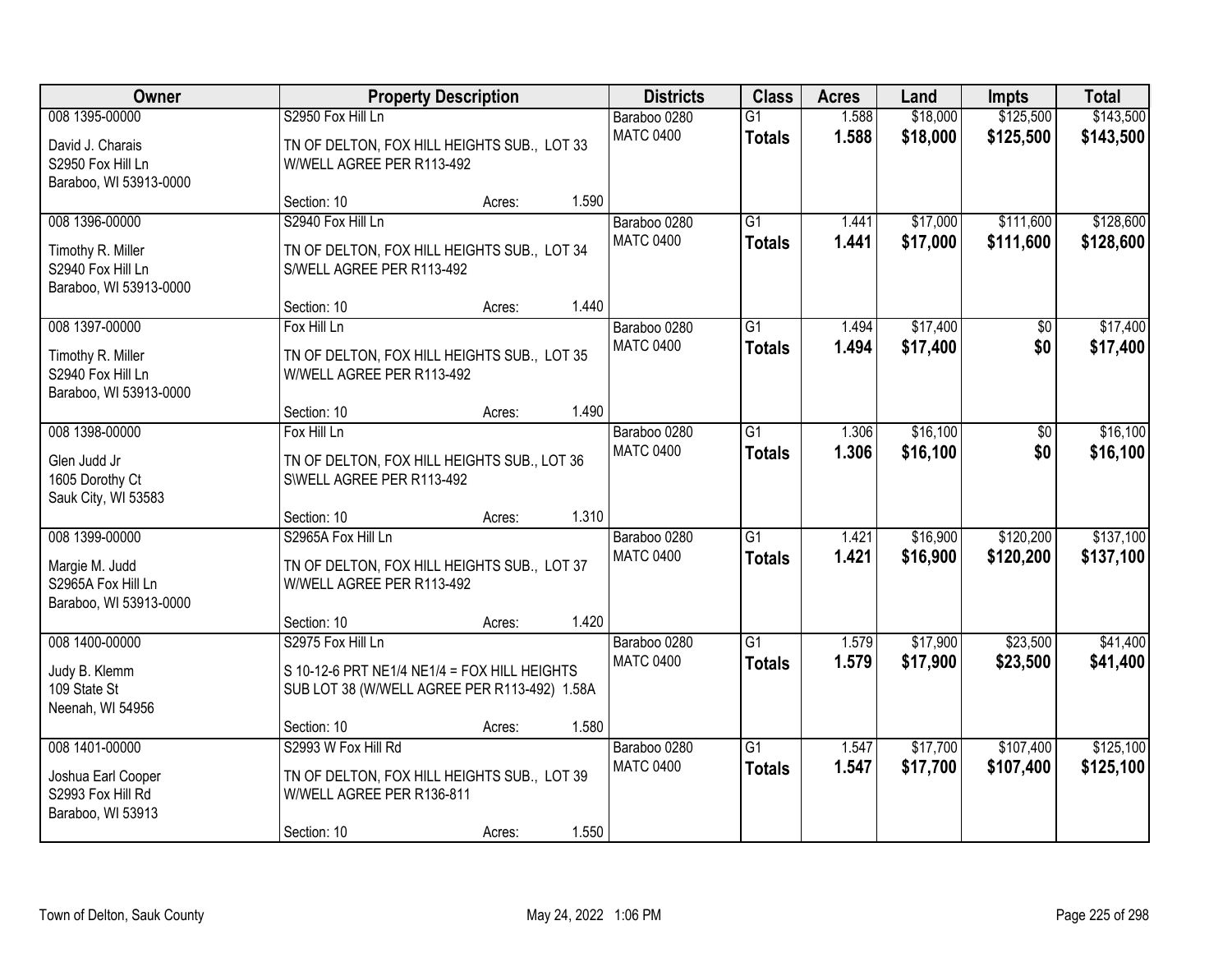| <b>Owner</b>                                                                       | <b>Property Description</b>                                                                                       | <b>Districts</b> | <b>Class</b> | <b>Acres</b>                     | Land                             | <b>Impts</b>   | <b>Total</b>         |                        |                        |
|------------------------------------------------------------------------------------|-------------------------------------------------------------------------------------------------------------------|------------------|--------------|----------------------------------|----------------------------------|----------------|----------------------|------------------------|------------------------|
| 008 1395-00000<br>David J. Charais<br>S2950 Fox Hill Ln<br>Baraboo, WI 53913-0000  | S2950 Fox Hill Ln<br>TN OF DELTON, FOX HILL HEIGHTS SUB., LOT 33<br>W/WELL AGREE PER R113-492                     |                  |              | Baraboo 0280<br><b>MATC 0400</b> | $\overline{G1}$<br><b>Totals</b> | 1.588<br>1.588 | \$18,000<br>\$18,000 | \$125,500<br>\$125,500 | \$143,500<br>\$143,500 |
|                                                                                    | Section: 10                                                                                                       | Acres:           | 1.590        |                                  |                                  |                |                      |                        |                        |
| 008 1396-00000<br>Timothy R. Miller<br>S2940 Fox Hill Ln<br>Baraboo, WI 53913-0000 | S2940 Fox Hill Ln<br>TN OF DELTON, FOX HILL HEIGHTS SUB., LOT 34<br>S/WELL AGREE PER R113-492                     |                  |              | Baraboo 0280<br><b>MATC 0400</b> | $\overline{G1}$<br><b>Totals</b> | 1.441<br>1.441 | \$17,000<br>\$17,000 | \$111,600<br>\$111,600 | \$128,600<br>\$128,600 |
|                                                                                    | Section: 10                                                                                                       | Acres:           | 1.440        |                                  |                                  |                |                      |                        |                        |
| 008 1397-00000<br>Timothy R. Miller<br>S2940 Fox Hill Ln<br>Baraboo, WI 53913-0000 | Fox Hill Ln<br>TN OF DELTON, FOX HILL HEIGHTS SUB., LOT 35<br>W/WELL AGREE PER R113-492                           |                  |              | Baraboo 0280<br><b>MATC 0400</b> | G1<br><b>Totals</b>              | 1.494<br>1.494 | \$17,400<br>\$17,400 | \$0<br>\$0             | \$17,400<br>\$17,400   |
|                                                                                    | Section: 10                                                                                                       | Acres:           | 1.490        |                                  |                                  |                |                      |                        |                        |
| 008 1398-00000<br>Glen Judd Jr<br>1605 Dorothy Ct<br>Sauk City, WI 53583           | Fox Hill Ln<br>TN OF DELTON, FOX HILL HEIGHTS SUB., LOT 36<br>SWELL AGREE PER R113-492                            |                  |              | Baraboo 0280<br><b>MATC 0400</b> | $\overline{G1}$<br><b>Totals</b> | 1.306<br>1.306 | \$16,100<br>\$16,100 | \$0<br>\$0             | \$16,100<br>\$16,100   |
|                                                                                    | Section: 10                                                                                                       | Acres:           | 1.310        |                                  |                                  |                |                      |                        |                        |
| 008 1399-00000<br>Margie M. Judd<br>S2965A Fox Hill Ln<br>Baraboo, WI 53913-0000   | S2965A Fox Hill Ln<br>TN OF DELTON, FOX HILL HEIGHTS SUB., LOT 37<br>W/WELL AGREE PER R113-492                    |                  |              | Baraboo 0280<br><b>MATC 0400</b> | $\overline{G1}$<br><b>Totals</b> | 1.421<br>1.421 | \$16,900<br>\$16,900 | \$120,200<br>\$120,200 | \$137,100<br>\$137,100 |
|                                                                                    | Section: 10                                                                                                       | Acres:           | 1.420        |                                  |                                  |                |                      |                        |                        |
| 008 1400-00000<br>Judy B. Klemm<br>109 State St<br>Neenah, WI 54956                | S2975 Fox Hill Ln<br>S 10-12-6 PRT NE1/4 NE1/4 = FOX HILL HEIGHTS<br>SUB LOT 38 (W/WELL AGREE PER R113-492) 1.58A |                  |              | Baraboo 0280<br><b>MATC 0400</b> | $\overline{G1}$<br><b>Totals</b> | 1.579<br>1.579 | \$17,900<br>\$17,900 | \$23,500<br>\$23,500   | \$41,400<br>\$41,400   |
|                                                                                    | Section: 10                                                                                                       | Acres:           | 1.580        |                                  |                                  |                |                      |                        |                        |
| 008 1401-00000<br>Joshua Earl Cooper<br>S2993 Fox Hill Rd<br>Baraboo, WI 53913     | S2993 W Fox Hill Rd<br>TN OF DELTON, FOX HILL HEIGHTS SUB., LOT 39<br>W/WELL AGREE PER R136-811<br>Section: 10    | Acres:           | 1.550        | Baraboo 0280<br><b>MATC 0400</b> | $\overline{G1}$<br><b>Totals</b> | 1.547<br>1.547 | \$17,700<br>\$17,700 | \$107,400<br>\$107,400 | \$125,100<br>\$125,100 |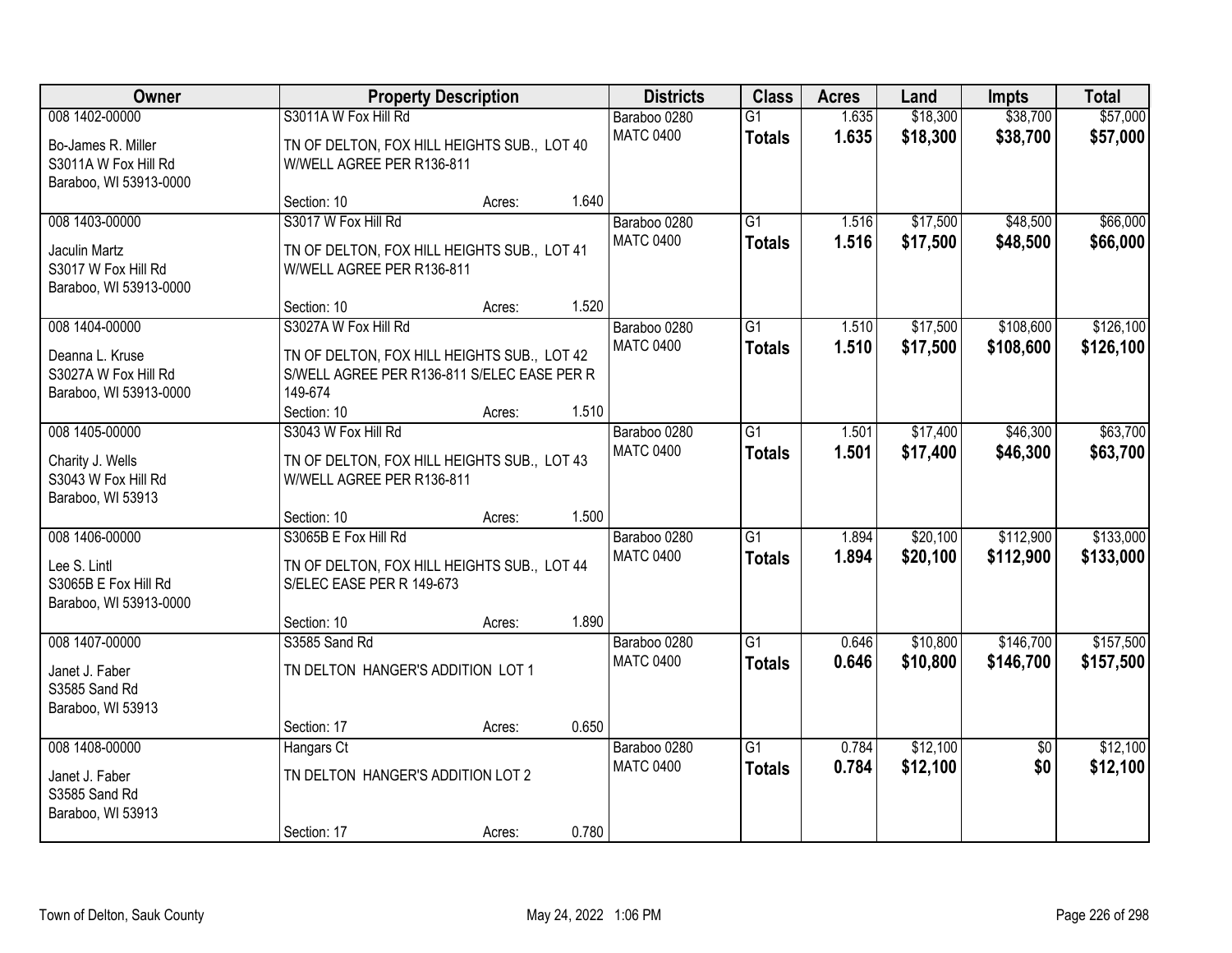| <b>Owner</b>                                                                           |                                                                                                                      | <b>Property Description</b> |       | <b>Districts</b>                 | <b>Class</b>                     | <b>Acres</b>   | Land                 | <b>Impts</b>           | <b>Total</b>           |
|----------------------------------------------------------------------------------------|----------------------------------------------------------------------------------------------------------------------|-----------------------------|-------|----------------------------------|----------------------------------|----------------|----------------------|------------------------|------------------------|
| 008 1402-00000<br>Bo-James R. Miller<br>S3011A W Fox Hill Rd<br>Baraboo, WI 53913-0000 | S3011A W Fox Hill Rd<br>TN OF DELTON, FOX HILL HEIGHTS SUB., LOT 40<br>W/WELL AGREE PER R136-811                     |                             |       | Baraboo 0280<br><b>MATC 0400</b> | $\overline{G1}$<br><b>Totals</b> | 1.635<br>1.635 | \$18,300<br>\$18,300 | \$38,700<br>\$38,700   | \$57,000<br>\$57,000   |
|                                                                                        | Section: 10                                                                                                          | Acres:                      | 1.640 |                                  |                                  |                |                      |                        |                        |
| 008 1403-00000<br>Jaculin Martz<br>S3017 W Fox Hill Rd<br>Baraboo, WI 53913-0000       | S3017 W Fox Hill Rd<br>TN OF DELTON, FOX HILL HEIGHTS SUB., LOT 41<br>W/WELL AGREE PER R136-811                      |                             |       | Baraboo 0280<br><b>MATC 0400</b> | $\overline{G1}$<br><b>Totals</b> | 1.516<br>1.516 | \$17,500<br>\$17,500 | \$48,500<br>\$48,500   | \$66,000<br>\$66,000   |
| 008 1404-00000                                                                         | Section: 10<br>S3027A W Fox Hill Rd                                                                                  | Acres:                      | 1.520 | Baraboo 0280                     | G1                               | 1.510          | \$17,500             | \$108,600              | \$126,100              |
| Deanna L. Kruse<br>S3027A W Fox Hill Rd<br>Baraboo, WI 53913-0000                      | TN OF DELTON, FOX HILL HEIGHTS SUB., LOT 42<br>S/WELL AGREE PER R136-811 S/ELEC EASE PER R<br>149-674<br>Section: 10 | Acres:                      | 1.510 | <b>MATC 0400</b>                 | <b>Totals</b>                    | 1.510          | \$17,500             | \$108,600              | \$126,100              |
| 008 1405-00000                                                                         | S3043 W Fox Hill Rd                                                                                                  |                             |       | Baraboo 0280                     | $\overline{G1}$                  | 1.501          | \$17,400             | \$46,300               | \$63,700               |
| Charity J. Wells<br>S3043 W Fox Hill Rd<br>Baraboo, WI 53913                           | TN OF DELTON, FOX HILL HEIGHTS SUB., LOT 43<br>W/WELL AGREE PER R136-811                                             |                             |       | <b>MATC 0400</b>                 | <b>Totals</b>                    | 1.501          | \$17,400             | \$46,300               | \$63,700               |
|                                                                                        | Section: 10                                                                                                          | Acres:                      | 1.500 |                                  |                                  |                |                      |                        |                        |
| 008 1406-00000<br>Lee S. Lintl<br>S3065B E Fox Hill Rd<br>Baraboo, WI 53913-0000       | S3065B E Fox Hill Rd<br>TN OF DELTON, FOX HILL HEIGHTS SUB., LOT 44<br>S/ELEC EASE PER R 149-673<br>Section: 10      | Acres:                      | 1.890 | Baraboo 0280<br><b>MATC 0400</b> | $\overline{G1}$<br><b>Totals</b> | 1.894<br>1.894 | \$20,100<br>\$20,100 | \$112,900<br>\$112,900 | \$133,000<br>\$133,000 |
| 008 1407-00000                                                                         | S3585 Sand Rd                                                                                                        |                             |       | Baraboo 0280                     | G1                               | 0.646          | \$10,800             | \$146,700              | \$157,500              |
| Janet J. Faber<br>S3585 Sand Rd<br>Baraboo, WI 53913                                   | TN DELTON HANGER'S ADDITION LOT 1                                                                                    |                             |       | <b>MATC 0400</b>                 | <b>Totals</b>                    | 0.646          | \$10,800             | \$146,700              | \$157,500              |
|                                                                                        | Section: 17                                                                                                          | Acres:                      | 0.650 |                                  |                                  |                |                      |                        |                        |
| 008 1408-00000<br>Janet J. Faber<br>S3585 Sand Rd<br>Baraboo, WI 53913                 | Hangars Ct<br>TN DELTON HANGER'S ADDITION LOT 2<br>Section: 17                                                       | Acres:                      | 0.780 | Baraboo 0280<br><b>MATC 0400</b> | $\overline{G1}$<br><b>Totals</b> | 0.784<br>0.784 | \$12,100<br>\$12,100 | $\overline{50}$<br>\$0 | \$12,100<br>\$12,100   |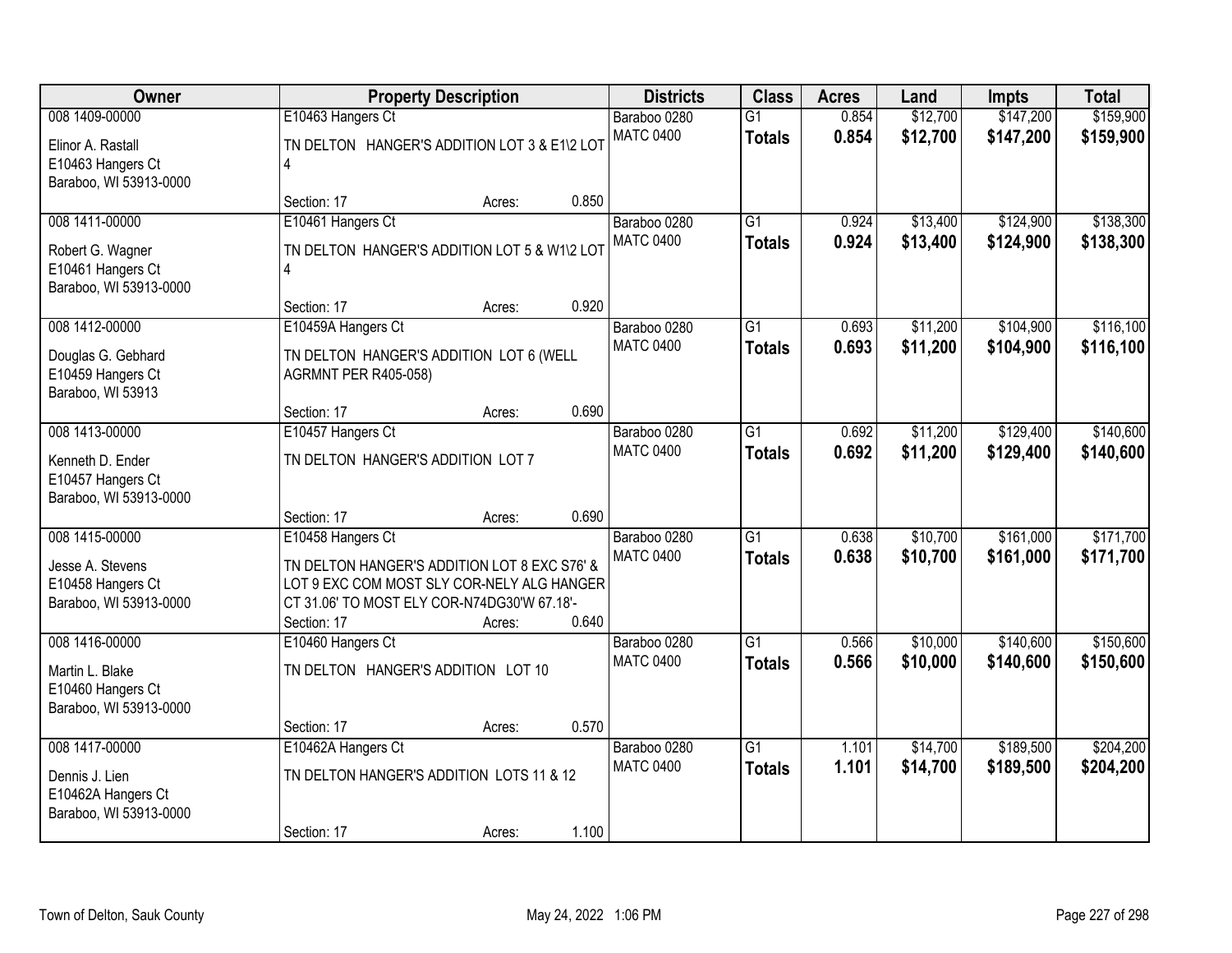| Owner                                       |                                                                                           | <b>Property Description</b> |       | <b>Districts</b> | <b>Class</b>    | <b>Acres</b> | Land     | <b>Impts</b> | <b>Total</b> |
|---------------------------------------------|-------------------------------------------------------------------------------------------|-----------------------------|-------|------------------|-----------------|--------------|----------|--------------|--------------|
| 008 1409-00000                              | E10463 Hangers Ct                                                                         |                             |       | Baraboo 0280     | $\overline{G1}$ | 0.854        | \$12,700 | \$147,200    | \$159,900    |
| Elinor A. Rastall                           | TN DELTON HANGER'S ADDITION LOT 3 & E1\2 LOT                                              |                             |       | <b>MATC 0400</b> | <b>Totals</b>   | 0.854        | \$12,700 | \$147,200    | \$159,900    |
| E10463 Hangers Ct                           | 4                                                                                         |                             |       |                  |                 |              |          |              |              |
| Baraboo, WI 53913-0000                      |                                                                                           |                             |       |                  |                 |              |          |              |              |
| 008 1411-00000                              | Section: 17                                                                               | Acres:                      | 0.850 | Baraboo 0280     | $\overline{G1}$ | 0.924        | \$13,400 | \$124,900    | \$138,300    |
|                                             | E10461 Hangers Ct                                                                         |                             |       | <b>MATC 0400</b> | <b>Totals</b>   | 0.924        | \$13,400 | \$124,900    | \$138,300    |
| Robert G. Wagner                            | TN DELTON HANGER'S ADDITION LOT 5 & W1\2 LOT                                              |                             |       |                  |                 |              |          |              |              |
| E10461 Hangers Ct<br>Baraboo, WI 53913-0000 | 4                                                                                         |                             |       |                  |                 |              |          |              |              |
|                                             | Section: 17                                                                               | Acres:                      | 0.920 |                  |                 |              |          |              |              |
| 008 1412-00000                              | E10459A Hangers Ct                                                                        |                             |       | Baraboo 0280     | $\overline{G1}$ | 0.693        | \$11,200 | \$104,900    | \$116,100    |
| Douglas G. Gebhard                          | TN DELTON HANGER'S ADDITION LOT 6 (WELL                                                   |                             |       | <b>MATC 0400</b> | <b>Totals</b>   | 0.693        | \$11,200 | \$104,900    | \$116,100    |
| E10459 Hangers Ct                           | <b>AGRMNT PER R405-058)</b>                                                               |                             |       |                  |                 |              |          |              |              |
| Baraboo, WI 53913                           |                                                                                           |                             |       |                  |                 |              |          |              |              |
|                                             | Section: 17                                                                               | Acres:                      | 0.690 |                  |                 |              |          |              |              |
| 008 1413-00000                              | E10457 Hangers Ct                                                                         |                             |       | Baraboo 0280     | $\overline{G1}$ | 0.692        | \$11,200 | \$129,400    | \$140,600    |
| Kenneth D. Ender                            | TN DELTON HANGER'S ADDITION LOT 7                                                         |                             |       | <b>MATC 0400</b> | <b>Totals</b>   | 0.692        | \$11,200 | \$129,400    | \$140,600    |
| E10457 Hangers Ct                           |                                                                                           |                             |       |                  |                 |              |          |              |              |
| Baraboo, WI 53913-0000                      |                                                                                           |                             |       |                  |                 |              |          |              |              |
| 008 1415-00000                              | Section: 17<br>E10458 Hangers Ct                                                          | Acres:                      | 0.690 | Baraboo 0280     | $\overline{G1}$ | 0.638        | \$10,700 | \$161,000    | \$171,700    |
|                                             |                                                                                           |                             |       | <b>MATC 0400</b> | <b>Totals</b>   | 0.638        | \$10,700 | \$161,000    | \$171,700    |
| Jesse A. Stevens                            | TN DELTON HANGER'S ADDITION LOT 8 EXC S76' &                                              |                             |       |                  |                 |              |          |              |              |
| E10458 Hangers Ct<br>Baraboo, WI 53913-0000 | LOT 9 EXC COM MOST SLY COR-NELY ALG HANGER<br>CT 31.06' TO MOST ELY COR-N74DG30'W 67.18'- |                             |       |                  |                 |              |          |              |              |
|                                             | Section: 17                                                                               | Acres:                      | 0.640 |                  |                 |              |          |              |              |
| 008 1416-00000                              | E10460 Hangers Ct                                                                         |                             |       | Baraboo 0280     | $\overline{G1}$ | 0.566        | \$10,000 | \$140,600    | \$150,600    |
| Martin L. Blake                             | TN DELTON HANGER'S ADDITION LOT 10                                                        |                             |       | <b>MATC 0400</b> | <b>Totals</b>   | 0.566        | \$10,000 | \$140,600    | \$150,600    |
| E10460 Hangers Ct                           |                                                                                           |                             |       |                  |                 |              |          |              |              |
| Baraboo, WI 53913-0000                      |                                                                                           |                             |       |                  |                 |              |          |              |              |
|                                             | Section: 17                                                                               | Acres:                      | 0.570 |                  |                 |              |          |              |              |
| 008 1417-00000                              | E10462A Hangers Ct                                                                        |                             |       | Baraboo 0280     | $\overline{G1}$ | 1.101        | \$14,700 | \$189,500    | \$204,200    |
| Dennis J. Lien                              | TN DELTON HANGER'S ADDITION LOTS 11 & 12                                                  |                             |       | <b>MATC 0400</b> | <b>Totals</b>   | 1.101        | \$14,700 | \$189,500    | \$204,200    |
| E10462A Hangers Ct                          |                                                                                           |                             |       |                  |                 |              |          |              |              |
| Baraboo, WI 53913-0000                      |                                                                                           |                             |       |                  |                 |              |          |              |              |
|                                             | Section: 17                                                                               | Acres:                      | 1.100 |                  |                 |              |          |              |              |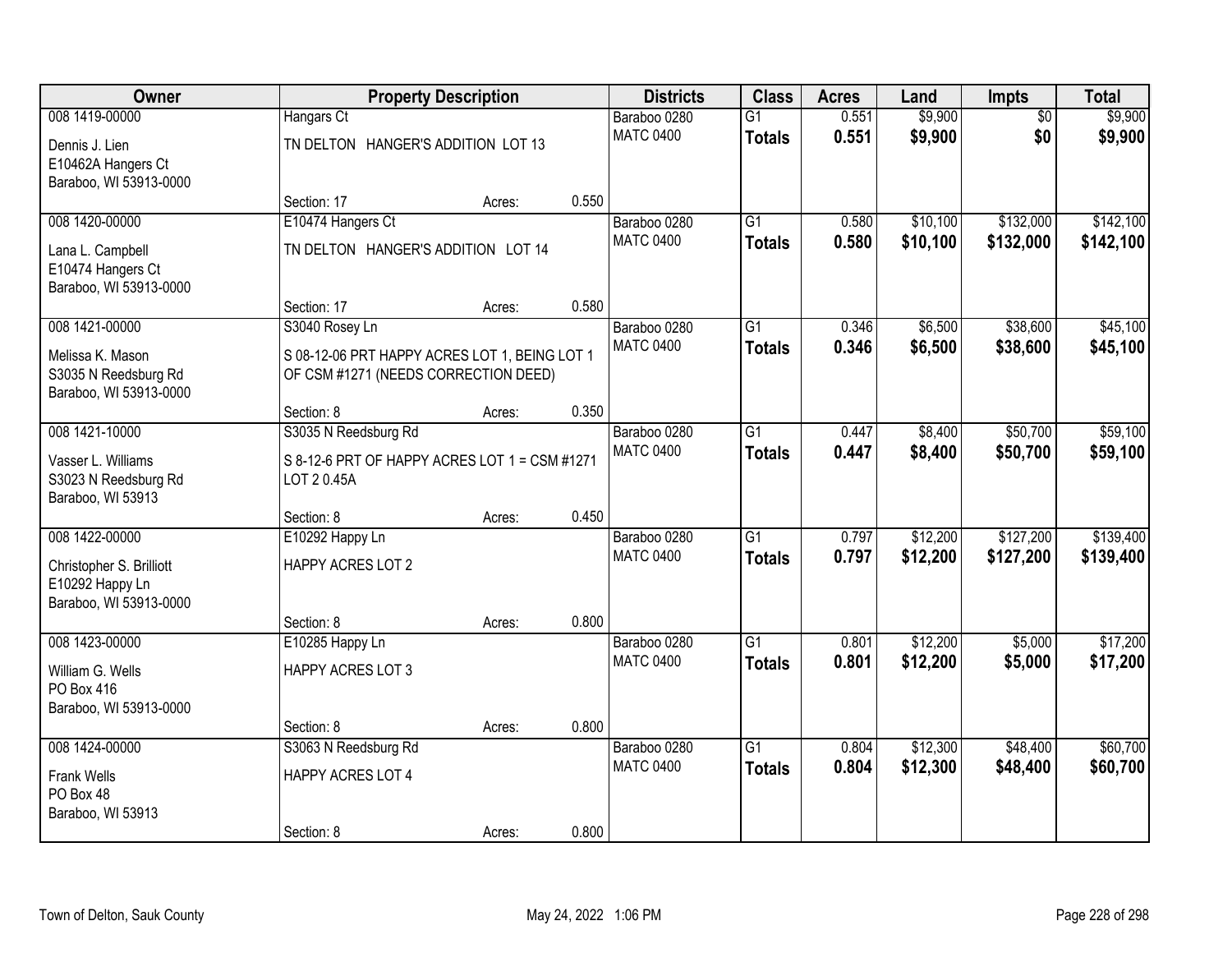| Owner                                                           |                                                                                       | <b>Property Description</b> |       | <b>Districts</b>                 | <b>Class</b>                     | <b>Acres</b>   | Land               | Impts                  | <b>Total</b>       |
|-----------------------------------------------------------------|---------------------------------------------------------------------------------------|-----------------------------|-------|----------------------------------|----------------------------------|----------------|--------------------|------------------------|--------------------|
| 008 1419-00000<br>Dennis J. Lien                                | Hangars Ct<br>TN DELTON HANGER'S ADDITION LOT 13                                      |                             |       | Baraboo 0280<br><b>MATC 0400</b> | $\overline{G1}$<br><b>Totals</b> | 0.551<br>0.551 | \$9,900<br>\$9,900 | $\overline{50}$<br>\$0 | \$9,900<br>\$9,900 |
| E10462A Hangers Ct<br>Baraboo, WI 53913-0000                    |                                                                                       |                             |       |                                  |                                  |                |                    |                        |                    |
|                                                                 | Section: 17                                                                           | Acres:                      | 0.550 |                                  | $\overline{G1}$                  | 0.580          |                    | \$132,000              | \$142,100          |
| 008 1420-00000                                                  | E10474 Hangers Ct                                                                     |                             |       | Baraboo 0280<br><b>MATC 0400</b> |                                  |                | \$10,100           |                        |                    |
| Lana L. Campbell<br>E10474 Hangers Ct<br>Baraboo, WI 53913-0000 | TN DELTON HANGER'S ADDITION LOT 14                                                    |                             |       |                                  | <b>Totals</b>                    | 0.580          | \$10,100           | \$132,000              | \$142,100          |
|                                                                 | Section: 17                                                                           | Acres:                      | 0.580 |                                  |                                  |                |                    |                        |                    |
| 008 1421-00000                                                  | S3040 Rosey Ln                                                                        |                             |       | Baraboo 0280                     | $\overline{G1}$                  | 0.346          | \$6,500            | \$38,600               | \$45,100           |
| Melissa K. Mason<br>S3035 N Reedsburg Rd                        | S 08-12-06 PRT HAPPY ACRES LOT 1, BEING LOT 1<br>OF CSM #1271 (NEEDS CORRECTION DEED) |                             |       | <b>MATC 0400</b>                 | <b>Totals</b>                    | 0.346          | \$6,500            | \$38,600               | \$45,100           |
| Baraboo, WI 53913-0000                                          | Section: 8                                                                            |                             | 0.350 |                                  |                                  |                |                    |                        |                    |
| 008 1421-10000                                                  | S3035 N Reedsburg Rd                                                                  | Acres:                      |       | Baraboo 0280                     | $\overline{G1}$                  | 0.447          | \$8,400            | \$50,700               | \$59,100           |
|                                                                 |                                                                                       |                             |       | <b>MATC 0400</b>                 |                                  | 0.447          | \$8,400            | \$50,700               | \$59,100           |
| Vasser L. Williams<br>S3023 N Reedsburg Rd                      | S 8-12-6 PRT OF HAPPY ACRES LOT 1 = CSM #1271<br>LOT 20.45A                           |                             |       |                                  | <b>Totals</b>                    |                |                    |                        |                    |
| Baraboo, WI 53913                                               |                                                                                       |                             |       |                                  |                                  |                |                    |                        |                    |
|                                                                 | Section: 8                                                                            | Acres:                      | 0.450 |                                  |                                  |                |                    |                        |                    |
| 008 1422-00000                                                  | E10292 Happy Ln                                                                       |                             |       | Baraboo 0280                     | $\overline{G1}$                  | 0.797          | \$12,200           | \$127,200              | \$139,400          |
| Christopher S. Brilliott                                        | HAPPY ACRES LOT 2                                                                     |                             |       | <b>MATC 0400</b>                 | <b>Totals</b>                    | 0.797          | \$12,200           | \$127,200              | \$139,400          |
| E10292 Happy Ln                                                 |                                                                                       |                             |       |                                  |                                  |                |                    |                        |                    |
| Baraboo, WI 53913-0000                                          |                                                                                       |                             |       |                                  |                                  |                |                    |                        |                    |
|                                                                 | Section: 8                                                                            | Acres:                      | 0.800 |                                  |                                  |                |                    |                        |                    |
| 008 1423-00000                                                  | E10285 Happy Ln                                                                       |                             |       | Baraboo 0280                     | $\overline{G1}$                  | 0.801          | \$12,200           | \$5,000                | \$17,200           |
| William G. Wells                                                | <b>HAPPY ACRES LOT 3</b>                                                              |                             |       | <b>MATC 0400</b>                 | <b>Totals</b>                    | 0.801          | \$12,200           | \$5,000                | \$17,200           |
| PO Box 416                                                      |                                                                                       |                             |       |                                  |                                  |                |                    |                        |                    |
| Baraboo, WI 53913-0000                                          |                                                                                       |                             |       |                                  |                                  |                |                    |                        |                    |
|                                                                 | Section: 8                                                                            | Acres:                      | 0.800 |                                  |                                  |                |                    |                        |                    |
| 008 1424-00000                                                  | S3063 N Reedsburg Rd                                                                  |                             |       | Baraboo 0280                     | $\overline{G1}$                  | 0.804          | \$12,300           | \$48,400               | \$60,700           |
|                                                                 |                                                                                       |                             |       | <b>MATC 0400</b>                 | <b>Totals</b>                    | 0.804          | \$12,300           | \$48,400               | \$60,700           |
| <b>Frank Wells</b><br>PO Box 48                                 | HAPPY ACRES LOT 4                                                                     |                             |       |                                  |                                  |                |                    |                        |                    |
| Baraboo, WI 53913                                               |                                                                                       |                             |       |                                  |                                  |                |                    |                        |                    |
|                                                                 | Section: 8                                                                            | Acres:                      | 0.800 |                                  |                                  |                |                    |                        |                    |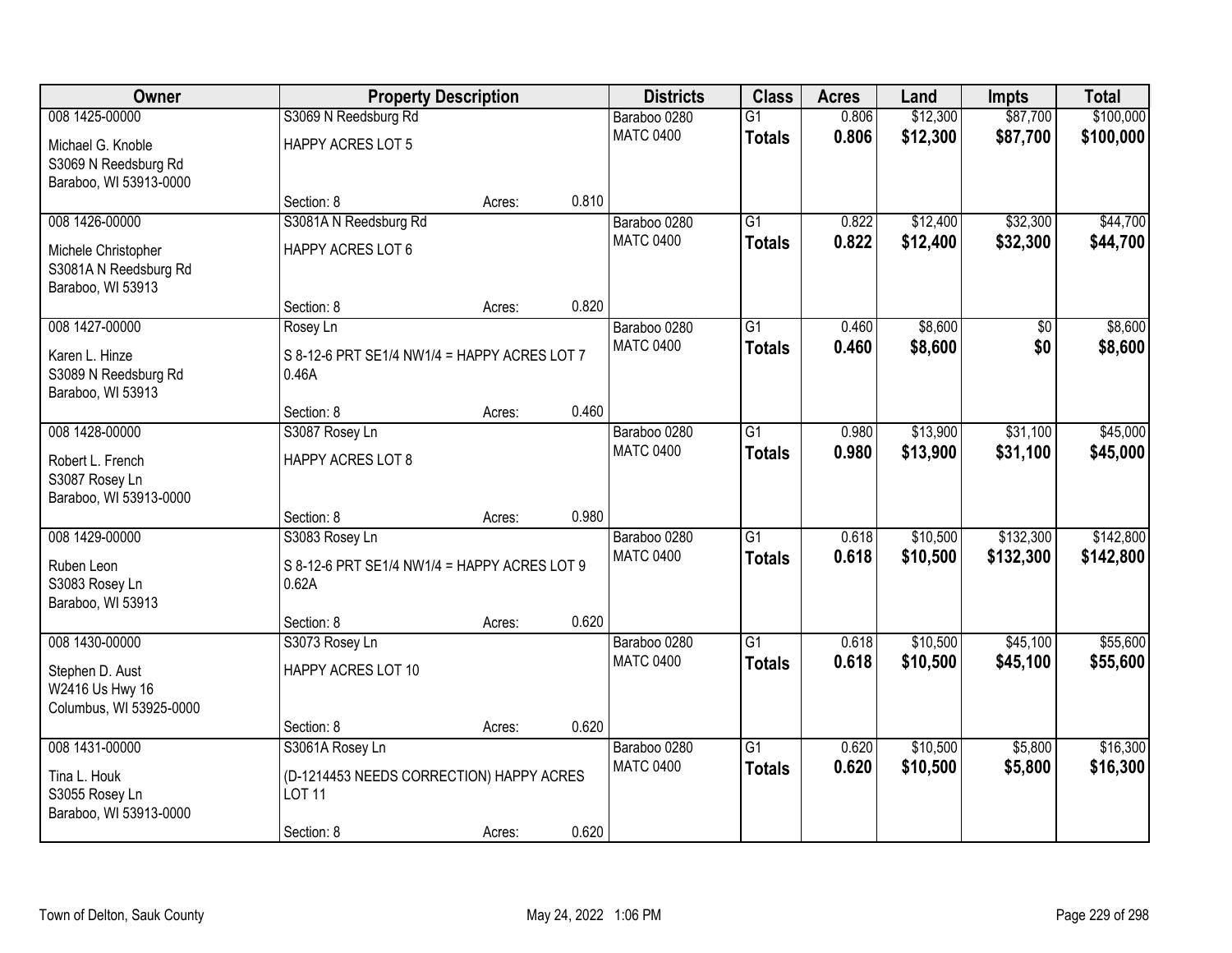| Owner                                    | <b>Property Description</b>                           |        |       | <b>Districts</b>                 | <b>Class</b>    | <b>Acres</b>   | Land     | <b>Impts</b>    | <b>Total</b> |
|------------------------------------------|-------------------------------------------------------|--------|-------|----------------------------------|-----------------|----------------|----------|-----------------|--------------|
| 008 1425-00000                           | S3069 N Reedsburg Rd                                  |        |       | Baraboo 0280                     | $\overline{G1}$ | 0.806          | \$12,300 | \$87,700        | \$100,000    |
| Michael G. Knoble                        | <b>HAPPY ACRES LOT 5</b>                              |        |       | <b>MATC 0400</b>                 | <b>Totals</b>   | 0.806          | \$12,300 | \$87,700        | \$100,000    |
| S3069 N Reedsburg Rd                     |                                                       |        |       |                                  |                 |                |          |                 |              |
| Baraboo, WI 53913-0000                   |                                                       |        |       |                                  |                 |                |          |                 |              |
|                                          | Section: 8                                            | Acres: | 0.810 |                                  |                 |                |          |                 |              |
| 008 1426-00000                           | S3081A N Reedsburg Rd                                 |        |       | Baraboo 0280<br><b>MATC 0400</b> | $\overline{G1}$ | 0.822<br>0.822 | \$12,400 | \$32,300        | \$44,700     |
| Michele Christopher                      | HAPPY ACRES LOT 6                                     |        |       |                                  | <b>Totals</b>   |                | \$12,400 | \$32,300        | \$44,700     |
| S3081A N Reedsburg Rd                    |                                                       |        |       |                                  |                 |                |          |                 |              |
| Baraboo, WI 53913                        |                                                       |        | 0.820 |                                  |                 |                |          |                 |              |
| 008 1427-00000                           | Section: 8                                            | Acres: |       | Baraboo 0280                     | $\overline{G1}$ | 0.460          | \$8,600  | $\overline{50}$ | \$8,600      |
|                                          | Rosey Ln                                              |        |       | <b>MATC 0400</b>                 | <b>Totals</b>   | 0.460          | \$8,600  | \$0             | \$8,600      |
| Karen L. Hinze                           | S 8-12-6 PRT SE1/4 NW1/4 = HAPPY ACRES LOT 7          |        |       |                                  |                 |                |          |                 |              |
| S3089 N Reedsburg Rd                     | 0.46A                                                 |        |       |                                  |                 |                |          |                 |              |
| Baraboo, WI 53913                        | Section: 8                                            |        | 0.460 |                                  |                 |                |          |                 |              |
| 008 1428-00000                           | S3087 Rosey Ln                                        | Acres: |       | Baraboo 0280                     | $\overline{G1}$ | 0.980          | \$13,900 | \$31,100        | \$45,000     |
|                                          |                                                       |        |       | <b>MATC 0400</b>                 | <b>Totals</b>   | 0.980          | \$13,900 | \$31,100        | \$45,000     |
| Robert L. French                         | HAPPY ACRES LOT 8                                     |        |       |                                  |                 |                |          |                 |              |
| S3087 Rosey Ln<br>Baraboo, WI 53913-0000 |                                                       |        |       |                                  |                 |                |          |                 |              |
|                                          | Section: 8                                            | Acres: | 0.980 |                                  |                 |                |          |                 |              |
| 008 1429-00000                           | S3083 Rosey Ln                                        |        |       | Baraboo 0280                     | $\overline{G1}$ | 0.618          | \$10,500 | \$132,300       | \$142,800    |
|                                          |                                                       |        |       | <b>MATC 0400</b>                 | <b>Totals</b>   | 0.618          | \$10,500 | \$132,300       | \$142,800    |
| Ruben Leon                               | S 8-12-6 PRT SE1/4 NW1/4 = HAPPY ACRES LOT 9<br>0.62A |        |       |                                  |                 |                |          |                 |              |
| S3083 Rosey Ln<br>Baraboo, WI 53913      |                                                       |        |       |                                  |                 |                |          |                 |              |
|                                          | Section: 8                                            | Acres: | 0.620 |                                  |                 |                |          |                 |              |
| 008 1430-00000                           | S3073 Rosey Ln                                        |        |       | Baraboo 0280                     | $\overline{G1}$ | 0.618          | \$10,500 | \$45,100        | \$55,600     |
| Stephen D. Aust                          | HAPPY ACRES LOT 10                                    |        |       | <b>MATC 0400</b>                 | <b>Totals</b>   | 0.618          | \$10,500 | \$45,100        | \$55,600     |
| W2416 Us Hwy 16                          |                                                       |        |       |                                  |                 |                |          |                 |              |
| Columbus, WI 53925-0000                  |                                                       |        |       |                                  |                 |                |          |                 |              |
|                                          | Section: 8                                            | Acres: | 0.620 |                                  |                 |                |          |                 |              |
| 008 1431-00000                           | S3061A Rosey Ln                                       |        |       | Baraboo 0280                     | $\overline{G1}$ | 0.620          | \$10,500 | \$5,800         | \$16,300     |
| Tina L. Houk                             | (D-1214453 NEEDS CORRECTION) HAPPY ACRES              |        |       | <b>MATC 0400</b>                 | <b>Totals</b>   | 0.620          | \$10,500 | \$5,800         | \$16,300     |
| S3055 Rosey Ln                           | <b>LOT 11</b>                                         |        |       |                                  |                 |                |          |                 |              |
| Baraboo, WI 53913-0000                   |                                                       |        |       |                                  |                 |                |          |                 |              |
|                                          | Section: 8                                            | Acres: | 0.620 |                                  |                 |                |          |                 |              |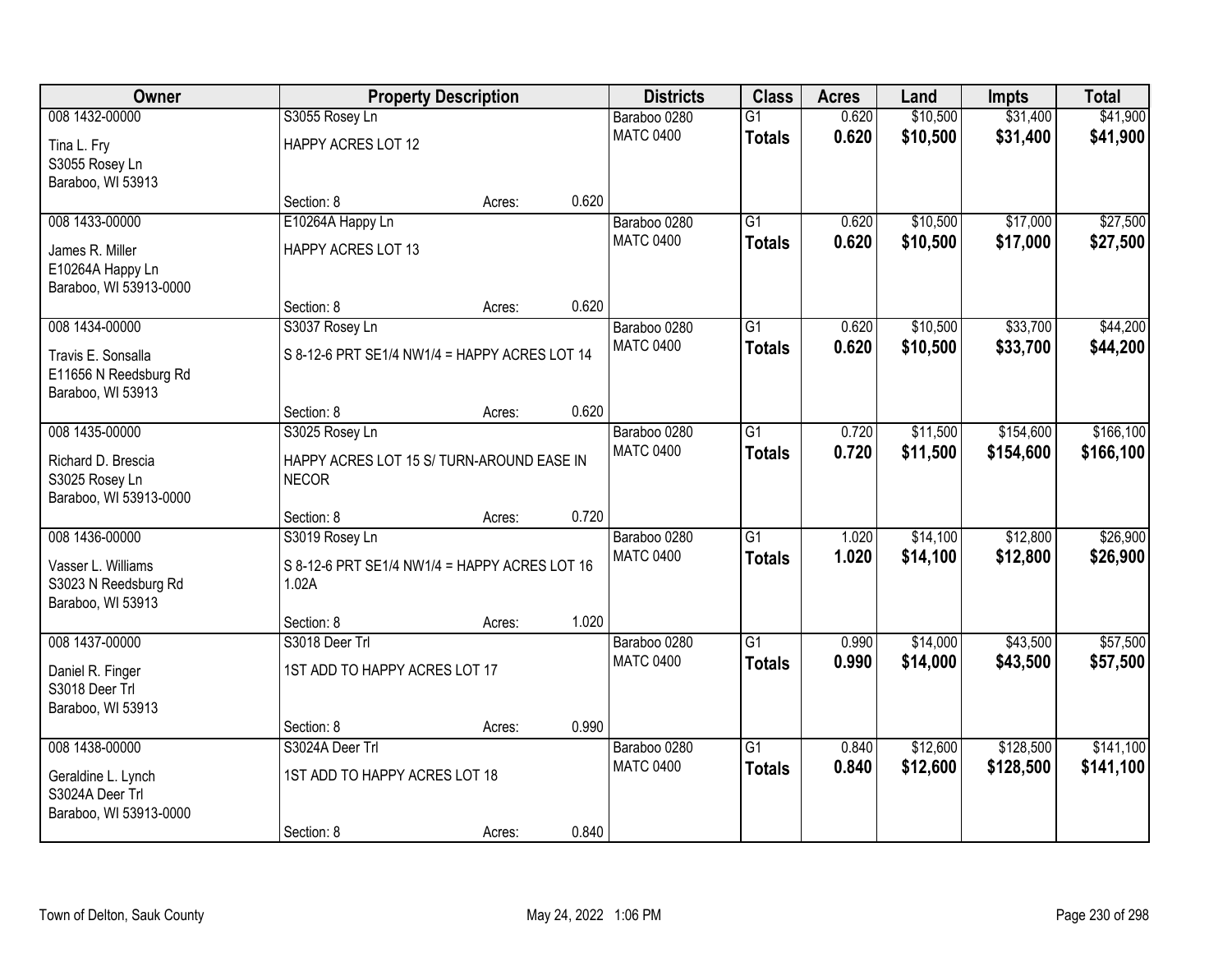| Owner                                                            |                                                           | <b>Property Description</b> |       | <b>Districts</b>                 | <b>Class</b>                     | <b>Acres</b>   | Land                 | <b>Impts</b>         | <b>Total</b>         |
|------------------------------------------------------------------|-----------------------------------------------------------|-----------------------------|-------|----------------------------------|----------------------------------|----------------|----------------------|----------------------|----------------------|
| 008 1432-00000<br>Tina L. Fry                                    | S3055 Rosey Ln<br>HAPPY ACRES LOT 12                      |                             |       | Baraboo 0280<br><b>MATC 0400</b> | $\overline{G1}$<br><b>Totals</b> | 0.620<br>0.620 | \$10,500<br>\$10,500 | \$31,400<br>\$31,400 | \$41,900<br>\$41,900 |
| S3055 Rosey Ln<br>Baraboo, WI 53913                              |                                                           |                             |       |                                  |                                  |                |                      |                      |                      |
|                                                                  | Section: 8                                                | Acres:                      | 0.620 |                                  |                                  |                |                      |                      |                      |
| 008 1433-00000                                                   | E10264A Happy Ln                                          |                             |       | Baraboo 0280                     | $\overline{G1}$                  | 0.620          | \$10,500             | \$17,000             | \$27,500             |
| James R. Miller<br>E10264A Happy Ln<br>Baraboo, WI 53913-0000    | <b>HAPPY ACRES LOT 13</b>                                 |                             |       | <b>MATC 0400</b>                 | <b>Totals</b>                    | 0.620          | \$10,500             | \$17,000             | \$27,500             |
|                                                                  | Section: 8                                                | Acres:                      | 0.620 |                                  |                                  |                |                      |                      |                      |
| 008 1434-00000                                                   | S3037 Rosey Ln                                            |                             |       | Baraboo 0280                     | $\overline{G1}$                  | 0.620          | \$10,500             | \$33,700             | \$44,200             |
| Travis E. Sonsalla<br>E11656 N Reedsburg Rd<br>Baraboo, WI 53913 | S 8-12-6 PRT SE1/4 NW1/4 = HAPPY ACRES LOT 14             |                             |       | <b>MATC 0400</b>                 | <b>Totals</b>                    | 0.620          | \$10,500             | \$33,700             | \$44,200             |
|                                                                  | Section: 8                                                | Acres:                      | 0.620 |                                  |                                  |                |                      |                      |                      |
| 008 1435-00000                                                   | S3025 Rosey Ln                                            |                             |       | Baraboo 0280                     | $\overline{G1}$                  | 0.720          | \$11,500             | \$154,600            | \$166, 100           |
| Richard D. Brescia<br>S3025 Rosey Ln<br>Baraboo, WI 53913-0000   | HAPPY ACRES LOT 15 S/ TURN-AROUND EASE IN<br><b>NECOR</b> |                             |       | <b>MATC 0400</b>                 | <b>Totals</b>                    | 0.720          | \$11,500             | \$154,600            | \$166,100            |
|                                                                  | Section: 8                                                | Acres:                      | 0.720 |                                  |                                  |                |                      |                      |                      |
| 008 1436-00000                                                   | S3019 Rosey Ln                                            |                             |       | Baraboo 0280                     | $\overline{G1}$                  | 1.020          | \$14,100             | \$12,800             | \$26,900             |
| Vasser L. Williams<br>S3023 N Reedsburg Rd<br>Baraboo, WI 53913  | S 8-12-6 PRT SE1/4 NW1/4 = HAPPY ACRES LOT 16<br>1.02A    |                             |       | <b>MATC 0400</b>                 | <b>Totals</b>                    | 1.020          | \$14,100             | \$12,800             | \$26,900             |
|                                                                  | Section: 8                                                | Acres:                      | 1.020 |                                  |                                  |                |                      |                      |                      |
| 008 1437-00000                                                   | S3018 Deer Trl                                            |                             |       | Baraboo 0280                     | $\overline{G1}$                  | 0.990          | \$14,000             | \$43,500             | \$57,500             |
| Daniel R. Finger<br>S3018 Deer Trl<br>Baraboo, WI 53913          | 1ST ADD TO HAPPY ACRES LOT 17                             |                             |       | <b>MATC 0400</b>                 | <b>Totals</b>                    | 0.990          | \$14,000             | \$43,500             | \$57,500             |
|                                                                  | Section: 8                                                | Acres:                      | 0.990 |                                  |                                  |                |                      |                      |                      |
| 008 1438-00000                                                   | S3024A Deer Trl                                           |                             |       | Baraboo 0280                     | $\overline{G1}$                  | 0.840          | \$12,600             | \$128,500            | \$141,100            |
| Geraldine L. Lynch<br>S3024A Deer Trl<br>Baraboo, WI 53913-0000  | 1ST ADD TO HAPPY ACRES LOT 18                             |                             |       | <b>MATC 0400</b>                 | <b>Totals</b>                    | 0.840          | \$12,600             | \$128,500            | \$141,100            |
|                                                                  | Section: 8                                                | Acres:                      | 0.840 |                                  |                                  |                |                      |                      |                      |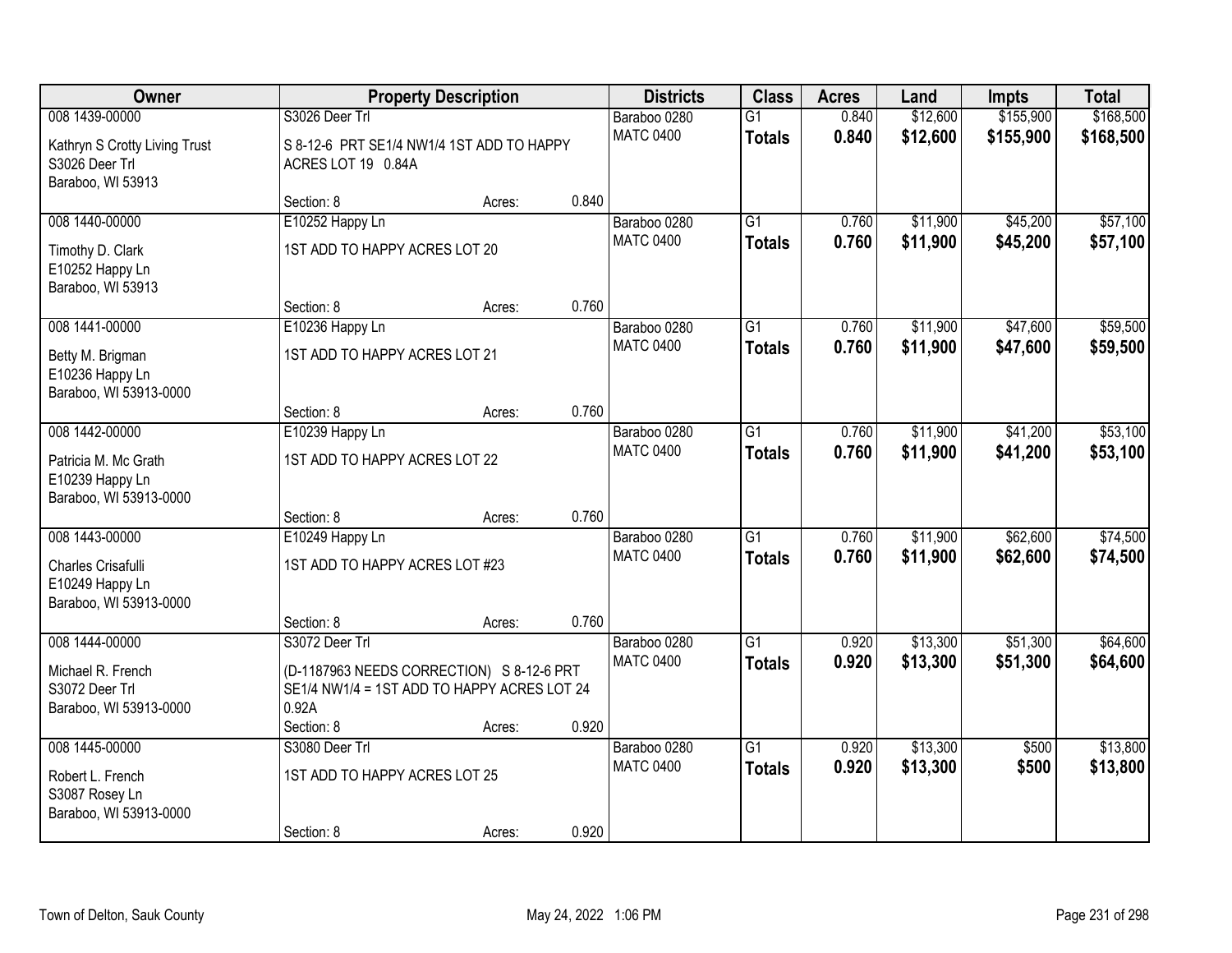| Owner                                                                                  |                                                                                                                                   | <b>Property Description</b>               |       | <b>Districts</b>                 | <b>Class</b>                     | <b>Acres</b>   | Land                 | <b>Impts</b>           | <b>Total</b>           |
|----------------------------------------------------------------------------------------|-----------------------------------------------------------------------------------------------------------------------------------|-------------------------------------------|-------|----------------------------------|----------------------------------|----------------|----------------------|------------------------|------------------------|
| 008 1439-00000<br>Kathryn S Crotty Living Trust<br>S3026 Deer Trl<br>Baraboo, WI 53913 | S3026 Deer Trl<br>ACRES LOT 19 0.84A                                                                                              | S 8-12-6 PRT SE1/4 NW1/4 1ST ADD TO HAPPY |       | Baraboo 0280<br><b>MATC 0400</b> | $\overline{G1}$<br><b>Totals</b> | 0.840<br>0.840 | \$12,600<br>\$12,600 | \$155,900<br>\$155,900 | \$168,500<br>\$168,500 |
|                                                                                        | Section: 8                                                                                                                        | Acres:                                    | 0.840 |                                  |                                  |                |                      |                        |                        |
| 008 1440-00000<br>Timothy D. Clark<br>E10252 Happy Ln<br>Baraboo, WI 53913             | E10252 Happy Ln<br>1ST ADD TO HAPPY ACRES LOT 20                                                                                  |                                           |       | Baraboo 0280<br><b>MATC 0400</b> | $\overline{G1}$<br><b>Totals</b> | 0.760<br>0.760 | \$11,900<br>\$11,900 | \$45,200<br>\$45,200   | \$57,100<br>\$57,100   |
|                                                                                        | Section: 8                                                                                                                        | Acres:                                    | 0.760 |                                  |                                  |                |                      |                        |                        |
| 008 1441-00000<br>Betty M. Brigman<br>E10236 Happy Ln<br>Baraboo, WI 53913-0000        | E10236 Happy Ln<br>1ST ADD TO HAPPY ACRES LOT 21                                                                                  |                                           |       | Baraboo 0280<br><b>MATC 0400</b> | $\overline{G1}$<br><b>Totals</b> | 0.760<br>0.760 | \$11,900<br>\$11,900 | \$47,600<br>\$47,600   | \$59,500<br>\$59,500   |
|                                                                                        | Section: 8                                                                                                                        | Acres:                                    | 0.760 |                                  |                                  |                |                      |                        |                        |
| 008 1442-00000<br>Patricia M. Mc Grath<br>E10239 Happy Ln<br>Baraboo, WI 53913-0000    | E10239 Happy Ln<br>1ST ADD TO HAPPY ACRES LOT 22                                                                                  |                                           |       | Baraboo 0280<br><b>MATC 0400</b> | G1<br><b>Totals</b>              | 0.760<br>0.760 | \$11,900<br>\$11,900 | \$41,200<br>\$41,200   | \$53,100<br>\$53,100   |
|                                                                                        | Section: 8                                                                                                                        | Acres:                                    | 0.760 |                                  |                                  |                |                      |                        |                        |
| 008 1443-00000<br>Charles Crisafulli<br>E10249 Happy Ln<br>Baraboo, WI 53913-0000      | E10249 Happy Ln<br>1ST ADD TO HAPPY ACRES LOT #23                                                                                 |                                           |       | Baraboo 0280<br><b>MATC 0400</b> | $\overline{G1}$<br><b>Totals</b> | 0.760<br>0.760 | \$11,900<br>\$11,900 | \$62,600<br>\$62,600   | \$74,500<br>\$74,500   |
|                                                                                        | Section: 8                                                                                                                        | Acres:                                    | 0.760 |                                  |                                  |                |                      |                        |                        |
| 008 1444-00000<br>Michael R. French<br>S3072 Deer Trl<br>Baraboo, WI 53913-0000        | S3072 Deer Trl<br>(D-1187963 NEEDS CORRECTION) S 8-12-6 PRT<br>SE1/4 NW1/4 = 1ST ADD TO HAPPY ACRES LOT 24<br>0.92A<br>Section: 8 | Acres:                                    | 0.920 | Baraboo 0280<br><b>MATC 0400</b> | $\overline{G1}$<br><b>Totals</b> | 0.920<br>0.920 | \$13,300<br>\$13,300 | \$51,300<br>\$51,300   | \$64,600<br>\$64,600   |
| 008 1445-00000                                                                         | S3080 Deer Trl                                                                                                                    |                                           |       | Baraboo 0280                     | $\overline{G1}$                  | 0.920          | \$13,300             | \$500                  | \$13,800               |
| Robert L. French<br>S3087 Rosey Ln<br>Baraboo, WI 53913-0000                           | 1ST ADD TO HAPPY ACRES LOT 25<br>Section: 8                                                                                       | Acres:                                    | 0.920 | <b>MATC 0400</b>                 | <b>Totals</b>                    | 0.920          | \$13,300             | \$500                  | \$13,800               |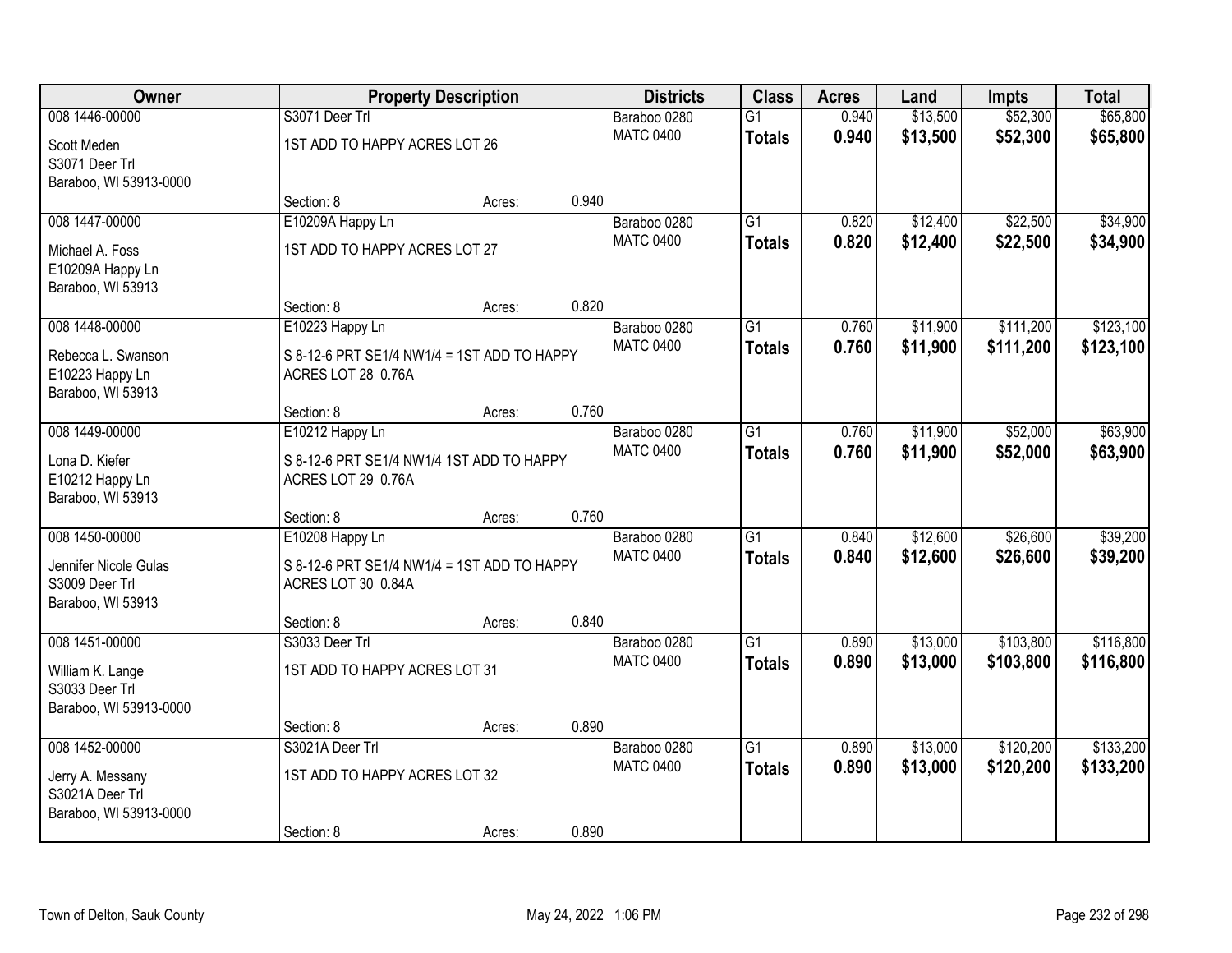| 008 1446-00000<br>\$13,500<br>\$52,300<br>\$65,800<br>S3071 Deer Trl<br>$\overline{G1}$<br>0.940<br>Baraboo 0280<br><b>MATC 0400</b><br>0.940<br>\$13,500<br>\$52,300<br>\$65,800<br><b>Totals</b><br>1ST ADD TO HAPPY ACRES LOT 26<br>Scott Meden<br>S3071 Deer Trl<br>Baraboo, WI 53913-0000<br>0.940<br>Section: 8<br>Acres:<br>\$22,500<br>008 1447-00000<br>E10209A Happy Ln<br>\$12,400<br>\$34,900<br>Baraboo 0280<br>$\overline{G1}$<br>0.820<br>0.820<br><b>MATC 0400</b><br>\$12,400<br>\$22,500<br>\$34,900<br><b>Totals</b><br>1ST ADD TO HAPPY ACRES LOT 27<br>Michael A. Foss<br>E10209A Happy Ln<br>Baraboo, WI 53913 |
|--------------------------------------------------------------------------------------------------------------------------------------------------------------------------------------------------------------------------------------------------------------------------------------------------------------------------------------------------------------------------------------------------------------------------------------------------------------------------------------------------------------------------------------------------------------------------------------------------------------------------------------|
|                                                                                                                                                                                                                                                                                                                                                                                                                                                                                                                                                                                                                                      |
|                                                                                                                                                                                                                                                                                                                                                                                                                                                                                                                                                                                                                                      |
|                                                                                                                                                                                                                                                                                                                                                                                                                                                                                                                                                                                                                                      |
|                                                                                                                                                                                                                                                                                                                                                                                                                                                                                                                                                                                                                                      |
|                                                                                                                                                                                                                                                                                                                                                                                                                                                                                                                                                                                                                                      |
|                                                                                                                                                                                                                                                                                                                                                                                                                                                                                                                                                                                                                                      |
|                                                                                                                                                                                                                                                                                                                                                                                                                                                                                                                                                                                                                                      |
|                                                                                                                                                                                                                                                                                                                                                                                                                                                                                                                                                                                                                                      |
|                                                                                                                                                                                                                                                                                                                                                                                                                                                                                                                                                                                                                                      |
| 0.820<br>Section: 8<br>Acres:                                                                                                                                                                                                                                                                                                                                                                                                                                                                                                                                                                                                        |
| \$111,200<br>\$123,100<br>008 1448-00000<br>E10223 Happy Ln<br>Baraboo 0280<br>$\overline{G1}$<br>0.760<br>\$11,900                                                                                                                                                                                                                                                                                                                                                                                                                                                                                                                  |
| <b>MATC 0400</b><br>0.760<br>\$11,900<br>\$111,200<br>\$123,100<br><b>Totals</b><br>Rebecca L. Swanson<br>S 8-12-6 PRT SE1/4 NW1/4 = 1ST ADD TO HAPPY                                                                                                                                                                                                                                                                                                                                                                                                                                                                                |
| ACRES LOT 28 0.76A<br>E10223 Happy Ln                                                                                                                                                                                                                                                                                                                                                                                                                                                                                                                                                                                                |
| Baraboo, WI 53913                                                                                                                                                                                                                                                                                                                                                                                                                                                                                                                                                                                                                    |
| 0.760<br>Section: 8<br>Acres:                                                                                                                                                                                                                                                                                                                                                                                                                                                                                                                                                                                                        |
| 008 1449-00000<br>\$11,900<br>\$52,000<br>\$63,900<br>E10212 Happy Ln<br>Baraboo 0280<br>$\overline{G1}$<br>0.760<br><b>MATC 0400</b>                                                                                                                                                                                                                                                                                                                                                                                                                                                                                                |
| 0.760<br>\$11,900<br>\$52,000<br>\$63,900<br><b>Totals</b><br>S 8-12-6 PRT SE1/4 NW1/4 1ST ADD TO HAPPY<br>Lona D. Kiefer                                                                                                                                                                                                                                                                                                                                                                                                                                                                                                            |
| E10212 Happy Ln<br>ACRES LOT 29 0.76A                                                                                                                                                                                                                                                                                                                                                                                                                                                                                                                                                                                                |
| Baraboo, WI 53913                                                                                                                                                                                                                                                                                                                                                                                                                                                                                                                                                                                                                    |
| 0.760<br>Section: 8<br>Acres:<br>\$39,200<br>008 1450-00000<br>$\overline{G1}$<br>\$12,600<br>\$26,600<br>0.840                                                                                                                                                                                                                                                                                                                                                                                                                                                                                                                      |
| E10208 Happy Ln<br>Baraboo 0280<br><b>MATC 0400</b><br>0.840<br>\$12,600<br>\$26,600<br>\$39,200                                                                                                                                                                                                                                                                                                                                                                                                                                                                                                                                     |
| <b>Totals</b><br>Jennifer Nicole Gulas<br>S 8-12-6 PRT SE1/4 NW1/4 = 1ST ADD TO HAPPY                                                                                                                                                                                                                                                                                                                                                                                                                                                                                                                                                |
| S3009 Deer Trl<br>ACRES LOT 30 0.84A                                                                                                                                                                                                                                                                                                                                                                                                                                                                                                                                                                                                 |
| Baraboo, WI 53913<br>0.840                                                                                                                                                                                                                                                                                                                                                                                                                                                                                                                                                                                                           |
| Section: 8<br>Acres:<br>008 1451-00000<br>S3033 Deer Trl<br>$\overline{G1}$<br>\$13,000<br>\$103,800<br>\$116,800<br>Baraboo 0280<br>0.890                                                                                                                                                                                                                                                                                                                                                                                                                                                                                           |
| <b>MATC 0400</b><br>0.890<br>\$13,000<br>\$103,800<br>\$116,800<br><b>Totals</b>                                                                                                                                                                                                                                                                                                                                                                                                                                                                                                                                                     |
| 1ST ADD TO HAPPY ACRES LOT 31<br>William K. Lange                                                                                                                                                                                                                                                                                                                                                                                                                                                                                                                                                                                    |
| S3033 Deer Trl                                                                                                                                                                                                                                                                                                                                                                                                                                                                                                                                                                                                                       |
| Baraboo, WI 53913-0000<br>0.890<br>Section: 8<br>Acres:                                                                                                                                                                                                                                                                                                                                                                                                                                                                                                                                                                              |
| 008 1452-00000<br>$\overline{G1}$<br>\$120,200<br>\$133,200<br>S3021A Deer Trl<br>0.890<br>\$13,000<br>Baraboo 0280                                                                                                                                                                                                                                                                                                                                                                                                                                                                                                                  |
| <b>MATC 0400</b><br>0.890<br>\$13,000<br>\$120,200<br>\$133,200<br><b>Totals</b>                                                                                                                                                                                                                                                                                                                                                                                                                                                                                                                                                     |
| 1ST ADD TO HAPPY ACRES LOT 32<br>Jerry A. Messany                                                                                                                                                                                                                                                                                                                                                                                                                                                                                                                                                                                    |
| S3021A Deer Trl<br>Baraboo, WI 53913-0000                                                                                                                                                                                                                                                                                                                                                                                                                                                                                                                                                                                            |
| 0.890<br>Section: 8<br>Acres:                                                                                                                                                                                                                                                                                                                                                                                                                                                                                                                                                                                                        |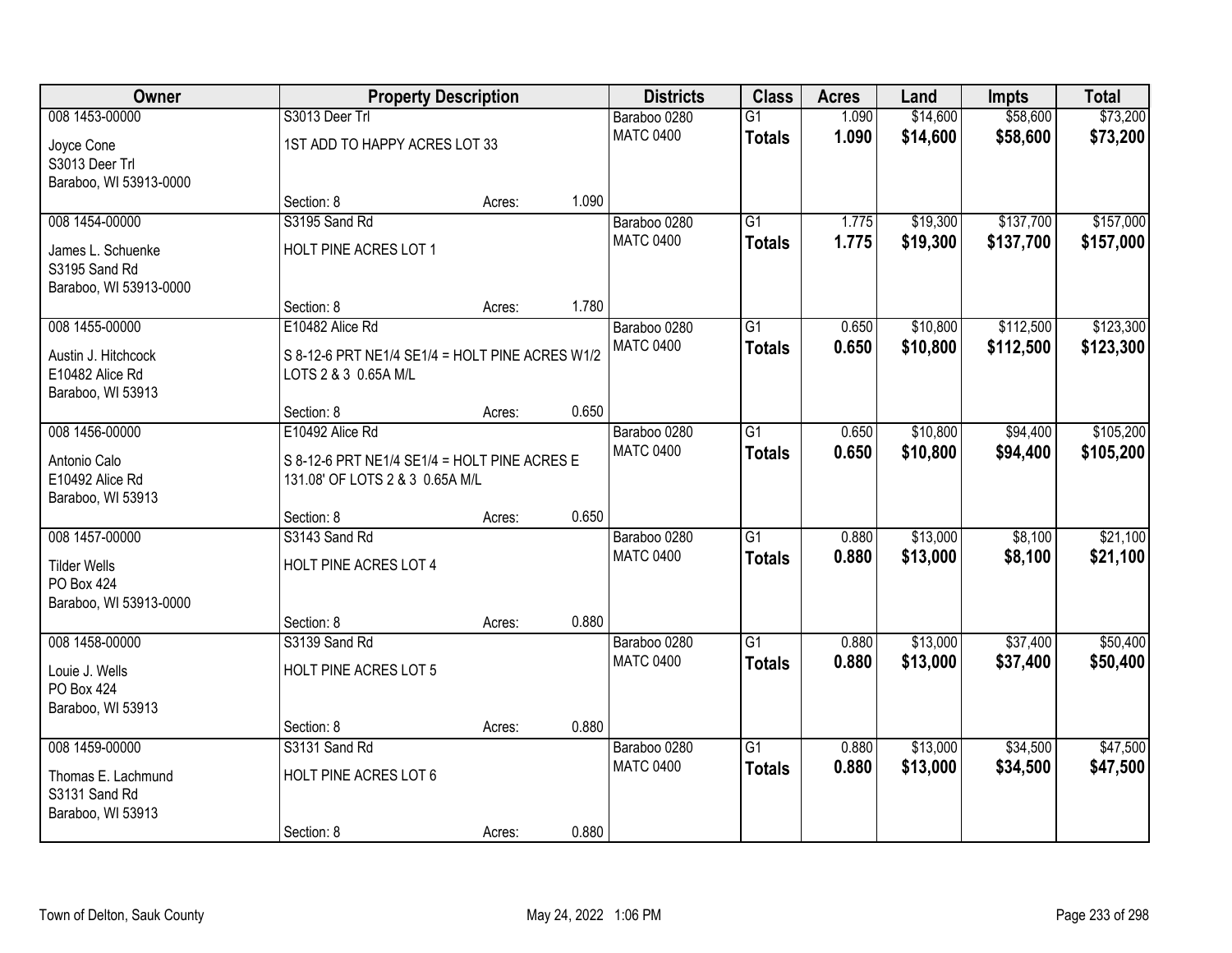| Owner                                                                          | <b>Property Description</b>                                                                        |        |       | <b>Districts</b>                 | <b>Class</b>                     | <b>Acres</b>   | Land                 | <b>Impts</b>           | <b>Total</b>           |
|--------------------------------------------------------------------------------|----------------------------------------------------------------------------------------------------|--------|-------|----------------------------------|----------------------------------|----------------|----------------------|------------------------|------------------------|
| 008 1453-00000<br>Joyce Cone<br>S3013 Deer Trl                                 | S3013 Deer Trl<br>1ST ADD TO HAPPY ACRES LOT 33                                                    |        |       | Baraboo 0280<br><b>MATC 0400</b> | $\overline{G1}$<br><b>Totals</b> | 1.090<br>1.090 | \$14,600<br>\$14,600 | \$58,600<br>\$58,600   | \$73,200<br>\$73,200   |
| Baraboo, WI 53913-0000                                                         | Section: 8                                                                                         | Acres: | 1.090 |                                  |                                  |                |                      |                        |                        |
| 008 1454-00000<br>James L. Schuenke<br>S3195 Sand Rd<br>Baraboo, WI 53913-0000 | S3195 Sand Rd<br>HOLT PINE ACRES LOT 1                                                             |        |       | Baraboo 0280<br><b>MATC 0400</b> | $\overline{G1}$<br><b>Totals</b> | 1.775<br>1.775 | \$19,300<br>\$19,300 | \$137,700<br>\$137,700 | \$157,000<br>\$157,000 |
| 008 1455-00000<br>Austin J. Hitchcock                                          | Section: 8<br>E10482 Alice Rd<br>S 8-12-6 PRT NE1/4 SE1/4 = HOLT PINE ACRES W1/2                   | Acres: | 1.780 | Baraboo 0280<br><b>MATC 0400</b> | G1<br><b>Totals</b>              | 0.650<br>0.650 | \$10,800<br>\$10,800 | \$112,500<br>\$112,500 | \$123,300<br>\$123,300 |
| E10482 Alice Rd<br>Baraboo, WI 53913                                           | LOTS 2 & 3 0.65A M/L<br>Section: 8                                                                 | Acres: | 0.650 |                                  |                                  |                |                      |                        |                        |
| 008 1456-00000<br>Antonio Calo<br>E10492 Alice Rd<br>Baraboo, WI 53913         | E10492 Alice Rd<br>S 8-12-6 PRT NE1/4 SE1/4 = HOLT PINE ACRES E<br>131.08' OF LOTS 2 & 3 0.65A M/L |        |       | Baraboo 0280<br><b>MATC 0400</b> | $\overline{G1}$<br><b>Totals</b> | 0.650<br>0.650 | \$10,800<br>\$10,800 | \$94,400<br>\$94,400   | \$105,200<br>\$105,200 |
| 008 1457-00000                                                                 | Section: 8<br>S3143 Sand Rd                                                                        | Acres: | 0.650 | Baraboo 0280                     | $\overline{G1}$                  | 0.880          | \$13,000             | \$8,100                | \$21,100               |
| <b>Tilder Wells</b><br>PO Box 424<br>Baraboo, WI 53913-0000                    | HOLT PINE ACRES LOT 4                                                                              |        |       | <b>MATC 0400</b>                 | <b>Totals</b>                    | 0.880          | \$13,000             | \$8,100                | \$21,100               |
|                                                                                | Section: 8                                                                                         | Acres: | 0.880 |                                  |                                  |                |                      |                        |                        |
| 008 1458-00000<br>Louie J. Wells<br>PO Box 424<br>Baraboo, WI 53913            | S3139 Sand Rd<br>HOLT PINE ACRES LOT 5                                                             |        |       | Baraboo 0280<br><b>MATC 0400</b> | $\overline{G1}$<br><b>Totals</b> | 0.880<br>0.880 | \$13,000<br>\$13,000 | \$37,400<br>\$37,400   | \$50,400<br>\$50,400   |
|                                                                                | Section: 8                                                                                         | Acres: | 0.880 |                                  |                                  |                |                      |                        |                        |
| 008 1459-00000<br>Thomas E. Lachmund<br>S3131 Sand Rd<br>Baraboo, WI 53913     | S3131 Sand Rd<br>HOLT PINE ACRES LOT 6<br>Section: 8                                               | Acres: | 0.880 | Baraboo 0280<br><b>MATC 0400</b> | $\overline{G1}$<br><b>Totals</b> | 0.880<br>0.880 | \$13,000<br>\$13,000 | \$34,500<br>\$34,500   | \$47,500<br>\$47,500   |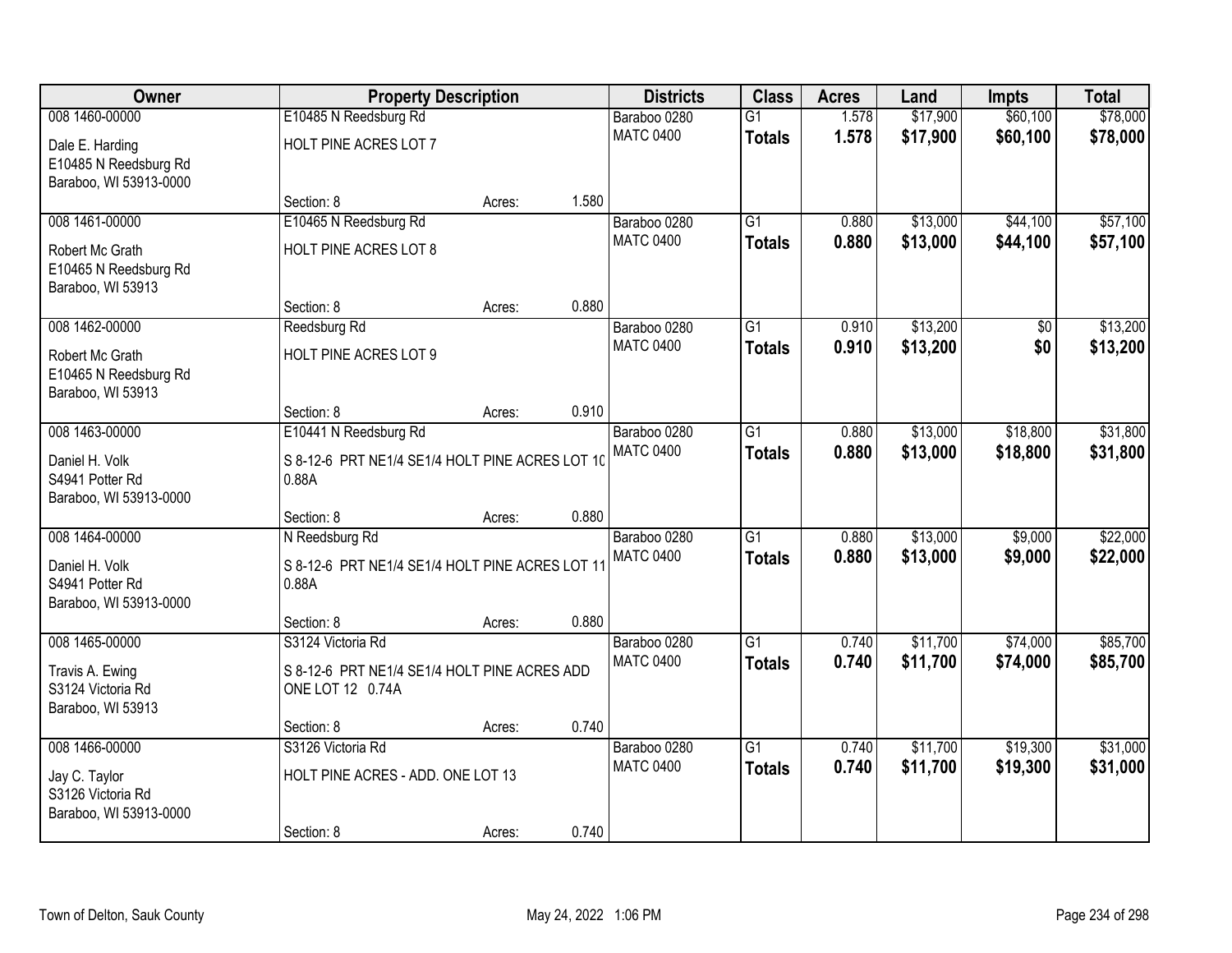| Owner                                    |                                                 | <b>Property Description</b> |       | <b>Districts</b>                 | <b>Class</b>    | <b>Acres</b>   | Land                 | <b>Impts</b>         | <b>Total</b>         |
|------------------------------------------|-------------------------------------------------|-----------------------------|-------|----------------------------------|-----------------|----------------|----------------------|----------------------|----------------------|
| 008 1460-00000                           | E10485 N Reedsburg Rd                           |                             |       | Baraboo 0280                     | $\overline{G1}$ | 1.578          | \$17,900             | \$60,100             | \$78,000             |
| Dale E. Harding                          | HOLT PINE ACRES LOT 7                           |                             |       | <b>MATC 0400</b>                 | <b>Totals</b>   | 1.578          | \$17,900             | \$60,100             | \$78,000             |
| E10485 N Reedsburg Rd                    |                                                 |                             |       |                                  |                 |                |                      |                      |                      |
| Baraboo, WI 53913-0000                   |                                                 |                             |       |                                  |                 |                |                      |                      |                      |
|                                          | Section: 8                                      | Acres:                      | 1.580 |                                  |                 |                |                      |                      |                      |
| 008 1461-00000                           | E10465 N Reedsburg Rd                           |                             |       | Baraboo 0280<br><b>MATC 0400</b> | $\overline{G1}$ | 0.880<br>0.880 | \$13,000<br>\$13,000 | \$44,100<br>\$44,100 | \$57,100<br>\$57,100 |
| Robert Mc Grath                          | <b>HOLT PINE ACRES LOT 8</b>                    |                             |       |                                  | <b>Totals</b>   |                |                      |                      |                      |
| E10465 N Reedsburg Rd                    |                                                 |                             |       |                                  |                 |                |                      |                      |                      |
| Baraboo, WI 53913                        | Section: 8                                      | Acres:                      | 0.880 |                                  |                 |                |                      |                      |                      |
| 008 1462-00000                           | Reedsburg Rd                                    |                             |       | Baraboo 0280                     | $\overline{G1}$ | 0.910          | \$13,200             | \$0                  | \$13,200             |
|                                          |                                                 |                             |       | <b>MATC 0400</b>                 | <b>Totals</b>   | 0.910          | \$13,200             | \$0                  | \$13,200             |
| Robert Mc Grath<br>E10465 N Reedsburg Rd | HOLT PINE ACRES LOT 9                           |                             |       |                                  |                 |                |                      |                      |                      |
| Baraboo, WI 53913                        |                                                 |                             |       |                                  |                 |                |                      |                      |                      |
|                                          | Section: 8                                      | Acres:                      | 0.910 |                                  |                 |                |                      |                      |                      |
| 008 1463-00000                           | E10441 N Reedsburg Rd                           |                             |       | Baraboo 0280                     | $\overline{G1}$ | 0.880          | \$13,000             | \$18,800             | \$31,800             |
| Daniel H. Volk                           | S 8-12-6 PRT NE1/4 SE1/4 HOLT PINE ACRES LOT 10 |                             |       | <b>MATC 0400</b>                 | <b>Totals</b>   | 0.880          | \$13,000             | \$18,800             | \$31,800             |
| S4941 Potter Rd                          | 0.88A                                           |                             |       |                                  |                 |                |                      |                      |                      |
| Baraboo, WI 53913-0000                   |                                                 |                             |       |                                  |                 |                |                      |                      |                      |
|                                          | Section: 8                                      | Acres:                      | 0.880 |                                  |                 |                |                      |                      |                      |
| 008 1464-00000                           | N Reedsburg Rd                                  |                             |       | Baraboo 0280                     | $\overline{G1}$ | 0.880          | \$13,000             | \$9,000              | \$22,000             |
| Daniel H. Volk                           | S 8-12-6 PRT NE1/4 SE1/4 HOLT PINE ACRES LOT 11 |                             |       | <b>MATC 0400</b>                 | <b>Totals</b>   | 0.880          | \$13,000             | \$9,000              | \$22,000             |
| S4941 Potter Rd                          | 0.88A                                           |                             |       |                                  |                 |                |                      |                      |                      |
| Baraboo, WI 53913-0000                   |                                                 |                             |       |                                  |                 |                |                      |                      |                      |
| 008 1465-00000                           | Section: 8<br>S3124 Victoria Rd                 | Acres:                      | 0.880 | Baraboo 0280                     | $\overline{G1}$ | 0.740          | \$11,700             | \$74,000             | \$85,700             |
|                                          |                                                 |                             |       | <b>MATC 0400</b>                 | <b>Totals</b>   | 0.740          | \$11,700             | \$74,000             | \$85,700             |
| Travis A. Ewing                          | S 8-12-6 PRT NE1/4 SE1/4 HOLT PINE ACRES ADD    |                             |       |                                  |                 |                |                      |                      |                      |
| S3124 Victoria Rd<br>Baraboo, WI 53913   | ONE LOT 12 0.74A                                |                             |       |                                  |                 |                |                      |                      |                      |
|                                          | Section: 8                                      | Acres:                      | 0.740 |                                  |                 |                |                      |                      |                      |
| 008 1466-00000                           | S3126 Victoria Rd                               |                             |       | Baraboo 0280                     | $\overline{G1}$ | 0.740          | \$11,700             | \$19,300             | \$31,000             |
| Jay C. Taylor                            | HOLT PINE ACRES - ADD. ONE LOT 13               |                             |       | <b>MATC 0400</b>                 | <b>Totals</b>   | 0.740          | \$11,700             | \$19,300             | \$31,000             |
| S3126 Victoria Rd                        |                                                 |                             |       |                                  |                 |                |                      |                      |                      |
| Baraboo, WI 53913-0000                   |                                                 |                             |       |                                  |                 |                |                      |                      |                      |
|                                          | Section: 8                                      | Acres:                      | 0.740 |                                  |                 |                |                      |                      |                      |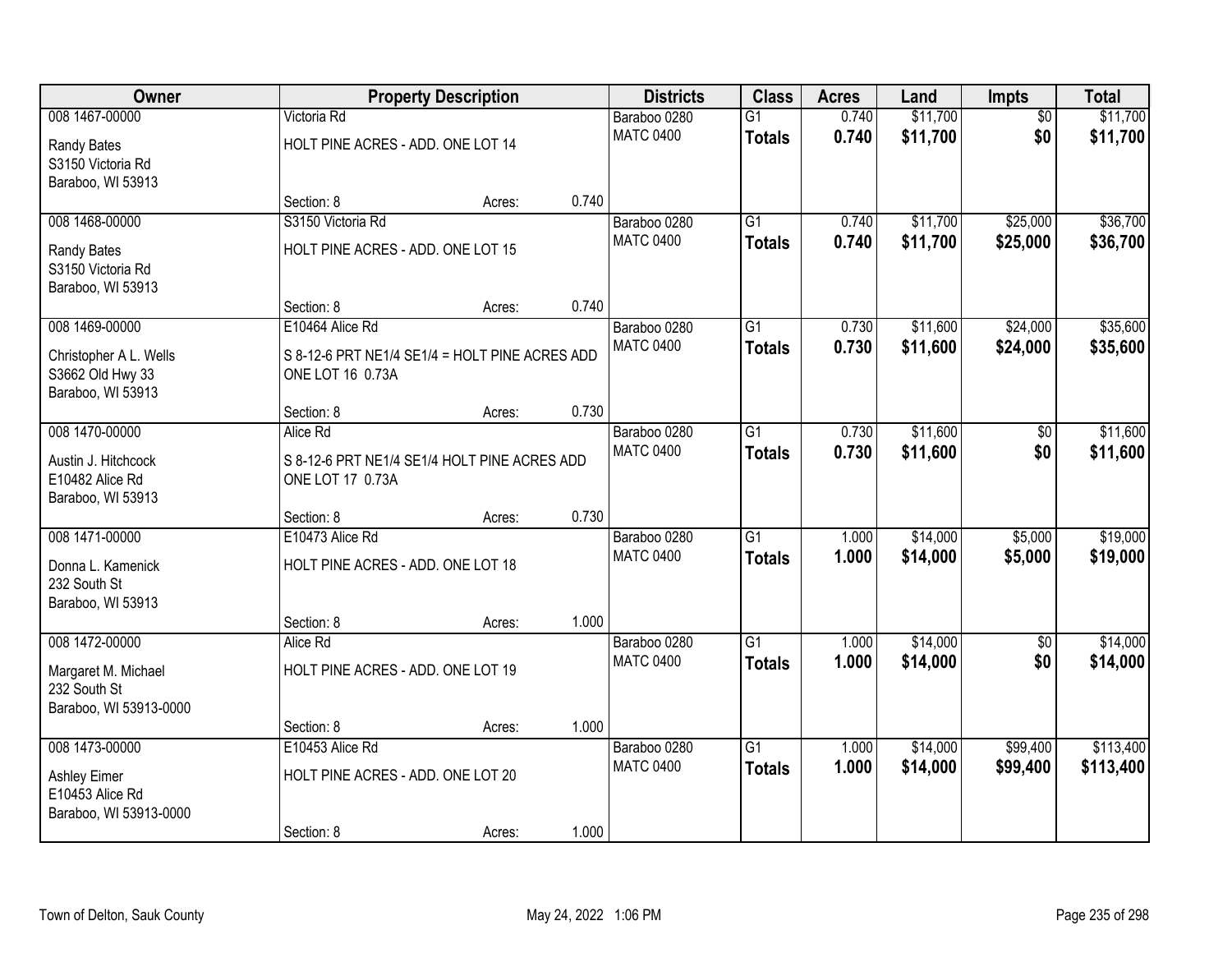| Owner                                 |                                                                    | <b>Property Description</b> |       | <b>Districts</b> | <b>Class</b>    | <b>Acres</b> | Land     | Impts           | <b>Total</b> |
|---------------------------------------|--------------------------------------------------------------------|-----------------------------|-------|------------------|-----------------|--------------|----------|-----------------|--------------|
| 008 1467-00000                        | Victoria Rd                                                        |                             |       | Baraboo 0280     | $\overline{G1}$ | 0.740        | \$11,700 | $\overline{50}$ | \$11,700     |
| Randy Bates                           | HOLT PINE ACRES - ADD. ONE LOT 14                                  |                             |       | <b>MATC 0400</b> | <b>Totals</b>   | 0.740        | \$11,700 | \$0             | \$11,700     |
| S3150 Victoria Rd                     |                                                                    |                             |       |                  |                 |              |          |                 |              |
| Baraboo, WI 53913                     |                                                                    |                             | 0.740 |                  |                 |              |          |                 |              |
| 008 1468-00000                        | Section: 8<br>S3150 Victoria Rd                                    | Acres:                      |       | Baraboo 0280     | $\overline{G1}$ | 0.740        | \$11,700 | \$25,000        | \$36,700     |
|                                       |                                                                    |                             |       | <b>MATC 0400</b> | <b>Totals</b>   | 0.740        | \$11,700 | \$25,000        | \$36,700     |
| Randy Bates                           | HOLT PINE ACRES - ADD. ONE LOT 15                                  |                             |       |                  |                 |              |          |                 |              |
| S3150 Victoria Rd                     |                                                                    |                             |       |                  |                 |              |          |                 |              |
| Baraboo, WI 53913                     | Section: 8                                                         | Acres:                      | 0.740 |                  |                 |              |          |                 |              |
| 008 1469-00000                        | E10464 Alice Rd                                                    |                             |       | Baraboo 0280     | $\overline{G1}$ | 0.730        | \$11,600 | \$24,000        | \$35,600     |
|                                       |                                                                    |                             |       | <b>MATC 0400</b> | <b>Totals</b>   | 0.730        | \$11,600 | \$24,000        | \$35,600     |
| Christopher A L. Wells                | S 8-12-6 PRT NE1/4 SE1/4 = HOLT PINE ACRES ADD<br>ONE LOT 16 0.73A |                             |       |                  |                 |              |          |                 |              |
| S3662 Old Hwy 33<br>Baraboo, WI 53913 |                                                                    |                             |       |                  |                 |              |          |                 |              |
|                                       | Section: 8                                                         | Acres:                      | 0.730 |                  |                 |              |          |                 |              |
| 008 1470-00000                        | Alice Rd                                                           |                             |       | Baraboo 0280     | $\overline{G1}$ | 0.730        | \$11,600 | \$0             | \$11,600     |
| Austin J. Hitchcock                   | S 8-12-6 PRT NE1/4 SE1/4 HOLT PINE ACRES ADD                       |                             |       | <b>MATC 0400</b> | <b>Totals</b>   | 0.730        | \$11,600 | \$0             | \$11,600     |
| E10482 Alice Rd                       | ONE LOT 17 0.73A                                                   |                             |       |                  |                 |              |          |                 |              |
| Baraboo, WI 53913                     |                                                                    |                             |       |                  |                 |              |          |                 |              |
|                                       | Section: 8                                                         | Acres:                      | 0.730 |                  |                 |              |          |                 |              |
| 008 1471-00000                        | E10473 Alice Rd                                                    |                             |       | Baraboo 0280     | $\overline{G1}$ | 1.000        | \$14,000 | \$5,000         | \$19,000     |
| Donna L. Kamenick                     | HOLT PINE ACRES - ADD. ONE LOT 18                                  |                             |       | <b>MATC 0400</b> | <b>Totals</b>   | 1.000        | \$14,000 | \$5,000         | \$19,000     |
| 232 South St                          |                                                                    |                             |       |                  |                 |              |          |                 |              |
| Baraboo, WI 53913                     |                                                                    |                             |       |                  |                 |              |          |                 |              |
|                                       | Section: 8                                                         | Acres:                      | 1.000 |                  |                 |              |          |                 |              |
| 008 1472-00000                        | Alice Rd                                                           |                             |       | Baraboo 0280     | $\overline{G1}$ | 1.000        | \$14,000 | $\sqrt{6}$      | \$14,000     |
| Margaret M. Michael                   | HOLT PINE ACRES - ADD. ONE LOT 19                                  |                             |       | <b>MATC 0400</b> | <b>Totals</b>   | 1.000        | \$14,000 | \$0             | \$14,000     |
| 232 South St                          |                                                                    |                             |       |                  |                 |              |          |                 |              |
| Baraboo, WI 53913-0000                |                                                                    |                             |       |                  |                 |              |          |                 |              |
|                                       | Section: 8                                                         | Acres:                      | 1.000 |                  |                 |              |          |                 |              |
| 008 1473-00000                        | E10453 Alice Rd                                                    |                             |       | Baraboo 0280     | $\overline{G1}$ | 1.000        | \$14,000 | \$99,400        | \$113,400    |
| Ashley Eimer                          | HOLT PINE ACRES - ADD. ONE LOT 20                                  |                             |       | <b>MATC 0400</b> | <b>Totals</b>   | 1.000        | \$14,000 | \$99,400        | \$113,400    |
| E10453 Alice Rd                       |                                                                    |                             |       |                  |                 |              |          |                 |              |
| Baraboo, WI 53913-0000                |                                                                    |                             |       |                  |                 |              |          |                 |              |
|                                       | Section: 8                                                         | Acres:                      | 1.000 |                  |                 |              |          |                 |              |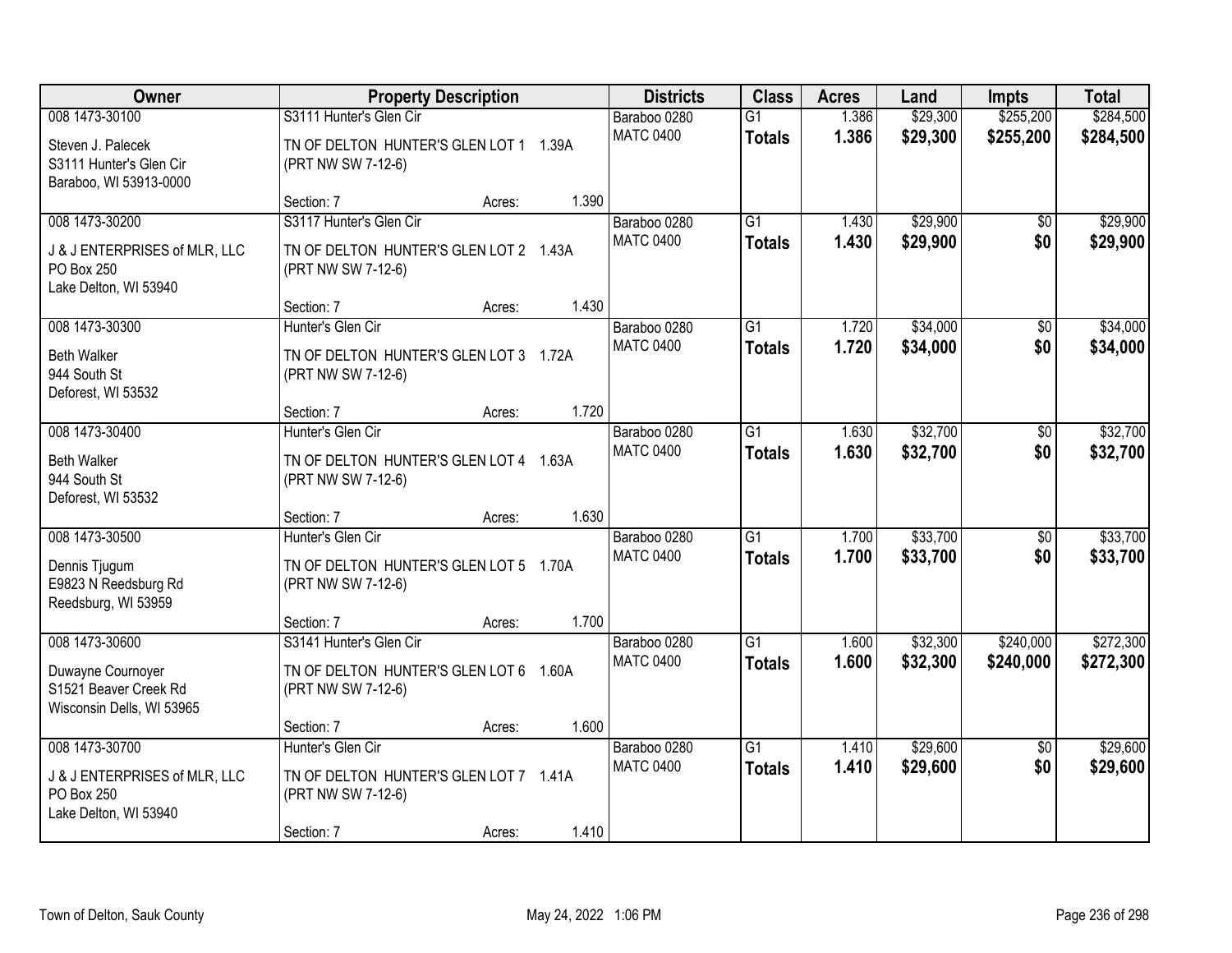| Owner                                                                   | <b>Property Description</b>                                  |       | <b>Districts</b> | <b>Class</b>    | <b>Acres</b> | Land     | <b>Impts</b>    | <b>Total</b> |
|-------------------------------------------------------------------------|--------------------------------------------------------------|-------|------------------|-----------------|--------------|----------|-----------------|--------------|
| 008 1473-30100                                                          | S3111 Hunter's Glen Cir                                      |       | Baraboo 0280     | $\overline{G1}$ | 1.386        | \$29,300 | \$255,200       | \$284,500    |
| Steven J. Palecek<br>S3111 Hunter's Glen Cir<br>Baraboo, WI 53913-0000  | TN OF DELTON HUNTER'S GLEN LOT 1 1.39A<br>(PRT NW SW 7-12-6) |       | <b>MATC 0400</b> | <b>Totals</b>   | 1.386        | \$29,300 | \$255,200       | \$284,500    |
|                                                                         | Section: 7<br>Acres:                                         | 1.390 |                  |                 |              |          |                 |              |
| 008 1473-30200                                                          | S3117 Hunter's Glen Cir                                      |       | Baraboo 0280     | $\overline{G1}$ | 1.430        | \$29,900 | $\overline{50}$ | \$29,900     |
| J & J ENTERPRISES of MLR, LLC<br>PO Box 250<br>Lake Delton, WI 53940    | TN OF DELTON HUNTER'S GLEN LOT 2 1.43A<br>(PRT NW SW 7-12-6) |       | <b>MATC 0400</b> | <b>Totals</b>   | 1.430        | \$29,900 | \$0             | \$29,900     |
|                                                                         | Section: 7<br>Acres:                                         | 1.430 |                  |                 |              |          |                 |              |
| 008 1473-30300                                                          | Hunter's Glen Cir                                            |       | Baraboo 0280     | $\overline{G1}$ | 1.720        | \$34,000 | \$0             | \$34,000     |
| <b>Beth Walker</b><br>944 South St<br>Deforest, WI 53532                | TN OF DELTON HUNTER'S GLEN LOT 3 1.72A<br>(PRT NW SW 7-12-6) |       | <b>MATC 0400</b> | <b>Totals</b>   | 1.720        | \$34,000 | \$0             | \$34,000     |
|                                                                         | Section: 7<br>Acres:                                         | 1.720 |                  |                 |              |          |                 |              |
| 008 1473-30400                                                          | Hunter's Glen Cir                                            |       | Baraboo 0280     | G1              | 1.630        | \$32,700 | \$0             | \$32,700     |
| <b>Beth Walker</b><br>944 South St<br>Deforest, WI 53532                | TN OF DELTON HUNTER'S GLEN LOT 4 1.63A<br>(PRT NW SW 7-12-6) |       | <b>MATC 0400</b> | <b>Totals</b>   | 1.630        | \$32,700 | \$0             | \$32,700     |
|                                                                         | Section: 7<br>Acres:                                         | 1.630 |                  |                 |              |          |                 |              |
| 008 1473-30500                                                          | Hunter's Glen Cir                                            |       | Baraboo 0280     | $\overline{G1}$ | 1.700        | \$33,700 | $\overline{50}$ | \$33,700     |
| Dennis Tjugum<br>E9823 N Reedsburg Rd<br>Reedsburg, WI 53959            | TN OF DELTON HUNTER'S GLEN LOT 5 1.70A<br>(PRT NW SW 7-12-6) |       | <b>MATC 0400</b> | <b>Totals</b>   | 1.700        | \$33,700 | \$0             | \$33,700     |
|                                                                         | Section: 7<br>Acres:                                         | 1.700 |                  |                 |              |          |                 |              |
| 008 1473-30600                                                          | S3141 Hunter's Glen Cir                                      |       | Baraboo 0280     | $\overline{G1}$ | 1.600        | \$32,300 | \$240,000       | \$272,300    |
| Duwayne Cournoyer<br>S1521 Beaver Creek Rd<br>Wisconsin Dells, WI 53965 | TN OF DELTON HUNTER'S GLEN LOT 6 1.60A<br>(PRT NW SW 7-12-6) |       | <b>MATC 0400</b> | <b>Totals</b>   | 1.600        | \$32,300 | \$240,000       | \$272,300    |
|                                                                         | Section: 7<br>Acres:                                         | 1.600 |                  |                 |              |          |                 |              |
| 008 1473-30700                                                          | Hunter's Glen Cir                                            |       | Baraboo 0280     | $\overline{G1}$ | 1.410        | \$29,600 | $\overline{50}$ | \$29,600     |
| J & J ENTERPRISES of MLR, LLC<br>PO Box 250<br>Lake Delton, WI 53940    | TN OF DELTON HUNTER'S GLEN LOT 7 1.41A<br>(PRT NW SW 7-12-6) |       | <b>MATC 0400</b> | <b>Totals</b>   | 1.410        | \$29,600 | \$0             | \$29,600     |
|                                                                         | Section: 7<br>Acres:                                         | 1.410 |                  |                 |              |          |                 |              |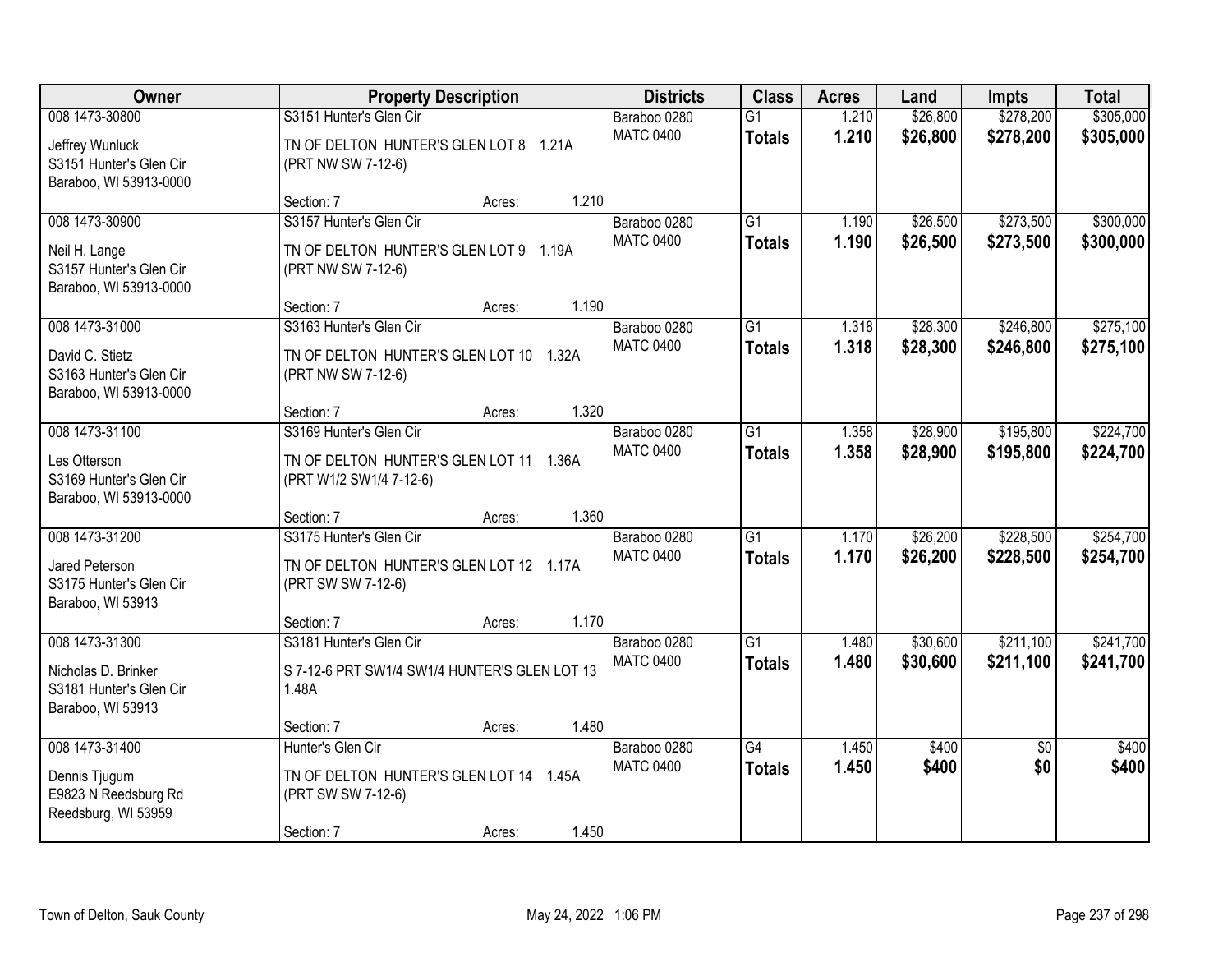| Owner                                                                                  | <b>Property Description</b>                                                                                         | <b>Districts</b>                 | <b>Class</b>                     | <b>Acres</b>   | Land                 | <b>Impts</b>           | <b>Total</b>           |
|----------------------------------------------------------------------------------------|---------------------------------------------------------------------------------------------------------------------|----------------------------------|----------------------------------|----------------|----------------------|------------------------|------------------------|
| 008 1473-30800<br>Jeffrey Wunluck<br>S3151 Hunter's Glen Cir<br>Baraboo, WI 53913-0000 | S3151 Hunter's Glen Cir<br>TN OF DELTON HUNTER'S GLEN LOT 8 1.21A<br>(PRT NW SW 7-12-6)                             | Baraboo 0280<br><b>MATC 0400</b> | $\overline{G1}$<br><b>Totals</b> | 1.210<br>1.210 | \$26,800<br>\$26,800 | \$278,200<br>\$278,200 | \$305,000<br>\$305,000 |
|                                                                                        | 1.210<br>Section: 7<br>Acres:                                                                                       |                                  |                                  |                |                      |                        |                        |
| 008 1473-30900<br>Neil H. Lange<br>S3157 Hunter's Glen Cir<br>Baraboo, WI 53913-0000   | S3157 Hunter's Glen Cir<br>TN OF DELTON HUNTER'S GLEN LOT 9 1.19A<br>(PRT NW SW 7-12-6)                             | Baraboo 0280<br><b>MATC 0400</b> | $\overline{G1}$<br><b>Totals</b> | 1.190<br>1.190 | \$26,500<br>\$26,500 | \$273,500<br>\$273,500 | \$300,000<br>\$300,000 |
|                                                                                        | 1.190<br>Section: 7<br>Acres:                                                                                       |                                  |                                  |                |                      |                        |                        |
| 008 1473-31000<br>David C. Stietz<br>S3163 Hunter's Glen Cir<br>Baraboo, WI 53913-0000 | S3163 Hunter's Glen Cir<br>TN OF DELTON HUNTER'S GLEN LOT 10 1.32A<br>(PRT NW SW 7-12-6)                            | Baraboo 0280<br><b>MATC 0400</b> | G1<br><b>Totals</b>              | 1.318<br>1.318 | \$28,300<br>\$28,300 | \$246,800<br>\$246,800 | \$275,100<br>\$275,100 |
|                                                                                        | 1.320<br>Section: 7<br>Acres:                                                                                       |                                  |                                  |                |                      |                        |                        |
| 008 1473-31100<br>Les Otterson<br>S3169 Hunter's Glen Cir<br>Baraboo, WI 53913-0000    | S3169 Hunter's Glen Cir<br>TN OF DELTON HUNTER'S GLEN LOT 11 1.36A<br>(PRT W1/2 SW1/4 7-12-6)                       | Baraboo 0280<br><b>MATC 0400</b> | G1<br><b>Totals</b>              | 1.358<br>1.358 | \$28,900<br>\$28,900 | \$195,800<br>\$195,800 | \$224,700<br>\$224,700 |
|                                                                                        | 1.360<br>Section: 7<br>Acres:                                                                                       |                                  |                                  |                |                      |                        |                        |
| 008 1473-31200<br>Jared Peterson<br>S3175 Hunter's Glen Cir<br>Baraboo, WI 53913       | S3175 Hunter's Glen Cir<br>TN OF DELTON HUNTER'S GLEN LOT 12 1.17A<br>(PRT SW SW 7-12-6)                            | Baraboo 0280<br><b>MATC 0400</b> | $\overline{G1}$<br><b>Totals</b> | 1.170<br>1.170 | \$26,200<br>\$26,200 | \$228,500<br>\$228,500 | \$254,700<br>\$254,700 |
|                                                                                        | 1.170<br>Section: 7<br>Acres:                                                                                       |                                  |                                  |                |                      |                        |                        |
| 008 1473-31300<br>Nicholas D. Brinker<br>S3181 Hunter's Glen Cir<br>Baraboo, WI 53913  | S3181 Hunter's Glen Cir<br>S 7-12-6 PRT SW1/4 SW1/4 HUNTER'S GLEN LOT 13<br>1.48A                                   | Baraboo 0280<br><b>MATC 0400</b> | $\overline{G1}$<br><b>Totals</b> | 1.480<br>1.480 | \$30,600<br>\$30,600 | \$211,100<br>\$211,100 | \$241,700<br>\$241,700 |
|                                                                                        | 1.480<br>Section: 7<br>Acres:                                                                                       |                                  |                                  |                |                      |                        |                        |
| 008 1473-31400<br>Dennis Tjugum<br>E9823 N Reedsburg Rd<br>Reedsburg, WI 53959         | Hunter's Glen Cir<br>TN OF DELTON HUNTER'S GLEN LOT 14 1.45A<br>(PRT SW SW 7-12-6)<br>1.450<br>Section: 7<br>Acres: | Baraboo 0280<br><b>MATC 0400</b> | $\overline{G4}$<br><b>Totals</b> | 1.450<br>1.450 | \$400<br>\$400       | $\overline{50}$<br>\$0 | \$400<br>\$400         |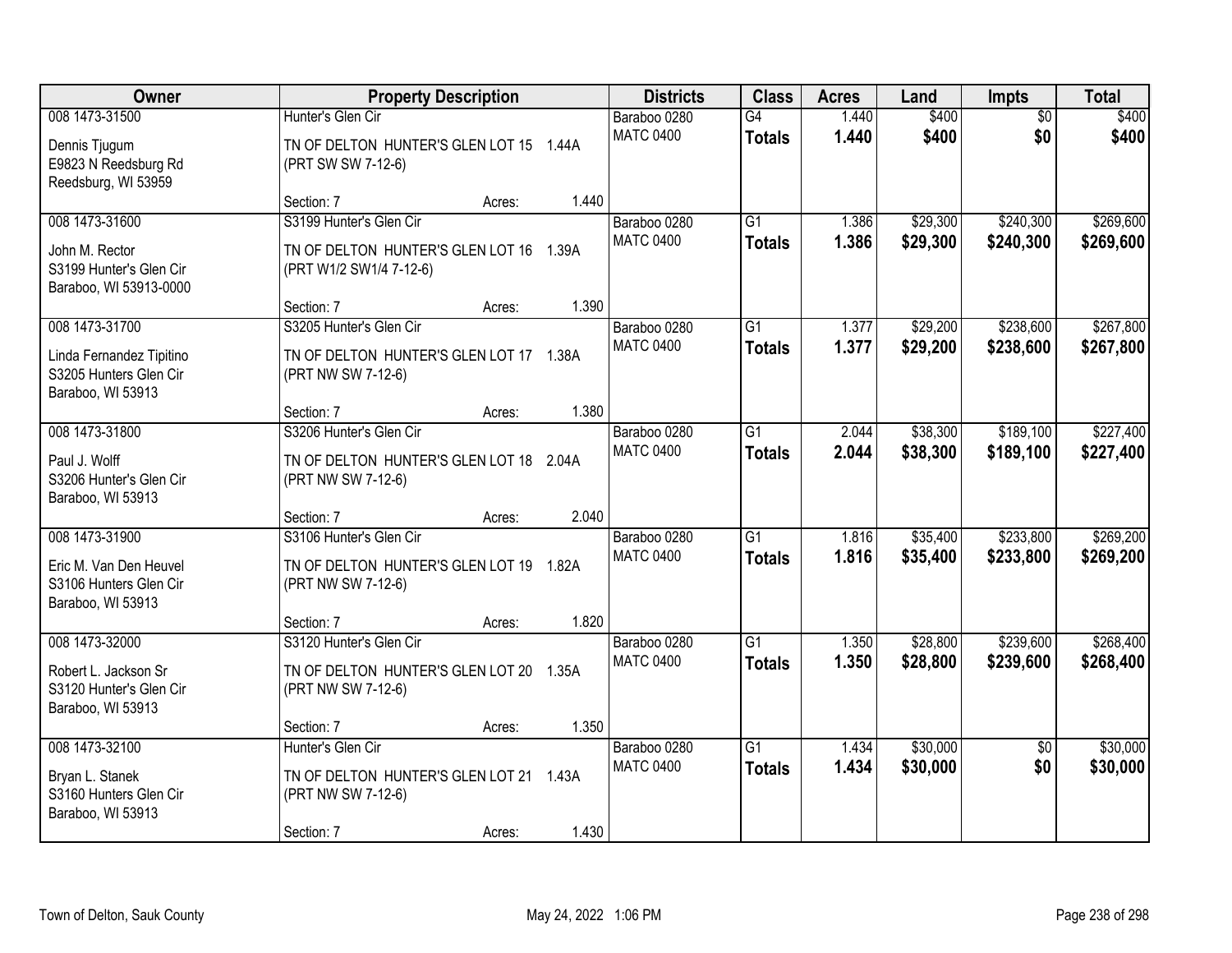| Owner                                                                                     | <b>Property Description</b>                                                                   |       | <b>Districts</b>                 | <b>Class</b>                     | <b>Acres</b>   | Land                 | Impts                  | <b>Total</b>           |
|-------------------------------------------------------------------------------------------|-----------------------------------------------------------------------------------------------|-------|----------------------------------|----------------------------------|----------------|----------------------|------------------------|------------------------|
| 008 1473-31500<br>Dennis Tjugum<br>E9823 N Reedsburg Rd<br>Reedsburg, WI 53959            | Hunter's Glen Cir<br>TN OF DELTON HUNTER'S GLEN LOT 15 1.44A<br>(PRT SW SW 7-12-6)            |       | Baraboo 0280<br><b>MATC 0400</b> | G4<br><b>Totals</b>              | 1.440<br>1.440 | \$400<br>\$400       | $\overline{50}$<br>\$0 | \$400<br>\$400         |
|                                                                                           | Section: 7<br>Acres:                                                                          | 1.440 |                                  |                                  |                |                      |                        |                        |
| 008 1473-31600<br>John M. Rector<br>S3199 Hunter's Glen Cir<br>Baraboo, WI 53913-0000     | S3199 Hunter's Glen Cir<br>TN OF DELTON HUNTER'S GLEN LOT 16 1.39A<br>(PRT W1/2 SW1/4 7-12-6) |       | Baraboo 0280<br><b>MATC 0400</b> | $\overline{G1}$<br><b>Totals</b> | 1.386<br>1.386 | \$29,300<br>\$29,300 | \$240,300<br>\$240,300 | \$269,600<br>\$269,600 |
|                                                                                           | Section: 7<br>Acres:                                                                          | 1.390 |                                  |                                  |                |                      |                        |                        |
| 008 1473-31700<br>Linda Fernandez Tipitino<br>S3205 Hunters Glen Cir<br>Baraboo, WI 53913 | S3205 Hunter's Glen Cir<br>TN OF DELTON HUNTER'S GLEN LOT 17 1.38A<br>(PRT NW SW 7-12-6)      |       | Baraboo 0280<br><b>MATC 0400</b> | G1<br><b>Totals</b>              | 1.377<br>1.377 | \$29,200<br>\$29,200 | \$238,600<br>\$238,600 | \$267,800<br>\$267,800 |
|                                                                                           | Section: 7<br>Acres:                                                                          | 1.380 |                                  |                                  |                |                      |                        |                        |
| 008 1473-31800<br>Paul J. Wolff<br>S3206 Hunter's Glen Cir<br>Baraboo, WI 53913           | S3206 Hunter's Glen Cir<br>TN OF DELTON HUNTER'S GLEN LOT 18 2.04A<br>(PRT NW SW 7-12-6)      |       | Baraboo 0280<br><b>MATC 0400</b> | G1<br><b>Totals</b>              | 2.044<br>2.044 | \$38,300<br>\$38,300 | \$189,100<br>\$189,100 | \$227,400<br>\$227,400 |
|                                                                                           | Section: 7<br>Acres:                                                                          | 2.040 |                                  |                                  |                |                      |                        |                        |
| 008 1473-31900<br>Eric M. Van Den Heuvel<br>S3106 Hunters Glen Cir<br>Baraboo, WI 53913   | S3106 Hunter's Glen Cir<br>TN OF DELTON HUNTER'S GLEN LOT 19 1.82A<br>(PRT NW SW 7-12-6)      |       | Baraboo 0280<br><b>MATC 0400</b> | $\overline{G1}$<br><b>Totals</b> | 1.816<br>1.816 | \$35,400<br>\$35,400 | \$233,800<br>\$233,800 | \$269,200<br>\$269,200 |
|                                                                                           | Section: 7<br>Acres:                                                                          | 1.820 |                                  |                                  |                |                      |                        |                        |
| 008 1473-32000<br>Robert L. Jackson Sr<br>S3120 Hunter's Glen Cir<br>Baraboo, WI 53913    | S3120 Hunter's Glen Cir<br>TN OF DELTON HUNTER'S GLEN LOT 20 1.35A<br>(PRT NW SW 7-12-6)      |       | Baraboo 0280<br><b>MATC 0400</b> | $\overline{G1}$<br><b>Totals</b> | 1.350<br>1.350 | \$28,800<br>\$28,800 | \$239,600<br>\$239,600 | \$268,400<br>\$268,400 |
|                                                                                           | Section: 7<br>Acres:                                                                          | 1.350 |                                  |                                  |                |                      |                        |                        |
| 008 1473-32100<br>Bryan L. Stanek<br>S3160 Hunters Glen Cir<br>Baraboo, WI 53913          | Hunter's Glen Cir<br>TN OF DELTON HUNTER'S GLEN LOT 21 1.43A<br>(PRT NW SW 7-12-6)            | 1.430 | Baraboo 0280<br><b>MATC 0400</b> | $\overline{G1}$<br><b>Totals</b> | 1.434<br>1.434 | \$30,000<br>\$30,000 | $\overline{50}$<br>\$0 | \$30,000<br>\$30,000   |
|                                                                                           | Section: 7<br>Acres:                                                                          |       |                                  |                                  |                |                      |                        |                        |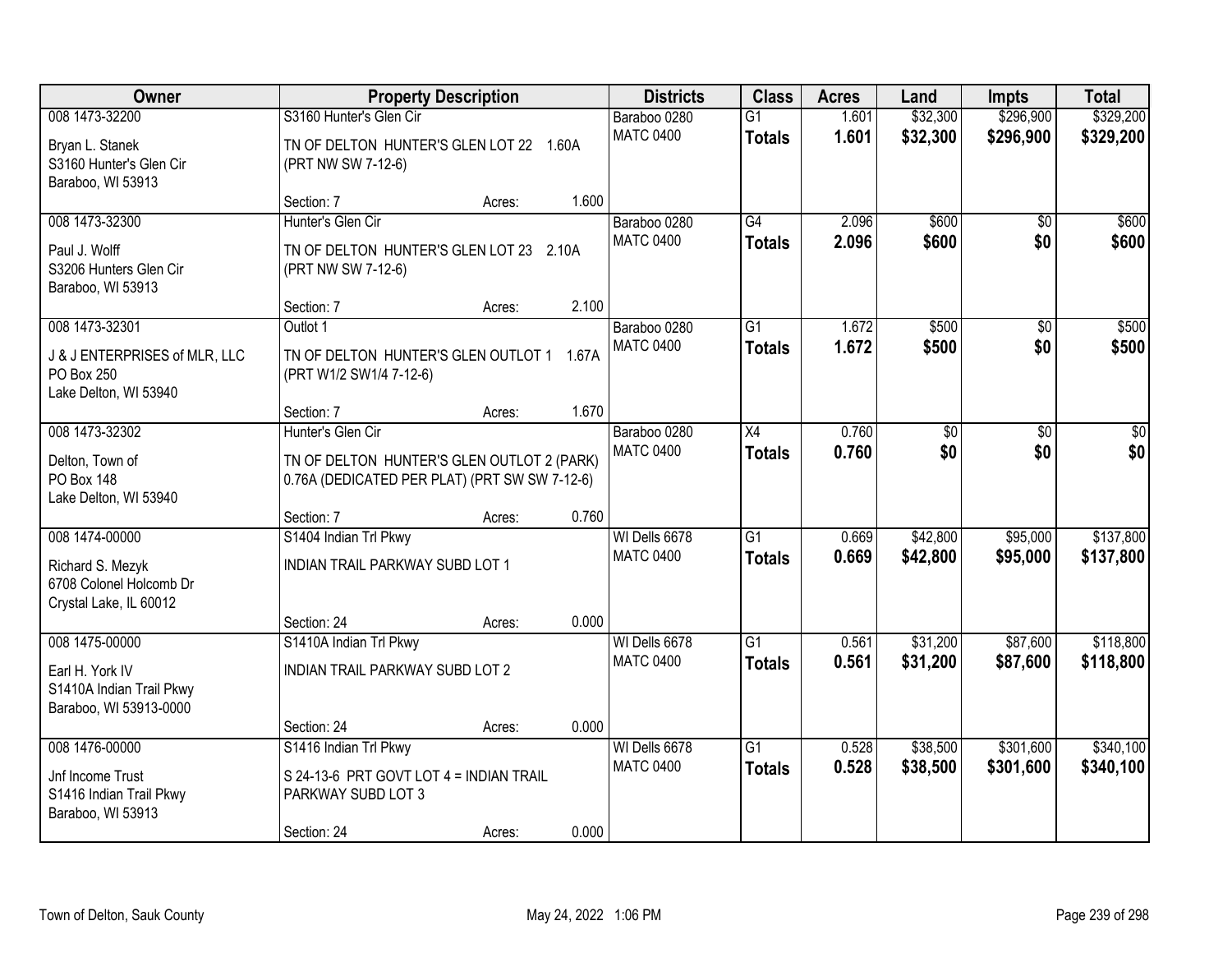| Owner                                                                |                                                                                             | <b>Property Description</b> |       | <b>Districts</b>                 | <b>Class</b>                     | <b>Acres</b>   | Land                 | <b>Impts</b>           | <b>Total</b>           |
|----------------------------------------------------------------------|---------------------------------------------------------------------------------------------|-----------------------------|-------|----------------------------------|----------------------------------|----------------|----------------------|------------------------|------------------------|
| 008 1473-32200<br>Bryan L. Stanek<br>S3160 Hunter's Glen Cir         | S3160 Hunter's Glen Cir<br>TN OF DELTON HUNTER'S GLEN LOT 22 1.60A<br>(PRT NW SW 7-12-6)    |                             |       | Baraboo 0280<br><b>MATC 0400</b> | $\overline{G1}$<br><b>Totals</b> | 1.601<br>1.601 | \$32,300<br>\$32,300 | \$296,900<br>\$296,900 | \$329,200<br>\$329,200 |
| Baraboo, WI 53913                                                    | Section: 7                                                                                  | Acres:                      | 1.600 |                                  |                                  |                |                      |                        |                        |
| 008 1473-32300                                                       | Hunter's Glen Cir                                                                           |                             |       | Baraboo 0280                     | G4                               | 2.096          | \$600                | $\overline{50}$        | \$600                  |
| Paul J. Wolff<br>S3206 Hunters Glen Cir<br>Baraboo, WI 53913         | TN OF DELTON HUNTER'S GLEN LOT 23 2.10A<br>(PRT NW SW 7-12-6)                               |                             |       | <b>MATC 0400</b>                 | <b>Totals</b>                    | 2.096          | \$600                | \$0                    | \$600                  |
|                                                                      | Section: 7                                                                                  | Acres:                      | 2.100 |                                  |                                  |                |                      |                        |                        |
| 008 1473-32301                                                       | Outlot 1                                                                                    |                             |       | Baraboo 0280                     | G1                               | 1.672          | \$500                | \$0                    | \$500                  |
| J & J ENTERPRISES of MLR, LLC<br>PO Box 250<br>Lake Delton, WI 53940 | TN OF DELTON HUNTER'S GLEN OUTLOT 1<br>(PRT W1/2 SW1/4 7-12-6)                              |                             | 1.67A | <b>MATC 0400</b>                 | <b>Totals</b>                    | 1.672          | \$500                | \$0                    | \$500                  |
|                                                                      | Section: 7                                                                                  | Acres:                      | 1.670 |                                  |                                  |                |                      |                        |                        |
| 008 1473-32302                                                       | Hunter's Glen Cir                                                                           |                             |       | Baraboo 0280                     | X4                               | 0.760          | \$0                  | $\sqrt[6]{3}$          | $\sqrt{50}$            |
| Delton, Town of<br>PO Box 148<br>Lake Delton, WI 53940               | TN OF DELTON HUNTER'S GLEN OUTLOT 2 (PARK)<br>0.76A (DEDICATED PER PLAT) (PRT SW SW 7-12-6) |                             |       | <b>MATC 0400</b>                 | <b>Totals</b>                    | 0.760          | \$0                  | \$0                    | \$0                    |
|                                                                      | Section: 7                                                                                  | Acres:                      | 0.760 |                                  |                                  |                |                      |                        |                        |
| 008 1474-00000                                                       | S1404 Indian Trl Pkwy                                                                       |                             |       | WI Dells 6678                    | $\overline{G1}$                  | 0.669          | \$42,800             | \$95,000               | \$137,800              |
| Richard S. Mezyk                                                     | INDIAN TRAIL PARKWAY SUBD LOT 1                                                             |                             |       | <b>MATC 0400</b>                 | <b>Totals</b>                    | 0.669          | \$42,800             | \$95,000               | \$137,800              |
| 6708 Colonel Holcomb Dr                                              |                                                                                             |                             |       |                                  |                                  |                |                      |                        |                        |
| Crystal Lake, IL 60012                                               | Section: 24                                                                                 | Acres:                      | 0.000 |                                  |                                  |                |                      |                        |                        |
| 008 1475-00000                                                       | S1410A Indian Trl Pkwy                                                                      |                             |       | WI Dells 6678                    | $\overline{G1}$                  | 0.561          | \$31,200             | \$87,600               | \$118,800              |
|                                                                      | INDIAN TRAIL PARKWAY SUBD LOT 2                                                             |                             |       | <b>MATC 0400</b>                 | <b>Totals</b>                    | 0.561          | \$31,200             | \$87,600               | \$118,800              |
| Earl H. York IV<br>S1410A Indian Trail Pkwy                          |                                                                                             |                             |       |                                  |                                  |                |                      |                        |                        |
| Baraboo, WI 53913-0000                                               |                                                                                             |                             |       |                                  |                                  |                |                      |                        |                        |
|                                                                      | Section: 24                                                                                 | Acres:                      | 0.000 |                                  |                                  |                |                      |                        |                        |
| 008 1476-00000                                                       | S1416 Indian Trl Pkwy                                                                       |                             |       | WI Dells 6678                    | $\overline{G1}$                  | 0.528          | \$38,500             | \$301,600              | \$340,100              |
| Jnf Income Trust                                                     | S 24-13-6 PRT GOVT LOT 4 = INDIAN TRAIL                                                     |                             |       | <b>MATC 0400</b>                 | <b>Totals</b>                    | 0.528          | \$38,500             | \$301,600              | \$340,100              |
| S1416 Indian Trail Pkwy<br>Baraboo, WI 53913                         | PARKWAY SUBD LOT 3                                                                          |                             |       |                                  |                                  |                |                      |                        |                        |
|                                                                      | Section: 24                                                                                 | Acres:                      | 0.000 |                                  |                                  |                |                      |                        |                        |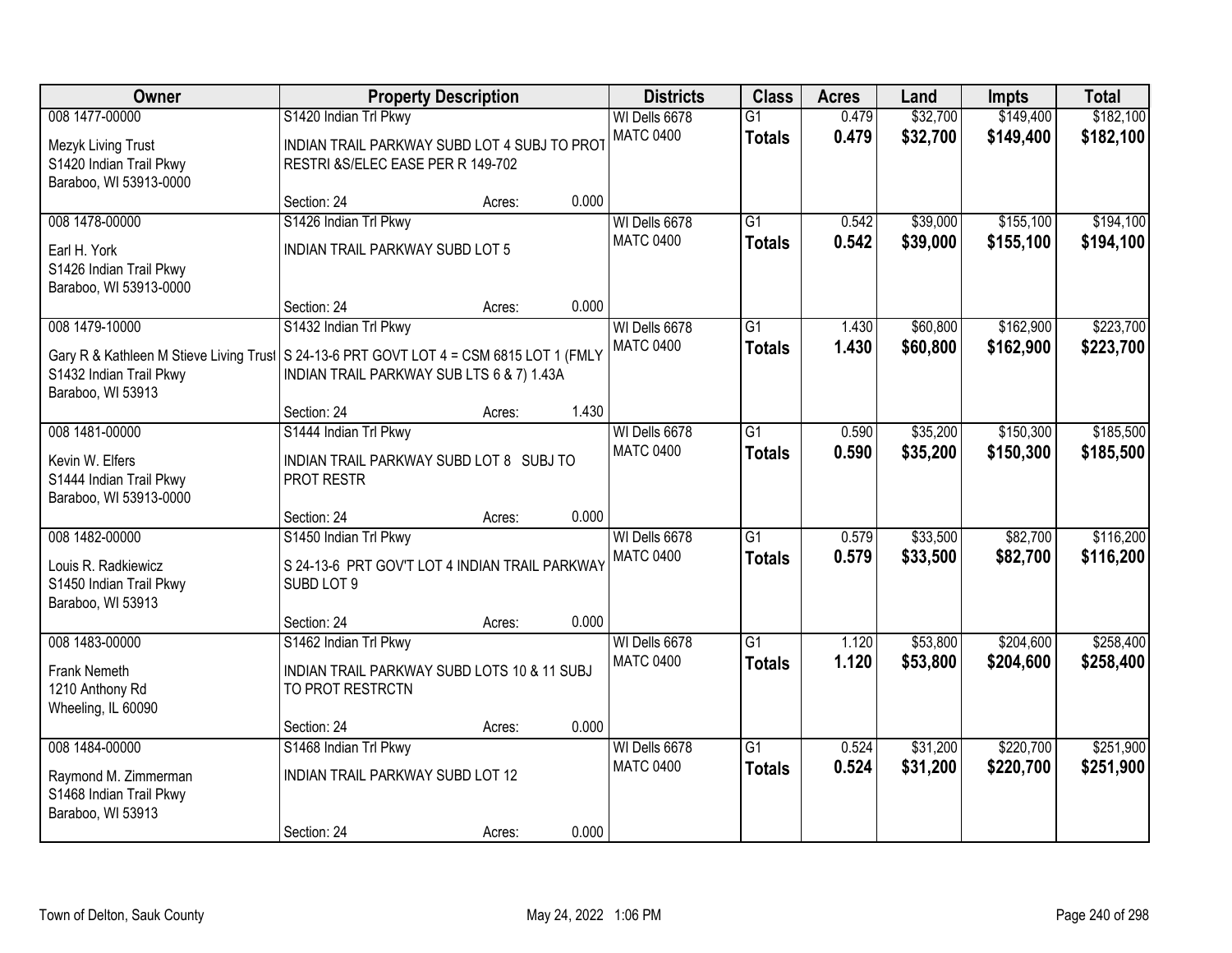| Owner                                                                                                                                                     |                                                                                                             | <b>Property Description</b> |       | <b>Districts</b>                  | <b>Class</b>                     | <b>Acres</b>   | Land                 | <b>Impts</b>           | <b>Total</b>           |
|-----------------------------------------------------------------------------------------------------------------------------------------------------------|-------------------------------------------------------------------------------------------------------------|-----------------------------|-------|-----------------------------------|----------------------------------|----------------|----------------------|------------------------|------------------------|
| 008 1477-00000<br>Mezyk Living Trust<br>S1420 Indian Trail Pkwy<br>Baraboo, WI 53913-0000                                                                 | S1420 Indian Trl Pkwy<br>INDIAN TRAIL PARKWAY SUBD LOT 4 SUBJ TO PROT<br>RESTRI & S/ELEC EASE PER R 149-702 |                             |       | WI Dells 6678<br><b>MATC 0400</b> | $\overline{G1}$<br><b>Totals</b> | 0.479<br>0.479 | \$32,700<br>\$32,700 | \$149,400<br>\$149,400 | \$182,100<br>\$182,100 |
|                                                                                                                                                           | Section: 24                                                                                                 | Acres:                      | 0.000 |                                   |                                  |                |                      |                        |                        |
| 008 1478-00000<br>Earl H. York<br>S1426 Indian Trail Pkwy<br>Baraboo, WI 53913-0000                                                                       | S1426 Indian Trl Pkwy<br><b>INDIAN TRAIL PARKWAY SUBD LOT 5</b>                                             |                             |       | WI Dells 6678<br><b>MATC 0400</b> | $\overline{G1}$<br><b>Totals</b> | 0.542<br>0.542 | \$39,000<br>\$39,000 | \$155,100<br>\$155,100 | \$194,100<br>\$194,100 |
|                                                                                                                                                           | Section: 24                                                                                                 | Acres:                      | 0.000 |                                   |                                  |                |                      |                        |                        |
| 008 1479-10000<br>Gary R & Kathleen M Stieve Living Trust S 24-13-6 PRT GOVT LOT 4 = CSM 6815 LOT 1 (FMLY<br>S1432 Indian Trail Pkwy<br>Baraboo, WI 53913 | S1432 Indian Trl Pkwy<br>INDIAN TRAIL PARKWAY SUB LTS 6 & 7) 1.43A                                          |                             |       | WI Dells 6678<br><b>MATC 0400</b> | $\overline{G1}$<br><b>Totals</b> | 1.430<br>1.430 | \$60,800<br>\$60,800 | \$162,900<br>\$162,900 | \$223,700<br>\$223,700 |
|                                                                                                                                                           | Section: 24                                                                                                 | Acres:                      | 1.430 |                                   |                                  |                |                      |                        |                        |
| 008 1481-00000<br>Kevin W. Elfers<br>S1444 Indian Trail Pkwy<br>Baraboo, WI 53913-0000                                                                    | S1444 Indian Trl Pkwy<br>INDIAN TRAIL PARKWAY SUBD LOT 8 SUBJ TO<br>PROT RESTR                              |                             |       | WI Dells 6678<br><b>MATC 0400</b> | $\overline{G1}$<br><b>Totals</b> | 0.590<br>0.590 | \$35,200<br>\$35,200 | \$150,300<br>\$150,300 | \$185,500<br>\$185,500 |
|                                                                                                                                                           | Section: 24                                                                                                 | Acres:                      | 0.000 |                                   |                                  |                |                      |                        |                        |
| 008 1482-00000<br>Louis R. Radkiewicz<br>S1450 Indian Trail Pkwy<br>Baraboo, WI 53913                                                                     | S1450 Indian Trl Pkwy<br>S 24-13-6 PRT GOV'T LOT 4 INDIAN TRAIL PARKWAY<br>SUBD LOT 9                       |                             |       | WI Dells 6678<br><b>MATC 0400</b> | $\overline{G1}$<br><b>Totals</b> | 0.579<br>0.579 | \$33,500<br>\$33,500 | \$82,700<br>\$82,700   | \$116,200<br>\$116,200 |
|                                                                                                                                                           | Section: 24                                                                                                 | Acres:                      | 0.000 |                                   |                                  |                |                      |                        |                        |
| 008 1483-00000<br>Frank Nemeth<br>1210 Anthony Rd<br>Wheeling, IL 60090                                                                                   | S1462 Indian Trl Pkwy<br>INDIAN TRAIL PARKWAY SUBD LOTS 10 & 11 SUBJ<br>TO PROT RESTRCTN                    |                             |       | WI Dells 6678<br><b>MATC 0400</b> | $\overline{G1}$<br><b>Totals</b> | 1.120<br>1.120 | \$53,800<br>\$53,800 | \$204,600<br>\$204,600 | \$258,400<br>\$258,400 |
|                                                                                                                                                           | Section: 24                                                                                                 | Acres:                      | 0.000 |                                   |                                  |                |                      |                        |                        |
| 008 1484-00000<br>Raymond M. Zimmerman<br>S1468 Indian Trail Pkwy<br>Baraboo, WI 53913                                                                    | S1468 Indian Trl Pkwy<br>INDIAN TRAIL PARKWAY SUBD LOT 12<br>Section: 24                                    | Acres:                      | 0.000 | WI Dells 6678<br><b>MATC 0400</b> | $\overline{G1}$<br><b>Totals</b> | 0.524<br>0.524 | \$31,200<br>\$31,200 | \$220,700<br>\$220,700 | \$251,900<br>\$251,900 |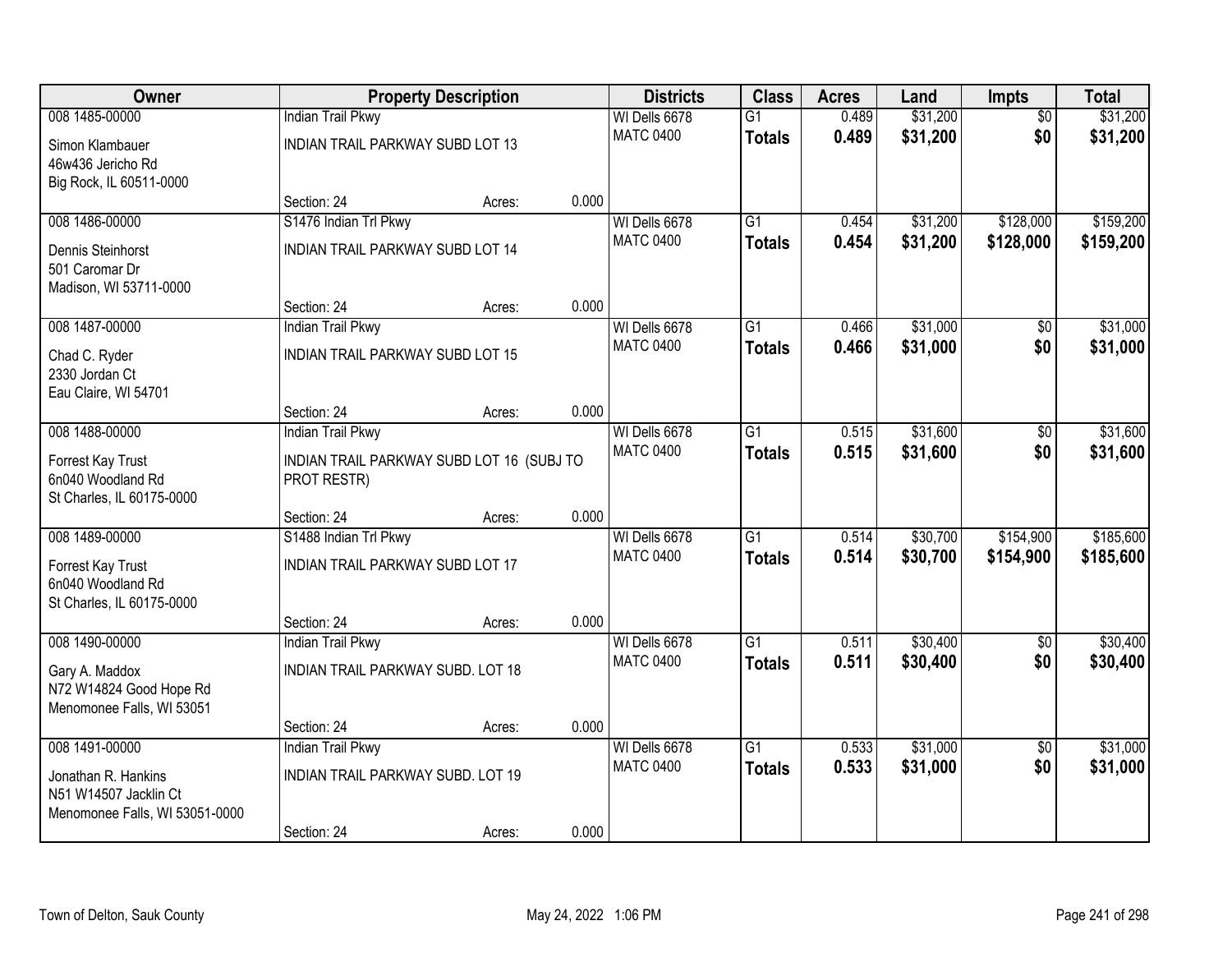| <b>Owner</b>                   |                                           | <b>Property Description</b> |       | <b>Districts</b>                  | <b>Class</b>    | <b>Acres</b> | Land     | Impts           | <b>Total</b> |
|--------------------------------|-------------------------------------------|-----------------------------|-------|-----------------------------------|-----------------|--------------|----------|-----------------|--------------|
| 008 1485-00000                 | <b>Indian Trail Pkwy</b>                  |                             |       | WI Dells 6678                     | $\overline{G1}$ | 0.489        | \$31,200 | $\overline{50}$ | \$31,200     |
| Simon Klambauer                | INDIAN TRAIL PARKWAY SUBD LOT 13          |                             |       | <b>MATC 0400</b>                  | <b>Totals</b>   | 0.489        | \$31,200 | \$0             | \$31,200     |
| 46w436 Jericho Rd              |                                           |                             |       |                                   |                 |              |          |                 |              |
| Big Rock, IL 60511-0000        |                                           |                             |       |                                   |                 |              |          |                 |              |
|                                | Section: 24                               | Acres:                      | 0.000 |                                   |                 |              |          |                 |              |
| 008 1486-00000                 | S1476 Indian Trl Pkwy                     |                             |       | WI Dells 6678                     | $\overline{G1}$ | 0.454        | \$31,200 | \$128,000       | \$159,200    |
| Dennis Steinhorst              | INDIAN TRAIL PARKWAY SUBD LOT 14          |                             |       | <b>MATC 0400</b>                  | <b>Totals</b>   | 0.454        | \$31,200 | \$128,000       | \$159,200    |
| 501 Caromar Dr                 |                                           |                             |       |                                   |                 |              |          |                 |              |
| Madison, WI 53711-0000         |                                           |                             |       |                                   |                 |              |          |                 |              |
|                                | Section: 24                               | Acres:                      | 0.000 |                                   |                 |              |          |                 |              |
| 008 1487-00000                 | <b>Indian Trail Pkwy</b>                  |                             |       | WI Dells 6678                     | G1              | 0.466        | \$31,000 | \$0             | \$31,000     |
| Chad C. Ryder                  | <b>INDIAN TRAIL PARKWAY SUBD LOT 15</b>   |                             |       | <b>MATC 0400</b>                  | <b>Totals</b>   | 0.466        | \$31,000 | \$0             | \$31,000     |
| 2330 Jordan Ct                 |                                           |                             |       |                                   |                 |              |          |                 |              |
| Eau Claire, WI 54701           |                                           |                             |       |                                   |                 |              |          |                 |              |
|                                | Section: 24                               | Acres:                      | 0.000 |                                   |                 |              |          |                 |              |
| 008 1488-00000                 | Indian Trail Pkwy                         |                             |       | WI Dells 6678                     | G1              | 0.515        | \$31,600 | \$0             | \$31,600     |
| Forrest Kay Trust              | INDIAN TRAIL PARKWAY SUBD LOT 16 (SUBJ TO |                             |       | <b>MATC 0400</b>                  | <b>Totals</b>   | 0.515        | \$31,600 | \$0             | \$31,600     |
| 6n040 Woodland Rd              | PROT RESTR)                               |                             |       |                                   |                 |              |          |                 |              |
| St Charles, IL 60175-0000      |                                           |                             |       |                                   |                 |              |          |                 |              |
|                                | Section: 24                               | Acres:                      | 0.000 |                                   |                 |              |          |                 |              |
| 008 1489-00000                 | S1488 Indian Trl Pkwy                     |                             |       | WI Dells 6678                     | $\overline{G1}$ | 0.514        | \$30,700 | \$154,900       | \$185,600    |
| Forrest Kay Trust              | <b>INDIAN TRAIL PARKWAY SUBD LOT 17</b>   |                             |       | <b>MATC 0400</b>                  | <b>Totals</b>   | 0.514        | \$30,700 | \$154,900       | \$185,600    |
| 6n040 Woodland Rd              |                                           |                             |       |                                   |                 |              |          |                 |              |
| St Charles, IL 60175-0000      |                                           |                             |       |                                   |                 |              |          |                 |              |
|                                | Section: 24                               | Acres:                      | 0.000 |                                   |                 |              |          |                 |              |
| 008 1490-00000                 | <b>Indian Trail Pkwy</b>                  |                             |       | WI Dells 6678                     | $\overline{G1}$ | 0.511        | \$30,400 | $\overline{50}$ | \$30,400     |
| Gary A. Maddox                 | INDIAN TRAIL PARKWAY SUBD. LOT 18         |                             |       | <b>MATC 0400</b>                  | <b>Totals</b>   | 0.511        | \$30,400 | \$0             | \$30,400     |
| N72 W14824 Good Hope Rd        |                                           |                             |       |                                   |                 |              |          |                 |              |
| Menomonee Falls, WI 53051      |                                           |                             |       |                                   |                 |              |          |                 |              |
|                                | Section: 24                               | Acres:                      | 0.000 |                                   |                 |              |          |                 |              |
| 008 1491-00000                 | <b>Indian Trail Pkwy</b>                  |                             |       | WI Dells 6678<br><b>MATC 0400</b> | $\overline{G1}$ | 0.533        | \$31,000 | $\overline{50}$ | \$31,000     |
| Jonathan R. Hankins            | <b>INDIAN TRAIL PARKWAY SUBD. LOT 19</b>  |                             |       |                                   | <b>Totals</b>   | 0.533        | \$31,000 | \$0             | \$31,000     |
| N51 W14507 Jacklin Ct          |                                           |                             |       |                                   |                 |              |          |                 |              |
| Menomonee Falls, WI 53051-0000 |                                           |                             |       |                                   |                 |              |          |                 |              |
|                                | Section: 24                               | Acres:                      | 0.000 |                                   |                 |              |          |                 |              |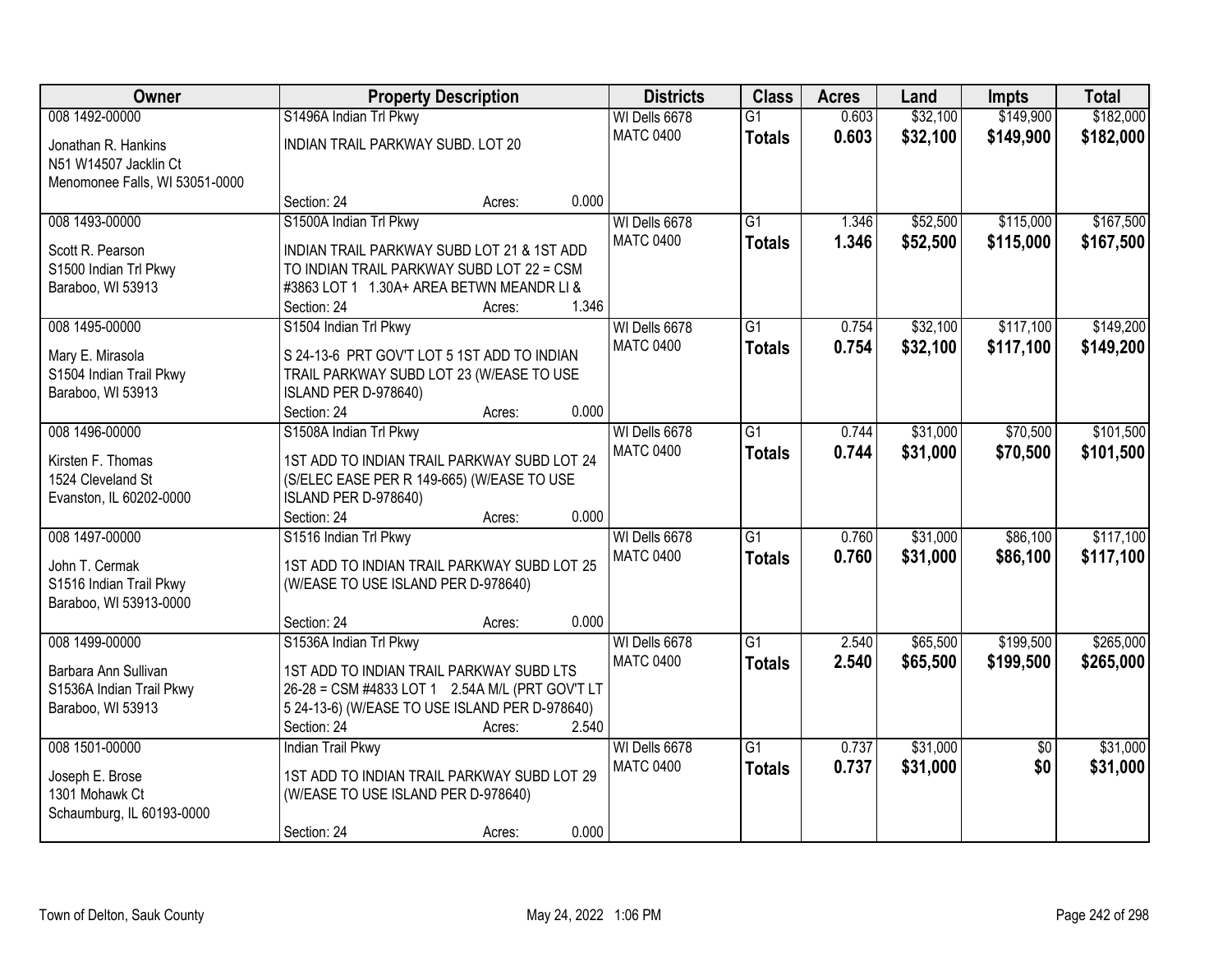| Owner                          | <b>Property Description</b>                     |        |       | <b>Districts</b> | <b>Class</b>    | <b>Acres</b> | Land     | <b>Impts</b>    | <b>Total</b> |
|--------------------------------|-------------------------------------------------|--------|-------|------------------|-----------------|--------------|----------|-----------------|--------------|
| 008 1492-00000                 | S1496A Indian Trl Pkwy                          |        |       | WI Dells 6678    | $\overline{G1}$ | 0.603        | \$32,100 | \$149,900       | \$182,000    |
| Jonathan R. Hankins            | INDIAN TRAIL PARKWAY SUBD. LOT 20               |        |       | <b>MATC 0400</b> | <b>Totals</b>   | 0.603        | \$32,100 | \$149,900       | \$182,000    |
| N51 W14507 Jacklin Ct          |                                                 |        |       |                  |                 |              |          |                 |              |
| Menomonee Falls, WI 53051-0000 |                                                 |        |       |                  |                 |              |          |                 |              |
|                                | Section: 24                                     | Acres: | 0.000 |                  |                 |              |          |                 |              |
| 008 1493-00000                 | S1500A Indian Trl Pkwy                          |        |       | WI Dells 6678    | $\overline{G1}$ | 1.346        | \$52,500 | \$115,000       | \$167,500    |
| Scott R. Pearson               | INDIAN TRAIL PARKWAY SUBD LOT 21 & 1ST ADD      |        |       | <b>MATC 0400</b> | <b>Totals</b>   | 1.346        | \$52,500 | \$115,000       | \$167,500    |
| S1500 Indian Trl Pkwy          | TO INDIAN TRAIL PARKWAY SUBD LOT 22 = CSM       |        |       |                  |                 |              |          |                 |              |
| Baraboo, WI 53913              | #3863 LOT 1 1.30A+ AREA BETWN MEANDR LI &       |        |       |                  |                 |              |          |                 |              |
|                                | Section: 24                                     | Acres: | 1.346 |                  |                 |              |          |                 |              |
| 008 1495-00000                 | S1504 Indian Trl Pkwy                           |        |       | WI Dells 6678    | $\overline{G1}$ | 0.754        | \$32,100 | \$117,100       | \$149,200    |
| Mary E. Mirasola               | S 24-13-6 PRT GOV'T LOT 5 1ST ADD TO INDIAN     |        |       | <b>MATC 0400</b> | <b>Totals</b>   | 0.754        | \$32,100 | \$117,100       | \$149,200    |
| S1504 Indian Trail Pkwy        | TRAIL PARKWAY SUBD LOT 23 (W/EASE TO USE        |        |       |                  |                 |              |          |                 |              |
| Baraboo, WI 53913              | ISLAND PER D-978640)                            |        |       |                  |                 |              |          |                 |              |
|                                | Section: 24                                     | Acres: | 0.000 |                  |                 |              |          |                 |              |
| 008 1496-00000                 | S1508A Indian Trl Pkwy                          |        |       | WI Dells 6678    | $\overline{G1}$ | 0.744        | \$31,000 | \$70,500        | \$101,500    |
| Kirsten F. Thomas              | 1ST ADD TO INDIAN TRAIL PARKWAY SUBD LOT 24     |        |       | <b>MATC 0400</b> | <b>Totals</b>   | 0.744        | \$31,000 | \$70,500        | \$101,500    |
| 1524 Cleveland St              | (S/ELEC EASE PER R 149-665) (W/EASE TO USE      |        |       |                  |                 |              |          |                 |              |
| Evanston, IL 60202-0000        | ISLAND PER D-978640)                            |        |       |                  |                 |              |          |                 |              |
|                                | Section: 24                                     | Acres: | 0.000 |                  |                 |              |          |                 |              |
| 008 1497-00000                 | S1516 Indian Trl Pkwy                           |        |       | WI Dells 6678    | $\overline{G1}$ | 0.760        | \$31,000 | \$86,100        | \$117,100    |
| John T. Cermak                 | 1ST ADD TO INDIAN TRAIL PARKWAY SUBD LOT 25     |        |       | <b>MATC 0400</b> | <b>Totals</b>   | 0.760        | \$31,000 | \$86,100        | \$117,100    |
| S1516 Indian Trail Pkwy        | (W/EASE TO USE ISLAND PER D-978640)             |        |       |                  |                 |              |          |                 |              |
| Baraboo, WI 53913-0000         |                                                 |        |       |                  |                 |              |          |                 |              |
|                                | Section: 24                                     | Acres: | 0.000 |                  |                 |              |          |                 |              |
| 008 1499-00000                 | S1536A Indian Trl Pkwy                          |        |       | WI Dells 6678    | $\overline{G1}$ | 2.540        | \$65,500 | \$199,500       | \$265,000    |
| Barbara Ann Sullivan           | 1ST ADD TO INDIAN TRAIL PARKWAY SUBD LTS        |        |       | <b>MATC 0400</b> | <b>Totals</b>   | 2.540        | \$65,500 | \$199,500       | \$265,000    |
| S1536A Indian Trail Pkwy       | 26-28 = CSM #4833 LOT 1 2.54A M/L (PRT GOV'T LT |        |       |                  |                 |              |          |                 |              |
| Baraboo, WI 53913              | 5 24-13-6) (W/EASE TO USE ISLAND PER D-978640)  |        |       |                  |                 |              |          |                 |              |
|                                | Section: 24                                     | Acres: | 2.540 |                  |                 |              |          |                 |              |
| 008 1501-00000                 | <b>Indian Trail Pkwy</b>                        |        |       | WI Dells 6678    | $\overline{G1}$ | 0.737        | \$31,000 | $\overline{50}$ | \$31,000     |
| Joseph E. Brose                | 1ST ADD TO INDIAN TRAIL PARKWAY SUBD LOT 29     |        |       | <b>MATC 0400</b> | <b>Totals</b>   | 0.737        | \$31,000 | \$0             | \$31,000     |
| 1301 Mohawk Ct                 | (W/EASE TO USE ISLAND PER D-978640)             |        |       |                  |                 |              |          |                 |              |
| Schaumburg, IL 60193-0000      |                                                 |        |       |                  |                 |              |          |                 |              |
|                                | Section: 24                                     | Acres: | 0.000 |                  |                 |              |          |                 |              |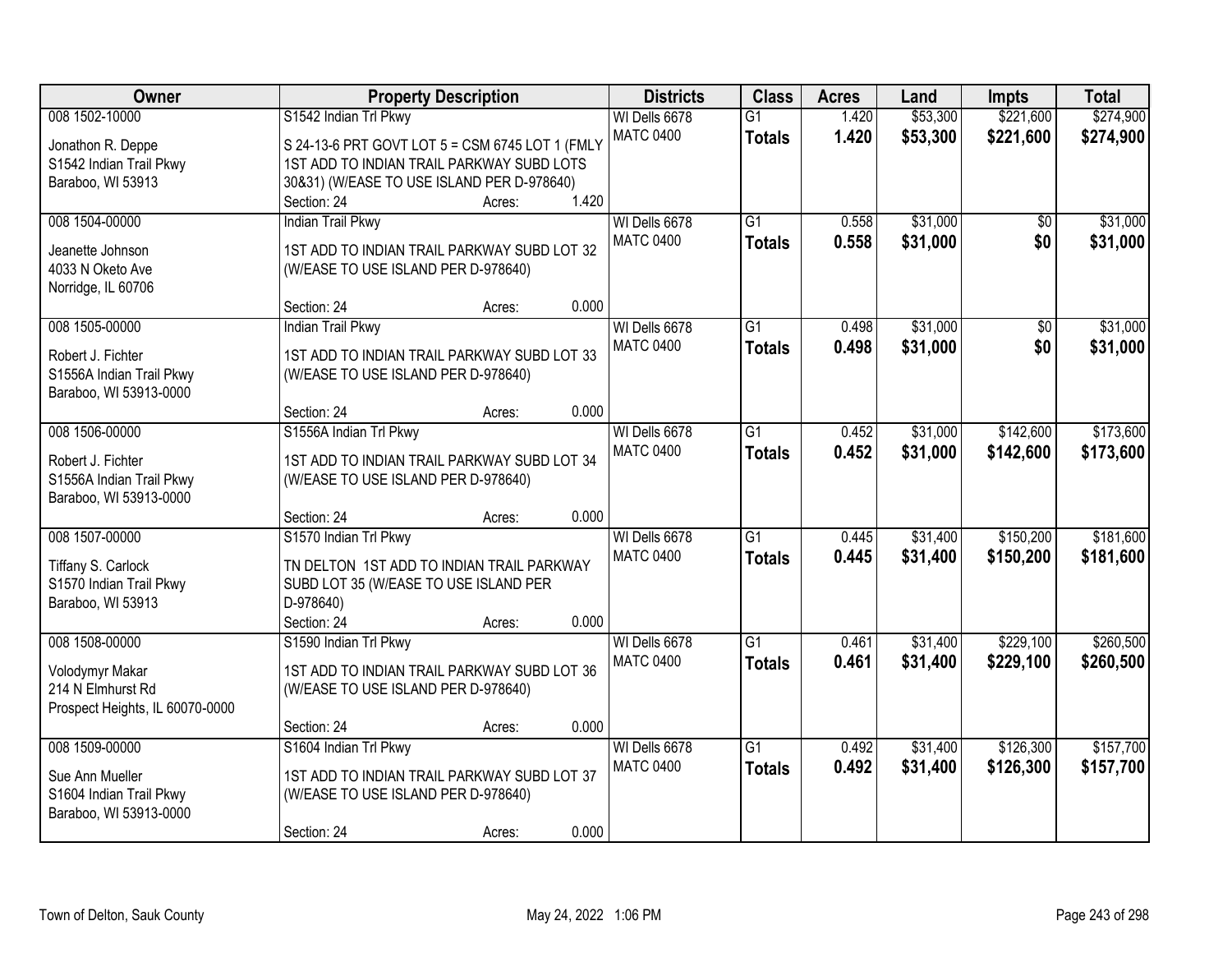| Owner                           | <b>Property Description</b>                                                        |        | <b>Districts</b> | <b>Class</b>     | <b>Acres</b>    | Land  | <b>Impts</b> | <b>Total</b> |           |
|---------------------------------|------------------------------------------------------------------------------------|--------|------------------|------------------|-----------------|-------|--------------|--------------|-----------|
| 008 1502-10000                  | S1542 Indian Trl Pkwy                                                              |        |                  | WI Dells 6678    | $\overline{G1}$ | 1.420 | \$53,300     | \$221,600    | \$274,900 |
| Jonathon R. Deppe               | S 24-13-6 PRT GOVT LOT 5 = CSM 6745 LOT 1 (FMLY                                    |        |                  | <b>MATC 0400</b> | <b>Totals</b>   | 1.420 | \$53,300     | \$221,600    | \$274,900 |
| S1542 Indian Trail Pkwy         | 1ST ADD TO INDIAN TRAIL PARKWAY SUBD LOTS                                          |        |                  |                  |                 |       |              |              |           |
| Baraboo, WI 53913               | 30&31) (W/EASE TO USE ISLAND PER D-978640)                                         |        |                  |                  |                 |       |              |              |           |
|                                 | Section: 24                                                                        | Acres: | 1.420            |                  |                 |       |              |              |           |
| 008 1504-00000                  | <b>Indian Trail Pkwy</b>                                                           |        |                  | WI Dells 6678    | $\overline{G1}$ | 0.558 | \$31,000     | \$0          | \$31,000  |
| Jeanette Johnson                | 1ST ADD TO INDIAN TRAIL PARKWAY SUBD LOT 32                                        |        |                  | <b>MATC 0400</b> | <b>Totals</b>   | 0.558 | \$31,000     | \$0          | \$31,000  |
| 4033 N Oketo Ave                | (W/EASE TO USE ISLAND PER D-978640)                                                |        |                  |                  |                 |       |              |              |           |
| Norridge, IL 60706              |                                                                                    |        |                  |                  |                 |       |              |              |           |
|                                 | Section: 24                                                                        | Acres: | 0.000            |                  |                 |       |              |              |           |
| 008 1505-00000                  | <b>Indian Trail Pkwy</b>                                                           |        |                  | WI Dells 6678    | $\overline{G1}$ | 0.498 | \$31,000     | \$0          | \$31,000  |
| Robert J. Fichter               | 1ST ADD TO INDIAN TRAIL PARKWAY SUBD LOT 33                                        |        |                  | <b>MATC 0400</b> | <b>Totals</b>   | 0.498 | \$31,000     | \$0          | \$31,000  |
| S1556A Indian Trail Pkwy        | (W/EASE TO USE ISLAND PER D-978640)                                                |        |                  |                  |                 |       |              |              |           |
| Baraboo, WI 53913-0000          |                                                                                    |        |                  |                  |                 |       |              |              |           |
|                                 | Section: 24                                                                        | Acres: | 0.000            |                  |                 |       |              |              |           |
| 008 1506-00000                  | S1556A Indian Trl Pkwy                                                             |        |                  | WI Dells 6678    | G1              | 0.452 | \$31,000     | \$142,600    | \$173,600 |
|                                 |                                                                                    |        |                  | <b>MATC 0400</b> | <b>Totals</b>   | 0.452 | \$31,000     | \$142,600    | \$173,600 |
| Robert J. Fichter               | 1ST ADD TO INDIAN TRAIL PARKWAY SUBD LOT 34                                        |        |                  |                  |                 |       |              |              |           |
| S1556A Indian Trail Pkwy        | (W/EASE TO USE ISLAND PER D-978640)                                                |        |                  |                  |                 |       |              |              |           |
| Baraboo, WI 53913-0000          |                                                                                    |        |                  |                  |                 |       |              |              |           |
|                                 | Section: 24                                                                        | Acres: | 0.000            |                  | $\overline{G1}$ |       |              |              |           |
| 008 1507-00000                  | S1570 Indian Trl Pkwy                                                              |        |                  | WI Dells 6678    |                 | 0.445 | \$31,400     | \$150,200    | \$181,600 |
| Tiffany S. Carlock              | TN DELTON 1ST ADD TO INDIAN TRAIL PARKWAY                                          |        |                  | <b>MATC 0400</b> | <b>Totals</b>   | 0.445 | \$31,400     | \$150,200    | \$181,600 |
| S1570 Indian Trail Pkwy         | SUBD LOT 35 (W/EASE TO USE ISLAND PER                                              |        |                  |                  |                 |       |              |              |           |
| Baraboo, WI 53913               | D-978640)                                                                          |        |                  |                  |                 |       |              |              |           |
|                                 | Section: 24                                                                        | Acres: | 0.000            |                  |                 |       |              |              |           |
| 008 1508-00000                  | S1590 Indian Trl Pkwy                                                              |        |                  | WI Dells 6678    | $\overline{G1}$ | 0.461 | \$31,400     | \$229,100    | \$260,500 |
| Volodymyr Makar                 | 1ST ADD TO INDIAN TRAIL PARKWAY SUBD LOT 36                                        |        |                  | <b>MATC 0400</b> | <b>Totals</b>   | 0.461 | \$31,400     | \$229,100    | \$260,500 |
| 214 N Elmhurst Rd               | (W/EASE TO USE ISLAND PER D-978640)                                                |        |                  |                  |                 |       |              |              |           |
| Prospect Heights, IL 60070-0000 |                                                                                    |        |                  |                  |                 |       |              |              |           |
|                                 | Section: 24                                                                        | Acres: | 0.000            |                  |                 |       |              |              |           |
| 008 1509-00000                  | S1604 Indian Trl Pkwy                                                              |        |                  | WI Dells 6678    | $\overline{G1}$ | 0.492 | \$31,400     | \$126,300    | \$157,700 |
| Sue Ann Mueller                 |                                                                                    |        |                  | <b>MATC 0400</b> | <b>Totals</b>   | 0.492 | \$31,400     | \$126,300    | \$157,700 |
| S1604 Indian Trail Pkwy         | 1ST ADD TO INDIAN TRAIL PARKWAY SUBD LOT 37<br>(W/EASE TO USE ISLAND PER D-978640) |        |                  |                  |                 |       |              |              |           |
| Baraboo, WI 53913-0000          |                                                                                    |        |                  |                  |                 |       |              |              |           |
|                                 | Section: 24                                                                        | Acres: | 0.000            |                  |                 |       |              |              |           |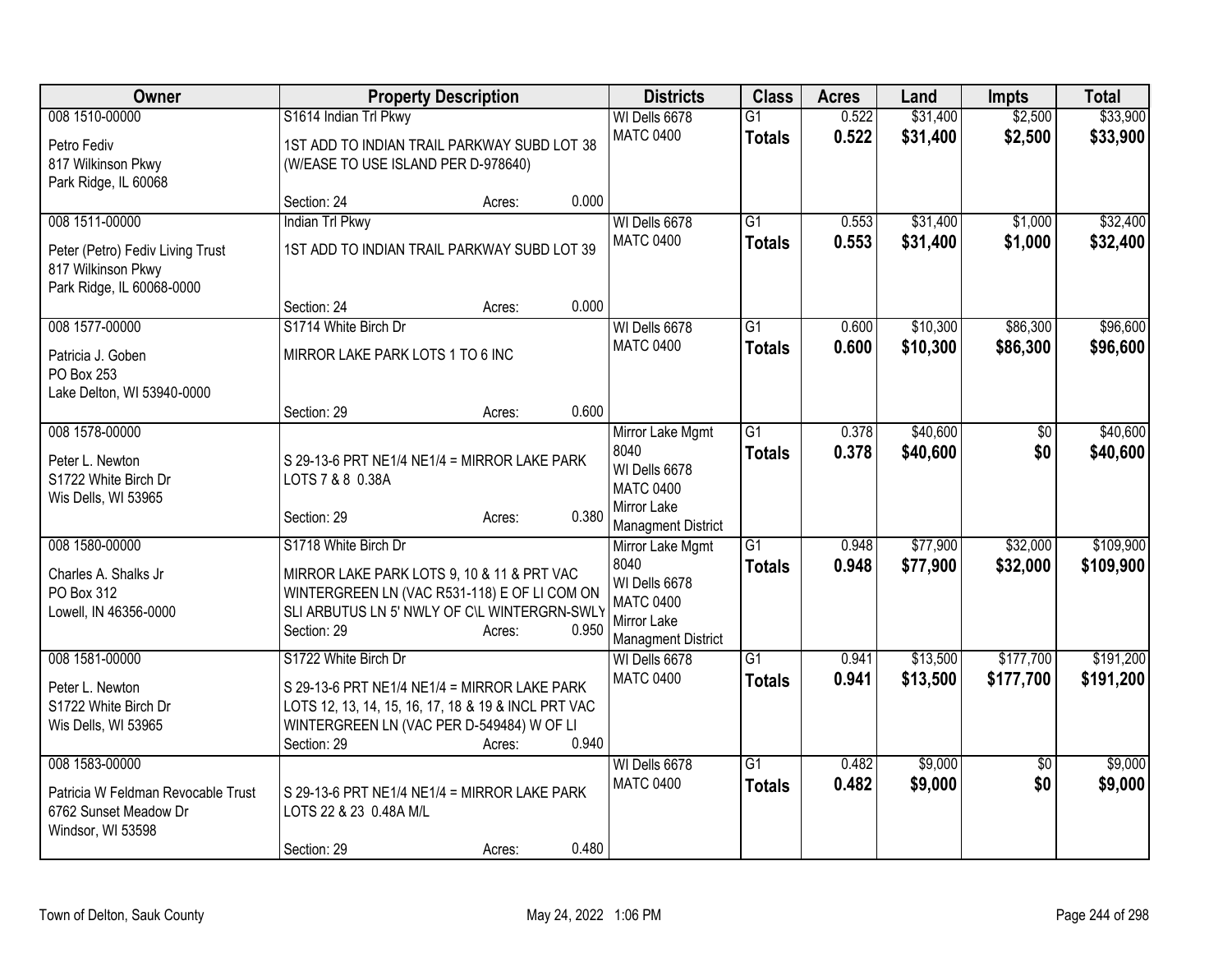| Owner                                                                                                 | <b>Property Description</b>                                                                                                                                                                                | <b>Districts</b>                                                                                          | <b>Class</b>                     | <b>Acres</b>   | Land                 | <b>Impts</b>           | <b>Total</b>           |
|-------------------------------------------------------------------------------------------------------|------------------------------------------------------------------------------------------------------------------------------------------------------------------------------------------------------------|-----------------------------------------------------------------------------------------------------------|----------------------------------|----------------|----------------------|------------------------|------------------------|
| 008 1510-00000<br>Petro Fediv<br>817 Wilkinson Pkwy                                                   | S1614 Indian Trl Pkwy<br>1ST ADD TO INDIAN TRAIL PARKWAY SUBD LOT 38<br>(W/EASE TO USE ISLAND PER D-978640)                                                                                                | WI Dells 6678<br><b>MATC 0400</b>                                                                         | $\overline{G1}$<br><b>Totals</b> | 0.522<br>0.522 | \$31,400<br>\$31,400 | \$2,500<br>\$2,500     | \$33,900<br>\$33,900   |
| Park Ridge, IL 60068                                                                                  | 0.000<br>Section: 24<br>Acres:                                                                                                                                                                             |                                                                                                           |                                  |                |                      |                        |                        |
| 008 1511-00000<br>Peter (Petro) Fediv Living Trust<br>817 Wilkinson Pkwy<br>Park Ridge, IL 60068-0000 | <b>Indian Trl Pkwy</b><br>1ST ADD TO INDIAN TRAIL PARKWAY SUBD LOT 39                                                                                                                                      | WI Dells 6678<br><b>MATC 0400</b>                                                                         | G1<br><b>Totals</b>              | 0.553<br>0.553 | \$31,400<br>\$31,400 | \$1,000<br>\$1,000     | \$32,400<br>\$32,400   |
| 008 1577-00000<br>Patricia J. Goben<br>PO Box 253<br>Lake Delton, WI 53940-0000                       | 0.000<br>Section: 24<br>Acres:<br>S1714 White Birch Dr<br>MIRROR LAKE PARK LOTS 1 TO 6 INC<br>0.600<br>Section: 29<br>Acres:                                                                               | WI Dells 6678<br><b>MATC 0400</b>                                                                         | G1<br><b>Totals</b>              | 0.600<br>0.600 | \$10,300<br>\$10,300 | \$86,300<br>\$86,300   | \$96,600<br>\$96,600   |
| 008 1578-00000<br>Peter L. Newton<br>S1722 White Birch Dr<br>Wis Dells, WI 53965                      | S 29-13-6 PRT NE1/4 NE1/4 = MIRROR LAKE PARK<br>LOTS 7 & 8 0.38A<br>0.380<br>Section: 29<br>Acres:                                                                                                         | Mirror Lake Mgmt<br>8040<br>WI Dells 6678<br><b>MATC 0400</b><br>Mirror Lake<br><b>Managment District</b> | $\overline{G1}$<br><b>Totals</b> | 0.378<br>0.378 | \$40,600<br>\$40,600 | \$0<br>\$0             | \$40,600<br>\$40,600   |
| 008 1580-00000<br>Charles A. Shalks Jr<br>PO Box 312<br>Lowell, IN 46356-0000                         | S1718 White Birch Dr<br>MIRROR LAKE PARK LOTS 9, 10 & 11 & PRT VAC<br>WINTERGREEN LN (VAC R531-118) E OF LI COM ON<br>SLI ARBUTUS LN 5' NWLY OF C\L WINTERGRN-SWLY<br>Section: 29<br>0.950<br>Acres:       | Mirror Lake Mgmt<br>8040<br>WI Dells 6678<br><b>MATC 0400</b><br>Mirror Lake<br><b>Managment District</b> | $\overline{G1}$<br><b>Totals</b> | 0.948<br>0.948 | \$77,900<br>\$77,900 | \$32,000<br>\$32,000   | \$109,900<br>\$109,900 |
| 008 1581-00000<br>Peter L. Newton<br>S1722 White Birch Dr<br>Wis Dells, WI 53965                      | S1722 White Birch Dr<br>S 29-13-6 PRT NE1/4 NE1/4 = MIRROR LAKE PARK<br>LOTS 12, 13, 14, 15, 16, 17, 18 & 19 & INCL PRT VAC<br>WINTERGREEN LN (VAC PER D-549484) W OF LI<br>Section: 29<br>0.940<br>Acres: | WI Dells 6678<br><b>MATC 0400</b>                                                                         | $\overline{G1}$<br><b>Totals</b> | 0.941<br>0.941 | \$13,500<br>\$13,500 | \$177,700<br>\$177,700 | \$191,200<br>\$191,200 |
| 008 1583-00000<br>Patricia W Feldman Revocable Trust<br>6762 Sunset Meadow Dr<br>Windsor, WI 53598    | S 29-13-6 PRT NE1/4 NE1/4 = MIRROR LAKE PARK<br>LOTS 22 & 23 0.48A M/L<br>0.480<br>Section: 29<br>Acres:                                                                                                   | WI Dells 6678<br><b>MATC 0400</b>                                                                         | $\overline{G1}$<br><b>Totals</b> | 0.482<br>0.482 | \$9,000<br>\$9,000   | $\overline{50}$<br>\$0 | \$9,000<br>\$9,000     |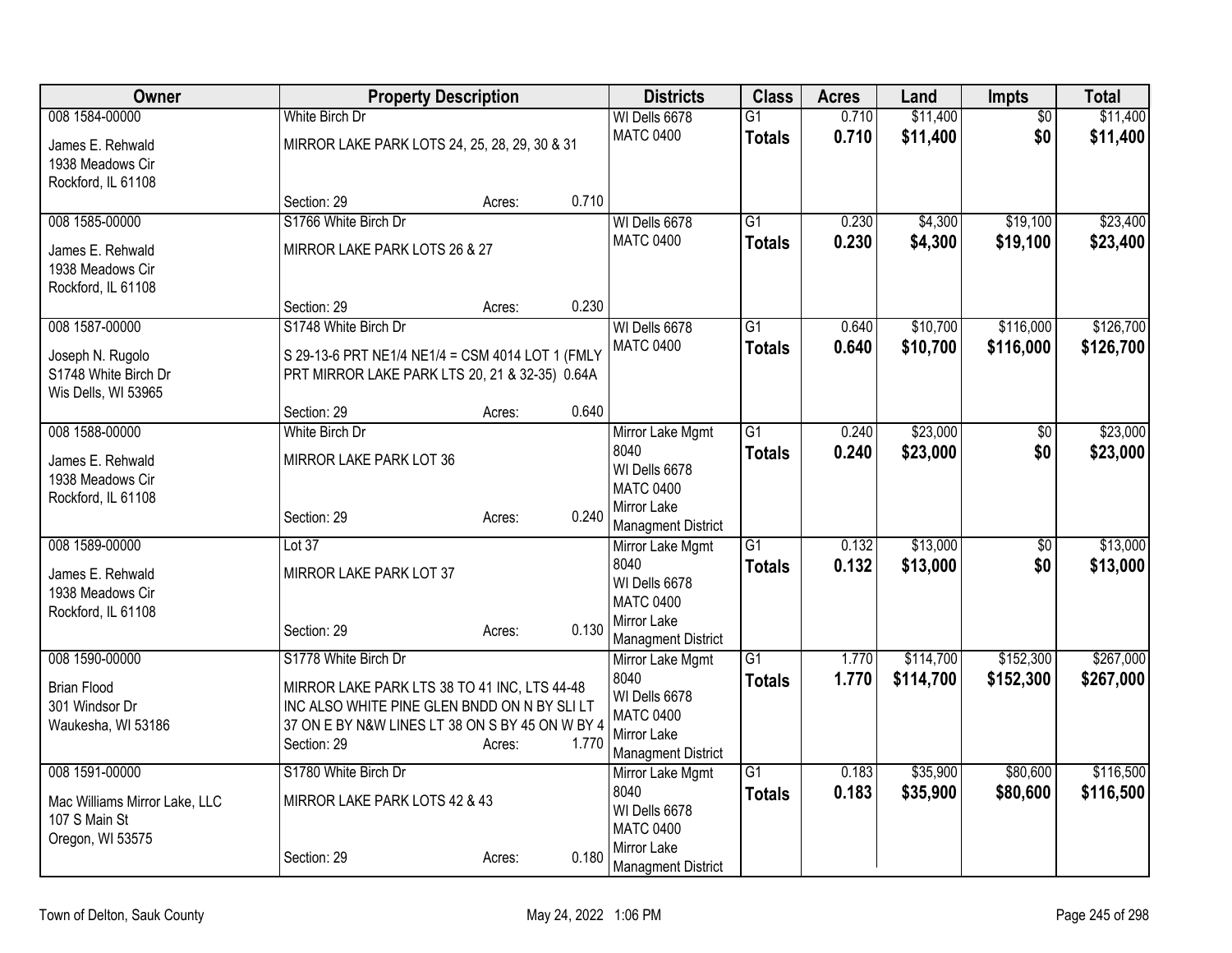| Owner                                       | <b>Property Description</b>                                                                  |        |       | <b>Districts</b>                         | <b>Class</b>    | <b>Acres</b>   | Land      | <b>Impts</b>    | <b>Total</b> |
|---------------------------------------------|----------------------------------------------------------------------------------------------|--------|-------|------------------------------------------|-----------------|----------------|-----------|-----------------|--------------|
| 008 1584-00000                              | White Birch Dr                                                                               |        |       | WI Dells 6678                            | $\overline{G1}$ | 0.710          | \$11,400  | $\overline{50}$ | \$11,400     |
| James E. Rehwald                            | MIRROR LAKE PARK LOTS 24, 25, 28, 29, 30 & 31                                                |        |       | <b>MATC 0400</b>                         | <b>Totals</b>   | 0.710          | \$11,400  | \$0             | \$11,400     |
| 1938 Meadows Cir                            |                                                                                              |        |       |                                          |                 |                |           |                 |              |
| Rockford, IL 61108                          |                                                                                              |        |       |                                          |                 |                |           |                 |              |
|                                             | Section: 29                                                                                  | Acres: | 0.710 |                                          |                 |                |           |                 |              |
| 008 1585-00000                              | S1766 White Birch Dr                                                                         |        |       | WI Dells 6678<br><b>MATC 0400</b>        | $\overline{G1}$ | 0.230<br>0.230 | \$4,300   | \$19,100        | \$23,400     |
| James E. Rehwald                            | MIRROR LAKE PARK LOTS 26 & 27                                                                |        |       |                                          | <b>Totals</b>   |                | \$4,300   | \$19,100        | \$23,400     |
| 1938 Meadows Cir                            |                                                                                              |        |       |                                          |                 |                |           |                 |              |
| Rockford, IL 61108                          | Section: 29                                                                                  | Acres: | 0.230 |                                          |                 |                |           |                 |              |
| 008 1587-00000                              | S1748 White Birch Dr                                                                         |        |       | WI Dells 6678                            | $\overline{G1}$ | 0.640          | \$10,700  | \$116,000       | \$126,700    |
|                                             |                                                                                              |        |       | <b>MATC 0400</b>                         | <b>Totals</b>   | 0.640          | \$10,700  | \$116,000       | \$126,700    |
| Joseph N. Rugolo                            | S 29-13-6 PRT NE1/4 NE1/4 = CSM 4014 LOT 1 (FMLY                                             |        |       |                                          |                 |                |           |                 |              |
| S1748 White Birch Dr<br>Wis Dells, WI 53965 | PRT MIRROR LAKE PARK LTS 20, 21 & 32-35) 0.64A                                               |        |       |                                          |                 |                |           |                 |              |
|                                             | Section: 29                                                                                  | Acres: | 0.640 |                                          |                 |                |           |                 |              |
| 008 1588-00000                              | White Birch Dr                                                                               |        |       | Mirror Lake Mgmt                         | $\overline{G1}$ | 0.240          | \$23,000  | \$0             | \$23,000     |
| James E. Rehwald                            | MIRROR LAKE PARK LOT 36                                                                      |        |       | 8040                                     | <b>Totals</b>   | 0.240          | \$23,000  | \$0             | \$23,000     |
| 1938 Meadows Cir                            |                                                                                              |        |       | WI Dells 6678                            |                 |                |           |                 |              |
| Rockford, IL 61108                          |                                                                                              |        |       | <b>MATC 0400</b>                         |                 |                |           |                 |              |
|                                             | Section: 29                                                                                  | Acres: | 0.240 | Mirror Lake<br><b>Managment District</b> |                 |                |           |                 |              |
| 008 1589-00000                              | Lot 37                                                                                       |        |       | Mirror Lake Mgmt                         | G1              | 0.132          | \$13,000  | $\overline{50}$ | \$13,000     |
| James E. Rehwald                            | MIRROR LAKE PARK LOT 37                                                                      |        |       | 8040                                     | <b>Totals</b>   | 0.132          | \$13,000  | \$0             | \$13,000     |
| 1938 Meadows Cir                            |                                                                                              |        |       | WI Dells 6678                            |                 |                |           |                 |              |
| Rockford, IL 61108                          |                                                                                              |        |       | <b>MATC 0400</b>                         |                 |                |           |                 |              |
|                                             | Section: 29                                                                                  | Acres: | 0.130 | Mirror Lake<br><b>Managment District</b> |                 |                |           |                 |              |
| 008 1590-00000                              | S1778 White Birch Dr                                                                         |        |       | Mirror Lake Mgmt                         | $\overline{G1}$ | 1.770          | \$114,700 | \$152,300       | \$267,000    |
|                                             |                                                                                              |        |       | 8040                                     | <b>Totals</b>   | 1.770          | \$114,700 | \$152,300       | \$267,000    |
| <b>Brian Flood</b><br>301 Windsor Dr        | MIRROR LAKE PARK LTS 38 TO 41 INC, LTS 44-48<br>INC ALSO WHITE PINE GLEN BNDD ON N BY SLI LT |        |       | WI Dells 6678                            |                 |                |           |                 |              |
| Waukesha, WI 53186                          | 37 ON E BY N&W LINES LT 38 ON S BY 45 ON W BY 4                                              |        |       | <b>MATC 0400</b>                         |                 |                |           |                 |              |
|                                             | Section: 29                                                                                  | Acres: | 1.770 | Mirror Lake                              |                 |                |           |                 |              |
| 008 1591-00000                              | S1780 White Birch Dr                                                                         |        |       | <b>Managment District</b>                | $\overline{G1}$ | 0.183          | \$35,900  | \$80,600        | \$116,500    |
|                                             |                                                                                              |        |       | Mirror Lake Mgmt<br>8040                 | <b>Totals</b>   | 0.183          | \$35,900  | \$80,600        | \$116,500    |
| Mac Williams Mirror Lake, LLC               | MIRROR LAKE PARK LOTS 42 & 43                                                                |        |       | WI Dells 6678                            |                 |                |           |                 |              |
| 107 S Main St                               |                                                                                              |        |       | <b>MATC 0400</b>                         |                 |                |           |                 |              |
| Oregon, WI 53575                            | Section: 29                                                                                  | Acres: | 0.180 | Mirror Lake                              |                 |                |           |                 |              |
|                                             |                                                                                              |        |       | <b>Managment District</b>                |                 |                |           |                 |              |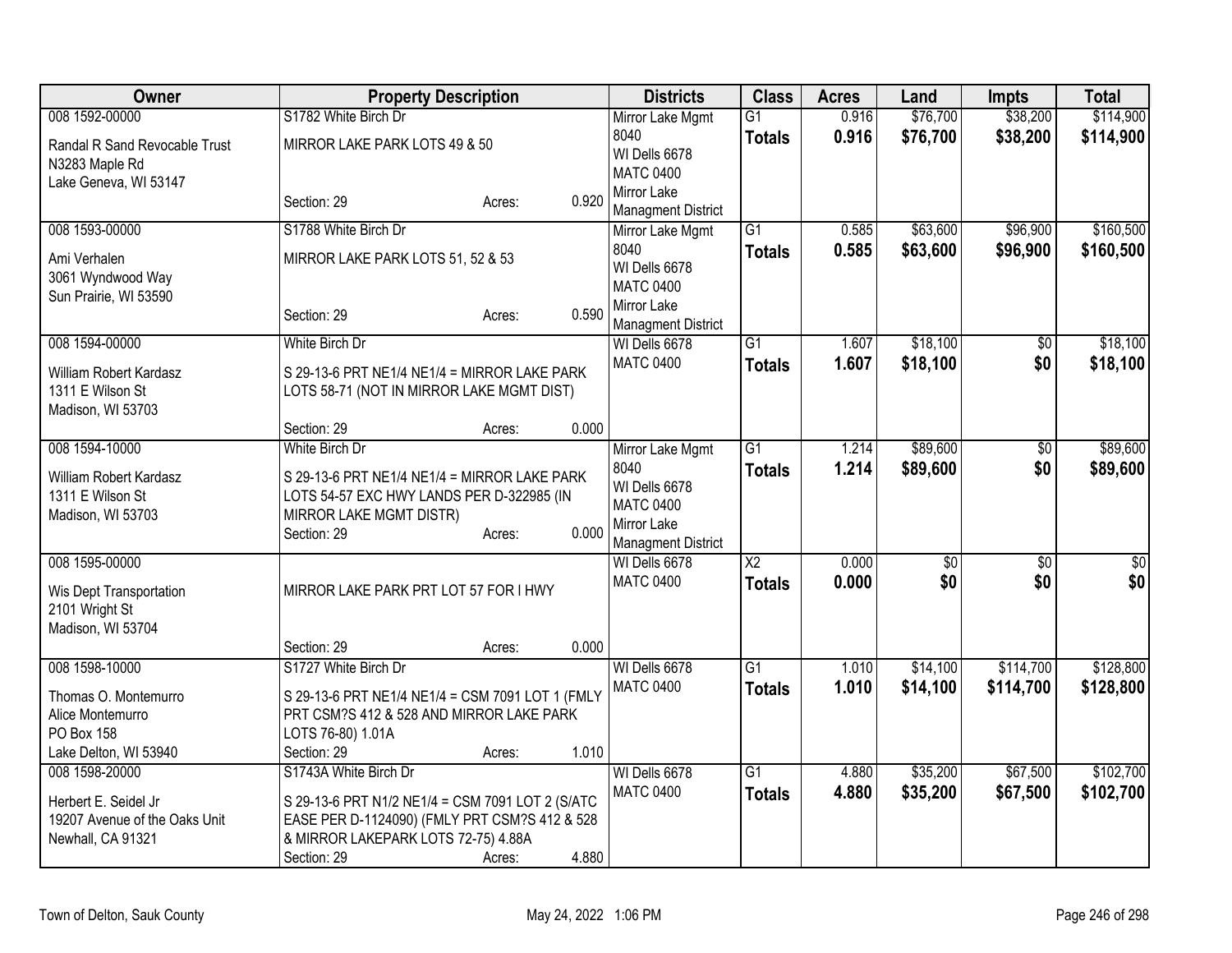| Owner                                                                           | <b>Property Description</b>                                                                                                              |        |       | <b>Districts</b>                                         | <b>Class</b>           | <b>Acres</b> | Land     | <b>Impts</b>    | <b>Total</b> |
|---------------------------------------------------------------------------------|------------------------------------------------------------------------------------------------------------------------------------------|--------|-------|----------------------------------------------------------|------------------------|--------------|----------|-----------------|--------------|
| 008 1592-00000                                                                  | S1782 White Birch Dr                                                                                                                     |        |       | Mirror Lake Mgmt                                         | $\overline{G1}$        | 0.916        | \$76,700 | \$38,200        | \$114,900    |
| Randal R Sand Revocable Trust<br>N3283 Maple Rd<br>Lake Geneva, WI 53147        | MIRROR LAKE PARK LOTS 49 & 50                                                                                                            |        |       | 8040<br>WI Dells 6678<br><b>MATC 0400</b>                | <b>Totals</b>          | 0.916        | \$76,700 | \$38,200        | \$114,900    |
|                                                                                 | Section: 29                                                                                                                              | Acres: | 0.920 | Mirror Lake<br><b>Managment District</b>                 |                        |              |          |                 |              |
| 008 1593-00000                                                                  | S1788 White Birch Dr                                                                                                                     |        |       | Mirror Lake Mgmt                                         | $\overline{G1}$        | 0.585        | \$63,600 | \$96,900        | \$160,500    |
| Ami Verhalen<br>3061 Wyndwood Way<br>Sun Prairie, WI 53590                      | MIRROR LAKE PARK LOTS 51, 52 & 53                                                                                                        |        |       | 8040<br>WI Dells 6678<br><b>MATC 0400</b>                | <b>Totals</b>          | 0.585        | \$63,600 | \$96,900        | \$160,500    |
|                                                                                 | Section: 29                                                                                                                              | Acres: | 0.590 | Mirror Lake<br><b>Managment District</b>                 |                        |              |          |                 |              |
| 008 1594-00000                                                                  | White Birch Dr                                                                                                                           |        |       | WI Dells 6678                                            | $\overline{G1}$        | 1.607        | \$18,100 | \$0             | \$18,100     |
| William Robert Kardasz<br>1311 E Wilson St<br>Madison, WI 53703                 | S 29-13-6 PRT NE1/4 NE1/4 = MIRROR LAKE PARK<br>LOTS 58-71 (NOT IN MIRROR LAKE MGMT DIST)                                                |        |       | <b>MATC 0400</b>                                         | <b>Totals</b>          | 1.607        | \$18,100 | \$0             | \$18,100     |
|                                                                                 | Section: 29                                                                                                                              | Acres: | 0.000 |                                                          |                        |              |          |                 |              |
| 008 1594-10000                                                                  | White Birch Dr                                                                                                                           |        |       | Mirror Lake Mgmt                                         | $\overline{G1}$        | 1.214        | \$89,600 | \$0             | \$89,600     |
| William Robert Kardasz<br>1311 E Wilson St<br>Madison, WI 53703                 | S 29-13-6 PRT NE1/4 NE1/4 = MIRROR LAKE PARK<br>LOTS 54-57 EXC HWY LANDS PER D-322985 (IN<br>MIRROR LAKE MGMT DISTR)                     |        |       | 8040<br>WI Dells 6678<br><b>MATC 0400</b><br>Mirror Lake | <b>Totals</b>          | 1.214        | \$89,600 | \$0             | \$89,600     |
|                                                                                 | Section: 29                                                                                                                              | Acres: | 0.000 | <b>Managment District</b>                                |                        |              |          |                 |              |
| 008 1595-00000                                                                  |                                                                                                                                          |        |       | WI Dells 6678                                            | $\overline{\text{X2}}$ | 0.000        | \$0      | $\overline{50}$ | \$0          |
| Wis Dept Transportation<br>2101 Wright St<br>Madison, WI 53704                  | MIRROR LAKE PARK PRT LOT 57 FOR I HWY                                                                                                    |        |       | <b>MATC 0400</b>                                         | <b>Totals</b>          | 0.000        | \$0      | \$0             | \$0          |
|                                                                                 | Section: 29                                                                                                                              | Acres: | 0.000 |                                                          |                        |              |          |                 |              |
| 008 1598-10000                                                                  | S1727 White Birch Dr                                                                                                                     |        |       | WI Dells 6678                                            | $\overline{G1}$        | 1.010        | \$14,100 | \$114,700       | \$128,800    |
| Thomas O. Montemurro<br>Alice Montemurro<br>PO Box 158<br>Lake Delton, WI 53940 | S 29-13-6 PRT NE1/4 NE1/4 = CSM 7091 LOT 1 (FMLY<br>PRT CSM?S 412 & 528 AND MIRROR LAKE PARK<br>LOTS 76-80) 1.01A<br>Section: 29         | Acres: | 1.010 | <b>MATC 0400</b>                                         | <b>Totals</b>          | 1.010        | \$14,100 | \$114,700       | \$128,800    |
| 008 1598-20000                                                                  | S1743A White Birch Dr                                                                                                                    |        |       | WI Dells 6678                                            | $\overline{G1}$        | 4.880        | \$35,200 | \$67,500        | \$102,700    |
| Herbert E. Seidel Jr<br>19207 Avenue of the Oaks Unit<br>Newhall, CA 91321      | S 29-13-6 PRT N1/2 NE1/4 = CSM 7091 LOT 2 (S/ATC<br>EASE PER D-1124090) (FMLY PRT CSM?S 412 & 528<br>& MIRROR LAKEPARK LOTS 72-75) 4.88A |        |       | <b>MATC 0400</b>                                         | <b>Totals</b>          | 4.880        | \$35,200 | \$67,500        | \$102,700    |
|                                                                                 | Section: 29                                                                                                                              | Acres: | 4.880 |                                                          |                        |              |          |                 |              |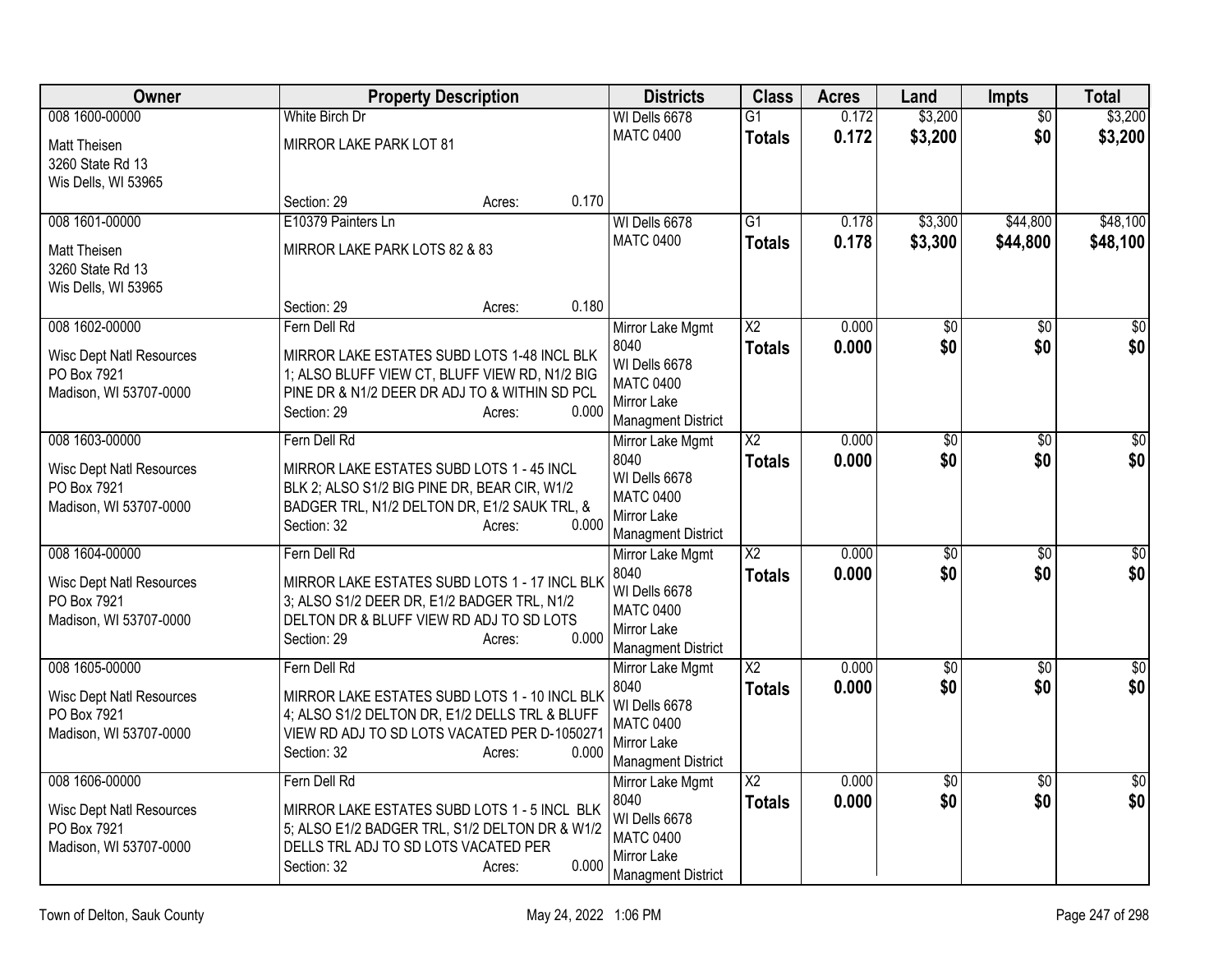| Owner                                 | <b>Property Description</b>                                                                    | <b>Districts</b>                  | <b>Class</b>                     | <b>Acres</b>   | Land                   | <b>Impts</b>           | <b>Total</b>       |
|---------------------------------------|------------------------------------------------------------------------------------------------|-----------------------------------|----------------------------------|----------------|------------------------|------------------------|--------------------|
| 008 1600-00000                        | White Birch Dr                                                                                 | WI Dells 6678                     | $\overline{G1}$                  | 0.172          | \$3,200                | $\overline{50}$        | \$3,200            |
| Matt Theisen                          | MIRROR LAKE PARK LOT 81                                                                        | <b>MATC 0400</b>                  | <b>Totals</b>                    | 0.172          | \$3,200                | \$0                    | \$3,200            |
| 3260 State Rd 13                      |                                                                                                |                                   |                                  |                |                        |                        |                    |
| Wis Dells, WI 53965                   |                                                                                                | 0.170                             |                                  |                |                        |                        |                    |
| 008 1601-00000                        | Section: 29<br>Acres:<br>E10379 Painters Ln                                                    | WI Dells 6678                     | $\overline{G1}$                  | 0.178          | \$3,300                | \$44,800               | \$48,100           |
|                                       |                                                                                                | <b>MATC 0400</b>                  | <b>Totals</b>                    | 0.178          | \$3,300                | \$44,800               | \$48,100           |
| Matt Theisen<br>3260 State Rd 13      | MIRROR LAKE PARK LOTS 82 & 83                                                                  |                                   |                                  |                |                        |                        |                    |
| Wis Dells, WI 53965                   |                                                                                                |                                   |                                  |                |                        |                        |                    |
|                                       | Section: 29<br>Acres:                                                                          | 0.180                             |                                  |                |                        |                        |                    |
| 008 1602-00000                        | Fern Dell Rd                                                                                   | Mirror Lake Mgmt                  | $\overline{X2}$                  | 0.000          | \$0                    | \$0                    | $\sqrt{50}$        |
| <b>Wisc Dept Natl Resources</b>       | MIRROR LAKE ESTATES SUBD LOTS 1-48 INCL BLK                                                    | 8040                              | <b>Totals</b>                    | 0.000          | \$0                    | \$0                    | \$0                |
| PO Box 7921                           | 1; ALSO BLUFF VIEW CT, BLUFF VIEW RD, N1/2 BIG                                                 | WI Dells 6678<br><b>MATC 0400</b> |                                  |                |                        |                        |                    |
| Madison, WI 53707-0000                | PINE DR & N1/2 DEER DR ADJ TO & WITHIN SD PCL                                                  | Mirror Lake                       |                                  |                |                        |                        |                    |
|                                       | 0.000<br>Section: 29<br>Acres:                                                                 | <b>Managment District</b>         |                                  |                |                        |                        |                    |
| 008 1603-00000                        | Fern Dell Rd                                                                                   | Mirror Lake Mgmt                  | $\overline{X2}$                  | 0.000          | $\overline{50}$        | $\overline{50}$        | \$0                |
| <b>Wisc Dept Natl Resources</b>       | MIRROR LAKE ESTATES SUBD LOTS 1 - 45 INCL                                                      | 8040<br>WI Dells 6678             | <b>Totals</b>                    | 0.000          | \$0                    | \$0                    | \$0                |
| PO Box 7921                           | BLK 2; ALSO S1/2 BIG PINE DR, BEAR CIR, W1/2                                                   | <b>MATC 0400</b>                  |                                  |                |                        |                        |                    |
| Madison, WI 53707-0000                | BADGER TRL, N1/2 DELTON DR, E1/2 SAUK TRL, &<br>0.000                                          | Mirror Lake                       |                                  |                |                        |                        |                    |
|                                       | Section: 32<br>Acres:                                                                          | <b>Managment District</b>         |                                  |                |                        |                        |                    |
| 008 1604-00000                        | Fern Dell Rd                                                                                   | Mirror Lake Mgmt                  | $\overline{X2}$                  | 0.000          | $\overline{50}$        | $\sqrt{6}$             | $\overline{\$0}$   |
| <b>Wisc Dept Natl Resources</b>       | MIRROR LAKE ESTATES SUBD LOTS 1 - 17 INCL BLK                                                  | 8040<br>WI Dells 6678             | <b>Totals</b>                    | 0.000          | \$0                    | \$0                    | \$0                |
| PO Box 7921                           | 3; ALSO S1/2 DEER DR, E1/2 BADGER TRL, N1/2                                                    | <b>MATC 0400</b>                  |                                  |                |                        |                        |                    |
| Madison, WI 53707-0000                | DELTON DR & BLUFF VIEW RD ADJ TO SD LOTS<br>0.000<br>Section: 29<br>Acres:                     | Mirror Lake                       |                                  |                |                        |                        |                    |
|                                       |                                                                                                | <b>Managment District</b>         |                                  |                |                        |                        |                    |
| 008 1605-00000                        | Fern Dell Rd                                                                                   | Mirror Lake Mgmt<br>8040          | $\overline{X2}$<br><b>Totals</b> | 0.000<br>0.000 | $\overline{50}$<br>\$0 | $\overline{50}$<br>\$0 | $\sqrt{50}$<br>\$0 |
| <b>Wisc Dept Natl Resources</b>       | MIRROR LAKE ESTATES SUBD LOTS 1 - 10 INCL BLK                                                  | WI Dells 6678                     |                                  |                |                        |                        |                    |
| PO Box 7921<br>Madison, WI 53707-0000 | 4; ALSO S1/2 DELTON DR, E1/2 DELLS TRL & BLUFF<br>VIEW RD ADJ TO SD LOTS VACATED PER D-1050271 | <b>MATC 0400</b>                  |                                  |                |                        |                        |                    |
|                                       | Section: 32<br>Acres:                                                                          | Mirror Lake<br>0.000              |                                  |                |                        |                        |                    |
| 008 1606-00000                        | Fern Dell Rd                                                                                   | <b>Managment District</b>         | $\overline{X2}$                  | 0.000          | $\overline{50}$        |                        | $\sqrt{50}$        |
|                                       |                                                                                                | Mirror Lake Mgmt<br>8040          | <b>Totals</b>                    | 0.000          | \$0                    | $\overline{50}$<br>\$0 | \$0                |
| <b>Wisc Dept Natl Resources</b>       | MIRROR LAKE ESTATES SUBD LOTS 1 - 5 INCL BLK                                                   | WI Dells 6678                     |                                  |                |                        |                        |                    |
| PO Box 7921<br>Madison, WI 53707-0000 | 5; ALSO E1/2 BADGER TRL, S1/2 DELTON DR & W1/2<br>DELLS TRL ADJ TO SD LOTS VACATED PER         | <b>MATC 0400</b>                  |                                  |                |                        |                        |                    |
|                                       | 0.000<br>Section: 32<br>Acres:                                                                 | Mirror Lake                       |                                  |                |                        |                        |                    |
|                                       |                                                                                                | <b>Managment District</b>         |                                  |                |                        |                        |                    |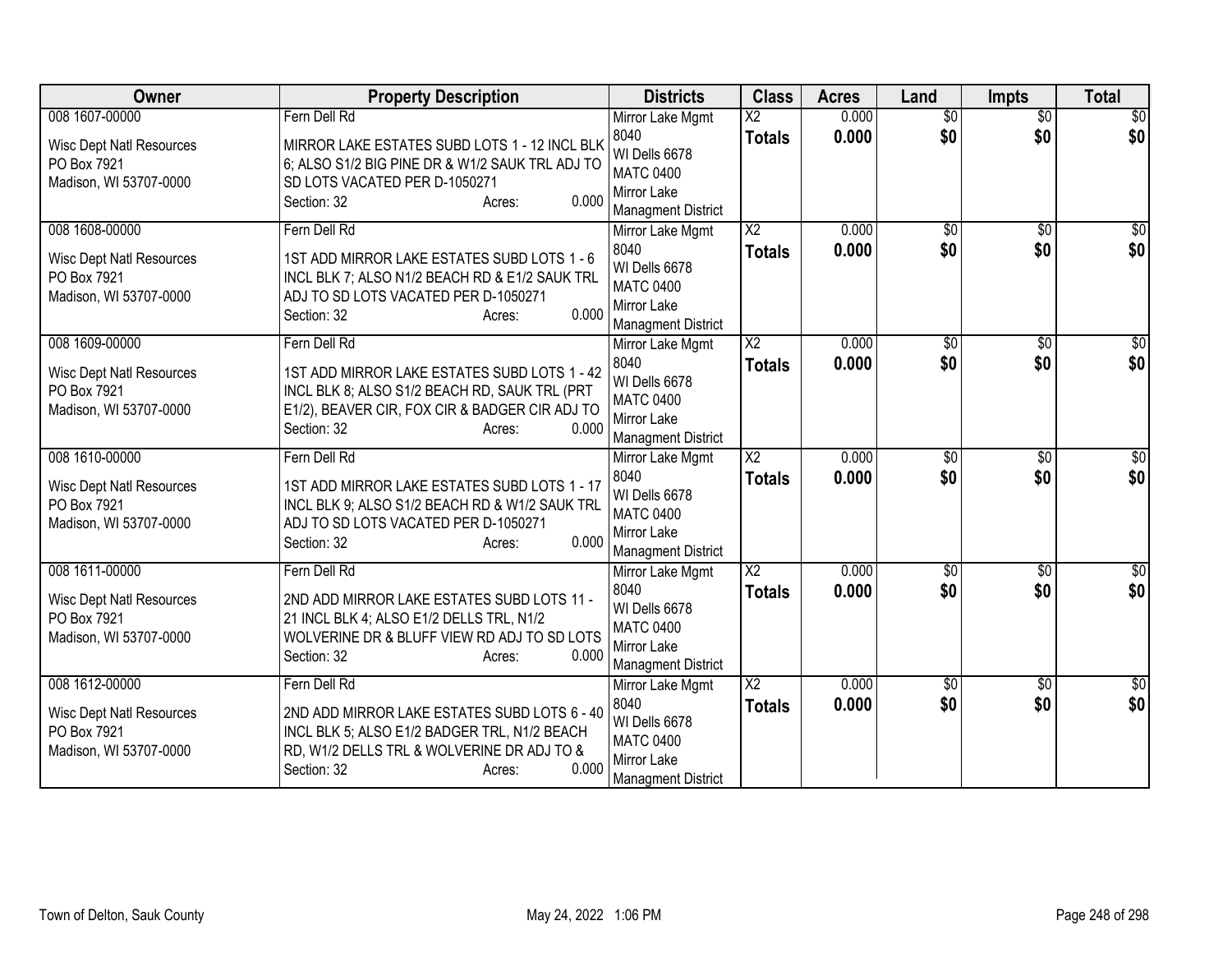| <b>Owner</b>                                                             | <b>Property Description</b>                                                                                                                                                       | <b>Districts</b>                                                                      | <b>Class</b>           | <b>Acres</b> | Land            | <b>Impts</b>    | <b>Total</b>    |
|--------------------------------------------------------------------------|-----------------------------------------------------------------------------------------------------------------------------------------------------------------------------------|---------------------------------------------------------------------------------------|------------------------|--------------|-----------------|-----------------|-----------------|
| 008 1607-00000                                                           | Fern Dell Rd                                                                                                                                                                      | Mirror Lake Mgmt                                                                      | $\overline{\text{X2}}$ | 0.000        | $\overline{30}$ | $\overline{50}$ | \$0             |
| <b>Wisc Dept Natl Resources</b><br>PO Box 7921<br>Madison, WI 53707-0000 | MIRROR LAKE ESTATES SUBD LOTS 1 - 12 INCL BLK<br>6; ALSO S1/2 BIG PINE DR & W1/2 SAUK TRL ADJ TO<br>SD LOTS VACATED PER D-1050271<br>0.000<br>Section: 32<br>Acres:               | 8040<br>WI Dells 6678<br><b>MATC 0400</b><br>Mirror Lake<br><b>Managment District</b> | <b>Totals</b>          | 0.000        | \$0             | \$0             | \$0             |
| 008 1608-00000                                                           | Fern Dell Rd                                                                                                                                                                      | Mirror Lake Mgmt                                                                      | $\overline{\text{X2}}$ | 0.000        | $\overline{50}$ | $\overline{50}$ | $\overline{30}$ |
| <b>Wisc Dept Natl Resources</b><br>PO Box 7921<br>Madison, WI 53707-0000 | 1ST ADD MIRROR LAKE ESTATES SUBD LOTS 1 - 6<br>INCL BLK 7; ALSO N1/2 BEACH RD & E1/2 SAUK TRL<br>ADJ TO SD LOTS VACATED PER D-1050271<br>0.000<br>Section: 32<br>Acres:           | 8040<br>WI Dells 6678<br><b>MATC 0400</b><br>Mirror Lake<br><b>Managment District</b> | <b>Totals</b>          | 0.000        | \$0             | \$0             | \$0             |
| 008 1609-00000                                                           | Fern Dell Rd                                                                                                                                                                      | Mirror Lake Mgmt                                                                      | $\overline{\text{X2}}$ | 0.000        | $\sqrt[6]{}$    | $\overline{50}$ | \$0             |
| <b>Wisc Dept Natl Resources</b><br>PO Box 7921<br>Madison, WI 53707-0000 | 1ST ADD MIRROR LAKE ESTATES SUBD LOTS 1 - 42<br>INCL BLK 8; ALSO S1/2 BEACH RD, SAUK TRL (PRT<br>E1/2), BEAVER CIR, FOX CIR & BADGER CIR ADJ TO<br>0.000<br>Section: 32<br>Acres: | 8040<br>WI Dells 6678<br><b>MATC 0400</b><br>Mirror Lake<br><b>Managment District</b> | <b>Totals</b>          | 0.000        | \$0             | \$0             | \$0             |
| 008 1610-00000                                                           | Fern Dell Rd                                                                                                                                                                      | Mirror Lake Mgmt                                                                      | $\overline{X2}$        | 0.000        | $\overline{50}$ | $\overline{50}$ | \$0             |
| <b>Wisc Dept Natl Resources</b><br>PO Box 7921<br>Madison, WI 53707-0000 | 1ST ADD MIRROR LAKE ESTATES SUBD LOTS 1 - 17<br>INCL BLK 9; ALSO S1/2 BEACH RD & W1/2 SAUK TRL<br>ADJ TO SD LOTS VACATED PER D-1050271<br>0.000<br>Section: 32<br>Acres:          | 8040<br>WI Dells 6678<br><b>MATC 0400</b><br>Mirror Lake<br><b>Managment District</b> | <b>Totals</b>          | 0.000        | \$0             | \$0             | \$0             |
| 008 1611-00000                                                           | Fern Dell Rd                                                                                                                                                                      | Mirror Lake Mgmt                                                                      | $\overline{X2}$        | 0.000        | $\sqrt{$0}$     | \$0             | $\overline{50}$ |
| <b>Wisc Dept Natl Resources</b><br>PO Box 7921<br>Madison, WI 53707-0000 | 2ND ADD MIRROR LAKE ESTATES SUBD LOTS 11 -<br>21 INCL BLK 4; ALSO E1/2 DELLS TRL, N1/2<br>WOLVERINE DR & BLUFF VIEW RD ADJ TO SD LOTS<br>0.000<br>Section: 32<br>Acres:           | 8040<br>WI Dells 6678<br><b>MATC 0400</b><br>Mirror Lake<br><b>Managment District</b> | <b>Totals</b>          | 0.000        | \$0             | \$0             | \$0             |
| 008 1612-00000                                                           | Fern Dell Rd                                                                                                                                                                      | Mirror Lake Mgmt                                                                      | $\overline{\text{X2}}$ | 0.000        | \$0             | \$0             | \$0             |
| <b>Wisc Dept Natl Resources</b><br>PO Box 7921<br>Madison, WI 53707-0000 | 2ND ADD MIRROR LAKE ESTATES SUBD LOTS 6 - 40<br>INCL BLK 5; ALSO E1/2 BADGER TRL, N1/2 BEACH<br>RD, W1/2 DELLS TRL & WOLVERINE DR ADJ TO &<br>0.000<br>Section: 32<br>Acres:      | 8040<br>WI Dells 6678<br><b>MATC 0400</b><br>Mirror Lake<br>Managment District        | <b>Totals</b>          | 0.000        | \$0             | \$0             | \$0             |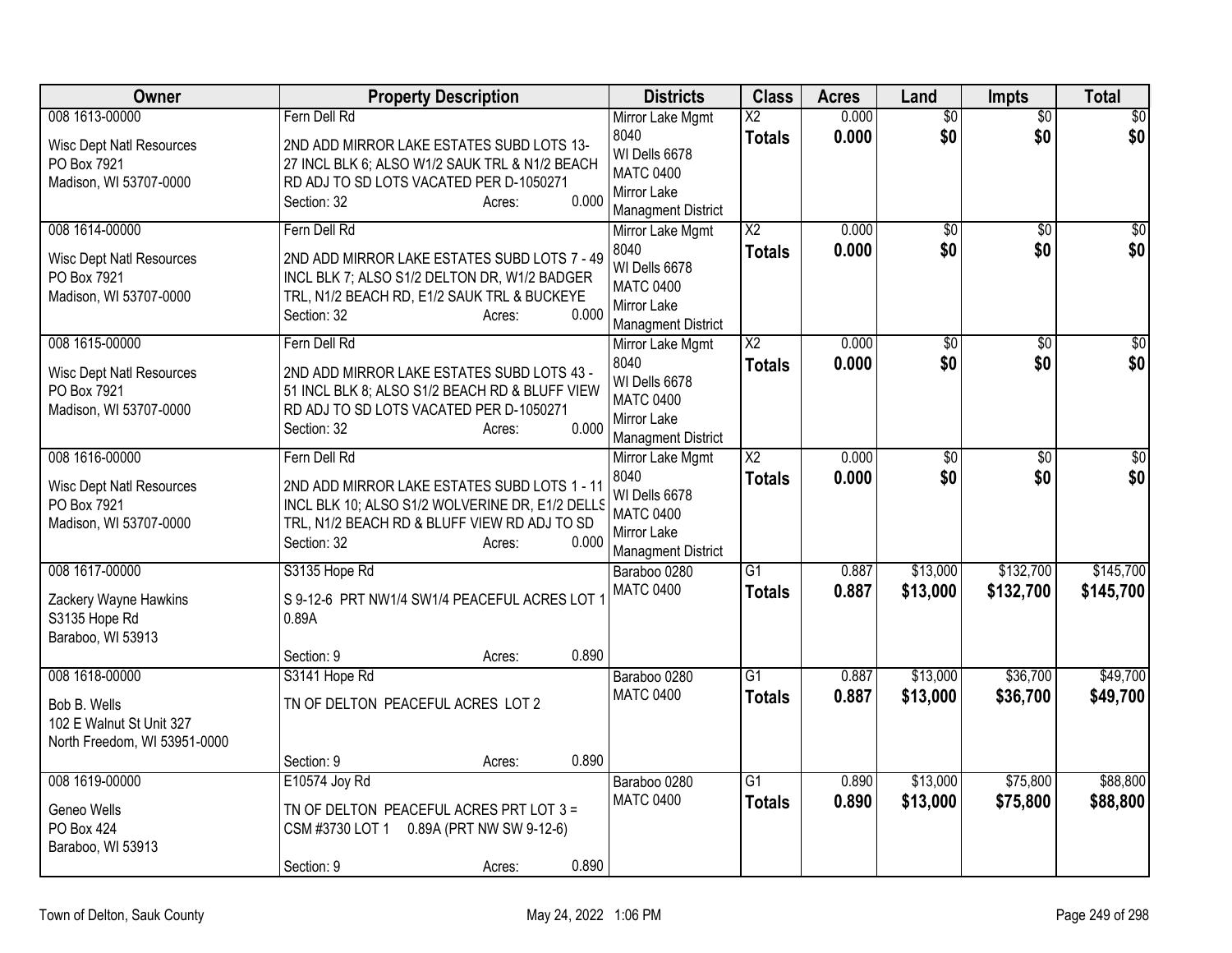| Owner                                                                                      | <b>Property Description</b>                                                                                                                                                                       | <b>Districts</b>                                                                                                                       | <b>Class</b>                     | <b>Acres</b>   | Land                   | Impts                  | <b>Total</b>            |
|--------------------------------------------------------------------------------------------|---------------------------------------------------------------------------------------------------------------------------------------------------------------------------------------------------|----------------------------------------------------------------------------------------------------------------------------------------|----------------------------------|----------------|------------------------|------------------------|-------------------------|
| 008 1613-00000<br><b>Wisc Dept Natl Resources</b><br>PO Box 7921<br>Madison, WI 53707-0000 | Fern Dell Rd<br>2ND ADD MIRROR LAKE ESTATES SUBD LOTS 13-<br>27 INCL BLK 6; ALSO W1/2 SAUK TRL & N1/2 BEACH<br>RD ADJ TO SD LOTS VACATED PER D-1050271<br>0.000<br>Section: 32<br>Acres:          | Mirror Lake Mgmt<br>8040<br>WI Dells 6678<br><b>MATC 0400</b><br>Mirror Lake                                                           | $\overline{X2}$<br><b>Totals</b> | 0.000<br>0.000 | $\overline{50}$<br>\$0 | $\overline{50}$<br>\$0 | $\overline{\$0}$<br>\$0 |
| 008 1614-00000<br><b>Wisc Dept Natl Resources</b><br>PO Box 7921<br>Madison, WI 53707-0000 | Fern Dell Rd<br>2ND ADD MIRROR LAKE ESTATES SUBD LOTS 7 - 49<br>INCL BLK 7; ALSO S1/2 DELTON DR, W1/2 BADGER<br>TRL, N1/2 BEACH RD, E1/2 SAUK TRL & BUCKEYE<br>0.000<br>Section: 32<br>Acres:     | <b>Managment District</b><br>Mirror Lake Mgmt<br>8040<br>WI Dells 6678<br><b>MATC 0400</b><br>Mirror Lake<br><b>Managment District</b> | $\overline{X2}$<br><b>Totals</b> | 0.000<br>0.000 | $\overline{50}$<br>\$0 | $\overline{50}$<br>\$0 | $\overline{\$0}$<br>\$0 |
| 008 1615-00000<br><b>Wisc Dept Natl Resources</b><br>PO Box 7921<br>Madison, WI 53707-0000 | Fern Dell Rd<br>2ND ADD MIRROR LAKE ESTATES SUBD LOTS 43 -<br>51 INCL BLK 8; ALSO S1/2 BEACH RD & BLUFF VIEW<br>RD ADJ TO SD LOTS VACATED PER D-1050271<br>0.000<br>Section: 32<br>Acres:         | Mirror Lake Mgmt<br>8040<br>WI Dells 6678<br><b>MATC 0400</b><br>Mirror Lake<br><b>Managment District</b>                              | $\overline{X2}$<br><b>Totals</b> | 0.000<br>0.000 | $\overline{50}$<br>\$0 | \$0<br>\$0             | \$0<br>\$0              |
| 008 1616-00000<br><b>Wisc Dept Natl Resources</b><br>PO Box 7921<br>Madison, WI 53707-0000 | Fern Dell Rd<br>2ND ADD MIRROR LAKE ESTATES SUBD LOTS 1 - 11<br>INCL BLK 10; ALSO S1/2 WOLVERINE DR, E1/2 DELLS<br>TRL, N1/2 BEACH RD & BLUFF VIEW RD ADJ TO SD<br>0.000<br>Section: 32<br>Acres: | Mirror Lake Mgmt<br>8040<br>WI Dells 6678<br><b>MATC 0400</b><br>Mirror Lake<br><b>Managment District</b>                              | $\overline{X2}$<br><b>Totals</b> | 0.000<br>0.000 | $\overline{50}$<br>\$0 | $\overline{60}$<br>\$0 | \$0<br>\$0              |
| 008 1617-00000<br>Zackery Wayne Hawkins<br>S3135 Hope Rd<br>Baraboo, WI 53913              | S3135 Hope Rd<br>S 9-12-6 PRT NW1/4 SW1/4 PEACEFUL ACRES LOT<br>0.89A<br>0.890<br>Section: 9<br>Acres:                                                                                            | Baraboo 0280<br><b>MATC 0400</b>                                                                                                       | G1<br><b>Totals</b>              | 0.887<br>0.887 | \$13,000<br>\$13,000   | \$132,700<br>\$132,700 | \$145,700<br>\$145,700  |
| 008 1618-00000<br>Bob B. Wells<br>102 E Walnut St Unit 327<br>North Freedom, WI 53951-0000 | S3141 Hope Rd<br>TN OF DELTON PEACEFUL ACRES LOT 2<br>0.890<br>Section: 9<br>Acres:                                                                                                               | Baraboo 0280<br><b>MATC 0400</b>                                                                                                       | G <sub>1</sub><br><b>Totals</b>  | 0.887<br>0.887 | \$13,000<br>\$13,000   | \$36,700<br>\$36,700   | \$49,700<br>\$49,700    |
| 008 1619-00000<br>Geneo Wells<br>PO Box 424<br>Baraboo, WI 53913                           | E10574 Joy Rd<br>TN OF DELTON PEACEFUL ACRES PRT LOT 3 =<br>0.89A (PRT NW SW 9-12-6)<br>CSM #3730 LOT 1<br>0.890<br>Section: 9<br>Acres:                                                          | Baraboo 0280<br><b>MATC 0400</b>                                                                                                       | $\overline{G1}$<br><b>Totals</b> | 0.890<br>0.890 | \$13,000<br>\$13,000   | \$75,800<br>\$75,800   | \$88,800<br>\$88,800    |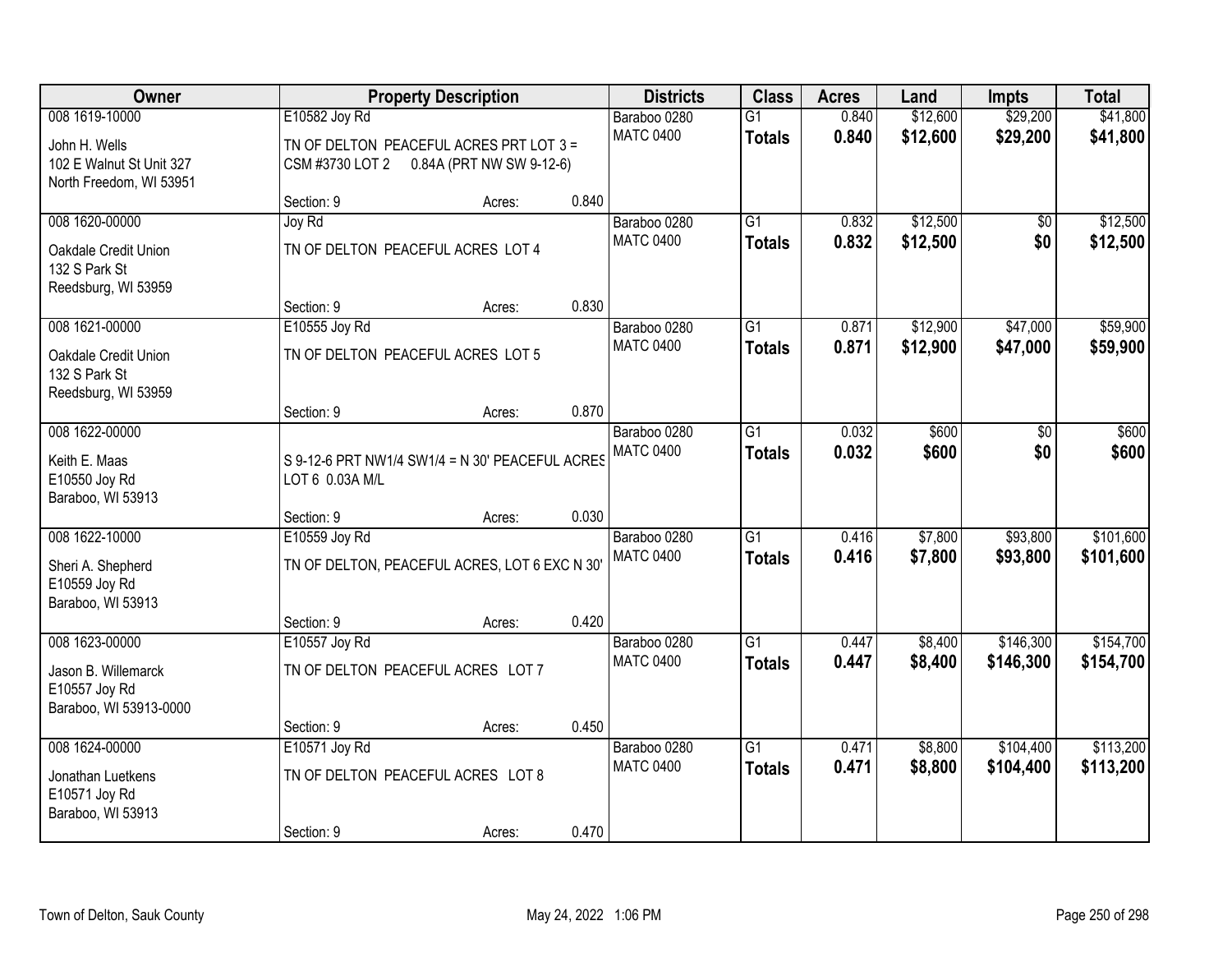| Owner                                                                                  |                                                                                                         | <b>Property Description</b> |                                  |                                  | <b>Class</b>                     | <b>Acres</b>         | Land                 | <b>Impts</b>           | <b>Total</b>           |
|----------------------------------------------------------------------------------------|---------------------------------------------------------------------------------------------------------|-----------------------------|----------------------------------|----------------------------------|----------------------------------|----------------------|----------------------|------------------------|------------------------|
| 008 1619-10000<br>John H. Wells<br>102 E Walnut St Unit 327<br>North Freedom, WI 53951 | E10582 Joy Rd<br>TN OF DELTON PEACEFUL ACRES PRT LOT 3 =<br>0.84A (PRT NW SW 9-12-6)<br>CSM #3730 LOT 2 |                             | Baraboo 0280<br><b>MATC 0400</b> | $\overline{G1}$<br><b>Totals</b> | 0.840<br>0.840                   | \$12,600<br>\$12,600 | \$29,200<br>\$29,200 | \$41,800<br>\$41,800   |                        |
|                                                                                        | Section: 9                                                                                              | Acres:                      | 0.840                            |                                  |                                  |                      |                      |                        |                        |
| 008 1620-00000<br>Oakdale Credit Union<br>132 S Park St<br>Reedsburg, WI 53959         | Joy Rd<br>TN OF DELTON PEACEFUL ACRES LOT 4                                                             |                             |                                  | Baraboo 0280<br><b>MATC 0400</b> | $\overline{G1}$<br><b>Totals</b> | 0.832<br>0.832       | \$12,500<br>\$12,500 | \$0<br>\$0             | \$12,500<br>\$12,500   |
|                                                                                        | Section: 9                                                                                              | Acres:                      | 0.830                            |                                  |                                  |                      | \$12,900             |                        |                        |
| 008 1621-00000<br>Oakdale Credit Union<br>132 S Park St<br>Reedsburg, WI 53959         | E10555 Joy Rd<br>TN OF DELTON PEACEFUL ACRES LOT 5                                                      |                             |                                  | Baraboo 0280<br><b>MATC 0400</b> | G1<br><b>Totals</b>              | 0.871<br>0.871       | \$12,900             | \$47,000<br>\$47,000   | \$59,900<br>\$59,900   |
|                                                                                        | Section: 9                                                                                              | Acres:                      | 0.870                            |                                  |                                  |                      |                      |                        |                        |
| 008 1622-00000<br>Keith E. Maas<br>E10550 Joy Rd<br>Baraboo, WI 53913                  | S 9-12-6 PRT NW1/4 SW1/4 = N 30' PEACEFUL ACRES<br>LOT 6 0.03A M/L                                      |                             |                                  | Baraboo 0280<br><b>MATC 0400</b> | G1<br><b>Totals</b>              | 0.032<br>0.032       | \$600<br>\$600       | \$0<br>\$0             | \$600<br>\$600         |
|                                                                                        | Section: 9                                                                                              | Acres:                      | 0.030                            |                                  |                                  |                      |                      |                        |                        |
| 008 1622-10000<br>Sheri A. Shepherd<br>E10559 Joy Rd<br>Baraboo, WI 53913              | E10559 Joy Rd<br>TN OF DELTON, PEACEFUL ACRES, LOT 6 EXC N 30'<br>Section: 9                            | Acres:                      | 0.420                            | Baraboo 0280<br><b>MATC 0400</b> | $\overline{G1}$<br><b>Totals</b> | 0.416<br>0.416       | \$7,800<br>\$7,800   | \$93,800<br>\$93,800   | \$101,600<br>\$101,600 |
| 008 1623-00000                                                                         | E10557 Joy Rd                                                                                           |                             |                                  | Baraboo 0280                     | $\overline{G1}$                  | 0.447                | \$8,400              | \$146,300              | \$154,700              |
| Jason B. Willemarck<br>E10557 Joy Rd<br>Baraboo, WI 53913-0000                         | TN OF DELTON PEACEFUL ACRES LOT 7                                                                       |                             |                                  | <b>MATC 0400</b>                 | <b>Totals</b>                    | 0.447                | \$8,400              | \$146,300              | \$154,700              |
|                                                                                        | Section: 9                                                                                              | Acres:                      | 0.450                            |                                  |                                  |                      |                      |                        |                        |
| 008 1624-00000<br>Jonathan Luetkens<br>E10571 Joy Rd<br>Baraboo, WI 53913              | E10571 Joy Rd<br>TN OF DELTON PEACEFUL ACRES LOT 8<br>Section: 9                                        | Acres:                      | 0.470                            | Baraboo 0280<br><b>MATC 0400</b> | $\overline{G1}$<br><b>Totals</b> | 0.471<br>0.471       | \$8,800<br>\$8,800   | \$104,400<br>\$104,400 | \$113,200<br>\$113,200 |
|                                                                                        |                                                                                                         |                             |                                  |                                  |                                  |                      |                      |                        |                        |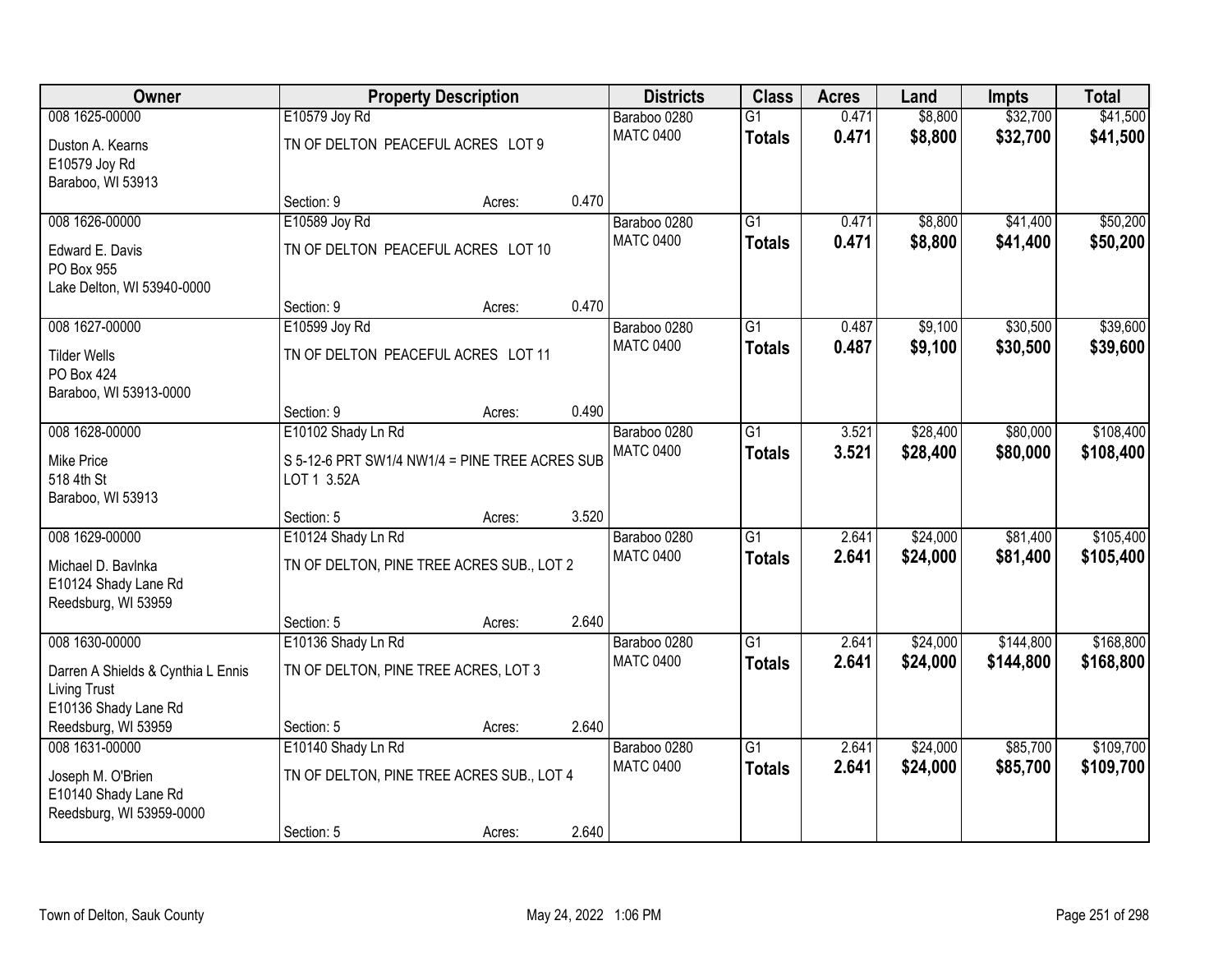| Owner                              | <b>Property Description</b>                    |        |       | <b>Districts</b> | <b>Class</b>    | <b>Acres</b> | Land     | <b>Impts</b> | <b>Total</b> |
|------------------------------------|------------------------------------------------|--------|-------|------------------|-----------------|--------------|----------|--------------|--------------|
| 008 1625-00000                     | E10579 Joy Rd                                  |        |       | Baraboo 0280     | $\overline{G1}$ | 0.471        | \$8,800  | \$32,700     | \$41,500     |
| Duston A. Kearns                   | TN OF DELTON PEACEFUL ACRES LOT 9              |        |       | <b>MATC 0400</b> | <b>Totals</b>   | 0.471        | \$8,800  | \$32,700     | \$41,500     |
| E10579 Joy Rd                      |                                                |        |       |                  |                 |              |          |              |              |
| Baraboo, WI 53913                  |                                                |        |       |                  |                 |              |          |              |              |
|                                    | Section: 9                                     | Acres: | 0.470 |                  |                 |              |          |              |              |
| 008 1626-00000                     | E10589 Joy Rd                                  |        |       | Baraboo 0280     | $\overline{G1}$ | 0.471        | \$8,800  | \$41,400     | \$50,200     |
| Edward E. Davis                    | TN OF DELTON PEACEFUL ACRES LOT 10             |        |       | <b>MATC 0400</b> | <b>Totals</b>   | 0.471        | \$8,800  | \$41,400     | \$50,200     |
| PO Box 955                         |                                                |        |       |                  |                 |              |          |              |              |
| Lake Delton, WI 53940-0000         |                                                |        |       |                  |                 |              |          |              |              |
|                                    | Section: 9                                     | Acres: | 0.470 |                  |                 |              |          |              |              |
| 008 1627-00000                     | E10599 Joy Rd                                  |        |       | Baraboo 0280     | G1              | 0.487        | \$9,100  | \$30,500     | \$39,600     |
| <b>Tilder Wells</b>                | TN OF DELTON PEACEFUL ACRES LOT 11             |        |       | <b>MATC 0400</b> | <b>Totals</b>   | 0.487        | \$9,100  | \$30,500     | \$39,600     |
| PO Box 424                         |                                                |        |       |                  |                 |              |          |              |              |
| Baraboo, WI 53913-0000             |                                                |        |       |                  |                 |              |          |              |              |
|                                    | Section: 9                                     | Acres: | 0.490 |                  |                 |              |          |              |              |
| 008 1628-00000                     | E10102 Shady Ln Rd                             |        |       | Baraboo 0280     | G1              | 3.521        | \$28,400 | \$80,000     | \$108,400    |
| <b>Mike Price</b>                  | S 5-12-6 PRT SW1/4 NW1/4 = PINE TREE ACRES SUB |        |       | <b>MATC 0400</b> | <b>Totals</b>   | 3.521        | \$28,400 | \$80,000     | \$108,400    |
| 518 4th St                         | LOT 1 3.52A                                    |        |       |                  |                 |              |          |              |              |
| Baraboo, WI 53913                  |                                                |        |       |                  |                 |              |          |              |              |
|                                    | Section: 5                                     | Acres: | 3.520 |                  |                 |              |          |              |              |
| 008 1629-00000                     | E10124 Shady Ln Rd                             |        |       | Baraboo 0280     | $\overline{G1}$ | 2.641        | \$24,000 | \$81,400     | \$105,400    |
| Michael D. Bavlnka                 | TN OF DELTON, PINE TREE ACRES SUB., LOT 2      |        |       | <b>MATC 0400</b> | <b>Totals</b>   | 2.641        | \$24,000 | \$81,400     | \$105,400    |
| E10124 Shady Lane Rd               |                                                |        |       |                  |                 |              |          |              |              |
| Reedsburg, WI 53959                |                                                |        |       |                  |                 |              |          |              |              |
|                                    | Section: 5                                     | Acres: | 2.640 |                  |                 |              |          |              |              |
| 008 1630-00000                     | E10136 Shady Ln Rd                             |        |       | Baraboo 0280     | $\overline{G1}$ | 2.641        | \$24,000 | \$144,800    | \$168,800    |
| Darren A Shields & Cynthia L Ennis | TN OF DELTON, PINE TREE ACRES, LOT 3           |        |       | <b>MATC 0400</b> | <b>Totals</b>   | 2.641        | \$24,000 | \$144,800    | \$168,800    |
| <b>Living Trust</b>                |                                                |        |       |                  |                 |              |          |              |              |
| E10136 Shady Lane Rd               |                                                |        |       |                  |                 |              |          |              |              |
| Reedsburg, WI 53959                | Section: 5                                     | Acres: | 2.640 |                  |                 |              |          |              |              |
| 008 1631-00000                     | E10140 Shady Ln Rd                             |        |       | Baraboo 0280     | $\overline{G1}$ | 2.641        | \$24,000 | \$85,700     | \$109,700    |
| Joseph M. O'Brien                  | TN OF DELTON, PINE TREE ACRES SUB., LOT 4      |        |       | <b>MATC 0400</b> | <b>Totals</b>   | 2.641        | \$24,000 | \$85,700     | \$109,700    |
| E10140 Shady Lane Rd               |                                                |        |       |                  |                 |              |          |              |              |
| Reedsburg, WI 53959-0000           |                                                |        |       |                  |                 |              |          |              |              |
|                                    | Section: 5                                     | Acres: | 2.640 |                  |                 |              |          |              |              |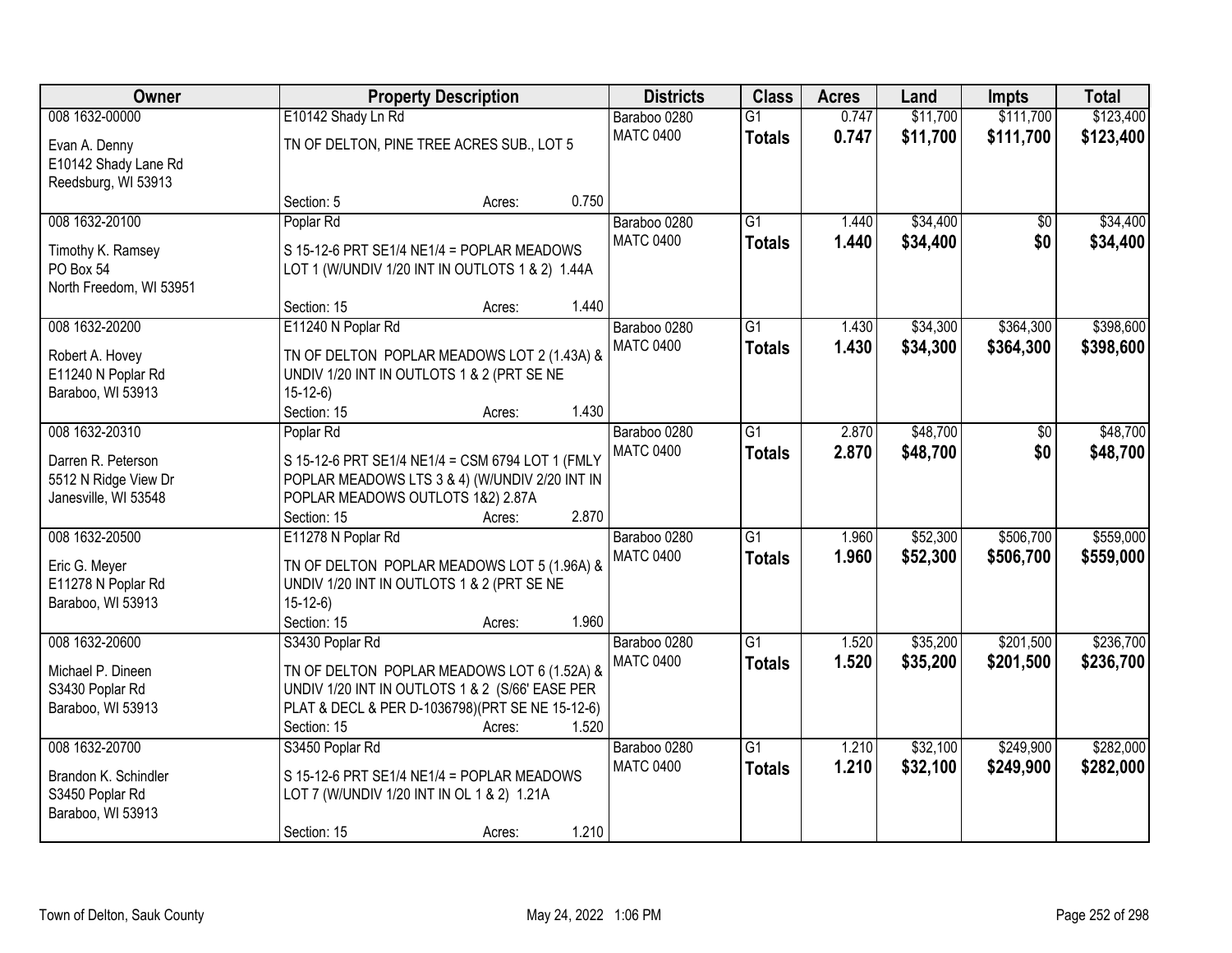| Owner                   |                                                  | <b>Property Description</b> |       |                  | <b>Class</b>    | <b>Acres</b> | Land     | <b>Impts</b> | <b>Total</b> |
|-------------------------|--------------------------------------------------|-----------------------------|-------|------------------|-----------------|--------------|----------|--------------|--------------|
| 008 1632-00000          | E10142 Shady Ln Rd                               |                             |       | Baraboo 0280     | $\overline{G1}$ | 0.747        | \$11,700 | \$111,700    | \$123,400    |
| Evan A. Denny           | TN OF DELTON, PINE TREE ACRES SUB., LOT 5        |                             |       | <b>MATC 0400</b> | <b>Totals</b>   | 0.747        | \$11,700 | \$111,700    | \$123,400    |
| E10142 Shady Lane Rd    |                                                  |                             |       |                  |                 |              |          |              |              |
| Reedsburg, WI 53913     |                                                  |                             |       |                  |                 |              |          |              |              |
|                         | Section: 5                                       | Acres:                      | 0.750 |                  |                 |              |          |              |              |
| 008 1632-20100          | Poplar Rd                                        |                             |       | Baraboo 0280     | $\overline{G1}$ | 1.440        | \$34,400 | \$0          | \$34,400     |
| Timothy K. Ramsey       | S 15-12-6 PRT SE1/4 NE1/4 = POPLAR MEADOWS       |                             |       | <b>MATC 0400</b> | <b>Totals</b>   | 1.440        | \$34,400 | \$0          | \$34,400     |
| PO Box 54               | LOT 1 (W/UNDIV 1/20 INT IN OUTLOTS 1 & 2) 1.44A  |                             |       |                  |                 |              |          |              |              |
| North Freedom, WI 53951 |                                                  |                             |       |                  |                 |              |          |              |              |
|                         | Section: 15                                      | Acres:                      | 1.440 |                  |                 |              |          |              |              |
| 008 1632-20200          | E11240 N Poplar Rd                               |                             |       | Baraboo 0280     | G1              | 1.430        | \$34,300 | \$364,300    | \$398,600    |
| Robert A. Hovey         | TN OF DELTON POPLAR MEADOWS LOT 2 (1.43A) &      |                             |       | <b>MATC 0400</b> | <b>Totals</b>   | 1.430        | \$34,300 | \$364,300    | \$398,600    |
| E11240 N Poplar Rd      | UNDIV 1/20 INT IN OUTLOTS 1 & 2 (PRT SE NE       |                             |       |                  |                 |              |          |              |              |
| Baraboo, WI 53913       | $15-12-6$                                        |                             |       |                  |                 |              |          |              |              |
|                         | Section: 15                                      | Acres:                      | 1.430 |                  |                 |              |          |              |              |
| 008 1632-20310          | Poplar Rd                                        |                             |       | Baraboo 0280     | G1              | 2.870        | \$48,700 | \$0          | \$48,700     |
| Darren R. Peterson      | S 15-12-6 PRT SE1/4 NE1/4 = CSM 6794 LOT 1 (FMLY |                             |       | <b>MATC 0400</b> | <b>Totals</b>   | 2.870        | \$48,700 | \$0          | \$48,700     |
| 5512 N Ridge View Dr    | POPLAR MEADOWS LTS 3 & 4) (W/UNDIV 2/20 INT IN   |                             |       |                  |                 |              |          |              |              |
| Janesville, WI 53548    | POPLAR MEADOWS OUTLOTS 1&2) 2.87A                |                             |       |                  |                 |              |          |              |              |
|                         | Section: 15                                      | Acres:                      | 2.870 |                  |                 |              |          |              |              |
| 008 1632-20500          | E11278 N Poplar Rd                               |                             |       | Baraboo 0280     | $\overline{G1}$ | 1.960        | \$52,300 | \$506,700    | \$559,000    |
| Eric G. Meyer           | TN OF DELTON POPLAR MEADOWS LOT 5 (1.96A) &      |                             |       | <b>MATC 0400</b> | <b>Totals</b>   | 1.960        | \$52,300 | \$506,700    | \$559,000    |
| E11278 N Poplar Rd      | UNDIV 1/20 INT IN OUTLOTS 1 & 2 (PRT SE NE       |                             |       |                  |                 |              |          |              |              |
| Baraboo, WI 53913       | $15-12-6$                                        |                             |       |                  |                 |              |          |              |              |
|                         | Section: 15                                      | Acres:                      | 1.960 |                  |                 |              |          |              |              |
| 008 1632-20600          | S3430 Poplar Rd                                  |                             |       | Baraboo 0280     | $\overline{G1}$ | 1.520        | \$35,200 | \$201,500    | \$236,700    |
| Michael P. Dineen       | TN OF DELTON POPLAR MEADOWS LOT 6 (1.52A) &      |                             |       | <b>MATC 0400</b> | <b>Totals</b>   | 1.520        | \$35,200 | \$201,500    | \$236,700    |
| S3430 Poplar Rd         | UNDIV 1/20 INT IN OUTLOTS 1 & 2 (S/66' EASE PER  |                             |       |                  |                 |              |          |              |              |
| Baraboo, WI 53913       | PLAT & DECL & PER D-1036798)(PRT SE NE 15-12-6)  |                             |       |                  |                 |              |          |              |              |
|                         | Section: 15                                      | Acres:                      | 1.520 |                  |                 |              |          |              |              |
| 008 1632-20700          | S3450 Poplar Rd                                  |                             |       | Baraboo 0280     | $\overline{G1}$ | 1.210        | \$32,100 | \$249,900    | \$282,000    |
| Brandon K. Schindler    | S 15-12-6 PRT SE1/4 NE1/4 = POPLAR MEADOWS       |                             |       | <b>MATC 0400</b> | <b>Totals</b>   | 1.210        | \$32,100 | \$249,900    | \$282,000    |
| S3450 Poplar Rd         | LOT 7 (W/UNDIV 1/20 INT IN OL 1 & 2) 1.21A       |                             |       |                  |                 |              |          |              |              |
| Baraboo, WI 53913       |                                                  |                             |       |                  |                 |              |          |              |              |
|                         | Section: 15                                      | Acres:                      | 1.210 |                  |                 |              |          |              |              |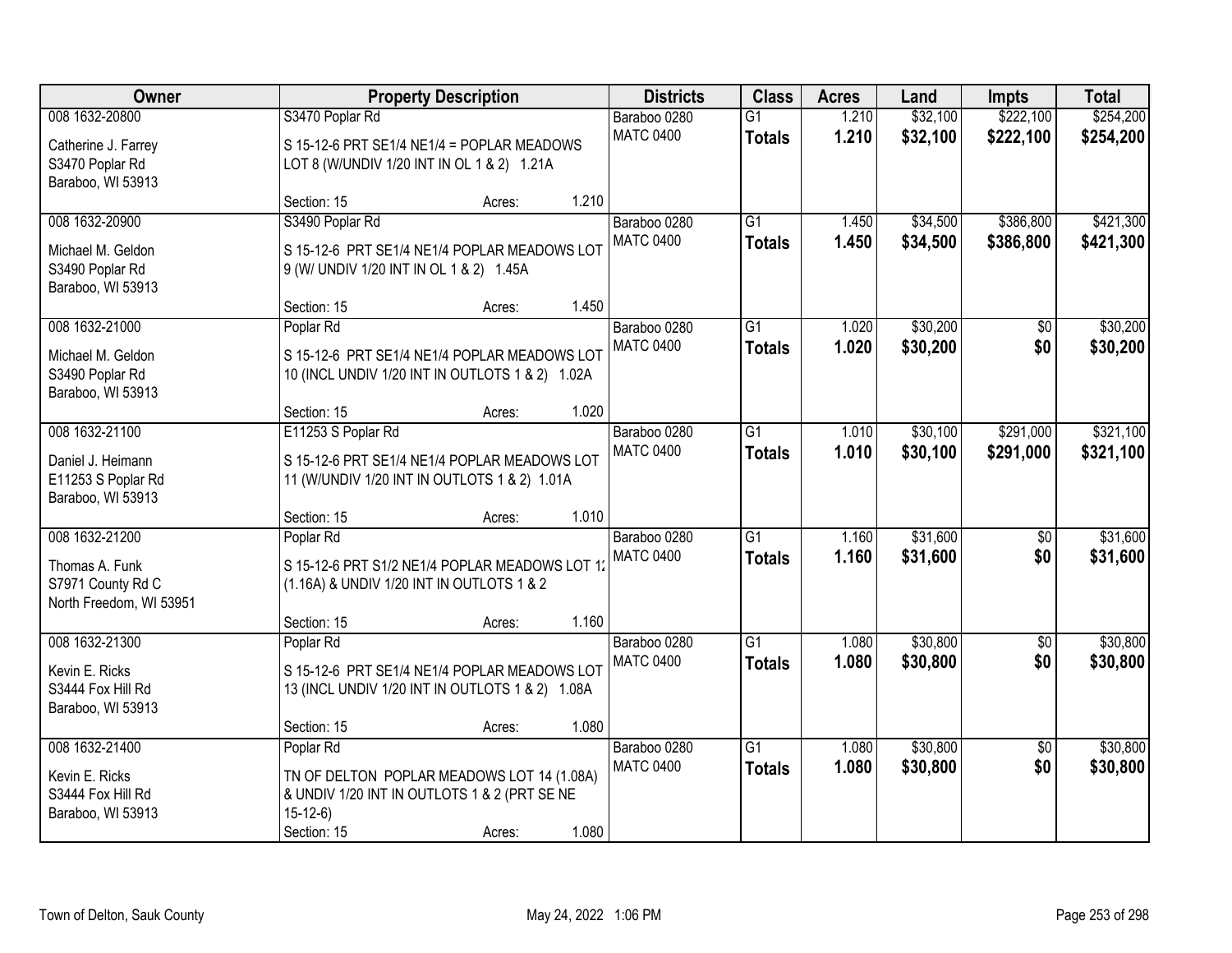| Owner                                                                            |                                                                                                                                     | <b>Property Description</b>                                                                  |       | <b>Districts</b>                 | <b>Class</b>                     | <b>Acres</b>   | Land                 | <b>Impts</b>           | <b>Total</b>           |
|----------------------------------------------------------------------------------|-------------------------------------------------------------------------------------------------------------------------------------|----------------------------------------------------------------------------------------------|-------|----------------------------------|----------------------------------|----------------|----------------------|------------------------|------------------------|
| 008 1632-20800<br>Catherine J. Farrey<br>S3470 Poplar Rd<br>Baraboo, WI 53913    | S3470 Poplar Rd<br>S 15-12-6 PRT SE1/4 NE1/4 = POPLAR MEADOWS<br>LOT 8 (W/UNDIV 1/20 INT IN OL 1 & 2) 1.21A                         |                                                                                              |       | Baraboo 0280<br><b>MATC 0400</b> | $\overline{G1}$<br><b>Totals</b> | 1.210<br>1.210 | \$32,100<br>\$32,100 | \$222,100<br>\$222,100 | \$254,200<br>\$254,200 |
|                                                                                  | Section: 15                                                                                                                         | Acres:                                                                                       | 1.210 |                                  |                                  |                |                      |                        |                        |
| 008 1632-20900<br>Michael M. Geldon<br>S3490 Poplar Rd<br>Baraboo, WI 53913      | S3490 Poplar Rd<br>S 15-12-6 PRT SE1/4 NE1/4 POPLAR MEADOWS LOT<br>9 (W/ UNDIV 1/20 INT IN OL 1 & 2) 1.45A<br>Section: 15           | Acres:                                                                                       | 1.450 | Baraboo 0280<br><b>MATC 0400</b> | $\overline{G1}$<br><b>Totals</b> | 1.450<br>1.450 | \$34,500<br>\$34,500 | \$386,800<br>\$386,800 | \$421,300<br>\$421,300 |
| 008 1632-21000                                                                   | Poplar Rd                                                                                                                           |                                                                                              |       | Baraboo 0280                     | G1                               | 1.020          | \$30,200             | \$0                    | \$30,200               |
| Michael M. Geldon<br>S3490 Poplar Rd<br>Baraboo, WI 53913                        | S 15-12-6 PRT SE1/4 NE1/4 POPLAR MEADOWS LOT                                                                                        | 10 (INCL UNDIV 1/20 INT IN OUTLOTS 1 & 2) 1.02A                                              |       | <b>MATC 0400</b>                 | <b>Totals</b>                    | 1.020          | \$30,200             | \$0                    | \$30,200               |
|                                                                                  | Section: 15                                                                                                                         | Acres:                                                                                       | 1.020 |                                  |                                  |                |                      |                        |                        |
| 008 1632-21100<br>Daniel J. Heimann<br>E11253 S Poplar Rd<br>Baraboo, WI 53913   | E11253 S Poplar Rd                                                                                                                  | S 15-12-6 PRT SE1/4 NE1/4 POPLAR MEADOWS LOT<br>11 (W/UNDIV 1/20 INT IN OUTLOTS 1 & 2) 1.01A |       | Baraboo 0280<br><b>MATC 0400</b> | $\overline{G1}$<br><b>Totals</b> | 1.010<br>1.010 | \$30,100<br>\$30,100 | \$291,000<br>\$291,000 | \$321,100<br>\$321,100 |
|                                                                                  | Section: 15                                                                                                                         | Acres:                                                                                       | 1.010 |                                  |                                  |                |                      |                        |                        |
| 008 1632-21200<br>Thomas A. Funk<br>S7971 County Rd C<br>North Freedom, WI 53951 | Poplar Rd<br>(1.16A) & UNDIV 1/20 INT IN OUTLOTS 1 & 2                                                                              | S 15-12-6 PRT S1/2 NE1/4 POPLAR MEADOWS LOT 1                                                |       | Baraboo 0280<br><b>MATC 0400</b> | $\overline{G1}$<br><b>Totals</b> | 1.160<br>1.160 | \$31,600<br>\$31,600 | $\overline{50}$<br>\$0 | \$31,600<br>\$31,600   |
| 008 1632-21300                                                                   | Section: 15<br>Poplar Rd                                                                                                            | Acres:                                                                                       | 1.160 | Baraboo 0280                     | $\overline{G1}$                  | 1.080          | \$30,800             | $\sqrt{6}$             | \$30,800               |
| Kevin E. Ricks<br>S3444 Fox Hill Rd<br>Baraboo, WI 53913                         | S 15-12-6 PRT SE1/4 NE1/4 POPLAR MEADOWS LOT                                                                                        | 13 (INCL UNDIV 1/20 INT IN OUTLOTS 1 & 2) 1.08A                                              |       | <b>MATC 0400</b>                 | <b>Totals</b>                    | 1.080          | \$30,800             | \$0                    | \$30,800               |
|                                                                                  | Section: 15                                                                                                                         | Acres:                                                                                       | 1.080 |                                  |                                  |                |                      |                        |                        |
| 008 1632-21400<br>Kevin E. Ricks<br>S3444 Fox Hill Rd<br>Baraboo, WI 53913       | Poplar Rd<br>TN OF DELTON POPLAR MEADOWS LOT 14 (1.08A)<br>& UNDIV 1/20 INT IN OUTLOTS 1 & 2 (PRT SE NE<br>$15-12-6$<br>Section: 15 | Acres:                                                                                       | 1.080 | Baraboo 0280<br><b>MATC 0400</b> | $\overline{G1}$<br><b>Totals</b> | 1.080<br>1.080 | \$30,800<br>\$30,800 | $\overline{50}$<br>\$0 | \$30,800<br>\$30,800   |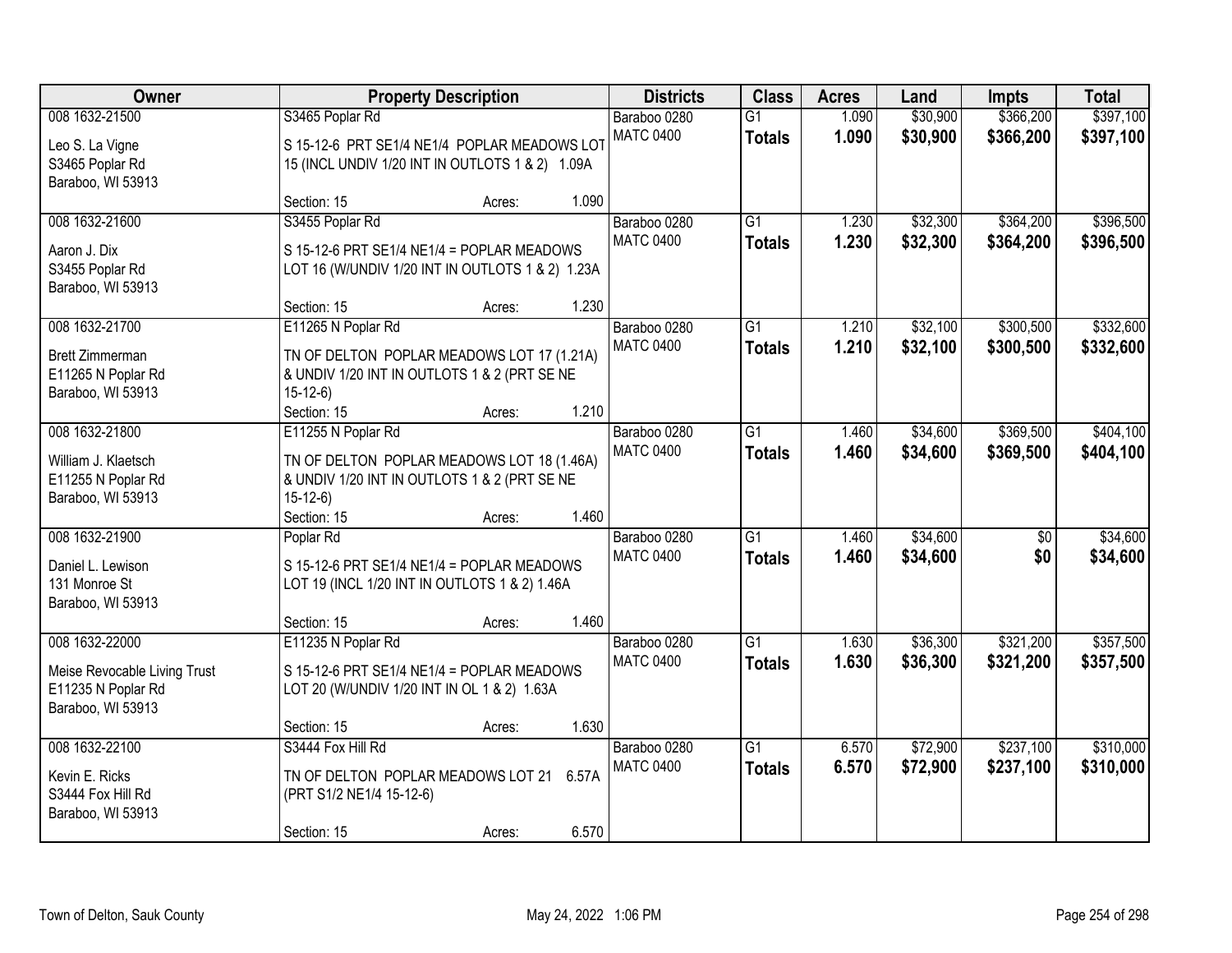| Owner                                |                                                                 | <b>Property Description</b> |       | <b>Districts</b>                 | <b>Class</b>                     | <b>Acres</b>   | Land                 | <b>Impts</b>           | <b>Total</b>           |
|--------------------------------------|-----------------------------------------------------------------|-----------------------------|-------|----------------------------------|----------------------------------|----------------|----------------------|------------------------|------------------------|
| 008 1632-21500<br>Leo S. La Vigne    | S3465 Poplar Rd<br>S 15-12-6 PRT SE1/4 NE1/4 POPLAR MEADOWS LOT |                             |       | Baraboo 0280<br><b>MATC 0400</b> | $\overline{G1}$<br><b>Totals</b> | 1.090<br>1.090 | \$30,900<br>\$30,900 | \$366,200<br>\$366,200 | \$397,100<br>\$397,100 |
| S3465 Poplar Rd<br>Baraboo, WI 53913 | 15 (INCL UNDIV 1/20 INT IN OUTLOTS 1 & 2) 1.09A                 |                             |       |                                  |                                  |                |                      |                        |                        |
|                                      | Section: 15                                                     | Acres:                      | 1.090 |                                  |                                  |                |                      |                        |                        |
| 008 1632-21600                       | S3455 Poplar Rd                                                 |                             |       | Baraboo 0280                     | $\overline{G1}$                  | 1.230          | \$32,300             | \$364,200              | \$396,500              |
| Aaron J. Dix                         | S 15-12-6 PRT SE1/4 NE1/4 = POPLAR MEADOWS                      |                             |       | <b>MATC 0400</b>                 | <b>Totals</b>                    | 1.230          | \$32,300             | \$364,200              | \$396,500              |
| S3455 Poplar Rd                      | LOT 16 (W/UNDIV 1/20 INT IN OUTLOTS 1 & 2) 1.23A                |                             |       |                                  |                                  |                |                      |                        |                        |
| Baraboo, WI 53913                    |                                                                 |                             |       |                                  |                                  |                |                      |                        |                        |
|                                      | Section: 15                                                     | Acres:                      | 1.230 |                                  |                                  |                |                      |                        |                        |
| 008 1632-21700                       | E11265 N Poplar Rd                                              |                             |       | Baraboo 0280                     | G1                               | 1.210          | \$32,100             | \$300,500              | \$332,600              |
| <b>Brett Zimmerman</b>               | TN OF DELTON POPLAR MEADOWS LOT 17 (1.21A)                      |                             |       | <b>MATC 0400</b>                 | <b>Totals</b>                    | 1.210          | \$32,100             | \$300,500              | \$332,600              |
| E11265 N Poplar Rd                   | & UNDIV 1/20 INT IN OUTLOTS 1 & 2 (PRT SE NE                    |                             |       |                                  |                                  |                |                      |                        |                        |
| Baraboo, WI 53913                    | $15-12-6$                                                       |                             |       |                                  |                                  |                |                      |                        |                        |
|                                      | Section: 15                                                     | Acres:                      | 1.210 |                                  |                                  |                |                      |                        |                        |
| 008 1632-21800                       | E11255 N Poplar Rd                                              |                             |       | Baraboo 0280                     | G1                               | 1.460          | \$34,600             | \$369,500              | \$404,100              |
| William J. Klaetsch                  | TN OF DELTON POPLAR MEADOWS LOT 18 (1.46A)                      |                             |       | <b>MATC 0400</b>                 | <b>Totals</b>                    | 1.460          | \$34,600             | \$369,500              | \$404,100              |
| E11255 N Poplar Rd                   | & UNDIV 1/20 INT IN OUTLOTS 1 & 2 (PRT SE NE                    |                             |       |                                  |                                  |                |                      |                        |                        |
| Baraboo, WI 53913                    | $15-12-6$                                                       |                             |       |                                  |                                  |                |                      |                        |                        |
|                                      | Section: 15                                                     | Acres:                      | 1.460 |                                  |                                  |                |                      |                        |                        |
| 008 1632-21900                       | Poplar Rd                                                       |                             |       | Baraboo 0280                     | $\overline{G1}$                  | 1.460          | \$34,600             | $\overline{50}$        | \$34,600               |
| Daniel L. Lewison                    | S 15-12-6 PRT SE1/4 NE1/4 = POPLAR MEADOWS                      |                             |       | <b>MATC 0400</b>                 | <b>Totals</b>                    | 1.460          | \$34,600             | \$0                    | \$34,600               |
| 131 Monroe St                        | LOT 19 (INCL 1/20 INT IN OUTLOTS 1 & 2) 1.46A                   |                             |       |                                  |                                  |                |                      |                        |                        |
| Baraboo, WI 53913                    |                                                                 |                             |       |                                  |                                  |                |                      |                        |                        |
|                                      | Section: 15                                                     | Acres:                      | 1.460 |                                  |                                  |                |                      |                        |                        |
| 008 1632-22000                       | E11235 N Poplar Rd                                              |                             |       | Baraboo 0280                     | $\overline{G1}$                  | 1.630          | \$36,300             | \$321,200              | \$357,500              |
| Meise Revocable Living Trust         | S 15-12-6 PRT SE1/4 NE1/4 = POPLAR MEADOWS                      |                             |       | <b>MATC 0400</b>                 | <b>Totals</b>                    | 1.630          | \$36,300             | \$321,200              | \$357,500              |
| E11235 N Poplar Rd                   | LOT 20 (W/UNDIV 1/20 INT IN OL 1 & 2) 1.63A                     |                             |       |                                  |                                  |                |                      |                        |                        |
| Baraboo, WI 53913                    |                                                                 |                             |       |                                  |                                  |                |                      |                        |                        |
|                                      | Section: 15                                                     | Acres:                      | 1.630 |                                  |                                  |                |                      |                        |                        |
| 008 1632-22100                       | S3444 Fox Hill Rd                                               |                             |       | Baraboo 0280                     | $\overline{G1}$                  | 6.570          | \$72,900             | \$237,100              | \$310,000              |
| Kevin E. Ricks                       | TN OF DELTON POPLAR MEADOWS LOT 21 6.57A                        |                             |       | <b>MATC 0400</b>                 | <b>Totals</b>                    | 6.570          | \$72,900             | \$237,100              | \$310,000              |
| S3444 Fox Hill Rd                    | (PRT S1/2 NE1/4 15-12-6)                                        |                             |       |                                  |                                  |                |                      |                        |                        |
| Baraboo, WI 53913                    |                                                                 |                             |       |                                  |                                  |                |                      |                        |                        |
|                                      | Section: 15                                                     | Acres:                      | 6.570 |                                  |                                  |                |                      |                        |                        |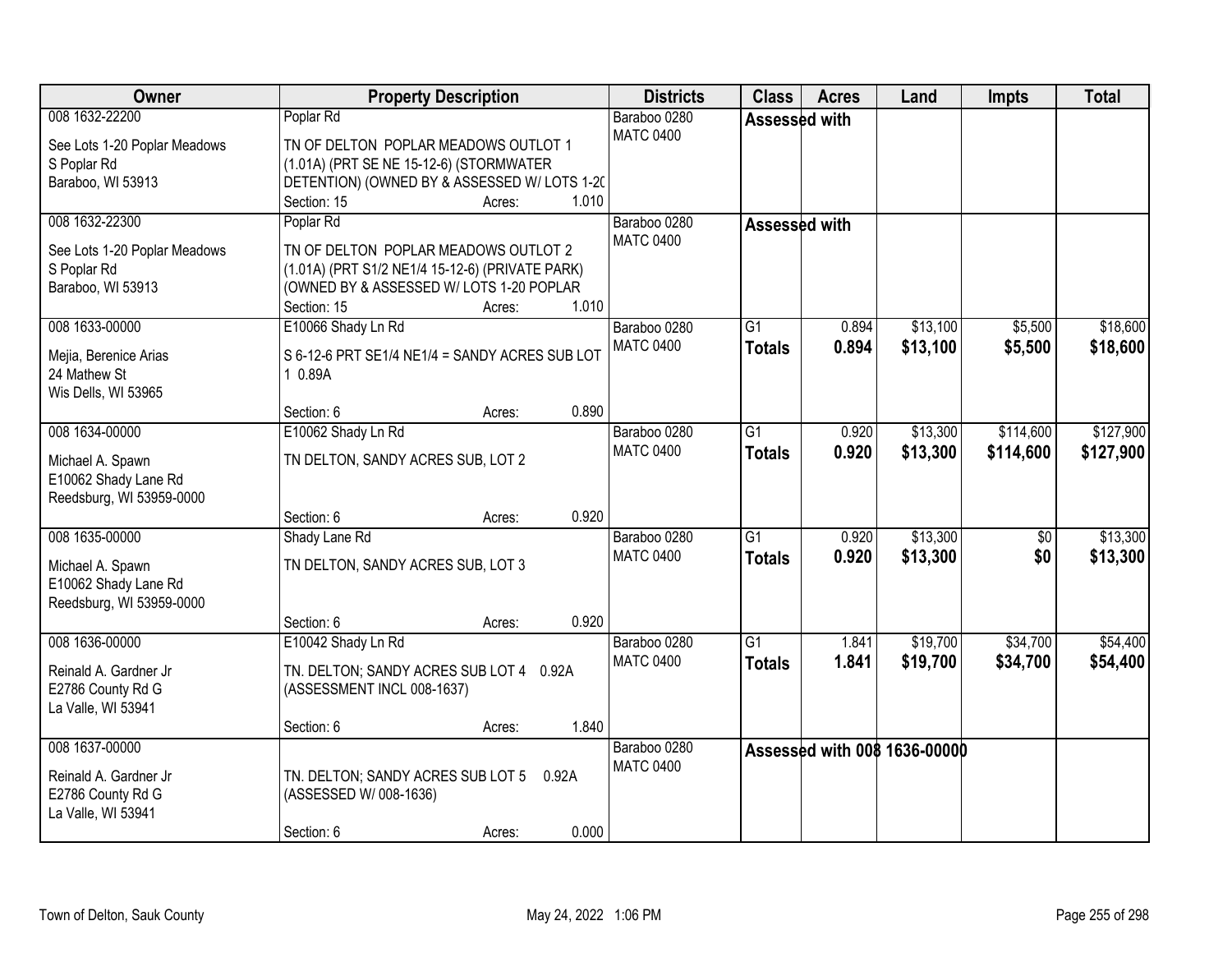| <b>Owner</b>                 |                                                 | <b>Property Description</b> | <b>Districts</b> | <b>Class</b>    | <b>Acres</b> | Land                                | Impts     | <b>Total</b> |
|------------------------------|-------------------------------------------------|-----------------------------|------------------|-----------------|--------------|-------------------------------------|-----------|--------------|
| 008 1632-22200               | Poplar Rd                                       |                             | Baraboo 0280     | Assessed with   |              |                                     |           |              |
| See Lots 1-20 Poplar Meadows | TN OF DELTON POPLAR MEADOWS OUTLOT 1            |                             | <b>MATC 0400</b> |                 |              |                                     |           |              |
| S Poplar Rd                  | (1.01A) (PRT SE NE 15-12-6) (STORMWATER         |                             |                  |                 |              |                                     |           |              |
| Baraboo, WI 53913            | DETENTION) (OWNED BY & ASSESSED W/ LOTS 1-20)   |                             |                  |                 |              |                                     |           |              |
|                              | Section: 15                                     | Acres:                      | 1.010            |                 |              |                                     |           |              |
| 008 1632-22300               | Poplar Rd                                       |                             | Baraboo 0280     | Assessed with   |              |                                     |           |              |
| See Lots 1-20 Poplar Meadows | TN OF DELTON POPLAR MEADOWS OUTLOT 2            |                             | <b>MATC 0400</b> |                 |              |                                     |           |              |
| S Poplar Rd                  | (1.01A) (PRT S1/2 NE1/4 15-12-6) (PRIVATE PARK) |                             |                  |                 |              |                                     |           |              |
| Baraboo, WI 53913            | (OWNED BY & ASSESSED W/ LOTS 1-20 POPLAR        |                             |                  |                 |              |                                     |           |              |
|                              | Section: 15                                     | Acres:                      | 1.010            |                 |              |                                     |           |              |
| 008 1633-00000               | E10066 Shady Ln Rd                              |                             | Baraboo 0280     | G <sub>1</sub>  | 0.894        | \$13,100                            | \$5,500   | \$18,600     |
|                              |                                                 |                             | <b>MATC 0400</b> | <b>Totals</b>   | 0.894        | \$13,100                            | \$5,500   | \$18,600     |
| Mejia, Berenice Arias        | S 6-12-6 PRT SE1/4 NE1/4 = SANDY ACRES SUB LOT  |                             |                  |                 |              |                                     |           |              |
| 24 Mathew St                 | 1 0.89A                                         |                             |                  |                 |              |                                     |           |              |
| Wis Dells, WI 53965          |                                                 |                             |                  |                 |              |                                     |           |              |
|                              | Section: 6                                      | Acres:                      | 0.890            |                 |              |                                     |           |              |
| 008 1634-00000               | E10062 Shady Ln Rd                              |                             | Baraboo 0280     | G1              | 0.920        | \$13,300                            | \$114,600 | \$127,900    |
| Michael A. Spawn             | TN DELTON, SANDY ACRES SUB, LOT 2               |                             | <b>MATC 0400</b> | <b>Totals</b>   | 0.920        | \$13,300                            | \$114,600 | \$127,900    |
| E10062 Shady Lane Rd         |                                                 |                             |                  |                 |              |                                     |           |              |
| Reedsburg, WI 53959-0000     |                                                 |                             |                  |                 |              |                                     |           |              |
|                              | Section: 6                                      | Acres:                      | 0.920            |                 |              |                                     |           |              |
| 008 1635-00000               | Shady Lane Rd                                   |                             | Baraboo 0280     | $\overline{G1}$ | 0.920        | \$13,300                            | \$0       | \$13,300     |
|                              |                                                 |                             | <b>MATC 0400</b> | <b>Totals</b>   | 0.920        | \$13,300                            | \$0       | \$13,300     |
| Michael A. Spawn             | TN DELTON, SANDY ACRES SUB, LOT 3               |                             |                  |                 |              |                                     |           |              |
| E10062 Shady Lane Rd         |                                                 |                             |                  |                 |              |                                     |           |              |
| Reedsburg, WI 53959-0000     |                                                 |                             |                  |                 |              |                                     |           |              |
|                              | Section: 6                                      | Acres:                      | 0.920            |                 |              |                                     |           |              |
| 008 1636-00000               | E10042 Shady Ln Rd                              |                             | Baraboo 0280     | $\overline{G1}$ | 1.841        | \$19,700                            | \$34,700  | \$54,400     |
| Reinald A. Gardner Jr        | TN. DELTON; SANDY ACRES SUB LOT 4 0.92A         |                             | <b>MATC 0400</b> | <b>Totals</b>   | 1.841        | \$19,700                            | \$34,700  | \$54,400     |
| E2786 County Rd G            | (ASSESSMENT INCL 008-1637)                      |                             |                  |                 |              |                                     |           |              |
| La Valle, WI 53941           |                                                 |                             |                  |                 |              |                                     |           |              |
|                              | Section: 6                                      | Acres:                      | 1.840            |                 |              |                                     |           |              |
| 008 1637-00000               |                                                 |                             | Baraboo 0280     |                 |              | <b>Assessed with 008 1636-00000</b> |           |              |
|                              |                                                 |                             | <b>MATC 0400</b> |                 |              |                                     |           |              |
| Reinald A. Gardner Jr        | TN. DELTON; SANDY ACRES SUB LOT 5 0.92A         |                             |                  |                 |              |                                     |           |              |
| E2786 County Rd G            | (ASSESSED W/ 008-1636)                          |                             |                  |                 |              |                                     |           |              |
| La Valle, WI 53941           |                                                 |                             |                  |                 |              |                                     |           |              |
|                              | Section: 6                                      | Acres:                      | 0.000            |                 |              |                                     |           |              |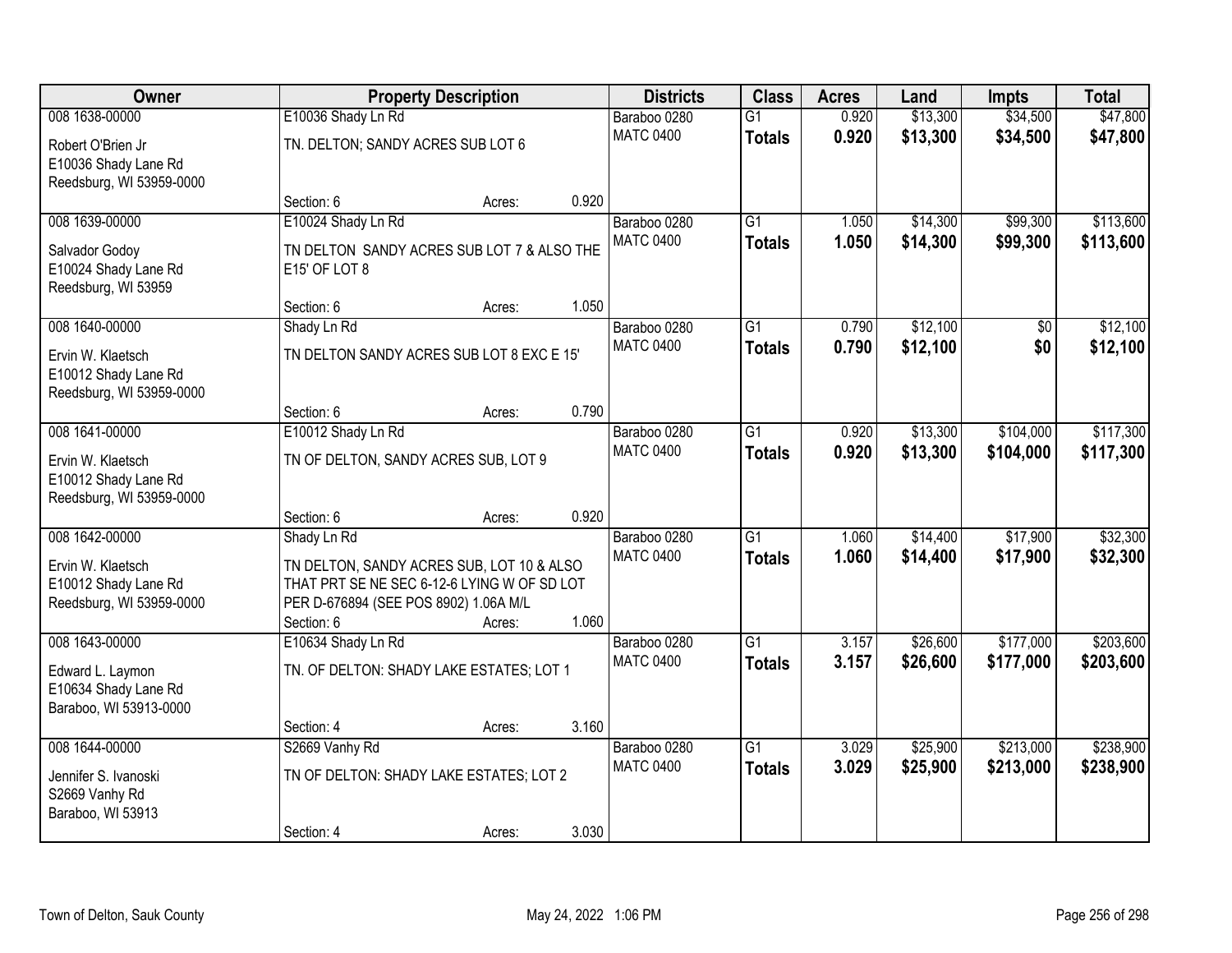| Owner                                                                                   |                                                                                                                                                                | <b>Property Description</b> |       | <b>Districts</b>                 | <b>Class</b>                     | <b>Acres</b>   | Land                 | <b>Impts</b>           | <b>Total</b>           |
|-----------------------------------------------------------------------------------------|----------------------------------------------------------------------------------------------------------------------------------------------------------------|-----------------------------|-------|----------------------------------|----------------------------------|----------------|----------------------|------------------------|------------------------|
| 008 1638-00000                                                                          | E10036 Shady Ln Rd                                                                                                                                             |                             |       | Baraboo 0280                     | $\overline{G1}$                  | 0.920          | \$13,300             | \$34,500               | \$47,800               |
| Robert O'Brien Jr<br>E10036 Shady Lane Rd<br>Reedsburg, WI 53959-0000                   | TN. DELTON; SANDY ACRES SUB LOT 6                                                                                                                              |                             |       | <b>MATC 0400</b>                 | <b>Totals</b>                    | 0.920          | \$13,300             | \$34,500               | \$47,800               |
|                                                                                         | Section: 6                                                                                                                                                     | Acres:                      | 0.920 |                                  |                                  |                |                      |                        |                        |
| 008 1639-00000<br>Salvador Godoy<br>E10024 Shady Lane Rd<br>Reedsburg, WI 53959         | E10024 Shady Ln Rd<br>TN DELTON SANDY ACRES SUB LOT 7 & ALSO THE<br>E15' OF LOT 8                                                                              |                             |       | Baraboo 0280<br><b>MATC 0400</b> | $\overline{G1}$<br><b>Totals</b> | 1.050<br>1.050 | \$14,300<br>\$14,300 | \$99,300<br>\$99,300   | \$113,600<br>\$113,600 |
|                                                                                         | Section: 6                                                                                                                                                     | Acres:                      | 1.050 |                                  |                                  |                |                      |                        |                        |
| 008 1640-00000<br>Ervin W. Klaetsch<br>E10012 Shady Lane Rd<br>Reedsburg, WI 53959-0000 | Shady Ln Rd<br>TN DELTON SANDY ACRES SUB LOT 8 EXC E 15'                                                                                                       |                             |       | Baraboo 0280<br><b>MATC 0400</b> | $\overline{G1}$<br><b>Totals</b> | 0.790<br>0.790 | \$12,100<br>\$12,100 | \$0<br>\$0             | \$12,100<br>\$12,100   |
|                                                                                         | Section: 6                                                                                                                                                     | Acres:                      | 0.790 |                                  |                                  |                |                      |                        |                        |
| 008 1641-00000<br>Ervin W. Klaetsch<br>E10012 Shady Lane Rd<br>Reedsburg, WI 53959-0000 | E10012 Shady Ln Rd<br>TN OF DELTON, SANDY ACRES SUB, LOT 9                                                                                                     |                             |       | Baraboo 0280<br><b>MATC 0400</b> | $\overline{G1}$<br><b>Totals</b> | 0.920<br>0.920 | \$13,300<br>\$13,300 | \$104,000<br>\$104,000 | \$117,300<br>\$117,300 |
|                                                                                         | Section: 6                                                                                                                                                     | Acres:                      | 0.920 |                                  |                                  |                |                      |                        |                        |
| 008 1642-00000<br>Ervin W. Klaetsch<br>E10012 Shady Lane Rd<br>Reedsburg, WI 53959-0000 | Shady Ln Rd<br>TN DELTON, SANDY ACRES SUB, LOT 10 & ALSO<br>THAT PRT SE NE SEC 6-12-6 LYING W OF SD LOT<br>PER D-676894 (SEE POS 8902) 1.06A M/L<br>Section: 6 | Acres:                      | 1.060 | Baraboo 0280<br><b>MATC 0400</b> | $\overline{G1}$<br><b>Totals</b> | 1.060<br>1.060 | \$14,400<br>\$14,400 | \$17,900<br>\$17,900   | \$32,300<br>\$32,300   |
| 008 1643-00000                                                                          | E10634 Shady Ln Rd                                                                                                                                             |                             |       | Baraboo 0280                     | $\overline{G1}$                  | 3.157          | \$26,600             | \$177,000              | \$203,600              |
| Edward L. Laymon<br>E10634 Shady Lane Rd<br>Baraboo, WI 53913-0000                      | TN. OF DELTON: SHADY LAKE ESTATES; LOT 1                                                                                                                       |                             |       | <b>MATC 0400</b>                 | <b>Totals</b>                    | 3.157          | \$26,600             | \$177,000              | \$203,600              |
|                                                                                         | Section: 4                                                                                                                                                     | Acres:                      | 3.160 |                                  |                                  |                |                      |                        |                        |
| 008 1644-00000<br>Jennifer S. Ivanoski<br>S2669 Vanhy Rd<br>Baraboo, WI 53913           | S2669 Vanhy Rd<br>TN OF DELTON: SHADY LAKE ESTATES; LOT 2<br>Section: 4                                                                                        | Acres:                      | 3.030 | Baraboo 0280<br><b>MATC 0400</b> | $\overline{G1}$<br><b>Totals</b> | 3.029<br>3.029 | \$25,900<br>\$25,900 | \$213,000<br>\$213,000 | \$238,900<br>\$238,900 |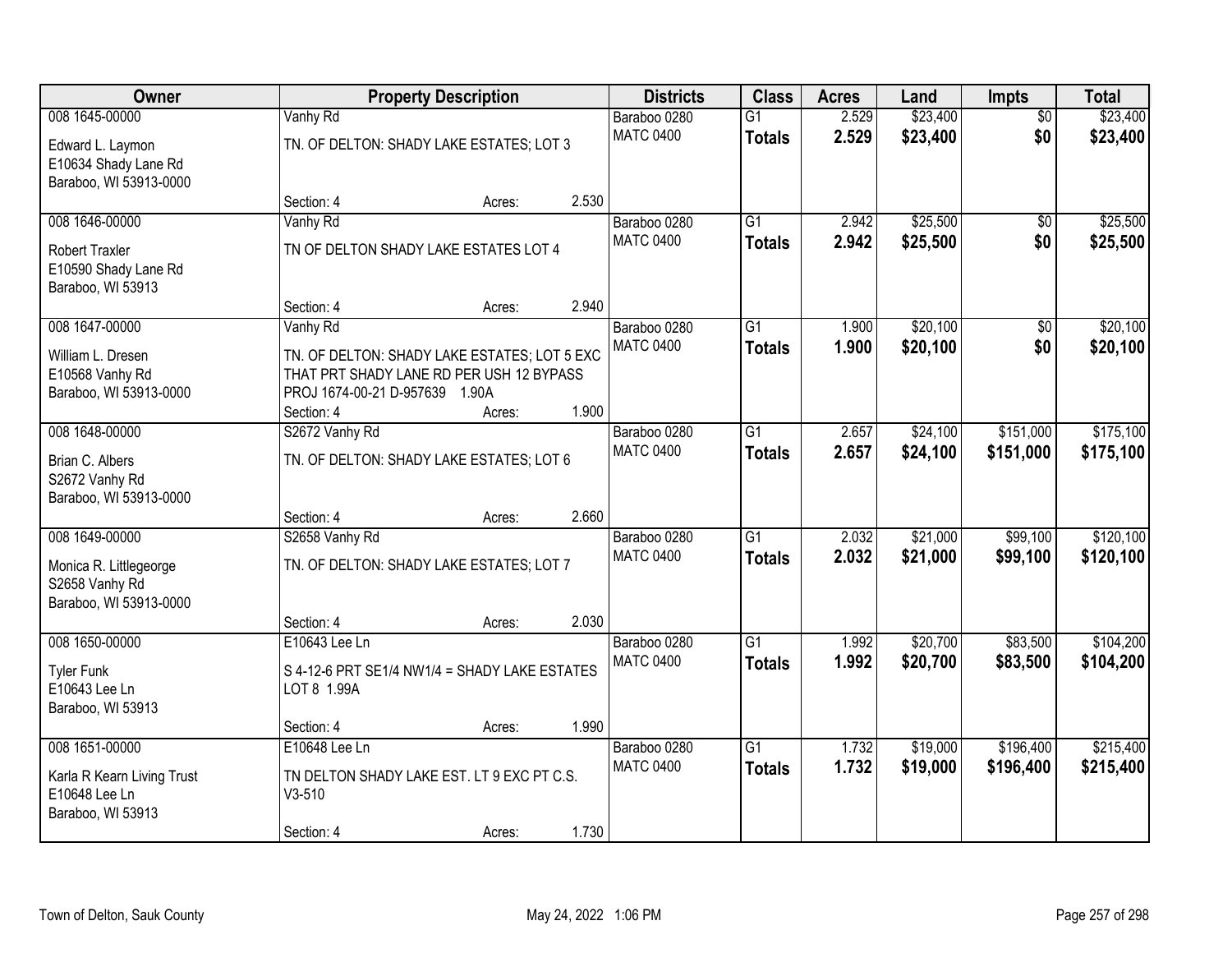| Owner                                          |                                                                                          | <b>Property Description</b> |       | <b>Districts</b>                 | <b>Class</b>    | <b>Acres</b> | Land     | <b>Impts</b>    | <b>Total</b> |
|------------------------------------------------|------------------------------------------------------------------------------------------|-----------------------------|-------|----------------------------------|-----------------|--------------|----------|-----------------|--------------|
| 008 1645-00000                                 | Vanhy Rd                                                                                 |                             |       | Baraboo 0280                     | $\overline{G1}$ | 2.529        | \$23,400 | $\overline{50}$ | \$23,400     |
| Edward L. Laymon                               | TN. OF DELTON: SHADY LAKE ESTATES; LOT 3                                                 |                             |       | <b>MATC 0400</b>                 | <b>Totals</b>   | 2.529        | \$23,400 | \$0             | \$23,400     |
| E10634 Shady Lane Rd<br>Baraboo, WI 53913-0000 |                                                                                          |                             |       |                                  |                 |              |          |                 |              |
|                                                | Section: 4                                                                               | Acres:                      | 2.530 |                                  |                 |              |          |                 |              |
| 008 1646-00000                                 | Vanhy Rd                                                                                 |                             |       | Baraboo 0280                     | $\overline{G1}$ | 2.942        | \$25,500 | \$0             | \$25,500     |
| <b>Robert Traxler</b>                          | TN OF DELTON SHADY LAKE ESTATES LOT 4                                                    |                             |       | <b>MATC 0400</b>                 | <b>Totals</b>   | 2.942        | \$25,500 | \$0             | \$25,500     |
| E10590 Shady Lane Rd                           |                                                                                          |                             |       |                                  |                 |              |          |                 |              |
| Baraboo, WI 53913                              | Section: 4                                                                               | Acres:                      | 2.940 |                                  |                 |              |          |                 |              |
| 008 1647-00000                                 | Vanhy Rd                                                                                 |                             |       | Baraboo 0280                     | G1              | 1.900        | \$20,100 | $\overline{50}$ | \$20,100     |
| William L. Dresen                              |                                                                                          |                             |       | <b>MATC 0400</b>                 | <b>Totals</b>   | 1.900        | \$20,100 | \$0             | \$20,100     |
| E10568 Vanhy Rd                                | TN. OF DELTON: SHADY LAKE ESTATES; LOT 5 EXC<br>THAT PRT SHADY LANE RD PER USH 12 BYPASS |                             |       |                                  |                 |              |          |                 |              |
| Baraboo, WI 53913-0000                         | PROJ 1674-00-21 D-957639 1.90A                                                           |                             |       |                                  |                 |              |          |                 |              |
|                                                | Section: 4                                                                               | Acres:                      | 1.900 |                                  |                 |              |          |                 |              |
| 008 1648-00000                                 | S2672 Vanhy Rd                                                                           |                             |       | Baraboo 0280                     | $\overline{G1}$ | 2.657        | \$24,100 | \$151,000       | \$175,100    |
| Brian C. Albers                                | TN. OF DELTON: SHADY LAKE ESTATES; LOT 6                                                 |                             |       | <b>MATC 0400</b>                 | <b>Totals</b>   | 2.657        | \$24,100 | \$151,000       | \$175,100    |
| S2672 Vanhy Rd                                 |                                                                                          |                             |       |                                  |                 |              |          |                 |              |
| Baraboo, WI 53913-0000                         | Section: 4                                                                               | Acres:                      | 2.660 |                                  |                 |              |          |                 |              |
| 008 1649-00000                                 | S2658 Vanhy Rd                                                                           |                             |       | Baraboo 0280                     | $\overline{G1}$ | 2.032        | \$21,000 | \$99,100        | \$120,100    |
| Monica R. Littlegeorge                         | TN. OF DELTON: SHADY LAKE ESTATES; LOT 7                                                 |                             |       | <b>MATC 0400</b>                 | <b>Totals</b>   | 2.032        | \$21,000 | \$99,100        | \$120,100    |
| S2658 Vanhy Rd                                 |                                                                                          |                             |       |                                  |                 |              |          |                 |              |
| Baraboo, WI 53913-0000                         |                                                                                          |                             |       |                                  |                 |              |          |                 |              |
|                                                | Section: 4                                                                               | Acres:                      | 2.030 |                                  |                 |              |          |                 |              |
| 008 1650-00000                                 | E10643 Lee Ln                                                                            |                             |       | Baraboo 0280<br><b>MATC 0400</b> | $\overline{G1}$ | 1.992        | \$20,700 | \$83,500        | \$104,200    |
| <b>Tyler Funk</b>                              | S 4-12-6 PRT SE1/4 NW1/4 = SHADY LAKE ESTATES                                            |                             |       |                                  | <b>Totals</b>   | 1.992        | \$20,700 | \$83,500        | \$104,200    |
| E10643 Lee Ln                                  | LOT 8 1.99A                                                                              |                             |       |                                  |                 |              |          |                 |              |
| Baraboo, WI 53913                              | Section: 4                                                                               | Acres:                      | 1.990 |                                  |                 |              |          |                 |              |
| 008 1651-00000                                 | E10648 Lee Ln                                                                            |                             |       | Baraboo 0280                     | $\overline{G1}$ | 1.732        | \$19,000 | \$196,400       | \$215,400    |
| Karla R Kearn Living Trust                     | TN DELTON SHADY LAKE EST. LT 9 EXC PT C.S.                                               |                             |       | <b>MATC 0400</b>                 | <b>Totals</b>   | 1.732        | \$19,000 | \$196,400       | \$215,400    |
| E10648 Lee Ln                                  | $V3-510$                                                                                 |                             |       |                                  |                 |              |          |                 |              |
| Baraboo, WI 53913                              |                                                                                          |                             |       |                                  |                 |              |          |                 |              |
|                                                | Section: 4                                                                               | Acres:                      | 1.730 |                                  |                 |              |          |                 |              |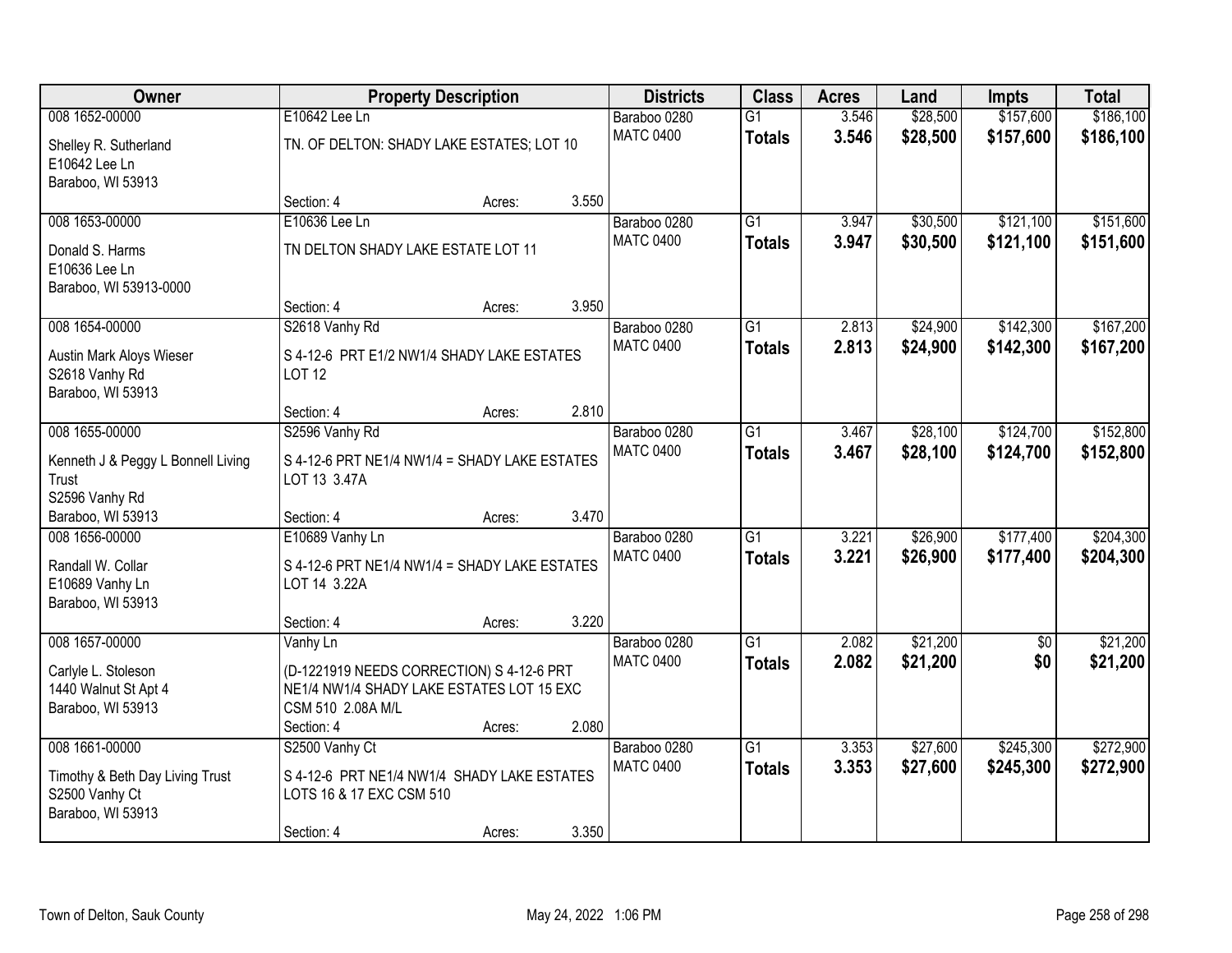| Owner                              |                                               | <b>Property Description</b> |       | <b>Districts</b> | <b>Class</b>    | <b>Acres</b> | Land     | <b>Impts</b>    | <b>Total</b> |
|------------------------------------|-----------------------------------------------|-----------------------------|-------|------------------|-----------------|--------------|----------|-----------------|--------------|
| 008 1652-00000                     | E10642 Lee Ln                                 |                             |       | Baraboo 0280     | $\overline{G1}$ | 3.546        | \$28,500 | \$157,600       | \$186,100    |
| Shelley R. Sutherland              | TN. OF DELTON: SHADY LAKE ESTATES; LOT 10     |                             |       | <b>MATC 0400</b> | <b>Totals</b>   | 3.546        | \$28,500 | \$157,600       | \$186,100    |
| E10642 Lee Ln                      |                                               |                             |       |                  |                 |              |          |                 |              |
| Baraboo, WI 53913                  |                                               |                             |       |                  |                 |              |          |                 |              |
|                                    | Section: 4                                    | Acres:                      | 3.550 |                  |                 |              |          |                 |              |
| 008 1653-00000                     | E10636 Lee Ln                                 |                             |       | Baraboo 0280     | $\overline{G1}$ | 3.947        | \$30,500 | \$121,100       | \$151,600    |
| Donald S. Harms                    | TN DELTON SHADY LAKE ESTATE LOT 11            |                             |       | <b>MATC 0400</b> | <b>Totals</b>   | 3.947        | \$30,500 | \$121,100       | \$151,600    |
| E10636 Lee Ln                      |                                               |                             |       |                  |                 |              |          |                 |              |
| Baraboo, WI 53913-0000             |                                               |                             |       |                  |                 |              |          |                 |              |
|                                    | Section: 4                                    | Acres:                      | 3.950 |                  |                 |              |          |                 |              |
| 008 1654-00000                     | S2618 Vanhy Rd                                |                             |       | Baraboo 0280     | G1              | 2.813        | \$24,900 | \$142,300       | \$167,200    |
| <b>Austin Mark Aloys Wieser</b>    | S 4-12-6 PRT E1/2 NW1/4 SHADY LAKE ESTATES    |                             |       | <b>MATC 0400</b> | <b>Totals</b>   | 2.813        | \$24,900 | \$142,300       | \$167,200    |
| S2618 Vanhy Rd                     | <b>LOT 12</b>                                 |                             |       |                  |                 |              |          |                 |              |
| Baraboo, WI 53913                  |                                               |                             |       |                  |                 |              |          |                 |              |
|                                    | Section: 4                                    | Acres:                      | 2.810 |                  |                 |              |          |                 |              |
| 008 1655-00000                     | S2596 Vanhy Rd                                |                             |       | Baraboo 0280     | G1              | 3.467        | \$28,100 | \$124,700       | \$152,800    |
| Kenneth J & Peggy L Bonnell Living | S 4-12-6 PRT NE1/4 NW1/4 = SHADY LAKE ESTATES |                             |       | <b>MATC 0400</b> | <b>Totals</b>   | 3.467        | \$28,100 | \$124,700       | \$152,800    |
| Trust                              | LOT 13 3.47A                                  |                             |       |                  |                 |              |          |                 |              |
| S2596 Vanhy Rd                     |                                               |                             |       |                  |                 |              |          |                 |              |
| Baraboo, WI 53913                  | Section: 4                                    | Acres:                      | 3.470 |                  |                 |              |          |                 |              |
| 008 1656-00000                     | E10689 Vanhy Ln                               |                             |       | Baraboo 0280     | $\overline{G1}$ | 3.221        | \$26,900 | \$177,400       | \$204,300    |
| Randall W. Collar                  | S 4-12-6 PRT NE1/4 NW1/4 = SHADY LAKE ESTATES |                             |       | <b>MATC 0400</b> | <b>Totals</b>   | 3.221        | \$26,900 | \$177,400       | \$204,300    |
| E10689 Vanhy Ln                    | LOT 14 3.22A                                  |                             |       |                  |                 |              |          |                 |              |
| Baraboo, WI 53913                  |                                               |                             |       |                  |                 |              |          |                 |              |
|                                    | Section: 4                                    | Acres:                      | 3.220 |                  |                 |              |          |                 |              |
| 008 1657-00000                     | Vanhy Ln                                      |                             |       | Baraboo 0280     | $\overline{G1}$ | 2.082        | \$21,200 | $\overline{50}$ | \$21,200     |
| Carlyle L. Stoleson                | (D-1221919 NEEDS CORRECTION) S 4-12-6 PRT     |                             |       | <b>MATC 0400</b> | <b>Totals</b>   | 2.082        | \$21,200 | \$0             | \$21,200     |
| 1440 Walnut St Apt 4               | NE1/4 NW1/4 SHADY LAKE ESTATES LOT 15 EXC     |                             |       |                  |                 |              |          |                 |              |
| Baraboo, WI 53913                  | CSM 510 2.08A M/L                             |                             |       |                  |                 |              |          |                 |              |
|                                    | Section: 4                                    | Acres:                      | 2.080 |                  |                 |              |          |                 |              |
| 008 1661-00000                     | S2500 Vanhy Ct                                |                             |       | Baraboo 0280     | $\overline{G1}$ | 3.353        | \$27,600 | \$245,300       | \$272,900    |
| Timothy & Beth Day Living Trust    | S 4-12-6 PRT NE1/4 NW1/4 SHADY LAKE ESTATES   |                             |       | <b>MATC 0400</b> | <b>Totals</b>   | 3.353        | \$27,600 | \$245,300       | \$272,900    |
| S2500 Vanhy Ct                     | LOTS 16 & 17 EXC CSM 510                      |                             |       |                  |                 |              |          |                 |              |
| Baraboo, WI 53913                  |                                               |                             |       |                  |                 |              |          |                 |              |
|                                    | Section: 4                                    | Acres:                      | 3.350 |                  |                 |              |          |                 |              |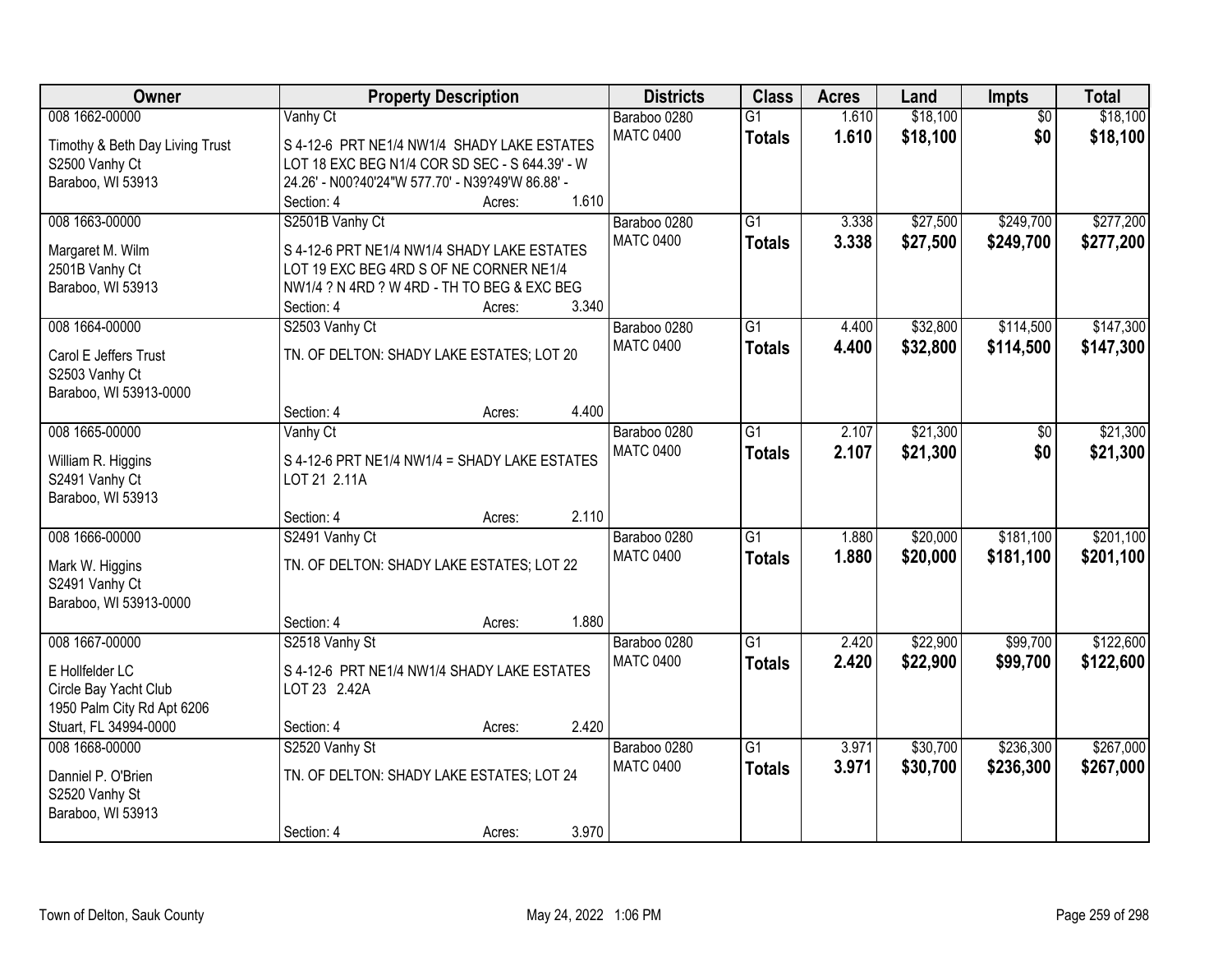| Owner                           |                                                  | <b>Property Description</b> |       | <b>Districts</b> | <b>Class</b>    | <b>Acres</b> | Land     | <b>Impts</b>    | <b>Total</b> |
|---------------------------------|--------------------------------------------------|-----------------------------|-------|------------------|-----------------|--------------|----------|-----------------|--------------|
| 008 1662-00000                  | Vanhy Ct                                         |                             |       | Baraboo 0280     | $\overline{G1}$ | 1.610        | \$18,100 | $\overline{50}$ | \$18,100     |
| Timothy & Beth Day Living Trust | S 4-12-6 PRT NE1/4 NW1/4 SHADY LAKE ESTATES      |                             |       | <b>MATC 0400</b> | <b>Totals</b>   | 1.610        | \$18,100 | \$0             | \$18,100     |
| S2500 Vanhy Ct                  | LOT 18 EXC BEG N1/4 COR SD SEC - S 644.39' - W   |                             |       |                  |                 |              |          |                 |              |
| Baraboo, WI 53913               | 24.26' - N00?40'24"W 577.70' - N39?49'W 86.88' - |                             |       |                  |                 |              |          |                 |              |
|                                 | Section: 4                                       | Acres:                      | 1.610 |                  |                 |              |          |                 |              |
| 008 1663-00000                  | S2501B Vanhy Ct                                  |                             |       | Baraboo 0280     | $\overline{G1}$ | 3.338        | \$27,500 | \$249,700       | \$277,200    |
| Margaret M. Wilm                | S 4-12-6 PRT NE1/4 NW1/4 SHADY LAKE ESTATES      |                             |       | <b>MATC 0400</b> | <b>Totals</b>   | 3.338        | \$27,500 | \$249,700       | \$277,200    |
| 2501B Vanhy Ct                  | LOT 19 EXC BEG 4RD S OF NE CORNER NE1/4          |                             |       |                  |                 |              |          |                 |              |
| Baraboo, WI 53913               | NW1/4 ? N 4RD ? W 4RD - TH TO BEG & EXC BEG      |                             |       |                  |                 |              |          |                 |              |
|                                 | Section: 4                                       | Acres:                      | 3.340 |                  |                 |              |          |                 |              |
| 008 1664-00000                  | S2503 Vanhy Ct                                   |                             |       | Baraboo 0280     | $\overline{G1}$ | 4.400        | \$32,800 | \$114,500       | \$147,300    |
|                                 |                                                  |                             |       | <b>MATC 0400</b> | <b>Totals</b>   | 4.400        | \$32,800 | \$114,500       | \$147,300    |
| Carol E Jeffers Trust           | TN. OF DELTON: SHADY LAKE ESTATES; LOT 20        |                             |       |                  |                 |              |          |                 |              |
| S2503 Vanhy Ct                  |                                                  |                             |       |                  |                 |              |          |                 |              |
| Baraboo, WI 53913-0000          | Section: 4                                       | Acres:                      | 4.400 |                  |                 |              |          |                 |              |
| 008 1665-00000                  | Vanhy Ct                                         |                             |       | Baraboo 0280     | $\overline{G1}$ | 2.107        | \$21,300 | \$0             | \$21,300     |
|                                 |                                                  |                             |       | <b>MATC 0400</b> | <b>Totals</b>   | 2.107        | \$21,300 | \$0             | \$21,300     |
| William R. Higgins              | S 4-12-6 PRT NE1/4 NW1/4 = SHADY LAKE ESTATES    |                             |       |                  |                 |              |          |                 |              |
| S2491 Vanhy Ct                  | LOT 21 2.11A                                     |                             |       |                  |                 |              |          |                 |              |
| Baraboo, WI 53913               |                                                  |                             |       |                  |                 |              |          |                 |              |
|                                 | Section: 4                                       | Acres:                      | 2.110 |                  |                 |              |          |                 |              |
| 008 1666-00000                  | S2491 Vanhy Ct                                   |                             |       | Baraboo 0280     | $\overline{G1}$ | 1.880        | \$20,000 | \$181,100       | \$201,100    |
| Mark W. Higgins                 | TN. OF DELTON: SHADY LAKE ESTATES; LOT 22        |                             |       | <b>MATC 0400</b> | <b>Totals</b>   | 1.880        | \$20,000 | \$181,100       | \$201,100    |
| S2491 Vanhy Ct                  |                                                  |                             |       |                  |                 |              |          |                 |              |
| Baraboo, WI 53913-0000          |                                                  |                             |       |                  |                 |              |          |                 |              |
|                                 | Section: 4                                       | Acres:                      | 1.880 |                  |                 |              |          |                 |              |
| 008 1667-00000                  | S2518 Vanhy St                                   |                             |       | Baraboo 0280     | $\overline{G1}$ | 2.420        | \$22,900 | \$99,700        | \$122,600    |
| E Hollfelder LC                 | S 4-12-6 PRT NE1/4 NW1/4 SHADY LAKE ESTATES      |                             |       | <b>MATC 0400</b> | <b>Totals</b>   | 2.420        | \$22,900 | \$99,700        | \$122,600    |
| Circle Bay Yacht Club           | LOT 23 2.42A                                     |                             |       |                  |                 |              |          |                 |              |
| 1950 Palm City Rd Apt 6206      |                                                  |                             |       |                  |                 |              |          |                 |              |
| Stuart, FL 34994-0000           | Section: 4                                       | Acres:                      | 2.420 |                  |                 |              |          |                 |              |
| 008 1668-00000                  | S2520 Vanhy St                                   |                             |       | Baraboo 0280     | $\overline{G1}$ | 3.971        | \$30,700 | \$236,300       | \$267,000    |
|                                 |                                                  |                             |       | <b>MATC 0400</b> | <b>Totals</b>   | 3.971        | \$30,700 | \$236,300       | \$267,000    |
| Danniel P. O'Brien              | TN. OF DELTON: SHADY LAKE ESTATES; LOT 24        |                             |       |                  |                 |              |          |                 |              |
| S2520 Vanhy St                  |                                                  |                             |       |                  |                 |              |          |                 |              |
| Baraboo, WI 53913               | Section: 4                                       |                             | 3.970 |                  |                 |              |          |                 |              |
|                                 |                                                  | Acres:                      |       |                  |                 |              |          |                 |              |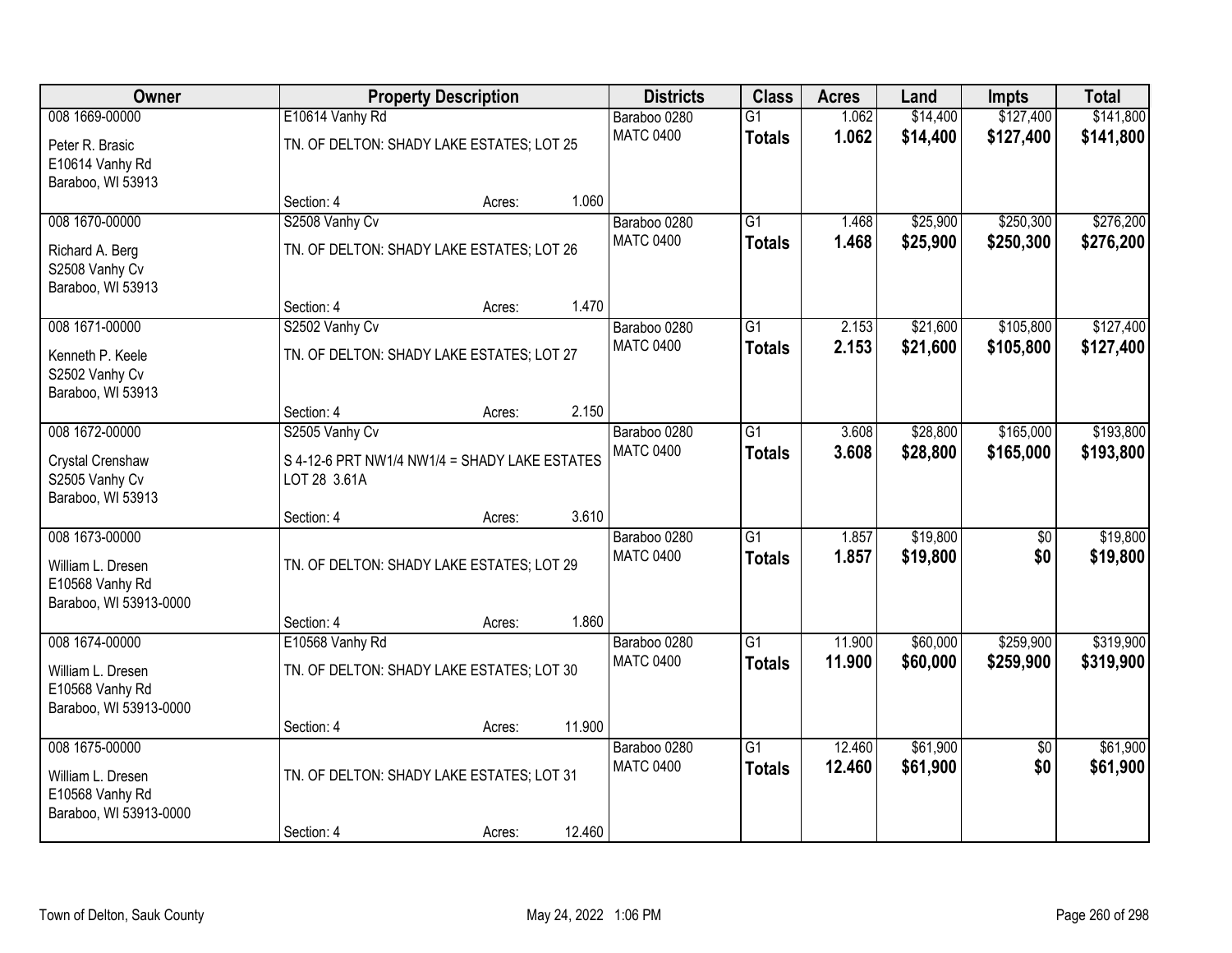| Owner                               |                                                               | <b>Property Description</b> |        | <b>Districts</b>                 | <b>Class</b>    | <b>Acres</b>   | Land                 | <b>Impts</b>    | <b>Total</b>           |
|-------------------------------------|---------------------------------------------------------------|-----------------------------|--------|----------------------------------|-----------------|----------------|----------------------|-----------------|------------------------|
| 008 1669-00000                      | E10614 Vanhy Rd                                               |                             |        | Baraboo 0280                     | $\overline{G1}$ | 1.062          | \$14,400             | \$127,400       | \$141,800              |
| Peter R. Brasic                     | TN. OF DELTON: SHADY LAKE ESTATES; LOT 25                     |                             |        | <b>MATC 0400</b>                 | <b>Totals</b>   | 1.062          | \$14,400             | \$127,400       | \$141,800              |
| E10614 Vanhy Rd                     |                                                               |                             |        |                                  |                 |                |                      |                 |                        |
| Baraboo, WI 53913                   |                                                               |                             |        |                                  |                 |                |                      |                 |                        |
|                                     | Section: 4                                                    | Acres:                      | 1.060  |                                  |                 |                |                      |                 |                        |
| 008 1670-00000                      | S2508 Vanhy Cv                                                |                             |        | Baraboo 0280                     | $\overline{G1}$ | 1.468          | \$25,900             | \$250,300       | \$276,200              |
| Richard A. Berg                     | TN. OF DELTON: SHADY LAKE ESTATES; LOT 26                     |                             |        | <b>MATC 0400</b>                 | <b>Totals</b>   | 1.468          | \$25,900             | \$250,300       | \$276,200              |
| S2508 Vanhy Cv                      |                                                               |                             |        |                                  |                 |                |                      |                 |                        |
| Baraboo, WI 53913                   |                                                               |                             |        |                                  |                 |                |                      |                 |                        |
| 008 1671-00000                      | Section: 4                                                    | Acres:                      | 1.470  |                                  | $\overline{G1}$ |                |                      | \$105,800       |                        |
|                                     | S2502 Vanhy Cv                                                |                             |        | Baraboo 0280<br><b>MATC 0400</b> |                 | 2.153<br>2.153 | \$21,600<br>\$21,600 | \$105,800       | \$127,400<br>\$127,400 |
| Kenneth P. Keele                    | TN. OF DELTON: SHADY LAKE ESTATES; LOT 27                     |                             |        |                                  | <b>Totals</b>   |                |                      |                 |                        |
| S2502 Vanhy Cv                      |                                                               |                             |        |                                  |                 |                |                      |                 |                        |
| Baraboo, WI 53913                   | Section: 4                                                    | Acres:                      | 2.150  |                                  |                 |                |                      |                 |                        |
| 008 1672-00000                      | S2505 Vanhy Cv                                                |                             |        | Baraboo 0280                     | $\overline{G1}$ | 3.608          | \$28,800             | \$165,000       | \$193,800              |
|                                     |                                                               |                             |        | <b>MATC 0400</b>                 | <b>Totals</b>   | 3.608          | \$28,800             | \$165,000       | \$193,800              |
| Crystal Crenshaw                    | S 4-12-6 PRT NW1/4 NW1/4 = SHADY LAKE ESTATES<br>LOT 28 3.61A |                             |        |                                  |                 |                |                      |                 |                        |
| S2505 Vanhy Cv<br>Baraboo, WI 53913 |                                                               |                             |        |                                  |                 |                |                      |                 |                        |
|                                     | Section: 4                                                    | Acres:                      | 3.610  |                                  |                 |                |                      |                 |                        |
| 008 1673-00000                      |                                                               |                             |        | Baraboo 0280                     | $\overline{G1}$ | 1.857          | \$19,800             | $\overline{50}$ | \$19,800               |
| William L. Dresen                   | TN. OF DELTON: SHADY LAKE ESTATES; LOT 29                     |                             |        | <b>MATC 0400</b>                 | <b>Totals</b>   | 1.857          | \$19,800             | \$0             | \$19,800               |
| E10568 Vanhy Rd                     |                                                               |                             |        |                                  |                 |                |                      |                 |                        |
| Baraboo, WI 53913-0000              |                                                               |                             |        |                                  |                 |                |                      |                 |                        |
|                                     | Section: 4                                                    | Acres:                      | 1.860  |                                  |                 |                |                      |                 |                        |
| 008 1674-00000                      | E10568 Vanhy Rd                                               |                             |        | Baraboo 0280                     | $\overline{G1}$ | 11.900         | \$60,000             | \$259,900       | \$319,900              |
| William L. Dresen                   | TN. OF DELTON: SHADY LAKE ESTATES; LOT 30                     |                             |        | <b>MATC 0400</b>                 | <b>Totals</b>   | 11.900         | \$60,000             | \$259,900       | \$319,900              |
| E10568 Vanhy Rd                     |                                                               |                             |        |                                  |                 |                |                      |                 |                        |
| Baraboo, WI 53913-0000              |                                                               |                             |        |                                  |                 |                |                      |                 |                        |
|                                     | Section: 4                                                    | Acres:                      | 11.900 |                                  |                 |                |                      |                 |                        |
| 008 1675-00000                      |                                                               |                             |        | Baraboo 0280                     | $\overline{G1}$ | 12.460         | \$61,900             | $\overline{50}$ | \$61,900               |
| William L. Dresen                   | TN. OF DELTON: SHADY LAKE ESTATES; LOT 31                     |                             |        | <b>MATC 0400</b>                 | <b>Totals</b>   | 12.460         | \$61,900             | \$0             | \$61,900               |
| E10568 Vanhy Rd                     |                                                               |                             |        |                                  |                 |                |                      |                 |                        |
| Baraboo, WI 53913-0000              |                                                               |                             |        |                                  |                 |                |                      |                 |                        |
|                                     | Section: 4                                                    | Acres:                      | 12.460 |                                  |                 |                |                      |                 |                        |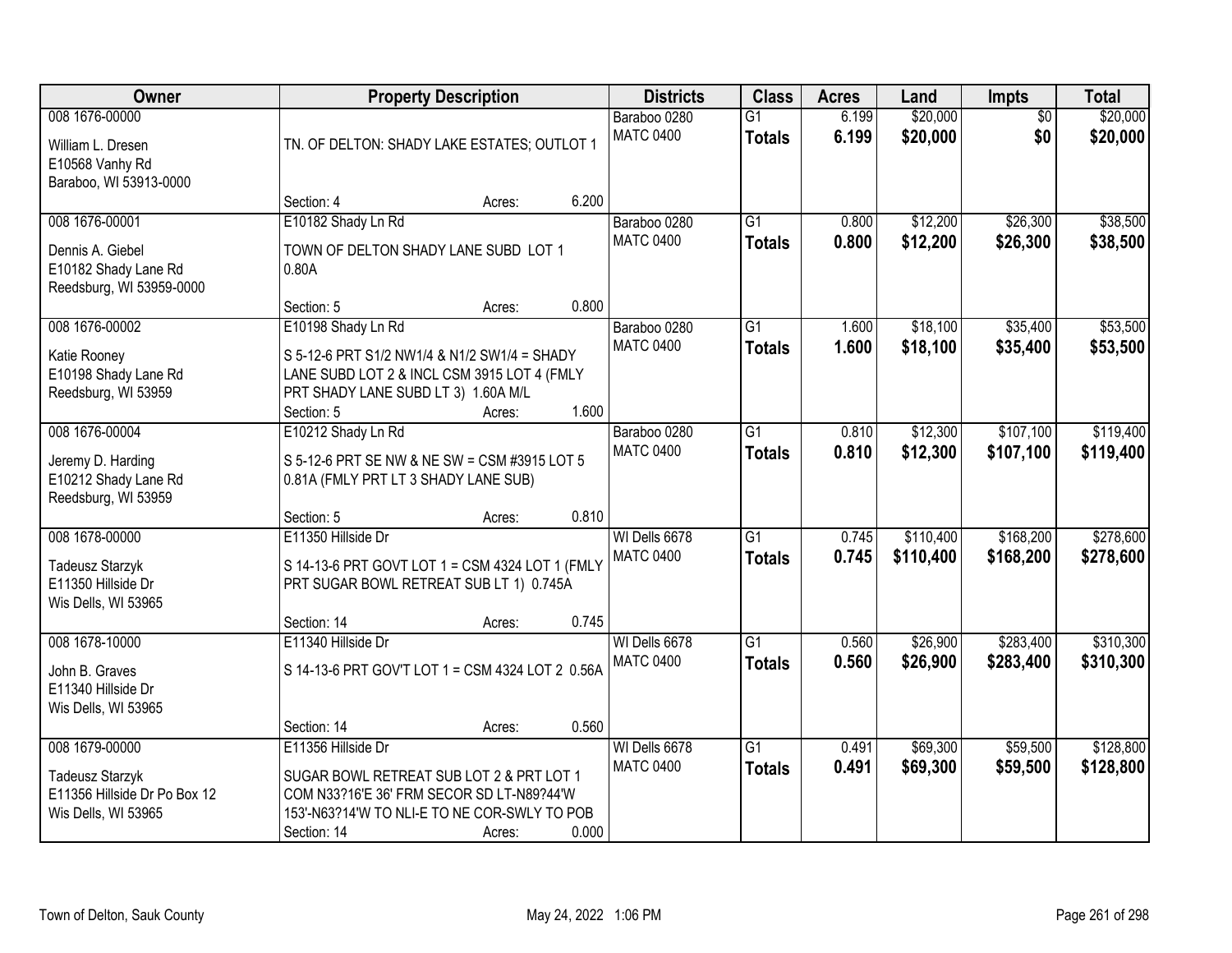| Owner                                                                                           |                                                                                                                                                                            | <b>Property Description</b> |       | <b>Districts</b>                  | <b>Class</b>                     | <b>Acres</b>   | Land                   | Impts                  | <b>Total</b>           |
|-------------------------------------------------------------------------------------------------|----------------------------------------------------------------------------------------------------------------------------------------------------------------------------|-----------------------------|-------|-----------------------------------|----------------------------------|----------------|------------------------|------------------------|------------------------|
| 008 1676-00000<br>William L. Dresen<br>E10568 Vanhy Rd<br>Baraboo, WI 53913-0000                | TN. OF DELTON: SHADY LAKE ESTATES; OUTLOT 1                                                                                                                                |                             |       | Baraboo 0280<br><b>MATC 0400</b>  | $\overline{G1}$<br><b>Totals</b> | 6.199<br>6.199 | \$20,000<br>\$20,000   | $\overline{50}$<br>\$0 | \$20,000<br>\$20,000   |
|                                                                                                 | Section: 4                                                                                                                                                                 | Acres:                      | 6.200 |                                   |                                  |                |                        |                        |                        |
| 008 1676-00001<br>Dennis A. Giebel<br>E10182 Shady Lane Rd<br>Reedsburg, WI 53959-0000          | E10182 Shady Ln Rd<br>TOWN OF DELTON SHADY LANE SUBD LOT 1<br>0.80A                                                                                                        |                             |       | Baraboo 0280<br><b>MATC 0400</b>  | $\overline{G1}$<br><b>Totals</b> | 0.800<br>0.800 | \$12,200<br>\$12,200   | \$26,300<br>\$26,300   | \$38,500<br>\$38,500   |
|                                                                                                 | Section: 5                                                                                                                                                                 | Acres:                      | 0.800 |                                   |                                  |                |                        |                        |                        |
| 008 1676-00002<br>Katie Rooney<br>E10198 Shady Lane Rd<br>Reedsburg, WI 53959                   | E10198 Shady Ln Rd<br>S 5-12-6 PRT S1/2 NW1/4 & N1/2 SW1/4 = SHADY<br>LANE SUBD LOT 2 & INCL CSM 3915 LOT 4 (FMLY<br>PRT SHADY LANE SUBD LT 3) 1.60A M/L<br>Section: 5     | Acres:                      | 1.600 | Baraboo 0280<br><b>MATC 0400</b>  | $\overline{G1}$<br><b>Totals</b> | 1.600<br>1.600 | \$18,100<br>\$18,100   | \$35,400<br>\$35,400   | \$53,500<br>\$53,500   |
| 008 1676-00004                                                                                  | E10212 Shady Ln Rd                                                                                                                                                         |                             |       | Baraboo 0280                      | $\overline{G1}$                  | 0.810          | \$12,300               | \$107,100              | \$119,400              |
| Jeremy D. Harding<br>E10212 Shady Lane Rd<br>Reedsburg, WI 53959                                | S 5-12-6 PRT SE NW & NE SW = CSM #3915 LOT 5<br>0.81A (FMLY PRT LT 3 SHADY LANE SUB)                                                                                       |                             |       | <b>MATC 0400</b>                  | <b>Totals</b>                    | 0.810          | \$12,300               | \$107,100              | \$119,400              |
|                                                                                                 | Section: 5                                                                                                                                                                 | Acres:                      | 0.810 |                                   |                                  |                |                        |                        |                        |
| 008 1678-00000<br><b>Tadeusz Starzyk</b><br>E11350 Hillside Dr<br>Wis Dells, WI 53965           | E11350 Hillside Dr<br>S 14-13-6 PRT GOVT LOT 1 = CSM 4324 LOT 1 (FMLY<br>PRT SUGAR BOWL RETREAT SUB LT 1) 0.745A<br>Section: 14                                            | Acres:                      | 0.745 | WI Dells 6678<br><b>MATC 0400</b> | $\overline{G1}$<br><b>Totals</b> | 0.745<br>0.745 | \$110,400<br>\$110,400 | \$168,200<br>\$168,200 | \$278,600<br>\$278,600 |
| 008 1678-10000                                                                                  | E11340 Hillside Dr                                                                                                                                                         |                             |       | WI Dells 6678                     | $\overline{G1}$                  | 0.560          | \$26,900               | \$283,400              | \$310,300              |
| John B. Graves<br>E11340 Hillside Dr<br>Wis Dells, WI 53965                                     | S 14-13-6 PRT GOV'T LOT 1 = CSM 4324 LOT 2 0.56A                                                                                                                           |                             |       | <b>MATC 0400</b>                  | <b>Totals</b>                    | 0.560          | \$26,900               | \$283,400              | \$310,300              |
|                                                                                                 | Section: 14                                                                                                                                                                | Acres:                      | 0.560 |                                   |                                  |                |                        |                        |                        |
| 008 1679-00000<br><b>Tadeusz Starzyk</b><br>E11356 Hillside Dr Po Box 12<br>Wis Dells, WI 53965 | E11356 Hillside Dr<br>SUGAR BOWL RETREAT SUB LOT 2 & PRT LOT 1<br>COM N33?16'E 36' FRM SECOR SD LT-N89?44'W<br>153'-N63?14'W TO NLI-E TO NE COR-SWLY TO POB<br>Section: 14 | Acres:                      | 0.000 | WI Dells 6678<br><b>MATC 0400</b> | $\overline{G1}$<br><b>Totals</b> | 0.491<br>0.491 | \$69,300<br>\$69,300   | \$59,500<br>\$59,500   | \$128,800<br>\$128,800 |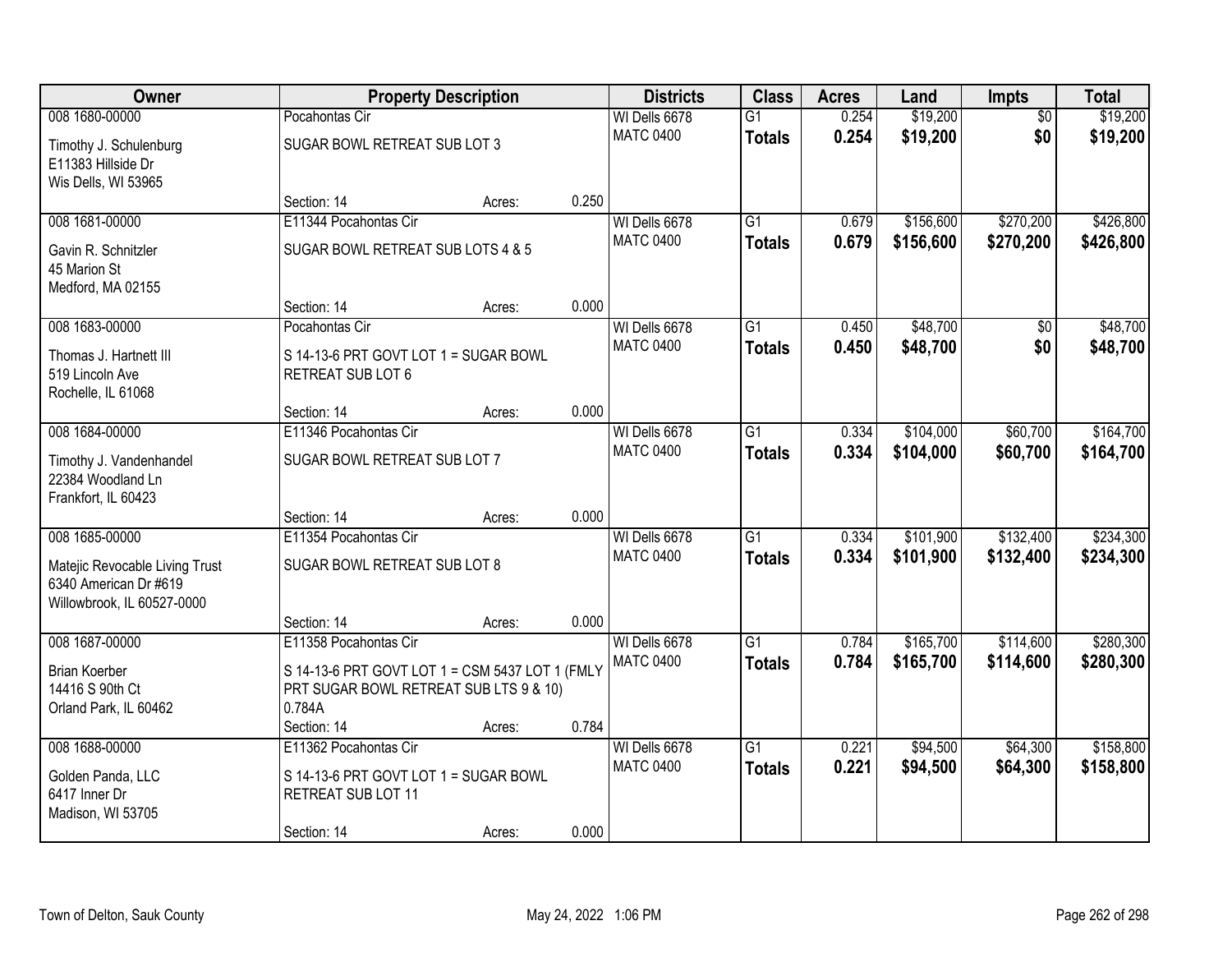| Owner                          |                                                 | <b>Property Description</b> |       | <b>Districts</b> | <b>Class</b>    | <b>Acres</b> | Land      | <b>Impts</b>    | <b>Total</b> |
|--------------------------------|-------------------------------------------------|-----------------------------|-------|------------------|-----------------|--------------|-----------|-----------------|--------------|
| 008 1680-00000                 | Pocahontas Cir                                  |                             |       | WI Dells 6678    | $\overline{G1}$ | 0.254        | \$19,200  | $\overline{50}$ | \$19,200     |
| Timothy J. Schulenburg         | SUGAR BOWL RETREAT SUB LOT 3                    |                             |       | <b>MATC 0400</b> | <b>Totals</b>   | 0.254        | \$19,200  | \$0             | \$19,200     |
| E11383 Hillside Dr             |                                                 |                             |       |                  |                 |              |           |                 |              |
| Wis Dells, WI 53965            |                                                 |                             |       |                  |                 |              |           |                 |              |
|                                | Section: 14                                     | Acres:                      | 0.250 |                  |                 |              |           |                 |              |
| 008 1681-00000                 | E11344 Pocahontas Cir                           |                             |       | WI Dells 6678    | $\overline{G1}$ | 0.679        | \$156,600 | \$270,200       | \$426,800    |
| Gavin R. Schnitzler            | SUGAR BOWL RETREAT SUB LOTS 4 & 5               |                             |       | <b>MATC 0400</b> | <b>Totals</b>   | 0.679        | \$156,600 | \$270,200       | \$426,800    |
| 45 Marion St                   |                                                 |                             |       |                  |                 |              |           |                 |              |
| Medford, MA 02155              |                                                 |                             |       |                  |                 |              |           |                 |              |
|                                | Section: 14                                     | Acres:                      | 0.000 |                  |                 |              |           |                 |              |
| 008 1683-00000                 | Pocahontas Cir                                  |                             |       | WI Dells 6678    | G1              | 0.450        | \$48,700  | \$0             | \$48,700     |
| Thomas J. Hartnett III         | S 14-13-6 PRT GOVT LOT 1 = SUGAR BOWL           |                             |       | <b>MATC 0400</b> | <b>Totals</b>   | 0.450        | \$48,700  | \$0             | \$48,700     |
| 519 Lincoln Ave                | RETREAT SUB LOT 6                               |                             |       |                  |                 |              |           |                 |              |
| Rochelle, IL 61068             |                                                 |                             |       |                  |                 |              |           |                 |              |
|                                | Section: 14                                     | Acres:                      | 0.000 |                  |                 |              |           |                 |              |
| 008 1684-00000                 | E11346 Pocahontas Cir                           |                             |       | WI Dells 6678    | G1              | 0.334        | \$104,000 | \$60,700        | \$164,700    |
| Timothy J. Vandenhandel        | SUGAR BOWL RETREAT SUB LOT 7                    |                             |       | <b>MATC 0400</b> | <b>Totals</b>   | 0.334        | \$104,000 | \$60,700        | \$164,700    |
| 22384 Woodland Ln              |                                                 |                             |       |                  |                 |              |           |                 |              |
| Frankfort, IL 60423            |                                                 |                             |       |                  |                 |              |           |                 |              |
|                                | Section: 14                                     | Acres:                      | 0.000 |                  |                 |              |           |                 |              |
| 008 1685-00000                 | E11354 Pocahontas Cir                           |                             |       | WI Dells 6678    | $\overline{G1}$ | 0.334        | \$101,900 | \$132,400       | \$234,300    |
| Matejic Revocable Living Trust | SUGAR BOWL RETREAT SUB LOT 8                    |                             |       | <b>MATC 0400</b> | <b>Totals</b>   | 0.334        | \$101,900 | \$132,400       | \$234,300    |
| 6340 American Dr #619          |                                                 |                             |       |                  |                 |              |           |                 |              |
| Willowbrook, IL 60527-0000     |                                                 |                             |       |                  |                 |              |           |                 |              |
|                                | Section: 14                                     | Acres:                      | 0.000 |                  |                 |              |           |                 |              |
| 008 1687-00000                 | E11358 Pocahontas Cir                           |                             |       | WI Dells 6678    | $\overline{G1}$ | 0.784        | \$165,700 | \$114,600       | \$280,300    |
| <b>Brian Koerber</b>           | S 14-13-6 PRT GOVT LOT 1 = CSM 5437 LOT 1 (FMLY |                             |       | <b>MATC 0400</b> | <b>Totals</b>   | 0.784        | \$165,700 | \$114,600       | \$280,300    |
| 14416 S 90th Ct                | PRT SUGAR BOWL RETREAT SUB LTS 9 & 10)          |                             |       |                  |                 |              |           |                 |              |
| Orland Park, IL 60462          | 0.784A                                          |                             |       |                  |                 |              |           |                 |              |
|                                | Section: 14                                     | Acres:                      | 0.784 |                  |                 |              |           |                 |              |
| 008 1688-00000                 | E11362 Pocahontas Cir                           |                             |       | WI Dells 6678    | $\overline{G1}$ | 0.221        | \$94,500  | \$64,300        | \$158,800    |
| Golden Panda, LLC              | S 14-13-6 PRT GOVT LOT 1 = SUGAR BOWL           |                             |       | <b>MATC 0400</b> | <b>Totals</b>   | 0.221        | \$94,500  | \$64,300        | \$158,800    |
| 6417 Inner Dr                  | RETREAT SUB LOT 11                              |                             |       |                  |                 |              |           |                 |              |
| Madison, WI 53705              |                                                 |                             |       |                  |                 |              |           |                 |              |
|                                | Section: 14                                     | Acres:                      | 0.000 |                  |                 |              |           |                 |              |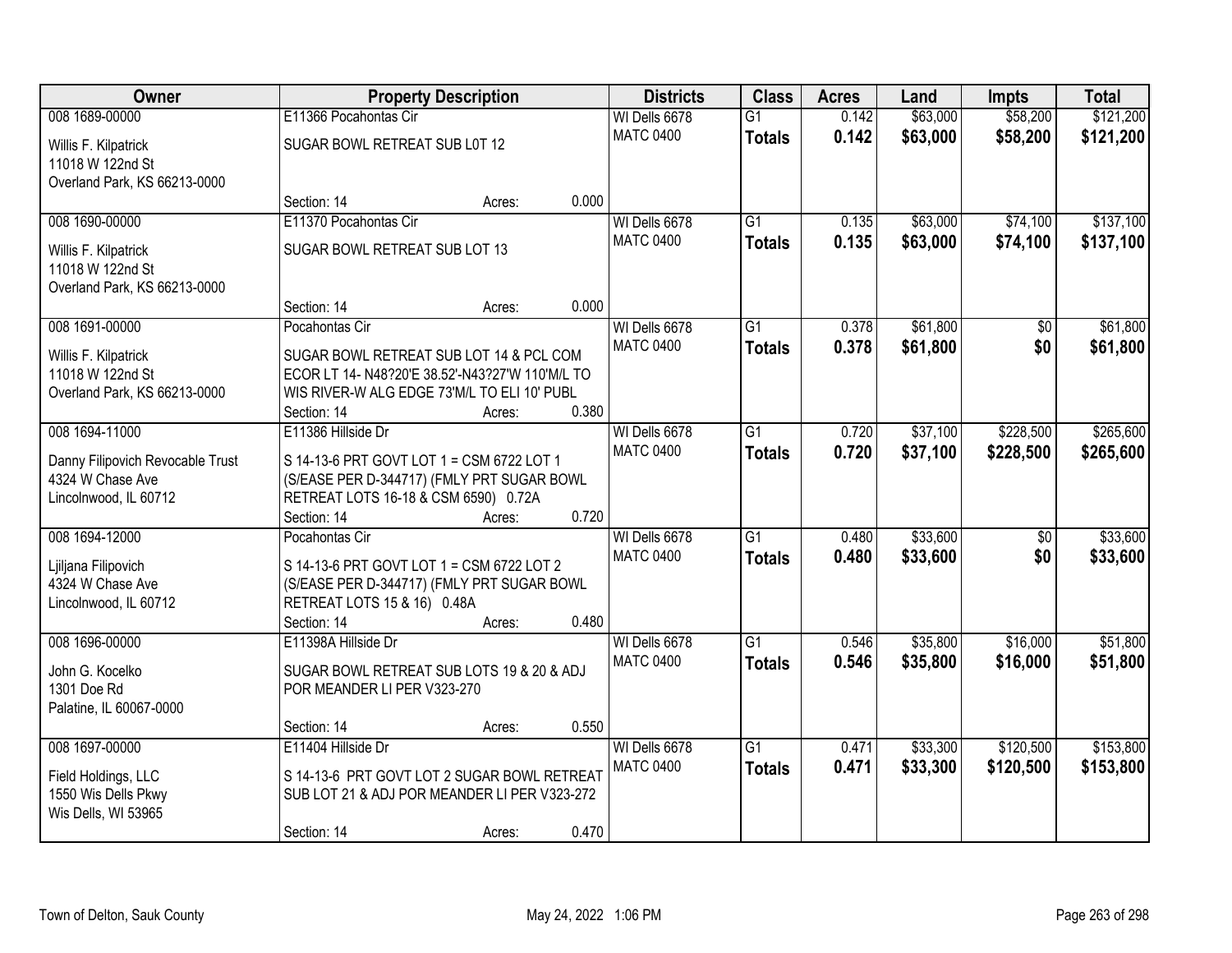| Owner                                      |                                                 | <b>Property Description</b> |       | <b>Districts</b>                  | <b>Class</b>    | <b>Acres</b> | Land     | <b>Impts</b> | <b>Total</b> |
|--------------------------------------------|-------------------------------------------------|-----------------------------|-------|-----------------------------------|-----------------|--------------|----------|--------------|--------------|
| 008 1689-00000                             | E11366 Pocahontas Cir                           |                             |       | WI Dells 6678                     | $\overline{G1}$ | 0.142        | \$63,000 | \$58,200     | \$121,200    |
| Willis F. Kilpatrick<br>11018 W 122nd St   | SUGAR BOWL RETREAT SUB L0T 12                   |                             |       | <b>MATC 0400</b>                  | <b>Totals</b>   | 0.142        | \$63,000 | \$58,200     | \$121,200    |
| Overland Park, KS 66213-0000               |                                                 |                             |       |                                   |                 |              |          |              |              |
|                                            | Section: 14                                     | Acres:                      | 0.000 |                                   |                 |              |          |              |              |
| 008 1690-00000                             | E11370 Pocahontas Cir                           |                             |       | WI Dells 6678                     | G1              | 0.135        | \$63,000 | \$74,100     | \$137,100    |
| Willis F. Kilpatrick                       | SUGAR BOWL RETREAT SUB LOT 13                   |                             |       | <b>MATC 0400</b>                  | <b>Totals</b>   | 0.135        | \$63,000 | \$74,100     | \$137,100    |
| 11018 W 122nd St                           |                                                 |                             |       |                                   |                 |              |          |              |              |
| Overland Park, KS 66213-0000               |                                                 |                             |       |                                   |                 |              |          |              |              |
|                                            | Section: 14                                     | Acres:                      | 0.000 |                                   |                 |              |          |              |              |
| 008 1691-00000                             | Pocahontas Cir                                  |                             |       | WI Dells 6678                     | G1              | 0.378        | \$61,800 | \$0          | \$61,800     |
| Willis F. Kilpatrick                       | SUGAR BOWL RETREAT SUB LOT 14 & PCL COM         |                             |       | <b>MATC 0400</b>                  | <b>Totals</b>   | 0.378        | \$61,800 | \$0          | \$61,800     |
| 11018 W 122nd St                           | ECOR LT 14- N48?20'E 38.52'-N43?27'W 110'M/L TO |                             |       |                                   |                 |              |          |              |              |
| Overland Park, KS 66213-0000               | WIS RIVER-W ALG EDGE 73'M/L TO ELI 10' PUBL     |                             |       |                                   |                 |              |          |              |              |
|                                            | Section: 14                                     | Acres:                      | 0.380 |                                   |                 |              |          |              |              |
| 008 1694-11000                             | E11386 Hillside Dr                              |                             |       | WI Dells 6678                     | $\overline{G1}$ | 0.720        | \$37,100 | \$228,500    | \$265,600    |
| Danny Filipovich Revocable Trust           | S 14-13-6 PRT GOVT LOT 1 = CSM 6722 LOT 1       |                             |       | <b>MATC 0400</b>                  | <b>Totals</b>   | 0.720        | \$37,100 | \$228,500    | \$265,600    |
| 4324 W Chase Ave                           | (S/EASE PER D-344717) (FMLY PRT SUGAR BOWL      |                             |       |                                   |                 |              |          |              |              |
| Lincolnwood, IL 60712                      | RETREAT LOTS 16-18 & CSM 6590) 0.72A            |                             |       |                                   |                 |              |          |              |              |
|                                            | Section: 14                                     | Acres:                      | 0.720 |                                   |                 |              |          |              |              |
| 008 1694-12000                             | Pocahontas Cir                                  |                             |       | WI Dells 6678<br><b>MATC 0400</b> | $\overline{G1}$ | 0.480        | \$33,600 | \$0          | \$33,600     |
| Ljiljana Filipovich                        | S 14-13-6 PRT GOVT LOT 1 = CSM 6722 LOT 2       |                             |       |                                   | <b>Totals</b>   | 0.480        | \$33,600 | \$0          | \$33,600     |
| 4324 W Chase Ave                           | (S/EASE PER D-344717) (FMLY PRT SUGAR BOWL      |                             |       |                                   |                 |              |          |              |              |
| Lincolnwood, IL 60712                      | RETREAT LOTS 15 & 16) 0.48A                     |                             | 0.480 |                                   |                 |              |          |              |              |
| 008 1696-00000                             | Section: 14<br>E11398A Hillside Dr              | Acres:                      |       | WI Dells 6678                     | G1              | 0.546        | \$35,800 | \$16,000     | \$51,800     |
|                                            |                                                 |                             |       | <b>MATC 0400</b>                  | <b>Totals</b>   | 0.546        | \$35,800 | \$16,000     | \$51,800     |
| John G. Kocelko                            | SUGAR BOWL RETREAT SUB LOTS 19 & 20 & ADJ       |                             |       |                                   |                 |              |          |              |              |
| 1301 Doe Rd                                | POR MEANDER LI PER V323-270                     |                             |       |                                   |                 |              |          |              |              |
| Palatine, IL 60067-0000                    | Section: 14                                     | Acres:                      | 0.550 |                                   |                 |              |          |              |              |
| 008 1697-00000                             | E11404 Hillside Dr                              |                             |       | WI Dells 6678                     | $\overline{G1}$ | 0.471        | \$33,300 | \$120,500    | \$153,800    |
|                                            |                                                 |                             |       | <b>MATC 0400</b>                  | <b>Totals</b>   | 0.471        | \$33,300 | \$120,500    | \$153,800    |
| Field Holdings, LLC                        | S 14-13-6 PRT GOVT LOT 2 SUGAR BOWL RETREAT     |                             |       |                                   |                 |              |          |              |              |
| 1550 Wis Dells Pkwy<br>Wis Dells, WI 53965 | SUB LOT 21 & ADJ POR MEANDER LI PER V323-272    |                             |       |                                   |                 |              |          |              |              |
|                                            | Section: 14                                     | Acres:                      | 0.470 |                                   |                 |              |          |              |              |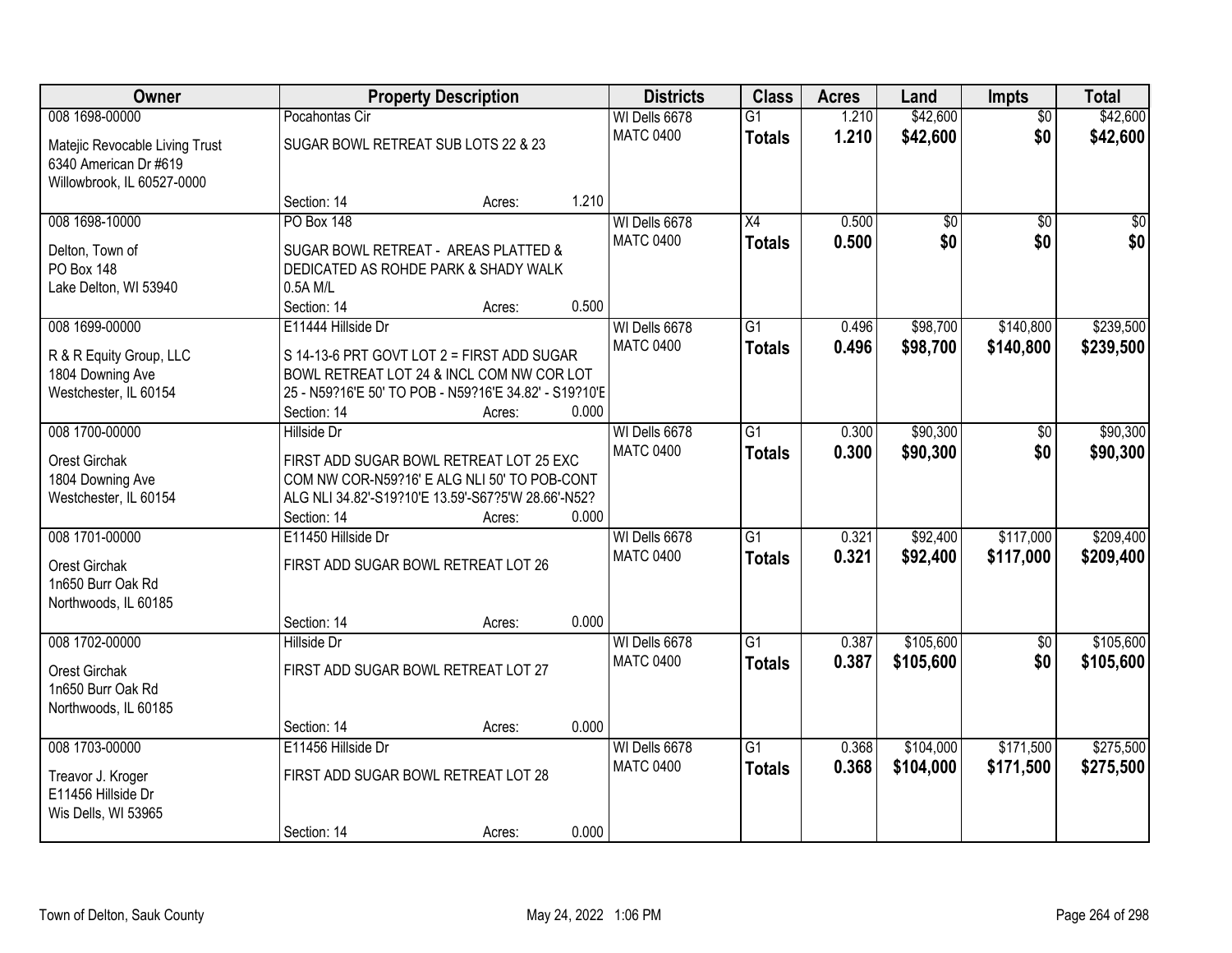| Owner                                                                           |                                                                                     | <b>Property Description</b>                                                                                                                                |                                   | <b>Districts</b>                  | <b>Class</b>                     | <b>Acres</b>         | Land                   | <b>Impts</b>           | <b>Total</b> |
|---------------------------------------------------------------------------------|-------------------------------------------------------------------------------------|------------------------------------------------------------------------------------------------------------------------------------------------------------|-----------------------------------|-----------------------------------|----------------------------------|----------------------|------------------------|------------------------|--------------|
| 008 1698-00000<br>Matejic Revocable Living Trust<br>6340 American Dr #619       | Pocahontas Cir<br>SUGAR BOWL RETREAT SUB LOTS 22 & 23<br>Willowbrook, IL 60527-0000 |                                                                                                                                                            | WI Dells 6678<br><b>MATC 0400</b> | $\overline{G1}$<br><b>Totals</b>  | 1.210<br>1.210                   | \$42,600<br>\$42,600 | $\overline{50}$<br>\$0 | \$42,600<br>\$42,600   |              |
|                                                                                 | Section: 14                                                                         | Acres:                                                                                                                                                     | 1.210                             |                                   |                                  |                      |                        |                        |              |
| 008 1698-10000<br>Delton, Town of<br><b>PO Box 148</b><br>Lake Delton, WI 53940 | <b>PO Box 148</b><br>0.5A M/L<br>Section: 14                                        | SUGAR BOWL RETREAT - AREAS PLATTED &<br>DEDICATED AS ROHDE PARK & SHADY WALK<br>Acres:                                                                     | 0.500                             | WI Dells 6678<br><b>MATC 0400</b> | $\overline{X4}$<br><b>Totals</b> | 0.500<br>0.500       | \$0<br>\$0             | $\overline{50}$<br>\$0 | \$0<br>\$0   |
| 008 1699-00000                                                                  | E11444 Hillside Dr                                                                  |                                                                                                                                                            |                                   | WI Dells 6678                     | $\overline{G1}$                  | 0.496                | \$98,700               | \$140,800              | \$239,500    |
| R & R Equity Group, LLC<br>1804 Downing Ave<br>Westchester, IL 60154            | Section: 14                                                                         | S 14-13-6 PRT GOVT LOT 2 = FIRST ADD SUGAR<br>BOWL RETREAT LOT 24 & INCL COM NW COR LOT<br>25 - N59?16'E 50' TO POB - N59?16'E 34.82' - S19?10'E<br>Acres: | 0.000                             | <b>MATC 0400</b>                  | <b>Totals</b>                    | 0.496                | \$98,700               | \$140,800              | \$239,500    |
| 008 1700-00000                                                                  | <b>Hillside Dr</b>                                                                  |                                                                                                                                                            |                                   | WI Dells 6678                     | $\overline{G1}$                  | 0.300                | \$90,300               | \$0                    | \$90,300     |
| Orest Girchak<br>1804 Downing Ave<br>Westchester, IL 60154                      | Section: 14                                                                         | FIRST ADD SUGAR BOWL RETREAT LOT 25 EXC<br>COM NW COR-N59?16' E ALG NLI 50' TO POB-CONT<br>ALG NLI 34.82'-S19?10'E 13.59'-S67?5'W 28.66'-N52?<br>Acres:    | 0.000                             | <b>MATC 0400</b>                  | <b>Totals</b>                    | 0.300                | \$90,300               | \$0                    | \$90,300     |
| 008 1701-00000                                                                  | E11450 Hillside Dr                                                                  |                                                                                                                                                            |                                   | WI Dells 6678                     | $\overline{G1}$                  | 0.321                | \$92,400               | \$117,000              | \$209,400    |
| Orest Girchak<br>1n650 Burr Oak Rd<br>Northwoods, IL 60185                      | FIRST ADD SUGAR BOWL RETREAT LOT 26<br>Section: 14                                  | Acres:                                                                                                                                                     | 0.000                             | <b>MATC 0400</b>                  | <b>Totals</b>                    | 0.321                | \$92,400               | \$117,000              | \$209,400    |
| 008 1702-00000                                                                  | <b>Hillside Dr</b>                                                                  |                                                                                                                                                            |                                   | WI Dells 6678                     | $\overline{G1}$                  | 0.387                | \$105,600              | $\sqrt{6}$             | \$105,600    |
| Orest Girchak<br>1n650 Burr Oak Rd<br>Northwoods, IL 60185                      | FIRST ADD SUGAR BOWL RETREAT LOT 27                                                 |                                                                                                                                                            |                                   | <b>MATC 0400</b>                  | <b>Totals</b>                    | 0.387                | \$105,600              | \$0                    | \$105,600    |
|                                                                                 | Section: 14                                                                         | Acres:                                                                                                                                                     | 0.000                             |                                   |                                  |                      |                        |                        |              |
| 008 1703-00000                                                                  | E11456 Hillside Dr                                                                  |                                                                                                                                                            |                                   | WI Dells 6678                     | $\overline{G1}$                  | 0.368                | \$104,000              | \$171,500              | \$275,500    |
| Treavor J. Kroger<br>E11456 Hillside Dr<br>Wis Dells, WI 53965                  | FIRST ADD SUGAR BOWL RETREAT LOT 28                                                 |                                                                                                                                                            |                                   | <b>MATC 0400</b>                  | <b>Totals</b>                    | 0.368                | \$104,000              | \$171,500              | \$275,500    |
|                                                                                 | Section: 14                                                                         | Acres:                                                                                                                                                     | 0.000                             |                                   |                                  |                      |                        |                        |              |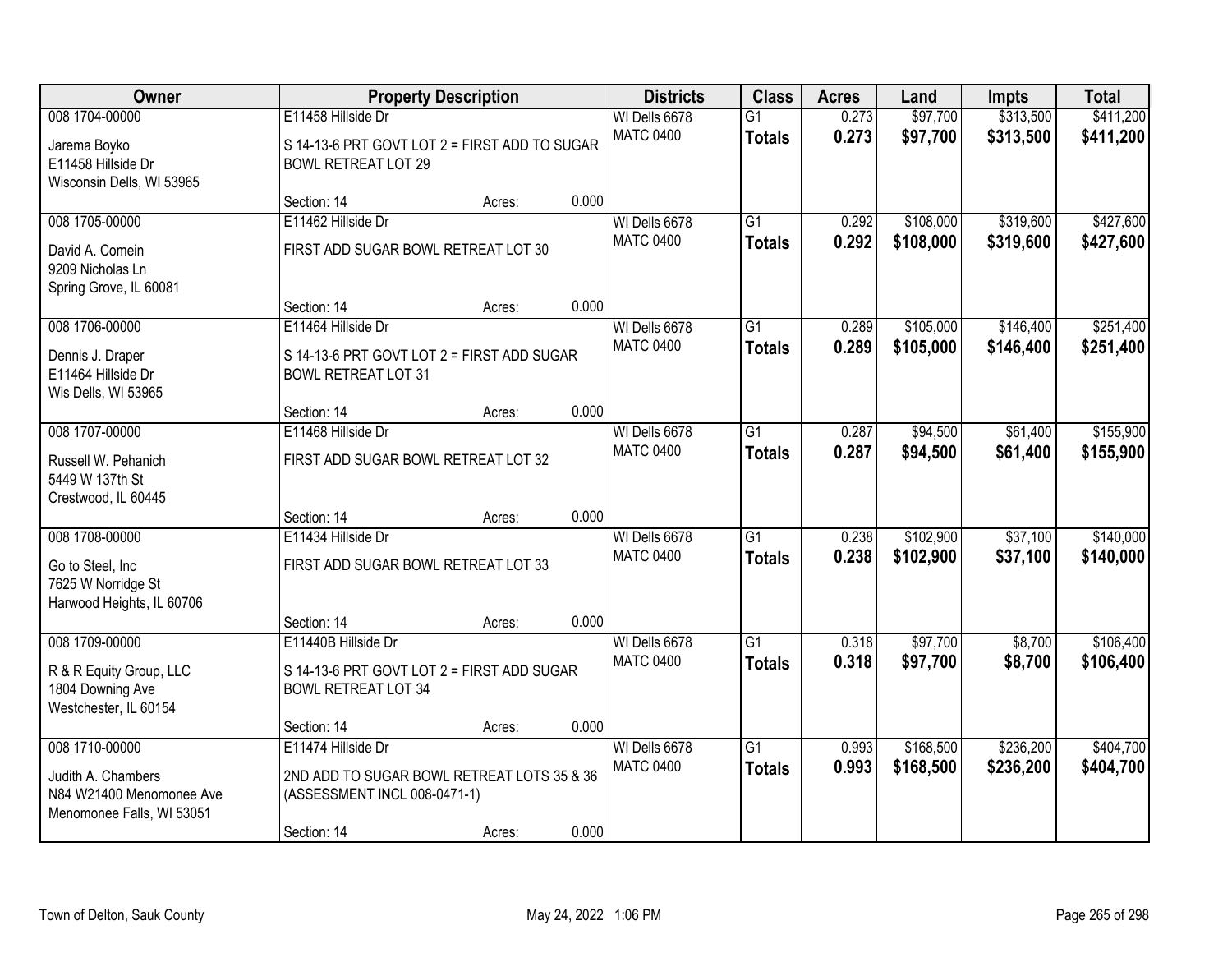| Owner                                                                                         |                                                                                                                 | <b>Property Description</b> |       | <b>Districts</b>                  | <b>Class</b>                     | <b>Acres</b>   | Land                   | <b>Impts</b>           | <b>Total</b>           |
|-----------------------------------------------------------------------------------------------|-----------------------------------------------------------------------------------------------------------------|-----------------------------|-------|-----------------------------------|----------------------------------|----------------|------------------------|------------------------|------------------------|
| 008 1704-00000<br>Jarema Boyko<br>E11458 Hillside Dr<br>Wisconsin Dells, WI 53965             | E11458 Hillside Dr<br>S 14-13-6 PRT GOVT LOT 2 = FIRST ADD TO SUGAR<br><b>BOWL RETREAT LOT 29</b>               |                             |       | WI Dells 6678<br><b>MATC 0400</b> | $\overline{G1}$<br><b>Totals</b> | 0.273<br>0.273 | \$97,700<br>\$97,700   | \$313,500<br>\$313,500 | \$411,200<br>\$411,200 |
|                                                                                               | Section: 14                                                                                                     | Acres:                      | 0.000 |                                   |                                  |                |                        |                        |                        |
| 008 1705-00000<br>David A. Comein<br>9209 Nicholas Ln<br>Spring Grove, IL 60081               | E11462 Hillside Dr<br>FIRST ADD SUGAR BOWL RETREAT LOT 30                                                       |                             |       | WI Dells 6678<br><b>MATC 0400</b> | $\overline{G1}$<br><b>Totals</b> | 0.292<br>0.292 | \$108,000<br>\$108,000 | \$319,600<br>\$319,600 | \$427,600<br>\$427,600 |
|                                                                                               | Section: 14                                                                                                     | Acres:                      | 0.000 |                                   |                                  |                |                        |                        |                        |
| 008 1706-00000<br>Dennis J. Draper<br>E11464 Hillside Dr<br>Wis Dells, WI 53965               | E11464 Hillside Dr<br>S 14-13-6 PRT GOVT LOT 2 = FIRST ADD SUGAR<br><b>BOWL RETREAT LOT 31</b>                  |                             |       | WI Dells 6678<br><b>MATC 0400</b> | $\overline{G1}$<br><b>Totals</b> | 0.289<br>0.289 | \$105,000<br>\$105,000 | \$146,400<br>\$146,400 | \$251,400<br>\$251,400 |
|                                                                                               | Section: 14                                                                                                     | Acres:                      | 0.000 |                                   |                                  |                |                        |                        |                        |
| 008 1707-00000<br>Russell W. Pehanich<br>5449 W 137th St<br>Crestwood, IL 60445               | E11468 Hillside Dr<br>FIRST ADD SUGAR BOWL RETREAT LOT 32                                                       |                             |       | WI Dells 6678<br><b>MATC 0400</b> | G1<br><b>Totals</b>              | 0.287<br>0.287 | \$94,500<br>\$94,500   | \$61,400<br>\$61,400   | \$155,900<br>\$155,900 |
|                                                                                               | Section: 14                                                                                                     | Acres:                      | 0.000 |                                   |                                  |                |                        |                        |                        |
| 008 1708-00000<br>Go to Steel, Inc<br>7625 W Norridge St<br>Harwood Heights, IL 60706         | E11434 Hillside Dr<br>FIRST ADD SUGAR BOWL RETREAT LOT 33                                                       |                             |       | WI Dells 6678<br><b>MATC 0400</b> | $\overline{G1}$<br><b>Totals</b> | 0.238<br>0.238 | \$102,900<br>\$102,900 | \$37,100<br>\$37,100   | \$140,000<br>\$140,000 |
|                                                                                               | Section: 14                                                                                                     | Acres:                      | 0.000 |                                   |                                  |                |                        |                        |                        |
| 008 1709-00000<br>R & R Equity Group, LLC<br>1804 Downing Ave<br>Westchester, IL 60154        | E11440B Hillside Dr<br>S 14-13-6 PRT GOVT LOT 2 = FIRST ADD SUGAR<br><b>BOWL RETREAT LOT 34</b>                 |                             |       | WI Dells 6678<br><b>MATC 0400</b> | $\overline{G1}$<br><b>Totals</b> | 0.318<br>0.318 | \$97,700<br>\$97,700   | \$8,700<br>\$8,700     | \$106,400<br>\$106,400 |
|                                                                                               | Section: 14                                                                                                     | Acres:                      | 0.000 |                                   |                                  |                |                        |                        |                        |
| 008 1710-00000<br>Judith A. Chambers<br>N84 W21400 Menomonee Ave<br>Menomonee Falls, WI 53051 | E11474 Hillside Dr<br>2ND ADD TO SUGAR BOWL RETREAT LOTS 35 & 36<br>(ASSESSMENT INCL 008-0471-1)<br>Section: 14 | Acres:                      | 0.000 | WI Dells 6678<br><b>MATC 0400</b> | $\overline{G1}$<br><b>Totals</b> | 0.993<br>0.993 | \$168,500<br>\$168,500 | \$236,200<br>\$236,200 | \$404,700<br>\$404,700 |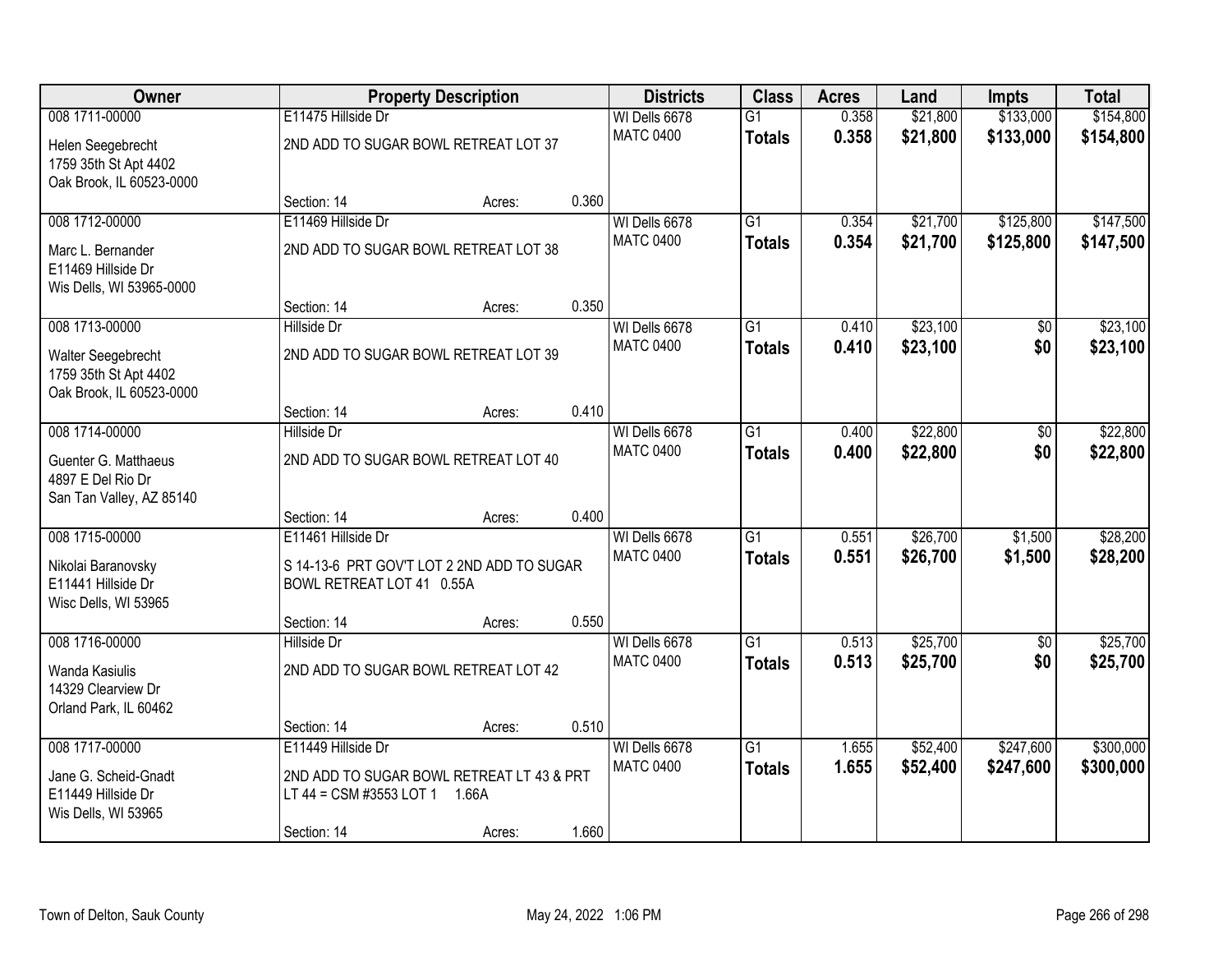| Owner                                                                 |                                                                         | <b>Property Description</b> |       | <b>Districts</b> | <b>Class</b>    | <b>Acres</b> | Land     | <b>Impts</b> | <b>Total</b> |
|-----------------------------------------------------------------------|-------------------------------------------------------------------------|-----------------------------|-------|------------------|-----------------|--------------|----------|--------------|--------------|
| 008 1711-00000                                                        | E11475 Hillside Dr                                                      |                             |       | WI Dells 6678    | $\overline{G1}$ | 0.358        | \$21,800 | \$133,000    | \$154,800    |
| Helen Seegebrecht<br>1759 35th St Apt 4402                            | 2ND ADD TO SUGAR BOWL RETREAT LOT 37                                    |                             |       | <b>MATC 0400</b> | <b>Totals</b>   | 0.358        | \$21,800 | \$133,000    | \$154,800    |
| Oak Brook, IL 60523-0000                                              |                                                                         |                             |       |                  |                 |              |          |              |              |
|                                                                       | Section: 14                                                             | Acres:                      | 0.360 |                  |                 |              |          |              |              |
| 008 1712-00000                                                        | E11469 Hillside Dr                                                      |                             |       | WI Dells 6678    | $\overline{G1}$ | 0.354        | \$21,700 | \$125,800    | \$147,500    |
| Marc L. Bernander<br>E11469 Hillside Dr                               | 2ND ADD TO SUGAR BOWL RETREAT LOT 38                                    |                             |       | <b>MATC 0400</b> | <b>Totals</b>   | 0.354        | \$21,700 | \$125,800    | \$147,500    |
| Wis Dells, WI 53965-0000                                              | Section: 14                                                             | Acres:                      | 0.350 |                  |                 |              |          |              |              |
| 008 1713-00000                                                        | Hillside Dr                                                             |                             |       | WI Dells 6678    | $\overline{G1}$ | 0.410        | \$23,100 | \$0          | \$23,100     |
| Walter Seegebrecht<br>1759 35th St Apt 4402                           | 2ND ADD TO SUGAR BOWL RETREAT LOT 39                                    |                             |       | <b>MATC 0400</b> | <b>Totals</b>   | 0.410        | \$23,100 | \$0          | \$23,100     |
| Oak Brook, IL 60523-0000                                              |                                                                         |                             |       |                  |                 |              |          |              |              |
|                                                                       | Section: 14                                                             | Acres:                      | 0.410 |                  |                 |              |          |              |              |
| 008 1714-00000                                                        | Hillside Dr                                                             |                             |       | WI Dells 6678    | $\overline{G1}$ | 0.400        | \$22,800 | \$0          | \$22,800     |
| Guenter G. Matthaeus<br>4897 E Del Rio Dr<br>San Tan Valley, AZ 85140 | 2ND ADD TO SUGAR BOWL RETREAT LOT 40                                    |                             |       | <b>MATC 0400</b> | <b>Totals</b>   | 0.400        | \$22,800 | \$0          | \$22,800     |
|                                                                       | Section: 14                                                             | Acres:                      | 0.400 |                  |                 |              |          |              |              |
| 008 1715-00000                                                        | E11461 Hillside Dr                                                      |                             |       | WI Dells 6678    | $\overline{G1}$ | 0.551        | \$26,700 | \$1,500      | \$28,200     |
|                                                                       |                                                                         |                             |       | <b>MATC 0400</b> | <b>Totals</b>   | 0.551        | \$26,700 | \$1,500      | \$28,200     |
| Nikolai Baranovsky<br>E11441 Hillside Dr                              | S 14-13-6 PRT GOV'T LOT 2 2ND ADD TO SUGAR<br>BOWL RETREAT LOT 41 0.55A |                             |       |                  |                 |              |          |              |              |
| Wisc Dells, WI 53965                                                  |                                                                         |                             |       |                  |                 |              |          |              |              |
|                                                                       | Section: 14                                                             | Acres:                      | 0.550 |                  |                 |              |          |              |              |
| 008 1716-00000                                                        | Hillside Dr                                                             |                             |       | WI Dells 6678    | $\overline{G1}$ | 0.513        | \$25,700 | $\sqrt{6}$   | \$25,700     |
| Wanda Kasiulis<br>14329 Clearview Dr                                  | 2ND ADD TO SUGAR BOWL RETREAT LOT 42                                    |                             |       | <b>MATC 0400</b> | <b>Totals</b>   | 0.513        | \$25,700 | \$0          | \$25,700     |
| Orland Park, IL 60462                                                 | Section: 14                                                             |                             | 0.510 |                  |                 |              |          |              |              |
| 008 1717-00000                                                        | E11449 Hillside Dr                                                      | Acres:                      |       | WI Dells 6678    | $\overline{G1}$ | 1.655        | \$52,400 | \$247,600    | \$300,000    |
|                                                                       |                                                                         |                             |       | <b>MATC 0400</b> | <b>Totals</b>   | 1.655        | \$52,400 | \$247,600    | \$300,000    |
| Jane G. Scheid-Gnadt                                                  | 2ND ADD TO SUGAR BOWL RETREAT LT 43 & PRT                               |                             |       |                  |                 |              |          |              |              |
| E11449 Hillside Dr                                                    | LT 44 = CSM #3553 LOT 1 1.66A                                           |                             |       |                  |                 |              |          |              |              |
| Wis Dells, WI 53965                                                   | Section: 14                                                             | Acres:                      | 1.660 |                  |                 |              |          |              |              |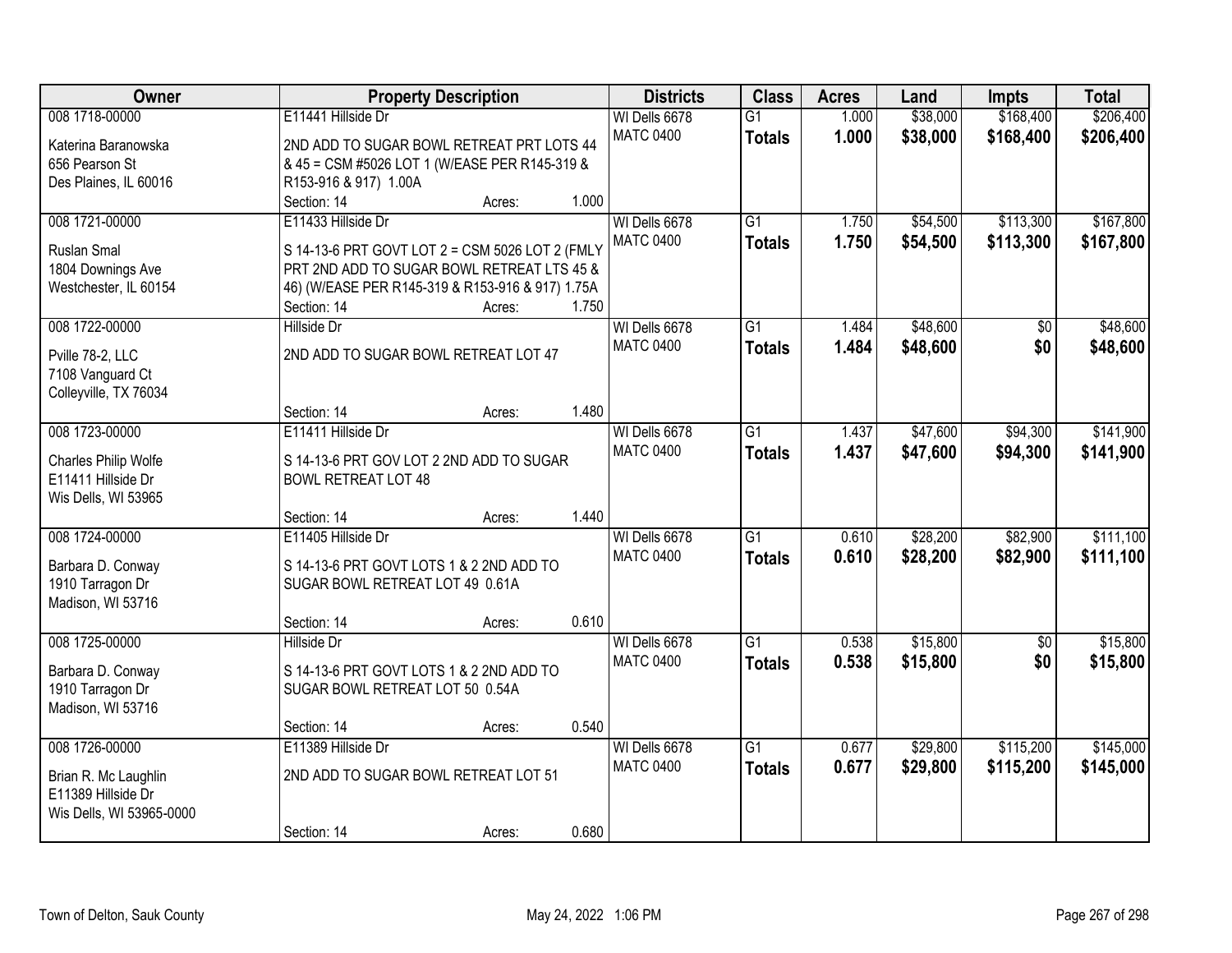| Owner                    |                                                  | <b>Property Description</b> |       | <b>Districts</b>                  | <b>Class</b>    | <b>Acres</b>   | Land     | <b>Impts</b> | <b>Total</b> |
|--------------------------|--------------------------------------------------|-----------------------------|-------|-----------------------------------|-----------------|----------------|----------|--------------|--------------|
| 008 1718-00000           | E11441 Hillside Dr                               |                             |       | WI Dells 6678<br><b>MATC 0400</b> | $\overline{G1}$ | 1.000<br>1.000 | \$38,000 | \$168,400    | \$206,400    |
| Katerina Baranowska      | 2ND ADD TO SUGAR BOWL RETREAT PRT LOTS 44        |                             |       |                                   | <b>Totals</b>   |                | \$38,000 | \$168,400    | \$206,400    |
| 656 Pearson St           | & 45 = CSM #5026 LOT 1 (W/EASE PER R145-319 &    |                             |       |                                   |                 |                |          |              |              |
| Des Plaines, IL 60016    | R153-916 & 917) 1.00A                            |                             |       |                                   |                 |                |          |              |              |
|                          | Section: 14                                      | Acres:                      | 1.000 |                                   |                 |                |          |              |              |
| 008 1721-00000           | E11433 Hillside Dr                               |                             |       | WI Dells 6678                     | $\overline{G1}$ | 1.750          | \$54,500 | \$113,300    | \$167,800    |
| Ruslan Smal              | S 14-13-6 PRT GOVT LOT 2 = CSM 5026 LOT 2 (FMLY  |                             |       | <b>MATC 0400</b>                  | <b>Totals</b>   | 1.750          | \$54,500 | \$113,300    | \$167,800    |
| 1804 Downings Ave        | PRT 2ND ADD TO SUGAR BOWL RETREAT LTS 45 &       |                             |       |                                   |                 |                |          |              |              |
| Westchester, IL 60154    | 46) (W/EASE PER R145-319 & R153-916 & 917) 1.75A |                             |       |                                   |                 |                |          |              |              |
|                          | Section: 14                                      | Acres:                      | 1.750 |                                   |                 |                |          |              |              |
| 008 1722-00000           | <b>Hillside Dr</b>                               |                             |       | WI Dells 6678                     | $\overline{G1}$ | 1.484          | \$48,600 | \$0          | \$48,600     |
|                          | 2ND ADD TO SUGAR BOWL RETREAT LOT 47             |                             |       | <b>MATC 0400</b>                  | <b>Totals</b>   | 1.484          | \$48,600 | \$0          | \$48,600     |
| Pville 78-2, LLC         |                                                  |                             |       |                                   |                 |                |          |              |              |
| 7108 Vanguard Ct         |                                                  |                             |       |                                   |                 |                |          |              |              |
| Colleyville, TX 76034    | Section: 14                                      |                             | 1.480 |                                   |                 |                |          |              |              |
|                          |                                                  | Acres:                      |       |                                   |                 |                |          |              |              |
| 008 1723-00000           | E11411 Hillside Dr                               |                             |       | WI Dells 6678                     | $\overline{G1}$ | 1.437          | \$47,600 | \$94,300     | \$141,900    |
| Charles Philip Wolfe     | S 14-13-6 PRT GOV LOT 2 2ND ADD TO SUGAR         |                             |       | <b>MATC 0400</b>                  | <b>Totals</b>   | 1.437          | \$47,600 | \$94,300     | \$141,900    |
| E11411 Hillside Dr       | <b>BOWL RETREAT LOT 48</b>                       |                             |       |                                   |                 |                |          |              |              |
| Wis Dells, WI 53965      |                                                  |                             |       |                                   |                 |                |          |              |              |
|                          | Section: 14                                      | Acres:                      | 1.440 |                                   |                 |                |          |              |              |
| 008 1724-00000           | E11405 Hillside Dr                               |                             |       | WI Dells 6678                     | $\overline{G1}$ | 0.610          | \$28,200 | \$82,900     | \$111,100    |
|                          |                                                  |                             |       | <b>MATC 0400</b>                  | <b>Totals</b>   | 0.610          | \$28,200 | \$82,900     | \$111,100    |
| Barbara D. Conway        | S 14-13-6 PRT GOVT LOTS 1 & 2 2ND ADD TO         |                             |       |                                   |                 |                |          |              |              |
| 1910 Tarragon Dr         | SUGAR BOWL RETREAT LOT 49 0.61A                  |                             |       |                                   |                 |                |          |              |              |
| Madison, WI 53716        |                                                  |                             |       |                                   |                 |                |          |              |              |
|                          | Section: 14                                      | Acres:                      | 0.610 |                                   |                 |                |          |              |              |
| 008 1725-00000           | <b>Hillside Dr</b>                               |                             |       | WI Dells 6678                     | $\overline{G1}$ | 0.538          | \$15,800 | $\sqrt{6}$   | \$15,800     |
| Barbara D. Conway        | S 14-13-6 PRT GOVT LOTS 1 & 2 2ND ADD TO         |                             |       | <b>MATC 0400</b>                  | <b>Totals</b>   | 0.538          | \$15,800 | \$0          | \$15,800     |
| 1910 Tarragon Dr         | SUGAR BOWL RETREAT LOT 50 0.54A                  |                             |       |                                   |                 |                |          |              |              |
| Madison, WI 53716        |                                                  |                             |       |                                   |                 |                |          |              |              |
|                          | Section: 14                                      | Acres:                      | 0.540 |                                   |                 |                |          |              |              |
| 008 1726-00000           | E11389 Hillside Dr                               |                             |       | WI Dells 6678                     | $\overline{G1}$ | 0.677          | \$29,800 | \$115,200    | \$145,000    |
|                          |                                                  |                             |       | <b>MATC 0400</b>                  | <b>Totals</b>   | 0.677          | \$29,800 | \$115,200    | \$145,000    |
| Brian R. Mc Laughlin     | 2ND ADD TO SUGAR BOWL RETREAT LOT 51             |                             |       |                                   |                 |                |          |              |              |
| E11389 Hillside Dr       |                                                  |                             |       |                                   |                 |                |          |              |              |
| Wis Dells, WI 53965-0000 |                                                  |                             |       |                                   |                 |                |          |              |              |
|                          | Section: 14                                      | Acres:                      | 0.680 |                                   |                 |                |          |              |              |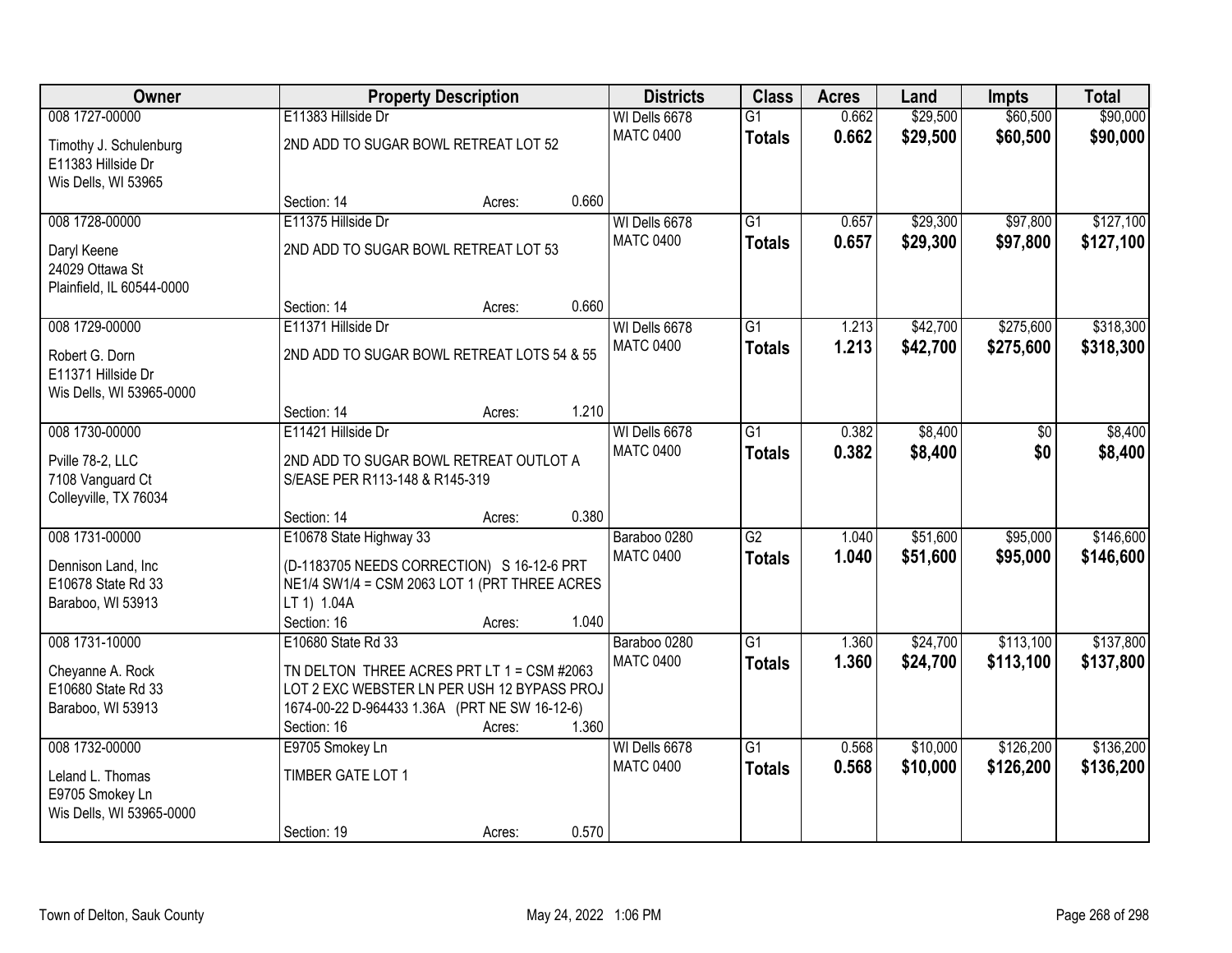| Owner                                                          |                                                                          | <b>Property Description</b> |       | <b>Districts</b>                  | <b>Class</b>                     | <b>Acres</b>   | Land                 | <b>Impts</b>           | <b>Total</b>           |
|----------------------------------------------------------------|--------------------------------------------------------------------------|-----------------------------|-------|-----------------------------------|----------------------------------|----------------|----------------------|------------------------|------------------------|
| 008 1727-00000<br>Timothy J. Schulenburg<br>E11383 Hillside Dr | E11383 Hillside Dr<br>2ND ADD TO SUGAR BOWL RETREAT LOT 52               |                             |       | WI Dells 6678<br><b>MATC 0400</b> | $\overline{G1}$<br><b>Totals</b> | 0.662<br>0.662 | \$29,500<br>\$29,500 | \$60,500<br>\$60,500   | \$90,000<br>\$90,000   |
| Wis Dells, WI 53965                                            | Section: 14                                                              | Acres:                      | 0.660 |                                   |                                  |                |                      |                        |                        |
| 008 1728-00000                                                 | E11375 Hillside Dr                                                       |                             |       | WI Dells 6678                     | $\overline{G1}$                  | 0.657          | \$29,300             | \$97,800               | \$127,100              |
| Daryl Keene<br>24029 Ottawa St<br>Plainfield, IL 60544-0000    | 2ND ADD TO SUGAR BOWL RETREAT LOT 53                                     |                             |       | <b>MATC 0400</b>                  | <b>Totals</b>                    | 0.657          | \$29,300             | \$97,800               | \$127,100              |
|                                                                | Section: 14                                                              | Acres:                      | 0.660 |                                   |                                  |                |                      |                        |                        |
| 008 1729-00000<br>Robert G. Dorn                               | E11371 Hillside Dr<br>2ND ADD TO SUGAR BOWL RETREAT LOTS 54 & 55         |                             |       | WI Dells 6678<br><b>MATC 0400</b> | $\overline{G1}$<br><b>Totals</b> | 1.213<br>1.213 | \$42,700<br>\$42,700 | \$275,600<br>\$275,600 | \$318,300<br>\$318,300 |
| E11371 Hillside Dr<br>Wis Dells, WI 53965-0000                 |                                                                          |                             |       |                                   |                                  |                |                      |                        |                        |
|                                                                | Section: 14                                                              | Acres:                      | 1.210 |                                   |                                  |                |                      |                        |                        |
| 008 1730-00000                                                 | E11421 Hillside Dr                                                       |                             |       | WI Dells 6678                     | $\overline{G1}$                  | 0.382          | \$8,400              | \$0                    | \$8,400                |
| Pville 78-2, LLC<br>7108 Vanguard Ct<br>Colleyville, TX 76034  | 2ND ADD TO SUGAR BOWL RETREAT OUTLOT A<br>S/EASE PER R113-148 & R145-319 |                             |       | <b>MATC 0400</b>                  | <b>Totals</b>                    | 0.382          | \$8,400              | \$0                    | \$8,400                |
|                                                                | Section: 14                                                              | Acres:                      | 0.380 |                                   |                                  |                |                      |                        |                        |
| 008 1731-00000                                                 | E10678 State Highway 33                                                  |                             |       | Baraboo 0280                      | $\overline{G2}$                  | 1.040          | \$51,600             | \$95,000               | \$146,600              |
| Dennison Land, Inc                                             | (D-1183705 NEEDS CORRECTION) S 16-12-6 PRT                               |                             |       | <b>MATC 0400</b>                  | <b>Totals</b>                    | 1.040          | \$51,600             | \$95,000               | \$146,600              |
| E10678 State Rd 33                                             | NE1/4 SW1/4 = CSM 2063 LOT 1 (PRT THREE ACRES                            |                             |       |                                   |                                  |                |                      |                        |                        |
| Baraboo, WI 53913                                              | LT 1) 1.04A                                                              |                             |       |                                   |                                  |                |                      |                        |                        |
| 008 1731-10000                                                 | Section: 16<br>E10680 State Rd 33                                        | Acres:                      | 1.040 | Baraboo 0280                      | $\overline{G1}$                  | 1.360          | \$24,700             | \$113,100              | \$137,800              |
|                                                                |                                                                          |                             |       | <b>MATC 0400</b>                  | <b>Totals</b>                    | 1.360          | \$24,700             | \$113,100              | \$137,800              |
| Cheyanne A. Rock                                               | TN DELTON THREE ACRES PRT LT 1 = CSM #2063                               |                             |       |                                   |                                  |                |                      |                        |                        |
| E10680 State Rd 33                                             | LOT 2 EXC WEBSTER LN PER USH 12 BYPASS PROJ                              |                             |       |                                   |                                  |                |                      |                        |                        |
| Baraboo, WI 53913                                              | 1674-00-22 D-964433 1.36A (PRT NE SW 16-12-6)<br>Section: 16             | Acres:                      | 1.360 |                                   |                                  |                |                      |                        |                        |
| 008 1732-00000                                                 | E9705 Smokey Ln                                                          |                             |       | WI Dells 6678                     | $\overline{G1}$                  | 0.568          | \$10,000             | \$126,200              | \$136,200              |
| Leland L. Thomas<br>E9705 Smokey Ln                            | TIMBER GATE LOT 1                                                        |                             |       | <b>MATC 0400</b>                  | <b>Totals</b>                    | 0.568          | \$10,000             | \$126,200              | \$136,200              |
| Wis Dells, WI 53965-0000                                       |                                                                          |                             |       |                                   |                                  |                |                      |                        |                        |
|                                                                | Section: 19                                                              | Acres:                      | 0.570 |                                   |                                  |                |                      |                        |                        |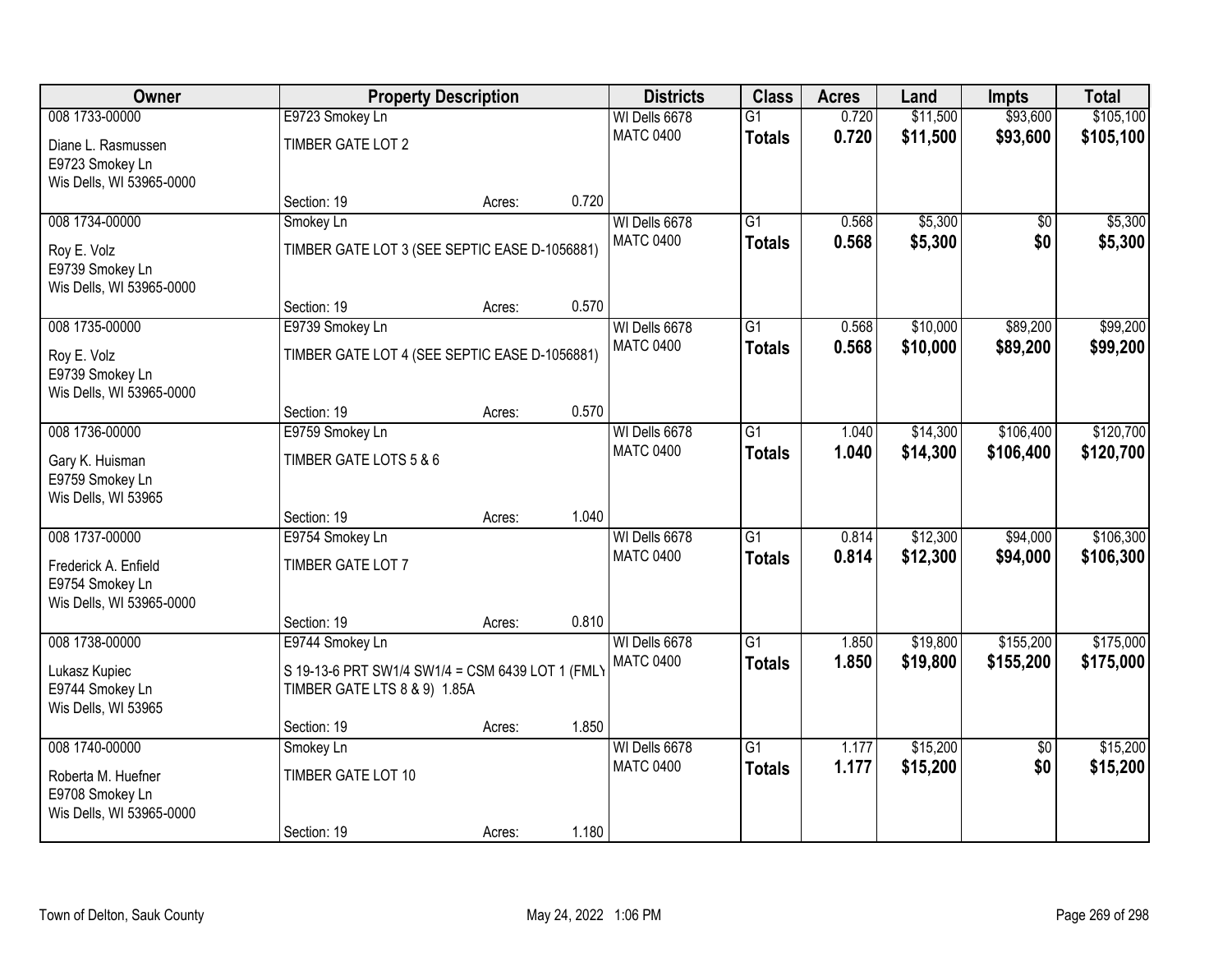| Owner                    |                                                  | <b>Property Description</b> |       | <b>Districts</b> | <b>Class</b>    | <b>Acres</b> | Land     | <b>Impts</b>    | <b>Total</b> |
|--------------------------|--------------------------------------------------|-----------------------------|-------|------------------|-----------------|--------------|----------|-----------------|--------------|
| 008 1733-00000           | E9723 Smokey Ln                                  |                             |       | WI Dells 6678    | $\overline{G1}$ | 0.720        | \$11,500 | \$93,600        | \$105,100    |
| Diane L. Rasmussen       | TIMBER GATE LOT 2                                |                             |       | <b>MATC 0400</b> | <b>Totals</b>   | 0.720        | \$11,500 | \$93,600        | \$105,100    |
| E9723 Smokey Ln          |                                                  |                             |       |                  |                 |              |          |                 |              |
| Wis Dells, WI 53965-0000 |                                                  |                             |       |                  |                 |              |          |                 |              |
|                          | Section: 19                                      | Acres:                      | 0.720 |                  |                 |              |          |                 |              |
| 008 1734-00000           | Smokey Ln                                        |                             |       | WI Dells 6678    | $\overline{G1}$ | 0.568        | \$5,300  | \$0             | \$5,300      |
| Roy E. Volz              | TIMBER GATE LOT 3 (SEE SEPTIC EASE D-1056881)    |                             |       | <b>MATC 0400</b> | <b>Totals</b>   | 0.568        | \$5,300  | \$0             | \$5,300      |
| E9739 Smokey Ln          |                                                  |                             |       |                  |                 |              |          |                 |              |
| Wis Dells, WI 53965-0000 |                                                  |                             |       |                  |                 |              |          |                 |              |
|                          | Section: 19                                      | Acres:                      | 0.570 |                  |                 |              |          |                 |              |
| 008 1735-00000           | E9739 Smokey Ln                                  |                             |       | WI Dells 6678    | $\overline{G1}$ | 0.568        | \$10,000 | \$89,200        | \$99,200     |
| Roy E. Volz              | TIMBER GATE LOT 4 (SEE SEPTIC EASE D-1056881)    |                             |       | <b>MATC 0400</b> | <b>Totals</b>   | 0.568        | \$10,000 | \$89,200        | \$99,200     |
| E9739 Smokey Ln          |                                                  |                             |       |                  |                 |              |          |                 |              |
| Wis Dells, WI 53965-0000 |                                                  |                             |       |                  |                 |              |          |                 |              |
|                          | Section: 19                                      | Acres:                      | 0.570 |                  |                 |              |          |                 |              |
| 008 1736-00000           | E9759 Smokey Ln                                  |                             |       | WI Dells 6678    | $\overline{G1}$ | 1.040        | \$14,300 | \$106,400       | \$120,700    |
| Gary K. Huisman          | TIMBER GATE LOTS 5 & 6                           |                             |       | <b>MATC 0400</b> | <b>Totals</b>   | 1.040        | \$14,300 | \$106,400       | \$120,700    |
| E9759 Smokey Ln          |                                                  |                             |       |                  |                 |              |          |                 |              |
| Wis Dells, WI 53965      |                                                  |                             |       |                  |                 |              |          |                 |              |
|                          | Section: 19                                      | Acres:                      | 1.040 |                  |                 |              |          |                 |              |
| 008 1737-00000           | E9754 Smokey Ln                                  |                             |       | WI Dells 6678    | $\overline{G1}$ | 0.814        | \$12,300 | \$94,000        | \$106,300    |
| Frederick A. Enfield     | TIMBER GATE LOT 7                                |                             |       | <b>MATC 0400</b> | <b>Totals</b>   | 0.814        | \$12,300 | \$94,000        | \$106,300    |
| E9754 Smokey Ln          |                                                  |                             |       |                  |                 |              |          |                 |              |
| Wis Dells, WI 53965-0000 |                                                  |                             |       |                  |                 |              |          |                 |              |
|                          | Section: 19                                      | Acres:                      | 0.810 |                  |                 |              |          |                 |              |
| 008 1738-00000           | E9744 Smokey Ln                                  |                             |       | WI Dells 6678    | $\overline{G1}$ | 1.850        | \$19,800 | \$155,200       | \$175,000    |
| Lukasz Kupiec            | S 19-13-6 PRT SW1/4 SW1/4 = CSM 6439 LOT 1 (FML) |                             |       | <b>MATC 0400</b> | <b>Totals</b>   | 1.850        | \$19,800 | \$155,200       | \$175,000    |
| E9744 Smokey Ln          | TIMBER GATE LTS 8 & 9) 1.85A                     |                             |       |                  |                 |              |          |                 |              |
| Wis Dells, WI 53965      |                                                  |                             |       |                  |                 |              |          |                 |              |
|                          | Section: 19                                      | Acres:                      | 1.850 |                  |                 |              |          |                 |              |
| 008 1740-00000           | Smokey Ln                                        |                             |       | WI Dells 6678    | $\overline{G1}$ | 1.177        | \$15,200 | $\overline{50}$ | \$15,200     |
| Roberta M. Huefner       | TIMBER GATE LOT 10                               |                             |       | <b>MATC 0400</b> | <b>Totals</b>   | 1.177        | \$15,200 | \$0             | \$15,200     |
| E9708 Smokey Ln          |                                                  |                             |       |                  |                 |              |          |                 |              |
| Wis Dells, WI 53965-0000 |                                                  |                             |       |                  |                 |              |          |                 |              |
|                          | Section: 19                                      | Acres:                      | 1.180 |                  |                 |              |          |                 |              |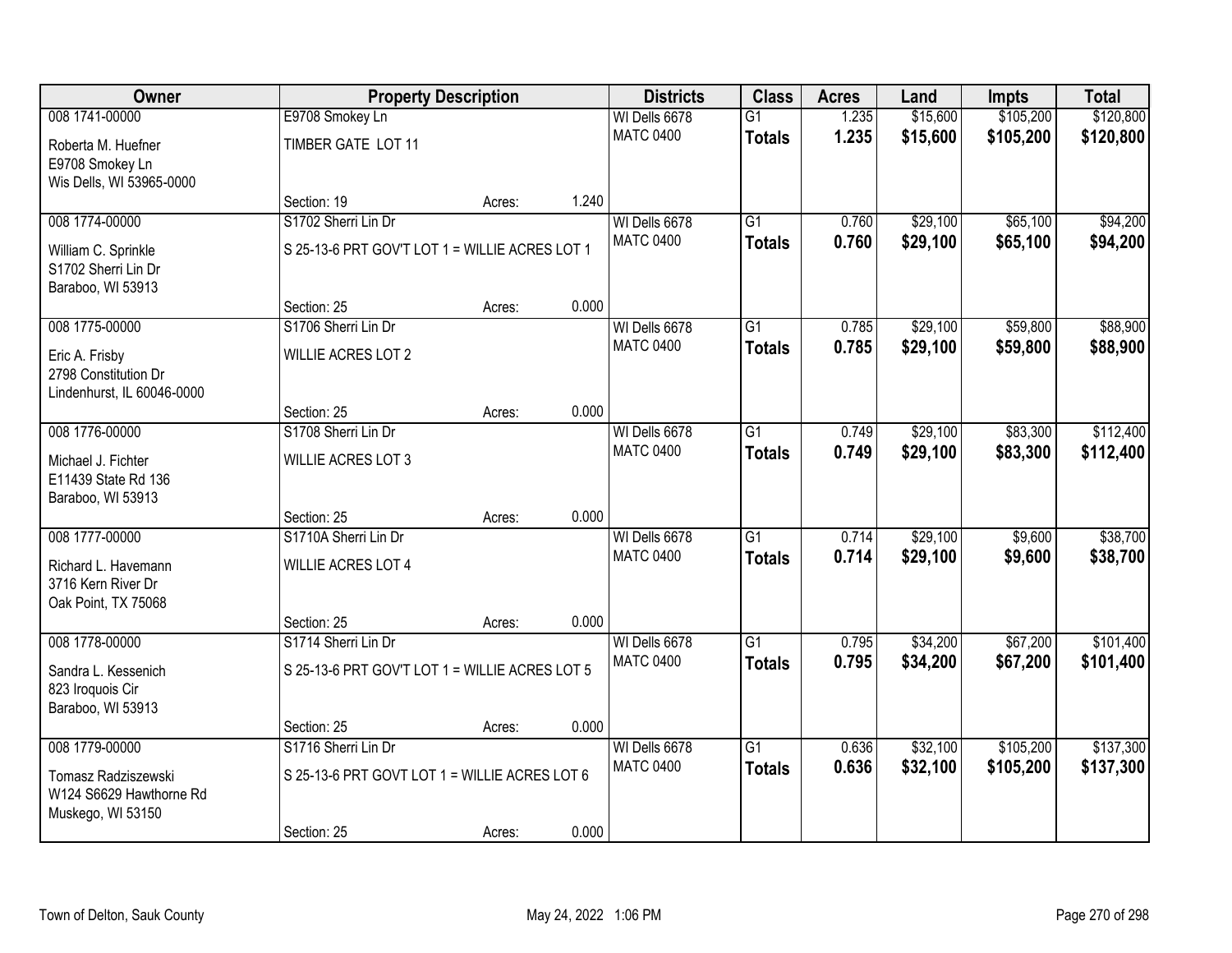| Owner                                                                |                                                | <b>Property Description</b> |       | <b>Districts</b> | <b>Class</b>    | <b>Acres</b> | Land     | <b>Impts</b> | <b>Total</b> |
|----------------------------------------------------------------------|------------------------------------------------|-----------------------------|-------|------------------|-----------------|--------------|----------|--------------|--------------|
| 008 1741-00000                                                       | E9708 Smokey Ln                                |                             |       | WI Dells 6678    | $\overline{G1}$ | 1.235        | \$15,600 | \$105,200    | \$120,800    |
| Roberta M. Huefner<br>E9708 Smokey Ln                                | TIMBER GATE LOT 11                             |                             |       | <b>MATC 0400</b> | <b>Totals</b>   | 1.235        | \$15,600 | \$105,200    | \$120,800    |
| Wis Dells, WI 53965-0000                                             |                                                |                             |       |                  |                 |              |          |              |              |
|                                                                      | Section: 19                                    | Acres:                      | 1.240 |                  |                 |              |          |              |              |
| 008 1774-00000                                                       | S1702 Sherri Lin Dr                            |                             |       | WI Dells 6678    | $\overline{G1}$ | 0.760        | \$29,100 | \$65,100     | \$94,200     |
| William C. Sprinkle<br>S1702 Sherri Lin Dr<br>Baraboo, WI 53913      | S 25-13-6 PRT GOV'T LOT 1 = WILLIE ACRES LOT 1 |                             |       | <b>MATC 0400</b> | <b>Totals</b>   | 0.760        | \$29,100 | \$65,100     | \$94,200     |
|                                                                      | Section: 25                                    | Acres:                      | 0.000 |                  |                 |              |          |              |              |
| 008 1775-00000                                                       | S1706 Sherri Lin Dr                            |                             |       | WI Dells 6678    | $\overline{G1}$ | 0.785        | \$29,100 | \$59,800     | \$88,900     |
| Eric A. Frisby<br>2798 Constitution Dr<br>Lindenhurst, IL 60046-0000 | <b>WILLIE ACRES LOT 2</b>                      |                             |       | <b>MATC 0400</b> | <b>Totals</b>   | 0.785        | \$29,100 | \$59,800     | \$88,900     |
|                                                                      | Section: 25                                    | Acres:                      | 0.000 |                  |                 |              |          |              |              |
| 008 1776-00000                                                       | S1708 Sherri Lin Dr                            |                             |       | WI Dells 6678    | $\overline{G1}$ | 0.749        | \$29,100 | \$83,300     | \$112,400    |
|                                                                      |                                                |                             |       | <b>MATC 0400</b> | <b>Totals</b>   | 0.749        | \$29,100 | \$83,300     | \$112,400    |
| Michael J. Fichter<br>E11439 State Rd 136<br>Baraboo, WI 53913       | <b>WILLIE ACRES LOT 3</b>                      |                             |       |                  |                 |              |          |              |              |
|                                                                      | Section: 25                                    | Acres:                      | 0.000 |                  |                 |              |          |              |              |
| 008 1777-00000                                                       | S1710A Sherri Lin Dr                           |                             |       | WI Dells 6678    | $\overline{G1}$ | 0.714        | \$29,100 | \$9,600      | \$38,700     |
| Richard L. Havemann                                                  | WILLIE ACRES LOT 4                             |                             |       | <b>MATC 0400</b> | <b>Totals</b>   | 0.714        | \$29,100 | \$9,600      | \$38,700     |
| 3716 Kern River Dr                                                   |                                                |                             |       |                  |                 |              |          |              |              |
| Oak Point, TX 75068                                                  |                                                |                             |       |                  |                 |              |          |              |              |
|                                                                      | Section: 25                                    | Acres:                      | 0.000 |                  |                 |              |          |              |              |
| 008 1778-00000                                                       | S1714 Sherri Lin Dr                            |                             |       | WI Dells 6678    | $\overline{G1}$ | 0.795        | \$34,200 | \$67,200     | \$101,400    |
| Sandra L. Kessenich<br>823 Iroquois Cir<br>Baraboo, WI 53913         | S 25-13-6 PRT GOV'T LOT 1 = WILLIE ACRES LOT 5 |                             |       | <b>MATC 0400</b> | <b>Totals</b>   | 0.795        | \$34,200 | \$67,200     | \$101,400    |
|                                                                      | Section: 25                                    | Acres:                      | 0.000 |                  |                 |              |          |              |              |
| 008 1779-00000                                                       | S1716 Sherri Lin Dr                            |                             |       | WI Dells 6678    | $\overline{G1}$ | 0.636        | \$32,100 | \$105,200    | \$137,300    |
| Tomasz Radziszewski<br>W124 S6629 Hawthorne Rd<br>Muskego, WI 53150  | S 25-13-6 PRT GOVT LOT 1 = WILLIE ACRES LOT 6  |                             |       | <b>MATC 0400</b> | <b>Totals</b>   | 0.636        | \$32,100 | \$105,200    | \$137,300    |
|                                                                      | Section: 25                                    | Acres:                      | 0.000 |                  |                 |              |          |              |              |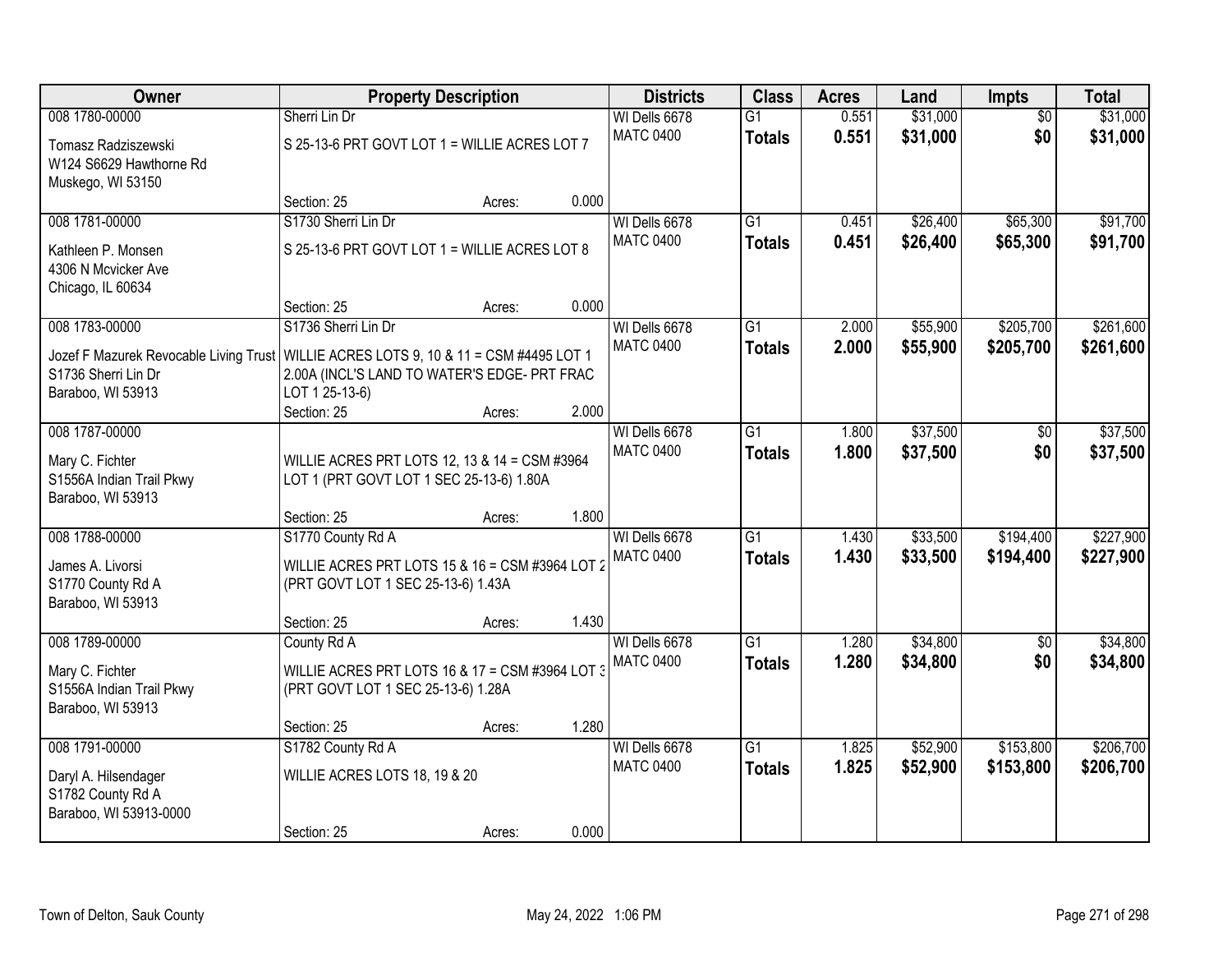| Owner                                                                                                                                                 | <b>Property Description</b>                                                                                |        |       | <b>Districts</b>                  | <b>Class</b>                     | <b>Acres</b>   | Land                 | Impts                  | <b>Total</b>           |
|-------------------------------------------------------------------------------------------------------------------------------------------------------|------------------------------------------------------------------------------------------------------------|--------|-------|-----------------------------------|----------------------------------|----------------|----------------------|------------------------|------------------------|
| 008 1780-00000<br>Tomasz Radziszewski<br>W124 S6629 Hawthorne Rd                                                                                      | Sherri Lin Dr<br>S 25-13-6 PRT GOVT LOT 1 = WILLIE ACRES LOT 7                                             |        |       | WI Dells 6678<br><b>MATC 0400</b> | $\overline{G1}$<br><b>Totals</b> | 0.551<br>0.551 | \$31,000<br>\$31,000 | $\overline{50}$<br>\$0 | \$31,000<br>\$31,000   |
| Muskego, WI 53150                                                                                                                                     | Section: 25                                                                                                | Acres: | 0.000 |                                   |                                  |                |                      |                        |                        |
| 008 1781-00000<br>Kathleen P. Monsen<br>4306 N Mcvicker Ave<br>Chicago, IL 60634                                                                      | S1730 Sherri Lin Dr<br>S 25-13-6 PRT GOVT LOT 1 = WILLIE ACRES LOT 8                                       |        |       | WI Dells 6678<br><b>MATC 0400</b> | $\overline{G1}$<br><b>Totals</b> | 0.451<br>0.451 | \$26,400<br>\$26,400 | \$65,300<br>\$65,300   | \$91,700<br>\$91,700   |
|                                                                                                                                                       | Section: 25                                                                                                | Acres: | 0.000 |                                   |                                  |                |                      |                        |                        |
| 008 1783-00000<br>Jozef F Mazurek Revocable Living Trust   WILLIE ACRES LOTS 9, 10 & 11 = CSM #4495 LOT 1<br>S1736 Sherri Lin Dr<br>Baraboo, WI 53913 | S1736 Sherri Lin Dr<br>2.00A (INCL'S LAND TO WATER'S EDGE- PRT FRAC<br>LOT 1 25-13-6)<br>Section: 25       | Acres: | 2.000 | WI Dells 6678<br><b>MATC 0400</b> | $\overline{G1}$<br><b>Totals</b> | 2.000<br>2.000 | \$55,900<br>\$55,900 | \$205,700<br>\$205,700 | \$261,600<br>\$261,600 |
| 008 1787-00000<br>Mary C. Fichter<br>S1556A Indian Trail Pkwy<br>Baraboo, WI 53913                                                                    | WILLIE ACRES PRT LOTS 12, 13 & 14 = CSM #3964<br>LOT 1 (PRT GOVT LOT 1 SEC 25-13-6) 1.80A                  |        |       | WI Dells 6678<br><b>MATC 0400</b> | $\overline{G1}$<br><b>Totals</b> | 1.800<br>1.800 | \$37,500<br>\$37,500 | \$0<br>\$0             | \$37,500<br>\$37,500   |
|                                                                                                                                                       | Section: 25                                                                                                | Acres: | 1.800 |                                   |                                  |                |                      |                        |                        |
| 008 1788-00000<br>James A. Livorsi<br>S1770 County Rd A<br>Baraboo, WI 53913                                                                          | S1770 County Rd A<br>WILLIE ACRES PRT LOTS 15 & 16 = CSM #3964 LOT 2<br>(PRT GOVT LOT 1 SEC 25-13-6) 1.43A |        |       | WI Dells 6678<br><b>MATC 0400</b> | $\overline{G1}$<br><b>Totals</b> | 1.430<br>1.430 | \$33,500<br>\$33,500 | \$194,400<br>\$194,400 | \$227,900<br>\$227,900 |
|                                                                                                                                                       | Section: 25                                                                                                | Acres: | 1.430 |                                   |                                  |                |                      |                        |                        |
| 008 1789-00000<br>Mary C. Fichter<br>S1556A Indian Trail Pkwy<br>Baraboo, WI 53913                                                                    | County Rd A<br>WILLIE ACRES PRT LOTS 16 & 17 = CSM #3964 LOT 3<br>(PRT GOVT LOT 1 SEC 25-13-6) 1.28A       |        |       | WI Dells 6678<br><b>MATC 0400</b> | $\overline{G1}$<br><b>Totals</b> | 1.280<br>1.280 | \$34,800<br>\$34,800 | $\sqrt{6}$<br>\$0      | \$34,800<br>\$34,800   |
|                                                                                                                                                       | Section: 25                                                                                                | Acres: | 1.280 |                                   |                                  |                |                      |                        |                        |
| 008 1791-00000<br>Daryl A. Hilsendager<br>S1782 County Rd A<br>Baraboo, WI 53913-0000                                                                 | S1782 County Rd A<br>WILLIE ACRES LOTS 18, 19 & 20<br>Section: 25                                          | Acres: | 0.000 | WI Dells 6678<br><b>MATC 0400</b> | $\overline{G1}$<br><b>Totals</b> | 1.825<br>1.825 | \$52,900<br>\$52,900 | \$153,800<br>\$153,800 | \$206,700<br>\$206,700 |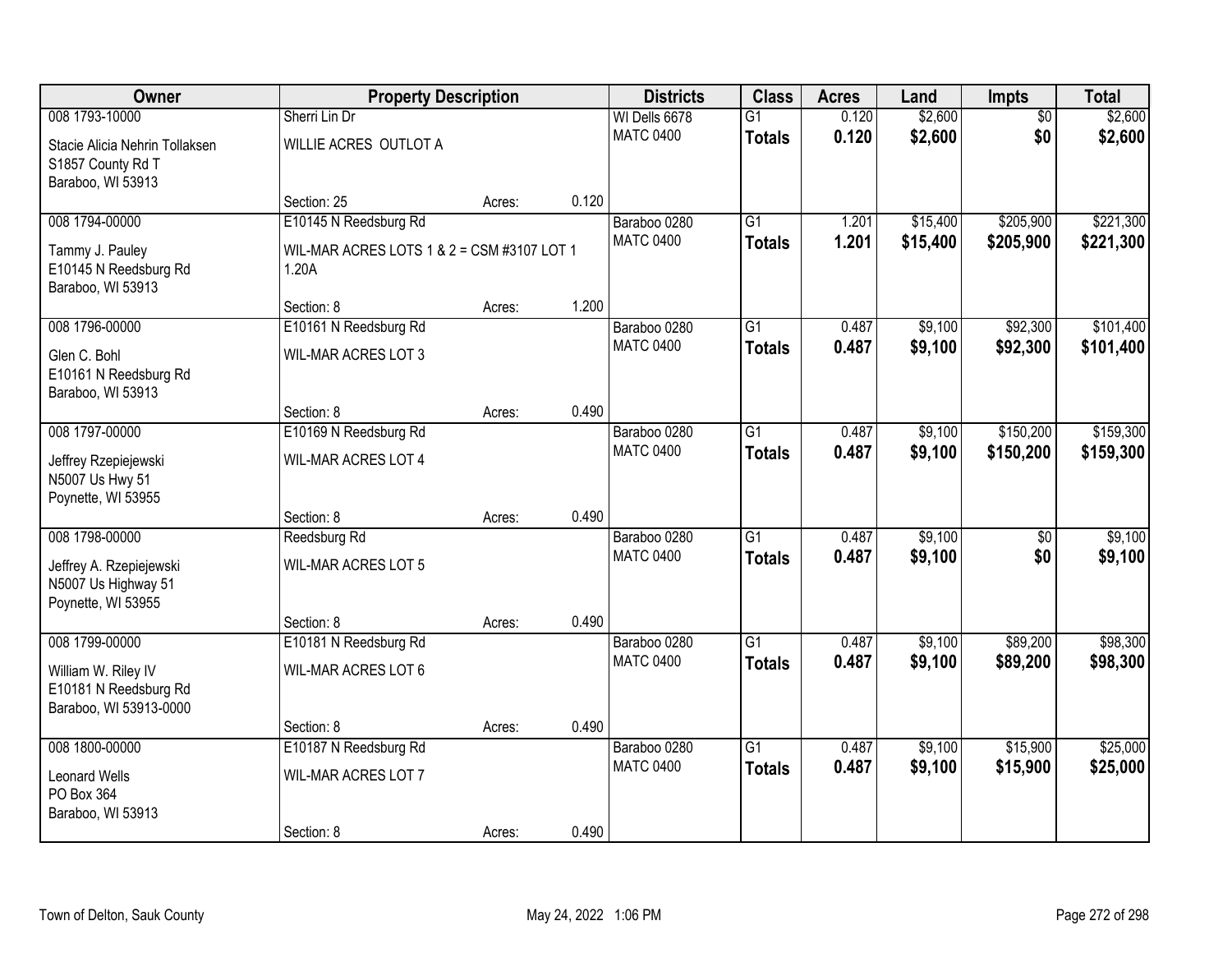| Owner                                                                  |                                                     | <b>Property Description</b> |       |                                   | <b>Class</b>                     | <b>Acres</b>   | Land               | Impts                  | <b>Total</b>       |
|------------------------------------------------------------------------|-----------------------------------------------------|-----------------------------|-------|-----------------------------------|----------------------------------|----------------|--------------------|------------------------|--------------------|
| 008 1793-10000<br>Stacie Alicia Nehrin Tollaksen                       | Sherri Lin Dr<br>WILLIE ACRES OUTLOT A              |                             |       | WI Dells 6678<br><b>MATC 0400</b> | $\overline{G1}$<br><b>Totals</b> | 0.120<br>0.120 | \$2,600<br>\$2,600 | $\overline{50}$<br>\$0 | \$2,600<br>\$2,600 |
| S1857 County Rd T<br>Baraboo, WI 53913                                 | Section: 25                                         | Acres:                      | 0.120 |                                   |                                  |                |                    |                        |                    |
| 008 1794-00000                                                         | E10145 N Reedsburg Rd                               |                             |       | Baraboo 0280                      | $\overline{G1}$                  | 1.201          | \$15,400           | \$205,900              | \$221,300          |
| Tammy J. Pauley<br>E10145 N Reedsburg Rd<br>Baraboo, WI 53913          | WIL-MAR ACRES LOTS 1 & 2 = CSM #3107 LOT 1<br>1.20A |                             |       | <b>MATC 0400</b>                  | <b>Totals</b>                    | 1.201          | \$15,400           | \$205,900              | \$221,300          |
|                                                                        | Section: 8                                          | Acres:                      | 1.200 |                                   |                                  |                |                    |                        |                    |
| 008 1796-00000                                                         | E10161 N Reedsburg Rd                               |                             |       | Baraboo 0280                      | G1                               | 0.487          | \$9,100            | \$92,300               | \$101,400          |
| Glen C. Bohl<br>E10161 N Reedsburg Rd<br>Baraboo, WI 53913             | <b>WIL-MAR ACRES LOT 3</b>                          |                             |       | <b>MATC 0400</b>                  | <b>Totals</b>                    | 0.487          | \$9,100            | \$92,300               | \$101,400          |
|                                                                        | Section: 8                                          | Acres:                      | 0.490 |                                   |                                  |                |                    |                        |                    |
| 008 1797-00000                                                         | E10169 N Reedsburg Rd                               |                             |       | Baraboo 0280                      | G1                               | 0.487          | \$9,100            | \$150,200              | \$159,300          |
| Jeffrey Rzepiejewski<br>N5007 Us Hwy 51<br>Poynette, WI 53955          | <b>WIL-MAR ACRES LOT 4</b>                          |                             |       | <b>MATC 0400</b>                  | <b>Totals</b>                    | 0.487          | \$9,100            | \$150,200              | \$159,300          |
|                                                                        | Section: 8                                          | Acres:                      | 0.490 |                                   |                                  |                |                    |                        |                    |
| 008 1798-00000                                                         | Reedsburg Rd                                        |                             |       | Baraboo 0280                      | $\overline{G1}$                  | 0.487          | \$9,100            | $\overline{50}$        | \$9,100            |
| Jeffrey A. Rzepiejewski<br>N5007 Us Highway 51<br>Poynette, WI 53955   | WIL-MAR ACRES LOT 5                                 |                             |       | <b>MATC 0400</b>                  | <b>Totals</b>                    | 0.487          | \$9,100            | \$0                    | \$9,100            |
|                                                                        | Section: 8                                          | Acres:                      | 0.490 |                                   |                                  |                |                    |                        |                    |
| 008 1799-00000                                                         | E10181 N Reedsburg Rd                               |                             |       | Baraboo 0280                      | $\overline{G1}$                  | 0.487          | \$9,100            | \$89,200               | \$98,300           |
| William W. Riley IV<br>E10181 N Reedsburg Rd<br>Baraboo, WI 53913-0000 | WIL-MAR ACRES LOT 6                                 |                             |       | <b>MATC 0400</b>                  | <b>Totals</b>                    | 0.487          | \$9,100            | \$89,200               | \$98,300           |
|                                                                        | Section: 8                                          | Acres:                      | 0.490 |                                   |                                  |                |                    |                        |                    |
| 008 1800-00000                                                         | E10187 N Reedsburg Rd                               |                             |       | Baraboo 0280                      | $\overline{G1}$                  | 0.487          | \$9,100            | \$15,900               | \$25,000           |
| <b>Leonard Wells</b><br>PO Box 364<br>Baraboo, WI 53913                | <b>WIL-MAR ACRES LOT 7</b>                          |                             |       | <b>MATC 0400</b>                  | <b>Totals</b>                    | 0.487          | \$9,100            | \$15,900               | \$25,000           |
|                                                                        | Section: 8                                          | Acres:                      | 0.490 |                                   |                                  |                |                    |                        |                    |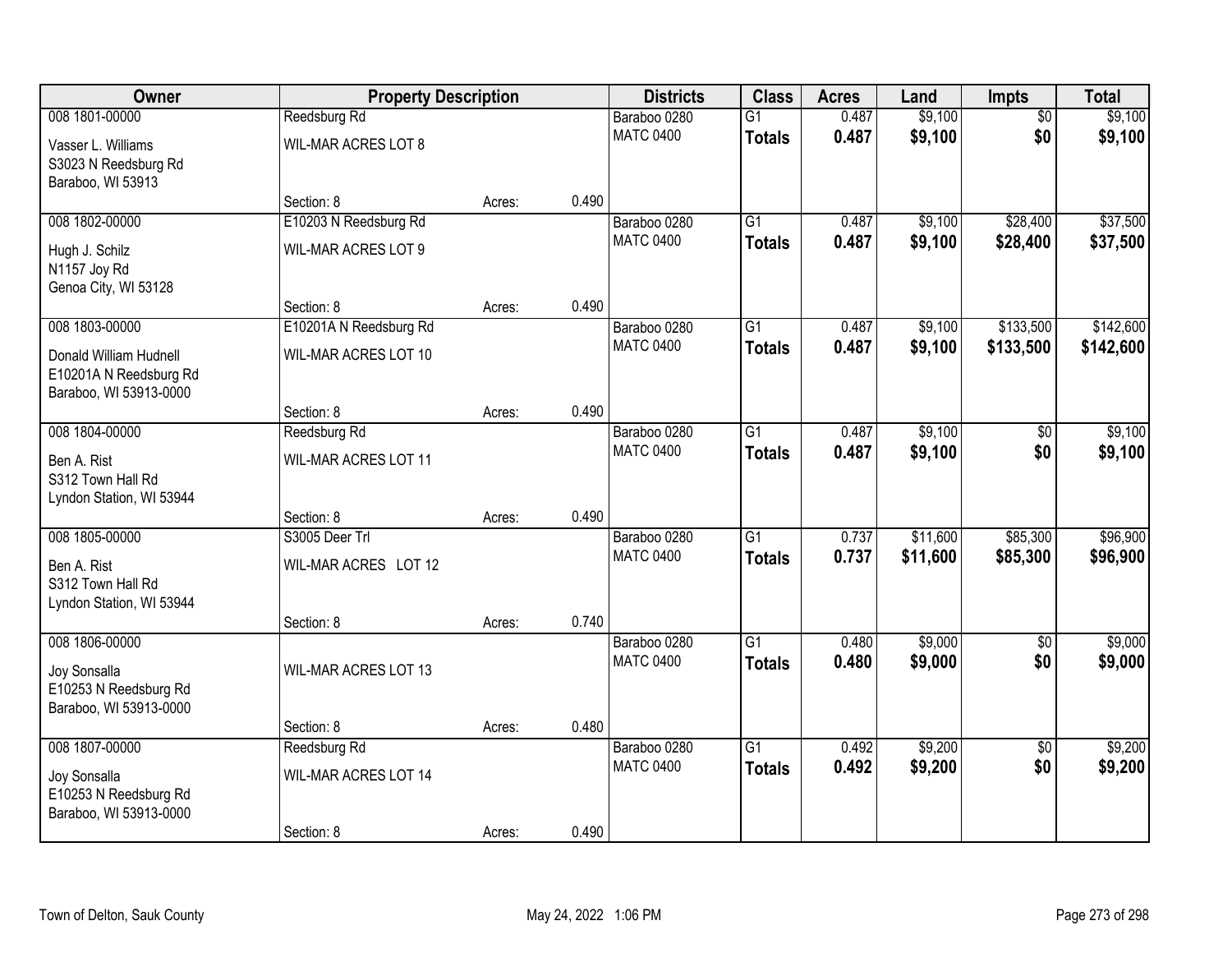| Owner                                | <b>Property Description</b>         |        |       | <b>Districts</b>                 | <b>Class</b>                     | <b>Acres</b>   | Land                 | Impts                | <b>Total</b>         |
|--------------------------------------|-------------------------------------|--------|-------|----------------------------------|----------------------------------|----------------|----------------------|----------------------|----------------------|
| 008 1801-00000                       | Reedsburg Rd                        |        |       | Baraboo 0280                     | $\overline{G1}$                  | 0.487          | \$9,100              | $\overline{50}$      | \$9,100              |
| Vasser L. Williams                   | <b>WIL-MAR ACRES LOT 8</b>          |        |       | <b>MATC 0400</b>                 | <b>Totals</b>                    | 0.487          | \$9,100              | \$0                  | \$9,100              |
| S3023 N Reedsburg Rd                 |                                     |        |       |                                  |                                  |                |                      |                      |                      |
| Baraboo, WI 53913                    |                                     |        |       |                                  |                                  |                |                      |                      |                      |
| 008 1802-00000                       | Section: 8<br>E10203 N Reedsburg Rd | Acres: | 0.490 | Baraboo 0280                     | $\overline{G1}$                  | 0.487          | \$9,100              | \$28,400             | \$37,500             |
|                                      |                                     |        |       | <b>MATC 0400</b>                 | <b>Totals</b>                    | 0.487          | \$9,100              | \$28,400             | \$37,500             |
| Hugh J. Schilz                       | <b>WIL-MAR ACRES LOT 9</b>          |        |       |                                  |                                  |                |                      |                      |                      |
| N1157 Joy Rd<br>Genoa City, WI 53128 |                                     |        |       |                                  |                                  |                |                      |                      |                      |
|                                      | Section: 8                          | Acres: | 0.490 |                                  |                                  |                |                      |                      |                      |
| 008 1803-00000                       | E10201A N Reedsburg Rd              |        |       | Baraboo 0280                     | G1                               | 0.487          | \$9,100              | \$133,500            | \$142,600            |
| Donald William Hudnell               | <b>WIL-MAR ACRES LOT 10</b>         |        |       | <b>MATC 0400</b>                 | <b>Totals</b>                    | 0.487          | \$9,100              | \$133,500            | \$142,600            |
| E10201A N Reedsburg Rd               |                                     |        |       |                                  |                                  |                |                      |                      |                      |
| Baraboo, WI 53913-0000               |                                     |        |       |                                  |                                  |                |                      |                      |                      |
|                                      | Section: 8                          | Acres: | 0.490 |                                  |                                  |                |                      |                      |                      |
| 008 1804-00000                       | Reedsburg Rd                        |        |       | Baraboo 0280                     | $\overline{G1}$                  | 0.487          | \$9,100              | \$0                  | \$9,100              |
| Ben A. Rist                          | WIL-MAR ACRES LOT 11                |        |       | <b>MATC 0400</b>                 | <b>Totals</b>                    | 0.487          | \$9,100              | \$0                  | \$9,100              |
| S312 Town Hall Rd                    |                                     |        |       |                                  |                                  |                |                      |                      |                      |
| Lyndon Station, WI 53944             |                                     |        |       |                                  |                                  |                |                      |                      |                      |
|                                      | Section: 8<br>S3005 Deer Trl        | Acres: | 0.490 |                                  |                                  |                |                      |                      |                      |
| 008 1805-00000                       |                                     |        |       | Baraboo 0280<br><b>MATC 0400</b> | $\overline{G1}$<br><b>Totals</b> | 0.737<br>0.737 | \$11,600<br>\$11,600 | \$85,300<br>\$85,300 | \$96,900<br>\$96,900 |
| Ben A. Rist                          | WIL-MAR ACRES LOT 12                |        |       |                                  |                                  |                |                      |                      |                      |
| S312 Town Hall Rd                    |                                     |        |       |                                  |                                  |                |                      |                      |                      |
| Lyndon Station, WI 53944             | Section: 8                          | Acres: | 0.740 |                                  |                                  |                |                      |                      |                      |
| 008 1806-00000                       |                                     |        |       | Baraboo 0280                     | $\overline{G1}$                  | 0.480          | \$9,000              | $\overline{50}$      | \$9,000              |
| Joy Sonsalla                         | WIL-MAR ACRES LOT 13                |        |       | <b>MATC 0400</b>                 | <b>Totals</b>                    | 0.480          | \$9,000              | \$0                  | \$9,000              |
| E10253 N Reedsburg Rd                |                                     |        |       |                                  |                                  |                |                      |                      |                      |
| Baraboo, WI 53913-0000               |                                     |        |       |                                  |                                  |                |                      |                      |                      |
|                                      | Section: 8                          | Acres: | 0.480 |                                  |                                  |                |                      |                      |                      |
| 008 1807-00000                       | Reedsburg Rd                        |        |       | Baraboo 0280                     | $\overline{G1}$                  | 0.492          | \$9,200              | $\overline{50}$      | \$9,200              |
| Joy Sonsalla                         | WIL-MAR ACRES LOT 14                |        |       | <b>MATC 0400</b>                 | <b>Totals</b>                    | 0.492          | \$9,200              | \$0                  | \$9,200              |
| E10253 N Reedsburg Rd                |                                     |        |       |                                  |                                  |                |                      |                      |                      |
| Baraboo, WI 53913-0000               |                                     |        |       |                                  |                                  |                |                      |                      |                      |
|                                      | Section: 8                          | Acres: | 0.490 |                                  |                                  |                |                      |                      |                      |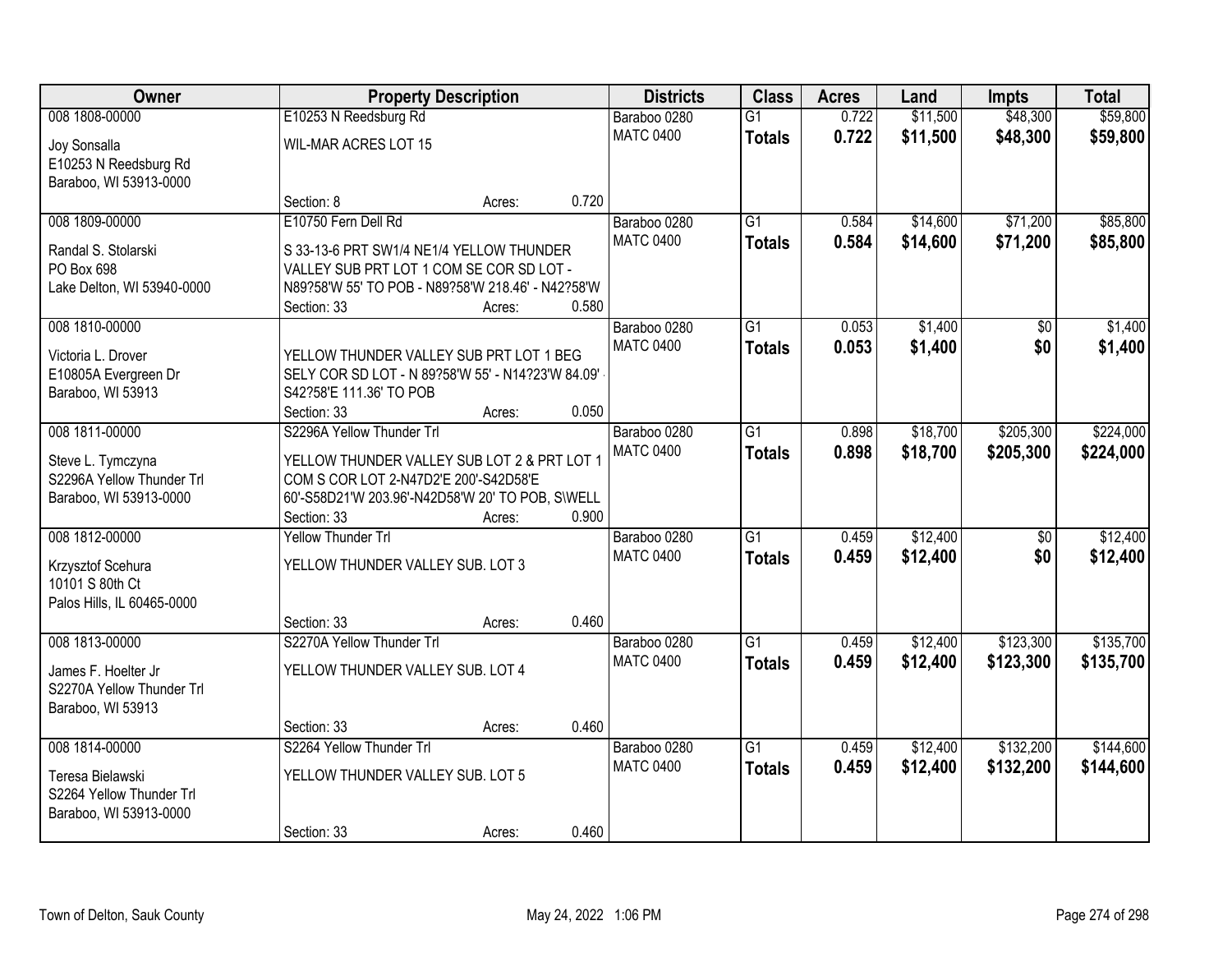| Owner                      |                                                   | <b>Property Description</b> |       | <b>Districts</b> | <b>Class</b>    | <b>Acres</b> | Land     | <b>Impts</b>    | <b>Total</b> |
|----------------------------|---------------------------------------------------|-----------------------------|-------|------------------|-----------------|--------------|----------|-----------------|--------------|
| 008 1808-00000             | E10253 N Reedsburg Rd                             |                             |       | Baraboo 0280     | $\overline{G1}$ | 0.722        | \$11,500 | \$48,300        | \$59,800     |
| Joy Sonsalla               | WIL-MAR ACRES LOT 15                              |                             |       | <b>MATC 0400</b> | <b>Totals</b>   | 0.722        | \$11,500 | \$48,300        | \$59,800     |
| E10253 N Reedsburg Rd      |                                                   |                             |       |                  |                 |              |          |                 |              |
| Baraboo, WI 53913-0000     |                                                   |                             |       |                  |                 |              |          |                 |              |
|                            | Section: 8                                        | Acres:                      | 0.720 |                  |                 |              |          |                 |              |
| 008 1809-00000             | E10750 Fern Dell Rd                               |                             |       | Baraboo 0280     | $\overline{G1}$ | 0.584        | \$14,600 | \$71,200        | \$85,800     |
| Randal S. Stolarski        | S 33-13-6 PRT SW1/4 NE1/4 YELLOW THUNDER          |                             |       | <b>MATC 0400</b> | <b>Totals</b>   | 0.584        | \$14,600 | \$71,200        | \$85,800     |
| PO Box 698                 | VALLEY SUB PRT LOT 1 COM SE COR SD LOT -          |                             |       |                  |                 |              |          |                 |              |
| Lake Delton, WI 53940-0000 | N89?58'W 55' TO POB - N89?58'W 218.46' - N42?58'W |                             |       |                  |                 |              |          |                 |              |
|                            | Section: 33                                       | Acres:                      | 0.580 |                  |                 |              |          |                 |              |
| 008 1810-00000             |                                                   |                             |       | Baraboo 0280     | $\overline{G1}$ | 0.053        | \$1,400  | \$0             | \$1,400      |
| Victoria L. Drover         | YELLOW THUNDER VALLEY SUB PRT LOT 1 BEG           |                             |       | <b>MATC 0400</b> | <b>Totals</b>   | 0.053        | \$1,400  | \$0             | \$1,400      |
| E10805A Evergreen Dr       | SELY COR SD LOT - N 89?58'W 55' - N14?23'W 84.09' |                             |       |                  |                 |              |          |                 |              |
| Baraboo, WI 53913          | S42?58'E 111.36' TO POB                           |                             |       |                  |                 |              |          |                 |              |
|                            | Section: 33                                       | Acres:                      | 0.050 |                  |                 |              |          |                 |              |
| 008 1811-00000             | S2296A Yellow Thunder Trl                         |                             |       | Baraboo 0280     | $\overline{G1}$ | 0.898        | \$18,700 | \$205,300       | \$224,000    |
| Steve L. Tymczyna          | YELLOW THUNDER VALLEY SUB LOT 2 & PRT LOT 1       |                             |       | <b>MATC 0400</b> | <b>Totals</b>   | 0.898        | \$18,700 | \$205,300       | \$224,000    |
| S2296A Yellow Thunder Trl  | COM S COR LOT 2-N47D2'E 200'-S42D58'E             |                             |       |                  |                 |              |          |                 |              |
| Baraboo, WI 53913-0000     | 60'-S58D21'W 203.96'-N42D58'W 20' TO POB, S\WELL  |                             |       |                  |                 |              |          |                 |              |
|                            | Section: 33                                       | Acres:                      | 0.900 |                  |                 |              |          |                 |              |
| 008 1812-00000             | <b>Yellow Thunder Trl</b>                         |                             |       | Baraboo 0280     | $\overline{G1}$ | 0.459        | \$12,400 | $\overline{50}$ | \$12,400     |
| Krzysztof Scehura          | YELLOW THUNDER VALLEY SUB. LOT 3                  |                             |       | <b>MATC 0400</b> | <b>Totals</b>   | 0.459        | \$12,400 | \$0             | \$12,400     |
| 10101 S 80th Ct            |                                                   |                             |       |                  |                 |              |          |                 |              |
| Palos Hills, IL 60465-0000 |                                                   |                             |       |                  |                 |              |          |                 |              |
|                            | Section: 33                                       | Acres:                      | 0.460 |                  |                 |              |          |                 |              |
| 008 1813-00000             | S2270A Yellow Thunder Trl                         |                             |       | Baraboo 0280     | $\overline{G1}$ | 0.459        | \$12,400 | \$123,300       | \$135,700    |
| James F. Hoelter Jr        | YELLOW THUNDER VALLEY SUB. LOT 4                  |                             |       | <b>MATC 0400</b> | <b>Totals</b>   | 0.459        | \$12,400 | \$123,300       | \$135,700    |
| S2270A Yellow Thunder Trl  |                                                   |                             |       |                  |                 |              |          |                 |              |
| Baraboo, WI 53913          |                                                   |                             |       |                  |                 |              |          |                 |              |
|                            | Section: 33                                       | Acres:                      | 0.460 |                  |                 |              |          |                 |              |
| 008 1814-00000             | S2264 Yellow Thunder Trl                          |                             |       | Baraboo 0280     | $\overline{G1}$ | 0.459        | \$12,400 | \$132,200       | \$144,600    |
| Teresa Bielawski           | YELLOW THUNDER VALLEY SUB. LOT 5                  |                             |       | <b>MATC 0400</b> | <b>Totals</b>   | 0.459        | \$12,400 | \$132,200       | \$144,600    |
| S2264 Yellow Thunder Trl   |                                                   |                             |       |                  |                 |              |          |                 |              |
| Baraboo, WI 53913-0000     |                                                   |                             |       |                  |                 |              |          |                 |              |
|                            | Section: 33                                       | Acres:                      | 0.460 |                  |                 |              |          |                 |              |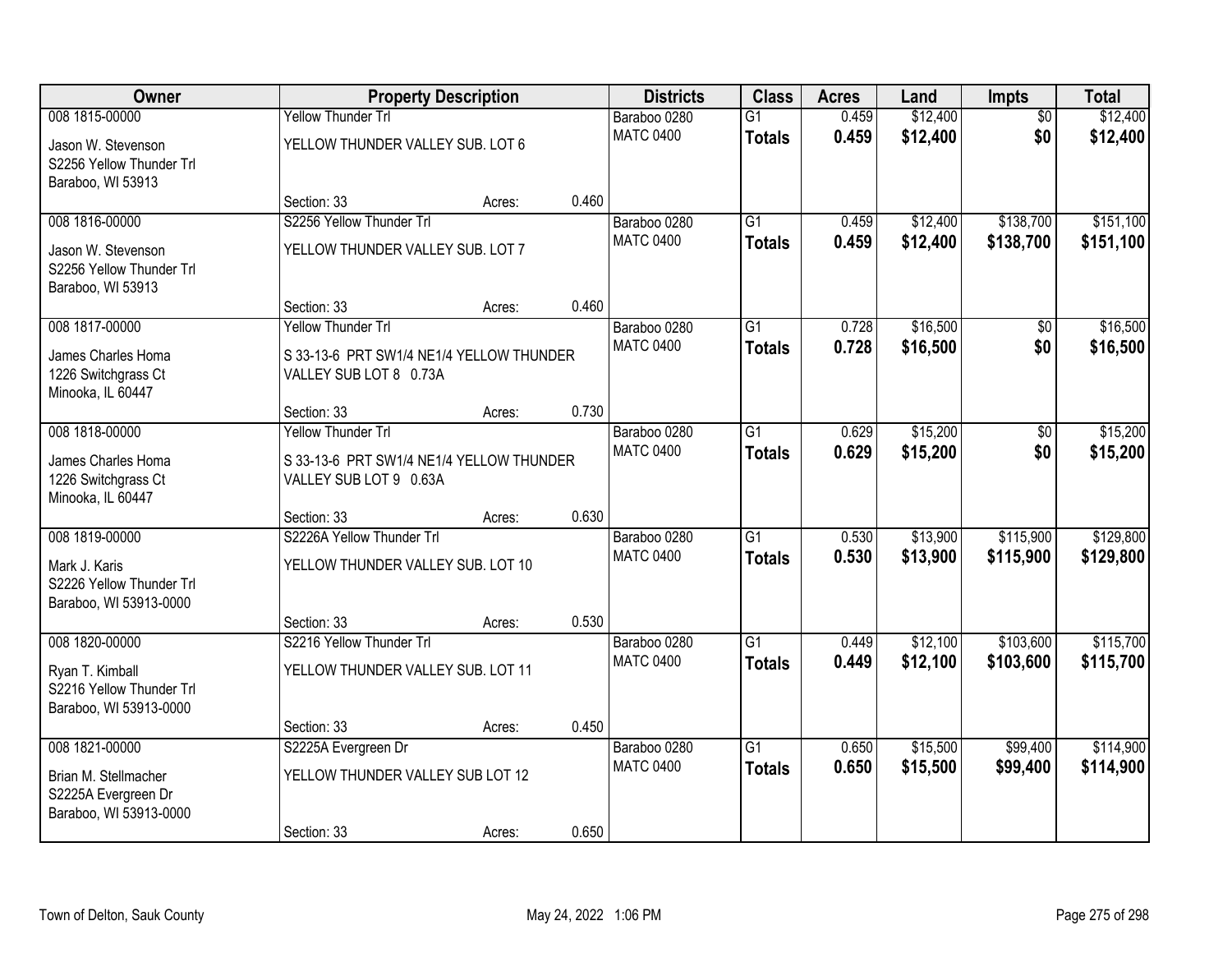| Owner                                              |                                          | <b>Property Description</b> |       | <b>Districts</b>                 | <b>Class</b>    | <b>Acres</b> | Land     | <b>Impts</b>    | <b>Total</b> |
|----------------------------------------------------|------------------------------------------|-----------------------------|-------|----------------------------------|-----------------|--------------|----------|-----------------|--------------|
| 008 1815-00000                                     | Yellow Thunder Trl                       |                             |       | Baraboo 0280                     | $\overline{G1}$ | 0.459        | \$12,400 | $\overline{50}$ | \$12,400     |
| Jason W. Stevenson                                 | YELLOW THUNDER VALLEY SUB. LOT 6         |                             |       | <b>MATC 0400</b>                 | <b>Totals</b>   | 0.459        | \$12,400 | \$0             | \$12,400     |
| S2256 Yellow Thunder Trl                           |                                          |                             |       |                                  |                 |              |          |                 |              |
| Baraboo, WI 53913                                  |                                          |                             |       |                                  |                 |              |          |                 |              |
|                                                    | Section: 33                              | Acres:                      | 0.460 |                                  |                 |              |          |                 |              |
| 008 1816-00000                                     | S2256 Yellow Thunder Trl                 |                             |       | Baraboo 0280<br><b>MATC 0400</b> | $\overline{G1}$ | 0.459        | \$12,400 | \$138,700       | \$151,100    |
| Jason W. Stevenson                                 | YELLOW THUNDER VALLEY SUB. LOT 7         |                             |       |                                  | <b>Totals</b>   | 0.459        | \$12,400 | \$138,700       | \$151,100    |
| S2256 Yellow Thunder Trl                           |                                          |                             |       |                                  |                 |              |          |                 |              |
| Baraboo, WI 53913                                  |                                          |                             | 0.460 |                                  |                 |              |          |                 |              |
| 008 1817-00000                                     | Section: 33<br><b>Yellow Thunder Trl</b> | Acres:                      |       | Baraboo 0280                     | $\overline{G1}$ | 0.728        | \$16,500 |                 | \$16,500     |
|                                                    |                                          |                             |       | <b>MATC 0400</b>                 |                 | 0.728        | \$16,500 | \$0<br>\$0      | \$16,500     |
| James Charles Homa                                 | S 33-13-6 PRT SW1/4 NE1/4 YELLOW THUNDER |                             |       |                                  | <b>Totals</b>   |              |          |                 |              |
| 1226 Switchgrass Ct                                | VALLEY SUB LOT 8 0.73A                   |                             |       |                                  |                 |              |          |                 |              |
| Minooka, IL 60447                                  |                                          |                             | 0.730 |                                  |                 |              |          |                 |              |
| 008 1818-00000                                     | Section: 33<br><b>Yellow Thunder Trl</b> | Acres:                      |       | Baraboo 0280                     | $\overline{G1}$ | 0.629        | \$15,200 | \$0             | \$15,200     |
|                                                    |                                          |                             |       | <b>MATC 0400</b>                 | <b>Totals</b>   | 0.629        | \$15,200 | \$0             | \$15,200     |
| James Charles Homa                                 | S 33-13-6 PRT SW1/4 NE1/4 YELLOW THUNDER |                             |       |                                  |                 |              |          |                 |              |
| 1226 Switchgrass Ct                                | VALLEY SUB LOT 9 0.63A                   |                             |       |                                  |                 |              |          |                 |              |
| Minooka, IL 60447                                  | Section: 33                              |                             | 0.630 |                                  |                 |              |          |                 |              |
| 008 1819-00000                                     | S2226A Yellow Thunder Trl                | Acres:                      |       | Baraboo 0280                     | $\overline{G1}$ | 0.530        | \$13,900 | \$115,900       | \$129,800    |
|                                                    |                                          |                             |       | <b>MATC 0400</b>                 | <b>Totals</b>   | 0.530        | \$13,900 | \$115,900       | \$129,800    |
| Mark J. Karis                                      | YELLOW THUNDER VALLEY SUB. LOT 10        |                             |       |                                  |                 |              |          |                 |              |
| S2226 Yellow Thunder Trl                           |                                          |                             |       |                                  |                 |              |          |                 |              |
| Baraboo, WI 53913-0000                             | Section: 33                              | Acres:                      | 0.530 |                                  |                 |              |          |                 |              |
| 008 1820-00000                                     | S2216 Yellow Thunder Trl                 |                             |       | Baraboo 0280                     | $\overline{G1}$ | 0.449        | \$12,100 | \$103,600       | \$115,700    |
|                                                    |                                          |                             |       | <b>MATC 0400</b>                 | <b>Totals</b>   | 0.449        | \$12,100 | \$103,600       | \$115,700    |
| Ryan T. Kimball                                    | YELLOW THUNDER VALLEY SUB. LOT 11        |                             |       |                                  |                 |              |          |                 |              |
| S2216 Yellow Thunder Trl<br>Baraboo, WI 53913-0000 |                                          |                             |       |                                  |                 |              |          |                 |              |
|                                                    | Section: 33                              | Acres:                      | 0.450 |                                  |                 |              |          |                 |              |
| 008 1821-00000                                     | S2225A Evergreen Dr                      |                             |       | Baraboo 0280                     | $\overline{G1}$ | 0.650        | \$15,500 | \$99,400        | \$114,900    |
|                                                    |                                          |                             |       | <b>MATC 0400</b>                 | <b>Totals</b>   | 0.650        | \$15,500 | \$99,400        | \$114,900    |
| Brian M. Stellmacher<br>S2225A Evergreen Dr        | YELLOW THUNDER VALLEY SUB LOT 12         |                             |       |                                  |                 |              |          |                 |              |
| Baraboo, WI 53913-0000                             |                                          |                             |       |                                  |                 |              |          |                 |              |
|                                                    | Section: 33                              | Acres:                      | 0.650 |                                  |                 |              |          |                 |              |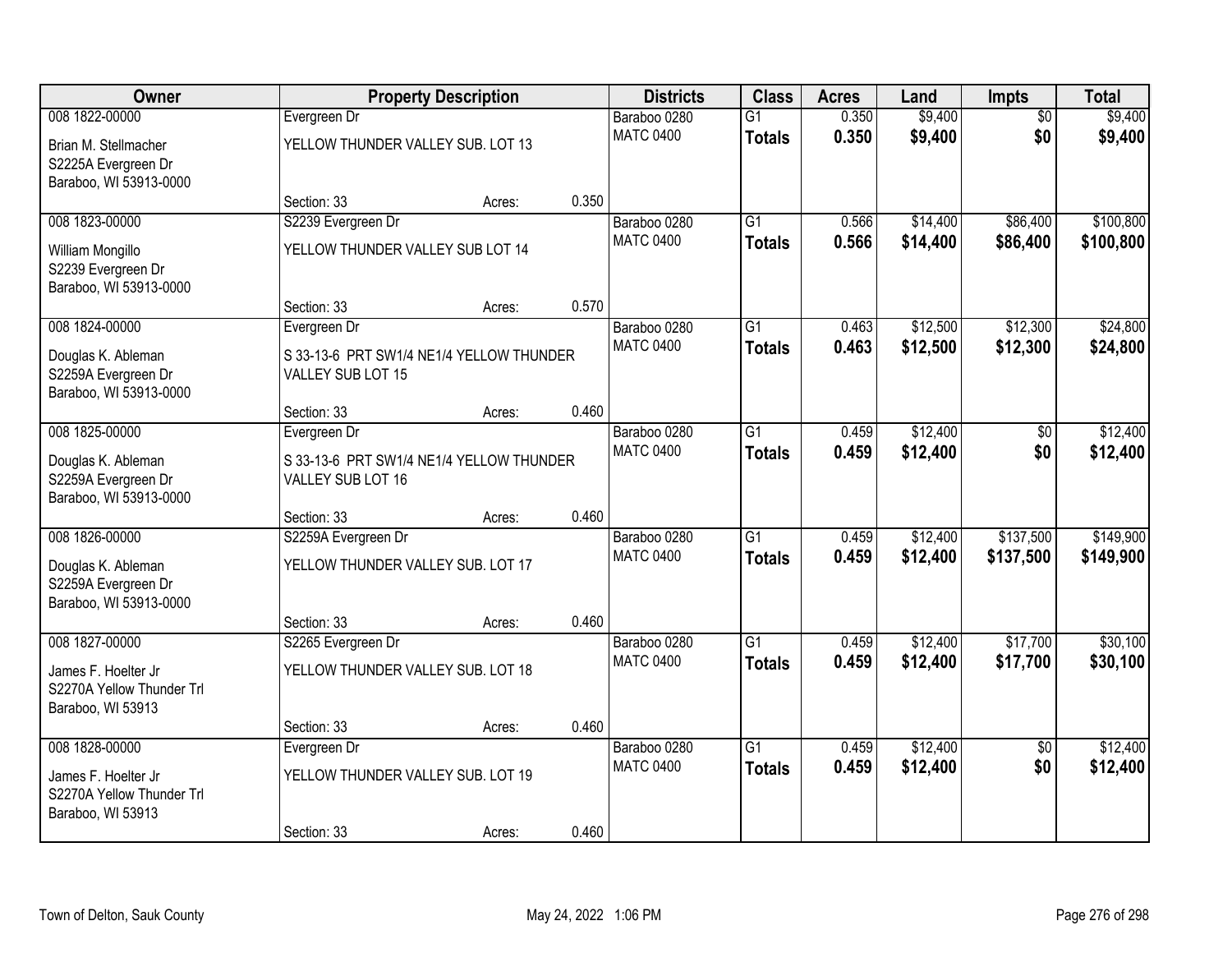| Owner                                            |                                          | <b>Property Description</b> |       | <b>Districts</b>                 | <b>Class</b>    | <b>Acres</b> | Land     | <b>Impts</b>    | <b>Total</b> |
|--------------------------------------------------|------------------------------------------|-----------------------------|-------|----------------------------------|-----------------|--------------|----------|-----------------|--------------|
| 008 1822-00000                                   | Evergreen Dr                             |                             |       | Baraboo 0280                     | $\overline{G1}$ | 0.350        | \$9,400  | $\overline{50}$ | \$9,400      |
| Brian M. Stellmacher                             | YELLOW THUNDER VALLEY SUB. LOT 13        |                             |       | <b>MATC 0400</b>                 | <b>Totals</b>   | 0.350        | \$9,400  | \$0             | \$9,400      |
| S2225A Evergreen Dr                              |                                          |                             |       |                                  |                 |              |          |                 |              |
| Baraboo, WI 53913-0000                           |                                          |                             | 0.350 |                                  |                 |              |          |                 |              |
| 008 1823-00000                                   | Section: 33<br>S2239 Evergreen Dr        | Acres:                      |       | Baraboo 0280                     | $\overline{G1}$ | 0.566        | \$14,400 | \$86,400        | \$100,800    |
|                                                  |                                          |                             |       | <b>MATC 0400</b>                 | <b>Totals</b>   | 0.566        | \$14,400 | \$86,400        | \$100,800    |
| William Mongillo                                 | YELLOW THUNDER VALLEY SUB LOT 14         |                             |       |                                  |                 |              |          |                 |              |
| S2239 Evergreen Dr<br>Baraboo, WI 53913-0000     |                                          |                             |       |                                  |                 |              |          |                 |              |
|                                                  | Section: 33                              | Acres:                      | 0.570 |                                  |                 |              |          |                 |              |
| 008 1824-00000                                   | Evergreen Dr                             |                             |       | Baraboo 0280                     | G1              | 0.463        | \$12,500 | \$12,300        | \$24,800     |
| Douglas K. Ableman                               | S 33-13-6 PRT SW1/4 NE1/4 YELLOW THUNDER |                             |       | <b>MATC 0400</b>                 | <b>Totals</b>   | 0.463        | \$12,500 | \$12,300        | \$24,800     |
| S2259A Evergreen Dr                              | VALLEY SUB LOT 15                        |                             |       |                                  |                 |              |          |                 |              |
| Baraboo, WI 53913-0000                           |                                          |                             |       |                                  |                 |              |          |                 |              |
|                                                  | Section: 33                              | Acres:                      | 0.460 |                                  |                 |              |          |                 |              |
| 008 1825-00000                                   | Evergreen Dr                             |                             |       | Baraboo 0280                     | $\overline{G1}$ | 0.459        | \$12,400 | \$0             | \$12,400     |
| Douglas K. Ableman                               | S 33-13-6 PRT SW1/4 NE1/4 YELLOW THUNDER |                             |       | <b>MATC 0400</b>                 | <b>Totals</b>   | 0.459        | \$12,400 | \$0             | \$12,400     |
| S2259A Evergreen Dr                              | VALLEY SUB LOT 16                        |                             |       |                                  |                 |              |          |                 |              |
| Baraboo, WI 53913-0000                           |                                          |                             |       |                                  |                 |              |          |                 |              |
|                                                  | Section: 33                              | Acres:                      | 0.460 |                                  |                 |              |          |                 |              |
| 008 1826-00000                                   | S2259A Evergreen Dr                      |                             |       | Baraboo 0280<br><b>MATC 0400</b> | $\overline{G1}$ | 0.459        | \$12,400 | \$137,500       | \$149,900    |
| Douglas K. Ableman                               | YELLOW THUNDER VALLEY SUB. LOT 17        |                             |       |                                  | <b>Totals</b>   | 0.459        | \$12,400 | \$137,500       | \$149,900    |
| S2259A Evergreen Dr                              |                                          |                             |       |                                  |                 |              |          |                 |              |
| Baraboo, WI 53913-0000                           | Section: 33                              | Acres:                      | 0.460 |                                  |                 |              |          |                 |              |
| 008 1827-00000                                   | S2265 Evergreen Dr                       |                             |       | Baraboo 0280                     | $\overline{G1}$ | 0.459        | \$12,400 | \$17,700        | \$30,100     |
|                                                  |                                          |                             |       | <b>MATC 0400</b>                 | <b>Totals</b>   | 0.459        | \$12,400 | \$17,700        | \$30,100     |
| James F. Hoelter Jr<br>S2270A Yellow Thunder Trl | YELLOW THUNDER VALLEY SUB. LOT 18        |                             |       |                                  |                 |              |          |                 |              |
| Baraboo, WI 53913                                |                                          |                             |       |                                  |                 |              |          |                 |              |
|                                                  | Section: 33                              | Acres:                      | 0.460 |                                  |                 |              |          |                 |              |
| 008 1828-00000                                   | Evergreen Dr                             |                             |       | Baraboo 0280                     | $\overline{G1}$ | 0.459        | \$12,400 | $\overline{50}$ | \$12,400     |
| James F. Hoelter Jr                              | YELLOW THUNDER VALLEY SUB. LOT 19        |                             |       | <b>MATC 0400</b>                 | <b>Totals</b>   | 0.459        | \$12,400 | \$0             | \$12,400     |
| S2270A Yellow Thunder Trl                        |                                          |                             |       |                                  |                 |              |          |                 |              |
| Baraboo, WI 53913                                |                                          |                             |       |                                  |                 |              |          |                 |              |
|                                                  | Section: 33                              | Acres:                      | 0.460 |                                  |                 |              |          |                 |              |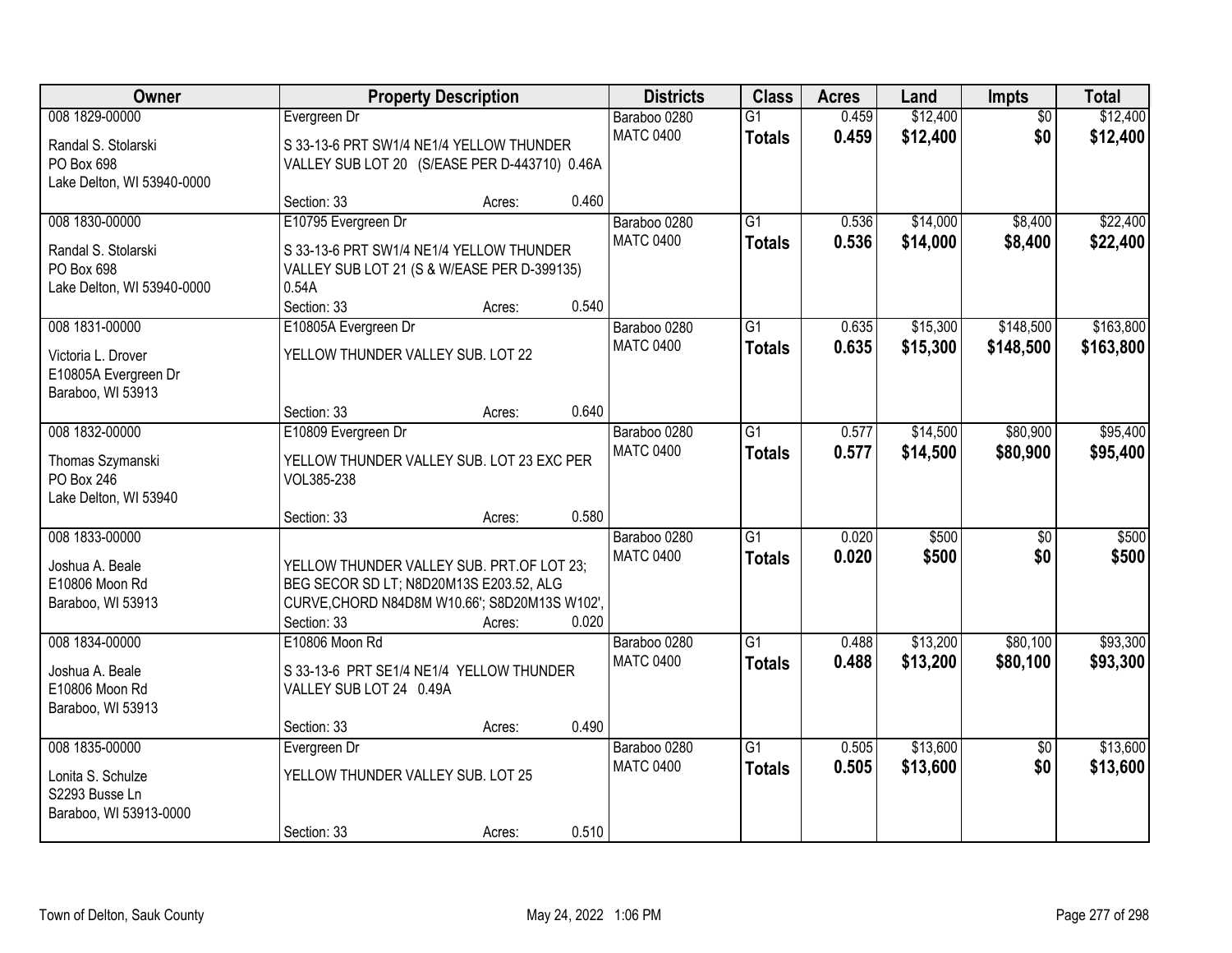| Owner                                                                             |                                                                                                                                                      | <b>Property Description</b> |       | <b>Districts</b>                 | <b>Class</b>                     | <b>Acres</b>   | Land                 | Impts                  | <b>Total</b>           |
|-----------------------------------------------------------------------------------|------------------------------------------------------------------------------------------------------------------------------------------------------|-----------------------------|-------|----------------------------------|----------------------------------|----------------|----------------------|------------------------|------------------------|
| 008 1829-00000<br>Randal S. Stolarski<br>PO Box 698<br>Lake Delton, WI 53940-0000 | Evergreen Dr<br>S 33-13-6 PRT SW1/4 NE1/4 YELLOW THUNDER<br>VALLEY SUB LOT 20 (S/EASE PER D-443710) 0.46A                                            |                             |       | Baraboo 0280<br><b>MATC 0400</b> | $\overline{G1}$<br><b>Totals</b> | 0.459<br>0.459 | \$12,400<br>\$12,400 | $\overline{50}$<br>\$0 | \$12,400<br>\$12,400   |
|                                                                                   | Section: 33                                                                                                                                          | Acres:                      | 0.460 |                                  |                                  |                |                      |                        |                        |
| 008 1830-00000<br>Randal S. Stolarski<br>PO Box 698<br>Lake Delton, WI 53940-0000 | E10795 Evergreen Dr<br>S 33-13-6 PRT SW1/4 NE1/4 YELLOW THUNDER<br>VALLEY SUB LOT 21 (S & W/EASE PER D-399135)<br>0.54A<br>Section: 33               | Acres:                      | 0.540 | Baraboo 0280<br><b>MATC 0400</b> | $\overline{G1}$<br><b>Totals</b> | 0.536<br>0.536 | \$14,000<br>\$14,000 | \$8,400<br>\$8,400     | \$22,400<br>\$22,400   |
| 008 1831-00000<br>Victoria L. Drover<br>E10805A Evergreen Dr<br>Baraboo, WI 53913 | E10805A Evergreen Dr<br>YELLOW THUNDER VALLEY SUB. LOT 22<br>Section: 33                                                                             | Acres:                      | 0.640 | Baraboo 0280<br><b>MATC 0400</b> | G1<br><b>Totals</b>              | 0.635<br>0.635 | \$15,300<br>\$15,300 | \$148,500<br>\$148,500 | \$163,800<br>\$163,800 |
| 008 1832-00000                                                                    | E10809 Evergreen Dr                                                                                                                                  |                             |       | Baraboo 0280                     | G1                               | 0.577          | \$14,500             | \$80,900               | \$95,400               |
| Thomas Szymanski<br>PO Box 246<br>Lake Delton, WI 53940                           | YELLOW THUNDER VALLEY SUB. LOT 23 EXC PER<br>VOL385-238                                                                                              |                             |       | <b>MATC 0400</b>                 | <b>Totals</b>                    | 0.577          | \$14,500             | \$80,900               | \$95,400               |
|                                                                                   | Section: 33                                                                                                                                          | Acres:                      | 0.580 |                                  |                                  |                |                      |                        |                        |
| 008 1833-00000<br>Joshua A. Beale<br>E10806 Moon Rd<br>Baraboo, WI 53913          | YELLOW THUNDER VALLEY SUB. PRT.OF LOT 23;<br>BEG SECOR SD LT; N8D20M13S E203.52, ALG<br>CURVE, CHORD N84D8M W10.66'; S8D20M13S W102',<br>Section: 33 | Acres:                      | 0.020 | Baraboo 0280<br><b>MATC 0400</b> | $\overline{G1}$<br><b>Totals</b> | 0.020<br>0.020 | \$500<br>\$500       | $\overline{50}$<br>\$0 | \$500<br>\$500         |
| 008 1834-00000<br>Joshua A. Beale<br>E10806 Moon Rd<br>Baraboo, WI 53913          | E10806 Moon Rd<br>S 33-13-6 PRT SE1/4 NE1/4 YELLOW THUNDER<br>VALLEY SUB LOT 24 0.49A<br>Section: 33                                                 | Acres:                      | 0.490 | Baraboo 0280<br><b>MATC 0400</b> | $\overline{G1}$<br><b>Totals</b> | 0.488<br>0.488 | \$13,200<br>\$13,200 | \$80,100<br>\$80,100   | \$93,300<br>\$93,300   |
| 008 1835-00000<br>Lonita S. Schulze<br>S2293 Busse Ln<br>Baraboo, WI 53913-0000   | Evergreen Dr<br>YELLOW THUNDER VALLEY SUB. LOT 25<br>Section: 33                                                                                     | Acres:                      | 0.510 | Baraboo 0280<br><b>MATC 0400</b> | $\overline{G1}$<br><b>Totals</b> | 0.505<br>0.505 | \$13,600<br>\$13,600 | $\overline{50}$<br>\$0 | \$13,600<br>\$13,600   |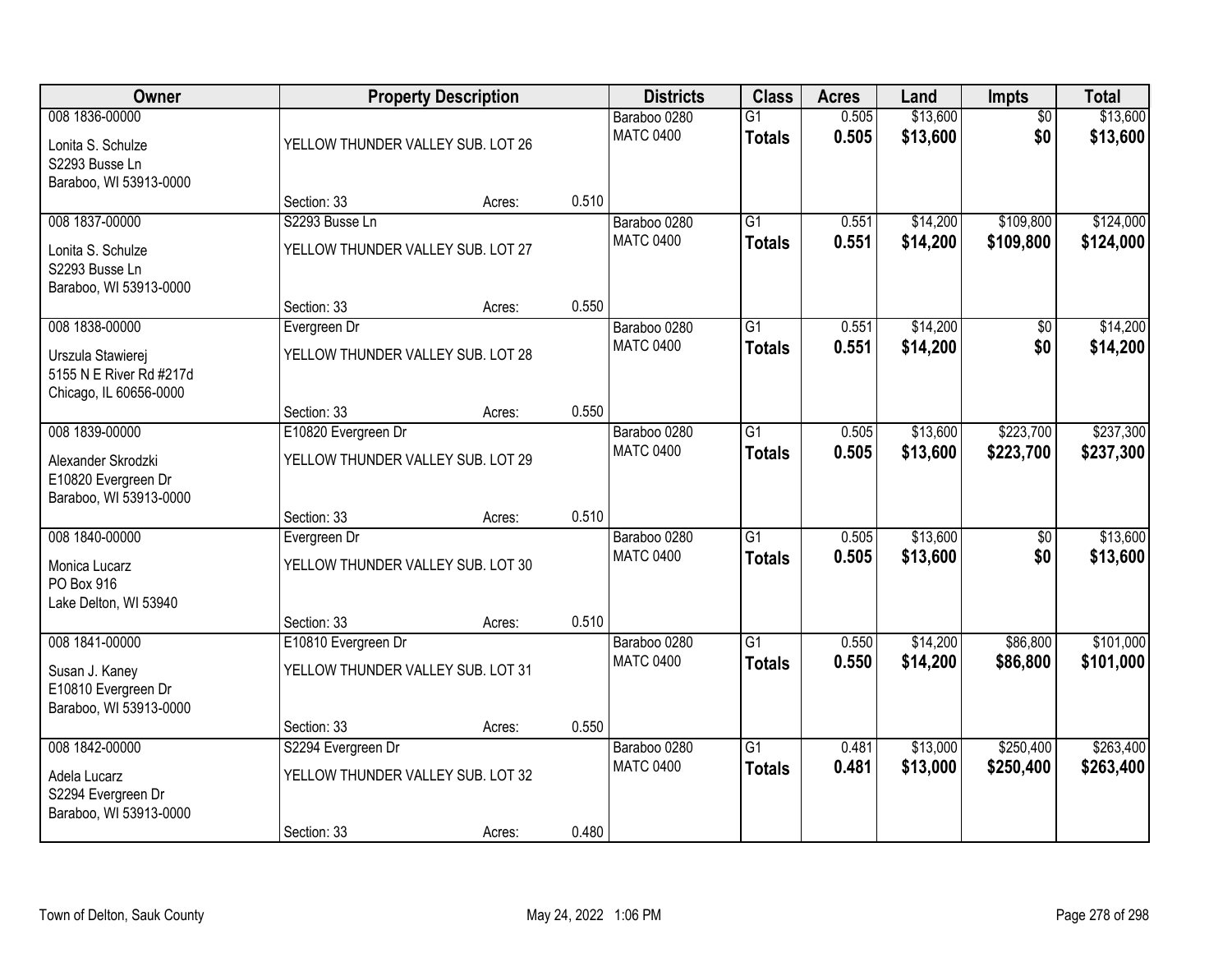| Owner                                                                                    |                                                                        | <b>Property Description</b> |       | <b>Districts</b>                 | <b>Class</b>                     | <b>Acres</b>   | Land                 | Impts                  | <b>Total</b>           |
|------------------------------------------------------------------------------------------|------------------------------------------------------------------------|-----------------------------|-------|----------------------------------|----------------------------------|----------------|----------------------|------------------------|------------------------|
| 008 1836-00000<br>Lonita S. Schulze<br>S2293 Busse Ln                                    | YELLOW THUNDER VALLEY SUB. LOT 26                                      |                             |       | Baraboo 0280<br><b>MATC 0400</b> | $\overline{G1}$<br><b>Totals</b> | 0.505<br>0.505 | \$13,600<br>\$13,600 | $\overline{50}$<br>\$0 | \$13,600<br>\$13,600   |
| Baraboo, WI 53913-0000                                                                   | Section: 33                                                            | Acres:                      | 0.510 |                                  |                                  |                |                      |                        |                        |
| 008 1837-00000<br>Lonita S. Schulze<br>S2293 Busse Ln                                    | S2293 Busse Ln<br>YELLOW THUNDER VALLEY SUB. LOT 27                    |                             |       | Baraboo 0280<br><b>MATC 0400</b> | $\overline{G1}$<br><b>Totals</b> | 0.551<br>0.551 | \$14,200<br>\$14,200 | \$109,800<br>\$109,800 | \$124,000<br>\$124,000 |
| Baraboo, WI 53913-0000                                                                   | Section: 33                                                            | Acres:                      | 0.550 |                                  |                                  |                |                      |                        |                        |
| 008 1838-00000<br>Urszula Stawierej<br>5155 N E River Rd #217d<br>Chicago, IL 60656-0000 | Evergreen Dr<br>YELLOW THUNDER VALLEY SUB. LOT 28                      |                             |       | Baraboo 0280<br><b>MATC 0400</b> | $\overline{G1}$<br><b>Totals</b> | 0.551<br>0.551 | \$14,200<br>\$14,200 | \$0<br>\$0             | \$14,200<br>\$14,200   |
|                                                                                          | Section: 33                                                            | Acres:                      | 0.550 |                                  |                                  |                |                      |                        |                        |
| 008 1839-00000<br>Alexander Skrodzki<br>E10820 Evergreen Dr<br>Baraboo, WI 53913-0000    | E10820 Evergreen Dr<br>YELLOW THUNDER VALLEY SUB. LOT 29               |                             |       | Baraboo 0280<br><b>MATC 0400</b> | $\overline{G1}$<br><b>Totals</b> | 0.505<br>0.505 | \$13,600<br>\$13,600 | \$223,700<br>\$223,700 | \$237,300<br>\$237,300 |
|                                                                                          | Section: 33                                                            | Acres:                      | 0.510 |                                  |                                  |                |                      |                        |                        |
| 008 1840-00000<br>Monica Lucarz<br>PO Box 916<br>Lake Delton, WI 53940                   | Evergreen Dr<br>YELLOW THUNDER VALLEY SUB. LOT 30                      |                             |       | Baraboo 0280<br><b>MATC 0400</b> | $\overline{G1}$<br><b>Totals</b> | 0.505<br>0.505 | \$13,600<br>\$13,600 | $\overline{50}$<br>\$0 | \$13,600<br>\$13,600   |
|                                                                                          | Section: 33                                                            | Acres:                      | 0.510 |                                  |                                  |                |                      |                        |                        |
| 008 1841-00000<br>Susan J. Kaney<br>E10810 Evergreen Dr<br>Baraboo, WI 53913-0000        | E10810 Evergreen Dr<br>YELLOW THUNDER VALLEY SUB. LOT 31               |                             |       | Baraboo 0280<br><b>MATC 0400</b> | $\overline{G1}$<br><b>Totals</b> | 0.550<br>0.550 | \$14,200<br>\$14,200 | \$86,800<br>\$86,800   | \$101,000<br>\$101,000 |
|                                                                                          | Section: 33                                                            | Acres:                      | 0.550 |                                  |                                  |                |                      |                        |                        |
| 008 1842-00000<br>Adela Lucarz<br>S2294 Evergreen Dr<br>Baraboo, WI 53913-0000           | S2294 Evergreen Dr<br>YELLOW THUNDER VALLEY SUB. LOT 32<br>Section: 33 | Acres:                      | 0.480 | Baraboo 0280<br><b>MATC 0400</b> | $\overline{G1}$<br><b>Totals</b> | 0.481<br>0.481 | \$13,000<br>\$13,000 | \$250,400<br>\$250,400 | \$263,400<br>\$263,400 |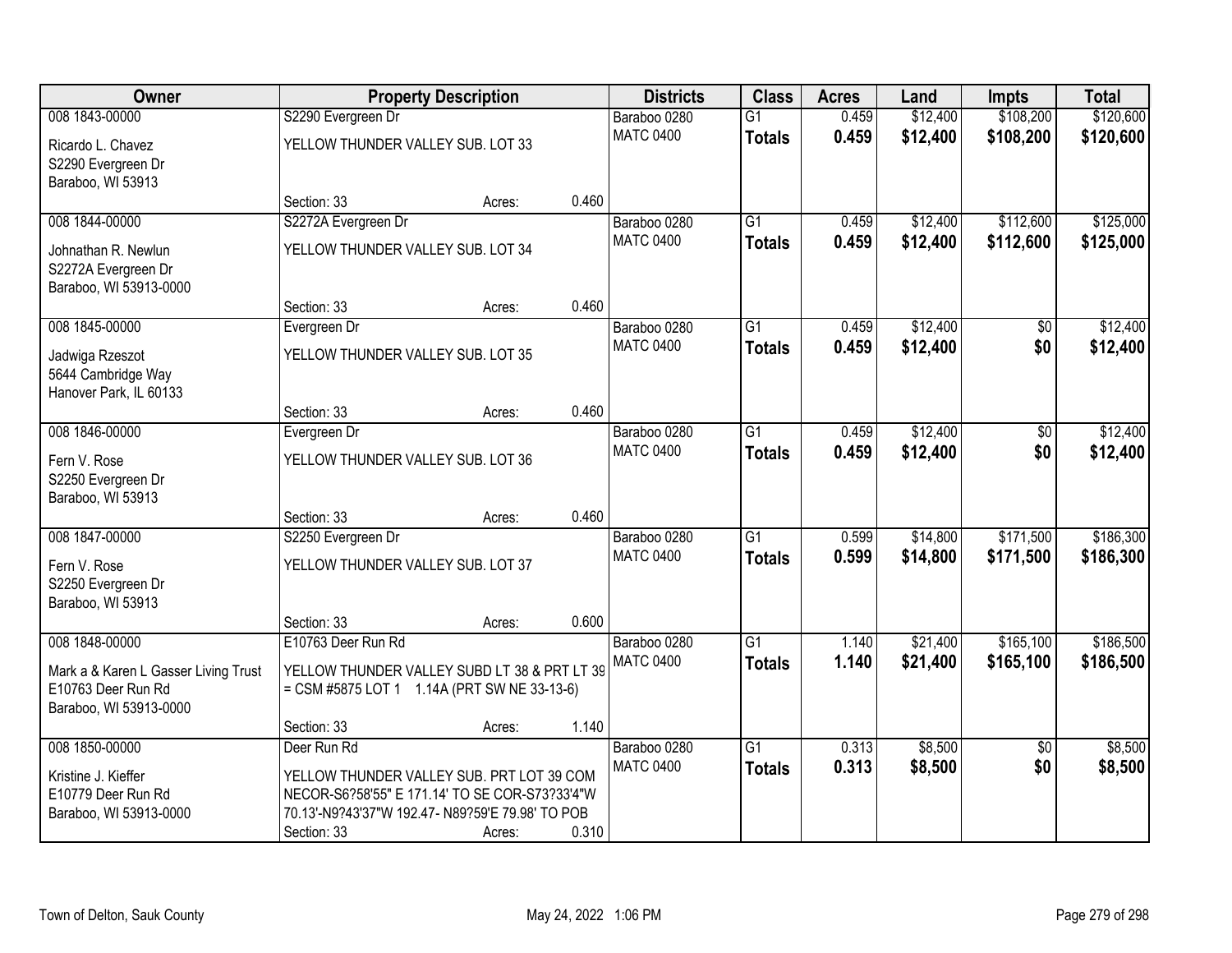| Owner                                        |                                                                                                    | <b>Property Description</b> |       | <b>Districts</b>                 | <b>Class</b>    | <b>Acres</b> | Land     | <b>Impts</b>    | <b>Total</b> |
|----------------------------------------------|----------------------------------------------------------------------------------------------------|-----------------------------|-------|----------------------------------|-----------------|--------------|----------|-----------------|--------------|
| 008 1843-00000                               | S2290 Evergreen Dr                                                                                 |                             |       | Baraboo 0280                     | $\overline{G1}$ | 0.459        | \$12,400 | \$108,200       | \$120,600    |
| Ricardo L. Chavez                            | YELLOW THUNDER VALLEY SUB. LOT 33                                                                  |                             |       | <b>MATC 0400</b>                 | <b>Totals</b>   | 0.459        | \$12,400 | \$108,200       | \$120,600    |
| S2290 Evergreen Dr                           |                                                                                                    |                             |       |                                  |                 |              |          |                 |              |
| Baraboo, WI 53913                            |                                                                                                    |                             |       |                                  |                 |              |          |                 |              |
|                                              | Section: 33                                                                                        | Acres:                      | 0.460 |                                  |                 |              |          |                 |              |
| 008 1844-00000                               | S2272A Evergreen Dr                                                                                |                             |       | Baraboo 0280                     | $\overline{G1}$ | 0.459        | \$12,400 | \$112,600       | \$125,000    |
| Johnathan R. Newlun                          | YELLOW THUNDER VALLEY SUB. LOT 34                                                                  |                             |       | <b>MATC 0400</b>                 | <b>Totals</b>   | 0.459        | \$12,400 | \$112,600       | \$125,000    |
| S2272A Evergreen Dr                          |                                                                                                    |                             |       |                                  |                 |              |          |                 |              |
| Baraboo, WI 53913-0000                       |                                                                                                    |                             |       |                                  |                 |              |          |                 |              |
|                                              | Section: 33                                                                                        | Acres:                      | 0.460 |                                  |                 |              |          |                 |              |
| 008 1845-00000                               | Evergreen Dr                                                                                       |                             |       | Baraboo 0280<br><b>MATC 0400</b> | G1              | 0.459        | \$12,400 | \$0             | \$12,400     |
| Jadwiga Rzeszot                              | YELLOW THUNDER VALLEY SUB. LOT 35                                                                  |                             |       |                                  | <b>Totals</b>   | 0.459        | \$12,400 | \$0             | \$12,400     |
| 5644 Cambridge Way                           |                                                                                                    |                             |       |                                  |                 |              |          |                 |              |
| Hanover Park, IL 60133                       |                                                                                                    |                             |       |                                  |                 |              |          |                 |              |
| 008 1846-00000                               | Section: 33<br>Evergreen Dr                                                                        | Acres:                      | 0.460 | Baraboo 0280                     | $\overline{G1}$ | 0.459        | \$12,400 |                 | \$12,400     |
|                                              |                                                                                                    |                             |       | <b>MATC 0400</b>                 | <b>Totals</b>   | 0.459        | \$12,400 | \$0<br>\$0      | \$12,400     |
| Fern V. Rose                                 | YELLOW THUNDER VALLEY SUB. LOT 36                                                                  |                             |       |                                  |                 |              |          |                 |              |
| S2250 Evergreen Dr                           |                                                                                                    |                             |       |                                  |                 |              |          |                 |              |
| Baraboo, WI 53913                            |                                                                                                    |                             | 0.460 |                                  |                 |              |          |                 |              |
| 008 1847-00000                               | Section: 33<br>S2250 Evergreen Dr                                                                  | Acres:                      |       | Baraboo 0280                     | $\overline{G1}$ | 0.599        | \$14,800 | \$171,500       | \$186,300    |
|                                              |                                                                                                    |                             |       | <b>MATC 0400</b>                 | <b>Totals</b>   | 0.599        | \$14,800 | \$171,500       | \$186,300    |
| Fern V. Rose                                 | YELLOW THUNDER VALLEY SUB. LOT 37                                                                  |                             |       |                                  |                 |              |          |                 |              |
| S2250 Evergreen Dr                           |                                                                                                    |                             |       |                                  |                 |              |          |                 |              |
| Baraboo, WI 53913                            |                                                                                                    |                             | 0.600 |                                  |                 |              |          |                 |              |
| 008 1848-00000                               | Section: 33<br>E10763 Deer Run Rd                                                                  | Acres:                      |       | Baraboo 0280                     | $\overline{G1}$ | 1.140        | \$21,400 | \$165,100       | \$186,500    |
|                                              |                                                                                                    |                             |       | <b>MATC 0400</b>                 | <b>Totals</b>   | 1.140        | \$21,400 | \$165,100       | \$186,500    |
| Mark a & Karen L Gasser Living Trust         | YELLOW THUNDER VALLEY SUBD LT 38 & PRT LT 39                                                       |                             |       |                                  |                 |              |          |                 |              |
| E10763 Deer Run Rd                           | = CSM #5875 LOT 1 1.14A (PRT SW NE 33-13-6)                                                        |                             |       |                                  |                 |              |          |                 |              |
| Baraboo, WI 53913-0000                       | Section: 33                                                                                        | Acres:                      | 1.140 |                                  |                 |              |          |                 |              |
| 008 1850-00000                               | Deer Run Rd                                                                                        |                             |       | Baraboo 0280                     | $\overline{G1}$ | 0.313        | \$8,500  | $\overline{50}$ | \$8,500      |
|                                              |                                                                                                    |                             |       | <b>MATC 0400</b>                 | <b>Totals</b>   | 0.313        | \$8,500  | \$0             | \$8,500      |
| Kristine J. Kieffer                          | YELLOW THUNDER VALLEY SUB. PRT LOT 39 COM                                                          |                             |       |                                  |                 |              |          |                 |              |
| E10779 Deer Run Rd<br>Baraboo, WI 53913-0000 | NECOR-S6?58'55" E 171.14' TO SE COR-S73?33'4"W<br>70.13'-N9?43'37"W 192.47- N89?59'E 79.98' TO POB |                             |       |                                  |                 |              |          |                 |              |
|                                              | Section: 33                                                                                        | Acres:                      | 0.310 |                                  |                 |              |          |                 |              |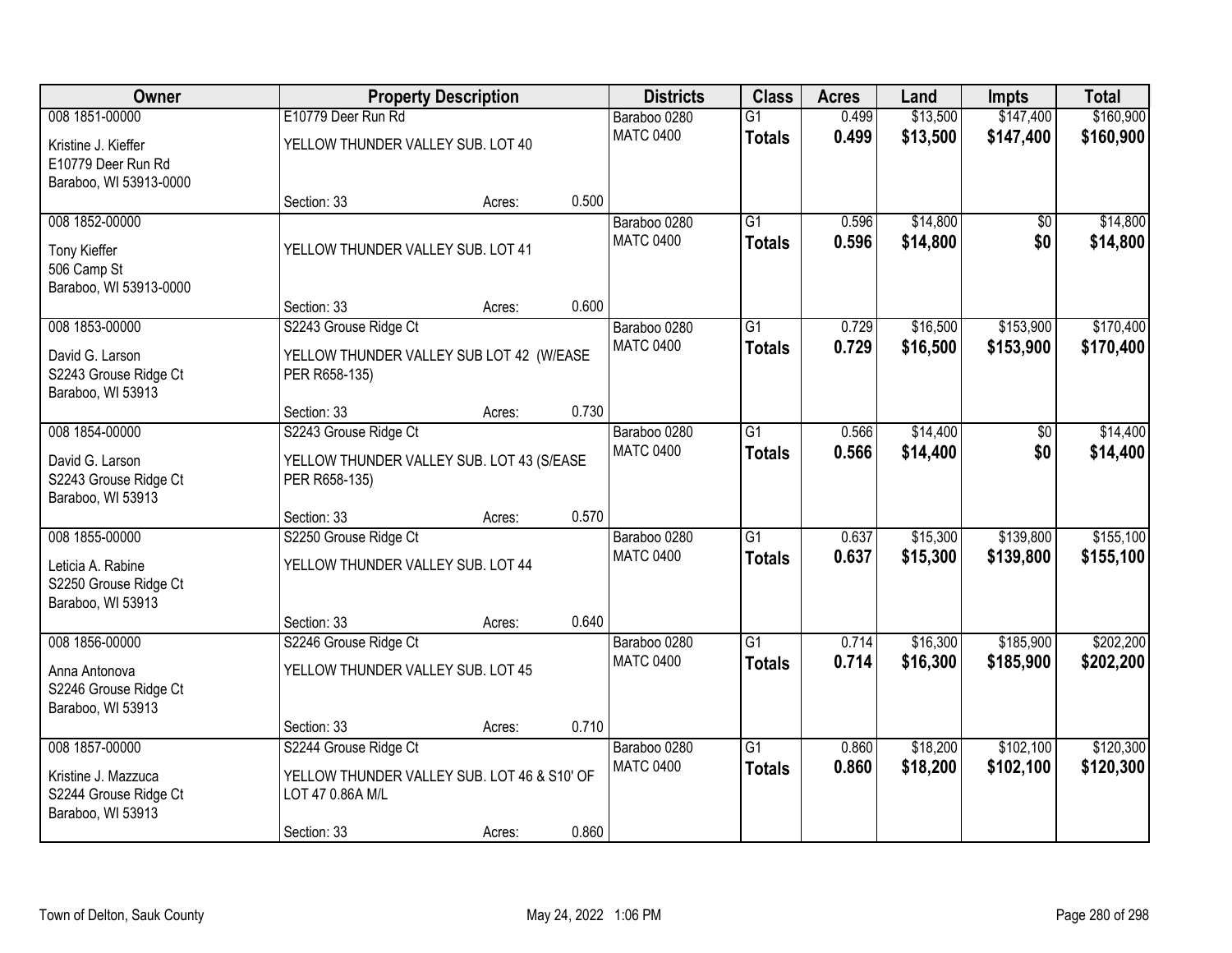| Owner                                                                               |                                                                                          | <b>Property Description</b> |       | <b>Districts</b>                 | <b>Class</b>                     | <b>Acres</b>   | Land                 | <b>Impts</b>           | <b>Total</b>           |
|-------------------------------------------------------------------------------------|------------------------------------------------------------------------------------------|-----------------------------|-------|----------------------------------|----------------------------------|----------------|----------------------|------------------------|------------------------|
| 008 1851-00000                                                                      | E10779 Deer Run Rd                                                                       |                             |       | Baraboo 0280                     | $\overline{G1}$                  | 0.499          | \$13,500             | \$147,400              | \$160,900              |
| Kristine J. Kieffer<br>E10779 Deer Run Rd<br>Baraboo, WI 53913-0000                 | YELLOW THUNDER VALLEY SUB. LOT 40                                                        |                             |       | <b>MATC 0400</b>                 | <b>Totals</b>                    | 0.499          | \$13,500             | \$147,400              | \$160,900              |
|                                                                                     | Section: 33                                                                              | Acres:                      | 0.500 |                                  |                                  |                |                      |                        |                        |
| 008 1852-00000<br>Tony Kieffer<br>506 Camp St<br>Baraboo, WI 53913-0000             | YELLOW THUNDER VALLEY SUB. LOT 41                                                        |                             |       | Baraboo 0280<br><b>MATC 0400</b> | G1<br><b>Totals</b>              | 0.596<br>0.596 | \$14,800<br>\$14,800 | $\overline{50}$<br>\$0 | \$14,800<br>\$14,800   |
|                                                                                     | Section: 33                                                                              | Acres:                      | 0.600 |                                  |                                  |                |                      |                        |                        |
| 008 1853-00000<br>David G. Larson<br>S2243 Grouse Ridge Ct<br>Baraboo, WI 53913     | S2243 Grouse Ridge Ct<br>YELLOW THUNDER VALLEY SUB LOT 42 (W/EASE<br>PER R658-135)       |                             |       | Baraboo 0280<br><b>MATC 0400</b> | $\overline{G1}$<br><b>Totals</b> | 0.729<br>0.729 | \$16,500<br>\$16,500 | \$153,900<br>\$153,900 | \$170,400<br>\$170,400 |
|                                                                                     | Section: 33                                                                              | Acres:                      | 0.730 |                                  |                                  |                |                      |                        |                        |
| 008 1854-00000<br>David G. Larson                                                   | S2243 Grouse Ridge Ct<br>YELLOW THUNDER VALLEY SUB. LOT 43 (S/EASE                       |                             |       | Baraboo 0280<br><b>MATC 0400</b> | $\overline{G1}$<br><b>Totals</b> | 0.566<br>0.566 | \$14,400<br>\$14,400 | \$0<br>\$0             | \$14,400<br>\$14,400   |
| S2243 Grouse Ridge Ct<br>Baraboo, WI 53913                                          | PER R658-135)<br>Section: 33                                                             | Acres:                      | 0.570 |                                  |                                  |                |                      |                        |                        |
| 008 1855-00000<br>Leticia A. Rabine<br>S2250 Grouse Ridge Ct<br>Baraboo, WI 53913   | S2250 Grouse Ridge Ct<br>YELLOW THUNDER VALLEY SUB. LOT 44                               |                             |       | Baraboo 0280<br><b>MATC 0400</b> | $\overline{G1}$<br><b>Totals</b> | 0.637<br>0.637 | \$15,300<br>\$15,300 | \$139,800<br>\$139,800 | \$155,100<br>\$155,100 |
|                                                                                     | Section: 33                                                                              | Acres:                      | 0.640 |                                  |                                  |                |                      |                        |                        |
| 008 1856-00000<br>Anna Antonova<br>S2246 Grouse Ridge Ct<br>Baraboo, WI 53913       | S2246 Grouse Ridge Ct<br>YELLOW THUNDER VALLEY SUB. LOT 45                               |                             |       | Baraboo 0280<br><b>MATC 0400</b> | $\overline{G1}$<br><b>Totals</b> | 0.714<br>0.714 | \$16,300<br>\$16,300 | \$185,900<br>\$185,900 | \$202,200<br>\$202,200 |
|                                                                                     | Section: 33                                                                              | Acres:                      | 0.710 |                                  |                                  |                |                      |                        |                        |
| 008 1857-00000<br>Kristine J. Mazzuca<br>S2244 Grouse Ridge Ct<br>Baraboo, WI 53913 | S2244 Grouse Ridge Ct<br>YELLOW THUNDER VALLEY SUB. LOT 46 & S10' OF<br>LOT 47 0.86A M/L |                             |       | Baraboo 0280<br><b>MATC 0400</b> | $\overline{G1}$<br><b>Totals</b> | 0.860<br>0.860 | \$18,200<br>\$18,200 | \$102,100<br>\$102,100 | \$120,300<br>\$120,300 |
|                                                                                     | Section: 33                                                                              | Acres:                      | 0.860 |                                  |                                  |                |                      |                        |                        |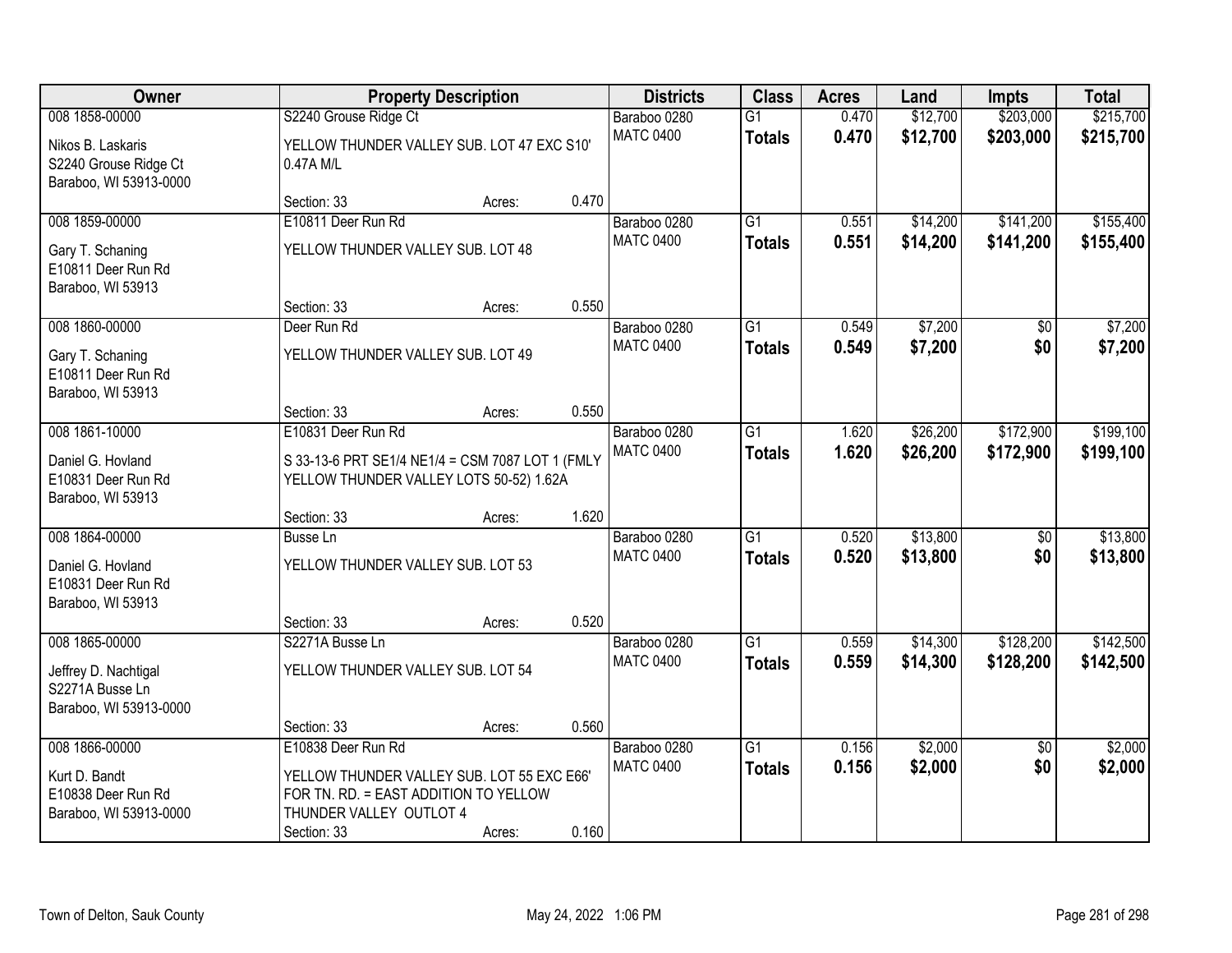| <b>Owner</b>                                                         |                                                                                                                | <b>Property Description</b> |       | <b>Districts</b> | <b>Class</b>    | <b>Acres</b> | Land     | <b>Impts</b>    | <b>Total</b> |
|----------------------------------------------------------------------|----------------------------------------------------------------------------------------------------------------|-----------------------------|-------|------------------|-----------------|--------------|----------|-----------------|--------------|
| 008 1858-00000                                                       | S2240 Grouse Ridge Ct                                                                                          |                             |       | Baraboo 0280     | $\overline{G1}$ | 0.470        | \$12,700 | \$203,000       | \$215,700    |
| Nikos B. Laskaris<br>S2240 Grouse Ridge Ct<br>Baraboo, WI 53913-0000 | YELLOW THUNDER VALLEY SUB. LOT 47 EXC S10'<br>0.47A M/L                                                        |                             |       | <b>MATC 0400</b> | <b>Totals</b>   | 0.470        | \$12,700 | \$203,000       | \$215,700    |
|                                                                      | Section: 33                                                                                                    | Acres:                      | 0.470 |                  |                 |              |          |                 |              |
| 008 1859-00000                                                       | E10811 Deer Run Rd                                                                                             |                             |       | Baraboo 0280     | $\overline{G1}$ | 0.551        | \$14,200 | \$141,200       | \$155,400    |
| Gary T. Schaning<br>E10811 Deer Run Rd<br>Baraboo, WI 53913          | YELLOW THUNDER VALLEY SUB. LOT 48                                                                              |                             |       | <b>MATC 0400</b> | <b>Totals</b>   | 0.551        | \$14,200 | \$141,200       | \$155,400    |
|                                                                      | Section: 33                                                                                                    | Acres:                      | 0.550 |                  |                 |              |          |                 |              |
| 008 1860-00000                                                       | Deer Run Rd                                                                                                    |                             |       | Baraboo 0280     | $\overline{G1}$ | 0.549        | \$7,200  | \$0             | \$7,200      |
| Gary T. Schaning<br>E10811 Deer Run Rd<br>Baraboo, WI 53913          | YELLOW THUNDER VALLEY SUB. LOT 49                                                                              |                             |       | <b>MATC 0400</b> | <b>Totals</b>   | 0.549        | \$7,200  | \$0             | \$7,200      |
|                                                                      | Section: 33                                                                                                    | Acres:                      | 0.550 |                  |                 |              |          |                 |              |
| 008 1861-10000                                                       | E10831 Deer Run Rd                                                                                             |                             |       | Baraboo 0280     | $\overline{G1}$ | 1.620        | \$26,200 | \$172,900       | \$199,100    |
| Daniel G. Hovland<br>E10831 Deer Run Rd<br>Baraboo, WI 53913         | S 33-13-6 PRT SE1/4 NE1/4 = CSM 7087 LOT 1 (FMLY<br>YELLOW THUNDER VALLEY LOTS 50-52) 1.62A                    |                             |       | <b>MATC 0400</b> | <b>Totals</b>   | 1.620        | \$26,200 | \$172,900       | \$199,100    |
|                                                                      | Section: 33                                                                                                    | Acres:                      | 1.620 |                  |                 |              |          |                 |              |
| 008 1864-00000                                                       | Busse Ln                                                                                                       |                             |       | Baraboo 0280     | $\overline{G1}$ | 0.520        | \$13,800 | \$0             | \$13,800     |
| Daniel G. Hovland<br>E10831 Deer Run Rd<br>Baraboo, WI 53913         | YELLOW THUNDER VALLEY SUB. LOT 53                                                                              |                             |       | <b>MATC 0400</b> | <b>Totals</b>   | 0.520        | \$13,800 | \$0             | \$13,800     |
|                                                                      | Section: 33                                                                                                    | Acres:                      | 0.520 |                  |                 |              |          |                 |              |
| 008 1865-00000                                                       | S2271A Busse Ln                                                                                                |                             |       | Baraboo 0280     | $\overline{G1}$ | 0.559        | \$14,300 | \$128,200       | \$142,500    |
| Jeffrey D. Nachtigal<br>S2271A Busse Ln<br>Baraboo, WI 53913-0000    | YELLOW THUNDER VALLEY SUB. LOT 54                                                                              |                             |       | <b>MATC 0400</b> | <b>Totals</b>   | 0.559        | \$14,300 | \$128,200       | \$142,500    |
|                                                                      | Section: 33                                                                                                    | Acres:                      | 0.560 |                  |                 |              |          |                 |              |
| 008 1866-00000                                                       | E10838 Deer Run Rd                                                                                             |                             |       | Baraboo 0280     | $\overline{G1}$ | 0.156        | \$2,000  | $\overline{30}$ | \$2,000      |
| Kurt D. Bandt<br>E10838 Deer Run Rd<br>Baraboo, WI 53913-0000        | YELLOW THUNDER VALLEY SUB. LOT 55 EXC E66'<br>FOR TN. RD. = EAST ADDITION TO YELLOW<br>THUNDER VALLEY OUTLOT 4 |                             |       | <b>MATC 0400</b> | <b>Totals</b>   | 0.156        | \$2,000  | \$0             | \$2,000      |
|                                                                      | Section: 33                                                                                                    | Acres:                      | 0.160 |                  |                 |              |          |                 |              |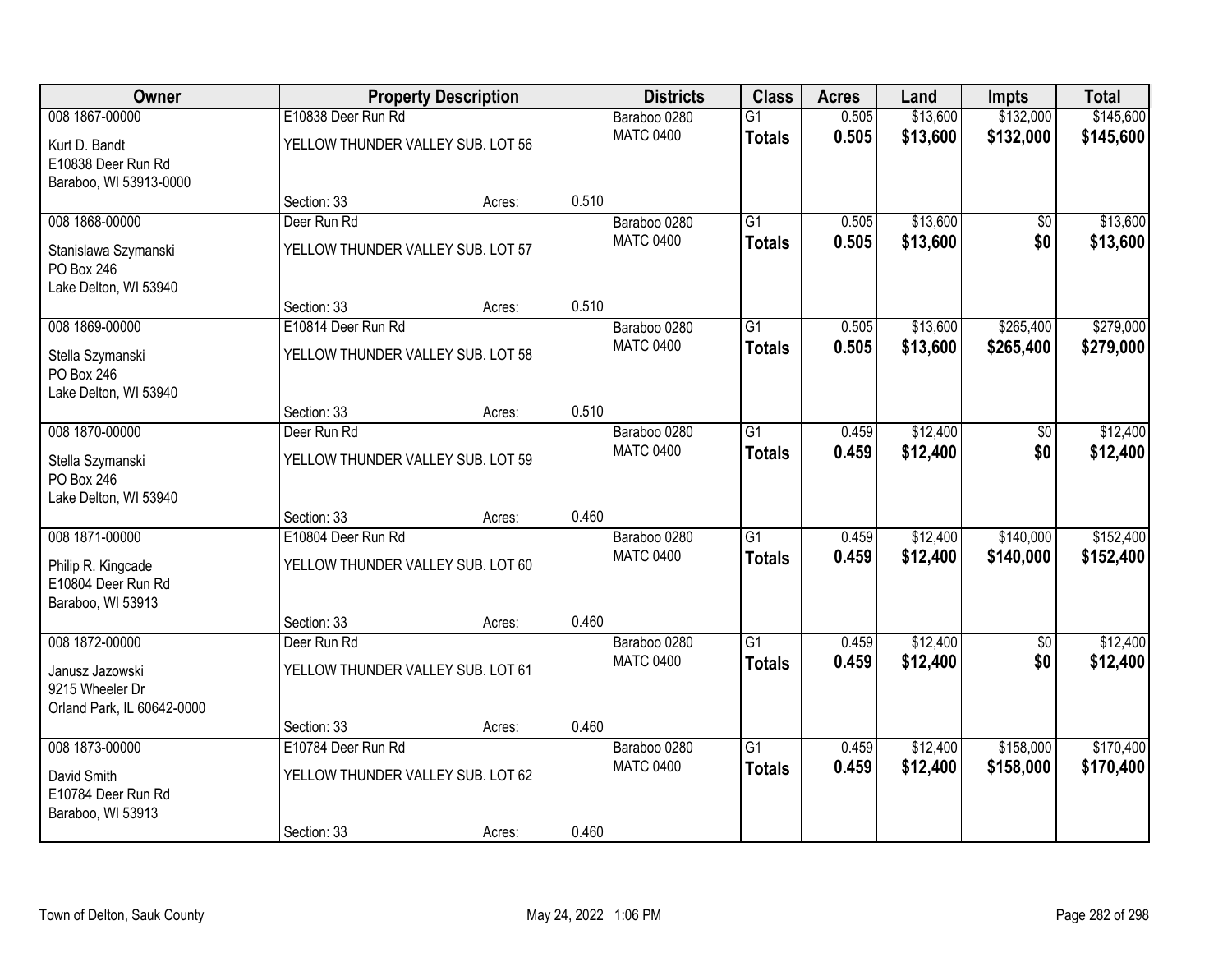| Owner                                                            |                                   | <b>Property Description</b> |       | <b>Districts</b> | <b>Class</b>    | <b>Acres</b> | Land     | <b>Impts</b>    | <b>Total</b> |
|------------------------------------------------------------------|-----------------------------------|-----------------------------|-------|------------------|-----------------|--------------|----------|-----------------|--------------|
| 008 1867-00000                                                   | E10838 Deer Run Rd                |                             |       | Baraboo 0280     | $\overline{G1}$ | 0.505        | \$13,600 | \$132,000       | \$145,600    |
| Kurt D. Bandt<br>E10838 Deer Run Rd<br>Baraboo, WI 53913-0000    | YELLOW THUNDER VALLEY SUB. LOT 56 |                             |       | <b>MATC 0400</b> | <b>Totals</b>   | 0.505        | \$13,600 | \$132,000       | \$145,600    |
|                                                                  | Section: 33                       | Acres:                      | 0.510 |                  |                 |              |          |                 |              |
| 008 1868-00000                                                   | Deer Run Rd                       |                             |       | Baraboo 0280     | $\overline{G1}$ | 0.505        | \$13,600 | \$0             | \$13,600     |
| Stanislawa Szymanski<br>PO Box 246<br>Lake Delton, WI 53940      | YELLOW THUNDER VALLEY SUB. LOT 57 |                             |       | <b>MATC 0400</b> | <b>Totals</b>   | 0.505        | \$13,600 | \$0             | \$13,600     |
|                                                                  | Section: 33                       | Acres:                      | 0.510 |                  |                 |              |          |                 |              |
| 008 1869-00000                                                   | E10814 Deer Run Rd                |                             |       | Baraboo 0280     | $\overline{G1}$ | 0.505        | \$13,600 | \$265,400       | \$279,000    |
| Stella Szymanski<br>PO Box 246<br>Lake Delton, WI 53940          | YELLOW THUNDER VALLEY SUB. LOT 58 |                             |       | <b>MATC 0400</b> | <b>Totals</b>   | 0.505        | \$13,600 | \$265,400       | \$279,000    |
|                                                                  | Section: 33                       | Acres:                      | 0.510 |                  |                 |              |          |                 |              |
| 008 1870-00000                                                   | Deer Run Rd                       |                             |       | Baraboo 0280     | $\overline{G1}$ | 0.459        | \$12,400 | $\overline{50}$ | \$12,400     |
| Stella Szymanski<br>PO Box 246                                   | YELLOW THUNDER VALLEY SUB. LOT 59 |                             |       | <b>MATC 0400</b> | <b>Totals</b>   | 0.459        | \$12,400 | \$0             | \$12,400     |
| Lake Delton, WI 53940                                            | Section: 33                       | Acres:                      | 0.460 |                  |                 |              |          |                 |              |
| 008 1871-00000                                                   | E10804 Deer Run Rd                |                             |       | Baraboo 0280     | $\overline{G1}$ | 0.459        | \$12,400 | \$140,000       | \$152,400    |
|                                                                  |                                   |                             |       | <b>MATC 0400</b> | <b>Totals</b>   | 0.459        | \$12,400 | \$140,000       | \$152,400    |
| Philip R. Kingcade<br>E10804 Deer Run Rd<br>Baraboo, WI 53913    | YELLOW THUNDER VALLEY SUB. LOT 60 |                             |       |                  |                 |              |          |                 |              |
|                                                                  | Section: 33                       | Acres:                      | 0.460 |                  |                 |              |          |                 |              |
| 008 1872-00000                                                   | Deer Run Rd                       |                             |       | Baraboo 0280     | $\overline{G1}$ | 0.459        | \$12,400 | $\sqrt{6}$      | \$12,400     |
| Janusz Jazowski<br>9215 Wheeler Dr<br>Orland Park, IL 60642-0000 | YELLOW THUNDER VALLEY SUB. LOT 61 |                             |       | <b>MATC 0400</b> | <b>Totals</b>   | 0.459        | \$12,400 | \$0             | \$12,400     |
|                                                                  | Section: 33                       | Acres:                      | 0.460 |                  |                 |              |          |                 |              |
| 008 1873-00000                                                   | E10784 Deer Run Rd                |                             |       | Baraboo 0280     | $\overline{G1}$ | 0.459        | \$12,400 | \$158,000       | \$170,400    |
| David Smith<br>E10784 Deer Run Rd<br>Baraboo, WI 53913           | YELLOW THUNDER VALLEY SUB. LOT 62 |                             |       | <b>MATC 0400</b> | <b>Totals</b>   | 0.459        | \$12,400 | \$158,000       | \$170,400    |
|                                                                  | Section: 33                       | Acres:                      | 0.460 |                  |                 |              |          |                 |              |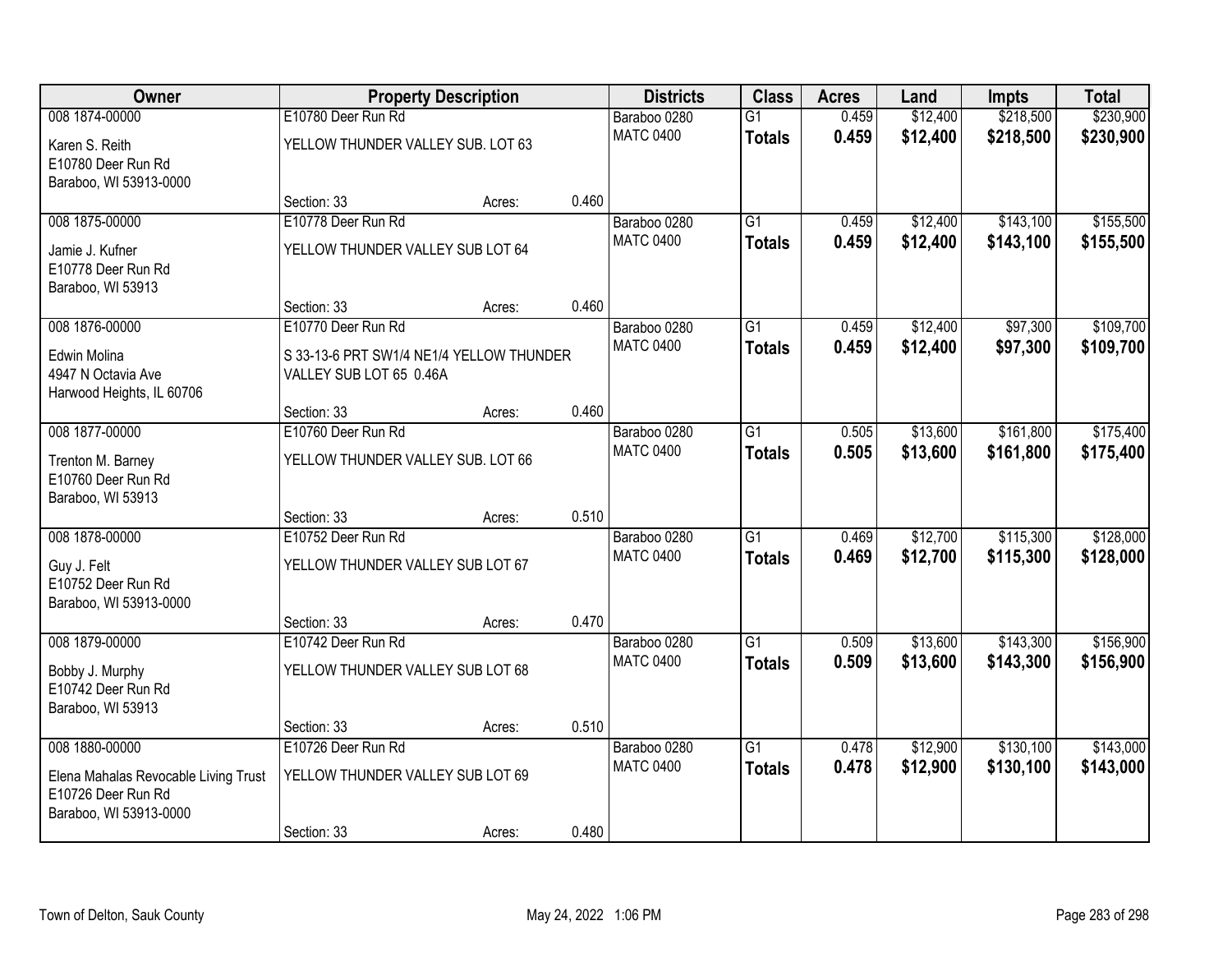| Owner                                                                                | <b>Property Description</b>                                         |        |       | <b>Districts</b> | <b>Class</b>    | <b>Acres</b> | Land     | <b>Impts</b> | <b>Total</b> |
|--------------------------------------------------------------------------------------|---------------------------------------------------------------------|--------|-------|------------------|-----------------|--------------|----------|--------------|--------------|
| 008 1874-00000                                                                       | E10780 Deer Run Rd                                                  |        |       | Baraboo 0280     | $\overline{G1}$ | 0.459        | \$12,400 | \$218,500    | \$230,900    |
| Karen S. Reith<br>E10780 Deer Run Rd<br>Baraboo, WI 53913-0000                       | YELLOW THUNDER VALLEY SUB. LOT 63                                   |        |       | <b>MATC 0400</b> | <b>Totals</b>   | 0.459        | \$12,400 | \$218,500    | \$230,900    |
|                                                                                      | Section: 33                                                         | Acres: | 0.460 |                  |                 |              |          |              |              |
| 008 1875-00000                                                                       | E10778 Deer Run Rd                                                  |        |       | Baraboo 0280     | $\overline{G1}$ | 0.459        | \$12,400 | \$143,100    | \$155,500    |
| Jamie J. Kufner<br>E10778 Deer Run Rd<br>Baraboo, WI 53913                           | YELLOW THUNDER VALLEY SUB LOT 64                                    |        |       | <b>MATC 0400</b> | <b>Totals</b>   | 0.459        | \$12,400 | \$143,100    | \$155,500    |
|                                                                                      | Section: 33                                                         | Acres: | 0.460 |                  |                 |              |          |              |              |
| 008 1876-00000                                                                       | E10770 Deer Run Rd                                                  |        |       | Baraboo 0280     | $\overline{G1}$ | 0.459        | \$12,400 | \$97,300     | \$109,700    |
| Edwin Molina<br>4947 N Octavia Ave<br>Harwood Heights, IL 60706                      | S 33-13-6 PRT SW1/4 NE1/4 YELLOW THUNDER<br>VALLEY SUB LOT 65 0.46A |        |       | <b>MATC 0400</b> | <b>Totals</b>   | 0.459        | \$12,400 | \$97,300     | \$109,700    |
|                                                                                      | Section: 33                                                         | Acres: | 0.460 |                  |                 |              |          |              |              |
| 008 1877-00000                                                                       | E10760 Deer Run Rd                                                  |        |       | Baraboo 0280     | $\overline{G1}$ | 0.505        | \$13,600 | \$161,800    | \$175,400    |
| Trenton M. Barney<br>E10760 Deer Run Rd<br>Baraboo, WI 53913                         | YELLOW THUNDER VALLEY SUB. LOT 66                                   |        |       | <b>MATC 0400</b> | <b>Totals</b>   | 0.505        | \$13,600 | \$161,800    | \$175,400    |
|                                                                                      | Section: 33                                                         | Acres: | 0.510 |                  |                 |              |          |              |              |
| 008 1878-00000                                                                       | E10752 Deer Run Rd                                                  |        |       | Baraboo 0280     | $\overline{G1}$ | 0.469        | \$12,700 | \$115,300    | \$128,000    |
| Guy J. Felt<br>E10752 Deer Run Rd<br>Baraboo, WI 53913-0000                          | YELLOW THUNDER VALLEY SUB LOT 67                                    |        |       | <b>MATC 0400</b> | <b>Totals</b>   | 0.469        | \$12,700 | \$115,300    | \$128,000    |
|                                                                                      | Section: 33                                                         | Acres: | 0.470 |                  |                 |              |          |              |              |
| 008 1879-00000                                                                       | E10742 Deer Run Rd                                                  |        |       | Baraboo 0280     | $\overline{G1}$ | 0.509        | \$13,600 | \$143,300    | \$156,900    |
| Bobby J. Murphy<br>E10742 Deer Run Rd<br>Baraboo, WI 53913                           | YELLOW THUNDER VALLEY SUB LOT 68                                    |        |       | <b>MATC 0400</b> | <b>Totals</b>   | 0.509        | \$13,600 | \$143,300    | \$156,900    |
|                                                                                      | Section: 33                                                         | Acres: | 0.510 |                  |                 |              |          |              |              |
| 008 1880-00000                                                                       | E10726 Deer Run Rd                                                  |        |       | Baraboo 0280     | $\overline{G1}$ | 0.478        | \$12,900 | \$130,100    | \$143,000    |
| Elena Mahalas Revocable Living Trust<br>E10726 Deer Run Rd<br>Baraboo, WI 53913-0000 | YELLOW THUNDER VALLEY SUB LOT 69                                    |        |       | <b>MATC 0400</b> | <b>Totals</b>   | 0.478        | \$12,900 | \$130,100    | \$143,000    |
|                                                                                      | Section: 33                                                         | Acres: | 0.480 |                  |                 |              |          |              |              |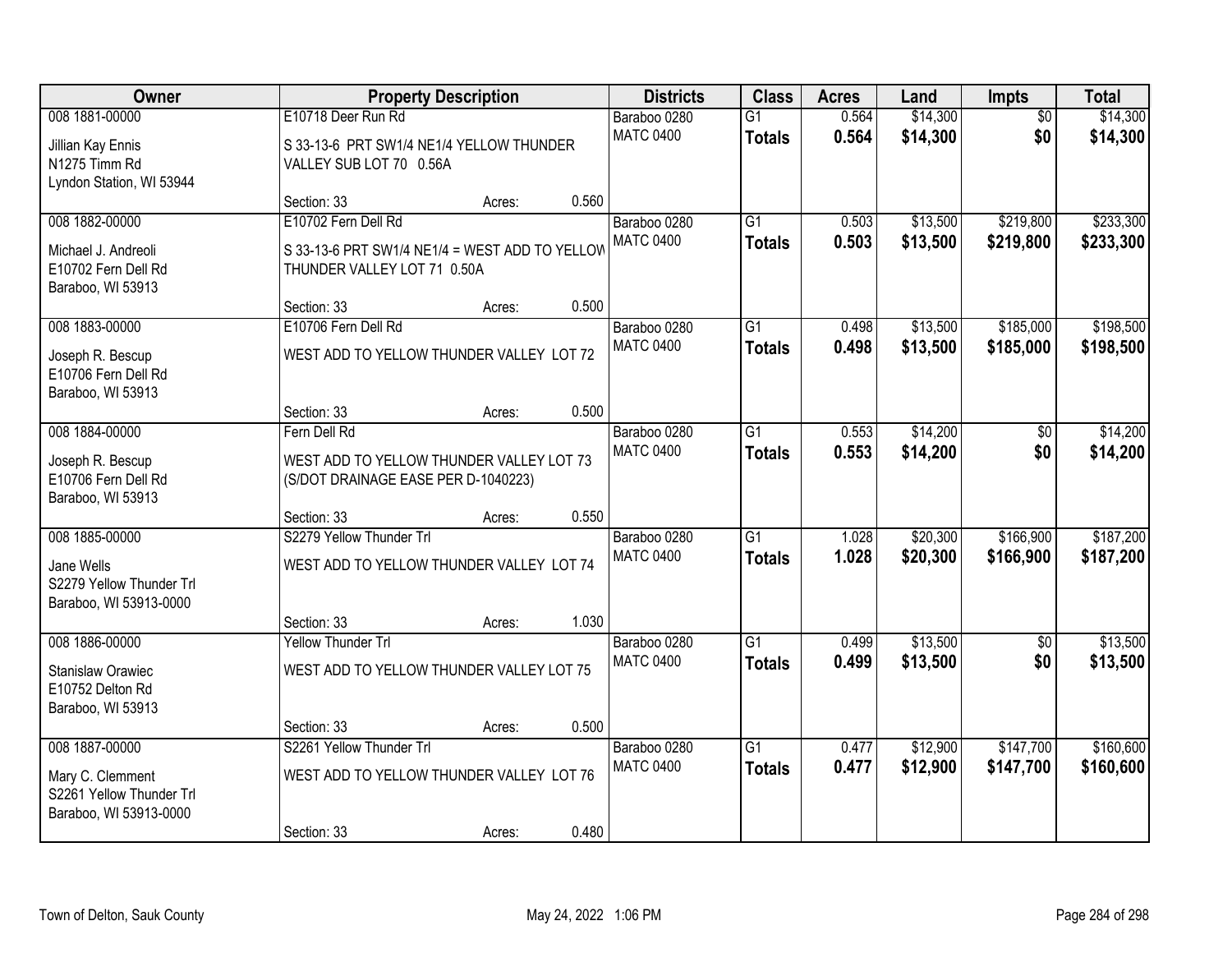| Owner<br><b>Property Description</b>                                                     | <b>Districts</b>                                                                                     | <b>Class</b> | <b>Acres</b> | Land                             | <b>Impts</b>                     | <b>Total</b>   |                      |                        |                        |
|------------------------------------------------------------------------------------------|------------------------------------------------------------------------------------------------------|--------------|--------------|----------------------------------|----------------------------------|----------------|----------------------|------------------------|------------------------|
| 008 1881-00000<br>Jillian Kay Ennis<br>N1275 Timm Rd<br>Lyndon Station, WI 53944         | E10718 Deer Run Rd<br>S 33-13-6 PRT SW1/4 NE1/4 YELLOW THUNDER<br>VALLEY SUB LOT 70 0.56A            |              |              | Baraboo 0280<br><b>MATC 0400</b> | $\overline{G1}$<br><b>Totals</b> | 0.564<br>0.564 | \$14,300<br>\$14,300 | $\overline{50}$<br>\$0 | \$14,300<br>\$14,300   |
|                                                                                          | Section: 33                                                                                          | Acres:       | 0.560        |                                  |                                  |                |                      |                        |                        |
| 008 1882-00000<br>Michael J. Andreoli<br>E10702 Fern Dell Rd<br>Baraboo, WI 53913        | E10702 Fern Dell Rd<br>S 33-13-6 PRT SW1/4 NE1/4 = WEST ADD TO YELLOW<br>THUNDER VALLEY LOT 71 0.50A |              |              | Baraboo 0280<br><b>MATC 0400</b> | $\overline{G1}$<br><b>Totals</b> | 0.503<br>0.503 | \$13,500<br>\$13,500 | \$219,800<br>\$219,800 | \$233,300<br>\$233,300 |
| 008 1883-00000                                                                           | Section: 33<br>E10706 Fern Dell Rd                                                                   | Acres:       | 0.500        | Baraboo 0280                     | $\overline{G1}$                  | 0.498          | \$13,500             | \$185,000              | \$198,500              |
| Joseph R. Bescup<br>E10706 Fern Dell Rd<br>Baraboo, WI 53913                             | WEST ADD TO YELLOW THUNDER VALLEY LOT 72                                                             |              |              | <b>MATC 0400</b>                 | <b>Totals</b>                    | 0.498          | \$13,500             | \$185,000              | \$198,500              |
|                                                                                          | Section: 33                                                                                          | Acres:       | 0.500        |                                  |                                  |                |                      |                        |                        |
| 008 1884-00000<br>Joseph R. Bescup<br>E10706 Fern Dell Rd                                | Fern Dell Rd<br>WEST ADD TO YELLOW THUNDER VALLEY LOT 73<br>(S/DOT DRAINAGE EASE PER D-1040223)      |              |              | Baraboo 0280<br><b>MATC 0400</b> | $\overline{G1}$<br><b>Totals</b> | 0.553<br>0.553 | \$14,200<br>\$14,200 | \$0<br>\$0             | \$14,200<br>\$14,200   |
| Baraboo, WI 53913                                                                        | Section: 33                                                                                          | Acres:       | 0.550        |                                  |                                  |                |                      |                        |                        |
| 008 1885-00000<br>Jane Wells<br>S2279 Yellow Thunder Trl<br>Baraboo, WI 53913-0000       | S2279 Yellow Thunder Trl<br>WEST ADD TO YELLOW THUNDER VALLEY LOT 74                                 |              |              | Baraboo 0280<br><b>MATC 0400</b> | $\overline{G1}$<br><b>Totals</b> | 1.028<br>1.028 | \$20,300<br>\$20,300 | \$166,900<br>\$166,900 | \$187,200<br>\$187,200 |
| 008 1886-00000                                                                           | Section: 33<br><b>Yellow Thunder Trl</b>                                                             | Acres:       | 1.030        |                                  | $\overline{G1}$                  |                | \$13,500             |                        | \$13,500               |
| <b>Stanislaw Orawiec</b><br>E10752 Delton Rd<br>Baraboo, WI 53913                        | WEST ADD TO YELLOW THUNDER VALLEY LOT 75                                                             |              |              | Baraboo 0280<br><b>MATC 0400</b> | <b>Totals</b>                    | 0.499<br>0.499 | \$13,500             | $\sqrt{6}$<br>\$0      | \$13,500               |
|                                                                                          | Section: 33                                                                                          | Acres:       | 0.500        |                                  |                                  |                |                      |                        |                        |
| 008 1887-00000<br>Mary C. Clemment<br>S2261 Yellow Thunder Trl<br>Baraboo, WI 53913-0000 | S2261 Yellow Thunder Trl<br>WEST ADD TO YELLOW THUNDER VALLEY LOT 76<br>Section: 33                  | Acres:       | 0.480        | Baraboo 0280<br><b>MATC 0400</b> | $\overline{G1}$<br><b>Totals</b> | 0.477<br>0.477 | \$12,900<br>\$12,900 | \$147,700<br>\$147,700 | \$160,600<br>\$160,600 |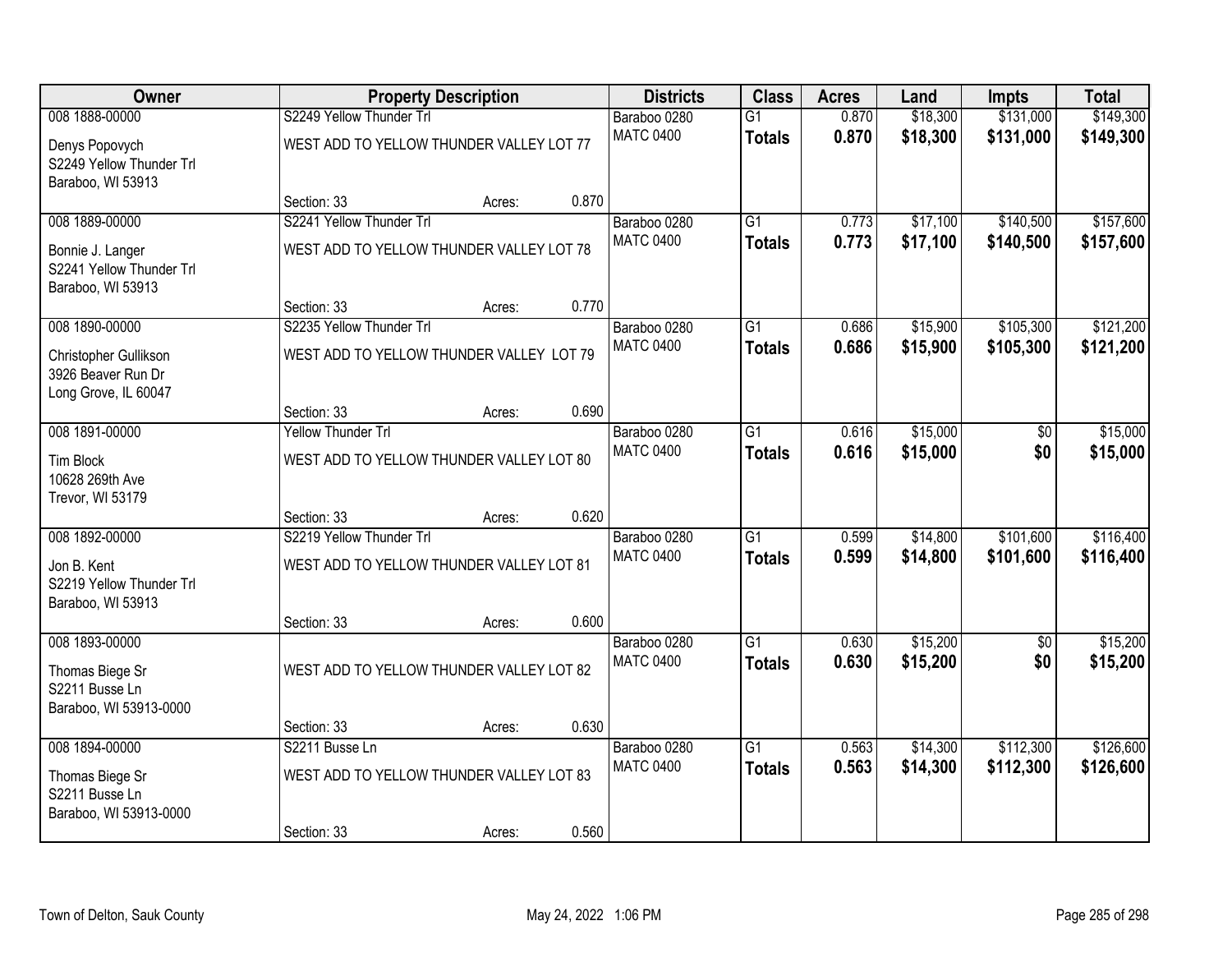| Owner                                       |                                         | <b>Property Description</b>              |       | <b>Districts</b>                 | <b>Class</b>    | <b>Acres</b>   | Land                 | Impts             | <b>Total</b>         |
|---------------------------------------------|-----------------------------------------|------------------------------------------|-------|----------------------------------|-----------------|----------------|----------------------|-------------------|----------------------|
| 008 1888-00000                              | S2249 Yellow Thunder Trl                |                                          |       | Baraboo 0280                     | $\overline{G1}$ | 0.870          | \$18,300             | \$131,000         | \$149,300            |
| Denys Popovych                              |                                         | WEST ADD TO YELLOW THUNDER VALLEY LOT 77 |       | <b>MATC 0400</b>                 | <b>Totals</b>   | 0.870          | \$18,300             | \$131,000         | \$149,300            |
| S2249 Yellow Thunder Trl                    |                                         |                                          |       |                                  |                 |                |                      |                   |                      |
| Baraboo, WI 53913                           |                                         |                                          |       |                                  |                 |                |                      |                   |                      |
| 008 1889-00000                              | Section: 33<br>S2241 Yellow Thunder Trl | Acres:                                   | 0.870 |                                  | $\overline{G1}$ | 0.773          |                      | \$140,500         | \$157,600            |
|                                             |                                         |                                          |       | Baraboo 0280<br><b>MATC 0400</b> |                 | 0.773          | \$17,100<br>\$17,100 | \$140,500         | \$157,600            |
| Bonnie J. Langer                            |                                         | WEST ADD TO YELLOW THUNDER VALLEY LOT 78 |       |                                  | <b>Totals</b>   |                |                      |                   |                      |
| S2241 Yellow Thunder Trl                    |                                         |                                          |       |                                  |                 |                |                      |                   |                      |
| Baraboo, WI 53913                           | Section: 33                             | Acres:                                   | 0.770 |                                  |                 |                |                      |                   |                      |
| 008 1890-00000                              | S2235 Yellow Thunder Trl                |                                          |       | Baraboo 0280                     | $\overline{G1}$ | 0.686          | \$15,900             | \$105,300         | \$121,200            |
|                                             |                                         |                                          |       | <b>MATC 0400</b>                 | <b>Totals</b>   | 0.686          | \$15,900             | \$105,300         | \$121,200            |
| Christopher Gullikson<br>3926 Beaver Run Dr |                                         | WEST ADD TO YELLOW THUNDER VALLEY LOT 79 |       |                                  |                 |                |                      |                   |                      |
| Long Grove, IL 60047                        |                                         |                                          |       |                                  |                 |                |                      |                   |                      |
|                                             | Section: 33                             | Acres:                                   | 0.690 |                                  |                 |                |                      |                   |                      |
| 008 1891-00000                              | <b>Yellow Thunder Trl</b>               |                                          |       | Baraboo 0280                     | $\overline{G1}$ | 0.616          | \$15,000             | $\overline{50}$   | \$15,000             |
| <b>Tim Block</b>                            |                                         | WEST ADD TO YELLOW THUNDER VALLEY LOT 80 |       | <b>MATC 0400</b>                 | <b>Totals</b>   | 0.616          | \$15,000             | \$0               | \$15,000             |
| 10628 269th Ave                             |                                         |                                          |       |                                  |                 |                |                      |                   |                      |
| Trevor, WI 53179                            |                                         |                                          |       |                                  |                 |                |                      |                   |                      |
|                                             | Section: 33                             | Acres:                                   | 0.620 |                                  |                 |                |                      |                   |                      |
| 008 1892-00000                              | S2219 Yellow Thunder Trl                |                                          |       | Baraboo 0280                     | $\overline{G1}$ | 0.599          | \$14,800             | \$101,600         | \$116,400            |
| Jon B. Kent                                 |                                         | WEST ADD TO YELLOW THUNDER VALLEY LOT 81 |       | <b>MATC 0400</b>                 | <b>Totals</b>   | 0.599          | \$14,800             | \$101,600         | \$116,400            |
| S2219 Yellow Thunder Trl                    |                                         |                                          |       |                                  |                 |                |                      |                   |                      |
| Baraboo, WI 53913                           |                                         |                                          |       |                                  |                 |                |                      |                   |                      |
| 008 1893-00000                              | Section: 33                             | Acres:                                   | 0.600 |                                  | $\overline{G1}$ |                |                      |                   |                      |
|                                             |                                         |                                          |       | Baraboo 0280<br><b>MATC 0400</b> | <b>Totals</b>   | 0.630<br>0.630 | \$15,200<br>\$15,200 | $\sqrt{6}$<br>\$0 | \$15,200<br>\$15,200 |
| Thomas Biege Sr                             |                                         | WEST ADD TO YELLOW THUNDER VALLEY LOT 82 |       |                                  |                 |                |                      |                   |                      |
| S2211 Busse Ln                              |                                         |                                          |       |                                  |                 |                |                      |                   |                      |
| Baraboo, WI 53913-0000                      | Section: 33                             | Acres:                                   | 0.630 |                                  |                 |                |                      |                   |                      |
| 008 1894-00000                              | S2211 Busse Ln                          |                                          |       | Baraboo 0280                     | $\overline{G1}$ | 0.563          | \$14,300             | \$112,300         | \$126,600            |
|                                             |                                         |                                          |       | <b>MATC 0400</b>                 | <b>Totals</b>   | 0.563          | \$14,300             | \$112,300         | \$126,600            |
| Thomas Biege Sr<br>S2211 Busse Ln           |                                         | WEST ADD TO YELLOW THUNDER VALLEY LOT 83 |       |                                  |                 |                |                      |                   |                      |
| Baraboo, WI 53913-0000                      |                                         |                                          |       |                                  |                 |                |                      |                   |                      |
|                                             | Section: 33                             | Acres:                                   | 0.560 |                                  |                 |                |                      |                   |                      |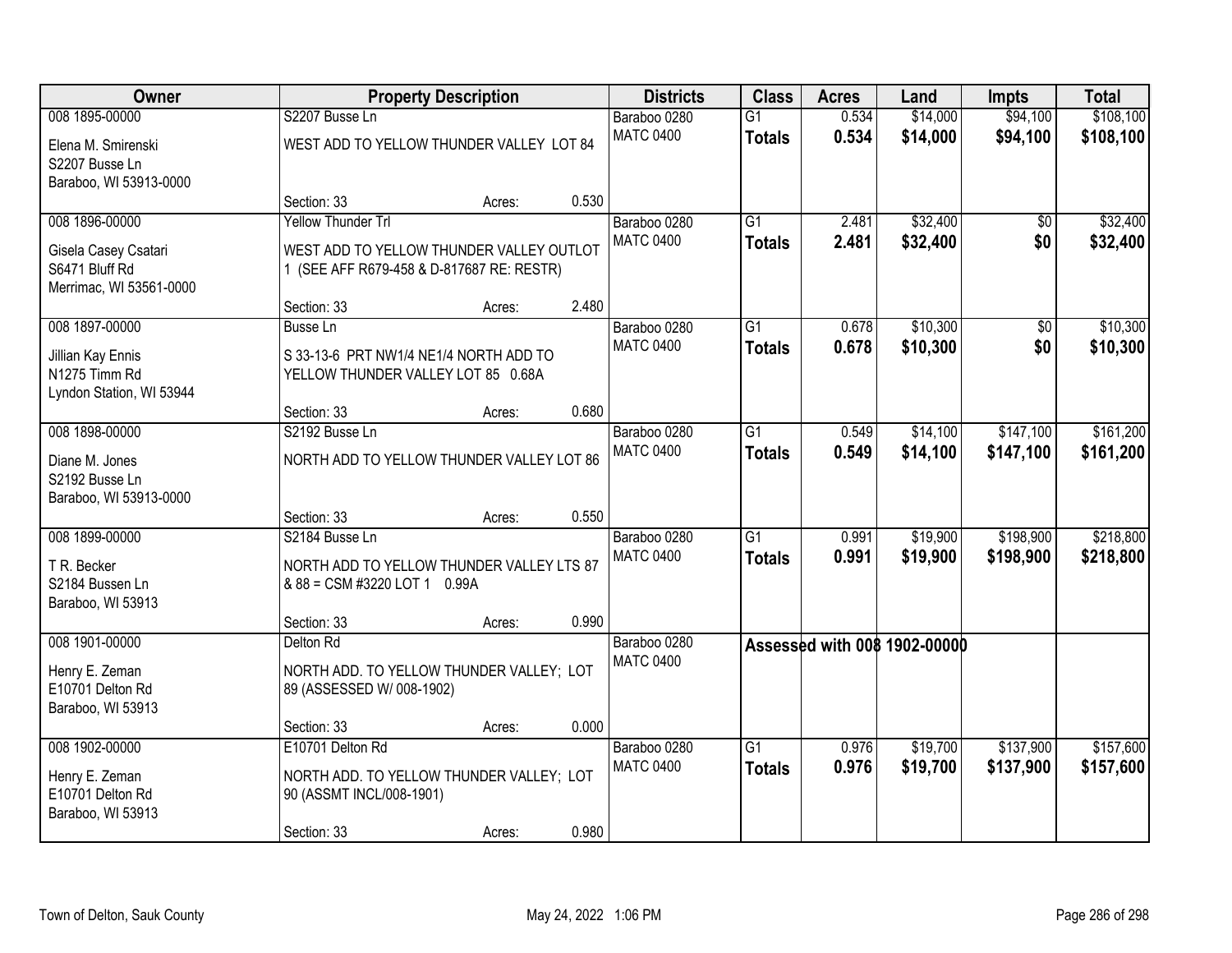| <b>Owner</b>                                                                        |                                                                                                                    | <b>Property Description</b> |       | <b>Districts</b>                 | <b>Class</b>                     | <b>Acres</b>   | Land                         | <b>Impts</b>           | <b>Total</b>           |
|-------------------------------------------------------------------------------------|--------------------------------------------------------------------------------------------------------------------|-----------------------------|-------|----------------------------------|----------------------------------|----------------|------------------------------|------------------------|------------------------|
| 008 1895-00000<br>Elena M. Smirenski<br>S2207 Busse Ln<br>Baraboo, WI 53913-0000    | S2207 Busse Ln<br>WEST ADD TO YELLOW THUNDER VALLEY LOT 84                                                         |                             |       | Baraboo 0280<br><b>MATC 0400</b> | $\overline{G1}$<br><b>Totals</b> | 0.534<br>0.534 | \$14,000<br>\$14,000         | \$94,100<br>\$94,100   | \$108,100<br>\$108,100 |
|                                                                                     | Section: 33                                                                                                        | Acres:                      | 0.530 |                                  |                                  |                |                              |                        |                        |
| 008 1896-00000<br>Gisela Casey Csatari<br>S6471 Bluff Rd<br>Merrimac, WI 53561-0000 | <b>Yellow Thunder Trl</b><br>WEST ADD TO YELLOW THUNDER VALLEY OUTLOT<br>1 (SEE AFF R679-458 & D-817687 RE: RESTR) |                             |       | Baraboo 0280<br><b>MATC 0400</b> | $\overline{G1}$<br><b>Totals</b> | 2.481<br>2.481 | \$32,400<br>\$32,400         | \$0<br>\$0             | \$32,400<br>\$32,400   |
| 008 1897-00000                                                                      | Section: 33                                                                                                        | Acres:                      | 2.480 |                                  |                                  |                | \$10,300                     |                        |                        |
| Jillian Kay Ennis<br>N1275 Timm Rd<br>Lyndon Station, WI 53944                      | <b>Busse Ln</b><br>S 33-13-6 PRT NW1/4 NE1/4 NORTH ADD TO<br>YELLOW THUNDER VALLEY LOT 85 0.68A                    |                             |       | Baraboo 0280<br><b>MATC 0400</b> | $\overline{G1}$<br><b>Totals</b> | 0.678<br>0.678 | \$10,300                     | \$0<br>\$0             | \$10,300<br>\$10,300   |
|                                                                                     | Section: 33                                                                                                        | Acres:                      | 0.680 |                                  |                                  |                |                              |                        |                        |
| 008 1898-00000<br>Diane M. Jones<br>S2192 Busse Ln<br>Baraboo, WI 53913-0000        | S2192 Busse Ln<br>NORTH ADD TO YELLOW THUNDER VALLEY LOT 86                                                        |                             |       | Baraboo 0280<br><b>MATC 0400</b> | G1<br><b>Totals</b>              | 0.549<br>0.549 | \$14,100<br>\$14,100         | \$147,100<br>\$147,100 | \$161,200<br>\$161,200 |
|                                                                                     | Section: 33                                                                                                        | Acres:                      | 0.550 |                                  |                                  |                |                              |                        |                        |
| 008 1899-00000<br>T R. Becker<br>S2184 Bussen Ln<br>Baraboo, WI 53913               | S2184 Busse Ln<br>NORTH ADD TO YELLOW THUNDER VALLEY LTS 87<br>& 88 = CSM #3220 LOT 1 0.99A                        |                             |       | Baraboo 0280<br><b>MATC 0400</b> | $\overline{G1}$<br><b>Totals</b> | 0.991<br>0.991 | \$19,900<br>\$19,900         | \$198,900<br>\$198,900 | \$218,800<br>\$218,800 |
|                                                                                     | Section: 33                                                                                                        | Acres:                      | 0.990 |                                  |                                  |                |                              |                        |                        |
| 008 1901-00000<br>Henry E. Zeman<br>E10701 Delton Rd<br>Baraboo, WI 53913           | Delton Rd<br>NORTH ADD. TO YELLOW THUNDER VALLEY; LOT<br>89 (ASSESSED W/ 008-1902)                                 |                             |       | Baraboo 0280<br><b>MATC 0400</b> |                                  |                | Assessed with 008 1902-00000 |                        |                        |
|                                                                                     | Section: 33                                                                                                        | Acres:                      | 0.000 |                                  |                                  |                |                              |                        |                        |
| 008 1902-00000<br>Henry E. Zeman<br>E10701 Delton Rd<br>Baraboo, WI 53913           | E10701 Delton Rd<br>NORTH ADD. TO YELLOW THUNDER VALLEY; LOT<br>90 (ASSMT INCL/008-1901)<br>Section: 33            | Acres:                      | 0.980 | Baraboo 0280<br><b>MATC 0400</b> | $\overline{G1}$<br><b>Totals</b> | 0.976<br>0.976 | \$19,700<br>\$19,700         | \$137,900<br>\$137,900 | \$157,600<br>\$157,600 |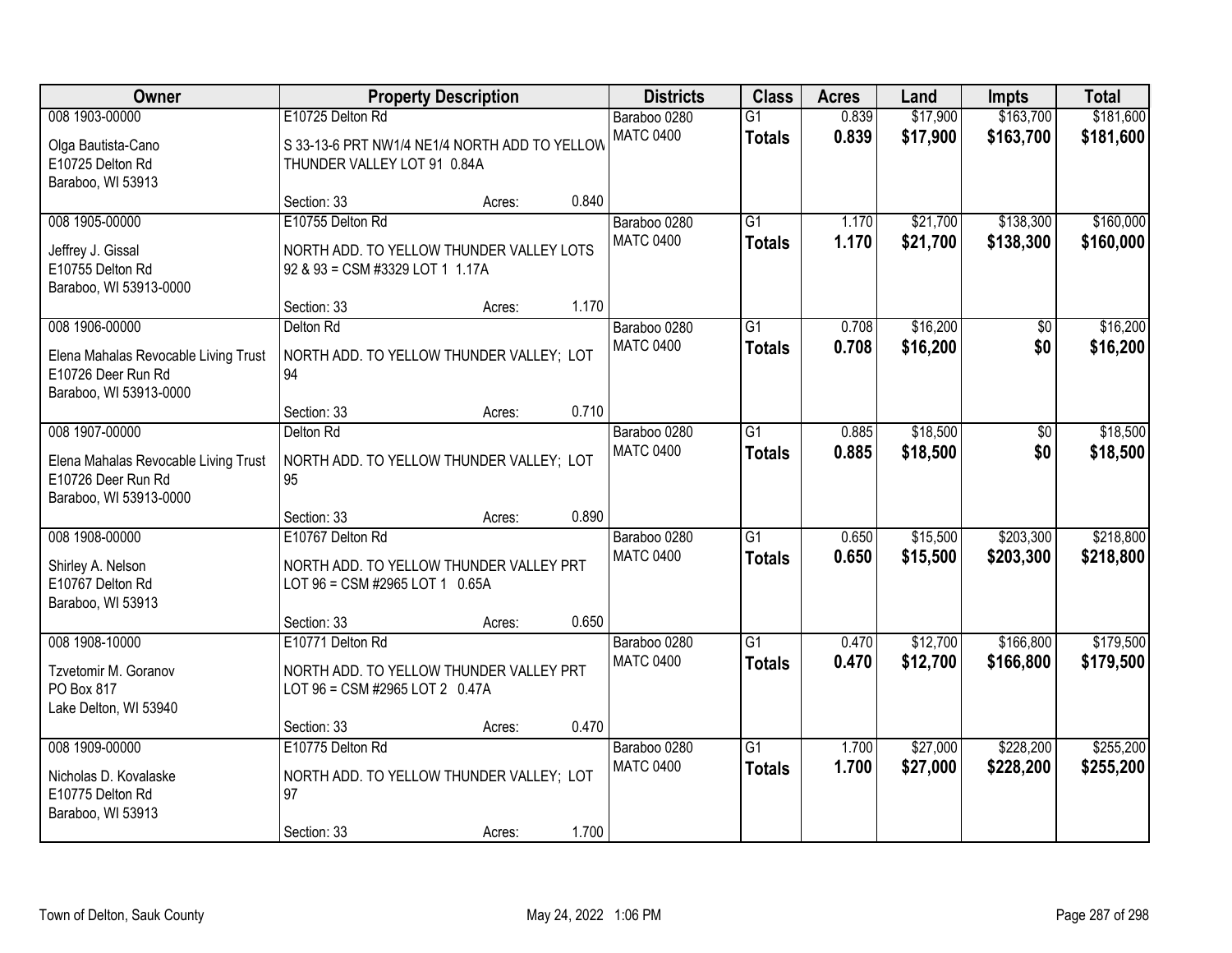| Owner                                |                                               | <b>Property Description</b> |       | <b>Districts</b> | <b>Class</b>    | <b>Acres</b> | Land     | Impts     | <b>Total</b> |
|--------------------------------------|-----------------------------------------------|-----------------------------|-------|------------------|-----------------|--------------|----------|-----------|--------------|
| 008 1903-00000                       | E10725 Delton Rd                              |                             |       | Baraboo 0280     | $\overline{G1}$ | 0.839        | \$17,900 | \$163,700 | \$181,600    |
| Olga Bautista-Cano                   | S 33-13-6 PRT NW1/4 NE1/4 NORTH ADD TO YELLOW |                             |       | <b>MATC 0400</b> | <b>Totals</b>   | 0.839        | \$17,900 | \$163,700 | \$181,600    |
| E10725 Delton Rd                     | THUNDER VALLEY LOT 91 0.84A                   |                             |       |                  |                 |              |          |           |              |
| Baraboo, WI 53913                    |                                               |                             |       |                  |                 |              |          |           |              |
|                                      | Section: 33                                   | Acres:                      | 0.840 |                  |                 |              |          |           |              |
| 008 1905-00000                       | E10755 Delton Rd                              |                             |       | Baraboo 0280     | $\overline{G1}$ | 1.170        | \$21,700 | \$138,300 | \$160,000    |
| Jeffrey J. Gissal                    | NORTH ADD. TO YELLOW THUNDER VALLEY LOTS      |                             |       | <b>MATC 0400</b> | <b>Totals</b>   | 1.170        | \$21,700 | \$138,300 | \$160,000    |
| E10755 Delton Rd                     | 92 & 93 = CSM #3329 LOT 1 1.17A               |                             |       |                  |                 |              |          |           |              |
| Baraboo, WI 53913-0000               |                                               |                             |       |                  |                 |              |          |           |              |
|                                      | Section: 33                                   | Acres:                      | 1.170 |                  |                 |              |          |           |              |
| 008 1906-00000                       | Delton Rd                                     |                             |       | Baraboo 0280     | G1              | 0.708        | \$16,200 | \$0       | \$16,200     |
| Elena Mahalas Revocable Living Trust | NORTH ADD. TO YELLOW THUNDER VALLEY; LOT      |                             |       | <b>MATC 0400</b> | <b>Totals</b>   | 0.708        | \$16,200 | \$0       | \$16,200     |
| E10726 Deer Run Rd                   | 94                                            |                             |       |                  |                 |              |          |           |              |
| Baraboo, WI 53913-0000               |                                               |                             |       |                  |                 |              |          |           |              |
|                                      | Section: 33                                   | Acres:                      | 0.710 |                  |                 |              |          |           |              |
| 008 1907-00000                       | Delton Rd                                     |                             |       | Baraboo 0280     | G1              | 0.885        | \$18,500 | \$0       | \$18,500     |
| Elena Mahalas Revocable Living Trust | NORTH ADD. TO YELLOW THUNDER VALLEY; LOT      |                             |       | <b>MATC 0400</b> | <b>Totals</b>   | 0.885        | \$18,500 | \$0       | \$18,500     |
| E10726 Deer Run Rd                   | 95                                            |                             |       |                  |                 |              |          |           |              |
| Baraboo, WI 53913-0000               |                                               |                             |       |                  |                 |              |          |           |              |
|                                      | Section: 33                                   | Acres:                      | 0.890 |                  |                 |              |          |           |              |
| 008 1908-00000                       | E10767 Delton Rd                              |                             |       | Baraboo 0280     | $\overline{G1}$ | 0.650        | \$15,500 | \$203,300 | \$218,800    |
| Shirley A. Nelson                    | NORTH ADD. TO YELLOW THUNDER VALLEY PRT       |                             |       | <b>MATC 0400</b> | <b>Totals</b>   | 0.650        | \$15,500 | \$203,300 | \$218,800    |
| E10767 Delton Rd                     | LOT 96 = CSM #2965 LOT 1 0.65A                |                             |       |                  |                 |              |          |           |              |
| Baraboo, WI 53913                    |                                               |                             |       |                  |                 |              |          |           |              |
|                                      | Section: 33                                   | Acres:                      | 0.650 |                  |                 |              |          |           |              |
| 008 1908-10000                       | E10771 Delton Rd                              |                             |       | Baraboo 0280     | $\overline{G1}$ | 0.470        | \$12,700 | \$166,800 | \$179,500    |
| Tzvetomir M. Goranov                 | NORTH ADD. TO YELLOW THUNDER VALLEY PRT       |                             |       | <b>MATC 0400</b> | <b>Totals</b>   | 0.470        | \$12,700 | \$166,800 | \$179,500    |
| PO Box 817                           | LOT 96 = CSM #2965 LOT 2 0.47A                |                             |       |                  |                 |              |          |           |              |
| Lake Delton, WI 53940                |                                               |                             |       |                  |                 |              |          |           |              |
|                                      | Section: 33                                   | Acres:                      | 0.470 |                  |                 |              |          |           |              |
| 008 1909-00000                       | E10775 Delton Rd                              |                             |       | Baraboo 0280     | $\overline{G1}$ | 1.700        | \$27,000 | \$228,200 | \$255,200    |
| Nicholas D. Kovalaske                | NORTH ADD. TO YELLOW THUNDER VALLEY; LOT      |                             |       | <b>MATC 0400</b> | <b>Totals</b>   | 1.700        | \$27,000 | \$228,200 | \$255,200    |
| E10775 Delton Rd                     | 97                                            |                             |       |                  |                 |              |          |           |              |
| Baraboo, WI 53913                    |                                               |                             |       |                  |                 |              |          |           |              |
|                                      | Section: 33                                   | Acres:                      | 1.700 |                  |                 |              |          |           |              |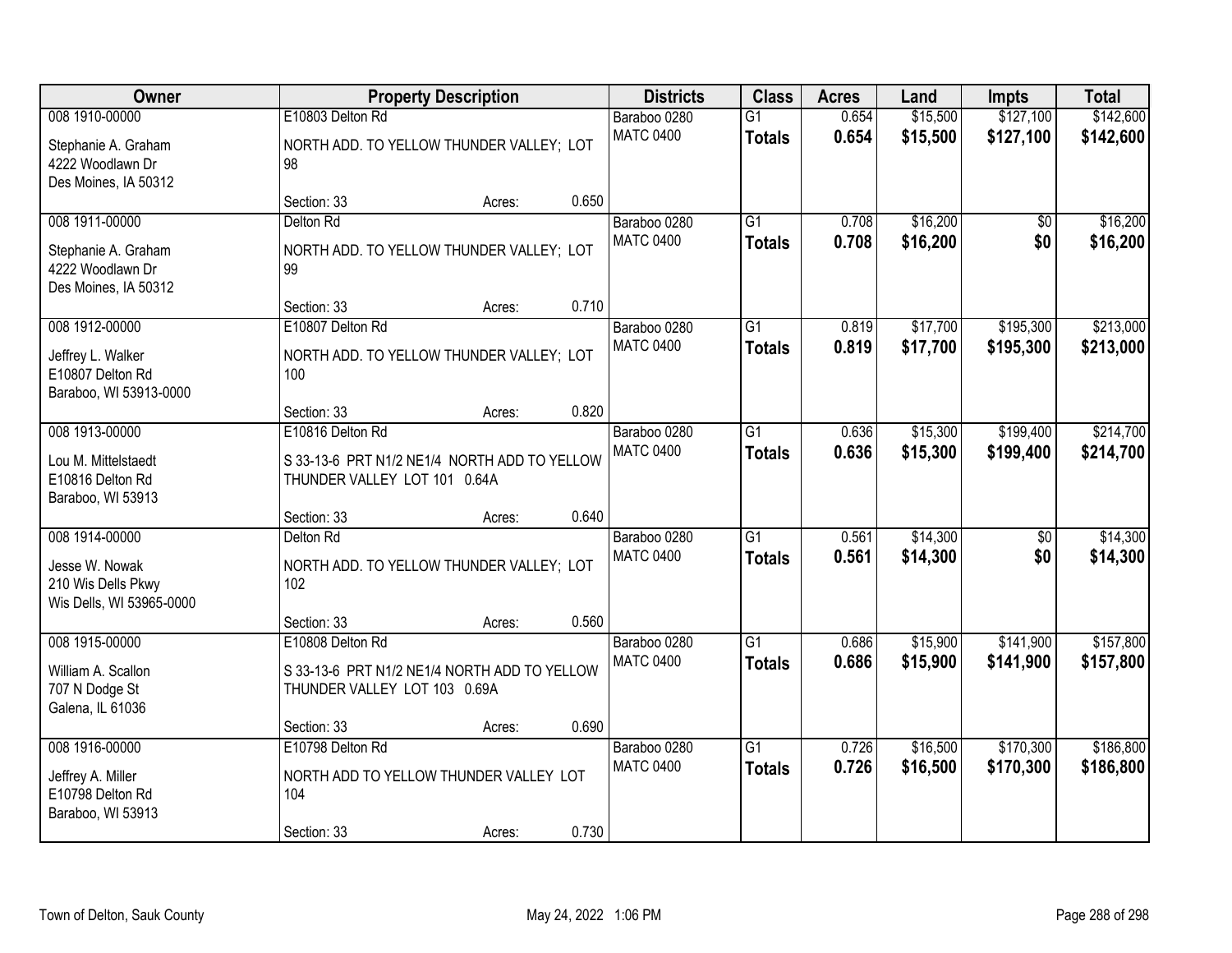| <b>Owner</b>                                                     |                                                                              | <b>Property Description</b> |       | <b>Districts</b>                 | <b>Class</b>                     | <b>Acres</b>   | Land                 | Impts                  | <b>Total</b>           |
|------------------------------------------------------------------|------------------------------------------------------------------------------|-----------------------------|-------|----------------------------------|----------------------------------|----------------|----------------------|------------------------|------------------------|
| 008 1910-00000<br>Stephanie A. Graham                            | E10803 Delton Rd<br>NORTH ADD. TO YELLOW THUNDER VALLEY; LOT                 |                             |       | Baraboo 0280<br><b>MATC 0400</b> | $\overline{G1}$<br><b>Totals</b> | 0.654<br>0.654 | \$15,500<br>\$15,500 | \$127,100<br>\$127,100 | \$142,600<br>\$142,600 |
| 4222 Woodlawn Dr<br>Des Moines, IA 50312                         | 98                                                                           |                             |       |                                  |                                  |                |                      |                        |                        |
|                                                                  | Section: 33                                                                  | Acres:                      | 0.650 |                                  |                                  |                |                      |                        |                        |
| 008 1911-00000<br>Stephanie A. Graham                            | Delton Rd<br>NORTH ADD. TO YELLOW THUNDER VALLEY; LOT                        |                             |       | Baraboo 0280<br><b>MATC 0400</b> | $\overline{G1}$<br><b>Totals</b> | 0.708<br>0.708 | \$16,200<br>\$16,200 | \$0<br>\$0             | \$16,200<br>\$16,200   |
| 4222 Woodlawn Dr<br>Des Moines, IA 50312                         | 99                                                                           |                             |       |                                  |                                  |                |                      |                        |                        |
| 008 1912-00000                                                   | Section: 33<br>E10807 Delton Rd                                              | Acres:                      | 0.710 | Baraboo 0280                     | $\overline{G1}$                  | 0.819          | \$17,700             | \$195,300              |                        |
| Jeffrey L. Walker<br>E10807 Delton Rd<br>Baraboo, WI 53913-0000  | NORTH ADD. TO YELLOW THUNDER VALLEY; LOT<br>100                              |                             |       | <b>MATC 0400</b>                 | <b>Totals</b>                    | 0.819          | \$17,700             | \$195,300              | \$213,000<br>\$213,000 |
|                                                                  | Section: 33                                                                  | Acres:                      | 0.820 |                                  |                                  |                |                      |                        |                        |
| 008 1913-00000                                                   | E10816 Delton Rd                                                             |                             |       | Baraboo 0280                     | G1                               | 0.636          | \$15,300             | \$199,400              | \$214,700              |
| Lou M. Mittelstaedt<br>E10816 Delton Rd<br>Baraboo, WI 53913     | S 33-13-6 PRT N1/2 NE1/4 NORTH ADD TO YELLOW<br>THUNDER VALLEY LOT 101 0.64A |                             |       | <b>MATC 0400</b>                 | <b>Totals</b>                    | 0.636          | \$15,300             | \$199,400              | \$214,700              |
|                                                                  | Section: 33                                                                  | Acres:                      | 0.640 |                                  |                                  |                |                      |                        |                        |
| 008 1914-00000                                                   | Delton Rd                                                                    |                             |       | Baraboo 0280                     | $\overline{G1}$                  | 0.561          | \$14,300             | $\overline{50}$        | \$14,300               |
| Jesse W. Nowak<br>210 Wis Dells Pkwy<br>Wis Dells, WI 53965-0000 | NORTH ADD. TO YELLOW THUNDER VALLEY; LOT<br>102                              |                             |       | <b>MATC 0400</b>                 | <b>Totals</b>                    | 0.561          | \$14,300             | \$0                    | \$14,300               |
|                                                                  | Section: 33                                                                  | Acres:                      | 0.560 |                                  |                                  |                |                      |                        |                        |
| 008 1915-00000                                                   | E10808 Delton Rd                                                             |                             |       | Baraboo 0280                     | $\overline{G1}$                  | 0.686          | \$15,900             | \$141,900              | \$157,800              |
| William A. Scallon<br>707 N Dodge St<br>Galena, IL 61036         | S 33-13-6 PRT N1/2 NE1/4 NORTH ADD TO YELLOW<br>THUNDER VALLEY LOT 103 0.69A |                             |       | <b>MATC 0400</b>                 | <b>Totals</b>                    | 0.686          | \$15,900             | \$141,900              | \$157,800              |
|                                                                  | Section: 33                                                                  | Acres:                      | 0.690 |                                  |                                  |                |                      |                        |                        |
| 008 1916-00000                                                   | E10798 Delton Rd                                                             |                             |       | Baraboo 0280                     | $\overline{G1}$                  | 0.726          | \$16,500             | \$170,300              | \$186,800              |
| Jeffrey A. Miller<br>E10798 Delton Rd<br>Baraboo, WI 53913       | NORTH ADD TO YELLOW THUNDER VALLEY LOT<br>104                                |                             |       | <b>MATC 0400</b>                 | <b>Totals</b>                    | 0.726          | \$16,500             | \$170,300              | \$186,800              |
|                                                                  | Section: 33                                                                  | Acres:                      | 0.730 |                                  |                                  |                |                      |                        |                        |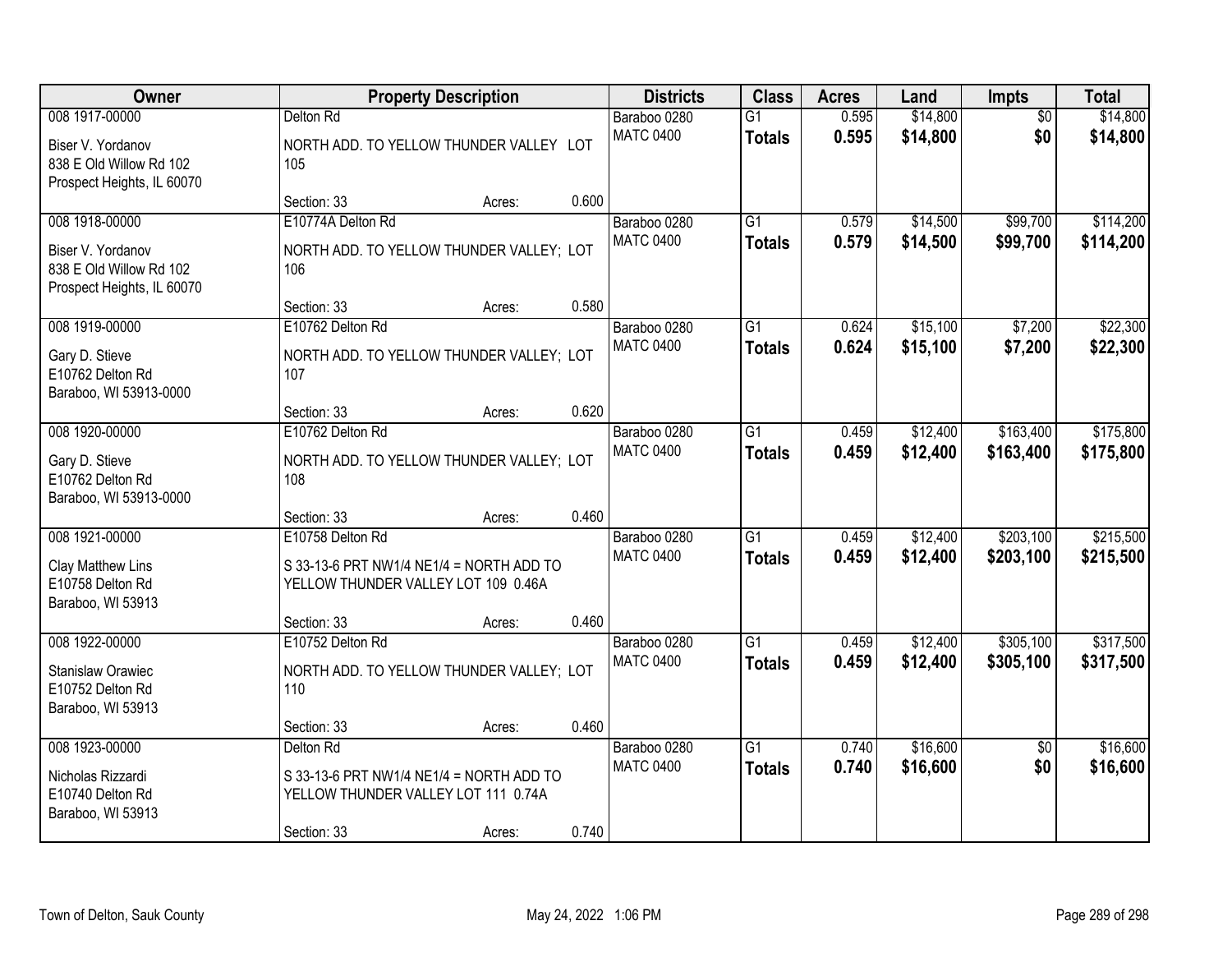| Owner                                                                                        | <b>Property Description</b>                                                                                 |        |       | <b>Districts</b>                 | <b>Class</b>                     | <b>Acres</b>   | Land                 | <b>Impts</b>           | <b>Total</b>           |
|----------------------------------------------------------------------------------------------|-------------------------------------------------------------------------------------------------------------|--------|-------|----------------------------------|----------------------------------|----------------|----------------------|------------------------|------------------------|
| 008 1917-00000                                                                               | Delton Rd                                                                                                   |        |       | Baraboo 0280                     | $\overline{G1}$                  | 0.595          | \$14,800             | $\overline{50}$        | \$14,800               |
| Biser V. Yordanov<br>838 E Old Willow Rd 102<br>Prospect Heights, IL 60070                   | NORTH ADD. TO YELLOW THUNDER VALLEY LOT<br>105                                                              |        |       | <b>MATC 0400</b>                 | <b>Totals</b>                    | 0.595          | \$14,800             | \$0                    | \$14,800               |
|                                                                                              | Section: 33                                                                                                 | Acres: | 0.600 |                                  |                                  |                |                      |                        |                        |
| 008 1918-00000<br>Biser V. Yordanov<br>838 E Old Willow Rd 102<br>Prospect Heights, IL 60070 | E10774A Delton Rd<br>NORTH ADD. TO YELLOW THUNDER VALLEY; LOT<br>106                                        |        |       | Baraboo 0280<br><b>MATC 0400</b> | $\overline{G1}$<br><b>Totals</b> | 0.579<br>0.579 | \$14,500<br>\$14,500 | \$99,700<br>\$99,700   | \$114,200<br>\$114,200 |
|                                                                                              | Section: 33                                                                                                 | Acres: | 0.580 |                                  |                                  |                |                      |                        |                        |
| 008 1919-00000<br>Gary D. Stieve<br>E10762 Delton Rd<br>Baraboo, WI 53913-0000               | E10762 Delton Rd<br>NORTH ADD. TO YELLOW THUNDER VALLEY; LOT<br>107                                         |        |       | Baraboo 0280<br><b>MATC 0400</b> | $\overline{G1}$<br><b>Totals</b> | 0.624<br>0.624 | \$15,100<br>\$15,100 | \$7,200<br>\$7,200     | \$22,300<br>\$22,300   |
|                                                                                              | Section: 33                                                                                                 | Acres: | 0.620 |                                  |                                  |                |                      |                        |                        |
| 008 1920-00000<br>Gary D. Stieve<br>E10762 Delton Rd<br>Baraboo, WI 53913-0000               | E10762 Delton Rd<br>NORTH ADD. TO YELLOW THUNDER VALLEY; LOT<br>108                                         |        |       | Baraboo 0280<br><b>MATC 0400</b> | G1<br><b>Totals</b>              | 0.459<br>0.459 | \$12,400<br>\$12,400 | \$163,400<br>\$163,400 | \$175,800<br>\$175,800 |
|                                                                                              | Section: 33                                                                                                 | Acres: | 0.460 |                                  |                                  |                |                      |                        |                        |
| 008 1921-00000<br>Clay Matthew Lins<br>E10758 Delton Rd<br>Baraboo, WI 53913                 | E10758 Delton Rd<br>S 33-13-6 PRT NW1/4 NE1/4 = NORTH ADD TO<br>YELLOW THUNDER VALLEY LOT 109 0.46A         |        |       | Baraboo 0280<br><b>MATC 0400</b> | $\overline{G1}$<br><b>Totals</b> | 0.459<br>0.459 | \$12,400<br>\$12,400 | \$203,100<br>\$203,100 | \$215,500<br>\$215,500 |
| 008 1922-00000                                                                               | Section: 33                                                                                                 | Acres: | 0.460 |                                  | G1                               |                | \$12,400             | \$305,100              | \$317,500              |
| Stanislaw Orawiec<br>E10752 Delton Rd<br>Baraboo, WI 53913                                   | E10752 Delton Rd<br>NORTH ADD. TO YELLOW THUNDER VALLEY; LOT<br>110                                         |        |       | Baraboo 0280<br><b>MATC 0400</b> | <b>Totals</b>                    | 0.459<br>0.459 | \$12,400             | \$305,100              | \$317,500              |
|                                                                                              | Section: 33                                                                                                 | Acres: | 0.460 |                                  |                                  |                |                      |                        |                        |
| 008 1923-00000<br>Nicholas Rizzardi<br>E10740 Delton Rd<br>Baraboo, WI 53913                 | Delton Rd<br>S 33-13-6 PRT NW1/4 NE1/4 = NORTH ADD TO<br>YELLOW THUNDER VALLEY LOT 111 0.74A<br>Section: 33 | Acres: | 0.740 | Baraboo 0280<br><b>MATC 0400</b> | $\overline{G1}$<br><b>Totals</b> | 0.740<br>0.740 | \$16,600<br>\$16,600 | $\overline{50}$<br>\$0 | \$16,600<br>\$16,600   |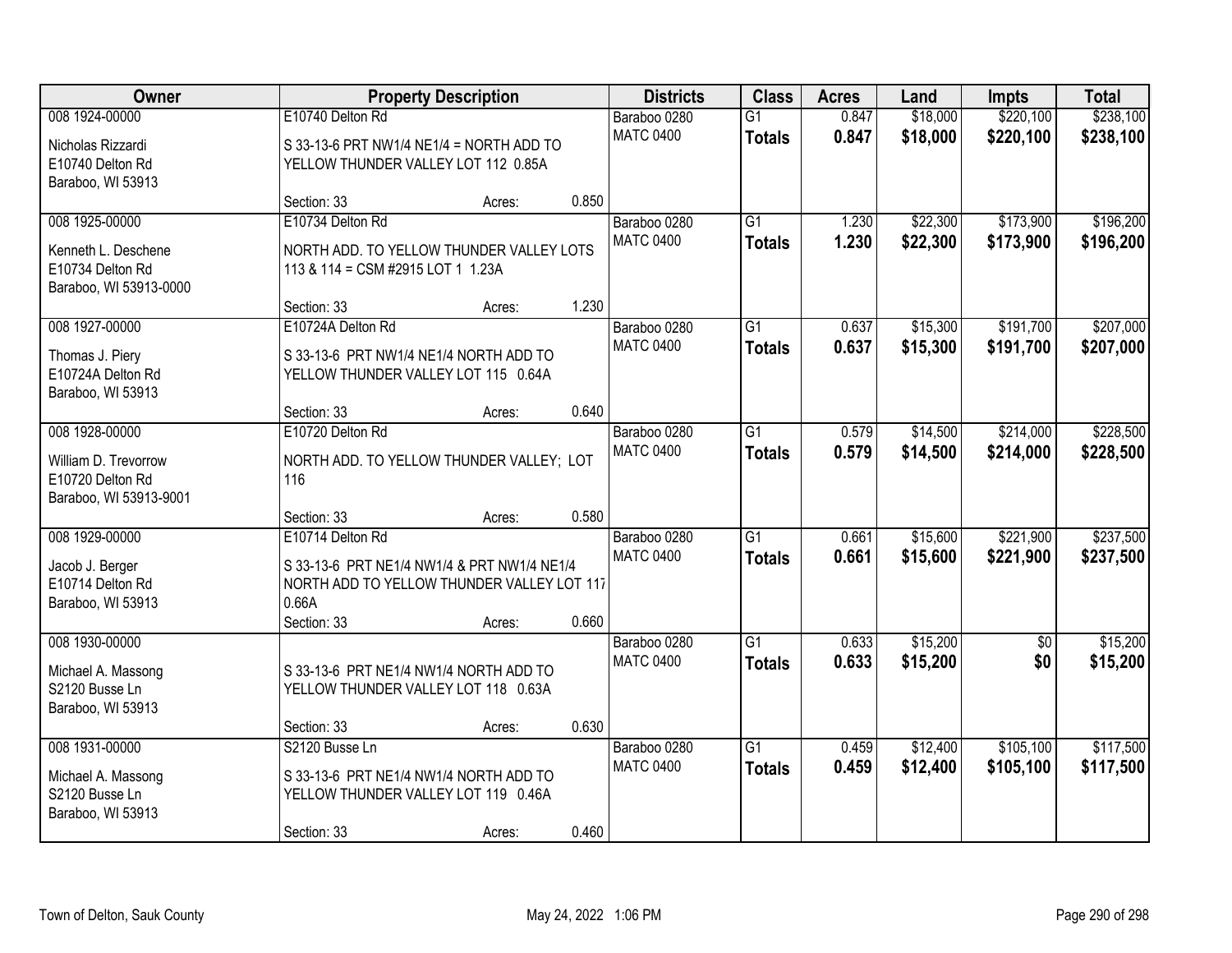| Owner                  |                                             | <b>Property Description</b> |       | <b>Districts</b> | <b>Class</b>    | <b>Acres</b> | Land     | <b>Impts</b>    | <b>Total</b> |
|------------------------|---------------------------------------------|-----------------------------|-------|------------------|-----------------|--------------|----------|-----------------|--------------|
| 008 1924-00000         | E10740 Delton Rd                            |                             |       | Baraboo 0280     | $\overline{G1}$ | 0.847        | \$18,000 | \$220,100       | \$238,100    |
| Nicholas Rizzardi      | S 33-13-6 PRT NW1/4 NE1/4 = NORTH ADD TO    |                             |       | <b>MATC 0400</b> | <b>Totals</b>   | 0.847        | \$18,000 | \$220,100       | \$238,100    |
| E10740 Delton Rd       | YELLOW THUNDER VALLEY LOT 112 0.85A         |                             |       |                  |                 |              |          |                 |              |
| Baraboo, WI 53913      |                                             |                             |       |                  |                 |              |          |                 |              |
|                        | Section: 33                                 | Acres:                      | 0.850 |                  |                 |              |          |                 |              |
| 008 1925-00000         | E10734 Delton Rd                            |                             |       | Baraboo 0280     | $\overline{G1}$ | 1.230        | \$22,300 | \$173,900       | \$196,200    |
| Kenneth L. Deschene    | NORTH ADD. TO YELLOW THUNDER VALLEY LOTS    |                             |       | <b>MATC 0400</b> | <b>Totals</b>   | 1.230        | \$22,300 | \$173,900       | \$196,200    |
| E10734 Delton Rd       | 113 & 114 = CSM #2915 LOT 1 1.23A           |                             |       |                  |                 |              |          |                 |              |
| Baraboo, WI 53913-0000 |                                             |                             |       |                  |                 |              |          |                 |              |
|                        | Section: 33                                 | Acres:                      | 1.230 |                  |                 |              |          |                 |              |
| 008 1927-00000         | E10724A Delton Rd                           |                             |       | Baraboo 0280     | G1              | 0.637        | \$15,300 | \$191,700       | \$207,000    |
| Thomas J. Piery        | S 33-13-6 PRT NW1/4 NE1/4 NORTH ADD TO      |                             |       | <b>MATC 0400</b> | <b>Totals</b>   | 0.637        | \$15,300 | \$191,700       | \$207,000    |
| E10724A Delton Rd      | YELLOW THUNDER VALLEY LOT 115 0.64A         |                             |       |                  |                 |              |          |                 |              |
| Baraboo, WI 53913      |                                             |                             |       |                  |                 |              |          |                 |              |
|                        | Section: 33                                 | Acres:                      | 0.640 |                  |                 |              |          |                 |              |
| 008 1928-00000         | E10720 Delton Rd                            |                             |       | Baraboo 0280     | G1              | 0.579        | \$14,500 | \$214,000       | \$228,500    |
| William D. Trevorrow   | NORTH ADD. TO YELLOW THUNDER VALLEY; LOT    |                             |       | <b>MATC 0400</b> | <b>Totals</b>   | 0.579        | \$14,500 | \$214,000       | \$228,500    |
| E10720 Delton Rd       | 116                                         |                             |       |                  |                 |              |          |                 |              |
| Baraboo, WI 53913-9001 |                                             |                             |       |                  |                 |              |          |                 |              |
|                        | Section: 33                                 | Acres:                      | 0.580 |                  |                 |              |          |                 |              |
| 008 1929-00000         | E10714 Delton Rd                            |                             |       | Baraboo 0280     | $\overline{G1}$ | 0.661        | \$15,600 | \$221,900       | \$237,500    |
| Jacob J. Berger        | S 33-13-6 PRT NE1/4 NW1/4 & PRT NW1/4 NE1/4 |                             |       | <b>MATC 0400</b> | <b>Totals</b>   | 0.661        | \$15,600 | \$221,900       | \$237,500    |
| E10714 Delton Rd       | NORTH ADD TO YELLOW THUNDER VALLEY LOT 117  |                             |       |                  |                 |              |          |                 |              |
| Baraboo, WI 53913      | 0.66A                                       |                             |       |                  |                 |              |          |                 |              |
|                        | Section: 33                                 | Acres:                      | 0.660 |                  |                 |              |          |                 |              |
| 008 1930-00000         |                                             |                             |       | Baraboo 0280     | $\overline{G1}$ | 0.633        | \$15,200 | $\overline{50}$ | \$15,200     |
| Michael A. Massong     | S 33-13-6 PRT NE1/4 NW1/4 NORTH ADD TO      |                             |       | <b>MATC 0400</b> | <b>Totals</b>   | 0.633        | \$15,200 | \$0             | \$15,200     |
| S2120 Busse Ln         | YELLOW THUNDER VALLEY LOT 118 0.63A         |                             |       |                  |                 |              |          |                 |              |
| Baraboo, WI 53913      |                                             |                             |       |                  |                 |              |          |                 |              |
|                        | Section: 33                                 | Acres:                      | 0.630 |                  |                 |              |          |                 |              |
| 008 1931-00000         | S2120 Busse Ln                              |                             |       | Baraboo 0280     | $\overline{G1}$ | 0.459        | \$12,400 | \$105,100       | \$117,500    |
| Michael A. Massong     | S 33-13-6 PRT NE1/4 NW1/4 NORTH ADD TO      |                             |       | <b>MATC 0400</b> | <b>Totals</b>   | 0.459        | \$12,400 | \$105,100       | \$117,500    |
| S2120 Busse Ln         | YELLOW THUNDER VALLEY LOT 119 0.46A         |                             |       |                  |                 |              |          |                 |              |
| Baraboo, WI 53913      |                                             |                             |       |                  |                 |              |          |                 |              |
|                        | Section: 33                                 | Acres:                      | 0.460 |                  |                 |              |          |                 |              |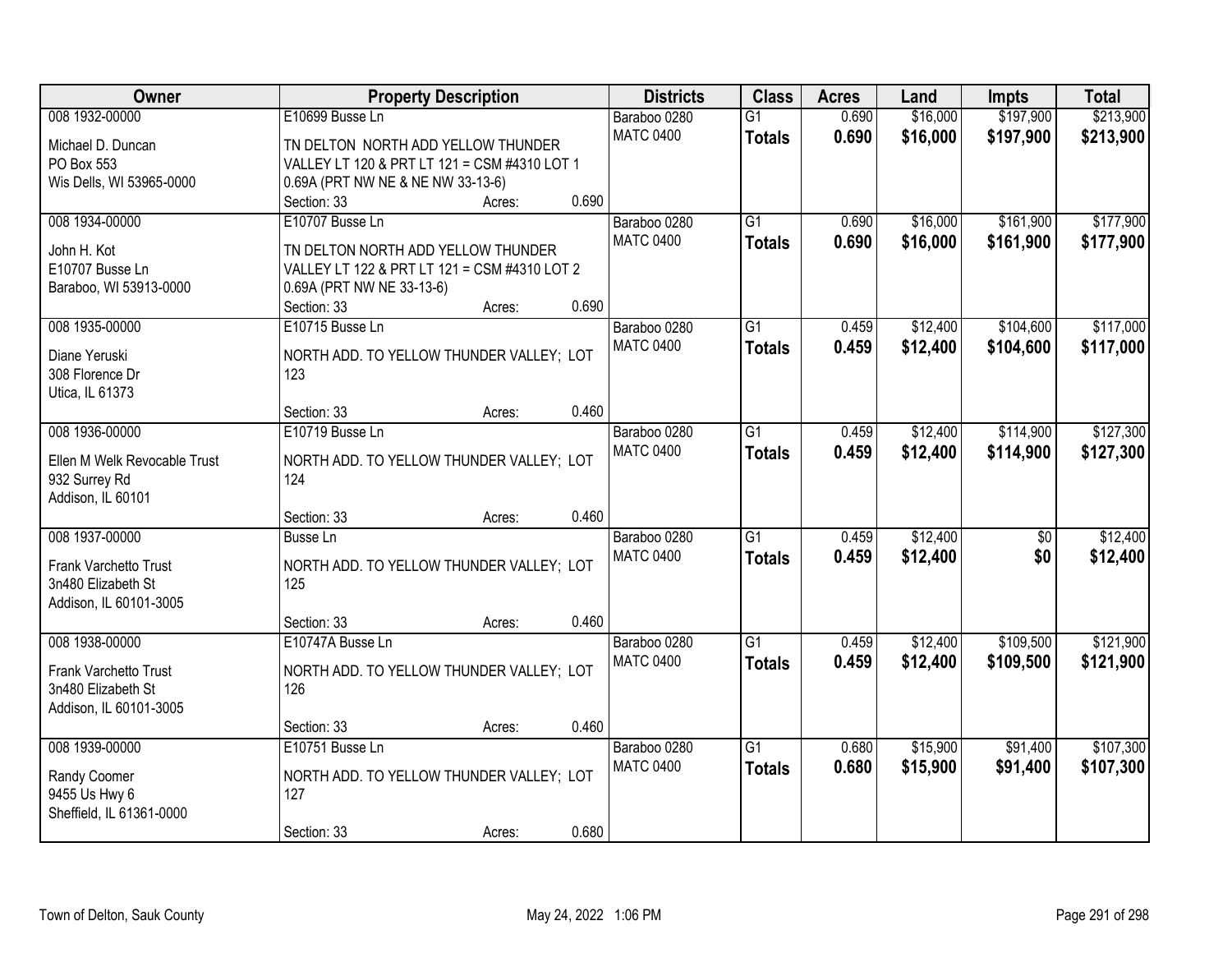| <b>Owner</b>                   | <b>Property Description</b>                  | <b>Districts</b> | <b>Class</b>    | <b>Acres</b> | Land     | <b>Impts</b>    | <b>Total</b> |
|--------------------------------|----------------------------------------------|------------------|-----------------|--------------|----------|-----------------|--------------|
| 008 1932-00000                 | E10699 Busse Ln                              | Baraboo 0280     | $\overline{G1}$ | 0.690        | \$16,000 | \$197,900       | \$213,900    |
| Michael D. Duncan              | TN DELTON NORTH ADD YELLOW THUNDER           | <b>MATC 0400</b> | <b>Totals</b>   | 0.690        | \$16,000 | \$197,900       | \$213,900    |
| PO Box 553                     | VALLEY LT 120 & PRT LT 121 = CSM #4310 LOT 1 |                  |                 |              |          |                 |              |
| Wis Dells, WI 53965-0000       | 0.69A (PRT NW NE & NE NW 33-13-6)            |                  |                 |              |          |                 |              |
|                                | 0.690<br>Section: 33<br>Acres:               |                  |                 |              |          |                 |              |
| 008 1934-00000                 | E10707 Busse Ln                              | Baraboo 0280     | $\overline{G1}$ | 0.690        | \$16,000 | \$161,900       | \$177,900    |
|                                | TN DELTON NORTH ADD YELLOW THUNDER           | <b>MATC 0400</b> | <b>Totals</b>   | 0.690        | \$16,000 | \$161,900       | \$177,900    |
| John H. Kot<br>E10707 Busse Ln | VALLEY LT 122 & PRT LT 121 = CSM #4310 LOT 2 |                  |                 |              |          |                 |              |
| Baraboo, WI 53913-0000         | 0.69A (PRT NW NE 33-13-6)                    |                  |                 |              |          |                 |              |
|                                | 0.690<br>Section: 33<br>Acres:               |                  |                 |              |          |                 |              |
| 008 1935-00000                 | E10715 Busse Ln                              | Baraboo 0280     | G1              | 0.459        | \$12,400 | \$104,600       | \$117,000    |
|                                |                                              | <b>MATC 0400</b> | <b>Totals</b>   | 0.459        | \$12,400 | \$104,600       | \$117,000    |
| Diane Yeruski                  | NORTH ADD. TO YELLOW THUNDER VALLEY; LOT     |                  |                 |              |          |                 |              |
| 308 Florence Dr                | 123                                          |                  |                 |              |          |                 |              |
| Utica, IL 61373                |                                              |                  |                 |              |          |                 |              |
|                                | 0.460<br>Section: 33<br>Acres:               |                  |                 |              |          |                 |              |
| 008 1936-00000                 | E10719 Busse Ln                              | Baraboo 0280     | G1              | 0.459        | \$12,400 | \$114,900       | \$127,300    |
| Ellen M Welk Revocable Trust   | NORTH ADD. TO YELLOW THUNDER VALLEY; LOT     | <b>MATC 0400</b> | <b>Totals</b>   | 0.459        | \$12,400 | \$114,900       | \$127,300    |
| 932 Surrey Rd                  | 124                                          |                  |                 |              |          |                 |              |
| Addison, IL 60101              |                                              |                  |                 |              |          |                 |              |
|                                | 0.460<br>Section: 33<br>Acres:               |                  |                 |              |          |                 |              |
| 008 1937-00000                 | <b>Busse Ln</b>                              | Baraboo 0280     | $\overline{G1}$ | 0.459        | \$12,400 | $\overline{50}$ | \$12,400     |
| Frank Varchetto Trust          | NORTH ADD. TO YELLOW THUNDER VALLEY; LOT     | <b>MATC 0400</b> | <b>Totals</b>   | 0.459        | \$12,400 | \$0             | \$12,400     |
| 3n480 Elizabeth St             | 125                                          |                  |                 |              |          |                 |              |
| Addison, IL 60101-3005         |                                              |                  |                 |              |          |                 |              |
|                                | 0.460<br>Section: 33<br>Acres:               |                  |                 |              |          |                 |              |
| 008 1938-00000                 | E10747A Busse Ln                             | Baraboo 0280     | $\overline{G1}$ | 0.459        | \$12,400 | \$109,500       | \$121,900    |
|                                |                                              | <b>MATC 0400</b> | <b>Totals</b>   | 0.459        | \$12,400 | \$109,500       | \$121,900    |
| Frank Varchetto Trust          | NORTH ADD. TO YELLOW THUNDER VALLEY; LOT     |                  |                 |              |          |                 |              |
| 3n480 Elizabeth St             | 126                                          |                  |                 |              |          |                 |              |
| Addison, IL 60101-3005         | 0.460<br>Section: 33<br>Acres:               |                  |                 |              |          |                 |              |
| 008 1939-00000                 | E10751 Busse Ln                              | Baraboo 0280     | $\overline{G1}$ | 0.680        | \$15,900 | \$91,400        | \$107,300    |
|                                |                                              | <b>MATC 0400</b> |                 |              |          |                 |              |
| Randy Coomer                   | NORTH ADD. TO YELLOW THUNDER VALLEY; LOT     |                  | <b>Totals</b>   | 0.680        | \$15,900 | \$91,400        | \$107,300    |
| 9455 Us Hwy 6                  | 127                                          |                  |                 |              |          |                 |              |
| Sheffield, IL 61361-0000       |                                              |                  |                 |              |          |                 |              |
|                                | 0.680<br>Section: 33<br>Acres:               |                  |                 |              |          |                 |              |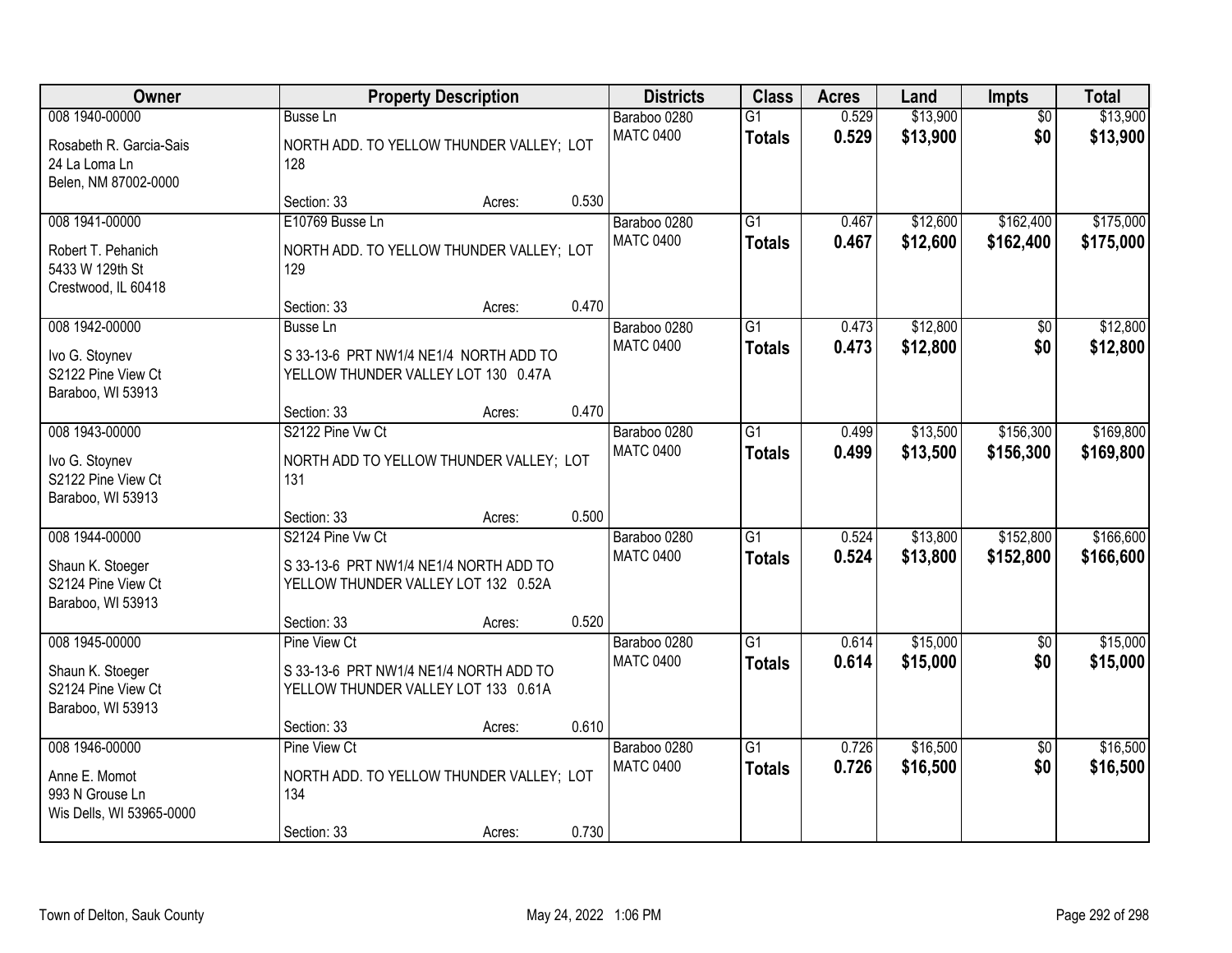| Owner                                                                         |                                                                                               | <b>Property Description</b> |       | <b>Districts</b>                 | <b>Class</b>                     | <b>Acres</b>   | Land                 | <b>Impts</b>    | <b>Total</b>         |
|-------------------------------------------------------------------------------|-----------------------------------------------------------------------------------------------|-----------------------------|-------|----------------------------------|----------------------------------|----------------|----------------------|-----------------|----------------------|
| 008 1940-00000                                                                | <b>Busse Ln</b>                                                                               |                             |       | Baraboo 0280                     | $\overline{G1}$                  | 0.529          | \$13,900             | $\overline{50}$ | \$13,900             |
| Rosabeth R. Garcia-Sais<br>24 La Loma Ln<br>Belen, NM 87002-0000              | NORTH ADD. TO YELLOW THUNDER VALLEY; LOT<br>128                                               |                             |       | <b>MATC 0400</b>                 | <b>Totals</b>                    | 0.529          | \$13,900             | \$0             | \$13,900             |
|                                                                               | Section: 33                                                                                   | Acres:                      | 0.530 |                                  |                                  |                |                      |                 |                      |
| 008 1941-00000                                                                | E10769 Busse Ln                                                                               |                             |       | Baraboo 0280                     | $\overline{G1}$                  | 0.467          | \$12,600             | \$162,400       | \$175,000            |
| Robert T. Pehanich<br>5433 W 129th St<br>Crestwood, IL 60418                  | NORTH ADD. TO YELLOW THUNDER VALLEY; LOT<br>129                                               |                             |       | <b>MATC 0400</b>                 | <b>Totals</b>                    | 0.467          | \$12,600             | \$162,400       | \$175,000            |
|                                                                               | Section: 33                                                                                   | Acres:                      | 0.470 |                                  |                                  |                |                      |                 |                      |
| 008 1942-00000                                                                | Busse Ln                                                                                      |                             |       | Baraboo 0280                     | $\overline{G1}$                  | 0.473          | \$12,800             | \$0             | \$12,800             |
| Ivo G. Stoynev<br>S2122 Pine View Ct<br>Baraboo, WI 53913                     | S 33-13-6 PRT NW1/4 NE1/4 NORTH ADD TO<br>YELLOW THUNDER VALLEY LOT 130 0.47A                 |                             |       | <b>MATC 0400</b>                 | <b>Totals</b>                    | 0.473          | \$12,800             | \$0             | \$12,800             |
|                                                                               | Section: 33                                                                                   | Acres:                      | 0.470 |                                  |                                  |                |                      |                 |                      |
| 008 1943-00000                                                                | S2122 Pine Vw Ct                                                                              |                             |       | Baraboo 0280                     | $\overline{G1}$                  | 0.499          | \$13,500             | \$156,300       | \$169,800            |
| Ivo G. Stoynev<br>S2122 Pine View Ct<br>Baraboo, WI 53913                     | NORTH ADD TO YELLOW THUNDER VALLEY; LOT<br>131                                                |                             |       | <b>MATC 0400</b>                 | <b>Totals</b>                    | 0.499          | \$13,500             | \$156,300       | \$169,800            |
|                                                                               | Section: 33                                                                                   | Acres:                      | 0.500 |                                  |                                  |                |                      |                 |                      |
| 008 1944-00000                                                                | S2124 Pine Vw Ct                                                                              |                             |       | Baraboo 0280                     | $\overline{G1}$                  | 0.524          | \$13,800             | \$152,800       | \$166,600            |
| Shaun K. Stoeger<br>S2124 Pine View Ct<br>Baraboo, WI 53913                   | S 33-13-6 PRT NW1/4 NE1/4 NORTH ADD TO<br>YELLOW THUNDER VALLEY LOT 132 0.52A                 |                             |       | <b>MATC 0400</b>                 | <b>Totals</b>                    | 0.524          | \$13,800             | \$152,800       | \$166,600            |
|                                                                               | Section: 33                                                                                   | Acres:                      | 0.520 |                                  |                                  |                |                      |                 |                      |
| 008 1945-00000<br>Shaun K. Stoeger<br>S2124 Pine View Ct<br>Baraboo, WI 53913 | Pine View Ct<br>S 33-13-6 PRT NW1/4 NE1/4 NORTH ADD TO<br>YELLOW THUNDER VALLEY LOT 133 0.61A |                             |       | Baraboo 0280<br><b>MATC 0400</b> | $\overline{G1}$<br><b>Totals</b> | 0.614<br>0.614 | \$15,000<br>\$15,000 | \$0<br>\$0      | \$15,000<br>\$15,000 |
|                                                                               | Section: 33                                                                                   | Acres:                      | 0.610 |                                  |                                  |                |                      |                 |                      |
| 008 1946-00000                                                                | Pine View Ct                                                                                  |                             |       | Baraboo 0280                     | $\overline{G1}$                  | 0.726          | \$16,500             | $\overline{50}$ | \$16,500             |
| Anne E. Momot<br>993 N Grouse Ln<br>Wis Dells, WI 53965-0000                  | NORTH ADD. TO YELLOW THUNDER VALLEY; LOT<br>134                                               |                             |       | <b>MATC 0400</b>                 | <b>Totals</b>                    | 0.726          | \$16,500             | \$0             | \$16,500             |
|                                                                               | Section: 33                                                                                   | Acres:                      | 0.730 |                                  |                                  |                |                      |                 |                      |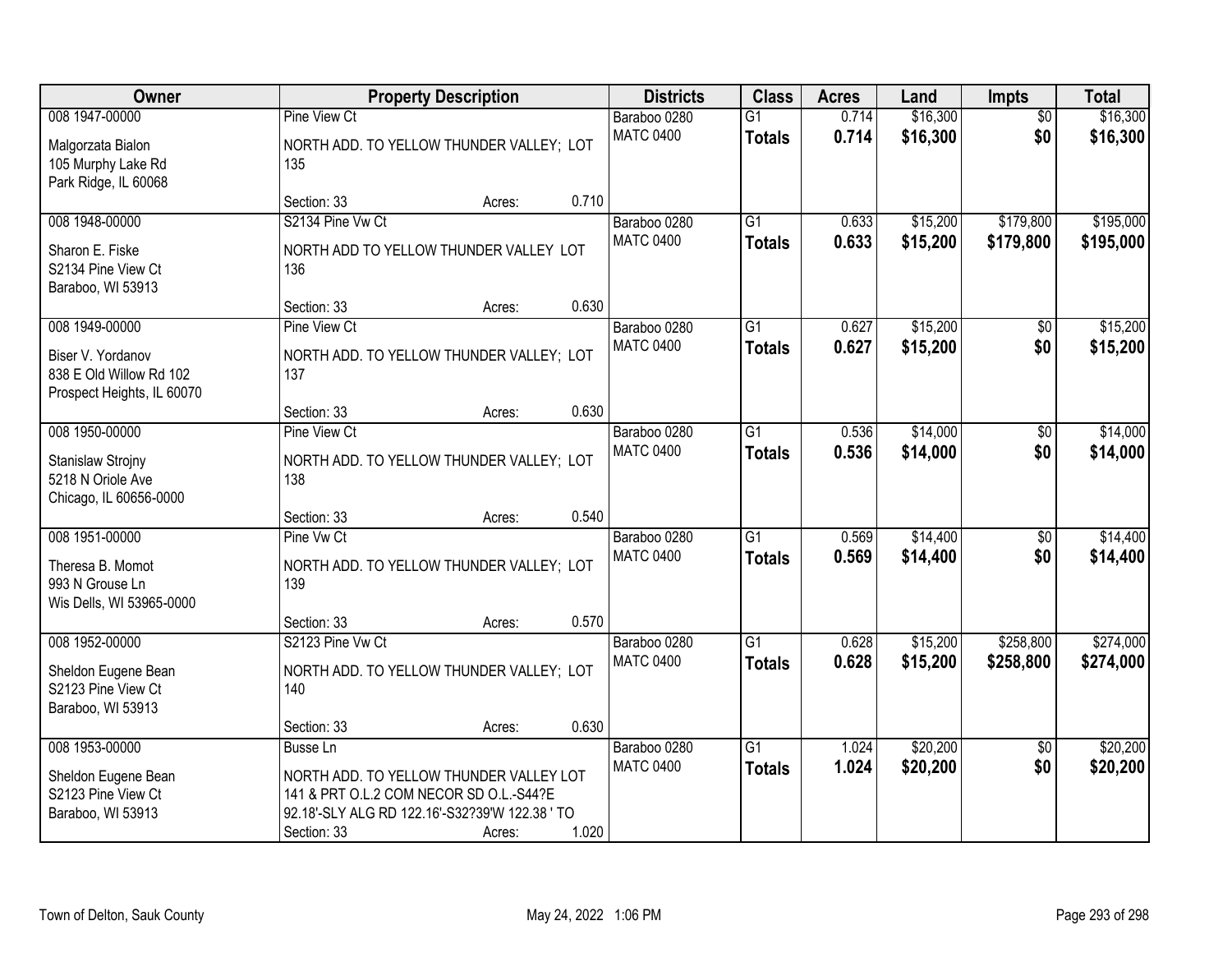| Owner                                                                                        |                                                                                                                                                                        | <b>Property Description</b> |       | <b>Districts</b>                 | <b>Class</b>                     | <b>Acres</b>   | Land                 | Impts                  | <b>Total</b>           |
|----------------------------------------------------------------------------------------------|------------------------------------------------------------------------------------------------------------------------------------------------------------------------|-----------------------------|-------|----------------------------------|----------------------------------|----------------|----------------------|------------------------|------------------------|
| 008 1947-00000<br>Malgorzata Bialon<br>105 Murphy Lake Rd                                    | Pine View Ct<br>NORTH ADD. TO YELLOW THUNDER VALLEY; LOT<br>135                                                                                                        |                             |       | Baraboo 0280<br><b>MATC 0400</b> | $\overline{G1}$<br><b>Totals</b> | 0.714<br>0.714 | \$16,300<br>\$16,300 | $\overline{50}$<br>\$0 | \$16,300<br>\$16,300   |
| Park Ridge, IL 60068                                                                         | Section: 33                                                                                                                                                            | Acres:                      | 0.710 |                                  |                                  |                |                      |                        |                        |
| 008 1948-00000<br>Sharon E. Fiske<br>S2134 Pine View Ct<br>Baraboo, WI 53913                 | S2134 Pine Vw Ct<br>NORTH ADD TO YELLOW THUNDER VALLEY LOT<br>136                                                                                                      |                             |       | Baraboo 0280<br><b>MATC 0400</b> | $\overline{G1}$<br><b>Totals</b> | 0.633<br>0.633 | \$15,200<br>\$15,200 | \$179,800<br>\$179,800 | \$195,000<br>\$195,000 |
|                                                                                              | Section: 33                                                                                                                                                            | Acres:                      | 0.630 |                                  |                                  |                |                      |                        |                        |
| 008 1949-00000<br>Biser V. Yordanov<br>838 E Old Willow Rd 102<br>Prospect Heights, IL 60070 | Pine View Ct<br>NORTH ADD. TO YELLOW THUNDER VALLEY; LOT<br>137                                                                                                        |                             |       | Baraboo 0280<br><b>MATC 0400</b> | G1<br><b>Totals</b>              | 0.627<br>0.627 | \$15,200<br>\$15,200 | \$0<br>\$0             | \$15,200<br>\$15,200   |
|                                                                                              | Section: 33                                                                                                                                                            | Acres:                      | 0.630 |                                  |                                  |                |                      |                        |                        |
| 008 1950-00000<br>Stanislaw Strojny<br>5218 N Oriole Ave<br>Chicago, IL 60656-0000           | <b>Pine View Ct</b><br>NORTH ADD. TO YELLOW THUNDER VALLEY; LOT<br>138                                                                                                 |                             |       | Baraboo 0280<br><b>MATC 0400</b> | G1<br><b>Totals</b>              | 0.536<br>0.536 | \$14,000<br>\$14,000 | \$0<br>\$0             | \$14,000<br>\$14,000   |
|                                                                                              | Section: 33                                                                                                                                                            | Acres:                      | 0.540 |                                  |                                  |                |                      |                        |                        |
| 008 1951-00000<br>Theresa B. Momot<br>993 N Grouse Ln<br>Wis Dells, WI 53965-0000            | Pine Vw Ct<br>NORTH ADD. TO YELLOW THUNDER VALLEY; LOT<br>139                                                                                                          |                             |       | Baraboo 0280<br><b>MATC 0400</b> | $\overline{G1}$<br><b>Totals</b> | 0.569<br>0.569 | \$14,400<br>\$14,400 | $\overline{50}$<br>\$0 | \$14,400<br>\$14,400   |
|                                                                                              | Section: 33                                                                                                                                                            | Acres:                      | 0.570 |                                  |                                  |                |                      |                        |                        |
| 008 1952-00000<br>Sheldon Eugene Bean<br>S2123 Pine View Ct<br>Baraboo, WI 53913             | S2123 Pine Vw Ct<br>NORTH ADD. TO YELLOW THUNDER VALLEY; LOT<br>140                                                                                                    |                             |       | Baraboo 0280<br><b>MATC 0400</b> | $\overline{G1}$<br><b>Totals</b> | 0.628<br>0.628 | \$15,200<br>\$15,200 | \$258,800<br>\$258,800 | \$274,000<br>\$274,000 |
|                                                                                              | Section: 33                                                                                                                                                            | Acres:                      | 0.630 |                                  |                                  |                |                      |                        |                        |
| 008 1953-00000<br>Sheldon Eugene Bean<br>S2123 Pine View Ct<br>Baraboo, WI 53913             | <b>Busse Ln</b><br>NORTH ADD. TO YELLOW THUNDER VALLEY LOT<br>141 & PRT O.L.2 COM NECOR SD O.L.-S44?E<br>92.18'-SLY ALG RD 122.16'-S32?39'W 122.38 ' TO<br>Section: 33 | Acres:                      | 1.020 | Baraboo 0280<br><b>MATC 0400</b> | $\overline{G1}$<br><b>Totals</b> | 1.024<br>1.024 | \$20,200<br>\$20,200 | $\overline{50}$<br>\$0 | \$20,200<br>\$20,200   |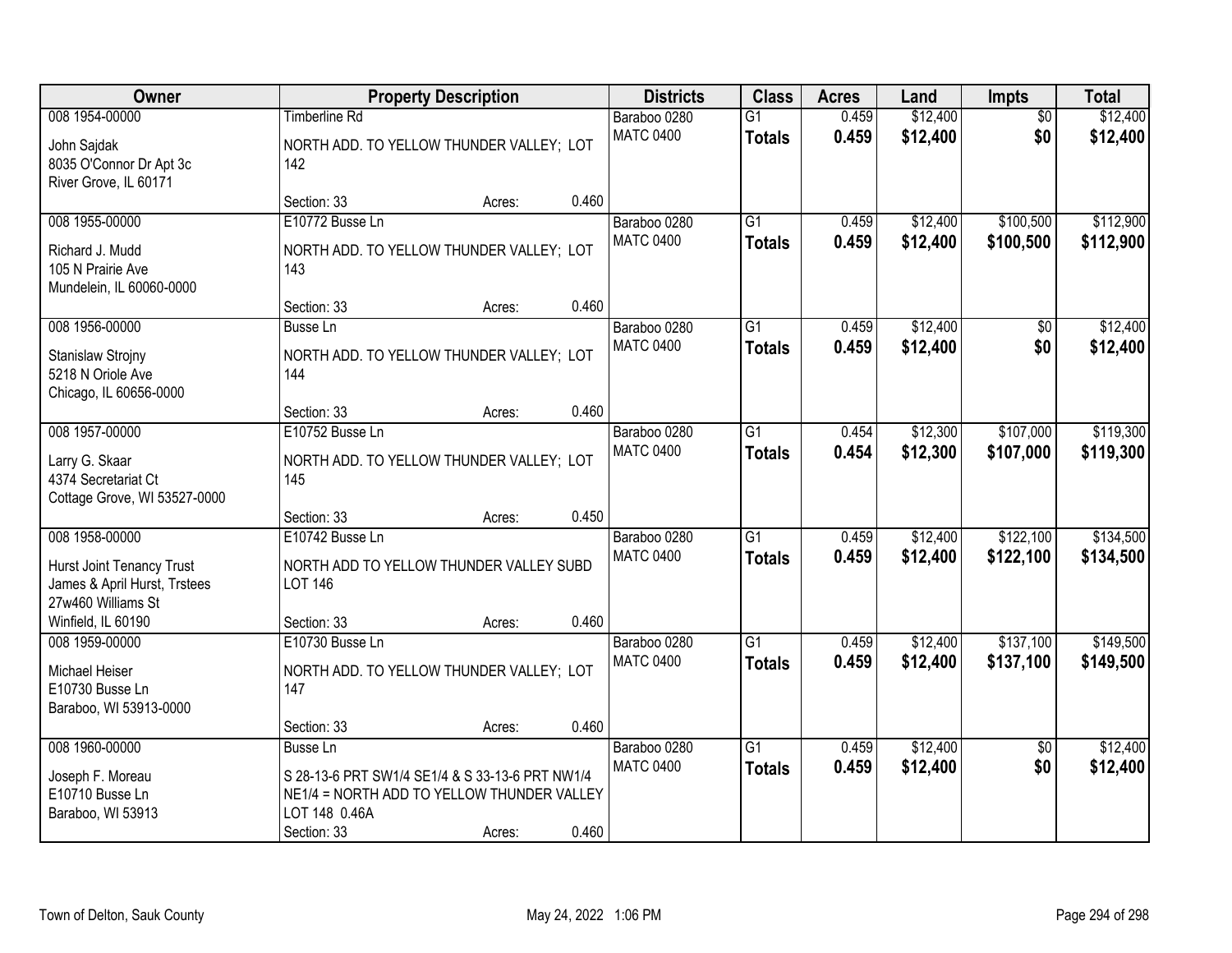| <b>Owner</b>                                                                                                                   |                                                                                                                                                  | <b>Property Description</b> |       | <b>Districts</b>                 | <b>Class</b>                     | <b>Acres</b>   | Land                 | Impts                  | <b>Total</b>           |
|--------------------------------------------------------------------------------------------------------------------------------|--------------------------------------------------------------------------------------------------------------------------------------------------|-----------------------------|-------|----------------------------------|----------------------------------|----------------|----------------------|------------------------|------------------------|
| 008 1954-00000<br>John Sajdak<br>8035 O'Connor Dr Apt 3c<br>River Grove, IL 60171                                              | <b>Timberline Rd</b><br>NORTH ADD. TO YELLOW THUNDER VALLEY; LOT<br>142                                                                          |                             |       | Baraboo 0280<br><b>MATC 0400</b> | $\overline{G1}$<br><b>Totals</b> | 0.459<br>0.459 | \$12,400<br>\$12,400 | $\overline{50}$<br>\$0 | \$12,400<br>\$12,400   |
|                                                                                                                                | Section: 33                                                                                                                                      | Acres:                      | 0.460 |                                  |                                  |                |                      |                        |                        |
| 008 1955-00000<br>Richard J. Mudd<br>105 N Prairie Ave<br>Mundelein, IL 60060-0000                                             | E10772 Busse Ln<br>NORTH ADD. TO YELLOW THUNDER VALLEY; LOT<br>143                                                                               |                             |       | Baraboo 0280<br><b>MATC 0400</b> | $\overline{G1}$<br><b>Totals</b> | 0.459<br>0.459 | \$12,400<br>\$12,400 | \$100,500<br>\$100,500 | \$112,900<br>\$112,900 |
| 008 1956-00000                                                                                                                 | Section: 33                                                                                                                                      | Acres:                      | 0.460 |                                  | $\overline{G1}$                  | 0.459          | \$12,400             |                        | \$12,400               |
| Stanislaw Strojny<br>5218 N Oriole Ave<br>Chicago, IL 60656-0000                                                               | <b>Busse Ln</b><br>NORTH ADD. TO YELLOW THUNDER VALLEY; LOT<br>144                                                                               |                             |       | Baraboo 0280<br><b>MATC 0400</b> | <b>Totals</b>                    | 0.459          | \$12,400             | $\overline{50}$<br>\$0 | \$12,400               |
|                                                                                                                                | Section: 33                                                                                                                                      | Acres:                      | 0.460 |                                  |                                  |                |                      |                        |                        |
| 008 1957-00000<br>Larry G. Skaar<br>4374 Secretariat Ct<br>Cottage Grove, WI 53527-0000                                        | E10752 Busse Ln<br>NORTH ADD. TO YELLOW THUNDER VALLEY; LOT<br>145                                                                               |                             |       | Baraboo 0280<br><b>MATC 0400</b> | $\overline{G1}$<br><b>Totals</b> | 0.454<br>0.454 | \$12,300<br>\$12,300 | \$107,000<br>\$107,000 | \$119,300<br>\$119,300 |
|                                                                                                                                | Section: 33                                                                                                                                      | Acres:                      | 0.450 |                                  |                                  |                |                      |                        |                        |
| 008 1958-00000<br><b>Hurst Joint Tenancy Trust</b><br>James & April Hurst, Trstees<br>27w460 Williams St<br>Winfield, IL 60190 | E10742 Busse Ln<br>NORTH ADD TO YELLOW THUNDER VALLEY SUBD<br><b>LOT 146</b><br>Section: 33                                                      | Acres:                      | 0.460 | Baraboo 0280<br><b>MATC 0400</b> | $\overline{G1}$<br><b>Totals</b> | 0.459<br>0.459 | \$12,400<br>\$12,400 | \$122,100<br>\$122,100 | \$134,500<br>\$134,500 |
| 008 1959-00000                                                                                                                 | E10730 Busse Ln                                                                                                                                  |                             |       | Baraboo 0280                     | $\overline{G1}$                  | 0.459          | \$12,400             | \$137,100              | \$149,500              |
| Michael Heiser<br>E10730 Busse Ln<br>Baraboo, WI 53913-0000                                                                    | NORTH ADD. TO YELLOW THUNDER VALLEY; LOT<br>147                                                                                                  |                             |       | <b>MATC 0400</b>                 | <b>Totals</b>                    | 0.459          | \$12,400             | \$137,100              | \$149,500              |
|                                                                                                                                | Section: 33                                                                                                                                      | Acres:                      | 0.460 |                                  |                                  |                |                      |                        |                        |
| 008 1960-00000<br>Joseph F. Moreau<br>E10710 Busse Ln<br>Baraboo, WI 53913                                                     | <b>Busse Ln</b><br>S 28-13-6 PRT SW1/4 SE1/4 & S 33-13-6 PRT NW1/4<br>NE1/4 = NORTH ADD TO YELLOW THUNDER VALLEY<br>LOT 148 0.46A<br>Section: 33 | Acres:                      | 0.460 | Baraboo 0280<br><b>MATC 0400</b> | $\overline{G1}$<br><b>Totals</b> | 0.459<br>0.459 | \$12,400<br>\$12,400 | $\overline{30}$<br>\$0 | \$12,400<br>\$12,400   |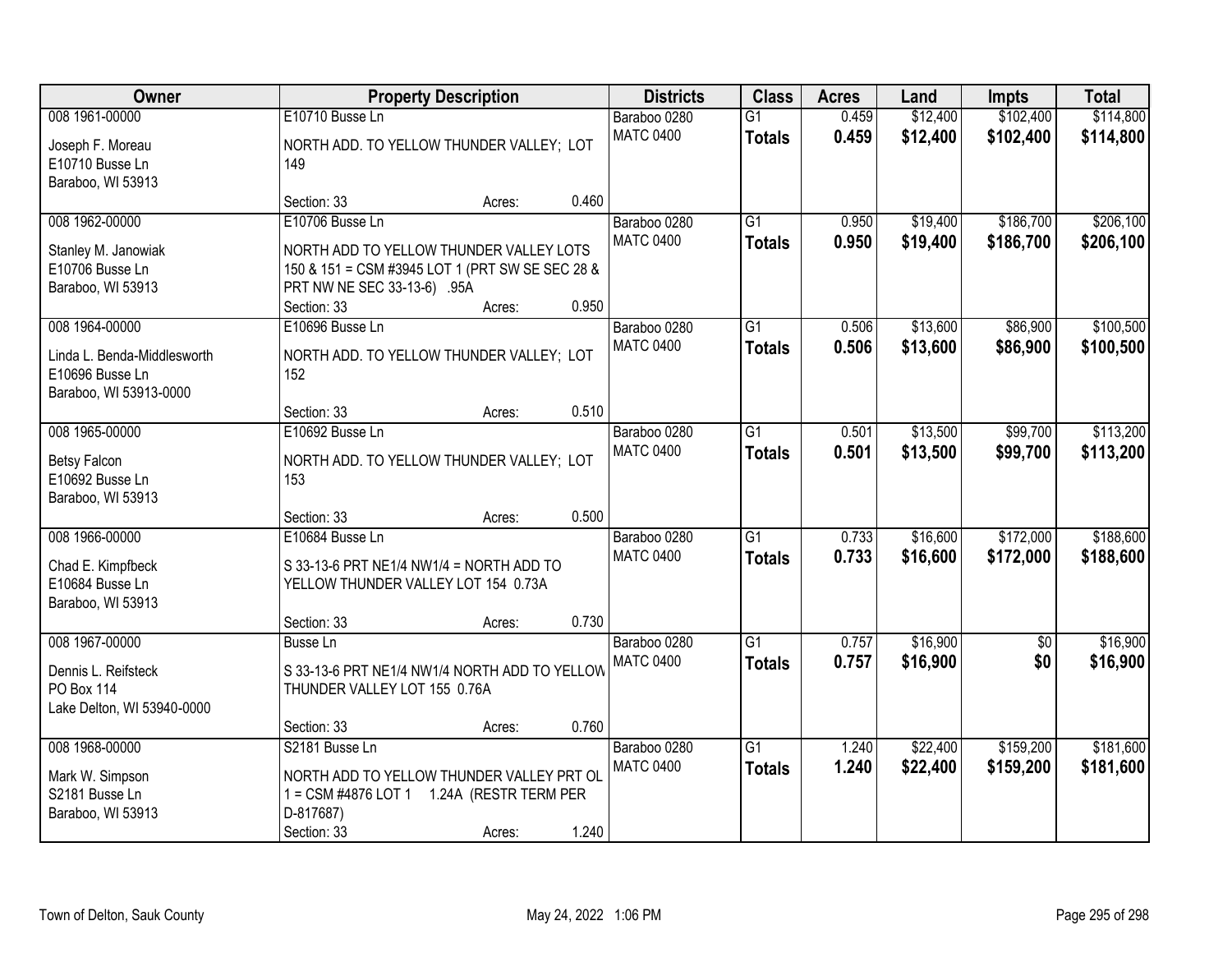| Owner                       |                                                 | <b>Property Description</b> |       | <b>Districts</b>                 | <b>Class</b>    | <b>Acres</b>   | Land                 | <b>Impts</b>           | <b>Total</b> |
|-----------------------------|-------------------------------------------------|-----------------------------|-------|----------------------------------|-----------------|----------------|----------------------|------------------------|--------------|
| 008 1961-00000              | E10710 Busse Ln                                 |                             |       | Baraboo 0280                     | $\overline{G1}$ | 0.459          | \$12,400             | \$102,400              | \$114,800    |
| Joseph F. Moreau            | NORTH ADD. TO YELLOW THUNDER VALLEY; LOT        |                             |       | <b>MATC 0400</b>                 | <b>Totals</b>   | 0.459          | \$12,400             | \$102,400              | \$114,800    |
| E10710 Busse Ln             | 149                                             |                             |       |                                  |                 |                |                      |                        |              |
| Baraboo, WI 53913           |                                                 |                             |       |                                  |                 |                |                      |                        |              |
|                             | Section: 33                                     | Acres:                      | 0.460 |                                  | $\overline{G1}$ |                |                      |                        |              |
| 008 1962-00000              | E10706 Busse Ln                                 |                             |       | Baraboo 0280<br><b>MATC 0400</b> |                 | 0.950<br>0.950 | \$19,400<br>\$19,400 | \$186,700<br>\$186,700 | \$206,100    |
| Stanley M. Janowiak         | NORTH ADD TO YELLOW THUNDER VALLEY LOTS         |                             |       |                                  | <b>Totals</b>   |                |                      |                        | \$206,100    |
| E10706 Busse Ln             | 150 & 151 = CSM #3945 LOT 1 (PRT SW SE SEC 28 & |                             |       |                                  |                 |                |                      |                        |              |
| Baraboo, WI 53913           | PRT NW NE SEC 33-13-6) .95A                     |                             |       |                                  |                 |                |                      |                        |              |
|                             | Section: 33                                     | Acres:                      | 0.950 |                                  |                 |                |                      |                        |              |
| 008 1964-00000              | E10696 Busse Ln                                 |                             |       | Baraboo 0280                     | G1              | 0.506          | \$13,600             | \$86,900               | \$100,500    |
| Linda L. Benda-Middlesworth | NORTH ADD. TO YELLOW THUNDER VALLEY; LOT        |                             |       | <b>MATC 0400</b>                 | <b>Totals</b>   | 0.506          | \$13,600             | \$86,900               | \$100,500    |
| E10696 Busse Ln             | 152                                             |                             |       |                                  |                 |                |                      |                        |              |
| Baraboo, WI 53913-0000      |                                                 |                             |       |                                  |                 |                |                      |                        |              |
|                             | Section: 33                                     | Acres:                      | 0.510 |                                  |                 |                |                      |                        |              |
| 008 1965-00000              | E10692 Busse Ln                                 |                             |       | Baraboo 0280<br><b>MATC 0400</b> | G1              | 0.501          | \$13,500             | \$99,700               | \$113,200    |
| <b>Betsy Falcon</b>         | NORTH ADD. TO YELLOW THUNDER VALLEY; LOT        |                             |       |                                  | <b>Totals</b>   | 0.501          | \$13,500             | \$99,700               | \$113,200    |
| E10692 Busse Ln             | 153                                             |                             |       |                                  |                 |                |                      |                        |              |
| Baraboo, WI 53913           |                                                 |                             |       |                                  |                 |                |                      |                        |              |
|                             | Section: 33                                     | Acres:                      | 0.500 |                                  |                 |                |                      |                        |              |
| 008 1966-00000              | E10684 Busse Ln                                 |                             |       | Baraboo 0280                     | $\overline{G1}$ | 0.733          | \$16,600             | \$172,000              | \$188,600    |
| Chad E. Kimpfbeck           | S 33-13-6 PRT NE1/4 NW1/4 = NORTH ADD TO        |                             |       | <b>MATC 0400</b>                 | <b>Totals</b>   | 0.733          | \$16,600             | \$172,000              | \$188,600    |
| E10684 Busse Ln             | YELLOW THUNDER VALLEY LOT 154 0.73A             |                             |       |                                  |                 |                |                      |                        |              |
| Baraboo, WI 53913           |                                                 |                             |       |                                  |                 |                |                      |                        |              |
|                             | Section: 33                                     | Acres:                      | 0.730 |                                  |                 |                |                      |                        |              |
| 008 1967-00000              | <b>Busse Ln</b>                                 |                             |       | Baraboo 0280                     | $\overline{G1}$ | 0.757          | \$16,900             | $\overline{50}$        | \$16,900     |
| Dennis L. Reifsteck         | S 33-13-6 PRT NE1/4 NW1/4 NORTH ADD TO YELLOW   |                             |       | <b>MATC 0400</b>                 | <b>Totals</b>   | 0.757          | \$16,900             | \$0                    | \$16,900     |
| PO Box 114                  | THUNDER VALLEY LOT 155 0.76A                    |                             |       |                                  |                 |                |                      |                        |              |
| Lake Delton, WI 53940-0000  |                                                 |                             |       |                                  |                 |                |                      |                        |              |
|                             | Section: 33                                     | Acres:                      | 0.760 |                                  |                 |                |                      |                        |              |
| 008 1968-00000              | S2181 Busse Ln                                  |                             |       | Baraboo 0280                     | $\overline{G1}$ | 1.240          | \$22,400             | \$159,200              | \$181,600    |
| Mark W. Simpson             | NORTH ADD TO YELLOW THUNDER VALLEY PRT OL       |                             |       | <b>MATC 0400</b>                 | <b>Totals</b>   | 1.240          | \$22,400             | \$159,200              | \$181,600    |
| S2181 Busse Ln              | 1 = CSM #4876 LOT 1  1.24A (RESTR TERM PER      |                             |       |                                  |                 |                |                      |                        |              |
| Baraboo, WI 53913           | D-817687)                                       |                             |       |                                  |                 |                |                      |                        |              |
|                             | Section: 33                                     | Acres:                      | 1.240 |                                  |                 |                |                      |                        |              |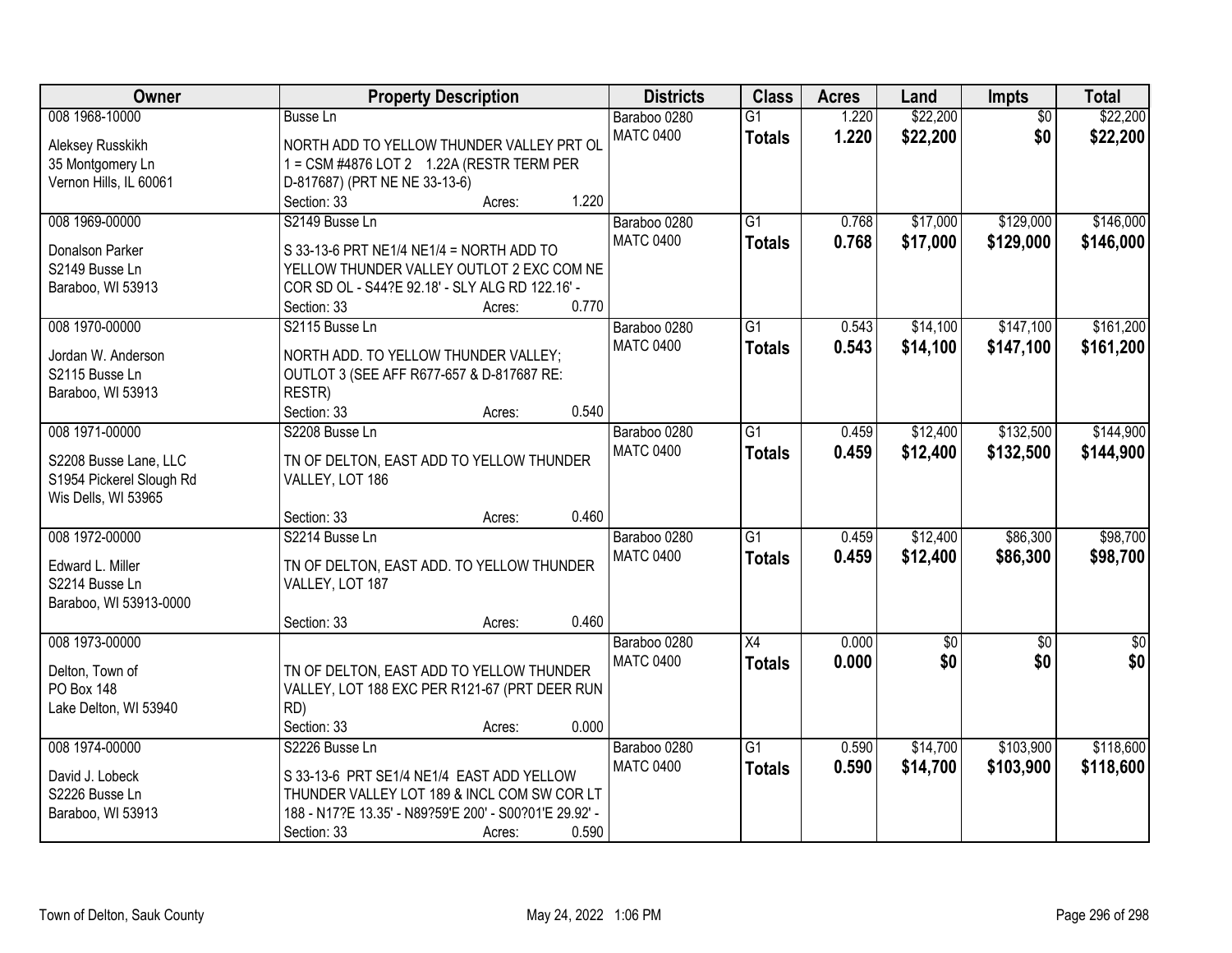| Owner                    |                                                                                              | <b>Property Description</b> |       | <b>Districts</b> | <b>Class</b>    | <b>Acres</b> | Land        | Impts           | <b>Total</b>    |
|--------------------------|----------------------------------------------------------------------------------------------|-----------------------------|-------|------------------|-----------------|--------------|-------------|-----------------|-----------------|
| 008 1968-10000           | <b>Busse Ln</b>                                                                              |                             |       | Baraboo 0280     | $\overline{G1}$ | 1.220        | \$22,200    | $\overline{50}$ | \$22,200        |
| Aleksey Russkikh         | NORTH ADD TO YELLOW THUNDER VALLEY PRT OL                                                    |                             |       | <b>MATC 0400</b> | <b>Totals</b>   | 1.220        | \$22,200    | \$0             | \$22,200        |
| 35 Montgomery Ln         | 1 = CSM #4876 LOT 2 1.22A (RESTR TERM PER                                                    |                             |       |                  |                 |              |             |                 |                 |
| Vernon Hills, IL 60061   | D-817687) (PRT NE NE 33-13-6)                                                                |                             |       |                  |                 |              |             |                 |                 |
|                          | Section: 33                                                                                  | Acres:                      | 1.220 |                  |                 |              |             |                 |                 |
| 008 1969-00000           | S2149 Busse Ln                                                                               |                             |       | Baraboo 0280     | $\overline{G1}$ | 0.768        | \$17,000    | \$129,000       | \$146,000       |
|                          |                                                                                              |                             |       | <b>MATC 0400</b> | <b>Totals</b>   | 0.768        | \$17,000    | \$129,000       | \$146,000       |
| Donalson Parker          | S 33-13-6 PRT NE1/4 NE1/4 = NORTH ADD TO                                                     |                             |       |                  |                 |              |             |                 |                 |
| S2149 Busse Ln           | YELLOW THUNDER VALLEY OUTLOT 2 EXC COM NE<br>COR SD OL - S44?E 92.18' - SLY ALG RD 122.16' - |                             |       |                  |                 |              |             |                 |                 |
| Baraboo, WI 53913        | Section: 33                                                                                  |                             | 0.770 |                  |                 |              |             |                 |                 |
| 008 1970-00000           | S2115 Busse Ln                                                                               | Acres:                      |       | Baraboo 0280     | $\overline{G1}$ | 0.543        | \$14,100    | \$147,100       | \$161,200       |
|                          |                                                                                              |                             |       | <b>MATC 0400</b> |                 |              |             |                 |                 |
| Jordan W. Anderson       | NORTH ADD. TO YELLOW THUNDER VALLEY;                                                         |                             |       |                  | <b>Totals</b>   | 0.543        | \$14,100    | \$147,100       | \$161,200       |
| S2115 Busse Ln           | OUTLOT 3 (SEE AFF R677-657 & D-817687 RE:                                                    |                             |       |                  |                 |              |             |                 |                 |
| Baraboo, WI 53913        | RESTR)                                                                                       |                             |       |                  |                 |              |             |                 |                 |
|                          | Section: 33                                                                                  | Acres:                      | 0.540 |                  |                 |              |             |                 |                 |
| 008 1971-00000           | S2208 Busse Ln                                                                               |                             |       | Baraboo 0280     | $\overline{G1}$ | 0.459        | \$12,400    | \$132,500       | \$144,900       |
| S2208 Busse Lane, LLC    | TN OF DELTON, EAST ADD TO YELLOW THUNDER                                                     |                             |       | <b>MATC 0400</b> | <b>Totals</b>   | 0.459        | \$12,400    | \$132,500       | \$144,900       |
| S1954 Pickerel Slough Rd | VALLEY, LOT 186                                                                              |                             |       |                  |                 |              |             |                 |                 |
| Wis Dells, WI 53965      |                                                                                              |                             |       |                  |                 |              |             |                 |                 |
|                          | Section: 33                                                                                  | Acres:                      | 0.460 |                  |                 |              |             |                 |                 |
| 008 1972-00000           | S2214 Busse Ln                                                                               |                             |       | Baraboo 0280     | $\overline{G1}$ | 0.459        | \$12,400    | \$86,300        | \$98,700        |
|                          |                                                                                              |                             |       | <b>MATC 0400</b> |                 | 0.459        | \$12,400    | \$86,300        |                 |
| Edward L. Miller         | TN OF DELTON, EAST ADD. TO YELLOW THUNDER                                                    |                             |       |                  | <b>Totals</b>   |              |             |                 | \$98,700        |
| S2214 Busse Ln           | VALLEY, LOT 187                                                                              |                             |       |                  |                 |              |             |                 |                 |
| Baraboo, WI 53913-0000   |                                                                                              |                             |       |                  |                 |              |             |                 |                 |
|                          | Section: 33                                                                                  | Acres:                      | 0.460 |                  |                 |              |             |                 |                 |
| 008 1973-00000           |                                                                                              |                             |       | Baraboo 0280     | X4              | 0.000        | $\sqrt{50}$ | $\overline{50}$ | $\overline{50}$ |
| Delton, Town of          | TN OF DELTON, EAST ADD TO YELLOW THUNDER                                                     |                             |       | <b>MATC 0400</b> | <b>Totals</b>   | 0.000        | \$0         | \$0             | \$0             |
| PO Box 148               | VALLEY, LOT 188 EXC PER R121-67 (PRT DEER RUN                                                |                             |       |                  |                 |              |             |                 |                 |
| Lake Delton, WI 53940    | RD)                                                                                          |                             |       |                  |                 |              |             |                 |                 |
|                          | Section: 33                                                                                  | Acres:                      | 0.000 |                  |                 |              |             |                 |                 |
| 008 1974-00000           | S2226 Busse Ln                                                                               |                             |       | Baraboo 0280     | $\overline{G1}$ | 0.590        | \$14,700    | \$103,900       | \$118,600       |
|                          |                                                                                              |                             |       | <b>MATC 0400</b> | <b>Totals</b>   | 0.590        | \$14,700    | \$103,900       | \$118,600       |
| David J. Lobeck          | S 33-13-6 PRT SE1/4 NE1/4 EAST ADD YELLOW                                                    |                             |       |                  |                 |              |             |                 |                 |
| S2226 Busse Ln           | THUNDER VALLEY LOT 189 & INCL COM SW COR LT                                                  |                             |       |                  |                 |              |             |                 |                 |
| Baraboo, WI 53913        | 188 - N17?E 13.35' - N89?59'E 200' - S00?01'E 29.92' -                                       |                             |       |                  |                 |              |             |                 |                 |
|                          | Section: 33                                                                                  | Acres:                      | 0.590 |                  |                 |              |             |                 |                 |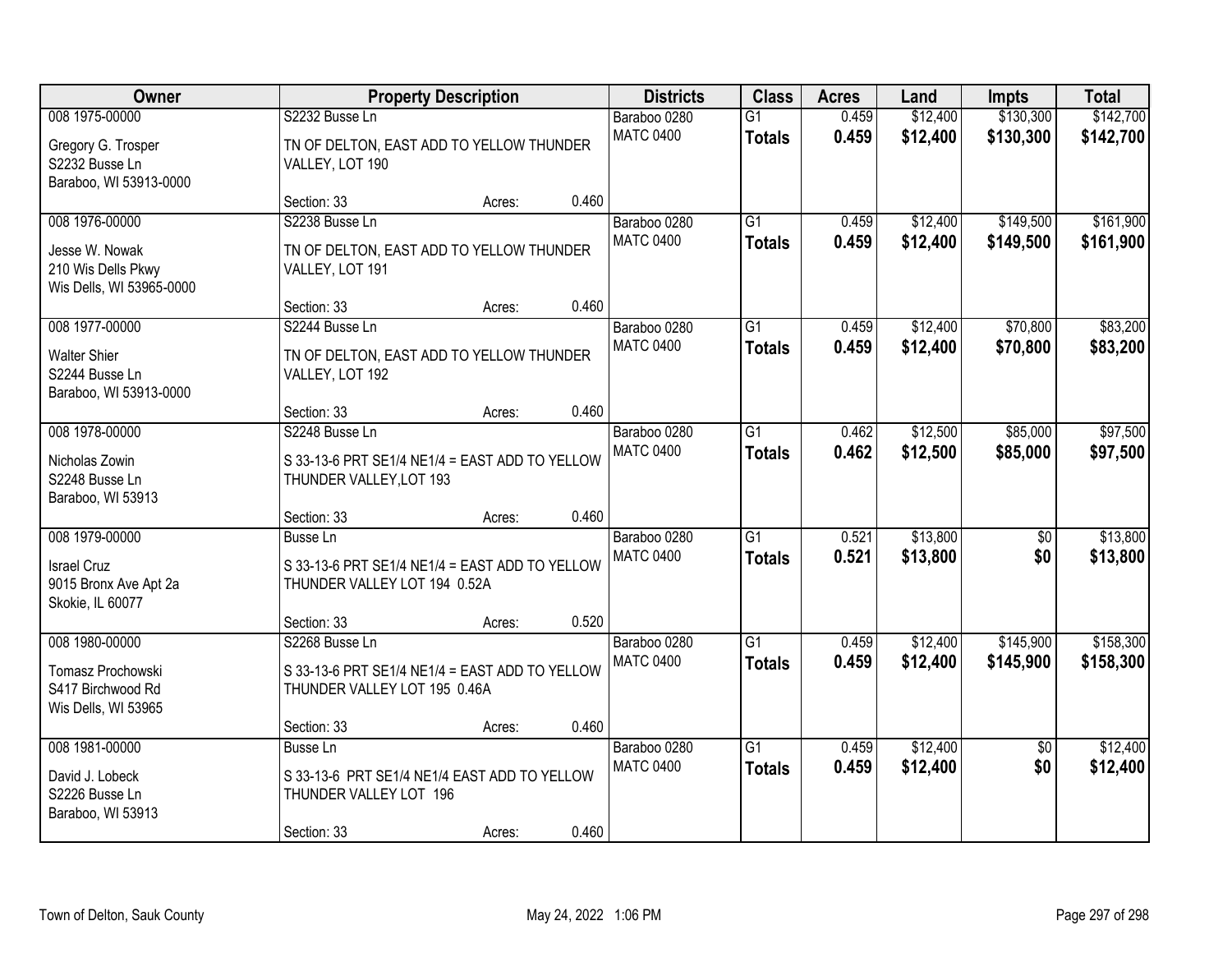| Owner                                                                              |                                                                                                   | <b>Property Description</b> |       | <b>Districts</b>                 | <b>Class</b>                     | <b>Acres</b>   | Land                 | <b>Impts</b>           | <b>Total</b>           |
|------------------------------------------------------------------------------------|---------------------------------------------------------------------------------------------------|-----------------------------|-------|----------------------------------|----------------------------------|----------------|----------------------|------------------------|------------------------|
| 008 1975-00000<br>Gregory G. Trosper<br>S2232 Busse Ln<br>Baraboo, WI 53913-0000   | S2232 Busse Ln<br>TN OF DELTON, EAST ADD TO YELLOW THUNDER<br>VALLEY, LOT 190                     |                             |       | Baraboo 0280<br><b>MATC 0400</b> | $\overline{G1}$<br><b>Totals</b> | 0.459<br>0.459 | \$12,400<br>\$12,400 | \$130,300<br>\$130,300 | \$142,700<br>\$142,700 |
|                                                                                    | Section: 33                                                                                       | Acres:                      | 0.460 |                                  |                                  |                |                      |                        |                        |
| 008 1976-00000<br>Jesse W. Nowak<br>210 Wis Dells Pkwy<br>Wis Dells, WI 53965-0000 | S2238 Busse Ln<br>TN OF DELTON, EAST ADD TO YELLOW THUNDER<br>VALLEY, LOT 191                     |                             |       | Baraboo 0280<br><b>MATC 0400</b> | $\overline{G1}$<br><b>Totals</b> | 0.459<br>0.459 | \$12,400<br>\$12,400 | \$149,500<br>\$149,500 | \$161,900<br>\$161,900 |
|                                                                                    | Section: 33                                                                                       | Acres:                      | 0.460 |                                  |                                  |                |                      |                        |                        |
| 008 1977-00000<br><b>Walter Shier</b><br>S2244 Busse Ln<br>Baraboo, WI 53913-0000  | S2244 Busse Ln<br>TN OF DELTON, EAST ADD TO YELLOW THUNDER<br>VALLEY, LOT 192                     |                             |       | Baraboo 0280<br><b>MATC 0400</b> | G1<br><b>Totals</b>              | 0.459<br>0.459 | \$12,400<br>\$12,400 | \$70,800<br>\$70,800   | \$83,200<br>\$83,200   |
|                                                                                    | Section: 33                                                                                       | Acres:                      | 0.460 |                                  |                                  |                |                      |                        |                        |
| 008 1978-00000<br>Nicholas Zowin<br>S2248 Busse Ln<br>Baraboo, WI 53913            | S2248 Busse Ln<br>S 33-13-6 PRT SE1/4 NE1/4 = EAST ADD TO YELLOW<br>THUNDER VALLEY, LOT 193       |                             |       | Baraboo 0280<br><b>MATC 0400</b> | G1<br><b>Totals</b>              | 0.462<br>0.462 | \$12,500<br>\$12,500 | \$85,000<br>\$85,000   | \$97,500<br>\$97,500   |
|                                                                                    | Section: 33                                                                                       | Acres:                      | 0.460 |                                  |                                  |                |                      |                        |                        |
| 008 1979-00000<br><b>Israel Cruz</b><br>9015 Bronx Ave Apt 2a<br>Skokie, IL 60077  | <b>Busse Ln</b><br>S 33-13-6 PRT SE1/4 NE1/4 = EAST ADD TO YELLOW<br>THUNDER VALLEY LOT 194 0.52A |                             |       | Baraboo 0280<br><b>MATC 0400</b> | $\overline{G1}$<br><b>Totals</b> | 0.521<br>0.521 | \$13,800<br>\$13,800 | $\overline{50}$<br>\$0 | \$13,800<br>\$13,800   |
|                                                                                    | Section: 33                                                                                       | Acres:                      | 0.520 |                                  |                                  |                |                      |                        |                        |
| 008 1980-00000<br>Tomasz Prochowski<br>S417 Birchwood Rd<br>Wis Dells, WI 53965    | S2268 Busse Ln<br>S 33-13-6 PRT SE1/4 NE1/4 = EAST ADD TO YELLOW<br>THUNDER VALLEY LOT 195 0.46A  |                             |       | Baraboo 0280<br><b>MATC 0400</b> | $\overline{G1}$<br><b>Totals</b> | 0.459<br>0.459 | \$12,400<br>\$12,400 | \$145,900<br>\$145,900 | \$158,300<br>\$158,300 |
|                                                                                    | Section: 33                                                                                       | Acres:                      | 0.460 |                                  |                                  |                |                      |                        |                        |
| 008 1981-00000<br>David J. Lobeck<br>S2226 Busse Ln<br>Baraboo, WI 53913           | Busse Ln<br>S 33-13-6 PRT SE1/4 NE1/4 EAST ADD TO YELLOW<br>THUNDER VALLEY LOT 196<br>Section: 33 | Acres:                      | 0.460 | Baraboo 0280<br><b>MATC 0400</b> | $\overline{G1}$<br><b>Totals</b> | 0.459<br>0.459 | \$12,400<br>\$12,400 | $\overline{50}$<br>\$0 | \$12,400<br>\$12,400   |